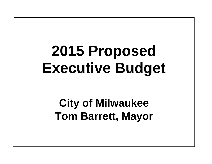# **2015 Proposed Executive Budget**

# **City of Milwaukee Tom Barrett, Mayor**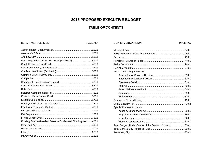# **2015 PROPOSED EXECUTIVE BUDGET**

# **TABLE OF CONTENTS**

DEPARTMENT/DIVISION

# DEPARTMENT/DIVISION

# PAGE NO.

| Borrowing Authorizations, Proposed (Section II)  570.1           |
|------------------------------------------------------------------|
|                                                                  |
|                                                                  |
|                                                                  |
|                                                                  |
|                                                                  |
|                                                                  |
|                                                                  |
|                                                                  |
|                                                                  |
|                                                                  |
|                                                                  |
|                                                                  |
|                                                                  |
|                                                                  |
|                                                                  |
|                                                                  |
| Funding Sources-Detailed Revenue for General City Purposes 400.1 |
|                                                                  |
|                                                                  |
|                                                                  |
|                                                                  |

| Public Works, Department of                             |  |
|---------------------------------------------------------|--|
|                                                         |  |
|                                                         |  |
|                                                         |  |
|                                                         |  |
|                                                         |  |
|                                                         |  |
|                                                         |  |
|                                                         |  |
|                                                         |  |
| Special Purpose Accounts                                |  |
|                                                         |  |
|                                                         |  |
|                                                         |  |
|                                                         |  |
| Total Budgets Under Control of the Common Council 560.1 |  |
|                                                         |  |
|                                                         |  |

PAGE NO.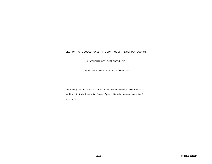# SECTION I. CITY BUDGET UNDER THE CONTROL OF THE COMMON COUNCIL

A. GENERAL CITY PURPOSES FUND

1. BUDGETS FOR GENERAL CITY PURPOSES

2015 salary amounts are at 2013 rates of pay with the exception of MPA, MPSO, and Local 215, which are at 2012 rates of pay. 2014 salary amounts are at 2012 rates of pay.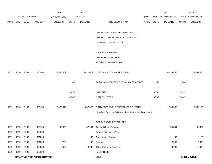|             |      |                       |                                     | 2013               |              | 2014           |                                                          |       |       | 2015             |              | 2015            |
|-------------|------|-----------------------|-------------------------------------|--------------------|--------------|----------------|----------------------------------------------------------|-------|-------|------------------|--------------|-----------------|
|             |      | <b>ACCOUNT NUMBER</b> |                                     | <b>EXPENDITURE</b> |              | <b>BUDGET</b>  |                                                          | PAY   |       | REQUESTED BUDGET |              | PROPOSED BUDGET |
| <b>FUND</b> | ORG  | SBCL                  | <b>ACCOUNT</b>                      | <b>DOLLARS</b>     | <b>UNITS</b> | <b>DOLLARS</b> | LINE DESCRIPTION                                         | RANGE | UNITS | <b>DOLLARS</b>   | <b>UNITS</b> | <b>DOLLARS</b>  |
|             |      |                       |                                     |                    |              |                | DEPARTMENT OF ADMINISTRATION                             |       |       |                  |              |                 |
|             |      |                       |                                     |                    |              |                | OPERATING BUDGETARY CONTROL UNIT                         |       |       |                  |              |                 |
|             |      |                       |                                     |                    |              |                | SUMMARY (1 BCU = $6$ DU)                                 |       |       |                  |              |                 |
|             |      |                       |                                     |                    |              |                | SALARIES & WAGES                                         |       |       |                  |              |                 |
|             |      |                       |                                     |                    |              |                | Overtime Compensated*                                    |       |       |                  |              |                 |
|             |      |                       |                                     |                    |              |                | All Other Salaries & Wages                               |       |       |                  |              |                 |
| 0001        | 1510 | R999                  | 006000                              | 5,386,659          |              | 5,622,079      | NET SALARIES & WAGES TOTAL*                              |       |       | 6,073,458        |              | 5,982,654       |
|             |      |                       |                                     |                    | 146          |                | TOTAL NUMBER OF POSITIONS AUTHORIZED                     |       | 147   |                  | 148          |                 |
|             |      |                       |                                     |                    | 98.37        |                | O&M FTE'S                                                |       | 98.87 |                  | 99.37        |                 |
|             |      |                       |                                     |                    | 37.47        |                | NON-O&M FTE'S                                            |       | 37.97 |                  | 38.47        |                 |
| 0001        | 1510 | R999                  | 006100                              | 2,478,549          |              | 2,642,377      | ESTIMATED EMPLOYEE FRINGE BENEFITS                       |       |       | 2,733,056        |              | 2,692,193       |
|             |      |                       |                                     |                    |              |                | (Involves Revenue Offset-No Transfers from this Account) |       |       |                  |              |                 |
|             |      |                       |                                     |                    |              |                | OPERATING EXPENDITURES                                   |       |       |                  |              |                 |
| 0001        | 1510 | R999                  | 630100                              | 42,650             |              | 57,934         | <b>General Office Expense</b>                            |       |       | 58,334           |              | 58,334          |
| 0001        | 1510 | R999                  | 630500                              |                    |              |                | Tools & Machinery Parts                                  |       |       |                  |              |                 |
| 0001        | 1510 | R999                  | 631000                              |                    |              | 180            | <b>Construction Supplies</b>                             |       |       | 180              |              | 180             |
| 0001        | 1510 | R999                  | 631500                              | 288                |              | 100            | Energy                                                   |       |       | 2,000            |              | 2,000           |
| 0001        | 1510 | R999                  | 632000                              | 3,602              |              | 18,000         | <b>Other Operating Supplies</b>                          |       |       | 18,000           |              | 18,000          |
| 0001        | 1510 | R999                  | 632500                              |                    |              |                | <b>Facility Rental</b>                                   |       |       |                  |              |                 |
|             |      |                       | <b>DEPARTMENT OF ADMINISTRATION</b> |                    |              |                | 110.1                                                    |       |       |                  |              | 3rd Run 9/15/14 |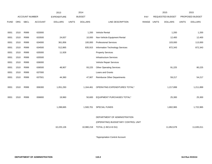|             |      | 2013                  |                | 2014               |              |                |                                    | 2015       |              | 2015             |              |                 |
|-------------|------|-----------------------|----------------|--------------------|--------------|----------------|------------------------------------|------------|--------------|------------------|--------------|-----------------|
|             |      | <b>ACCOUNT NUMBER</b> |                | <b>EXPENDITURE</b> |              | <b>BUDGET</b>  |                                    | <b>PAY</b> |              | REQUESTED BUDGET |              | PROPOSED BUDGET |
| <b>FUND</b> | ORG  | <b>SBCL</b>           | <b>ACCOUNT</b> | <b>DOLLARS</b>     | <b>UNITS</b> | <b>DOLLARS</b> | LINE DESCRIPTION                   | RANGE      | <b>UNITS</b> | <b>DOLLARS</b>   | <b>UNITS</b> | <b>DOLLARS</b>  |
|             |      |                       |                |                    |              |                |                                    |            |              |                  |              |                 |
| 0001        | 1510 | R999                  | 633000         |                    |              | 1,200          | <b>Vehicle Rental</b>              |            |              | 1,200            |              | 1,200           |
| 0001        | 1510 | R999                  | 633500         | 24,837             |              | 10,000         | Non-Vehicle Equipment Rental       |            |              | 12,400           |              | 12,400          |
| 0001        | 1510 | R999                  | 634000         | 361,856            |              | 100,000        | <b>Professional Services</b>       |            |              | 103,000          |              | 113,000         |
| 0001        | 1510 | R999                  | 634500         | 512,865            |              | 835,915        | Information Technology Services    |            |              | 872,343          |              | 872,343         |
| 0001        | 1510 | R999                  | 635000         | 11,928             |              |                | <b>Property Services</b>           |            |              |                  |              |                 |
| 0001        | 1510 | R999                  | 635500         |                    |              |                | <b>Infrastructure Services</b>     |            |              |                  |              |                 |
| 0001        | 1510 | R999                  | 636000         |                    |              |                | Vehicle Repair Services            |            |              |                  |              |                 |
| 0001        | 1510 | R999                  | 636500         | 48,907             |              | 93,225         | <b>Other Operating Services</b>    |            |              | 91,225           |              | 80,225          |
| 0001        | 1510 | R999                  | 637000         |                    |              |                | Loans and Grants                   |            |              |                  |              |                 |
| 0001        | 1510 | R999                  | 637501         | 44,360             |              | 47,907         | Reimburse Other Departments        |            |              | 59,217           |              | 54,217          |
|             |      |                       |                |                    |              |                |                                    |            |              |                  |              |                 |
| 0001        | 1510 | R999                  | 006300         | 1,051,293          |              | 1,164,461      | OPERATING EXPENDITURES TOTAL*      |            |              | 1,217,899        |              | 1,211,899       |
|             |      |                       |                |                    |              |                |                                    |            |              |                  |              |                 |
| 0001        | 1510 | R999                  | 006800         | 19,960             |              | 50,600         | EQUIPMENT PURCHASES TOTAL*         |            |              | 25,300           |              | 25,300          |
|             |      |                       |                |                    |              |                |                                    |            |              |                  |              |                 |
|             |      |                       |                | 1,288,665          |              | 1,500,701      | <b>SPECIAL FUNDS</b>               |            |              | 1,802,965        |              | 1,722,965       |
|             |      |                       |                |                    |              |                |                                    |            |              |                  |              |                 |
|             |      |                       |                |                    |              |                | DEPARTMENT OF ADMINISTRATION       |            |              |                  |              |                 |
|             |      |                       |                |                    |              |                | (OPERATING) BUDGETARY CONTROL UNIT |            |              |                  |              |                 |
|             |      |                       |                | 10,225,126         |              | 10,980,218     | TOTAL (1 BCU=6 DU)                 |            |              | 11,852,678       |              | 11,635,011      |
|             |      |                       |                |                    |              |                |                                    |            |              |                  |              |                 |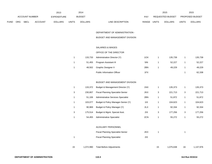|             |                       |             |                    | 2013           |               | 2014           |                                  |       | 2015                   | 2015         |                |
|-------------|-----------------------|-------------|--------------------|----------------|---------------|----------------|----------------------------------|-------|------------------------|--------------|----------------|
|             | <b>ACCOUNT NUMBER</b> |             | <b>EXPENDITURE</b> |                | <b>BUDGET</b> | PAY            | <b>REQUESTED BUDGET</b>          |       | <b>PROPOSED BUDGET</b> |              |                |
| <b>FUND</b> | <b>ORG</b>            | <b>SBCL</b> | <b>ACCOUNT</b>     | <b>DOLLARS</b> | <b>UNITS</b>  | <b>DOLLARS</b> | <b>RANGE</b><br>LINE DESCRIPTION | UNITS | <b>DOLLARS</b>         | <b>UNITS</b> | <b>DOLLARS</b> |

DEPARTMENT OF ADMINISTRATION -

BUDGET AND MANAGEMENT DIVISION

# SALARIES & WAGES

# OFFICE OF THE DIRECTOR

| 133.733 | <b>Administration Director (Y)</b> | 1OX | 135.739 | 135,739 |
|---------|------------------------------------|-----|---------|---------|
| 51.455  | Program Assistant III              | 5IN | 52.227  | 52,227  |
| 48.502  | Graphic Designer II                | 2BN | 49.229  | 49,229  |
|         | <b>Public Information Officer</b>  | 1FX |         | 62,338  |

# BUDGET AND MANAGEMENT DIVISION

|   | 133.372 | Budget & Management Director (Y)          | 1NX |   | 135,373 |   | 135,373 |
|---|---------|-------------------------------------------|-----|---|---------|---|---------|
| 3 | 230.807 | <b>Fiscal Planning Specialist-Senior</b>  | 2KX | 3 | 221,713 | 3 | 221,713 |
| 1 | 51.106  | <b>Administrative Services Specialist</b> | 2BN |   | 51,872  |   | 51,872  |
| 1 | 103.077 | Budget & Policy Manager-Senior (Y)        | 11X |   | 104.623 |   | 104,623 |
|   | 90.969  | Budget & Policy Manager (Y)               | 2LX |   | 92,334  |   | 92,334  |
| 3 | 175.514 | Budget & Mgmt. Special Asst.              | 2IX | 3 | 177.256 | 3 | 177,256 |
| 1 | 54,455  | <b>Administrative Specialist</b>          | 2CN |   | 55.272  |   | 55,272  |

#### AUXILIARY PERSONNEL

|    |           | <b>Fiscal Planning Specialist-Senior</b> | 2KX |    |           |    |           |
|----|-----------|------------------------------------------|-----|----|-----------|----|-----------|
|    |           | <b>Fiscal Planning Specialist</b>        | 21X |    |           |    |           |
| 15 | 1,072,990 | <b>Total Before Adjustments</b>          |     | 15 | 1,075,638 | 16 | 1,137,976 |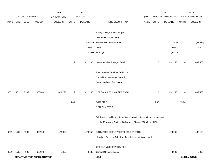|             |      |                |                              | 2013               |              | 2014           |                                                                           |       |              | 2015             |              | 2015            |
|-------------|------|----------------|------------------------------|--------------------|--------------|----------------|---------------------------------------------------------------------------|-------|--------------|------------------|--------------|-----------------|
|             |      | ACCOUNT NUMBER |                              | <b>EXPENDITURE</b> |              | <b>BUDGET</b>  |                                                                           | PAY   |              | REQUESTED BUDGET |              | PROPOSED BUDGET |
| <b>FUND</b> | ORG  | SBCL           | <b>ACCOUNT</b>               | <b>DOLLARS</b>     | <b>UNITS</b> | <b>DOLLARS</b> | LINE DESCRIPTION                                                          | RANGE | <b>UNITS</b> | <b>DOLLARS</b>   | <b>UNITS</b> | <b>DOLLARS</b>  |
|             |      |                |                              |                    |              |                |                                                                           |       |              |                  |              |                 |
|             |      |                |                              |                    |              |                | Salary & Wage Rate Changes                                                |       |              |                  |              |                 |
|             |      |                |                              |                    |              |                | Overtime Compensated                                                      |       |              |                  |              |                 |
|             |      |                |                              |                    |              | (45, 424)      | Personnel Cost Adjustment                                                 |       |              | (21, 513)        |              | (61, 513)       |
|             |      |                |                              |                    |              | 6,000          | Other                                                                     |       |              | 6,000            |              | 6,000           |
|             |      |                |                              |                    |              | (12, 381)      | Furlough                                                                  |       |              | (8,870)          |              |                 |
|             |      |                |                              |                    |              |                |                                                                           |       |              |                  |              |                 |
|             |      |                |                              |                    | 15           | 1,021,185      | Gross Salaries & Wages Total                                              |       | 15           | 1,051,255        | 16           | 1,082,463       |
|             |      |                |                              |                    |              |                |                                                                           |       |              |                  |              |                 |
|             |      |                |                              |                    |              |                | Reimbursable Services Deduction                                           |       |              |                  |              |                 |
|             |      |                |                              |                    |              |                | <b>Capital Improvements Deduction</b>                                     |       |              |                  |              |                 |
|             |      |                |                              |                    |              |                | Grants and Aids Deduction                                                 |       |              |                  |              |                 |
|             |      |                |                              |                    |              |                |                                                                           |       |              |                  |              |                 |
| 0001        | 1512 | R999           | 006000                       | 1,014,296          | 15           | 1,021,185      | NET SALARIES & WAGES TOTAL                                                |       | 15           | 1,051,255        | 16           | 1,082,463       |
|             |      |                |                              |                    | 14.00        |                | O&M FTE'S                                                                 |       | 14.00        |                  | 15.00        |                 |
|             |      |                |                              |                    |              |                | NON-O&M FTE'S                                                             |       |              |                  |              |                 |
|             |      |                |                              |                    |              |                |                                                                           |       |              |                  |              |                 |
|             |      |                |                              |                    |              |                | (Y) Required to file a statement of economic interests in accordance with |       |              |                  |              |                 |
|             |      |                |                              |                    |              |                | the Milwaukee Code of Ordinances Chapter 303-Code of Ethics.              |       |              |                  |              |                 |
|             |      |                |                              |                    |              |                |                                                                           |       |              |                  |              |                 |
| 0001        | 1512 | R999           | 006100                       | 474,824            |              | 479,957        | ESTIMATED EMPLOYEE FRINGE BENEFITS                                        |       |              | 473,065          |              | 487,108         |
|             |      |                |                              |                    |              |                | (Involves Revenue Offset-No Transfers from this Account)                  |       |              |                  |              |                 |
|             |      |                |                              |                    |              |                |                                                                           |       |              |                  |              |                 |
|             |      |                |                              |                    |              |                | OPERATING EXPENDITURES                                                    |       |              |                  |              |                 |
| 0001        | 1512 | R999           | 630100                       | 2,496              |              | 3,600          | <b>General Office Expense</b>                                             |       |              | 3,000            |              | 3,000           |
|             |      |                | DEPARTMENT OF ADMINISTRATION |                    |              |                | 110.4                                                                     |       |              |                  |              | 3rd Run 9/15/14 |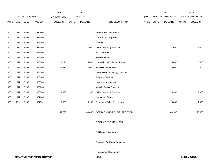|      |             |                | 2013               |              | 2014           |                                    |       |              | 2015           |                  | 2015            |
|------|-------------|----------------|--------------------|--------------|----------------|------------------------------------|-------|--------------|----------------|------------------|-----------------|
|      |             |                | <b>EXPENDITURE</b> |              |                |                                    | PAY   |              |                |                  | PROPOSED BUDGET |
| ORG  | <b>SBCL</b> | <b>ACCOUNT</b> | <b>DOLLARS</b>     | <b>UNITS</b> | <b>DOLLARS</b> | LINE DESCRIPTION                   | RANGE | <b>UNITS</b> | <b>DOLLARS</b> | <b>UNITS</b>     | <b>DOLLARS</b>  |
|      |             |                |                    |              |                |                                    |       |              |                |                  |                 |
| 1512 | R999        | 630500         |                    |              |                | Tools & Machinery Parts            |       |              |                |                  |                 |
| 1512 | R999        | 631000         |                    |              |                | <b>Construction Supplies</b>       |       |              |                |                  |                 |
| 1512 | R999        | 631500         |                    |              |                | Energy                             |       |              |                |                  |                 |
| 1512 | R999        | 632000         |                    |              | 1,000          | <b>Other Operating Supplies</b>    |       |              | 1,000          |                  | 1,000           |
| 1512 | R999        | 632500         |                    |              |                | <b>Facility Rental</b>             |       |              |                |                  |                 |
| 1512 | R999        | 633000         |                    |              |                | Vehicle Rental                     |       |              |                |                  |                 |
| 1512 | R999        | 633500         | 4,294              |              | 5,000          | Non-Vehicle Equipment Rental       |       |              | 5,000          |                  | 5,000           |
| 1512 | R999        | 634000         | 123,420            |              | 12,000         | <b>Professional Services</b>       |       |              | 15,000         |                  | 25,000          |
| 1512 | R999        | 634500         |                    |              |                | Information Technology Services    |       |              |                |                  |                 |
| 1512 | R999        | 635000         |                    |              |                | <b>Property Services</b>           |       |              |                |                  |                 |
| 1512 | R999        | 635500         |                    |              |                | <b>Infrastructure Services</b>     |       |              |                |                  |                 |
| 1512 | R999        | 636000         |                    |              |                | Vehicle Repair Services            |       |              |                |                  |                 |
| 1512 | R999        | 636500         | 14,675             |              | 21,900         | <b>Other Operating Services</b>    |       |              | 19,900         |                  | 19,900          |
| 1512 | R999        | 637000         |                    |              |                | Loans and Grants                   |       |              |                |                  |                 |
| 1512 | R999        | 637501         | 2,888              |              | 5,900          | <b>Reimburse Other Departments</b> |       |              | 4,400          |                  | 4,400           |
|      |             |                |                    |              |                |                                    |       |              |                |                  |                 |
|      |             |                | 147,773            |              | 49,400         | OPERATING EXPENDITURES TOTAL       |       |              | 48,300         |                  | 58,300          |
|      |             |                |                    |              |                |                                    |       |              |                |                  |                 |
|      |             |                |                    |              |                | <b>EQUIPMENT PURCHASES</b>         |       |              |                |                  |                 |
|      |             |                |                    |              |                |                                    |       |              |                |                  |                 |
|      |             |                |                    |              |                | <b>Additional Equipment</b>        |       |              |                |                  |                 |
|      |             |                | ACCOUNT NUMBER     |              |                | <b>BUDGET</b>                      |       |              |                | REQUESTED BUDGET |                 |

Subtotal - Additional Equipment

Replacement Equipment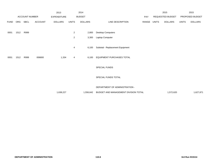|             |      |                |                | 2013               |                | 2014           |                                      |             | 2015             |              | 2015            |
|-------------|------|----------------|----------------|--------------------|----------------|----------------|--------------------------------------|-------------|------------------|--------------|-----------------|
|             |      | ACCOUNT NUMBER |                | <b>EXPENDITURE</b> |                | <b>BUDGET</b>  |                                      | PAY         | REQUESTED BUDGET |              | PROPOSED BUDGET |
| <b>FUND</b> | ORG  | SBCL           | <b>ACCOUNT</b> | <b>DOLLARS</b>     | <b>UNITS</b>   | <b>DOLLARS</b> | LINE DESCRIPTION                     | RANGE UNITS | <b>DOLLARS</b>   | <b>UNITS</b> | <b>DOLLARS</b>  |
| 0001        | 1512 | R999           |                |                    | $\overline{a}$ | 2,800          | <b>Desktop Computers</b>             |             |                  |              |                 |
|             |      |                |                |                    | $\overline{c}$ | 3,300          | Laptop Computer                      |             |                  |              |                 |
|             |      |                |                |                    | 4              | 6,100          | Subtotal - Replacement Equipment     |             |                  |              |                 |
| 0001        | 1512 | R999           | 006800         | 1,334              | 4              | 6,100          | EQUIPMENT PURCHASES TOTAL            |             |                  |              |                 |
|             |      |                |                |                    |                |                | SPECIAL FUNDS                        |             |                  |              |                 |
|             |      |                |                |                    |                |                | SPECIAL FUNDS TOTAL                  |             |                  |              |                 |
|             |      |                |                |                    |                |                | DEPARTMENT OF ADMINISTRATION -       |             |                  |              |                 |
|             |      |                |                | 1,638,227          |                | 1,556,642      | BUDGET AND MANAGEMENT DIVISION TOTAL |             | 1,572,620        |              | 1,627,871       |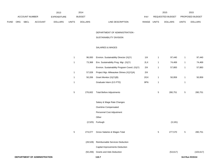|             |                       |             |                    | 2013           |               | 2014           |                                  |       | 2015                   | 2015         |                |
|-------------|-----------------------|-------------|--------------------|----------------|---------------|----------------|----------------------------------|-------|------------------------|--------------|----------------|
|             | <b>ACCOUNT NUMBER</b> |             | <b>EXPENDITURE</b> |                | <b>BUDGET</b> | PAY            | REQUESTED BUDGET                 |       | <b>PROPOSED BUDGET</b> |              |                |
| <b>FUND</b> | ORG                   | <b>SBCL</b> | <b>ACCOUNT</b>     | <b>DOLLARS</b> | <b>UNITS</b>  | <b>DOLLARS</b> | LINE DESCRIPTION<br><b>RANGE</b> | UNITS | <b>DOLLARS</b>         | <b>UNITS</b> | <b>DOLLARS</b> |

#### DEPARTMENT OF ADMINISTRATION -

#### SUSTAINABILITY DIVISION

# SALARIES & WAGES

| DEPARTMENT OF ADMINISTRATION |              |           | 110.7                                         |     |              |           | 3rd Run 9/15/14 |            |
|------------------------------|--------------|-----------|-----------------------------------------------|-----|--------------|-----------|-----------------|------------|
|                              |              | (50, 206) | Grants and Aids Deduction                     |     |              | (53, 617) |                 | (103, 617) |
|                              |              |           | Capital Improvements Deduction                |     |              |           |                 |            |
|                              |              | (28, 528) | Reimbursable Services Deduction               |     |              |           |                 |            |
|                              | $\sqrt{5}$   | 274,077   | Gross Salaries & Wages Total                  |     | 5            | 277,570   | $\,$ 5 $\,$     | 280,751    |
|                              |              | (2,525)   | Furlough                                      |     |              | (3, 181)  |                 |            |
|                              |              |           | Other                                         |     |              |           |                 |            |
|                              |              |           | Personnel Cost Adjustment                     |     |              |           |                 |            |
|                              |              |           | Overtime Compensated                          |     |              |           |                 |            |
|                              |              |           | Salary & Wage Rate Changes                    |     |              |           |                 |            |
|                              | $\sqrt{5}$   | 276,602   | <b>Total Before Adjustments</b>               |     | 5            | 280,751   | $\mathbf 5$     | 280,751    |
|                              | $\mathbf{1}$ |           | Graduate Intern (0.5 FTE)                     | 9PN | $\mathbf{1}$ |           | $\mathbf{1}$    |            |
|                              | $\mathbf{1}$ | 50,206    | Grant Monitor (X)(Y)(B)                       | 2GX | $\mathbf{1}$ | 50,959    | $\mathbf{1}$    | 50,959     |
|                              | $\mathbf{1}$ | 57,028    | Project Mgr.-Milwaukee Shines (X)(Y)(A)       | 2IX |              |           |                 |            |
|                              |              |           | Environ. Sustainability Program Coord. (X)(Y) | 2IX | $\mathbf{1}$ | 57,883    | 1               | 57,883     |
|                              | $\mathbf{1}$ | 73,368    | Env. Sustainability Prog. Mgr. (X)(Y)         | 2LX | $\mathbf{1}$ | 74,469    | 1               | 74,469     |
|                              | $\mathbf{1}$ | 96,000    | Environ. Sustainability Director (X)(Y)       | 11X | 1            | 97,440    | $\mathbf{1}$    | 97,440     |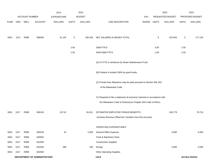|             |      |                       |                              | 2013               |              | 2014           |                                                                           |            |              | 2015             |                | 2015            |
|-------------|------|-----------------------|------------------------------|--------------------|--------------|----------------|---------------------------------------------------------------------------|------------|--------------|------------------|----------------|-----------------|
|             |      | <b>ACCOUNT NUMBER</b> |                              | <b>EXPENDITURE</b> |              | <b>BUDGET</b>  |                                                                           | <b>PAY</b> |              | REQUESTED BUDGET |                | PROPOSED BUDGET |
| <b>FUND</b> | ORG  | SBCL                  | <b>ACCOUNT</b>               | <b>DOLLARS</b>     | <b>UNITS</b> | <b>DOLLARS</b> | LINE DESCRIPTION                                                          | RANGE      | <b>UNITS</b> | <b>DOLLARS</b>   | <b>UNITS</b>   | <b>DOLLARS</b>  |
|             |      |                       |                              |                    |              |                |                                                                           |            |              |                  |                |                 |
| 0001        | 1517 | R999                  | 006000                       | 31,125             | 5            | 195,343        | NET SALARIES & WAGES TOTAL                                                |            | 5            | 223,953          | $\overline{5}$ | 177,134         |
|             |      |                       |                              |                    |              |                |                                                                           |            |              |                  |                |                 |
|             |      |                       |                              |                    | 2.50         |                | O&M FTE'S                                                                 |            | 3.00         |                  | 2.50           |                 |
|             |      |                       |                              |                    | 1.50         |                | NON-O&M FTE'S                                                             |            | 1.00         |                  | 1.50           |                 |
|             |      |                       |                              |                    |              |                | (A) 0.5 FTE is reimburse by Sewer Maintenance Fund.                       |            |              |                  |                |                 |
|             |      |                       |                              |                    |              |                |                                                                           |            |              |                  |                |                 |
|             |      |                       |                              |                    |              |                | (B) Position is funded 100% by grant funds.                               |            |              |                  |                |                 |
|             |      |                       |                              |                    |              |                | (X) Private Auto Allowance may be paid pursuant to Section 350-183        |            |              |                  |                |                 |
|             |      |                       |                              |                    |              |                | of the Milwaukee Code.                                                    |            |              |                  |                |                 |
|             |      |                       |                              |                    |              |                | (Y) Required to file a statement of economic interests in accordance with |            |              |                  |                |                 |
|             |      |                       |                              |                    |              |                | the Milwaukee Code of Ordinances Chapter 303-Code of Ethics.              |            |              |                  |                |                 |
| 0001        | 1517 | R999                  | 006100                       | 19,710             |              | 91,811         | ESTIMATED EMPLOYEE FRINGE BENEFITS                                        |            |              | 100,779          |                | 79,710          |
|             |      |                       |                              |                    |              |                | (Involves Revenue Offset-No Transfers from this Account)                  |            |              |                  |                |                 |
|             |      |                       |                              |                    |              |                |                                                                           |            |              |                  |                |                 |
|             |      |                       |                              |                    |              |                | <b>OPERATING EXPENDITURES</b>                                             |            |              |                  |                |                 |
| 0001        | 1517 | R999                  | 630100                       | 42                 |              | 2,000          | <b>General Office Expense</b>                                             |            |              | 4,000            |                | 4,000           |
| 0001        | 1517 | R999                  | 630500                       |                    |              |                | Tools & Machinery Parts                                                   |            |              |                  |                |                 |
| 0001        | 1517 | R999                  | 631000                       |                    |              |                | <b>Construction Supplies</b>                                              |            |              |                  |                |                 |
| 0001        | 1517 | R999                  | 631500                       | 288                |              | 100            | Energy                                                                    |            |              | 2,000            |                | 2,000           |
| 0001        | 1517 | R999                  | 632000                       |                    |              |                | <b>Other Operating Supplies</b>                                           |            |              |                  |                |                 |
|             |      |                       | DEPARTMENT OF ADMINISTRATION |                    |              |                | 110.8                                                                     |            |              |                  |                | 3rd Run 9/15/14 |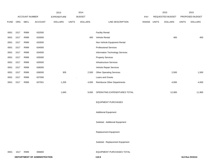|             |      |                       |                              | 2013               |              | 2014           |                                    |       |              | 2015             |              | 2015            |
|-------------|------|-----------------------|------------------------------|--------------------|--------------|----------------|------------------------------------|-------|--------------|------------------|--------------|-----------------|
|             |      | <b>ACCOUNT NUMBER</b> |                              | <b>EXPENDITURE</b> |              | <b>BUDGET</b>  |                                    | PAY   |              | REQUESTED BUDGET |              | PROPOSED BUDGET |
| <b>FUND</b> | ORG  | SBCL                  | <b>ACCOUNT</b>               | <b>DOLLARS</b>     | <b>UNITS</b> | <b>DOLLARS</b> | LINE DESCRIPTION                   | RANGE | <b>UNITS</b> | <b>DOLLARS</b>   | <b>UNITS</b> | <b>DOLLARS</b>  |
|             |      |                       |                              |                    |              |                |                                    |       |              |                  |              |                 |
| 0001        | 1517 | R999                  | 632500                       |                    |              |                | <b>Facility Rental</b>             |       |              |                  |              |                 |
| 0001        | 1517 | R999                  | 633000                       |                    |              | 400            | Vehicle Rental                     |       |              | 400              |              | 400             |
| 0001        | 1517 | R999                  | 633500                       |                    |              |                | Non-Vehicle Equipment Rental       |       |              |                  |              |                 |
| 0001        | 1517 | R999                  | 634000                       |                    |              |                | <b>Professional Services</b>       |       |              |                  |              |                 |
| 0001        | 1517 | R999                  | 634500                       |                    |              |                | Information Technology Services    |       |              |                  |              |                 |
| 0001        | 1517 | R999                  | 635000                       |                    |              |                | <b>Property Services</b>           |       |              |                  |              |                 |
| 0001        | 1517 | R999                  | 635500                       |                    |              |                | <b>Infrastructure Services</b>     |       |              |                  |              |                 |
| 0001        | 1517 | R999                  | 636000                       |                    |              |                | Vehicle Repair Services            |       |              |                  |              |                 |
| 0001        | 1517 | R999                  | 636500                       | 305                |              | 2,500          | <b>Other Operating Services</b>    |       |              | 2,500            |              | 1,500           |
| 0001        | 1517 | R999                  | 637000                       |                    |              | $\bullet$      | Loans and Grants                   |       |              |                  |              |                 |
| 0001        | 1517 | R999                  | 637501                       | 1,205              |              | 4,000          | <b>Reimburse Other Departments</b> |       |              | 4,000            |              | 4,000           |
|             |      |                       |                              |                    |              |                |                                    |       |              |                  |              |                 |
|             |      |                       |                              | 1,840              |              | 9,000          | OPERATING EXPENDITURES TOTAL       |       |              | 12,900           |              | 11,900          |
|             |      |                       |                              |                    |              |                |                                    |       |              |                  |              |                 |
|             |      |                       |                              |                    |              |                | <b>EQUIPMENT PURCHASES</b>         |       |              |                  |              |                 |
|             |      |                       |                              |                    |              |                |                                    |       |              |                  |              |                 |
|             |      |                       |                              |                    |              |                | <b>Additional Equipment</b>        |       |              |                  |              |                 |
|             |      |                       |                              |                    |              |                |                                    |       |              |                  |              |                 |
|             |      |                       |                              |                    |              |                | Subtotal - Additional Equipment    |       |              |                  |              |                 |
|             |      |                       |                              |                    |              |                |                                    |       |              |                  |              |                 |
|             |      |                       |                              |                    |              |                | Replacement Equipment              |       |              |                  |              |                 |
|             |      |                       |                              |                    |              |                |                                    |       |              |                  |              |                 |
|             |      |                       |                              |                    |              |                | Subtotal - Replacement Equipment   |       |              |                  |              |                 |
|             |      |                       |                              |                    |              |                |                                    |       |              |                  |              |                 |
| 0001        | 1517 | R999                  | 006800                       |                    |              |                | EQUIPMENT PURCHASES TOTAL          |       |              |                  |              |                 |
|             |      |                       | DEPARTMENT OF ADMINISTRATION |                    |              |                | 110.9                              |       |              |                  |              | 3rd Run 9/15/14 |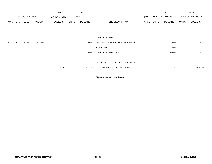|             |                       |                  |                    | 2013           |              | 2014           |                                        |       |                  | 2015           |                 | 2015           |
|-------------|-----------------------|------------------|--------------------|----------------|--------------|----------------|----------------------------------------|-------|------------------|----------------|-----------------|----------------|
|             | <b>ACCOUNT NUMBER</b> |                  | <b>EXPENDITURE</b> | <b>BUDGET</b>  |              |                | PAY                                    |       | REQUESTED BUDGET |                | PROPOSED BUDGET |                |
| <b>FUND</b> | ORG                   | SBCL             | <b>ACCOUNT</b>     | <b>DOLLARS</b> | <b>UNITS</b> | <b>DOLLARS</b> | LINE DESCRIPTION                       | RANGE | <b>UNITS</b>     | <b>DOLLARS</b> | <b>UNITS</b>    | <b>DOLLARS</b> |
|             |                       |                  |                    |                |              |                |                                        |       |                  |                |                 |                |
|             |                       |                  |                    |                |              |                |                                        |       |                  |                |                 |                |
|             |                       |                  |                    |                |              |                | <b>SPECIAL FUNDS</b>                   |       |                  |                |                 |                |
| 0001        | 1517                  | R <sub>147</sub> | 006300             |                |              | 75,000         | ME3 Sustainable Manufacturing Program* |       |                  | 75,000         |                 | 75,000         |
|             |                       |                  |                    |                |              |                | HOME GROWN*                            |       |                  | 30,000         |                 |                |
|             |                       |                  |                    |                |              | 75,000         | SPECIAL FUNDS TOTAL                    |       |                  | 105,000        |                 | 75,000         |
|             |                       |                  |                    |                |              |                |                                        |       |                  |                |                 |                |
|             |                       |                  |                    |                |              |                | DEPARTMENT OF ADMINISTRATION -         |       |                  |                |                 |                |
|             |                       |                  |                    | 52,675         |              |                | 371,154 SUSTAINABILITY DIVISION TOTAL  |       |                  | 442,632        |                 | 343,744        |
|             |                       |                  |                    |                |              |                |                                        |       |                  |                |                 |                |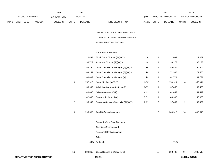|             |            |                       |                | 2013               |              | 2014           |                                  | 2015                           |       | 2015                   |
|-------------|------------|-----------------------|----------------|--------------------|--------------|----------------|----------------------------------|--------------------------------|-------|------------------------|
|             |            | <b>ACCOUNT NUMBER</b> |                | <b>EXPENDITURE</b> |              | <b>BUDGET</b>  | PAY                              | REQUESTED BUDGET               |       | <b>PROPOSED BUDGET</b> |
| <b>FUND</b> | <b>ORG</b> | <b>SBCL</b>           | <b>ACCOUNT</b> | <b>DOLLARS</b>     | <b>UNITS</b> | <b>DOLLARS</b> | LINE DESCRIPTION<br><b>RANGE</b> | <b>UNITS</b><br><b>DOLLARS</b> | UNITS | <b>DOLLARS</b>         |

DEPARTMENT OF ADMINISTRATION - COMMUNITY DEVELOPMENT GRANTS

# ADMINISTRATION DIVISION

#### SALARIES & WAGES

| 1            | 110,433 | Block Grant Director (A)(X)(Y)         | 1LX | 1            | 112,089   | 1              | 112,089   |
|--------------|---------|----------------------------------------|-----|--------------|-----------|----------------|-----------|
| 1            | 96,722  | Associate Director (A)(X)(Y)           | 1HX | 1            | 98,173    | $\mathbf{1}$   | 98,173    |
| 1            | 85,130  | Grant Compliance Manager (A)(X)(Y)     | 2JX | 1            | 86,406    | 1              | 86,406    |
| 1            | 68,159  | Grant Compliance Manager (E)(X)(Y)     | 2JX | 1            | 71,566    | 1              | 71,566    |
| 1            | 60,809  | Grant Compliance Manager (Y)           | 2JX | 1            | 61,721    | 1              | 61,721    |
| 6            | 357,918 | Grant Monitor (A)(X)(Y)                | 2GX | 6            | 350,911   | 6              | 350,911   |
| $\mathbf{1}$ | 36,902  | Administrative Assistant I (A)(X)      | 6GN | $\mathbf{1}$ | 37,456    | 1              | 37,456    |
| 1            | 40,836  | Office Assistant IV (A)                | 6HN | 1            | 41,449    | 1              | 41,449    |
| 1            | 42,660  | Program Assistant I (A)                | 5EN | 1            | 43,300    | $\mathbf{1}$   | 43,300    |
| 2            | 95,999  | Business Services Specialist (A)(X)(Y) | 2DN | $\mathbf{2}$ | 97,439    | $\overline{c}$ | 97,439    |
| 16           | 995,568 | <b>Total Before Adjustments</b>        |     | 16           | 1,000,510 | 16             | 1,000,510 |
|              |         | Salary & Wage Rate Changes             |     |              |           |                |           |
|              |         | Overtime Compensated                   |     |              |           |                |           |
|              |         | Personnel Cost Adjustment              |     |              |           |                |           |
|              |         | Other                                  |     |              |           |                |           |
|              | (699)   | Furlough                               |     |              | (712)     |                |           |
| 16           | 994,869 | Gross Salaries & Wages Total           |     | 16           | 999,798   | 16             | 1,000,510 |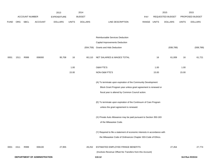|             |      | ACCOUNT NUMBER |                              | 2013                                 |              | 2014<br><b>BUDGET</b> |                                                                           |                     |              | 2015<br>REQUESTED BUDGET |              | 2015<br>PROPOSED BUDGET |
|-------------|------|----------------|------------------------------|--------------------------------------|--------------|-----------------------|---------------------------------------------------------------------------|---------------------|--------------|--------------------------|--------------|-------------------------|
| <b>FUND</b> | ORG  | SBCL           | <b>ACCOUNT</b>               | <b>EXPENDITURE</b><br><b>DOLLARS</b> | <b>UNITS</b> | <b>DOLLARS</b>        | LINE DESCRIPTION                                                          | <b>PAY</b><br>RANGE | <b>UNITS</b> | <b>DOLLARS</b>           | <b>UNITS</b> | <b>DOLLARS</b>          |
|             |      |                |                              |                                      |              |                       |                                                                           |                     |              |                          |              |                         |
|             |      |                |                              |                                      |              |                       | Reimbursable Services Deduction                                           |                     |              |                          |              |                         |
|             |      |                |                              |                                      |              |                       | Capital Improvements Deduction                                            |                     |              |                          |              |                         |
|             |      |                |                              |                                      |              | (934, 759)            | <b>Grants and Aids Deduction</b>                                          |                     |              | (938, 789)               |              | (938, 789)              |
| 0001        | 1511 | R999           | 006000                       | 95,708                               | 16           | 60,110                | NET SALARIES & WAGES TOTAL                                                |                     | 16           | 61,009                   | 16           | 61,721                  |
|             |      |                |                              |                                      | 1.00         |                       | O&M FTE'S                                                                 |                     | 1.00         |                          | 1.00         |                         |
|             |      |                |                              |                                      | 15.00        |                       | NON-O&M FTE'S                                                             |                     | 15.00        |                          | 15.00        |                         |
|             |      |                |                              |                                      |              |                       | (A) To terminate upon expiration of the Community Development             |                     |              |                          |              |                         |
|             |      |                |                              |                                      |              |                       | Block Grant Program year unless grant agreement is renewed or             |                     |              |                          |              |                         |
|             |      |                |                              |                                      |              |                       | fiscal year is altered by Common Council action.                          |                     |              |                          |              |                         |
|             |      |                |                              |                                      |              |                       | (E) To terminate upon expiration of the Continuum of Care Program         |                     |              |                          |              |                         |
|             |      |                |                              |                                      |              |                       | unless the grant agreement is renewed.                                    |                     |              |                          |              |                         |
|             |      |                |                              |                                      |              |                       | (X) Private Auto Allowance may be paid pursuant to Section 350-183        |                     |              |                          |              |                         |
|             |      |                |                              |                                      |              |                       | of the Milwaukee Code.                                                    |                     |              |                          |              |                         |
|             |      |                |                              |                                      |              |                       | (Y) Required to file a statement of economic interests in accordance with |                     |              |                          |              |                         |
|             |      |                |                              |                                      |              |                       | the Milwaukee Code of Ordinances Chapter 303-Code of Ethics.              |                     |              |                          |              |                         |
| 0001        | 1511 | R999           | 006100                       | 27,955                               |              | 28,252                | ESTIMATED EMPLOYEE FRINGE BENEFITS                                        |                     |              | 27,454                   |              | 27,774                  |
|             |      |                |                              |                                      |              |                       | (Involves Revenue Offset-No Transfers from this Account)                  |                     |              |                          |              |                         |
|             |      |                | DEPARTMENT OF ADMINISTRATION |                                      |              |                       | 110.12                                                                    |                     |              |                          |              | 3rd Run 9/15/14         |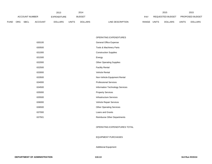|             |     |                       |                | 2013               |              | 2014           |                  |       |              | 2015             |       | 2015                   |
|-------------|-----|-----------------------|----------------|--------------------|--------------|----------------|------------------|-------|--------------|------------------|-------|------------------------|
|             |     | <b>ACCOUNT NUMBER</b> |                | <b>EXPENDITURE</b> |              | <b>BUDGET</b>  |                  | PAY   |              | REQUESTED BUDGET |       | <b>PROPOSED BUDGET</b> |
| <b>FUND</b> | ORG | <b>SBCL</b>           | <b>ACCOUNT</b> | <b>DOLLARS</b>     | <b>UNITS</b> | <b>DOLLARS</b> | LINE DESCRIPTION | RANGE | <b>UNITS</b> | <b>DOLLARS</b>   | UNITS | <b>DOLLARS</b>         |

#### OPERATING EXPENDITURES

| 630100 | <b>General Office Expense</b>   |
|--------|---------------------------------|
| 630500 | Tools & Machinery Parts         |
| 631000 | <b>Construction Supplies</b>    |
| 631500 | Energy                          |
| 632000 | <b>Other Operating Supplies</b> |
| 632500 | <b>Facility Rental</b>          |
| 633000 | <b>Vehicle Rental</b>           |
| 633500 | Non-Vehicle Equipment Rental    |
| 634000 | <b>Professional Services</b>    |
| 634500 | Information Technology Services |
| 635000 | <b>Property Services</b>        |
| 635500 | <b>Infrastructure Services</b>  |
| 636000 | Vehicle Repair Services         |
| 636500 | <b>Other Operating Services</b> |
| 637000 | Loans and Grants                |
| 637501 | Reimburse Other Departments     |

#### OPERATING EXPENDITURES TOTAL

#### EQUIPMENT PURCHASES

# Additional Equipment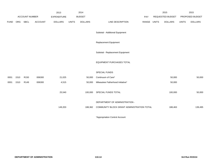| PROPOSED BUDGET<br><b>DOLLARS</b> |
|-----------------------------------|
|                                   |
|                                   |
|                                   |
|                                   |
|                                   |
|                                   |
|                                   |
| 50,000                            |
|                                   |
| 50,000                            |
|                                   |
| 139,495                           |
|                                   |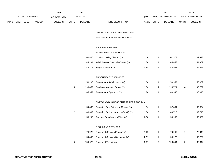|             |            |                       |                | 2013               |              | 2014           |                                  |       | 2015             |              | 2015                   |
|-------------|------------|-----------------------|----------------|--------------------|--------------|----------------|----------------------------------|-------|------------------|--------------|------------------------|
|             |            | <b>ACCOUNT NUMBER</b> |                | <b>EXPENDITURE</b> |              | <b>BUDGET</b>  | PAY                              |       | REQUESTED BUDGET |              | <b>PROPOSED BUDGET</b> |
| <b>FUND</b> | <b>ORG</b> | SBCL                  | <b>ACCOUNT</b> | <b>DOLLARS</b>     | <b>UNITS</b> | <b>DOLLARS</b> | <b>RANGE</b><br>LINE DESCRIPTION | UNITS | <b>DOLLARS</b>   | <b>UNITS</b> | <b>DOLLARS</b>         |

# DEPARTMENT OF ADMINISTRATION-

# BUSINESS OPERATIONS DIVISION

# SALARIES & WAGES

# ADMINISTRATIVE SERVICES

| 100.860 | City Purchasing Director (Y)                | 1LX | 102.373 | 102.373 |
|---------|---------------------------------------------|-----|---------|---------|
|         | 44,194 Administrative Specialist-Senior (Y) | 2EX | 44.857  | 44,857  |
| 44,277  | Program Assistant II                        | 5FN | 44.941  | 44,941  |

#### PROCUREMENT SERVICES

|   | 50.206 | Procurement Administrator (Y)         | 1CX | 50.959  | 50,959  |
|---|--------|---------------------------------------|-----|---------|---------|
| 4 |        | 190,857 Purchasing Agent - Senior (Y) | 2EX | 193.721 | 193.721 |
|   | 65,957 | Procurement Specialist (Y)            | 2FX | 66.946  | 66,946  |

# EMERGING BUSINESS ENTERPRISE PROGRAM

| 54.360 | Emerging Bus. Enterprise Mgr.(A) (Y)  | 1EX | 57.884 | 57.884 |
|--------|---------------------------------------|-----|--------|--------|
| 88.389 | Emerging Business Analyst-Sr. (A) (Y) | 2EX | 89.715 | 89.715 |
| 50.206 | Contract Compliance Officer (Y)       | 2GX | 50.959 | 50,959 |

#### DOCUMENT SERVICES

|   | 74.922  | Document Services Manager (Y)    | 1DX | 76.046  |   | 76.046  |
|---|---------|----------------------------------|-----|---------|---|---------|
|   | 54.455  | Document Services Supervisor (Y) | 2CN | 55.272  |   | 55.272  |
| 5 | 154.670 | Document Technician              | 3CN | 196.844 | 5 | 186,844 |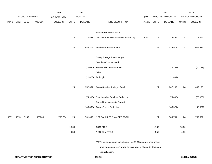|             |      |                |                              | 2013               |              | 2014           |                                                                  |             |       | 2015             |                         | 2015            |
|-------------|------|----------------|------------------------------|--------------------|--------------|----------------|------------------------------------------------------------------|-------------|-------|------------------|-------------------------|-----------------|
|             |      | ACCOUNT NUMBER |                              | <b>EXPENDITURE</b> |              | <b>BUDGET</b>  |                                                                  | PAY         |       | REQUESTED BUDGET |                         | PROPOSED BUDGET |
| <b>FUND</b> | ORG  | SBCL           | ACCOUNT                      | <b>DOLLARS</b>     | <b>UNITS</b> | <b>DOLLARS</b> | LINE DESCRIPTION                                                 | RANGE UNITS |       | <b>DOLLARS</b>   | <b>UNITS</b>            | <b>DOLLARS</b>  |
|             |      |                |                              |                    |              |                |                                                                  |             |       |                  |                         |                 |
|             |      |                |                              |                    |              |                | AUXILIARY PERSONNEL                                              |             |       |                  |                         |                 |
|             |      |                |                              |                    | 4            | 10,862         | Document Services Assistant (0.25 FTE)                           | 9EN         | 4     | 9,455            | $\overline{\mathbf{4}}$ | 9,455           |
|             |      |                |                              |                    | 24           | 984,215        | <b>Total Before Adjustments</b>                                  |             | 24    | 1,039,972        | 24                      | 1,029,972       |
|             |      |                |                              |                    |              |                |                                                                  |             |       |                  |                         |                 |
|             |      |                |                              |                    |              |                | Salary & Wage Rate Change                                        |             |       |                  |                         |                 |
|             |      |                |                              |                    |              |                | Overtime Compensated                                             |             |       |                  |                         |                 |
|             |      |                |                              |                    |              | (20, 044)      | Personnel Cost Adjustment                                        |             |       | (20, 799)        |                         | (20, 799)       |
|             |      |                |                              |                    |              |                | Other                                                            |             |       |                  |                         |                 |
|             |      |                |                              |                    |              |                | (11,820) Furlough                                                |             |       | (11, 891)        |                         |                 |
|             |      |                |                              |                    |              |                |                                                                  |             |       |                  |                         |                 |
|             |      |                |                              |                    | 24           | 952,351        | Gross Salaries & Wages Total                                     |             | 24    | 1,007,282        | 24                      | 1,009,173       |
|             |      |                |                              |                    |              | (74,900)       | Reimbursable Services Deduction                                  |             |       | (75,030)         |                         | (75,030)        |
|             |      |                |                              |                    |              |                | Capital Improvements Deduction                                   |             |       |                  |                         |                 |
|             |      |                |                              |                    |              | (146, 382)     | <b>Grants &amp; Aids Deduction</b>                               |             |       | (146, 521)       |                         | (146, 521)      |
|             |      |                |                              |                    |              |                |                                                                  |             |       |                  |                         |                 |
| 0001        | 1513 | R999           | 006000                       | 786,704            | 24           | 731,069        | NET SALARIES & WAGES TOTAL                                       |             | 24    | 785,731          | 24                      | 787,622         |
|             |      |                |                              |                    | 16.00        |                | <b>O&amp;M FTE'S</b>                                             |             | 16.00 |                  | 16.00                   |                 |
|             |      |                |                              |                    | 4.50         |                | NON-O&M FTE'S                                                    |             | 4.50  |                  | 4.50                    |                 |
|             |      |                |                              |                    |              |                |                                                                  |             |       |                  |                         |                 |
|             |      |                |                              |                    |              |                | (A) To terminate upon expiration of the CDBG program year unless |             |       |                  |                         |                 |
|             |      |                |                              |                    |              |                | grant agreement is renewed or fiscal year is altered by Common   |             |       |                  |                         |                 |
|             |      |                |                              |                    |              |                | Council action.                                                  |             |       |                  |                         |                 |
|             |      |                | DEPARTMENT OF ADMINISTRATION |                    |              |                | 110.16                                                           |             |       |                  |                         | 3rd Run 9/15/14 |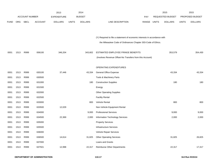|             |            |                       |                | 2013               |              | 2014           |                                                                           |            |       | 2015             |              | 2015            |
|-------------|------------|-----------------------|----------------|--------------------|--------------|----------------|---------------------------------------------------------------------------|------------|-------|------------------|--------------|-----------------|
|             |            | <b>ACCOUNT NUMBER</b> |                | <b>EXPENDITURE</b> |              | <b>BUDGET</b>  |                                                                           | <b>PAY</b> |       | REQUESTED BUDGET |              | PROPOSED BUDGET |
| <b>FUND</b> | <b>ORG</b> | SBCL                  | <b>ACCOUNT</b> | <b>DOLLARS</b>     | <b>UNITS</b> | <b>DOLLARS</b> | <b>LINE DESCRIPTION</b>                                                   | RANGE      | UNITS | <b>DOLLARS</b>   | <b>UNITS</b> | <b>DOLLARS</b>  |
|             |            |                       |                |                    |              |                |                                                                           |            |       |                  |              |                 |
|             |            |                       |                |                    |              |                |                                                                           |            |       |                  |              |                 |
|             |            |                       |                |                    |              |                | (Y) Required to file a statement of economic interests in accordance with |            |       |                  |              |                 |
|             |            |                       |                |                    |              |                | the Milwaukee Code of Ordinances Chapter 303-Code of Ethics.              |            |       |                  |              |                 |
| 0001        | 1513       | R999                  | 006100         | 346,204            |              | 343,602        | ESTIMATED EMPLOYEE FRINGE BENEFITS                                        |            |       | 353,579          |              | 354,430         |
|             |            |                       |                |                    |              |                |                                                                           |            |       |                  |              |                 |
|             |            |                       |                |                    |              |                | (Involves Revenue Offset-No Transfers from this Account)                  |            |       |                  |              |                 |
|             |            |                       |                |                    |              |                | OPERATING EXPENDITURES                                                    |            |       |                  |              |                 |
| 0001        | 1513       | R999                  | 630100         | 37,446             |              | 43,334         | General Office Expense                                                    |            |       | 43,334           |              | 43,334          |
| 0001        | 1513       | R999                  | 630500         |                    |              |                | Tools & Machinery Parts                                                   |            |       |                  |              |                 |
| 0001        | 1513       | R999                  | 631000         |                    |              | 180            | <b>Construction Supplies</b>                                              |            |       | 180              |              | 180             |
| 0001        | 1513       | R999                  | 631500         |                    |              |                | Energy                                                                    |            |       |                  |              |                 |
| 0001        | 1513       | R999                  | 632000         |                    |              |                | <b>Other Operating Supplies</b>                                           |            |       |                  |              |                 |
| 0001        | 1513       | R999                  | 632500         |                    |              |                | <b>Facility Rental</b>                                                    |            |       |                  |              |                 |
| 0001        | 1513       | R999                  | 633000         |                    |              | 800            | Vehicle Rental                                                            |            |       | 800              |              | 800             |
| 0001        | 1513       | R999                  | 633500         | 12,029             |              |                | Non-Vehicle Equipment Rental                                              |            |       |                  |              |                 |
| 0001        | 1513       | R999                  | 634000         |                    |              | 9,000          | <b>Professional Services</b>                                              |            |       | 9,000            |              | 9,000           |
| 0001        | 1513       | R999                  | 634500         | 22,369             |              | 2,000          | Information Technology Services                                           |            |       | 2,000            |              | 2,000           |
| 0001        | 1513       | R999                  | 635000         |                    |              |                | <b>Property Services</b>                                                  |            |       |                  |              |                 |
| 0001        | 1513       | R999                  | 635500         |                    |              |                | <b>Infrastructure Services</b>                                            |            |       |                  |              |                 |
| 0001        | 1513       | R999                  | 636000         |                    |              |                | Vehicle Repair Services                                                   |            |       |                  |              |                 |
| 0001        | 1513       | R999                  | 636500         | 14,614             |              | 31,825         | <b>Other Operating Services</b>                                           |            |       | 31,825           |              | 26,825          |
| 0001        | 1513       | R999                  | 637000         |                    |              |                | Loans and Grants                                                          |            |       |                  |              |                 |
| 0001        | 1513       | R999                  | 637501         | 12,998             |              | 22,317         | Reimburse Other Departments                                               |            |       | 22,317           |              | 17,317          |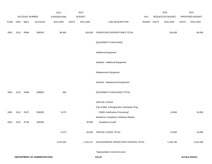|             |      |                        |                              | 2013                          |              | 2014                            |                                              |              |              | 2015                               |              | 2015                              |
|-------------|------|------------------------|------------------------------|-------------------------------|--------------|---------------------------------|----------------------------------------------|--------------|--------------|------------------------------------|--------------|-----------------------------------|
| <b>FUND</b> | ORG  | ACCOUNT NUMBER<br>SBCL | <b>ACCOUNT</b>               | EXPENDITURE<br><b>DOLLARS</b> | <b>UNITS</b> | <b>BUDGET</b><br><b>DOLLARS</b> | LINE DESCRIPTION                             | PAY<br>RANGE | <b>UNITS</b> | REQUESTED BUDGET<br><b>DOLLARS</b> | <b>UNITS</b> | PROPOSED BUDGET<br><b>DOLLARS</b> |
|             |      |                        |                              |                               |              |                                 |                                              |              |              |                                    |              |                                   |
| 0001        | 1513 | R999                   | 006300                       | 99,456                        |              | 109,456                         | OPERATING EXPENDITURES TOTAL                 |              |              | 109,456                            |              | 99,456                            |
|             |      |                        |                              |                               |              |                                 | <b>EQUIPMENT PURCHASES</b>                   |              |              |                                    |              |                                   |
|             |      |                        |                              |                               |              |                                 | <b>Additional Equipment</b>                  |              |              |                                    |              |                                   |
|             |      |                        |                              |                               |              |                                 | Subtotal - Additional Equipment              |              |              |                                    |              |                                   |
|             |      |                        |                              |                               |              |                                 | Replacement Equipment                        |              |              |                                    |              |                                   |
|             |      |                        |                              |                               |              |                                 | Subtotal - Replacement Equipment             |              |              |                                    |              |                                   |
| 0001        | 1513 | R999                   | 006800                       | 995                           |              |                                 | EQUIPMENT PURCHASES TOTAL                    |              |              |                                    |              |                                   |
|             |      |                        |                              |                               |              |                                 | SPECIAL FUNDS                                |              |              |                                    |              |                                   |
|             |      |                        |                              |                               |              |                                 | City of Milw. Emerging Bus. Enterprise Prog. |              |              |                                    |              |                                   |
| 0001        | 1513 | R <sub>157</sub>       | 006300                       | 9,275                         |              |                                 | OSBD-Certification Processing*               |              |              | 10,000                             |              | 10,000                            |
|             |      |                        |                              |                               |              |                                 | Workforce Compliance Software Module         |              |              |                                    |              |                                   |
| 0001        | 1513 | R146                   | 006300                       |                               |              | 40,000                          | Compliance Audit*                            |              |              |                                    |              |                                   |
|             |      |                        |                              | 9,275                         |              |                                 | 40,000 SPECIAL FUNDS TOTAL                   |              |              | 10,000                             |              | 10,000                            |
|             |      |                        |                              | 1,242,634                     |              | 1,224,127                       | DOA-BUSINESS OPERATIONS DIVISION TOTAL       |              |              | 1,258,766                          |              | 1,251,508                         |
|             |      |                        |                              |                               |              |                                 | *Appropriation Control Account               |              |              |                                    |              |                                   |
|             |      |                        | DEPARTMENT OF ADMINISTRATION |                               |              |                                 | 110.18                                       |              |              |                                    |              | 3rd Run 9/15/14                   |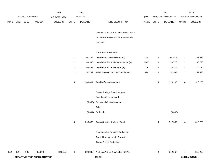|             |      |                |                              | 2013               |              | 2014           |                                       |             |              | 2015             |              | 2015            |
|-------------|------|----------------|------------------------------|--------------------|--------------|----------------|---------------------------------------|-------------|--------------|------------------|--------------|-----------------|
|             |      | ACCOUNT NUMBER |                              | <b>EXPENDITURE</b> |              | <b>BUDGET</b>  |                                       | PAY         |              | REQUESTED BUDGET |              | PROPOSED BUDGET |
| <b>FUND</b> | ORG  | <b>SBCL</b>    | <b>ACCOUNT</b>               | <b>DOLLARS</b>     | <b>UNITS</b> | <b>DOLLARS</b> | LINE DESCRIPTION                      | RANGE UNITS |              | <b>DOLLARS</b>   | <b>UNITS</b> | <b>DOLLARS</b>  |
|             |      |                |                              |                    |              |                |                                       |             |              |                  |              |                 |
|             |      |                |                              |                    |              |                | DEPARTMENT OF ADMINISTRATION -        |             |              |                  |              |                 |
|             |      |                |                              |                    |              |                | INTERGOVERNMENTAL RELATIONS           |             |              |                  |              |                 |
|             |      |                |                              |                    |              |                | <b>DIVISION</b>                       |             |              |                  |              |                 |
|             |      |                |                              |                    |              |                | SALARIES & WAGES                      |             |              |                  |              |                 |
|             |      |                |                              |                    | $\mathbf{1}$ | 101,294        | Legislative Liaison Director (Y)      | 1NX         | 1            | 102,813          | $\mathbf{1}$ | 102,813         |
|             |      |                |                              |                    | $\mathbf{1}$ | 89,385         | Legislative Fiscal Manager-Senior (Y) | 2MX         | $\mathbf{1}$ | 90,726           | $\mathbf{1}$ | 90,726          |
|             |      |                |                              |                    | $\mathbf{1}$ | 66,453         | Legislative Fiscal Manager (Y)        | 2LX         | $\mathbf{1}$ | 70,126           | $\mathbf{1}$ | 70,126          |
|             |      |                |                              |                    | $\mathbf{1}$ | 51,762         | Administrative Services Coordinator   | 5JN         | $\mathbf{1}$ | 52,538           | $\mathbf{1}$ | 52,538          |
|             |      |                |                              |                    |              |                |                                       |             |              |                  |              |                 |
|             |      |                |                              |                    | 4            | 308,894        | <b>Total Before Adjustments</b>       |             | 4            | 316,203          | 4            | 316,203         |
|             |      |                |                              |                    |              |                | Salary & Wage Rate Changes            |             |              |                  |              |                 |
|             |      |                |                              |                    |              |                | Overtime Compensated                  |             |              |                  |              |                 |
|             |      |                |                              |                    |              | (6, 380)       | Personnel Cost Adjustment             |             |              |                  |              |                 |
|             |      |                |                              |                    |              |                | Other                                 |             |              |                  |              |                 |
|             |      |                |                              |                    |              |                | (3,681) Furlough                      |             |              | (3,636)          |              |                 |
|             |      |                |                              |                    |              |                |                                       |             |              |                  |              |                 |
|             |      |                |                              |                    | 4            | 298,833        | Gross Salaries & Wages Total          |             | 4            | 312,567          | 4            | 316,203         |
|             |      |                |                              |                    |              |                | Reimbursable Services Deduction       |             |              |                  |              |                 |
|             |      |                |                              |                    |              |                | Capital Improvements Deduction        |             |              |                  |              |                 |
|             |      |                |                              |                    |              |                | <b>Grants &amp; Aids Deduction</b>    |             |              |                  |              |                 |
|             |      |                |                              |                    |              |                |                                       |             |              |                  |              |                 |
| 0001        | 1514 | R999           | 006000                       | 321,196            | 4            | 298,833        | NET SALARIES & WAGES TOTAL            |             | 4            | 312,567          | 4            | 316,203         |
|             |      |                | DEPARTMENT OF ADMINISTRATION |                    |              |                | 110.19                                |             |              |                  |              | 3rd Run 9/15/14 |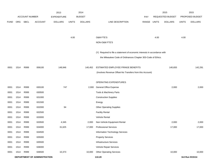|             |      |                       |                              | 2013               |              | 2014           |                                                                           |       |              | 2015             |              | 2015            |
|-------------|------|-----------------------|------------------------------|--------------------|--------------|----------------|---------------------------------------------------------------------------|-------|--------------|------------------|--------------|-----------------|
|             |      | <b>ACCOUNT NUMBER</b> |                              | <b>EXPENDITURE</b> |              | <b>BUDGET</b>  |                                                                           | PAY   |              | REQUESTED BUDGET |              | PROPOSED BUDGET |
| <b>FUND</b> | ORG  | <b>SBCL</b>           | <b>ACCOUNT</b>               | <b>DOLLARS</b>     | <b>UNITS</b> | <b>DOLLARS</b> | LINE DESCRIPTION                                                          | RANGE | <b>UNITS</b> | <b>DOLLARS</b>   | <b>UNITS</b> | <b>DOLLARS</b>  |
|             |      |                       |                              |                    |              |                |                                                                           |       |              |                  |              |                 |
|             |      |                       |                              |                    |              |                |                                                                           |       |              |                  |              |                 |
|             |      |                       |                              |                    | 4.00         |                | O&M FTE'S                                                                 |       | 4.00         |                  | 4.00         |                 |
|             |      |                       |                              |                    |              |                | NON-O&M FTE'S                                                             |       |              |                  |              |                 |
|             |      |                       |                              |                    |              |                | (Y) Required to file a statement of economic interests in accordance with |       |              |                  |              |                 |
|             |      |                       |                              |                    |              |                | the Milwaukee Code of Ordinances Chapter 303-Code of Ethics.              |       |              |                  |              |                 |
|             |      |                       |                              |                    |              |                |                                                                           |       |              |                  |              |                 |
| 0001        | 1514 | R999                  | 006100                       | 148,946            |              | 140,452        | ESTIMATED EMPLOYEE FRINGE BENEFITS                                        |       |              | 140,655          |              | 142,291         |
|             |      |                       |                              |                    |              |                | (Involves Revenue Offset-No Transfers from this Account)                  |       |              |                  |              |                 |
|             |      |                       |                              |                    |              |                |                                                                           |       |              |                  |              |                 |
|             |      |                       |                              |                    |              |                | OPERATING EXPENDITURES                                                    |       |              |                  |              |                 |
| 0001        | 1514 | R999                  | 630100                       | 747                |              | 2,000          | <b>General Office Expense</b>                                             |       |              | 2,000            |              | 2,000           |
| 0001        | 1514 | R999                  | 630500                       |                    |              |                | Tools & Machinery Parts                                                   |       |              |                  |              |                 |
| 0001        | 1514 | R999                  | 631000                       |                    |              |                | <b>Construction Supplies</b>                                              |       |              |                  |              |                 |
| 0001        | 1514 | R999                  | 631500                       |                    |              |                | Energy                                                                    |       |              |                  |              |                 |
| 0001        | 1514 | R999                  | 632000                       | 94                 |              |                | <b>Other Operating Supplies</b>                                           |       |              |                  |              |                 |
| 0001        | 1514 | R999                  | 632500                       |                    |              |                | <b>Facility Rental</b>                                                    |       |              |                  |              |                 |
| 0001        | 1514 | R999                  | 633000                       |                    |              |                | Vehicle Rental                                                            |       |              |                  |              |                 |
| 0001        | 1514 | R999                  | 633500                       | 4,345              |              | 2,000          | Non-Vehicle Equipment Rental                                              |       |              | 2,000            |              | 2,000           |
| 0001        | 1514 | R999                  | 634000                       | 31,625             |              | 17,000         | <b>Professional Services</b>                                              |       |              | 17,000           |              | 17,000          |
| 0001        | 1514 | R999                  | 634500                       |                    |              |                | Information Technology Services                                           |       |              |                  |              |                 |
| 0001        | 1514 | R999                  | 635000                       |                    |              |                | <b>Property Services</b>                                                  |       |              |                  |              |                 |
| 0001        | 1514 | R999                  | 635500                       |                    |              |                | Infrastructure Services                                                   |       |              |                  |              |                 |
| 0001        | 1514 | R999                  | 636000                       |                    |              |                | Vehicle Repair Services                                                   |       |              |                  |              |                 |
| 0001        | 1514 | R999                  | 636500                       | 10,373             |              | 10,000         | <b>Other Operating Services</b>                                           |       |              | 10,000           |              | 10,000          |
|             |      |                       | DEPARTMENT OF ADMINISTRATION |                    |              |                | 110.20                                                                    |       |              |                  |              | 3rd Run 9/15/14 |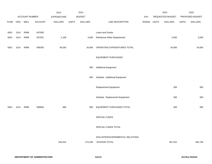|             |      |                |                | 2013               |              | 2014           |                                    |             | 2015             |              | 2015            |
|-------------|------|----------------|----------------|--------------------|--------------|----------------|------------------------------------|-------------|------------------|--------------|-----------------|
|             |      | ACCOUNT NUMBER |                | <b>EXPENDITURE</b> |              | <b>BUDGET</b>  |                                    | PAY         | REQUESTED BUDGET |              | PROPOSED BUDGET |
| <b>FUND</b> | ORG  | <b>SBCL</b>    | <b>ACCOUNT</b> | <b>DOLLARS</b>     | <b>UNITS</b> | <b>DOLLARS</b> | LINE DESCRIPTION                   | RANGE UNITS | <b>DOLLARS</b>   | <b>UNITS</b> | <b>DOLLARS</b>  |
|             |      |                |                |                    |              |                |                                    |             |                  |              |                 |
| 0001        | 1514 | R999           | 637000         |                    |              |                | Loans and Grants                   |             |                  |              |                 |
| 0001        | 1514 | R999           | 637501         | 2,109              |              | 3,000          | <b>Reimburse Other Departments</b> |             | 3,000            |              | 3,000           |
|             |      |                |                |                    |              |                |                                    |             |                  |              |                 |
| 0001        | 1514 | R999           | 006300         | 49,293             |              | 34,000         | OPERATING EXPENDITURES TOTAL       |             | 34,000           |              | 34,000          |
|             |      |                |                |                    |              |                |                                    |             |                  |              |                 |
|             |      |                |                |                    |              |                | <b>EQUIPMENT PURCHASES</b>         |             |                  |              |                 |
|             |      |                |                |                    |              |                |                                    |             |                  |              |                 |
|             |      |                |                |                    |              | 900            | <b>Additional Equipment</b>        |             |                  |              |                 |
|             |      |                |                |                    |              |                |                                    |             |                  |              |                 |
|             |      |                |                |                    |              | 900            | Subtotal - Additional Equipment    |             |                  |              |                 |
|             |      |                |                |                    |              |                |                                    |             | 300              |              | 300             |
|             |      |                |                |                    |              |                | Replacement Equipment              |             |                  |              |                 |
|             |      |                |                |                    |              |                | Subtotal - Replacement Equipment   |             | 300              |              | 300             |
|             |      |                |                |                    |              |                |                                    |             |                  |              |                 |
| 0001        | 1514 | R999           | 006800         | 989                |              | 900            | EQUIPMENT PURCHASES TOTAL          |             | 300              |              | 300             |
|             |      |                |                |                    |              |                |                                    |             |                  |              |                 |
|             |      |                |                |                    |              |                | SPECIAL FUNDS                      |             |                  |              |                 |
|             |      |                |                |                    |              |                |                                    |             |                  |              |                 |
|             |      |                |                |                    |              |                | SPECIAL FUNDS TOTAL                |             |                  |              |                 |
|             |      |                |                |                    |              |                |                                    |             |                  |              |                 |
|             |      |                |                |                    |              |                | DOA-INTERGOVERNMENTAL RELATIONS    |             |                  |              |                 |
|             |      |                |                | 520,424            |              | 474,185        | <b>DIVISION TOTAL</b>              |             | 487,522          |              | 492,794         |
|             |      |                |                |                    |              |                |                                    |             |                  |              |                 |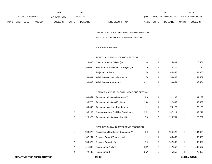|             |            |                       |                | 2013               |              | 2014           |                                  |                  | 2015           |              | 2015                   |
|-------------|------------|-----------------------|----------------|--------------------|--------------|----------------|----------------------------------|------------------|----------------|--------------|------------------------|
|             |            | <b>ACCOUNT NUMBER</b> |                | <b>EXPENDITURE</b> |              | <b>BUDGET</b>  | PAY                              | REQUESTED BUDGET |                |              | <b>PROPOSED BUDGET</b> |
| <b>FUND</b> | <b>ORG</b> | <b>SBCL</b>           | <b>ACCOUNT</b> | <b>DOLLARS</b>     | <b>UNITS</b> | <b>DOLLARS</b> | LINE DESCRIPTION<br><b>RANGE</b> | <b>UNITS</b>     | <b>DOLLARS</b> | <b>UNITS</b> | <b>DOLLARS</b>         |

#### DEPARTMENT OF ADMINISTRATION-INFORMATION

#### AND TECHNOLOGY MANAGEMENT DIVISION

# SALARIES & WAGES

#### POLICY AND ADMINISTRATION SECTION

| 1 | 113,695 | Chief Information Officer (Y)                                        | 1NX | 1              | 115,401 |   | 115,401 |
|---|---------|----------------------------------------------------------------------|-----|----------------|---------|---|---------|
| 1 | 69,090  | Policy and Administration Manager (Y)                                | 2LX | 1              | 70,126  | 1 | 70,126  |
|   |         | <b>Project Coordinator</b>                                           | 2EX | 1              | 44,858  |   | 44,858  |
| 1 | 53,661  | Administrative Specialist - Senior                                   | 2EX | 1              | 54,467  | 1 | 54,467  |
| 1 | 38,869  | Administrative Assistant II                                          | 6HN | 1              | 39,454  | 1 | 39,454  |
|   |         |                                                                      |     |                |         |   |         |
|   |         | NETWORK AND TELECOMMUNICATIONS SECTION                               |     |                |         |   |         |
| 1 | 89,851  | Telecommunications Manager (Y)                                       | 11X | 1              | 91,199  | 1 | 91,199  |
| 1 | 90,728  | <b>Telecommunications Engineer</b>                                   | 2KX | 1              | 92,089  | 1 | 92,089  |
| 1 | 69,090  | Telecomm. Analyst - Proj. Leader                                     | 2LX | 1              | 70,126  | 1 | 70,126  |
| 2 | 135,182 | <b>Communications Facilities Coordinator</b>                         | 3SN | 2              | 137,211 | 2 | 137,211 |
| 2 | 123,922 | Telecommunications Analyst - Sr.                                     | 2IX | $\overline{2}$ | 125,781 | 2 | 125,781 |
|   |         |                                                                      |     |                |         |   |         |
|   |         | $\lambda$ DDU IO $\lambda$ TIONIC $\lambda$ NID DEVELODMENT OF OTHER |     |                |         |   |         |

# APPLICATIONS AND DEVELOPMENT SECTION

| 103.077 | Applications Development Manager (Y) | 11X | 104.623 |   | 104,623 |
|---------|--------------------------------------|-----|---------|---|---------|
| 82.231  | Systems Analyst/Project Leader       | 2LX | 83.465  |   | 83,465  |
| 159.672 | Systems Analyst - Sr.                | 2IX | 162.062 | 2 | 162,062 |
| 411.386 | <b>Programmer Analyst</b>            | 2GN | 417.557 |   | 405,507 |
| 72,432  | Programmer II                        | 3NN | 75.356  | 2 | 75,356  |
|         |                                      |     |         |   |         |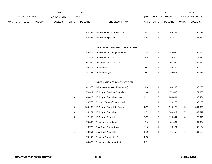|             |     |                       |                | 2013               |              | 2014           |                                       |             |                | 2015             |                | 2015            |
|-------------|-----|-----------------------|----------------|--------------------|--------------|----------------|---------------------------------------|-------------|----------------|------------------|----------------|-----------------|
|             |     | <b>ACCOUNT NUMBER</b> |                | <b>EXPENDITURE</b> |              | <b>BUDGET</b>  |                                       | PAY         |                | REQUESTED BUDGET |                | PROPOSED BUDGET |
| <b>FUND</b> | ORG | <b>SBCL</b>           | <b>ACCOUNT</b> | <b>DOLLARS</b>     | <b>UNITS</b> | <b>DOLLARS</b> | LINE DESCRIPTION                      | RANGE UNITS |                | <b>DOLLARS</b>   | <b>UNITS</b>   | <b>DOLLARS</b>  |
|             |     |                       |                |                    | $\mathbf{1}$ | 68,754         | Internet Services Coordinator         | 2GX         | $\overline{1}$ | 69,786           | $\mathbf{1}$   | 69,786          |
|             |     |                       |                |                    | $\mathbf{1}$ | 40,857         | Internet Analyst - Sr.                | 5FN         | $\overline{1}$ | 41,470           | $\mathbf{1}$   | 41,470          |
|             |     |                       |                |                    |              |                | <b>GEOGRAPHIC INFORMATION SYSTEMS</b> |             |                |                  |                |                 |
|             |     |                       |                |                    | $\mathbf{1}$ | 83,828         | GIS Developer - Project Leader        | 1HX         | $\mathbf{1}$   | 85,086           | $\mathbf{1}$   | 85,086          |
|             |     |                       |                |                    | $\mathbf{1}$ | 72,827         | GIS Developer - Sr.                   | $2IX$       | $\mathbf{1}$   | 73,920           | $\mathbf{1}$   | 73,920          |
|             |     |                       |                |                    | $\mathbf{1}$ | 42,305         | Geographic Info. Tech. II             | 3FN         | $\overline{1}$ | 42,940           | $\mathbf{1}$   | 42,940          |
|             |     |                       |                |                    | $\mathbf{1}$ | 55,374         | <b>GIS Analyst</b>                    | 2GN         | $\overline{1}$ | 56,205           | $\mathbf{1}$   | 56,205          |
|             |     |                       |                |                    | $\mathbf{1}$ | 57,169         | GIS Analyst (A)                       | 2GN         | $\overline{1}$ | 58,027           | $\mathbf{1}$   | 58,027          |
|             |     |                       |                |                    |              |                | INFORMATION SERVICES SECTION          |             |                |                  |                |                 |
|             |     |                       |                |                    | $\mathbf{1}$ | 81,976         | Information Services Manager (Y)      | 11X         | $\overline{1}$ | 83,206           | $\mathbf{1}$   | 83,206          |
|             |     |                       |                |                    | $\mathbf{1}$ | 70,621         | IT Support Services Supervisor        | 2KX         | $\overline{1}$ | 71,680           | 1              | 71,680          |
|             |     |                       |                |                    | $\mathbf{3}$ | 203,413        | IT Support Specialist - Lead          | 2HN         | 3              | 206,464          | 3              | 206,464         |
|             |     |                       |                |                    | 1            | 96,772         | Systems Analyst/Project Leader        | 2LX         | $\mathbf{1}$   | 98,173           | $\mathbf{1}$   | 98,173          |
|             |     |                       |                |                    | 4            | 239,238        | IT Support Specialist - Senior        | 2GN         | 5              | 314,176          | $\sqrt{5}$     | 304,676         |
|             |     |                       |                |                    | 6            | 294,271        | <b>IT Support Specialist</b>          | 2EN         | $\overline{7}$ | 369,517          | $\overline{7}$ | 369,517         |
|             |     |                       |                |                    | 3            | 122,155        | IT Support Associate                  | 5GN         | 3              | 125,641          | 3              | 125,641         |
|             |     |                       |                |                    | $\mathbf{1}$ | 79,836         | Network Administrator                 | $2IX$       | $\overline{1}$ | 81,034           | $\mathbf{1}$   | 81,034          |
|             |     |                       |                |                    | $\mathbf{1}$ | 96,722         | Data Base Administrator               | 1HX         | $\overline{1}$ | 98,174           | $\mathbf{1}$   | 98,174          |
|             |     |                       |                |                    | $\mathbf{1}$ | 60,251         | Data Base Associate                   | 2GX         | $\overline{1}$ | 61,155           | $\mathbf{1}$   | 61,155          |
|             |     |                       |                |                    | $\mathbf{1}$ | 70,295         | Network Coordinator- Sr.              | 2GX         |                |                  |                |                 |
|             |     |                       |                |                    | 1            | 49,472         | Network Analyst Assistant             | 2EN         |                |                  |                |                 |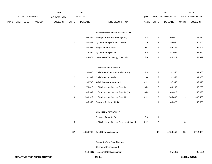|             |     |                |                              | 2013               |                  | 2014           |                                         |               |                         | 2015             |                | 2015            |
|-------------|-----|----------------|------------------------------|--------------------|------------------|----------------|-----------------------------------------|---------------|-------------------------|------------------|----------------|-----------------|
|             |     | ACCOUNT NUMBER |                              | <b>EXPENDITURE</b> |                  | <b>BUDGET</b>  |                                         | PAY           |                         | REQUESTED BUDGET |                | PROPOSED BUDGET |
| <b>FUND</b> | ORG | <b>SBCL</b>    | <b>ACCOUNT</b>               | <b>DOLLARS</b>     | <b>UNITS</b>     | <b>DOLLARS</b> | LINE DESCRIPTION                        | RANGE         | <b>UNITS</b>            | <b>DOLLARS</b>   | <b>UNITS</b>   | <b>DOLLARS</b>  |
|             |     |                |                              |                    |                  |                | <b>ENTERPRISE SYSTEMS SECTION</b>       |               |                         |                  |                |                 |
|             |     |                |                              |                    | $\mathbf{1}$     | 109,864        | Enterprise Systems Manager (Y)          | 11X           | $\mathbf{1}$            | 103,070          | $\mathbf{1}$   | 103,070         |
|             |     |                |                              |                    | $\boldsymbol{2}$ | 180,861        | Systems Analyst/Project Leader          | 2LX           | $\mathbf 2$             | 155,050          | $\overline{c}$ | 155,050         |
|             |     |                |                              |                    | $\mathbf{1}$     | 52,998         | Programmer Analyst                      | 2GN           | 1                       | 56,205           | $\mathbf{1}$   | 56,205          |
|             |     |                |                              |                    | $\overline{1}$   | 79,836         | Systems Analyst - Sr.                   | 2IX           | $\mathbf{1}$            | 81,034           | $\mathbf{1}$   | 57,884          |
|             |     |                |                              |                    | $\mathbf{1}$     | 43,674         | Information Technology Specialist       | $3\mathsf{G}$ | $\mathbf{1}$            | 44,329           | $\mathbf{1}$   | 44,329          |
|             |     |                |                              |                    |                  |                | UNIFIED CALL CENTER                     |               |                         |                  |                |                 |
|             |     |                |                              |                    | $\mathbf{1}$     | 90,000         | Call Center Oper. and Analytics Mgr.    | 11X           | $\mathbf{1}$            | 91,350           | $\mathbf{1}$   | 91,350          |
|             |     |                |                              |                    | $\boldsymbol{2}$ | 91,389         | Call Center Supervisor                  | 1AX           | $\mathbf 2$             | 91,958           | $\overline{c}$ | 91,958          |
|             |     |                |                              |                    | $\mathbf{1}$     | 36,793         | Administrative Assistant II             | 6HN           | 1                       | 37,345           | $\mathbf{1}$   | 37,345          |
|             |     |                |                              |                    | $\overline{2}$   | 79,015         | UCC Customer Service Rep. IV            | 6JN           | $\overline{\mathbf{c}}$ | 80,200           | $\overline{c}$ | 80,200          |
|             |     |                |                              |                    | $\mathbf{1}$     | 45,939         | UCC Customer Service Rep. IV (D)        | 6JN           | 1                       | 46,628           | $\mathbf{1}$   | 46,628          |
|             |     |                |                              |                    | 9                | 300,919        | UCC Customer Service Rep. III           | 6HN           | 9                       | 305,433          | 9              | 305,433         |
|             |     |                |                              |                    | $\mathbf{1}$     | 45,939         | Program Assistant III (D)               |               | $\mathbf{1}$            | 46,628           | $\mathbf{1}$   | 46,628          |
|             |     |                |                              |                    |                  |                | AUXILIARY PERSONNEL                     |               |                         |                  |                |                 |
|             |     |                |                              |                    | $\overline{1}$   |                | Systems Analyst - Sr.                   | 2IX           | $\mathbf{1}$            |                  | $\mathbf{1}$   |                 |
|             |     |                |                              |                    | 3                |                | UCC Customer Service Representative III | 6HN           | 3                       |                  | 3              |                 |
|             |     |                |                              |                    | 82               |                | 4,656,249 Total Before Adjustments      |               | 83                      | 4,759,659        | 83             | 4,714,959       |
|             |     |                |                              |                    |                  |                | Salary & Wage Rate Change               |               |                         |                  |                |                 |
|             |     |                |                              |                    |                  |                | Overtime Compensated                    |               |                         |                  |                |                 |
|             |     |                |                              |                    |                  |                | (114,631) Personnel Cost Adjustment     |               |                         | (95, 193)        |                | (95, 193)       |
|             |     |                | DEPARTMENT OF ADMINISTRATION |                    |                  |                | 110.24                                  |               |                         |                  |                | 3rd Run 9/15/14 |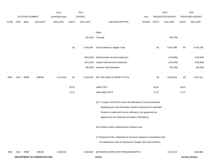|             |      |                |                              | 2013               |              | 2014           |                                                                           |             |           | 2015             |              | 2015            |
|-------------|------|----------------|------------------------------|--------------------|--------------|----------------|---------------------------------------------------------------------------|-------------|-----------|------------------|--------------|-----------------|
|             |      | ACCOUNT NUMBER |                              | <b>EXPENDITURE</b> |              | <b>BUDGET</b>  |                                                                           | <b>PAY</b>  |           | REQUESTED BUDGET |              | PROPOSED BUDGET |
| <b>FUND</b> | ORG  | SBCL           | ACCOUNT                      | <b>DOLLARS</b>     | <b>UNITS</b> | <b>DOLLARS</b> | LINE DESCRIPTION                                                          | RANGE UNITS |           | <b>DOLLARS</b>   | <b>UNITS</b> | <b>DOLLARS</b>  |
|             |      |                |                              |                    |              |                |                                                                           |             |           |                  |              |                 |
|             |      |                |                              |                    |              |                | Other                                                                     |             |           |                  |              |                 |
|             |      |                |                              |                    |              | (65, 163)      | Furlough                                                                  |             |           | (66, 768)        |              |                 |
|             |      |                |                              |                    | 82           | 4,476,455      | Gross Salaries & Wages Total                                              |             | 83        | 4,597,698        | 83           | 4,619,766       |
|             |      |                |                              |                    |              |                |                                                                           |             |           |                  |              |                 |
|             |      |                |                              |                    |              | (823, 628)     | Reimbursable Services Deduction                                           |             |           | (718,090)        |              | (748,090)       |
|             |      |                |                              |                    |              | (242, 023)     | Capital Improvements Deduction                                            |             |           | (145, 400)       |              | (218,900)       |
|             |      |                |                              |                    |              | (95, 265)      | <b>Grants &amp; Aids Deduction</b>                                        |             | (95, 265) |                  |              | (95, 265)       |
| 0001        | 1515 | R999           | 006000                       | 3,137,630          | 82           | 3,315,539      | NET SALARIES & WAGES TOTAL                                                |             | 83        | 3,638,943        | 83           | 3,557,511       |
|             |      |                |                              |                    | 60.87        |                | O&M FTE'S                                                                 |             | 60.87     |                  | 60.87        |                 |
|             |      |                |                              |                    | 16.47        |                | NON-O&M FTE'S                                                             |             | 17.47     |                  | 17.47        |                 |
|             |      |                |                              |                    |              |                | (A) To expire 12/31/2014 unless the Milwaukee County Automated            |             |           |                  |              |                 |
|             |      |                |                              |                    |              |                | Mapping and Land Information Systems Agreement is extended.               |             |           |                  |              |                 |
|             |      |                |                              |                    |              |                | Position is authorized only as reflected in the agreement as              |             |           |                  |              |                 |
|             |      |                |                              |                    |              |                | approved by the Steering Committee of MCAMLIS.                            |             |           |                  |              |                 |
|             |      |                |                              |                    |              |                | (D) Positions 100% reimbursed by Parking Fund                             |             |           |                  |              |                 |
|             |      |                |                              |                    |              |                | (Y) Required to file a statement of economic interests in accordance with |             |           |                  |              |                 |
|             |      |                |                              |                    |              |                | the Milwaukee Code of Ordinances Chapter 303-Code of Ethics.              |             |           |                  |              |                 |
| 0001        | 1515 | R999           | 006100                       | 1,460,910          |              | 1,558,303      | ESTIMATED EMPLOYEE FRINGE BENEFITS                                        |             |           | 1,637,524        |              | 1,600,880       |
|             |      |                | DEPARTMENT OF ADMINISTRATION |                    |              |                | 110.25                                                                    |             |           |                  |              | 3rd Run 9/15/14 |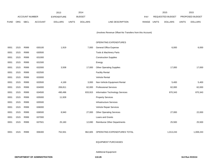|             |      |                       |                | 2013               |              | 2014           |                                                          |            |              | 2015             |              | 2015            |
|-------------|------|-----------------------|----------------|--------------------|--------------|----------------|----------------------------------------------------------|------------|--------------|------------------|--------------|-----------------|
|             |      | <b>ACCOUNT NUMBER</b> |                | <b>EXPENDITURE</b> |              | <b>BUDGET</b>  |                                                          | <b>PAY</b> |              | REQUESTED BUDGET |              | PROPOSED BUDGET |
| <b>FUND</b> | ORG  | <b>SBCL</b>           | <b>ACCOUNT</b> | <b>DOLLARS</b>     | <b>UNITS</b> | <b>DOLLARS</b> | LINE DESCRIPTION                                         | RANGE      | <b>UNITS</b> | <b>DOLLARS</b>   | <b>UNITS</b> | <b>DOLLARS</b>  |
|             |      |                       |                |                    |              |                |                                                          |            |              |                  |              |                 |
|             |      |                       |                |                    |              |                | (Involves Revenue Offset-No Transfers from this Account) |            |              |                  |              |                 |
|             |      |                       |                |                    |              |                |                                                          |            |              |                  |              |                 |
|             |      |                       |                |                    |              |                | OPERATING EXPENDITURES                                   |            |              |                  |              |                 |
| 0001        | 1515 | R999                  | 630100         | 1,919              |              | 7,000          | <b>General Office Expense</b>                            |            |              | 6,000            |              | 6,000           |
| 0001        | 1515 | R999                  | 630500         |                    |              |                | Tools & Machinery Parts                                  |            |              |                  |              |                 |
| 0001        | 1515 | R999                  | 631000         |                    |              |                | <b>Construction Supplies</b>                             |            |              |                  |              |                 |
| 0001        | 1515 | R999                  | 631500         |                    |              |                | Energy                                                   |            |              |                  |              |                 |
| 0001        | 1515 | R999                  | 632000         | 3,508              |              | 17,000         | <b>Other Operating Supplies</b>                          |            |              | 17,000           |              | 17,000          |
| 0001        | 1515 | R999                  | 632500         |                    |              |                | <b>Facility Rental</b>                                   |            |              |                  |              |                 |
| 0001        | 1515 | R999                  | 633000         |                    |              |                | Vehicle Rental                                           |            |              |                  |              |                 |
| 0001        | 1515 | R999                  | 633500         | 4,169              |              | 3,000          | Non-Vehicle Equipment Rental                             |            |              | 5,400            |              | 5,400           |
| 0001        | 1515 | R999                  | 634000         | 206,811            |              | 62,000         | <b>Professional Services</b>                             |            |              | 62,000           |              | 62,000          |
| 0001        | 1515 | R999                  | 634500         | 490,496            |              | 833,915        | Information Technology Services                          |            |              | 870,343          |              | 870,343         |
| 0001        | 1515 | R999                  | 635000         | 11,928             |              |                | <b>Property Services</b>                                 |            |              |                  |              |                 |
| 0001        | 1515 | R999                  | 635500         |                    |              |                | Infrastructure Services                                  |            |              |                  |              |                 |
| 0001        | 1515 | R999                  | 636000         |                    |              |                | Vehicle Repair Services                                  |            |              |                  |              |                 |
| 0001        | 1515 | R999                  | 636500         | 8,940              |              | 27,000         | <b>Other Operating Services</b>                          |            |              | 27,000           |              | 22,000          |
| 0001        | 1515 | R999                  | 637000         |                    |              |                | Loans and Grants                                         |            |              |                  |              |                 |
| 0001        | 1515 | R999                  | 637501         | 25,160             |              | 12,690         | Reimburse Other Departments                              |            |              | 25,500           |              | 25,500          |
|             |      |                       |                |                    |              |                |                                                          |            |              |                  |              |                 |
| 0001        | 1515 | R999                  | 006300         | 752,931            |              | 962,605        | OPERATING EXPENDITURES TOTAL                             |            |              | 1,013,243        |              | 1,008,243       |
|             |      |                       |                |                    |              |                |                                                          |            |              |                  |              |                 |

EQUIPMENT PURCHASES

Additional Equipment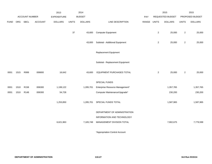|             |      |                |                | 2013               |              | 2014           |                                  |       |                | 2015             |                | 2015            |
|-------------|------|----------------|----------------|--------------------|--------------|----------------|----------------------------------|-------|----------------|------------------|----------------|-----------------|
|             |      | ACCOUNT NUMBER |                | <b>EXPENDITURE</b> |              | <b>BUDGET</b>  |                                  | PAY   |                | REQUESTED BUDGET |                | PROPOSED BUDGET |
| <b>FUND</b> | ORG  | SBCL           | <b>ACCOUNT</b> | <b>DOLLARS</b>     | <b>UNITS</b> | <b>DOLLARS</b> | LINE DESCRIPTION                 | RANGE | <b>UNITS</b>   | <b>DOLLARS</b>   | <b>UNITS</b>   | <b>DOLLARS</b>  |
|             |      |                |                |                    | 37           | 43,600         | <b>Computer Equipment</b>        |       | $\overline{2}$ | 25,000           | $\mathbf{2}$   | 25,000          |
|             |      |                |                |                    |              | 43,600         | Subtotal - Additional Equipment  |       | $\overline{2}$ | 25,000           | $\mathbf{2}$   | 25,000          |
|             |      |                |                |                    |              |                | Replacement Equipment            |       |                |                  |                |                 |
|             |      |                |                |                    |              |                | Subtotal - Replacement Equipment |       |                |                  |                |                 |
| 0001        | 1515 | R999           | 006800         | 16,642             |              | 43,600         | EQUIPMENT PURCHASES TOTAL        |       | $\overline{2}$ | 25,000           | $\overline{2}$ | 25,000          |
|             |      |                |                |                    |              |                | SPECIAL FUNDS                    |       |                |                  |                |                 |
| 0001        | 1510 | R158           | 006300         | 1,199,122          |              | 1,285,701      | Enterprise Resource Management*  |       |                | 1,357,765        |                | 1,357,765       |
| 0001        | 1510 | R148           | 006300         | 54,728             |              |                | Computer Maintenance/Upgrade*    |       |                | 230,200          |                | 230,200         |
|             |      |                |                | 1,253,850          |              | 1,285,701      | SPECIAL FUNDS TOTAL              |       |                | 1,587,965        |                | 1,587,965       |
|             |      |                |                |                    |              |                | DEPARTMENT OF ADMINISTRATION     |       |                |                  |                |                 |
|             |      |                |                |                    |              |                | INFORMATION AND TECHNOLOGY       |       |                |                  |                |                 |
|             |      |                |                | 6,621,963          |              | 7,165,748      | MANAGEMENT DIVISION TOTAL        |       |                | 7,902,675        |                | 7,779,599       |
|             |      |                |                |                    |              |                |                                  |       |                |                  |                |                 |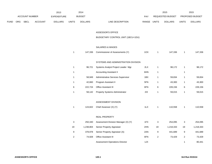|      |     |                |                | 2013               |                | 2014                           |                                       |                |                | 2015             |                  | 2015            |
|------|-----|----------------|----------------|--------------------|----------------|--------------------------------|---------------------------------------|----------------|----------------|------------------|------------------|-----------------|
|      |     | ACCOUNT NUMBER |                | <b>EXPENDITURE</b> |                | <b>BUDGET</b>                  |                                       | PAY            |                | REQUESTED BUDGET |                  | PROPOSED BUDGET |
| FUND | ORG | SBCL           | <b>ACCOUNT</b> | <b>DOLLARS</b>     | <b>UNITS</b>   | <b>DOLLARS</b>                 | LINE DESCRIPTION                      | RANGE UNITS    |                | <b>DOLLARS</b>   | <b>UNITS</b>     | <b>DOLLARS</b>  |
|      |     |                |                |                    |                |                                |                                       |                |                |                  |                  |                 |
|      |     |                |                |                    |                |                                | ASSESSOR'S OFFICE                     |                |                |                  |                  |                 |
|      |     |                |                |                    |                |                                | BUDGETARY CONTROL UNIT (1BCU=1DU)     |                |                |                  |                  |                 |
|      |     |                |                |                    |                |                                |                                       |                |                |                  |                  |                 |
|      |     |                |                |                    |                |                                | SALARIES & WAGES                      |                |                |                  |                  |                 |
|      |     |                |                |                    | $\mathbf{1}$   | 147,336                        | Commissioner of Assessments (Y)       | 1OX            | $\overline{1}$ | 147,336          | $\mathbf{1}$     | 147,336         |
|      |     |                |                |                    |                |                                |                                       |                |                |                  |                  |                 |
|      |     |                |                |                    |                |                                | SYSTEMS AND ADMINISTRATION DIVISION   |                |                |                  |                  |                 |
|      |     |                |                |                    | $\mathbf{1}$   | 96,721                         | Systems Analyst Project Leader Mgr.   | 2LX            | $\overline{1}$ | 98,172           | $\mathbf{1}$     | 98,172          |
|      |     |                |                | $\mathbf{1}$       |                | <b>Accounting Assistant II</b> | 6HN                                   | $\overline{1}$ |                | $\mathbf{1}$     |                  |                 |
|      |     |                |                |                    | $\mathbf{1}$   | 58,949                         | Administrative Services Supervisor    | 1BX            | $\mathbf{1}$   | 59,834           | $\mathbf{1}$     | 59,834          |
|      |     |                |                |                    | $\mathbf{1}$   | 42,660                         | Program Assistant II                  | 5FN            | $\overline{1}$ | 43,300           | $\mathbf{1}$     | 43,300          |
|      |     |                |                |                    | $\,6\,$        | 222,724                        | Office Assistant III                  | 6FN            | 6              | 228,156          | 6                | 228,156         |
|      |     |                |                |                    | $\mathbf{1}$   | 58,142                         | Property Systems Administrator        | 2IX            | $\overline{1}$ | 59,015           | $\mathbf{1}$     | 59,015          |
|      |     |                |                |                    |                |                                |                                       |                |                |                  |                  |                 |
|      |     |                |                |                    |                |                                | ASSESSMENT DIVISION                   |                |                |                  |                  |                 |
|      |     |                |                |                    | $\mathbf{1}$   | 124,822                        | Chief Assessor (X) (Y)                | 1LX            | $\overline{1}$ | 110,558          | $\mathbf{1}$     | 110,558         |
|      |     |                |                |                    |                |                                |                                       |                |                |                  |                  |                 |
|      |     |                |                |                    |                |                                | REAL PROPERTY                         |                |                |                  |                  |                 |
|      |     |                |                |                    | 3              | 250,340                        | Assessment Division Manager (X) (Y)   | 1FX            | 3              | 254,095          | $\mathbf{3}$     | 254,095         |
|      |     |                |                |                    | 19             | 1,238,804                      | Senior Property Appraiser             | 2HN            | 19             | 1,218,333        | 19               | 1,218,333       |
|      |     |                |                |                    | 9              | 378,978                        | Senior Property Appraiser (A)         | 2AN            | 9              | 441,689          | $\boldsymbol{9}$ | 441,689         |
|      |     |                |                |                    | $\overline{2}$ | 74,928                         | <b>Office Assistant III</b>           | 6FN            | $\overline{c}$ | 73,429           | $\overline{2}$   | 73,429          |
|      |     |                |                |                    |                |                                | <b>Assessment Operations Director</b> | 1JX            |                |                  | $\mathbf{1}$     | 80,441          |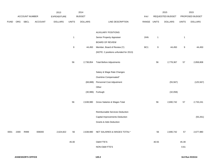|             |      |                |                | 2013           |                | 2014           |                                       |             |              | 2015             |              | 2015            |
|-------------|------|----------------|----------------|----------------|----------------|----------------|---------------------------------------|-------------|--------------|------------------|--------------|-----------------|
|             |      | ACCOUNT NUMBER |                | EXPENDITURE    |                | <b>BUDGET</b>  |                                       | PAY         |              | REQUESTED BUDGET |              | PROPOSED BUDGET |
| <b>FUND</b> | ORG  | SBCL           | <b>ACCOUNT</b> | <b>DOLLARS</b> | <b>UNITS</b>   | <b>DOLLARS</b> | LINE DESCRIPTION                      | RANGE UNITS |              | <b>DOLLARS</b>   | <b>UNITS</b> | <b>DOLLARS</b>  |
|             |      |                |                |                |                |                |                                       |             |              |                  |              |                 |
|             |      |                |                |                |                |                | <b>AUXILIARY POSITIONS</b>            |             |              |                  |              |                 |
|             |      |                |                |                | $\overline{1}$ |                | Senior Property Appraiser             | 2HN         | $\mathbf{1}$ |                  | $\mathbf{1}$ |                 |
|             |      |                |                |                |                |                | <b>BOARD OF REVIEW</b>                |             |              |                  |              |                 |
|             |      |                |                |                | 9              | 44,450         | Member, Board of Review (Y)           | BC1         | 9            | 44,450           | 9            | 44,450          |
|             |      |                |                |                |                |                | (NOTE: 2 positions unfunded for 2013) |             |              |                  |              |                 |
|             |      |                |                |                |                |                |                                       |             |              |                  |              |                 |
|             |      |                |                |                | 56             | 2,738,854      | <b>Total Before Adjustments</b>       |             | 56           | 2,778,367        | 57           | 2,858,808       |
|             |      |                |                |                |                |                |                                       |             |              |                  |              |                 |
|             |      |                |                |                |                |                | Salary & Wage Rate Changes            |             |              |                  |              |                 |
|             |      |                |                |                |                |                | Overtime Compensated*                 |             |              |                  |              |                 |
|             |      |                |                |                |                | (68, 888)      | Personnel Cost Adjustment             |             |              | (55, 567)        |              | (125, 567)      |
|             |      |                |                |                |                |                | Other                                 |             |              |                  |              |                 |
|             |      |                |                |                |                |                | (30,986) Furlough                     |             |              | (32,058)         |              |                 |
|             |      |                |                |                |                |                |                                       |             |              |                  |              |                 |
|             |      |                |                |                | 56             | 2,638,980      | Gross Salaries & Wages Total          |             | 56           | 2,690,742        | 57           | 2,733,241       |
|             |      |                |                |                |                |                |                                       |             |              |                  |              |                 |
|             |      |                |                |                |                |                | Reimbursable Services Deduction       |             |              |                  |              |                 |
|             |      |                |                |                |                |                | Capital Improvements Deduction        |             |              |                  |              | (55, 261)       |
|             |      |                |                |                |                |                | <b>Grants &amp; Aids Deduction</b>    |             |              |                  |              |                 |
|             |      |                |                |                |                |                |                                       |             |              |                  |              |                 |
| 0001        | 2300 | R999           | 006000         | 2,624,822      | 56             |                | 2,638,980 NET SALARIES & WAGES TOTAL* |             | 56           | 2,690,742        | 57           | 2,677,980       |
|             |      |                |                |                |                |                |                                       |             |              |                  |              |                 |
|             |      |                |                |                | 45.00          |                | O&M FTE'S                             |             | 40.55        |                  | 45.39        |                 |
|             |      |                |                |                |                |                | NON-O&M FTE'S                         |             |              |                  | 0.61         |                 |
|             |      |                |                |                |                |                |                                       |             |              |                  |              |                 |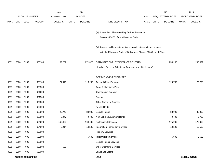|             |      |                          |                | 2013               |              | 2014           |                                                                      |            |              | 2015             |              | 2015            |
|-------------|------|--------------------------|----------------|--------------------|--------------|----------------|----------------------------------------------------------------------|------------|--------------|------------------|--------------|-----------------|
|             |      | <b>ACCOUNT NUMBER</b>    |                | <b>EXPENDITURE</b> |              | <b>BUDGET</b>  |                                                                      | <b>PAY</b> |              | REQUESTED BUDGET |              | PROPOSED BUDGET |
| <b>FUND</b> | ORG  | <b>SBCL</b>              | <b>ACCOUNT</b> | <b>DOLLARS</b>     | <b>UNITS</b> | <b>DOLLARS</b> | LINE DESCRIPTION                                                     | RANGE      | <b>UNITS</b> | <b>DOLLARS</b>   | <b>UNITS</b> | <b>DOLLARS</b>  |
|             |      |                          |                |                    |              |                |                                                                      |            |              |                  |              |                 |
|             |      |                          |                |                    |              |                | (X) Private Auto Allowance May Be Paid Pursuant to                   |            |              |                  |              |                 |
|             |      |                          |                |                    |              |                | Section 350-183 of the Milwaukee Code.                               |            |              |                  |              |                 |
|             |      |                          |                |                    |              |                | (Y) Required to file a statement of economic interests in accordance |            |              |                  |              |                 |
|             |      |                          |                |                    |              |                | with the Milwaukee Code of Ordinances Chapter 303-Code of Ethics.    |            |              |                  |              |                 |
|             |      |                          |                |                    |              |                |                                                                      |            |              |                  |              |                 |
| 0001        | 2300 | R999                     | 006100         | 1,182,202          |              | 1,271,320      | ESTIMATED EMPLOYEE FRINGE BENEFITS                                   |            |              | 1,250,265        |              | 1,205,091       |
|             |      |                          |                |                    |              |                | (Involves Revenue Offset - No Transfers from this Account)           |            |              |                  |              |                 |
|             |      |                          |                |                    |              |                | OPERATING EXPENDITURES                                               |            |              |                  |              |                 |
| 0001        | 2300 | R999                     | 630100         | 124,916            |              | 116,200        | General Office Expense                                               |            |              | 129,700          |              | 129,700         |
| 0001        | 2300 | R999                     | 630500         |                    |              |                | Tools & Machinery Parts                                              |            |              |                  |              |                 |
| 0001        | 2300 | R999                     | 631000         |                    |              |                | <b>Construction Supplies</b>                                         |            |              |                  |              |                 |
| 0001        | 2300 | R999                     | 631500         |                    |              |                | Energy                                                               |            |              |                  |              |                 |
| 0001        | 2300 | R999                     | 632000         |                    |              |                | <b>Other Operating Supplies</b>                                      |            |              |                  |              |                 |
| 0001        | 2300 | R999                     | 632500         |                    |              |                | <b>Facility Rental</b>                                               |            |              |                  |              |                 |
| 0001        | 2300 | R999                     | 633000         | 22,742             |              | 33,000         | Vehicle Rental                                                       |            |              | 33,000           |              | 33,000          |
| 0001        | 2300 | R999                     | 633500         | 8,947              |              | 9,700          | Non-Vehicle Equipment Rental                                         |            |              | 9,700            |              | 9,700           |
| 0001        | 2300 | R999                     | 634000         | 165,436            |              | 164,400        | <b>Professional Services</b>                                         |            |              | 175,000          |              | 175,000         |
| 0001        | 2300 | R999                     | 634500         | 6,214              |              | 10,500         | Information Technology Services                                      |            |              | 10,500           |              | 10,500          |
| 0001        | 2300 | R999                     | 635000         |                    |              |                | <b>Property Services</b>                                             |            |              |                  |              |                 |
| 0001        | 2300 | R999                     | 635500         |                    |              | 5,600          | <b>Infrastructure Services</b>                                       |            |              | 5,600            |              | 5,600           |
| 0001        | 2300 | R999                     | 636000         |                    |              |                | Vehicle Repair Services                                              |            |              |                  |              |                 |
| 0001        | 2300 | R999                     | 636500         | 568                |              |                | <b>Other Operating Services</b>                                      |            |              |                  |              |                 |
| 0001        | 2300 | R999                     | 637000         |                    |              |                | Loans and Grants                                                     |            |              |                  |              |                 |
|             |      | <b>ASSESSOR'S OFFICE</b> |                |                    |              |                | 120.3                                                                |            |              |                  |              | 3rd Run 9/15/14 |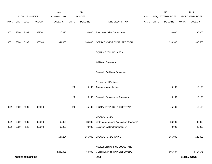|             |      |                          |                | 2013           |              | 2014           |                                         |       |              | 2015             |              | 2015            |
|-------------|------|--------------------------|----------------|----------------|--------------|----------------|-----------------------------------------|-------|--------------|------------------|--------------|-----------------|
|             |      | ACCOUNT NUMBER           |                | EXPENDITURE    |              | <b>BUDGET</b>  |                                         | PAY   |              | REQUESTED BUDGET |              | PROPOSED BUDGET |
| <b>FUND</b> | ORG  | <b>SBCL</b>              | <b>ACCOUNT</b> | <b>DOLLARS</b> | <b>UNITS</b> | <b>DOLLARS</b> | LINE DESCRIPTION                        | RANGE | <b>UNITS</b> | <b>DOLLARS</b>   | <b>UNITS</b> | <b>DOLLARS</b>  |
|             |      |                          |                |                |              |                |                                         |       |              |                  |              |                 |
| 0001        | 2300 | R999                     | 637501         | 16,010         |              | 30,000         | <b>Reimburse Other Departments</b>      |       |              | 30,000           |              | 30,000          |
|             |      |                          |                |                |              |                |                                         |       |              |                  |              |                 |
| 0001        | 2300 | R999                     | 006300         | 344,833        |              | 369,400        | OPERATING EXPENDITURES TOTAL*           |       |              | 393,500          |              | 393,500         |
|             |      |                          |                |                |              |                |                                         |       |              |                  |              |                 |
|             |      |                          |                |                |              |                | <b>EQUIPMENT PURCHASES</b>              |       |              |                  |              |                 |
|             |      |                          |                |                |              |                |                                         |       |              |                  |              |                 |
|             |      |                          |                |                |              |                | <b>Additional Equipment</b>             |       |              |                  |              |                 |
|             |      |                          |                |                |              |                |                                         |       |              |                  |              |                 |
|             |      |                          |                |                |              |                | Subtotal - Additional Equipment         |       |              |                  |              |                 |
|             |      |                          |                |                |              |                |                                         |       |              |                  |              |                 |
|             |      |                          |                |                |              |                | Replacement Equipment                   |       |              |                  |              |                 |
|             |      |                          |                |                | 23           | 15,100         | <b>Computer Workstations</b>            |       | 15,100       |                  |              | 15,100          |
|             |      |                          |                |                |              |                |                                         |       |              |                  |              |                 |
|             |      |                          |                |                | 23           | 15,100         | Subtotal - Replacement Equipment        |       |              | 15,100           |              | 15,100          |
|             |      |                          |                |                |              |                |                                         |       |              |                  |              |                 |
| 0001        | 2300 | R999                     | 006800         |                | 23           | 15,100         | EQUIPMENT PURCHASES TOTAL*              |       |              | 15,100           |              | 15,100          |
|             |      |                          |                |                |              |                |                                         |       |              |                  |              |                 |
|             |      |                          |                |                |              |                | SPECIAL FUNDS                           |       |              |                  |              |                 |
| 0001        | 2300 | R239                     | 006300         | 67,329         |              | 86,000         | State Manufacturing Assessment Payment* |       |              | 86,000           |              | 86,000          |
| 0001        | 2300 | R248                     | 006300         | 69,905         |              | 70,000         | Valuation System Maintenance*           |       |              | 70,000           |              | 40,000          |
|             |      |                          |                |                |              |                |                                         |       |              |                  |              |                 |
|             |      |                          |                | 137,234        |              | 156,000        | SPECIAL FUNDS TOTAL                     |       |              | 156,000          |              | 126,000         |
|             |      |                          |                |                |              |                |                                         |       |              |                  |              |                 |
|             |      |                          |                |                |              |                | ASSESSOR'S OFFICE BUDGETARY             |       |              |                  |              |                 |
|             |      |                          |                | 4,289,091      |              | 4,450,800      | CONTROL UNIT TOTAL (1BCU=1DU)           |       |              | 4,505,607        |              | 4,417,671       |
|             |      | <b>ASSESSOR'S OFFICE</b> |                |                |              |                | 120.4                                   |       |              |                  |              | 3rd Run 9/15/14 |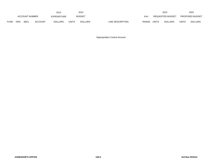|      |                           |  |                | 2013           |               | 2014           |                           |                  | 2015           |                        | 2015           |
|------|---------------------------|--|----------------|----------------|---------------|----------------|---------------------------|------------------|----------------|------------------------|----------------|
|      | <b>ACCOUNT NUMBER</b>     |  | EXPENDITURE    |                | <b>BUDGET</b> | <b>PAY</b>     |                           | REQUESTED BUDGET |                | <b>PROPOSED BUDGET</b> |                |
| FUND | <b>SBCL</b><br><b>ORG</b> |  | <b>ACCOUNT</b> | <b>DOLLARS</b> | <b>UNITS</b>  | <b>DOLLARS</b> | LINE DESCRIPTION<br>RANGE | <b>UNITS</b>     | <b>DOLLARS</b> | <b>UNITS</b>           | <b>DOLLARS</b> |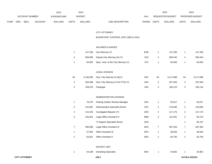|      |                |      |                | 2013           |               | 2014           |                           | 2015                    |                        | 2015           |
|------|----------------|------|----------------|----------------|---------------|----------------|---------------------------|-------------------------|------------------------|----------------|
|      | ACCOUNT NUMBER |      | EXPENDITURE    |                | <b>BUDGET</b> | PAY            | REQUESTED BUDGET          |                         | <b>PROPOSED BUDGET</b> |                |
| FUND | <b>ORG</b>     | SBCL | <b>ACCOUNT</b> | <b>DOLLARS</b> | <b>UNITS</b>  | <b>DOLLARS</b> | RANGE<br>LINE DESCRIPTION | UNITS<br><b>DOLLARS</b> | <b>UNITS</b>           | <b>DOLLARS</b> |

# CITY ATTORNEY

# BUDGETARY CONTROL UNIT (1BCU=1DU)

# SALARIES & WAGES

|  | 147,336 City Attorney (Y)                   | <b>EOE</b> | 147.336 |   | 147,336 |
|--|---------------------------------------------|------------|---------|---|---------|
|  | 566,838 Deputy City Attorney (A) (Y)        | 1OX        | 560.444 | 4 | 560,444 |
|  | 63,000 Spec. Asst. to the City Attorney (Y) | 1FX        | 64,000  |   | 64,000  |

#### LEGAL DIVISION

| 34 |         | 3,148,383 Asst. City Attorney III (A)(Y) | 2NX | 34 | 3.117.688 | 34 | 3,117,688 |
|----|---------|------------------------------------------|-----|----|-----------|----|-----------|
| 2  | 204,496 | Asst. City Attorney III (0.8 FTE) (Y)    | 2NX |    | 207.563   |    | 207,563   |
| 3  | 158.576 | Paralegal                                | 5JN |    | 160.110   |    | 160,110   |

# ADMINISTRATIVE DIVISION

|                | 70,275  | <b>Parking Citation Review Manager</b> | 2GX |   | 62,017  |                | 62,017  |
|----------------|---------|----------------------------------------|-----|---|---------|----------------|---------|
| $\overline{2}$ | 121,867 | Administrative Specialist-Senior       | 2EX | 2 | 123,695 | $\overline{2}$ | 123,695 |
| $\overline{2}$ | 115,443 | Investigator/Adjuster (Y)              | 2EN | 2 | 117,175 | $\overline{2}$ | 117,175 |
| 3              | 136,401 | Legal Office Assistant IV              | 6MN | 3 | 141,501 | $\overline{2}$ | 84,734  |
|                |         | IT Support Specialist-Senior           | 2GN |   |         |                | 56,767  |
|                | 296,096 | Legal Office Assistant III             | 6KN | 7 | 287,304 | 7              | 287,304 |
|                | 37,464  | <b>Office Assistant III</b>            | 6FN |   | 38,026  |                | 38,026  |
| 2              | 64,821  | <b>Office Assistant II</b>             | 6EN | 2 | 65,793  | 2              | 65,793  |

# DOCKET UNIT

|  | 44,238 Docketing Specialist<br>.<br>. | 6KN |  | 44,902 |  | 44,902 |
|--|---------------------------------------|-----|--|--------|--|--------|
|--|---------------------------------------|-----|--|--------|--|--------|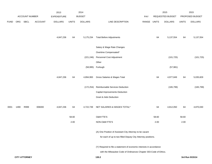|             |      |                      |                | 2013           |              | 2014           |                                                                      |       |              | 2015             |              | 2015            |
|-------------|------|----------------------|----------------|----------------|--------------|----------------|----------------------------------------------------------------------|-------|--------------|------------------|--------------|-----------------|
|             |      | ACCOUNT NUMBER       |                | EXPENDITURE    |              | <b>BUDGET</b>  |                                                                      | PAY   |              | REQUESTED BUDGET |              | PROPOSED BUDGET |
| <b>FUND</b> | ORG  | <b>SBCL</b>          | <b>ACCOUNT</b> | <b>DOLLARS</b> | <b>UNITS</b> | <b>DOLLARS</b> | LINE DESCRIPTION                                                     | RANGE | <b>UNITS</b> | <b>DOLLARS</b>   | <b>UNITS</b> | <b>DOLLARS</b>  |
|             |      |                      |                |                |              |                |                                                                      |       |              |                  |              |                 |
|             |      |                      |                | 4,847,236      | 64           | 5,175,234      | <b>Total Before Adjustments</b>                                      |       | 64           | 5,137,554        | 64           | 5, 137, 554     |
|             |      |                      |                |                |              |                | Salary & Wage Rate Changes                                           |       |              |                  |              |                 |
|             |      |                      |                |                |              |                | Overtime Compensated*                                                |       |              |                  |              |                 |
|             |      |                      |                |                |              | (221, 246)     | Personnel Cost Adjustment                                            |       |              | (101, 725)       |              | (101, 725)      |
|             |      |                      |                |                |              |                | Other                                                                |       |              |                  |              |                 |
|             |      |                      |                |                |              | (58, 995)      | Furlough                                                             |       |              | (57, 981)        |              |                 |
|             |      |                      |                | 4,847,236      | 64           | 4,894,993      | Gross Salaries & Wages Total                                         |       | 64           | 4,977,849        | 64           | 5,035,829       |
|             |      |                      |                |                |              | (172, 254)     | Reimbursable Services Deduction                                      |       |              | (165, 799)       |              | (165, 799)      |
|             |      |                      |                |                |              |                | Capital Improvements Deduction                                       |       |              |                  |              |                 |
|             |      |                      |                |                |              |                | <b>Grant &amp; Aids Deduction</b>                                    |       |              |                  |              |                 |
| 0001        | 1490 | R999                 | 006000         | 4,847,236      | 64           | 4,722,739      | NET SALARIES & WAGES TOTAL*                                          |       | 64           | 4,812,050        | 64           | 4,870,030       |
|             |      |                      |                |                | 58.60        |                | O&M FTE'S                                                            |       | 58.60        |                  | 58.60        |                 |
|             |      |                      |                |                | 2.00         |                | NON-O&M FTE'S                                                        |       | 2.00         |                  | 2.00         |                 |
|             |      |                      |                |                |              |                | (A) One Position of Assistant City Attorney to be vacant             |       |              |                  |              |                 |
|             |      |                      |                |                |              |                | for each of up to two filled Deputy City Attorney positions.         |       |              |                  |              |                 |
|             |      |                      |                |                |              |                | (Y) Required to file a statement of economic interests in accordance |       |              |                  |              |                 |
|             |      |                      |                |                |              |                | with the Milwaukee Code of Ordinances Chapter 303-Code of Ethics.    |       |              |                  |              |                 |
|             |      | <b>CITY ATTORNEY</b> |                |                |              |                | 130.2                                                                |       |              |                  |              | 3rd Run 9/15/14 |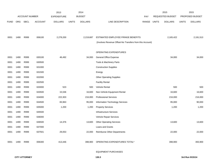|             |      |                       |                | 2013               |              | 2014           |                                                          |            |              | 2015                    |              | 2015            |
|-------------|------|-----------------------|----------------|--------------------|--------------|----------------|----------------------------------------------------------|------------|--------------|-------------------------|--------------|-----------------|
|             |      | <b>ACCOUNT NUMBER</b> |                | <b>EXPENDITURE</b> |              | <b>BUDGET</b>  |                                                          | <b>PAY</b> |              | <b>REQUESTED BUDGET</b> |              | PROPOSED BUDGET |
| <b>FUND</b> | ORG  | <b>SBCL</b>           | <b>ACCOUNT</b> | <b>DOLLARS</b>     | <b>UNITS</b> | <b>DOLLARS</b> | LINE DESCRIPTION                                         | RANGE      | <b>UNITS</b> | <b>DOLLARS</b>          | <b>UNITS</b> | <b>DOLLARS</b>  |
|             |      |                       |                |                    |              |                |                                                          |            |              |                         |              |                 |
|             |      |                       |                |                    |              |                |                                                          |            |              |                         |              |                 |
| 0001        | 1490 | R999                  | 006100         | 2,278,200          |              | 2,219,687      | ESTIMATED EMPLOYEE FRINGE BENEFITS                       |            |              | 2,165,422               |              | 2,191,513       |
|             |      |                       |                |                    |              |                | (Involves Revenue Offset-No Transfers from this Account) |            |              |                         |              |                 |
|             |      |                       |                |                    |              |                |                                                          |            |              |                         |              |                 |
|             |      |                       |                |                    |              |                | OPERATING EXPENDITURES                                   |            |              |                         |              |                 |
| 0001        | 1490 | R999                  | 630100         | 46,492             |              | 34,000         | <b>General Office Expense</b>                            |            |              | 34,000                  |              | 34,000          |
| 0001        | 1490 | R999                  | 630500         |                    |              |                | Tools & Machinery Parts                                  |            |              |                         |              |                 |
| 0001        | 1490 | R999                  | 631000         |                    |              |                | <b>Construction Supplies</b>                             |            |              |                         |              |                 |
| 0001        | 1490 | R999                  | 631500         |                    |              |                | Energy                                                   |            |              |                         |              |                 |
| 0001        | 1490 | R999                  | 632000         |                    |              |                | <b>Other Operating Supplies</b>                          |            |              |                         |              |                 |
| 0001        | 1490 | R999                  | 632500         |                    |              |                | <b>Facility Rental</b>                                   |            |              |                         |              |                 |
| 0001        | 1490 | R999                  | 633000         | 523                |              | 500            | Vehicle Rental                                           |            |              | 500                     |              | 500             |
| 0001        | 1490 | R999                  | 633500         | 15,536             |              | 16,600         | Non-Vehicle Equipment Rental                             |            |              | 16,600                  |              | 16,600          |
| 0001        | 1490 | R999                  | 634000         | 222,303            |              | 216,000        | <b>Professional Services</b>                             |            |              | 216,000                 |              | 216,000         |
| 0001        | 1490 | R999                  | 634500         | 83,963             |              | 95,000         | <b>Information Technology Services</b>                   |            |              | 95,000                  |              | 90,000          |
| 0001        | 1490 | R999                  | 635000         | 1,200              |              | 1,200          | <b>Property Services</b>                                 |            |              | 1,200                   |              | 1,200           |
| 0001        | 1490 | R999                  | 635500         |                    |              |                | Infrastructure Services                                  |            |              |                         |              |                 |
| 0001        | 1490 | R999                  | 636000         |                    |              |                | Vehicle Repair Services                                  |            |              |                         |              |                 |
| 0001        | 1490 | R999                  | 636500         | 14,376             |              | 13,600         | <b>Other Operating Services</b>                          |            |              | 13,600                  |              | 13,600          |
| 0001        | 1490 | R999                  | 637000         |                    |              |                | Loans and Grants                                         |            |              |                         |              |                 |
| 0001        | 1490 | R999                  | 637501         | 29,053             |              | 22,000         | Reimburse Other Departments                              |            |              | 22,000                  |              | 22,000          |
|             |      |                       |                |                    |              |                |                                                          |            |              |                         |              |                 |
| 0001        | 1490 | R999                  | 006300         | 413,446            |              | 398,900        | OPERATING EXPENDITURES TOTAL*                            |            |              | 398,900                 |              | 393,900         |
|             |      |                       |                |                    |              |                |                                                          |            |              |                         |              |                 |

## EQUIPMENT PURCHASES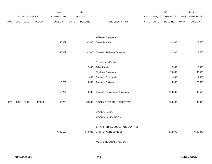|             |      |                |                | 2013           |              | 2014           |                                  |       |              | 2015             |              | 2015            |
|-------------|------|----------------|----------------|----------------|--------------|----------------|----------------------------------|-------|--------------|------------------|--------------|-----------------|
|             |      | ACCOUNT NUMBER |                | EXPENDITURE    |              | <b>BUDGET</b>  |                                  | PAY   |              | REQUESTED BUDGET |              | PROPOSED BUDGET |
| <b>FUND</b> | ORG  | SBCL           | <b>ACCOUNT</b> | <b>DOLLARS</b> | <b>UNITS</b> | <b>DOLLARS</b> | LINE DESCRIPTION                 | RANGE | <b>UNITS</b> | <b>DOLLARS</b>   | <b>UNITS</b> | <b>DOLLARS</b>  |
|             |      |                |                |                |              |                |                                  |       |              |                  |              |                 |
|             |      |                |                |                |              |                |                                  |       |              |                  |              |                 |
|             |      |                |                |                |              |                | <b>Additional Equipment</b>      |       |              |                  |              |                 |
|             |      |                |                | 40,032         |              | 32,500         | Books, Law, Lot                  |       |              | 32,500           |              | 27,500          |
|             |      |                |                |                |              |                |                                  |       |              |                  |              |                 |
|             |      |                |                | 40,032         |              | 32,500         | Subtotal - Additional Equipment  |       |              | 32,500           |              | 27,500          |
|             |      |                |                |                |              |                |                                  |       |              |                  |              |                 |
|             |      |                |                |                |              |                | Replacement Equipment            |       |              |                  |              |                 |
|             |      |                |                |                |              | 2,000          | Office Furniture                 |       |              | 2,000            |              | 2,000           |
|             |      |                |                |                |              |                | Electronic Equipment             |       |              | 74,500           |              | 39,500          |
|             |      |                |                |                |              | 1,000          | <b>Computer Peripherals</b>      |       |              | 1,000            |              | 1,000           |
|             |      |                |                | 13,221         |              | 3,000          | <b>Computer Software</b>         |       |              | 26,000           |              | 20,000          |
|             |      |                |                |                |              |                |                                  |       |              |                  |              |                 |
|             |      |                |                | 13,221         |              | 6,000          | Subtotal - Replacement Equipment |       |              | 103,500          |              | 62,500          |
|             |      |                |                |                |              |                |                                  |       |              |                  |              |                 |
| 0001        | 1490 | R999           | 006800         | 53,253         |              | 38,500         | EQUIPMENT PURCHASES TOTAL*       |       |              | 136,000          |              | 90,000          |
|             |      |                |                |                |              |                | SPECIAL FUNDS                    |       |              |                  |              |                 |
|             |      |                |                |                |              |                |                                  |       |              |                  |              |                 |
|             |      |                |                |                |              |                | SPECIAL FUNDS TOTAL              |       |              |                  |              |                 |
|             |      |                |                |                |              |                | CITY ATTORNEY BUDGETARY CONTROL  |       |              |                  |              |                 |
|             |      |                |                | 7,592,135      |              | 7,379,826      | UNIT TOTAL (1BCU=1DU)            |       |              | 7,512,372        |              | 7,545,443       |
|             |      |                |                |                |              |                |                                  |       |              |                  |              |                 |
|             |      |                |                |                |              |                |                                  |       |              |                  |              |                 |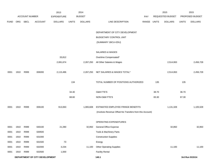|             |      |                       |                                | 2013               |              | 2014           |                                                          |             |       | 2015             |              | 2015            |
|-------------|------|-----------------------|--------------------------------|--------------------|--------------|----------------|----------------------------------------------------------|-------------|-------|------------------|--------------|-----------------|
|             |      | <b>ACCOUNT NUMBER</b> |                                | <b>EXPENDITURE</b> |              | <b>BUDGET</b>  |                                                          | PAY         |       | REQUESTED BUDGET |              | PROPOSED BUDGET |
| <b>FUND</b> | ORG  | <b>SBCL</b>           | <b>ACCOUNT</b>                 | <b>DOLLARS</b>     | <b>UNITS</b> | <b>DOLLARS</b> | LINE DESCRIPTION                                         | RANGE UNITS |       | <b>DOLLARS</b>   | <b>UNITS</b> | <b>DOLLARS</b>  |
|             |      |                       |                                |                    |              |                |                                                          |             |       |                  |              |                 |
|             |      |                       |                                |                    |              |                | DEPARTMENT OF CITY DEVELOPMENT                           |             |       |                  |              |                 |
|             |      |                       |                                |                    |              |                | BUDGETARY CONTROL UNIT                                   |             |       |                  |              |                 |
|             |      |                       |                                |                    |              |                | (SUMMARY 1BCU=2DU)                                       |             |       |                  |              |                 |
|             |      |                       |                                |                    |              |                | SALARIES & WAGES                                         |             |       |                  |              |                 |
|             |      |                       |                                | 33,812             |              |                | Overtime Compensated*                                    |             |       |                  |              |                 |
|             |      |                       |                                | 2,081,674          |              | 2,267,250      | All Other Salaries & Wages                               |             |       | 2,514,063        |              | 2,456,728       |
| 0001        | 1910 | R999                  | 006000                         | 2,115,486          |              | 2,267,250      | NET SALARIES & WAGES TOTAL*                              |             |       | 2,514,063        |              | 2,456,728       |
|             |      |                       |                                |                    |              |                |                                                          |             |       |                  |              |                 |
|             |      |                       |                                |                    | 134          |                | TOTAL NUMBER OF POSITIONS AUTHORIZED                     |             | 135   |                  | 135          |                 |
|             |      |                       |                                |                    | 34.40        |                | <b>O&amp;M FTE'S</b>                                     |             | 38.70 |                  | 36.70        |                 |
|             |      |                       |                                |                    | 68.60        |                | NON-O&M FTE'S                                            |             | 65.30 |                  | 67.30        |                 |
| 0001        | 1910 | R999                  | 006100                         | 913,063            |              | 1,065,608      | ESTIMATED EMPLOYEE FRINGE BENEFITS                       |             |       | 1,131,328        |              | 1,105,528       |
|             |      |                       |                                |                    |              |                | (Involves Revenue Offset-No Transfers from this Account) |             |       |                  |              |                 |
|             |      |                       |                                |                    |              |                |                                                          |             |       |                  |              |                 |
|             |      |                       |                                |                    |              |                | OPERATING EXPENDITURES                                   |             |       |                  |              |                 |
| 0001        | 1910 | R999                  | 630100                         | 21,280             |              | 32,850         | <b>General Office Expense</b>                            |             |       | 32,850           |              | 32,850          |
| 0001        | 1910 | R999                  | 630500                         |                    |              |                | Tools & Machinery Parts                                  |             |       |                  |              |                 |
| 0001        | 1910 | R999                  | 631000                         |                    |              |                | <b>Construction Supplies</b>                             |             |       |                  |              |                 |
| 0001        | 1910 | R999                  | 631500                         | 73                 |              |                | Energy                                                   |             |       |                  |              |                 |
| 0001        | 1910 | R999                  | 632000                         | 3,234              |              | 11,100         | <b>Other Operating Supplies</b>                          |             |       | 11,100           |              | 11,100          |
| 0001        | 1910 | R999                  | 632500                         | 1,000              |              |                | <b>Facility Rental</b>                                   |             |       |                  |              |                 |
|             |      |                       | DEPARTMENT OF CITY DEVELOPMENT |                    |              |                | 140.1                                                    |             |       |                  |              | 3rd Run 9/15/14 |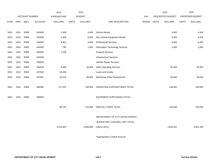|             |      |                |                | 2013               |              | 2014           |                                   |            |              | 2015             |              | 2015            |
|-------------|------|----------------|----------------|--------------------|--------------|----------------|-----------------------------------|------------|--------------|------------------|--------------|-----------------|
|             |      | ACCOUNT NUMBER |                | <b>EXPENDITURE</b> |              | <b>BUDGET</b>  |                                   | <b>PAY</b> |              | REQUESTED BUDGET |              | PROPOSED BUDGET |
| <b>FUND</b> | ORG  | SBCL           | <b>ACCOUNT</b> | <b>DOLLARS</b>     | <b>UNITS</b> | <b>DOLLARS</b> | LINE DESCRIPTION                  | RANGE      | <b>UNITS</b> | <b>DOLLARS</b>   | <b>UNITS</b> | <b>DOLLARS</b>  |
|             |      |                |                |                    |              |                |                                   |            |              |                  |              |                 |
| 0001        | 1910 | R999           | 633000         | 1,638              |              | 4,400          | Vehicle Rental                    |            |              | 4,400            |              | 4,400           |
| 0001        | 1910 | R999           | 633500         | 4,364              |              | 6,000          | Non-Vehicle Equipment Rental      |            |              | 6,000            |              | 6,000           |
| 0001        | 1910 | R999           | 634000         | 4,851              |              | 4,000          | <b>Professional Services</b>      |            |              | 4,000            |              | 4,000           |
| 0001        | 1910 | R999           | 634500         | 795                |              | 1,800          | Information Technology Services   |            |              | 1,800            |              | 1,800           |
| 0001        | 1910 | R999           | 635000         | 1,028              |              |                | <b>Property Services</b>          |            |              |                  |              |                 |
| 0001        | 1910 | R999           | 635500         |                    |              |                | <b>Infrastructure Services</b>    |            |              |                  |              |                 |
| 0001        | 1910 | R999           | 636000         |                    |              |                | Vehicle Repair Services           |            |              |                  |              |                 |
| 0001        | 1910 | R999           | 636500         | 9,848              |              | 30,300         | <b>Other Operating Services</b>   |            |              | 30,300           |              | 30,300          |
| 0001        | 1910 | R999           | 637000         | 42,895             |              |                | Loans and Grants                  |            |              |                  |              |                 |
| 0001        | 1910 | R999           | 637501         | 26,316             |              | 48,500         | Reimburse Other Departments       |            |              | 48,500           |              | 48,500          |
|             |      |                |                |                    |              |                |                                   |            |              |                  |              |                 |
| 0001        | 1910 | R999           | 006300         | 117,322            |              | 138,950        | OPERATING EXPENDITURES TOTAL*     |            |              | 138,950          |              | 138,950         |
|             |      |                |                |                    |              |                |                                   |            |              |                  |              |                 |
| 0001        | 1910 | R999           | 006800         |                    |              |                | <b>EQUIPMENT PURCHASES TOTAL*</b> |            |              |                  |              |                 |
|             |      |                |                |                    |              |                |                                   |            |              |                  |              |                 |
|             |      |                |                | 88,732             |              | 125,000        | SPECIAL FUNDS TOTAL               |            |              | 150,000          |              | 150,000         |
|             |      |                |                |                    |              |                |                                   |            |              |                  |              |                 |
|             |      |                |                |                    |              |                | DEPARTMENT OF CITY DEVELOPMENT    |            |              |                  |              |                 |
|             |      |                |                |                    |              |                | BUDGETARY CONTROL UNIT TOTAL      |            |              |                  |              |                 |
|             |      |                |                | 3,234,603          |              | 3,596,808      | $(1BCU=2DU)$                      |            |              | 3,934,341        |              | 3,851,206       |
|             |      |                |                |                    |              |                |                                   |            |              |                  |              |                 |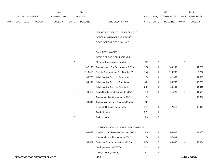|             |     |                       |         | 2013               |              | 2014           |                                  | 2015                           | 2015  |                        |
|-------------|-----|-----------------------|---------|--------------------|--------------|----------------|----------------------------------|--------------------------------|-------|------------------------|
|             |     | <b>ACCOUNT NUMBER</b> |         | <b>EXPENDITURE</b> |              | <b>BUDGET</b>  | PAY                              | REQUESTED BUDGET               |       | <b>PROPOSED BUDGET</b> |
| <b>FUND</b> | ORG | <b>SBCL</b>           | ACCOUNT | <b>DOLLARS</b>     | <b>UNITS</b> | <b>DOLLARS</b> | LINE DESCRIPTION<br><b>RANGE</b> | <b>UNITS</b><br><b>DOLLARS</b> | UNITS | <b>DOLLARS</b>         |

DEPARTMENT OF CITY DEVELOPMENT-

# GENERAL MANAGEMENT & POLICY

## DEVELOPMENT DECISION UNIT

## SALARIES & WAGES

### OFFICE OF THE COMMISSIONER

| 7 |         | Member Redevelopment Authority         | SP  | 7 |         | 7            |         |
|---|---------|----------------------------------------|-----|---|---------|--------------|---------|
| 1 | 142,167 | Commissioner-City Development (X)(Y)   | 1OX | 1 | 144,299 | 1            | 144,299 |
| 1 | 118,017 | Deputy Commissioner-City Develop.(Y)   | 1NX | 1 | 119,787 | 1            | 119,787 |
| 1 | 60,778  | Administrative Services Supervisor     | 1BX | 1 | 61,689  | 1            | 61,689  |
| 1 | 54,958  | Administrative Services Coordinator    | 5JN | 1 | 55,783  | 1            | 55,783  |
|   |         | Administrative Services Assistant      | 6KN | 1 | 44,941  | 1            | 44,941  |
| 1 | 60,619  | Youth Development Coordinator (C)(Y)   | 2IX | 1 | 61,528  | 1            | 61,528  |
|   |         | Commercial Corridor Manager (X)(Y)     | 1EX |   |         | 1            | 57,884  |
| 1 | 60,809  | Communications and Outreach Manager    | 2JX |   |         |              |         |
|   |         | Events & Outreach Coordinator          | 2FX | 1 | 47,816  | 1            | 47,816  |
| 1 |         | Graduate Intern                        | 9PN | 1 |         | 1            |         |
| 2 |         | College Intern                         | 9IN | 2 |         | $\mathbf{2}$ |         |
|   |         |                                        |     |   |         |              |         |
|   |         | NEIGHBORHOOD & BUSINESS DEVELOPMENT    |     |   |         |              |         |
| 1 | 103,057 | Neighborhoods Business Dev. Mgr (X)(Y) | 11X | 1 | 104,603 | 1            | 104,603 |
|   |         | Commercial Corridor Manager (X)(Y)     | 1EX | 1 | 57,884  |              |         |
| 1 | 55,024  | Economic Development Spec. (X) (Y)     | 2GX | 2 | 106,808 | 3            | 157,964 |
| 1 |         | Graduate Intern (0.5 FTE)              | 9PN | 1 |         | 1            |         |
| 1 |         | College Intern (0.5 FTE)               | 9IN | 1 |         | 1            |         |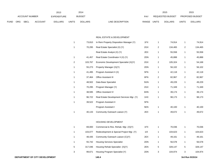|             |                       |             |                | 2013           |              | 2014           |                           |              | 2015             |              | 2015                   |
|-------------|-----------------------|-------------|----------------|----------------|--------------|----------------|---------------------------|--------------|------------------|--------------|------------------------|
|             | <b>ACCOUNT NUMBER</b> |             |                | EXPENDITURE    |              | <b>BUDGET</b>  | PAY                       |              | REQUESTED BUDGET |              | <b>PROPOSED BUDGET</b> |
| <b>FUND</b> | <b>ORG</b>            | <b>SBCL</b> | <b>ACCOUNT</b> | <b>DOLLARS</b> | <b>UNITS</b> | <b>DOLLARS</b> | RANGE<br>LINE DESCRIPTION | <b>UNITS</b> | <b>DOLLARS</b>   | <b>UNITS</b> | <b>DOLLARS</b>         |

#### REAL ESTATE & DEVELOPMENT

| 1 | 73,810  | In Rem Property Disposition Manager (Y)   | 1FX | $\mathbf{1}$   | 74,914  | 1              | 74,914  |
|---|---------|-------------------------------------------|-----|----------------|---------|----------------|---------|
| 1 | 70,295  | Real Estate Specialist (X) (Y)            | 2GX | 2              | 134,465 | $\overline{c}$ | 134,465 |
|   |         | Real Estate Analyst (X) (Y)               | 2EX | 1              | 55,558  | 1              | 55,558  |
| 1 | 41,457  | Real Estate Coordinator II (X) (Y)        | 2DN | 1              | 45,888  | 1              | 45,888  |
| 2 | 103,767 | Economic Development Specialist (X)(Y)    | 2GX | $\overline{c}$ | 105,324 | 1              | 54,168  |
| 1 | 55,273  | Property Manager (X)(Y)                   | 2DN | 1              | 56,102  | 1              | 56,102  |
| 1 | 41,495  | Program Assistant II (X)                  | 5FN | 1              | 42,118  | 1              | 42,118  |
| 1 | 37,464  | <b>Office Assistant III</b>               | 6FN | $\overline{2}$ | 82,967  | 2              | 82,967  |
| 1 | 48,502  | Data Base Specialist                      | 5GN | 1              | 49,229  | 1              | 49,229  |
| 1 | 70,295  | Program Manager (Y)                       | 2GX | $\mathbf{1}$   | 71,349  | 1              | 71,349  |
| 1 | 38,595  | Office Assistant IV                       | 6HN | 1              | 39,174  | 1              | 39,174  |
| 1 | 96,722  | Real Estate Development Services Mgr. (Y) | 1HX | 1              | 98,173  | 1              | 98,173  |
| 1 | 39,522  | Program Assistant II                      | 5FN |                |         |                |         |
|   |         | Program Assistant I                       | 5EN | 1              | 40,100  | 1              | 40,100  |
| 1 | 40,133  | Community Outreach Liaison (Y)            | 2EX | 1              | 49,672  | 1              | 49,672  |
|   |         | HOUSING DEVELOPMENT                       |     |                |         |                |         |
| 1 | 69,000  | Commercial & Res. Rehab. Mgr. (X)(Y)      | 1FX | $\mathbf{1}$   | 70,036  | 1              | 70,036  |
| 1 | 103,077 | Redevelopment & Special Project Mgr. (Y)  | 11X | 1              | 104,623 | 1              | 104,623 |
| 1 | 48,435  | Community Outreach Liaison (C)(Y)         | 2EX | 1              | 49,161  | 1              | 49,161  |
| 1 | 55,742  | <b>Housing Services Specialist</b>        | 2DN | 1              | 56,578  | 1              | 56,578  |
| 5 | 317,046 | Housing Rehab Specialist (X)(Y)           | 2EN | 5              | 328,147 | 5              | 328,147 |
| 3 | 99,671  | Housing Program Specialist (Y)            | 2DN | 3              | 104,974 | 3              | 104,974 |
|   |         |                                           |     |                |         |                |         |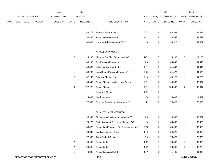|     |             |                | 2013                  |                | 2014           |                                           |     |                         | 2015           |                         | 2015            |
|-----|-------------|----------------|-----------------------|----------------|----------------|-------------------------------------------|-----|-------------------------|----------------|-------------------------|-----------------|
|     |             |                | <b>EXPENDITURE</b>    |                |                |                                           | PAY |                         |                |                         | PROPOSED BUDGET |
| ORG | <b>SBCL</b> | <b>ACCOUNT</b> | <b>DOLLARS</b>        | <b>UNITS</b>   | <b>DOLLARS</b> | LINE DESCRIPTION                          |     |                         | <b>DOLLARS</b> | <b>UNITS</b>            | <b>DOLLARS</b>  |
|     |             |                |                       | $\mathbf{1}$   | 44,277         | Program Assistant I (Y)                   | 5EN | $\mathbf{1}$            | 44,941         | 1                       | 44,941          |
|     |             |                |                       | $\mathbf{1}$   | 38,963         | <b>Accounting Assistant II</b>            | 6HN | $\mathbf{1}$            | 39,547         | $\mathbf{1}$            | 39,547          |
|     |             |                |                       | $\mathbf{1}$   | 60,000         | Housing Rehab Manager (X)(Y)              | 1DX | $\mathbf{1}$            | 54,322         | 1                       | 54,322          |
|     |             |                |                       |                |                | PLANNING SECTION                          |     |                         |                |                         |                 |
|     |             |                |                       | $\overline{7}$ | 24,188         | Member City Plan Commission (Y)           | BC1 | $\overline{7}$          | 24,188         | $\overline{7}$          | 24,188          |
|     |             |                |                       | $\mathbf{1}$   | 83,198         | City Planning Manager (Y)                 | 11X | $\mathbf{1}$            | 84,446         | 1                       | 84,446          |
|     |             |                |                       | $\mathbf{1}$   | 40,836         | Administrative Assistant II               | 6HN | $\mathbf{1}$            | 41,449         | $\mathbf{1}$            | 41,449          |
|     |             |                |                       | $\mathbf{1}$   | 80,266         | Long Range Planning Manager (Y)           | 2KX | $\mathbf{1}$            | 81,470         | 1                       | 81,470          |
|     |             |                |                       | $\overline{c}$ | 132,242        | Principal Planner (Y)                     | 2HX | $\overline{2}$          | 134,226        | $\overline{a}$          | 134,226         |
|     |             |                |                       | $\mathbf{1}$   | 64,598         | Senior Planner - Architectural Design     | 2FN | 1                       | 65,567         | $\mathbf{1}$            | 65,567          |
|     |             |                |                       | 3              | 177,977        | Senior Planner                            | 2FN | 3                       | 180,647        | 3                       | 180,647         |
|     |             |                |                       | $\mathbf{1}$   |                | Associate Planner                         | 2DN | $\mathbf{1}$            |                | 1                       |                 |
|     |             |                |                       | $\mathbf{1}$   | 14,487         | Graduate Intern                           | 9PX | $\mathbf{1}$            | 14,487         | 1                       | 14,487          |
|     |             |                |                       | $\mathbf{1}$   | 77,655         | Strategic Development Manager (Y)         | 2JX | $\mathbf{1}$            | 78,820         | 1                       | 78,820          |
|     |             |                |                       |                |                | FINANCE & ADMINISTRATION                  |     |                         |                |                         |                 |
|     |             |                |                       | $\mathbf{1}$   | 96,943         | Finance & Administration Manager (Y)      | 11X | $\mathbf{1}$            | 98,397         | 1                       | 98,397          |
|     |             |                |                       | $\mathbf{1}$   | 79,279         | Budget & Mgmt. Reporting Manager (Y)      | 1HX | $\mathbf{1}$            | 80,468         | 1                       | 80,468          |
|     |             |                |                       | $\mathbf{1}$   | 83,828         | Accounting Manager - City Development (Y) | 1GX | $\mathbf{1}$            | 85,086         | 1                       | 85,086          |
|     |             |                |                       | $\mathbf{1}$   | 60,809         | Lead Accountant - Senior                  | 2HX | $\mathbf{1}$            | 54,322         | $\mathbf{1}$            | 54,322          |
|     |             |                |                       | $\mathbf{1}$   | 77,655         | <b>Grant Budget Specialist</b>            | 2IX | $\mathbf{1}$            | 78,820         | $\mathbf{1}$            | 78,820          |
|     |             |                |                       | $\overline{a}$ | 94,942         | Accountant II                             | 2DN | $\overline{c}$          | 96,366         | $\overline{c}$          | 96,366          |
|     |             |                |                       | $\overline{c}$ | 93,546         | Accountant I                              | 2CN | $\overline{\mathbf{c}}$ | 99,260         | $\overline{\mathbf{c}}$ | 99,260          |
|     |             |                |                       | $\mathbf{1}$   | 40,837         | <b>Accounting Assistant II</b>            | 6HN | $\mathbf{1}$            | 41,449         | $\mathbf{1}$            | 41,449          |
|     |             |                | <b>ACCOUNT NUMBER</b> |                |                | <b>BUDGET</b>                             |     |                         | RANGE UNITS    | REQUESTED BUDGET        |                 |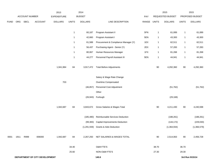|             |                                |                |         | 2013               |                | 2014           |                                      | 2015        |              |                  | 2015         |                 |
|-------------|--------------------------------|----------------|---------|--------------------|----------------|----------------|--------------------------------------|-------------|--------------|------------------|--------------|-----------------|
|             |                                | ACCOUNT NUMBER |         | <b>EXPENDITURE</b> |                | <b>BUDGET</b>  |                                      | PAY         |              | REQUESTED BUDGET |              | PROPOSED BUDGET |
| <b>FUND</b> |                                | ORG SBCL       | ACCOUNT | <b>DOLLARS</b>     | <b>UNITS</b>   | <b>DOLLARS</b> | LINE DESCRIPTION                     | RANGE UNITS |              | <b>DOLLARS</b>   | <b>UNITS</b> | <b>DOLLARS</b>  |
|             |                                |                |         |                    |                |                |                                      |             |              |                  |              |                 |
|             |                                |                |         |                    | $\overline{1}$ | 60,187         | Program Assistant II                 | 5FN         | $\mathbf{1}$ | 61,089           | $\mathbf{1}$ | 61,089          |
|             |                                |                |         |                    | $\overline{1}$ | 42,660         | Program Assistant I                  | 5EN         | $\mathbf{1}$ | 43,300           | $\mathbf{1}$ | 43,300          |
|             |                                |                |         |                    | $\overline{1}$ | 61,588         | Procurement & Compliance Manager (Y) | 1EX         | $\mathbf{1}$ | 62,511           | $\mathbf{1}$ | 62,511          |
|             |                                |                |         |                    | $\overline{1}$ | 56,437         | Purchasing Agent - Senior (Y)        | 2EX         | $\mathbf{1}$ | 57,283           | $\mathbf{1}$ | 57,283          |
|             |                                |                |         |                    | $\overline{1}$ | 80,067         | Human Resources Manager              | 1FX         | $\mathbf{1}$ | 81,268           | $\mathbf{1}$ | 81,268          |
|             |                                |                |         |                    | $\overline{1}$ | 44,277         | Personnel Payroll Assistant III      | 5EN         | $\mathbf{1}$ | 44,941           | $\mathbf{1}$ | 44,941          |
|             |                                |                |         | 1,941,984          | 84             | 3,917,472      | <b>Total Before Adjustments</b>      |             | $90\,$       | 4,292,360        | 90           | 4,292,360       |
|             |                                |                |         |                    |                |                | Salary & Wage Rate Change            |             |              |                  |              |                 |
|             |                                |                |         | 703                |                |                | Overtime Compensated                 |             |              |                  |              |                 |
|             |                                |                |         |                    |                | (46, 857)      | Personnel Cost Adjustment            |             |              | (51, 762)        |              | (51, 762)       |
|             |                                |                |         |                    |                |                | Other                                |             |              |                  |              |                 |
|             |                                |                |         |                    |                |                | (26,943) Furlough                    |             |              | (29, 168)        |              |                 |
|             |                                |                |         | 1,942,687          | 84             | 3,843,672      | Gross Salaries & Wages Total         |             | $90\,$       | 4,211,430        | 90           | 4,240,598       |
|             |                                |                |         |                    |                | (185, 480)     | Reimbursable Services Deduction      |             |              | (188, 261)       |              | (188, 261)      |
|             |                                |                |         |                    |                | (99, 383)      | Capital Improvements Deduction       |             |              | (144, 172)       |              | (229, 030)      |
|             |                                |                |         |                    |                | (1, 291, 559)  | <b>Grants &amp; Aids Deduction</b>   |             |              | (1,364,934)      |              | (1,366,579)     |
| 0001        | 1911                           | R999           | 006000  | 1,942,687          | 84             | 2,267,250      | NET SALARIES & WAGES TOTAL           |             | 90           | 2,514,063        | 90           | 2,456,728       |
|             |                                |                |         |                    | 34.40          |                | <b>O&amp;M FTE'S</b>                 |             | 38.70        |                  | 36.70        |                 |
|             |                                |                |         |                    | 25.60          |                | NON-O&M FTE'S                        |             | 27.30        |                  | 29.30        |                 |
|             | DEPARTMENT OF CITY DEVELOPMENT |                |         |                    |                |                | 140.6                                |             |              |                  |              | 3rd Run 9/15/14 |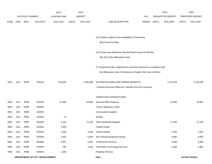|             |      |                |                                | 2013               |              | 2014           |                                                                           |            |              | 2015             |              | 2015            |
|-------------|------|----------------|--------------------------------|--------------------|--------------|----------------|---------------------------------------------------------------------------|------------|--------------|------------------|--------------|-----------------|
|             |      | ACCOUNT NUMBER |                                | <b>EXPENDITURE</b> |              | <b>BUDGET</b>  |                                                                           | <b>PAY</b> |              | REQUESTED BUDGET |              | PROPOSED BUDGET |
| <b>FUND</b> | ORG  | <b>SBCL</b>    | <b>ACCOUNT</b>                 | <b>DOLLARS</b>     | <b>UNITS</b> | <b>DOLLARS</b> | LINE DESCRIPTION                                                          | RANGE      | <b>UNITS</b> | <b>DOLLARS</b>   | <b>UNITS</b> | <b>DOLLARS</b>  |
|             |      |                |                                |                    |              |                |                                                                           |            |              |                  |              |                 |
|             |      |                |                                |                    |              |                | (C) Position subject to the availability of Community                     |            |              |                  |              |                 |
|             |      |                |                                |                    |              |                | Block Grant funding.                                                      |            |              |                  |              |                 |
|             |      |                |                                |                    |              |                |                                                                           |            |              |                  |              |                 |
|             |      |                |                                |                    |              |                | (X) Private Auto Allowance May Be Paid Pursuant to Section                |            |              |                  |              |                 |
|             |      |                |                                |                    |              |                | 350-183 of the Milwaukee Code.                                            |            |              |                  |              |                 |
|             |      |                |                                |                    |              |                |                                                                           |            |              |                  |              |                 |
|             |      |                |                                |                    |              |                | (Y) Required to file a statement of economic interests in accordance with |            |              |                  |              |                 |
|             |      |                |                                |                    |              |                | the Milwaukee Code of Ordinances Chapter 303-Code of Ethics.              |            |              |                  |              |                 |
| 0001        | 1911 | R999           | 006100                         | 913,063            |              | 1,065,608      | ESTIMATED EMPLOYEE FRINGE BENEFITS                                        |            |              | 1,131,328        |              | 1,105,528       |
|             |      |                |                                |                    |              |                | (Involves Revenue Offset-No Transfers from this Account)                  |            |              |                  |              |                 |
|             |      |                |                                |                    |              |                |                                                                           |            |              |                  |              |                 |
|             |      |                |                                |                    |              |                | OPERATING EXPENDITURES                                                    |            |              |                  |              |                 |
| 0001        | 1911 | R999           | 630100                         | 21,280             |              | 32,850         | <b>General Office Expense</b>                                             |            |              | 32,850           |              | 32,850          |
| 0001        | 1911 | R999           | 630500                         |                    |              |                | Tools & Machinery Parts                                                   |            |              |                  |              |                 |
| 0001        | 1911 | R999           | 631000                         |                    |              |                | <b>Construction Supplies</b>                                              |            |              |                  |              |                 |
| 0001        | 1911 | R999           | 631500                         | 73                 |              |                | Energy                                                                    |            |              |                  |              |                 |
| 0001        | 1911 | R999           | 632000                         | 3,234              |              | 11,100         | <b>Other Operating Supplies</b>                                           |            |              | 11,100           |              | 11,100          |
| 0001        | 1911 | R999           | 632500                         | 1,000              |              |                | <b>Facility Rental</b>                                                    |            |              |                  |              |                 |
| 0001        | 1911 | R999           | 633000                         | 1,638              |              | 4,400          | Vehicle Rental                                                            |            |              | 4,400            |              | 4,400           |
| 0001        | 1911 | R999           | 633500                         | 4,364              |              | 6,000          | Non-Vehicle Equipment Rental                                              |            |              | 6,000            |              | 6,000           |
| 0001        | 1911 | R999           | 634000                         | 4,851              |              | 4,000          | <b>Professional Services</b>                                              |            |              | 4,000            |              | 4,000           |
| 0001        | 1911 | R999           | 634500                         | 795                |              | 1,800          | Information Technology Services                                           |            |              | 1,800            |              | 1,800           |
| 0001        | 1911 | R999           | 635000                         | 1,028              |              |                | <b>Property Services</b>                                                  |            |              |                  |              |                 |
|             |      |                | DEPARTMENT OF CITY DEVELOPMENT |                    |              |                | 140.7                                                                     |            |              |                  |              | 3rd Run 9/15/14 |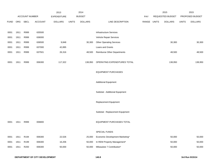|             |            |                  |                | 2013               |              | 2014           |                                    |       |       | 2015             |              | 2015            |
|-------------|------------|------------------|----------------|--------------------|--------------|----------------|------------------------------------|-------|-------|------------------|--------------|-----------------|
|             |            | ACCOUNT NUMBER   |                | <b>EXPENDITURE</b> |              | <b>BUDGET</b>  |                                    | PAY   |       | REQUESTED BUDGET |              | PROPOSED BUDGET |
| <b>FUND</b> | <b>ORG</b> | SBCL             | <b>ACCOUNT</b> | <b>DOLLARS</b>     | <b>UNITS</b> | <b>DOLLARS</b> | LINE DESCRIPTION                   | RANGE | UNITS | <b>DOLLARS</b>   | <b>UNITS</b> | <b>DOLLARS</b>  |
|             |            |                  |                |                    |              |                |                                    |       |       |                  |              |                 |
| 0001        | 1911       | R999             | 635500         |                    |              |                | <b>Infrastructure Services</b>     |       |       |                  |              |                 |
| 0001        | 1911       | R999             | 636000         |                    |              |                | Vehicle Repair Services            |       |       |                  |              |                 |
| 0001        | 1911       | R999             | 636500         | 9,848              |              | 30,300         | <b>Other Operating Services</b>    |       |       | 30,300           |              | 30,300          |
| 0001        | 1911       | R999             | 637000         | 42,895             |              |                | Loans and Grants                   |       |       |                  |              |                 |
| 0001        | 1911       | R999             | 637501         | 26,316             |              | 48,500         | <b>Reimburse Other Departments</b> |       |       | 48,500           |              | 48,500          |
|             |            |                  |                |                    |              |                |                                    |       |       |                  |              |                 |
| 0001        | 1911       | R999             | 006300         | 117,322            |              | 138,950        | OPERATING EXPENDITURES TOTAL       |       |       | 138,950          |              | 138,950         |
|             |            |                  |                |                    |              |                |                                    |       |       |                  |              |                 |
|             |            |                  |                |                    |              |                | <b>EQUIPMENT PURCHASES</b>         |       |       |                  |              |                 |
|             |            |                  |                |                    |              |                |                                    |       |       |                  |              |                 |
|             |            |                  |                |                    |              |                | <b>Additional Equipment</b>        |       |       |                  |              |                 |
|             |            |                  |                |                    |              |                |                                    |       |       |                  |              |                 |
|             |            |                  |                |                    |              |                | Subtotal - Additional Equipment    |       |       |                  |              |                 |
|             |            |                  |                |                    |              |                | Replacement Equipment              |       |       |                  |              |                 |
|             |            |                  |                |                    |              |                |                                    |       |       |                  |              |                 |
|             |            |                  |                |                    |              |                | Subtotal - Replacement Equipment   |       |       |                  |              |                 |
|             |            |                  |                |                    |              |                |                                    |       |       |                  |              |                 |
| 0001        | 1911       | R999             | 006800         |                    |              |                | EQUIPMENT PURCHASES TOTAL          |       |       |                  |              |                 |
|             |            |                  |                |                    |              |                |                                    |       |       |                  |              |                 |
|             |            |                  |                |                    |              |                | SPECIAL FUNDS                      |       |       |                  |              |                 |
| 0001        | 1911       | R194             | 006300         | 22,526             |              | 25,000         | Economic Development Marketing*    |       |       | 50,000           |              | 50,000          |
| 0001        | 1911       | R <sub>199</sub> | 006300         | 16,206             |              | 50,000         | In REM Property Management*        |       |       | 50,000           |              | 50,000          |
| 0001        | 1911       | R200             | 006300         | 50,000             |              | 50,000         | Milwaukee 7 Contribution*          |       |       | 50,000           |              | 50,000          |
|             |            |                  |                |                    |              |                |                                    |       |       |                  |              |                 |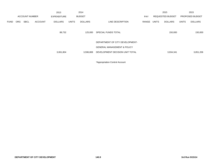|             |            |                       |                | 2013               |              | 2014           |                                        |            |       | 2015                    |              | 2015            |
|-------------|------------|-----------------------|----------------|--------------------|--------------|----------------|----------------------------------------|------------|-------|-------------------------|--------------|-----------------|
|             |            | <b>ACCOUNT NUMBER</b> |                | <b>EXPENDITURE</b> |              | <b>BUDGET</b>  |                                        | <b>PAY</b> |       | <b>REQUESTED BUDGET</b> |              | PROPOSED BUDGET |
| <b>FUND</b> | <b>ORG</b> | <b>SBCL</b>           | <b>ACCOUNT</b> | <b>DOLLARS</b>     | <b>UNITS</b> | <b>DOLLARS</b> | LINE DESCRIPTION                       | RANGE      | UNITS | <b>DOLLARS</b>          | <b>UNITS</b> | <b>DOLLARS</b>  |
|             |            |                       |                |                    |              |                |                                        |            |       |                         |              |                 |
|             |            |                       |                | 88,732             |              | 125,000        | SPECIAL FUNDS TOTAL                    |            |       | 150,000                 |              | 150,000         |
|             |            |                       |                |                    |              |                |                                        |            |       |                         |              |                 |
|             |            |                       |                |                    |              |                | DEPARTMENT OF CITY DEVELOPMENT-        |            |       |                         |              |                 |
|             |            |                       |                |                    |              |                | <b>GENERAL MANAGEMENT &amp; POLICY</b> |            |       |                         |              |                 |
|             |            |                       |                |                    |              |                |                                        |            |       |                         |              |                 |
|             |            |                       |                | 3,061,804          |              | 3,596,808      | DEVELOPMENT DECISION UNIT TOTAL        |            |       | 3,934,341               |              | 3,851,206       |
|             |            |                       |                |                    |              |                |                                        |            |       |                         |              |                 |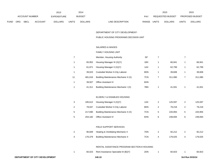|             |     |                       |         | 2013               |              | 2014           |                           |              | 2015             |              | 2015                   |
|-------------|-----|-----------------------|---------|--------------------|--------------|----------------|---------------------------|--------------|------------------|--------------|------------------------|
|             |     | <b>ACCOUNT NUMBER</b> |         | <b>EXPENDITURE</b> |              | <b>BUDGET</b>  | PAY                       |              | REQUESTED BUDGET |              | <b>PROPOSED BUDGET</b> |
| <b>FUND</b> | ORG | <b>SBCL</b>           | ACCOUNT | <b>DOLLARS</b>     | <b>UNITS</b> | <b>DOLLARS</b> | LINE DESCRIPTION<br>RANGE | <b>UNITS</b> | <b>DOLLARS</b>   | <b>UNITS</b> | <b>DOLLARS</b>         |

DEPARTMENT OF CITY DEVELOPMENT-

PUBLIC HOUSING PROGRAMS DECISION UNIT

## SALARIES & WAGES

|    |         | FAMILY HOUSING UNIT                     |           |                |         |                |         |
|----|---------|-----------------------------------------|-----------|----------------|---------|----------------|---------|
| 7  |         | Member, Housing Authority               | <b>SP</b> | 7              |         | 7              |         |
| 1  | 65,952  | Housing Manager III (X)(Y)              | 1BX       | 1              | 66,941  | 1              | 66,941  |
| 1  | 61,871  | Housing Manager II (X)(Y)               | 1AX       | $\mathbf{1}$   | 62,799  | 1              | 62,799  |
| 1  | 39,023  | Custodial Worker II-City Laborer        | 8DN       | 1              | 39,608  | 1              | 39,608  |
| 11 | 481,616 | Building Maintenance Mechanic II (X)    | 7CN       | $\overline{7}$ | 311,080 | 7              | 311,080 |
| 1  | 39,507  | Office Assistant IV                     | 6HN       |                |         |                |         |
| 1  | 41,311  | Building Maintenance Mechanic I (X)     | 7BN       | 1              | 41,931  | 1              | 41,931  |
|    |         |                                         |           |                |         |                |         |
|    |         | ELDERLY & DISABLED HOUSING              |           |                |         |                |         |
| 3  | 185,612 | Housing Manager II (X)(Y)               | 1AX       | 2              | 125,597 | $\overline{2}$ | 125,597 |
| 2  | 78,047  | <b>Custodial Worker II-City Laborer</b> | 8DN       | 2              | 79,218  | $\overline{2}$ | 79,218  |
| 5  | 217,690 | Building Maintenance Mechanic II (X)    | 7CN       | 5              | 220,955 | 5              | 220,955 |
| 5  | 204,182 | Office Assistant IV                     | 6HN       | 6              | 248,694 | 6              | 248,694 |
|    |         |                                         |           |                |         |                |         |
|    |         | FIELD SUPPORT SERVICES                  |           |                |         |                |         |
| 2  | 90,849  | Heating & Ventilating Mechanic II       | 7DN       | $\overline{2}$ | 92,212  | 2              | 92,212  |
| 4  | 176,379 | <b>Building Maintenance Mechanic II</b> | 7CN       | 4              | 179,025 | 4              | 179,025 |
|    |         |                                         |           |                |         |                |         |
|    |         |                                         |           |                |         |                |         |

#### RENTAL ASSISTANCE PROGRAM-SECTION 8 HOUSING

|  |  | 60,023 Rent Assistance Specialist III (B)(Y)<br>. | 2DN |  | 60.923 |  | 60,923 |
|--|--|---------------------------------------------------|-----|--|--------|--|--------|
|--|--|---------------------------------------------------|-----|--|--------|--|--------|

**DEPARTMENT OF CITY DEVELOPMENT 140.10 3rd Run 9/15/14**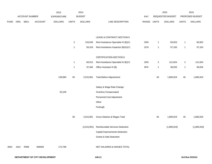|             |      |                |         | 2013               |                | 2014           |                                       |             |                | 2015             |                | 2015            |
|-------------|------|----------------|---------|--------------------|----------------|----------------|---------------------------------------|-------------|----------------|------------------|----------------|-----------------|
|             |      | ACCOUNT NUMBER |         | <b>EXPENDITURE</b> |                | <b>BUDGET</b>  |                                       | PAY         |                | REQUESTED BUDGET |                | PROPOSED BUDGET |
| <b>FUND</b> | ORG  | SBCL           | ACCOUNT | <b>DOLLARS</b>     | <b>UNITS</b>   | <b>DOLLARS</b> | LINE DESCRIPTION                      | RANGE UNITS |                | <b>DOLLARS</b>   | <b>UNITS</b>   | <b>DOLLARS</b>  |
|             |      |                |         |                    |                |                |                                       |             |                |                  |                |                 |
|             |      |                |         |                    |                |                | LEASE & CONTRACT-SECTION 8            |             |                |                  |                |                 |
|             |      |                |         |                    | $\overline{a}$ | 120,045        | Rent Assistance Specialist III (B)(Y) | 2DN         | $\mathbf{1}$   | 60,923           | $\mathbf{1}$   | 60,923          |
|             |      |                |         |                    | $\mathbf{1}$   | 56,318         | Rent Assistance Inspector (B)(X)(Y)   | 2CN         | $\mathbf{1}$   | 57,163           | $\mathbf{1}$   | 57,163          |
|             |      |                |         |                    |                |                | CERTIFICATION-SECTION 8               |             |                |                  |                |                 |
|             |      |                |         |                    | $\mathbf{1}$   | 60,012         | Rent Assistance Specialist III (B)(Y) | 2DN         | $\overline{2}$ | 121,824          | $\overline{c}$ | 121,824         |
|             |      |                |         |                    | $\mathbf{1}$   | 37,464         | Office Assistant III (B)              | 6FN         | $\mathbf{1}$   | 38,026           | $\mathbf{1}$   | 38,026          |
|             |      |                |         | 139,690            | 50             | 2,015,901      | <b>Total Before Adjustments</b>       |             | 45             | 1,806,919        | 45             | 1,806,919       |
|             |      |                |         |                    |                |                | Salary & Wage Rate Change             |             |                |                  |                |                 |
|             |      |                |         | 33,109             |                |                | Overtime Compensated                  |             |                |                  |                |                 |
|             |      |                |         |                    |                |                | Personnel Cost Adjustment             |             |                |                  |                |                 |
|             |      |                |         |                    |                |                | Other                                 |             |                |                  |                |                 |
|             |      |                |         |                    |                |                | Furlough                              |             |                |                  |                |                 |
|             |      |                |         |                    | 50             | 2,015,901      | Gross Salaries & Wages Total          |             | 45             | 1,806,919        | 45             | 1,806,919       |
|             |      |                |         |                    |                | (2,015,901)    | Reimbursable Services Deduction       |             |                | (1,806,919)      |                | (1,806,919)     |
|             |      |                |         |                    |                |                | Capital Improvements Deduction        |             |                |                  |                |                 |
|             |      |                |         |                    |                |                | <b>Grants &amp; Aids Deduction</b>    |             |                |                  |                |                 |
| 0001        | 1912 | R999           | 006000  | 172,799            |                |                | NET SALARIES & WAGES TOTAL            |             |                |                  |                |                 |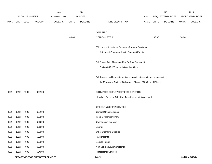|             |      |                |                                | 2013               |              | 2014           |                                                                           |             |       | 2015             |              | 2015            |
|-------------|------|----------------|--------------------------------|--------------------|--------------|----------------|---------------------------------------------------------------------------|-------------|-------|------------------|--------------|-----------------|
|             |      | ACCOUNT NUMBER |                                | <b>EXPENDITURE</b> |              | <b>BUDGET</b>  |                                                                           | PAY         |       | REQUESTED BUDGET |              | PROPOSED BUDGET |
| <b>FUND</b> | ORG  | SBCL           | <b>ACCOUNT</b>                 | <b>DOLLARS</b>     | <b>UNITS</b> | <b>DOLLARS</b> | LINE DESCRIPTION                                                          | RANGE UNITS |       | <b>DOLLARS</b>   | <b>UNITS</b> | <b>DOLLARS</b>  |
|             |      |                |                                |                    |              |                |                                                                           |             |       |                  |              |                 |
|             |      |                |                                |                    |              |                | <b>O&amp;M FTE'S</b>                                                      |             |       |                  |              |                 |
|             |      |                |                                |                    | 43.00        |                | NON-O&M FTE'S                                                             |             | 38.00 |                  | 38.00        |                 |
|             |      |                |                                |                    |              |                |                                                                           |             |       |                  |              |                 |
|             |      |                |                                |                    |              |                | (B) Housing Assistance Payments Program Positions                         |             |       |                  |              |                 |
|             |      |                |                                |                    |              |                | Authorized Concurrently with Section 8 Funding.                           |             |       |                  |              |                 |
|             |      |                |                                |                    |              |                | (X) Private Auto Allowance May Be Paid Pursuant to                        |             |       |                  |              |                 |
|             |      |                |                                |                    |              |                | Section 350-183 of the Milwaukee Code.                                    |             |       |                  |              |                 |
|             |      |                |                                |                    |              |                |                                                                           |             |       |                  |              |                 |
|             |      |                |                                |                    |              |                | (Y) Required to file a statement of economic interests in accordance with |             |       |                  |              |                 |
|             |      |                |                                |                    |              |                | the Milwaukee Code of Ordinances Chapter 303-Code of Ethics.              |             |       |                  |              |                 |
|             |      |                |                                |                    |              |                |                                                                           |             |       |                  |              |                 |
| 0001        | 1912 | R999           | 006100                         |                    |              |                | ESTIMATED EMPLOYEE FRINGE BENEFITS                                        |             |       |                  |              |                 |
|             |      |                |                                |                    |              |                | (Involves Revenue Offset-No Transfers from this Account)                  |             |       |                  |              |                 |
|             |      |                |                                |                    |              |                |                                                                           |             |       |                  |              |                 |
|             |      |                |                                |                    |              |                | OPERATING EXPENDITURES                                                    |             |       |                  |              |                 |
| 0001        | 1912 | R999           | 630100                         |                    |              |                | General Office Expense                                                    |             |       |                  |              |                 |
| 0001        | 1912 | R999           | 630500                         |                    |              |                | Tools & Machinery Parts                                                   |             |       |                  |              |                 |
| 0001        | 1912 | R999           | 631000                         |                    |              |                | <b>Construction Supplies</b>                                              |             |       |                  |              |                 |
| 0001        | 1912 | R999           | 631500                         |                    |              |                | Energy                                                                    |             |       |                  |              |                 |
| 0001        | 1912 | R999           | 632000                         |                    |              |                | <b>Other Operating Supplies</b>                                           |             |       |                  |              |                 |
| 0001        | 1912 | R999           | 632500                         |                    |              |                | <b>Facility Rental</b>                                                    |             |       |                  |              |                 |
| 0001        | 1912 | R999           | 633000                         |                    |              |                | Vehicle Rental                                                            |             |       |                  |              |                 |
| 0001        | 1912 | R999           | 633500                         |                    |              |                | Non-Vehicle Equipment Rental                                              |             |       |                  |              |                 |
| 0001        | 1912 | R999           | 634000                         |                    |              |                | <b>Professional Services</b>                                              |             |       |                  |              |                 |
|             |      |                | DEPARTMENT OF CITY DEVELOPMENT |                    |              |                | 140.12                                                                    |             |       |                  |              | 3rd Run 9/15/14 |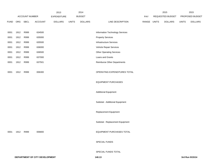|             |                |                |         | 2013           |              | 2014           |                                    |       |              | 2015             |              | 2015            |
|-------------|----------------|----------------|---------|----------------|--------------|----------------|------------------------------------|-------|--------------|------------------|--------------|-----------------|
|             |                | ACCOUNT NUMBER |         | EXPENDITURE    |              | <b>BUDGET</b>  |                                    | PAY   |              | REQUESTED BUDGET |              | PROPOSED BUDGET |
| <b>FUND</b> | ORG            | <b>SBCL</b>    | ACCOUNT | <b>DOLLARS</b> | <b>UNITS</b> | <b>DOLLARS</b> | LINE DESCRIPTION                   | RANGE | <b>UNITS</b> | <b>DOLLARS</b>   | <b>UNITS</b> | <b>DOLLARS</b>  |
| 0001        | 1912           | R999           | 634500  |                |              |                | Information Technology Services    |       |              |                  |              |                 |
| 0001        | 1912           | R999           | 635000  |                |              |                | <b>Property Services</b>           |       |              |                  |              |                 |
| 0001        | 1912           | R999           | 635500  |                |              |                | Infrastructure Services            |       |              |                  |              |                 |
| 0001        | 1912           | R999           | 636000  |                |              |                | Vehicle Repair Services            |       |              |                  |              |                 |
| 0001        | 1912           | R999           | 636500  |                |              |                | <b>Other Operating Services</b>    |       |              |                  |              |                 |
| 0001        | 1912           | R999           | 637000  |                |              |                | Loans and Grants                   |       |              |                  |              |                 |
| 0001        | 1912           | R999           | 637501  |                |              |                | <b>Reimburse Other Departments</b> |       |              |                  |              |                 |
| 0001        | 1912           | R999           | 006300  |                |              |                | OPERATING EXPENDITURES TOTAL       |       |              |                  |              |                 |
|             |                |                |         |                |              |                | <b>EQUIPMENT PURCHASES</b>         |       |              |                  |              |                 |
|             |                |                |         |                |              |                | <b>Additional Equipment</b>        |       |              |                  |              |                 |
|             |                |                |         |                |              |                | Subtotal - Additional Equipment    |       |              |                  |              |                 |
|             |                |                |         |                |              |                | Replacement Equipment              |       |              |                  |              |                 |
|             |                |                |         |                |              |                | Subtotal - Replacement Equipment   |       |              |                  |              |                 |
|             | 0001 1912 R999 |                | 006800  |                |              |                | EQUIPMENT PURCHASES TOTAL          |       |              |                  |              |                 |
|             |                |                |         |                |              |                | SPECIAL FUNDS                      |       |              |                  |              |                 |
|             |                |                |         |                |              |                | SPECIAL FUNDS TOTAL                |       |              |                  |              |                 |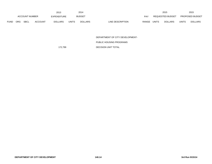|             |            |                       |                | 2013           |              | 2014           |                                  | 2015                           |              | 2015                   |
|-------------|------------|-----------------------|----------------|----------------|--------------|----------------|----------------------------------|--------------------------------|--------------|------------------------|
|             |            | <b>ACCOUNT NUMBER</b> |                | EXPENDITURE    |              | <b>BUDGET</b>  | PAY                              | <b>REQUESTED BUDGET</b>        |              | <b>PROPOSED BUDGET</b> |
| <b>FUND</b> | <b>ORG</b> | <b>SBCL</b>           | <b>ACCOUNT</b> | <b>DOLLARS</b> | <b>UNITS</b> | <b>DOLLARS</b> | LINE DESCRIPTION<br><b>RANGE</b> | <b>UNITS</b><br><b>DOLLARS</b> | <b>UNITS</b> | <b>DOLLARS</b>         |

DEPARTMENT OF CITY DEVELOPMENT-

PUBLIC HOUSING PROGRAMS

172,799 DECISION UNIT TOTAL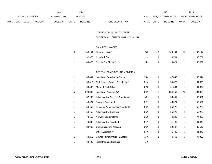|             |            |                       |                | 2013               |              | 2014           |                                  |       | 2015             |              | 2015                   |
|-------------|------------|-----------------------|----------------|--------------------|--------------|----------------|----------------------------------|-------|------------------|--------------|------------------------|
|             |            | <b>ACCOUNT NUMBER</b> |                | <b>EXPENDITURE</b> |              | <b>BUDGET</b>  | PAY                              |       | REQUESTED BUDGET |              | <b>PROPOSED BUDGET</b> |
| <b>FUND</b> | <b>ORG</b> | <b>SBCL</b>           | <b>ACCOUNT</b> | <b>DOLLARS</b>     | <b>UNITS</b> | <b>DOLLARS</b> | <b>RANGE</b><br>LINE DESCRIPTION | UNITS | <b>DOLLARS</b>   | <b>UNITS</b> | <b>DOLLARS</b>         |

COMMON COUNCIL-CITY CLERK

BUDGETARY CONTROL UNIT (1BCU=1DU)

## SALARIES & WAGES

| 15 |        | 1,106,144 Alderman $(X) (Y)$ | EO  | 15 | 1.106.144 | 15 | 1,106,144 |
|----|--------|------------------------------|-----|----|-----------|----|-----------|
|    |        | 92,376 City Clerk (Y)        | 1LX |    | 93.761    |    | 93,761    |
|    | 89,479 | Deputy City Clerk (Y)        | 1JX |    | 90.821    |    | 90,821    |

## CENTRAL ADMINISTRATION DIVISION

| 1  | 66,841  | Legislative Coordinator-Senior        | 2KX |    | 67,843  |    | 52,844  |
|----|---------|---------------------------------------|-----|----|---------|----|---------|
| 1  | 53,519  | Staff Asst. to Council President (Y)  | 2HX | 1  | 54,322  | 1  | 61,000  |
| 1  | 60,487  | Mgmt. & Acct. Officer                 | 2GX | 1  | 61,394  | 1  | 61,394  |
| 15 | 673,847 | Legislative Assistant (Y)             | 2CN | 15 | 684,059 | 15 | 684,059 |
| 1  | 52,268  | Administrative Services Coordinator   | 5JN | 1  | 53,051  | 1  | 53,051  |
| 1  | 43,521  | Program Assistant I                   | 5EN | 1  | 43,521  | 1  | 43,521  |
| 1  | 54,455  | Executive Administrative Assistant II | 2CN | 1  | 55,272  | 1  | 55,272  |
| 1  | 54,455  | <b>Administrative Specialist</b>      | 2CN | 1  | 55,272  | 1  | 55,272  |
| 1  | 73,110  | Network Coordinator Sr.               | 2GX | 1  | 74,206  | 1  | 74,206  |
| 1  | 40,836  | Administrative Assistant II           | 6HN | 1  | 41,449  | 1  | 41,449  |
| 1  | 38,963  | <b>Communications Assistant II</b>    | 6GN | 1  | 39,547  | 1  | 39,547  |
|    |         | <b>Office Assistant IV</b>            | 6HN | 1  | 41,449  | 1  | 41,449  |
| 1  | 73,260  | Council Administration Manager        | 1FX | 1  | 74,359  | 1  | 74,359  |
| 1  | 63,495  | <b>Fiscal Planning Specialist</b>     | 2IX |    |         |    |         |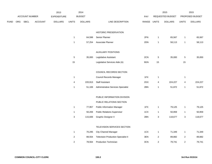|      |     |                       |                | 2013               |                | 2014           |                                            |       |                         | 2015             |                         | 2015            |
|------|-----|-----------------------|----------------|--------------------|----------------|----------------|--------------------------------------------|-------|-------------------------|------------------|-------------------------|-----------------|
|      |     | <b>ACCOUNT NUMBER</b> |                | <b>EXPENDITURE</b> |                | <b>BUDGET</b>  |                                            | PAY   |                         | REQUESTED BUDGET |                         | PROPOSED BUDGET |
| FUND | ORG | <b>SBCL</b>           | <b>ACCOUNT</b> | <b>DOLLARS</b>     | <b>UNITS</b>   | <b>DOLLARS</b> | LINE DESCRIPTION                           | RANGE | <b>UNITS</b>            | <b>DOLLARS</b>   | <b>UNITS</b>            | <b>DOLLARS</b>  |
|      |     |                       |                |                    |                |                |                                            |       |                         |                  |                         |                 |
|      |     |                       |                |                    |                |                | HISTORIC PRESERVATION                      |       |                         |                  |                         |                 |
|      |     |                       |                |                    | $\mathbf{1}$   | 64,598         | Senior Planner                             | 2FN   | $\mathbf{1}$            | 65,567           | $\mathbf{1}$            | 65,567          |
|      |     |                       |                |                    | $\mathbf{1}$   | 57,254         | Associate Planner                          | 2DN   | $\overline{1}$          | 58,113           | $\mathbf{1}$            | 58,113          |
|      |     |                       |                |                    |                |                | <b>AUXILIARY POSITIONS</b>                 |       |                         |                  |                         |                 |
|      |     |                       |                |                    | $\overline{5}$ | 35,000         | Legislative Assistant                      | 2CN   | $\,$ 5 $\,$             | 35,000           | $\,$ 5 $\,$             | 35,000          |
|      |     |                       |                |                    | 15             |                | Legislative Services Aide (A)              | 9GN   | $15\,$                  |                  | 15                      |                 |
|      |     |                       |                |                    |                |                |                                            |       |                         |                  |                         |                 |
|      |     |                       |                |                    |                |                | COUNCIL RECORDS SECTION                    |       |                         |                  |                         |                 |
|      |     |                       |                |                    | $\mathbf{1}$   |                | Council Records Manager                    | 1FX   | $\mathbf{1}$            |                  | $\mathbf{1}$            |                 |
|      |     |                       |                |                    | 4              | 220,913        | <b>Staff Assistant</b>                     | 2GX   | 4                       | 224,227          | 4                       | 224,227         |
|      |     |                       |                |                    | $\mathbf{1}$   | 51,106         | Administrative Services Specialist         | 2BN   | $\mathbf{1}$            | 51,872           | $\mathbf{1}$            | 51,872          |
|      |     |                       |                |                    |                |                | PUBLIC INFORMATION DIVISION                |       |                         |                  |                         |                 |
|      |     |                       |                |                    |                |                | PUBLIC RELATIONS SECTION                   |       |                         |                  |                         |                 |
|      |     |                       |                |                    | $\mathbf{1}$   | 77,957         | <b>Public Information Manager</b>          | 1FX   | $\overline{1}$          | 79,125           | $\mathbf{1}$            | 79,125          |
|      |     |                       |                |                    | $\mathbf{1}$   | 50,206         | <b>Public Relations Supervisor</b>         | 1CX   | $\overline{1}$          | 50,959           | $\mathbf{1}$            | 50,959          |
|      |     |                       |                |                    | $\mathbf{3}$   | 115,606        | Graphic Designer II                        | 2BN   |                         | 118,677          |                         | 118,677         |
|      |     |                       |                |                    |                |                |                                            |       | 3                       |                  | 3                       |                 |
|      |     |                       |                |                    |                |                | TELEVISION SERVICES SECTION                |       |                         |                  |                         |                 |
|      |     |                       |                |                    | $\mathbf{1}$   | 70,295         | <b>City Channel Manager</b>                | 1CX   | $\mathbf{1}$            | 71,349           | $\mathbf{1}$            | 71,349          |
|      |     |                       |                |                    | $\overline{c}$ | 88,554         | <b>Television Production Specialist II</b> | 3EN   | $\overline{\mathbf{c}}$ | 89,882           | $\overline{\mathbf{c}}$ | 89,882          |
|      |     |                       |                |                    | 2              | 78,564         | <b>Production Technician</b>               | 3CN   | 2                       | 79,741           | 2                       | 79,741          |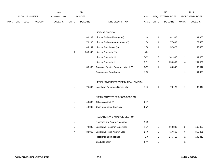|             |     |                |                | 2013               |                | 2014           |                                        |             |                | 2015             |                         | 2015            |
|-------------|-----|----------------|----------------|--------------------|----------------|----------------|----------------------------------------|-------------|----------------|------------------|-------------------------|-----------------|
|             |     | ACCOUNT NUMBER |                | <b>EXPENDITURE</b> |                | <b>BUDGET</b>  |                                        | PAY         |                | REQUESTED BUDGET |                         | PROPOSED BUDGET |
| <b>FUND</b> | ORG | <b>SBCL</b>    | <b>ACCOUNT</b> | <b>DOLLARS</b>     | <b>UNITS</b>   | <b>DOLLARS</b> | LINE DESCRIPTION                       | RANGE UNITS |                | <b>DOLLARS</b>   | <b>UNITS</b>            | <b>DOLLARS</b>  |
|             |     |                |                |                    |                |                |                                        |             |                |                  |                         |                 |
|             |     |                |                |                    |                |                | LICENSE DIVISION                       |             |                |                  |                         |                 |
|             |     |                |                |                    | $\mathbf{1}$   | 80,102         | License Division Manager (Y)           | 1HX         | $\mathbf{1}$   | 81,305           | $\mathbf{1}$            | 81,305          |
|             |     |                |                |                    | $\mathbf{1}$   | 76,288         | License Division Assistant Mgr. (Y)    | 1FX         | $\mathbf{1}$   | 77,433           | $\mathbf{1}$            | 77,433          |
|             |     |                |                |                    | $\mathbf{1}$   | 49,194         | License Coordinator (Y)                | 1CX         | $\mathbf{1}$   | 52,428           | $\mathbf{1}$            | 52,428          |
|             |     |                |                |                    | 8              | 306,946        | License Specialist (Y)                 | 6JN         |                |                  |                         |                 |
|             |     |                |                |                    |                |                | License Specialist III                 | 5GN         | $\overline{2}$ | 101,386          | $\overline{\mathbf{c}}$ | 101,386         |
|             |     |                |                |                    |                |                | License Specialist II                  | 5EN         | 6              | 254,389          | $\,6$                   | 251,059         |
|             |     |                |                |                    | $\mathbf{1}$   | 38,963         | Customer Service Representative II (Y) | 6GN         | $\mathbf{1}$   | 39,547           | $\mathbf{1}$            | 39,547          |
|             |     |                |                |                    |                |                | <b>Enforcement Coordinator</b>         | 1CX         |                |                  | $\mathbf{1}$            | 51,469          |
|             |     |                |                |                    |                |                |                                        |             |                |                  |                         |                 |
|             |     |                |                |                    |                |                | LEGISLATIVE REFERENCE BUREAU DIVISION  |             |                |                  |                         |                 |
|             |     |                |                |                    | $\mathbf{1}$   | 75,000         | Legislative Reference Bureau Mgr.      | 1HX         | $\mathbf{1}$   | 76,125           | $\mathbf{1}$            | 82,844          |
|             |     |                |                |                    |                |                |                                        |             |                |                  |                         |                 |
|             |     |                |                |                    |                |                | ADMINISTRATIVE SERVICES SECTION        |             |                |                  |                         |                 |
|             |     |                |                |                    | $\mathbf{1}$   | 40,836         | Office Assistant IV                    | 6HN         |                |                  |                         |                 |
|             |     |                |                |                    | $\mathbf{1}$   | 43,909         | <b>Code Information Specialist</b>     | 6NN         |                |                  |                         |                 |
|             |     |                |                |                    |                |                | RESEARCH AND ANALYSIS SECTION          |             |                |                  |                         |                 |
|             |     |                |                |                    | $\mathbf{1}$   |                | Research and Analysis Manager          | 1GX         |                |                  |                         |                 |
|             |     |                |                |                    |                |                |                                        | 1EX         |                | 160,882          |                         |                 |
|             |     |                |                |                    | $\mathbf{1}$   | 79,836         | Legislative Research Supervisor        |             | $\sqrt{2}$     |                  | $\sqrt{2}$              | 160,882         |
|             |     |                |                |                    | $\overline{7}$ | 432,960        | Legislative Fiscal Analyst Lead        | 2HX         | $\,6\,$        | 417,666          | $\,6$                   | 353,281         |
|             |     |                |                |                    |                |                | <b>Fiscal Planning Specialist</b>      | 2IX         | $\sqrt{2}$     | 145,419          | $\sqrt{2}$              | 145,419         |
|             |     |                |                |                    |                |                | Graduate Intern                        | 9PN         | $\sqrt{2}$     |                  | $\sqrt{2}$              |                 |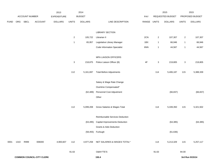|             |      |                |                                  | 2013               |                | 2014           |                                       |             |                | 2015             |                           | 2015            |
|-------------|------|----------------|----------------------------------|--------------------|----------------|----------------|---------------------------------------|-------------|----------------|------------------|---------------------------|-----------------|
|             |      | ACCOUNT NUMBER |                                  | <b>EXPENDITURE</b> |                | <b>BUDGET</b>  |                                       | PAY         |                | REQUESTED BUDGET |                           | PROPOSED BUDGET |
| <b>FUND</b> | ORG  | <b>SBCL</b>    | <b>ACCOUNT</b>                   | <b>DOLLARS</b>     | <b>UNITS</b>   | <b>DOLLARS</b> | LINE DESCRIPTION                      | RANGE UNITS |                | <b>DOLLARS</b>   | <b>UNITS</b>              | <b>DOLLARS</b>  |
|             |      |                |                                  |                    |                |                |                                       |             |                |                  |                           |                 |
|             |      |                |                                  |                    |                |                | <b>LIBRARY SECTION</b>                |             |                |                  |                           |                 |
|             |      |                |                                  |                    | $\overline{2}$ | 105,722        | Librarian II                          | 2CN         | $\overline{2}$ | 107,307          | $\overline{a}$            | 107,307         |
|             |      |                |                                  |                    | $\overline{1}$ | 65,957         | Legislative Library Manager           | 1BX         | $\mathbf{1}$   | 66,946           | $\mathbf{1}$              | 66,946          |
|             |      |                |                                  |                    |                |                | <b>Code Information Specialist</b>    | 6NN         | $\mathbf{1}$   | 44,567           | $\mathbf{1}$              | 44,567          |
|             |      |                |                                  |                    |                |                | MPA LIAISON OFFICERS                  |             |                |                  |                           |                 |
|             |      |                |                                  |                    | 3              | 218,875        | Police Liaison Officer (B)            | 4F          | 3              | 219,805          | $\ensuremath{\mathsf{3}}$ | 219,805         |
|             |      |                |                                  |                    | 112            | 5,161,697      | <b>Total Before Adjustments</b>       |             | 114            | 5,406,187        | 115                       | 5,388,339       |
|             |      |                |                                  |                    |                |                | Salary & Wage Rate Change             |             |                |                  |                           |                 |
|             |      |                |                                  |                    |                |                | Overtime Compensated*                 |             |                |                  |                           |                 |
|             |      |                |                                  |                    |                | (62, 489)      | Personnel Cost Adjustment             |             |                | (66, 837)        |                           | (66, 837)       |
|             |      |                |                                  |                    |                |                | Other                                 |             |                |                  |                           |                 |
|             |      |                |                                  |                    | 112            | 5,099,208      | Gross Salaries & Wages Total          |             | 114            | 5,339,350        | 115                       | 5,321,502       |
|             |      |                |                                  |                    |                |                | Reimbursable Services Deduction       |             |                |                  |                           |                 |
|             |      |                |                                  |                    |                | (63, 495)      | <b>Capital Improvements Deduction</b> |             |                | (64, 385)        |                           | (64, 385)       |
|             |      |                |                                  |                    |                |                | <b>Grants &amp; Aids Deduction</b>    |             |                |                  |                           |                 |
|             |      |                |                                  |                    |                |                | (58,455) Furlough                     |             |                | (61, 636)        |                           |                 |
| 0001        | 1310 | R999           | 006000                           | 4,900,607          | 112            | 4,977,258      | NET SALARIES & WAGES TOTAL*           |             | 114            | 5,213,329        | 115                       | 5,257,117       |
|             |      |                |                                  |                    | 91.63          |                | O&M FTE'S                             |             | 91.63          |                  | 94.00                     |                 |
|             |      |                | <b>COMMON COUNCIL-CITY CLERK</b> |                    |                |                | 150.4                                 |             |                |                  |                           | 3rd Run 9/15/14 |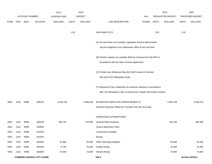|             |      |                       |                                  | 2013               |              | 2014           |                                                                                              |             |      | 2015             |              | 2015            |
|-------------|------|-----------------------|----------------------------------|--------------------|--------------|----------------|----------------------------------------------------------------------------------------------|-------------|------|------------------|--------------|-----------------|
|             |      | <b>ACCOUNT NUMBER</b> |                                  | <b>EXPENDITURE</b> |              | <b>BUDGET</b>  |                                                                                              | <b>PAY</b>  |      | REQUESTED BUDGET |              | PROPOSED BUDGET |
| <b>FUND</b> | ORG  | SBCL                  | <b>ACCOUNT</b>                   | <b>DOLLARS</b>     | <b>UNITS</b> | <b>DOLLARS</b> | LINE DESCRIPTION                                                                             | RANGE UNITS |      | <b>DOLLARS</b>   | <b>UNITS</b> | <b>DOLLARS</b>  |
|             |      |                       |                                  |                    |              |                |                                                                                              |             |      |                  |              |                 |
|             |      |                       |                                  |                    | 1.00         |                | NON-O&M FTE'S                                                                                |             | 1.00 |                  | 1.00         |                 |
|             |      |                       |                                  |                    |              |                | (A) No more than one Auxiliary Legislative Service Aide position                             |             |      |                  |              |                 |
|             |      |                       |                                  |                    |              |                | may be assigned to any aldermanic office at any one time.                                    |             |      |                  |              |                 |
|             |      |                       |                                  |                    |              |                |                                                                                              |             |      |                  |              |                 |
|             |      |                       |                                  |                    |              |                | (B) Position salaries are partially offset by revenue from the MPA in                        |             |      |                  |              |                 |
|             |      |                       |                                  |                    |              |                | accordance with the labor contract agreement.                                                |             |      |                  |              |                 |
|             |      |                       |                                  |                    |              |                |                                                                                              |             |      |                  |              |                 |
|             |      |                       |                                  |                    |              |                | (X) Private Auto Allowance May Be Paid Pursuant to Section<br>350-183 of the Milwaukee Code. |             |      |                  |              |                 |
|             |      |                       |                                  |                    |              |                |                                                                                              |             |      |                  |              |                 |
|             |      |                       |                                  |                    |              |                | (Y) Required to file a statement of economic interests in accordance                         |             |      |                  |              |                 |
|             |      |                       |                                  |                    |              |                | with the Milwaukee Code of Ordinances Chapter 303-Code of Ethics.                            |             |      |                  |              |                 |
|             |      |                       |                                  |                    |              |                |                                                                                              |             |      |                  |              |                 |
| 0001        | 1310 | R999                  | 006100                           | 2,330,148          |              | 2,396,628      | ESTIMATED EMPLOYEE FRINGE BENEFITS                                                           |             |      | 2,402,708        |              | 2,394,676       |
|             |      |                       |                                  |                    |              |                | (Involves Revenue Offset-No Transfers from this Account)                                     |             |      |                  |              |                 |
|             |      |                       |                                  |                    |              |                | OPERATING EXPENDITURES                                                                       |             |      |                  |              |                 |
| 0001        | 1310 | R999                  | 630100                           | 198,733            |              | 210,000        | General Office Expense                                                                       |             |      | 292,100          |              | 296,300         |
| 0001        | 1310 | R999                  | 630500                           |                    |              |                | Tools & Machinery Parts                                                                      |             |      |                  |              |                 |
| 0001        | 1310 | R999                  | 631000                           |                    |              |                | <b>Construction Supplies</b>                                                                 |             |      |                  |              |                 |
| 0001        | 1310 | R999                  | 631500                           |                    |              |                | Energy                                                                                       |             |      |                  |              |                 |
| 0001        | 1310 | R999                  | 632000                           | 25,998             |              | 20,000         | <b>Other Operating Supplies</b>                                                              |             |      | 25,000           |              | 25,300          |
| 0001        | 1310 | R999                  | 632500                           | 6,738              |              | 15,000         | <b>Facility Rental</b>                                                                       |             |      | 15,000           |              | 15,000          |
| 0001        | 1310 | R999                  | 633000                           | 70,020             |              | 73,000         | Vehicle Rental                                                                               |             |      | 75,000           |              | 75,000          |
|             |      |                       | <b>COMMON COUNCIL-CITY CLERK</b> |                    |              |                | 150.5                                                                                        |             |      |                  |              | 3rd Run 9/15/14 |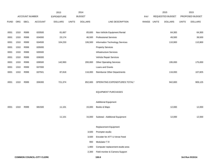|             |      |                |                                  | 2013           |              | 2014           |                                    |       |              | 2015             |              | 2015            |
|-------------|------|----------------|----------------------------------|----------------|--------------|----------------|------------------------------------|-------|--------------|------------------|--------------|-----------------|
|             |      | ACCOUNT NUMBER |                                  | EXPENDITURE    |              | <b>BUDGET</b>  |                                    | PAY   |              | REQUESTED BUDGET |              | PROPOSED BUDGET |
| <b>FUND</b> | ORG  | SBCL           | <b>ACCOUNT</b>                   | <b>DOLLARS</b> | <b>UNITS</b> | <b>DOLLARS</b> | LINE DESCRIPTION                   | RANGE | <b>UNITS</b> | <b>DOLLARS</b>   | <b>UNITS</b> | <b>DOLLARS</b>  |
|             |      |                |                                  |                |              |                |                                    |       |              |                  |              |                 |
| 0001        | 1310 | R999           | 633500                           | 61,667         |              | 65,600         | Non-Vehicle Equipment Rental       |       |              | 64,300           |              | 64,300          |
| 0001        | 1310 | R999           | 634000                           | 23,174         |              | 46,500         | <b>Professional Services</b>       |       |              | 49,500           |              | 39,500          |
| 0001        | 1310 | R999           | 634500                           | 104,233        |              | 106,500        | Information Technology Services    |       |              | 110,900          |              | 110,900         |
| 0001        | 1310 | R999           | 635000                           |                |              |                | <b>Property Services</b>           |       |              |                  |              |                 |
| 0001        | 1310 | R999           | 635500                           |                |              |                | <b>Infrastructure Services</b>     |       |              |                  |              |                 |
| 0001        | 1310 | R999           | 636000                           |                |              |                | Vehicle Repair Services            |       |              |                  |              |                 |
| 0001        | 1310 | R999           | 636500                           | 142,993        |              | 200,000        | <b>Other Operating Services</b>    |       |              | 195,000          |              | 175,000         |
| 0001        | 1310 | R999           | 637000                           |                |              |                | Loans and Grants                   |       |              |                  |              |                 |
| 0001        | 1310 | R999           | 637501                           | 87,818         |              | 116,000        | <b>Reimburse Other Departments</b> |       |              | 116,000          |              | 107,825         |
|             |      |                |                                  |                |              |                |                                    |       |              |                  |              |                 |
| 0001        | 1310 | R999           | 006300                           | 721,374        |              | 852,600        | OPERATING EXPENDITURES TOTAL*      |       |              | 942,800          |              | 909,125         |
|             |      |                |                                  |                |              |                |                                    |       |              |                  |              |                 |
|             |      |                |                                  |                |              |                | <b>EQUIPMENT PURCHASES</b>         |       |              |                  |              |                 |
|             |      |                |                                  |                |              |                |                                    |       |              |                  |              |                 |
|             |      |                |                                  |                |              |                | <b>Additional Equipment</b>        |       |              |                  |              |                 |
| 0001        | 1310 | R999           | 681500                           | 11,101         |              | 15,000         | Books & Maps                       |       |              | 12,000           |              | 12,000          |
|             |      |                |                                  |                |              |                |                                    |       |              |                  |              |                 |
|             |      |                |                                  | 11,101         |              | 15,000         | Subtotal - Additional Equipment    |       |              | 12,000           |              | 12,000          |
|             |      |                |                                  |                |              |                |                                    |       |              |                  |              |                 |
|             |      |                |                                  |                |              |                | Replacement Equipment              |       |              |                  |              |                 |
|             |      |                |                                  |                |              | 3,500          | Prompter-studio                    |       |              |                  |              |                 |
|             |      |                |                                  |                |              | 3,500          | Encoder for ATT U-Verse Feed       |       |              |                  |              |                 |
|             |      |                |                                  |                |              | 900            | Modulator T-9                      |       |              |                  |              |                 |
|             |      |                |                                  |                |              | 1,900          | Computer replacement-studio area   |       |              |                  |              |                 |
|             |      |                |                                  |                |              | 2,300          | Field monitor & Camera Support     |       |              |                  |              |                 |
|             |      |                | <b>COMMON COUNCIL-CITY CLERK</b> |                |              |                | 150.6                              |       |              |                  |              | 3rd Run 9/15/14 |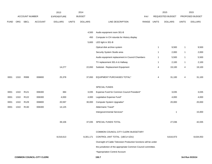|             |                                  |                  |                | 2013               |              | 2014           |                                                                  |             |                | 2015             |              | 2015            |
|-------------|----------------------------------|------------------|----------------|--------------------|--------------|----------------|------------------------------------------------------------------|-------------|----------------|------------------|--------------|-----------------|
|             |                                  | ACCOUNT NUMBER   |                | <b>EXPENDITURE</b> |              | <b>BUDGET</b>  |                                                                  | PAY         |                | REQUESTED BUDGET |              | PROPOSED BUDGET |
| <b>FUND</b> | ORG                              | SBCL             | <b>ACCOUNT</b> | <b>DOLLARS</b>     | <b>UNITS</b> | <b>DOLLARS</b> | LINE DESCRIPTION                                                 | RANGE UNITS |                | <b>DOLLARS</b>   | <b>UNITS</b> | <b>DOLLARS</b>  |
|             |                                  |                  |                |                    |              |                |                                                                  |             |                |                  |              |                 |
|             |                                  |                  |                |                    |              | 4,500          | Audio equipment room 301-B                                       |             |                |                  |              |                 |
|             |                                  |                  |                |                    |              | 450            | Computer in CH rotunda for History display                       |             |                |                  |              |                 |
|             |                                  |                  |                |                    |              | 5,600          | LED light in 301-B                                               |             |                |                  |              |                 |
|             |                                  |                  |                |                    |              |                | Optical disk archive system                                      |             | $\overline{1}$ | 9,500            | $\mathbf{1}$ | 9,500           |
|             |                                  |                  |                |                    |              |                | Security System Studio area                                      |             | $\overline{1}$ | 2,000            | $\mathbf{1}$ | 2,000           |
|             |                                  |                  |                |                    |              |                | Audio equipment replacement in Council Chambers                  |             | $\overline{1}$ | 5,500            | $\mathbf{1}$ | 5,500           |
|             |                                  |                  |                |                    |              |                | TV replacement 301-A & Hallway                                   |             | $\overline{1}$ | 2,100            | $\mathbf{1}$ | 2,100           |
|             |                                  |                  |                | 14,277             |              | 22,650         | Subtotal - Replacement Equipment                                 |             | 4              | 19,100           | 4            | 19,100          |
|             |                                  |                  |                |                    |              |                |                                                                  |             |                |                  |              |                 |
| 0001        | 1310                             | R999             | 006800         | 25,378             |              | 37,650         | EQUIPMENT PURCHASES TOTAL*                                       |             | 4              | 31,100           | 4            | 31,100          |
|             |                                  |                  |                |                    |              |                | SPECIAL FUNDS                                                    |             |                |                  |              |                 |
| 0001        | 1310                             | R <sub>121</sub> | 006300         | 384                |              | 3,035          | Expense Fund for Common Council President*                       |             |                | 3,035            |              | 3,035           |
| 0001        | 1310                             | R122             | 006300         | 4,000              |              | 4,000          | Legislative Expense Fund*                                        |             |                | 4,000            |              | 4,000           |
| 0001        | 1310                             | R <sub>129</sub> | 006800         | 20,597             |              | 30,000         | Computer System Upgrades*                                        |             |                | 20,000           |              | 20,000          |
| 0001        | 1310                             | R <sub>130</sub> | 006300         | 14,125             |              |                | Aldermanic Travel*                                               |             |                |                  |              |                 |
|             |                                  |                  |                |                    |              |                | Intergovernmental Services*                                      |             |                | 1                |              | 15,000          |
|             |                                  |                  |                |                    |              |                |                                                                  |             |                |                  |              |                 |
|             |                                  |                  |                | 39,106             |              | 37,035         | SPECIAL FUNDS TOTAL                                              |             |                | 27,036           |              | 42,035          |
|             |                                  |                  |                |                    |              |                |                                                                  |             |                |                  |              |                 |
|             |                                  |                  |                |                    |              |                | COMMON COUNCIL-CITY CLERK BUDGETARY                              |             |                |                  |              |                 |
|             |                                  |                  |                | 8,016,613          |              | 8,301,171      | CONTROL UNIT TOTAL (1BCU=1DU)                                    |             |                | 8,616,973        |              | 8,634,053       |
|             |                                  |                  |                |                    |              |                | Oversight of Cable Television Production functions will be under |             |                |                  |              |                 |
|             |                                  |                  |                |                    |              |                | the jurisdiction of the appropriate Common Council committee.    |             |                |                  |              |                 |
|             |                                  |                  |                |                    |              |                | *Appropriation Control Account                                   |             |                |                  |              |                 |
|             | <b>COMMON COUNCIL-CITY CLERK</b> |                  |                |                    |              |                | 150.7                                                            |             |                |                  |              | 3rd Run 9/15/14 |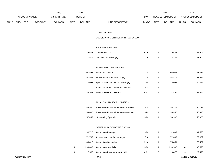|      |     |                |                | 2013               |                | 2014           |                                         |             |              | 2015             |                | 2015            |
|------|-----|----------------|----------------|--------------------|----------------|----------------|-----------------------------------------|-------------|--------------|------------------|----------------|-----------------|
|      |     | ACCOUNT NUMBER |                | <b>EXPENDITURE</b> |                | <b>BUDGET</b>  |                                         | PAY         |              | REQUESTED BUDGET |                | PROPOSED BUDGET |
| FUND | ORG | <b>SBCL</b>    | <b>ACCOUNT</b> | <b>DOLLARS</b>     | <b>UNITS</b>   | <b>DOLLARS</b> | LINE DESCRIPTION                        | RANGE UNITS |              | <b>DOLLARS</b>   | <b>UNITS</b>   | <b>DOLLARS</b>  |
|      |     |                |                |                    |                |                |                                         |             |              |                  |                |                 |
|      |     |                |                |                    |                |                | <b>COMPTROLLER</b>                      |             |              |                  |                |                 |
|      |     |                |                |                    |                |                | BUDGETARY CONTROL UNIT (1BCU=1DU)       |             |              |                  |                |                 |
|      |     |                |                |                    |                |                | SALARIES & WAGES                        |             |              |                  |                |                 |
|      |     |                |                |                    |                |                |                                         |             |              |                  |                |                 |
|      |     |                |                |                    | $\overline{1}$ | 125,607        | Comptroller (Y)                         | EOE         | $\mathbf{1}$ | 125,607          | $\mathbf{1}$   | 125,607         |
|      |     |                |                |                    | $\overline{1}$ | 121,514        | Deputy Comptroller (Y)                  | 1LX         | $\mathbf{1}$ | 123,336          | $\mathbf{1}$   | 108,600         |
|      |     |                |                |                    |                |                | ADMINISTRATION DIVISION                 |             |              |                  |                |                 |
|      |     |                |                |                    | $\overline{1}$ | 101,558        | Accounts Director (Y)                   | 1KX         | $\mathbf{1}$ | 103,081          | $\mathbf{1}$   | 103,081         |
|      |     |                |                |                    | $\mathbf{1}$   | 91,503         | Financial Services Director (Y)         | 1KX         | $\mathbf{1}$ | 92,875           | $\mathbf{1}$   | 92,875          |
|      |     |                |                |                    | $\mathbf{1}$   | 80,067         | Special Assistant to Comptroller (Y)    | 1FX         | $\mathbf{1}$ | 80,067           | $\mathbf{1}$   | 80,067          |
|      |     |                |                |                    | $\mathbf{1}$   |                | Executive Administrative Assistant II   | 2CN         | $\mathbf{1}$ |                  | $\mathbf{1}$   |                 |
|      |     |                |                |                    | $\mathbf{1}$   | 36,902         | Administrative Assistant II             | 6HN         | $\mathbf{1}$ | 37,456           | 1              | 37,456          |
|      |     |                |                |                    |                |                |                                         |             |              |                  |                |                 |
|      |     |                |                |                    |                |                | FINANCIAL ADVISORY DIVISION             |             |              |                  |                |                 |
|      |     |                |                |                    | $\overline{1}$ | 89,500         | Revenue & Financial Services Specialist | 11X         | $\mathbf{1}$ | 90,727           | $\mathbf{1}$   | 90,727          |
|      |     |                |                |                    | $\mathbf{1}$   | 58,000         | Revenue & Financial Services Assistant  | 2GX         | $\mathbf{1}$ | 56,840           | $\mathbf{1}$   | 56,840          |
|      |     |                |                |                    | $\mathbf{1}$   | 57,443         | <b>Accounting Specialist</b>            | 2GX         | $\mathbf{1}$ | 58,305           | $\mathbf{1}$   | 58,305          |
|      |     |                |                |                    |                |                |                                         |             |              |                  |                |                 |
|      |     |                |                |                    |                |                | GENERAL ACCOUNTING DIVISION             |             |              |                  |                |                 |
|      |     |                |                |                    | $\mathbf{1}$   | 90,728         | <b>Accounting Manager</b>               | 1GX         | 1            | 92,089           | 1              | 81,570          |
|      |     |                |                |                    | $\mathbf{1}$   | 71,762         | <b>Assistant Accounting Manager</b>     | 2IX         | $\mathbf{1}$ | 72,839           | $\mathbf{1}$   | 72,839          |
|      |     |                |                |                    | $\mathbf{1}$   | 69,410         | <b>Accounting Supervisor</b>            | 2HX         | $\mathbf{1}$ | 70,451           | $\mathbf{1}$   | 70,451          |
|      |     |                |                |                    | 4              | 233,093        | <b>Accounting Specialist</b>            | 2GX         | 4            | 236,590          | $\overline{4}$ | 236,590         |
|      |     |                |                |                    | 3              | 127,563        | Accounting Program Assistant II         | 6KN         | 3            | 129,476          | 3              | 129,476         |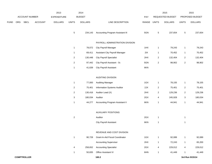|      |     |                |                | 2013               |                           | 2014           |                                         |             |                         | 2015             |                | 2015            |
|------|-----|----------------|----------------|--------------------|---------------------------|----------------|-----------------------------------------|-------------|-------------------------|------------------|----------------|-----------------|
|      |     | ACCOUNT NUMBER |                | <b>EXPENDITURE</b> |                           | <b>BUDGET</b>  |                                         | PAY         |                         | REQUESTED BUDGET |                | PROPOSED BUDGET |
| FUND | ORG | SBCL           | <b>ACCOUNT</b> | <b>DOLLARS</b>     | <b>UNITS</b>              | <b>DOLLARS</b> | LINE DESCRIPTION                        | RANGE UNITS |                         | <b>DOLLARS</b>   | <b>UNITS</b>   | <b>DOLLARS</b>  |
|      |     |                |                |                    | $\,$ 5 $\,$               | 234,143        | <b>Accounting Program Assistant III</b> | 5GN         | $\mathbf 5$             | 237,654          | $\overline{5}$ | 237,654         |
|      |     |                |                |                    |                           |                | PAYROLL ADMINISTRATION DIVISION         |             |                         |                  |                |                 |
|      |     |                |                |                    | $\mathbf{1}$              | 78,072         | City Payroll Manager                    | 1HX         | $\mathbf{1}$            | 79,243           | $\mathbf{1}$   | 79,243          |
|      |     |                |                |                    | $\mathbf{1}$              | 69,411         | Assistant City Payroll Manager          | 2IX         | $\mathbf{1}$            | 70,452           | $\mathbf{1}$   | 70,452          |
|      |     |                |                |                    | $\overline{a}$            | 130,448        | <b>City Payroll Specialist</b>          | 2HX         | 2                       | 132,404          | $\overline{2}$ | 132,404         |
|      |     |                |                |                    | $\overline{a}$            | 97,442         | City Payroll Assistant - Sr.            | 5GN         | $\boldsymbol{2}$        | 98,902           | $\overline{2}$ | 98,902          |
|      |     |                |                |                    | $\mathbf{1}$              | 41,639         | City Payroll Assistant                  | 6KN         |                         |                  |                |                 |
|      |     |                |                |                    |                           |                | <b>AUDITING DIVISION</b>                |             |                         |                  |                |                 |
|      |     |                |                |                    | $\mathbf{1}$              | 77,000         | <b>Auditing Manager</b>                 | 1GX         | $\mathbf{1}$            | 78,155           | $\mathbf{1}$   | 78,155          |
|      |     |                |                |                    | $\overline{a}$            | 75,401         | <b>Information Systems Auditor</b>      | 2JX         | $\overline{\mathbf{c}}$ | 75,401           | $\overline{2}$ | 75,401          |
|      |     |                |                |                    | $\overline{a}$            | 130,416        | Auditor Lead (X)                        | 2HX         | 2                       | 129,236          | $\overline{2}$ | 129,236         |
|      |     |                |                |                    | $\ensuremath{\mathsf{3}}$ | 180,034        | Auditor                                 | 2GX         | 4                       | 245,928          | $\mathbf{3}$   | 180,034         |
|      |     |                |                |                    | $\mathbf{1}$              | 44,277         | Accounting Program Assistant II         | 6KN         | 1                       | 44,941           | $\mathbf{1}$   | 44,941          |
|      |     |                |                |                    |                           |                | <b>AUXILIARY POSITIONS</b>              |             |                         |                  |                |                 |
|      |     |                |                |                    | $\overline{c}$            |                | Auditor                                 | 2GX         | $\mathbf{1}$            |                  | $\mathbf{1}$   |                 |
|      |     |                |                |                    |                           |                | <b>City Payroll Assistant</b>           | 6KN         | $\mathbf{1}$            |                  | $\mathbf{1}$   |                 |
|      |     |                |                |                    |                           |                | REVENUE AND COST DIVISION               |             |                         |                  |                |                 |
|      |     |                |                |                    | $\mathbf{1}$              | 90,728         | Grant-In-Aid Fiscal Coordinator         | 1GX         | $\mathbf{1}$            | 92,089           | $\mathbf{1}$   | 92,089          |
|      |     |                |                |                    |                           |                | <b>Accounting Supervisor</b>            | 2HX         | $\mathbf{1}$            | 72,243           | $\mathbf{1}$   | 65,200          |
|      |     |                |                |                    | 4                         | 258,652        | <b>Accounting Specialist</b>            | 2GX         | 4                       | 229,012          | 4              | 229,012         |
|      |     |                |                |                    | $\mathbf{1}$              | 50,835         | Office Assistant IV                     | 6HN         | $\mathbf{1}$            | 41,449           | $\mathbf{1}$   | 41,449          |
|      |     |                |                |                    |                           |                |                                         |             |                         |                  |                |                 |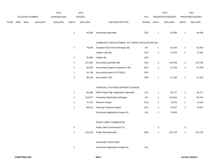|      |            |                       |                | 2013           |                | 2014           |                                                |             |                           | 2015             |                           | 2015            |
|------|------------|-----------------------|----------------|----------------|----------------|----------------|------------------------------------------------|-------------|---------------------------|------------------|---------------------------|-----------------|
|      |            | <b>ACCOUNT NUMBER</b> |                | EXPENDITURE    |                | <b>BUDGET</b>  |                                                | PAY         |                           | REQUESTED BUDGET |                           | PROPOSED BUDGET |
| FUND | <b>ORG</b> | <b>SBCL</b>           | <b>ACCOUNT</b> | <b>DOLLARS</b> | <b>UNITS</b>   | <b>DOLLARS</b> | LINE DESCRIPTION                               | RANGE UNITS |                           | <b>DOLLARS</b>   | <b>UNITS</b>              | <b>DOLLARS</b>  |
|      |            |                       |                |                | $\mathbf{1}$   | 40,836         | <b>Accounting Specialist</b>                   | 2GX         | $\mathbf{1}$              | 40,836           | $\mathbf{1}$              | 40,836          |
|      |            |                       |                |                |                |                | COMMUNITY DEVELOPMENT ACT GRANT ACCOUNTING (B) |             |                           |                  |                           |                 |
|      |            |                       |                |                | $\mathbf{1}$   | 79,836         | Assistant Grant Fiscal Manager (B)             | 2IX         | $\mathbf{1}$              | 81,034           | $\mathbf{1}$              | 81,034          |
|      |            |                       |                |                |                |                | Auditor Lead (B)                               | 2HX         | $\mathbf{1}$              | 72,243           | $\mathbf{1}$              | 72,243          |
|      |            |                       |                |                | $\mathbf{1}$   | 55,684         | Auditor (B)                                    | 2GX         |                           |                  |                           |                 |
|      |            |                       |                |                | $\overline{2}$ | 121,382        | Accounting Specialist (B)                      | 2GX         | $\overline{2}$            | 116,769          | $\overline{2}$            | 116,769         |
|      |            |                       |                |                | $\overline{2}$ | 95,823         | Accounting Program Assistant III (B)           | 5GX         | $\sqrt{2}$                | 97,259           | $\overline{2}$            | 97,259          |
|      |            |                       |                |                | $\mathbf{1}$   | 16,728         | Accounting Intern (0.5 FTE)(C)                 | 9PX         |                           |                  |                           |                 |
|      |            |                       |                |                | $\mathbf{1}$   | 56,318         | Accountant II (B)                              | 2DN         | $\mathbf{1}$              | 57,163           | $\mathbf{1}$              | 57,163          |
|      |            |                       |                |                |                |                | FINANCIAL SYSTEMS SUPPORT DIVISION             |             |                           |                  |                           |                 |
|      |            |                       |                |                | $\mathbf{1}$   | 89,386         | FMIS Project Mgr.-Application Specialist       | 2LX         | $\mathbf{1}$              | 90,727           | $\mathbf{1}$              | 90,727          |
|      |            |                       |                |                | $\mathbf{1}$   | 103,077        | <b>Functional Applications Manager</b>         | 11X         | $\mathbf{1}$              | 104,623          | $\mathbf{1}$              | 89,700          |
|      |            |                       |                |                | $\mathbf{1}$   | 71,176         | Network Analyst                                | 2GX         | $\mathbf{1}$              | 72,243           | 1                         | 72,243          |
|      |            |                       |                |                | $\mathbf{1}$   | 69,012         | <b>Financial Systems Analyst</b>               | 2GX         | $\mathbf{1}$              | 70,047           | $\mathbf{1}$              | 70,047          |
|      |            |                       |                |                |                |                | Functional Applications Analyst Sr.            | 2JX         | $\mathbf{1}$              | 74,063           |                           |                 |
|      |            |                       |                |                |                |                | PUBLIC DEBT COMMISSION                         |             |                           |                  |                           |                 |
|      |            |                       |                |                | $\sqrt{3}$     |                | Public Debt Commissioner (Y)                   |             | $\ensuremath{\mathsf{3}}$ |                  | $\ensuremath{\mathsf{3}}$ |                 |
|      |            |                       |                |                | $\mathbf{1}$   | 101,215        | <b>Public Debt Specialist</b>                  | 2MX         | $\mathbf{1}$              | 102,733          | $\mathbf{1}$              | 102,733         |
|      |            |                       |                |                |                |                | <b>AUXILIARY POSITIONS</b>                     |             |                           |                  |                           |                 |
|      |            |                       |                |                | $\mathbf{1}$   |                | Functional Applications Analyst Sr.            | 2JX         |                           |                  |                           |                 |
|      |            |                       |                |                |                |                |                                                |             |                           |                  |                           |                 |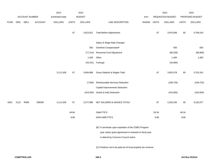|             |      |                       |                | 2013           |              | 2014           |                                                                                                                                                       |       |              | 2015             |              | 2015            |
|-------------|------|-----------------------|----------------|----------------|--------------|----------------|-------------------------------------------------------------------------------------------------------------------------------------------------------|-------|--------------|------------------|--------------|-----------------|
|             |      | <b>ACCOUNT NUMBER</b> |                | EXPENDITURE    |              | <b>BUDGET</b>  |                                                                                                                                                       | PAY   |              | REQUESTED BUDGET |              | PROPOSED BUDGET |
| <b>FUND</b> | ORG  | SBCL                  | <b>ACCOUNT</b> | <b>DOLLARS</b> | <b>UNITS</b> | <b>DOLLARS</b> | LINE DESCRIPTION                                                                                                                                      | RANGE | <b>UNITS</b> | <b>DOLLARS</b>   | <b>UNITS</b> | <b>DOLLARS</b>  |
|             |      |                       |                |                | 67           | 3,813,621      | <b>Total Before Adjustments</b>                                                                                                                       |       | 67           | 3,976,588        | 65           | 3,789,410       |
|             |      |                       |                |                |              |                | Salary & Wage Rate Changes                                                                                                                            |       |              |                  |              |                 |
|             |      |                       |                |                |              | 500            | Overtime Compensated*                                                                                                                                 |       |              | 500              |              | 500             |
|             |      |                       |                |                |              | (77, 214)      | Personnel Cost Adjustment                                                                                                                             |       |              | (80, 526)        |              | (88,900)        |
|             |      |                       |                |                |              | 1,400          | Other                                                                                                                                                 |       |              | 1,400            |              | 1,400           |
|             |      |                       |                |                |              |                | (43,421) Furlough                                                                                                                                     |       |              | (45, 884)        |              |                 |
|             |      |                       |                | 3,111,636      | 67           | 3,694,886      | Gross Salaries & Wages Total                                                                                                                          |       | 67           | 3,852,078        | 65           | 3,702,410       |
|             |      |                       |                |                |              | (7,000)        | Reimbursable Services Deduction                                                                                                                       |       |              | (109, 733)       |              | (109, 733)      |
|             |      |                       |                |                |              |                | Capital Improvements Deduction                                                                                                                        |       |              |                  |              |                 |
|             |      |                       |                |                |              | (410,000)      | <b>Grants &amp; Aids Deduction</b>                                                                                                                    |       |              | (410,000)        |              | (410,000)       |
| 0001        | 2110 | R999                  | 006000         | 3,111,636      | 67           | 3,277,886      | NET SALARIES & WAGES TOTAL*                                                                                                                           |       | 67           | 3,332,345        | 65           | 3,182,677       |
|             |      |                       |                |                | 49.84        |                | O&M FTE'S                                                                                                                                             |       | 50.34        |                  | 48.34        |                 |
|             |      |                       |                |                | 8.66         |                | NON-O&M FTE'S                                                                                                                                         |       | 9.66         |                  | 9.66         |                 |
|             |      |                       |                |                |              |                | (B) To terminate upon expiration of the CDBG Program<br>year unless grant agreement is renewed or fiscal year<br>is altered by Common Council action. |       |              |                  |              |                 |
|             |      |                       |                |                |              |                | (C) Positions not to be paid out of local property tax revenue.                                                                                       |       |              |                  |              |                 |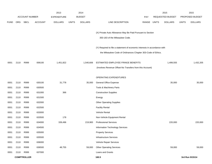|             |      |                       |                | 2013               |              | 2014           |                                                                           |       |              | 2015                    |              | 2015            |
|-------------|------|-----------------------|----------------|--------------------|--------------|----------------|---------------------------------------------------------------------------|-------|--------------|-------------------------|--------------|-----------------|
|             |      | <b>ACCOUNT NUMBER</b> |                | <b>EXPENDITURE</b> |              | <b>BUDGET</b>  |                                                                           | PAY   |              | <b>REQUESTED BUDGET</b> |              | PROPOSED BUDGET |
| <b>FUND</b> | ORG  | <b>SBCL</b>           | <b>ACCOUNT</b> | <b>DOLLARS</b>     | <b>UNITS</b> | <b>DOLLARS</b> | LINE DESCRIPTION                                                          | RANGE | <b>UNITS</b> | <b>DOLLARS</b>          | <b>UNITS</b> | <b>DOLLARS</b>  |
|             |      |                       |                |                    |              |                |                                                                           |       |              |                         |              |                 |
|             |      |                       |                |                    |              |                | (X) Private Auto Allowance May Be Paid Pursuant to Section                |       |              |                         |              |                 |
|             |      |                       |                |                    |              |                | 350-183 of the Milwaukee Code.                                            |       |              |                         |              |                 |
|             |      |                       |                |                    |              |                | (Y) Required to file a statement of economic interests in accordance with |       |              |                         |              |                 |
|             |      |                       |                |                    |              |                | the Milwaukee Code of Ordinances Chapter 303-Code of Ethics.              |       |              |                         |              |                 |
|             |      |                       |                |                    |              |                |                                                                           |       |              |                         |              |                 |
| 0001        | 2110 | R999                  | 006100         | 1,451,822          |              | 1,540,606      | ESTIMATED EMPLOYEE FRINGE BENEFITS                                        |       |              | 1,499,555               |              | 1,432,205       |
|             |      |                       |                |                    |              |                | (Involves Revenue Offset-No Transfers from this Account)                  |       |              |                         |              |                 |
|             |      |                       |                |                    |              |                | <b>OPERATING EXPENDITURES</b>                                             |       |              |                         |              |                 |
| 0001        | 2110 | R999                  | 630100         | 31,778             |              | 35,000         | General Office Expense                                                    |       |              | 35,000                  |              | 35,000          |
| 0001        | 2110 | R999                  | 630500         |                    |              |                | Tools & Machinery Parts                                                   |       |              |                         |              |                 |
| 0001        | 2110 | R999                  | 631000         | 366                |              |                | <b>Construction Supplies</b>                                              |       |              |                         |              |                 |
| 0001        | 2110 | R999                  | 631500         |                    |              |                | Energy                                                                    |       |              |                         |              |                 |
| 0001        | 2110 | R999                  | 632000         |                    |              |                | Other Operating Supplies                                                  |       |              |                         |              |                 |
| 0001        | 2110 | R999                  | 632500         |                    |              |                | <b>Facility Rental</b>                                                    |       |              |                         |              |                 |
| 0001        | 2110 | R999                  | 633000         |                    |              |                | Vehicle Rental                                                            |       |              |                         |              |                 |
| 0001        | 2110 | R999                  | 633500         | 178                |              |                | Non-Vehicle Equipment Rental                                              |       |              |                         |              |                 |
| 0001        | 2110 | R999                  | 634000         | 339,496            |              | 219,900        | <b>Professional Services</b>                                              |       |              | 220,000                 |              | 220,000         |
| 0001        | 2110 | R999                  | 634500         |                    |              |                | Information Technology Services                                           |       |              |                         |              |                 |
| 0001        | 2110 | R999                  | 635000         |                    |              |                | <b>Property Services</b>                                                  |       |              |                         |              |                 |
| 0001        | 2110 | R999                  | 635500         |                    |              |                | Infrastructure Services                                                   |       |              |                         |              |                 |
| 0001        | 2110 | R999                  | 636000         |                    |              |                | Vehicle Repair Services                                                   |       |              |                         |              |                 |
| 0001        | 2110 | R999                  | 636500         | 48,755             |              | 59,000         | <b>Other Operating Services</b>                                           |       |              | 59,000                  |              | 59,000          |
| 0001        | 2110 | R999                  | 637000         |                    |              |                | Loans and Grants                                                          |       |              |                         |              |                 |
|             |      | <b>COMPTROLLER</b>    |                |                    |              |                | 160.5                                                                     |       |              |                         |              | 3rd Run 9/15/14 |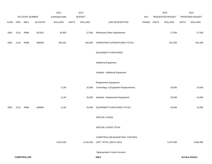|             |      |                |                | 2013           |              | 2014           |                                     |             | 2015             |              | 2015            |
|-------------|------|----------------|----------------|----------------|--------------|----------------|-------------------------------------|-------------|------------------|--------------|-----------------|
|             |      | ACCOUNT NUMBER |                | EXPENDITURE    |              | <b>BUDGET</b>  |                                     | PAY         | REQUESTED BUDGET |              | PROPOSED BUDGET |
| <b>FUND</b> |      | ORG SBCL       | <b>ACCOUNT</b> | <b>DOLLARS</b> | <b>UNITS</b> | <b>DOLLARS</b> | LINE DESCRIPTION                    | RANGE UNITS | <b>DOLLARS</b>   | <b>UNITS</b> | <b>DOLLARS</b>  |
| 0001        | 2110 | R999           | 637501         | 34,859         |              | 27,000         | <b>Reimburse Other Departments</b>  |             | 27,000           |              | 27,000          |
| 0001        | 2110 | R999           | 006300         | 455,432        |              | 340,900        | OPERATING EXPENDITURES TOTAL*       |             | 341,000          |              | 341,000         |
|             |      |                |                |                |              |                | <b>EQUIPMENT PURCHASES</b>          |             |                  |              |                 |
|             |      |                |                |                |              |                | <b>Additional Equipment</b>         |             |                  |              |                 |
|             |      |                |                |                |              |                | Subtotal - Additional Equipment     |             |                  |              |                 |
|             |      |                |                |                |              |                | Replacement Equipment               |             |                  |              |                 |
|             |      |                |                | 3,145          |              | 25,000         | Technology & Equipment Replacements |             | 25,000           |              | 10,000          |
|             |      |                |                | 3,145          |              | 25,000         | Subtotal - Replacement Equipment    |             | 25,000           |              | 10,000          |
| 0001        | 2110 | R999           | 006800         | 3,145          |              | 25,000         | EQUIPMENT PURCHASES TOTAL*          |             | 25,000           |              | 10,000          |
|             |      |                |                |                |              |                | SPECIAL FUNDS                       |             |                  |              |                 |
|             |      |                |                |                |              |                | SPECIAL FUNDS TOTAL                 |             |                  |              |                 |
|             |      |                |                |                |              |                | COMPTROLLER BUDGETARY CONTROL       |             |                  |              |                 |
|             |      |                |                | 5,022,035      |              | 5,184,392      | UNIT TOTAL (1BCU=1DU)               |             | 5,197,900        |              | 4,965,882       |
|             |      |                |                |                |              |                | *Appropriation Control Account      |             |                  |              |                 |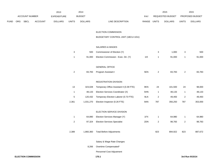|             |     |      | 2013           |                |                | 2014           |                                          |                    | 2015           |                | 2015                    |                |  |                  |  |                 |
|-------------|-----|------|----------------|----------------|----------------|----------------|------------------------------------------|--------------------|----------------|----------------|-------------------------|----------------|--|------------------|--|-----------------|
|             |     |      |                | ACCOUNT NUMBER |                |                |                                          | <b>EXPENDITURE</b> |                | <b>BUDGET</b>  |                         | PAY            |  | REQUESTED BUDGET |  | PROPOSED BUDGET |
| <b>FUND</b> | ORG | SBCL | <b>ACCOUNT</b> | <b>DOLLARS</b> | <b>UNITS</b>   | <b>DOLLARS</b> | LINE DESCRIPTION                         | RANGE UNITS        |                | <b>DOLLARS</b> | <b>UNITS</b>            | <b>DOLLARS</b> |  |                  |  |                 |
|             |     |      |                |                |                |                | ELECTION COMMISSION                      |                    |                |                |                         |                |  |                  |  |                 |
|             |     |      |                |                |                |                | BUDGETARY CONTROL UNIT (1BCU=1DU)        |                    |                |                |                         |                |  |                  |  |                 |
|             |     |      |                |                |                |                | SALARIES & WAGES                         |                    |                |                |                         |                |  |                  |  |                 |
|             |     |      |                |                | $\mathbf{3}$   | 500            | Commissioner of Election (Y)             |                    | 3              | 1,000          | 3                       | 500            |  |                  |  |                 |
|             |     |      |                |                | $\mathbf{1}$   | 91,000         | Election Commission - Exec. Dir. (Y)     | 11X                | 1              | 91,000         | $\mathbf{1}$            | 91,000         |  |                  |  |                 |
|             |     |      |                |                |                |                | <b>GENERAL OFFICE</b>                    |                    |                |                |                         |                |  |                  |  |                 |
|             |     |      |                |                | $\overline{2}$ | 83,783         | Program Assistant I                      | 5EN                | $\mathbf{2}$   | 83,783         | $\overline{2}$          | 83,783         |  |                  |  |                 |
|             |     |      |                |                |                |                | <b>REGISTRATION DIVISION</b>             |                    |                |                |                         |                |  |                  |  |                 |
|             |     |      |                |                | 13             | 323,028        | Temporary Office Assistant II (0.39 FTE) | 9KN                | 24             | 101,500        | 24                      | 98,000         |  |                  |  |                 |
|             |     |      |                |                | $\mathbf{1}$   | 48,133         | Election Services Coordinator (X)        | 5HN                | $\mathbf{1}$   | 48,133         | $\mathbf{1}$            | 48,133         |  |                  |  |                 |
|             |     |      |                |                | $\sqrt{5}$     | 120,432        | Temporary Election Laborer (0.73 FTE)    | 9LN                | $\overline{c}$ | 49,493         | $\overline{\mathbf{c}}$ | 49,493         |  |                  |  |                 |
|             |     |      |                |                | 2,361          | 1,031,270      | Election Inspector (0.26 FTE)            | 9AN                | 787            | 356,250        | 787                     | 353,000        |  |                  |  |                 |
|             |     |      |                |                |                |                | ELECTION SERVICE DIVISION                |                    |                |                |                         |                |  |                  |  |                 |
|             |     |      |                |                | $\mathbf{1}$   | 64,890         | Election Services Manager (Y)            | 1FX                | $\mathbf{1}$   | 64,980         | 1                       | 64,980         |  |                  |  |                 |
|             |     |      |                |                | $\overline{c}$ | 97,324         | <b>Election Services Specialist</b>      | 2DN                | $\overline{a}$ | 98,783         | $\overline{2}$          | 98,783         |  |                  |  |                 |
|             |     |      |                |                | 2,389          | 1,860,360      | <b>Total Before Adjustments</b>          |                    | 823            | 894,922        | 823                     | 887,672        |  |                  |  |                 |
|             |     |      |                |                |                |                | Salary & Wage Rate Changes               |                    |                |                |                         |                |  |                  |  |                 |
|             |     |      |                |                |                | 8,266          | Overtime Compensated*                    |                    |                |                |                         |                |  |                  |  |                 |
|             |     |      |                |                |                |                | Personnel Cost Adjustment                |                    |                |                |                         |                |  |                  |  |                 |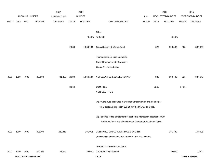|             |      |                            |                | 2013               |              | 2014           |                                                                           |             |       | 2015             |              | 2015            |
|-------------|------|----------------------------|----------------|--------------------|--------------|----------------|---------------------------------------------------------------------------|-------------|-------|------------------|--------------|-----------------|
|             |      | <b>ACCOUNT NUMBER</b>      |                | <b>EXPENDITURE</b> |              | <b>BUDGET</b>  |                                                                           | PAY         |       | REQUESTED BUDGET |              | PROPOSED BUDGET |
| <b>FUND</b> | ORG  | <b>SBCL</b>                | <b>ACCOUNT</b> | <b>DOLLARS</b>     | <b>UNITS</b> | <b>DOLLARS</b> | LINE DESCRIPTION                                                          | RANGE UNITS |       | <b>DOLLARS</b>   | <b>UNITS</b> | <b>DOLLARS</b>  |
|             |      |                            |                |                    |              |                |                                                                           |             |       |                  |              |                 |
|             |      |                            |                |                    |              |                | Other                                                                     |             |       |                  |              |                 |
|             |      |                            |                |                    |              |                | (4,442) Furlough                                                          |             |       | (4, 442)         |              |                 |
|             |      |                            |                |                    |              |                |                                                                           |             |       |                  |              |                 |
|             |      |                            |                |                    | 2,389        | 1,864,184      | Gross Salaries & Wages Total                                              |             | 823   | 890,480          | 823          | 887,672         |
|             |      |                            |                |                    |              |                |                                                                           |             |       |                  |              |                 |
|             |      |                            |                |                    |              |                | Reimbursable Service Deduction                                            |             |       |                  |              |                 |
|             |      |                            |                |                    |              |                | Capital Improvements Deduction                                            |             |       |                  |              |                 |
|             |      |                            |                |                    |              |                | Grants & Aids Deduction                                                   |             |       |                  |              |                 |
|             |      |                            |                |                    |              |                |                                                                           |             |       |                  |              |                 |
| 0001        | 1700 | R999                       | 006000         | 741,309            | 2,389        | 1,864,184      | NET SALARIES & WAGES TOTAL*                                               |             | 823   | 890,480          | 823          | 887,672         |
|             |      |                            |                |                    | 38.64        |                | O&M FTE'S                                                                 |             | 11.66 |                  | 17.86        |                 |
|             |      |                            |                |                    |              |                | NON-O&M FTE'S                                                             |             |       |                  |              |                 |
|             |      |                            |                |                    |              |                |                                                                           |             |       |                  |              |                 |
|             |      |                            |                |                    |              |                | (X) Private auto allowance may be for a maximum of five months per        |             |       |                  |              |                 |
|             |      |                            |                |                    |              |                | year pursuant to section 350-183 of the Milwaukee Code.                   |             |       |                  |              |                 |
|             |      |                            |                |                    |              |                |                                                                           |             |       |                  |              |                 |
|             |      |                            |                |                    |              |                | (Y) Required to file a statement of economic interests in accordance with |             |       |                  |              |                 |
|             |      |                            |                |                    |              |                | the Milwaukee Code of Ordinances Chapter 303-Code of Ethics.              |             |       |                  |              |                 |
|             |      |                            |                |                    |              |                |                                                                           |             |       |                  |              |                 |
| 0001        | 1700 | R999                       | 006100         | 229,811            |              | 181,011        | ESTIMATED EMPLOYEE FRINGE BENEFITS                                        |             |       | 181,739          |              | 174,006         |
|             |      |                            |                |                    |              |                | (Involves Revenue Offset-No Transfers from this Account)                  |             |       |                  |              |                 |
|             |      |                            |                |                    |              |                |                                                                           |             |       |                  |              |                 |
|             |      |                            |                |                    |              |                | OPERATING EXPENDITURES                                                    |             |       |                  |              |                 |
| 0001        | 1700 | R999                       | 630100         | 65,033             |              | 28,000         | <b>General Office Expense</b>                                             |             |       | 12,000           |              | 10,000          |
|             |      | <b>ELECTION COMMISSION</b> |                |                    |              |                | 170.2                                                                     |             |       |                  |              | 3rd Run 9/15/14 |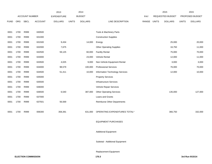|             |            |                       |                | 2013               |              | 2014           |                                    |            |              | 2015             |              | 2015            |
|-------------|------------|-----------------------|----------------|--------------------|--------------|----------------|------------------------------------|------------|--------------|------------------|--------------|-----------------|
|             |            | <b>ACCOUNT NUMBER</b> |                | <b>EXPENDITURE</b> |              | <b>BUDGET</b>  |                                    | <b>PAY</b> |              | REQUESTED BUDGET |              | PROPOSED BUDGET |
| <b>FUND</b> | <b>ORG</b> | SBCL                  | <b>ACCOUNT</b> | <b>DOLLARS</b>     | <b>UNITS</b> | <b>DOLLARS</b> | LINE DESCRIPTION                   | RANGE      | <b>UNITS</b> | <b>DOLLARS</b>   | <b>UNITS</b> | <b>DOLLARS</b>  |
|             |            |                       |                |                    |              |                |                                    |            |              |                  |              |                 |
| 0001        | 1700       | R999                  | 630500         |                    |              |                | Tools & Machinery Parts            |            |              |                  |              |                 |
| 0001        | 1700       | R999                  | 631000         |                    |              |                | <b>Construction Supplies</b>       |            |              |                  |              |                 |
| 0001        | 1700       | R999                  | 631500         | 9,434              |              | 14,000         | Energy                             |            |              | 25,000           |              | 20,000          |
| 0001        | 1700       | R999                  | 632000         | 7,675              |              |                | <b>Other Operating Supplies</b>    |            |              | 16,750           |              | 11,000          |
| 0001        | 1700       | R999                  | 632500         | 59,125             |              | 60,000         | <b>Facility Rental</b>             |            |              | 75,000           |              | 70,000          |
| 0001        | 1700       | R999                  | 633000         |                    |              | 23,000         | Vehicle Rental                     |            |              | 12,000           |              | 11,000          |
| 0001        | 1700       | R999                  | 633500         | 4,025              |              | 9,000          | Non-Vehicle Equipment Rental       |            |              | 3,000            |              | 3,000           |
| 0001        | 1700       | R999                  | 634000         | 98,579             |              | 100,000        | <b>Professional Services</b>       |            |              | 76,000           |              | 70,000          |
| 0001        | 1700       | R999                  | 634500         | 51,411             |              | 10,000         | Information Technology Services    |            |              | 12,000           |              | 10,000          |
| 0001        | 1700       | R999                  | 635000         |                    |              |                | <b>Property Services</b>           |            |              |                  |              |                 |
| 0001        | 1700       | R999                  | 635500         |                    |              |                | <b>Infrastructure Services</b>     |            |              |                  |              |                 |
| 0001        | 1700       | R999                  | 636000         |                    |              |                | Vehicle Repair Services            |            |              |                  |              |                 |
| 0001        | 1700       | R999                  | 636500         | 6,540              |              | 387,000        | <b>Other Operating Services</b>    |            |              | 135,000          |              | 127,000         |
| 0001        | 1700       | R999                  | 637000         |                    |              |                | Loans and Grants                   |            |              |                  |              |                 |
| 0001        | 1700       | R999                  | 637501         | 56,569             |              |                | <b>Reimburse Other Departments</b> |            |              |                  |              |                 |
|             |            |                       |                |                    |              |                |                                    |            |              |                  |              |                 |
| 0001        | 1700       | R999                  | 006300         | 358,391            |              | 631,000        | OPERATING EXPENDITURES TOTAL*      |            |              | 366,750          |              | 332,000         |
|             |            |                       |                |                    |              |                |                                    |            |              |                  |              |                 |
|             |            |                       |                |                    |              |                | <b>EQUIPMENT PURCHASES</b>         |            |              |                  |              |                 |
|             |            |                       |                |                    |              |                |                                    |            |              |                  |              |                 |
|             |            |                       |                |                    |              |                | <b>Additional Equipment</b>        |            |              |                  |              |                 |
|             |            |                       |                |                    |              |                |                                    |            |              |                  |              |                 |
|             |            |                       |                |                    |              |                | Subtotal - Additional Equipment    |            |              |                  |              |                 |
|             |            |                       |                |                    |              |                |                                    |            |              |                  |              |                 |
|             |            |                       |                |                    |              |                |                                    |            |              |                  |              |                 |

Replacement Equipment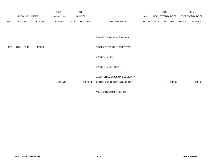|             |      |                       |                | 2013               |              | 2014           |                                   |             | 2015             |                |                 | 2015           |
|-------------|------|-----------------------|----------------|--------------------|--------------|----------------|-----------------------------------|-------------|------------------|----------------|-----------------|----------------|
|             |      | <b>ACCOUNT NUMBER</b> |                | <b>EXPENDITURE</b> |              | <b>BUDGET</b>  |                                   | PAY         | REQUESTED BUDGET |                | PROPOSED BUDGET |                |
| <b>FUND</b> | ORG  | SBCL                  | <b>ACCOUNT</b> | <b>DOLLARS</b>     | <b>UNITS</b> | <b>DOLLARS</b> | LINE DESCRIPTION                  | RANGE UNITS |                  | <b>DOLLARS</b> | UNITS           | <b>DOLLARS</b> |
|             |      |                       |                |                    |              |                | Subtotal - Replacement Equipment  |             |                  |                |                 |                |
| 0001        | 1700 | R999                  | 006800         |                    |              |                | <b>EQUIPMENT PURCHASES TOTAL*</b> |             |                  |                |                 |                |
|             |      |                       |                |                    |              |                | <b>SPECIAL FUNDS</b>              |             |                  |                |                 |                |
|             |      |                       |                |                    |              |                | SPECIAL FUNDS TOTAL               |             |                  |                |                 |                |
|             |      |                       |                |                    |              |                | ELECTION COMMISSION BUDGETARY     |             |                  |                |                 |                |
|             |      |                       |                | 1,329,511          |              | 2,676,195      | CONTROL UNIT TOTAL (1BCU=1DU)     |             |                  | 1,438,969      |                 | 1,393,678      |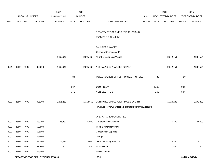|             |      |                       |                                         | 2013               |              | 2014           |                                                          |             |       | 2015             |              | 2015            |
|-------------|------|-----------------------|-----------------------------------------|--------------------|--------------|----------------|----------------------------------------------------------|-------------|-------|------------------|--------------|-----------------|
|             |      | <b>ACCOUNT NUMBER</b> |                                         | <b>EXPENDITURE</b> |              | <b>BUDGET</b>  |                                                          | <b>PAY</b>  |       | REQUESTED BUDGET |              | PROPOSED BUDGET |
| <b>FUND</b> | ORG  | SBCL                  | <b>ACCOUNT</b>                          | <b>DOLLARS</b>     | <b>UNITS</b> | <b>DOLLARS</b> | LINE DESCRIPTION                                         | RANGE UNITS |       | <b>DOLLARS</b>   | <b>UNITS</b> | <b>DOLLARS</b>  |
|             |      |                       |                                         |                    |              |                |                                                          |             |       |                  |              |                 |
|             |      |                       |                                         |                    |              |                | DEPARTMENT OF EMPLOYEE RELATIONS                         |             |       |                  |              |                 |
|             |      |                       |                                         |                    |              |                | SUMMARY (1BCU=3DU)                                       |             |       |                  |              |                 |
|             |      |                       |                                         |                    |              |                | <b>SALARIES &amp; WAGES</b>                              |             |       |                  |              |                 |
|             |      |                       |                                         |                    |              |                | Overtime Compensated*                                    |             |       |                  |              |                 |
|             |      |                       |                                         | 2,669,641          |              | 2,805,667      | All Other Salaries & Wages                               |             |       | 2,942,751        |              | 2,887,554       |
|             |      |                       |                                         |                    |              |                |                                                          |             |       |                  |              |                 |
| 0001        | 1650 | R999                  | 006000                                  | 2,669,641          |              | 2,805,667      | NET SALARIES & WAGES TOTAL*                              |             |       | 2,942,751        |              | 2,887,554       |
|             |      |                       |                                         |                    | 80           |                | TOTAL NUMBER OF POSITIONS AUTHORIZED                     |             | 80    |                  | 80           |                 |
|             |      |                       |                                         |                    |              |                | O&M FTE'S**                                              |             |       |                  |              |                 |
|             |      |                       |                                         |                    | 49.67        |                |                                                          |             | 49.68 |                  | 49.68        |                 |
|             |      |                       |                                         |                    | 5.71         |                | NON-O&M FTE'S                                            |             | 5.66  |                  | 5.66         |                 |
| 0001        | 1650 | R999                  | 006100                                  | 1,251,259          |              | 1,318,663      | ESTIMATED EMPLOYEE FRINGE BENEFITS                       |             |       | 1,324,238        |              | 1,299,399       |
|             |      |                       |                                         |                    |              |                | (Involves Revenue Offset-No Transfers from this Account) |             |       |                  |              |                 |
|             |      |                       |                                         |                    |              |                | OPERATING EXPENDITURES                                   |             |       |                  |              |                 |
| 0001        | 1650 | R999                  | 630100                                  | 45,837             |              | 31,900         | General Office Expense                                   |             |       | 47,400           |              | 47,400          |
| 0001        | 1650 | R999                  | 630500                                  |                    |              |                | Tools & Machinery Parts                                  |             |       |                  |              |                 |
| 0001        | 1650 | R999                  | 631000                                  |                    |              |                | <b>Construction Supplies</b>                             |             |       |                  |              |                 |
| 0001        | 1650 | R999                  | 631500                                  |                    |              |                | Energy                                                   |             |       |                  |              |                 |
| 0001        | 1650 | R999                  | 632000                                  | 12,011             |              | 4,000          | <b>Other Operating Supplies</b>                          |             |       | 4,100            |              | 4,100           |
| 0001        | 1650 | R999                  | 632500                                  | 400                |              | 500            | <b>Facility Rental</b>                                   |             |       | 400              |              | 400             |
| 0001        | 1650 | R999                  | 633000                                  |                    |              |                | Vehicle Rental                                           |             |       |                  |              |                 |
|             |      |                       | <b>DEPARTMENT OF EMPLOYEE RELATIONS</b> |                    |              |                | 180.1                                                    |             |       |                  |              | 3rd Run 9/15/14 |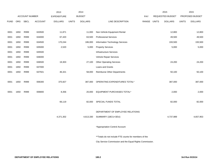|             |            |                       |                | 2013               |              | 2014           |                                                          |             | 2015             |              | 2015            |
|-------------|------------|-----------------------|----------------|--------------------|--------------|----------------|----------------------------------------------------------|-------------|------------------|--------------|-----------------|
|             |            | <b>ACCOUNT NUMBER</b> |                | <b>EXPENDITURE</b> |              | <b>BUDGET</b>  |                                                          | <b>PAY</b>  | REQUESTED BUDGET |              | PROPOSED BUDGET |
| <b>FUND</b> | <b>ORG</b> | <b>SBCL</b>           | <b>ACCOUNT</b> | <b>DOLLARS</b>     | <b>UNITS</b> | <b>DOLLARS</b> | LINE DESCRIPTION                                         | RANGE UNITS | <b>DOLLARS</b>   | <b>UNITS</b> | <b>DOLLARS</b>  |
|             |            |                       |                |                    |              |                |                                                          |             |                  |              |                 |
| 0001        | 1650       | R999                  | 633500         | 11,871             |              | 11,000         | Non-Vehicle Equipment Rental                             |             | 12,800           |              | 12,800          |
| 0001        | 1650       | R999                  | 634000         | 67,420             |              | 63,500         | <b>Professional Services</b>                             |             | 49,500           |              | 49,500          |
| 0001        | 1650       | R999                  | 634500         | 170,244            |              | 186,000        | Information Technology Services                          |             | 193,500          |              | 193,500         |
| 0001        | 1650       | R999                  | 635000         | 2,520              |              | 5,000          | <b>Property Services</b>                                 |             | 5,000            |              | 5,000           |
| 0001        | 1650       | R999                  | 635500         |                    |              |                | <b>Infrastructure Services</b>                           |             |                  |              |                 |
| 0001        | 1650       | R999                  | 636000         |                    |              |                | Vehicle Repair Services                                  |             |                  |              |                 |
| 0001        | 1650       | R999                  | 636500         | 19,303             |              | 27,100         | <b>Other Operating Services</b>                          |             | 24,200           |              | 24,200          |
| 0001        | 1650       | R999                  | 637000         |                    |              |                | Loans and Grants                                         |             |                  |              |                 |
| 0001        | 1650       | R999                  | 637501         | 46,321             |              | 58,000         | Reimburse Other Departments                              |             | 50,100           |              | 50,100          |
|             |            |                       |                |                    |              |                |                                                          |             |                  |              |                 |
| 0001        | 1650       | R999                  | 006300         | 375,927            |              | 387,000        | OPERATING EXPENDITURES TOTAL*                            |             | 387,000          |              | 387,000         |
|             |            |                       |                |                    |              |                |                                                          |             |                  |              |                 |
| 0001        | 1650       | R999                  | 006800         | 8,356              |              | 20,000         | EQUIPMENT PURCHASES TOTAL*                               |             | 2,000            |              | 2,000           |
|             |            |                       |                |                    |              |                |                                                          |             |                  |              |                 |
|             |            |                       |                | 66,119             |              | 82,000         | SPECIAL FUNDS TOTAL                                      |             | 82,000           |              | 82,000          |
|             |            |                       |                |                    |              |                |                                                          |             |                  |              |                 |
|             |            |                       |                |                    |              |                | DEPARTMENT OF EMPLOYEE RELATIONS                         |             |                  |              |                 |
|             |            |                       |                | 4,371,302          |              | 4,613,330      | SUMMARY (1BCU=3DU)                                       |             | 4,737,989        |              | 4,657,953       |
|             |            |                       |                |                    |              |                |                                                          |             |                  |              |                 |
|             |            |                       |                |                    |              |                | *Appropriation Control Account                           |             |                  |              |                 |
|             |            |                       |                |                    |              |                |                                                          |             |                  |              |                 |
|             |            |                       |                |                    |              |                | **Totals do not include FTE counts for members of the    |             |                  |              |                 |
|             |            |                       |                |                    |              |                | City Service Commission and the Equal Rights Commission. |             |                  |              |                 |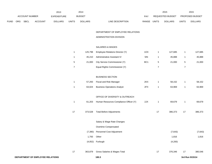|             |     |                |                                  | 2013           |                | 2014           |                                        |                 |                  | 2015             |                | 2015            |
|-------------|-----|----------------|----------------------------------|----------------|----------------|----------------|----------------------------------------|-----------------|------------------|------------------|----------------|-----------------|
|             |     | ACCOUNT NUMBER |                                  | EXPENDITURE    |                | <b>BUDGET</b>  |                                        | PAY             |                  | REQUESTED BUDGET |                | PROPOSED BUDGET |
| <b>FUND</b> | ORG | <b>SBCL</b>    | <b>ACCOUNT</b>                   | <b>DOLLARS</b> | <b>UNITS</b>   | <b>DOLLARS</b> | LINE DESCRIPTION                       | RANGE           | <b>UNITS</b>     | <b>DOLLARS</b>   | <b>UNITS</b>   | <b>DOLLARS</b>  |
|             |     |                |                                  |                |                |                | DEPARTMENT OF EMPLOYEE RELATIONS       |                 |                  |                  |                |                 |
|             |     |                |                                  |                |                |                | ADMINISTRATION DIVISION                |                 |                  |                  |                |                 |
|             |     |                |                                  |                |                |                | SALARIES & WAGES                       |                 |                  |                  |                |                 |
|             |     |                |                                  |                | $\mathbf{1}$   | 125,798        | Employee Relations Director (Y)        | 1OX             | $\mathbf{1}$     | 127,685          | $\mathbf{1}$   | 127,685         |
|             |     |                |                                  |                | $\mathbf{1}$   | 45,210         | Administrative Assistant IV            | 5IN             | $\mathbf{1}$     | 45,888           | $\mathbf{1}$   | 45,888          |
|             |     |                |                                  |                | $\,$ 5 $\,$    | 21,000         | City Service Commissioner (Y)          | BC <sub>1</sub> | $\mathbf 5$      | 21,000           | $\,$ 5 $\,$    | 21,000          |
|             |     |                |                                  |                | $\overline{7}$ |                | Equal Rights Commissioner (Y)          |                 | $\boldsymbol{7}$ |                  | $\overline{7}$ |                 |
|             |     |                |                                  |                |                |                | <b>BUSINESS SECTION</b>                |                 |                  |                  |                |                 |
|             |     |                |                                  |                | $\mathbf{1}$   | 57,293         | Fiscal and Risk Manager                | 2KX             | $\mathbf{1}$     | 58,152           | $\mathbf{1}$   | 58,152          |
|             |     |                |                                  |                | $\mathbf{1}$   | 63,024         | <b>Business Operations Analyst</b>     | 2FX             | $\mathbf{1}$     | 63,969           | $\mathbf{1}$   | 63,969          |
|             |     |                |                                  |                |                |                | OFFICE OF DIVERSITY & OUTREACH         |                 |                  |                  |                |                 |
|             |     |                |                                  |                | $\mathbf{1}$   | 61,203         | Human Resources Compliance Officer (Y) | 2JX             | $\mathbf{1}$     | 69,679           | $\mathbf{1}$   | 69,679          |
|             |     |                |                                  |                | $17$           | 373,528        | <b>Total Before Adjustments</b>        |                 | 17               | 386,373          | 17             | 386,373         |
|             |     |                |                                  |                |                |                | Salary & Wage Rate Changes             |                 |                  |                  |                |                 |
|             |     |                |                                  |                |                |                | Overtime Compensated                   |                 |                  |                  |                |                 |
|             |     |                |                                  |                |                |                | (7,390) Personnel Cost Adjustment      |                 |                  | (7, 643)         |                | (7, 643)        |
|             |     |                |                                  |                |                | 1,793          | Other                                  |                 |                  | 1,816            |                | 1,816           |
|             |     |                |                                  |                |                |                | (4,052) Furlough                       |                 |                  | (4,200)          |                |                 |
|             |     |                |                                  |                | 17             | 363,879        | Gross Salaries & Wages Total           |                 | 17               | 376,346          | 17             | 380,546         |
|             |     |                | DEPARTMENT OF EMPLOYEE RELATIONS |                |                |                | 180.3                                  |                 |                  |                  |                | 3rd Run 9/15/14 |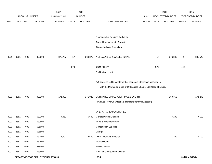|             |                                  |                |                | 2013               |              | 2014           |                                                                      |             |      | 2015             |              | 2015            |
|-------------|----------------------------------|----------------|----------------|--------------------|--------------|----------------|----------------------------------------------------------------------|-------------|------|------------------|--------------|-----------------|
|             |                                  | ACCOUNT NUMBER |                | <b>EXPENDITURE</b> |              | <b>BUDGET</b>  |                                                                      | <b>PAY</b>  |      | REQUESTED BUDGET |              | PROPOSED BUDGET |
| <b>FUND</b> | ORG                              | <b>SBCL</b>    | <b>ACCOUNT</b> | <b>DOLLARS</b>     | <b>UNITS</b> | <b>DOLLARS</b> | LINE DESCRIPTION                                                     | RANGE UNITS |      | <b>DOLLARS</b>   | <b>UNITS</b> | <b>DOLLARS</b>  |
|             |                                  |                |                |                    |              |                |                                                                      |             |      |                  |              |                 |
|             |                                  |                |                |                    |              |                | Reimbursable Services Deduction                                      |             |      |                  |              |                 |
|             |                                  |                |                |                    |              |                | Capital Improvements Deduction                                       |             |      |                  |              |                 |
|             |                                  |                |                |                    |              |                | <b>Grants and Aids Deduction</b>                                     |             |      |                  |              |                 |
| 0001        | 1651                             | R999           | 006000         | 370,777            | 17           | 363,879        | NET SALARIES & WAGES TOTAL                                           |             | 17   | 376,346          | 17           | 380,546         |
|             |                                  |                |                |                    | 4.70         |                | O&M FTE'S**                                                          |             | 4.70 |                  | 4.70         |                 |
|             |                                  |                |                |                    |              |                | NON-O&M FTE'S                                                        |             |      |                  |              |                 |
|             |                                  |                |                |                    |              |                | (Y) Required to file a statement of economic interests in accordance |             |      |                  |              |                 |
|             |                                  |                |                |                    |              |                | with the Milwaukee Code of Ordinances Chapter 303-Code of Ethics.    |             |      |                  |              |                 |
| 0001        | 1651                             | R999           | 006100         | 171,922            |              | 171,023        | ESTIMATED EMPLOYEE FRINGE BENEFITS                                   |             |      | 169,356          |              | 171,246         |
|             |                                  |                |                |                    |              |                | (Involves Revenue Offset-No Transfers from this Account)             |             |      |                  |              |                 |
|             |                                  |                |                |                    |              |                | OPERATING EXPENDITURES                                               |             |      |                  |              |                 |
| 0001        | 1651                             | R999           | 630100         | 7,052              |              | 6,600          | <b>General Office Expense</b>                                        |             |      | 7,100            |              | 7,100           |
| 0001        | 1651                             | R999           | 630500         |                    |              |                | Tools & Machinery Parts                                              |             |      |                  |              |                 |
| 0001        | 1651                             | R999           | 631000         |                    |              |                | <b>Construction Supplies</b>                                         |             |      |                  |              |                 |
| 0001        | 1651                             | R999           | 631500         |                    |              |                | Energy                                                               |             |      |                  |              |                 |
| 0001        | 1651                             | R999           | 632000         | 1,092              |              | 2,500          | <b>Other Operating Supplies</b>                                      |             |      | 1,100            |              | 1,100           |
| 0001        | 1651                             | R999           | 632500         |                    |              |                | <b>Facility Rental</b>                                               |             |      |                  |              |                 |
| 0001        | 1651                             | R999           | 633000         |                    |              |                | Vehicle Rental                                                       |             |      |                  |              |                 |
| 0001        | 1651                             | R999           | 633500         |                    |              |                | Non-Vehicle Equipment Rental                                         |             |      |                  |              |                 |
|             | DEPARTMENT OF EMPLOYEE RELATIONS |                |                |                    |              |                | 180.4                                                                |             |      |                  |              | 3rd Run 9/15/14 |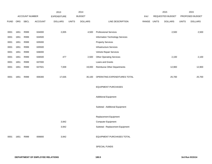|             |      |                |         | 2013               |              | 2014           |                                             |       |              | 2015             |              | 2015            |
|-------------|------|----------------|---------|--------------------|--------------|----------------|---------------------------------------------|-------|--------------|------------------|--------------|-----------------|
|             |      | ACCOUNT NUMBER |         | <b>EXPENDITURE</b> |              | <b>BUDGET</b>  |                                             | PAY   |              | REQUESTED BUDGET |              | PROPOSED BUDGET |
| <b>FUND</b> | ORG  | <b>SBCL</b>    | ACCOUNT | <b>DOLLARS</b>     | <b>UNITS</b> | <b>DOLLARS</b> | LINE DESCRIPTION                            | RANGE | <b>UNITS</b> | <b>DOLLARS</b>   | <b>UNITS</b> | <b>DOLLARS</b>  |
|             |      |                |         |                    |              |                |                                             |       |              |                  |              |                 |
| 0001        | 1651 | R999           | 634000  | 2,005              |              | 4,500          | <b>Professional Services</b>                |       |              | 2,500            |              | 2,500           |
| 0001        | 1651 | R999           | 634500  |                    |              |                | Information Technology Services             |       |              |                  |              |                 |
| 0001        | 1651 | R999           | 635000  |                    |              |                | <b>Property Services</b>                    |       |              |                  |              |                 |
| 0001        | 1651 | R999           | 635500  |                    |              |                | Infrastructure Services                     |       |              |                  |              |                 |
| 0001        | 1651 | R999           | 636000  |                    |              |                | Vehicle Repair Services                     |       |              |                  |              |                 |
| 0001        | 1651 | R999           | 636500  | 477                |              | 2,500          | <b>Other Operating Services</b>             |       |              | 2,100            |              | 2,100           |
| 0001        | 1651 | R999           | 637000  |                    |              |                | Loans and Grants                            |       |              |                  |              |                 |
| 0001        | 1651 | R999           | 637501  | 7,009              |              | 19,000         | <b>Reimburse Other Departments</b>          |       |              | 12,900           |              | 12,900          |
|             |      |                |         |                    |              |                |                                             |       |              |                  |              |                 |
| 0001        | 1651 | R999           | 006300  | 17,635             |              | 35,100         | OPERATING EXPENDITURES TOTAL                |       |              | 25,700           |              | 25,700          |
|             |      |                |         |                    |              |                |                                             |       |              |                  |              |                 |
|             |      |                |         |                    |              |                | <b>EQUIPMENT PURCHASES</b>                  |       |              |                  |              |                 |
|             |      |                |         |                    |              |                |                                             |       |              |                  |              |                 |
|             |      |                |         |                    |              |                | <b>Additional Equipment</b>                 |       |              |                  |              |                 |
|             |      |                |         |                    |              |                |                                             |       |              |                  |              |                 |
|             |      |                |         |                    |              |                | Subtotal - Additional Equipment             |       |              |                  |              |                 |
|             |      |                |         |                    |              |                |                                             |       |              |                  |              |                 |
|             |      |                |         |                    |              |                | Replacement Equipment<br>Computer Equipment |       |              |                  |              |                 |
|             |      |                |         | 3,942              |              |                |                                             |       |              |                  |              |                 |
|             |      |                |         | 3,942              |              |                | Subtotal - Replacement Equipment            |       |              |                  |              |                 |
| 0001        | 1651 | R999           | 006800  | 3,942              |              |                | EQUIPMENT PURCHASES TOTAL                   |       |              |                  |              |                 |
|             |      |                |         |                    |              |                |                                             |       |              |                  |              |                 |
|             |      |                |         |                    |              |                | SPECIAL FUNDS                               |       |              |                  |              |                 |
|             |      |                |         |                    |              |                |                                             |       |              |                  |              |                 |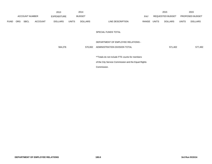|             |     |                       |                | 2013                                           |       | 2014           |                                                     |            |       | 2015                    |              | 2015            |
|-------------|-----|-----------------------|----------------|------------------------------------------------|-------|----------------|-----------------------------------------------------|------------|-------|-------------------------|--------------|-----------------|
|             |     | <b>ACCOUNT NUMBER</b> |                | <b>EXPENDITURE</b>                             |       | <b>BUDGET</b>  |                                                     | <b>PAY</b> |       | <b>REQUESTED BUDGET</b> |              | PROPOSED BUDGET |
| <b>FUND</b> | ORG | <b>SBCL</b>           | <b>ACCOUNT</b> | <b>DOLLARS</b>                                 | UNITS | <b>DOLLARS</b> | LINE DESCRIPTION                                    | RANGE      | UNITS | <b>DOLLARS</b>          | <b>UNITS</b> | <b>DOLLARS</b>  |
|             |     |                       |                |                                                |       |                |                                                     |            |       |                         |              |                 |
|             |     |                       |                |                                                |       |                | SPECIAL FUNDS TOTAL                                 |            |       |                         |              |                 |
|             |     |                       |                |                                                |       |                |                                                     |            |       |                         |              |                 |
|             |     |                       |                |                                                |       |                | DEPARTMENT OF EMPLOYEE RELATIONS -                  |            |       |                         |              |                 |
|             |     |                       |                | 564,276                                        |       | 570,002        | ADMINISTRATION DIVISION TOTAL                       |            |       | 571,402                 |              | 577,492         |
|             |     |                       |                |                                                |       |                |                                                     |            |       |                         |              |                 |
|             |     |                       |                | **Totals do not include FTE counts for members |       |                |                                                     |            |       |                         |              |                 |
|             |     |                       |                |                                                |       |                | of the City Service Commission and the Equal Rights |            |       |                         |              |                 |
|             |     |                       |                |                                                |       |                | Commission.                                         |            |       |                         |              |                 |
|             |     |                       |                |                                                |       |                |                                                     |            |       |                         |              |                 |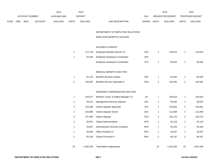|             |     |                |                | 2013               |                           | 2014           |                                          |             |                           | 2015             |                           | 2015            |
|-------------|-----|----------------|----------------|--------------------|---------------------------|----------------|------------------------------------------|-------------|---------------------------|------------------|---------------------------|-----------------|
|             |     | ACCOUNT NUMBER |                | <b>EXPENDITURE</b> |                           | <b>BUDGET</b>  |                                          | PAY         |                           | REQUESTED BUDGET |                           | PROPOSED BUDGET |
| <b>FUND</b> | ORG | <b>SBCL</b>    | <b>ACCOUNT</b> | <b>DOLLARS</b>     | <b>UNITS</b>              | <b>DOLLARS</b> | LINE DESCRIPTION                         | RANGE UNITS |                           | <b>DOLLARS</b>   | <b>UNITS</b>              | <b>DOLLARS</b>  |
|             |     |                |                |                    |                           |                |                                          |             |                           |                  |                           |                 |
|             |     |                |                |                    |                           |                | DEPARTMENT OF EMPLOYEE RELATIONS         |             |                           |                  |                           |                 |
|             |     |                |                |                    |                           |                | EMPLOYEE BENEFITS DIVISION               |             |                           |                  |                           |                 |
|             |     |                |                |                    |                           |                |                                          |             |                           |                  |                           |                 |
|             |     |                |                |                    |                           |                | SALARIES & WAGES                         |             |                           |                  |                           |                 |
|             |     |                |                |                    | $\mathbf{1}$              | 117,118        | Employee Benefits Director (Y)           | 1KX         | $\mathbf{1}$              | 118,875          | $\mathbf{1}$              | 118,875         |
|             |     |                |                |                    | $\mathbf{1}$              | 44,194         | Employee Assistance Coordinator          | 2EX         |                           |                  |                           |                 |
|             |     |                |                |                    |                           |                | Employee Assistance Coordinator          | 2FX         | $\mathbf{1}$              | 50,644           | $\mathbf{1}$              | 50,644          |
|             |     |                |                |                    |                           |                |                                          |             |                           |                  |                           |                 |
|             |     |                |                |                    |                           |                | MEDICAL BENEFITS SECTION                 |             |                           |                  |                           |                 |
|             |     |                |                |                    | $\mathbf{1}$              | 61,123         | <b>Benefits Services Analyst</b>         | 2EX         | $\mathbf{1}$              | 62,040           | $\mathbf{1}$              | 62,040          |
|             |     |                |                |                    | $\mathbf 2$               | 100,987        | <b>Benefits Services Specialist II</b>   | 5HN         | $\sqrt{2}$                | 102,502          | $\sqrt{2}$                | 102,502         |
|             |     |                |                |                    |                           |                |                                          |             |                           |                  |                           |                 |
|             |     |                |                |                    |                           |                | <b>WORKERS' COMPENSATION SECTION</b>     |             |                           |                  |                           |                 |
|             |     |                |                |                    | $\mathbf{1}$              | 103,077        | Workers' Comp. & Safety Manager (Y)      | 11X         | $\mathbf{1}$              | 104,623          | $\mathbf{1}$              | 104,623         |
|             |     |                |                |                    | $\mathbf{1}$              | 54,213         | Management Services Adjuster             | 1DX         | $\mathbf{1}$              | 55,025           | $\mathbf{1}$              | 55,025          |
|             |     |                |                |                    | $\overline{\mathbf{c}}$   | 120,299        | Claims Adjuster Specialist               | 2FX         | $\boldsymbol{2}$          | 105,801          | $\sqrt{2}$                | 105,801         |
|             |     |                |                |                    | $\overline{\mathbf{c}}$   | 102,894        | Claims Adjuster-Senior                   | 2EX         | $\overline{c}$            | 113,408          | $\overline{2}$            | 113,408         |
|             |     |                |                |                    | $\ensuremath{\mathsf{3}}$ | 147,950        | Claims Adjuster                          | 2CN         | $\ensuremath{\mathsf{3}}$ | 150,170          | $\ensuremath{\mathsf{3}}$ | 150,170         |
|             |     |                |                |                    | $\mathbf{1}$              | 39,522         | Claims Representative                    | 5FN         | $\mathbf{1}$              | 42,118           | $\mathbf{1}$              | 42,118          |
|             |     |                |                |                    | $\mathbf{1}$              | 39,507         | <b>Administrative Services Assistant</b> | 6KN         | $\mathbf{1}$              | 40,100           | $\mathbf{1}$              | 40,100          |
|             |     |                |                |                    | $\mathbf{1}$              | 35,665         | Office Assistant III                     | 6FN         | $\mathbf{1}$              | 26,037           | $\mathbf{1}$              | 26,037          |
|             |     |                |                |                    | $\mathbf 2$               | 83,784         | Claims Processor II                      | 6KN         | $\sqrt{2}$                | 80,197           | $\overline{2}$            | 80,197          |
|             |     |                |                |                    |                           |                |                                          |             |                           |                  |                           |                 |
|             |     |                |                |                    | 19                        | 1,050,333      | <b>Total Before Adjustments</b>          |             | 19                        | 1,051,540        | 19                        | 1,051,540       |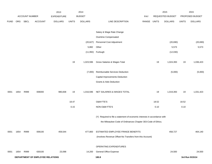|             |                                  |                |                | 2013               |              | 2014           |                                                                           |             |       | 2015             |              | 2015            |
|-------------|----------------------------------|----------------|----------------|--------------------|--------------|----------------|---------------------------------------------------------------------------|-------------|-------|------------------|--------------|-----------------|
|             |                                  | ACCOUNT NUMBER |                | <b>EXPENDITURE</b> |              | <b>BUDGET</b>  |                                                                           | PAY         |       | REQUESTED BUDGET |              | PROPOSED BUDGET |
| <b>FUND</b> | ORG                              | SBCL           | <b>ACCOUNT</b> | <b>DOLLARS</b>     | <b>UNITS</b> | <b>DOLLARS</b> | LINE DESCRIPTION                                                          | RANGE UNITS |       | <b>DOLLARS</b>   | <b>UNITS</b> | <b>DOLLARS</b>  |
|             |                                  |                |                |                    |              |                |                                                                           |             |       |                  |              |                 |
|             |                                  |                |                |                    |              |                | Salary & Wage Rate Change                                                 |             |       |                  |              |                 |
|             |                                  |                |                |                    |              |                | Overtime Compensated                                                      |             |       |                  |              |                 |
|             |                                  |                |                |                    |              | (20, 627)      | Personnel Cost Adjustment                                                 |             |       | (20, 690)        |              | (20, 690)       |
|             |                                  |                |                |                    |              | 5,882          | Other                                                                     |             |       | 5,573            |              | 5,573           |
|             |                                  |                |                |                    |              |                | (11,992) Furlough                                                         |             |       | (12,030)         |              |                 |
|             |                                  |                |                |                    |              |                |                                                                           |             |       |                  |              |                 |
|             |                                  |                |                |                    | 19           | 1,023,596      | Gross Salaries & Wages Total                                              |             | 19    | 1,024,393        | 19           | 1,036,423       |
|             |                                  |                |                |                    |              |                |                                                                           |             |       |                  |              |                 |
|             |                                  |                |                |                    |              | (7,000)        | Reimbursable Services Deduction                                           |             |       | (5,000)          |              | (5,000)         |
|             |                                  |                |                |                    |              |                | Capital Improvements Deduction                                            |             |       |                  |              |                 |
|             |                                  |                |                |                    |              |                | <b>Grants &amp; Aids Deduction</b>                                        |             |       |                  |              |                 |
|             |                                  |                |                |                    |              |                |                                                                           |             |       |                  |              |                 |
| 0001        | 1654                             | R999           | 006000         | 980,838            | 19           | 1,016,596      | NET SALARIES & WAGES TOTAL                                                |             | 19    | 1,019,393        | 19           | 1,031,423       |
|             |                                  |                |                |                    | 18.47        |                | O&M FTE'S                                                                 |             | 18.52 |                  | 18.52        |                 |
|             |                                  |                |                |                    | 0.15         |                | NON-O&M FTE'S                                                             |             | 0.10  |                  | 0.10         |                 |
|             |                                  |                |                |                    |              |                |                                                                           |             |       |                  |              |                 |
|             |                                  |                |                |                    |              |                | (Y) Required to file a statement of economic interests in accordance with |             |       |                  |              |                 |
|             |                                  |                |                |                    |              |                | the Milwaukee Code of Ordinances Chapter 303-Code of Ethics.              |             |       |                  |              |                 |
|             |                                  |                |                |                    |              |                |                                                                           |             |       |                  |              |                 |
| 0001        | 1654                             | R999           | 006100         | 459,544            |              | 477,800        | ESTIMATED EMPLOYEE FRINGE BENEFITS                                        |             |       | 458,727          |              | 464,140         |
|             |                                  |                |                |                    |              |                | (Involves Revenue Offset-No Transfers from this Account)                  |             |       |                  |              |                 |
|             |                                  |                |                |                    |              |                |                                                                           |             |       |                  |              |                 |
|             |                                  |                |                |                    |              |                | OPERATING EXPENDITURES                                                    |             |       |                  |              |                 |
| 0001        | 1654                             | R999           | 630100         | 23,098             |              | 14,200         | <b>General Office Expense</b>                                             |             |       | 24,500           |              | 24,500          |
|             | DEPARTMENT OF EMPLOYEE RELATIONS |                |                |                    |              |                | 180.8                                                                     |             |       |                  |              | 3rd Run 9/15/14 |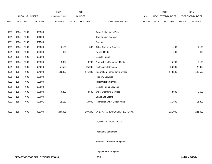|             |      |                |                | 2013               |              | 2014           |                                    |       |              | 2015             |              | 2015            |
|-------------|------|----------------|----------------|--------------------|--------------|----------------|------------------------------------|-------|--------------|------------------|--------------|-----------------|
|             |      | ACCOUNT NUMBER |                | <b>EXPENDITURE</b> |              | <b>BUDGET</b>  |                                    | PAY   |              | REQUESTED BUDGET |              | PROPOSED BUDGET |
| <b>FUND</b> | ORG  | <b>SBCL</b>    | <b>ACCOUNT</b> | <b>DOLLARS</b>     | <b>UNITS</b> | <b>DOLLARS</b> | LINE DESCRIPTION                   | RANGE | <b>UNITS</b> | <b>DOLLARS</b>   | <b>UNITS</b> | <b>DOLLARS</b>  |
|             |      |                |                |                    |              |                |                                    |       |              |                  |              |                 |
| 0001        | 1654 | R999           | 630500         |                    |              |                | Tools & Machinery Parts            |       |              |                  |              |                 |
| 0001        | 1654 | R999           | 631000         |                    |              |                | <b>Construction Supplies</b>       |       |              |                  |              |                 |
| 0001        | 1654 | R999           | 631500         |                    |              |                | Energy                             |       |              |                  |              |                 |
| 0001        | 1654 | R999           | 632000         | 1,105              |              | 500            | <b>Other Operating Supplies</b>    |       |              | 1,100            |              | 1,100           |
| 0001        | 1654 | R999           | 632500         | 400                |              |                | <b>Facility Rental</b>             |       |              | 400              |              | 400             |
| 0001        | 1654 | R999           | 633000         |                    |              |                | Vehicle Rental                     |       |              |                  |              |                 |
| 0001        | 1654 | R999           | 633500         | 4,384              |              | 3,700          | Non-Vehicle Equipment Rental       |       |              | 5,100            |              | 5,100           |
| 0001        | 1654 | R999           | 634000         | 58,565             |              | 25,000         | <b>Professional Services</b>       |       |              | 26,000           |              | 26,000          |
| 0001        | 1654 | R999           | 634500         | 141,030            |              | 141,300        | Information Technology Services    |       |              | 148,500          |              | 148,500         |
| 0001        | 1654 | R999           | 635000         |                    |              |                | <b>Property Services</b>           |       |              |                  |              |                 |
| 0001        | 1654 | R999           | 635500         |                    |              |                | Infrastructure Services            |       |              |                  |              |                 |
| 0001        | 1654 | R999           | 636000         |                    |              |                | Vehicle Repair Services            |       |              |                  |              |                 |
| 0001        | 1654 | R999           | 636500         | 4,350              |              | 3,500          | <b>Other Operating Services</b>    |       |              | 3,600            |              | 3,600           |
| 0001        | 1654 | R999           | 637000         |                    |              |                | Loans and Grants                   |       |              |                  |              |                 |
| 0001        | 1654 | R999           | 637501         | 11,159             |              | 19,000         | <b>Reimburse Other Departments</b> |       |              | 11,800           |              | 11,800          |
|             |      |                |                |                    |              |                |                                    |       |              |                  |              |                 |
| 0001        | 1654 | R999           | 006300         | 244,091            |              | 207,200        | OPERATING EXPENDITURES TOTAL       |       |              | 221,000          |              | 221,000         |
|             |      |                |                |                    |              |                |                                    |       |              |                  |              |                 |
|             |      |                |                |                    |              |                | <b>EQUIPMENT PURCHASES</b>         |       |              |                  |              |                 |
|             |      |                |                |                    |              |                |                                    |       |              |                  |              |                 |
|             |      |                |                |                    |              |                | <b>Additional Equipment</b>        |       |              |                  |              |                 |

Subtotal - Additional Equipment

Replacement Equipment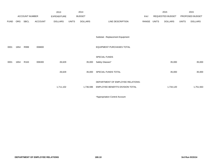|             |            |                       |                | 2013           |              | 2014           |                                   |            |       | 2015             |              | 2015            |
|-------------|------------|-----------------------|----------------|----------------|--------------|----------------|-----------------------------------|------------|-------|------------------|--------------|-----------------|
|             |            | <b>ACCOUNT NUMBER</b> |                | EXPENDITURE    |              | <b>BUDGET</b>  |                                   | <b>PAY</b> |       | REQUESTED BUDGET |              | PROPOSED BUDGET |
| <b>FUND</b> | <b>ORG</b> | SBCL                  | <b>ACCOUNT</b> | <b>DOLLARS</b> | <b>UNITS</b> | <b>DOLLARS</b> | LINE DESCRIPTION                  | RANGE      | UNITS | <b>DOLLARS</b>   | <b>UNITS</b> | <b>DOLLARS</b>  |
|             |            |                       |                |                |              |                |                                   |            |       |                  |              |                 |
|             |            |                       |                |                |              |                | Subtotal - Replacement Equipment  |            |       |                  |              |                 |
| 0001        | 1654       | R999                  | 006800         |                |              |                | EQUIPMENT PURCHASES TOTAL         |            |       |                  |              |                 |
|             |            |                       |                |                |              |                | SPECIAL FUNDS                     |            |       |                  |              |                 |
| 0001        | 1654       | R163                  | 006300         | 26,629         |              | 35,000         | Safety Glasses*                   |            |       | 35,000           |              | 35,000          |
|             |            |                       |                | 26,629         |              | 35,000         | SPECIAL FUNDS TOTAL               |            |       | 35,000           |              | 35,000          |
|             |            |                       |                |                |              |                | DEPARTMENT OF EMPLOYEE RELATIONS- |            |       |                  |              |                 |
|             |            |                       |                | 1,711,102      |              | 1,736,596      | EMPLOYEE BENEFITS DIVISION TOTAL  |            |       | 1,734,120        |              | 1,751,563       |
|             |            |                       |                |                |              |                |                                   |            |       |                  |              |                 |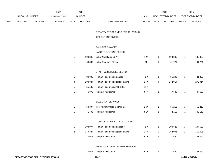|      |     |                       |                | 2013               |                | 2014           |                                        |             |                | 2015             |                | 2015            |
|------|-----|-----------------------|----------------|--------------------|----------------|----------------|----------------------------------------|-------------|----------------|------------------|----------------|-----------------|
|      |     | <b>ACCOUNT NUMBER</b> |                | <b>EXPENDITURE</b> |                | <b>BUDGET</b>  |                                        | PAY         |                | REQUESTED BUDGET |                | PROPOSED BUDGET |
| FUND | ORG | SBCL                  | <b>ACCOUNT</b> | <b>DOLLARS</b>     | <b>UNITS</b>   | <b>DOLLARS</b> | LINE DESCRIPTION                       | RANGE UNITS |                | <b>DOLLARS</b>   | <b>UNITS</b>   | <b>DOLLARS</b>  |
|      |     |                       |                |                    |                |                | DEPARTMENT OF EMPLOYEE RELATIONS       |             |                |                  |                |                 |
|      |     |                       |                |                    |                |                | OPERATIONS DIVISION                    |             |                |                  |                |                 |
|      |     |                       |                |                    |                |                | SALARIES & WAGES                       |             |                |                  |                |                 |
|      |     |                       |                |                    |                |                | LABOR RELATIONS SECTION                |             |                |                  |                |                 |
|      |     |                       |                |                    | $\mathbf{1}$   | 100,386        | Labor Negotiator (X)(Y)                | 1KX         | 1              | 100,386          | $\mathbf{1}$   | 100,386         |
|      |     |                       |                |                    | $\mathbf{1}$   | 60,809         | <b>Labor Relations Officer</b>         | 2JX         | $\mathbf{1}$   | 61,721           | $\mathbf{1}$   | 61,721          |
|      |     |                       |                |                    |                |                | STAFFING SERVICES SECTION              |             |                |                  |                |                 |
|      |     |                       |                |                    | $\mathbf{1}$   | 80,000         | Human Resources Manager                | 11X         | $\mathbf{1}$   | 81,200           | $\mathbf{1}$   | 81,200          |
|      |     |                       |                |                    | 3              | 204,844        | Human Resources Representative         | 2HX         | 4              | 272,914          | 4              | 272,914         |
|      |     |                       |                |                    | $\mathbf{1}$   | 55,589         | Human Resources Analyst-Sr.            | 2FX         |                |                  |                |                 |
|      |     |                       |                |                    | $\mathbf{1}$   | 46,975         | Program Assistant II                   | 5FN         | $\mathbf{1}$   | 47,680           | $\mathbf{1}$   | 47,680          |
|      |     |                       |                |                    |                |                | SELECTION SERVICES                     |             |                |                  |                |                 |
|      |     |                       |                |                    | $\mathbf{1}$   | 54,397         | <b>Test Administration Coordinator</b> | 2DN         | $\mathbf{1}$   | 55,213           | $\mathbf{1}$   | 55,213          |
|      |     |                       |                |                    | $\mathbf{1}$   | 41,495         | Program Assistant I                    | 5EN         | 1              | 42,118           | $\mathbf{1}$   | 42,118          |
|      |     |                       |                |                    |                |                | COMPENSATION SERVICES SECTION          |             |                |                  |                |                 |
|      |     |                       |                |                    | $\mathbf{1}$   | 103,077        | Human Resources Manager (Y)            | 11X         | 1              | 104,623          | $\mathbf{1}$   | 104,623         |
|      |     |                       |                |                    | $\overline{2}$ | 149,844        | Human Resources Representative         | 2HX         | $\overline{2}$ | 152,091          | $\overline{2}$ | 152,091         |
|      |     |                       |                |                    | $\mathbf{1}$   | 46,975         | Program Assistant II                   | 5FN         | 1              | 47,680           | $\mathbf{1}$   | 47,680          |
|      |     |                       |                |                    |                |                | TRAINING & DEVELOPMENT SERVICES        |             |                |                  |                |                 |
|      |     |                       |                |                    | $\mathbf{1}$   | 46,975         | Program Assistant II                   | 5FN         | $\mathbf{1}$   | 47,680           | $\mathbf{1}$   | 47,680          |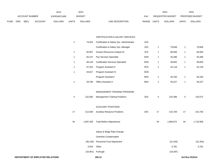|             |                |             |                    | 2013           |               | 2014           |                           | 2015         |                        | 2015         |                |
|-------------|----------------|-------------|--------------------|----------------|---------------|----------------|---------------------------|--------------|------------------------|--------------|----------------|
|             | ACCOUNT NUMBER |             | <b>EXPENDITURE</b> |                | <b>BUDGET</b> | PAY            | REQUESTED BUDGET          |              | <b>PROPOSED BUDGET</b> |              |                |
| <b>FUND</b> | ORG            | <b>SBCL</b> | <b>ACCOUNT</b>     | <b>DOLLARS</b> | <b>UNITS</b>  | <b>DOLLARS</b> | RANGE<br>LINE DESCRIPTION | <b>UNITS</b> | <b>DOLLARS</b>         | <b>UNITS</b> | <b>DOLLARS</b> |

#### CERTIFICATION & SALARY SERVICES

|             |           | 180.12                                    |     |              |           |              | 3rd Run 9/15/14 |
|-------------|-----------|-------------------------------------------|-----|--------------|-----------|--------------|-----------------|
|             | (16, 951) | Furlough                                  |     |              | (18, 287) |              |                 |
|             | 3,543     | Other                                     |     |              | 5,781     |              | 5,781           |
|             | (36, 156) | Personnel Cost Adjustment                 |     |              | (31, 454) |              | (31, 454)       |
|             |           | Overtime Compensated                      |     |              |           |              |                 |
|             |           | Salary & Wage Rate Change                 |     |              |           |              |                 |
| 44          | 1,687,256 | <b>Total Before Adjustments</b>           |     | 44           | 1,806,672 | 44           | 1,716,958       |
| 17          | 212,500   | <b>Auxiliary Resource Positions</b>       | 2EX | 17           | 215,700   | 17           | 215,700         |
|             |           | <b>AUXILIARY POSITIONS</b>                |     |              |           |              |                 |
| 5           | 132,582   | <b>Management Training Positions</b>      | 2EX | $\sqrt{5}$   | 224,286   | $\mathbf 5$  | 134,572         |
|             |           | MANAGEMENT TRAINING PROGRAM               |     |              |           |              |                 |
| 1           | 29,780    | Office Assistant II                       | 6EN | $\mathbf{1}$ | 30,227    | $\mathbf{1}$ | 30,227          |
|             |           | Program Assistant I                       | 5EN | $\mathbf{1}$ | 40,100    | 1            | 40,100          |
| 1           | 44,617    | Program Assistant III                     | 5GN |              |           |              |                 |
| 1           | 37,252    | Program Assistant II                      | 5FN | 1            | 42,118    | 1            | 42,118          |
| 1           | 48,133    | <b>Certification Services Specialist</b>  | 5HN | 1            | 48,855    | 1            | 48,855          |
| 1           | 50,147    | Pay Services Specialist                   | 5HN | $\mathbf{1}$ | 45,286    | $\mathbf{1}$ | 45,286          |
| 1           | 65,957    | Human Resources Analyst-Sr.               | 2FX | 1            | 66,946    | 1            | 66,946          |
|             |           | Certification & Salary Sys. Manager       | 1EX | 1            | 79,848    | 1            | 79,848          |
| $\mathbf 1$ | 74,922    | Certification & Salary Sys. Administrator | 1DX |              |           |              |                 |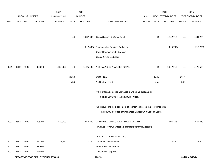|             |                        |                |                                  | 2013               |              | 2014           |                                                                           |            |              | 2015             |              | 2015            |
|-------------|------------------------|----------------|----------------------------------|--------------------|--------------|----------------|---------------------------------------------------------------------------|------------|--------------|------------------|--------------|-----------------|
|             |                        | ACCOUNT NUMBER |                                  | <b>EXPENDITURE</b> |              | <b>BUDGET</b>  |                                                                           | <b>PAY</b> |              | REQUESTED BUDGET |              | PROPOSED BUDGET |
| <b>FUND</b> | ORG                    | SBCL           | <b>ACCOUNT</b>                   | <b>DOLLARS</b>     | <b>UNITS</b> | <b>DOLLARS</b> | LINE DESCRIPTION                                                          | RANGE      | <b>UNITS</b> | <b>DOLLARS</b>   | <b>UNITS</b> | <b>DOLLARS</b>  |
|             |                        |                |                                  |                    |              |                |                                                                           |            |              |                  |              |                 |
|             |                        |                |                                  |                    |              |                |                                                                           |            |              |                  |              |                 |
|             |                        |                |                                  |                    | 44           | 1,637,692      | Gross Salaries & Wages Total                                              |            | 44           | 1,762,712        | 44           | 1,691,285       |
|             |                        |                |                                  |                    |              |                |                                                                           |            |              |                  |              |                 |
|             |                        |                |                                  |                    |              | (212,500)      | Reimbursable Services Deduction                                           |            |              | (215, 700)       |              | (215, 700)      |
|             |                        |                |                                  |                    |              |                | Capital Improvements Deduction                                            |            |              |                  |              |                 |
|             |                        |                |                                  |                    |              |                | Grants & Aids Deduction                                                   |            |              |                  |              |                 |
| 0001        | 1652                   | R999           | 006000                           | 1,318,026          | 44           | 1,425,192      | NET SALARIES & WAGES TOTAL                                                |            | 44           | 1,547,012        | 44           | 1,475,585       |
|             |                        |                |                                  |                    |              |                |                                                                           |            |              |                  |              |                 |
|             |                        |                |                                  |                    | 26.50        |                | O&M FTE'S                                                                 |            | 26.46        |                  | 26.46        |                 |
|             |                        |                |                                  |                    | 5.56         |                | NON-O&M FTE'S                                                             |            | 5.56         |                  | 5.56         |                 |
|             |                        |                |                                  |                    |              |                |                                                                           |            |              |                  |              |                 |
|             |                        |                |                                  |                    |              |                | (X) Private automobile allowance may be paid pursuant to                  |            |              |                  |              |                 |
|             |                        |                |                                  |                    |              |                | Section 350-183 of the Milwaukee Code.                                    |            |              |                  |              |                 |
|             |                        |                |                                  |                    |              |                | (Y) Required to file a statement of economic interests in accordance with |            |              |                  |              |                 |
|             |                        |                |                                  |                    |              |                | the Milwaukee Code of Ordinances Chapter 303-Code of Ethics.              |            |              |                  |              |                 |
|             |                        |                |                                  |                    |              |                |                                                                           |            |              |                  |              |                 |
| 0001        | 1652                   | R999           | 006100                           | 619,793            |              | 669,840        | ESTIMATED EMPLOYEE FRINGE BENEFITS                                        |            |              | 696,155          |              | 664,013         |
|             |                        |                |                                  |                    |              |                | (Involves Revenue Offset-No Transfers from this Account)                  |            |              |                  |              |                 |
|             |                        |                |                                  |                    |              |                | OPERATING EXPENDITURES                                                    |            |              |                  |              |                 |
| 0001        | 1652                   | R999           | 630100                           | 15,687             |              | 11,100         | <b>General Office Expense</b>                                             |            |              | 15,800           |              | 15,800          |
|             | 1652                   | R999           |                                  |                    |              |                | Tools & Machinery Parts                                                   |            |              |                  |              |                 |
| 0001        |                        |                | 630500                           |                    |              |                |                                                                           |            |              |                  |              |                 |
| 0001        | 1652<br>R999<br>631000 |                |                                  |                    |              |                | <b>Construction Supplies</b>                                              |            |              |                  |              |                 |
|             |                        |                | DEPARTMENT OF EMPLOYEE RELATIONS |                    |              |                | 180.13                                                                    |            |              |                  |              | 3rd Run 9/15/14 |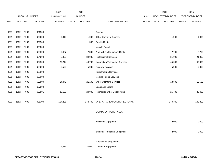|             |      |                       |                | 2013               |              | 2014           |                                    |             | 2015             |              | 2015            |
|-------------|------|-----------------------|----------------|--------------------|--------------|----------------|------------------------------------|-------------|------------------|--------------|-----------------|
|             |      | <b>ACCOUNT NUMBER</b> |                | <b>EXPENDITURE</b> |              | <b>BUDGET</b>  |                                    | PAY         | REQUESTED BUDGET |              | PROPOSED BUDGET |
| <b>FUND</b> | ORG  | SBCL                  | <b>ACCOUNT</b> | <b>DOLLARS</b>     | <b>UNITS</b> | <b>DOLLARS</b> | LINE DESCRIPTION                   | RANGE UNITS | <b>DOLLARS</b>   | <b>UNITS</b> | <b>DOLLARS</b>  |
|             |      |                       |                |                    |              |                |                                    |             |                  |              |                 |
| 0001        | 1652 | R999                  | 631500         |                    |              |                | Energy                             |             |                  |              |                 |
| 0001        | 1652 | R999                  | 632000         | 9,814              |              | 1,000          | <b>Other Operating Supplies</b>    |             | 1,900            |              | 1,900           |
| 0001        | 1652 | R999                  | 632500         |                    |              | 500            | <b>Facility Rental</b>             |             |                  |              |                 |
| 0001        | 1652 | R999                  | 633000         |                    |              |                | Vehicle Rental                     |             |                  |              |                 |
| 0001        | 1652 | R999                  | 633500         | 7,487              |              | 7,300          | Non-Vehicle Equipment Rental       |             | 7,700            |              | 7,700           |
| 0001        | 1652 | R999                  | 634000         | 6,850              |              | 34,000         | <b>Professional Services</b>       |             | 21,000           |              | 21,000          |
| 0001        | 1652 | R999                  | 634500         | 29,214             |              | 44,700         | Information Technology Services    |             | 45,000           |              | 45,000          |
| 0001        | 1652 | R999                  | 635000         | 2,520              |              | 5,000          | <b>Property Services</b>           |             | 5,000            |              | 5,000           |
| 0001        | 1652 | R999                  | 635500         |                    |              |                | <b>Infrastructure Services</b>     |             |                  |              |                 |
| 0001        | 1652 | R999                  | 636000         |                    |              |                | Vehicle Repair Services            |             |                  |              |                 |
| 0001        | 1652 | R999                  | 636500         | 14,476             |              | 21,100         | <b>Other Operating Services</b>    |             | 18,500           |              | 18,500          |
| 0001        | 1652 | R999                  | 637000         |                    |              |                | Loans and Grants                   |             |                  |              |                 |
| 0001        | 1652 | R999                  | 637501         | 28,153             |              | 20,000         | <b>Reimburse Other Departments</b> |             | 25,400           |              | 25,400          |
|             |      |                       |                |                    |              |                |                                    |             |                  |              |                 |
| 0001        | 1652 | R999                  | 006300         | 114,201            |              | 144,700        | OPERATING EXPENDITURES TOTAL       |             | 140,300          |              | 140,300         |
|             |      |                       |                |                    |              |                |                                    |             |                  |              |                 |
|             |      |                       |                |                    |              |                | <b>EQUIPMENT PURCHASES</b>         |             |                  |              |                 |
|             |      |                       |                |                    |              |                |                                    |             |                  |              |                 |
|             |      |                       |                |                    |              |                | <b>Additional Equipment</b>        |             | 2,000            |              | 2,000           |
|             |      |                       |                |                    |              |                |                                    |             |                  |              |                 |
|             |      |                       |                |                    |              |                | Subtotal - Additional Equipment    |             | 2,000            |              | 2,000           |
|             |      |                       |                |                    |              |                |                                    |             |                  |              |                 |
|             |      |                       |                |                    |              |                | Replacement Equipment              |             |                  |              |                 |
|             |      |                       |                | 4,414              |              | 20,000         | <b>Computer Equipment</b>          |             |                  |              |                 |
|             |      |                       |                |                    |              |                |                                    |             |                  |              |                 |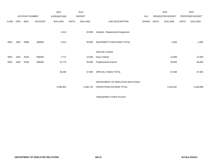|             |            |                       |                | 2013               |              | 2014           |                                   |       |              | 2015             |              | 2015            |
|-------------|------------|-----------------------|----------------|--------------------|--------------|----------------|-----------------------------------|-------|--------------|------------------|--------------|-----------------|
|             |            | <b>ACCOUNT NUMBER</b> |                | <b>EXPENDITURE</b> |              | <b>BUDGET</b>  |                                   | PAY   |              | REQUESTED BUDGET |              | PROPOSED BUDGET |
| <b>FUND</b> | <b>ORG</b> | SBCL                  | <b>ACCOUNT</b> | <b>DOLLARS</b>     | <b>UNITS</b> | <b>DOLLARS</b> | LINE DESCRIPTION                  | RANGE | <b>UNITS</b> | <b>DOLLARS</b>   | <b>UNITS</b> | <b>DOLLARS</b>  |
|             |            |                       |                | 4,414              |              | 20,000         | Subtotal - Replacement Equipment  |       |              |                  |              |                 |
|             |            |                       |                |                    |              |                |                                   |       |              |                  |              |                 |
| 0001        | 1652       | R999                  | 006800         | 4,414              |              | 20,000         | <b>EQUIPMENT PURCHASES TOTAL</b>  |       |              | 2,000            |              | 2,000           |
|             |            |                       |                |                    |              |                | SPECIAL FUNDS                     |       |              |                  |              |                 |
| 0001        | 1652       | R <sub>164</sub>      | 006300         | 7,717              |              | 12,000         | Drug Testing*                     |       |              | 12,000           |              | 12,000          |
| 0001        | 1652       | R <sub>165</sub>      | 006300         | 31,773             |              | 35,000         | Preplacement Exams*               |       |              | 35,000           |              | 35,000          |
|             |            |                       |                |                    |              |                |                                   |       |              |                  |              |                 |
|             |            |                       |                | 39,490             |              | 47,000         | SPECIAL FUNDS TOTAL               |       |              | 47,000           |              | 47,000          |
|             |            |                       |                |                    |              |                |                                   |       |              |                  |              |                 |
|             |            |                       |                |                    |              |                | DEPARTMENT OF EMPLOYEE RELATIONS- |       |              |                  |              |                 |
|             |            |                       |                | 2,095,924          |              | 2,306,732      | OPERATIONS DIVISION TOTAL         |       |              | 2,432,467        |              | 2,328,898       |
|             |            |                       |                |                    |              |                |                                   |       |              |                  |              |                 |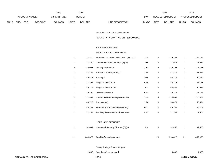|             |     |                |                | 2013               |       | 2014           |                                  | 2015                    |              | 2015                   |
|-------------|-----|----------------|----------------|--------------------|-------|----------------|----------------------------------|-------------------------|--------------|------------------------|
|             |     | ACCOUNT NUMBER |                | <b>EXPENDITURE</b> |       | <b>BUDGET</b>  | PAY                              | REQUESTED BUDGET        |              | <b>PROPOSED BUDGET</b> |
| <b>FUND</b> | ORG | SBCL           | <b>ACCOUNT</b> | <b>DOLLARS</b>     | UNITS | <b>DOLLARS</b> | <b>RANGE</b><br>LINE DESCRIPTION | UNITS<br><b>DOLLARS</b> | <b>UNITS</b> | <b>DOLLARS</b>         |

FIRE AND POLICE COMMISSION

BUDGETARY CONTROL UNIT (1BCU=1DU)

### SALARIES & WAGES

# FIRE & POLICE COMMISSION

| FIRE AND POLICE COMMISSION |                           | 190.1                                    |                 |                |         | 3rd Run 9/15/14 |         |
|----------------------------|---------------------------|------------------------------------------|-----------------|----------------|---------|-----------------|---------|
|                            | 1,436                     | Overtime Compensated*                    |                 |                | 4,000   |                 | 4,000   |
|                            |                           | Salary & Wage Rate Changes               |                 |                |         |                 |         |
|                            | 21<br>840,672             | <b>Total Before Adjustments</b>          |                 | 21             | 859,025 | 21              | 859,025 |
|                            | 91,089<br>1               | Homeland Security Director (C)(Y)        | 11X             | $\mathbf{1}$   | 92,455  | 1               | 92,455  |
|                            |                           | HOMELAND SECURITY                        |                 |                |         |                 |         |
|                            | $\mathbf{1}$<br>11,144    | Auxiliary Personnel/Graduate Intern      | 9PN             | $\mathbf{1}$   | 11,304  | $\mathbf{1}$    | 11,304  |
|                            | 46,201<br>$\overline{7}$  | Fire and Police Commissioner (Y)         | BC <sub>1</sub> | $\overline{7}$ | 46,201  | $\overline{7}$  | 46,201  |
|                            | 49,728<br>$\mathbf{1}$    | Recruiter (X)                            | 2FX             | $\mathbf{1}$   | 50,474  | $\mathbf{1}$    | 50,474  |
|                            | $\overline{a}$<br>111,887 | Human Resources Representative           | 2HX             | $\overline{c}$ | 120,683 | $\overline{c}$  | 120,683 |
|                            | 29,780<br>$\mathbf{1}$    | Office Assistant II                      | 6EN             | $\mathbf{1}$   | 29,773  | 1               | 29,773  |
|                            | 49,779<br>$\mathbf{1}$    | Program Assistant III                    | 5IN             | $\mathbf{1}$   | 50,525  | 1               | 50,525  |
|                            | 41,495<br>$\mathbf{1}$    | Program Assistant II                     | 5FN             | $\mathbf{1}$   | 42,118  | $\mathbf{1}$    | 42,118  |
|                            | 49,472<br>$\mathbf{1}$    | Paralegal                                | 5JN             | $\mathbf{1}$   | 50,214  | $\mathbf{1}$    | 50,214  |
|                            | 47,109<br>$\mathbf{1}$    | Research & Policy Analyst                | 2FX             | $\mathbf{1}$   | 47,816  | $\mathbf{1}$    | 47,816  |
|                            | $\overline{2}$<br>114,048 | Investigator/Auditor                     | 2HX             | $\overline{2}$ | 115,758 | $\overline{c}$  | 115,758 |
|                            | 71,130<br>1               | Community Relations Mgr. (X)(Y)          | 2JX             | 1              | 71,977  | 1               | 71,977  |
|                            | $\mathbf{1}$<br>127,810   | Fire & Police Comm. Exec. Dir. (B)(X)(Y) | 1KX             | $\mathbf 1$    | 129,727 | $\mathbf{1}$    | 129,727 |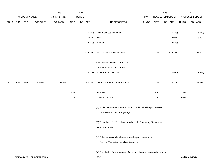|             |      |                |                            | 2013               |              | 2014           |                                                                                                            |             |       | 2015             |              | 2015            |
|-------------|------|----------------|----------------------------|--------------------|--------------|----------------|------------------------------------------------------------------------------------------------------------|-------------|-------|------------------|--------------|-----------------|
|             |      | ACCOUNT NUMBER |                            | <b>EXPENDITURE</b> |              | <b>BUDGET</b>  |                                                                                                            | PAY         |       | REQUESTED BUDGET |              | PROPOSED BUDGET |
| <b>FUND</b> | ORG  | SBCL           | <b>ACCOUNT</b>             | <b>DOLLARS</b>     | <b>UNITS</b> | <b>DOLLARS</b> | LINE DESCRIPTION                                                                                           | RANGE UNITS |       | <b>DOLLARS</b>   | <b>UNITS</b> | <b>DOLLARS</b>  |
|             |      |                |                            |                    |              | (15, 372)      | Personnel Cost Adjustment                                                                                  |             |       | (15, 773)        |              | (15, 773)       |
|             |      |                |                            |                    |              | 7,677          | Other                                                                                                      |             |       | 8,097            |              | 8,097           |
|             |      |                |                            |                    |              |                | (8,310) Furlough                                                                                           |             |       | (8,508)          |              |                 |
|             |      |                |                            |                    | $21$         | 826,103        | Gross Salaries & Wages Total                                                                               |             | 21    | 846,841          | 21           | 855,349         |
|             |      |                |                            |                    |              |                | Reimbursable Services Deduction                                                                            |             |       |                  |              |                 |
|             |      |                |                            |                    |              |                | Capital Improvements Deduction                                                                             |             |       |                  |              |                 |
|             |      |                |                            |                    |              | (72, 871)      | <b>Grants &amp; Aids Deduction</b>                                                                         |             |       | (73,964)         |              | (73, 964)       |
| 0001        | 3100 | R999           | 006000                     | 761,246            | 21           | 753,232        | NET SALARIES & WAGES TOTAL*                                                                                |             | 21    | 772,877          | 21           | 781,385         |
|             |      |                |                            |                    | 12.60        |                | O&M FTE'S                                                                                                  |             | 12.60 |                  | 12.60        |                 |
|             |      |                |                            |                    | 0.80         |                | NON-O&M FTE'S                                                                                              |             | 0.80  |                  | 0.80         |                 |
|             |      |                |                            |                    |              |                | (B) While occupying this title, Michael G. Tobin, shall be paid at rates<br>consistent with Pay Range 2QX. |             |       |                  |              |                 |
|             |      |                |                            |                    |              |                |                                                                                                            |             |       |                  |              |                 |
|             |      |                |                            |                    |              |                | (C) To expire 12/31/15, unless the Wisconsin Emergency Management                                          |             |       |                  |              |                 |
|             |      |                |                            |                    |              |                | Grant is extended.                                                                                         |             |       |                  |              |                 |
|             |      |                |                            |                    |              |                | (X) Private automobile allowance may be paid pursuant to                                                   |             |       |                  |              |                 |
|             |      |                |                            |                    |              |                | Section 350-183 of the Milwaukee Code.                                                                     |             |       |                  |              |                 |
|             |      |                |                            |                    |              |                | (Y) Required to file a statement of economic interests in accordance with                                  |             |       |                  |              |                 |
|             |      |                | FIRE AND POLICE COMMISSION |                    |              |                | 190.2                                                                                                      |             |       |                  |              | 3rd Run 9/15/14 |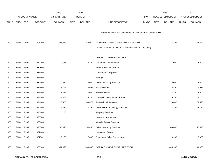|             |      |                       |                | 2013               |              | 2014           |                                                              |             | 2015             |              | 2015            |
|-------------|------|-----------------------|----------------|--------------------|--------------|----------------|--------------------------------------------------------------|-------------|------------------|--------------|-----------------|
|             |      | <b>ACCOUNT NUMBER</b> |                | <b>EXPENDITURE</b> |              | <b>BUDGET</b>  |                                                              | PAY         | REQUESTED BUDGET |              | PROPOSED BUDGET |
| <b>FUND</b> | ORG  | SBCL                  | <b>ACCOUNT</b> | <b>DOLLARS</b>     | <b>UNITS</b> | <b>DOLLARS</b> | LINE DESCRIPTION                                             | RANGE UNITS | <b>DOLLARS</b>   | <b>UNITS</b> | <b>DOLLARS</b>  |
|             |      |                       |                |                    |              |                |                                                              |             |                  |              |                 |
|             |      |                       |                |                    |              |                | the Milwaukee Code of Ordinances Chapter 303-Code of Ethics. |             |                  |              |                 |
|             |      |                       |                |                    |              |                |                                                              |             |                  |              |                 |
| 0001        | 3100 | R999                  | 006100         | 345,053            |              | 354,019        | ESTIMATED EMPLOYEE FRINGE BENEFITS                           |             | 347,794          |              | 351,623         |
|             |      |                       |                |                    |              |                | (Involves Revenue Offset-No transfers from this account)     |             |                  |              |                 |
|             |      |                       |                |                    |              |                |                                                              |             |                  |              |                 |
|             |      |                       |                |                    |              |                | OPERATING EXPENDITURES                                       |             |                  |              |                 |
| 0001        | 3100 | R999                  | 630100         | 9,735              |              | 8,350          | General Office Expense                                       |             | 7,000            |              | 7,000           |
| 0001        | 3100 | R999                  | 630500         |                    |              |                | Tools & Machinery Parts                                      |             |                  |              |                 |
| 0001        | 3100 | R999                  | 631000         |                    |              |                | <b>Construction Supplies</b>                                 |             |                  |              |                 |
| 0001        | 3100 | R999                  | 631500         |                    |              |                | Energy                                                       |             |                  |              |                 |
| 0001        | 3100 | R999                  | 632000         | 817                |              | 2,000          | <b>Other Operating Supplies</b>                              |             | 2,000            |              | 2,000           |
| 0001        | 3100 | R999                  | 632500         | 1,145              |              | 4,669          | <b>Facility Rental</b>                                       |             | 10,450           |              | 6,537           |
| 0001        | 3100 | R999                  | 633000         | 2,298              |              | 2,000          | Vehicle Rental                                               |             | 2,300            |              | 2,300           |
| 0001        | 3100 | R999                  | 633500         | 4,083              |              | 3,200          | Non-Vehicle Equipment Rental                                 |             | 3,200            |              | 3,200           |
| 0001        | 3100 | R999                  | 634000         | 218,450            |              | 169,473        | <b>Professional Services</b>                                 |             | 323,000          |              | 179,473         |
| 0001        | 3100 | R999                  | 634500         | 8,224              |              | 22,736         | Information Technology Services                              |             | 22,736           |              | 22,736          |
| 0001        | 3100 | R999                  | 635000         | 85                 |              |                | <b>Property Services</b>                                     |             |                  |              |                 |
| 0001        | 3100 | R999                  | 635500         |                    |              |                | <b>Infrastructure Services</b>                               |             |                  |              |                 |
| 0001        | 3100 | R999                  | 636000         |                    |              |                | Vehicle Repair Services                                      |             |                  |              |                 |
| 0001        | 3100 | R999                  | 636500         | 96,020             |              | 50,440         | <b>Other Operating Services</b>                              |             | 108,000          |              | 55,440          |
| 0001        | 3100 | R999                  | 637000         |                    |              |                | Loans and Grants                                             |             |                  |              |                 |
| 0001        | 3100 | R999                  | 637501         | 10,166             |              | 7,000          | <b>Reimburse Other Departments</b>                           |             | 6,300            |              | 6,300           |
|             |      |                       |                |                    |              |                |                                                              |             |                  |              |                 |
| 0001        | 3100 | R999                  | 006300         | 351,023            |              | 269,868        | OPERATING EXPENDITURES TOTAL*                                |             | 484,986          |              | 284,986         |
|             |      |                       |                |                    |              |                |                                                              |             |                  |              |                 |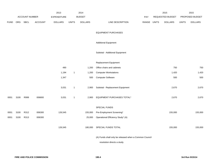|             |      |                |                | 2013               |              | 2014           |                                                        |             | 2015             |              | 2015            |
|-------------|------|----------------|----------------|--------------------|--------------|----------------|--------------------------------------------------------|-------------|------------------|--------------|-----------------|
|             |      | ACCOUNT NUMBER |                | <b>EXPENDITURE</b> |              | <b>BUDGET</b>  |                                                        | <b>PAY</b>  | REQUESTED BUDGET |              | PROPOSED BUDGET |
| <b>FUND</b> | ORG  | <b>SBCL</b>    | <b>ACCOUNT</b> | <b>DOLLARS</b>     | <b>UNITS</b> | <b>DOLLARS</b> | LINE DESCRIPTION                                       | RANGE UNITS | <b>DOLLARS</b>   | <b>UNITS</b> | <b>DOLLARS</b>  |
|             |      |                |                |                    |              |                | <b>EQUIPMENT PURCHASES</b>                             |             |                  |              |                 |
|             |      |                |                |                    |              |                | <b>Additional Equipment</b>                            |             |                  |              |                 |
|             |      |                |                |                    |              |                | Subtotal - Additional Equipment                        |             |                  |              |                 |
|             |      |                |                |                    |              |                | Replacement Equipment                                  |             |                  |              |                 |
|             |      |                |                | 490                |              | 1,200          | Office chairs and cabinets                             |             | 750              |              | 750             |
|             |      |                |                | 1,194              | $\mathbf{1}$ | 1,200          | <b>Computer Workstations</b>                           |             | 1,420            |              | 1,420           |
|             |      |                |                | 1,347              |              | 500            | <b>Computer Software</b>                               |             | 500              |              | 500             |
|             |      |                |                | 3,031              | $\mathbf{1}$ | 2,900          | Subtotal - Replacement Equipment                       |             | 2,670            |              | 2,670           |
| 0001        | 3100 | R999           | 006800         | 3,031              | $\mathbf{1}$ | 2,900          | EQUIPMENT PURCHASES TOTAL*                             |             | 2,670            |              | 2,670           |
|             |      |                |                |                    |              |                | SPECIAL FUNDS                                          |             |                  |              |                 |
| 0001        | 3100 | R312           | 006300         | 126,545            |              | 155,000        | Pre-Employment Screening*                              |             | 155,000          |              | 155,000         |
| 0001        | 3100 | R313           | 006300         |                    |              | 25,000         | Operational Efficiency Study* (A)                      |             |                  |              |                 |
|             |      |                |                | 126,545            |              | 180,000        | SPECIAL FUNDS TOTAL                                    |             | 155,000          |              | 155,000         |
|             |      |                |                |                    |              |                | (A) Funds shall only be released when a Common Council |             |                  |              |                 |

resolution directs a study.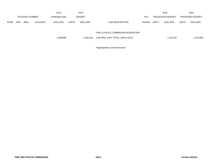|             |            |                       |         | 2013           |              | 2014           |                                    |            |              | 2015             |              | 2015            |
|-------------|------------|-----------------------|---------|----------------|--------------|----------------|------------------------------------|------------|--------------|------------------|--------------|-----------------|
|             |            | <b>ACCOUNT NUMBER</b> |         | EXPENDITURE    |              | <b>BUDGET</b>  |                                    | <b>PAY</b> |              | REQUESTED BUDGET |              | PROPOSED BUDGET |
| <b>FUND</b> | <b>ORG</b> | <b>SBCL</b>           | ACCOUNT | <b>DOLLARS</b> | <b>UNITS</b> | <b>DOLLARS</b> | LINE DESCRIPTION                   | RANGE      | <b>UNITS</b> | DOLLARS          | <b>UNITS</b> | <b>DOLLARS</b>  |
|             |            |                       |         |                |              |                | FIRE & POLICE COMMISSION BUDGETARY |            |              |                  |              |                 |

|  | 1,586,898 |  | 1.560.019 CONTROL UNIT TOTAL (1BCU=1DU) | ,763,327 | 1,575,664 |
|--|-----------|--|-----------------------------------------|----------|-----------|
|--|-----------|--|-----------------------------------------|----------|-----------|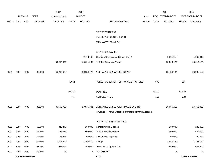|             |      |                        |                | 2013               |              | 2014           |                                                          |            |              | 2015             |              | 2015            |
|-------------|------|------------------------|----------------|--------------------|--------------|----------------|----------------------------------------------------------|------------|--------------|------------------|--------------|-----------------|
|             |      | <b>ACCOUNT NUMBER</b>  |                | <b>EXPENDITURE</b> |              | <b>BUDGET</b>  |                                                          | <b>PAY</b> |              | REQUESTED BUDGET |              | PROPOSED BUDGET |
| <b>FUND</b> | ORG  | <b>SBCL</b>            | <b>ACCOUNT</b> | <b>DOLLARS</b>     | <b>UNITS</b> | <b>DOLLARS</b> | LINE DESCRIPTION                                         | RANGE      | <b>UNITS</b> | <b>DOLLARS</b>   | <b>UNITS</b> | <b>DOLLARS</b>  |
|             |      |                        |                |                    |              |                |                                                          |            |              |                  |              |                 |
|             |      |                        |                |                    |              |                | FIRE DEPARTMENT                                          |            |              |                  |              |                 |
|             |      |                        |                |                    |              |                | <b>BUDGETARY CONTROL UNIT</b>                            |            |              |                  |              |                 |
|             |      |                        |                |                    |              |                | (SUMMARY 1BCU=3DU)                                       |            |              |                  |              |                 |
|             |      |                        |                |                    |              |                | SALARIES & WAGES                                         |            |              |                  |              |                 |
|             |      |                        |                |                    |              | 2,413,187      | Overtime Compensated (Spec. Duty)*                       |            |              | 2,561,018        |              | 1,969,018       |
|             |      |                        |                | 69,242,628         |              | 65,621,586     | All Other Salaries & Wages                               |            |              | 65,893,176       |              | 65,014,148      |
| 0001        | 3280 | R999                   | 006000         | 69,242,628         |              | 68,034,773     | NET SALARIES & WAGES TOTAL*                              |            |              | 68,454,194       |              | 66,983,166      |
|             |      |                        |                |                    | 1,012        |                | TOTAL NUMBER OF POSITIONS AUTHORIZED                     |            | 996          |                  | 993          |                 |
|             |      |                        |                |                    | 1004.99      |                | O&M FTE'S                                                |            | 994.50       |                  | 1004.49      |                 |
|             |      |                        |                |                    | 1.80         |                | NON-O&M FTE'S                                            |            | 1.50         |                  | 2.80         |                 |
| 0001        | 3280 | R999                   | 006100         | 30,466,757         |              | 29,935,301     | ESTIMATED EMPLOYEE FRINGE BENEFITS                       |            |              | 28,066,219       |              | 27,463,099      |
|             |      |                        |                |                    |              |                | (Involves Revenue Offset-No Transfers from this Account) |            |              |                  |              |                 |
|             |      |                        |                |                    |              |                | OPERATING EXPENDITURES                                   |            |              |                  |              |                 |
| 0001        | 3280 | R999                   | 630100         | 320,848            |              | 289,000        | <b>General Office Expense</b>                            |            |              | 289,000          |              | 289,000         |
| 0001        | 3280 | R999                   | 630500         | 623,078            |              | 602,000        | Tools & Machinery Parts                                  |            |              | 602,000          |              | 602,000         |
| 0001        | 3280 | R999                   | 631000         | 105,235            |              | 90,000         | <b>Construction Supplies</b>                             |            |              | 90,000           |              | 90,000          |
| 0001        | 3280 | R999                   | 631500         | 1,476,823          |              | 1,490,812      | Energy                                                   |            |              | 1,486,140        |              | 1,486,140       |
| 0001        | 3280 | R999                   | 632000         | 952,849            |              | 866,000        | <b>Other Operating Supplies</b>                          |            |              | 866,000          |              | 602,500         |
| 0001        | 3280 | R999                   | 632500         | $\mathbf{1}$       |              | $\overline{1}$ | <b>Facility Rental</b>                                   |            |              | $\mathbf{1}$     |              | $\mathbf 1$     |
|             |      | <b>FIRE DEPARTMENT</b> |                |                    |              |                | 200.1                                                    |            |              |                  |              | 3rd Run 9/15/14 |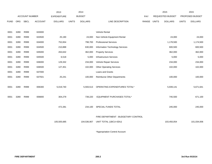|             |            |                |                | 2013               |              | 2014           |                                     |       |              | 2015                    |              | 2015            |
|-------------|------------|----------------|----------------|--------------------|--------------|----------------|-------------------------------------|-------|--------------|-------------------------|--------------|-----------------|
|             |            | ACCOUNT NUMBER |                | <b>EXPENDITURE</b> |              | <b>BUDGET</b>  |                                     | PAY   |              | <b>REQUESTED BUDGET</b> |              | PROPOSED BUDGET |
| <b>FUND</b> | <b>ORG</b> | <b>SBCL</b>    | <b>ACCOUNT</b> | <b>DOLLARS</b>     | <b>UNITS</b> | <b>DOLLARS</b> | LINE DESCRIPTION                    | RANGE | <b>UNITS</b> | <b>DOLLARS</b>          | <b>UNITS</b> | <b>DOLLARS</b>  |
|             |            |                |                |                    |              |                |                                     |       |              |                         |              |                 |
| 0001        | 3280       | R999           | 633000         |                    |              |                | <b>Vehicle Rental</b>               |       |              |                         |              |                 |
| 0001        | 3280       | R999           | 633500         | 25,190             |              | 24,000         | Non-Vehicle Equipment Rental        |       |              | 24,000                  |              | 24,000          |
| 0001        | 3280       | R999           | 634000         | 752,654            |              | 798,700        | <b>Professional Services</b>        |       |              | 1,178,500               |              | 1,174,500       |
| 0001        | 3280       | R999           | 634500         | 210,888            |              | 630,000        | Information Technology Services     |       |              | 600,500                 |              | 600,500         |
| 0001        | 3280       | R999           | 635000         | 263,632            |              | 362,000        | <b>Property Services</b>            |       |              | 362,000                 |              | 362,000         |
| 0001        | 3280       | R999           | 635500         | 6,518              |              | 5,000          | Infrastructure Services             |       |              | 5,000                   |              | 5,000           |
| 0001        | 3280       | R999           | 636000         | 129,332            |              | 234,000        | Vehicle Repair Services             |       |              | 234,000                 |              | 234,000         |
| 0001        | 3280       | R999           | 636500         | 127,451            |              | 102,000        | <b>Other Operating Services</b>     |       |              | 102,000                 |              | 102,000         |
| 0001        | 3280       | R999           | 637000         |                    |              |                | Loans and Grants                    |       |              |                         |              |                 |
| 0001        | 3280       | R999           | 637501         | 25,241             |              | 100,000        | <b>Reimburse Other Departments</b>  |       |              | 100,000                 |              | 100,000         |
|             |            |                |                |                    |              |                |                                     |       |              |                         |              |                 |
| 0001        | 3280       | R999           | 006300         | 5,019,740          |              | 5,593,513      | OPERATING EXPENDITURES TOTAL*       |       |              | 5,939,141               |              | 5,671,641       |
|             |            |                |                |                    |              |                |                                     |       |              |                         |              |                 |
| 0001        | 3280       | R999           | 006800         | 304,279            |              | 739,220        | EQUIPMENT PURCHASES TOTAL*          |       |              | 745,500                 |              | 671,100         |
|             |            |                |                |                    |              |                |                                     |       |              |                         |              |                 |
|             |            |                |                | 472,281            |              | 234,100        | SPECIAL FUNDS TOTAL                 |       |              | 245,000                 |              | 245,000         |
|             |            |                |                |                    |              |                |                                     |       |              |                         |              |                 |
|             |            |                |                |                    |              |                | FIRE DEPARTMENT - BUDGETARY CONTROL |       |              |                         |              |                 |
|             |            |                |                | 105,505,685        |              | 104,536,907    | UNIT TOTAL (1BCU=3DU)               |       |              | 103,450,054             |              | 101,034,006     |
|             |            |                |                |                    |              |                |                                     |       |              |                         |              |                 |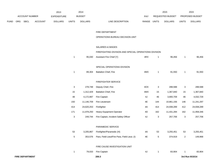|             |     |                        |                | 2013           |              | 2014           |                                                       |               |                | 2015             |                | 2015            |
|-------------|-----|------------------------|----------------|----------------|--------------|----------------|-------------------------------------------------------|---------------|----------------|------------------|----------------|-----------------|
|             |     | ACCOUNT NUMBER         |                | EXPENDITURE    |              | <b>BUDGET</b>  |                                                       | PAY           |                | REQUESTED BUDGET |                | PROPOSED BUDGET |
| <b>FUND</b> | ORG | SBCL                   | <b>ACCOUNT</b> | <b>DOLLARS</b> | <b>UNITS</b> | <b>DOLLARS</b> | LINE DESCRIPTION                                      | RANGE         | <b>UNITS</b>   | <b>DOLLARS</b>   | <b>UNITS</b>   | <b>DOLLARS</b>  |
|             |     |                        |                |                |              |                | FIRE DEPARTMENT                                       |               |                |                  |                |                 |
|             |     |                        |                |                |              |                | OPERATIONS BUREAU DECISION UNIT                       |               |                |                  |                |                 |
|             |     |                        |                |                |              |                | <b>SALARIES &amp; WAGES</b>                           |               |                |                  |                |                 |
|             |     |                        |                |                |              |                | FIREFIGHTING DIVISION AND SPECIAL OPERATIONS DIVISION |               |                |                  |                |                 |
|             |     |                        |                |                | $\mathbf{1}$ | 95,030         | Assistant Fire Chief (Y)                              | 4RX           | $\overline{1}$ | 96,456           | $\mathbf{1}$   | 96,456          |
|             |     |                        |                |                |              |                | SPECIAL OPERATIONS DIVISION                           |               |                |                  |                |                 |
|             |     |                        |                |                | $\mathbf{1}$ | 89,304         | <b>Battalion Chief, Fire</b>                          | 4MX           | $\overline{1}$ | 91,550           | $\mathbf{1}$   | 91,550          |
|             |     |                        |                |                |              |                | FIREFIGHTER SERVICE                                   |               |                |                  |                |                 |
|             |     |                        |                |                | 3            | 278,748        | Deputy Chief, Fire                                    | 4OX           | 3              | 288,588          | 3              | 288,588         |
|             |     |                        |                |                | 15           | 1,312,429      | Battalion Chief, Fire                                 | 4MX           | 15             | 1,367,840        | 15             | 1,367,840       |
|             |     |                        |                |                | 48           | 4,172,897      | Fire Captain                                          | 4J            | 46             | 3,900,709        | 46             | 4,032,729       |
|             |     |                        |                |                | 150          | 11,146,709     | Fire Lieutenant                                       | 4E            | 144            | 10,861,156       | 146            | 11,241,297      |
|             |     |                        |                |                | 414          | 24,620,253     | Firefighter                                           | 4A            | 414            | 24,938,289       | 412            | 24,938,289      |
|             |     |                        |                |                | 171          | 11,978,250     | Heavy Equipment Operator                              | 4D            | 162            | 11,431,284       | 162            | 11,958,346      |
|             |     |                        |                |                | 3            | 249,744        | Fire Captain, Incident Safety Officer                 | 4J            | 3              | 257,706          | 3              | 257,706         |
|             |     |                        |                |                |              |                | PARAMEDIC SERVICE                                     |               |                |                  |                |                 |
|             |     |                        |                |                | 53           |                | 3,205,867 Firefighter/Paramedic (H)                   | 4A            | 53             | 3,255,451        | 53             | 3,255,451       |
|             |     |                        |                |                | $\,$ 5 $\,$  | 353,576        | Para. Field Lieut/Fire Para. Field Lieut. (I)         | $4\mathsf{E}$ | 5              | 374,919          | $\overline{a}$ | 149,968         |
|             |     |                        |                |                |              |                | FIRE CAUSE INVESTIGATION UNIT                         |               |                |                  |                |                 |
|             |     |                        |                |                | $\mathbf{1}$ | 79,033         | Fire Captain                                          | 4J            | $\overline{1}$ | 83,904           |                | 83,904          |
|             |     | <b>FIRE DEPARTMENT</b> |                |                |              |                | 200.3                                                 |               |                |                  |                | 3rd Run 9/15/14 |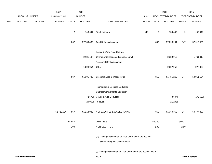|             |     |                |         | 2013               |                | 2014           |                                                                      |       |                         | 2015             |                | 2015            |
|-------------|-----|----------------|---------|--------------------|----------------|----------------|----------------------------------------------------------------------|-------|-------------------------|------------------|----------------|-----------------|
|             |     | ACCOUNT NUMBER |         | <b>EXPENDITURE</b> |                | <b>BUDGET</b>  |                                                                      | PAY   |                         | REQUESTED BUDGET |                | PROPOSED BUDGET |
| <b>FUND</b> | ORG | <b>SBCL</b>    | ACCOUNT | <b>DOLLARS</b>     | <b>UNITS</b>   | <b>DOLLARS</b> | LINE DESCRIPTION                                                     | RANGE | <b>UNITS</b>            | <b>DOLLARS</b>   | <b>UNITS</b>   | <b>DOLLARS</b>  |
|             |     |                |         |                    | $\overline{2}$ | 148,641        | Fire Lieutenant                                                      | 4E    | $\overline{\mathbf{c}}$ | 150,442          | $\overline{c}$ | 150,442         |
|             |     |                |         |                    | 867            |                | 57,730,482 Total Before Adjustments                                  |       | 850                     | 57,098,294       | 847            | 57,912,566      |
|             |     |                |         |                    |                |                | Salary & Wage Rate Change                                            |       |                         |                  |                |                 |
|             |     |                |         |                    |                | 2,181,187      | Overtime Compensated (Special Duty)                                  |       |                         | 2,329,018        |                | 1,761,018       |
|             |     |                |         |                    |                |                | Personnel Cost Adjustment                                            |       |                         |                  |                |                 |
|             |     |                |         |                    |                | 1,394,054      | Other                                                                |       |                         | 2,027,953        |                | 277,920         |
|             |     |                |         |                    | 867            | 61,305,723     | Gross Salaries & Wages Total                                         |       | 850                     | 61,455,265       | 847            | 59,951,504      |
|             |     |                |         |                    |                |                | Reimbursable Services Deduction                                      |       |                         |                  |                |                 |
|             |     |                |         |                    |                |                | Capital Improvements Deduction                                       |       |                         |                  |                |                 |
|             |     |                |         |                    |                | (72, 578)      | Grants & Aids Deduction                                              |       |                         | (73, 607)        |                | (173, 607)      |
|             |     |                |         |                    |                |                | (20,062) Furlough                                                    |       |                         | (21, 298)        |                |                 |
|             |     |                |         | 62,722,604         | 867            | 61,213,083     | NET SALARIES & WAGES TOTAL                                           |       | 850                     | 61,360,360       | 847            | 59,777,897      |
|             |     |                |         |                    | 863.67         |                | O&M FTE'S                                                            |       | 849.00                  |                  | 860.17         |                 |
|             |     |                |         |                    | 1.00           |                | NON-O&M FTE'S                                                        |       | 1.00                    |                  | 2.50           |                 |
|             |     |                |         |                    |                |                | (H) These positions may be filled under either the position          |       |                         |                  |                |                 |
|             |     |                |         |                    |                |                | title of Firefighter or Paramedic.                                   |       |                         |                  |                |                 |
|             |     |                |         |                    |                |                | (I) These positions may be filled under either the position title of |       |                         |                  |                |                 |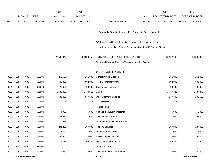|             |      |                        |                | 2013               |              | 2014           |                                                                      |            |              | 2015             |              | 2015            |
|-------------|------|------------------------|----------------|--------------------|--------------|----------------|----------------------------------------------------------------------|------------|--------------|------------------|--------------|-----------------|
|             |      | <b>ACCOUNT NUMBER</b>  |                | <b>EXPENDITURE</b> |              | <b>BUDGET</b>  |                                                                      | <b>PAY</b> |              | REQUESTED BUDGET |              | PROPOSED BUDGET |
| <b>FUND</b> | ORG  | <b>SBCL</b>            | <b>ACCOUNT</b> | <b>DOLLARS</b>     | <b>UNITS</b> | <b>DOLLARS</b> | LINE DESCRIPTION                                                     | RANGE      | <b>UNITS</b> | <b>DOLLARS</b>   | <b>UNITS</b> | <b>DOLLARS</b>  |
|             |      |                        |                |                    |              |                |                                                                      |            |              |                  |              |                 |
|             |      |                        |                |                    |              |                | Paramedic Field Lieutenant or Fire Paramedic Field Lieutenant.       |            |              |                  |              |                 |
|             |      |                        |                |                    |              |                | (Y) Required to file a statement of economic interests in accordance |            |              |                  |              |                 |
|             |      |                        |                |                    |              |                | with the Milwaukee Code of Ordinances Chapter 303-Code of Ethics.    |            |              |                  |              |                 |
|             |      |                        |                |                    |              |                |                                                                      |            |              |                  |              |                 |
|             |      |                        |                | 27,597,946         |              | 26,933,757     | ESTIMATED EMPLOYEE FRINGE BENEFITS                                   |            |              | 25, 157, 748     |              | 24,508,938      |
|             |      |                        |                |                    |              |                | (Involves Revenue Offset-No Transfers from this Account)             |            |              |                  |              |                 |
|             |      |                        |                |                    |              |                | OPERATING EXPENDITURES                                               |            |              |                  |              |                 |
| 0001        | 3281 | R999                   | 630100         | 262,529            |              | 251,000        | <b>General Office Expense</b>                                        |            |              | 251,000          |              | 251,000         |
| 0001        | 3281 | R999                   | 630500         | 540,885            |              | 602,000        | Tools & Machinery Parts                                              |            |              | 602,000          |              | 602,000         |
| 0001        | 3281 | R999                   | 631000         | 75,601             |              | 90,000         | <b>Construction Supplies</b>                                         |            |              | 90,000           |              | 90,000          |
| 0001        | 3281 | R999                   | 631500         | 1,438,468          |              | 1,444,812      | Energy                                                               |            |              | 1,437,340        |              | 1,437,340       |
| 0001        | 3281 | R999                   | 632000         | 780,467            |              | 547,500        | <b>Other Operating Supplies</b>                                      |            |              | 547,500          |              | 296,500         |
| 0001        | 3281 | R999                   | 632500         | $\mathbf{1}$       |              | -1             | <b>Facility Rental</b>                                               |            |              | $\overline{1}$   |              | 1               |
| 0001        | 3281 | R999                   | 633000         |                    |              |                | Vehicle Rental                                                       |            |              |                  |              |                 |
| 0001        | 3281 | R999                   | 633500         | 4,983              |              | 5,000          | Non-Vehicle Equipment Rental                                         |            |              | 5,000            |              | 5,000           |
| 0001        | 3281 | R999                   | 634000         | 607,317            |              | 37,000         | <b>Professional Services</b>                                         |            |              | 37,000           |              | 37,000          |
| 0001        | 3281 | R999                   | 634500         | 215                |              |                | Information Technology Services                                      |            |              |                  |              |                 |
| 0001        | 3281 | R999                   | 635000         | 201,222            |              | 287,000        | <b>Property Services</b>                                             |            |              | 287,000          |              | 287,000         |
| 0001        | 3281 | R999                   | 635500         | 6,637              |              | 5,000          | <b>Infrastructure Services</b>                                       |            |              | 5,000            |              | 5,000           |
| 0001        | 3281 | R999                   | 636000         | 128,207            |              | 234,000        | Vehicle Repair Services                                              |            |              | 234,000          |              | 234,000         |
| 0001        | 3281 | R999                   | 636500         | 68,775             |              | 68,300         | <b>Other Operating Services</b>                                      |            |              | 68,300           |              | 68,300          |
| 0001        | 3281 | R999                   | 637000         |                    |              |                | Loans and Grants                                                     |            |              |                  |              |                 |
| 0001        | 3281 | R999                   | 637501         | 8,953              |              | 40,000         | Reimburse Other Departments                                          |            |              | 40,000           |              | 40,000          |
|             |      | <b>FIRE DEPARTMENT</b> |                |                    |              |                | 200.5                                                                |            |              |                  |              | 3rd Run 9/15/14 |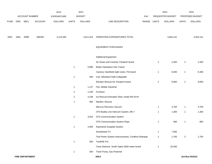|             |      |                        |                | 2013               |                | 2014           |                                                   |             |                | 2015             |                | 2015            |
|-------------|------|------------------------|----------------|--------------------|----------------|----------------|---------------------------------------------------|-------------|----------------|------------------|----------------|-----------------|
|             |      | ACCOUNT NUMBER         |                | <b>EXPENDITURE</b> |                | <b>BUDGET</b>  |                                                   | PAY         |                | REQUESTED BUDGET |                | PROPOSED BUDGET |
| <b>FUND</b> | ORG  | <b>SBCL</b>            | <b>ACCOUNT</b> | <b>DOLLARS</b>     | <b>UNITS</b>   | <b>DOLLARS</b> | LINE DESCRIPTION                                  | RANGE UNITS |                | <b>DOLLARS</b>   | <b>UNITS</b>   | <b>DOLLARS</b>  |
|             |      |                        |                |                    |                |                |                                                   |             |                |                  |                |                 |
| 0001        | 3281 | R999                   | 006300         | 4,124,260          |                | 3,611,613      | OPERATING EXPENDITURES TOTAL                      |             |                | 3,604,141        |                | 3,353,141       |
|             |      |                        |                |                    |                |                | <b>EQUIPMENT PURCHASES</b>                        |             |                |                  |                |                 |
|             |      |                        |                |                    |                |                | <b>Additional Equipment</b>                       |             |                |                  |                |                 |
|             |      |                        |                |                    |                |                | Air Hoses and Controls, Paratech brand            |             | $\overline{a}$ | 2,400            | $\overline{c}$ | 2,400           |
|             |      |                        |                |                    | $\mathbf{1}$   | 5,895          | <b>Bullex Hazardous Gas Trainer</b>               |             |                |                  |                |                 |
|             |      |                        |                |                    |                |                | Camera, Handheld night vision, Flir brand         |             | 1              | 6,300            | $\mathbf{1}$   | 6,300           |
|             |      |                        |                |                    | $\mathbf{1}$   | 500            | Cart, Wheeled Foldit Collapsible                  |             |                |                  |                |                 |
|             |      |                        |                |                    |                |                | Elevator Rescue Kit, Paratech brand               |             | $\overline{a}$ | 9,000            | $\overline{c}$ | 9,000           |
|             |      |                        |                |                    | $\mathbf{1}$   | 1,127          | Fan, Mobile Industrial                            |             |                |                  |                |                 |
|             |      |                        |                |                    | $\overline{2}$ | 1,240          | Furniture                                         |             |                |                  |                |                 |
|             |      |                        |                |                    | $\overline{2}$ | 4,238          | Ice Rescue Extrication Sled, model IRS Kit B      |             |                |                  |                |                 |
|             |      |                        |                |                    | $\mathbf{1}$   | 990            | Manikin, Rescue                                   |             |                |                  |                |                 |
|             |      |                        |                |                    |                |                | Mercury Recovery Vacuum                           |             | $\mathbf{1}$   | 3,700            | $\mathbf{1}$   | 3,700           |
|             |      |                        |                |                    |                |                | OTS Buddy Line Intercom System, MK-7              |             | 1              | 1,300            | $\mathbf{1}$   | 1,300           |
|             |      |                        |                |                    | $\overline{1}$ | 3,815          | OTS Communication System                          |             |                |                  |                |                 |
|             |      |                        |                |                    |                |                | OTS Communication System Rope                     |             | $\mathbf{1}$   | 800              | $\mathbf{1}$   | 800             |
|             |      |                        |                |                    | $\mathbf{1}$   | 4,465          | Raymarine Autopilot System                        |             |                |                  |                |                 |
|             |      |                        |                |                    |                |                | Smartboard TV                                     |             | $\mathbf{1}$   | 7,000            |                |                 |
|             |      |                        |                |                    |                |                | Tool Power System w/accessories, Cordless Robopak |             | $\overline{a}$ | 1,700            | $\overline{a}$ | 1,700           |
|             |      |                        |                |                    | $\mathbf{1}$   | 500            | <b>ToxiRAE Pro</b>                                |             |                |                  |                |                 |
|             |      |                        |                |                    |                |                | Trace Detector, Smith Sabre 5000 meter brand      |             | $\mathbf{1}$   | 25,000           |                |                 |
|             |      |                        |                |                    | $\mathbf{1}$   | 500            | Trash Pump, Gas Powered                           |             |                |                  |                |                 |
|             |      | <b>FIRE DEPARTMENT</b> |                |                    |                |                | 200.6                                             |             |                |                  |                | 3rd Run 9/15/14 |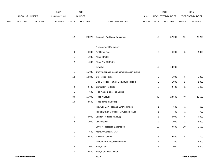|             |     |                |         | 2013               |                 | 2014           |                                            |             |                 | 2015             |                | 2015            |
|-------------|-----|----------------|---------|--------------------|-----------------|----------------|--------------------------------------------|-------------|-----------------|------------------|----------------|-----------------|
|             |     | ACCOUNT NUMBER |         | <b>EXPENDITURE</b> |                 | <b>BUDGET</b>  |                                            | PAY         |                 | REQUESTED BUDGET |                | PROPOSED BUDGET |
| <b>FUND</b> | ORG | SBCL           | ACCOUNT | <b>DOLLARS</b>     | <b>UNITS</b>    | <b>DOLLARS</b> | LINE DESCRIPTION                           | RANGE UNITS |                 | <b>DOLLARS</b>   | <b>UNITS</b>   | <b>DOLLARS</b>  |
|             |     |                |         |                    | 12              | 23,270         | Subtotal - Additional Equipment            |             | 12              | 57,200           | 10             | 25,200          |
|             |     |                |         |                    |                 |                | Replacement Equipment                      |             |                 |                  |                |                 |
|             |     |                |         |                    | $\bf8$          | 4,000          | Air Conditioner                            |             | 8               | 4,000            | 8              | 4,000           |
|             |     |                |         |                    | $\mathbf{1}$    | 1,000          | Altair 4 Meter                             |             |                 |                  |                |                 |
|             |     |                |         |                    | $\overline{c}$  | 1,000          | Altair Pro CO Meter                        |             |                 |                  |                |                 |
|             |     |                |         |                    |                 |                | <b>Bicycles</b>                            |             | 10              | 10,000           |                |                 |
|             |     |                |         |                    | $\mathbf{1}$    | 15,000         | Confined space rescue communication system |             |                 |                  |                |                 |
|             |     |                |         |                    | 12              | 10,800         | Cot Power Packs                            |             | $\overline{5}$  | 5,000            | 5              | 5,000           |
|             |     |                |         |                    |                 |                | Drill, Cordless Hammer, Milwaukee brand    |             | $\overline{2}$  | 1,000            | $\overline{a}$ | 1,000           |
|             |     |                |         |                    | $\overline{c}$  | 2,400          | Generator, Portable                        |             | $\overline{2}$  | 2,400            | $\overline{a}$ | 2,400           |
|             |     |                |         |                    | $\mathbf{1}$    | 600            | High Angle Bridle, Pro Series              |             |                 |                  |                |                 |
|             |     |                |         |                    | 30              | 15,000         | Hose (various)                             |             | 40              | 23,500           | $40\,$         | 23,500          |
|             |     |                |         |                    | $10$            | 8,500          | Hose (large diameter)                      |             |                 |                  |                |                 |
|             |     |                |         |                    |                 |                | Ice Auger, Jiff Propane 10" Pro4 model     |             | $\mathbf{1}$    | 600              | $\mathbf{1}$   | 600             |
|             |     |                |         |                    |                 |                | Impact Driver, Cordless, Milwaukee brand   |             | $\mathbf{1}$    | 700              | $\mathbf{1}$   | 700             |
|             |     |                |         |                    | 5               | 4,000          | Ladder, Portable (various)                 |             | 5               | 4,000            | 5              | 4,000           |
|             |     |                |         |                    | $\overline{c}$  | 1,000          | Lawnmower                                  |             | $\overline{c}$  | 1,000            | $\overline{c}$ | 1,000           |
|             |     |                |         |                    |                 |                | Level A Protection Ensembles               |             | 10              | 9,500            | $10$           | 9,500           |
|             |     |                |         |                    | $\mathbf{1}$    | 500            | Mercury Canister, MSA                      |             |                 |                  |                |                 |
|             |     |                |         |                    | $\,$ 5 $\,$     | 2,500          | Nozzles, various                           |             | $5\phantom{.0}$ | 2,500            | $\overline{5}$ | 2,500           |
|             |     |                |         |                    |                 |                | Petroleum Pump, Wilden brand               |             | $\mathbf{1}$    | 1,300            | $\mathbf{1}$   | 1,300           |
|             |     |                |         |                    | $\overline{a}$  | 1,000          | Saw, Chain                                 |             | $\overline{a}$  | 1,000            | $\overline{a}$ | 1,000           |
|             |     |                |         |                    | $5\phantom{.0}$ | 2,500          | Saw, Cordless Circular                     |             |                 |                  |                |                 |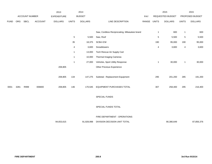|      |             |                | 2013               |              | 2014           |                                  |                                                                                                     | 2015                    |                |                  | 2015            |
|------|-------------|----------------|--------------------|--------------|----------------|----------------------------------|-----------------------------------------------------------------------------------------------------|-------------------------|----------------|------------------|-----------------|
|      |             |                | <b>EXPENDITURE</b> |              |                |                                  | PAY                                                                                                 |                         |                |                  | PROPOSED BUDGET |
| ORG  | <b>SBCL</b> | <b>ACCOUNT</b> | <b>DOLLARS</b>     | <b>UNITS</b> | <b>DOLLARS</b> | LINE DESCRIPTION                 | RANGE                                                                                               | <b>UNITS</b>            | <b>DOLLARS</b> | <b>UNITS</b>     | <b>DOLLARS</b>  |
|      |             |                |                    |              |                |                                  |                                                                                                     |                         |                |                  |                 |
|      |             |                |                    |              |                |                                  |                                                                                                     | $\mathbf{1}$            | 600            | $\mathbf{1}$     | 600             |
|      |             |                |                    | $\,$ 5 $\,$  | 5,500          | Saw, Roof                        |                                                                                                     | $\mathbf 5$             | 5,500          | $\,$ 5 $\,$      | 5,500           |
|      |             |                |                    | 35           | 18,375         | <b>SCBA ICM</b>                  |                                                                                                     | 190                     | 95,000         | 190              | 95,000          |
|      |             |                |                    | 4            | 3,600          | Snowblowers                      |                                                                                                     | $\overline{\mathbf{4}}$ | 3,600          | $\overline{4}$   | 3,600           |
|      |             |                |                    | $\mathbf{1}$ | 13,000         | Tech Rescue Air Supply Cart      |                                                                                                     |                         |                |                  |                 |
|      |             |                |                    | $\mathbf{1}$ | 10,000         | Thermal Imaging Cameras          |                                                                                                     |                         |                |                  |                 |
|      |             |                |                    | $\mathbf{1}$ | 27,000         | Vehicles, Sport Utility Response |                                                                                                     | $\mathbf{1}$            | 30,000         | $\mathbf{1}$     | 30,000          |
|      |             |                | 208,805            |              |                | Other Previous Experience        |                                                                                                     |                         |                |                  |                 |
|      |             |                |                    |              |                |                                  |                                                                                                     |                         |                |                  |                 |
|      |             |                | 208,805            | 134          | 147,275        | Subtotal - Replacement Equipment |                                                                                                     | 295                     | 201,200        | 285              | 191,200         |
|      |             |                |                    |              |                |                                  |                                                                                                     |                         |                |                  |                 |
| 3281 | R999        | 006800         | 208,805            | 146          | 170,545        | EQUIPMENT PURCHASES TOTAL        |                                                                                                     | 307                     | 258,400        | 295              | 216,400         |
|      |             |                |                    |              |                |                                  |                                                                                                     |                         |                |                  |                 |
|      |             |                |                    |              |                | SPECIAL FUNDS                    |                                                                                                     |                         |                |                  |                 |
|      |             |                |                    |              |                |                                  |                                                                                                     |                         |                |                  |                 |
|      |             |                |                    |              |                |                                  |                                                                                                     |                         |                |                  |                 |
|      |             |                |                    |              |                |                                  |                                                                                                     |                         |                |                  |                 |
|      |             |                |                    |              |                |                                  |                                                                                                     |                         |                |                  |                 |
|      |             |                | ACCOUNT NUMBER     |              |                | <b>BUDGET</b>                    | Saw, Cordless Reciprocating, Milwaukee brand<br>SPECIAL FUNDS TOTAL<br>FIRE DEPARTMENT - OPERATIONS |                         |                | REQUESTED BUDGET |                 |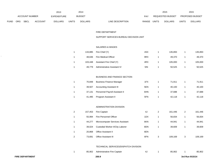|             |     |                       |         | 2013               |              | 2014           |                                  | 2015                           |       | 2015                   |
|-------------|-----|-----------------------|---------|--------------------|--------------|----------------|----------------------------------|--------------------------------|-------|------------------------|
|             |     | <b>ACCOUNT NUMBER</b> |         | <b>EXPENDITURE</b> |              | <b>BUDGET</b>  | PAY                              | REQUESTED BUDGET               |       | <b>PROPOSED BUDGET</b> |
| <b>FUND</b> | ORG | <b>SBCL</b>           | ACCOUNT | <b>DOLLARS</b>     | <b>UNITS</b> | <b>DOLLARS</b> | LINE DESCRIPTION<br><b>RANGE</b> | <b>UNITS</b><br><b>DOLLARS</b> | UNITS | <b>DOLLARS</b>         |

#### FIRE DEPARTMENT

#### SUPPORT SERVICES BUREAU DECISION UNIT

#### SALARIES & WAGES

|  |        | 133,885    Fire Chief (Y)        | 4SX | 135.893 | 135,893 |
|--|--------|----------------------------------|-----|---------|---------|
|  |        | 48,636 Fire Medical Officer      | 9RX | 49,370  | 49,370  |
|  |        | 103,448 Assistant Fire Chief (Y) | 4RX | 105.000 | 105,000 |
|  | 49,779 | Administrative Assistant IV      | 5I  | 50,525  | 50,525  |

# BUSINESS AND FINANCE SECTION

| 70.848 | <b>Business Finance Manager</b> | 1FX | 71.911 | 71,911 |
|--------|---------------------------------|-----|--------|--------|
| 39.507 | <b>Accounting Assistant III</b> | 5EN | 40.100 | 40,100 |
| 37.131 | Personnel Payroll Assistant II  | 6HN | 37.688 | 37,688 |
| 41,495 | Program Assistant II            | 5FN | 42.118 | 42,118 |

#### ADMINISTRATION DIVISION

| 2 | 157,453 | Fire Captain                     | 4J  | 2 | 161.446 | 2 | 161,446 |
|---|---------|----------------------------------|-----|---|---------|---|---------|
|   | 55.994  | Fire Personnel Officer           | 1DX |   | 56,834  |   | 56,834  |
|   | 44.277  | Microcomputer Services Assistant | 6KN |   | 44.941  |   | 44,941  |
|   | 39.024  | Custodial Worker II/City Laborer | 8DN |   | 39.609  |   | 39,609  |
|   | 20.868  | <b>Office Assistant II</b>       | 6EN |   |         |   |         |
| 2 | 73.691  | <b>Office Assistant III</b>      | 6FN | 3 | 109.169 | 3 | 109.169 |

## TECHNICAL SERVICES/DISPATCH DIVISION

|  | 85,902 Administrative Fire Captain | 4. | 85.902 | 85,902 |
|--|------------------------------------|----|--------|--------|
|  |                                    |    |        |        |

 $\ddot{\phantom{a}}$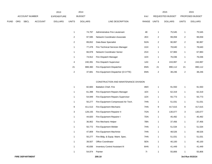|             |                |             |                | 2013           |       | 2014           |                  |       |              | 2015                    |              | 2015                   |
|-------------|----------------|-------------|----------------|----------------|-------|----------------|------------------|-------|--------------|-------------------------|--------------|------------------------|
|             | ACCOUNT NUMBER |             |                | EXPENDITURE    |       | <b>BUDGET</b>  |                  | PAY   |              | <b>REQUESTED BUDGET</b> |              | <b>PROPOSED BUDGET</b> |
| <b>FUND</b> | ORG            | <b>SBCL</b> | <b>ACCOUNT</b> | <b>DOLLARS</b> | UNITS | <b>DOLLARS</b> | LINE DESCRIPTION | RANGE | <b>UNITS</b> | <b>DOLLARS</b>          | <b>UNITS</b> | <b>DOLLARS</b>         |

|    | 74.797  | Administrative Fire Lieutenant         | 4E  |    | 75.545  |    | 75,545  |
|----|---------|----------------------------------------|-----|----|---------|----|---------|
| 2  | 97.595  | Network Coordinator-Associate          | 2EX | 2  | 99,059  | 2  | 99,059  |
| 2  | 89.652  | Data Base Specialist                   | 5GN | 2  | 90.997  | 2  | 90,997  |
|    | 77.478  | <b>Fire Technical Services Manager</b> | 1GX |    | 78.640  |    | 78,640  |
| 1  | 66.978  | <b>Network Coordinator Senior</b>      | 2GX |    | 67,983  | 4  | 67,983  |
| 1  | 74.912  | Fire Dispatch Manager                  | 1DX |    | 76.036  | 1  | 76,036  |
| 4  | 240.391 | Fire Dispatch Supervisor               | 1AX | 4  | 243.997 | 4  | 243,997 |
| 21 | 888.360 | Fire Equipment Dispatcher              | 6NN | 21 | 890.112 | 21 | 890,112 |
| 2  | 37.681  | Fire Equipment Dispatcher (0.5 FTE)    | 6NN | 2  | 38,246  | 2  | 38,246  |

## CONSTRUCTION AND MAINTENANCE DIVISION

| 1 | 82,683  | <b>Battalion Chief, Fire</b>           | 4MX |   | 91,550  |   | 91,550  |
|---|---------|----------------------------------------|-----|---|---------|---|---------|
| 1 | 61,398  | Fire Equipment Repairs Manager         | 1EX | 1 | 62,319  | 1 | 62,319  |
| 1 | 54,949  | Fire Equipment Repairs Supervisor      | 1DX | 1 | 55,773  | 1 | 55,773  |
| 1 | 50,277  | Fire Equipment Compressed Air Tech.    | 7HN | 1 | 51,031  | 1 | 51,031  |
| 9 | 411,513 | Fire Equipment Mechanic                | 7HN | 9 | 417,615 | 9 | 417,615 |
| 3 | 128,155 | Fire Equipment Repairer II             | 7GN | 3 | 130,077 | 3 | 130,077 |
| 1 | 44,820  | Fire Equipment Repairer I              | 7DN | 1 | 45,492  | 1 | 45,492  |
| 1 | 36,902  | Fire Mechanic Helper                   | 7BN | 1 | 37,456  | 1 | 37,456  |
| 1 | 50,772  | Fire Equipment Welder                  | 7HN | 1 | 51,534  | 1 | 51,534  |
| 1 | 47,809  | Fire Equipment Machinist               | 7HN | 1 | 48,526  | 1 | 48,526  |
| 1 | 50,277  | Fire Bldg. & Equip. Maint. Spec.       | 7HN | 1 | 51,031  | 1 | 51,031  |
| 1 | 39,507  | <b>Office Coordinator</b>              | 5EN | 1 | 40,100  | 1 | 40,100  |
| 1 | 40,836  | <b>Inventory Control Assistant III</b> | 6HN | 1 | 41,449  |   | 41,449  |
|   | 54,974  | Painter                                | 71  |   | 55,806  |   | 55,806  |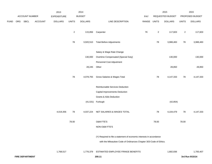|             |     |                        |         | 2013               |                | 2014           |                                                                      |               |                | 2015             |                | 2015            |
|-------------|-----|------------------------|---------|--------------------|----------------|----------------|----------------------------------------------------------------------|---------------|----------------|------------------|----------------|-----------------|
|             |     | <b>ACCOUNT NUMBER</b>  |         | <b>EXPENDITURE</b> |                | <b>BUDGET</b>  |                                                                      | PAY           |                | REQUESTED BUDGET |                | PROPOSED BUDGET |
| <b>FUND</b> | ORG | SBCL                   | ACCOUNT | <b>DOLLARS</b>     | <b>UNITS</b>   | <b>DOLLARS</b> | LINE DESCRIPTION                                                     | RANGE UNITS   |                | <b>DOLLARS</b>   | <b>UNITS</b>   | <b>DOLLARS</b>  |
|             |     |                        |         |                    | $\overline{c}$ | 115,856        | Carpenter                                                            | $7\mathsf{K}$ | $\overline{2}$ | 117,603          | $\overline{2}$ | 117,603         |
|             |     |                        |         |                    | 78             | 3,920,510      | <b>Total Before Adjustments</b>                                      |               | 78             | 3,988,483        | 78             | 3,988,483       |
|             |     |                        |         |                    |                |                | Salary & Wage Rate Change                                            |               |                |                  |                |                 |
|             |     |                        |         |                    |                | 130,000        | Overtime Compensated (Special Duty)                                  |               |                | 130,000          |                | 130,000         |
|             |     |                        |         |                    |                |                | Personnel Cost Adjustment                                            |               |                |                  |                |                 |
|             |     |                        |         |                    |                | 28,245         | Other                                                                |               |                | 28,850           |                | 28,850          |
|             |     |                        |         |                    | 78             | 4,078,755      | Gross Salaries & Wages Total                                         |               | 78             | 4,147,333        | 78             | 4,147,333       |
|             |     |                        |         |                    |                |                | Reimbursable Services Deduction                                      |               |                |                  |                |                 |
|             |     |                        |         |                    |                |                | Capital Improvements Deduction                                       |               |                |                  |                |                 |
|             |     |                        |         |                    |                |                | <b>Grants &amp; Aids Deduction</b>                                   |               |                |                  |                |                 |
|             |     |                        |         |                    |                |                | (41,531) Furlough                                                    |               |                | (42, 854)        |                |                 |
|             |     |                        |         | 4,019,356          | 78             | 4,037,224      | NET SALARIES & WAGES TOTAL                                           |               | 78             | 4,104,479        | 78             | 4,147,333       |
|             |     |                        |         |                    | 78.00          |                | O&M FTE'S                                                            |               | 78.00          |                  | 78.00          |                 |
|             |     |                        |         |                    |                |                | NON-O&M FTE'S                                                        |               |                |                  |                |                 |
|             |     |                        |         |                    |                |                | (Y) Required to file a statement of economic interests in accordance |               |                |                  |                |                 |
|             |     |                        |         |                    |                |                | with the Milwaukee Code of Ordinances Chapter 303-Code of Ethics.    |               |                |                  |                |                 |
|             |     |                        |         | 1,768,517          |                | 1,776,379      | ESTIMATED EMPLOYEE FRINGE BENEFITS                                   |               |                | 1,682,836        |                | 1,700,407       |
|             |     | <b>FIRE DEPARTMENT</b> |         |                    |                |                |                                                                      |               |                |                  |                | 3rd Run 9/15/14 |
|             |     |                        |         |                    |                |                | 200.11                                                               |               |                |                  |                |                 |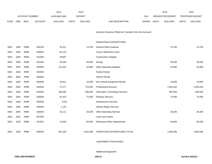|             |            |                       |                | 2013               |              | 2014           |                                                          |            | 2015         |                  | 2015         |                 |
|-------------|------------|-----------------------|----------------|--------------------|--------------|----------------|----------------------------------------------------------|------------|--------------|------------------|--------------|-----------------|
|             |            | <b>ACCOUNT NUMBER</b> |                | <b>EXPENDITURE</b> |              | <b>BUDGET</b>  |                                                          | <b>PAY</b> |              | REQUESTED BUDGET |              | PROPOSED BUDGET |
| <b>FUND</b> | <b>ORG</b> | <b>SBCL</b>           | <b>ACCOUNT</b> | <b>DOLLARS</b>     | <b>UNITS</b> | <b>DOLLARS</b> | LINE DESCRIPTION                                         | RANGE      | <b>UNITS</b> | <b>DOLLARS</b>   | <b>UNITS</b> | <b>DOLLARS</b>  |
|             |            |                       |                |                    |              |                |                                                          |            |              |                  |              |                 |
|             |            |                       |                |                    |              |                | (Involves Revenue Offset-No Transfers from this Account) |            |              |                  |              |                 |
|             |            |                       |                |                    |              |                |                                                          |            |              |                  |              |                 |
|             |            |                       |                |                    |              |                | <b>OPERATING EXPENDITURES</b>                            |            |              |                  |              |                 |
| 0001        | 3282       | R999                  | 630100         | 52,311             |              | 13,700         | <b>General Office Expense</b>                            |            |              | 13,700           |              | 13,700          |
| 0001        | 3282       | R999                  | 630500         | 62,118             |              |                | Tools & Machinery Parts                                  |            |              |                  |              |                 |
| 0001        | 3282       | R999                  | 631000         | 28,897             |              |                | <b>Construction Supplies</b>                             |            |              |                  |              |                 |
| 0001        | 3282       | R999                  | 631500         | 35,548             |              | 46,000         | Energy                                                   |            |              | 46,000           |              | 46,000          |
| 0001        | 3282       | R999                  | 632000         | 121,407            |              | 20,960         | <b>Other Operating Supplies</b>                          |            |              | 20,960           |              | 20,960          |
| 0001        | 3282       | R999                  | 632500         |                    |              |                | <b>Facility Rental</b>                                   |            |              |                  |              |                 |
| 0001        | 3282       | R999                  | 633000         |                    |              |                | Vehicle Rental                                           |            |              |                  |              |                 |
| 0001        | 3282       | R999                  | 633500         | 16,811             |              | 18,000         | Non-Vehicle Equipment Rental                             |            |              | 18,000           |              | 18,000          |
| 0001        | 3282       | R999                  | 634000         | 27,277             |              | 710,035        | <b>Professional Services</b>                             |            |              | 1,003,335        |              | 1,003,335       |
| 0001        | 3282       | R999                  | 634500         | 198,496            |              | 630,000        | Information Technology Services                          |            |              | 600,500          |              | 600,500         |
| 0001        | 3282       | R999                  | 635000         | 62,410             |              | 75,000         | <b>Property Services</b>                                 |            |              | 75,000           |              | 75,000          |
| 0001        | 3282       | R999                  | 635500         | (119)              |              |                | <b>Infrastructure Services</b>                           |            |              |                  |              |                 |
| 0001        | 3282       | R999                  | 636000         | 1,125              |              |                | Vehicle Repair Services                                  |            |              |                  |              |                 |
| 0001        | 3282       | R999                  | 636500         | 32,111             |              | 28,200         | <b>Other Operating Services</b>                          |            |              | 28,200           |              | 28,200          |
| 0001        | 3282       | R999                  | 637000         |                    |              |                | Loans and Grants                                         |            |              |                  |              |                 |
| 0001        | 3282       | R999                  | 637501         | 13,928             |              | 60,000         | Reimburse Other Departments                              |            |              | 60,000           |              | 60,000          |
|             |            |                       |                |                    |              |                |                                                          |            |              |                  |              |                 |
| 0001        | 3282       | R999                  | 006300         | 652,320            |              | 1,601,895      | OPERATING EXPENDITURES TOTAL                             |            |              | 1,865,695        |              | 1,865,695       |
|             |            |                       |                |                    |              |                |                                                          |            |              |                  |              |                 |

EQUIPMENT PURCHASES

Additional Equipment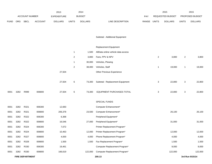|             |      |                        | 2013           | 2014               |                |                |                                    | 2015  |                | 2015             |                |                 |
|-------------|------|------------------------|----------------|--------------------|----------------|----------------|------------------------------------|-------|----------------|------------------|----------------|-----------------|
|             |      | <b>ACCOUNT NUMBER</b>  |                | <b>EXPENDITURE</b> |                | <b>BUDGET</b>  |                                    | PAY   |                | REQUESTED BUDGET |                | PROPOSED BUDGET |
| <b>FUND</b> | ORG  | <b>SBCL</b>            | <b>ACCOUNT</b> | <b>DOLLARS</b>     | <b>UNITS</b>   | <b>DOLLARS</b> | LINE DESCRIPTION                   | RANGE | <b>UNITS</b>   | <b>DOLLARS</b>   | <b>UNITS</b>   | <b>DOLLARS</b>  |
|             |      |                        |                |                    |                |                |                                    |       |                |                  |                |                 |
|             |      |                        |                |                    |                |                | Subtotal - Additional Equipment    |       |                |                  |                |                 |
|             |      |                        |                |                    |                |                | Replacement Equipment              |       |                |                  |                |                 |
|             |      |                        |                |                    | $\mathbf{1}$   | 1,500          | AllData online vehicle data access |       |                |                  |                |                 |
|             |      |                        |                |                    | 2              | 3,800          | Fans, PPV & NPV                    |       | $\overline{2}$ | 3,800            | $\overline{2}$ | 3,800           |
|             |      |                        |                |                    | $\mathbf{1}$   | 30,000         | Vehicles, Plowing                  |       |                |                  |                |                 |
|             |      |                        |                |                    | $\overline{2}$ | 38,000         | Vehicles, Staff                    |       | $\mathbf{1}$   | 19,000           | $\mathbf{1}$   | 19,000          |
|             |      |                        |                | 27,504             |                |                | Other Previous Experience          |       |                |                  |                |                 |
|             |      |                        |                |                    |                |                |                                    |       |                |                  |                |                 |
|             |      |                        |                | 27,504             | 6              | 73,300         | Subtotal - Replacement Equipment   |       | 3              | 22,800           | 3              | 22,800          |
|             |      |                        |                |                    |                |                |                                    |       |                |                  |                |                 |
| 0001        | 3282 | R999                   | 006800         | 27,504             | 6              | 73,300         | EQUIPMENT PURCHASES TOTAL          |       | 3              | 22,800           | 3              | 22,800          |
|             |      |                        |                |                    |                |                | SPECIAL FUNDS                      |       |                |                  |                |                 |
| 0001        | 3282 | R321                   | 006300         | 12,683             |                |                | Computer Enhancement*              |       |                |                  |                |                 |
| 0001        | 3282 | R321                   | 006800         | 206,378            |                | 23,500         | Computer Enhancement*              |       |                | 26,100           |                | 26,100          |
| 0001        | 3282 | R322                   | 006300         | 6,368              |                |                | Peripheral Equipment*              |       |                |                  |                |                 |
| 0001        | 3282 | R322                   | 006800         | 16,546             |                | 27,000         | Peripheral Equipment*              |       |                | 31,000           |                | 31,000          |
| 0001        | 3282 | R324                   | 006300         | 7,072              |                |                | Printer Replacement Program*       |       |                |                  |                |                 |
| 0001        | 3282 | R324                   | 006800         | 10,463             |                | 12,000         | Printer Replacement Program*       |       |                | 12,000           |                | 12,000          |
| 0001        | 3282 | R327                   | 006800         | 4,000              |                | 4,000          | Phone Replacement Program*         |       |                | 4,000            |                | 4,000           |
| 0001        | 3282 | R328                   | 006800         | 1,500              |                | 1,500          | Fax Replacement Program*           |       |                | 1,500            |                | 1,500           |
| 0001        | 3282 | R330                   | 006300         | 19,461             |                |                | Computer Replacement Program*      |       |                | 9,000            |                | 9,000           |
| 0001        | 3282 | R330                   | 006800         | 166,619            |                | 122,000        | Computer Replacement Program*      |       |                | 122,000          |                | 122,000         |
|             |      | <b>FIRE DEPARTMENT</b> |                |                    |                |                | 200.13                             |       |                |                  |                | 3rd Run 9/15/14 |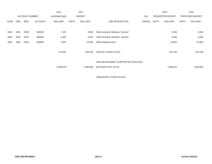|             |            |                       |                | 2013               |              | 2014           |                                     |       |              | 2015                    |              | 2015            |
|-------------|------------|-----------------------|----------------|--------------------|--------------|----------------|-------------------------------------|-------|--------------|-------------------------|--------------|-----------------|
|             |            | <b>ACCOUNT NUMBER</b> |                | <b>EXPENDITURE</b> |              | <b>BUDGET</b>  |                                     | PAY   |              | <b>REQUESTED BUDGET</b> |              | PROPOSED BUDGET |
| <b>FUND</b> | <b>ORG</b> | <b>SBCL</b>           | <b>ACCOUNT</b> | <b>DOLLARS</b>     | <b>UNITS</b> | <b>DOLLARS</b> | LINE DESCRIPTION                    | RANGE | <b>UNITS</b> | <b>DOLLARS</b>          | <b>UNITS</b> | <b>DOLLARS</b>  |
|             |            |                       |                |                    |              |                |                                     |       |              |                         |              |                 |
| 0001        | 3282       | R350                  | 006300         | 7,197              |              | 3,600          | C&M mechanic Software, Genisis*     |       |              | 3,600                   |              | 3,600           |
| 0001        | 3282       | R351                  | 006300         | 8,997              |              | 4,500          | C&M mechanic Software, Vehicle*     |       |              | 4,500                   |              | 4,500           |
| 0001        | 3282       | R352                  | 006800         | 4,997              |              | 10,000         | Radio Replacement*                  |       |              | 10,000                  |              | 10,000          |
|             |            |                       |                |                    |              |                |                                     |       |              |                         |              |                 |
|             |            |                       |                | 472,281            |              | 208,100        | SPECIAL FUNDS TOTAL                 |       |              | 223,700                 |              | 223,700         |
|             |            |                       |                |                    |              |                |                                     |       |              |                         |              |                 |
|             |            |                       |                |                    |              |                | FIRE DEPARTMENT-SUPPORTING SERVICES |       |              |                         |              |                 |
|             |            |                       |                | 6,939,978          |              | 7,696,898      | DECISION UNIT TOTAL                 |       |              | 7,899,510               |              | 7,959,935       |
|             |            |                       |                |                    |              |                |                                     |       |              |                         |              |                 |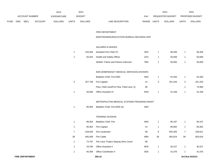|             |     |                        |                | 2013               |              | 2014           |                                               |             |              | 2015             |              | 2015            |
|-------------|-----|------------------------|----------------|--------------------|--------------|----------------|-----------------------------------------------|-------------|--------------|------------------|--------------|-----------------|
|             |     | ACCOUNT NUMBER         |                | <b>EXPENDITURE</b> |              | <b>BUDGET</b>  |                                               | PAY         |              | REQUESTED BUDGET |              | PROPOSED BUDGET |
| <b>FUND</b> | ORG | <b>SBCL</b>            | <b>ACCOUNT</b> | <b>DOLLARS</b>     | <b>UNITS</b> | <b>DOLLARS</b> | LINE DESCRIPTION                              | RANGE UNITS |              | <b>DOLLARS</b>   | <b>UNITS</b> | <b>DOLLARS</b>  |
|             |     |                        |                |                    |              |                |                                               |             |              |                  |              |                 |
|             |     |                        |                |                    |              |                | FIRE DEPARTMENT                               |             |              |                  |              |                 |
|             |     |                        |                |                    |              |                | EMS/TRAINING/EDUCATION BUREAU DECISION UNIT   |             |              |                  |              |                 |
|             |     |                        |                |                    |              |                | SALARIES & WAGES                              |             |              |                  |              |                 |
|             |     |                        |                |                    | $\mathbf{1}$ | 103,364        | Assistant Fire Chief (Y)                      | 4RX         | $\mathbf{1}$ | 96,456           | $\mathbf{1}$ | 96,456          |
|             |     |                        |                |                    | $\mathbf{1}$ | 55,024         | Health and Safety Officer                     | 2GX         | $\mathbf{1}$ | 55,849           | $\mathbf{1}$ | 55,849          |
|             |     |                        |                |                    |              |                | Athletic Trainer and Fitness Instructor       | TBD         | $\mathbf{1}$ | 50,000           | $\mathbf{1}$ | 50,000          |
|             |     |                        |                |                    |              |                |                                               |             |              |                  |              |                 |
|             |     |                        |                |                    |              |                | EMS (EMERGENCY MEDICAL SERVICES) DIVISION     |             |              |                  |              |                 |
|             |     |                        |                |                    |              |                | Battalion Chief, Fire-EMS                     | 4MX         | $\mathbf{1}$ | 91,550           | $\mathbf{1}$ | 91,550          |
|             |     |                        |                |                    | $\mathbf{3}$ | 257,706        | Fire Captain                                  | 4J          | 3            | 251,343          | 3            | 251,343         |
|             |     |                        |                |                    |              |                | Para. Field Lieut/Fire Para. Field Lieut. (I) | 4E          |              |                  | $\mathbf{1}$ | 74,984          |
|             |     |                        |                |                    | $\mathbf{1}$ | 40,836         | Office Assistant IV                           | 6HN         | -1           | 41,449           | $\mathbf{1}$ | 41,449          |
|             |     |                        |                |                    |              |                |                                               |             |              |                  |              |                 |
|             |     |                        |                |                    |              |                | METROPOLITAN MEDICAL SYSTEMS PROGRAM GRANT    |             |              |                  |              |                 |
|             |     |                        |                |                    | $\mathbf{1}$ | 85,963         | Battalion Chief, Fire-EMS (A)                 | 4MX         |              |                  |              |                 |
|             |     |                        |                |                    |              |                | <b>TRAINING DIVISION</b>                      |             |              |                  |              |                 |
|             |     |                        |                |                    | 1            | 89,304         | Battalion Chief, Fire                         | 4MX         | $\mathbf{1}$ | 90,197           | $\mathbf{1}$ | 90,197          |
|             |     |                        |                |                    | $\mathbf{1}$ | 85,902         | Fire Captain                                  | 4J          | $\mathbf{1}$ | 85,902           | $\mathbf{1}$ | 85,902          |
|             |     |                        |                |                    | 7            | 518,025        | Fire Lieutenant                               | 4E          | 8            | 604,355          | 7            | 528,811         |
|             |     |                        |                |                    | 39           | 845,009        | Fire Cadet                                    | 6BN         | 39           | 903,624          | 39           | 903,624         |
|             |     |                        |                |                    | $\mathbf{1}$ | 74,797         | Fire Lieut. Project Staying Alive Coord       | 4E          |              |                  |              |                 |
|             |     |                        |                |                    | $\mathbf{1}$ | 29,780         | Office Assistant II                           | 6EN         | $\mathbf{1}$ | 30,227           | $\mathbf{1}$ | 30,227          |
|             |     |                        |                |                    | $\mathbf{1}$ | 40,469         | Office Coordinator II                         | 5EN         | $\mathbf{1}$ | 41,076           | $\mathbf{1}$ | 41,076          |
|             |     | <b>FIRE DEPARTMENT</b> |                |                    |              |                | 200.15                                        |             |              |                  |              | 3rd Run 9/15/14 |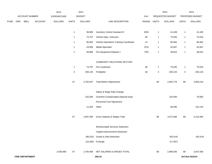|             |     |                        | 2014<br>2013   |                |                           |                |                                         | 2015  |              | 2015             |              |                 |
|-------------|-----|------------------------|----------------|----------------|---------------------------|----------------|-----------------------------------------|-------|--------------|------------------|--------------|-----------------|
|             |     | ACCOUNT NUMBER         |                | EXPENDITURE    |                           | <b>BUDGET</b>  |                                         | PAY   |              | REQUESTED BUDGET |              | PROPOSED BUDGET |
| <b>FUND</b> | ORG | SBCL                   | <b>ACCOUNT</b> | <b>DOLLARS</b> | <b>UNITS</b>              | <b>DOLLARS</b> | LINE DESCRIPTION                        | RANGE | <b>UNITS</b> | <b>DOLLARS</b>   | <b>UNITS</b> | <b>DOLLARS</b>  |
|             |     |                        |                |                |                           |                |                                         |       |              |                  |              |                 |
|             |     |                        |                |                | $\mathbf{1}$              | 38,869         | <b>Inventory Control Assistant III</b>  | 6HN   | $\mathbf{1}$ | 41,449           | $\mathbf{1}$ | 41,449          |
|             |     |                        |                |                | $\mathbf{1}$              | 74,797         | Vehicle Oper. Instructor                | 4E    | 1            | 75,545           | $\mathbf{1}$ | 75,545          |
|             |     |                        |                |                | $\mathbf{1}$              | 85,902         | Vehicle Operations Training Coordinator | 4J    | $\mathbf{1}$ | 85,902           | $\mathbf{1}$ | 85,902          |
|             |     |                        |                |                | $\mathbf{1}$              | 43,909         | Media Specialist                        | 2CN   | 1            | 44,567           | $\mathbf{1}$ | 44,567          |
|             |     |                        |                |                | $\mathbf{1}$              | 38,869         | Fire Equipment Repairer I               | 7DN   | $\mathbf{1}$ | 38,615           | $\mathbf{1}$ | 38,615          |
|             |     |                        |                |                |                           |                |                                         |       |              |                  |              |                 |
|             |     |                        |                |                |                           |                | COMMUNITY RELATIONS SECTION             |       |              |                  |              |                 |
|             |     |                        |                |                | $\mathbf{1}$              | 74,797         | Fire Lieutenant                         | 4E    | $\mathbf{1}$ | 75,545           | $\mathbf{1}$ | 75,545          |
|             |     |                        |                |                | $\ensuremath{\mathsf{3}}$ | 200,125        | Firefighter                             | 4A    | 3            | 200,125          | 3            | 200,125         |
|             |     |                        |                |                |                           |                |                                         |       |              |                  |              |                 |
|             |     |                        |                |                | 67                        | 2,783,447      | <b>Total Before Adjustments</b>         |       | 68           | 2,903,776        | 68           | 2,903,216       |
|             |     |                        |                |                |                           |                |                                         |       |              |                  |              |                 |
|             |     |                        |                |                |                           |                | Salary & Wage Rate Change               |       |              |                  |              |                 |
|             |     |                        |                |                |                           | 102,000        | Overtime Compensated (Special Duty)     |       |              | 102,000          |              | 78,000          |
|             |     |                        |                |                |                           |                | Personnel Cost Adjustment               |       |              |                  |              |                 |
|             |     |                        |                |                |                           | 11,819         | Other                                   |       |              | 66,590           |              | 142,134         |
|             |     |                        |                |                |                           |                |                                         |       |              |                  |              |                 |
|             |     |                        |                |                | 67                        | 2,897,266      | Gross Salaries & Wages Total            |       | 68           | 3,072,366        | 68           | 3,123,350       |
|             |     |                        |                |                |                           |                |                                         |       |              |                  |              |                 |
|             |     |                        |                |                |                           |                | Reimbursable Services Deduction         |       |              |                  |              |                 |
|             |     |                        |                |                |                           |                | Capital Improvements Deduction          |       |              |                  |              |                 |
|             |     |                        |                |                |                           |                | (96,515) Grants & Aids Deduction        |       |              | (65, 414)        |              | (65, 414)       |
|             |     |                        |                |                |                           |                | (16,285) Furlough                       |       |              | (17, 597)        |              |                 |
|             |     |                        |                |                |                           |                |                                         |       |              |                  |              |                 |
|             |     |                        |                | 2,500,668      | 67                        | 2,784,466      | NET SALARIES & WAGES TOTAL              |       | 68           | 2,989,355        | 68           | 3,057,936       |
|             |     | <b>FIRE DEPARTMENT</b> |                |                |                           |                | 200.16                                  |       |              |                  |              | 3rd Run 9/15/14 |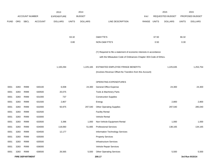|             |      |                        |                | 2013               |              | 2014           |                                                                      |       |              | 2015             |              | 2015            |
|-------------|------|------------------------|----------------|--------------------|--------------|----------------|----------------------------------------------------------------------|-------|--------------|------------------|--------------|-----------------|
|             |      | <b>ACCOUNT NUMBER</b>  |                | <b>EXPENDITURE</b> |              | <b>BUDGET</b>  |                                                                      | PAY   |              | REQUESTED BUDGET |              | PROPOSED BUDGET |
| <b>FUND</b> | ORG  | SBCL                   | <b>ACCOUNT</b> | <b>DOLLARS</b>     | <b>UNITS</b> | <b>DOLLARS</b> | LINE DESCRIPTION                                                     | RANGE | <b>UNITS</b> | <b>DOLLARS</b>   | <b>UNITS</b> | <b>DOLLARS</b>  |
|             |      |                        |                |                    |              |                |                                                                      |       |              |                  |              |                 |
|             |      |                        |                |                    |              |                |                                                                      |       |              |                  |              |                 |
|             |      |                        |                |                    | 63.32        |                | O&M FTE'S                                                            |       | 67.50        |                  | 66.32        |                 |
|             |      |                        |                |                    | 0.80         |                | NON-O&M FTE'S                                                        |       | 0.50         |                  | 0.30         |                 |
|             |      |                        |                |                    |              |                |                                                                      |       |              |                  |              |                 |
|             |      |                        |                |                    |              |                | (Y) Required to file a statement of economic interests in accordance |       |              |                  |              |                 |
|             |      |                        |                |                    |              |                | with the Milwaukee Code of Ordinances Chapter 303-Code of Ethics.    |       |              |                  |              |                 |
|             |      |                        |                | 1,100,294          |              | 1,225,165      | ESTIMATED EMPLOYEE FRINGE BENEFITS                                   |       |              | 1,225,635        |              | 1,253,754       |
|             |      |                        |                |                    |              |                | (Involves Revenue Offset-No Transfers from this Account)             |       |              |                  |              |                 |
|             |      |                        |                |                    |              |                |                                                                      |       |              |                  |              |                 |
|             |      |                        |                |                    |              |                | OPERATING EXPENDITURES                                               |       |              |                  |              |                 |
| 0001        | 3283 | R999                   | 630100         | 6,008              |              | 24,300         | <b>General Office Expense</b>                                        |       |              | 24,300           |              | 24,300          |
| 0001        | 3283 | R999                   | 630500         | 20,075             |              |                | Tools & Machinery Parts                                              |       |              |                  |              |                 |
| 0001        | 3283 | R999                   | 631000         | 737                |              |                | <b>Construction Supplies</b>                                         |       |              |                  |              |                 |
| 0001        | 3283 | R999                   | 631500         | 2,807              |              |                | Energy                                                               |       |              | 2,800            |              | 2,800           |
| 0001        | 3283 | R999                   | 632000         | 50,975             |              | 297,540        | <b>Other Operating Supplies</b>                                      |       |              | 297,540          |              | 285,040         |
| 0001        | 3283 | R999                   | 632500         |                    |              |                | <b>Facility Rental</b>                                               |       |              |                  |              |                 |
| 0001        | 3283 | R999                   | 633000         |                    |              |                | Vehicle Rental                                                       |       |              |                  |              |                 |
| 0001        | 3283 | R999                   | 633500         | 3,396              |              | 1,000          | Non-Vehicle Equipment Rental                                         |       |              | 1,000            |              | 1,000           |
| 0001        | 3283 | R999                   | 634000         | 118,060            |              | 51,665         | <b>Professional Services</b>                                         |       |              | 138,165          |              | 134,165         |
| 0001        | 3283 | R999                   | 634500         | 12,177             |              |                | Information Technology Services                                      |       |              |                  |              |                 |
| 0001        | 3283 | R999                   | 635000         |                    |              |                | <b>Property Services</b>                                             |       |              |                  |              |                 |
| 0001        | 3283 | R999                   | 635500         |                    |              |                | <b>Infrastructure Services</b>                                       |       |              |                  |              |                 |
| 0001        | 3283 | R999                   | 636000         |                    |              |                | Vehicle Repair Services                                              |       |              |                  |              |                 |
| 0001        | 3283 | R999                   | 636500         | 26,565             |              | 5,500          | <b>Other Operating Services</b>                                      |       |              | 5,500            |              | 5,500           |
|             |      | <b>FIRE DEPARTMENT</b> |                |                    |              |                | 200.17                                                               |       |              |                  |              | 3rd Run 9/15/14 |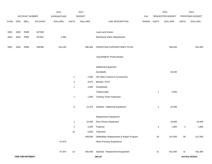|             |      |                        |                | 2013               |                | 2014           |                                            |       |              | 2015             |              | 2015            |  |
|-------------|------|------------------------|----------------|--------------------|----------------|----------------|--------------------------------------------|-------|--------------|------------------|--------------|-----------------|--|
|             |      | ACCOUNT NUMBER         |                | <b>EXPENDITURE</b> |                | <b>BUDGET</b>  |                                            | PAY   |              | REQUESTED BUDGET |              | PROPOSED BUDGET |  |
| <b>FUND</b> | ORG  | SBCL                   | <b>ACCOUNT</b> | <b>DOLLARS</b>     | <b>UNITS</b>   | <b>DOLLARS</b> | LINE DESCRIPTION                           | RANGE | <b>UNITS</b> | <b>DOLLARS</b>   | <b>UNITS</b> | <b>DOLLARS</b>  |  |
|             |      |                        |                |                    |                |                |                                            |       |              |                  |              |                 |  |
| 0001        | 3283 | R999                   | 637000         |                    |                |                | Loans and Grants                           |       |              |                  |              |                 |  |
| 0001        | 3283 | R999                   | 637501         | 2,360              |                |                | <b>Reimburse Other Departments</b>         |       |              |                  |              |                 |  |
| 0001        | 3283 | R999                   | 006300         | 243,160            |                | 380,005        | OPERATING EXPENDITURES TOTAL               |       |              | 469,305          |              | 452,805         |  |
|             |      |                        |                |                    |                |                | <b>EQUIPMENT PURCHASES</b>                 |       |              |                  |              |                 |  |
|             |      |                        |                |                    |                |                | <b>Additional Equipment</b>                |       |              |                  |              |                 |  |
|             |      |                        |                |                    |                |                | Dumbbells                                  |       |              | 30,400           |              |                 |  |
|             |      |                        |                |                    | $\mathbf{1}$   | 2,500          | HD Video Camera & Accessories              |       |              |                  |              |                 |  |
|             |      |                        |                |                    | 3              | 4,875          | Manikin, STAT                              |       |              |                  |              |                 |  |
|             |      |                        |                |                    | $\mathbf{1}$   | 4,000          | Smartboard                                 |       |              |                  |              |                 |  |
|             |      |                        |                |                    |                |                | Teleprompter                               |       | 1            | 2,000            |              |                 |  |
|             |      |                        |                |                    | $\mathbf{1}$   | 1,000          | <b>Training Tower Inspection</b>           |       |              |                  |              |                 |  |
|             |      |                        |                |                    | 6              |                | 12,375 Subtotal - Additional Equipment     |       | 1            | 32,400           |              |                 |  |
|             |      |                        |                |                    |                |                | Replacement Equipment                      |       |              |                  |              |                 |  |
|             |      |                        |                |                    | $\mathbf{1}$   | 15,000         | Peer Fitness Equipment                     |       |              | 18,000           |              | 18,000          |  |
|             |      |                        |                |                    | $\overline{c}$ | 5,000          | Projector                                  |       | 3            | 1,900            | 3            | 1,900           |  |
|             |      |                        |                |                    | 10             | 5,000          | Television                                 |       |              |                  |              |                 |  |
|             |      |                        |                |                    |                | 458,000        | Defibrillator Replacement & Repair Program |       | 28           | 412,000          | 28           | 412,000         |  |
|             |      |                        |                | 67,970             |                |                | Other Previous Experience                  |       |              |                  |              |                 |  |
|             |      |                        |                | 67,970             | 13             | 483,000        | Subtotal - Replacement Equipment           |       | 31           | 431,900          | 31           | 431,900         |  |
|             |      | <b>FIRE DEPARTMENT</b> |                |                    |                |                | 200.18                                     |       |              |                  |              | 3rd Run 9/15/14 |  |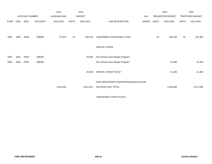|             |      |                       |         | 2013               |              | 2014           |                                                               |       |              | 2015             |              | 2015            |
|-------------|------|-----------------------|---------|--------------------|--------------|----------------|---------------------------------------------------------------|-------|--------------|------------------|--------------|-----------------|
|             |      | <b>ACCOUNT NUMBER</b> |         | <b>EXPENDITURE</b> |              | <b>BUDGET</b>  |                                                               | PAY   |              | REQUESTED BUDGET |              | PROPOSED BUDGET |
| <b>FUND</b> | ORG  | SBCL                  | ACCOUNT | <b>DOLLARS</b>     | <b>UNITS</b> | <b>DOLLARS</b> | LINE DESCRIPTION                                              | RANGE | <b>UNITS</b> | <b>DOLLARS</b>   | <b>UNITS</b> | <b>DOLLARS</b>  |
| 0001        | 3283 | R999                  | 006800  | 67,970             | 19           | 495,375        | <b>EQUIPMENT PURCHASES TOTAL</b>                              |       | 32           | 464,300          | 31           | 431,900         |
|             |      |                       |         |                    |              |                | SPECIAL FUNDS                                                 |       |              |                  |              |                 |
| 0001        | 3282 | R353                  | 006300  |                    |              | 26,000         | Fire inhouse Gear Repair Program*                             |       |              |                  |              |                 |
| 0001        | 3283 | R353                  | 006300  |                    |              |                | Fire inhouse Gear Repair Program*                             |       |              | 21,300           |              | 21,300          |
|             |      |                       |         |                    |              | 26,000         | SPECIAL FUNDS TOTAL*                                          |       |              | 21,300           |              | 21,300          |
|             |      |                       |         | 3,912,092          |              | 4,911,011      | FIRE DEPARTMENT-EMS/TRAINING/EDUCATION<br>DECISION UNIT TOTAL |       |              | 5,169,895        |              | 5,217,695       |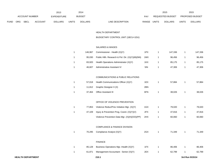|             |     |                |                | 2013           |              | 2014          |                           | 2015                    |              | 2015                   |
|-------------|-----|----------------|----------------|----------------|--------------|---------------|---------------------------|-------------------------|--------------|------------------------|
|             |     | ACCOUNT NUMBER |                | EXPENDITURE    |              | <b>BUDGET</b> | PAY                       | REQUESTED BUDGET        |              | <b>PROPOSED BUDGET</b> |
| <b>FUND</b> | ORG | <b>SBCL</b>    | <b>ACCOUNT</b> | <b>DOLLARS</b> | <b>UNITS</b> | DOLLARS       | RANGE<br>LINE DESCRIPTION | <b>DOLLARS</b><br>UNITS | <b>UNITS</b> | <b>DOLLARS</b>         |

#### HEALTH DEPARTMENT

# BUDGETARY CONTROL UNIT (1BCU=1DU)

## SALARIES & WAGES

| 146.967 | Commissioner - Health (X)(Y)                    | 1PX | 147.336 | 147.336 |
|---------|-------------------------------------------------|-----|---------|---------|
| 95.030  | Public Hith. Research & Pol. Dir. (X)(Y)(M)(NN) | 1MX | 96.456  | 96,456  |
| 83.920  | Health Operations Administrator (X)(Y)          | 1KX | 85.175  | 85,175  |
| 46.607  | Administrative Assistant IV                     | 51N | 47.306  | 47.306  |

## COMMUNICATIONS & PUBLIC RELATIONS

| 57.018 | Health Communications Officer (X)(Y) | 1EX | 57.884 | 57,884 |
|--------|--------------------------------------|-----|--------|--------|
|        | 11,812 Graphic Designer II (X)       | 2BN |        |        |
| 37.464 | Office Assistant III                 | 6FN | 38.026 | 38,026 |

## OFFICE OF VIOLENCE PREVENTION

| 77.853 | Violence Reduc/Prev Initiative Mgr. (X)(Y)   | 1GX | 79.020 | 79.020 |
|--------|----------------------------------------------|-----|--------|--------|
| 47.109 | Injury & Prevention Prog. Coord. $(X)(Y)(V)$ | 2FX | 47.816 | 47.816 |
|        | Violence Prevention Data Mgr. (X)(H)(OO)(PP) | 2HX | 60.060 | 60,060 |

## COMPLIANCE & FINANCE DIVISION

| 70,295 | Compliance Analyst (X)(Y)              | 2GX | 71.349 | 71,349 |
|--------|----------------------------------------|-----|--------|--------|
|        | <b>FINANCE</b>                         |     |        |        |
| 85.128 | Business Operations Mgr.-Health (X)(Y) | 1FX | 86,406 | 86,406 |
| 61,871 | Management Accountant - Senior (X)(Y)  | 2EX | 62,799 | 62,799 |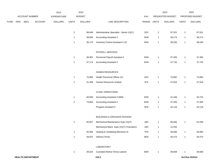|             |     |                          |                | 2013           |                | 2014           |                                            |             |                         | 2015             |                | 2015            |
|-------------|-----|--------------------------|----------------|----------------|----------------|----------------|--------------------------------------------|-------------|-------------------------|------------------|----------------|-----------------|
|             |     | ACCOUNT NUMBER           |                | EXPENDITURE    |                | <b>BUDGET</b>  |                                            | PAY         |                         | REQUESTED BUDGET |                | PROPOSED BUDGET |
| <b>FUND</b> | ORG | SBCL                     | <b>ACCOUNT</b> | <b>DOLLARS</b> | <b>UNITS</b>   | <b>DOLLARS</b> | LINE DESCRIPTION                           | RANGE UNITS |                         | <b>DOLLARS</b>   | <b>UNITS</b>   | <b>DOLLARS</b>  |
|             |     |                          |                |                | $\mathbf{2}$   | 98,649         | Administrative Specialist - Senior (X)(Y)  | 2EX         | $\overline{\mathbf{c}}$ | 97,521           | $\overline{a}$ | 97,521          |
|             |     |                          |                |                | -1             | 38,595         | <b>Accounting Assistant II</b>             | 6HN         | 1                       | 39,174           | $\mathbf{1}$   | 39,174          |
|             |     |                          |                |                | $\overline{1}$ | 36,170         | Inventory Control Assistant II (X)         | 6HN         | $\mathbf{1}$            | 38,293           | $\mathbf{1}$   | 38,293          |
|             |     |                          |                |                |                |                | PAYROLL SERVICES                           |             |                         |                  |                |                 |
|             |     |                          |                |                | $\overline{1}$ | 36,902         | Personnel Payroll Assistant II             | 6HN         | $\mathbf{1}$            | 37,455           | $\mathbf{1}$   | 37,455          |
|             |     |                          |                |                | $\overline{1}$ | 37,174         | <b>Accounting Assistant II</b>             | 6HN         | $\mathbf{1}$            | 37,732           | $\mathbf{1}$   | 37,732          |
|             |     |                          |                |                |                |                | HUMAN RESOURCES                            |             |                         |                  |                |                 |
|             |     |                          |                |                | $\mathbf{1}$   | 72,800         | Health Personnel Officer (X)               | 2HX         | $\mathbf{1}$            | 73,892           | $\mathbf{1}$   | 73,892          |
|             |     |                          |                |                | $\overline{1}$ | 41,458         | Human Resources Analyst                    | 2FX         | $\mathbf{1}$            | 47,816           | $\mathbf{1}$   | 47,816          |
|             |     |                          |                |                |                |                | <b>CLINIC OPERATIONS</b>                   |             |                         |                  |                |                 |
|             |     |                          |                |                | $\overline{1}$ | 40,836         | Accounting Assistant II (MM)               | 6HN         | $\mathbf{1}$            | 41,449           | $\mathbf{1}$   | 20,724          |
|             |     |                          |                |                | $\sqrt{2}$     | 73,804         | <b>Accounting Assistant II</b>             | 6HN         | $\mathbf{1}$            | 37,455           | $\mathbf{1}$   | 37,455          |
|             |     |                          |                |                |                |                | Program Assistant II                       | 5FN         | $\mathbf{1}$            | 42,118           | $\mathbf{1}$   | 42,118          |
|             |     |                          |                |                |                |                | <b>BUILDINGS &amp; GROUNDS DIVISION</b>    |             |                         |                  |                |                 |
|             |     |                          |                |                | $\overline{1}$ | 65,957         | Mechanical Maintenance Supv (X)(Y)         | 1BX         | $\mathbf{1}$            | 66,946           | $\mathbf{1}$   | 61,046          |
|             |     |                          |                |                |                |                | Mechanical Maint. Supv (X)(Y) (Transition) | 1BX         | $\mathbf{1}$            | 12,254           |                |                 |
|             |     |                          |                |                | $\mathbf{1}$   | 45,994         | Heating & Ventilating Mechanic III         | 7FN         | $\mathbf{1}$            | 46,684           | $\mathbf{1}$   | 46,684          |
|             |     |                          |                |                | $\overline{1}$ | 39,875         | <b>Delivery Driver</b>                     | 8EN         | $\mathbf{1}$            | 40,473           | $\mathbf{1}$   | 40,473          |
|             |     |                          |                |                |                |                | LABORATORY                                 |             |                         |                  |                |                 |
|             |     |                          |                |                | $\mathbf{1}$   | 39,024         | Custodial Worker II/City Laborer           | 8DN         | $\mathbf{1}$            | 39,609           |                | 39,609          |
|             |     | <b>HEALTH DEPARTMENT</b> |                |                |                |                | 210.2                                      |             |                         |                  |                | 3rd Run 9/15/14 |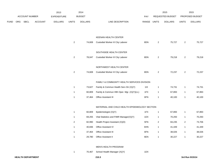|             |                       |                | 2013           |                | 2014           |                                                |             |                | 2015             |                | 2015            |
|-------------|-----------------------|----------------|----------------|----------------|----------------|------------------------------------------------|-------------|----------------|------------------|----------------|-----------------|
|             | <b>ACCOUNT NUMBER</b> |                | EXPENDITURE    |                | <b>BUDGET</b>  |                                                | <b>PAY</b>  |                | REQUESTED BUDGET |                | PROPOSED BUDGET |
| <b>FUND</b> | ORG SBCL              | <b>ACCOUNT</b> | <b>DOLLARS</b> | <b>UNITS</b>   | <b>DOLLARS</b> | LINE DESCRIPTION                               | RANGE UNITS |                | <b>DOLLARS</b>   | <b>UNITS</b>   | <b>DOLLARS</b>  |
|             |                       |                |                |                |                |                                                |             |                |                  |                |                 |
|             |                       |                |                |                |                | KEENAN HEALTH CENTER                           |             |                |                  |                |                 |
|             |                       |                |                | $\overline{2}$ | 74,608         | Custodial Worker II/ City Laborer              | 8DN         | $\overline{2}$ | 75,727           | $\mathbf{2}$   | 75,727          |
|             |                       |                |                |                |                | SOUTHSIDE HEALTH CENTER                        |             |                |                  |                |                 |
|             |                       |                |                | $\overline{a}$ | 78,047         | Custodial Worker II/ City Laborer              | 8DN         | $\overline{2}$ | 79,218           | $\overline{a}$ | 79,218          |
|             |                       |                |                |                |                | NORTHWEST HEALTH CENTER                        |             |                |                  |                |                 |
|             |                       |                |                | $\overline{2}$ | 74,608         | Custodial Worker II/ City Laborer              | 8DN         | $\sqrt{2}$     | 72,237           | $\overline{a}$ | 72,237          |
|             |                       |                |                |                |                |                                                |             |                |                  |                |                 |
|             |                       |                |                |                |                | FAMILY & COMMUNITY HEALTH SERVICES DIVISION    |             |                |                  |                |                 |
|             |                       |                |                | $\mathbf{1}$   | 73,627         | Family & Commun Health Serv Dir (X)(Y)         | 11X         | $\overline{1}$ | 74,731           | $\mathbf{1}$   | 74,731          |
|             |                       |                |                | $\mathbf{1}$   | 60,809         | Family & Commun Hlth Oper. Mgr. (X)(Y)(LL)     | 1FX         | $\overline{1}$ | 67,893           | $\mathbf{1}$   | 67,893          |
|             |                       |                |                | $\mathbf{1}$   | 37,464         | <b>Office Assistant III</b>                    | 6FN         | $\overline{1}$ | 40,100           | $\mathbf{1}$   | 40,100          |
|             |                       |                |                |                |                | MATERNAL AND CHILD HEALTH EPIDEMIOLOGY SECTION |             |                |                  |                |                 |
|             |                       |                |                | $\mathbf{1}$   | 60,809         | Epidemiologist (X)(Y)                          | 1FX         | $\overline{1}$ | 67,893           | $\mathbf{1}$   | 67,893          |
|             |                       |                |                | $\mathbf{1}$   | 69,255         | Vital Statistics and FIMR Manager(X)(Y)        | 1DX         | $\overline{1}$ | 70,293           | $\mathbf{1}$   | 70,293          |
|             |                       |                |                | $\overline{c}$ | 82,990         | Health Project Assistant (X)(D)                | 5FN         | $\overline{2}$ | 84,235           | $\overline{2}$ | 73,706          |
|             |                       |                |                | $\mathbf{1}$   | 40,836         | Office Assistant IV                            | 6HN         | $\overline{1}$ | 41,449           | $\mathbf{1}$   | 41,449          |
|             |                       |                |                | $\mathbf{1}$   | 37,464         | <b>Office Assistant III</b>                    | 6FN         | $\overline{1}$ | 38,026           | $\mathbf{1}$   | 38,026          |
|             |                       |                |                | $\mathbf{1}$   | 29,780         | Office Assistant II                            | 6EN         | $\overline{1}$ | 30,227           | $\mathbf{1}$   | 30,227          |
|             |                       |                |                |                |                | <b>MEN'S HEALTH PROGRAM</b>                    |             |                |                  |                |                 |

1 70,467 School Health Manager (X)(Y) 1DX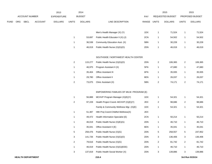|      |     |                       |                | 2013               |                | 2014           |                                          |       |                | 2015             |                         | 2015            |
|------|-----|-----------------------|----------------|--------------------|----------------|----------------|------------------------------------------|-------|----------------|------------------|-------------------------|-----------------|
|      |     | <b>ACCOUNT NUMBER</b> |                | <b>EXPENDITURE</b> |                | <b>BUDGET</b>  |                                          | PAY   |                | REQUESTED BUDGET |                         | PROPOSED BUDGET |
| FUND | ORG | SBCL                  | <b>ACCOUNT</b> | <b>DOLLARS</b>     | <b>UNITS</b>   | <b>DOLLARS</b> | LINE DESCRIPTION                         | RANGE | <b>UNITS</b>   | <b>DOLLARS</b>   | <b>UNITS</b>            | <b>DOLLARS</b>  |
|      |     |                       |                |                    |                |                |                                          |       |                |                  |                         |                 |
|      |     |                       |                |                    |                |                | Men's Health Manager (X) (Y)             | 1DX   | $\mathbf{1}$   | 71,524           | $\mathbf{1}$            | 71,524          |
|      |     |                       |                |                    | $\mathbf{1}$   | 53,697         | Public Health Educator II (X) (J)        | 2CN   | $\mathbf{1}$   | 54,502           | 1                       | 54,502          |
|      |     |                       |                |                    | $\mathbf{1}$   | 36,538         | Community Education Asst. (X)            | 5BN   | $\mathbf{1}$   | 30,228           | $\mathbf{1}$            | 30,228          |
|      |     |                       |                |                    | $\mathbf{1}$   | 46,019         | Public Health Nurse (X)(G)(O)            | 2DN   | $\mathbf{1}$   | 46,019           | $\mathbf{1}$            | 46,019          |
|      |     |                       |                |                    |                |                | SOUTHSIDE / NORTHWEST HEALTH CENTER      |       |                |                  |                         |                 |
|      |     |                       |                |                    | $\overline{a}$ | 115,277        | Public Health Nurse (X)(G)(O)            | 2DN   | $\overline{2}$ | 106,365          | $\overline{\mathbf{c}}$ | 106,365         |
|      |     |                       |                |                    | $\mathbf{1}$   | 46,975         | Program Assistant II (X)                 | 5FN   | $\mathbf{1}$   | 47,680           | $\mathbf{1}$            | 47,680          |
|      |     |                       |                |                    | $\mathbf{1}$   | 35,404         | Office Assistant III                     | 6FN   | $\mathbf{1}$   | 35,935           | $\mathbf{1}$            | 35,935          |
|      |     |                       |                |                    | $\mathbf{1}$   | 29,780         | Office Assistant II                      | 6EN   | $\mathbf{1}$   | 26,037           | $\mathbf{1}$            | 26,037          |
|      |     |                       |                |                    | $\overline{c}$ | 73,075         | Clinic Assistant (X)                     | 5BN   | $\overline{2}$ | 74,171           | $\overline{\mathbf{c}}$ | 74,171          |
|      |     |                       |                |                    |                |                |                                          |       |                |                  |                         |                 |
|      |     |                       |                |                    |                |                | EMPOWERING FAMILIES OF MILW. PROGRAM (E) |       |                |                  |                         |                 |
|      |     |                       |                |                    | $\mathbf{1}$   | 56,888         | MCHVP Program Manager (X)(E)(Y)          | 1DX   | $\mathbf{1}$   | 54,321           | $\mathbf{1}$            | 54,321          |
|      |     |                       |                |                    | $\overline{c}$ | 97,228         | Health Project Coord.-MCHVP (X)(E)(Y)    | 2EX   | $\overline{c}$ | 98,686           | $\boldsymbol{2}$        | 98,686          |
|      |     |                       |                |                    |                |                | Family & Community Wellness Mgr. (X)(E)  | 1DX   | $\mathbf{1}$   | 54,321           | 1                       | 54,321          |
|      |     |                       |                |                    | $\mathbf{1}$   | 51,387         | Hith Proj Coord-Childhd Wellness(X)      | 2EX   |                |                  |                         |                 |
|      |     |                       |                |                    | $\mathbf{1}$   | 49,472         | Health Information Specialist (E)        | 2CN   | $\mathbf{1}$   | 50,214           | $\mathbf{1}$            | 50,214          |
|      |     |                       |                |                    | $\mathbf{1}$   | 46,019         | Public Health Nurse (X)(E)(G)            | 2DN   | $\mathbf{1}$   | 46,710           | $\mathbf{1}$            | 46,710          |
|      |     |                       |                |                    | $\mathbf{1}$   | 35,041         | Office Assistant II (E)                  | 6EN   | $\mathbf{1}$   | 35,041           | $\mathbf{1}$            | 35,041          |
|      |     |                       |                |                    | $\,$ 5 $\,$    | 258,476        | Public Health Nurse (X)(G)               | 2DN   | 5              | 258,557          | $\mathbf 5$             | 247,952         |
|      |     |                       |                |                    | 3              | 141,726        | Public Health Nurse (X)(G)(O)            | 2DN   | 3              | 136,406          | 3                       | 136,406         |
|      |     |                       |                |                    | $\overline{c}$ | 79,616         | Public Health Nurse (X)(G)               | 2DN   | $\sqrt{2}$     | 81,742           | $\overline{\mathbf{c}}$ | 81,742          |
|      |     |                       |                |                    | $\mathbf{1}$   | 46,019         | Public Health Nurse (X)(G)(EEE)          | 2DN   | $\mathbf{1}$   | 46,710           | $\mathbf{1}$            | 46,710          |
|      |     |                       |                |                    | 3              | 137,819        | Public Health Social Worker (X)          | 2DN   | $\sqrt{3}$     | 139,886          | 3                       | 139,886         |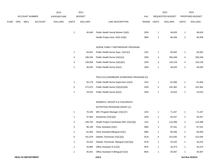|      |     |                       |                | 2013               |                | 2014           |                                          |       |                         | 2015             |                         | 2015            |
|------|-----|-----------------------|----------------|--------------------|----------------|----------------|------------------------------------------|-------|-------------------------|------------------|-------------------------|-----------------|
|      |     | <b>ACCOUNT NUMBER</b> |                | <b>EXPENDITURE</b> |                | <b>BUDGET</b>  |                                          | PAY   |                         | REQUESTED BUDGET |                         | PROPOSED BUDGET |
| FUND | ORG | <b>SBCL</b>           | <b>ACCOUNT</b> | <b>DOLLARS</b>     | <b>UNITS</b>   | <b>DOLLARS</b> | LINE DESCRIPTION                         | RANGE | <b>UNITS</b>            | <b>DOLLARS</b>   | <b>UNITS</b>            | <b>DOLLARS</b>  |
|      |     |                       |                |                    |                |                |                                          |       |                         |                  |                         |                 |
|      |     |                       |                |                    | $\mathbf{1}$   | 45,940         | Public Health Social Worker (X)(E)       | 2DN   | $\mathbf{1}$            | 46,629           | $\mathbf{1}$            | 46,629          |
|      |     |                       |                |                    |                |                | Health Project Asst.-DAD (X)(E)          | 5BN   | $\overline{2}$          | 60,456           | $\overline{\mathbf{c}}$ | 60,456          |
|      |     |                       |                |                    |                |                |                                          |       |                         |                  |                         |                 |
|      |     |                       |                |                    |                |                | NURSE FAMILY PARTNERSHIP PROGRAM         |       |                         |                  |                         |                 |
|      |     |                       |                |                    | $\mathbf{1}$   | 64,041         | Public Health Nurse Supv. (X)(Y)(J)      | 1DX   | $\mathbf{1}$            | 65,002           | $\mathbf{1}$            | 65,002          |
|      |     |                       |                |                    | 4              | 198,194        | Public Health Nurse (X)(G)(J)            | 2DN   | 4                       | 200,449          | 4                       | 200,449         |
|      |     |                       |                |                    | 3              | 138,058        | Public Health Nurse (X)(G)(O)            | 2DN   | 3                       | 140,129          | 3                       | 140,129         |
|      |     |                       |                |                    | 1              | 46,020         | Public Health Nurse (G)(X)               | 2DN   | $\mathbf{1}$            | 46,020           | $\mathbf{1}$            | 46,020          |
|      |     |                       |                |                    |                |                |                                          |       |                         |                  |                         |                 |
|      |     |                       |                |                    |                |                | PNCC/CCC/NEWBORN SCREENING PROGRAM (O)   |       |                         |                  |                         |                 |
|      |     |                       |                |                    | $\mathbf{1}$   | 55,178         | Public Health Nurse Supervisor (X)(O)    | 1DX   | $\mathbf{1}$            | 61,606           | $\mathbf{1}$            | 61,606          |
|      |     |                       |                |                    | 5              | 272,673        | Public Health Nurse (X)(G)(O)(N)         | 2DN   | $\overline{5}$          | 242,362          | 5                       | 242,362         |
|      |     |                       |                |                    | $\mathbf{1}$   | 23,010         | Public Health Nurse (G)(X)               | 2DN   | $\mathbf{1}$            | 23,010           | 1                       | 23,010          |
|      |     |                       |                |                    |                |                |                                          |       |                         |                  |                         |                 |
|      |     |                       |                |                    |                |                | WOMEN'S, INFANT'S & CHILDREN'S           |       |                         |                  |                         |                 |
|      |     |                       |                |                    |                |                | NUTRITION PROGRAM GRANT (C)              |       |                         |                  |                         |                 |
|      |     |                       |                |                    | $\mathbf{1}$   | 70,194         | WIC Program Manager (X)(C)(Y)            | 1DX   | $\mathbf{1}$            | 71,247           | $\mathbf{1}$            | 71,247          |
|      |     |                       |                |                    | $\mathbf{1}$   | 47,853         | Nutritionist (X)(C)(Q)                   | 2DN   | $\overline{2}$          | 93,257           | $\boldsymbol{2}$        | 93,257          |
|      |     |                       |                |                    | $\overline{a}$ | 106,763        | Health Project Coordinator-WIC (X)(C)(Q) | 1AX   | $\overline{\mathbf{c}}$ | 110,389          | $\boldsymbol{2}$        | 110,389         |
|      |     |                       |                |                    | 3              | 96,100         | Clinic Assistant (X)(C)                  | 5BN   | 3                       | 97,541           | 3                       | 97,541          |
|      |     |                       |                |                    | $\overline{a}$ | 61,663         | Clinic Assistant-Bilingual (X)(C)        | 5BN   | $\overline{a}$          | 60,456           | $\overline{\mathbf{c}}$ | 60,456          |
|      |     |                       |                |                    | 6              | 231,679        | Dietetic Technician (X)(C)(Q)            | 5CN   | 6                       | 222,045          | 6                       | 222,045         |
|      |     |                       |                |                    | $\mathbf{1}$   | 33,232         | Dietetic Technician -Bilingual (X)(C)(Q) | 5CN   | $\mathbf{1}$            | 33,232           | $\mathbf{1}$            | 33,232          |
|      |     |                       |                |                    | $\mathbf{1}$   | 33,865         | Office Assistant III (C)(X)              | 6FN   | $\mathbf{1}$            | 34,373           | $\mathbf{1}$            | 34,373          |
|      |     |                       |                |                    | $\mathbf{1}$   | 35,041         | Office Assistant II-Bilingual (C)(X)     | 6EN   | $\mathbf{1}$            | 35,567           | $\mathbf{1}$            | 35,567          |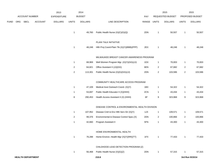|             |     |                          |                | 2013               |                         | 2014           |                                                 |             |                | 2015             |                | 2015            |
|-------------|-----|--------------------------|----------------|--------------------|-------------------------|----------------|-------------------------------------------------|-------------|----------------|------------------|----------------|-----------------|
|             |     | ACCOUNT NUMBER           |                | <b>EXPENDITURE</b> |                         | <b>BUDGET</b>  |                                                 | PAY         |                | REQUESTED BUDGET |                | PROPOSED BUDGET |
| <b>FUND</b> | ORG | <b>SBCL</b>              | <b>ACCOUNT</b> | <b>DOLLARS</b>     | <b>UNITS</b>            | <b>DOLLARS</b> | LINE DESCRIPTION                                | RANGE UNITS |                | <b>DOLLARS</b>   | <b>UNITS</b>   | <b>DOLLARS</b>  |
|             |     |                          |                |                    | $\mathbf{1}$            | 49,760         | Public Health Nurse (X)(C)(G)(Q)                | 2DN         | $\mathbf{1}$   | 50,507           | $\mathbf{1}$   | 50,507          |
|             |     |                          |                |                    |                         |                | PLAIN TALK INITIATIVE                           |             |                |                  |                |                 |
|             |     |                          |                |                    | $\overline{1}$          | 48,248         | Hith Proj Coord-Plain Tlk (X)(Y)(BBB)(PPP)      | 2EX         | $\mathbf{1}$   | 48,248           | $\mathbf{1}$   | 48,248          |
|             |     |                          |                |                    |                         |                | MILWAUKEE BREAST CANCER AWARENESS PROGRAM       |             |                |                  |                |                 |
|             |     |                          |                |                    | $\mathbf{1}$            | 68,969         | Well Women Program Mgr. (X)(Y)(GG)(JJ)          | 1DX         | $\mathbf{1}$   | 70,003           | $\mathbf{1}$   | 70,003          |
|             |     |                          |                |                    | $\overline{2}$          | 64,821         | Office Assistant II (JJ)(GG)                    | 6EN         | $\overline{2}$ | 67,682           | $\overline{a}$ | 67,682          |
|             |     |                          |                |                    | $\overline{\mathbf{c}}$ | 113,301        | Public Health Nurse (X)(G)(GG)(JJ)              | 2DN         | $\overline{2}$ | 103,586          | $\overline{2}$ | 103,586         |
|             |     |                          |                |                    |                         |                | COMMUNITY HEALTHCARE ACCESS PROGRAM             |             |                |                  |                |                 |
|             |     |                          |                |                    | $\mathbf{1}$            | 47,109         | Medical Asst Outreach Coord. (X)(Y)             | 1BX         | $\mathbf{1}$   | 54,322           | $\mathbf{1}$   | 54,322          |
|             |     |                          |                |                    | $\mathbf{1}$            | 53,697         | Public Health Educator II (X)(HHH)              | 2CN         | $\mathbf{1}$   | 43,434           | 1              | 43,434          |
|             |     |                          |                |                    | 8                       | 290,453        | Health Access Assistant II (X) (HHH)            | 6F          | 9              | 323,968          | 9              | 323,968         |
|             |     |                          |                |                    |                         |                | DISEASE CONTROL & ENVIRONMENTAL HEALTH DIVISION |             |                |                  |                |                 |
|             |     |                          |                |                    | $\mathbf{1}$            | 107,952        | Disease Cntrl & Env Hlth Serv Dir (X)(Y)        | 1JX         | $\mathbf{1}$   | 109,571          | $\mathbf{1}$   | 109,571         |
|             |     |                          |                |                    | 2                       | 99,376         | Environmental & Disease Control Spec.(X)        | 2DN         | $\overline{c}$ | 100,866          | $\overline{a}$ | 100,866         |
|             |     |                          |                |                    | $\mathbf{1}$            | 42,660         | Program Assistant II                            | 5FN         | 1              | 43,300           | $\mathbf{1}$   | 43,300          |
|             |     |                          |                |                    |                         |                | HOME ENVIRONMENTAL HEALTH                       |             |                |                  |                |                 |
|             |     |                          |                |                    | $\mathbf{1}$            | 76,288         | Home Environ. Health Mgr (X)(Y)(RR)(TT)         | 1FX         | $\mathbf{1}$   | 77,433           | $\mathbf{1}$   | 77,433          |
|             |     |                          |                |                    |                         |                | CHILDHOOD LEAD DETECTION PROGRAM (Z)            |             |                |                  |                |                 |
|             |     |                          |                |                    | $\mathbf{1}$            | 56,468         | Public Health Nurse (X)(G)(Z)                   | 2DN         | $\mathbf{1}$   | 57,315           | 1              | 57,315          |
|             |     | <b>HEALTH DEPARTMENT</b> |                |                    |                         |                | 210.6                                           |             |                |                  |                | 3rd Run 9/15/14 |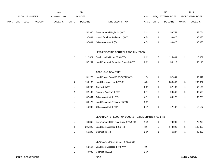|      |     |                       |         | 2013               |                         | 2014           |                                                      |             |                | 2015             |                         | 2015            |
|------|-----|-----------------------|---------|--------------------|-------------------------|----------------|------------------------------------------------------|-------------|----------------|------------------|-------------------------|-----------------|
|      |     | <b>ACCOUNT NUMBER</b> |         | <b>EXPENDITURE</b> |                         | <b>BUDGET</b>  |                                                      | <b>PAY</b>  |                | REQUESTED BUDGET |                         | PROPOSED BUDGET |
| FUND | ORG | <b>SBCL</b>           | ACCOUNT | <b>DOLLARS</b>     | <b>UNITS</b>            | <b>DOLLARS</b> | LINE DESCRIPTION                                     | RANGE UNITS |                | <b>DOLLARS</b>   | <b>UNITS</b>            | <b>DOLLARS</b>  |
|      |     |                       |         |                    | $\mathbf{1}$            | 52,960         | Environmental Hygienist (X)(Z)                       | 2DN         | $\mathbf{1}$   | 53,754           | 1                       | 53,754          |
|      |     |                       |         |                    | $\mathbf{1}$            | 37,464         | Health Services Assistant II (X)(Z)                  | 6FN         | $\mathbf{1}$   | 38,026           | $\mathbf{1}$            | 38,026          |
|      |     |                       |         |                    | $\mathbf{1}$            | 37,464         | Office Assistant III (Z)                             | 6FN         | $\mathbf{1}$   | 38,026           | 1                       | 38,026          |
|      |     |                       |         |                    |                         |                | LEAD POISONING CONTROL PROGRAM (CDBG)                |             |                |                  |                         |                 |
|      |     |                       |         |                    | $\overline{c}$          | 112,521        | Public Health Nurse (X)(G)(TT)                       | 2DN         | $\overline{2}$ | 115,801          | $\overline{\mathbf{c}}$ | 115,801         |
|      |     |                       |         |                    | $\mathbf{1}$            | 57,254         | Lead Program Information Specialist (TT)             | 2DN         | $\mathbf{1}$   | 58,113           | $\mathbf{1}$            | 58,113          |
|      |     |                       |         |                    |                         |                | CDBG LEAD GRANT (TT)                                 |             |                |                  |                         |                 |
|      |     |                       |         |                    | $\mathbf{1}$            | 51,272         | Lead Project Coord (CDBG)(TT)(X)(Y)                  | 2FX         | $\mathbf{1}$   | 52,041           | $\mathbf{1}$            | 52,041          |
|      |     |                       |         |                    | $\overline{\mathbf{4}}$ | 199,186        | Lead Risk Assessor II (TT)(X)                        | 3JN         | $\mathbf 5$    | 233,057          | 5                       | 233,057         |
|      |     |                       |         |                    | $\mathbf{1}$            | 56,292         | Chemist II (TT)                                      | 2DN         | 1              | 57,136           | $\mathbf{1}$            | 57,136          |
|      |     |                       |         |                    | $\sqrt{2}$              | 92,185         | Program Assistant II (TT)                            | 5FN         | $\sqrt{2}$     | 93,568           | $\overline{c}$          | 93,568          |
|      |     |                       |         |                    | $\mathbf{1}$            | 37,464         | Office Assistant III (TT)                            | 6FN         | 1              | 30,228           | 1                       | 30,228          |
|      |     |                       |         |                    | $\mathbf{1}$            | 36,170         | Lead Education Assistant (X)(TT)                     | 5CN         |                |                  |                         |                 |
|      |     |                       |         |                    | $\mathbf{1}$            | 16,933         | Office Assistant II (TT)                             | 6HN         | $\mathbf{1}$   | 17,187           | $\mathbf{1}$            | 17,187          |
|      |     |                       |         |                    |                         |                | LEAD HAZARD REDUCTION DEMONSTRATION GRANTS (HUD)(RR) |             |                |                  |                         |                 |
|      |     |                       |         |                    | $\mathbf{1}$            | 63,866         | Environmental Hlth Field Supv. (X)(Y)(RR)            | 1CX         | $\mathbf{1}$   | 70,293           | $\overline{\mathbf{1}}$ | 70,293          |
|      |     |                       |         |                    | $\overline{\mathbf{4}}$ | 205,329        | Lead Risk Assessor II (X)(RR)                        | 3JN         | 3              | 143,823          | 3                       | 143,823         |
|      |     |                       |         |                    | $\mathbf{1}$            | 56,292         | Chemist II (RR)                                      | 2DN         | $\mathbf{1}$   | 46,287           | -1                      | 46,287          |
|      |     |                       |         |                    |                         |                | LEAD ABATEMENT GRANT (HUD/SDC)                       |             |                |                  |                         |                 |
|      |     |                       |         |                    | $\mathbf{1}$            | 52,564         | Lead Risk Assessor II (X)(WW)                        | 3JN         |                |                  |                         |                 |

49,939 Chemist II (WW) 2DN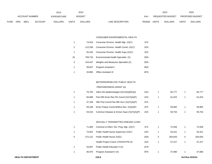|             |     |                       |                | 2013           |              | 2014           |                           |              | 2015                    |              | 2015                   |
|-------------|-----|-----------------------|----------------|----------------|--------------|----------------|---------------------------|--------------|-------------------------|--------------|------------------------|
|             |     | <b>ACCOUNT NUMBER</b> |                | EXPENDITURE    |              | <b>BUDGET</b>  | PAY                       |              | <b>REQUESTED BUDGET</b> |              | <b>PROPOSED BUDGET</b> |
| <b>FUND</b> | ORG | <b>SBCL</b>           | <b>ACCOUNT</b> | <b>DOLLARS</b> | <b>UNITS</b> | <b>DOLLARS</b> | LINE DESCRIPTION<br>RANGE | <b>UNITS</b> | <b>DOLLARS</b>          | <b>UNITS</b> | <b>DOLLARS</b>         |

### CONSUMER ENVIRONMENTAL HEALTH

|    | 74.916  | Consumer Environ. Health Mgr. (X)(Y)   | 1FX |
|----|---------|----------------------------------------|-----|
| 2  | 112.536 | Consumer Environ. Health Coord. (X)(Y) | 1DX |
| 1  | 55.192  | Consumer Environ. Health Supv. (X) (Y) | 1EX |
| 16 | 758.733 | Environmental Health Specialist (X)    | 2EN |
| 3  | 143.447 | Weights and Measures Specialist (X)    | 2EN |
| 1  | 39.507  | Program Assistant I                    | 5EN |
|    | 33.865  | <b>Office Assistant III</b>            | 6FN |

### BIOTERRORISM-CDC PUBLIC HEALTH

# PREPAREDNESS GRANT (A)

| 76.700 | Infect Dis Epidemiologist $(X)(Y)(A)(EE)(S)$ | 1GX | 65.777 | 65,777 |
|--------|----------------------------------------------|-----|--------|--------|
| 56.668 | Pub Hith Emer Res Pin Coord (X)(Y)(A)(P)     | 1DX | 61.915 | 61,915 |
| 47.109 | Hith Proj Coord-Pub Hith Surv $(X)(Y)(A)(P)$ | 2FX |        |        |
| 59.106 | Emer Prepar Coord-Wrkfce Dev. (X)(A)(P)      | 2FX | 59.992 | 59.992 |
| 53,519 | Commun Disease & Immun Supv (X)(Y)(A)(P)     | 1DX | 59.754 | 59,754 |

# SEXUALLY TRANSMITTED DISEASE CLINIC

|   | 71.484  | Commun & Infect. Dis. Prog. Mgr. (X)(Y) | 1FX |   | 72.556  |   | 72,556  |
|---|---------|-----------------------------------------|-----|---|---------|---|---------|
|   | 74.922  | Public Health Nurse Supervisor (X)(Y)   | 1DX |   | 54.321  |   | 54,321  |
| 5 | 272.121 | Public Health Nurse (X)(G)              | 2DN | 5 | 264.833 | 5 | 264,833 |
|   |         | Health Project Coord.-STD/HIV/TB (X)    | 1DX |   | 57.227  |   | 57,227  |
|   | 53.697  | Public Health Educator II (X)           | 2CN |   |         |   |         |
|   | 46.975  | Program Assistant II (X)                | 5FN |   | 47.680  |   | 47,680  |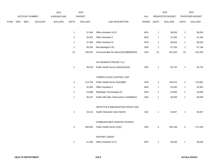|      |     |                |                | 2013           |              | 2014           |                                            |             |              | 2015             |                  | 2015            |  |
|------|-----|----------------|----------------|----------------|--------------|----------------|--------------------------------------------|-------------|--------------|------------------|------------------|-----------------|--|
|      |     | ACCOUNT NUMBER |                | EXPENDITURE    |              | <b>BUDGET</b>  |                                            | <b>PAY</b>  |              | REQUESTED BUDGET |                  | PROPOSED BUDGET |  |
| FUND | ORG | <b>SBCL</b>    | <b>ACCOUNT</b> | <b>DOLLARS</b> | <b>UNITS</b> | <b>DOLLARS</b> | LINE DESCRIPTION                           | RANGE UNITS |              | <b>DOLLARS</b>   | <b>UNITS</b>     | <b>DOLLARS</b>  |  |
|      |     |                |                |                |              |                |                                            |             |              |                  |                  |                 |  |
|      |     |                |                |                | 1            | 37,464         | Office Assistant III (F)                   | 6FN         | $\mathbf{1}$ | 38,026           | $\overline{1}$   | 38,026          |  |
|      |     |                |                |                | $\mathbf{1}$ | 26,281         | Office Assistant II                        | 6EN         | $\mathbf{1}$ | 21,340           | $\mathbf{1}$     | 21,340          |  |
|      |     |                |                |                | $\mathbf{1}$ | 37,464         | Office Assistant III                       | 6FN         | $\mathbf{1}$ | 38,026           | $\mathbf{1}$     | 38,026          |  |
|      |     |                |                |                | $\mathbf{1}$ | 56,292         | Microbiologist II (F)                      | 2DN         | $\mathbf{1}$ | 57,136           | $\mathbf{1}$     | 57,136          |  |
|      |     |                |                |                | $10$         | 439,387        | Communicable Dis Spec(X)(F)(BBB)(DDD)      | 2AN         | $10$         | 441,024          | 10               | 441,024         |  |
|      |     |                |                |                |              |                |                                            |             |              |                  |                  |                 |  |
|      |     |                |                |                |              |                | HIV WOMEN'S PROJECT (L)                    |             |              |                  |                  |                 |  |
|      |     |                |                |                | $\mathbf{1}$ | 46,019         | Public Health Nurse (X)(G)(L)(AAA)         | 2DN         | $\mathbf{1}$ | 46,710           | $\mathbf{1}$     | 46,710          |  |
|      |     |                |                |                |              |                |                                            |             |              |                  |                  |                 |  |
|      |     |                |                |                |              |                | TUBERCULOSIS CONTROL UNIT                  |             |              |                  |                  |                 |  |
|      |     |                |                |                | 4            | 213,703        | Public Health Nurse (X)(G)(BB)             | 2DN         | 3            | 164,372          | $\boldsymbol{2}$ | 115,801         |  |
|      |     |                |                |                | 1            | 32,445         | Office Assistant II                        | 6EN         | $\mathbf{1}$ | 32,932           | $\mathbf{1}$     | 32,932          |  |
|      |     |                |                |                | $\mathbf{1}$ | 23,488         | Radiologic Technologist (X)                | 3GN         | $\mathbf{1}$ | 23,840           | $\overline{1}$   | 23,840          |  |
|      |     |                |                |                | $\mathbf{1}$ | 30,107         | Public Hlth Aide Tuberculosis Cntrl(MM)(X) | 5AN         | $\mathbf{1}$ | 30,559           | $\overline{1}$   | 30,559          |  |
|      |     |                |                |                |              |                |                                            |             |              |                  |                  |                 |  |
|      |     |                |                |                |              |                | HEPATITIS B IMMUNIZATION GRANT (HH)        |             |              |                  |                  |                 |  |
|      |     |                |                |                | $\mathbf{1}$ | 34,313         | Health Interpreter Aide (X)(HH)            | 5AX         | $\mathbf{1}$ | 34,827           | $\mathbf{1}$     | 34,827          |  |
|      |     |                |                |                |              |                |                                            |             |              |                  |                  |                 |  |
|      |     |                |                |                |              |                | COMMUNICABLE DISEASE DIVISION              |             |              |                  |                  |                 |  |
|      |     |                |                |                | $\,$ 5 $\,$  | 285,852        | Public Health Nurse (X)(G)                 | 2DN         | $\,$ 5 $\,$  | 282,108          | $\,$ 5 $\,$      | 271,504         |  |
|      |     |                |                |                |              |                |                                            |             |              |                  |                  |                 |  |
|      |     |                |                |                |              |                | SURVNET GRANT                              |             |              |                  |                  |                 |  |
|      |     |                |                |                | 1            | 37,464         | Office Assistant III (T)                   | 6FN         | $\mathbf{1}$ | 38,026           | $\mathbf{1}$     | 38,026          |  |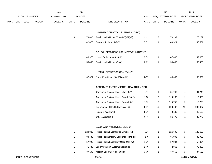|             |     |                          |                | 2013               |              | 2014           |                                            |             |                | 2015             |                | 2015            |
|-------------|-----|--------------------------|----------------|--------------------|--------------|----------------|--------------------------------------------|-------------|----------------|------------------|----------------|-----------------|
|             |     | <b>ACCOUNT NUMBER</b>    |                | <b>EXPENDITURE</b> |              | <b>BUDGET</b>  |                                            | PAY         |                | REQUESTED BUDGET |                | PROPOSED BUDGET |
| <b>FUND</b> | ORG | <b>SBCL</b>              | <b>ACCOUNT</b> | <b>DOLLARS</b>     | <b>UNITS</b> | <b>DOLLARS</b> | LINE DESCRIPTION                           | RANGE UNITS |                | <b>DOLLARS</b>   | <b>UNITS</b>   | <b>DOLLARS</b>  |
|             |     |                          |                |                    |              |                | IMMUNIZATION ACTION PLAN GRANT (DD)        |             |                |                  |                |                 |
|             |     |                          |                |                    | 3            | 173,695        | Public Health Nurse (X)(G)(DD)(FF)(P)      | 2DN         | 3              | 176,237          | 3              | 176,237         |
|             |     |                          |                |                    | $\mathbf{1}$ | 42,878         | Program Assistant I (DD)                   | 5EN         | $\overline{1}$ | 43,521           | $\mathbf{1}$   | 43,521          |
|             |     |                          |                |                    |              |                | SCHOOL READINESS IMMUNIZATION INITIATIVE   |             |                |                  |                |                 |
|             |     |                          |                |                    | $\mathbf{1}$ | 46,975         | Health Project Assistant (X)               | 5FN         | $\overline{1}$ | 47,680           | $\mathbf{1}$   | 47,680          |
|             |     |                          |                |                    | $\mathbf{1}$ | 56,468         | Public Health Nurse (G)(X)                 | 2DN         | $\overline{1}$ | 58,485           | 1              | 58,485          |
|             |     |                          |                |                    |              |                | HIV RISK REDUCTION GRANT (AAA)             |             |                |                  |                |                 |
|             |     |                          |                |                    | $\mathbf{1}$ | 67,624         | Nurse Practitioner (X)(BBB)(AAA)           | 2GN         | $\mathbf{1}$   | 68,639           | $\mathbf{1}$   | 68,639          |
|             |     |                          |                |                    |              |                | CONSUMER ENVIRONMENTAL HEALTH DIVISION     |             |                |                  |                |                 |
|             |     |                          |                |                    |              |                | Consumer Environ. Health Mgr. (X)(Y)       | 1FX         | $\overline{1}$ | 81,743           | 1              | 81,743          |
|             |     |                          |                |                    |              |                | Consumer Environ. Health Coord. (X)(Y)     | 1DX         | $\overline{2}$ | 119,935          | $\overline{2}$ | 119,935         |
|             |     |                          |                |                    |              |                | Consumer Environ. Health Supv.(X)(Y)       | 1EX         | $\overline{2}$ | 115,758          | 2              | 115,758         |
|             |     |                          |                |                    |              |                | Environmental Health Specialist (X)        | 2EN         | 19             | 990,487          | 19             | 990,487         |
|             |     |                          |                |                    |              |                | Program Assistant I                        | 5EN         | $\overline{1}$ | 40,100           | 1              | 40,100          |
|             |     |                          |                |                    |              |                | Office Assistant III                       | 6FN         | $\overline{1}$ | 36,770           | $\mathbf{1}$   | 36,770          |
|             |     |                          |                |                    |              |                | <b>LABORATORY SERVICES DIVISION</b>        |             |                |                  |                |                 |
|             |     |                          |                |                    | $\mathbf{1}$ | 124,823        | Public Health Laboratories Director (Y)    | 1LX         | $\mathbf{1}$   | 126,695          | $\mathbf{1}$   | 126,695         |
|             |     |                          |                |                    | $\mathbf{1}$ | 84,730         | Public Health Deputy Laboratories Dir. (Y) | 11X         | $\mathbf{1}$   | 85,998           | $\mathbf{1}$   | 85,998          |
|             |     |                          |                |                    | $\mathbf{1}$ | 57,028         | Public Health Laboratory Oper. Mgr. (Y)    | 1EX         | $\mathbf{1}$   | 57,884           | $\mathbf{1}$   | 57,884          |
|             |     |                          |                |                    | $\mathbf{1}$ | 71,785         | Lab Information Systems Specialist         | 2HN         | $\mathbf{1}$   | 72,862           | $\mathbf{1}$   | 72,862          |
|             |     |                          |                |                    | $\mathbf{1}$ | 37,109         | Medical Laboratory Technician              | 3DN         | $\mathbf{1}$   | 37,665           | $\mathbf{1}$   | 37,665          |
|             |     | <b>HEALTH DEPARTMENT</b> |                |                    |              |                | 210.10                                     |             |                |                  |                | 3rd Run 9/15/14 |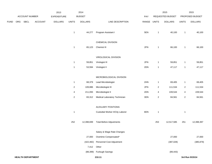|             |     |                          |         | 2013               |              | 2014           |                                  |       |                  | 2015             |                          | 2015            |
|-------------|-----|--------------------------|---------|--------------------|--------------|----------------|----------------------------------|-------|------------------|------------------|--------------------------|-----------------|
|             |     | ACCOUNT NUMBER           |         | <b>EXPENDITURE</b> |              | <b>BUDGET</b>  |                                  | PAY   |                  | REQUESTED BUDGET |                          | PROPOSED BUDGET |
| <b>FUND</b> | ORG | <b>SBCL</b>              | ACCOUNT | <b>DOLLARS</b>     | <b>UNITS</b> | <b>DOLLARS</b> | LINE DESCRIPTION                 | RANGE | <b>UNITS</b>     | <b>DOLLARS</b>   | <b>UNITS</b>             | <b>DOLLARS</b>  |
|             |     |                          |         |                    |              |                |                                  |       |                  |                  |                          |                 |
|             |     |                          |         |                    | $\mathbf{1}$ | 44,277         | Program Assistant I              | 5EN   | $\mathbf{1}$     | 40,100           | $\mathbf{1}$             | 40,100          |
|             |     |                          |         |                    |              |                | CHEMICAL DIVISION                |       |                  |                  |                          |                 |
|             |     |                          |         |                    | $\mathbf{1}$ | 65,123         | Chemist III                      | 2FN   | $\mathbf{1}$     | 66,100           | $\mathbf{1}$             | 66,100          |
|             |     |                          |         |                    |              |                |                                  |       |                  |                  |                          |                 |
|             |     |                          |         |                    |              |                | VIROLOGICAL DIVISION             |       |                  |                  |                          |                 |
|             |     |                          |         |                    | $\mathbf{1}$ | 59,851         | Virologist III                   | 2FN   | $\mathbf{1}$     | 59,851           | $\overline{1}$           | 59,851          |
|             |     |                          |         |                    | $\mathbf{1}$ | 53,594         | Virologist II                    | 2DN   | $\mathbf{1}$     | 47,117           | $\overline{1}$           | 47,117          |
|             |     |                          |         |                    |              |                | MICROBIOLOGICAL DIVISION         |       |                  |                  |                          |                 |
|             |     |                          |         |                    | $\mathbf{1}$ | 68,379         | Lead Microbiologist              | 2HN   | $\mathbf{1}$     | 69,405           | $\mathbf{1}$             | 69,405          |
|             |     |                          |         |                    | $\sqrt{2}$   | 109,886        | Microbiologist III               | 2FN   | $\boldsymbol{2}$ | 111,534          | $\sqrt{2}$               | 111,534         |
|             |     |                          |         |                    | 4            | 211,093        | Microbiologist II                | 2DN   | 4                | 228,544          | $\overline{\mathcal{A}}$ | 228,544         |
|             |     |                          |         |                    | $\sqrt{2}$   | 83,312         | Medical Laboratory Technician    | 3DN   | $\sqrt{2}$       | 84,561           | $\sqrt{2}$               | 84,561          |
|             |     |                          |         |                    |              |                | <b>AUXILIARY POSITIONS</b>       |       |                  |                  |                          |                 |
|             |     |                          |         |                    | $\mathbf{1}$ |                | Custodial Worker II/City Laborer | 8DN   | $\mathbf{1}$     |                  | $\mathbf{1}$             |                 |
|             |     |                          |         |                    |              |                |                                  |       |                  |                  |                          |                 |
|             |     |                          |         |                    | 252          | 12,398,699     | <b>Total Before Adjustments</b>  |       | 253              | 12,517,585       | 251                      | 12,398,397      |
|             |     |                          |         |                    |              |                | Salary & Wage Rate Changes       |       |                  |                  |                          |                 |
|             |     |                          |         |                    |              | 27,000         | Overtime Compensated*            |       |                  | 27,000           |                          | 27,000          |
|             |     |                          |         |                    |              | (422, 482)     | Personnel Cost Adjustment        |       |                  | (387, 028)       |                          | (385, 879)      |
|             |     |                          |         |                    |              | 7,412 Other    |                                  |       |                  |                  |                          |                 |
|             |     |                          |         |                    |              | (88, 399)      | Furlough Savings                 |       |                  | (89, 443)        |                          |                 |
|             |     | <b>HEALTH DEPARTMENT</b> |         |                    |              |                | 210.11                           |       |                  |                  |                          | 3rd Run 9/15/14 |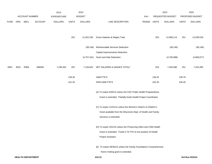|             |      |                          |                | 2013           |        | 2014           |                                                                     |            |              | 2015             |              | 2015            |
|-------------|------|--------------------------|----------------|----------------|--------|----------------|---------------------------------------------------------------------|------------|--------------|------------------|--------------|-----------------|
|             |      | ACCOUNT NUMBER           |                | EXPENDITURE    |        | <b>BUDGET</b>  |                                                                     | <b>PAY</b> |              | REQUESTED BUDGET |              | PROPOSED BUDGET |
| <b>FUND</b> | ORG  | SBCL                     | <b>ACCOUNT</b> | <b>DOLLARS</b> | UNITS  | <b>DOLLARS</b> | LINE DESCRIPTION                                                    | RANGE      | <b>UNITS</b> | <b>DOLLARS</b>   | <b>UNITS</b> | <b>DOLLARS</b>  |
|             |      |                          |                |                |        |                |                                                                     |            |              |                  |              |                 |
|             |      |                          |                |                |        |                |                                                                     |            |              |                  |              |                 |
|             |      |                          |                |                | 252    | 11,922,230     | Gross Salaries & Wages Total                                        |            | 253          | 12,068,114       | 251          | 12,039,518      |
|             |      |                          |                |                |        | (38, 146)      | Reimbursable Services Deduction                                     |            |              | (38, 146)        |              | (38, 146)       |
|             |      |                          |                |                |        |                | Capital Improvements Deduction                                      |            |              |                  |              |                 |
|             |      |                          |                |                |        | (4,757,441)    | <b>Grant and Aids Deduction</b>                                     |            |              | (4,765,888)      |              | (4,669,677)     |
| 0001        | 3810 | R999                     | 006000         | 7,236,352      | 252    | 7,126,643      | NET SALARIES & WAGES TOTAL*                                         |            | 253          | 7,264,080        | 251          | 7,331,695       |
|             |      |                          |                |                |        |                |                                                                     |            |              |                  |              |                 |
|             |      |                          |                |                | 139.30 |                | O&M FTE'S                                                           |            | 139.32       |                  | 139.79       |                 |
|             |      |                          |                |                | 101.45 |                | NON-O&M FTE'S                                                       |            | 102.45       |                  | 100.45       |                 |
|             |      |                          |                |                |        |                | (A) To expire 6/30/14 unless the CDC Public Health Preparedness     |            |              |                  |              |                 |
|             |      |                          |                |                |        |                | Grant is extended. Partially funds Health Project Coordinator.      |            |              |                  |              |                 |
|             |      |                          |                |                |        |                |                                                                     |            |              |                  |              |                 |
|             |      |                          |                |                |        |                | (C) To expire 12/31/14 unless the Women's Infant's & Children's     |            |              |                  |              |                 |
|             |      |                          |                |                |        |                | Grant available from the Wisconsin Dept. of Health and Family       |            |              |                  |              |                 |
|             |      |                          |                |                |        |                | Services is extended.                                               |            |              |                  |              |                 |
|             |      |                          |                |                |        |                | (D) To expire 3/31/15 unless the Preserving Infant and Child Health |            |              |                  |              |                 |
|             |      |                          |                |                |        |                | Grant is extended. Funds 0.75 FTE of one position of Health         |            |              |                  |              |                 |
|             |      |                          |                |                |        |                | Project Assistant.                                                  |            |              |                  |              |                 |
|             |      |                          |                |                |        |                | (E) To expire 09/30/15 unless the Family Foundations Comprehensive  |            |              |                  |              |                 |
|             |      |                          |                |                |        |                | Home Visiting grant is extended.                                    |            |              |                  |              |                 |
|             |      | <b>HEALTH DEPARTMENT</b> |                |                |        |                | 210.12                                                              |            |              |                  |              | 3rd Run 9/15/14 |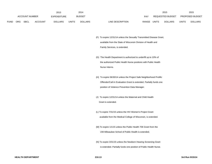|             |     |                       |                | 2013           |              | 2014           |                                  |              | 2015             |              | 2015                   |
|-------------|-----|-----------------------|----------------|----------------|--------------|----------------|----------------------------------|--------------|------------------|--------------|------------------------|
|             |     | <b>ACCOUNT NUMBER</b> |                | EXPENDITURE    |              | <b>BUDGET</b>  | PAY                              |              | REQUESTED BUDGET |              | <b>PROPOSED BUDGET</b> |
| <b>FUND</b> | ORG | <b>SBCL</b>           | <b>ACCOUNT</b> | <b>DOLLARS</b> | <b>UNITS</b> | <b>DOLLARS</b> | <b>RANGE</b><br>LINE DESCRIPTION | <b>UNITS</b> | <b>DOLLARS</b>   | <b>UNITS</b> | <b>DOLLARS</b>         |

(F) To expire 12/31/14 unless the Sexually Transmitted Disease Grant, available from the State of Wisconsin Division of Health andFamily Services, is extended.

- (G) The Health Department is authorized to underfill up to 10% of the authorized Public Health Nurse positions with Public Health Nurse Interns.
- (H) To expire 06/30/14 unless the Project Safe Neighborhood Prolific Offender/Call-In Evaluation Grant is extended. Partially funds one position of Violence Prevention Data Manager.
- (J) To expire 12/31/14 unless the Maternal and Child Health Grant is extended.
- (L) To expire 7/31/15 unless the HIV Women's Project Grant available from the Medical College of Wisconsin, is extended.
- (M) To expire 1/1/15 unless the Public Health 706 Grant from the UW-Milwaukee School of Public Health is extended.
- (N) To expire 3/31/15 unless the Newborn Hearing Screening Grant is extended. Partially funds one position of Public Health Nurse.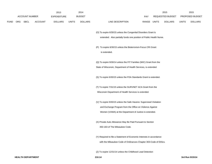|             |                       |                | 2013               |              | 2014           |                                                                      |             | 2015             |              | 2015            |
|-------------|-----------------------|----------------|--------------------|--------------|----------------|----------------------------------------------------------------------|-------------|------------------|--------------|-----------------|
|             | <b>ACCOUNT NUMBER</b> |                | <b>EXPENDITURE</b> |              | <b>BUDGET</b>  |                                                                      | PAY         | REQUESTED BUDGET |              | PROPOSED BUDGET |
| <b>FUND</b> | ORG SBCL              | <b>ACCOUNT</b> | <b>DOLLARS</b>     | <b>UNITS</b> | <b>DOLLARS</b> | LINE DESCRIPTION                                                     | RANGE UNITS | DOLLARS          | <b>UNITS</b> | <b>DOLLARS</b>  |
|             |                       |                |                    |              |                | (O) To expire 6/30/15 unless the Congenital Disorders Grant is       |             |                  |              |                 |
|             |                       |                |                    |              |                | extended. Also partially funds one position of Public Health Nurse.  |             |                  |              |                 |
|             |                       |                |                    |              |                | (P) To expire 6/30/15 unless the Bioterrorism-Focus CRI Grant        |             |                  |              |                 |
|             |                       |                |                    |              |                | is extended.                                                         |             |                  |              |                 |
|             |                       |                |                    |              |                | (Q) To expire 9/30/14 unless the FIT Families (WIC) Grant from the   |             |                  |              |                 |
|             |                       |                |                    |              |                | State of Wisconsin, Department of Health Services, is extended.      |             |                  |              |                 |
|             |                       |                |                    |              |                | (S) To expire 6/30/15 unless the FDA Standards Grant is extended.    |             |                  |              |                 |
|             |                       |                |                    |              |                | (T) To expire 7/31/15 unless the SURVNET ACA Grant from the          |             |                  |              |                 |
|             |                       |                |                    |              |                | Wisconsin Department of Health Services is extended.                 |             |                  |              |                 |
|             |                       |                |                    |              |                | (V) To expire 9/30/15 unless the Safe Havens: Supervised Visitation  |             |                  |              |                 |
|             |                       |                |                    |              |                | and Exchange Program from the Office on Violence Against             |             |                  |              |                 |
|             |                       |                |                    |              |                | Women (VAWA) at the Department of Justice is extended.               |             |                  |              |                 |
|             |                       |                |                    |              |                | (X) Private Auto Allowance May Be Paid Pursuant to Section           |             |                  |              |                 |
|             |                       |                |                    |              |                | 350-183 of The Milwaukee Code.                                       |             |                  |              |                 |
|             |                       |                |                    |              |                | (Y) Required to file a Statement of Economic Interests in accordance |             |                  |              |                 |
|             |                       |                |                    |              |                | with the Milwaukee Code of Ordinances Chapter 303-Code of Ethics.    |             |                  |              |                 |
|             |                       |                |                    |              |                | (Z) To expire 12/31/14 unless the Childhood Lead Detection           |             |                  |              |                 |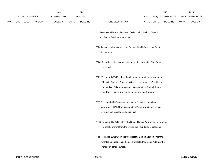|             |                       |                | 2013               |              | 2014           |                                                                       |             | 2015             |              | 2015            |
|-------------|-----------------------|----------------|--------------------|--------------|----------------|-----------------------------------------------------------------------|-------------|------------------|--------------|-----------------|
|             | <b>ACCOUNT NUMBER</b> |                | <b>EXPENDITURE</b> |              | <b>BUDGET</b>  |                                                                       | <b>PAY</b>  | REQUESTED BUDGET |              | PROPOSED BUDGET |
| <b>FUND</b> | ORG SBCL              | <b>ACCOUNT</b> | <b>DOLLARS</b>     | <b>UNITS</b> | <b>DOLLARS</b> | LINE DESCRIPTION                                                      | RANGE UNITS | <b>DOLLARS</b>   | <b>UNITS</b> | <b>DOLLARS</b>  |
|             |                       |                |                    |              |                | Grant available from the State of Wisconsin Division of Health        |             |                  |              |                 |
|             |                       |                |                    |              |                | and Family Services is extended.                                      |             |                  |              |                 |
|             |                       |                |                    |              |                | (BB) To expire 9/30/14 unless the Refugee Health Screening Grant      |             |                  |              |                 |
|             |                       |                |                    |              |                | is extended.                                                          |             |                  |              |                 |
|             |                       |                |                    |              |                | (DD) To expire 12/31/14 unless the Immunization Action Plan Grant     |             |                  |              |                 |
|             |                       |                |                    |              |                | is extended.                                                          |             |                  |              |                 |
|             |                       |                |                    |              |                | (EE) To expire 2/28/15 unless the Community Health Improvement in     |             |                  |              |                 |
|             |                       |                |                    |              |                | Metcalfe Park and Concordia Save Lives Immunize Grant from            |             |                  |              |                 |
|             |                       |                |                    |              |                | the Medical College of Wisconsin is extended. Partially funds         |             |                  |              |                 |
|             |                       |                |                    |              |                | one Public Health Nurse in the Immunizations Program.                 |             |                  |              |                 |
|             |                       |                |                    |              |                | (FF) To expire 06/30/14 unless the Health-Associated Infection        |             |                  |              |                 |
|             |                       |                |                    |              |                | Awareness (HAI) Grant is extended. Partially funds one position       |             |                  |              |                 |
|             |                       |                |                    |              |                | of Infectious Disease Epidemiologist.                                 |             |                  |              |                 |
|             |                       |                |                    |              |                | (GG) To expire 12/31/15 unless the Breast Cancer Awareness--Milwaukee |             |                  |              |                 |
|             |                       |                |                    |              |                | Foundation Grant from the Milwaukee Foundation is extended.           |             |                  |              |                 |
|             |                       |                |                    |              |                | (HH) To expire 12/31/14 unless the Hepatitis B Immunization Program   |             |                  |              |                 |
|             |                       |                |                    |              |                | Grant is extended. A portion of the Health Interpreter Aide may be    |             |                  |              |                 |
|             |                       |                |                    |              |                | funded by other sources.                                              |             |                  |              |                 |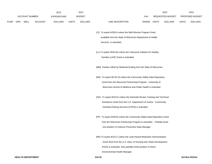|             |                       |                | 2013               |              | 2014           |                                                                          |                                        |  | 2015           |              | 2015            |
|-------------|-----------------------|----------------|--------------------|--------------|----------------|--------------------------------------------------------------------------|----------------------------------------|--|----------------|--------------|-----------------|
|             | <b>ACCOUNT NUMBER</b> |                | <b>EXPENDITURE</b> |              | <b>BUDGET</b>  |                                                                          | REQUESTED BUDGET<br>PAY<br>RANGE UNITS |  |                |              | PROPOSED BUDGET |
| <b>FUND</b> | ORG SBCL              | <b>ACCOUNT</b> | <b>DOLLARS</b>     | <b>UNITS</b> | <b>DOLLARS</b> | LINE DESCRIPTION                                                         |                                        |  | <b>DOLLARS</b> | <b>UNITS</b> | <b>DOLLARS</b>  |
|             |                       |                |                    |              |                | (JJ) To expire 6/30/14 unless the Well Woman Program Grant               |                                        |  |                |              |                 |
|             |                       |                |                    |              |                | available from the State of Wisconsin Department of Health               |                                        |  |                |              |                 |
|             |                       |                |                    |              |                | Services, is extended.                                                   |                                        |  |                |              |                 |
|             |                       |                |                    |              |                |                                                                          |                                        |  |                |              |                 |
|             |                       |                |                    |              |                | (LL) To expire 05/31/16 unless the Lifecourse Initiative for Healthy     |                                        |  |                |              |                 |
|             |                       |                |                    |              |                | Families (LIHF) Grant is extended.                                       |                                        |  |                |              |                 |
|             |                       |                |                    |              |                |                                                                          |                                        |  |                |              |                 |
|             |                       |                |                    |              |                | (MM) Position offset by Medicaid funding from the State of Wisconsin.    |                                        |  |                |              |                 |
|             |                       |                |                    |              |                |                                                                          |                                        |  |                |              |                 |
|             |                       |                |                    |              |                | (NN) To expire 06-30-16 unless the Community Safety Data Repository      |                                        |  |                |              |                 |
|             |                       |                |                    |              |                | Grant from the Wisconsin Partnership Program - University of             |                                        |  |                |              |                 |
|             |                       |                |                    |              |                | Wisconsin-School of Medicine and Public Health is extended.              |                                        |  |                |              |                 |
|             |                       |                |                    |              |                |                                                                          |                                        |  |                |              |                 |
|             |                       |                |                    |              |                | (OO) To expire 8/31/15 unless the Homicide Review Training and Technical |                                        |  |                |              |                 |
|             |                       |                |                    |              |                | Assistance Grant from the U.S. Department of Justice - Community         |                                        |  |                |              |                 |
|             |                       |                |                    |              |                | Oriented Policing Services (COPS) is extended.                           |                                        |  |                |              |                 |
|             |                       |                |                    |              |                |                                                                          |                                        |  |                |              |                 |
|             |                       |                |                    |              |                | (PP) To expire 6/30/16 unless the Community Safety Data Repository Grant |                                        |  |                |              |                 |
|             |                       |                |                    |              |                | from the Wisconsin Partnership Program is extended. Partially funds      |                                        |  |                |              |                 |
|             |                       |                |                    |              |                | one position of Violence Prevention Data Manager.                        |                                        |  |                |              |                 |
|             |                       |                |                    |              |                |                                                                          |                                        |  |                |              |                 |
|             |                       |                |                    |              |                | (RR) To expire 8/31/17 unless the Lead Hazard Reduction Demonstration    |                                        |  |                |              |                 |
|             |                       |                |                    |              |                | Grant 2010 from the U.S. Dept. of Housing and Urban Development          |                                        |  |                |              |                 |
|             |                       |                |                    |              |                | (HUD) is extended. Also partially funds position of Home                 |                                        |  |                |              |                 |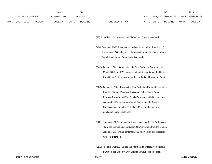|             |     |                |                | 2013               |              | 2014           |                  |       |       | 2015             |              | 2015                   |
|-------------|-----|----------------|----------------|--------------------|--------------|----------------|------------------|-------|-------|------------------|--------------|------------------------|
|             |     | ACCOUNT NUMBER |                | <b>EXPENDITURE</b> |              | <b>BUDGET</b>  | <b>PAY</b>       |       |       | REQUESTED BUDGET |              | <b>PROPOSED BUDGET</b> |
| <b>FUND</b> | ORG | <b>SBCL</b>    | <b>ACCOUNT</b> | <b>DOLLARS</b>     | <b>UNITS</b> | <b>DOLLARS</b> | LINE DESCRIPTION | RANGE | UNITS | <b>DOLLARS</b>   | <b>UNITS</b> | <b>DOLLARS</b>         |

(TT) To expire 12/31/14 unless the CDBG Lead Grant is extended.

(WW) To expire 6/30/15 unless the Lead Abatement Grant from the U.S. Department of Housing and Urban Development (HUD) through the Social Development Commission is extended.

(AAA) To expire 7/31/15 unless the HIV Risk Reduction Grant from the Medical College of Wisconsin is extended. A portion of the Nurse Practitioner Position may be funded by the Dual Protection Grant.

(BBB) To expire 12/31/14 unless the Dual Protection Partnership Initiative from the State of Wisconsin Division of Public Health-Family Planning Program and The Family Planning Health Services, Inc. is extended. Funds one position of Communicable Disease Specialist position in the STD Clinic. May partially fund one position of Nurse Practitioner.

(DDD) To expire 6/30/15 unless the Seek, Test, Treat (STT); Addressing HIV in the Criminal Justice System Grant available from the Medical College of Wisconsin's center for AIDS Intervention and Research (CAIR) is extended.

(EEE) To expire 7/31/2014 unless the Infant Mortality Reduction Initiative grant from the United Way of Greater Milwaukee is extended.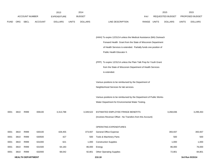|             |      |                          |                | 2013               |              | 2014           |                                                                       |            |              | 2015             |              | 2015            |
|-------------|------|--------------------------|----------------|--------------------|--------------|----------------|-----------------------------------------------------------------------|------------|--------------|------------------|--------------|-----------------|
|             |      | <b>ACCOUNT NUMBER</b>    |                | <b>EXPENDITURE</b> |              | <b>BUDGET</b>  |                                                                       | <b>PAY</b> |              | REQUESTED BUDGET |              | PROPOSED BUDGET |
| <b>FUND</b> | ORG  | SBCL                     | <b>ACCOUNT</b> | <b>DOLLARS</b>     | <b>UNITS</b> | <b>DOLLARS</b> | LINE DESCRIPTION                                                      | RANGE      | <b>UNITS</b> | <b>DOLLARS</b>   | <b>UNITS</b> | <b>DOLLARS</b>  |
|             |      |                          |                |                    |              |                |                                                                       |            |              |                  |              |                 |
|             |      |                          |                |                    |              |                | (HHH) To expire 12/31/14 unless the Medical Assistance (MA) Outreach  |            |              |                  |              |                 |
|             |      |                          |                |                    |              |                | Forward Health Grant from the State of Wisconsin Department           |            |              |                  |              |                 |
|             |      |                          |                |                    |              |                | of Health Services is extended. Partially funds one position of       |            |              |                  |              |                 |
|             |      |                          |                |                    |              |                | Public Health Educator II.                                            |            |              |                  |              |                 |
|             |      |                          |                |                    |              |                | (PPP) To expire 12/31/14 unless the Plain Talk Prep for Youth Grant   |            |              |                  |              |                 |
|             |      |                          |                |                    |              |                | from the State of Wisconsin Department of Health Services             |            |              |                  |              |                 |
|             |      |                          |                |                    |              |                | is extended.                                                          |            |              |                  |              |                 |
|             |      |                          |                |                    |              |                | Various positions to be reimbursed by the Department of               |            |              |                  |              |                 |
|             |      |                          |                |                    |              |                | Neighborhood Services for lab services.                               |            |              |                  |              |                 |
|             |      |                          |                |                    |              |                | Various positions to be reimbursed by the Department of Public Works- |            |              |                  |              |                 |
|             |      |                          |                |                    |              |                | Water Department for Environmental Water Testing.                     |            |              |                  |              |                 |
| 0001        | 3810 | R999                     | 006100         | 3,313,788          |              | 3,349,522      | ESTIMATED EMPLOYEE FRINGE BENEFITS                                    |            |              | 3,268,836        |              | 3,299,263       |
|             |      |                          |                |                    |              |                | (Involves Revenue Offset - No Transfers from this Account)            |            |              |                  |              |                 |
|             |      |                          |                |                    |              |                | OPERATING EXPENDITURES                                                |            |              |                  |              |                 |
| 0001        | 3810 | R999                     | 630100         | 428,455            |              | 373,937        | <b>General Office Expense</b>                                         |            |              | 393,937          |              | 393,937         |
| 0001        | 3810 | R999                     | 630500         | 427                |              | 500            | Tools & Machinery Parts                                               |            |              | 500              |              | 500             |
| 0001        | 3810 | R999                     | 631000         | 621                |              | 1,000          | <b>Construction Supplies</b>                                          |            |              | 1,000            |              | 1,000           |
| 0001        | 3810 | R999                     | 631500         | 64,183             |              | 86,000         | Energy                                                                |            |              | 86,000           |              | 76,000          |
| 0001        | 3810 | R999                     | 632000         | 68,042             |              | 92,801         | <b>Other Operating Supplies</b>                                       |            |              | 72,801           |              | 84,801          |
|             |      | <b>HEALTH DEPARTMENT</b> |                |                    |              |                | 210.18                                                                |            |              |                  |              | 3rd Run 9/15/14 |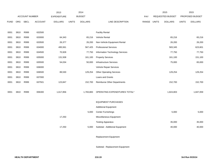|             |            |                       |                | 2013               |              | 2014           |                                 |             | 2015             |              | 2015            |
|-------------|------------|-----------------------|----------------|--------------------|--------------|----------------|---------------------------------|-------------|------------------|--------------|-----------------|
|             |            | <b>ACCOUNT NUMBER</b> |                | <b>EXPENDITURE</b> |              | <b>BUDGET</b>  |                                 | <b>PAY</b>  | REQUESTED BUDGET |              | PROPOSED BUDGET |
| <b>FUND</b> | <b>ORG</b> | SBCL                  | <b>ACCOUNT</b> | <b>DOLLARS</b>     | <b>UNITS</b> | <b>DOLLARS</b> | LINE DESCRIPTION                | RANGE UNITS | <b>DOLLARS</b>   | <b>UNITS</b> | <b>DOLLARS</b>  |
|             |            |                       |                |                    |              |                |                                 |             |                  |              |                 |
| 0001        | 3810       | R999                  | 632500         |                    |              |                | <b>Facility Rental</b>          |             |                  |              |                 |
| 0001        | 3810       | R999                  | 633000         | 64,343             |              | 65,216         | <b>Vehicle Rental</b>           |             | 65,216           |              | 65,216          |
| 0001        | 3810       | R999                  | 633500         | 26,377             |              | 26,200         | Non-Vehicle Equipment Rental    |             | 26,200           |              | 26,200          |
| 0001        | 3810       | R999                  | 634000         | 495,561            |              | 567,425        | <b>Professional Services</b>    |             | 583,345          |              | 623,601         |
| 0001        | 3810       | R999                  | 634500         | 70,928             |              | 77,750         | Information Technology Services |             | 77,750           |              | 77,750          |
| 0001        | 3810       | R999                  | 635000         | 131,508            |              | 161,100        | <b>Property Services</b>        |             | 161,100          |              | 151,100         |
| 0001        | 3810       | R999                  | 635500         | 54,034             |              | 50,000         | <b>Infrastructure Services</b>  |             | 75,000           |              | 65,000          |
| 0001        | 3810       | R999                  | 636000         |                    |              |                | Vehicle Repair Services         |             |                  |              |                 |
| 0001        | 3810       | R999                  | 636500         | 89,530             |              | 129,254        | <b>Other Operating Services</b> |             | 129,254          |              | 129,254         |
| 0001        | 3810       | R999                  | 637000         |                    |              |                | Loans and Grants                |             |                  |              |                 |
| 0001        | 3810       | R999                  | 637501         | 123,847            |              | 152,700        | Reimburse Other Departments     |             | 152,700          |              | 152,700         |
|             |            |                       |                |                    |              |                |                                 |             |                  |              |                 |
| 0001        | 3810       | R999                  | 006300         | 1,617,856          |              | 1,783,883      | OPERATING EXPENDITURES TOTAL*   |             | 1,824,803        |              | 1,847,059       |
|             |            |                       |                |                    |              |                |                                 |             |                  |              |                 |
|             |            |                       |                |                    |              |                | <b>EQUIPMENT PURCHASES</b>      |             |                  |              |                 |
|             |            |                       |                |                    |              |                | <b>Additional Equipment</b>     |             |                  |              |                 |
|             |            |                       |                |                    |              | 5,000          | <b>Center Furnishings</b>       |             | 5,000            |              | 5,000           |
|             |            |                       |                | 17,250             |              |                | Miscellaneous Equipment         |             |                  |              |                 |
|             |            |                       |                |                    |              |                | <b>Testing Apparatus</b>        |             | 35,000           |              | 35,000          |
|             |            |                       |                | 17,250             |              | 5,000          | Subtotal - Additional Equipment |             | 40,000           |              | 40,000          |
|             |            |                       |                |                    |              |                |                                 |             |                  |              |                 |

Replacement Equipment

Subtotal - Replacement Equipment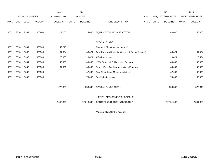|             |            |                       |                | 2013               |              | 2014           |                                                   |       |              | 2015                    |              | 2015            |
|-------------|------------|-----------------------|----------------|--------------------|--------------|----------------|---------------------------------------------------|-------|--------------|-------------------------|--------------|-----------------|
|             |            | <b>ACCOUNT NUMBER</b> |                | <b>EXPENDITURE</b> |              | <b>BUDGET</b>  |                                                   | PAY   |              | <b>REQUESTED BUDGET</b> |              | PROPOSED BUDGET |
| <b>FUND</b> | <b>ORG</b> | <b>SBCL</b>           | <b>ACCOUNT</b> | <b>DOLLARS</b>     | <b>UNITS</b> | <b>DOLLARS</b> | LINE DESCRIPTION                                  | RANGE | <b>UNITS</b> | <b>DOLLARS</b>          | <b>UNITS</b> | <b>DOLLARS</b>  |
| 0001        | 3810       | R999                  | 006800         | 17,250             |              | 5,000          | EQUIPMENT PURCHASES TOTAL*                        |       |              | 40,000                  |              | 40,000          |
|             |            |                       |                |                    |              |                | <b>SPECIAL FUNDS</b>                              |       |              |                         |              |                 |
| 0001        | 3810       | R391                  | 006300         | 49,245             |              |                | Computer Maintenance/Upgrade*                     |       |              |                         |              |                 |
| 0001        | 3810       | R387                  | 006300         | 34,864             |              | 46,424         | Task Force on Domestic Violence & Sexual Assault* |       |              | 46,424                  |              | 31,424          |
| 0001        | 3810       | R392                  | 006300         | 120,000            |              | 110,424        | AIDs Prevention*                                  |       |              | 110,424                 |              | 110,424         |
| 0001        | 3810       | R394                  | 006300         | 40,000             |              | 40,000         | UWM School of Public Health Payment*              |       |              | 40,000                  |              | 40,000          |
| 0001        | 3810       | R395                  | 006300         | 31,521             |              | 40,000         | Beach Water Quality and Advisory Program*         |       |              | 40,000                  |              | 40,000          |
| 0001        | 3810       | R396                  | 006300         |                    |              | 47,000         | Safe Sleep/Infant Mortality Initiative*           |       |              | 47,000                  |              | 47,000          |
| 0001        | 3810       | R397                  | 006300         |                    |              | 70,000         | <b>Facility Maintenance*</b>                      |       |              | 70,000                  |              | 55,000          |
|             |            |                       |                | 275,630            |              | 353,848        | SPECIAL FUNDS TOTAL                               |       |              | 353,848                 |              | 323,848         |
|             |            |                       |                |                    |              |                | <b>HEALTH DEPARTMENT BUDGETARY</b>                |       |              |                         |              |                 |
|             |            |                       |                | 12,460,876         |              | 12,618,896     | CONTROL UNIT TOTAL (1BCU=1DU)                     |       |              | 12,751,567              |              | 12,841,865      |
|             |            |                       |                |                    |              |                |                                                   |       |              |                         |              |                 |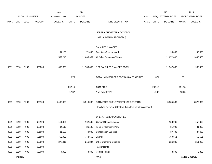|             |                |                       |                | 2013               |              | 2014           |                                                          |       |        | 2015             |              | 2015            |
|-------------|----------------|-----------------------|----------------|--------------------|--------------|----------------|----------------------------------------------------------|-------|--------|------------------|--------------|-----------------|
|             |                | <b>ACCOUNT NUMBER</b> |                | <b>EXPENDITURE</b> |              | <b>BUDGET</b>  |                                                          | PAY   |        | REQUESTED BUDGET |              | PROPOSED BUDGET |
| <b>FUND</b> | ORG            | <b>SBCL</b>           | <b>ACCOUNT</b> | <b>DOLLARS</b>     | <b>UNITS</b> | <b>DOLLARS</b> | LINE DESCRIPTION                                         | RANGE | UNITS  | <b>DOLLARS</b>   | <b>UNITS</b> | <b>DOLLARS</b>  |
|             |                |                       |                |                    |              |                |                                                          |       |        |                  |              |                 |
|             |                |                       |                |                    |              |                | LIBRARY BUDGETARY CONTROL                                |       |        |                  |              |                 |
|             |                |                       |                |                    |              |                | UNIT (SUMMARY 1BCU=3DU)                                  |       |        |                  |              |                 |
|             |                |                       |                |                    |              |                | <b>SALARIES &amp; WAGES</b>                              |       |        |                  |              |                 |
|             |                |                       |                | 94,150             |              | 71,000         | Overtime Compensated*                                    |       |        | 95,000           |              | 95,000          |
|             |                |                       |                | 11,559,248         |              | 11,665,357     | All Other Salaries & Wages                               |       |        | 11,872,865       |              | 11,843,460      |
|             |                |                       |                |                    |              |                |                                                          |       |        |                  |              |                 |
| 0001        | 8610           | R999                  | 006000         | 11,653,398         |              | 11,736,357     | NET SALARIES & WAGES TOTAL*                              |       |        | 11,967,865       |              | 11,938,460      |
|             |                |                       |                |                    | 370          |                | TOTAL NUMBER OF POSITIONS AUTHORIZED                     |       | 371    |                  | 371          |                 |
|             |                |                       |                |                    |              |                |                                                          |       |        |                  |              |                 |
|             |                |                       |                |                    | 292.15       |                | <b>O&amp;M FTE'S</b>                                     |       | 295.16 |                  | 291.18       |                 |
|             |                |                       |                |                    | 17.37        |                | Non-O&M FTE'S                                            |       | 17.37  |                  | 18.28        |                 |
| 0001        | 8610           | R999                  | 006100         | 5,460,608          |              | 5,516,088      | ESTIMATED EMPLOYEE FRINGE BENEFITS                       |       |        | 5,385,539        |              | 5,372,306       |
|             |                |                       |                |                    |              |                | (Involves Revenue Offset-No Transfers from this Account) |       |        |                  |              |                 |
|             |                |                       |                |                    |              |                |                                                          |       |        |                  |              |                 |
|             |                |                       |                |                    |              |                | OPERATING EXPENDITURES                                   |       |        |                  |              |                 |
| 0001        | 8610           | R999                  | 630100         | 111,861            |              | 162,500        | <b>General Office Expense</b>                            |       |        | 158,000          |              | 158,000         |
| 0001        | 8610           | R999                  | 630500         | 34,116             |              | 26,100         | Tools & Machinery Parts                                  |       |        | 31,000           |              | 31,000          |
| 0001        | 8610           | R999                  | 631000         | 31,125             |              | 40,900         | <b>Construction Supplies</b>                             |       |        | 37,400           |              | 37,400          |
| 0001        | 8610           | R999                  | 631500         | 755,937            |              | 743,658        | Energy                                                   |       |        | 759,551          |              | 759,551         |
| 0001        | 8610           | R999                  | 632000         | 277,411            |              | 216,334        | <b>Other Operating Supplies</b>                          |       |        | 226,880          |              | 211,200         |
| 0001        | 8610           | R999                  | 632500         |                    |              |                | <b>Facility Rental</b>                                   |       |        |                  |              |                 |
| 0001        | 8610           | R999                  | 633000         | 4,923              |              | 8,300          | Vehicle Rental                                           |       |        | 8,300            |              | 8,300           |
|             | <b>LIBRARY</b> |                       |                |                    |              |                | 220.1                                                    |       |        |                  |              | 3rd Run 9/15/14 |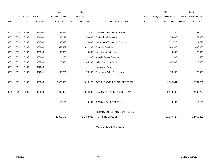|             |      |                |                | 2013               |              | 2014           |                                    |       |              | 2015             |              | 2015            |
|-------------|------|----------------|----------------|--------------------|--------------|----------------|------------------------------------|-------|--------------|------------------|--------------|-----------------|
|             |      | ACCOUNT NUMBER |                | <b>EXPENDITURE</b> |              | <b>BUDGET</b>  |                                    | PAY   |              | REQUESTED BUDGET |              | PROPOSED BUDGET |
| <b>FUND</b> | ORG  | <b>SBCL</b>    | <b>ACCOUNT</b> | <b>DOLLARS</b>     | <b>UNITS</b> | <b>DOLLARS</b> | LINE DESCRIPTION                   | RANGE | <b>UNITS</b> | <b>DOLLARS</b>   | <b>UNITS</b> | <b>DOLLARS</b>  |
|             |      |                |                |                    |              |                |                                    |       |              |                  |              |                 |
| 0001        | 8610 | R999           | 633500         | 31,077             |              | 31,800         | Non-Vehicle Equipment Rental       |       |              | 32,700           |              | 32,700          |
| 0001        | 8610 | R999           | 634000         | 103,119            |              | 59,000         | <b>Professional Services</b>       |       |              | 74,000           |              | 74,000          |
| 0001        | 8610 | R999           | 634500         | 233,340            |              | 290,000        | Information Technology Services    |       |              | 311,710          |              | 311,710         |
| 0001        | 8610 | R999           | 635000         | 659,407            |              | 811,137        | <b>Property Services</b>           |       |              | 886,900          |              | 886,900         |
| 0001        | 8610 | R999           | 635500         | 32,665             |              | 26,000         | <b>Infrastructure Services</b>     |       |              | 26,000           |              | 26,000          |
| 0001        | 8610 | R999           | 636000         | 226                |              | 500            | Vehicle Repair Services            |       |              | 500              |              | 500             |
| 0001        | 8610 | R999           | 636500         | 129,451            |              | 135,100        | <b>Other Operating Services</b>    |       |              | 137,600          |              | 117,600         |
| 0001        | 8610 | R999           | 637000         |                    |              |                | Loans and Grants                   |       |              |                  |              |                 |
| 0001        | 8610 | R999           | 637501         | 65,781             |              | 76,900         | <b>Reimburse Other Departments</b> |       |              | 76,900           |              | 76,900          |
|             |      |                |                |                    |              |                |                                    |       |              |                  |              |                 |
| 0001        | 8610 | R999           | 006300         | 2,470,439          |              | 2,628,229      | OPERATING EXPENDITURES TOTAL*      |       |              | 2,767,441        |              | 2,731,761       |
|             |      |                |                |                    |              |                |                                    |       |              |                  |              |                 |
| 0001        | 8610 | R999           | 006800         | 1,763,022          |              | 1,874,232      | EQUIPMENT PURCHASES TOTAL*         |       |              | 2,143,700        |              | 2,006,700       |
|             |      |                |                |                    |              |                |                                    |       |              |                  |              |                 |
|             |      |                |                | 13,182             |              | 13,182         | SPECIAL FUNDS TOTAL                |       |              | 13,182           |              | 13,182          |
|             |      |                |                |                    |              |                |                                    |       |              |                  |              |                 |
|             |      |                |                |                    |              |                | LIBRARY BUDGETARY CONTROL UNIT     |       |              |                  |              |                 |
|             |      |                |                | 21,360,649         |              | 21,768,088     | TOTAL (1BCU=3DU)                   |       |              | 22,277,727       |              | 22,062,409      |
|             |      |                |                |                    |              |                |                                    |       |              |                  |              |                 |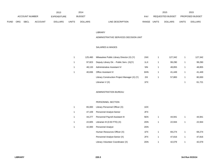|      |            |                |                | 2013           |              | 2014           |                                  |       | 2015             |              | 2015                   |
|------|------------|----------------|----------------|----------------|--------------|----------------|----------------------------------|-------|------------------|--------------|------------------------|
|      |            | ACCOUNT NUMBER |                | EXPENDITURE    |              | <b>BUDGET</b>  | PAY                              |       | REQUESTED BUDGET |              | <b>PROPOSED BUDGET</b> |
| FUND | <b>ORG</b> | SBCL           | <b>ACCOUNT</b> | <b>DOLLARS</b> | <b>UNITS</b> | <b>DOLLARS</b> | <b>RANGE</b><br>LINE DESCRIPTION | UNITS | <b>DOLLARS</b>   | <b>UNITS</b> | <b>DOLLARS</b>         |

#### LIBRARY

### ADMINISTRATIVE SERVICES DECISION UNIT

## SALARIES & WAGES

| 125.460 | Milwaukee Public Library Director (X) (Y)    | 1NX | 127.342 | 127,342 |
|---------|----------------------------------------------|-----|---------|---------|
| 97.823  | Deputy Library Dir. - Public Serv. (X)(Y)    | 1LX | 99,290  | 99,290  |
| 48.133  | Administrative Assistant IV                  | 5IN | 48,855  | 48,855  |
| 40.836  | <b>Office Assistant IV</b>                   | 6HN | 41.449  | 41,449  |
|         | Library Construction Project Manager (X) (Y) | 2IX | 57.883  | 80,000  |
|         | Librarian V (X)                              | 1FX |         | 61,721  |

### ADMINISTRATION BUREAU

## PERSONNEL SECTION

| 1 | 65.000 | Library Personnel Officer (X)     | 1DX |   |        |        |
|---|--------|-----------------------------------|-----|---|--------|--------|
| 1 | 47.109 | Personnel Analyst-Senior          | 2FX |   |        |        |
| 1 | 44.277 | Personnel Payroll Assistant III   | 5EN |   | 44.941 | 44.941 |
| 1 | 22.605 | Librarian III (0.50 FTE) $(X)$    | 2DN |   | 22.944 | 22.944 |
| 1 | 42.000 | <b>Personnel Analyst</b>          | 2DN |   |        |        |
|   |        | Human Resources Officer (X)       | 1FX |   | 69.274 | 69,274 |
|   |        | Personnel Analyst-Senior (X)      | 2FX | 1 | 47.816 | 47,816 |
|   |        | Library Volunteer Coordinator (X) | 2DN |   | 42.079 | 42.079 |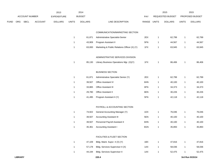|      |     |                       |         | 2013               |              | 2014           |                                              |       |                | 2015             |              | 2015            |
|------|-----|-----------------------|---------|--------------------|--------------|----------------|----------------------------------------------|-------|----------------|------------------|--------------|-----------------|
|      |     | <b>ACCOUNT NUMBER</b> |         | <b>EXPENDITURE</b> |              | <b>BUDGET</b>  |                                              | PAY   |                | REQUESTED BUDGET |              | PROPOSED BUDGET |
| FUND | ORG | <b>SBCL</b>           | ACCOUNT | <b>DOLLARS</b>     | <b>UNITS</b> | <b>DOLLARS</b> | LINE DESCRIPTION                             | RANGE | <b>UNITS</b>   | <b>DOLLARS</b>   | <b>UNITS</b> | <b>DOLLARS</b>  |
|      |     |                       |         |                    |              |                |                                              |       |                |                  |              |                 |
|      |     |                       |         |                    |              |                | COMMUNICATION/MARKETING SECTION              |       |                |                  |              |                 |
|      |     |                       |         |                    | $\mathbf{1}$ | 61,871         | Administrative Specialist-Senior             | 2EX   | $\overline{1}$ | 62,799           | $\mathbf{1}$ | 62,799          |
|      |     |                       |         |                    | $\mathbf{1}$ | 43,909         | Program Assistant II                         | 5FN   | $\mathbf{1}$   | 44,567           | $\mathbf{1}$ | 44,567          |
|      |     |                       |         |                    | $\mathbf{1}$ | 63,000         | Marketing & Public Relations Officer (X) (Y) | 1FX   | $\overline{1}$ | 63,945           | $\mathbf{1}$ | 63,945          |
|      |     |                       |         |                    |              |                |                                              |       |                |                  |              |                 |
|      |     |                       |         |                    |              |                | ADMINISTRATIVE SERVICES DIVISION             |       |                |                  |              |                 |
|      |     |                       |         |                    | -1           | 85,130         | Library Business Operations Mgr. (X)(Y)      | 1FX   | $\overline{1}$ | 86,406           | $\mathbf{1}$ | 86,406          |
|      |     |                       |         |                    |              |                | <b>BUSINESS SECTION</b>                      |       |                |                  |              |                 |
|      |     |                       |         |                    | $\mathbf{1}$ | 61,871         | Administrative Specialist Senior (Y)         | 2EX   | $\mathbf{1}$   | 62,799           | $\mathbf{1}$ | 62,799          |
|      |     |                       |         |                    | $\mathbf{1}$ | 39,507         | Office Assistant IV                          | 6HN   | $\overline{1}$ | 40,100           | $\mathbf{1}$ | 40,100          |
|      |     |                       |         |                    | $\mathbf{1}$ | 33,865         | Office Assistant III                         | 6FN   | $\overline{1}$ | 34,373           | $\mathbf{1}$ | 34,373          |
|      |     |                       |         |                    | $\mathbf{1}$ | 29,780         | Office Assistant II                          | 6EN   | $\mathbf{1}$   | 30,226           | $\mathbf{1}$ | 30,226          |
|      |     |                       |         |                    | $\mathbf 1$  | 41,495         | Program Assistant II (Y)                     | 5FN   | $\mathbf{1}$   | 42,118           | $\mathbf{1}$ | 42,118          |
|      |     |                       |         |                    |              |                |                                              |       |                |                  |              |                 |
|      |     |                       |         |                    |              |                | PAYROLL & ACCOUNTING SECTION                 |       |                |                  |              |                 |
|      |     |                       |         |                    | $\mathbf{1}$ | 74,922         | General Accounting Manager (Y)               | 1DX   | $\mathbf{1}$   | 76,046           | $\mathbf{1}$ | 76,046          |
|      |     |                       |         |                    | $\mathbf{1}$ | 39,507         | <b>Accounting Assistant III</b>              | 5EN   | $\overline{1}$ | 40,100           | $\mathbf{1}$ | 40,100          |
|      |     |                       |         |                    | $\mathbf{1}$ | 39,507         | Personnel Payroll Assistant II               | 6HN   | $\overline{1}$ | 40,100           | $\mathbf{1}$ | 40,100          |
|      |     |                       |         |                    | -1           | 35,361         | <b>Accounting Assistant I</b>                | 6GN   | $\overline{1}$ | 35,893           | $\mathbf{1}$ | 35,893          |
|      |     |                       |         |                    |              |                |                                              |       |                |                  |              |                 |
|      |     |                       |         |                    |              |                | FACILITIES & FLEET SECTION                   |       |                |                  |              |                 |
|      |     |                       |         |                    | $\mathbf{1}$ | 47,109         | Bldg. Maint. Supvr. II (X) (Y)               | 1BX   | $\mathbf{1}$   | 47,816           | $\mathbf{1}$ | 47,816          |
|      |     |                       |         |                    | $\mathbf{1}$ | 57,178         | Bldg. Services Supervisor II (X)             | 1AX   | $\mathbf{1}$   | 58,036           | $\mathbf{1}$ | 58,036          |
|      |     |                       |         |                    | $\mathbf{1}$ | 44,194         | <b>Bldg. Services Supervisor II</b>          | 1AX   | $\mathbf{1}$   | 52,475           | $\mathbf{1}$ | 52,475          |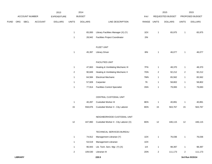|      |     |                |                | 2013               |                | 2014           |                                        |             |                | 2015             |                  | 2015            |
|------|-----|----------------|----------------|--------------------|----------------|----------------|----------------------------------------|-------------|----------------|------------------|------------------|-----------------|
|      |     | ACCOUNT NUMBER |                | <b>EXPENDITURE</b> |                | <b>BUDGET</b>  |                                        | PAY         |                | REQUESTED BUDGET |                  | PROPOSED BUDGET |
| FUND | ORG | SBCL           | <b>ACCOUNT</b> | <b>DOLLARS</b>     | <b>UNITS</b>   | <b>DOLLARS</b> | LINE DESCRIPTION                       | RANGE UNITS |                | <b>DOLLARS</b>   | <b>UNITS</b>     | <b>DOLLARS</b>  |
|      |     |                |                |                    |                |                |                                        |             |                |                  |                  |                 |
|      |     |                |                |                    | $\mathbf{1}$   | 65,000         | Library Facilities Manager (X) (Y)     | 1EX         | $\mathbf{1}$   | 65,975           | $\mathbf{1}$     | 65,975          |
|      |     |                |                |                    | $\mathbf{1}$   | 28,942         | <b>Facilities Project Coordinator</b>  | 2IN         |                |                  |                  |                 |
|      |     |                |                |                    |                |                |                                        |             |                |                  |                  |                 |
|      |     |                |                |                    |                |                | <b>FLEET UNIT</b>                      |             |                |                  |                  |                 |
|      |     |                |                |                    | $\mathbf{1}$   | 45,397         | <b>Library Driver</b>                  | 8I          | $\mathbf{1}$   | 46,077           | 1                | 46,077          |
|      |     |                |                |                    |                |                |                                        |             |                |                  |                  |                 |
|      |     |                |                |                    |                |                | <b>FACILITIES UNIT</b>                 |             |                |                  |                  |                 |
|      |     |                |                |                    | $\mathbf{1}$   | 47,663         | Heating & Ventilating Mechanic III     | 7FN         | $\mathbf{1}$   | 48,370           | $\mathbf{1}$     | 48,370          |
|      |     |                |                |                    | $\mathbf{2}$   | 90,849         | Heating & Ventilating Mechanic II      | 7DN         | $\overline{2}$ | 92,212           | $\boldsymbol{2}$ | 92,212          |
|      |     |                |                |                    | $\mathbf{1}$   | 64,584         | <b>Electrical Mechanic</b>             | 7MN         | $\mathbf{1}$   | 65,562           | $\mathbf{1}$     | 65,562          |
|      |     |                |                |                    | $\mathbf{1}$   | 57,928         | Carpenter                              | 7K          | $\mathbf{1}$   | 58,802           | $\mathbf{1}$     | 58,802          |
|      |     |                |                |                    | $\mathbf{1}$   | 77,914         | <b>Facilities Control Specialist</b>   | 3SN         | $\mathbf{1}$   | 79,083           | $\mathbf{1}$     | 79,083          |
|      |     |                |                |                    |                |                |                                        |             |                |                  |                  |                 |
|      |     |                |                |                    |                |                | CENTRAL CUSTODIAL UNIT                 |             |                |                  |                  |                 |
|      |     |                |                |                    | $\mathbf{1}$   | 40,287         | <b>Custodial Worker III</b>            | 8EN         | $\mathbf{1}$   | 40,891           | $\mathbf{1}$     | 40,891          |
|      |     |                |                |                    | 15             | 558,876        | Custodial Worker II - City Laborer     | 8DN         | 15             | 563,767          | 15               | 563,767         |
|      |     |                |                |                    |                |                |                                        |             |                |                  |                  |                 |
|      |     |                |                |                    |                |                | NEIGHBORHOOD CUSTODIAL UNIT            |             |                |                  |                  |                 |
|      |     |                |                |                    | 12             | 447,860        | Custodial Worker II - City Laborer (X) | 8DN         | 12             | 446,115          | 12               | 446,115         |
|      |     |                |                |                    |                |                |                                        |             |                |                  |                  |                 |
|      |     |                |                |                    |                |                | TECHNICAL SERVICES BUREAU              |             |                |                  |                  |                 |
|      |     |                |                |                    | $\mathbf{1}$   | 74,912         | Management Librarian (Y)               | 1DX         | $\mathbf{1}$   | 76,036           | $\mathbf 1$      | 76,036          |
|      |     |                |                |                    | $\mathbf{1}$   | 53,519         | Management Librarian                   | 1DX         |                |                  |                  |                 |
|      |     |                |                |                    | $\mathbf{1}$   | 96,943         | Lib. Tech. Serv. Mgr. (Y) (X)          | 11X         | $\mathbf{1}$   | 98,397           | $\mathbf{1}$     | 98,397          |
|      |     |                |                |                    | $\overline{a}$ | 109,530        | Librarian III                          | 2DN         | $\mathbf{2}$   | 111,173          | $\overline{2}$   | 111,173         |
|      |     |                |                |                    |                |                |                                        |             |                |                  |                  |                 |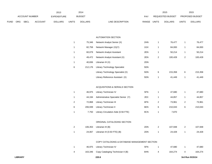|             |     |                       |                | 2013           |       | 2014           |                                  | 2015                           |              | 2015                   |
|-------------|-----|-----------------------|----------------|----------------|-------|----------------|----------------------------------|--------------------------------|--------------|------------------------|
|             |     | <b>ACCOUNT NUMBER</b> |                | EXPENDITURE    |       | <b>BUDGET</b>  | PAY                              | REQUESTED BUDGET               |              | <b>PROPOSED BUDGET</b> |
| <b>FUND</b> | ORG | SBCL                  | <b>ACCOUNT</b> | <b>DOLLARS</b> | UNITS | <b>DOLLARS</b> | <b>RANGE</b><br>LINE DESCRIPTION | <b>UNITS</b><br><b>DOLLARS</b> | <b>UNITS</b> | <b>DOLLARS</b>         |

#### AUTOMATION SECTION

| 1 | 75,346  | Network Analyst Senior (X)           | 2HN | $\mathbf{1}$ | 76,477  |   | 76,477  |
|---|---------|--------------------------------------|-----|--------------|---------|---|---------|
| 1 | 82,758  | Network Manager (X)(Y)               | 1GX | 1            | 84,000  | 1 | 84,000  |
| 1 | 60,079  | Network Analyst Assistant            | 2EN | 1            | 50,214  | 1 | 50,214  |
| 1 | 49,472  | Network Analyst Assistant (X)        | 2EN | 2            | 100,428 | 2 | 100,428 |
| 1 | 40,836  | Librarian III (X)                    | 2DN |              |         |   |         |
| 6 | 212,176 | <b>Library Technology Specialist</b> | 5DN |              |         |   |         |
|   |         | Library Technology Specialist (X)    | 5DN | 6            | 215,358 | 6 | 215,358 |
|   |         | Library Reference Assistant (X)      | 5DN | 1            | 41,449  | 1 | 41,449  |
|   |         |                                      |     |              |         |   |         |
|   |         | ACQUISITIONS & SERIALS SECTION       |     |              |         |   |         |
|   | 46,975  | Library Technician IV                | 5FN |              | 47,680  |   | 47,680  |

|   | 44.194  | Administrative Specialist Senior (Y) | 2EX | 44.857  |   | 44,857  |
|---|---------|--------------------------------------|-----|---------|---|---------|
| 2 | 72.868  | Library Technician III               | 6FN | 73.961  |   | 73,961  |
| 6 | 206.939 | Library Technician II                | 6EN | 210.043 | 6 | 210,043 |
|   | 7.750   | Library Circulation Aide (0.56 FTE)  | 9CN | 7.870   |   |         |

# ORIGINAL CATALOGING SECTION

|  | 106,353 Librarian III (B)           | 2DN | 107.948 | 107.948 |
|--|-------------------------------------|-----|---------|---------|
|  | 24,067 Librarian III (0.50 FTE) (B) | 2DN | 24.428  | 24,428  |

# COPY CATALOGING & DATABASE MANAGEMENT SECTION

|  | 46,975 Library Technician IV              | 5FN | 47.680  | 47,680  |
|--|-------------------------------------------|-----|---------|---------|
|  | 163,346 Copy Cataloging Technician II (B) | 6HN | 164.274 | 164,274 |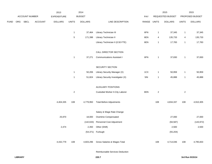|             |     |                |                | 2013               |              | 2014           |                                   |       |              | 2015             |                | 2015            |
|-------------|-----|----------------|----------------|--------------------|--------------|----------------|-----------------------------------|-------|--------------|------------------|----------------|-----------------|
|             |     | ACCOUNT NUMBER |                | <b>EXPENDITURE</b> |              | <b>BUDGET</b>  |                                   | PAY   |              | REQUESTED BUDGET |                | PROPOSED BUDGET |
| <b>FUND</b> | ORG | SBCL           | <b>ACCOUNT</b> | <b>DOLLARS</b>     | <b>UNITS</b> | <b>DOLLARS</b> | LINE DESCRIPTION                  | RANGE | <b>UNITS</b> | <b>DOLLARS</b>   | <b>UNITS</b>   | <b>DOLLARS</b>  |
|             |     |                |                |                    |              |                |                                   |       |              |                  |                |                 |
|             |     |                |                |                    | $\mathbf{1}$ | 37,464         | Library Technician III            | 6FN   | $\mathbf 1$  | 37,345           | $\mathbf{1}$   | 37,345          |
|             |     |                |                |                    | 5            | 171,398        | Library Technician II             | 6EN   | 4            | 135,733          | 4              | 135,733         |
|             |     |                |                |                    |              |                | Library Technician II (0.50 FTE)  | 6EN   | $\mathbf{1}$ | 17,783           | $\mathbf{1}$   | 17,783          |
|             |     |                |                |                    |              |                | CALL DIRECTOR SECTION             |       |              |                  |                |                 |
|             |     |                |                |                    | $\mathbf{1}$ | 37,271         | <b>Communications Assistant I</b> | 6FN   | $\mathbf{1}$ | 37,830           | $\mathbf{1}$   | 37,830          |
|             |     |                |                |                    |              |                |                                   |       |              |                  |                |                 |
|             |     |                |                |                    |              |                | SECURITY SECTION                  |       |              |                  |                |                 |
|             |     |                |                |                    | $\mathbf{1}$ | 50,206         | Library Security Manager (X)      | 1CX   | $\mathbf{1}$ | 50,959           | $\mathbf{1}$   | 50,959          |
|             |     |                |                |                    | $\mathbf{1}$ | 51,824         | Library Security Investigator (X) | 5IN   | $\mathbf{1}$ | 45,888           | $\mathbf{1}$   | 45,888          |
|             |     |                |                |                    |              |                |                                   |       |              |                  |                |                 |
|             |     |                |                |                    |              |                | <b>AUXILIARY POSITIONS</b>        |       |              |                  |                |                 |
|             |     |                |                |                    | $\sqrt{2}$   |                | Custodial Worker II-City Laborer  | 8DN   | $\sqrt{2}$   |                  | $\overline{2}$ |                 |
|             |     |                |                | 4,404,335          | 108          | 4,779,950      | <b>Total Before Adjustments</b>   |       | 108          | 4,834,337        | 108            | 4,910,305       |
|             |     |                |                |                    |              |                |                                   |       |              |                  |                |                 |
|             |     |                |                |                    |              |                | Salary & Wage Rate Change         |       |              |                  |                |                 |
|             |     |                |                | 25,970             |              | 18,000         | Overtime Compensated              |       |              | 27,000           |                | 27,000          |
|             |     |                |                |                    |              | (142, 633)     | Personnel Cost Adjustment         |       |              | (94, 587)        |                | (143, 972)      |
|             |     |                |                | 2,474              |              | 2,350          | Other (Shift)                     |       |              | 2,500            |                | 2,500           |
|             |     |                |                |                    |              |                | (54,371) Furlough                 |       |              | (55, 204)        |                |                 |
|             |     |                |                | 4,432,779          | 108          | 4,603,296      | Gross Salaries & Wages Total      |       | 108          | 4,714,046        | 108            | 4,795,833       |
|             |     |                |                |                    |              |                |                                   |       |              |                  |                |                 |

Reimbursable Services Deduction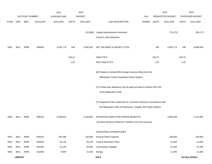|             |                |                       |                | 2013               |              | 2014           |                                                                           |            |              | 2015             |              | 2015            |
|-------------|----------------|-----------------------|----------------|--------------------|--------------|----------------|---------------------------------------------------------------------------|------------|--------------|------------------|--------------|-----------------|
|             |                | <b>ACCOUNT NUMBER</b> |                | <b>EXPENDITURE</b> |              | <b>BUDGET</b>  |                                                                           | <b>PAY</b> |              | REQUESTED BUDGET |              | PROPOSED BUDGET |
| <b>FUND</b> | ORG            | SBCL                  | <b>ACCOUNT</b> | <b>DOLLARS</b>     | <b>UNITS</b> | <b>DOLLARS</b> | LINE DESCRIPTION                                                          | RANGE      | <b>UNITS</b> | <b>DOLLARS</b>   | <b>UNITS</b> | <b>DOLLARS</b>  |
|             |                |                       |                |                    |              |                |                                                                           |            |              |                  |              |                 |
|             |                |                       |                |                    |              | (52, 899)      | Capital Improvements Deduction                                            |            |              | (79, 272)        |              | (99, 177)       |
|             |                |                       |                |                    |              |                | Grants & Aids Deduction                                                   |            |              |                  |              |                 |
|             |                |                       |                |                    |              |                |                                                                           |            |              |                  |              |                 |
| 0001        | 8611           | R999                  | 006000         | 4,432,779          | 108          | 4,550,397      | NET SALARIES & WAGES TOTAL                                                |            | 108          | 4,634,774        | 108          | 4,696,656       |
|             |                |                       |                |                    |              |                |                                                                           |            |              |                  |              |                 |
|             |                |                       |                |                    | 100.21       |                | O&M FTE'S                                                                 |            | 100.75       |                  | 100.15       |                 |
|             |                |                       |                |                    | 1.25         |                | NON-O&M FTE'S                                                             |            | 1.25         |                  | 1.25         |                 |
|             |                |                       |                |                    |              |                |                                                                           |            |              |                  |              |                 |
|             |                |                       |                |                    |              |                | (B) Position is funded 90% through revenue offset from the                |            |              |                  |              |                 |
|             |                |                       |                |                    |              |                | Milwaukee County Federated Library System.                                |            |              |                  |              |                 |
|             |                |                       |                |                    |              |                |                                                                           |            |              |                  |              |                 |
|             |                |                       |                |                    |              |                | (X) Private auto allowance may be paid pursuant to Section 350-183        |            |              |                  |              |                 |
|             |                |                       |                |                    |              |                | of the Milwaukee Code.                                                    |            |              |                  |              |                 |
|             |                |                       |                |                    |              |                |                                                                           |            |              |                  |              |                 |
|             |                |                       |                |                    |              |                | (Y) Required to file a statement of economic interests in accordance with |            |              |                  |              |                 |
|             |                |                       |                |                    |              |                | the Milwaukee Code of Ordinances Chapter 303-Code of Ethics.              |            |              |                  |              |                 |
|             |                |                       |                |                    |              |                |                                                                           |            |              |                  |              |                 |
| 0001        | 8611           | R999                  | 006100         | 2,048,554          |              | 2,138,687      | ESTIMATED EMPLOYEE FRINGE BENEFITS                                        |            |              | 2,085,648        |              | 2,113,495       |
|             |                |                       |                |                    |              |                | (Involves Revenue Offset-No Transfers from this Account)                  |            |              |                  |              |                 |
|             |                |                       |                |                    |              |                | OPERATING EXPENDITURES                                                    |            |              |                  |              |                 |
| 0001        | 8611           | R999                  | 630100         | 103,496            |              | 150,500        | <b>General Office Expense</b>                                             |            |              | 146,000          |              | 146,000         |
| 0001        | 8611           | R999                  | 630500         | 34,116             |              | 26,100         | Tools & Machinery Parts                                                   |            |              | 31,000           |              | 31,000          |
| 0001        | 8611           | R999                  | 631000         | 31,125             |              | 40,900         | <b>Construction Supplies</b>                                              |            |              | 37,400           |              | 37,400          |
| 0001        | 8611           | R999                  | 631500         | 8,997              |              | 11,025         | Energy                                                                    |            |              | 11,000           |              | 11,000          |
|             | <b>LIBRARY</b> |                       |                |                    |              |                | 220.8                                                                     |            |              |                  |              | 3rd Run 9/15/14 |
|             |                |                       |                |                    |              |                |                                                                           |            |              |                  |              |                 |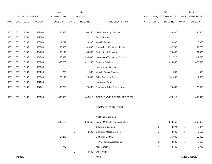|             |      |                       |                | 2013               |              | 2014           |                                     |       |                | 2015             |                | 2015            |
|-------------|------|-----------------------|----------------|--------------------|--------------|----------------|-------------------------------------|-------|----------------|------------------|----------------|-----------------|
|             |      | <b>ACCOUNT NUMBER</b> |                | <b>EXPENDITURE</b> |              | <b>BUDGET</b>  |                                     | PAY   |                | REQUESTED BUDGET |                | PROPOSED BUDGET |
| <b>FUND</b> | ORG  | SBCL                  | <b>ACCOUNT</b> | <b>DOLLARS</b>     | <b>UNITS</b> | <b>DOLLARS</b> | LINE DESCRIPTION                    | RANGE | <b>UNITS</b>   | <b>DOLLARS</b>   | <b>UNITS</b>   | <b>DOLLARS</b>  |
|             |      |                       |                |                    |              |                |                                     |       |                |                  |                |                 |
| 0001        | 8611 | R999                  | 632000         | 268,833            |              | 204,250        | <b>Other Operating Supplies</b>     |       |                | 196,905          |                | 196,905         |
| 0001        | 8611 | R999                  | 632500         |                    |              |                | <b>Facility Rental</b>              |       |                |                  |                |                 |
| 0001        | 8611 | R999                  | 633000         | 4,219              |              | 8,300          | Vehicle Rental                      |       |                | 8,300            |                | 8,300           |
| 0001        | 8611 | R999                  | 633500         | 30,900             |              | 31,800         | Non-Vehicle Equipment Rental        |       |                | 32,700           |                | 32,700          |
| 0001        | 8611 | R999                  | 634000         | 103,119            |              | 59,000         | <b>Professional Services</b>        |       |                | 74,000           |                | 74,000          |
| 0001        | 8611 | R999                  | 634500         | 233,340            |              | 290,000        | Information Technology Services     |       |                | 311,710          |                | 311,710         |
| 0001        | 8611 | R999                  | 635000         | 356,208            |              | 421,237        | <b>Property Services</b>            |       |                | 423,000          |                | 423,000         |
| 0001        | 8611 | R999                  | 635500         |                    |              |                | <b>Infrastructure Services</b>      |       |                |                  |                |                 |
| 0001        | 8611 | R999                  | 636000         | 226                |              | 500            | Vehicle Repair Services             |       |                | 500              |                | 500             |
| 0001        | 8611 | R999                  | 636500         | 122,111            |              | 129,500        | <b>Other Operating Services</b>     |       |                | 131,000          |                | 111,000         |
| 0001        | 8611 | R999                  | 637000         |                    |              |                | Loans and Grants                    |       |                |                  |                |                 |
| 0001        | 8611 | R999                  | 637501         | 65,770             |              | 75,400         | Reimburse Other Departments         |       |                | 75,400           |                | 75,400          |
|             |      |                       |                |                    |              |                |                                     |       |                |                  |                |                 |
| 0001        | 8611 | R999                  | 006300         | 1,362,460          |              | 1,448,512      | OPERATING EXPENDITURES TOTAL        |       |                | 1,478,915        |                | 1,458,915       |
|             |      |                       |                |                    |              |                |                                     |       |                |                  |                |                 |
|             |      |                       |                |                    |              |                | <b>EQUIPMENT PURCHASES</b>          |       |                |                  |                |                 |
|             |      |                       |                |                    |              |                |                                     |       |                |                  |                |                 |
|             |      |                       |                |                    |              |                | <b>Additional Equipment</b>         |       |                |                  |                |                 |
|             |      |                       |                | 1,545,173          |              | 1,566,653      | Library Materials - Books & Other   |       |                | 1,613,652        |                | 1,553,652       |
|             |      |                       |                |                    |              |                | <b>Cleaning Equipment</b>           |       | 1              | 3,074            | $\mathbf{1}$   | 3,074           |
|             |      |                       |                |                    | 5            | 2,500          | <b>Computer Mobile Devices</b>      |       | 5              | 2,500            | 5              | 2,500           |
|             |      |                       |                | 17,243             |              |                | <b>Computer Software</b>            |       |                | 15,000           |                | 15,000          |
|             |      |                       |                |                    |              |                | <b>HVAC Parts &amp; Accessories</b> |       | $\mathbf{1}$   | 8,500            | $\mathbf{1}$   | 8,500           |
|             |      |                       |                | 747                |              |                | Miscellaneous                       |       | $\overline{7}$ | 3,745            | $\overline{7}$ | 3,745           |
|             |      |                       |                |                    | $\mathbf{1}$ | 4,500          | Other Audio                         |       |                |                  |                |                 |
|             |      |                       |                |                    |              |                |                                     |       |                |                  |                |                 |

**LIBRARY 220.9 3rd Run 9/15/14**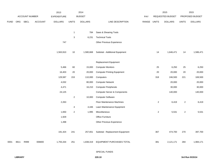|             |      |                |                | 2013               |                | 2014           |                                          |             |                | 2015             |                         | 2015            |
|-------------|------|----------------|----------------|--------------------|----------------|----------------|------------------------------------------|-------------|----------------|------------------|-------------------------|-----------------|
|             |      | ACCOUNT NUMBER |                | <b>EXPENDITURE</b> |                | <b>BUDGET</b>  |                                          | PAY         |                | REQUESTED BUDGET |                         | PROPOSED BUDGET |
| <b>FUND</b> | ORG  | SBCL           | <b>ACCOUNT</b> | <b>DOLLARS</b>     | <b>UNITS</b>   | <b>DOLLARS</b> | LINE DESCRIPTION                         | RANGE UNITS |                | <b>DOLLARS</b>   | <b>UNITS</b>            | <b>DOLLARS</b>  |
|             |      |                |                |                    |                |                |                                          |             |                |                  |                         |                 |
|             |      |                |                |                    | $\overline{1}$ | 784            | Saws & Shearing Tools                    |             |                |                  |                         |                 |
|             |      |                |                |                    | 3              | 6,231          | <b>Technical Tools</b>                   |             |                |                  |                         |                 |
|             |      |                |                | 747                |                |                | Other Previous Experience                |             |                |                  |                         |                 |
|             |      |                |                | 1,563,910          | 10             | 1,580,668      | Subtotal - Additional Equipment          |             | 14             | 1,646,471        | 14                      | 1,586,471       |
|             |      |                |                |                    |                |                | Replacement Equipment                    |             |                |                  |                         |                 |
|             |      |                |                | 5,466              | 60             | 15,000         | <b>Computer Monitors</b>                 |             | 25             | 6,250            | 25                      | 6,250           |
|             |      |                |                | 16,403             | 20             | 20,000         | <b>Computer Printing Equipment</b>       |             | 20             | 20,000           | 20                      | 20,000          |
|             |      |                |                | 129,587            | 153            | 110,000        | Computers                                |             | 318            | 246,500          | 221                     | 169,500         |
|             |      |                |                | 4,032              |                | 80,000         | <b>Computer Network</b>                  |             |                | 20,000           |                         | 20,000          |
|             |      |                |                | 4,471              |                | 16,210         | <b>Computer Peripherals</b>              |             |                | 30,000           |                         | 30,000          |
|             |      |                |                | 24,125             |                |                | <b>Computer Server &amp; Components</b>  |             |                | 140,000          |                         | 140,000         |
|             |      |                |                |                    | $\overline{2}$ | 10,000         | <b>Computer Software</b>                 |             |                |                  |                         |                 |
|             |      |                |                | 2,263              |                |                | Floor Maintenance Machines               |             | $\overline{a}$ | 6,419            | $\overline{\mathbf{c}}$ | 6,419           |
|             |      |                |                |                    | 4              | 4,446          | Lawn Maintenance Equipment               |             |                |                  |                         |                 |
|             |      |                |                | 1,650              | $\sqrt{2}$     | 1,995          | Miscellaneous                            |             | $\overline{2}$ | 5,531            | $\sqrt{2}$              | 5,531           |
|             |      |                |                | 1,929              |                |                | Office Furniture                         |             |                |                  |                         |                 |
|             |      |                |                | 1,498              |                |                | Other Previous Experience                |             |                |                  |                         |                 |
|             |      |                |                | 191,424            | 241            |                | 257,651 Subtotal - Replacement Equipment |             | 367            | 474,700          | 270                     | 397,700         |
| 0001        | 8611 | R999           | 006800         | 1,755,334          | 251            | 1,838,319      | EQUIPMENT PURCHASES TOTAL                |             | 381            | 2,121,171        | 284                     | 1,984,171       |
|             |      |                |                |                    |                |                | SPECIAL FUNDS                            |             |                |                  |                         |                 |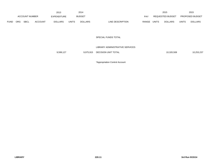|             |     |                       |                | 2013               |              | 2014           |                  |       |              | 2015             |              | 2015                   |
|-------------|-----|-----------------------|----------------|--------------------|--------------|----------------|------------------|-------|--------------|------------------|--------------|------------------------|
|             |     | <b>ACCOUNT NUMBER</b> |                | <b>EXPENDITURE</b> |              | <b>BUDGET</b>  |                  | PAY   |              | REQUESTED BUDGET |              | <b>PROPOSED BUDGET</b> |
| <b>FUND</b> | ORG | <b>SBCL</b>           | <b>ACCOUNT</b> | <b>DOLLARS</b>     | <b>UNITS</b> | <b>DOLLARS</b> | LINE DESCRIPTION | RANGE | <b>UNITS</b> | <b>DOLLARS</b>   | <b>UNITS</b> | <b>DOLLARS</b>         |

SPECIAL FUNDS TOTAL

| LIBRARY ADMINISTRATIVE SERVICES |
|---------------------------------|
|                                 |

9,599,127 9,975,915 DECISION UNIT TOTAL 10,320,508 10,320,508 10,253,237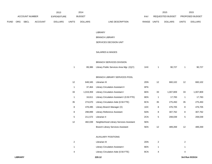|             |     |                       |                | 2013           |              | 2014           |                        |       |              | 2015                    |              | 2015                   |
|-------------|-----|-----------------------|----------------|----------------|--------------|----------------|------------------------|-------|--------------|-------------------------|--------------|------------------------|
|             |     | <b>ACCOUNT NUMBER</b> |                | EXPENDITURE    |              | <b>BUDGET</b>  |                        | PAY   |              | <b>REQUESTED BUDGET</b> |              | <b>PROPOSED BUDGET</b> |
| <b>FUND</b> | ORG | <b>SBCL</b>           | <b>ACCOUNT</b> | <b>DOLLARS</b> | <b>UNITS</b> | <b>DOLLARS</b> | LINE DESCRIPTION       | RANGE | <b>UNITS</b> | <b>DOLLARS</b>          | <b>UNITS</b> | <b>DOLLARS</b>         |
|             |     |                       |                |                |              |                |                        |       |              |                         |              |                        |
|             |     |                       |                |                |              |                | LIBRARY                |       |              |                         |              |                        |
|             |     |                       |                |                |              |                | <b>BRANCH LIBRARY</b>  |       |              |                         |              |                        |
|             |     |                       |                |                |              |                | SERVICES DECISION UNIT |       |              |                         |              |                        |
|             |     |                       |                |                |              |                |                        |       |              |                         |              |                        |
|             |     |                       |                |                |              |                | SALARIES & WAGES       |       |              |                         |              |                        |

# BRANCH SERVICES DIVISION

|  | 89,386 Library Public Services Area Mgr. (X)(Y) |  | 90.727 | 90,727 |
|--|-------------------------------------------------|--|--------|--------|
|  |                                                 |  |        |        |

### BRANCH LIBRARY SERVICES POOL

| 12 | 648.345   | Librarian III                              | 2DN | 12 | 660,102   | 12 | 660.102   |
|----|-----------|--------------------------------------------|-----|----|-----------|----|-----------|
| 1  | 37.464    | <b>Library Circulation Assistant II</b>    | 6FN |    |           |    |           |
| 33 | 1,019,359 | <b>Library Circulation Assistant I</b>     | 6EN | 33 | 1,007,809 | 33 | 1,007,809 |
| 1  | 16.611    | Library Circulation Assistant I (0.50 FTE) | 6EN | 1  | 17,783    | 1  | 17,783    |
| 35 | 274.670   | Library Circulation Aide (0.56 FTE)        | 9CN | 35 | 275,450   | 35 | 275,450   |
| 8  | 478.495   | Library Branch Manager (X)                 | 1DX | 8  | 476,705   | 8  | 476,705   |
| 8  | 298.899   | Library Reference Assistant                | 5DN | 8  | 307.762   | 8  | 307,762   |
| 5  | 211.572   | Librarian II                               | 2CN | 5  | 208,039   | 5  | 208,039   |
| 12 | 482.039   | Neighborhood Library Services Assistant    | 5EN |    |           |    |           |
|    |           | <b>Branch Library Services Assistant</b>   | 5EN | 12 | 489,269   | 12 | 489,269   |

### AUXILIARY POSITIONS

|   | Librarian III                       | 2DN |  |
|---|-------------------------------------|-----|--|
|   | Library Circulation Assistant I     | 6EN |  |
| 4 | Library Circulation Aide (0.56 FTE) | 9CN |  |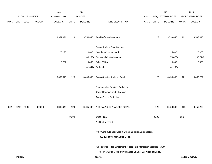|             |                |                |                | 2013               |              | 2014           |                                                                           |             |                  | 2015           |                 | 2015            |
|-------------|----------------|----------------|----------------|--------------------|--------------|----------------|---------------------------------------------------------------------------|-------------|------------------|----------------|-----------------|-----------------|
|             |                | ACCOUNT NUMBER |                | <b>EXPENDITURE</b> |              | <b>BUDGET</b>  |                                                                           | PAY         | REQUESTED BUDGET |                | PROPOSED BUDGET |                 |
| <b>FUND</b> | ORG            | SBCL           | <b>ACCOUNT</b> | <b>DOLLARS</b>     | <b>UNITS</b> | <b>DOLLARS</b> | LINE DESCRIPTION                                                          | RANGE UNITS |                  | <b>DOLLARS</b> | <b>UNITS</b>    | <b>DOLLARS</b>  |
|             |                |                |                |                    |              |                |                                                                           |             |                  |                |                 |                 |
|             |                |                |                | 3,351,671          | 123          | 3,556,840      | <b>Total Before Adjustments</b>                                           |             | 122              | 3,533,646      | 122             | 3,533,646       |
|             |                |                |                |                    |              |                |                                                                           |             |                  |                |                 |                 |
|             |                |                |                |                    |              |                | Salary & Wage Rate Change                                                 |             |                  |                |                 |                 |
|             |                |                |                | 25,190             |              | 20,000         | Overtime Compensated                                                      |             |                  | 25,000         |                 | 25,000          |
|             |                |                |                |                    |              | (106, 258)     | Personnel Cost Adjustment                                                 |             |                  | (70, 476)      |                 | (105, 714)      |
|             |                |                |                | 5,782              |              | 6,450          | Other (Shift)                                                             |             |                  | 6,300          |                 | 6,300           |
|             |                |                |                |                    |              |                | (41,344) Furlough                                                         |             |                  | (41, 132)      |                 |                 |
|             |                |                |                |                    |              |                |                                                                           |             |                  |                |                 |                 |
|             |                |                |                | 3,382,643          | 123          | 3,435,688      | Gross Salaries & Wages Total                                              |             | 122              | 3,453,338      | 122             | 3,459,232       |
|             |                |                |                |                    |              |                | Reimbursable Services Deduction                                           |             |                  |                |                 |                 |
|             |                |                |                |                    |              |                | Capital Improvements Deduction                                            |             |                  |                |                 |                 |
|             |                |                |                |                    |              |                | <b>Grants &amp; Aids Deduction</b>                                        |             |                  |                |                 |                 |
|             |                |                |                |                    |              |                |                                                                           |             |                  |                |                 |                 |
| 0001        | 8612           | R999           | 006000         | 3,382,643          | 123          | 3,435,688      | NET SALARIES & WAGES TOTAL                                                |             | 122              | 3,453,338      | 122             | 3,459,232       |
|             |                |                |                |                    | 96.94        |                | O&M FTE'S                                                                 |             | 96.96            |                | 95.97           |                 |
|             |                |                |                |                    |              |                | NON-O&M FTE'S                                                             |             |                  |                |                 |                 |
|             |                |                |                |                    |              |                |                                                                           |             |                  |                |                 |                 |
|             |                |                |                |                    |              |                | (X) Private auto allowance may be paid pursuant to Section                |             |                  |                |                 |                 |
|             |                |                |                |                    |              |                | 350-183 of the Milwaukee Code.                                            |             |                  |                |                 |                 |
|             |                |                |                |                    |              |                | (Y) Required to file a statement of economic interests in accordance with |             |                  |                |                 |                 |
|             |                |                |                |                    |              |                | the Milwaukee Code of Ordinances Chapter 303-Code of Ethics.              |             |                  |                |                 |                 |
|             | <b>LIBRARY</b> |                |                |                    |              |                | 220.13                                                                    |             |                  |                |                 | 3rd Run 9/15/14 |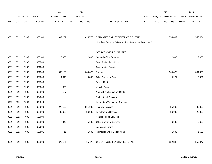|             |            |                |                | 2013               |              | 2014           |                                                          |       |              | 2015                    |              | 2015            |
|-------------|------------|----------------|----------------|--------------------|--------------|----------------|----------------------------------------------------------|-------|--------------|-------------------------|--------------|-----------------|
|             |            | ACCOUNT NUMBER |                | <b>EXPENDITURE</b> |              | <b>BUDGET</b>  |                                                          | PAY   |              | <b>REQUESTED BUDGET</b> |              | PROPOSED BUDGET |
| <b>FUND</b> | <b>ORG</b> | <b>SBCL</b>    | <b>ACCOUNT</b> | <b>DOLLARS</b>     | <b>UNITS</b> | <b>DOLLARS</b> | LINE DESCRIPTION                                         | RANGE | <b>UNITS</b> | <b>DOLLARS</b>          | <b>UNITS</b> | <b>DOLLARS</b>  |
|             |            |                |                |                    |              |                |                                                          |       |              |                         |              |                 |
|             |            |                |                |                    |              |                |                                                          |       |              |                         |              |                 |
| 0001        | 8612       | R999           | 006100         | 1,609,287          |              | 1,614,773      | ESTIMATED EMPLOYEE FRINGE BENEFITS                       |       |              | 1,554,002               |              | 1,556,654       |
|             |            |                |                |                    |              |                | (Involves Revenue Offset-No Transfers from this Account) |       |              |                         |              |                 |
|             |            |                |                |                    |              |                |                                                          |       |              |                         |              |                 |
|             |            |                |                |                    |              |                | <b>OPERATING EXPENDITURES</b>                            |       |              |                         |              |                 |
| 0001        | 8612       | R999           | 630100         | 8,365              |              | 12,000         | <b>General Office Expense</b>                            |       |              | 12,000                  |              | 12,000          |
| 0001        | 8612       | R999           | 630500         |                    |              |                | Tools & Machinery Parts                                  |       |              |                         |              |                 |
| 0001        | 8612       | R999           | 631000         |                    |              |                | <b>Construction Supplies</b>                             |       |              |                         |              |                 |
| 0001        | 8612       | R999           | 631500         | 338,183            |              | 349,875        | Energy                                                   |       |              | 364,426                 |              | 364,426         |
| 0001        | 8612       | R999           | 632000         | 4,645              |              | 8,803          | <b>Other Operating Supplies</b>                          |       |              | 5,921                   |              | 5,921           |
| 0001        | 8612       | R999           | 632500         |                    |              |                | <b>Facility Rental</b>                                   |       |              |                         |              |                 |
| 0001        | 8612       | R999           | 633000         | 683                |              |                | <b>Vehicle Rental</b>                                    |       |              |                         |              |                 |
| 0001        | 8612       | R999           | 633500         | 177                |              |                | Non-Vehicle Equipment Rental                             |       |              |                         |              |                 |
| 0001        | 8612       | R999           | 634000         |                    |              |                | <b>Professional Services</b>                             |       |              |                         |              |                 |
| 0001        | 8612       | R999           | 634500         |                    |              |                | Information Technology Services                          |       |              |                         |              |                 |
| 0001        | 8612       | R999           | 635000         | 278,102            |              | 361,900        | <b>Property Services</b>                                 |       |              | 435,900                 |              | 435,900         |
| 0001        | 8612       | R999           | 635500         | 32,665             |              | 26,000         | <b>Infrastructure Services</b>                           |       |              | 26,000                  |              | 26,000          |
| 0001        | 8612       | R999           | 636000         |                    |              |                | Vehicle Repair Services                                  |       |              |                         |              |                 |
| 0001        | 8612       | R999           | 636500         | 7,340              |              | 5,600          | <b>Other Operating Services</b>                          |       |              | 6,600                   |              | 6,600           |
| 0001        | 8612       | R999           | 637000         |                    |              |                | Loans and Grants                                         |       |              |                         |              |                 |
| 0001        | 8612       | R999           | 637501         | 11                 |              | 1,500          | <b>Reimburse Other Departments</b>                       |       |              | 1,500                   |              | 1,500           |
|             |            |                |                |                    |              |                |                                                          |       |              |                         |              |                 |
| 0001        | 8612       | R999           | 006300         | 670,171            |              | 765,678        | OPERATING EXPENDITURES TOTAL                             |       |              | 852,347                 |              | 852,347         |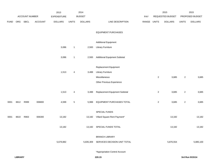|             |      |                |         | 2013               |                | 2014           |                                      |       |                | 2015             |                | 2015            |
|-------------|------|----------------|---------|--------------------|----------------|----------------|--------------------------------------|-------|----------------|------------------|----------------|-----------------|
|             |      | ACCOUNT NUMBER |         | <b>EXPENDITURE</b> |                | <b>BUDGET</b>  |                                      | PAY   |                | REQUESTED BUDGET |                | PROPOSED BUDGET |
| <b>FUND</b> | ORG  | <b>SBCL</b>    | ACCOUNT | <b>DOLLARS</b>     | <b>UNITS</b>   | <b>DOLLARS</b> | LINE DESCRIPTION                     | RANGE | <b>UNITS</b>   | <b>DOLLARS</b>   | <b>UNITS</b>   | <b>DOLLARS</b>  |
|             |      |                |         |                    |                |                |                                      |       |                |                  |                |                 |
|             |      |                |         |                    |                |                | <b>EQUIPMENT PURCHASES</b>           |       |                |                  |                |                 |
|             |      |                |         |                    |                |                |                                      |       |                |                  |                |                 |
|             |      |                |         |                    |                |                | <b>Additional Equipment</b>          |       |                |                  |                |                 |
|             |      |                |         | 3,086              | $\mathbf{1}$   | 2,500          | <b>Library Furniture</b>             |       |                |                  |                |                 |
|             |      |                |         |                    |                |                |                                      |       |                |                  |                |                 |
|             |      |                |         | 3,086              | $\mathbf{1}$   | 2,500          | <b>Additional Equipment Subtotal</b> |       |                |                  |                |                 |
|             |      |                |         |                    |                |                |                                      |       |                |                  |                |                 |
|             |      |                |         |                    |                |                | Replacement Equipment                |       |                |                  |                |                 |
|             |      |                |         | 1,513              | 4              | 3,488          | <b>Library Furniture</b>             |       |                |                  |                |                 |
|             |      |                |         |                    |                |                | Miscellaneous                        |       | $\overline{a}$ | 3,685            | $\sqrt{2}$     | 3,685           |
|             |      |                |         |                    |                |                | Other Previous Experience            |       |                |                  |                |                 |
|             |      |                |         |                    |                |                |                                      |       |                |                  |                |                 |
|             |      |                |         | 1,513              | $\overline{4}$ | 3,488          | Replacement Equipment Subtotal       |       | $\overline{a}$ | 3,685            | $\overline{2}$ | 3,685           |
|             |      |                |         |                    |                |                |                                      |       |                |                  |                |                 |
| 0001        | 8612 | R999           | 006800  | 4,599              | $\mathbf{5}$   | 5,988          | EQUIPMENT PURCHASES TOTAL            |       | $\overline{a}$ | 3,685            | $\overline{a}$ | 3,685           |
|             |      |                |         |                    |                |                |                                      |       |                |                  |                |                 |
|             |      |                |         |                    |                |                | SPECIAL FUNDS                        |       |                |                  |                |                 |
| 0001        | 8610 | R863           | 006300  | 13,182             |                | 13,182         | Villard Square Rent Payment*         |       |                | 13,182           |                | 13,182          |
|             |      |                |         | 13,182             |                |                | 13,182 SPECIAL FUNDS TOTAL           |       |                | 13,182           |                | 13,182          |
|             |      |                |         |                    |                |                |                                      |       |                |                  |                |                 |
|             |      |                |         |                    |                |                | <b>BRANCH LIBRARY</b>                |       |                |                  |                |                 |
|             |      |                |         | 5,679,882          |                | 5,835,309      | SERVICES DECISION UNIT TOTAL         |       |                | 5,876,554        |                | 5,885,100       |
|             |      |                |         |                    |                |                |                                      |       |                |                  |                |                 |
|             |      |                |         |                    |                |                | *Appropriation Control Account       |       |                |                  |                |                 |
|             |      |                |         |                    |                |                |                                      |       |                |                  |                |                 |

**LIBRARY 220.15 3rd Run 9/15/14**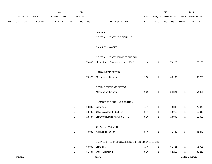|      |                |                |         | 2013           |              | 2014           |                                                     |             |              | 2015             |                | 2015            |
|------|----------------|----------------|---------|----------------|--------------|----------------|-----------------------------------------------------|-------------|--------------|------------------|----------------|-----------------|
|      |                | ACCOUNT NUMBER |         | EXPENDITURE    |              | <b>BUDGET</b>  |                                                     | PAY         |              | REQUESTED BUDGET |                | PROPOSED BUDGET |
| FUND | ORG            | SBCL           | ACCOUNT | <b>DOLLARS</b> | <b>UNITS</b> | <b>DOLLARS</b> | LINE DESCRIPTION                                    | RANGE UNITS |              | <b>DOLLARS</b>   | <b>UNITS</b>   | <b>DOLLARS</b>  |
|      |                |                |         |                |              |                |                                                     |             |              |                  |                |                 |
|      |                |                |         |                |              |                | LIBRARY                                             |             |              |                  |                |                 |
|      |                |                |         |                |              |                | CENTRAL LIBRARY DECISION UNIT                       |             |              |                  |                |                 |
|      |                |                |         |                |              |                | SALARIES & WAGES                                    |             |              |                  |                |                 |
|      |                |                |         |                |              |                | CENTRAL LIBRARY SERVICES BUREAU                     |             |              |                  |                |                 |
|      |                |                |         |                | $\mathbf{1}$ | 79,083         | Library Public Services Area Mgr. (X)(Y)            | 1HX         | $\mathbf{1}$ | 70,126           | $\mathbf{1}$   | 70,126          |
|      |                |                |         |                |              |                | ARTS & MEDIA SECTION                                |             |              |                  |                |                 |
|      |                |                |         |                | $\mathbf{1}$ | 74,922         | Management Librarian                                | 1DX         | 1            | 63,289           | $\overline{1}$ | 63,289          |
|      |                |                |         |                |              |                |                                                     |             |              |                  |                |                 |
|      |                |                |         |                |              |                | READY REFERENCE SECTION                             |             |              |                  |                |                 |
|      |                |                |         |                |              |                | Management Librarian                                | 1DX         | $\mathbf{1}$ | 54,321           | $\mathbf{1}$   | 54,321          |
|      |                |                |         |                |              |                | HUMANITIES & ARCHIVES SECTION                       |             |              |                  |                |                 |
|      |                |                |         |                | $\mathbf{1}$ | 60,809         | Librarian V                                         | 1FX         | $\mathbf{1}$ | 79,848           | $\mathbf{1}$   | 79,848          |
|      |                |                |         |                | $\mathbf{1}$ | 18,732         | Office Assistant III (0.5 FTE)                      | 6FN         | 1            | 19,013           | $\overline{1}$ | 19,013          |
|      |                |                |         |                | $\mathbf{1}$ | 13,787         | Library Circulation Asst. I (0.5 FTE)               | 6EN         | 1            | 13,993           | $\mathbf{1}$   | 13,993          |
|      |                |                |         |                |              |                | CITY ARCHIVES UNIT                                  |             |              |                  |                |                 |
|      |                |                |         |                | $\mathbf{1}$ | 40,836         | Archives Technician                                 | 6HN         | $\mathbf{1}$ | 41,449           | $\mathbf{1}$   | 41,449          |
|      |                |                |         |                |              |                |                                                     |             |              |                  |                |                 |
|      |                |                |         |                |              |                | BUSINESS, TECHNOLOGY, SCIENCE & PERIODICALS SECTION |             |              |                  |                |                 |
|      |                |                |         |                | $\mathbf{1}$ | 60,809         | Librarian V                                         | 1FX         | $\mathbf{1}$ | 61,721           | $\mathbf{1}$   | 61,721          |
|      |                |                |         |                | $\mathbf{1}$ | 31,734         | Office Assistant II                                 | 6EN         | $\mathbf{1}$ | 32,210           | $\mathbf{1}$   | 32,210          |
|      | <b>LIBRARY</b> |                |         |                |              |                | 220.16                                              |             |              |                  |                | 3rd Run 9/15/14 |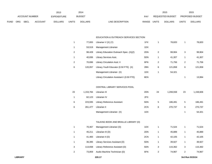|             |                |             |                | 2013           |               | 2014           |                           | 2015                           |                        | 2015           |
|-------------|----------------|-------------|----------------|----------------|---------------|----------------|---------------------------|--------------------------------|------------------------|----------------|
|             | ACCOUNT NUMBER |             | EXPENDITURE    |                | <b>BUDGET</b> | PAY            | <b>REQUESTED BUDGET</b>   |                                | <b>PROPOSED BUDGET</b> |                |
| <b>FUND</b> | <b>ORG</b>     | <b>SBCL</b> | <b>ACCOUNT</b> | <b>DOLLARS</b> | <b>UNITS</b>  | <b>DOLLARS</b> | LINE DESCRIPTION<br>RANGE | <b>UNITS</b><br><b>DOLLARS</b> | UNITS                  | <b>DOLLARS</b> |

### EDUCATION & OUTREACH SERVICES SECTION

| 1 | 77,655  | Librarian $V(X) (Y)$                       | 1FX |   | 78,820  | 1 | 78,820  |
|---|---------|--------------------------------------------|-----|---|---------|---|---------|
| 1 | 53.519  | Management Librarian                       | 1DX |   |         |   |         |
|   | 98.428  | Library Education Outreach Spec. (X)(Z)    | 2DN | 2 | 99.904  | 3 | 99,904  |
|   | 40.836  | Library Services Asst.                     | 5DN |   | 41.307  |   | 41,307  |
|   | 70.696  | Library Circulation Asst. II               | 6FN | 2 | 71,756  | 2 | 71,756  |
| 6 | 120.057 | Library Youth Educator (0.50 FTE) (X)      | 2BN | 6 | 121,858 | 6 | 121,858 |
|   |         | Management Librarian (X)                   | 1DX | 1 | 54,321  |   |         |
|   |         | Library Circulation Assistant I (0.50 FTE) | 6EN |   |         |   | 13.994  |

### CENTRAL LIBRARY SERVICES POOL

| 23 | 1.153.784 | Librarian III                      | 2DN | 24 | 1.208.558 | 23 | 1,158,606 |
|----|-----------|------------------------------------|-----|----|-----------|----|-----------|
| 1  | 62.123    | Librarian IV                       | 2FX |    |           |    |           |
| 6  | 223.935   | <b>Library Reference Assistant</b> | 5DN | 5  | 186.491   | 5  | 186,491   |
| 6  | 261.477   | Librarian II                       | 2CN | 6  | 270.737   | 6  | 270,737   |
|    |           | Management Librarian (X)           | 1DX |    |           |    | 54,321    |

# TALKING BOOK AND BRAILLE LIBRARY (D)

| 1 | 70.467  | Management Librarian (D)        | 1DX |   | 71.524  |   | 71,524  |
|---|---------|---------------------------------|-----|---|---------|---|---------|
|   | 45.211  | Librarian III (D)               | 2DN |   | 45.889  |   | 45,889  |
|   | 41.483  | Librarian II (D)                | 2CN |   | 42.105  |   | 42,105  |
|   | 36.395  | Library Services Assistant (D)  | 5DN |   | 39.927  |   | 39,927  |
| 3 | 113.658 | Library Reference Assistant (D) | 5DN | 3 | 115.362 | 3 | 115,362 |
| 2 | 73,859  | Audio Machine Technician (D)    | 6FN | 2 | 74.967  | 2 | 74,967  |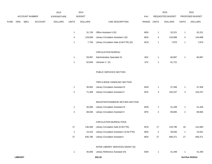|             |     |                       |         | 2013               |                  | 2014           |                                            |       |                | 2015             |                | 2015            |
|-------------|-----|-----------------------|---------|--------------------|------------------|----------------|--------------------------------------------|-------|----------------|------------------|----------------|-----------------|
|             |     | <b>ACCOUNT NUMBER</b> |         | <b>EXPENDITURE</b> |                  | <b>BUDGET</b>  |                                            | PAY   |                | REQUESTED BUDGET |                | PROPOSED BUDGET |
| <b>FUND</b> | ORG | SBCL                  | ACCOUNT | <b>DOLLARS</b>     | <b>UNITS</b>     | <b>DOLLARS</b> | LINE DESCRIPTION                           | RANGE | <b>UNITS</b>   | <b>DOLLARS</b>   | <b>UNITS</b>   | <b>DOLLARS</b>  |
|             |     |                       |         |                    |                  |                |                                            |       |                |                  |                |                 |
|             |     |                       |         |                    | $\mathbf{1}$     | 31,745         | Office Assistant II (D)                    | 6EN   | $\mathbf{1}$   | 32,221           | $\mathbf{1}$   | 32,221          |
|             |     |                       |         |                    | 4                | 129,608        | Library Circulation Assistant I (D)        | 6EN   | 4              | 134,688          | 4              | 134,688         |
|             |     |                       |         |                    | $\mathbf{1}$     | 7,750          | Library Circulation Aide (0.56 FTE) (D)    | 9CN   | $\mathbf{1}$   | 7,870            | $\mathbf{1}$   | 7,870           |
|             |     |                       |         |                    |                  |                | <b>CIRCULATION BUREAU</b>                  |       |                |                  |                |                 |
|             |     |                       |         |                    | $\mathbf{1}$     | 59,997         | Administrative Specialist Sr.              | 2EX   | $\mathbf{1}$   | 60,897           | $\mathbf{1}$   | 60,897          |
|             |     |                       |         |                    | $\mathbf{1}$     | 62,694         | Librarian $V(X)$                           | 1FX   | $\mathbf{1}$   | 61,721           |                |                 |
|             |     |                       |         |                    |                  |                | PUBLIC SERVICES SECTION                    |       |                |                  |                |                 |
|             |     |                       |         |                    |                  |                | TIER & BOOK HANDLING SECTION               |       |                |                  |                |                 |
|             |     |                       |         |                    | $\mathbf{1}$     | 36,902         | Library Circulation Assistant III          | 6HN   | $\mathbf{1}$   | 37,456           | $\mathbf{1}$   | 37,456          |
|             |     |                       |         |                    | $\boldsymbol{2}$ | 71,408         | <b>Library Circulation Assistant II</b>    | 6FN   | 3              | 104,237          | 3              | 104,237         |
|             |     |                       |         |                    |                  |                | REGISTRATION/BOOK RETURN SECTION           |       |                |                  |                |                 |
|             |     |                       |         |                    | $\mathbf{1}$     | 40,836         | Library Circulation Assistant III          | 6HN   | $\mathbf{1}$   | 41,449           | 1              | 41,449          |
|             |     |                       |         |                    | $\boldsymbol{2}$ | 68,636         | Library Circulation Assistant II           | 6FN   | $\overline{2}$ | 69,665           | $\overline{a}$ | 69,665          |
|             |     |                       |         |                    |                  |                |                                            |       |                |                  |                |                 |
|             |     |                       |         |                    |                  |                | CIRCULATION BUREAU POOL                    |       |                |                  |                |                 |
|             |     |                       |         |                    | 17               | 136,300        | Library Circulation Aide (0.56 FTE)        | 9CN   | 17             | 133,790          | 18             | 141,660         |
|             |     |                       |         |                    | $\mathbf{1}$     | 15,410         | Library Circulation Assistant I (0.50 FTE) | 6EN   | $\overline{2}$ | 29,635           | $\mathbf{1}$   | 15,641          |
|             |     |                       |         |                    | 27               | 835,785        | <b>Library Circulation Assistant I</b>     | 6EN   | 27             | 846,371          | 27             | 846,371         |
|             |     |                       |         |                    |                  |                | INTER LIBRARY SERVICES GRANT (H)           |       |                |                  |                |                 |
|             |     |                       |         |                    | $\mathbf{1}$     | 40,836         | Library Reference Assistant (H)            | 5DN   | $\mathbf{1}$   | 41,449           | $\mathbf{1}$   | 41,449          |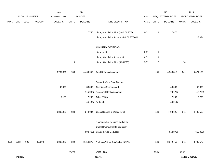|             |                |                |                | 2013           |                | 2014           |                                                |             |              | 2015             |              | 2015            |
|-------------|----------------|----------------|----------------|----------------|----------------|----------------|------------------------------------------------|-------------|--------------|------------------|--------------|-----------------|
|             |                | ACCOUNT NUMBER |                | EXPENDITURE    |                | <b>BUDGET</b>  |                                                | PAY         |              | REQUESTED BUDGET |              | PROPOSED BUDGET |
| <b>FUND</b> | ORG            | SBCL           | <b>ACCOUNT</b> | <b>DOLLARS</b> | <b>UNITS</b>   | <b>DOLLARS</b> | LINE DESCRIPTION                               | RANGE UNITS |              | <b>DOLLARS</b>   | <b>UNITS</b> | <b>DOLLARS</b>  |
|             |                |                |                |                | $\overline{1}$ | 7,750          | Library Circulation Aide (H) (0.56 FTE)        | 9CN         | $\mathbf{1}$ | 7,870            |              |                 |
|             |                |                |                |                |                |                | Library Circulation Assistant I (0.50 FTE) (H) |             |              |                  | $\mathbf{1}$ | 13,994          |
|             |                |                |                |                |                |                |                                                |             |              |                  |              |                 |
|             |                |                |                |                |                |                | <b>AUXILIARY POSITIONS</b>                     |             |              |                  |              |                 |
|             |                |                |                |                | $\overline{1}$ |                | Librarian III                                  | 2DN         | $\mathbf{1}$ |                  | $\mathbf{1}$ |                 |
|             |                |                |                |                | $\overline{1}$ |                | Library Circulation Assistant I                | 6EN         | $\mathbf{1}$ |                  | $\mathbf{1}$ |                 |
|             |                |                |                |                | $10\,$         |                | Library Circulation Aide (0.56 FTE)            | 9CN         | 10           |                  | $10$         |                 |
|             |                |                |                | 3,787,851      | 139            | 4,469,952      | <b>Total Before Adjustments</b>                |             | 141          | 4,568,815        | 141          | 4,471,136       |
|             |                |                |                |                |                |                | Salary & Wage Rate Change                      |             |              |                  |              |                 |
|             |                |                |                | 42,990         |                | 33,000         | Overtime Compensated                           |             |              | 43,000           |              | 43,000          |
|             |                |                |                |                |                | (115,988)      | Personnel Cost Adjustment                      |             |              | (79, 179)        |              | (118, 768)      |
|             |                |                |                | 7,135          |                | 7,200          | Other (Shift)                                  |             |              | 7,200            |              | 7,200           |
|             |                |                |                |                |                | (45, 130)      | Furlough                                       |             |              | (46, 211)        |              |                 |
|             |                |                |                | 3,837,976      | 139            | 4,349,034      | Gross Salaries & Wages Total                   |             | 141          | 4,493,625        | 141          | 4,402,568       |
|             |                |                |                |                |                |                | Reimbursable Services Deduction                |             |              |                  |              |                 |
|             |                |                |                |                |                |                | Capital Improvements Deduction                 |             |              |                  |              |                 |
|             |                |                |                |                |                |                | (598,762) Grants & Aids Deduction              |             |              | (613, 872)       |              | (619, 996)      |
| 0001        |                | 8613 R999      | 006000         | 3,837,976      | 139            |                | 3,750,272 NET SALARIES & WAGES TOTAL           |             | 141          | 3,879,753        | 141          | 3,782,572       |
|             |                |                |                |                | 95.00          |                | O&M FTE'S                                      |             | 97.45        |                  | 95.06        |                 |
|             | <b>LIBRARY</b> |                |                |                |                |                | 220.19                                         |             |              |                  |              | 3rd Run 9/15/14 |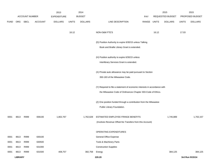|             |                |                       |                | 2013               |              | 2014           |                                                                           |       |              | 2015             |              | 2015            |
|-------------|----------------|-----------------------|----------------|--------------------|--------------|----------------|---------------------------------------------------------------------------|-------|--------------|------------------|--------------|-----------------|
|             |                | <b>ACCOUNT NUMBER</b> |                | <b>EXPENDITURE</b> |              | <b>BUDGET</b>  |                                                                           | PAY   |              | REQUESTED BUDGET |              | PROPOSED BUDGET |
| <b>FUND</b> |                | ORG SBCL              | <b>ACCOUNT</b> | <b>DOLLARS</b>     | <b>UNITS</b> | <b>DOLLARS</b> | LINE DESCRIPTION                                                          | RANGE | <b>UNITS</b> | <b>DOLLARS</b>   | <b>UNITS</b> | <b>DOLLARS</b>  |
|             |                |                       |                |                    |              |                |                                                                           |       |              |                  |              |                 |
|             |                |                       |                |                    | 16.12        |                | NON-O&M FTE'S                                                             |       | 16.12        |                  | 17.03        |                 |
|             |                |                       |                |                    |              |                |                                                                           |       |              |                  |              |                 |
|             |                |                       |                |                    |              |                | (D) Position Authority to expire 6/30/15 unless Talking                   |       |              |                  |              |                 |
|             |                |                       |                |                    |              |                | Book and Braille Library Grant is extended.                               |       |              |                  |              |                 |
|             |                |                       |                |                    |              |                |                                                                           |       |              |                  |              |                 |
|             |                |                       |                |                    |              |                | (H) Position authority to expire 6/30/15 unless                           |       |              |                  |              |                 |
|             |                |                       |                |                    |              |                | Interlibrary Services Grant is extended.                                  |       |              |                  |              |                 |
|             |                |                       |                |                    |              |                |                                                                           |       |              |                  |              |                 |
|             |                |                       |                |                    |              |                | (X) Private auto allowance may be paid pursuant to Section                |       |              |                  |              |                 |
|             |                |                       |                |                    |              |                | 350-183 of the Milwaukee Code.                                            |       |              |                  |              |                 |
|             |                |                       |                |                    |              |                |                                                                           |       |              |                  |              |                 |
|             |                |                       |                |                    |              |                | (Y) Required to file a statement of economic interests in accordance with |       |              |                  |              |                 |
|             |                |                       |                |                    |              |                | the Milwaukee Code of Ordinances Chapter 303-Code of Ethics.              |       |              |                  |              |                 |
|             |                |                       |                |                    |              |                |                                                                           |       |              |                  |              |                 |
|             |                |                       |                |                    |              |                | (Z) One position funded through a contribution from the Milwaukee         |       |              |                  |              |                 |
|             |                |                       |                |                    |              |                | Public Library Foundation.                                                |       |              |                  |              |                 |
| 0001        | 8613           | R999                  | 006100         | 1,802,767          |              | 1,762,628      | ESTIMATED EMPLOYEE FRINGE BENEFITS                                        |       |              | 1,745,889        |              | 1,702,157       |
|             |                |                       |                |                    |              |                | (Involves Revenue Offset-No Transfers from this Account)                  |       |              |                  |              |                 |
|             |                |                       |                |                    |              |                |                                                                           |       |              |                  |              |                 |
|             |                |                       |                |                    |              |                | OPERATING EXPENDITURES                                                    |       |              |                  |              |                 |
| 0001        | 8613           | R999                  | 630100         |                    |              |                | <b>General Office Expense</b>                                             |       |              |                  |              |                 |
| 0001        | 8613           | R999                  | 630500         |                    |              |                | Tools & Machinery Parts                                                   |       |              |                  |              |                 |
| 0001        | 8613           | R999                  | 631000         |                    |              |                | <b>Construction Supplies</b>                                              |       |              |                  |              |                 |
| 0001        | 8613           | R999                  | 631500         | 408,757            |              | 382,758        | Energy                                                                    |       |              | 384,125          |              | 384,125         |
|             | <b>LIBRARY</b> |                       |                |                    |              |                | 220.20                                                                    |       |              |                  |              | 3rd Run 9/15/14 |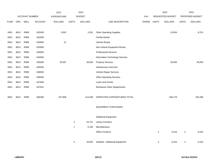|             |            |                |                | 2013               |                | 2014           |                                 |       |              | 2015             |              | 2015            |
|-------------|------------|----------------|----------------|--------------------|----------------|----------------|---------------------------------|-------|--------------|------------------|--------------|-----------------|
|             |            | ACCOUNT NUMBER |                | <b>EXPENDITURE</b> |                | <b>BUDGET</b>  |                                 | PAY   |              | REQUESTED BUDGET |              | PROPOSED BUDGET |
| <b>FUND</b> | <b>ORG</b> | <b>SBCL</b>    | <b>ACCOUNT</b> | <b>DOLLARS</b>     | <b>UNITS</b>   | <b>DOLLARS</b> | LINE DESCRIPTION                | RANGE | <b>UNITS</b> | <b>DOLLARS</b>   | <b>UNITS</b> | <b>DOLLARS</b>  |
| 0001        | 8613       | R999           | 632000         | 3,933              |                | 3,281          | <b>Other Operating Supplies</b> |       |              | 24,054           |              | 8,374           |
| 0001        | 8613       | R999           | 632500         |                    |                |                | <b>Facility Rental</b>          |       |              |                  |              |                 |
| 0001        | 8613       | R999           | 633000         | 21                 |                |                | Vehicle Rental                  |       |              |                  |              |                 |
| 0001        | 8613       | R999           | 633500         |                    |                |                | Non-Vehicle Equipment Rental    |       |              |                  |              |                 |
| 0001        | 8613       | R999           | 634000         |                    |                |                | <b>Professional Services</b>    |       |              |                  |              |                 |
| 0001        | 8613       | R999           | 634500         |                    |                |                | Information Technology Services |       |              |                  |              |                 |
| 0001        | 8613       | R999           | 635000         | 25,097             |                | 28,000         | <b>Property Services</b>        |       |              | 28,000           |              | 28,000          |
| 0001        | 8613       | R999           | 635500         |                    |                |                | <b>Infrastructure Services</b>  |       |              |                  |              |                 |
| 0001        | 8613       | R999           | 636000         |                    |                |                | Vehicle Repair Services         |       |              |                  |              |                 |
| 0001        | 8613       | R999           | 636500         |                    |                |                | <b>Other Operating Services</b> |       |              |                  |              |                 |
| 0001        | 8613       | R999           | 637000         |                    |                |                | Loans and Grants                |       |              |                  |              |                 |
| 0001        | 8613       | R999           | 637501         |                    |                |                | Reimburse Other Departments     |       |              |                  |              |                 |
|             |            |                |                |                    |                |                |                                 |       |              |                  |              |                 |
| 0001        | 8613       | R999           | 006300         | 437,808            |                | 414,039        | OPERATING EXPENDITURES TOTAL    |       |              | 436,179          |              | 420,499         |
|             |            |                |                |                    |                |                |                                 |       |              |                  |              |                 |
|             |            |                |                |                    |                |                | <b>EQUIPMENT PURCHASES</b>      |       |              |                  |              |                 |
|             |            |                |                |                    |                |                | <b>Additional Equipment</b>     |       |              |                  |              |                 |
|             |            |                |                |                    | $\overline{2}$ | 23,731         | <b>Library Furniture</b>        |       |              |                  |              |                 |
|             |            |                |                |                    | $\mathbf{1}$   | 6,194          | Miscellaneous                   |       |              |                  |              |                 |
|             |            |                |                |                    |                |                | Office Furniture                |       | 4            | 6,424            | 4            | 6,424           |
|             |            |                |                |                    |                |                |                                 |       |              |                  |              |                 |
|             |            |                |                |                    | 3              | 29,925         | Subtotal - Additional Equipment |       | 4            | 6,424            | 4            | 6,424           |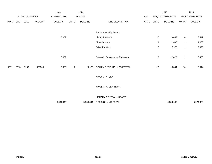|             |      |                       |                | 2013               |              | 2014           |                                  |       |                | 2015             |                  | 2015            |
|-------------|------|-----------------------|----------------|--------------------|--------------|----------------|----------------------------------|-------|----------------|------------------|------------------|-----------------|
|             |      | <b>ACCOUNT NUMBER</b> |                | <b>EXPENDITURE</b> |              | <b>BUDGET</b>  |                                  | PAY   |                | REQUESTED BUDGET |                  | PROPOSED BUDGET |
| <b>FUND</b> | ORG  | SBCL                  | <b>ACCOUNT</b> | <b>DOLLARS</b>     | <b>UNITS</b> | <b>DOLLARS</b> | LINE DESCRIPTION                 | RANGE | <b>UNITS</b>   | <b>DOLLARS</b>   | <b>UNITS</b>     | <b>DOLLARS</b>  |
|             |      |                       |                |                    |              |                | Replacement Equipment            |       |                |                  |                  |                 |
|             |      |                       |                | 3,089              |              |                | Library Furniture                |       | 6              | 3,442            | 6                | 3,442           |
|             |      |                       |                |                    |              |                | Miscellaneous                    |       | $\overline{1}$ | 1,000            | $\mathbf{1}$     | 1,000           |
|             |      |                       |                |                    |              |                | Office Furniture                 |       | $\overline{2}$ | 7,978            | $\overline{a}$   | 7,978           |
|             |      |                       |                |                    |              |                |                                  |       |                |                  |                  |                 |
|             |      |                       |                | 3,089              |              |                | Subtotal - Replacement Equipment |       | 9              | 12,420           | $\boldsymbol{9}$ | 12,420          |
|             |      |                       |                |                    |              |                |                                  |       |                |                  |                  |                 |
| 0001        | 8613 | R999                  | 006800         | 3,089              | 3            | 29,925         | EQUIPMENT PURCHASES TOTAL        |       | 13             | 18,844           | 13               | 18,844          |
|             |      |                       |                |                    |              |                |                                  |       |                |                  |                  |                 |
|             |      |                       |                |                    |              |                | SPECIAL FUNDS                    |       |                |                  |                  |                 |
|             |      |                       |                |                    |              |                |                                  |       |                |                  |                  |                 |
|             |      |                       |                |                    |              |                | SPECIAL FUNDS TOTAL              |       |                |                  |                  |                 |
|             |      |                       |                |                    |              |                |                                  |       |                |                  |                  |                 |
|             |      |                       |                |                    |              |                | LIBRARY-CENTRAL LIBRARY          |       |                |                  |                  |                 |
|             |      |                       |                | 6,081,640          |              | 5,956,864      | DECISION UNIT TOTAL              |       |                | 6,080,665        |                  | 5,924,072       |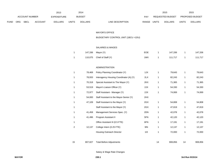|      |     |                |                | 2013               |                | 2014           |                                         |              |              | 2015             |              | 2015            |
|------|-----|----------------|----------------|--------------------|----------------|----------------|-----------------------------------------|--------------|--------------|------------------|--------------|-----------------|
|      |     | ACCOUNT NUMBER |                | <b>EXPENDITURE</b> |                | <b>BUDGET</b>  |                                         | PAY          |              | REQUESTED BUDGET |              | PROPOSED BUDGET |
| FUND | ORG | <b>SBCL</b>    | <b>ACCOUNT</b> | <b>DOLLARS</b>     | <b>UNITS</b>   | <b>DOLLARS</b> | LINE DESCRIPTION                        | RANGE UNITS  |              | <b>DOLLARS</b>   | <b>UNITS</b> | <b>DOLLARS</b>  |
|      |     |                |                |                    |                |                |                                         |              |              |                  |              |                 |
|      |     |                |                |                    |                |                | <b>MAYOR'S OFFICE</b>                   |              |              |                  |              |                 |
|      |     |                |                |                    |                |                | BUDGETARY CONTROL UNIT (1BCU = 1DU)     |              |              |                  |              |                 |
|      |     |                |                |                    |                |                | SALARIES & WAGES                        |              |              |                  |              |                 |
|      |     |                |                |                    |                |                |                                         | EOE          |              |                  |              |                 |
|      |     |                |                |                    | $\mathbf{1}$   | 147,336        | Mayor (Y)                               |              | $\mathbf{1}$ | 147,336          | $\mathbf{1}$ | 147,336         |
|      |     |                |                |                    | $\mathbf{1}$   | 110,075        | Chief of Staff (Y)                      | $1\text{MX}$ | $\mathbf{1}$ | 111,717          | $\mathbf{1}$ | 111,717         |
|      |     |                |                |                    |                |                | <b>ADMINISTRATION</b>                   |              |              |                  |              |                 |
|      |     |                |                |                    | $\overline{1}$ | 78,469         | Policy Planning Coordinator (Y)         | 1JX          | $\mathbf{1}$ | 79,643           | $\mathbf{1}$ | 79,643          |
|      |     |                |                |                    | $\mathbf{1}$   | 78,933         | Interagency Housing Coordinator (A) (Y) | 2LX          | $\mathbf{1}$ | 82,243           | $\mathbf{1}$ | 82,243          |
|      |     |                |                |                    | $\mathbf{1}$   | 70,318         | Special Assistant to The Mayor (Y)      | 2KX          | $\mathbf{1}$ | 71,365           | $\mathbf{1}$ | 71,365          |
|      |     |                |                |                    | $\mathbf{1}$   | 53,519         | Mayor's Liaison Officer (Y)             | 2JX          | $\mathbf{1}$ | 54,330           | $\mathbf{1}$ | 54,330          |
|      |     |                |                |                    | $\mathbf{1}$   | 72,977         | Staff Assistant - Manager (Y)           | 2JX          | $\mathbf{1}$ | 74,069           | $\mathbf{1}$ | 74,069          |
|      |     |                |                |                    | $\mathbf{1}$   | 54,000         | Staff Assistant to the Mayor-Senior (Y) | 2HX          |              |                  |              |                 |
|      |     |                |                |                    | $\mathbf{1}$   | 47,109         | Staff Assistant to the Mayor (Y)        | 2GX          | $\mathbf{1}$ | 54,808           | $\mathbf{1}$ | 54,808          |
|      |     |                |                |                    | $\mathbf{1}$   |                | Staff Assistant to the Mayor (Y)        | 2GX          | $\mathbf{1}$ | 47,819           | $\mathbf{1}$ | 47,819          |
|      |     |                |                |                    | $\mathbf{1}$   | 41,458         | Management Services Spec. (Y)           | 2DN          | $\mathbf{1}$ | 42,078           | $\mathbf{1}$ | 42,078          |
|      |     |                |                |                    | $\mathbf{1}$   | 41,496         | Program Assistant II                    | 5FN          | $\mathbf{1}$ | 42,120           | $\mathbf{1}$ | 42,120          |
|      |     |                |                |                    | $\mathbf{1}$   |                | Office Assistant III (0.5 FTE)          | 6FN          | $\mathbf{1}$ | 17,191           | $\mathbf{1}$ | 17,191          |
|      |     |                |                |                    | $\sqrt{2}$     | 12,137         | College Intern (0.25 FTE)               | 9IN          | $\mathbf{1}$ | 12,137           | $\mathbf{1}$ | 12,137          |
|      |     |                |                |                    |                |                | Housing Outreach Director               | 11X          | $\mathbf{1}$ | 72,000           | $\mathbf{1}$ | 72,000          |
|      |     |                |                |                    |                |                |                                         |              |              |                  |              |                 |
|      |     |                |                |                    | 15             | 807,827        | <b>Total Before Adjustments</b>         |              | 14           | 908,856          | 14           | 908,856         |

Salary & Wage Rate Changes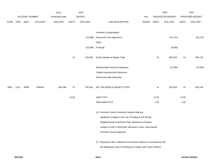|             |      |                       |                | 2013               |              | 2014           |                                                                           |            |       | 2015             |              | 2015            |
|-------------|------|-----------------------|----------------|--------------------|--------------|----------------|---------------------------------------------------------------------------|------------|-------|------------------|--------------|-----------------|
|             |      | <b>ACCOUNT NUMBER</b> |                | <b>EXPENDITURE</b> |              | <b>BUDGET</b>  |                                                                           | <b>PAY</b> |       | REQUESTED BUDGET |              | PROPOSED BUDGET |
| <b>FUND</b> | ORG  | <b>SBCL</b>           | <b>ACCOUNT</b> | <b>DOLLARS</b>     | <b>UNITS</b> | <b>DOLLARS</b> | LINE DESCRIPTION                                                          | RANGE      | UNITS | <b>DOLLARS</b>   | <b>UNITS</b> | <b>DOLLARS</b>  |
|             |      |                       |                |                    |              |                |                                                                           |            |       |                  |              |                 |
|             |      |                       |                |                    |              |                | Overtime Compensated*                                                     |            |       |                  |              |                 |
|             |      |                       |                |                    |              | (16, 388)      | Personnel Cost Adjustment                                                 |            |       | (16, 737)        |              | (16, 737)       |
|             |      |                       |                |                    |              |                | Other                                                                     |            |       |                  |              |                 |
|             |      |                       |                |                    |              |                | (10,348) Furlough                                                         |            |       | (9,586)          |              |                 |
|             |      |                       |                |                    | 15           | 781,091        | Gross Salaries & Wages Total                                              |            | 14    | 882,533          | 14           | 892,119         |
|             |      |                       |                |                    |              |                |                                                                           |            |       |                  |              |                 |
|             |      |                       |                |                    |              |                | Reimbursable Services Deduction                                           |            |       | (72,000)         |              | (72,000)        |
|             |      |                       |                |                    |              |                | Capital Improvements Deduction                                            |            |       |                  |              |                 |
|             |      |                       |                |                    |              |                | <b>Grants and Aids Deduction</b>                                          |            |       |                  |              |                 |
|             | 1110 | R999                  | 006000         |                    | 15           | 781,091        | NET SALARIES & WAGES TOTAL*                                               |            | 14    | 810,533          | 14           | 820,119         |
| 0001        |      |                       |                | 694,186            |              |                |                                                                           |            |       |                  |              |                 |
|             |      |                       |                |                    | 12.00        |                | O&M FTE'S                                                                 |            | 12.00 |                  | 12.00        |                 |
|             |      |                       |                |                    |              |                | NON-O&M FTE'S                                                             |            | 1.00  |                  | 1.00         |                 |
|             |      |                       |                |                    |              |                | (A) Common Council resolution requires that any                           |            |       |                  |              |                 |
|             |      |                       |                |                    |              |                | significant changes in the use of funding in the Strong                   |            |       |                  |              |                 |
|             |      |                       |                |                    |              |                | Neighborhoods Investment Plan, defined as a funding                       |            |       |                  |              |                 |
|             |      |                       |                |                    |              |                | change of 10% or \$100,000, whichever is less, shall require              |            |       |                  |              |                 |
|             |      |                       |                |                    |              |                | Common Council approval.                                                  |            |       |                  |              |                 |
|             |      |                       |                |                    |              |                |                                                                           |            |       |                  |              |                 |
|             |      |                       |                |                    |              |                | (Y) Required to file a statement of economic interests in accordance with |            |       |                  |              |                 |
|             |      |                       |                |                    |              |                | the Milwaukee Code of Ordinances Chapter 303-Code of Ethics.              |            |       |                  |              |                 |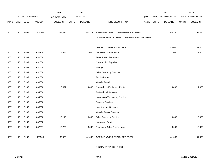|             |      |                       |                | 2013               |              | 2014           |                                                          |            |              | 2015                    |              | 2015            |
|-------------|------|-----------------------|----------------|--------------------|--------------|----------------|----------------------------------------------------------|------------|--------------|-------------------------|--------------|-----------------|
|             |      | <b>ACCOUNT NUMBER</b> |                | <b>EXPENDITURE</b> |              | <b>BUDGET</b>  |                                                          | <b>PAY</b> |              | <b>REQUESTED BUDGET</b> |              | PROPOSED BUDGET |
| <b>FUND</b> | ORG  | <b>SBCL</b>           | <b>ACCOUNT</b> | <b>DOLLARS</b>     | <b>UNITS</b> | <b>DOLLARS</b> | LINE DESCRIPTION                                         | RANGE      | <b>UNITS</b> | <b>DOLLARS</b>          | <b>UNITS</b> | <b>DOLLARS</b>  |
|             |      |                       |                |                    |              |                |                                                          |            |              |                         |              |                 |
| 0001        | 1110 | R999                  | 006100         | 339,084            |              | 367,113        | ESTIMATED EMPLOYEE FRINGE BENEFITS                       |            |              | 364,740                 |              | 369,054         |
|             |      |                       |                |                    |              |                | (Involves Revenue Offset-No Transfers From This Account) |            |              |                         |              |                 |
|             |      |                       |                |                    |              |                |                                                          |            |              |                         |              |                 |
|             |      |                       |                |                    |              |                | OPERATING EXPENDITURES                                   |            |              | 43,000                  |              | 43,000          |
| 0001        | 1110 | R999                  | 630100         | 8,586              |              | 11,000         | <b>General Office Expense</b>                            |            |              | 11,000                  |              | 11,000          |
| 0001        | 1110 | R999                  | 630500         |                    |              |                | Tools & Machinery Parts                                  |            |              |                         |              |                 |
| 0001        | 1110 | R999                  | 631000         |                    |              |                | <b>Construction Supplies</b>                             |            |              |                         |              |                 |
| 0001        | 1110 | R999                  | 631500         |                    |              |                | Energy                                                   |            |              |                         |              |                 |
| 0001        | 1110 | R999                  | 632000         |                    |              |                | <b>Other Operating Supplies</b>                          |            |              |                         |              |                 |
| 0001        | 1110 | R999                  | 632500         |                    |              |                | <b>Facility Rental</b>                                   |            |              |                         |              |                 |
| 0001        | 1110 | R999                  | 633000         |                    |              |                | Vehicle Rental                                           |            |              |                         |              |                 |
| 0001        | 1110 | R999                  | 633500         | 3,072              |              | 4,000          | Non-Vehicle Equipment Rental                             |            |              | 4,000                   |              | 4,000           |
| 0001        | 1110 | R999                  | 634000         |                    |              |                | <b>Professional Services</b>                             |            |              |                         |              |                 |
| 0001        | 1110 | R999                  | 634500         |                    |              |                | Information Technology Services                          |            |              |                         |              |                 |
| 0001        | 1110 | R999                  | 635000         |                    |              |                | <b>Property Services</b>                                 |            |              |                         |              |                 |
| 0001        | 1110 | R999                  | 635500         |                    |              |                | <b>Infrastructure Services</b>                           |            |              |                         |              |                 |
| 0001        | 1110 | R999                  | 636000         |                    |              |                | Vehicle Repair Services                                  |            |              |                         |              |                 |
| 0001        | 1110 | R999                  | 636500         | 10,115             |              | 10,000         | <b>Other Operating Services</b>                          |            |              | 10,000                  |              | 10,000          |
| 0001        | 1110 | R999                  | 637000         |                    |              |                | Loans and Grants                                         |            |              |                         |              |                 |
| 0001        | 1110 | R999                  | 637501         | 10,720             |              | 16,000         | <b>Reimburse Other Departments</b>                       |            |              | 16,000                  |              | 16,000          |
|             |      |                       |                |                    |              |                |                                                          |            |              |                         |              |                 |
| 0001        | 1110 | R999                  | 006300         | 32,493             |              | 41,000         | OPERATING EXPENDITURES TOTAL*                            |            |              | 41,000                  |              | 41,000          |
|             |      |                       |                |                    |              |                |                                                          |            |              |                         |              |                 |

EQUIPMENT PURCHASES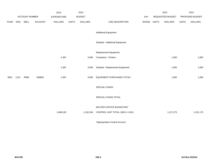|             |      |                       |                | 2013               |              | 2014           |                                  |             | 2015             |              | 2015            |
|-------------|------|-----------------------|----------------|--------------------|--------------|----------------|----------------------------------|-------------|------------------|--------------|-----------------|
|             |      | <b>ACCOUNT NUMBER</b> |                | <b>EXPENDITURE</b> |              | <b>BUDGET</b>  |                                  | PAY         | REQUESTED BUDGET |              | PROPOSED BUDGET |
| <b>FUND</b> | ORG  | SBCL                  | <b>ACCOUNT</b> | <b>DOLLARS</b>     | <b>UNITS</b> | <b>DOLLARS</b> | LINE DESCRIPTION                 | RANGE UNITS | <b>DOLLARS</b>   | <b>UNITS</b> | <b>DOLLARS</b>  |
|             |      |                       |                |                    |              |                | <b>Additional Equipment</b>      |             |                  |              |                 |
|             |      |                       |                |                    |              |                | Subtotal - Additional Equipment  |             |                  |              |                 |
|             |      |                       |                |                    |              |                | Replacement Equipment            |             |                  |              |                 |
|             |      |                       |                | 2,387              |              | 3,000          | Computers - Printers             |             | 1,000            |              | 1,000           |
|             |      |                       |                | 2,387              |              | 3,000          | Subtotal - Replacement Equipment |             | 1,000            |              | 1,000           |
| 0001        | 1110 | R999                  | 006800         | 2,387              |              | 3,000          | EQUIPMENT PURCHASES TOTAL*       |             | 1,000            |              | 1,000           |
|             |      |                       |                |                    |              |                | SPECIAL FUNDS                    |             |                  |              |                 |
|             |      |                       |                |                    |              |                | SPECIAL FUNDS TOTAL              |             |                  |              |                 |
|             |      |                       |                |                    |              |                | MAYOR'S OFFICE BUDGETARY         |             |                  |              |                 |
|             |      |                       |                | 1,068,150          |              | 1,192,204      | CONTROL UNIT TOTAL (1BCU = 1DU)  |             | 1,217,273        |              | 1,231,173       |
|             |      |                       |                |                    |              |                |                                  |             |                  |              |                 |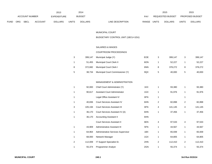|             |                                             |             |                | 2013           |              | 2014           |                           |              | 2015                   |              | 2015           |
|-------------|---------------------------------------------|-------------|----------------|----------------|--------------|----------------|---------------------------|--------------|------------------------|--------------|----------------|
|             | <b>ACCOUNT NUMBER</b><br><b>EXPENDITURE</b> |             |                | <b>BUDGET</b>  | PAY          |                | REQUESTED BUDGET          |              | <b>PROPOSED BUDGET</b> |              |                |
| <b>FUND</b> | ORG                                         | <b>SBCL</b> | <b>ACCOUNT</b> | <b>DOLLARS</b> | <b>UNITS</b> | <b>DOLLARS</b> | RANGE<br>LINE DESCRIPTION | <b>UNITS</b> | <b>DOLLARS</b>         | <b>UNITS</b> | <b>DOLLARS</b> |

#### MUNICIPAL COURT

BUDGETARY CONTROL UNIT (1BCU=1DU)

### SALARIES & WAGES

## COURTROOM PROCEEDINGS

| 3 | 399.147 | Municipal Judge (Y)              | <b>EOE</b> | 399.147 |   | 399.147 |
|---|---------|----------------------------------|------------|---------|---|---------|
|   | 51.455  | Municipal Court Clerk II         | 6ON        | 52.227  |   | 52,227  |
| 8 | 372.682 | <b>Municipal Court Clerk I</b>   | 6NN        | 378.272 | 8 | 378,272 |
| 5 | 38,734  | Municipal Court Commissioner (Y) | 9QX        | 40.000  |   | 40,000  |

### MANAGEMENT & ADMINISTRATION

| 1 | 92,000  | Chief Court Administrator (Y)        | 1KX |                | 93,380  |   | 93,380  |
|---|---------|--------------------------------------|-----|----------------|---------|---|---------|
| 1 | 90,617  | <b>Assistant Court Administrator</b> | 1GX | 1              | 91,976  | 1 | 91,976  |
| 1 |         | Legal Office Assistant IV            | 6FN | 1              |         | 1 |         |
| 1 | 40,836  | Court Services Assistant IV          | 6HN | $\overline{2}$ | 82,898  | 2 | 82,898  |
| 3 | 105,194 | <b>Court Services Assistant III</b>  | 6FN | 4              | 141,145 | 4 | 141,145 |
| 1 | 36,170  | Court Services Assistant IV (A)      | 6HN | 1              | 37,456  | 1 | 37,456  |
| 1 | 36,170  | <b>Accounting Assistant II</b>       | 6HN |                |         |   |         |
|   |         | Court Services Assistant II          | 6EN | 4              | 97,533  | 4 | 97,533  |
| 1 | 43,909  | Administrative Assistant III         | 5FN | 1              | 44,567  | 1 | 44,567  |
| 1 | 64,964  | Administrative Services Supervisor   | 1BX | 1              | 65,939  | 1 | 65,939  |
| 1 | 68,000  | Network Manager                      | 1GX | 1              | 64,805  | 1 | 64,805  |
| 2 | 112,009 | IT Support Specialist-Sr.            | 2HN | 2              | 112,410 | 2 | 112,410 |
| 1 | 55,374  | Programmer Analyst                   | 2GN |                | 55,374  |   | 55,374  |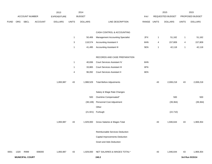|             |      |                        |                | 2013               |              | 2014           |                                         |             |              | 2015             |              | 2015            |
|-------------|------|------------------------|----------------|--------------------|--------------|----------------|-----------------------------------------|-------------|--------------|------------------|--------------|-----------------|
|             |      | ACCOUNT NUMBER         |                | <b>EXPENDITURE</b> |              | <b>BUDGET</b>  |                                         | PAY         |              | REQUESTED BUDGET |              | PROPOSED BUDGET |
| <b>FUND</b> | ORG  | <b>SBCL</b>            | <b>ACCOUNT</b> | <b>DOLLARS</b>     | <b>UNITS</b> | <b>DOLLARS</b> | LINE DESCRIPTION                        | RANGE UNITS |              | <b>DOLLARS</b>   | <b>UNITS</b> | <b>DOLLARS</b>  |
|             |      |                        |                |                    |              |                |                                         |             |              |                  |              |                 |
|             |      |                        |                |                    |              |                | CASH CONTROL & ACCOUNTING               |             |              |                  |              |                 |
|             |      |                        |                |                    | $\mathbf{1}$ | 50,406         | <b>Management Accounting Specialist</b> | 2FX         | $\mathbf{1}$ | 51,162           | $\mathbf{1}$ | 51,162          |
|             |      |                        |                |                    | $\mathbf{3}$ | 118,574        | <b>Accounting Assistant II</b>          | 6HN         | 4            | 157,809          | 4            | 157,809         |
|             |      |                        |                |                    | -1           | 41,495         | <b>Accounting Assistant III</b>         | 5EN         | $\mathbf 1$  | 42,118           | $\mathbf{1}$ | 42,118          |
|             |      |                        |                |                    |              |                |                                         |             |              |                  |              |                 |
|             |      |                        |                |                    |              |                | RECORDS AND CASE PREPARATION            |             |              |                  |              |                 |
|             |      |                        |                |                    | $\mathbf{1}$ | 40,836         | Court Services Assistant IV             | 6HN         |              |                  |              |                 |
|             |      |                        |                |                    | $\mathbf{1}$ | 33,865         | Court Services Assistant III            | 6FN         |              |                  |              |                 |
|             |      |                        |                |                    | 4            | 96,092         | Court Services Assistant II             | 6EN         |              |                  |              |                 |
|             |      |                        |                |                    |              |                |                                         |             |              |                  |              |                 |
|             |      |                        |                | 1,893,987          | 43           | 1,988,529      | <b>Total Before Adjustments</b>         |             | 43           | 2,008,218        | 43           | 2,008,218       |
|             |      |                        |                |                    |              |                |                                         |             |              |                  |              |                 |
|             |      |                        |                |                    |              |                | Salary & Wage Rate Changes              |             |              |                  |              |                 |
|             |      |                        |                |                    |              | 500            | Overtime Compensated*                   |             |              | 500              |              | 500             |
|             |      |                        |                |                    |              | (38, 108)      | Personnel Cost Adjustment               |             |              | (39, 364)        |              | (39, 364)       |
|             |      |                        |                |                    |              |                | Other                                   |             |              |                  |              |                 |
|             |      |                        |                |                    |              | (21, 921)      | Furlough                                |             |              | (22, 710)        |              |                 |
|             |      |                        |                |                    |              |                |                                         |             |              |                  |              |                 |
|             |      |                        |                | 1,893,987          | 43           | 1,929,000      | Gross Salaries & Wages Total            |             | 43           | 1,946,644        | 43           | 1,969,354       |
|             |      |                        |                |                    |              |                |                                         |             |              |                  |              |                 |
|             |      |                        |                |                    |              |                | Reimbursable Services Deduction         |             |              |                  |              |                 |
|             |      |                        |                |                    |              |                | Capital Improvements Deduction          |             |              |                  |              |                 |
|             |      |                        |                |                    |              |                | Grant and Aids Deduction                |             |              |                  |              |                 |
|             |      |                        |                |                    |              |                |                                         |             |              |                  |              |                 |
| 0001        | 1320 | R999                   | 006000         | 1,893,987          | 43           | 1,929,000      | NET SALARIES & WAGES TOTAL*             |             | 43           | 1,946,644        | 43           | 1,969,354       |
|             |      | <b>MUNICIPAL COURT</b> |                |                    |              |                | 240.2                                   |             |              |                  |              | 3rd Run 9/15/14 |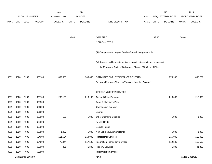|             |      |                        |                | 2013               |              | 2014           |                                                                           |            |              | 2015             |              | 2015            |
|-------------|------|------------------------|----------------|--------------------|--------------|----------------|---------------------------------------------------------------------------|------------|--------------|------------------|--------------|-----------------|
|             |      | <b>ACCOUNT NUMBER</b>  |                | <b>EXPENDITURE</b> |              | <b>BUDGET</b>  |                                                                           | <b>PAY</b> |              | REQUESTED BUDGET |              | PROPOSED BUDGET |
| <b>FUND</b> | ORG  | SBCL                   | <b>ACCOUNT</b> | <b>DOLLARS</b>     | <b>UNITS</b> | <b>DOLLARS</b> | LINE DESCRIPTION                                                          | RANGE      | <b>UNITS</b> | <b>DOLLARS</b>   | <b>UNITS</b> | <b>DOLLARS</b>  |
|             |      |                        |                |                    |              |                |                                                                           |            |              |                  |              |                 |
|             |      |                        |                |                    |              |                |                                                                           |            |              |                  |              |                 |
|             |      |                        |                |                    | 36.40        |                | O&M FTE'S                                                                 |            | 37.40        |                  | 36.40        |                 |
|             |      |                        |                |                    |              |                | NON-O&M FTE'S                                                             |            |              |                  |              |                 |
|             |      |                        |                |                    |              |                | (A) One position to require English-Spanish Interpreter skills.           |            |              |                  |              |                 |
|             |      |                        |                |                    |              |                | (Y) Required to file a statement of economic interests in accordance with |            |              |                  |              |                 |
|             |      |                        |                |                    |              |                | the Milwaukee Code of Ordinances Chapter 303-Code of Ethics.              |            |              |                  |              |                 |
|             |      |                        |                |                    |              |                |                                                                           |            |              |                  |              |                 |
| 0001        | 1320 | R999                   | 006100         | 882,365            |              | 906,630        | ESTIMATED EMPLOYEE FRINGE BENEFITS                                        |            |              | 875,990          |              | 886,209         |
|             |      |                        |                |                    |              |                | (Involves Revenue Offset-No Transfers from this Account)                  |            |              |                  |              |                 |
|             |      |                        |                |                    |              |                |                                                                           |            |              |                  |              |                 |
|             |      |                        |                |                    |              |                | OPERATING EXPENDITURES                                                    |            |              |                  |              |                 |
| 0001        | 1320 | R999                   | 630100         | 200,169            |              | 216,100        | General Office Expense                                                    |            |              | 218,000          |              | 218,000         |
| 0001        | 1320 | R999                   | 630500         |                    |              |                | Tools & Machinery Parts                                                   |            |              |                  |              |                 |
| 0001        | 1320 | R999                   | 631000         |                    |              |                | <b>Construction Supplies</b>                                              |            |              |                  |              |                 |
| 0001        | 1320 | R999                   | 631500         |                    |              |                | Energy                                                                    |            |              |                  |              |                 |
| 0001        | 1320 | R999                   | 632000         | 506                |              | 1,000          | <b>Other Operating Supplies</b>                                           |            |              | 1,000            |              | 1,000           |
| 0001        | 1320 | R999                   | 632500         |                    |              |                | <b>Facility Rental</b>                                                    |            |              |                  |              |                 |
| 0001        | 1320 | R999                   | 633000         |                    |              |                | <b>Vehicle Rental</b>                                                     |            |              |                  |              |                 |
| 0001        | 1320 | R999                   | 633500         | 1,427              |              | 1,000          | Non-Vehicle Equipment Rental                                              |            |              | 1,000            |              | 1,000           |
| 0001        | 1320 | R999                   | 634000         | 111,554            |              | 114,000        | <b>Professional Services</b>                                              |            |              | 116,000          |              | 116,000         |
| 0001        | 1320 | R999                   | 634500         | 72,044             |              | 117,500        | Information Technology Services                                           |            |              | 112,500          |              | 112,500         |
| 0001        | 1320 | R999                   | 635000         | 851                |              | 41,300         | <b>Property Services</b>                                                  |            |              | 41,300           |              | 41,300          |
| 0001        | 1320 | R999                   | 635500         |                    |              |                | <b>Infrastructure Services</b>                                            |            |              |                  |              |                 |
|             |      | <b>MUNICIPAL COURT</b> |                |                    |              |                | 240.3                                                                     |            |              |                  |              | 3rd Run 9/15/14 |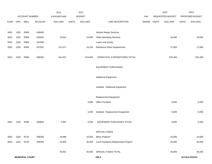|             |      |                        |         | 2013               |              | 2014           |                                     |             | 2015             |              | 2015            |
|-------------|------|------------------------|---------|--------------------|--------------|----------------|-------------------------------------|-------------|------------------|--------------|-----------------|
|             |      | ACCOUNT NUMBER         |         | <b>EXPENDITURE</b> |              | <b>BUDGET</b>  |                                     | PAY         | REQUESTED BUDGET |              | PROPOSED BUDGET |
| <b>FUND</b> | ORG  | <b>SBCL</b>            | ACCOUNT | <b>DOLLARS</b>     | <b>UNITS</b> | <b>DOLLARS</b> | LINE DESCRIPTION                    | RANGE UNITS | <b>DOLLARS</b>   | <b>UNITS</b> | <b>DOLLARS</b>  |
|             |      |                        |         |                    |              |                |                                     |             |                  |              |                 |
| 0001        | 1320 | R999                   | 636000  |                    |              |                | Vehicle Repair Services             |             |                  |              |                 |
| 0001        | 1320 | R999                   | 636500  | 13,815             |              | 15,000         | <b>Other Operating Services</b>     |             | 18,000           |              | 18,000          |
| 0001        | 1320 | R999                   | 637000  |                    |              |                | Loans and Grants                    |             |                  |              |                 |
| 0001        | 1320 | R999                   | 637501  | 141,471            |              | 18,100         | Reimburse Other Departments         |             | 17,600           |              | 17,600          |
|             |      |                        |         |                    |              |                |                                     |             |                  |              |                 |
| 0001        | 1320 | R999                   | 006300  | 541,837            |              | 524,000        | OPERATING EXPENDITURES TOTAL*       |             | 525,400          |              | 525,400         |
|             |      |                        |         |                    |              |                |                                     |             |                  |              |                 |
|             |      |                        |         |                    |              |                | <b>EQUIPMENT PURCHASES</b>          |             |                  |              |                 |
|             |      |                        |         |                    |              |                |                                     |             |                  |              |                 |
|             |      |                        |         |                    |              |                | <b>Additional Equipment</b>         |             |                  |              |                 |
|             |      |                        |         |                    |              |                |                                     |             |                  |              |                 |
|             |      |                        |         |                    |              |                | Subtotal - Additional Equipment     |             |                  |              |                 |
|             |      |                        |         |                    |              |                |                                     |             |                  |              |                 |
|             |      |                        |         |                    |              |                | <b>Replacement Equipment</b>        |             |                  |              |                 |
|             |      |                        |         |                    |              | 3,000          | Office Furniture                    |             | 6,000            |              | 6,000           |
|             |      |                        |         |                    |              |                |                                     |             |                  |              |                 |
|             |      |                        |         |                    |              | 3,000          | Subtotal - Replacement Equipment    |             | 6,000            |              | 6,000           |
|             |      |                        |         |                    |              |                |                                     |             |                  |              |                 |
| 0001        | 1320 | R999                   | 006800  | 2,987              |              | 3,000          | EQUIPMENT PURCHASES TOTAL*          |             | 6,000            |              | 6,000           |
|             |      |                        |         |                    |              |                |                                     |             |                  |              |                 |
|             |      |                        |         |                    |              |                | SPECIAL FUNDS                       |             |                  |              |                 |
| 0001        | 1320 | R132                   | 006300  | 19,998             |              | 10,000         | Minor Projects*                     |             | 10,000           |              | 10,000          |
| 0001        | 1320 | R134                   | 006300  | 24,993             |              | 30,000         | Court Hardware Replacement Project* |             | 30,000           |              | 30,000          |
|             |      |                        |         |                    |              |                |                                     |             |                  |              |                 |
|             |      |                        |         | 44,991             |              | 40,000         | SPECIAL FUNDS TOTAL                 |             | 40,000           |              | 40,000          |
|             |      | <b>MUNICIPAL COURT</b> |         |                    |              |                | 240.4                               |             |                  |              | 3rd Run 9/15/14 |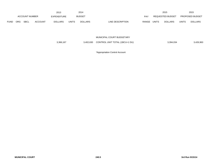|             |            |                               |                | 2013           |              | 2014           |                  |                  |       | 2015                   |              | 2015           |
|-------------|------------|-------------------------------|----------------|----------------|--------------|----------------|------------------|------------------|-------|------------------------|--------------|----------------|
|             |            | ACCOUNT NUMBER<br>EXPENDITURE |                | <b>BUDGET</b>  |              | <b>PAY</b>     |                  | REQUESTED BUDGET |       | <b>PROPOSED BUDGET</b> |              |                |
| <b>FUND</b> | <b>ORG</b> | <b>SBCL</b>                   | <b>ACCOUNT</b> | <b>DOLLARS</b> | <b>UNITS</b> | <b>DOLLARS</b> | LINE DESCRIPTION | RANGE            | UNITS | <b>DOLLARS</b>         | <b>UNITS</b> | <b>DOLLARS</b> |

MUNICIPAL COURT BUDGETARY

| 3,366,167 | 3,402,630 | CONTROL UNIT TOTAL (1BCU=1 DU) | 3,394,034 | 3,426,963 |
|-----------|-----------|--------------------------------|-----------|-----------|
|-----------|-----------|--------------------------------|-----------|-----------|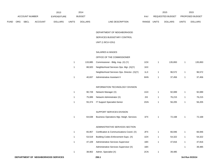|             |     |                       |                | 2013               |                | 2014           |                                             |       |              | 2015             |              | 2015            |
|-------------|-----|-----------------------|----------------|--------------------|----------------|----------------|---------------------------------------------|-------|--------------|------------------|--------------|-----------------|
|             |     | <b>ACCOUNT NUMBER</b> |                | <b>EXPENDITURE</b> |                | <b>BUDGET</b>  |                                             | PAY   |              | REQUESTED BUDGET |              | PROPOSED BUDGET |
| <b>FUND</b> | ORG | <b>SBCL</b>           | <b>ACCOUNT</b> | <b>DOLLARS</b>     | <b>UNITS</b>   | <b>DOLLARS</b> | LINE DESCRIPTION                            | RANGE | <b>UNITS</b> | <b>DOLLARS</b>   | <b>UNITS</b> | <b>DOLLARS</b>  |
|             |     |                       |                |                    |                |                |                                             |       |              |                  |              |                 |
|             |     |                       |                |                    |                |                | DEPARTMENT OF NEIGHBORHOOD                  |       |              |                  |              |                 |
|             |     |                       |                |                    |                |                | SERVICES BUDGETARY CONTROL                  |       |              |                  |              |                 |
|             |     |                       |                |                    |                |                | UNIT (1 BCU=1DU)                            |       |              |                  |              |                 |
|             |     |                       |                |                    |                |                | <b>SALARIES &amp; WAGES</b>                 |       |              |                  |              |                 |
|             |     |                       |                |                    |                |                | OFFICE OF THE COMMISSIONER                  |       |              |                  |              |                 |
|             |     |                       |                |                    | $\mathbf{1}$   |                | Commissioner - Bldg. Insp. (X) (Y)          | 1OX   | $\mathbf{1}$ | 135,893          | $\mathbf{1}$ | 135,893         |
|             |     |                       |                |                    |                | 133,885        |                                             |       |              |                  |              |                 |
|             |     |                       |                |                    | $\overline{1}$ | 88,920         | Neighborhood Services Ops. Mgr. (X)(Y)      | 1KX   |              |                  |              |                 |
|             |     |                       |                |                    |                |                | Neighborhood Services Ops. Director. (X)(Y) | 1LX   | $\mathbf{1}$ | 96,572           | $\mathbf{1}$ | 96,572          |
|             |     |                       |                |                    | $\overline{1}$ | 40,837         | Administrative Assistant II                 | 6HN   | $\mathbf{1}$ | 37,456           | $\mathbf{1}$ | 37,456          |
|             |     |                       |                |                    |                |                | INFORMATION TECHNOLOGY DIVISION             |       |              |                  |              |                 |
|             |     |                       |                |                    | $\mathbf{1}$   | 90,728         | Network Manager (X)                         | 1GX   | $\mathbf{1}$ | 92,089           | $\mathbf{1}$ | 92,089          |
|             |     |                       |                |                    | $\mathbf{1}$   | 75,089         | Network Administrator (X)                   | 2IX   | $\mathbf{1}$ | 76,215           | $\mathbf{1}$ | 76,215          |
|             |     |                       |                |                    | $\mathbf{1}$   | 55,374         | IT Support Specialist-Senior                | 2GN   | $\mathbf{1}$ | 56,205           | $\mathbf{1}$ | 56,205          |
|             |     |                       |                |                    |                |                |                                             |       |              |                  |              |                 |
|             |     |                       |                |                    |                |                | SUPPORT SERVICES DIVISION                   |       |              |                  |              |                 |
|             |     |                       |                |                    | $\overline{1}$ | 64,638         | Business Operations Mgr.-Neigh. Services    | 1FX   | $\mathbf{1}$ | 72,168           | $\mathbf{1}$ | 72,168          |
|             |     |                       |                |                    |                |                | ADMINISTRATIVE SERVICES SECTION             |       |              |                  |              |                 |
|             |     |                       |                |                    | 1              | 65,957         | Certification & Communications Coord. (X)   | 2FX   | 1            | 66,946           | $\mathbf{1}$ | 66,946          |
|             |     |                       |                |                    | $\mathbf{1}$   | 53,519         | Building Codes Enforcement Supv. (X)        | 1DX   | $\mathbf{1}$ | 54,322           | $\mathbf{1}$ | 54,322          |
|             |     |                       |                |                    | $\mathbf{1}$   | 47,109         | Administrative Services Supervisor          | 1BX   | $\mathbf{1}$ | 47,816           | $\mathbf{1}$ | 47,816          |
|             |     |                       |                |                    |                |                | Administrative Services Supervisor (X)      | 1BX   |              |                  | $\mathbf{1}$ | 39,485          |
|             |     |                       |                |                    |                |                |                                             |       |              |                  |              |                 |
|             |     |                       |                |                    | $\mathbf{1}$   | 38,902         | Admin. Specialist (X)                       | 2CN   | $\mathbf{1}$ | 39,485           |              |                 |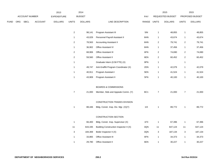|      |     |                |                | 2013               |                | 2014           |                                        |             |                  | 2015             |                         | 2015            |
|------|-----|----------------|----------------|--------------------|----------------|----------------|----------------------------------------|-------------|------------------|------------------|-------------------------|-----------------|
|      |     | ACCOUNT NUMBER |                | <b>EXPENDITURE</b> |                | <b>BUDGET</b>  |                                        | PAY         |                  | REQUESTED BUDGET |                         | PROPOSED BUDGET |
| FUND | ORG | <b>SBCL</b>    | <b>ACCOUNT</b> | <b>DOLLARS</b>     | <b>UNITS</b>   | <b>DOLLARS</b> | LINE DESCRIPTION                       | RANGE UNITS |                  | <b>DOLLARS</b>   | <b>UNITS</b>            | <b>DOLLARS</b>  |
|      |     |                |                |                    |                |                |                                        |             |                  |                  |                         |                 |
|      |     |                |                |                    | $\overline{2}$ | 98,141         | Program Assistant III                  | 5IN         | $\mathbf{1}$     | 48,855           | $\mathbf{1}$            | 48,855          |
|      |     |                |                |                    | $\mathbf{1}$   | 43,029         | Personnel Payroll Assistant II         | 6HN         | $\mathbf{1}$     | 43,674           | $\mathbf{1}$            | 43,674          |
|      |     |                |                |                    | $\overline{c}$ | 78,563         | <b>Accounting Assistant II</b>         | 6HN         | $\sqrt{2}$       | 79,741           | $\sqrt{2}$              | 79,741          |
|      |     |                |                |                    | $\mathbf{1}$   | 36,902         | Office Assistant IV                    | 6HN         | $\mathbf{1}$     | 37,456           | $\mathbf{1}$            | 37,456          |
|      |     |                |                |                    | $\overline{2}$ | 68,906         | Office Assistant III                   | 6FN         | $\overline{2}$   | 74,690           | $\overline{\mathbf{c}}$ | 74,690          |
|      |     |                |                |                    | $\overline{c}$ | 59,560         | Office Assistant II                    | 6EN         | $\overline{c}$   | 60,452           | $\overline{2}$          | 60,452          |
|      |     |                |                |                    | $\mathbf{1}$   |                | Graduate Intern (0.58 FTE) (X)         | 9PN         | $\mathbf{1}$     |                  | $\mathbf{1}$            |                 |
|      |     |                |                |                    | $\mathbf{1}$   | 49,747         | Anti-Graffiti Program Coordinator (X)  | 2DN         | $\mathbf{1}$     | 42,079           | $\mathbf{1}$            | 42,079          |
|      |     |                |                |                    | $\mathbf{1}$   | 40,911         | Program Assistant I                    | 5EN         | $\overline{1}$   | 41,524           | $\mathbf{1}$            | 41,524          |
|      |     |                |                |                    | $\mathbf{1}$   | 43,909         | Program Assistant II                   | 5FN         | $\mathbf{1}$     | 40,100           | $\mathbf{1}$            | 40,100          |
|      |     |                |                |                    |                |                |                                        |             |                  |                  |                         |                 |
|      |     |                |                |                    |                |                | <b>BOARDS &amp; COMMISSIONS</b>        |             |                  |                  |                         |                 |
|      |     |                |                |                    | $\overline{7}$ | 21,000         | Member, Stds and Appeals Comm. (Y)     | BC1         | $\boldsymbol{7}$ | 21,000           | $\overline{7}$          | 21,000          |
|      |     |                |                |                    |                |                |                                        |             |                  |                  |                         |                 |
|      |     |                |                |                    |                |                | CONSTRUCTION TRADES DIVISION           |             |                  |                  |                         |                 |
|      |     |                |                |                    | $\mathbf{1}$   | 88,446         | Bldg. Constr. Insp. Div. Mgr. (X)(Y)   | 11X         | 1                | 89,772           | $\mathbf{1}$            | 89,772          |
|      |     |                |                |                    |                |                | CONSTRUCTION SECTION                   |             |                  |                  |                         |                 |
|      |     |                |                |                    | $\mathbf{1}$   | 66,400         | Bldg. Constr. Insp. Supervisor (X)     | 1FX         | $\overline{1}$   | 67,396           | $\mathbf{1}$            | 67,396          |
|      |     |                |                |                    | 11             | 643,335        | Building Construction Inspector II (X) | 3QN         | 11               | 647,124          | 11                      | 647,124         |
|      |     |                |                |                    | 3              | 184,369        | Boiler Inspector II (X)                | 3QN         | 3                | 187,134          | 3                       | 187,134         |
|      |     |                |                |                    | $\mathbf{1}$   | 33,865         | Office Assistant III                   | 6FN         | $\mathbf{1}$     | 34,373           | $\mathbf{1}$            | 34,373          |
|      |     |                |                |                    | $\mathbf{1}$   | 29,780         | <b>Office Assistant II</b>             | 6EN         | $\mathbf{1}$     | 30,227           | $\mathbf{1}$            | 30,227          |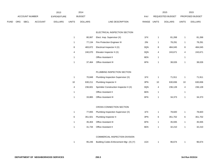|      |     |                |                | 2013               |              | 2014           |                                         |       |              | 2015             |              | 2015            |  |
|------|-----|----------------|----------------|--------------------|--------------|----------------|-----------------------------------------|-------|--------------|------------------|--------------|-----------------|--|
|      |     | ACCOUNT NUMBER |                | <b>EXPENDITURE</b> |              | <b>BUDGET</b>  |                                         | PAY   |              | REQUESTED BUDGET |              | PROPOSED BUDGET |  |
| FUND | ORG | <b>SBCL</b>    | <b>ACCOUNT</b> | <b>DOLLARS</b>     | <b>UNITS</b> | <b>DOLLARS</b> | LINE DESCRIPTION                        | RANGE | <b>UNITS</b> | <b>DOLLARS</b>   | <b>UNITS</b> | <b>DOLLARS</b>  |  |
|      |     |                |                |                    |              |                |                                         |       |              |                  |              |                 |  |
|      |     |                |                |                    |              |                | ELECTRICAL INSPECTION SECTION           |       |              |                  |              |                 |  |
|      |     |                |                |                    | $\mathbf{1}$ | 80,067         | Elect. Insp. Supervisor (X)             | 1FX   | $\mathbf{1}$ | 81,268           | $\mathbf{1}$ | 81,268          |  |
|      |     |                |                |                    | $\mathbf{1}$ | 77,134         | Fire Protection Engineer III            | 2IN   | $\mathbf{1}$ | 78,291           | $\mathbf{1}$ | 78,291          |  |
|      |     |                |                |                    | 8            | 483,872        | Electrical Inspector II (X)             | 3QN   | $\bf 8$      | 484,045          | $\bf 8$      | 484,045         |  |
|      |     |                |                |                    | 4            | 240,070        | Elevator Inspector II (X)               | 3QN   | 4            | 243,671          | 4            | 243,671         |  |
|      |     |                |                |                    | $\mathbf{1}$ |                | Office Assistant II                     | 6EN   | $\mathbf{1}$ |                  | $\mathbf{1}$ |                 |  |
|      |     |                |                |                    | $\mathbf{1}$ | 37,464         | Office Assistant III                    | 6FN   | $\mathbf{1}$ | 38,026           | $\mathbf{1}$ | 38,026          |  |
|      |     |                |                |                    |              |                |                                         |       |              |                  |              |                 |  |
|      |     |                |                |                    |              |                | PLUMBING INSPECTION SECTION             |       |              |                  |              |                 |  |
|      |     |                |                |                    | $\mathbf{1}$ | 70,848         | Plumbing Inspection Supervisor (X)      | 1FX   | $\mathbf{1}$ | 71,911           | $\mathbf{1}$ | 71,911          |  |
|      |     |                |                |                    | $10\,$       | 630,211        | Plumbing Inspector II                   | 3PN   | 10           | 630,836          | $10$         | 630,836         |  |
|      |     |                |                |                    | 4            | 236,601        | Sprinkler Construction Inspector II (X) | 3QN   | 4            | 236,128          | 4            | 236,128         |  |
|      |     |                |                |                    | $\mathbf{1}$ |                | Office Assistant II                     | 6EN   | $\mathbf{1}$ |                  | $\mathbf{1}$ |                 |  |
|      |     |                |                |                    | $\mathbf{1}$ | 33,865         | <b>Office Assistant III</b>             | 6FN   | $\mathbf{1}$ | 34,373           | $\mathbf{1}$ | 34,373          |  |
|      |     |                |                |                    |              |                |                                         |       |              |                  |              |                 |  |
|      |     |                |                |                    |              |                | CROSS CONNECTION SECTION                |       |              |                  |              |                 |  |
|      |     |                |                |                    | $\mathbf{1}$ | 77,655         | Plumbing Inspection Supervisor (X)      | 1FX   | $\mathbf{1}$ | 78,820           | $\mathbf{1}$ | 78,820          |  |
|      |     |                |                |                    | 6            | 351,921        | Plumbing Inspector II                   | 3PN   | 6            | 351,702          | 6            | 351,702         |  |
|      |     |                |                |                    | $\mathbf{1}$ | 35,404         | Office Assistant III                    | 6FN   | $\mathbf{1}$ | 35,935           | $\mathbf{1}$ | 35,935          |  |
|      |     |                |                |                    | $\mathbf{1}$ | 31,734         | Office Assistant II                     | 6EN   | $\mathbf{1}$ | 32,210           | $\mathbf{1}$ | 32,210          |  |
|      |     |                |                |                    |              |                |                                         |       |              |                  |              |                 |  |
|      |     |                |                |                    |              |                | COMMERCIAL INSPECTION DIVISION          |       |              |                  |              |                 |  |
|      |     |                |                |                    | $\mathbf{1}$ | 95,246         | Building Codes Enforcement Mgr. (X) (Y) | 1GX   | $\mathbf{1}$ | 96,674           | $\mathbf{1}$ | 96,674          |  |
|      |     |                |                |                    |              |                |                                         |       |              |                  |              |                 |  |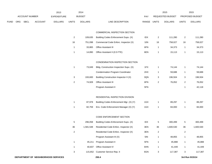|      |     |                       |                | 2013               |                | 2014           |                                         |       |                | 2015             |                | 2015            |
|------|-----|-----------------------|----------------|--------------------|----------------|----------------|-----------------------------------------|-------|----------------|------------------|----------------|-----------------|
|      |     | <b>ACCOUNT NUMBER</b> |                | <b>EXPENDITURE</b> |                | <b>BUDGET</b>  |                                         | PAY   |                | REQUESTED BUDGET |                | PROPOSED BUDGET |
| FUND | ORG | SBCL                  | <b>ACCOUNT</b> | <b>DOLLARS</b>     | <b>UNITS</b>   | <b>DOLLARS</b> | LINE DESCRIPTION                        | RANGE | <b>UNITS</b>   | <b>DOLLARS</b>   | <b>UNITS</b>   | <b>DOLLARS</b>  |
|      |     |                       |                |                    |                |                |                                         |       |                |                  |                |                 |
|      |     |                       |                |                    |                |                | COMMERCIAL INSPECTION SECTION           |       |                |                  |                |                 |
|      |     |                       |                |                    | $\overline{c}$ | 109,635        | Building Codes Enforcement Supv. (X)    | IDX   | $\overline{2}$ | 111,280          | $\overline{c}$ | 111,280         |
|      |     |                       |                |                    | 16             | 751,098        | Commercial Code Enforc. Inspector (X)   | 3JN   | 16             | 758,027          | 16             | 758,027         |
|      |     |                       |                |                    | $\mathbf{1}$   | 33,865         | Office Assistant III                    | 6FN   | $\mathbf{1}$   | 34,373           | $\mathbf{1}$   | 34,373          |
|      |     |                       |                |                    | $\mathbf{1}$   | 14,890         | Office Assistant II (0.5 FTE)           | 6EN   | $\mathbf{1}$   | 15,113           | $\mathbf{1}$   | 15,113          |
|      |     |                       |                |                    |                |                |                                         |       |                |                  |                |                 |
|      |     |                       |                |                    |                |                | CONDEMNATION INSPECTION SECTION         |       |                |                  |                |                 |
|      |     |                       |                |                    | $\mathbf{1}$   | 73,049         | Bldg. Construction Inspection Supv. (X) | 1FX   | $\mathbf{1}$   | 74,144           | $\mathbf{1}$   | 74,144          |
|      |     |                       |                |                    |                |                | <b>Condemnation Program Coordinator</b> | 2HX   | $\mathbf{1}$   | 59,688           | $\mathbf{1}$   | 59,688          |
|      |     |                       |                |                    | 3              | 193,600        | Building Construction Inspector II (X)  | 3QN   | 3              | 196,504          | 3              | 196,504         |
|      |     |                       |                |                    | $\overline{c}$ | 74,928         | Office Assistant III                    | 6FN   | $\sqrt{2}$     | 76,052           | $\overline{c}$ | 76,052          |
|      |     |                       |                |                    |                |                | Program Assistant II                    | 5FN   |                |                  | $\mathbf{1}$   | 42,118          |
|      |     |                       |                |                    |                |                |                                         |       |                |                  |                |                 |
|      |     |                       |                |                    |                |                | RESIDENTIAL INSPECTION DIVISION         |       |                |                  |                |                 |
|      |     |                       |                |                    | $\mathbf{1}$   | 87,978         | Building Codes Enforcement Mgr. (X) (Y) | 1GX   | $\mathbf{1}$   | 89,297           | $\mathbf{1}$   | 89,297          |
|      |     |                       |                |                    | $\mathbf{1}$   | 82,759         | Env. Code Enforcement Manager (X) (Y)   | 1GX   | $\mathbf{1}$   | 84,000           | $\mathbf{1}$   | 84,000          |
|      |     |                       |                |                    |                |                |                                         |       |                |                  |                |                 |
|      |     |                       |                |                    |                |                | CODE ENFORCEMENT SECTION                |       |                |                  |                |                 |
|      |     |                       |                |                    | 5              | 296,058        | Building Codes Enforcement Supv. (X)    | IDX   | $\,$ 5 $\,$    | 300,499          | 5              | 300,499         |
|      |     |                       |                |                    | 36             | 1,581,548      | Residential Code Enforc. Inspector (X)  | 3EN   | 36             | 1,600,530        | 36             | 1,600,530       |
|      |     |                       |                |                    | $\overline{c}$ |                | Residential Code Enforc. Inspector (X)  | 3EN   | $\overline{2}$ |                  | $\sqrt{2}$     |                 |
|      |     |                       |                |                    |                |                | Program Assistant III (X)               | 5IN   | $\mathbf{1}$   | 48,855           | $\mathbf{1}$   | 48,855          |
|      |     |                       |                |                    | $\mathbf{1}$   | 45,211         | Program Assistant II                    | 5FN   | $\mathbf{1}$   | 45,888           | $\mathbf{1}$   | 45,888          |
|      |     |                       |                |                    | $\mathbf{1}$   | 40,837         | Office Assistant IV                     | 6HN   | $\mathbf{1}$   | 41,449           | $\mathbf{1}$   | 41,449          |
|      |     |                       |                |                    | 3              |                | 115,652 Customer Service Rep. II        | 6GN   | $\mathbf{3}$   | 117,387          | $\sqrt{3}$     | 117,387         |
|      |     |                       |                |                    |                |                |                                         |       |                |                  |                |                 |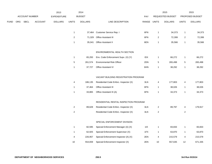|             |     |                |                | 2013               |                | 2014           |                                        |             |                | 2015             |                | 2015            |
|-------------|-----|----------------|----------------|--------------------|----------------|----------------|----------------------------------------|-------------|----------------|------------------|----------------|-----------------|
|             |     | ACCOUNT NUMBER |                | <b>EXPENDITURE</b> |                | <b>BUDGET</b>  |                                        | <b>PAY</b>  |                | REQUESTED BUDGET |                | PROPOSED BUDGET |
| <b>FUND</b> | ORG | SBCL           | <b>ACCOUNT</b> | <b>DOLLARS</b>     | <b>UNITS</b>   | <b>DOLLARS</b> | LINE DESCRIPTION                       | RANGE UNITS |                | <b>DOLLARS</b>   | <b>UNITS</b>   | <b>DOLLARS</b>  |
|             |     |                |                |                    |                |                |                                        |             |                |                  |                |                 |
|             |     |                |                |                    | $\mathbf{1}$   |                | 37,464 Customer Service Rep. I         | 6FN         | 1              | 34,373           | $\mathbf{1}$   | 34,373          |
|             |     |                |                |                    | 2              |                | 71,329 Office Assistant III            | 6FN         | $\overline{a}$ | 72,399           | $\overline{c}$ | 72,399          |
|             |     |                |                |                    | $\mathbf{1}$   |                | 35,041 Office Assistant II             | 6EN         | $\mathbf{1}$   | 35,566           | $\mathbf{1}$   | 35,566          |
|             |     |                |                |                    |                |                |                                        |             |                |                  |                |                 |
|             |     |                |                |                    |                |                | ENVIRONMENTAL HEALTH SECTION           |             |                |                  |                |                 |
|             |     |                |                |                    | $\mathbf{1}$   | 65,293         | Env. Code Enforcement Supv. (X) (Y)    | IDX         | $\mathbf{1}$   | 66,272           | $\mathbf{1}$   | 66,272          |
|             |     |                |                |                    | $\mathbf 5$    | 261,574        | <b>Environmental Risk Officer</b>      | 2DN         | $\sqrt{5}$     | 265,498          | $\sqrt{5}$     | 265,498         |
|             |     |                |                |                    | $\mathbf{1}$   | 37,727         | Office Assistant IV                    | 6HN         | 1              | 38,292           | $\mathbf{1}$   | 38,292          |
|             |     |                |                |                    |                |                |                                        |             |                |                  |                |                 |
|             |     |                |                |                    |                |                | VACANT BUILDING REGISTRATION PROGRAM   |             |                |                  |                |                 |
|             |     |                |                |                    | 4              | 186,135        | Residential Code Enforc. Inspector (X) | 3LN         | 4              | 177,803          | 4              | 177,803         |
|             |     |                |                |                    | $\mathbf{1}$   | 37,464         | <b>Office Assistant III</b>            | 6FN         | $\mathbf{1}$   | 38,026           | $\mathbf{1}$   | 38,026          |
|             |     |                |                |                    | 1              | 33,865         | Office Assistant III (A)               | 6FN         | 1              | 34,373           | $\mathbf{1}$   | 34,373          |
|             |     |                |                |                    |                |                |                                        |             |                |                  |                |                 |
|             |     |                |                |                    |                |                | RESIDENTIAL RENTAL INSPECTION PROGRAM  |             |                |                  |                |                 |
|             |     |                |                |                    | $\overline{c}$ | 89,628         | Residential Code Enforc. Inspector (X) | 3LN         | $\mathbf{2}$   | 89,797           | 4              | 179,917         |
|             |     |                |                |                    | $\overline{c}$ |                | Residential Code Enforc. Inspector (X) | 3LN         | $\overline{a}$ |                  | $\overline{2}$ |                 |
|             |     |                |                |                    |                |                |                                        |             |                |                  |                |                 |
|             |     |                |                |                    |                |                | SPECIAL ENFORCEMENT DIVISION           |             |                |                  |                |                 |
|             |     |                |                |                    | $\mathbf{1}$   | 82,595         | Special Enforcement Manager (A) (X)    | 11X         | $\mathbf{1}$   | 83,833           | $\mathbf{1}$   | 83,833          |
|             |     |                |                |                    | $\mathbf{1}$   | 62,925         | Special Enforcement Supervisor (X)     | 1FX         | $\mathbf{1}$   | 63,870           | $\mathbf{1}$   | 63,870          |
|             |     |                |                |                    | 4              | 226,957        | Special Enforcement Inspector (A) (X)  | 2EN         | 4              | 215,579          | 4              | 215,579         |
|             |     |                |                |                    | 10             | 554,659        | Special Enforcement Inspector (X)      | 2EN         | 10             | 557,635          | 12             | 671,335         |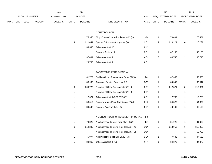|      |     |                |                | 2013               |              | 2014           |                                           |             |              | 2015             |                | 2015            |
|------|-----|----------------|----------------|--------------------|--------------|----------------|-------------------------------------------|-------------|--------------|------------------|----------------|-----------------|
|      |     | ACCOUNT NUMBER |                | <b>EXPENDITURE</b> |              | <b>BUDGET</b>  |                                           | PAY         |              | REQUESTED BUDGET |                | PROPOSED BUDGET |
| FUND | ORG | SBCL           | <b>ACCOUNT</b> | <b>DOLLARS</b>     | <b>UNITS</b> | <b>DOLLARS</b> | LINE DESCRIPTION                          | RANGE UNITS |              | <b>DOLLARS</b>   | <b>UNITS</b>   | <b>DOLLARS</b>  |
|      |     |                |                |                    |              |                | <b>COURT DIVISION</b>                     |             |              |                  |                |                 |
|      |     |                |                |                    | $\mathbf{1}$ | 75,350         | Bldg. Codes Court Administrator (X) (Y)   | 1GX         | $\mathbf{1}$ | 76,481           | $\mathbf{1}$   | 76,481          |
|      |     |                |                |                    | 4            | 211,441        | Special Enforcement Inspector (X)         | 2EN         | 4            | 218,221          | 4              | 218,221         |
|      |     |                |                |                    | $\mathbf{1}$ | 39,508         | Office Assistant IV                       | 6HN         |              |                  |                |                 |
|      |     |                |                |                    |              |                | Program Assistant II                      | 5FN         | $\mathbf{1}$ | 42,105           | $\mathbf{1}$   | 42,105          |
|      |     |                |                |                    | $\mathbf{1}$ | 37,464         | Office Assistant III                      | 6FN         | $\mathbf{2}$ | 68,746           | $\overline{2}$ | 68,746          |
|      |     |                |                |                    | $\mathbf{1}$ | 29,780         | Office Assistant II                       | 6EN         |              |                  |                |                 |
|      |     |                |                |                    |              |                | TARGETED ENFORCEMENT (A)                  |             |              |                  |                |                 |
|      |     |                |                |                    | $\mathbf{1}$ | 61,727         | Building Codes Enforcement Supv. (A)(X)   | IDX         | $\mathbf{1}$ | 62,653           | $\mathbf{1}$   | 62,653          |
|      |     |                |                |                    | $\mathbf{1}$ | 38,963         | Customer Service Rep. II (A) (X)          | 6GN         | $\mathbf{1}$ | 39,547           | $\mathbf{1}$   | 39,547          |
|      |     |                |                |                    | 8            | 209,727        | Residential Code Enf Inspector (A) (X)    | 3EN         | 8            | 212,871          | 8              | 212,871         |
|      |     |                |                |                    | $\mathbf{1}$ |                | Residential Code Enf Inspector (A) (X)    | 3EN         | $\mathbf{1}$ |                  | $\mathbf{1}$   |                 |
|      |     |                |                |                    | 1            | 17,521         | Office Assistant II (0.50 FTE) (A)        | 6EN         | $\mathbf{1}$ | 17,783           | $\mathbf{1}$   | 17,783          |
|      |     |                |                |                    | $\mathbf{1}$ | 53,519         | Property Mgmt. Prog. Coordinator (A) (X)  | 2HX         | $\mathbf{1}$ | 54,322           | $\mathbf{1}$   | 54,322          |
|      |     |                |                |                    | $\mathbf{1}$ | 39,507         | Program Assistant I (A) (X)               | 5EN         | $\mathbf{1}$ | 40,100           | $\mathbf{1}$   | 40,100          |
|      |     |                |                |                    |              |                | NEIGHBORHOOD IMPROVEMENT PROGRAM (NIP)    |             |              |                  |                |                 |
|      |     |                |                |                    | $\mathbf{1}$ | 79,829         | Neighborhood Improv. Proj. Mgr. (B) (X)   | IEX         | $\mathbf{1}$ | 81,026           | $\mathbf{1}$   | 81,026          |
|      |     |                |                |                    | 6            | 314,239        | Neighborhood Improve. Proj. Insp. (B) (X) | 3ON         | 6            | 318,953          | 6              | 318,953         |
|      |     |                |                |                    |              |                | Neighborhood Improve. Proj. Insp. (X) (C) | 3ON         |              |                  | $\mathbf{1}$   | 52,750          |
|      |     |                |                |                    | $\mathbf{1}$ | 46,977         | Administrative Specialist Sr. (B) (X)     | 2EX         | $\mathbf{1}$ | 47,682           | $\mathbf{1}$   | 47,682          |
|      |     |                |                |                    | $\mathbf{1}$ | 33,865         | Office Assistant III (B)                  | 6FN         | $\mathbf{1}$ | 34,373           | $\mathbf{1}$   | 34,373          |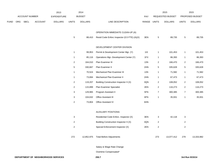|             |     |                |                | 2013           |                           | 2014           |                                              |             |                  | 2015             |                | 2015            |
|-------------|-----|----------------|----------------|----------------|---------------------------|----------------|----------------------------------------------|-------------|------------------|------------------|----------------|-----------------|
|             |     | ACCOUNT NUMBER |                | EXPENDITURE    |                           | <b>BUDGET</b>  |                                              | <b>PAY</b>  |                  | REQUESTED BUDGET |                | PROPOSED BUDGET |
| <b>FUND</b> | ORG | SBCL           | <b>ACCOUNT</b> | <b>DOLLARS</b> | <b>UNITS</b>              | <b>DOLLARS</b> | LINE DESCRIPTION                             | RANGE UNITS |                  | <b>DOLLARS</b>   | <b>UNITS</b>   | <b>DOLLARS</b>  |
|             |     |                |                |                |                           |                | OPERATION IMMEDIATE CLEAN-UP (A)             |             |                  |                  |                |                 |
|             |     |                |                |                | $\,$ 5 $\,$               | 88,410         | Resid Code Enforc Inspector (0.5 FTE) (A)(X) | 3EN         | 5                | 89,735           | $\sqrt{5}$     | 89,735          |
|             |     |                |                |                |                           |                | DEVELOPMENT CENTER DIVISION                  |             |                  |                  |                |                 |
|             |     |                |                |                | $\mathbf{1}$              | 99,953         | Permit & Development Center Mgr. (Y)         | 11X         | $\mathbf{1}$     | 101,453          | $\mathbf{1}$   | 101,453         |
|             |     |                |                |                | $\mathbf{1}$              | 85,116         | Operations Mgr.-Development Center (Y)       | 1FX         | 1                | 86,393           | $\mathbf{1}$   | 86,393          |
|             |     |                |                |                | $\sqrt{2}$                | 164,010        | Plan Examiner III                            | 2JN         | $\boldsymbol{2}$ | 166,470          | $\sqrt{2}$     | 166,470         |
|             |     |                |                |                | $\mathbf 5$               | 330,667        | Plan Examiner II                             | 2HN         | $\mathbf 5$      | 335,628          | $\,$ 5 $\,$    | 335,628         |
|             |     |                |                |                | $\mathbf{1}$              | 70,524         | Mechanical Plan Examiner III                 | 2JN         | $\mathbf{1}$     | 71,582           | $\mathbf{1}$   | 71,582          |
|             |     |                |                |                | $\mathbf{1}$              | 73,694         | Mechanical Plan Examiner II                  | 2HN         | $\mathbf{1}$     | 67,473           | $\mathbf{1}$   | 67,473          |
|             |     |                |                |                | $\boldsymbol{2}$          | 119,207        | Building Construction Inspector II (X)       | 3QN         | $\overline{c}$   | 108,052          | $\overline{2}$ | 108,052         |
|             |     |                |                |                | $\boldsymbol{2}$          | 115,899        | Plan Examiner Specialist                     | 2EN         | $\boldsymbol{2}$ | 116,273          | $\overline{2}$ | 116,273         |
|             |     |                |                |                | 3                         | 129,965        | Program Assistant II                         | 5FN         | 7                | 300,385          | $\overline{7}$ | 300,385         |
|             |     |                |                |                | $\ensuremath{\mathsf{3}}$ | 104,632        | Office Assistant III                         | 6FN         | $\mathbf{1}$     | 35,931           | $\mathbf{1}$   | 35,931          |
|             |     |                |                |                | $\sqrt{2}$                | 73,804         | Office Assistant IV                          | 6HN         |                  |                  |                |                 |
|             |     |                |                |                |                           |                | <b>AUXILIARY POSITIONS</b>                   |             |                  |                  |                |                 |
|             |     |                |                |                | $\ensuremath{\mathsf{3}}$ |                | Residential Code Enforc. Inspector (X)       | 3EN         | 3                | 42,118           | 3              |                 |
|             |     |                |                |                | $\sqrt{2}$                |                | Building Construction Inspector II (X)       | 3QN         | 2                |                  | $\overline{2}$ |                 |
|             |     |                |                |                | $\boldsymbol{2}$          |                | Special Enforcement Inspector (X)            | 2EN         | $\boldsymbol{2}$ |                  | $\overline{2}$ |                 |
|             |     |                |                |                | 272                       | 12,852,975     | <b>Total Before Adjustments</b>              |             | 273              | 13,077,412       | 279            | 13,333,982      |
|             |     |                |                |                |                           |                | Salary & Wage Pate Change                    |             |                  |                  |                |                 |

Salary & Wage Rate Change

Overtime Compensated\*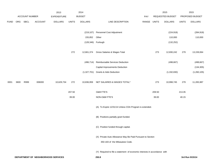|             |      |                |                                     | 2013               |              | 2014           |                                                                           |             |        | 2015             |              | 2015            |
|-------------|------|----------------|-------------------------------------|--------------------|--------------|----------------|---------------------------------------------------------------------------|-------------|--------|------------------|--------------|-----------------|
|             |      | ACCOUNT NUMBER |                                     | <b>EXPENDITURE</b> |              | <b>BUDGET</b>  |                                                                           | PAY         |        | REQUESTED BUDGET |              | PROPOSED BUDGET |
| <b>FUND</b> | ORG  | SBCL           | <b>ACCOUNT</b>                      | <b>DOLLARS</b>     | <b>UNITS</b> | <b>DOLLARS</b> | LINE DESCRIPTION                                                          | RANGE UNITS |        | <b>DOLLARS</b>   | <b>UNITS</b> | <b>DOLLARS</b>  |
|             |      |                |                                     |                    |              |                |                                                                           |             |        |                  |              |                 |
|             |      |                |                                     |                    |              | (219, 107)     | Personnel Cost Adjustment                                                 |             |        | (224, 918)       |              | (284, 918)      |
|             |      |                |                                     |                    |              | 155,852        | Other                                                                     |             |        | 110,000          |              | 110,000         |
|             |      |                |                                     |                    |              | (128, 346)     | Furlough                                                                  |             |        | (132, 252)       |              |                 |
|             |      |                |                                     |                    | 272          | 12,661,374     | Gross Salaries & Wages Total                                              |             | 273    | 12,830,242       | 279          | 13,159,064      |
|             |      |                |                                     |                    |              | (496, 714)     | Reimbursable Services Deduction                                           |             |        | (498, 667)       |              | (498, 667)      |
|             |      |                |                                     |                    |              |                | <b>Capital Improvements Deduction</b>                                     |             |        |                  |              | (134, 305)      |
|             |      |                |                                     |                    |              | (1,327,701)    | <b>Grants &amp; Aids Deduction</b>                                        |             |        | (1,332,830)      |              | (1,260,105)     |
| 0001        | 3600 | R999           | 006000                              | 10,629,734         | 272          | 10,836,959     | NET SALARIES & WAGES TOTAL*                                               |             | 273    | 10,998,745       | 279          | 11,265,987      |
|             |      |                |                                     |                    | 207.50       |                | O&M FTE'S                                                                 |             | 209.50 |                  | 213.35       |                 |
|             |      |                |                                     |                    | 39.00        |                | NON-O&M FTE'S                                                             |             | 39.00  |                  | 40.15        |                 |
|             |      |                |                                     |                    |              |                | (A) To Expire 12/31/14 Unless CDA Program is extended.                    |             |        |                  |              |                 |
|             |      |                |                                     |                    |              |                | (B) Positions partially grant funded.                                     |             |        |                  |              |                 |
|             |      |                |                                     |                    |              |                | (C) Position funded through capital.                                      |             |        |                  |              |                 |
|             |      |                |                                     |                    |              |                | (X) Private Auto Allowance May Be Paid Pursuant to Section                |             |        |                  |              |                 |
|             |      |                |                                     |                    |              |                | 350-183 of the Milwaukee Code.                                            |             |        |                  |              |                 |
|             |      |                |                                     |                    |              |                | (Y) Required to file a statement of economic interests in accordance with |             |        |                  |              |                 |
|             |      |                | DEPARTMENT OF NEIGHBORHOOD SERVICES |                    |              |                | 250.8                                                                     |             |        |                  |              | 3rd Run 9/15/14 |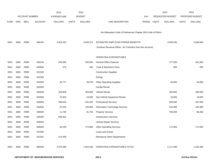|             |      |                       |                | 2013               |              | 2014           |                                                              |            |              | 2015             |              | 2015            |
|-------------|------|-----------------------|----------------|--------------------|--------------|----------------|--------------------------------------------------------------|------------|--------------|------------------|--------------|-----------------|
|             |      | <b>ACCOUNT NUMBER</b> |                | <b>EXPENDITURE</b> |              | <b>BUDGET</b>  |                                                              | <b>PAY</b> |              | REQUESTED BUDGET |              | PROPOSED BUDGET |
| <b>FUND</b> | ORG  | <b>SBCL</b>           | <b>ACCOUNT</b> | <b>DOLLARS</b>     | <b>UNITS</b> | <b>DOLLARS</b> | LINE DESCRIPTION                                             | RANGE      | <b>UNITS</b> | <b>DOLLARS</b>   | <b>UNITS</b> | <b>DOLLARS</b>  |
|             |      |                       |                |                    |              |                |                                                              |            |              |                  |              |                 |
|             |      |                       |                |                    |              |                | the Milwaukee Code of Ordinances Chapter 303-Code of Ethics. |            |              |                  |              |                 |
|             |      |                       |                |                    |              |                |                                                              |            |              |                  |              |                 |
| 0001        | 3600 | R999                  | 006100         | 4,952,533          |              | 5,093,371      | ESTIMATED EMPLOYEE FRINGE BENEFITS                           |            |              | 4,949,435        |              | 5,069,694       |
|             |      |                       |                |                    |              |                | (Involves Revenue Offset - No Transfers from this Account)   |            |              |                  |              |                 |
|             |      |                       |                |                    |              |                |                                                              |            |              |                  |              |                 |
|             |      |                       |                |                    |              |                | <b>OPERATING EXPENDITURES</b>                                |            |              |                  |              |                 |
| 0001        | 3600 | R999                  | 630100         | 209,280            |              | 330,000        | General Office Expense                                       |            |              | 277,000          |              | 281,800         |
| 0001        | 3600 | R999                  | 630500         | 574                |              | 400            | Tools & Machinery Parts                                      |            |              | 400              |              | 400             |
| 0001        | 3600 | R999                  | 631000         |                    |              |                | <b>Construction Supplies</b>                                 |            |              |                  |              |                 |
| 0001        | 3600 | R999                  | 631500         |                    |              |                | Energy                                                       |            |              |                  |              |                 |
| 0001        | 3600 | R999                  | 632000         | 34,777             |              | 39,750         | <b>Other Operating Supplies</b>                              |            |              | 40,000           |              | 40,900          |
| 0001        | 3600 | R999                  | 632500         |                    |              |                | <b>Facility Rental</b>                                       |            |              |                  |              |                 |
| 0001        | 3600 | R999                  | 633000         | 304,958            |              | 363,000        | Vehicle Rental                                               |            |              | 363,000          |              | 369,000         |
| 0001        | 3600 | R999                  | 633500         | 15,923             |              | 19,000         | Non-Vehicle Equipment Rental                                 |            |              | 19,000           |              | 19,000          |
| 0001        | 3600 | R999                  | 634000         | 308,642            |              | 201,500        | <b>Professional Services</b>                                 |            |              | 305,000          |              | 307,000         |
| 0001        | 3600 | R999                  | 634500         | 97,203             |              | 135,965        | Information Technology Services                              |            |              | 155,389          |              | 155,389         |
| 0001        | 3600 | R999                  | 635000         | 11,783             |              | 91,750         | <b>Property Services</b>                                     |            |              | 785,000          |              | 86,480          |
| 0001        | 3600 | R999                  | 635500         | 808,401            |              |                | Infrastructure Services                                      |            |              |                  |              |                 |
| 0001        | 3600 | R999                  | 636000         |                    |              |                | Vehicle Repair Services                                      |            |              |                  |              |                 |
| 0001        | 3600 | R999                  | 636500         | 64,249             |              | 172,800        | <b>Other Operating Services</b>                              |            |              | 172,500          |              | 172,500         |
| 0001        | 3600 | R999                  | 637000         |                    |              |                | Loans and Grants                                             |            |              |                  |              |                 |
| 0001        | 3600 | R999                  | 637501         | 214,499            |              |                | <b>Reimburse Other Departments</b>                           |            |              |                  |              |                 |
|             |      |                       |                |                    |              |                |                                                              |            |              |                  |              |                 |
| 0001        | 3600 | R999                  | 006300         | 2,070,289          |              | 1,354,165      | OPERATING EXPENDITURES TOTAL*                                |            |              | 2,117,289        |              | 1,432,469       |
|             |      |                       |                |                    |              |                |                                                              |            |              |                  |              |                 |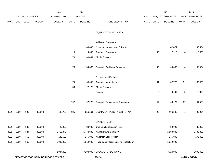|             |      |                       |                | 2013                                |              | 2014           |                                        |             |             | 2015             |              | 2015            |
|-------------|------|-----------------------|----------------|-------------------------------------|--------------|----------------|----------------------------------------|-------------|-------------|------------------|--------------|-----------------|
|             |      | <b>ACCOUNT NUMBER</b> |                | <b>EXPENDITURE</b>                  |              | <b>BUDGET</b>  |                                        | PAY         |             | REQUESTED BUDGET |              | PROPOSED BUDGET |
| <b>FUND</b> | ORG  | SBCL                  | <b>ACCOUNT</b> | <b>DOLLARS</b>                      | <b>UNITS</b> | <b>DOLLARS</b> | LINE DESCRIPTION                       | RANGE UNITS |             | <b>DOLLARS</b>   | <b>UNITS</b> | <b>DOLLARS</b>  |
|             |      |                       |                |                                     |              |                |                                        |             |             |                  |              |                 |
|             |      |                       |                |                                     |              |                | <b>EQUIPMENT PURCHASES</b>             |             |             |                  |              |                 |
|             |      |                       |                |                                     |              |                |                                        |             |             |                  |              |                 |
|             |      |                       |                |                                     |              |                | <b>Additional Equipment</b>            |             |             |                  |              |                 |
|             |      |                       |                |                                     |              | 89,895         | Network Hardware and Software          |             |             | 42,474           |              | 42,474          |
|             |      |                       |                |                                     | $\sqrt{5}$   | 14,000         | <b>Computer Equipment</b>              |             | 57          | 17,912           | 4            | 16,000          |
|             |      |                       |                |                                     | 73           | 60,444         | <b>Mobile Devices</b>                  |             |             |                  |              |                 |
|             |      |                       |                |                                     |              |                |                                        |             |             |                  |              |                 |
|             |      |                       |                |                                     | 78           | 164,339        | Subtotal - Additional Equipment        |             | 57          | 60,386           | 4            | 58,474          |
|             |      |                       |                |                                     |              |                | <b>Replacement Equipment</b>           |             |             |                  |              |                 |
|             |      |                       |                |                                     | 74           | 65,046         | <b>Computer Workstations</b>           |             | 34          | 37,720           | 32           | 35,520          |
|             |      |                       |                |                                     | 33           | 27,176         | <b>Mobile Devices</b>                  |             |             |                  |              |                 |
|             |      |                       |                |                                     |              |                | Printers                               |             | $7^{\circ}$ | 8,400            | $\,$ 5 $\,$  | 6,000           |
|             |      |                       |                |                                     |              |                |                                        |             |             |                  |              |                 |
|             |      |                       |                |                                     | 107          | 92,222         | Subtotal - Replacement Equipment       |             | 41          | 46,120           | $37\,$       | 41,520          |
|             |      |                       |                |                                     |              |                |                                        |             |             |                  |              |                 |
| 0001        | 3600 | R999                  | 006800         | 148,735                             | 185          | 256,561        | EQUIPMENT PURCHASES TOTAL*             |             | 98          | 106,506          | 41           | 99,994          |
|             |      |                       |                |                                     |              |                | SPECIAL FUNDS                          |             |             |                  |              |                 |
| 0001        | 3600 | R383                  | 006300         | 29,989                              |              | 30,000         | Community Sanitation Fund*             |             |             | 30,000           |              | 30,000          |
| 0001        | 3600 | R384                  | 006300         | 1,763,973                           |              | 1,770,000      | Animal Pound Contract*                 |             |             | 1,800,000        |              | 1,793,000       |
| 0001        | 3600 | R365                  | 006300         | 149,537                             |              | 175,000        | Anderson Lake Tower*                   |             |             | 175,000          |              | 170,000         |
| 0001        | 3600 | R366                  | 006300         | 1,000,908                           |              | 1,319,000      | Razing and Vacant Building Protection* |             |             | 1,319,000        |              |                 |
|             |      |                       |                |                                     |              |                |                                        |             |             |                  |              |                 |
|             |      |                       |                | 2,944,407                           |              | 3,294,000      | SPECIAL FUNDS TOTAL                    |             |             | 3,324,000        |              | 1,993,000       |
|             |      |                       |                | DEPARTMENT OF NEIGHBORHOOD SERVICES |              |                | 250.10                                 |             |             |                  |              | 3rd Run 9/15/14 |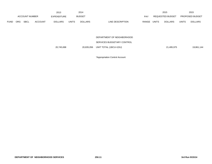|             | 2013<br><b>ACCOUNT NUMBER</b> |             |                | 2014           |                            |                |                  | 2015       |                                | 2015             |              |                        |
|-------------|-------------------------------|-------------|----------------|----------------|----------------------------|----------------|------------------|------------|--------------------------------|------------------|--------------|------------------------|
|             |                               |             |                | EXPENDITURE    |                            | <b>BUDGET</b>  |                  | <b>PAY</b> |                                | REQUESTED BUDGET |              | <b>PROPOSED BUDGET</b> |
| <b>FUND</b> | ORG                           | <b>SBCL</b> | <b>ACCOUNT</b> | <b>DOLLARS</b> | <b>UNITS</b>               | <b>DOLLARS</b> | LINE DESCRIPTION | RANGE      | <b>UNITS</b><br><b>DOLLARS</b> |                  | <b>UNITS</b> | <b>DOLLARS</b>         |
|             |                               |             |                |                | DEPARTMENT OF NEIGHBORHOOD |                |                  |            |                                |                  |              |                        |
|             |                               |             |                |                |                            |                |                  |            |                                |                  |              |                        |

SERVICES BUDGETARY CONTROL

20,745,698 20,835,056 UNIT TOTAL (1BCU=1DU) 21,495,975 21,495,975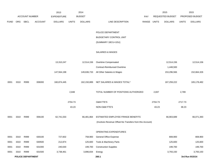|             |      |                          |                | 2013               |              | 2014           |                                                          |       |              | 2015             |              | 2015            |
|-------------|------|--------------------------|----------------|--------------------|--------------|----------------|----------------------------------------------------------|-------|--------------|------------------|--------------|-----------------|
|             |      | <b>ACCOUNT NUMBER</b>    |                | <b>EXPENDITURE</b> |              | <b>BUDGET</b>  |                                                          | PAY   |              | REQUESTED BUDGET |              | PROPOSED BUDGET |
| <b>FUND</b> | ORG  | SBCL                     | <b>ACCOUNT</b> | <b>DOLLARS</b>     | <b>UNITS</b> | <b>DOLLARS</b> | LINE DESCRIPTION                                         | RANGE | <b>UNITS</b> | <b>DOLLARS</b>   | <b>UNITS</b> | <b>DOLLARS</b>  |
|             |      |                          |                |                    |              |                |                                                          |       |              |                  |              |                 |
|             |      |                          |                |                    |              |                | POLICE DEPARTMENT                                        |       |              |                  |              |                 |
|             |      |                          |                |                    |              |                | <b>BUDGETARY CONTROL UNIT</b>                            |       |              |                  |              |                 |
|             |      |                          |                |                    |              |                | (SUMMARY 1BCU=1DU)                                       |       |              |                  |              |                 |
|             |      |                          |                |                    |              |                | <b>SALARIES &amp; WAGES</b>                              |       |              |                  |              |                 |
|             |      |                          |                | 13,310,247         |              | 12,514,156     | Overtime Compensated                                     |       |              | 12,514,156       |              | 12,514,156      |
|             |      |                          |                |                    |              |                | Contract-Reimbursed Overtime                             |       |              | 1,448,500        |              |                 |
|             |      |                          |                | 147,564,198        |              | 149,636,733    | All Other Salaries & Wages                               |       |              | 153,296,566      |              | 152,664,326     |
| 0001        | 3310 | R999                     | 006000         | 160,874,445        |              | 162,150,889    | NET SALARIES & WAGES TOTAL*                              |       |              | 167,259,222      |              | 165,178,482     |
|             |      |                          |                |                    | 2,848        |                | TOTAL NUMBER OF POSITIONS AUTHORIZED                     |       | 2,837        |                  | 2,789        |                 |
|             |      |                          |                |                    | 2704.73      |                | O&M FTE'S                                                |       | 2704.73      |                  | 2717.73      |                 |
|             |      |                          |                |                    | 43.23        |                | NON-O&M FTE'S                                            |       | 43.23        |                  | 38.23        |                 |
| 0001        | 3310 | R999                     | 006100         | 62,741,033         |              | 66,481,864     | ESTIMATED EMPLOYEE FRINGE BENEFITS                       |       |              | 66,903,689       |              | 66,071,393      |
|             |      |                          |                |                    |              |                | (Involves Revenue Offset-No Transfers from this Account) |       |              |                  |              |                 |
|             |      |                          |                |                    |              |                |                                                          |       |              |                  |              |                 |
|             |      |                          |                |                    |              |                | OPERATING EXPENDITURES                                   |       |              |                  |              |                 |
| 0001        | 3310 | R999                     | 630100         | 727,602            |              | 758,900        | <b>General Office Expense</b>                            |       |              | 808,900          |              | 808,900         |
| 0001        | 3310 | R999                     | 630500         | 212,874            |              | 125,600        | Tools & Machinery Parts                                  |       |              | 125,600          |              | 125,600         |
| 0001        | 3310 | R999                     | 631000         | 240,630            |              | 199,700        | <b>Construction Supplies</b>                             |       |              | 199,700          |              | 199,700         |
| 0001        | 3310 | R999                     | 631500         | 3,738,461          |              | 3,896,834      | Energy                                                   |       |              | 3,793,150        |              | 3,793,150       |
|             |      | <b>POLICE DEPARTMENT</b> |                |                    |              |                | 260.1                                                    |       |              |                  |              | 3rd Run 9/15/14 |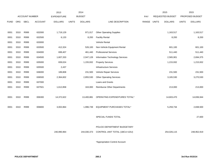|             |      |                       |         | 2013           |              | 2014           |                                    |            |              | 2015             |              | 2015            |
|-------------|------|-----------------------|---------|----------------|--------------|----------------|------------------------------------|------------|--------------|------------------|--------------|-----------------|
|             |      | <b>ACCOUNT NUMBER</b> |         | EXPENDITURE    |              | <b>BUDGET</b>  |                                    | <b>PAY</b> |              | REQUESTED BUDGET |              | PROPOSED BUDGET |
| <b>FUND</b> | ORG  | <b>SBCL</b>           | ACCOUNT | <b>DOLLARS</b> | <b>UNITS</b> | <b>DOLLARS</b> | LINE DESCRIPTION                   | RANGE      | <b>UNITS</b> | <b>DOLLARS</b>   | <b>UNITS</b> | <b>DOLLARS</b>  |
|             |      |                       |         |                |              |                |                                    |            |              |                  |              |                 |
| 0001        | 3310 | R999                  | 632000  | 1,719,129      |              | 971,017        | <b>Other Operating Supplies</b>    |            |              | 1,163,517        |              | 1,163,517       |
| 0001        | 3310 | R999                  | 632500  | 6,133          |              | 8,200          | <b>Facility Rental</b>             |            |              | 8,200            |              | 8,200           |
| 0001        | 3310 | R999                  | 633000  |                |              |                | Vehicle Rental                     |            |              |                  |              |                 |
| 0001        | 3310 | R999                  | 633500  | 412,324        |              | 526,100        | Non-Vehicle Equipment Rental       |            |              | 601,100          |              | 601,100         |
| 0001        | 3310 | R999                  | 634000  | 699,407        |              | 461,440        | <b>Professional Services</b>       |            |              | 511,440          |              | 511,440         |
| 0001        | 3310 | R999                  | 634500  | 1,607,333      |              | 2,047,128      | Information Technology Services    |            |              | 2,565,901        |              | 2,694,375       |
| 0001        | 3310 | R999                  | 635000  | 839,024        |              | 1,155,932      | <b>Property Services</b>           |            |              | 1,215,932        |              | 1,215,932       |
| 0001        | 3310 | R999                  | 635500  | 2,437          |              |                | Infrastructure Services            |            |              |                  |              |                 |
| 0001        | 3310 | R999                  | 636000  | 189,808        |              | 231,500        | Vehicle Repair Services            |            |              | 231,500          |              | 231,500         |
| 0001        | 3310 | R999                  | 636500  | 2,364,602      |              | 2,855,530      | <b>Other Operating Services</b>    |            |              | 3,165,530        |              | 3,270,530       |
| 0001        | 3310 | R999                  | 637000  |                |              |                | Loans and Grants                   |            |              |                  |              |                 |
| 0001        | 3310 | R999                  | 637501  | 1,612,858      |              | 163,000        | <b>Reimburse Other Departments</b> |            |              | 213,000          |              | 213,000         |
|             |      |                       |         |                |              |                |                                    |            |              |                  |              |                 |
| 0001        | 3310 | R999                  | 006300  | 14,372,622     |              | 13,400,881     | OPERATING EXPENDITURES TOTAL*      |            |              | 14,603,470       |              | 14,836,944      |
|             |      |                       |         |                |              |                |                                    |            |              |                  |              |                 |
| 0001        | 3310 | R999                  | 006800  | 3,002,864      |              | 1,996,739      | EQUIPMENT PURCHASES TOTAL*         |            |              | 5,259,734        |              | 2,838,500       |
|             |      |                       |         |                |              |                |                                    |            |              |                  |              |                 |
|             |      |                       |         |                |              |                | SPECIAL FUNDS TOTAL                |            |              |                  |              | 27,600          |
|             |      |                       |         |                |              |                |                                    |            |              |                  |              |                 |
|             |      |                       |         |                |              |                | POLICE DEPARTMENT BUDGETARY        |            |              |                  |              |                 |
|             |      |                       |         | 240,990,964    |              | 244,030,373    | CONTROL UNIT TOTAL (1BCU=1DU)      |            |              | 254,026,115      |              | 248,952,919     |
|             |      |                       |         |                |              |                |                                    |            |              |                  |              |                 |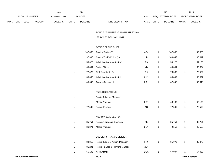|             |                |             |                | 2013           |              | 2014          |                           | 2015                    |              | 2015                   |
|-------------|----------------|-------------|----------------|----------------|--------------|---------------|---------------------------|-------------------------|--------------|------------------------|
|             | ACCOUNT NUMBER |             |                | EXPENDITURE    |              | <b>BUDGET</b> | PAY                       | REQUESTED BUDGET        |              | <b>PROPOSED BUDGET</b> |
| <b>FUND</b> | ORG            | <b>SBCL</b> | <b>ACCOUNT</b> | <b>DOLLARS</b> | <b>UNITS</b> | DOLLARS       | RANGE<br>LINE DESCRIPTION | UNITS<br><b>DOLLARS</b> | <b>UNITS</b> | <b>DOLLARS</b>         |

### POLICE DEPARTMENT ADMINISTRATION/

#### SERVICES DECISION UNIT

### OFFICE OF THE CHIEF

|              |         | 260.3                                |           |              |                  | 3rd Run 9/15/14 |         |
|--------------|---------|--------------------------------------|-----------|--------------|------------------|-----------------|---------|
| 1            | 66,105  | Accountant III                       | 2GX       | 1            | 67,097           | 1               | 67,097  |
| $\mathbf{1}$ | 81,291  | Police Finance & Planning Manager    | 2LX       |              |                  |                 |         |
| 1            | 83,815  | Police Budget & Admin. Manager       | 1HX       | 1            | 85,073           | 1               | 85,073  |
|              |         | <b>BUDGET &amp; FINANCE DIVISION</b> |           |              |                  |                 |         |
|              |         |                                      |           |              |                  |                 |         |
| 1            | 36,371  | Media Producer                       | 2EN       | 1            | 49,558           | 1               | 49,558  |
| 1            | 85,751  | <b>Police Audiovisual Specialist</b> | 4K        | 1            | 85,751           | 1               | 85,751  |
|              |         | AUDIO VISUAL SECTION                 |           |              |                  |                 |         |
| $\mathbf{1}$ | 77,500  | Police Sergeant                      |           |              |                  | 1               | 77,500  |
|              |         | Media Producer                       | 2EN<br>4G | 1<br>1       | 48,133<br>77,500 | 1               | 48,133  |
| 1            |         | <b>Public Relations Manager</b>      |           |              |                  |                 |         |
|              |         | PUBLIC RELATIONS                     |           |              |                  |                 |         |
|              |         |                                      |           |              |                  |                 |         |
| 1            | 45,695  | <b>Graphic Designer II</b>           | 2BN       | 1            | 47,048           | 1               | 47,048  |
| 1            | 38,355  | Administrative Assistant II          | 6HN       | 1            | 38,897           | 1               | 38,897  |
| 1            | 77,420  | Staff Assistant - Sr.                | 2IX       | 1            | 78,582           | 1               | 78,582  |
| 1            | 65,354  | Police Officer                       | 4B        | 1            | 65,354           | 1               | 65,354  |
| 1            | 53,328  | Administrative Assistant IV          | 5IN       | 1            | 54,128           | 1               | 54,128  |
| 1            | 97,306  | Chief of Staff - Police (Y)          | 1JX       | 1            | 108,642          | 1               | 108,642 |
| 1            | 147,336 | Chief of Police (Y)                  | 4SX       | $\mathbf{1}$ | 147,336          | 1               | 147,336 |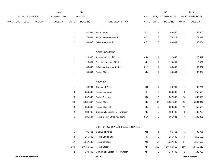|      |     |                |                | 2013               |                           | 2014           |                                         |               |                         | 2015             |                | 2015            |
|------|-----|----------------|----------------|--------------------|---------------------------|----------------|-----------------------------------------|---------------|-------------------------|------------------|----------------|-----------------|
|      |     | ACCOUNT NUMBER |                | <b>EXPENDITURE</b> |                           | <b>BUDGET</b>  |                                         | PAY           |                         | REQUESTED BUDGET |                | PROPOSED BUDGET |
| FUND | ORG | <b>SBCL</b>    | <b>ACCOUNT</b> | <b>DOLLARS</b>     | <b>UNITS</b>              | <b>DOLLARS</b> | LINE DESCRIPTION                        | RANGE         | <b>UNITS</b>            | <b>DOLLARS</b>   | <b>UNITS</b>   | <b>DOLLARS</b>  |
|      |     |                |                |                    | $\mathbf{1}$              | 42,594         | Accountant I                            | 2CN           | $\mathbf{1}$            | 43,855           | $\overline{1}$ | 43,855          |
|      |     |                |                |                    | $\overline{c}$            | 73,804         | <b>Accounting Assistant II</b>          | 6HN           | $\overline{\mathbf{c}}$ | 74,911           | $\overline{2}$ | 74,911          |
|      |     |                |                |                    | $\sqrt{2}$                | 59,097         | Office Assistant II                     | 6EN           | $\overline{\mathbf{c}}$ | 63,604           | 2              | 63,604          |
|      |     |                |                |                    |                           |                | SOUTH COMMAND                           |               |                         |                  |                |                 |
|      |     |                |                |                    | $\mathbf{1}$              | 120,632        | Assistant Chief of Police               | 4RX           | $\mathbf{1}$            | 122,442          | $\overline{1}$ | 122,442         |
|      |     |                |                |                    | $\mathbf{1}$              | 110,031        | Deputy Inspector of Police              | 4P            | $\mathbf{1}$            | 110,031          | $\overline{1}$ | 110,031         |
|      |     |                |                |                    | $\mathbf{1}$              | 38,355         | Administrative Assistant II             | 6HN           | $\mathbf{1}$            | 38,897           | $\overline{1}$ | 38,897          |
|      |     |                |                |                    | $\mathbf{1}$              | 65,354         | Police Officer                          | 4B            | $\mathbf{1}$            | 65,354           | $\overline{1}$ | 65,354          |
|      |     |                |                |                    |                           |                | <b>DISTRICT 1</b>                       |               |                         |                  |                |                 |
|      |     |                |                |                    | $\mathbf{1}$              | 96,761         | Captain of Police                       | 4N            | $\mathbf{1}$            | 96,761           | $\overline{1}$ | 96,761          |
|      |     |                |                |                    | $\ensuremath{\mathsf{3}}$ | 256,500        | Police Lieutenant                       | 4L            | 3                       | 256,500          | 3              | 256,500         |
|      |     |                |                |                    | 13                        | 1,007,500      | Police Sergeant                         | 4G            | 13                      | 1,007,500        | 13             | 1,007,500       |
|      |     |                |                |                    | 90                        | 5,881,847      | Police Officer                          | 4B            | 90                      | 5,881,847        | $90\,$         | 5,881,847       |
|      |     |                |                |                    | 10                        | 653,539        | Police Officer (P)                      | 4B            | $10$                    | 653,539          | 10             | 653,539         |
|      |     |                |                |                    | $\overline{c}$            | 130,708        | <b>Community Liaison Police Officer</b> | 4B            | $\overline{\mathbf{c}}$ | 130,708          | $\overline{c}$ | 130,708         |
|      |     |                |                |                    | $\,6\,$                   | 185,594        | <b>Police District Office Assistant</b> | 6EN           | 6                       | 195,981          | 6              | 195,981         |
|      |     |                |                |                    |                           |                | DISTRICT 2 AND WEED & SEED INITIATIVE   |               |                         |                  |                |                 |
|      |     |                |                |                    | $\mathbf{1}$              | 96,761         | Captain of Police                       | $4\mathrm{N}$ | $\mathbf{1}$            | 96,761           | $\mathbf{1}$   | 96,761          |
|      |     |                |                |                    | $\ensuremath{\mathsf{3}}$ | 256,500        | Police Lieutenant                       | 4L            | 3                       | 256,500          | $\sqrt{3}$     | 256,500         |
|      |     |                |                |                    | 17                        | 1,317,500      | Police Sergeant                         | 4G            | 17                      | 1,317,500        | 17             | 1,317,500       |
|      |     |                |                |                    | 160                       | 10,456,616     | Police Officer                          | 4B            | 160                     | 10,456,616       | 160            | 10,456,616      |
|      |     |                |                |                    | $\overline{a}$            | 130,708        | Community Liaison Police Officer        | 4B            | $\overline{2}$          | 130,708          | $\overline{2}$ | 130,708         |
|      |     |                |                |                    |                           |                |                                         |               |                         |                  |                |                 |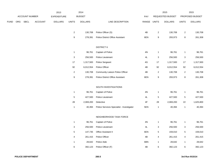|             |                       |                | 2013               |                           | 2014           |                                           |             |                  | 2015             |                           | 2015            |
|-------------|-----------------------|----------------|--------------------|---------------------------|----------------|-------------------------------------------|-------------|------------------|------------------|---------------------------|-----------------|
|             | <b>ACCOUNT NUMBER</b> |                | <b>EXPENDITURE</b> |                           | <b>BUDGET</b>  |                                           | PAY         |                  | REQUESTED BUDGET |                           | PROPOSED BUDGET |
| <b>FUND</b> | ORG SBCL              | <b>ACCOUNT</b> | <b>DOLLARS</b>     | <b>UNITS</b>              | <b>DOLLARS</b> | LINE DESCRIPTION                          | RANGE UNITS |                  | <b>DOLLARS</b>   | <b>UNITS</b>              | <b>DOLLARS</b>  |
|             |                       |                |                    |                           |                |                                           |             |                  |                  |                           |                 |
|             |                       |                |                    | $\overline{c}$            | 130,708        | Police Officer (S)                        | 4B          | $\overline{2}$   | 130,708          | $\overline{c}$            | 130,708         |
|             |                       |                |                    | $\boldsymbol{9}$          | 278,391        | <b>Police District Office Assistant</b>   | 6EN         | 9                | 293,973          | $\bf8$                    | 261,308         |
|             |                       |                |                    |                           |                | <b>DISTRICT 6</b>                         |             |                  |                  |                           |                 |
|             |                       |                |                    | $\mathbf{1}$              | 96,761         | Captain of Police                         | 4N          | $\mathbf{1}$     | 96,761           | $\mathbf{1}$              | 96,761          |
|             |                       |                |                    | $\ensuremath{\mathsf{3}}$ | 256,500        | Police Lieutenant                         | 4L          | $\sqrt{3}$       | 256,500          | $\ensuremath{\mathsf{3}}$ | 256,500         |
|             |                       |                |                    | 17                        | 1,317,500      | Police Sergeant                           | 4G          | 17               | 1,317,500        | $17$                      | 1,317,500       |
|             |                       |                |                    | $92\,$                    | 6,012,554      | Police Officer                            | 4B          | 92               | 6,012,554        | 92                        | 6,012,554       |
|             |                       |                |                    | $\sqrt{2}$                | 130,708        | Community Liaison Police Officer          | 4B          | $\overline{c}$   | 130,708          | $\overline{c}$            | 130,708         |
|             |                       |                |                    | $\boldsymbol{9}$          | 278,391        | Police District Office Assistant          | 6EN         | $\boldsymbol{9}$ | 293,973          | 8                         | 261,308         |
|             |                       |                |                    |                           |                |                                           |             |                  |                  |                           |                 |
|             |                       |                |                    |                           |                | SOUTH INVESTIGATIONS                      |             |                  |                  |                           |                 |
|             |                       |                |                    | $\mathbf{1}$              | 96,761         | Captain of Police                         | 4N          | $\mathbf{1}$     | 96,761           | 1                         | 96,761          |
|             |                       |                |                    | $\mathbf 5$               | 427,500        | Police Lieutenant                         | 4L          | $\,$ 5 $\,$      | 427,500          | $\sqrt{5}$                | 427,500         |
|             |                       |                |                    | 28                        | 2,069,200      | Detective                                 | 4F          | 28               | 2,069,200        | 22                        | 1,625,800       |
|             |                       |                |                    | $\mathbf{1}$              | 40,394         | Police Services Specialist - Investigator | 5EN         | $\mathbf{1}$     | 40,394           | $\mathbf{1}$              | 40,394          |
|             |                       |                |                    |                           |                | NEIGHBORHOOD TASK FORCE                   |             |                  |                  |                           |                 |
|             |                       |                |                    | $\mathbf{1}$              | 96,761         | Captain of Police                         | 4N          | $\mathbf{1}$     | 96,761           | 1                         | 96,761          |
|             |                       |                |                    | $\ensuremath{\mathsf{3}}$ | 256,500        | Police Lieutenant                         | 4L          | $\mathbf 3$      | 256,500          | 3                         | 256,500         |
|             |                       |                |                    | $\mathbf 5$               | 147,735        | Office Assistant II                       | 6EN         | $\,$ 5 $\,$      | 159,010          | 5                         | 159,010         |
|             |                       |                |                    | 4                         | 261,415        | Police Officer                            | 4B          | 4                | 261,415          | 4                         | 261,415         |
|             |                       |                |                    | $\mathbf{1}$              | 28,642         | Police Aide                               | 6BN         | $\mathbf{1}$     | 28,642           | $\mathbf{1}$              | 28,642          |
|             |                       |                |                    | $\,6\,$                   | 392,123        | Police Officer (F)                        | 4B          | $\,6$            | 392,123          | 6                         | 392,123         |
|             |                       |                |                    |                           |                |                                           |             |                  |                  |                           |                 |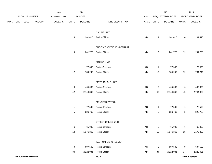|             |                          |                | 2013           |              | 2014           |                            |               |                  | 2015             |                 | 2015            |
|-------------|--------------------------|----------------|----------------|--------------|----------------|----------------------------|---------------|------------------|------------------|-----------------|-----------------|
|             | ACCOUNT NUMBER           |                | EXPENDITURE    |              | <b>BUDGET</b>  |                            | PAY           |                  | REQUESTED BUDGET |                 | PROPOSED BUDGET |
| <b>FUND</b> | ORG SBCL                 | <b>ACCOUNT</b> | <b>DOLLARS</b> | <b>UNITS</b> | <b>DOLLARS</b> | LINE DESCRIPTION           | RANGE         | <b>UNITS</b>     | <b>DOLLARS</b>   | <b>UNITS</b>    | <b>DOLLARS</b>  |
|             |                          |                |                |              |                | <b>CANINE UNIT</b>         |               |                  |                  |                 |                 |
|             |                          |                |                | 4            | 261,415        | Police Officer             | 4B            | 4                | 261,415          | 4               | 261,415         |
|             |                          |                |                |              |                | FUGITIVE APPREHENSION UNIT |               |                  |                  |                 |                 |
|             |                          |                |                | 19           | 1,241,723      | Police Officer             | 4B            | 19               | 1,241,723        | 19              | 1,241,723       |
|             |                          |                |                |              |                | <b>MARINE UNIT</b>         |               |                  |                  |                 |                 |
|             |                          |                |                | $\mathbf 1$  | 77,500         | Police Sergeant            | 4G            | $\mathbf{1}$     | 77,500           | $\mathbf{1}$    | 77,500          |
|             |                          |                |                | 12           | 784,246        | Police Officer             | 4B            | 12               | 784,246          | 12              | 784,246         |
|             |                          |                |                |              |                | MOTORCYCLE UNIT            |               |                  |                  |                 |                 |
|             |                          |                |                | 6            | 465,000        | Police Sergeant            | $4\mathsf{G}$ | $\,6\,$          | 465,000          | $\,6\,$         | 465,000         |
|             |                          |                |                | 42           | 2,744,862      | Police Officer             | 4B            | 42               | 2,744,862        | 42              | 2,744,862       |
|             |                          |                |                |              |                | MOUNTED PATROL             |               |                  |                  |                 |                 |
|             |                          |                |                | $\mathbf{1}$ | 77,500         | Police Sergeant            | 4G            | $\overline{1}$   | 77,500           | $\mathbf{1}$    | 77,500          |
|             |                          |                |                | $\,$ 5 $\,$  | 326,769        | Police Officer             | 4B            | $\overline{5}$   | 326,769          | $5\phantom{.0}$ | 326,769         |
|             |                          |                |                |              |                | STREET CRIMES UNIT         |               |                  |                  |                 |                 |
|             |                          |                |                | 6            | 465,000        | Police Sergeant            | 4G            | 6                | 465,000          | 6               | 465,000         |
|             |                          |                |                | 18           | 1,176,369      | Police Officer             | 4B            | 18               | 1,176,369        | 18              | 1,176,369       |
|             |                          |                |                |              |                | TACTICAL ENFORCEMENT       |               |                  |                  |                 |                 |
|             |                          |                |                | 9            | 697,500        | Police Sergeant            | 4G            | $\boldsymbol{9}$ | 697,500          | 9               | 697,500         |
|             |                          |                |                | 34           | 2,222,031      | Police Officer             | 4B            | 34               | 2,222,031        | 34              | 2,222,031       |
|             | <b>POLICE DEPARTMENT</b> |                |                |              |                | 260.6                      |               |                  |                  |                 | 3rd Run 9/15/14 |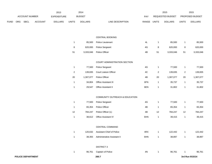|             |     |                          |         | 2013           |                | 2014           |                                   |               |                | 2015             |                         | 2015            |
|-------------|-----|--------------------------|---------|----------------|----------------|----------------|-----------------------------------|---------------|----------------|------------------|-------------------------|-----------------|
|             |     | <b>ACCOUNT NUMBER</b>    |         | EXPENDITURE    |                | <b>BUDGET</b>  |                                   | PAY           |                | REQUESTED BUDGET |                         | PROPOSED BUDGET |
| <b>FUND</b> | ORG | SBCL                     | ACCOUNT | <b>DOLLARS</b> | <b>UNITS</b>   | <b>DOLLARS</b> | LINE DESCRIPTION                  | RANGE UNITS   |                | <b>DOLLARS</b>   | <b>UNITS</b>            | <b>DOLLARS</b>  |
|             |     |                          |         |                |                |                |                                   |               |                |                  |                         |                 |
|             |     |                          |         |                |                |                | CENTRAL BOOKING                   |               |                |                  |                         |                 |
|             |     |                          |         |                | $\mathbf{1}$   | 85,500         | Police Lieutenant                 | 4L            | $\mathbf{1}$   | 85,500           | $\mathbf{1}$            | 85,500          |
|             |     |                          |         |                | 8              | 620,000        | Police Sergeant                   | 4G            | 8              | 620,000          | 8                       | 620,000         |
|             |     |                          |         |                | 51             | 3,333,046      | Police Officer                    | 4B            | 51             | 3,333,046        | 51                      | 3,333,046       |
|             |     |                          |         |                |                |                | COURT ADMINISTRATION SECTION      |               |                |                  |                         |                 |
|             |     |                          |         |                | $\mathbf{1}$   | 77,500         | Police Sergeant                   | 4G            | $\mathbf{1}$   | 77,500           | $\mathbf{1}$            | 77,500          |
|             |     |                          |         |                | $\overline{2}$ | 139,835        | Court Liaison Officer             | 4C            | $\overline{2}$ | 139,835          | $\overline{\mathbf{c}}$ | 139,835         |
|             |     |                          |         |                | 20             | 1,307,077      | Police Officer                    | 4B            | 20             | 1,307,077        | $20\,$                  | 1,307,077       |
|             |     |                          |         |                | $\mathbf{1}$   | 34,804         | Office Assistant III              | 6FN           | $\mathbf{1}$   | 35,737           | $\mathbf{1}$            | 35,737          |
|             |     |                          |         |                | $\mathbf{1}$   | 29,547         | Office Assistant II               | 6EN           | $\mathbf{1}$   | 31,802           | $\mathbf{1}$            | 31,802          |
|             |     |                          |         |                |                |                | COMMUNITY OUTREACH & EDUCATION    |               |                |                  |                         |                 |
|             |     |                          |         |                | $\mathbf{1}$   | 77,500         | Police Sergeant                   | 4G            | $\mathbf{1}$   | 77,500           | $\mathbf{1}$            | 77,500          |
|             |     |                          |         |                | $\mathbf{1}$   | 65,354         | Police Officer                    | 4B            | $\mathbf{1}$   | 65,354           | $\mathbf{1}$            | 65,354          |
|             |     |                          |         |                | 12             | 784,247        | Police Officer (L)                | 4B            | 12             | 784,247          | 12                      | 784,247         |
|             |     |                          |         |                | $\mathbf{1}$   | 38,612         | Office Assistant IV               | 6HN           | $\mathbf{1}$   | 39,415           | $\mathbf{1}$            | 39,415          |
|             |     |                          |         |                |                |                | CENTRAL COMMAND                   |               |                |                  |                         |                 |
|             |     |                          |         |                | $\mathbf{1}$   |                | 120,632 Assistant Chief of Police | 4RX           | $\mathbf{1}$   | 122,442          | $\mathbf{1}$            | 122,442         |
|             |     |                          |         |                | $\mathbf{1}$   | 38,355         | Administrative Assistant II       | 6HN           | $\mathbf{1}$   | 38,897           | $\mathbf{1}$            | 38,897          |
|             |     |                          |         |                |                |                | <b>DISTRICT 3</b>                 |               |                |                  |                         |                 |
|             |     |                          |         |                | $\mathbf{1}$   | 96,761         | Captain of Police                 | $4\mathrm{N}$ | $\mathbf{1}$   | 96,761           | 1                       | 96,761          |
|             |     | <b>POLICE DEPARTMENT</b> |         |                |                |                | 260.7                             |               |                |                  |                         | 3rd Run 9/15/14 |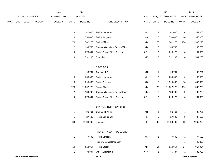|             |     |                          |                | 2013           |                | 2014           |                                  |               |                | 2015             |                | 2015            |
|-------------|-----|--------------------------|----------------|----------------|----------------|----------------|----------------------------------|---------------|----------------|------------------|----------------|-----------------|
|             |     | <b>ACCOUNT NUMBER</b>    |                | EXPENDITURE    |                | <b>BUDGET</b>  |                                  | PAY           |                | REQUESTED BUDGET |                | PROPOSED BUDGET |
| <b>FUND</b> | ORG | SBCL                     | <b>ACCOUNT</b> | <b>DOLLARS</b> | <b>UNITS</b>   | <b>DOLLARS</b> | LINE DESCRIPTION                 | RANGE         | <b>UNITS</b>   | <b>DOLLARS</b>   | <b>UNITS</b>   | <b>DOLLARS</b>  |
|             |     |                          |                |                | 4              | 342,000        | Police Lieutenant                | 4L            | 4              | 342,000          | 4              | 342,000         |
|             |     |                          |                |                | 20             | 1,550,000      | Police Sergeant                  | 4G            | 20             | 1,550,000        | 20             | 1,550,000       |
|             |     |                          |                |                | 176            | 11,502,278     | Police Officer                   | 4B            | 176            | 11,502,278       | 176            | 11,502,278      |
|             |     |                          |                |                | $\overline{2}$ | 130,708        | Community Liaison Police Officer | 4B            | $\overline{2}$ | 130,708          | 2              | 130,708         |
|             |     |                          |                |                | 9              | 278,391        | Police District Office Assistant | 6EN           | 9              | 293,973          | 8              | 261,309         |
|             |     |                          |                |                | 8              | 591,200        | Detective                        | $4\mathsf{F}$ | 8              | 591,200          | 8              | 591,200         |
|             |     |                          |                |                |                |                | <b>DISTRICT 5</b>                |               |                |                  |                |                 |
|             |     |                          |                |                | $\mathbf{1}$   | 96,761         | Captain of Police                | 4N            | $\mathbf{1}$   | 96,761           | 1              | 96,761          |
|             |     |                          |                |                | 3              | 256,500        | Police Lieutenant                | 4L            | 3              | 256,500          | 3              | 256,500         |
|             |     |                          |                |                | 18             | 1,395,000      | Police Sergeant                  | 4G            | 18             | 1,395,000        | 18             | 1,395,000       |
|             |     |                          |                |                | 176            | 11,502,278     | Police Officer                   | 4B            | 176            | 11,502,278       | 176            | 11,502,278      |
|             |     |                          |                |                | $\overline{2}$ | 130,708        | Community Liaison Police Officer | 4B            | $\overline{2}$ | 130,708          | $\overline{2}$ | 130,708         |
|             |     |                          |                |                | 9              | 278,391        | Police District Office Assistant | 6EN           | 9              | 293,973          | 8              | 261,309         |
|             |     |                          |                |                |                |                | CENTRAL INVESTIGATIONS           |               |                |                  |                |                 |
|             |     |                          |                |                | $\mathbf{1}$   | 96,761         | Captain of Police                | 4N            | $\mathbf{1}$   | 96,761           | $\mathbf{1}$   | 96,761          |
|             |     |                          |                |                | 5              | 427,500        | Police Lieutenant                | 4L            | 5              | 427,500          | 5              | 427,500         |
|             |     |                          |                |                | 33             | 2,438,700      | Detective                        | $4\mathsf{F}$ | 33             | 2,438,700        | 28             | 2,069,200       |
|             |     |                          |                |                |                |                | PROPERTY CONTROL SECTION         |               |                |                  |                |                 |
|             |     |                          |                |                | $\mathbf{1}$   | 77,500         | Police Sergeant                  | 4G            | $\mathbf{1}$   | 77,500           | $\mathbf{1}$   | 77,500          |
|             |     |                          |                |                |                |                | <b>Property Control Manager</b>  |               |                |                  | $\mathbf{1}$   | 40,000          |
|             |     |                          |                |                | 14             | 914,954        | Police Officer                   | 4B            | 14             | 914,954          | 14             | 914,954         |
|             |     |                          |                |                | $\mathbf{1}$   | 34,804         | Office Assistant III             | 6FN           | $\mathbf{1}$   | 35,737           | $\mathbf{1}$   | 35,737          |
|             |     | <b>POLICE DEPARTMENT</b> |                |                |                |                | 260.8                            |               |                |                  |                | 3rd Run 9/15/14 |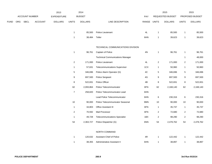|             |                |             |                | 2013               |                | 2014           |                                         |       |                | 2015             |                | 2015            |
|-------------|----------------|-------------|----------------|--------------------|----------------|----------------|-----------------------------------------|-------|----------------|------------------|----------------|-----------------|
|             | ACCOUNT NUMBER |             |                | <b>EXPENDITURE</b> |                | <b>BUDGET</b>  |                                         | PAY   |                | REQUESTED BUDGET |                | PROPOSED BUDGET |
| <b>FUND</b> | ORG            | <b>SBCL</b> | <b>ACCOUNT</b> | <b>DOLLARS</b>     | <b>UNITS</b>   | <b>DOLLARS</b> | LINE DESCRIPTION                        | RANGE | <b>UNITS</b>   | <b>DOLLARS</b>   | <b>UNITS</b>   | <b>DOLLARS</b>  |
|             |                |             |                |                    |                |                |                                         |       |                |                  |                |                 |
|             |                |             |                |                    | $\mathbf{1}$   | 85,500         | Police Lieutenant                       | 4L    | $\overline{1}$ | 85,500           | $\mathbf{1}$   | 85,500          |
|             |                |             |                |                    | $\mathbf{1}$   | 38,484         | Teller                                  | 6HN   | $\overline{1}$ | 39,623           | $\mathbf{1}$   | 39,623          |
|             |                |             |                |                    |                |                | TECHNICAL COMMUNICATIONS DIVISION       |       |                |                  |                |                 |
|             |                |             |                |                    | $\mathbf{1}$   | 96,761         | Captain of Police                       | 4N    | $\overline{1}$ | 96,761           | $\mathbf{1}$   | 96,761          |
|             |                |             |                |                    |                |                | <b>Technical Communications Manager</b> |       |                |                  | $\mathbf{1}$   | 48,000          |
|             |                |             |                |                    | $\overline{2}$ | 171,000        | Police Lieutenant                       | 4L    | $\overline{2}$ | 171,000          | $\overline{2}$ | 171,000         |
|             |                |             |                |                    | $\mathbf{1}$   | 57,631         | <b>Telecommunications Supervisor</b>    | 1CX   | $\mathbf{1}$   | 50,960           | $\mathbf{1}$   | 50,960          |
|             |                |             |                |                    | 5              | 346,696        | Police Alarm Operator (G)               | 4C    | $\sqrt{5}$     | 346,696          | $\overline{5}$ | 346,696         |
|             |                |             |                |                    | 9              | 697,500        | Police Sergeant                         | 4G    | 9              | 697,500          | 9              | 697,500         |
|             |                |             |                |                    | 8              | 522,831        | Police Officer                          | 4B    | 8              | 522,831          | $\bf 8$        | 522,831         |
|             |                |             |                |                    | 62             | 2,093,864      | Police Telecommunicator                 | 6FN   | 62             | 2,168,140        | 62             | 2,168,140       |
|             |                |             |                |                    | $\overline{7}$ | 258,820        | Police Telecommunicator-Lead            | 6HN   |                |                  |                |                 |
|             |                |             |                |                    |                |                | Lead Police Telecommunicator            | 6HN   | 6              | 230,316          | 6              | 230,316         |
|             |                |             |                |                    | 10             | 90,000         | Police Telecommunicator Seasonal        | 9MN   | 10             | 90,000           | 10             | 90,000          |
|             |                |             |                |                    | $\overline{1}$ | 34,803         | Office Assistant III                    | 6FN   | $\overline{1}$ | 35,737           | $\mathbf{1}$   | 35,737          |
|             |                |             |                |                    | $\overline{c}$ | 70,592         | Mail Processor                          | 6FN   | $\mathbf{2}$   | 72,680           | $\overline{a}$ | 72,680          |
|             |                |             |                |                    | $\mathbf{1}$   | 49,728         | <b>Telecommunications Specialist</b>    | 1BX   | $\overline{2}$ | 98,290           | $\overline{a}$ | 98,290          |
|             |                |             |                |                    | 54             | 2,363,727      | Police Dispatcher (G)                   | 6NN   | 54             | 2,478,762        | 54             | 2,478,762       |
|             |                |             |                |                    |                |                | NORTH COMMAND                           |       |                |                  |                |                 |
|             |                |             |                |                    | $\overline{1}$ |                | 120.632 Accident Chief of Police        | AD    | $\overline{1}$ | $122.442$        | $\overline{1}$ | $122A12$        |

| 120.632 | Assistant Chief of Police   | 4R  | 122.442 | 122.442 |
|---------|-----------------------------|-----|---------|---------|
| 38.355  | Administrative Assistant II | 6HN | 38.897  | 38,897  |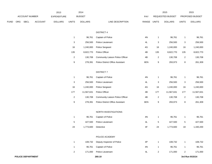|             |     |                          |                | 2013               |                           | 2014           |                                  |               |                | 2015             |                | 2015            |
|-------------|-----|--------------------------|----------------|--------------------|---------------------------|----------------|----------------------------------|---------------|----------------|------------------|----------------|-----------------|
|             |     | ACCOUNT NUMBER           |                | <b>EXPENDITURE</b> |                           | <b>BUDGET</b>  |                                  | PAY           |                | REQUESTED BUDGET |                | PROPOSED BUDGET |
| <b>FUND</b> | ORG | <b>SBCL</b>              | <b>ACCOUNT</b> | <b>DOLLARS</b>     | <b>UNITS</b>              | <b>DOLLARS</b> | LINE DESCRIPTION                 | RANGE         | <b>UNITS</b>   | <b>DOLLARS</b>   | <b>UNITS</b>   | <b>DOLLARS</b>  |
|             |     |                          |                |                    |                           |                |                                  |               |                |                  |                |                 |
|             |     |                          |                |                    |                           |                | <b>DISTRICT 4</b>                |               |                |                  |                |                 |
|             |     |                          |                |                    | $\mathbf{1}$              | 96,761         | Captain of Police                | 4N            | $\overline{1}$ | 96,761           | $\mathbf{1}$   | 96,761          |
|             |     |                          |                |                    | $\ensuremath{\mathsf{3}}$ | 256,500        | Police Lieutenant                | 4L            | 3              | 256,500          | 3              | 256,500         |
|             |     |                          |                |                    | 16                        | 1,240,000      | Police Sergeant                  | 4G            | 16             | 1,240,000        | 16             | 1,240,000       |
|             |     |                          |                |                    | 135                       | 8,822,770      | Police Officer                   | 4B            | 135            | 8,822,770        | 135            | 8,822,770       |
|             |     |                          |                |                    | $\overline{2}$            | 130,708        | Community Liaison Police Officer | 4B            | $\overline{2}$ | 130,708          | $\overline{2}$ | 130,708         |
|             |     |                          |                |                    | 9                         | 278,391        | Police District Office Assistant | 6EN           | 9              | 293,973          | 8              | 261,309         |
|             |     |                          |                |                    |                           |                | <b>DISTRICT 7</b>                |               |                |                  |                |                 |
|             |     |                          |                |                    |                           |                |                                  | $4N$          |                | 96,761           |                |                 |
|             |     |                          |                |                    | $\mathbf{1}$              | 96,761         | Captain of Police                |               | $\overline{1}$ |                  | $\mathbf{1}$   | 96,761          |
|             |     |                          |                |                    | $\mathbf{3}$              | 256,500        | Police Lieutenant                | 4L            | 3              | 256,500          | 3              | 256,500         |
|             |     |                          |                |                    | 16                        | 1,240,000      | Police Sergeant                  | 4G            | 16             | 1,240,000        | 16             | 1,240,000       |
|             |     |                          |                |                    | 177                       | 11,567,631     | Police Officer                   | 4B            | 177            | 11,567,631       | 177            | 11,567,631      |
|             |     |                          |                |                    | $\overline{2}$            | 130,708        | Community Liaison Police Officer | 4B            | $\overline{2}$ | 130,708          | $\overline{2}$ | 130,708         |
|             |     |                          |                |                    | $\boldsymbol{9}$          | 278,391        | Police District Office Assistant | 6EN           | 9              | 293,973          | 8              | 261,309         |
|             |     |                          |                |                    |                           |                | NORTH INVESTIGATIONS             |               |                |                  |                |                 |
|             |     |                          |                |                    | $\mathbf{1}$              | 96,761         | Captain of Police                | $4\mathrm{N}$ | $\mathbf{1}$   | 96,761           | $\mathbf{1}$   | 96,761          |
|             |     |                          |                |                    | $\,$ 5 $\,$               | 427,500        | Police Lieutenant                | 4L            | $\,$ 5 $\,$    | 427,500          | 5              | 427,500         |
|             |     |                          |                |                    | 24                        | 1,773,600      | Detective                        | 4F            | 24             | 1,773,600        | 18             | 1,330,200       |
|             |     |                          |                |                    |                           |                |                                  |               |                |                  |                |                 |
|             |     |                          |                |                    |                           |                | POLICE ACADEMY                   |               |                |                  |                |                 |
|             |     |                          |                |                    | $\mathbf{1}$              | 108,732        | Deputy Inspector of Police       | 4P            | $\mathbf{1}$   | 108,732          | $\mathbf{1}$   | 108,732         |
|             |     |                          |                |                    | $\mathbf{1}$              | 96,761         | Captain of Police                | 4N            | $\mathbf{1}$   | 96,761           | $\mathbf{1}$   | 96,761          |
|             |     |                          |                |                    | $\overline{2}$            | 171,000        | Police Lieutenant                | 4L            | $\sqrt{2}$     | 171,000          | $\overline{2}$ | 171,000         |
|             |     | <b>POLICE DEPARTMENT</b> |                |                    |                           |                | 260.10                           |               |                |                  |                | 3rd Run 9/15/14 |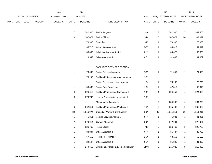|      |     |                       |                | 2013               |                  | 2014           |                                              |             |                | 2015             |                | 2015            |
|------|-----|-----------------------|----------------|--------------------|------------------|----------------|----------------------------------------------|-------------|----------------|------------------|----------------|-----------------|
|      |     | <b>ACCOUNT NUMBER</b> |                | <b>EXPENDITURE</b> |                  | <b>BUDGET</b>  |                                              | PAY         |                | REQUESTED BUDGET |                | PROPOSED BUDGET |
| FUND | ORG | <b>SBCL</b>           | <b>ACCOUNT</b> | <b>DOLLARS</b>     | <b>UNITS</b>     | <b>DOLLARS</b> | LINE DESCRIPTION                             | RANGE UNITS |                | <b>DOLLARS</b>   | <b>UNITS</b>   | <b>DOLLARS</b>  |
|      |     |                       |                |                    |                  |                |                                              |             |                |                  |                |                 |
|      |     |                       |                |                    | $\boldsymbol{7}$ | 542,500        | Police Sergeant                              | 4G          | $\bf 7$        | 542,500          | $\overline{7}$ | 542,500         |
|      |     |                       |                |                    | $20\,$           | 1,307,077      | Police Officer                               | 4B          | $20\,$         | 1,307,077        | 20             | 1,307,077       |
|      |     |                       |                |                    | $\overline{1}$   | 73,900         | Detective                                    | 4F          | $\mathbf{1}$   | 73,900           | $\mathbf{1}$   | 73,900          |
|      |     |                       |                |                    | $\mathbf{1}$     | 36,718         | <b>Accounting Assistant I</b>                | 6GN         | $\mathbf{1}$   | 34,312           | $\mathbf{1}$   | 34,312          |
|      |     |                       |                |                    | $\mathbf{1}$     | 38,355         | Administrative Assistant II                  | 6HN         | $\mathbf{1}$   | 39,623           | $\mathbf{1}$   | 39,623          |
|      |     |                       |                |                    | $\mathbf{1}$     | 29,547         | Office Assistant II                          | 6EN         | $\mathbf{1}$   | 31,802           | $\mathbf{1}$   | 31,802          |
|      |     |                       |                |                    |                  |                |                                              |             |                |                  |                |                 |
|      |     |                       |                |                    |                  |                | FACILITIES SERVICES SECTION                  |             |                |                  |                |                 |
|      |     |                       |                |                    | $\mathbf{1}$     | 70,000         | Police Facilities Manager                    | 1GN         | $\overline{1}$ | 71,050           | $\mathbf{1}$   | 71,050          |
|      |     |                       |                |                    | $\mathbf{1}$     | 70,295         | <b>Building Maintenance Asst. Manager</b>    | 1CN         |                |                  |                |                 |
|      |     |                       |                |                    |                  |                | Police Facilities Assistant Manager          | 1EX         | $\mathbf{1}$   | 70,295           | $\mathbf{1}$   | 70,295          |
|      |     |                       |                |                    | $\mathbf{1}$     | 56,533         | <b>Police Fleet Supervisor</b>               | 1BX         | $\mathbf{1}$   | 47,816           | $\mathbf{1}$   | 47,816          |
|      |     |                       |                |                    | 4                | 226,610        | <b>Building Maintenance Supervisor II</b>    | 1BN         | 4              | 224,459          | 4              | 224,459         |
|      |     |                       |                |                    | 6                | 279,742        | Heating & Ventilating Mechanic II            | 7DN         |                |                  |                |                 |
|      |     |                       |                |                    |                  |                | Maintenance Technician II                    |             | $\,6$          | 284,298          | $\,6$          | 284,298         |
|      |     |                       |                |                    | 6                | 262,311        | <b>Building Maintenance Mechanic II</b>      | 7CN         | 6              | 265,482          | 6              | 265,482         |
|      |     |                       |                |                    | 39               | 1,516,974      | Custodial Worker II-City Laborer             | 8DN         | 39             | 1,511,211        | 39             | 1,511,211       |
|      |     |                       |                |                    | $\overline{1}$   | 41,311         | Vehicle Services Assistant                   | 8FN         | $\mathbf{1}$   | 41,931           | $\mathbf{1}$   | 41,931          |
|      |     |                       |                |                    | $\overline{7}$   | 273,014        | Garage Attendant                             | 8DN         | $\overline{7}$ | 277,081          | $\overline{7}$ | 277,081         |
|      |     |                       |                |                    | $\sqrt{5}$       | 326,769        | Police Officer                               | 4B          | $\sqrt{5}$     | 326,769          | $\mathbf 5$    | 326,769         |
|      |     |                       |                |                    | $\mathbf{1}$     | 34,804         | Office Assistant III                         | 6FN         | $\mathbf{1}$   | 35,737           | $\mathbf{1}$   | 35,737          |
|      |     |                       |                |                    | $\mathbf{1}$     | 67,152         | Police Fleet Manager                         | 1DX         | $\mathbf{1}$   | 68,159           | $\mathbf{1}$   | 68,159          |
|      |     |                       |                |                    | $\mathbf{1}$     | 29,547         | Office Assistant II                          | 6EN         | $\mathbf{1}$   | 31,802           | $\mathbf{1}$   | 31,802          |
|      |     |                       |                |                    | 5                | 249,659        | <b>Emergency Vehicle Equipment Installer</b> | 3MN         | $\,$ 5 $\,$    | 215,025          | $\mathbf 5$    | 215,025         |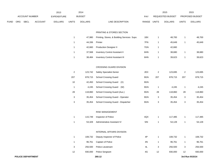|      |     |                          |                | 2013               |                | 2014           |                                             |               |                | 2015             |                         | 2015            |
|------|-----|--------------------------|----------------|--------------------|----------------|----------------|---------------------------------------------|---------------|----------------|------------------|-------------------------|-----------------|
|      |     | ACCOUNT NUMBER           |                | <b>EXPENDITURE</b> |                | <b>BUDGET</b>  |                                             | PAY           |                | REQUESTED BUDGET |                         | PROPOSED BUDGET |
| FUND | ORG | <b>SBCL</b>              | <b>ACCOUNT</b> | <b>DOLLARS</b>     | <b>UNITS</b>   | <b>DOLLARS</b> | LINE DESCRIPTION                            | RANGE         | <b>UNITS</b>   | <b>DOLLARS</b>   | <b>UNITS</b>            | <b>DOLLARS</b>  |
|      |     |                          |                |                    |                |                |                                             |               |                |                  |                         |                 |
|      |     |                          |                |                    |                |                | PRINTING & STORES SECTION                   |               |                |                  |                         |                 |
|      |     |                          |                |                    | $\mathbf{1}$   | 47,980         | Printing, Stores, & Building Services Supv. | 1BX           | $\mathbf{1}$   | 48,700           | $\mathbf{1}$            | 48,700          |
|      |     |                          |                |                    | $\mathbf{1}$   | 44,336         | Printer                                     | 7FN           | $\overline{1}$ | 45,649           | $\mathbf{1}$            | 45,649          |
|      |     |                          |                |                    | $\mathbf{1}$   | 42,660         | <b>Production Designer II</b>               | 7GN           | $\mathbf{1}$   | 42,660           |                         |                 |
|      |     |                          |                |                    | $\mathbf{1}$   | 37,568         | Inventory Control Assistant II              | 6HN           | $\overline{1}$ | 38,680           | $\mathbf{1}$            | 38,680          |
|      |     |                          |                |                    | $\mathbf{1}$   | 38,484         | <b>Inventory Control Assistant III</b>      | 6HN           | $\mathbf{1}$   | 39,623           | $\mathbf{1}$            | 39,623          |
|      |     |                          |                |                    |                |                | CROSSING GUARD DIVISION                     |               |                |                  |                         |                 |
|      |     |                          |                |                    | $\overline{2}$ | 123,742        | Safety Specialist-Senior                    | 2EX           | $\overline{2}$ | 123,695          | $\overline{\mathbf{c}}$ | 123,695         |
|      |     |                          |                |                    | 207            | 878,715        | <b>School Crossing Guard</b>                | 9GN           | 207            | 878,715          | 207                     | 878,715         |
|      |     |                          |                |                    |                |                |                                             |               |                |                  |                         |                 |
|      |     |                          |                |                    | 10             | 42,450         | School Crossing Guard (X)                   | 9GN           |                |                  |                         |                 |
|      |     |                          |                |                    | $\mathbf{1}$   | 4,245          | School Crossing Guard (W)                   | 9GN           | $\overline{1}$ | 4,245            | $\mathbf{1}$            | 4,245           |
|      |     |                          |                |                    | 28             | 118,860        | School Crossing Guard (Aux.)                | 9GN           | 28             | 118,860          | 28                      | 118,860         |
|      |     |                          |                |                    | $\mathbf{3}$   | 35,454         | School Crossing Guard - Operator            | 9GN           | 3              | 35,454           | 3                       | 35,454          |
|      |     |                          |                |                    | $\mathbf{3}$   | 35,454         | School Crossing Guard - Dispatcher          | 9GN           | 3              | 35,454           | 3                       | 35,454          |
|      |     |                          |                |                    |                |                | RISK MANAGEMENT                             |               |                |                  |                         |                 |
|      |     |                          |                |                    | 1              | 115,749        | Inspector of Police                         | 4QX           | $\overline{1}$ | 117,485          | $\mathbf{1}$            | 117,485         |
|      |     |                          |                |                    | $\mathbf{1}$   | 53,328         | Administrative Assistant IV                 | 5IN           | $\mathbf{1}$   | 54,128           | $\mathbf{1}$            | 54,128          |
|      |     |                          |                |                    |                |                |                                             |               |                |                  |                         |                 |
|      |     |                          |                |                    |                |                | INTERNAL AFFAIRS DIVISION                   |               |                |                  |                         |                 |
|      |     |                          |                |                    | $\mathbf{1}$   | 108,732        | Deputy Inspector of Police                  | $4\mathsf{P}$ | $\mathbf{1}$   | 108,732          | $\mathbf{1}$            | 108,732         |
|      |     |                          |                |                    | $\mathbf{1}$   | 96,761         | Captain of Police                           | 4N            | $\mathbf{1}$   | 96,761           | $\mathbf{1}$            | 96,761          |
|      |     |                          |                |                    | $\mathbf{3}$   | 256,500        | Police Lieutenant                           | 4L            | 3              | 256,500          | 3                       | 256,500         |
|      |     |                          |                |                    | 12             | 930,000        | Police Sergeant                             | 4G            | $12$           | 930,000          | 12                      | 930,000         |
|      |     | <b>POLICE DEPARTMENT</b> |                |                    |                |                | 260.12                                      |               |                |                  |                         | 3rd Run 9/15/14 |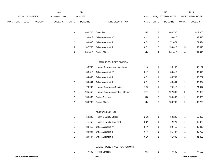|             |     |                   |         | 2013           |                | 2014           |                                  |               |                | 2015             |                | 2015            |
|-------------|-----|-------------------|---------|----------------|----------------|----------------|----------------------------------|---------------|----------------|------------------|----------------|-----------------|
|             |     | ACCOUNT NUMBER    |         | EXPENDITURE    |                | <b>BUDGET</b>  |                                  | PAY           |                | REQUESTED BUDGET |                | PROPOSED BUDGET |
| <b>FUND</b> | ORG | SBCL              | ACCOUNT | <b>DOLLARS</b> | <b>UNITS</b>   | <b>DOLLARS</b> | LINE DESCRIPTION                 | RANGE         | <b>UNITS</b>   | <b>DOLLARS</b>   | <b>UNITS</b>   | <b>DOLLARS</b>  |
|             |     |                   |         |                | 13             | 960,700        | Detective                        | $4\mathsf{F}$ | 13             | 960,700          | 11             | 812,900         |
|             |     |                   |         |                | $\mathbf{1}$   | 38,612         | Office Assistant IV              | 6HN           | $\mathbf{1}$   | 39,415           | $\mathbf{1}$   | 39,415          |
|             |     |                   |         |                | $\overline{2}$ | 69,606         | Office Assistant III             | 6FN           | $\overline{2}$ | 71,474           | $\overline{a}$ | 71,474          |
|             |     |                   |         |                | 5              | 147,735        | Office Assistant II              | 6EN           | $\sqrt{5}$     | 159,010          | 5              | 159,010         |
|             |     |                   |         |                | 4              | 261,415        | Police Officer                   | $4\mathsf{B}$ | 4              | 261,415          | 4              | 261,415         |
|             |     |                   |         |                |                |                | HUMAN RESOURCES DIVISION         |               |                |                  |                |                 |
|             |     |                   |         |                | $\mathbf{1}$   | 96,706         | Human Resources Administrator    | 1HX           | $\mathbf{1}$   | 98,157           | $\mathbf{1}$   | 98,157          |
|             |     |                   |         |                | $\mathbf{1}$   | 38,612         | Office Assistant IV              | 6HN           | $\mathbf{1}$   | 39,415           | $\mathbf{1}$   | 39,415          |
|             |     |                   |         |                | $\mathbf{1}$   | 34,803         | Office Assistant III             | 6FN           | $\mathbf{1}$   | 35,737           | $\mathbf{1}$   | 35,737          |
|             |     |                   |         |                | $\overline{2}$ | 59,094         | Office Assistant II              | 6EN           | $\overline{2}$ | 63,604           | $\overline{a}$ | 63,604          |
|             |     |                   |         |                | $\mathbf{1}$   | 70,295         | Human Resources Specialist       | 1CX           | $\mathbf{1}$   | 74,917           | $\mathbf{1}$   | 74,917          |
|             |     |                   |         |                | $\overline{c}$ | 105,458        | Human Resources Analyst - Senior | 2FX           | $\overline{c}$ | 127,883          | $\overline{c}$ | 127,883         |
|             |     |                   |         |                | $\overline{c}$ | 155,000        | Police Sergeant                  | 4G            | $\overline{2}$ | 155,000          | $\overline{a}$ | 155,000         |
|             |     |                   |         |                | $\overline{c}$ | 130,708        | Police Officer                   | $4\mathsf{B}$ | $\sqrt{2}$     | 130,708          | $\overline{a}$ | 130,708         |
|             |     |                   |         |                |                |                | MEDICAL SECTION                  |               |                |                  |                |                 |
|             |     |                   |         |                | $\mathbf{1}$   | 50,206         | Health & Safety Officer          | 2GX           | $\mathbf{1}$   | 50,206           | $\mathbf{1}$   | 50,206          |
|             |     |                   |         |                | $\mathbf{1}$   | 41,458         | Health & Safety Specialist       | 2DN           | $\mathbf{1}$   | 42,079           | $\mathbf{1}$   | 42,079          |
|             |     |                   |         |                | $\mathbf{1}$   | 38,612         | Office Assistant IV              | 6HN           | $\mathbf{1}$   | 39,415           | $\mathbf{1}$   | 39,415          |
|             |     |                   |         |                | $\mathbf{1}$   | 34,804         | Office Assistant III             | 6FN           | $\mathbf{1}$   | 35,737           | $\mathbf{1}$   | 35,737          |
|             |     |                   |         |                | $\mathbf{1}$   | 29,547         | Office Assistant II              | 6EN           | $\mathbf{1}$   | 31,802           | $\mathbf{1}$   | 31,802          |
|             |     |                   |         |                |                |                | BACKGROUND INVESTIGATION UNIT    |               |                |                  |                |                 |
|             |     |                   |         |                | $\mathbf{1}$   | 77,500         | Police Sergeant                  | 4G            | $\mathbf{1}$   | 77,500           | 1              | 77,500          |
|             |     | POLICE DEPARTMENT |         |                |                |                | 260.13                           |               |                |                  |                | 3rd Run 9/15/14 |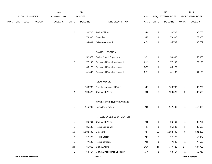|      |     |                |                | 2013               |                | 2014           |                                 |               |                | 2015             |                | 2015            |
|------|-----|----------------|----------------|--------------------|----------------|----------------|---------------------------------|---------------|----------------|------------------|----------------|-----------------|
|      |     | ACCOUNT NUMBER |                | <b>EXPENDITURE</b> |                | <b>BUDGET</b>  |                                 | PAY           |                | REQUESTED BUDGET |                | PROPOSED BUDGET |
| FUND | ORG | <b>SBCL</b>    | <b>ACCOUNT</b> | <b>DOLLARS</b>     | <b>UNITS</b>   | <b>DOLLARS</b> | LINE DESCRIPTION                | RANGE UNITS   |                | <b>DOLLARS</b>   | <b>UNITS</b>   | <b>DOLLARS</b>  |
|      |     |                |                |                    | $\overline{c}$ | 130,708        | Police Officer                  | 4B            | $\sqrt{2}$     | 130,708          | $\overline{a}$ | 130,708         |
|      |     |                |                |                    | $\mathbf{1}$   | 73,900         | Detective                       | 4F            | $\mathbf{1}$   | 73,900           | 1              | 73,900          |
|      |     |                |                |                    | $\mathbf{1}$   | 34,804         | Office Assistant III            | 6FN           | $\mathbf{1}$   | 35,737           | $\mathbf{1}$   | 35,737          |
|      |     |                |                |                    |                |                | PAYROLL SECTION                 |               |                |                  |                |                 |
|      |     |                |                |                    | $\mathbf{1}$   | 52,579         | Police Payroll Supervisor       | 1CN           | $\mathbf{1}$   | 53,368           | 1              | 53,368          |
|      |     |                |                |                    | $\overline{2}$ | 77,190         | Personnel Payroll Assistant II  | 6HN           | $\overline{2}$ | 77,190           | $\overline{2}$ | 77,190          |
|      |     |                |                |                    | $\mathbf{1}$   | 36,170         | Personnel Payroll Assistant I   | 6GN           | $\mathbf{1}$   | 36,170           |                |                 |
|      |     |                |                |                    | $\mathbf{1}$   | 41,495         | Personnel Payroll Assistant III | 5EN           | $\mathbf{1}$   | 41,133           | $\mathbf 1$    | 41,133          |
|      |     |                |                |                    |                |                | <b>INSPECTIONS</b>              |               |                |                  |                |                 |
|      |     |                |                |                    | $\mathbf{1}$   | 108,732        | Deputy Inspector of Police      | $4\mathsf{P}$ | $\mathbf{1}$   | 108,732          | $\mathbf{1}$   | 108,732         |
|      |     |                |                |                    | $\overline{2}$ | 193,523        | Captain of Police               | 4N            | $\overline{2}$ | 193,523          | $\overline{a}$ | 193,523         |
|      |     |                |                |                    |                |                | SPECIALIZED INVESTIGATIONS      |               |                |                  |                |                 |
|      |     |                |                |                    | $\mathbf{1}$   | 115,749        | Inspector of Police             | 4Q            | $\mathbf{1}$   | 117,485          | 1              | 117,485         |
|      |     |                |                |                    |                |                | INTELLIGENCE FUSION CENTER      |               |                |                  |                |                 |
|      |     |                |                |                    | $\mathbf{1}$   | 96,761         | Captain of Police               | $4N$          | $\mathbf{1}$   | 96,761           | 1              | 96,761          |
|      |     |                |                |                    | $\mathbf{1}$   | 85,500         | Police Lieutenant               | 4L            | $\mathbf{1}$   | 85,500           | $\mathbf{1}$   | 85,500          |
|      |     |                |                |                    | 16             | 1,182,400      | Detective                       | $4\mathsf{F}$ | 16             | 1,182,400        | 8              | 591,200         |
|      |     |                |                |                    | $\overline{7}$ | 457,477        | Police Officer                  | 4B            | $\overline{7}$ | 457,477          | $\overline{7}$ | 457,477         |
|      |     |                |                |                    | $\mathbf{1}$   | 77,500         | Police Sergeant                 | 4G            | $\mathbf{1}$   | 77,500           | $\mathbf 1$    | 77,500          |
|      |     |                |                |                    | 24             | 465,962        | <b>Crime Analyst</b>            | 2GN           | 24             | 747,722          | 24             | 607,722         |
|      |     |                |                |                    | $\mathbf{1}$   | 68,717         | Crime & Intelligence Specialist | 1FX           | $\mathbf{1}$   | 68,717           | $\mathbf{1}$   | 68,717          |
|      |     |                |                |                    |                |                |                                 |               |                |                  |                |                 |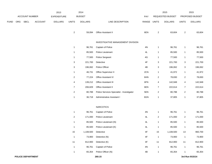|             |     |                |                | 2013           |                  | 2014           |                                           |               |                  | 2015             |                  | 2015            |
|-------------|-----|----------------|----------------|----------------|------------------|----------------|-------------------------------------------|---------------|------------------|------------------|------------------|-----------------|
|             |     | ACCOUNT NUMBER |                | EXPENDITURE    |                  | <b>BUDGET</b>  |                                           | PAY           |                  | REQUESTED BUDGET |                  | PROPOSED BUDGET |
| <b>FUND</b> | ORG | SBCL           | <b>ACCOUNT</b> | <b>DOLLARS</b> | <b>UNITS</b>     | <b>DOLLARS</b> | LINE DESCRIPTION                          | RANGE UNITS   |                  | <b>DOLLARS</b>   | <b>UNITS</b>     | <b>DOLLARS</b>  |
|             |     |                |                |                |                  |                |                                           |               |                  |                  |                  |                 |
|             |     |                |                |                | $\overline{a}$   | 59,094         | Office Assistant II                       | 6EN           | $\sqrt{2}$       | 63,604           | $\sqrt{2}$       | 63,604          |
|             |     |                |                |                |                  |                |                                           |               |                  |                  |                  |                 |
|             |     |                |                |                |                  |                | INVESTIGATIVE MANAGEMENT DIVISION         |               |                  |                  |                  |                 |
|             |     |                |                |                | $\mathbf{1}$     | 96,761         | Captain of Police                         | 4N            | $\mathbf{1}$     | 96,761           | $\mathbf{1}$     | 96,761          |
|             |     |                |                |                | $\mathbf{1}$     | 85,500         | Police Lieutenant                         | 4L            | $\mathbf{1}$     | 85,500           | $\mathbf{1}$     | 85,500          |
|             |     |                |                |                | $\mathbf{1}$     | 77,500         | Police Sergeant                           | 4G            | $\mathbf{1}$     | 77,500           | $\mathbf{1}$     | 77,500          |
|             |     |                |                |                | 3                | 221,700        | Detective                                 | $4\mathsf{F}$ | 3                | 221,700          | 3                | 221,700         |
|             |     |                |                |                | $\mathbf{3}$     | 196,062        | Police Officer                            | 4B            | 3                | 196,062          | 3                | 196,062         |
|             |     |                |                |                | $\mathbf{1}$     | 46,731         | Office Supervisor II                      | 2CN           | $\mathbf{1}$     | 41,972           | $\mathbf{1}$     | 41,972          |
|             |     |                |                |                | $\overline{2}$   | 77,224         | Office Assistant IV                       | 6HN           | $\overline{2}$   | 78,830           | $\boldsymbol{2}$ | 78,830          |
|             |     |                |                |                | 4                | 139,212        | Office Assistant III                      | 6FN           | 4                | 142,948          | 4                | 142,948         |
|             |     |                |                |                | $\boldsymbol{7}$ | 206,829        | Office Assistant II                       | 6EN           | $\boldsymbol{7}$ | 222,614          | $\overline{7}$   | 222,614         |
|             |     |                |                |                | $\overline{2}$   | 80,788         | Police Services Specialist - Investigator | 5EN           | $\overline{2}$   | 80,788           | $\boldsymbol{2}$ | 80,788          |
|             |     |                |                |                | $\mathbf{1}$     | 36,718         | Administrative Assistant I                | 6GN           | $\mathbf{1}$     | 37,805           | $\mathbf{1}$     | 37,805          |
|             |     |                |                |                |                  |                |                                           |               |                  |                  |                  |                 |
|             |     |                |                |                |                  |                | <b>NARCOTICS</b>                          |               |                  |                  |                  |                 |
|             |     |                |                |                | $\mathbf{1}$     | 96,761         | Captain of Police                         | $4N$          | $\mathbf{1}$     | 96,761           | $\mathbf{1}$     | 96,761          |
|             |     |                |                |                | $\overline{2}$   | 171,000        | Police Lieutenant                         | 4L            | $\overline{2}$   | 171,000          | $\boldsymbol{2}$ | 171,000         |
|             |     |                |                |                | $\mathbf{1}$     | 85,500         | Police Lieutenant (N)                     | 4L            | $\mathbf{1}$     | 85,500           | 1                | 85,500          |
|             |     |                |                |                | $\mathbf{1}$     | 85,500         | Police Lieutenant (K)                     | 4L            | $\mathbf{1}$     | 85,500           | $\mathbf{1}$     | 85,500          |
|             |     |                |                |                | 15               | 1,108,500      | Detective                                 | $4\mathsf{F}$ | $15\,$           | 1,108,500        | 13               | 960,700         |
|             |     |                |                |                | $\mathbf{1}$     | 73,900         | Detective (N)                             | $4\mathsf{F}$ | $\mathbf{1}$     | 73,900           | $\mathbf{1}$     | 73,900          |
|             |     |                |                |                | $11$             | 812,900        | Detective (K)                             | $4\mathsf{F}$ | 11               | 812,900          | 11               | 812,900         |
|             |     |                |                |                | $\mathbf{1}$     | 96,761         | Captain of Police                         | 4N            | $\mathbf{1}$     | 96,761           | $\mathbf{1}$     | 96,761          |
|             |     |                |                |                | $\mathbf{1}$     | 65,354         | Police Officer (N)                        | 4B            | $\mathbf{1}$     | 65,354           | $\mathbf{1}$     | 65,354          |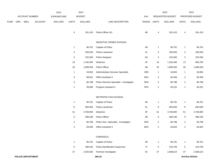|      |     |                          |                | 2013               |                         | 2014           |                                           |               |                 | 2015             |                 | 2015            |
|------|-----|--------------------------|----------------|--------------------|-------------------------|----------------|-------------------------------------------|---------------|-----------------|------------------|-----------------|-----------------|
|      |     | ACCOUNT NUMBER           |                | <b>EXPENDITURE</b> |                         | <b>BUDGET</b>  |                                           | PAY           |                 | REQUESTED BUDGET |                 | PROPOSED BUDGET |
| FUND | ORG | <b>SBCL</b>              | <b>ACCOUNT</b> | <b>DOLLARS</b>     | <b>UNITS</b>            | <b>DOLLARS</b> | LINE DESCRIPTION                          | RANGE         | <b>UNITS</b>    | <b>DOLLARS</b>   | <b>UNITS</b>    | <b>DOLLARS</b>  |
|      |     |                          |                |                    | 4                       |                | 261,415 Police Officer (K)                | 4B            | 4               | 261,415          | 4               | 261,415         |
|      |     |                          |                |                    |                         |                | SENSITIVE CRIMES DIVISION                 |               |                 |                  |                 |                 |
|      |     |                          |                |                    | $\mathbf{1}$            | 96,761         | Captain of Police                         | $4\mathrm{N}$ | $\mathbf{1}$    | 96,761           | $\mathbf{1}$    | 96,761          |
|      |     |                          |                |                    | 3                       | 256,500        | Police Lieutenant                         | 4L            | 3               | 256,500          | 3               | 256,500         |
|      |     |                          |                |                    | 3                       | 232,500        | Police Sergeant                           | 4G            | 3               | 232,500          | 3               | 232,500         |
|      |     |                          |                |                    | 16                      | 1,182,400      | Detective                                 | 4F            | 16              | 1,182,400        | 13              | 960,700         |
|      |     |                          |                |                    | 26                      | 1,699,200      | Police Officer                            | 4B            | 26              | 1,699,200        | $26\,$          | 1,699,200       |
|      |     |                          |                |                    | $\mathbf{1}$            | 43,854         | Administrative Services Specialist        | 2BN           | $\mathbf{1}$    | 43,854           | $\mathbf{1}$    | 43,854          |
|      |     |                          |                |                    | 3                       | 88,641         | Office Assistant II                       | 6EN           | 3               | 95,406           | 3               | 95,406          |
|      |     |                          |                |                    | $\overline{\mathbf{c}}$ | 80,788         | Police Services Specialist - Investigator | 5EN           | $\overline{2}$  | 80,788           | $\overline{c}$  | 80,788          |
|      |     |                          |                |                    | $\mathbf 1$             | 39,094         | Program Assistant II                      | 5FN           | $\mathbf{1}$    | 40,251           | $\mathbf{1}$    | 40,251          |
|      |     |                          |                |                    |                         |                | METROPOLITAN DIVISION                     |               |                 |                  |                 |                 |
|      |     |                          |                |                    | $\mathbf{1}$            | 96,761         | Captain of Police                         | $4N$          | $\mathbf{1}$    | 96,761           | $\mathbf{1}$    | 96,761          |
|      |     |                          |                |                    | 8                       | 684,000        | Police Lieutenant                         | 4L            | 8               | 684,000          | 8               | 684,000         |
|      |     |                          |                |                    | 51                      | 3,768,900      | Detective                                 | 4F            | 51              | 3,768,900        | 51              | 3,768,900       |
|      |     |                          |                |                    | 9                       | 588,185        | Police Officer                            | 4B            | 9               | 588,185          | 9               | 588,185         |
|      |     |                          |                |                    | $\overline{2}$          | 80,788         | Police Serv. Specialist - Investigator    | 5EN           | $\overline{2}$  | 80,788           | $\overline{c}$  | 80,788          |
|      |     |                          |                |                    | $\overline{2}$          | 59,094         | Office Assistant II                       | 6EN           | $\overline{2}$  | 63,604           | $\overline{2}$  | 63,604          |
|      |     |                          |                |                    |                         |                | <b>FORENSICS</b>                          |               |                 |                  |                 |                 |
|      |     |                          |                |                    | $\mathbf{1}$            | 96,761         | Captain of Police                         | 4N            | $\mathbf{1}$    | 96,761           | $\mathbf{1}$    | 96,761          |
|      |     |                          |                |                    | $\sqrt{5}$              | 396,032        | Police Identification Supervisor          | 41            | $5\phantom{.0}$ | 419,750          | $5\phantom{.0}$ | 419,750         |
|      |     |                          |                |                    | 37                      | 2,555,926      | Forensic Investigator                     | 4C            | $37\,$          | 2,568,614        | 37              | 2,568,614       |
|      |     | <b>POLICE DEPARTMENT</b> |                |                    |                         |                | 260.16                                    |               |                 |                  |                 | 3rd Run 9/15/14 |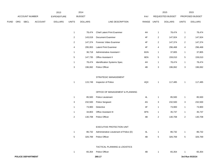|             |     |                          |                | 2013               |                           | 2014           |                                         |             |                | 2015             |                 | 2015            |
|-------------|-----|--------------------------|----------------|--------------------|---------------------------|----------------|-----------------------------------------|-------------|----------------|------------------|-----------------|-----------------|
|             |     | ACCOUNT NUMBER           |                | <b>EXPENDITURE</b> |                           | <b>BUDGET</b>  |                                         | PAY         |                | REQUESTED BUDGET |                 | PROPOSED BUDGET |
| <b>FUND</b> | ORG | SBCL                     | <b>ACCOUNT</b> | <b>DOLLARS</b>     | <b>UNITS</b>              | <b>DOLLARS</b> | LINE DESCRIPTION                        | RANGE UNITS |                | <b>DOLLARS</b>   | <b>UNITS</b>    | <b>DOLLARS</b>  |
|             |     |                          |                |                    | $\mathbf{1}$              | 78,474         | <b>Chief Latent Print Examiner</b>      | 4H          | $\overline{1}$ | 78,474           | $\mathbf{1}$    | 78,474          |
|             |     |                          |                |                    | $\overline{c}$            | 143,019        | Document Examiner                       | 4F          | $\overline{a}$ | 147,924          | $\overline{a}$  | 147,924         |
|             |     |                          |                |                    | $\overline{2}$            | 147,374        | Forensic Video Examiner                 | 4F          | $\overline{2}$ | 147,374          | $\overline{2}$  | 147,374         |
|             |     |                          |                |                    | 4                         | 295,953        | <b>Latent Print Examiner</b>            | 4F          | 4              | 296,468          | 4               | 296,468         |
|             |     |                          |                |                    | $\mathbf{1}$              | 36,718         | Administrative Assistant I              | 6GN         | $\overline{1}$ | 37,805           | $\mathbf{1}$    | 37,805          |
|             |     |                          |                |                    | 5                         | 147,735        | Office Assistant II                     | 6EN         | $\overline{5}$ | 159,010          | 5               | 159,010         |
|             |     |                          |                |                    | $\mathbf{1}$              | 78,474         | Identification Systems Spec.            | 4H          | $\overline{1}$ | 78,474           | $\mathbf{1}$    | 78,474          |
|             |     |                          |                |                    | $\ensuremath{\mathsf{3}}$ | 196,062        | Police Officer                          | 4B          | 3              | 196,062          | 3               | 196,062         |
|             |     |                          |                |                    |                           |                | STRATEGIC MANAGEMENT                    |             |                |                  |                 |                 |
|             |     |                          |                |                    | $\mathbf{1}$              | 115,749        | Inspector of Police                     | 4QX         | $\overline{1}$ | 117,485          | $\mathbf{1}$    | 117,485         |
|             |     |                          |                |                    |                           |                | OFFICE OF MANAGEMENT & PLANNING         |             |                |                  |                 |                 |
|             |     |                          |                |                    | $\mathbf{1}$              | 85,500         | Police Lieutenant                       | 4L          | $\overline{1}$ | 85,500           | $\mathbf{1}$    | 85,500          |
|             |     |                          |                |                    | 3                         | 232,500        | <b>Police Sergeant</b>                  | 4G          | 3              | 232,500          | 3               | 232,500         |
|             |     |                          |                |                    | $\mathbf{1}$              | 73,900         | Detective                               | 4F          | $\overline{1}$ | 73,900           | $\mathbf{1}$    | 73,900          |
|             |     |                          |                |                    | $\mathbf{1}$              | 34,803         | Office Assistant III                    | 6FN         | $\overline{1}$ | 35,737           | $\mathbf{1}$    | 35,737          |
|             |     |                          |                |                    | $\overline{2}$            | 130,708        | Police Officer                          | 4B          | $\overline{2}$ | 130,708          | $\overline{2}$  | 130,708         |
|             |     |                          |                |                    |                           |                | EXECUTIVE PROTECTION UNIT               |             |                |                  |                 |                 |
|             |     |                          |                |                    | $\mathbf{1}$              | 86,732         | Administrative Lieutenant of Police (D) | 4L          | $\mathbf{1}$   | 86,732           | $\mathbf{1}$    | 86,732          |
|             |     |                          |                |                    | $\,$ 5 $\,$               | 326,769        | Police Officer                          | 4B          | 5              | 326,769          | $5\overline{)}$ | 326,769         |
|             |     |                          |                |                    |                           |                | TACTICAL PLANNING & LOGISTICS           |             |                |                  |                 |                 |
|             |     |                          |                |                    | $\mathbf{1}$              | 65,354         | Police Officer                          | 4B          | $\mathbf{1}$   | 65,354           |                 | 65,354          |
|             |     | <b>POLICE DEPARTMENT</b> |                |                    |                           |                | 260.17                                  |             |                |                  |                 | 3rd Run 9/15/14 |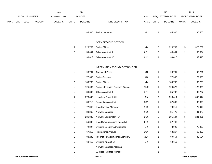|      |     |                |         | 2013               |                | 2014           |                                       |       |                | 2015             |                         | 2015            |
|------|-----|----------------|---------|--------------------|----------------|----------------|---------------------------------------|-------|----------------|------------------|-------------------------|-----------------|
|      |     | ACCOUNT NUMBER |         | <b>EXPENDITURE</b> |                | <b>BUDGET</b>  |                                       | PAY   |                | REQUESTED BUDGET |                         | PROPOSED BUDGET |
| FUND | ORG | SBCL           | ACCOUNT | <b>DOLLARS</b>     | <b>UNITS</b>   | <b>DOLLARS</b> | LINE DESCRIPTION                      | RANGE | <b>UNITS</b>   | <b>DOLLARS</b>   | <b>UNITS</b>            | <b>DOLLARS</b>  |
|      |     |                |         |                    |                |                |                                       |       |                |                  |                         |                 |
|      |     |                |         |                    | $\mathbf{1}$   | 85,500         | Police Lieutenant                     | 4L    | $\mathbf 1$    | 85,500           | $\mathbf{1}$            | 85,500          |
|      |     |                |         |                    |                |                |                                       |       |                |                  |                         |                 |
|      |     |                |         |                    |                |                | OPEN RECORDS SECTION                  |       |                |                  |                         |                 |
|      |     |                |         |                    | $\,$ 5 $\,$    | 326,769        | Police Officer                        | 4B    | $\,$ 5 $\,$    | 326,769          | $\,$ 5 $\,$             | 326,769         |
|      |     |                |         |                    | $\overline{c}$ | 59,094         | Office Assistant II                   | 6EN   | 2              | 63,604           | $\overline{2}$          | 63,604          |
|      |     |                |         |                    | $\mathbf{1}$   | 38,612         | Office Assistant IV                   | 6HN   | $\overline{1}$ | 39,415           | $\mathbf{1}$            | 39,415          |
|      |     |                |         |                    |                |                |                                       |       |                |                  |                         |                 |
|      |     |                |         |                    |                |                | INFORMATION TECHNOLOGY DIVISION       |       |                |                  |                         |                 |
|      |     |                |         |                    | 1              | 96,761         | Captain of Police                     | 4N    | $\mathbf{1}$   | 96,761           | $\mathbf{1}$            | 96,761          |
|      |     |                |         |                    | $\mathbf{1}$   | 77,500         | Police Sergeant                       | 4G    | $\mathbf{1}$   | 77,500           | $\mathbf{1}$            | 77,500          |
|      |     |                |         |                    | $\overline{c}$ | 130,708        | Police Officer                        | 4B    | $\overline{2}$ | 130,708          | $\overline{\mathbf{c}}$ | 130,708         |
|      |     |                |         |                    | $\mathbf{1}$   | 125,000        | Police Information Systems Director   | 1MX   | $\mathbf{1}$   | 126,875          | $\mathbf{1}$            | 126,875         |
|      |     |                |         |                    | $\mathbf{1}$   | 34,803         | Office Assistant III                  | 6FN   | $\overline{1}$ | 35,737           | $\mathbf{1}$            | 35,737          |
|      |     |                |         |                    | 9              | 378,848        | Helpdesk Specialist II                | 3IN   | 9              | 396,414          | 9                       | 396,414         |
|      |     |                |         |                    | $\mathbf{1}$   | 36,718         | <b>Accounting Assistant I</b>         | 6GN   | $\mathbf{1}$   | 37,805           | $\mathbf{1}$            | 37,805          |
|      |     |                |         |                    | $\mathbf{1}$   | 77,848         | Data Services Manager                 | 1GX   | $\mathbf{1}$   | 79,016           | $\mathbf{1}$            | 79,016          |
|      |     |                |         |                    | $\mathbf{1}$   | 80,266         | Network Manager                       | 1GX   | $\mathbf{1}$   | 81,470           | $\mathbf{1}$            | 81,470          |
|      |     |                |         |                    | 5              | 286,840        | Network Coordinator - Sr.             | 2GX   | 5              | 291,144          | 5                       | 231,031         |
|      |     |                |         |                    | $\mathbf{1}$   | 56,888         | Data Communications Specialist        | 2HX   | $\mathbf{1}$   | 57,742           | $\mathbf{1}$            |                 |
|      |     |                |         |                    | $\mathbf{1}$   | 72,827         | <b>Systems Security Administrator</b> | 2IX   | $\overline{1}$ | 73,920           | $\mathbf{1}$            | 73,920          |
|      |     |                |         |                    | $\mathbf{1}$   | 67,255         | Programmer Analyst                    | 2GN   | $\mathbf{1}$   | 68,267           | $\mathbf{1}$            | 68,267          |
|      |     |                |         |                    | $\mathbf{1}$   | 88,230         | Information Systems Manager-MPD       | 2LX   | 1              | 89,554           | $\mathbf{1}$            | 89,554          |
|      |     |                |         |                    | 1              | 60,619         | Systems Analyst-Sr.                   | 2IX   | $\mathbf{1}$   | 60,619           | $\mathbf{1}$            |                 |
|      |     |                |         |                    | $\mathbf{1}$   |                | Network Manager Assistant             |       | $\mathbf{1}$   |                  | $\mathbf{1}$            |                 |
|      |     |                |         |                    | $\mathbf{1}$   |                | Wireless Interface Manager            |       | $\mathbf{1}$   |                  | $\mathbf{1}$            |                 |
|      |     |                |         |                    |                |                |                                       |       |                |                  |                         |                 |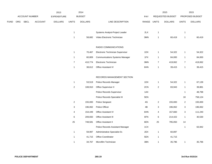|             |     |                |                | 2013               |                | 2014           |                                       |       |                  | 2015             |                  | 2015            |
|-------------|-----|----------------|----------------|--------------------|----------------|----------------|---------------------------------------|-------|------------------|------------------|------------------|-----------------|
|             |     | ACCOUNT NUMBER |                | <b>EXPENDITURE</b> |                | <b>BUDGET</b>  |                                       | PAY   |                  | REQUESTED BUDGET |                  | PROPOSED BUDGET |
| <b>FUND</b> | ORG | <b>SBCL</b>    | <b>ACCOUNT</b> | <b>DOLLARS</b>     | <b>UNITS</b>   | <b>DOLLARS</b> | LINE DESCRIPTION                      | RANGE | <b>UNITS</b>     | <b>DOLLARS</b>   | <b>UNITS</b>     | <b>DOLLARS</b>  |
|             |     |                |                |                    |                |                |                                       |       |                  |                  |                  |                 |
|             |     |                |                |                    | $\mathbf{1}$   |                | Systems Analyst-Project Leader        | 2LX   | $\mathbf{1}$     |                  | $\mathbf{1}$     |                 |
|             |     |                |                |                    | $\mathbf{1}$   | 58,682         | Video Electronic Technician           | 3MN   | $\mathbf{1}$     | 60,419           | $\mathbf{1}$     | 60,419          |
|             |     |                |                |                    |                |                |                                       |       |                  |                  |                  |                 |
|             |     |                |                |                    |                |                | RADIO COMMUNICATIONS                  |       |                  |                  |                  |                 |
|             |     |                |                |                    | $\mathbf{1}$   | 70,467         | Electronic Technician Supervisor      | 1DX   | $\mathbf{1}$     | 54,322           | $\mathbf{1}$     | 54,322          |
|             |     |                |                |                    | $\mathbf{1}$   | 60,809         | <b>Communications Systems Manager</b> | 1FX   | $\mathbf{1}$     | 84,000           | $\mathbf{1}$     | 84,000          |
|             |     |                |                |                    | $\overline{7}$ | 410,774        | Electronic Technician                 | 3MN   | $\boldsymbol{7}$ | 419,062          | $\boldsymbol{7}$ | 419,062         |
|             |     |                |                |                    | $\mathbf{1}$   | 38,612         | Office Assistant IV                   | 6HN   | $\mathbf{1}$     | 39,415           | $\mathbf{1}$     | 39,415          |
|             |     |                |                |                    |                |                |                                       |       |                  |                  |                  |                 |
|             |     |                |                |                    |                |                | RECORDS MANAGEMENT SECTION            |       |                  |                  |                  |                 |
|             |     |                |                |                    | $\mathbf{1}$   | 53,519         | Police Records Manager                | 1DX   | $\mathbf{1}$     | 54,322           | $\mathbf{1}$     | 67,139          |
|             |     |                |                |                    | $\overline{2}$ | 108,910        | Office Supervisor II                  | 2CN   | $\overline{2}$   | 83,943           | $\mathbf{1}$     | 39,881          |
|             |     |                |                |                    |                |                | Police Records Supervisor             | 1AX   |                  |                  | $\mathbf{1}$     | 48,798          |
|             |     |                |                |                    |                |                | Police Records Specialist III         | 5EN   |                  |                  | 18               | 758,124         |
|             |     |                |                |                    | $\overline{2}$ | 155,000        | Police Sergeant                       | 4G    | $\overline{2}$   | 155,000          | $\overline{2}$   | 155,000         |
|             |     |                |                |                    | 3              | 196,062        | Police Officer                        | 4B    | 3                | 196,062          | 3                | 196,062         |
|             |     |                |                |                    | 4              | 154,449        | Office Assistant IV                   | 6HN   | 4                | 157,660          | 3                | 111,240         |
|             |     |                |                |                    | 6              | 209,650        | Office Assistant III                  | 6FN   | 6                | 214,422          | $\mathbf{1}$     | 30,530          |
|             |     |                |                |                    | 25             | 748,581        | Office Assistant II                   | 6EN   | 25               | 795,050          | 14               |                 |
|             |     |                |                |                    |                |                | Police Records Assistant Manager      | 1CX   |                  |                  | 1                | 63,942          |
|             |     |                |                |                    | $\mathbf{1}$   | 59,997         | Administrative Specialist-Sr.         | 2EX   | $\mathbf{1}$     | 60,897           |                  |                 |

1 41,715 Office Coordinator 5EN 1 41,715

1 34,767 Microfilm Technician 3BN 1 35,796 1 35,796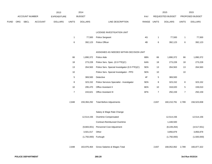|      |     |                       |                | 2013           |                | 2014                 |                                                |       |                | 2015              |                | 2015            |
|------|-----|-----------------------|----------------|----------------|----------------|----------------------|------------------------------------------------|-------|----------------|-------------------|----------------|-----------------|
|      |     | <b>ACCOUNT NUMBER</b> |                | EXPENDITURE    |                | <b>BUDGET</b>        |                                                | PAY   |                | REQUESTED BUDGET  |                | PROPOSED BUDGET |
| FUND | ORG | SBCL                  | <b>ACCOUNT</b> | <b>DOLLARS</b> | <b>UNITS</b>   | <b>DOLLARS</b>       | LINE DESCRIPTION                               | RANGE | <b>UNITS</b>   | <b>DOLLARS</b>    | <b>UNITS</b>   | <b>DOLLARS</b>  |
|      |     |                       |                |                |                |                      | LICENSE INVESTIGATION UNIT                     |       |                |                   |                |                 |
|      |     |                       |                |                | $\mathbf{1}$   | 77,500               | Police Sergeant                                | 4G    | $\mathbf{1}$   | 77,500            | $\mathbf{1}$   | 77,500          |
|      |     |                       |                |                |                |                      |                                                | 4B    |                | 392,123           |                |                 |
|      |     |                       |                |                | $\,6$          | 392,123              | Police Officer                                 |       | 6              |                   | $\,6$          | 392,123         |
|      |     |                       |                |                |                |                      | ASSIGNED AS NEEDED WITHIN DECISION UNIT        |       |                |                   |                |                 |
|      |     |                       |                |                | 66             | 1,890,372            | Police Aide                                    | 6BN   | 66             | 1,890,372         | 66             | 1,890,372       |
|      |     |                       |                |                | 18             | 273,228              | Police Serv. Spec. (0.5 FTE)(C)                | 6AN   | 18             | 273,228           | 18             | 273,228         |
|      |     |                       |                |                | 13             | 264,563              | Police Serv. Special Investigator (0.5 FTE)(C) | 5EN   | 13             | 264,563           | 13             | 264,563         |
|      |     |                       |                |                | 10             |                      | Police Serv. Special Investigator - PPD        | 5EN   | 10             |                   | 10             |                 |
|      |     |                       |                |                | $\,$ 5 $\,$    | 369,500              | Detective                                      | 4F    | 5              | 369,500           |                |                 |
|      |     |                       |                |                | $\bf 8$        | 323,152              | Police Services Specialist - Investigator      | 5EN   | $\bf8$         | 323,152           | 8              | 323,152         |
|      |     |                       |                |                | $10\,$         | 295,470              | Office Assistant II                            | 6EN   | 10             | 318,020           | 5              | 159,010         |
|      |     |                       |                |                | $\overline{7}$ | 243,621              | Office Assistant III                           | 6FN   | $\overline{7}$ | 250,159           | $\overline{7}$ | 250,159         |
|      |     |                       |                |                | 2,848          | 159,394,292          | <b>Total Before Adjustments</b>                |       | 2,837          | 160,210,791       | 2,789          | 156,523,838     |
|      |     |                       |                |                |                |                      |                                                |       |                |                   |                |                 |
|      |     |                       |                |                |                |                      | Salary & Wage Rate Change                      |       |                |                   |                |                 |
|      |     |                       |                |                |                | 12,514,156           | Overtime Compensated                           |       |                | 12,514,156        |                | 12,514,156      |
|      |     |                       |                |                |                |                      | <b>Contract-Reimbursed Overtime</b>            |       |                | 1,448,500         |                |                 |
|      |     |                       |                |                |                | (9,683,001)          | Personnel Cost Adjustment                      |       |                | (8,228,264)       |                | (4,517,551)     |
|      |     |                       |                |                |                | 3,501,017            | Other                                          |       |                | 3,856,879         |                | 3,856,879       |
|      |     |                       |                |                |                | (1,750,000) Furlough |                                                |       |                | (1,750,000)       |                | (1,500,000)     |
|      |     |                       |                |                | 2,848          | 163,976,464          | Gross Salaries & Wages Total                   |       | 2,837          | 168,052,062 2,789 |                | 166,877,322     |
|      |     |                       |                |                |                |                      |                                                |       |                |                   |                |                 |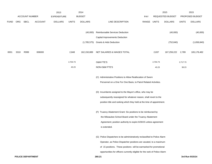|             |            | <b>ACCOUNT NUMBER</b> |                | 2013<br><b>EXPENDITURE</b> |              | 2014<br><b>BUDGET</b> |                                                                            | <b>PAY</b> |          | 2015<br>REQUESTED BUDGET |              | 2015<br>PROPOSED BUDGET |
|-------------|------------|-----------------------|----------------|----------------------------|--------------|-----------------------|----------------------------------------------------------------------------|------------|----------|--------------------------|--------------|-------------------------|
| <b>FUND</b> | <b>ORG</b> | SBCL                  | <b>ACCOUNT</b> | <b>DOLLARS</b>             | <b>UNITS</b> | <b>DOLLARS</b>        | LINE DESCRIPTION                                                           | RANGE      | UNITS    | <b>DOLLARS</b>           | <b>UNITS</b> | <b>DOLLARS</b>          |
|             |            |                       |                |                            |              |                       |                                                                            |            |          |                          |              |                         |
|             |            |                       |                |                            |              | (40,000)              | Reimbursable Services Deduction                                            |            |          | (40,000)                 |              | (40,000)                |
|             |            |                       |                |                            |              |                       | Capital Improvements Deduction                                             |            |          |                          |              |                         |
|             |            |                       |                |                            |              | (1,785,575)           | <b>Grants &amp; Aids Deduction</b>                                         |            |          | (752, 840)               |              | (1,658,840)             |
| 0001        | 3310       | R999                  | 006000         |                            | 2,848        | 162,150,889           | NET SALARIES & WAGES TOTAL                                                 |            | 2,837    | 167,259,222              | 2,789        | 165,178,482             |
|             |            |                       |                |                            | 2,704.73     |                       | O&M FTE'S                                                                  |            | 2,704.73 |                          | 2,717.73     |                         |
|             |            |                       |                |                            | 43.23        |                       | NON-O&M FTE'S                                                              |            | 43.23    |                          | 38.23        |                         |
|             |            |                       |                |                            |              |                       | (C) Administrative Positions to Allow Reallocation of Sworn                |            |          |                          |              |                         |
|             |            |                       |                |                            |              |                       | Personnel on a One For One Basis, to Patrol Related Activities.            |            |          |                          |              |                         |
|             |            |                       |                |                            |              |                       | (D) Incumbents assigned to the Mayor's office, who may be                  |            |          |                          |              |                         |
|             |            |                       |                |                            |              |                       | subsequently reassigned for whatever reason, shall revert to the           |            |          |                          |              |                         |
|             |            |                       |                |                            |              |                       | position title and ranking which they held at the time of appointment.     |            |          |                          |              |                         |
|             |            |                       |                |                            |              |                       | (F) Truancy Abatement Grant: Six positions to be reimbursed by             |            |          |                          |              |                         |
|             |            |                       |                |                            |              |                       | the Milwaukee School Board under the Truancy Abatement                     |            |          |                          |              |                         |
|             |            |                       |                |                            |              |                       | Agreement; position authority to expire 6/30/15 unless agreement           |            |          |                          |              |                         |
|             |            |                       |                |                            |              |                       | is extended.                                                               |            |          |                          |              |                         |
|             |            |                       |                |                            |              |                       | (G) Police Dispatchers to be administratively reclassified to Police Alarm |            |          |                          |              |                         |
|             |            |                       |                |                            |              |                       | Operator, as Police Dispatcher positions are vacated, to a maximum         |            |          |                          |              |                         |
|             |            |                       |                |                            |              |                       | of 15 positions. These positions will be earmarked for promotional         |            |          |                          |              |                         |
|             |            |                       |                |                            |              |                       | opportunities for officers currently eligible for the rank of Police Alarm |            |          |                          |              |                         |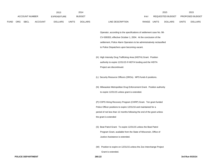|             |     |                       |                | 2013               |       | 2014           |                                                                         | 2015 |                               |                  | 2015 |                 |
|-------------|-----|-----------------------|----------------|--------------------|-------|----------------|-------------------------------------------------------------------------|------|-------------------------------|------------------|------|-----------------|
|             |     | <b>ACCOUNT NUMBER</b> |                | <b>EXPENDITURE</b> |       | <b>BUDGET</b>  |                                                                         | PAY  |                               | REQUESTED BUDGET |      | PROPOSED BUDGET |
| <b>FUND</b> | ORG | SBCL                  | <b>ACCOUNT</b> | <b>DOLLARS</b>     | UNITS | <b>DOLLARS</b> | LINE DESCRIPTION                                                        |      | RANGE UNITS<br><b>DOLLARS</b> |                  |      | <b>DOLLARS</b>  |
|             |     |                       |                |                    |       |                |                                                                         |      |                               |                  |      |                 |
|             |     |                       |                |                    |       |                | Operator, according to the specifications of settlement case No. 98-    |      |                               |                  |      |                 |
|             |     |                       |                |                    |       |                | CV-009353, effective October 1, 2004. At the conclusion of the          |      |                               |                  |      |                 |
|             |     |                       |                |                    |       |                | settlement, Police Alarm Operators to be administratively reclassified  |      |                               |                  |      |                 |
|             |     |                       |                |                    |       |                | to Police Dispatchers upon becoming vacant.                             |      |                               |                  |      |                 |
|             |     |                       |                |                    |       |                |                                                                         |      |                               |                  |      |                 |
|             |     |                       |                |                    |       |                | (K) High Intensity Drug Trafficking Area (HIDTA) Grant: Position        |      |                               |                  |      |                 |
|             |     |                       |                |                    |       |                | authority to expire 12/31/15 if HIDTA funding and the HIDTA             |      |                               |                  |      |                 |
|             |     |                       |                |                    |       |                | Project are discontinued.                                               |      |                               |                  |      |                 |
|             |     |                       |                |                    |       |                | (L) Security Resource Officers (SROs). MPS funds 6 positions.           |      |                               |                  |      |                 |
|             |     |                       |                |                    |       |                |                                                                         |      |                               |                  |      |                 |
|             |     |                       |                |                    |       |                | (N) Milwaukee Metropolitan Drug Enforcement Grant. Position authority   |      |                               |                  |      |                 |
|             |     |                       |                |                    |       |                | to expire 12/31/15 unless grant is extended.                            |      |                               |                  |      |                 |
|             |     |                       |                |                    |       |                |                                                                         |      |                               |                  |      |                 |
|             |     |                       |                |                    |       |                | (P) COPS Hiring Recovery Program (CHRP) Grant. Ten grant funded         |      |                               |                  |      |                 |
|             |     |                       |                |                    |       |                | Police Officer positions to expire 12/31/16 and maintained for a        |      |                               |                  |      |                 |
|             |     |                       |                |                    |       |                | period of not less than 12 months following the end of the grant unless |      |                               |                  |      |                 |
|             |     |                       |                |                    |       |                | the grant is extended                                                   |      |                               |                  |      |                 |
|             |     |                       |                |                    |       |                |                                                                         |      |                               |                  |      |                 |
|             |     |                       |                |                    |       |                | (S) Beat Patrol Grant: To expire 12/31/15 unless the Beat Patrol        |      |                               |                  |      |                 |
|             |     |                       |                |                    |       |                | Program Grant, available from the State of Wisconsin, Office of         |      |                               |                  |      |                 |
|             |     |                       |                |                    |       |                | Justice Assistance is extended.                                         |      |                               |                  |      |                 |
|             |     |                       |                |                    |       |                | (W) Position to expire on 12/31/15 unless the Zoo Interchange Project   |      |                               |                  |      |                 |
|             |     |                       |                |                    |       |                | Grant is extended.                                                      |      |                               |                  |      |                 |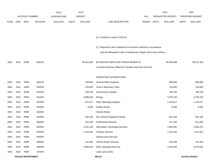|             |      |                          |                | 2013               |              | 2014           |                                                                      |             | 2015             |              | 2015            |
|-------------|------|--------------------------|----------------|--------------------|--------------|----------------|----------------------------------------------------------------------|-------------|------------------|--------------|-----------------|
|             |      | <b>ACCOUNT NUMBER</b>    |                | <b>EXPENDITURE</b> |              | <b>BUDGET</b>  |                                                                      | <b>PAY</b>  | REQUESTED BUDGET |              | PROPOSED BUDGET |
| <b>FUND</b> | ORG  | SBCL                     | <b>ACCOUNT</b> | <b>DOLLARS</b>     | <b>UNITS</b> | <b>DOLLARS</b> | LINE DESCRIPTION                                                     | RANGE UNITS | <b>DOLLARS</b>   | <b>UNITS</b> | <b>DOLLARS</b>  |
|             |      |                          |                |                    |              |                |                                                                      |             |                  |              |                 |
|             |      |                          |                |                    |              |                | (X) Positions to expire 12/01/14.                                    |             |                  |              |                 |
|             |      |                          |                |                    |              |                | (Y) Required to file a statement of economic interests in accordance |             |                  |              |                 |
|             |      |                          |                |                    |              |                | with the Milwaukee Code of Ordinances Chapter 303-Code of Ethics.    |             |                  |              |                 |
| 0001        | 3310 | R999                     | 006100         |                    |              | 66,481,864     | ESTIMATED EMPLOYEE FRINGE BENEFITS                                   |             | 66,903,689       |              | 66,071,393      |
|             |      |                          |                |                    |              |                | (Involves Revenue Offset-No Transfers from this Account)             |             |                  |              |                 |
|             |      |                          |                |                    |              |                | OPERATING EXPENDITURES                                               |             |                  |              |                 |
| 0001        | 3310 | R999                     | 630100         |                    |              | 758,900        | General Office Expense                                               |             | 808,900          |              | 808,900         |
| 0001        | 3310 | R999                     | 630500         |                    |              | 125,600        | Tools & Machinery Parts                                              |             | 125,600          |              | 125,600         |
| 0001        | 3310 | R999                     | 631000         |                    |              | 199,700        | <b>Construction Supplies</b>                                         |             | 199,700          |              | 199,700         |
| 0001        | 3310 | R999                     | 631500         |                    |              | 3,896,834      | Energy                                                               |             | 3,793,150        |              | 3,793,150       |
| 0001        | 3310 | R999                     | 632000         |                    |              | 971,017        | <b>Other Operating Supplies</b>                                      |             | 1,163,517        |              | 1,163,517       |
| 0001        | 3310 | R999                     | 632500         |                    |              | 8,200          | <b>Facility Rental</b>                                               |             | 8,200            |              | 8,200           |
| 0001        | 3310 | R999                     | 633000         |                    |              |                | Vehicle Rental                                                       |             |                  |              |                 |
| 0001        | 3310 | R999                     | 633500         |                    |              | 526,100        | Non-Vehicle Equipment Rental                                         |             | 601,100          |              | 601,100         |
| 0001        | 3310 | R999                     | 634000         |                    |              | 461,440        | <b>Professional Services</b>                                         |             | 511,440          |              | 511,440         |
| 0001        | 3310 | R999                     | 634500         |                    |              | 2,047,128      | Information Technology Services                                      |             | 2,565,901        |              | 2,694,375       |
| 0001        | 3310 | R999                     | 635000         |                    |              | 1,155,932      | <b>Property Services</b>                                             |             | 1,215,932        |              | 1,215,932       |
| 0001        | 3310 | R999                     | 635500         |                    |              |                | <b>Infrastructure Services</b>                                       |             |                  |              |                 |
| 0001        | 3310 | R999                     | 636000         |                    |              | 231,500        | Vehicle Repair Services                                              |             | 231,500          |              | 231,500         |
| 0001        | 3310 | R999                     | 636500         |                    |              | 2,855,530      | <b>Other Operating Services</b>                                      |             | 3,165,530        |              | 3,270,530       |
| 0001        | 3310 | R999                     | 637000         |                    |              |                | Loans and Grants                                                     |             |                  |              |                 |
|             |      | <b>POLICE DEPARTMENT</b> |                |                    |              |                | 260.23                                                               |             |                  |              | 3rd Run 9/15/14 |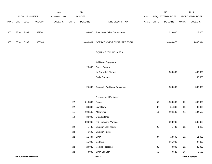|             |      |                       |                   | 2013           |              | 2014             |                                       |             |        | 2015              |              | 2015             |
|-------------|------|-----------------------|-------------------|----------------|--------------|------------------|---------------------------------------|-------------|--------|-------------------|--------------|------------------|
|             |      | <b>ACCOUNT NUMBER</b> |                   | EXPENDITURE    |              | <b>BUDGET</b>    |                                       | PAY         |        | REQUESTED BUDGET  |              | PROPOSED BUDGET  |
| <b>FUND</b> |      | ORG SBCL              | ACCOUNT           | <b>DOLLARS</b> | <b>UNITS</b> | <b>DOLLARS</b>   | LINE DESCRIPTION                      | RANGE UNITS |        | <b>DOLLARS</b>    | <b>UNITS</b> | <b>DOLLARS</b>   |
|             |      |                       |                   |                |              |                  |                                       |             |        |                   |              |                  |
| 0001        | 3310 | R999                  | 637501            |                |              | 163,000          | <b>Reimburse Other Departments</b>    |             |        | 213,000           |              | 213,000          |
|             |      |                       |                   |                |              |                  |                                       |             |        |                   |              |                  |
| 0001        | 3310 | R999                  | 006300            |                |              | 13,400,881       | OPERATING EXPENDITURES TOTAL          |             |        | 14,603,470        |              | 14,836,944       |
|             |      |                       |                   |                |              |                  |                                       |             |        |                   |              |                  |
|             |      |                       |                   |                |              |                  | <b>EQUIPMENT PURCHASES</b>            |             |        |                   |              |                  |
|             |      |                       |                   |                |              |                  | <b>Additional Equipment</b>           |             |        |                   |              |                  |
|             |      |                       |                   |                |              | 25,000           | Speed Boards                          |             |        |                   |              |                  |
|             |      |                       |                   |                |              |                  | In-Car Video Storage                  |             |        | 500,000           |              | 400,000          |
|             |      |                       |                   |                |              |                  | <b>Body Cameras</b>                   |             |        |                   |              | 100,000          |
|             |      |                       |                   |                |              |                  |                                       |             |        |                   |              |                  |
|             |      |                       |                   |                |              | 25,000           | Subtotal - Additional Equipment       |             |        | 500,000           |              | 500,000          |
|             |      |                       |                   |                |              |                  |                                       |             |        |                   |              |                  |
|             |      |                       |                   |                |              |                  | Replacement Equipment                 |             |        |                   |              |                  |
|             |      |                       |                   |                | 22           | 616,349          | Autos                                 |             | 50     | 1,500,000         | 22           | 660,000          |
|             |      |                       |                   |                | 22           | 30,800           | <b>Light Bars</b>                     |             | 37     | 51,800            | 22           | 30,800           |
|             |      |                       |                   |                | 11           | 104,500          | Motorcycle                            |             | 11     | 104,500           | 11           | 104,500          |
|             |      |                       |                   |                | 10           | 30,000           | Data switches                         |             |        |                   |              |                  |
|             |      |                       |                   |                |              | 200,000          | PC Hardware - Various                 |             |        | 500,000           |              | 500,000          |
|             |      |                       |                   |                | 22           | 1,430            | Shotgun Lock heads                    |             | $22\,$ | 1,430             | 22           | 1,430            |
|             |      |                       |                   |                | 22           | 6,600            | Shotgun Racks                         |             |        |                   |              |                  |
|             |      |                       |                   |                | 22           | 11,484           | Siren                                 |             | 37     | 18,500            | 22           | 11,000           |
|             |      |                       |                   |                | 22           | 15,000<br>29,920 | Software<br><b>Vehicle Partitions</b> |             | 30     | 165,000<br>40,800 | 22           | 27,000<br>29,920 |
|             |      |                       |                   |                | 22           |                  | 3,080 Siren Speaker                   |             | 68     | 9,520             | 25           | 3,500            |
|             |      |                       | POLICE DEPARTMENT |                |              |                  | 260.24                                |             |        |                   |              | 3rd Run 9/15/14  |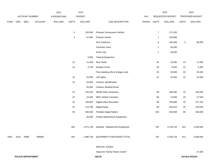|             |      |                          |         | 2013               |              | 2014           |                                    |             |                | 2015             |              | 2015            |
|-------------|------|--------------------------|---------|--------------------|--------------|----------------|------------------------------------|-------------|----------------|------------------|--------------|-----------------|
|             |      | ACCOUNT NUMBER           |         | <b>EXPENDITURE</b> |              | <b>BUDGET</b>  |                                    | PAY         |                | REQUESTED BUDGET |              | PROPOSED BUDGET |
| <b>FUND</b> | ORG  | <b>SBCL</b>              | ACCOUNT | <b>DOLLARS</b>     | <b>UNITS</b> | <b>DOLLARS</b> | LINE DESCRIPTION                   | RANGE UNITS |                | <b>DOLLARS</b>   | <b>UNITS</b> | <b>DOLLARS</b>  |
|             |      |                          |         |                    |              |                |                                    |             |                |                  |              |                 |
|             |      |                          |         |                    | 4            | 100,000        | Prisoner Conveyance Vehicle        |             | $\overline{7}$ | 172,200          |              |                 |
|             |      |                          |         |                    | 4            | 57,600         | Prisoner Inserts                   |             | $\overline{7}$ | 100,800          |              |                 |
|             |      |                          |         |                    |              |                | <b>SUV Explorers</b>               |             | 8              | 240,000          | 3            | 90,000          |
|             |      |                          |         |                    |              |                | Forensics Vans                     |             | $\overline{2}$ | 56,000           |              |                 |
|             |      |                          |         |                    |              |                | Arson Van                          |             | $\mathbf{1}$   | 28,000           |              |                 |
|             |      |                          |         |                    |              | 5,000          | <b>Tactical Equipment</b>          |             |                |                  |              |                 |
|             |      |                          |         |                    | 22           | 11,000         | <b>Rear Seats</b>                  |             | $30\,$         | 15,000           | 22           | 11,000          |
|             |      |                          |         |                    | 22           | 3,740          | <b>Window Armor</b>                |             | $30\,$         | 6,000            | 22           | 4,400           |
|             |      |                          |         |                    |              |                | Free-standing rifle & shotgun rack |             | $20\,$         | 20,000           | 22           | 22,000          |
|             |      |                          |         |                    | 22           | 22,000         | <b>LED lights</b>                  |             | 22             | 22,000           | 22           | 22,000          |
|             |      |                          |         |                    | 15           | 25,000         | Camera, Identification             |             |                |                  |              |                 |
|             |      |                          |         |                    |              | 40,000         | Camera, Booking Room               |             |                |                  |              |                 |
|             |      |                          |         |                    | 22           | 145,420        | Mobile Data Computers              |             | 68             | 449,480          | 25           | 165,250         |
|             |      |                          |         |                    | 22           | 24,200         | <b>MDC Vehicle Consoles</b>        |             | 68             | 74,800           | 25           | 27,500          |
|             |      |                          |         |                    | 22           | 138,820        | Digital Video Recorders            |             | 68             | 429,080          | 25           | 157,750         |
|             |      |                          |         |                    | 22           | 114,796        | <b>Digital Radio</b>               |             | 68             | 354,824          | 25           | 130,450         |
|             |      |                          |         |                    | 50           | 200,000        | Portable Digital Radios            |             | 100            | 400,000          | 85           | 340,000         |
|             |      |                          |         |                    |              | 35,000         | Facility Maintenance Equipment     |             |                |                  |              |                 |
|             |      |                          |         |                    | 402          | 1,971,739      | Subtotal - Replacement Equipment   |             | 754            | 4,759,734        | 422          | 2,338,500       |
| 0001        | 3310 | R999                     | 006800  |                    | 402          | 1,996,739      | EQUIPMENT PURCHASES TOTAL          |             | 754            | 5,259,734        | 422          | 2,838,500       |
|             |      |                          |         |                    |              |                | SPECIAL FUNDS                      |             |                |                  |              |                 |
|             |      |                          |         |                    |              |                | Sojourner Family Peace Center*     |             |                |                  |              | 27,600          |
|             |      | <b>POLICE DEPARTMENT</b> |         |                    |              |                | 260.25                             |             |                |                  |              | 3rd Run 9/15/14 |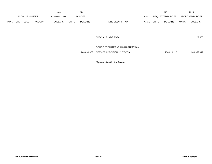|             |            |                |                | 2013           |              | 2014           |                           |              | 2015                    |              | 2015            |
|-------------|------------|----------------|----------------|----------------|--------------|----------------|---------------------------|--------------|-------------------------|--------------|-----------------|
|             |            | ACCOUNT NUMBER |                | EXPENDITURE    |              | <b>BUDGET</b>  | PAY                       |              | <b>REQUESTED BUDGET</b> |              | PROPOSED BUDGET |
| <b>FUND</b> | <b>ORG</b> | SBCL           | <b>ACCOUNT</b> | <b>DOLLARS</b> | <b>UNITS</b> | <b>DOLLARS</b> | RANGE<br>LINE DESCRIPTION | <b>UNITS</b> | <b>DOLLARS</b>          | <b>UNITS</b> | <b>DOLLARS</b>  |

SPECIAL FUNDS TOTAL

27,600

# POLICE DEPARTMENT ADMINISTRATION/

244,030,373 SERVICES DECISION UNIT TOTAL 254,026,115 248,952,919

\*Appropriation Control Account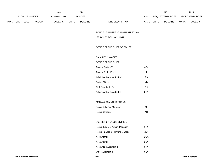|             |            |                       |                | 2013               |              | 2014           |                           |              | 2015             |              | 2015                   |
|-------------|------------|-----------------------|----------------|--------------------|--------------|----------------|---------------------------|--------------|------------------|--------------|------------------------|
|             |            | <b>ACCOUNT NUMBER</b> |                | <b>EXPENDITURE</b> |              | <b>BUDGET</b>  | PAY                       |              | REQUESTED BUDGET |              | <b>PROPOSED BUDGET</b> |
| <b>FUND</b> | <b>ORG</b> | <b>SBCL</b>           | <b>ACCOUNT</b> | <b>DOLLARS</b>     | <b>UNITS</b> | <b>DOLLARS</b> | RANGE<br>LINE DESCRIPTION | <b>UNITS</b> | <b>DOLLARS</b>   | <b>UNITS</b> | <b>DOLLARS</b>         |

POLICE DEPARTMENT ADMINISTRATION/

SERVICES DECISION UNIT

OFFICE OF THE CHIEF OF POLICE

SALARIES & WAGES

### OFFICE OF THE CHIEF

| Chief of Police (Y)         | 4SX |
|-----------------------------|-----|
| Chief of Staff - Police     | 1JX |
| Administrative Assistant IV | 5IN |
| Police Officer              | 4B  |
| Staff Assistant - Sr.       | 2IX |
| Administrative Assistant II | 6HN |

# MEDIA & COMMUNICATIONS

| <b>Public Relations Manager</b> | 2JX |
|---------------------------------|-----|
| <b>Police Sergeant</b>          | 4G  |

## BUDGET & FINANCE DIVISION

| Police Budget & Admin. Manager    | 1HX |
|-----------------------------------|-----|
| Police Finance & Planning Manager | 2LX |
| Accountant III                    | 2GX |
| Accountant I                      | 2CN |
| Accounting Assistant II           | 6HN |
| <b>Office Assistant II</b>        | 6FN |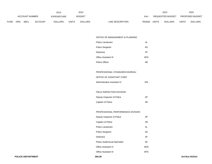|             |            |                |                | 2013               |       | 2014           |                  |            |              | 2015             |              | 2015                   |
|-------------|------------|----------------|----------------|--------------------|-------|----------------|------------------|------------|--------------|------------------|--------------|------------------------|
|             |            | ACCOUNT NUMBER |                | <b>EXPENDITURE</b> |       | <b>BUDGET</b>  |                  | <b>PAY</b> |              | REQUESTED BUDGET |              | <b>PROPOSED BUDGET</b> |
| <b>FUND</b> | <b>ORG</b> | <b>SBCL</b>    | <b>ACCOUNT</b> | <b>DOLLARS</b>     | UNITS | <b>DOLLARS</b> | LINE DESCRIPTION | RANGE      | <b>UNITS</b> | <b>DOLLARS</b>   | <b>UNITS</b> | <b>DOLLARS</b>         |

### OFFICE OF MANAGEMENT & PLANNING

| <b>Police Lieutenant</b> | 41  |
|--------------------------|-----|
| Police Sergeant          | 4G  |
| Detective                | 4F  |
| Office Assistant III     | 6FN |
| Police Officer           | 4Β  |

# PROFESSIONAL STANDARDS BUREAU

## OFFICE OF ASSISTANT CHIEF

| Administrative Assistant IV | $5I$ N |
|-----------------------------|--------|
|                             |        |

# FIELD INSPECTION DIVISION

| Deputy Inspector of Police | 4P |
|----------------------------|----|
| Captain of Police          | 4N |

## PROFESSIONAL PERFORMANCE DIVISION

| Deputy Inspector of Police           | 4P  |
|--------------------------------------|-----|
| Captain of Police                    | 4N  |
| Police Lieutenant                    | 4L  |
| <b>Police Sergeant</b>               | 4G  |
| Detective                            | 4F  |
| <b>Police Audiovisual Specialist</b> | 4K  |
| <b>Office Assistant IV</b>           | 6HN |
| <b>Office Assistant III</b>          | 6FN |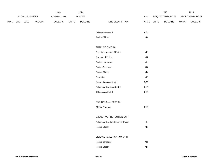|             |                               |             |         | 2013           |              | 2014           |                                     |               | 2015            |              | 2015           |
|-------------|-------------------------------|-------------|---------|----------------|--------------|----------------|-------------------------------------|---------------|-----------------|--------------|----------------|
|             | ACCOUNT NUMBER<br>EXPENDITURE |             |         | <b>BUDGET</b>  |              | PAY            | REQUESTED BUDGET                    |               | PROPOSED BUDGET |              |                |
| <b>FUND</b> | ORG                           | <b>SBCL</b> | ACCOUNT | <b>DOLLARS</b> | <b>UNITS</b> | <b>DOLLARS</b> | LINE DESCRIPTION                    | RANGE UNITS   | <b>DOLLARS</b>  | <b>UNITS</b> | <b>DOLLARS</b> |
|             |                               |             |         |                |              |                |                                     |               |                 |              |                |
|             |                               |             |         |                |              |                | Office Assistant II                 | 6EN           |                 |              |                |
|             |                               |             |         |                |              |                | Police Officer                      | 4B            |                 |              |                |
|             |                               |             |         |                |              |                |                                     |               |                 |              |                |
|             |                               |             |         |                |              |                | <b>TRAINING DIVISION</b>            |               |                 |              |                |
|             |                               |             |         |                |              |                | Deputy Inspector of Police          | $4\mathsf{P}$ |                 |              |                |
|             |                               |             |         |                |              |                | Captain of Police                   | $4\mathrm{N}$ |                 |              |                |
|             |                               |             |         |                |              |                | Police Lieutenant                   | $4\mathsf{L}$ |                 |              |                |
|             |                               |             |         |                |              |                | Police Sergeant                     | $4\mathsf{G}$ |                 |              |                |
|             |                               |             |         |                |              |                | Police Officer                      | 4B            |                 |              |                |
|             |                               |             |         |                |              |                | Detective                           | $4\mathsf{F}$ |                 |              |                |
|             |                               |             |         |                |              |                | Accounting Assistant I              | 6GN           |                 |              |                |
|             |                               |             |         |                |              |                | Administrative Assistant II         | 6HN           |                 |              |                |
|             |                               |             |         |                |              |                | Office Assistant II                 | 6EN           |                 |              |                |
|             |                               |             |         |                |              |                |                                     |               |                 |              |                |
|             |                               |             |         |                |              |                | AUDIO VISUAL SECTION                |               |                 |              |                |
|             |                               |             |         |                |              |                | Media Producer                      | 2EN           |                 |              |                |
|             |                               |             |         |                |              |                |                                     |               |                 |              |                |
|             |                               |             |         |                |              |                | EXECUTIVE PROTECTION UNIT           |               |                 |              |                |
|             |                               |             |         |                |              |                | Administrative Lieutenant of Police | $4\mathsf{L}$ |                 |              |                |
|             |                               |             |         |                |              |                | Police Officer                      | 4B            |                 |              |                |
|             |                               |             |         |                |              |                |                                     |               |                 |              |                |
|             |                               |             |         |                |              |                | LICENSE INVESTIGATION UNIT          |               |                 |              |                |
|             |                               |             |         |                |              |                | Police Sergeant                     | $4\mathsf{G}$ |                 |              |                |
|             |                               |             |         |                |              |                | Police Officer                      | $4\mathsf{B}$ |                 |              |                |
|             |                               |             |         |                |              |                |                                     |               |                 |              |                |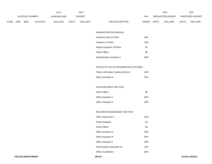|                       |            |             |                | 2013           |       | 2014           |                                  |              | 2015                   |              | 2015           |
|-----------------------|------------|-------------|----------------|----------------|-------|----------------|----------------------------------|--------------|------------------------|--------------|----------------|
| <b>ACCOUNT NUMBER</b> |            | EXPENDITURE |                | <b>BUDGET</b>  | PAY   |                | REQUESTED BUDGET                 |              | <b>PROPOSED BUDGET</b> |              |                |
| <b>FUND</b>           | <b>ORG</b> | <b>SBCL</b> | <b>ACCOUNT</b> | <b>DOLLARS</b> | UNITS | <b>DOLLARS</b> | LINE DESCRIPTION<br><b>RANGE</b> | <b>UNITS</b> | <b>DOLLARS</b>         | <b>UNITS</b> | <b>DOLLARS</b> |

#### ADMINISTRATION BUREAU

| Assistant Chief of Police   | 4RX        |
|-----------------------------|------------|
| Inspector of Police         | 4QX        |
| Deputy Inspector of Police  | 4P         |
| Police Officer              | 4B         |
| Administrative Assistant II | <b>RHN</b> |

# OFFICE OF POLICE INFORMATION SYSTEMS

| <b>Police Information Systems Director</b> | 1MX |
|--------------------------------------------|-----|
| <b>Office Assistant III</b>                | 6FN |

## OPEN RECORDS SECTION

| Police Officer             | 4B  |
|----------------------------|-----|
| Office Assistant II        | 6FN |
| <b>Office Assistant IV</b> | 6HN |

## RECORDS MANAGEMENT SECTION

| Office Supervisor II          | 2CN |
|-------------------------------|-----|
| <b>Police Sergeant</b>        | 4G  |
| Police Officer                | 4B  |
| Office Assistant IV           | 6HN |
| <b>Office Assistant III</b>   | 6FN |
| <b>Office Assistant II</b>    | 6EN |
| Administrative Specialist-Sr. | 2FX |
| Office Coordinator            | 5EN |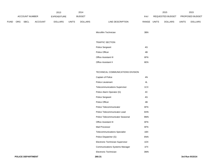|             |                       |      |                | 2013           |              | 2014           |                                       |               | 2015             |              | 2015            |
|-------------|-----------------------|------|----------------|----------------|--------------|----------------|---------------------------------------|---------------|------------------|--------------|-----------------|
|             | <b>ACCOUNT NUMBER</b> |      |                | EXPENDITURE    |              | <b>BUDGET</b>  |                                       | PAY           | REQUESTED BUDGET |              | PROPOSED BUDGET |
| <b>FUND</b> | ORG                   | SBCL | <b>ACCOUNT</b> | <b>DOLLARS</b> | <b>UNITS</b> | <b>DOLLARS</b> | LINE DESCRIPTION                      | RANGE UNITS   | <b>DOLLARS</b>   | <b>UNITS</b> | <b>DOLLARS</b>  |
|             |                       |      |                |                |              |                |                                       |               |                  |              |                 |
|             |                       |      |                |                |              |                | Microfilm Technician                  | 3BN           |                  |              |                 |
|             |                       |      |                |                |              |                |                                       |               |                  |              |                 |
|             |                       |      |                |                |              |                | <b>TRAFFIC SECTION</b>                |               |                  |              |                 |
|             |                       |      |                |                |              |                | Police Sergeant                       | $4\mathsf{G}$ |                  |              |                 |
|             |                       |      |                |                |              |                | Police Officer                        | $4\mathsf{B}$ |                  |              |                 |
|             |                       |      |                |                |              |                | Office Assistant III                  | 6FN           |                  |              |                 |
|             |                       |      |                |                |              |                | Office Assistant II                   | 6EN           |                  |              |                 |
|             |                       |      |                |                |              |                |                                       |               |                  |              |                 |
|             |                       |      |                |                |              |                | TECHNICAL COMMUNICATIONS DIVISION     |               |                  |              |                 |
|             |                       |      |                |                |              |                | Captain of Police                     | $4\mathrm{N}$ |                  |              |                 |
|             |                       |      |                |                |              |                | Police Lieutenant                     | $4\mathsf{L}$ |                  |              |                 |
|             |                       |      |                |                |              |                | <b>Telecommunications Supervisor</b>  | 1CX           |                  |              |                 |
|             |                       |      |                |                |              |                | Police Alarm Operator (G)             | $4\mathrm{C}$ |                  |              |                 |
|             |                       |      |                |                |              |                | Police Sergeant                       | 4G            |                  |              |                 |
|             |                       |      |                |                |              |                | Police Officer                        | $4\mathsf{B}$ |                  |              |                 |
|             |                       |      |                |                |              |                | Police Telecommunicator               | 6FN           |                  |              |                 |
|             |                       |      |                |                |              |                | Police Telecommunicator-Lead          | 6HN           |                  |              |                 |
|             |                       |      |                |                |              |                | Police Telecommunicator Seasonal      | $9\mbox{MN}$  |                  |              |                 |
|             |                       |      |                |                |              |                | Office Assistant III                  | 6FN           |                  |              |                 |
|             |                       |      |                |                |              |                | Mail Processor                        | 6FN           |                  |              |                 |
|             |                       |      |                |                |              |                | <b>Telecommunications Specialist</b>  | 1BX           |                  |              |                 |
|             |                       |      |                |                |              |                | Police Dispatcher (G)                 | 6NN           |                  |              |                 |
|             |                       |      |                |                |              |                | Electronic Technician Supervisor      | 1DX           |                  |              |                 |
|             |                       |      |                |                |              |                | <b>Communications Systems Manager</b> | 1FX           |                  |              |                 |
|             |                       |      |                |                |              |                | Electronic Technician                 | 3MN           |                  |              |                 |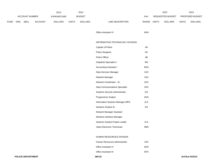|             |          |                |                | 2013           |              | 2014           |                                       |             | 2015             |              | 2015            |
|-------------|----------|----------------|----------------|----------------|--------------|----------------|---------------------------------------|-------------|------------------|--------------|-----------------|
|             |          | ACCOUNT NUMBER |                | EXPENDITURE    |              | <b>BUDGET</b>  |                                       | PAY         | REQUESTED BUDGET |              | PROPOSED BUDGET |
| <b>FUND</b> | ORG SBCL |                | <b>ACCOUNT</b> | <b>DOLLARS</b> | <b>UNITS</b> | <b>DOLLARS</b> | LINE DESCRIPTION                      | RANGE UNITS | <b>DOLLARS</b>   | <b>UNITS</b> | <b>DOLLARS</b>  |
|             |          |                |                |                |              |                |                                       |             |                  |              |                 |
|             |          |                |                |                |              |                | Office Assistant IV                   | 6HN         |                  |              |                 |
|             |          |                |                |                |              |                |                                       |             |                  |              |                 |
|             |          |                |                |                |              |                | INFORMATION TECHNOLOGY DIVISION       |             |                  |              |                 |
|             |          |                |                |                |              |                | Captain of Police                     | 4N          |                  |              |                 |
|             |          |                |                |                |              |                | Police Sergeant                       | 4G          |                  |              |                 |
|             |          |                |                |                |              |                | Police Officer                        | 4B          |                  |              |                 |
|             |          |                |                |                |              |                | Helpdesk Specialist II                | 3IN         |                  |              |                 |
|             |          |                |                |                |              |                | <b>Accounting Assistant I</b>         | 6GN         |                  |              |                 |
|             |          |                |                |                |              |                | Data Services Manager                 | 1GX         |                  |              |                 |
|             |          |                |                |                |              |                | Network Manager                       | 1GX         |                  |              |                 |
|             |          |                |                |                |              |                | Network Coordinator - Sr.             | 2GX         |                  |              |                 |
|             |          |                |                |                |              |                | <b>Data Communications Specialist</b> | 2HX         |                  |              |                 |
|             |          |                |                |                |              |                | Systems Security Administrator        | $2IX$       |                  |              |                 |
|             |          |                |                |                |              |                | Programmer Analyst                    | 2GN         |                  |              |                 |
|             |          |                |                |                |              |                | Information Systems Manager-MPD       | 2LX         |                  |              |                 |
|             |          |                |                |                |              |                | Systems Analyst-Sr.                   | 2IX         |                  |              |                 |
|             |          |                |                |                |              |                | Network Manager Assistant             |             |                  |              |                 |
|             |          |                |                |                |              |                | Wireless Interface Manager            |             |                  |              |                 |
|             |          |                |                |                |              |                | Systems Analyst-Project Leader        | 2LX         |                  |              |                 |
|             |          |                |                |                |              |                | Video Electronic Technician           | 3MN         |                  |              |                 |
|             |          |                |                |                |              |                |                                       |             |                  |              |                 |
|             |          |                |                |                |              |                | HUMAN RESOURCES DIVISION              |             |                  |              |                 |
|             |          |                |                |                |              |                | Human Resources Administrator         | 1HX         |                  |              |                 |
|             |          |                |                |                |              |                | Office Assistant IV                   | 6HN         |                  |              |                 |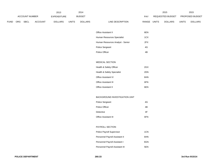|                       | 2013       |                    |                |                | 2014  |                |                  |                         | 2015         |                 | 2015         |                |
|-----------------------|------------|--------------------|----------------|----------------|-------|----------------|------------------|-------------------------|--------------|-----------------|--------------|----------------|
| <b>ACCOUNT NUMBER</b> |            | <b>EXPENDITURE</b> |                | <b>BUDGET</b>  |       | PAY            |                  | <b>REQUESTED BUDGET</b> |              | PROPOSED BUDGET |              |                |
| <b>FUND</b>           | <b>ORG</b> | <b>SBCL</b>        | <b>ACCOUNT</b> | <b>DOLLARS</b> | UNITS | <b>DOLLARS</b> | LINE DESCRIPTION | RANGE                   | <b>UNITS</b> | <b>DOLLARS</b>  | <b>UNITS</b> | <b>DOLLARS</b> |

| Office Assistant II              | 6FN |
|----------------------------------|-----|
| Human Resources Specialist       | 1CX |
| Human Resources Analyst - Senior | 2FX |
| <b>Police Sergeant</b>           | 4G. |
| Police Officer                   | 1Β  |

### MEDICAL SECTION

| Health & Safety Officer    | 2GX |
|----------------------------|-----|
| Health & Safety Specialist | 2DN |
| Office Assistant IV        | 6HN |
| Office Assistant III       | 6FN |
| Office Assistant II        | 6EN |

# BACKGROUND INVESTIGATION UNIT

| <b>Police Sergeant</b>      | 4G  |
|-----------------------------|-----|
| Police Officer              | 4B  |
| Detective                   | 4F  |
| <b>Office Assistant III</b> | 6FN |

## PAYROLL SECTION

| Police Payroll Supervisor       | 1CN |
|---------------------------------|-----|
| Personnel Payroll Assistant II  | 6HN |
| Personnel Payroll Assistant I   | 6GN |
| Personnel Payroll Assistant III | 5EN |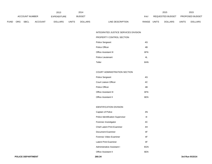|             |     |                       |                | 2013           |              | 2014           |                  |              |                  | 2015           |              | 2015                   |
|-------------|-----|-----------------------|----------------|----------------|--------------|----------------|------------------|--------------|------------------|----------------|--------------|------------------------|
|             |     | <b>ACCOUNT NUMBER</b> |                | EXPENDITURE    |              | <b>BUDGET</b>  |                  | PAY          | REQUESTED BUDGET |                |              | <b>PROPOSED BUDGET</b> |
| <b>FUND</b> | ORG | <b>SBCL</b>           | <b>ACCOUNT</b> | <b>DOLLARS</b> | <b>UNITS</b> | <b>DOLLARS</b> | LINE DESCRIPTION | <b>RANGE</b> | <b>UNITS</b>     | <b>DOLLARS</b> | <b>UNITS</b> | <b>DOLLARS</b>         |

INTEGRATED JUSTICE SERVICES DIVISION

PROPERTY CONTROL SECTION

| <b>Police Sergeant</b>      | 4G  |
|-----------------------------|-----|
| Police Officer              | 4B  |
| <b>Office Assistant III</b> | 6FN |
| Police Lieutenant           | 41  |
| Teller                      | 6HN |

## COURT ADMINISTRATION SECTION

| <b>Police Sergeant</b>     | 4G  |
|----------------------------|-----|
| Court Liaison Officer      | 4C  |
| Police Officer             | 4Β  |
| Office Assistant III       | 6FN |
| <b>Office Assistant II</b> | 6FN |

## IDENTIFICATION DIVISION

| Captain of Police                | 4N  |
|----------------------------------|-----|
| Police Identification Supervisor | 41  |
| Forensic Investigator            | 4C  |
| Chief Latent Print Examiner      | 4H  |
| Document Examiner                | 4F  |
| Forensic Video Examiner          | 4F  |
| Latent Print Examiner            | 4F  |
| Administrative Assistant I       | 6GN |
| Office Assistant II              | 6EN |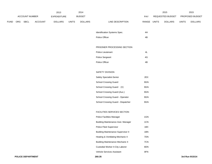|             |     |                       |         | 2013           |              | 2014           |                                           |               |                  | 2015           |              | 2015            |
|-------------|-----|-----------------------|---------|----------------|--------------|----------------|-------------------------------------------|---------------|------------------|----------------|--------------|-----------------|
|             |     | <b>ACCOUNT NUMBER</b> |         | EXPENDITURE    |              | <b>BUDGET</b>  |                                           | PAY           | REQUESTED BUDGET |                |              | PROPOSED BUDGET |
| <b>FUND</b> | ORG | SBCL                  | ACCOUNT | <b>DOLLARS</b> | <b>UNITS</b> | <b>DOLLARS</b> | LINE DESCRIPTION                          | RANGE         | <b>UNITS</b>     | <b>DOLLARS</b> | <b>UNITS</b> | <b>DOLLARS</b>  |
|             |     |                       |         |                |              |                |                                           |               |                  |                |              |                 |
|             |     |                       |         |                |              |                | Identification Systems Spec.              | 4H            |                  |                |              |                 |
|             |     |                       |         |                |              |                | Police Officer                            | 4B            |                  |                |              |                 |
|             |     |                       |         |                |              |                |                                           |               |                  |                |              |                 |
|             |     |                       |         |                |              |                | PRISONER PROCESSING SECTION               |               |                  |                |              |                 |
|             |     |                       |         |                |              |                | Police Lieutenant                         | 4L            |                  |                |              |                 |
|             |     |                       |         |                |              |                | Police Sergeant                           | $4\mathsf{G}$ |                  |                |              |                 |
|             |     |                       |         |                |              |                | Police Officer                            | 4B            |                  |                |              |                 |
|             |     |                       |         |                |              |                |                                           |               |                  |                |              |                 |
|             |     |                       |         |                |              |                | SAFETY DIVISION                           |               |                  |                |              |                 |
|             |     |                       |         |                |              |                | Safety Specialist-Senior                  | 2EX           |                  |                |              |                 |
|             |     |                       |         |                |              |                | School Crossing Guard                     | 9GN           |                  |                |              |                 |
|             |     |                       |         |                |              |                | School Crossing Guard (V)                 | 9GN           |                  |                |              |                 |
|             |     |                       |         |                |              |                | School Crossing Guard (Aux.)              | 9GN           |                  |                |              |                 |
|             |     |                       |         |                |              |                | School Crossing Guard - Operator          | 9GN           |                  |                |              |                 |
|             |     |                       |         |                |              |                | School Crossing Guard - Dispatcher        | 9GN           |                  |                |              |                 |
|             |     |                       |         |                |              |                |                                           |               |                  |                |              |                 |
|             |     |                       |         |                |              |                | FACILITIES SERVICES SECTION               |               |                  |                |              |                 |
|             |     |                       |         |                |              |                | Police Facilities Manager                 | 1GN           |                  |                |              |                 |
|             |     |                       |         |                |              |                | <b>Building Maintenance Asst. Manager</b> | 1CN           |                  |                |              |                 |
|             |     |                       |         |                |              |                | Police Fleet Supervisor                   | 1BX           |                  |                |              |                 |
|             |     |                       |         |                |              |                | <b>Building Maintenance Supervisor II</b> | 1BN           |                  |                |              |                 |
|             |     |                       |         |                |              |                | Heating & Ventilating Mechanic II         | 7DN           |                  |                |              |                 |
|             |     |                       |         |                |              |                | <b>Building Maintenance Mechanic II</b>   | 7CN           |                  |                |              |                 |
|             |     |                       |         |                |              |                | Custodial Worker II-City Laborer          | 8DN           |                  |                |              |                 |
|             |     |                       |         |                |              |                | Vehicle Services Assistant                | 8FN           |                  |                |              |                 |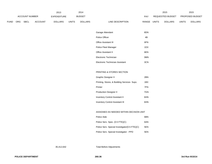|             |                                             |             |                | 2013           |       | 2014           |                  |                         |       | 2015            |       | 2015           |
|-------------|---------------------------------------------|-------------|----------------|----------------|-------|----------------|------------------|-------------------------|-------|-----------------|-------|----------------|
|             | <b>ACCOUNT NUMBER</b><br><b>EXPENDITURE</b> |             |                | <b>BUDGET</b>  |       | PAY            |                  | <b>REQUESTED BUDGET</b> |       | PROPOSED BUDGET |       |                |
| <b>FUND</b> | ORG                                         | <b>SBCL</b> | <b>ACCOUNT</b> | <b>DOLLARS</b> | UNITS | <b>DOLLARS</b> | LINE DESCRIPTION | RANGE                   | UNITS | <b>DOLLARS</b>  | UNITS | <b>DOLLARS</b> |

| Garage Attendant                | 8DN |
|---------------------------------|-----|
| Police Officer                  | 4B  |
| <b>Office Assistant III</b>     | 6FN |
| Police Fleet Manager            | 1DX |
| <b>Office Assistant II</b>      | 6EN |
| Electronic Technician           | 3MN |
| Electronic Technician Assistant | 3CN |

# PRINTING & STORES SECTION

| <b>Graphic Designer II</b>                  | 2BN |
|---------------------------------------------|-----|
| Printing, Stores, & Building Services Supv. | 1BX |
| Printer                                     | 7FN |
| <b>Production Designer II</b>               | 7GN |
| <b>Inventory Control Assistant II</b>       | 6HN |
| <b>Inventory Control Assistant III</b>      | 6HN |

### ASSIGNED AS NEEDED WITHIN DECISION UNIT

| Police Aide                                     | 6BN |
|-------------------------------------------------|-----|
| Police Serv. Spec. (0.5 FTE)(C)                 | 6AN |
| Police Serv. Special Investigator (0.5 FTE) (C) | 5EN |
| Police Serv. Special Investigator - PPD         | 5EN |

35,412,642 Total Before Adjustments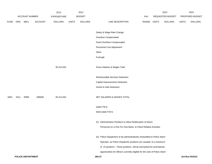|             |      |                          |                | 2013               |              | 2014           |                                                                            |       |              | 2015             |              | 2015            |
|-------------|------|--------------------------|----------------|--------------------|--------------|----------------|----------------------------------------------------------------------------|-------|--------------|------------------|--------------|-----------------|
|             |      | ACCOUNT NUMBER           |                | <b>EXPENDITURE</b> |              | <b>BUDGET</b>  |                                                                            | PAY   |              | REQUESTED BUDGET |              | PROPOSED BUDGET |
| <b>FUND</b> | ORG  | <b>SBCL</b>              | <b>ACCOUNT</b> | <b>DOLLARS</b>     | <b>UNITS</b> | <b>DOLLARS</b> | LINE DESCRIPTION                                                           | RANGE | <b>UNITS</b> | <b>DOLLARS</b>   | <b>UNITS</b> | <b>DOLLARS</b>  |
|             |      |                          |                |                    |              |                | Salary & Wage Rate Change                                                  |       |              |                  |              |                 |
|             |      |                          |                |                    |              |                | Overtime Compensated                                                       |       |              |                  |              |                 |
|             |      |                          |                |                    |              |                | <b>Grant Overtime Compensated</b>                                          |       |              |                  |              |                 |
|             |      |                          |                |                    |              |                | Personnel Cost Adjustment                                                  |       |              |                  |              |                 |
|             |      |                          |                |                    |              |                | Other                                                                      |       |              |                  |              |                 |
|             |      |                          |                |                    |              |                | Furlough                                                                   |       |              |                  |              |                 |
|             |      |                          |                | 35,412,642         |              |                | Gross Salaries & Wages Total                                               |       |              |                  |              |                 |
|             |      |                          |                |                    |              |                | Reimbursable Services Deduction                                            |       |              |                  |              |                 |
|             |      |                          |                |                    |              |                | Capital Improvements Deduction                                             |       |              |                  |              |                 |
|             |      |                          |                |                    |              |                | <b>Grants &amp; Aids Deduction</b>                                         |       |              |                  |              |                 |
| 0001        | 3311 | R999                     | 006000         | 35,412,642         |              |                | NET SALARIES & WAGES TOTAL                                                 |       |              |                  |              |                 |
|             |      |                          |                |                    |              |                | O&M FTE'S                                                                  |       |              |                  |              |                 |
|             |      |                          |                |                    |              |                | NON-O&M FTE'S                                                              |       |              |                  |              |                 |
|             |      |                          |                |                    |              |                | (C) Administrative Positions to Allow Reallocation of Sworn                |       |              |                  |              |                 |
|             |      |                          |                |                    |              |                | Personnel on a One For One Basis, to Patrol Related Activities.            |       |              |                  |              |                 |
|             |      |                          |                |                    |              |                | (G) Police Dispatchers to be administratively reclassified to Police Alarm |       |              |                  |              |                 |
|             |      |                          |                |                    |              |                | Operator, as Police Dispatcher positions are vacated, to a maximum         |       |              |                  |              |                 |
|             |      |                          |                |                    |              |                | of 15 positions. These positions will be earmarked for promotional         |       |              |                  |              |                 |
|             |      |                          |                |                    |              |                | opportunities for officers currently eligible for the rank of Police Alarm |       |              |                  |              |                 |
|             |      | <b>POLICE DEPARTMENT</b> |                |                    |              |                | 260.37                                                                     |       |              |                  |              | 3rd Run 9/15/14 |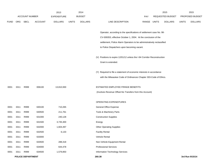|             |      |                          |                | 2013               |              | 2014           |                                                                          |            |       | 2015             |              | 2015            |
|-------------|------|--------------------------|----------------|--------------------|--------------|----------------|--------------------------------------------------------------------------|------------|-------|------------------|--------------|-----------------|
|             |      | <b>ACCOUNT NUMBER</b>    |                | <b>EXPENDITURE</b> |              | <b>BUDGET</b>  |                                                                          | <b>PAY</b> |       | REQUESTED BUDGET |              | PROPOSED BUDGET |
| <b>FUND</b> | ORG  | <b>SBCL</b>              | <b>ACCOUNT</b> | <b>DOLLARS</b>     | <b>UNITS</b> | <b>DOLLARS</b> | LINE DESCRIPTION                                                         | RANGE      | UNITS | <b>DOLLARS</b>   | <b>UNITS</b> | <b>DOLLARS</b>  |
|             |      |                          |                |                    |              |                | Operator, according to the specifications of settlement case No. 98-     |            |       |                  |              |                 |
|             |      |                          |                |                    |              |                | CV-009353, effective October 1, 2004. At the conclusion of the           |            |       |                  |              |                 |
|             |      |                          |                |                    |              |                | settlement, Police Alarm Operators to be administratively reclassified   |            |       |                  |              |                 |
|             |      |                          |                |                    |              |                | to Police Dispatchers upon becoming vacant.                              |            |       |                  |              |                 |
|             |      |                          |                |                    |              |                | (V) Positions to expire 12/01/12 unless the I-94 Corridor Reconstruction |            |       |                  |              |                 |
|             |      |                          |                |                    |              |                | Grant is extended.                                                       |            |       |                  |              |                 |
|             |      |                          |                |                    |              |                | (Y) Required to file a statement of economic interests in accordance     |            |       |                  |              |                 |
|             |      |                          |                |                    |              |                | with the Milwaukee Code of Ordinances Chapter 303-Code of Ethics.        |            |       |                  |              |                 |
| 0001        | 3311 | R999                     | 006100         | 13,810,930         |              |                | ESTIMATED EMPLOYEE FRINGE BENEFITS                                       |            |       |                  |              |                 |
|             |      |                          |                |                    |              |                | (Involves Revenue Offset-No Transfers from this Account)                 |            |       |                  |              |                 |
|             |      |                          |                |                    |              |                | OPERATING EXPENDITURES                                                   |            |       |                  |              |                 |
| 0001        | 3311 | R999                     | 630100         | 710,265            |              |                | General Office Expense                                                   |            |       |                  |              |                 |
| 0001        | 3311 | R999                     | 630500         | 211,761            |              |                | Tools & Machinery Parts                                                  |            |       |                  |              |                 |
| 0001        | 3311 | R999                     | 631000         | 240,128            |              |                | <b>Construction Supplies</b>                                             |            |       |                  |              |                 |
| 0001        | 3311 | R999                     | 631500         | 3,735,300          |              |                | Energy                                                                   |            |       |                  |              |                 |
| 0001        | 3311 | R999                     | 632000         | 1,604,497          |              |                | <b>Other Operating Supplies</b>                                          |            |       |                  |              |                 |
| 0001        | 3311 | R999                     | 632500         | 6,133              |              |                | <b>Facility Rental</b>                                                   |            |       |                  |              |                 |
| 0001        | 3311 | R999                     | 633000         |                    |              |                | Vehicle Rental                                                           |            |       |                  |              |                 |
| 0001        | 3311 | R999                     | 633500         | 288,318            |              |                | Non-Vehicle Equipment Rental                                             |            |       |                  |              |                 |
| 0001        | 3311 | R999                     | 634000         | 644,478            |              |                | <b>Professional Services</b>                                             |            |       |                  |              |                 |
| 0001        | 3311 | R999                     | 634500         | 1,579,850          |              |                | Information Technology Services                                          |            |       |                  |              |                 |
|             |      | <b>POLICE DEPARTMENT</b> |                |                    |              |                | 260.38                                                                   |            |       |                  |              | 3rd Run 9/15/14 |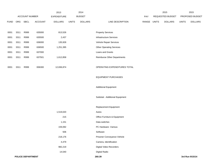|             |      |                |         | 2013           |              | 2014           |                                    |             | 2015             |              | 2015            |
|-------------|------|----------------|---------|----------------|--------------|----------------|------------------------------------|-------------|------------------|--------------|-----------------|
|             |      | ACCOUNT NUMBER |         | EXPENDITURE    |              | <b>BUDGET</b>  |                                    | PAY         | REQUESTED BUDGET |              | PROPOSED BUDGET |
| <b>FUND</b> | ORG  | SBCL           | ACCOUNT | <b>DOLLARS</b> | <b>UNITS</b> | <b>DOLLARS</b> | LINE DESCRIPTION                   | RANGE UNITS | <b>DOLLARS</b>   | <b>UNITS</b> | <b>DOLLARS</b>  |
|             |      |                |         |                |              |                |                                    |             |                  |              |                 |
| 0001        | 3311 | R999           | 635000  | 813,526        |              |                | <b>Property Services</b>           |             |                  |              |                 |
| 0001        | 3311 | R999           | 635500  | 2,437          |              |                | Infrastructure Services            |             |                  |              |                 |
| 0001        | 3311 | R999           | 636000  | 135,928        |              |                | Vehicle Repair Services            |             |                  |              |                 |
| 0001        | 3311 | R999           | 636500  | 1,251,395      |              |                | <b>Other Operating Services</b>    |             |                  |              |                 |
| 0001        | 3311 | R999           | 637000  |                |              |                | Loans and Grants                   |             |                  |              |                 |
| 0001        | 3311 | R999           | 637501  | 1,612,858      |              |                | <b>Reimburse Other Departments</b> |             |                  |              |                 |
|             |      |                |         |                |              |                |                                    |             |                  |              |                 |
| 0001        | 3311 | R999           | 006300  | 12,836,874     |              |                | OPERATING EXPENDITURES TOTAL       |             |                  |              |                 |
|             |      |                |         |                |              |                |                                    |             |                  |              |                 |
|             |      |                |         |                |              |                | <b>EQUIPMENT PURCHASES</b>         |             |                  |              |                 |
|             |      |                |         |                |              |                |                                    |             |                  |              |                 |
|             |      |                |         |                |              |                | <b>Additional Equipment</b>        |             |                  |              |                 |
|             |      |                |         |                |              |                |                                    |             |                  |              |                 |
|             |      |                |         |                |              |                | Subtotal - Additional Equipment    |             |                  |              |                 |
|             |      |                |         |                |              |                |                                    |             |                  |              |                 |
|             |      |                |         |                |              |                | Replacement Equipment              |             |                  |              |                 |
|             |      |                |         | 1,519,020      |              |                | Autos                              |             |                  |              |                 |
|             |      |                |         | 215            |              |                | Office Furniture & Equipment       |             |                  |              |                 |
|             |      |                |         | 1,151          |              |                | Data switches                      |             |                  |              |                 |
|             |      |                |         | 159,092        |              |                | PC Hardware - Various              |             |                  |              |                 |
|             |      |                |         | 506            |              |                | Software                           |             |                  |              |                 |
|             |      |                |         | 218,176        |              |                | Prisoner Conveyance Vehicle        |             |                  |              |                 |
|             |      |                |         | 4,479          |              |                | Camera, Identification             |             |                  |              |                 |
|             |      |                |         | 982,219        |              |                | Digital Video Recorders            |             |                  |              |                 |
|             |      |                |         | 14,540         |              |                | <b>Digital Radio</b>               |             |                  |              |                 |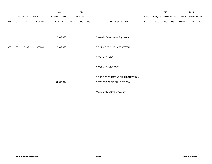|             |      |                       |                | 2013           |              | 2014           |                                   |       |       | 2015             |              | 2015            |
|-------------|------|-----------------------|----------------|----------------|--------------|----------------|-----------------------------------|-------|-------|------------------|--------------|-----------------|
|             |      | <b>ACCOUNT NUMBER</b> |                | EXPENDITURE    |              | <b>BUDGET</b>  |                                   | PAY   |       | REQUESTED BUDGET |              | PROPOSED BUDGET |
| <b>FUND</b> | ORG  | SBCL                  | <b>ACCOUNT</b> | <b>DOLLARS</b> | <b>UNITS</b> | <b>DOLLARS</b> | LINE DESCRIPTION                  | RANGE | UNITS | <b>DOLLARS</b>   | <b>UNITS</b> | <b>DOLLARS</b>  |
|             |      |                       |                |                |              |                |                                   |       |       |                  |              |                 |
|             |      |                       |                | 2,899,398      |              |                | Subtotal - Replacement Equipment  |       |       |                  |              |                 |
| 0001        | 3311 | R999                  | 006800         | 2,899,398      |              |                | EQUIPMENT PURCHASES TOTAL         |       |       |                  |              |                 |
|             |      |                       |                |                |              |                | SPECIAL FUNDS                     |       |       |                  |              |                 |
|             |      |                       |                |                |              |                | SPECIAL FUNDS TOTAL               |       |       |                  |              |                 |
|             |      |                       |                |                |              |                | POLICE DEPARTMENT ADMINISTRATION/ |       |       |                  |              |                 |
|             |      |                       |                | 64,959,844     |              |                | SERVICES DECISION UNIT TOTAL      |       |       |                  |              |                 |
|             |      |                       |                |                |              |                |                                   |       |       |                  |              |                 |

\*Appropriation Control Account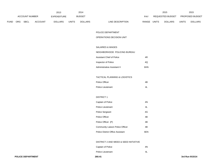|             | 2013       |                       |                | 2014           |              |                | 2015                      |              | 2015             |       |                        |
|-------------|------------|-----------------------|----------------|----------------|--------------|----------------|---------------------------|--------------|------------------|-------|------------------------|
|             |            | <b>ACCOUNT NUMBER</b> |                | EXPENDITURE    |              | <b>BUDGET</b>  | PAY                       |              | REQUESTED BUDGET |       | <b>PROPOSED BUDGET</b> |
| <b>FUND</b> | <b>ORG</b> | <b>SBCL</b>           | <b>ACCOUNT</b> | <b>DOLLARS</b> | <b>UNITS</b> | <b>DOLLARS</b> | LINE DESCRIPTION<br>RANGE | <b>UNITS</b> | <b>DOLLARS</b>   | UNITS | <b>DOLLARS</b>         |

#### POLICE DEPARTMENT

#### OPERATIONS DECISION UNIT

## SALARIES & WAGES

| NEIGHBORHOOD POLICING BUREAU |            |
|------------------------------|------------|
| Assistant Chief of Police    | 4R         |
| Inspector of Police          | 40         |
| Administrative Assistant II  | <b>GHN</b> |

### TACTICAL PLANNING & LOGISTICS

| Police Officer    | 4R |
|-------------------|----|
| Police Lieutenant | 41 |

## DISTRICT 1

| Captain of Police                       | 4N  |
|-----------------------------------------|-----|
| Police Lieutenant                       | 4L  |
| <b>Police Sergeant</b>                  | 4G  |
| Police Officer                          | 4B  |
| Police Officer (P)                      | 4B  |
| Community Liaison Police Officer        | 4B  |
| <b>Police District Office Assistant</b> | 6EN |

## DISTRICT 2 AND WEED & SEED INITIATIVE

| Captain of Police | 4N |
|-------------------|----|
| Police Lieutenant |    |

| <b>POLICE DEPARTMENT</b> | 260.41 | 3rd Run 9/15/14 |
|--------------------------|--------|-----------------|
|--------------------------|--------|-----------------|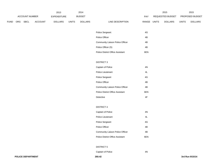|             | 2013       |                |                |                    | 2014  |                |                  |            | 2015         |                  | 2015         |                        |
|-------------|------------|----------------|----------------|--------------------|-------|----------------|------------------|------------|--------------|------------------|--------------|------------------------|
|             |            | ACCOUNT NUMBER |                | <b>EXPENDITURE</b> |       | <b>BUDGET</b>  |                  | <b>PAY</b> |              | REQUESTED BUDGET |              | <b>PROPOSED BUDGET</b> |
| <b>FUND</b> | <b>ORG</b> | <b>SBCL</b>    | <b>ACCOUNT</b> | <b>DOLLARS</b>     | UNITS | <b>DOLLARS</b> | LINE DESCRIPTION | RANGE      | <b>UNITS</b> | <b>DOLLARS</b>   | <b>UNITS</b> | <b>DOLLARS</b>         |

| <b>Police Sergeant</b>                  | 4G. |
|-----------------------------------------|-----|
| Police Officer                          | 4B  |
| Community Liaison Police Officer        | 4B  |
| Police Officer (S)                      | 4B. |
| <b>Police District Office Assistant</b> | 6FN |

## DISTRICT 3

| Captain of Police                | 4N  |
|----------------------------------|-----|
| Police Lieutenant                | 4L  |
| Police Sergeant                  | 4G  |
| Police Officer                   | 4B  |
| Community Liaison Police Officer | 4B  |
| Police District Office Assistant | 6EN |
| Detective                        | 4F  |

### DISTRICT 4

| Captain of Police                       | 4N  |
|-----------------------------------------|-----|
| Police Lieutenant                       | 4L  |
| <b>Police Sergeant</b>                  | 4G  |
| Police Officer                          | 4B  |
| Community Liaison Police Officer        | 4B  |
| <b>Police District Office Assistant</b> | 6FN |

#### DISTRICT 5

Captain of Police 4N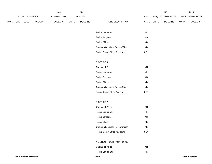|             | 2013                  |      |                    |                | 2014          |                |                  |              | 2015                    | 2015           |                        |                |
|-------------|-----------------------|------|--------------------|----------------|---------------|----------------|------------------|--------------|-------------------------|----------------|------------------------|----------------|
|             | <b>ACCOUNT NUMBER</b> |      | <b>EXPENDITURE</b> |                | <b>BUDGET</b> |                | PAY              |              | <b>REQUESTED BUDGET</b> |                | <b>PROPOSED BUDGET</b> |                |
| <b>FUND</b> | ORG                   | SBCL | <b>ACCOUNT</b>     | <b>DOLLARS</b> | UNITS         | <b>DOLLARS</b> | LINE DESCRIPTION | <b>RANGE</b> | UNITS                   | <b>DOLLARS</b> | <b>UNITS</b>           | <b>DOLLARS</b> |

| Police Lieutenant                       | 41   |
|-----------------------------------------|------|
| <b>Police Sergeant</b>                  | 4G.  |
| Police Officer                          | 4B   |
| <b>Community Liaison Police Officer</b> | 4B.  |
| <b>Police District Office Assistant</b> | 6F N |

### DISTRICT 6

| Captain of Police                | 4N  |
|----------------------------------|-----|
| Police Lieutenant                | 4L  |
| Police Sergeant                  | 4G  |
| Police Officer                   | 4B  |
| Community Liaison Police Officer | 4B  |
| Police District Office Assistant | 6EN |

### DISTRICT 7

| Captain of Police                       | 4N  |
|-----------------------------------------|-----|
| Police Lieutenant                       | 4L  |
| <b>Police Sergeant</b>                  | 4G  |
| Police Officer                          | 4B  |
| <b>Community Liaison Police Officer</b> | 4B  |
| <b>Police District Office Assistant</b> | 6EN |

# NEIGHBORHOOD TASK FORCE

| Captain of Police | 4N |
|-------------------|----|
|                   |    |

 $4L$ 

Police Lieutenant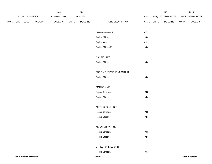|             |  |                | 2013    |                | 2014         |                |                            |               | 2015         |                  | 2015         |                 |
|-------------|--|----------------|---------|----------------|--------------|----------------|----------------------------|---------------|--------------|------------------|--------------|-----------------|
|             |  | ACCOUNT NUMBER |         | EXPENDITURE    |              | <b>BUDGET</b>  |                            | PAY           |              | REQUESTED BUDGET |              | PROPOSED BUDGET |
| <b>FUND</b> |  | ORG SBCL       | ACCOUNT | <b>DOLLARS</b> | <b>UNITS</b> | <b>DOLLARS</b> | LINE DESCRIPTION           | RANGE         | <b>UNITS</b> | <b>DOLLARS</b>   | <b>UNITS</b> | <b>DOLLARS</b>  |
|             |  |                |         |                |              |                |                            |               |              |                  |              |                 |
|             |  |                |         |                |              |                | Office Assistant II        | 6EN           |              |                  |              |                 |
|             |  |                |         |                |              |                | Police Officer             | $4\mathsf{B}$ |              |                  |              |                 |
|             |  |                |         |                |              |                | Police Aide                | 6BN           |              |                  |              |                 |
|             |  |                |         |                |              |                | Police Officer (F)         | 4B            |              |                  |              |                 |
|             |  |                |         |                |              |                |                            |               |              |                  |              |                 |
|             |  |                |         |                |              |                | <b>CANINE UNIT</b>         |               |              |                  |              |                 |
|             |  |                |         |                |              |                | Police Officer             | $4\mathsf{B}$ |              |                  |              |                 |
|             |  |                |         |                |              |                |                            |               |              |                  |              |                 |
|             |  |                |         |                |              |                | FUGITIVE APPREHENSION UNIT |               |              |                  |              |                 |
|             |  |                |         |                |              |                | Police Officer             | $4\mathsf{B}$ |              |                  |              |                 |
|             |  |                |         |                |              |                |                            |               |              |                  |              |                 |
|             |  |                |         |                |              |                | <b>MARINE UNIT</b>         |               |              |                  |              |                 |
|             |  |                |         |                |              |                | Police Sergeant            | $4\mathsf{G}$ |              |                  |              |                 |
|             |  |                |         |                |              |                | Police Officer             | 4B            |              |                  |              |                 |
|             |  |                |         |                |              |                |                            |               |              |                  |              |                 |
|             |  |                |         |                |              |                | MOTORCYCLE UNIT            |               |              |                  |              |                 |
|             |  |                |         |                |              |                | Police Sergeant            | $4\mathsf{G}$ |              |                  |              |                 |
|             |  |                |         |                |              |                | Police Officer             | $4\mathsf{B}$ |              |                  |              |                 |
|             |  |                |         |                |              |                |                            |               |              |                  |              |                 |
|             |  |                |         |                |              |                | MOUNTED PATROL             |               |              |                  |              |                 |
|             |  |                |         |                |              |                | Police Sergeant            | 4G            |              |                  |              |                 |
|             |  |                |         |                |              |                | Police Officer             | 4B            |              |                  |              |                 |
|             |  |                |         |                |              |                |                            |               |              |                  |              |                 |
|             |  |                |         |                |              |                | STREET CRIMES UNIT         |               |              |                  |              |                 |
|             |  |                |         |                |              |                | Police Sergeant            | $4\mathsf{G}$ |              |                  |              |                 |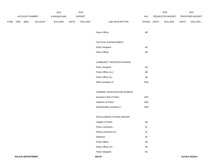|             |     |                |         | 2013           |              | 2014           |                               |               |              | 2015             |              | 2015            |
|-------------|-----|----------------|---------|----------------|--------------|----------------|-------------------------------|---------------|--------------|------------------|--------------|-----------------|
|             |     | ACCOUNT NUMBER |         | EXPENDITURE    |              | <b>BUDGET</b>  |                               | PAY           |              | REQUESTED BUDGET |              | PROPOSED BUDGET |
| <b>FUND</b> | ORG | <b>SBCL</b>    | ACCOUNT | <b>DOLLARS</b> | <b>UNITS</b> | <b>DOLLARS</b> | LINE DESCRIPTION              | RANGE         | <b>UNITS</b> | <b>DOLLARS</b>   | <b>UNITS</b> | <b>DOLLARS</b>  |
|             |     |                |         |                |              |                |                               |               |              |                  |              |                 |
|             |     |                |         |                |              |                | Police Officer                | 4B            |              |                  |              |                 |
|             |     |                |         |                |              |                |                               |               |              |                  |              |                 |
|             |     |                |         |                |              |                | TACTICAL ENFORCEMENT          |               |              |                  |              |                 |
|             |     |                |         |                |              |                | Police Sergeant               | $4\mathsf{G}$ |              |                  |              |                 |
|             |     |                |         |                |              |                | Police Officer                | 4B            |              |                  |              |                 |
|             |     |                |         |                |              |                |                               |               |              |                  |              |                 |
|             |     |                |         |                |              |                | COMMUNITY SERVICES DIVISION   |               |              |                  |              |                 |
|             |     |                |         |                |              |                | Police Sergeant               | 4G            |              |                  |              |                 |
|             |     |                |         |                |              |                | Police Officer (LL)           | $4\mathsf{B}$ |              |                  |              |                 |
|             |     |                |         |                |              |                | Police Officer (L)            | 4B            |              |                  |              |                 |
|             |     |                |         |                |              |                | Office Assistant IV           | 6HN           |              |                  |              |                 |
|             |     |                |         |                |              |                |                               |               |              |                  |              |                 |
|             |     |                |         |                |              |                | CRIMINAL INVESTIGATION BUREAU |               |              |                  |              |                 |
|             |     |                |         |                |              |                | Assistant Chief of Police     | 4RX           |              |                  |              |                 |
|             |     |                |         |                |              |                | Inspector of Police           | 4QX           |              |                  |              |                 |
|             |     |                |         |                |              |                | Administrative Assistant II   | 6HN           |              |                  |              |                 |
|             |     |                |         |                |              |                |                               |               |              |                  |              |                 |
|             |     |                |         |                |              |                | INTELLIGENCE FUSION CENTER    |               |              |                  |              |                 |
|             |     |                |         |                |              |                | Captain of Police             | 4N            |              |                  |              |                 |
|             |     |                |         |                |              |                | Police Lieutenant             | $4\mathsf{L}$ |              |                  |              |                 |
|             |     |                |         |                |              |                | Police Lieutenant (C)         | 4L            |              |                  |              |                 |
|             |     |                |         |                |              |                | Detective                     | $4\mathsf{F}$ |              |                  |              |                 |
|             |     |                |         |                |              |                | Police Officer                | $4\mathsf{B}$ |              |                  |              |                 |
|             |     |                |         |                |              |                | Police Officer (C)            | 4B            |              |                  |              |                 |
|             |     |                |         |                |              |                | Police Sergeant               | $4\mathsf{G}$ |              |                  |              |                 |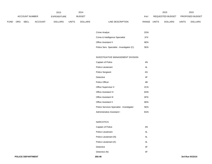|             | 2013           |             |                |                |               | 2014           |                  |       |                  | 2015           | 2015                   |                |
|-------------|----------------|-------------|----------------|----------------|---------------|----------------|------------------|-------|------------------|----------------|------------------------|----------------|
|             | ACCOUNT NUMBER |             | EXPENDITURE    |                | <b>BUDGET</b> |                | PAY              |       | REQUESTED BUDGET |                | <b>PROPOSED BUDGET</b> |                |
| <b>FUND</b> | <b>ORG</b>     | <b>SBCL</b> | <b>ACCOUNT</b> | <b>DOLLARS</b> | <b>UNITS</b>  | <b>DOLLARS</b> | LINE DESCRIPTION | RANGE | <b>UNITS</b>     | <b>DOLLARS</b> | <b>UNITS</b>           | <b>DOLLARS</b> |

| Crime Analyst                              | 2GN  |
|--------------------------------------------|------|
| Crime & Intelligence Specialist            | 1FX  |
| <b>Office Assistant II</b>                 | 6FN. |
| Police Serv. Specialist - Investigator (C) | 5FN. |

### INVESTIGATIVE MANAGEMENT DIVISION

| Captain of Police                         | 4N  |
|-------------------------------------------|-----|
| Police Lieutenant                         | 4L  |
| Police Sergeant                           | 4G  |
| Detective                                 | 4F  |
| Police Officer                            | 4B  |
| Office Supervisor II                      | 2CN |
| <b>Office Assistant IV</b>                | 6HN |
| <b>Office Assistant III</b>               | 6FN |
| <b>Office Assistant II</b>                | 6EN |
| Police Services Specialist - Investigator | 5EN |
| Administrative Assistant I                | 6GN |

# NARCOTICS

| Captain of Police     | 4N |
|-----------------------|----|
| Police Lieutenant     | 4L |
| Police Lieutenant (N) | 4L |
| Police Lieutenant (K) | 4L |
| Detective             | 4F |
| Detective (N)         | 4F |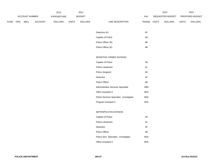|             |          |                | 2013<br>2014   |                |              |                |                                           | 2015          |  | 2015             |              |                 |
|-------------|----------|----------------|----------------|----------------|--------------|----------------|-------------------------------------------|---------------|--|------------------|--------------|-----------------|
|             |          | ACCOUNT NUMBER |                | EXPENDITURE    |              | <b>BUDGET</b>  |                                           | PAY           |  | REQUESTED BUDGET |              | PROPOSED BUDGET |
| <b>FUND</b> | ORG SBCL |                | <b>ACCOUNT</b> | <b>DOLLARS</b> | <b>UNITS</b> | <b>DOLLARS</b> | LINE DESCRIPTION                          | RANGE UNITS   |  | <b>DOLLARS</b>   | <b>UNITS</b> | <b>DOLLARS</b>  |
|             |          |                |                |                |              |                |                                           |               |  |                  |              |                 |
|             |          |                |                |                |              |                | Detective (K)                             | $4\mathsf{F}$ |  |                  |              |                 |
|             |          |                |                |                |              |                | Captain of Police                         | 4N            |  |                  |              |                 |
|             |          |                |                |                |              |                | Police Officer (N)                        | 4B            |  |                  |              |                 |
|             |          |                |                |                |              |                | Police Officer (K)                        | 4B            |  |                  |              |                 |
|             |          |                |                |                |              |                |                                           |               |  |                  |              |                 |
|             |          |                |                |                |              |                | SENSITIVE CRIMES DIVISION                 |               |  |                  |              |                 |
|             |          |                |                |                |              |                | Captain of Police                         | 4N            |  |                  |              |                 |
|             |          |                |                |                |              |                | Police Lieutenant                         | 4L            |  |                  |              |                 |
|             |          |                |                |                |              |                | Police Sergeant                           | $4\mathsf{G}$ |  |                  |              |                 |
|             |          |                |                |                |              |                | Detective                                 | $4\mathsf{F}$ |  |                  |              |                 |
|             |          |                |                |                |              |                | Police Officer                            | 4B            |  |                  |              |                 |
|             |          |                |                |                |              |                | Administrative Services Specialist        | 2BN           |  |                  |              |                 |
|             |          |                |                |                |              |                | Office Assistant II                       | 6EN           |  |                  |              |                 |
|             |          |                |                |                |              |                | Police Services Specialist - Investigator | 5EN           |  |                  |              |                 |
|             |          |                |                |                |              |                | Program Assistant II                      | 5FN           |  |                  |              |                 |
|             |          |                |                |                |              |                |                                           |               |  |                  |              |                 |
|             |          |                |                |                |              |                | METROPOLITAN DIVISION                     |               |  |                  |              |                 |
|             |          |                |                |                |              |                | Captain of Police                         | 4N            |  |                  |              |                 |
|             |          |                |                |                |              |                | Police Lieutenant                         | 4L            |  |                  |              |                 |
|             |          |                |                |                |              |                | Detective                                 | $4\mathsf{F}$ |  |                  |              |                 |
|             |          |                |                |                |              |                | Police Officer                            | $4\mathsf{B}$ |  |                  |              |                 |
|             |          |                |                |                |              |                | Police Serv. Specialist - Investigator    | 5EN           |  |                  |              |                 |
|             |          |                |                |                |              |                | Office Assistant II                       | 6EN           |  |                  |              |                 |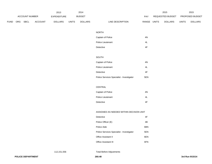|             |          |                | 2013           |                | 2014         |                |                                           | 2015          |  | 2015             |              |                 |
|-------------|----------|----------------|----------------|----------------|--------------|----------------|-------------------------------------------|---------------|--|------------------|--------------|-----------------|
|             |          | ACCOUNT NUMBER |                | EXPENDITURE    |              | <b>BUDGET</b>  |                                           | PAY           |  | REQUESTED BUDGET |              | PROPOSED BUDGET |
| <b>FUND</b> | ORG SBCL |                | <b>ACCOUNT</b> | <b>DOLLARS</b> | <b>UNITS</b> | <b>DOLLARS</b> | LINE DESCRIPTION                          | RANGE UNITS   |  | <b>DOLLARS</b>   | <b>UNITS</b> | <b>DOLLARS</b>  |
|             |          |                |                |                |              |                |                                           |               |  |                  |              |                 |
|             |          |                |                |                |              |                | <b>NORTH</b>                              |               |  |                  |              |                 |
|             |          |                |                |                |              |                | Captain of Police                         | $4\mathrm{N}$ |  |                  |              |                 |
|             |          |                |                |                |              |                | Police Lieutenant                         | $4\mathsf{L}$ |  |                  |              |                 |
|             |          |                |                |                |              |                | Detective                                 | $4\mathsf{F}$ |  |                  |              |                 |
|             |          |                |                |                |              |                |                                           |               |  |                  |              |                 |
|             |          |                |                |                |              |                | SOUTH                                     |               |  |                  |              |                 |
|             |          |                |                |                |              |                | Captain of Police                         | 4N            |  |                  |              |                 |
|             |          |                |                |                |              |                | Police Lieutenant                         | $4\mathsf{L}$ |  |                  |              |                 |
|             |          |                |                |                |              |                | Detective                                 | $4\mathsf{F}$ |  |                  |              |                 |
|             |          |                |                |                |              |                | Police Services Specialist - Investigator | 5EN           |  |                  |              |                 |
|             |          |                |                |                |              |                |                                           |               |  |                  |              |                 |
|             |          |                |                |                |              |                | CENTRAL                                   |               |  |                  |              |                 |
|             |          |                |                |                |              |                | Captain of Police                         | 4N            |  |                  |              |                 |
|             |          |                |                |                |              |                | Police Lieutenant                         | 4L            |  |                  |              |                 |
|             |          |                |                |                |              |                | Detective                                 | $4\mathsf{F}$ |  |                  |              |                 |
|             |          |                |                |                |              |                |                                           |               |  |                  |              |                 |
|             |          |                |                |                |              |                | ASSIGNED AS NEEDED WITHIN DECISION UNIT   |               |  |                  |              |                 |
|             |          |                |                |                |              |                | Detective                                 | $4\mathsf{F}$ |  |                  |              |                 |
|             |          |                |                |                |              |                | Police Officer (E)                        | $4\mathsf{B}$ |  |                  |              |                 |
|             |          |                |                |                |              |                | Police Aide                               | 6BN           |  |                  |              |                 |
|             |          |                |                |                |              |                | Police Services Specialist - Investigator | 5EN           |  |                  |              |                 |
|             |          |                |                |                |              |                | Office Assistant II                       | 6EN           |  |                  |              |                 |
|             |          |                |                |                |              |                | Office Assistant III                      | 6FN           |  |                  |              |                 |
|             |          |                |                |                |              |                |                                           |               |  |                  |              |                 |

112,151,556 Total Before Adjustments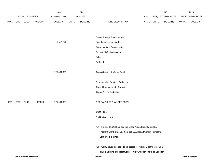|             |      |                          |                | 2013               |              | 2014           |                                                                          |       |              | 2015             |              | 2015            |
|-------------|------|--------------------------|----------------|--------------------|--------------|----------------|--------------------------------------------------------------------------|-------|--------------|------------------|--------------|-----------------|
|             |      | ACCOUNT NUMBER           |                | <b>EXPENDITURE</b> |              | <b>BUDGET</b>  |                                                                          | PAY   |              | REQUESTED BUDGET |              | PROPOSED BUDGET |
| <b>FUND</b> | ORG  | SBCL                     | <b>ACCOUNT</b> | <b>DOLLARS</b>     | <b>UNITS</b> | <b>DOLLARS</b> | LINE DESCRIPTION                                                         | RANGE | <b>UNITS</b> | <b>DOLLARS</b>   | <b>UNITS</b> | <b>DOLLARS</b>  |
|             |      |                          |                |                    |              |                |                                                                          |       |              |                  |              |                 |
|             |      |                          |                |                    |              |                | Salary & Wage Rate Change                                                |       |              |                  |              |                 |
|             |      |                          |                | 13,310,247         |              |                | Overtime Compensated                                                     |       |              |                  |              |                 |
|             |      |                          |                |                    |              |                | Grant overtime Compensated                                               |       |              |                  |              |                 |
|             |      |                          |                |                    |              |                | Personnel Cost Adjustment                                                |       |              |                  |              |                 |
|             |      |                          |                |                    |              |                | Other                                                                    |       |              |                  |              |                 |
|             |      |                          |                |                    |              |                | Furlough                                                                 |       |              |                  |              |                 |
|             |      |                          |                | 125,461,803        |              |                | Gross Salaries & Wages Total                                             |       |              |                  |              |                 |
|             |      |                          |                |                    |              |                | Reimbursable Services Deduction                                          |       |              |                  |              |                 |
|             |      |                          |                |                    |              |                | Capital Improvements Deduction                                           |       |              |                  |              |                 |
|             |      |                          |                |                    |              |                | <b>Grants &amp; Aids Deduction</b>                                       |       |              |                  |              |                 |
| 0001        | 3312 | R999                     | 006000         | 125,461,803        |              |                | NET SALARIES & WAGES TOTAL                                               |       |              |                  |              |                 |
|             |      |                          |                |                    |              |                | O&M FTE'S                                                                |       |              |                  |              |                 |
|             |      |                          |                |                    |              |                | NON-O&M FTE'S                                                            |       |              |                  |              |                 |
|             |      |                          |                |                    |              |                | (C) To expire 06/30/13 unless the Urban Areas Security Initiative        |       |              |                  |              |                 |
|             |      |                          |                |                    |              |                | Program Grant, available from the U.S. Department of Homeland            |       |              |                  |              |                 |
|             |      |                          |                |                    |              |                | Security, is extended.                                                   |       |              |                  |              |                 |
|             |      |                          |                |                    |              |                | (E) Twenty-seven positions to be utilized for foot beat patrol to combat |       |              |                  |              |                 |
|             |      |                          |                |                    |              |                | drug trafficking and prostitution. Thirty-two positions to be used for   |       |              |                  |              |                 |
|             |      | <b>POLICE DEPARTMENT</b> |                |                    |              |                | 260.49                                                                   |       |              |                  |              | 3rd Run 9/15/14 |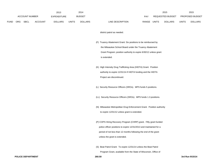|             |     |                       | 2014<br>2013   |                    |              |                |                                                                                                                                                                                                                                              | 2015  |                  | 2015           |                 |                |
|-------------|-----|-----------------------|----------------|--------------------|--------------|----------------|----------------------------------------------------------------------------------------------------------------------------------------------------------------------------------------------------------------------------------------------|-------|------------------|----------------|-----------------|----------------|
|             |     | <b>ACCOUNT NUMBER</b> |                | <b>EXPENDITURE</b> |              | <b>BUDGET</b>  |                                                                                                                                                                                                                                              |       | REQUESTED BUDGET |                | PROPOSED BUDGET |                |
| <b>FUND</b> | ORG | SBCL                  | <b>ACCOUNT</b> | <b>DOLLARS</b>     | <b>UNITS</b> | <b>DOLLARS</b> | LINE DESCRIPTION                                                                                                                                                                                                                             | RANGE | UNITS            | <b>DOLLARS</b> | <b>UNITS</b>    | <b>DOLLARS</b> |
|             |     |                       |                |                    |              |                | district patrol as needed.                                                                                                                                                                                                                   |       |                  |                |                 |                |
|             |     |                       |                |                    |              |                | (F) Truancy Abatement Grant: Six positions to be reimbursed by<br>the Milwaukee School Board under the Truancy Abatement<br>Grant Program; position authority to expire 6/30/12 unless grant<br>is extended.                                 |       |                  |                |                 |                |
|             |     |                       |                |                    |              |                | (K) High Intensity Drug Trafficking Area (HIDTA) Grant: Position<br>authority to expire 12/31/14 if HIDTA funding and the HIDTA<br>Project are discontinued.                                                                                 |       |                  |                |                 |                |
|             |     |                       |                |                    |              |                | (L) Security Resource Officers (SROs). MPS funds 5 positions.                                                                                                                                                                                |       |                  |                |                 |                |
|             |     |                       |                |                    |              |                | (LL) Security Resource Officers (SROs). MPS funds 1.3 positions.                                                                                                                                                                             |       |                  |                |                 |                |
|             |     |                       |                |                    |              |                | (N) Milwaukee Metropolitan Drug Enforcement Grant. Position authority<br>to expire 12/31/12 unless grant is extended.                                                                                                                        |       |                  |                |                 |                |
|             |     |                       |                |                    |              |                | (P) COPS Hiring Recovery Program (CHRP) grant. Fifty grant funded<br>police officer positions to expire 12/31/2013 and maintained for a<br>period of not less than 12 months following the end of the grant<br>unless the grant is extended. |       |                  |                |                 |                |
|             |     |                       |                |                    |              |                | (S) Beat Patrol Grant: To expire 12/31/14 unless the Beat Patrol                                                                                                                                                                             |       |                  |                |                 |                |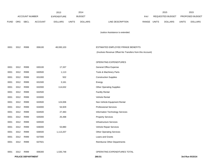|             |      |                          |                | 2013               |              | 2014           |                                                                                                |       |              | 2015             |                 | 2015            |  |
|-------------|------|--------------------------|----------------|--------------------|--------------|----------------|------------------------------------------------------------------------------------------------|-------|--------------|------------------|-----------------|-----------------|--|
|             |      | <b>ACCOUNT NUMBER</b>    |                | <b>EXPENDITURE</b> |              | <b>BUDGET</b>  |                                                                                                | PAY   |              | REQUESTED BUDGET | PROPOSED BUDGET |                 |  |
| <b>FUND</b> | ORG  | SBCL                     | <b>ACCOUNT</b> | <b>DOLLARS</b>     | <b>UNITS</b> | <b>DOLLARS</b> | LINE DESCRIPTION                                                                               | RANGE | <b>UNITS</b> | <b>DOLLARS</b>   | <b>UNITS</b>    | <b>DOLLARS</b>  |  |
|             |      |                          |                |                    |              |                | Justice Assistance is extended.                                                                |       |              |                  |                 |                 |  |
| 0001        | 3312 | R999                     | 006100         | 48,930,103         |              |                | ESTIMATED EMPLOYEE FRINGE BENEFITS<br>(Involves Revenue Offset-No Transfers from this Account) |       |              |                  |                 |                 |  |
|             |      |                          |                |                    |              |                |                                                                                                |       |              |                  |                 |                 |  |
|             |      |                          |                |                    |              |                | OPERATING EXPENDITURES                                                                         |       |              |                  |                 |                 |  |
| 0001        | 3312 | R999                     | 630100         | 17,337             |              |                | General Office Expense                                                                         |       |              |                  |                 |                 |  |
| 0001        | 3312 | R999                     | 630500         | 1,113              |              |                | Tools & Machinery Parts                                                                        |       |              |                  |                 |                 |  |
| 0001        | 3312 | R999                     | 631000         | 502                |              |                | <b>Construction Supplies</b>                                                                   |       |              |                  |                 |                 |  |
| 0001        | 3312 | R999                     | 631500         | 3,161              |              |                | Energy                                                                                         |       |              |                  |                 |                 |  |
| 0001        | 3312 | R999                     | 632000         | 114,632            |              |                | <b>Other Operating Supplies</b>                                                                |       |              |                  |                 |                 |  |
| 0001        | 3312 | R999                     | 632500         |                    |              |                | <b>Facility Rental</b>                                                                         |       |              |                  |                 |                 |  |
| 0001        | 3312 | R999                     | 633000         |                    |              |                | Vehicle Rental                                                                                 |       |              |                  |                 |                 |  |
| 0001        | 3312 | R999                     | 633500         | 124,006            |              |                | Non-Vehicle Equipment Rental                                                                   |       |              |                  |                 |                 |  |
| 0001        | 3312 | R999                     | 634000         | 54,929             |              |                | <b>Professional Services</b>                                                                   |       |              |                  |                 |                 |  |
| 0001        | 3312 | R999                     | 634500         | 27,483             |              |                | Information Technology Services                                                                |       |              |                  |                 |                 |  |
| 0001        | 3312 | R999                     | 635000         | 25,498             |              |                | <b>Property Services</b>                                                                       |       |              |                  |                 |                 |  |
| 0001        | 3312 | R999                     | 635500         |                    |              |                | Infrastructure Services                                                                        |       |              |                  |                 |                 |  |
| 0001        | 3312 | R999                     | 636000         | 53,880             |              |                | Vehicle Repair Services                                                                        |       |              |                  |                 |                 |  |
| 0001        | 3312 | R999                     | 636500         | 1,113,207          |              |                | <b>Other Operating Services</b>                                                                |       |              |                  |                 |                 |  |
| 0001        | 3312 | R999                     | 637000         |                    |              |                | Loans and Grants                                                                               |       |              |                  |                 |                 |  |
| 0001        | 3312 | R999                     | 637501         |                    |              |                | <b>Reimburse Other Departments</b>                                                             |       |              |                  |                 |                 |  |
| 0001        | 3312 | R999                     | 006300         | 1,535,748          |              |                | OPERATING EXPENDITURES TOTAL                                                                   |       |              |                  |                 |                 |  |
|             |      | <b>POLICE DEPARTMENT</b> |                |                    |              |                | 260.51                                                                                         |       |              |                  |                 | 3rd Run 9/15/14 |  |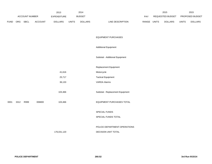|             |      |                | 2013    |                | 2014          |                |                                  | 2015        | 2015             |                 |                |
|-------------|------|----------------|---------|----------------|---------------|----------------|----------------------------------|-------------|------------------|-----------------|----------------|
|             |      | ACCOUNT NUMBER |         | EXPENDITURE    | <b>BUDGET</b> |                |                                  | PAY         | REQUESTED BUDGET | PROPOSED BUDGET |                |
| <b>FUND</b> | ORG  | <b>SBCL</b>    | ACCOUNT | <b>DOLLARS</b> | <b>UNITS</b>  | <b>DOLLARS</b> | LINE DESCRIPTION                 | RANGE UNITS | <b>DOLLARS</b>   | <b>UNITS</b>    | <b>DOLLARS</b> |
|             |      |                |         |                |               |                |                                  |             |                  |                 |                |
|             |      |                |         |                |               |                | <b>EQUIPMENT PURCHASES</b>       |             |                  |                 |                |
|             |      |                |         |                |               |                | <b>Additional Equipment</b>      |             |                  |                 |                |
|             |      |                |         |                |               |                | Subtotal - Additional Equipment  |             |                  |                 |                |
|             |      |                |         |                |               |                | Replacement Equipment            |             |                  |                 |                |
|             |      |                |         | 41,616         |               |                | Motorcycle                       |             |                  |                 |                |
|             |      |                |         | 25,717         |               |                | <b>Tactical Equipment</b>        |             |                  |                 |                |
|             |      |                |         | 36,133         |               |                | <b>VARDA Alarms</b>              |             |                  |                 |                |
|             |      |                |         | 103,466        |               |                | Subtotal - Replacement Equipment |             |                  |                 |                |
| 0001        | 3312 | R999           | 006800  | 103,466        |               |                | EQUIPMENT PURCHASES TOTAL        |             |                  |                 |                |
|             |      |                |         |                |               |                | SPECIAL FUNDS                    |             |                  |                 |                |
|             |      |                |         |                |               |                | SPECIAL FUNDS TOTAL              |             |                  |                 |                |
|             |      |                |         |                |               |                | POLICE DEPARTMENT-OPERATIONS     |             |                  |                 |                |
|             |      |                |         | 176,031,120    |               |                | DECISION UNIT TOTAL              |             |                  |                 |                |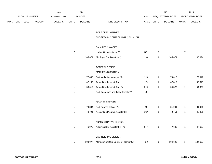|     |      | 2013<br>2014   |                    |              |                                                |                                              | 2015                                                                                                                                                                                                      |                                                 | 2015                                                          |                                                 |                                                |
|-----|------|----------------|--------------------|--------------|------------------------------------------------|----------------------------------------------|-----------------------------------------------------------------------------------------------------------------------------------------------------------------------------------------------------------|-------------------------------------------------|---------------------------------------------------------------|-------------------------------------------------|------------------------------------------------|
|     |      |                | <b>EXPENDITURE</b> |              |                                                |                                              | PAY                                                                                                                                                                                                       |                                                 |                                                               |                                                 | PROPOSED BUDGET                                |
| ORG | SBCL | <b>ACCOUNT</b> | <b>DOLLARS</b>     | <b>UNITS</b> | <b>DOLLARS</b>                                 | LINE DESCRIPTION                             |                                                                                                                                                                                                           |                                                 | <b>DOLLARS</b>                                                | <b>UNITS</b>                                    | <b>DOLLARS</b>                                 |
|     |      |                |                    |              |                                                |                                              |                                                                                                                                                                                                           |                                                 |                                                               |                                                 |                                                |
|     |      |                |                    |              |                                                | PORT OF MILWAUKEE                            |                                                                                                                                                                                                           |                                                 |                                                               |                                                 |                                                |
|     |      |                |                    |              |                                                | BUDGETARY CONTROL UNIT (1BCU=1DU)            |                                                                                                                                                                                                           |                                                 |                                                               |                                                 |                                                |
|     |      |                |                    |              |                                                |                                              |                                                                                                                                                                                                           |                                                 |                                                               |                                                 |                                                |
|     |      |                |                    |              |                                                |                                              |                                                                                                                                                                                                           |                                                 |                                                               |                                                 |                                                |
|     |      |                |                    |              |                                                |                                              |                                                                                                                                                                                                           |                                                 |                                                               |                                                 | 105,674                                        |
|     |      |                |                    |              |                                                |                                              |                                                                                                                                                                                                           |                                                 |                                                               |                                                 |                                                |
|     |      |                |                    |              |                                                | <b>GENERAL OFFICE</b>                        |                                                                                                                                                                                                           |                                                 |                                                               |                                                 |                                                |
|     |      |                |                    |              |                                                | MARKETING SECTION                            |                                                                                                                                                                                                           |                                                 |                                                               |                                                 |                                                |
|     |      |                |                    | $\mathbf{1}$ | 77,845                                         | Port Marketing Manager (X)                   | 1HX                                                                                                                                                                                                       | $\mathbf{1}$                                    | 79,012                                                        | $\mathbf{1}$                                    | 79,012                                         |
|     |      |                |                    | $\mathbf{1}$ | 47,109                                         | Trade Development Rep.                       | 2FX                                                                                                                                                                                                       | $\mathbf{1}$                                    | 47,816                                                        | $\mathbf{1}$                                    | 47,816                                         |
|     |      |                |                    | $\mathbf{1}$ | 53,519                                         | Trade Development Rep.-Sr                    | 2HX                                                                                                                                                                                                       | $\mathbf{1}$                                    | 54,322                                                        | $\mathbf{1}$                                    | 54,322                                         |
|     |      |                |                    | $\mathbf{1}$ |                                                | Port Operations and Trade Director(Y)        | 1JX                                                                                                                                                                                                       |                                                 |                                                               |                                                 |                                                |
|     |      |                |                    |              |                                                |                                              |                                                                                                                                                                                                           |                                                 |                                                               |                                                 |                                                |
|     |      |                |                    |              |                                                |                                              |                                                                                                                                                                                                           |                                                 |                                                               |                                                 |                                                |
|     |      |                |                    | $\mathbf{1}$ |                                                |                                              |                                                                                                                                                                                                           | $\mathbf{1}$                                    |                                                               | $\mathbf{1}$                                    | 81,031                                         |
|     |      |                |                    | $\mathbf{1}$ | 48,721                                         | Accounting Program Assistant III             | 5GN                                                                                                                                                                                                       | $\mathbf{1}$                                    | 49,451                                                        | $\mathbf{1}$                                    | 49,451                                         |
|     |      |                |                    |              |                                                |                                              |                                                                                                                                                                                                           |                                                 |                                                               |                                                 |                                                |
|     |      |                |                    |              |                                                |                                              |                                                                                                                                                                                                           |                                                 |                                                               |                                                 | 47,680                                         |
|     |      |                |                    |              |                                                |                                              |                                                                                                                                                                                                           |                                                 |                                                               |                                                 |                                                |
|     |      |                |                    |              |                                                | ENGINEERING DIVISION                         |                                                                                                                                                                                                           |                                                 |                                                               |                                                 |                                                |
|     |      |                |                    | $\mathbf{1}$ | 103,077                                        | Management Civil Engineer - Senior (Y)       | 11X                                                                                                                                                                                                       | $\mathbf{1}$                                    | 104,623                                                       | $\mathbf{1}$                                    | 104,623                                        |
|     |      |                | ACCOUNT NUMBER     |              | $\overline{7}$<br>$\mathbf{1}$<br>$\mathbf{1}$ | <b>BUDGET</b><br>105,674<br>79,834<br>46,975 | <b>SALARIES &amp; WAGES</b><br>Harbor Commissioner (Y)<br>Municipal Port Director (Y)<br><b>FINANCE SECTION</b><br>Port Finance Officer (Y)<br>ADMINISTRATIVE SECTION<br>Administrative Assistant III (Y) | $\ensuremath{\mathsf{SP}}$<br>1NX<br>2JX<br>5FN | RANGE UNITS<br>$\overline{7}$<br>$\mathbf{1}$<br>$\mathbf{1}$ | REQUESTED BUDGET<br>105,674<br>81,031<br>47,680 | $\overline{7}$<br>$\mathbf{1}$<br>$\mathbf{1}$ |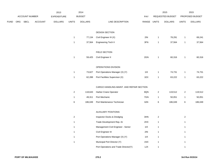|      | ACCOUNT NUMBER |      | 2013           |                    | 2014           |                |                                          | 2015        |                | 2015             |                  |                 |
|------|----------------|------|----------------|--------------------|----------------|----------------|------------------------------------------|-------------|----------------|------------------|------------------|-----------------|
|      |                |      |                | <b>EXPENDITURE</b> |                | <b>BUDGET</b>  |                                          | PAY         |                | REQUESTED BUDGET |                  | PROPOSED BUDGET |
| FUND | ORG            | SBCL | <b>ACCOUNT</b> | <b>DOLLARS</b>     | <b>UNITS</b>   | <b>DOLLARS</b> | LINE DESCRIPTION                         | RANGE UNITS |                | <b>DOLLARS</b>   | <b>UNITS</b>     | <b>DOLLARS</b>  |
|      |                |      |                |                    |                |                |                                          |             |                |                  |                  |                 |
|      |                |      |                |                    |                |                | DESIGN SECTION                           |             |                |                  |                  |                 |
|      |                |      |                |                    | $\mathbf{1}$   | 77,134         | Civil Engineer III (X)                   | 2IN         | $\mathbf{1}$   | 78,291           | $\mathbf{1}$     | 69,241          |
|      |                |      |                |                    | $\mathbf{1}$   | 37,564         | Engineering Tech II                      | 3FN         | $\mathbf{1}$   | 37,564           | $\mathbf{1}$     | 37,564          |
|      |                |      |                |                    |                |                |                                          |             |                |                  |                  |                 |
|      |                |      |                |                    |                |                | FIELD SECTION                            |             |                |                  |                  |                 |
|      |                |      |                |                    | $\mathbf{1}$   | 59,425         | Civil Engineer II                        | 2GN         | $\mathbf{1}$   | 60,316           | $\mathbf{1}$     | 60,316          |
|      |                |      |                |                    |                |                |                                          |             |                |                  |                  |                 |
|      |                |      |                |                    |                |                | OPERATIONS DIVISION                      |             |                |                  |                  |                 |
|      |                |      |                |                    | $\mathbf{1}$   | 73,627         | Port Operations Manager (X) (Y)          | 11X         | $\mathbf{1}$   | 74,731           | $\mathbf{1}$     | 74,731          |
|      |                |      |                |                    | $\mathbf{1}$   | 62,288         | Port Facilities Supervisor (X)           | 1EX         | $\mathbf{1}$   | 63,222           | $\mathbf{1}$     | 63,222          |
|      |                |      |                |                    |                |                |                                          |             |                |                  |                  |                 |
|      |                |      |                |                    |                |                | CARGO HANDLING-MAINT. AND REPAIR SECTION |             |                |                  |                  |                 |
|      |                |      |                |                    | $\overline{a}$ | 118,643        | Harbor Crane Operator                    | 8QN         | $\overline{2}$ | 119,512          | $\boldsymbol{2}$ | 119,512         |
|      |                |      |                |                    | $\mathbf{1}$   | 49,311         | Port Mechanic                            | 7GN         | $\mathbf{1}$   | 50,051           | $\mathbf{1}$     | 50,051          |
|      |                |      |                |                    | $\,6$          | 186,049        | Port Maintenance Technician              | 8JN         | $\,6\,$        | 186,049          | $\,6$            | 186,049         |
|      |                |      |                |                    |                |                |                                          |             |                |                  |                  |                 |
|      |                |      |                |                    |                |                | AUXILIARY POSITIONS                      |             |                |                  |                  |                 |
|      |                |      |                |                    | $\overline{a}$ |                | Inspector Docks & Dredging               | 3HN         | $\overline{2}$ |                  | $\overline{2}$   |                 |
|      |                |      |                |                    | $\mathbf{1}$   |                | Trade Development Rep.-Sr                | 2HX         | $\mathbf{1}$   |                  | $\mathbf{1}$     |                 |
|      |                |      |                |                    | $\mathbf{1}$   |                | Management Civil Engineer - Senior       | 11X         | $\mathbf{1}$   |                  | $\mathbf{1}$     |                 |
|      |                |      |                |                    | $\mathbf{1}$   |                | Civil Engineer III                       | 2IN         | $\mathbf{1}$   |                  | $\mathbf{1}$     |                 |
|      |                |      |                |                    | $\mathbf{1}$   |                | Port Operations Manager (X) (Y)          | 11X         | $\mathbf{1}$   |                  | $\mathbf{1}$     |                 |
|      |                |      |                |                    | $\mathbf{1}$   |                | Municipal Port Director (Y)              | 1NX         | $\mathbf{1}$   |                  | $\mathbf{1}$     |                 |
|      |                |      |                |                    |                |                | Port Operations and Trade Director(Y)    | 1JX         | $\mathbf{1}$   |                  | $\mathbf{1}$     |                 |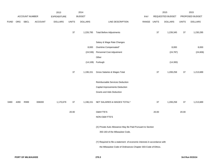|             |      |                |                | 2013               |              | 2014           |                                                                           |             |        | 2015             |              | 2015            |
|-------------|------|----------------|----------------|--------------------|--------------|----------------|---------------------------------------------------------------------------|-------------|--------|------------------|--------------|-----------------|
|             |      | ACCOUNT NUMBER |                | <b>EXPENDITURE</b> |              | <b>BUDGET</b>  |                                                                           | PAY         |        | REQUESTED BUDGET |              | PROPOSED BUDGET |
| <b>FUND</b> | ORG  | SBCL           | <b>ACCOUNT</b> | <b>DOLLARS</b>     | <b>UNITS</b> | <b>DOLLARS</b> | LINE DESCRIPTION                                                          | RANGE UNITS |        | <b>DOLLARS</b>   | <b>UNITS</b> | <b>DOLLARS</b>  |
|             |      |                |                |                    | $37\,$       | 1,226,795      | <b>Total Before Adjustments</b>                                           |             | $37\,$ | 1,239,345        | 37           | 1,230,295       |
|             |      |                |                |                    |              |                | Salary & Wage Rate Changes                                                |             |        |                  |              |                 |
|             |      |                |                |                    |              | 8,000          | Overtime Compensated*                                                     |             |        | 8,000            |              | 8,000           |
|             |      |                |                |                    |              | (24, 536)      | Personnel Cost Adjustment                                                 |             |        | (24, 787)        |              | (24, 606)       |
|             |      |                |                |                    |              |                | Other                                                                     |             |        |                  |              |                 |
|             |      |                |                |                    |              | (14, 108)      | Furlough                                                                  |             |        | (14,300)         |              |                 |
|             |      |                |                |                    | $37\,$       | 1,196,151      | Gross Salaries & Wages Total                                              |             | $37\,$ | 1,208,258        | $37\,$       | 1,213,689       |
|             |      |                |                |                    |              |                | Reimbursable Services Deduction                                           |             |        |                  |              |                 |
|             |      |                |                |                    |              |                | Capital Improvements Deduction                                            |             |        |                  |              |                 |
|             |      |                |                |                    |              |                | Grants and Aids Deduction                                                 |             |        |                  |              |                 |
| 0480        | 4280 | R999           | 006000         | 1,170,679          | $37\,$       | 1,196,151      | NET SALARIES & WAGES TOTAL*                                               |             | 37     | 1,208,258        | 37           | 1,213,689       |
|             |      |                |                |                    | 20.00        |                | O&M FTE'S                                                                 |             | 20.00  |                  | 20.00        |                 |
|             |      |                |                |                    |              |                | NON-O&M FTE'S                                                             |             |        |                  |              |                 |
|             |      |                |                |                    |              |                | (X) Private Auto Allowance May Be Paid Pursuant to Section                |             |        |                  |              |                 |
|             |      |                |                |                    |              |                | 350-183 of the Milwaukee Code.                                            |             |        |                  |              |                 |
|             |      |                |                |                    |              |                | (Y) Required to file a statement of economic interests in accordance with |             |        |                  |              |                 |
|             |      |                |                |                    |              |                | the Milwaukee Code of Ordinances Chapter 303-Code of Ethics.              |             |        |                  |              |                 |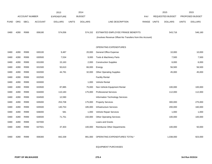|             |            |                       |                | 2013               |              | 2014           |                                                          |       |              | 2015                    |              | 2015            |
|-------------|------------|-----------------------|----------------|--------------------|--------------|----------------|----------------------------------------------------------|-------|--------------|-------------------------|--------------|-----------------|
|             |            | <b>ACCOUNT NUMBER</b> |                | <b>EXPENDITURE</b> |              | <b>BUDGET</b>  |                                                          | PAY   |              | <b>REQUESTED BUDGET</b> |              | PROPOSED BUDGET |
| <b>FUND</b> | <b>ORG</b> | <b>SBCL</b>           | <b>ACCOUNT</b> | <b>DOLLARS</b>     | <b>UNITS</b> | <b>DOLLARS</b> | LINE DESCRIPTION                                         | RANGE | <b>UNITS</b> | <b>DOLLARS</b>          | <b>UNITS</b> | <b>DOLLARS</b>  |
|             |            |                       |                |                    |              |                |                                                          |       |              |                         |              |                 |
| 0480        | 4280       | R999                  | 006180         | 574,056            |              | 574,152        | ESTIMATED EMPLOYEE FRINGE BENEFITS                       |       |              | 543,716                 |              | 546,160         |
|             |            |                       |                |                    |              |                | (Involves Revenue Offset-No Transfers from this Account) |       |              |                         |              |                 |
|             |            |                       |                |                    |              |                |                                                          |       |              |                         |              |                 |
|             |            |                       |                |                    |              |                | OPERATING EXPENDITURES                                   |       |              |                         |              |                 |
| 0480        | 4280       | R999                  | 630100         | 9,487              |              | 20,000         | General Office Expense                                   |       |              | 10,000                  |              | 10,000          |
| 0480        | 4280       | R999                  | 630500         | 7,534              |              | 9,000          | Tools & Machinery Parts                                  |       |              | 7,500                   |              | 7,500           |
| 0480        | 4280       | R999                  | 631000         | 15,163             |              | 2,000          | <b>Construction Supplies</b>                             |       |              | 6,000                   |              | 6,000           |
| 0480        | 4280       | R999                  | 631500         | 50,610             |              | 66,000         | Energy                                                   |       |              | 56,500                  |              | 56,500          |
| 0480        | 4280       | R999                  | 632000         | 44,791             |              | 32,000         | <b>Other Operating Supplies</b>                          |       |              | 45,000                  |              | 45,000          |
| 0480        | 4280       | R999                  | 632500         |                    |              |                | <b>Facility Rental</b>                                   |       |              |                         |              |                 |
| 0480        | 4280       | R999                  | 633000         |                    |              | 1,000          | Vehicle Rental                                           |       |              |                         |              |                 |
| 0480        | 4280       | R999                  | 633500         | 87,885             |              | 75,000         | Non-Vehicle Equipment Rental                             |       |              | 100,000                 |              | 100,000         |
| 0480        | 4280       | R999                  | 634000         | 110,183            |              | 175,000        | <b>Professional Services</b>                             |       |              | 112,000                 |              | 112,000         |
| 0480        | 4280       | R999                  | 634500         | 12,590             |              |                | Information Technology Services                          |       |              |                         |              |                 |
| 0480        | 4280       | R999                  | 635000         | 253,708            |              | 175,000        | <b>Property Services</b>                                 |       |              | 300,000                 |              | 275,000         |
| 0480        | 4280       | R999                  | 635500         | 140,753            |              | 185,000        | <b>Infrastructure Services</b>                           |       |              | 200,000                 |              | 160,000         |
| 0480        | 4280       | R999                  | 636000         | 581                |              | 1,000          | Vehicle Repair Services                                  |       |              | 1,000                   |              | 1,000           |
| 0480        | 4280       | R999                  | 636500         | 71,751             |              | 150,000        | <b>Other Operating Services</b>                          |       |              | 100,000                 |              | 100,000         |
| 0480        | 4280       | R999                  | 637000         |                    |              |                | Loans and Grants                                         |       |              |                         |              |                 |
| 0480        | 4280       | R999                  | 637501         | 37,303             |              | 100,000        | <b>Reimburse Other Departments</b>                       |       |              | 100,000                 |              | 50,000          |
|             |            |                       |                |                    |              |                |                                                          |       |              |                         |              |                 |
| 0480        | 4280       | R999                  | 006300         | 842,339            |              | 991,000        | OPERATING EXPENDITURES TOTAL*                            |       |              | 1,038,000               |              | 923,000         |
|             |            |                       |                |                    |              |                |                                                          |       |              |                         |              |                 |

EQUIPMENT PURCHASES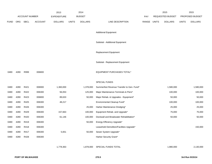|             |            |                       |                | 2013               |              | 2014           |                                           |            |              | 2015             |              | 2015            |
|-------------|------------|-----------------------|----------------|--------------------|--------------|----------------|-------------------------------------------|------------|--------------|------------------|--------------|-----------------|
|             |            | <b>ACCOUNT NUMBER</b> |                | <b>EXPENDITURE</b> |              | <b>BUDGET</b>  |                                           | <b>PAY</b> |              | REQUESTED BUDGET |              | PROPOSED BUDGET |
| <b>FUND</b> | <b>ORG</b> | SBCL                  | <b>ACCOUNT</b> | <b>DOLLARS</b>     | <b>UNITS</b> | <b>DOLLARS</b> | LINE DESCRIPTION                          | RANGE      | <b>UNITS</b> | <b>DOLLARS</b>   | <b>UNITS</b> | <b>DOLLARS</b>  |
|             |            |                       |                |                    |              |                |                                           |            |              |                  |              |                 |
|             |            |                       |                |                    |              |                | <b>Additional Equipment</b>               |            |              |                  |              |                 |
|             |            |                       |                |                    |              |                | Subtotal - Additional Equipment           |            |              |                  |              |                 |
|             |            |                       |                |                    |              |                |                                           |            |              |                  |              |                 |
|             |            |                       |                |                    |              |                | <b>Replacement Equipment</b>              |            |              |                  |              |                 |
|             |            |                       |                |                    |              |                |                                           |            |              |                  |              |                 |
|             |            |                       |                |                    |              |                | Subtotal - Replacement Equipment          |            |              |                  |              |                 |
| 0480        | 4280       | R999                  | 006800         |                    |              |                | <b>EQUIPMENT PURCHASES TOTAL*</b>         |            |              |                  |              |                 |
|             |            |                       |                |                    |              |                |                                           |            |              |                  |              |                 |
|             |            |                       |                |                    |              |                | <b>SPECIAL FUNDS</b>                      |            |              |                  |              |                 |
| 0480        | 4280       | R421                  | 006900         | 1,360,000          |              | 1,378,000      | Summerfest Revenue Transfer to Gen. Fund* |            |              | 1,580,000        |              | 1,580,000       |
| 0480        | 4280       | R422                  | 006300         | 56,053             |              | 125,000        | Major Maintenance-Terminals & Piers*      |            |              | 100,000          |              | 100,000         |
| 0480        | 4280       | R423                  | 006800         | 89,633             |              | 50,000         | Major Rehab. & Upgrades - Equipment*      |            |              | 50,000           |              | 50,000          |
| 0480        | 4280       | R425                  | 006300         | 48,217             |              |                | Environmental Cleanup Fund*               |            |              | 100,000          |              | 100,000         |
| 0480        | 4280       | R426                  | 006300         |                    |              | 25,000         | Harbor Maintenance Dredging*              |            |              | 25,000           |              | 25,000          |
| 0480        | 4280       | R429                  | 006300         | 157,663            |              | 100,000        | Equipment Rehab. and Upgrade*             |            |              | 75,000           |              | 75,000          |
| 0480        | 4280       | R420                  | 006300         | 61,146             |              | 100,000        | Dockwall and Breakwater Rehabilitation*   |            |              | 50,000           |              | 50,000          |
| 0480        | 4280       | R419                  | 006300         |                    |              | 50,000         | Energy Efficiency Upgrade*                |            |              |                  |              |                 |
| 0480        | 4280       | R418                  | 006300         |                    |              |                | Leasehold Demolition/Facilities Upgrade*  |            |              |                  |              | 150,000         |
| 0480        | 4280       | R417                  | 006300         | 5,651              |              | 50,000         | Sewer System Upgrade*                     |            |              |                  |              |                 |
| 0480        | 4280       | R428                  | 006300         |                    |              |                | Harbor Security Grant*                    |            |              |                  |              |                 |
|             |            |                       |                |                    |              |                |                                           |            |              |                  |              |                 |
|             |            |                       |                | 1,778,363          |              | 1,878,000      | SPECIAL FUNDS TOTAL                       |            |              | 1,980,000        |              | 2,130,000       |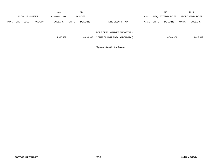|             |            |                       |                | 2013               |              | 2014           |                               |            |              | 2015             |              | 2015                   |
|-------------|------------|-----------------------|----------------|--------------------|--------------|----------------|-------------------------------|------------|--------------|------------------|--------------|------------------------|
|             |            | <b>ACCOUNT NUMBER</b> |                | <b>EXPENDITURE</b> |              | <b>BUDGET</b>  |                               | <b>PAY</b> |              | REQUESTED BUDGET |              | <b>PROPOSED BUDGET</b> |
| <b>FUND</b> | <b>ORG</b> | <b>SBCL</b>           | <b>ACCOUNT</b> | <b>DOLLARS</b>     | <b>UNITS</b> | <b>DOLLARS</b> | LINE DESCRIPTION              | RANGE      | <b>UNITS</b> | <b>DOLLARS</b>   | <b>UNITS</b> | <b>DOLLARS</b>         |
|             |            |                       |                |                    |              |                |                               |            |              |                  |              |                        |
|             |            |                       |                |                    |              |                | PORT OF MILWAUKEE BUDGETARY   |            |              |                  |              |                        |
|             |            |                       |                | 4,365,437          |              | 4,639,303      | CONTROL UNIT TOTAL (1BCU=1DU) |            |              | 4,769,974        |              | 4,812,849              |
|             |            |                       |                |                    |              |                |                               |            |              |                  |              |                        |

\*Appropriation Control Account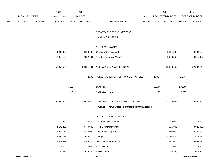|             |     |                       |                | 2013               |              | 2014           |                                                          |             |          | 2015             |              | 2015            |
|-------------|-----|-----------------------|----------------|--------------------|--------------|----------------|----------------------------------------------------------|-------------|----------|------------------|--------------|-----------------|
|             |     | <b>ACCOUNT NUMBER</b> |                | <b>EXPENDITURE</b> |              | <b>BUDGET</b>  |                                                          | PAY         |          | REQUESTED BUDGET |              | PROPOSED BUDGET |
| <b>FUND</b> | ORG | SBCL                  | <b>ACCOUNT</b> | <b>DOLLARS</b>     | <b>UNITS</b> | <b>DOLLARS</b> | LINE DESCRIPTION                                         | RANGE UNITS |          | <b>DOLLARS</b>   | <b>UNITS</b> | <b>DOLLARS</b>  |
|             |     |                       |                |                    |              |                | DEPARTMENT OF PUBLIC WORKS                               |             |          |                  |              |                 |
|             |     |                       |                |                    |              |                | SUMMARY (3 BCU'S)                                        |             |          |                  |              |                 |
|             |     |                       |                |                    |              |                | SALARIES & WAGES                                         |             |          |                  |              |                 |
|             |     |                       |                | 4,235,366          |              | 3,698,400      | Overtime Compensated                                     |             |          | 3,991,595        |              | 3,684,152       |
|             |     |                       |                | 47,817,198         |              | 47,252,701     | All Other Salaries & Wages                               |             |          | 48,848,567       |              | 48,819,996      |
|             |     |                       |                | 52,052,564         |              | 50,951,101     | NET SALARIES & WAGES TOTAL                               |             |          | 52,840,162       |              | 52,504,148      |
|             |     |                       |                |                    |              | 2,290          | TOTAL NUMBER OF POSITIONS AUTHORIZED                     |             | 2,290    |                  | 2,275        |                 |
|             |     |                       |                |                    | 1,022.84     |                | O&M FTE'S                                                |             | 1,073.47 |                  | 1,011.00     |                 |
|             |     |                       |                |                    | 384.22       |                | NON-O&M FTE'S                                            |             | 331.87   |                  | 369.88       |                 |
|             |     |                       |                | 23,822,453         |              | 23,947,019     | ESTIMATED EMPLOYEE FRINGE BENEFITS                       |             |          | 23,778,074       |              | 23,626,868      |
|             |     |                       |                |                    |              |                | (Involves Revenue Offset-No Transfers from this Account) |             |          |                  |              |                 |
|             |     |                       |                |                    |              |                | OPERATING EXPENDITURES                                   |             |          |                  |              |                 |
|             |     |                       |                | 170,387            |              | 184,500        | General Office Expense                                   |             |          | 189,000          |              | 171,000         |
|             |     |                       |                | 4,195,280          |              | 3,770,940      | Tools & Machinery Parts                                  |             |          | 4,325,000        |              | 3,920,000       |
|             |     |                       |                | 2,960,173          |              | 3,184,092      | <b>Construction Supplies</b>                             |             |          | 3,404,000        |              | 3,204,000       |
|             |     |                       |                | 7,829,516          |              | 7,589,510      | Energy                                                   |             |          | 8,006,572        |              | 7,516,572       |
|             |     |                       |                | 5,261,364          |              | 3,262,260      | <b>Other Operating Supplies</b>                          |             |          | 3,561,010        |              | 3,921,010       |
|             |     |                       |                | 6,300              |              | 8,000          | <b>Facility Rental</b>                                   |             |          | 7,000            |              | 7,000           |
|             |     |                       |                | 1,442,068          |              | 1,042,200      | Vehicle Rental                                           |             |          | 1,380,320        |              | 1,075,320       |
|             |     | <b>DPW-SUMMARY</b>    |                |                    |              |                | 280.1                                                    |             |          |                  |              | 3rd Run 9/15/14 |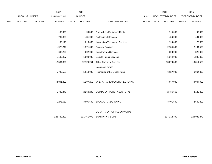|             |     |                       |                | 2013               |              | 2014           |                                    |             | 2015                    |              | 2015            |  |
|-------------|-----|-----------------------|----------------|--------------------|--------------|----------------|------------------------------------|-------------|-------------------------|--------------|-----------------|--|
|             |     | <b>ACCOUNT NUMBER</b> |                | <b>EXPENDITURE</b> |              | <b>BUDGET</b>  |                                    | PAY         | <b>REQUESTED BUDGET</b> |              | PROPOSED BUDGET |  |
| <b>FUND</b> | ORG | SBCL                  | <b>ACCOUNT</b> | <b>DOLLARS</b>     | <b>UNITS</b> | <b>DOLLARS</b> | LINE DESCRIPTION                   | RANGE UNITS | <b>DOLLARS</b>          | <b>UNITS</b> | <b>DOLLARS</b>  |  |
|             |     |                       |                |                    |              |                |                                    |             |                         |              |                 |  |
|             |     |                       |                | 105,995            |              | 99,500         | Non-Vehicle Equipment Rental       |             | 114,000                 |              | 99,000          |  |
|             |     |                       |                | 737,300            |              | 431,000        | <b>Professional Services</b>       |             | 456,000                 |              | 431,000         |  |
|             |     |                       |                | 100,140            |              | 210,000        | Information Technology Services    |             | 199,000                 |              | 170,000         |  |
|             |     |                       |                | 1,978,242          |              | 1,971,000      | <b>Property Services</b>           |             | 2,134,500               |              | 2,134,500       |  |
|             |     |                       |                | 645,296            |              | 302,000        | <b>Infrastructure Services</b>     |             | 320,000                 |              | 320,000         |  |
|             |     |                       |                | 1,132,407          |              | 1,200,000      | Vehicle Repair Services            |             | 1,364,000               |              | 1,200,000       |  |
|             |     |                       |                | 12,584,396         |              | 12,124,251     | <b>Other Operating Services</b>    |             | 13,070,583              |              | 13,811,583      |  |
|             |     |                       |                |                    |              |                | Loans and Grants                   |             |                         |              |                 |  |
|             |     |                       |                | 5,742,539          |              | 5,918,000      | <b>Reimburse Other Departments</b> |             | 6,127,000               |              | 6,064,000       |  |
|             |     |                       |                |                    |              |                |                                    |             |                         |              |                 |  |
|             |     |                       |                | 44,891,403         |              | 41,297,253     | OPERATING EXPENDITURES TOTAL       |             | 44,657,985              |              | 44,044,985      |  |
|             |     |                       |                |                    |              |                |                                    |             |                         |              |                 |  |
|             |     |                       |                | 1,740,348          |              | 2,260,200      | EQUIPMENT PURCHASES TOTAL          |             | 2,436,669               |              | 2,120,469       |  |
|             |     |                       |                |                    |              |                |                                    |             |                         |              |                 |  |
|             |     |                       |                | 1,275,662          |              | 3,005,500      | SPECIAL FUNDS TOTAL                |             | 3,401,500               |              | 2,642,400       |  |
|             |     |                       |                |                    |              |                |                                    |             |                         |              |                 |  |
|             |     |                       |                |                    |              |                | DEPARTMENT OF PUBLIC WORKS         |             |                         |              |                 |  |
|             |     |                       |                | 123,782,430        |              | 121,461,073    | SUMMARY (3 BCU'S)                  |             | 127,114,390             |              | 124,938,870     |  |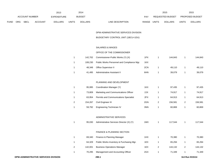|             |            |                       |                | 2013               |              | 2014           |                                  |       | 2015             |              | 2015                   |
|-------------|------------|-----------------------|----------------|--------------------|--------------|----------------|----------------------------------|-------|------------------|--------------|------------------------|
|             |            | <b>ACCOUNT NUMBER</b> |                | <b>EXPENDITURE</b> |              | <b>BUDGET</b>  | PAY                              |       | REQUESTED BUDGET |              | <b>PROPOSED BUDGET</b> |
| <b>FUND</b> | <b>ORG</b> | <b>SBCL</b>           | <b>ACCOUNT</b> | <b>DOLLARS</b>     | <b>UNITS</b> | <b>DOLLARS</b> | LINE DESCRIPTION<br><b>RANGE</b> | UNITS | <b>DOLLARS</b>   | <b>UNITS</b> | <b>DOLLARS</b>         |

DPW-ADMINISTRATIVE SERVICES DIVISION

BUDGETARY CONTROL UNIT (1BCU=1DU)

## SALARIES & WAGES

### OFFICE OF THE COMMISSIONER

| 142.702 | Commissioner-Public Works (Y) (X)          | 1PX | 144.843 | 144.843 |
|---------|--------------------------------------------|-----|---------|---------|
| 108.230 | Public Works Personnel and Compliance Mgr. | 1KX |         |         |
| 48.348  | Office Supervisor II                       | 2CN | 49.110  | 49,110  |
| 41.495  | Administrative Assistant II                | 6HN | 39.079  | 39.079  |

#### PLANNING AND DEVELOPMENT

|   | 95.995  | Coordination Manager (Y)                     | 1KX | 97.435  | 97,435  |
|---|---------|----------------------------------------------|-----|---------|---------|
|   | 73.809  | Marketing and Communications Officer         | 2JX | 74.917  | 74,917  |
|   | 63.954  | <b>Permits and Communications Specialist</b> | 2FX | 64.913  | 64,913  |
| 2 | 154.267 | Civil Engineer III                           | 2GN | 156.581 | 156.581 |
|   | 59,792  | Engineering Technician IV                    | 3NN | 60.869  | 60,869  |

### ADMINISTRATIVE SERVICES

|  | 95,030 Administrative Services Director (X) (Y) | 1MX | 117.544 | 117,544 |
|--|-------------------------------------------------|-----|---------|---------|
|  |                                                 |     |         |         |

#### FINANCE & PLANNING SECTION

|   | 69.340  | Finance & Planning Manager               | 1HX | 70.380  | 70,380  |
|---|---------|------------------------------------------|-----|---------|---------|
|   | 64.329  | Public Works Inventory & Purchasing Mgr. | 1EX | 65.294  | 65,294  |
| 2 | 142.001 | <b>Business Operations Manager</b>       | 1EX | 144.132 | 144,132 |
|   | 70.295  | Management and Accounting Officer        | 2GX | 71.349  | 71,349  |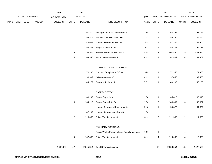|             |     |                |                | 2013               |                         | 2014           |                                            |             |                         | 2015             |                           | 2015            |
|-------------|-----|----------------|----------------|--------------------|-------------------------|----------------|--------------------------------------------|-------------|-------------------------|------------------|---------------------------|-----------------|
|             |     | ACCOUNT NUMBER |                | <b>EXPENDITURE</b> |                         | <b>BUDGET</b>  |                                            | PAY         |                         | REQUESTED BUDGET |                           | PROPOSED BUDGET |
| <b>FUND</b> | ORG | <b>SBCL</b>    | <b>ACCOUNT</b> | <b>DOLLARS</b>     | <b>UNITS</b>            | <b>DOLLARS</b> | LINE DESCRIPTION                           | RANGE UNITS |                         | <b>DOLLARS</b>   | <b>UNITS</b>              | <b>DOLLARS</b>  |
|             |     |                |                |                    | $\mathbf{1}$            | 61,870         | Management Accountant-Senior               | 2EX         | $\mathbf{1}$            | 62,799           | $\mathbf{1}$              | 62,799          |
|             |     |                |                |                    | $\mathbf{1}$            | 58,374         | <b>Business Services Specialist</b>        | 2DN         | $\mathbf{1}$            | 59,250           | $\overline{\mathbf{c}}$   | 104,250         |
|             |     |                |                |                    | $\mathbf{1}$            | 46,607         | Human Resources Assistant                  | 5IN         | $\mathbf{1}$            | 47,306           | $\mathbf{1}$              | 47,306          |
|             |     |                |                |                    | $\mathbf{1}$            | 53,328         | Program Assistant III                      | 5IN         | $\mathbf{1}$            | 54,128           | $\mathbf{1}$              | 54,128          |
|             |     |                |                |                    | 9                       | 396,926        | Personnel Payroll Assistant III            | 5EN         | $\boldsymbol{9}$        | 402,880          | 9                         | 402,880         |
|             |     |                |                |                    | $\overline{\mathbf{4}}$ | 163,345        | <b>Accounting Assistant II</b>             | 6HN         | $\overline{\mathbf{4}}$ | 161,802          | $\overline{4}$            | 161,802         |
|             |     |                |                |                    |                         |                | CONTRACT ADMINISTRATION                    |             |                         |                  |                           |                 |
|             |     |                |                |                    | $\mathbf{1}$            | 70,295         | <b>Contract Compliance Officer</b>         | 2GX         | $\mathbf{1}$            | 71,350           | $\mathbf{1}$              | 71,350          |
|             |     |                |                |                    | $\mathbf{1}$            | 36,902         | Office Assistant IV                        | 6HN         | $\mathbf{1}$            | 37,456           | $\mathbf{1}$              | 37,456          |
|             |     |                |                |                    | $\mathbf{1}$            | 44,277         | Program Assistant I                        | 5EN         | $\mathbf{1}$            | 40,100           | $\mathbf{1}$              | 40,100          |
|             |     |                |                |                    |                         |                | SAFETY SECTION                             |             |                         |                  |                           |                 |
|             |     |                |                |                    | $\mathbf{1}$            | 60,232         | Safety Supervisor                          | 1CX         | $\mathbf{1}$            | 65,813           | $\mathbf{1}$              | 65,813          |
|             |     |                |                |                    | 3                       | 164,112        | Safety Specialist - Sr.                    | 2EX         | $\sqrt{3}$              | 148,337          | $\ensuremath{\mathsf{3}}$ | 148,337         |
|             |     |                |                |                    |                         |                | Human Resources Representative             | 2HX         | $\mathbf{1}$            | 54,322           | $\mathbf{1}$              | 54,322          |
|             |     |                |                |                    | $\mathbf{1}$            | 47,109         | Human Resource Analyst - Sr.               | 2FX         |                         |                  |                           |                 |
|             |     |                |                |                    | $\mathbf 2$             | 110,000        | <b>Driver Training Instructor</b>          | 3LN         | $\overline{2}$          | 111,565          | $\overline{c}$            | 111,565         |
|             |     |                |                |                    |                         |                | <b>AUXILIARY POSITIONS</b>                 |             |                         |                  |                           |                 |
|             |     |                |                |                    |                         |                | Public Works Personnel and Compliance Mgr. | 1KX         | $\mathbf{1}$            |                  | 1                         |                 |
|             |     |                |                |                    | 4                       | 102,350        | <b>Driver Training Instructor</b>          | 3LN         | $\overline{\mathbf{4}}$ | 110,000          | 4                         | 110,000         |
|             |     |                |                | 2,636,084          | 47                      | 2,645,314      | <b>Total Before Adjustments</b>            |             | 47                      | 2,583,554        | 48                        | 2,628,554       |
|             |     |                |                |                    |                         |                |                                            |             |                         |                  |                           |                 |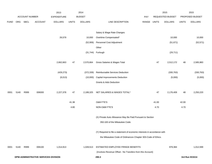|             |      |                       |                                      | 2013               |              | 2014           |                                                                           |             |        | 2015             |              | 2015            |
|-------------|------|-----------------------|--------------------------------------|--------------------|--------------|----------------|---------------------------------------------------------------------------|-------------|--------|------------------|--------------|-----------------|
|             |      | <b>ACCOUNT NUMBER</b> |                                      | <b>EXPENDITURE</b> |              | <b>BUDGET</b>  |                                                                           | PAY         |        | REQUESTED BUDGET |              | PROPOSED BUDGET |
| <b>FUND</b> | ORG  | SBCL                  | <b>ACCOUNT</b>                       | <b>DOLLARS</b>     | <b>UNITS</b> | <b>DOLLARS</b> | LINE DESCRIPTION                                                          | RANGE UNITS |        | <b>DOLLARS</b>   | <b>UNITS</b> | <b>DOLLARS</b>  |
|             |      |                       |                                      |                    |              |                |                                                                           |             |        |                  |              |                 |
|             |      |                       |                                      |                    |              |                | Salary & Wage Rate Changes                                                |             |        |                  |              |                 |
|             |      |                       |                                      | 26,579             |              | 10,000         | Overtime Compensated*                                                     |             |        | 10,000           |              | 10,000          |
|             |      |                       |                                      |                    |              | (52,906)       | Personnel Cost Adjustment                                                 |             |        | (51, 671)        |              | (52, 571)       |
|             |      |                       |                                      |                    |              |                | Other                                                                     |             |        |                  |              |                 |
|             |      |                       |                                      |                    |              | (31, 744)      | Furlough                                                                  |             |        | (29, 711)        |              |                 |
|             |      |                       |                                      |                    |              |                |                                                                           |             |        |                  |              |                 |
|             |      |                       |                                      | 2,662,663          | 47           | 2,570,664      | Gross Salaries & Wages Total                                              |             | $47\,$ | 2,512,172        | 48           | 2,585,983       |
|             |      |                       |                                      | (429, 273)         |              | (372, 339)     | Reimbursable Services Deduction                                           |             |        | (330, 763)       |              | (330, 763)      |
|             |      |                       |                                      | (6,013)            |              | (10,000)       | <b>Capital Improvements Deduction</b>                                     |             |        | (5,000)          |              | (5,000)         |
|             |      |                       |                                      |                    |              |                | Grants & Aids Deduction                                                   |             |        |                  |              |                 |
|             |      |                       |                                      |                    |              |                |                                                                           |             |        |                  |              |                 |
| 0001        | 5140 | R999                  | 006000                               | 2,227,378          | 47           | 2,188,325      | NET SALARIES & WAGES TOTAL*                                               |             | 47     | 2,176,409        | 48           | 2,250,220       |
|             |      |                       |                                      |                    |              |                |                                                                           |             |        |                  |              |                 |
|             |      |                       |                                      |                    | 41.38        |                | O&M FTE'S                                                                 |             | 41.00  |                  | 42.00        |                 |
|             |      |                       |                                      |                    | 4.80         |                | NON-O&M FTE'S                                                             |             | 4.70   |                  | 4.70         |                 |
|             |      |                       |                                      |                    |              |                |                                                                           |             |        |                  |              |                 |
|             |      |                       |                                      |                    |              |                | (X) Private Auto Allowance May Be Paid Pursuant to Section                |             |        |                  |              |                 |
|             |      |                       |                                      |                    |              |                | 350-183 of the Milwaukee Code.                                            |             |        |                  |              |                 |
|             |      |                       |                                      |                    |              |                | (Y) Required to file a statement of economic interests in accordance with |             |        |                  |              |                 |
|             |      |                       |                                      |                    |              |                | the Milwaukee Code of Ordinances Chapter 303-Code of Ethics.              |             |        |                  |              |                 |
| 0001        | 5140 | R999                  | 006100                               | 1,014,913          |              | 1,028,513      | ESTIMATED EMPLOYEE FRINGE BENEFITS                                        |             |        | 979,384          |              | 1,012,599       |
|             |      |                       |                                      |                    |              |                | (Involves Revenue Offset - No Transfers from this Account)                |             |        |                  |              |                 |
|             |      |                       | DPW-ADMINISTRATIVE SERVICES DIVISION |                    |              |                | 290.3                                                                     |             |        |                  |              | 3rd Run 9/15/14 |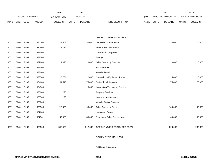|             |            |                       |                | 2013               |              | 2014           |                                 |       |              | 2015                    |              | 2015            |
|-------------|------------|-----------------------|----------------|--------------------|--------------|----------------|---------------------------------|-------|--------------|-------------------------|--------------|-----------------|
|             |            | <b>ACCOUNT NUMBER</b> |                | <b>EXPENDITURE</b> |              | <b>BUDGET</b>  |                                 | PAY   |              | <b>REQUESTED BUDGET</b> |              | PROPOSED BUDGET |
| <b>FUND</b> | <b>ORG</b> | <b>SBCL</b>           | <b>ACCOUNT</b> | <b>DOLLARS</b>     | <b>UNITS</b> | <b>DOLLARS</b> | LINE DESCRIPTION                | RANGE | <b>UNITS</b> | <b>DOLLARS</b>          | <b>UNITS</b> | <b>DOLLARS</b>  |
|             |            |                       |                |                    |              |                |                                 |       |              |                         |              |                 |
|             |            |                       |                |                    |              |                |                                 |       |              |                         |              |                 |
|             |            |                       |                |                    |              |                | OPERATING EXPENDITURES          |       |              |                         |              |                 |
| 0001        | 5140       | R999                  | 630100         | 17,602             |              | 30,000         | General Office Expense          |       |              | 30,000                  |              | 20,000          |
| 0001        | 5140       | R999                  | 630500         | 1,712              |              |                | Tools & Machinery Parts         |       |              |                         |              |                 |
| 0001        | 5140       | R999                  | 631000         |                    |              |                | <b>Construction Supplies</b>    |       |              |                         |              |                 |
| 0001        | 5140       | R999                  | 631500         |                    |              |                | Energy                          |       |              |                         |              |                 |
| 0001        | 5140       | R999                  | 632000         | 1,096              |              | 10,000         | <b>Other Operating Supplies</b> |       |              | 10,000                  |              | 10,000          |
| 0001        | 5140       | R999                  | 632500         |                    |              |                | <b>Facility Rental</b>          |       |              |                         |              |                 |
| 0001        | 5140       | R999                  | 633000         |                    |              |                | Vehicle Rental                  |       |              |                         |              |                 |
| 0001        | 5140       | R999                  | 633500         | 15,701             |              | 12,000         | Non-Vehicle Equipment Rental    |       |              | 15,000                  |              | 15,000          |
| 0001        | 5140       | R999                  | 634000         | 61,510             |              | 75,000         | <b>Professional Services</b>    |       |              | 75,000                  |              | 75,000          |
| 0001        | 5140       | R999                  | 634500         |                    |              | 15,000         | Information Technology Services |       |              |                         |              |                 |
| 0001        | 5140       | R999                  | 635000         | 296                |              |                | <b>Property Services</b>        |       |              |                         |              |                 |
| 0001        | 5140       | R999                  | 635500         | 198                |              |                | Infrastructure Services         |       |              |                         |              |                 |
| 0001        | 5140       | R999                  | 636000         |                    |              |                | Vehicle Repair Services         |       |              |                         |              |                 |
| 0001        | 5140       | R999                  | 636500         | 215,455            |              | 90,000         | <b>Other Operating Services</b> |       |              | 100,000                 |              | 100,000         |
| 0001        | 5140       | R999                  | 637000         |                    |              |                | Loans and Grants                |       |              |                         |              |                 |
| 0001        | 5140       | R999                  | 637501         | 42,983             |              | 80,000         | Reimburse Other Departments     |       |              | 60,000                  |              | 60,000          |
|             |            |                       |                |                    |              |                |                                 |       |              |                         |              |                 |
| 0001        | 5140       | R999                  | 006300         | 356,553            |              | 312,000        | OPERATING EXPENDITURES TOTAL*   |       |              | 290,000                 |              | 280,000         |
|             |            |                       |                |                    |              |                |                                 |       |              |                         |              |                 |

EQUIPMENT PURCHASES

Additional Equipment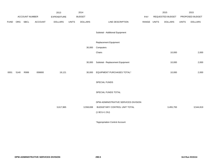|             |      |                       |                | 2013               |              | 2014           |                                      |             | 2015             |              | 2015            |
|-------------|------|-----------------------|----------------|--------------------|--------------|----------------|--------------------------------------|-------------|------------------|--------------|-----------------|
|             |      | <b>ACCOUNT NUMBER</b> |                | <b>EXPENDITURE</b> |              | <b>BUDGET</b>  |                                      | PAY         | REQUESTED BUDGET |              | PROPOSED BUDGET |
| <b>FUND</b> | ORG  | <b>SBCL</b>           | <b>ACCOUNT</b> | <b>DOLLARS</b>     | <b>UNITS</b> | <b>DOLLARS</b> | LINE DESCRIPTION                     | RANGE UNITS | <b>DOLLARS</b>   | <b>UNITS</b> | <b>DOLLARS</b>  |
|             |      |                       |                |                    |              |                |                                      |             |                  |              |                 |
|             |      |                       |                |                    |              |                | Subtotal - Additional Equipment      |             |                  |              |                 |
|             |      |                       |                |                    |              |                |                                      |             |                  |              |                 |
|             |      |                       |                |                    |              |                | Replacement Equipment                |             |                  |              |                 |
|             |      |                       |                |                    |              | 30,000         | Computers                            |             |                  |              |                 |
|             |      |                       |                |                    |              |                | Chairs                               |             | 10,000           |              | 2,000           |
|             |      |                       |                |                    |              |                |                                      |             |                  |              |                 |
|             |      |                       |                |                    |              | 30,000         | Subtotal - Replacement Equipment     |             | 10,000           |              | 2,000           |
|             |      |                       |                |                    |              |                |                                      |             |                  |              |                 |
| 0001        | 5140 | R999                  | 006800         | 19,121             |              | 30,000         | EQUIPMENT PURCHASES TOTAL*           |             | 10,000           |              | 2,000           |
|             |      |                       |                |                    |              |                |                                      |             |                  |              |                 |
|             |      |                       |                |                    |              |                | SPECIAL FUNDS                        |             |                  |              |                 |
|             |      |                       |                |                    |              |                | SPECIAL FUNDS TOTAL                  |             |                  |              |                 |
|             |      |                       |                |                    |              |                |                                      |             |                  |              |                 |
|             |      |                       |                |                    |              |                | DPW-ADMINISTRATIVE SERVICES DIVISION |             |                  |              |                 |
|             |      |                       |                | 3,617,965          |              | 3,558,838      | BUDGETARY CONTROL UNIT TOTAL         |             | 3,455,793        |              | 3,544,819       |
|             |      |                       |                |                    |              |                | $(1$ BCU=1 DU)                       |             |                  |              |                 |
|             |      |                       |                |                    |              |                |                                      |             |                  |              |                 |

\*Appropriation Control Account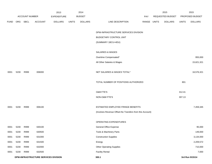|             |      |                       |                                      | 2013               |              | 2014           |                                                          |             | 2015             |              | 2015            |
|-------------|------|-----------------------|--------------------------------------|--------------------|--------------|----------------|----------------------------------------------------------|-------------|------------------|--------------|-----------------|
|             |      | <b>ACCOUNT NUMBER</b> |                                      | <b>EXPENDITURE</b> |              | <b>BUDGET</b>  |                                                          | PAY         | REQUESTED BUDGET |              | PROPOSED BUDGET |
| <b>FUND</b> | ORG  | SBCL                  | <b>ACCOUNT</b>                       | <b>DOLLARS</b>     | <b>UNITS</b> | <b>DOLLARS</b> | LINE DESCRIPTION                                         | RANGE UNITS | <b>DOLLARS</b>   | <b>UNITS</b> | <b>DOLLARS</b>  |
|             |      |                       |                                      |                    |              |                |                                                          |             |                  |              |                 |
|             |      |                       |                                      |                    |              |                | DPW-INFRASTRUCTURE SERVICES DIVISION                     |             |                  |              |                 |
|             |      |                       |                                      |                    |              |                | BUDGETARY CONTROL UNIT                                   |             |                  |              |                 |
|             |      |                       |                                      |                    |              |                | (SUMMARY 1BCU=4DU)                                       |             |                  |              |                 |
|             |      |                       |                                      |                    |              |                |                                                          |             |                  |              |                 |
|             |      |                       |                                      |                    |              |                | SALARIES & WAGES                                         |             |                  |              |                 |
|             |      |                       |                                      |                    |              |                | Overtime Compensated*                                    |             |                  |              | 955,000         |
|             |      |                       |                                      |                    |              |                | All Other Salaries & Wages                               |             |                  |              | 15,621,321      |
|             |      |                       |                                      |                    |              |                |                                                          |             |                  |              |                 |
| 0001        | 5230 | R999                  | 006000                               |                    |              |                | NET SALARIES & WAGES TOTAL*                              |             |                  |              | 16,576,321      |
|             |      |                       |                                      |                    |              |                |                                                          |             |                  |              |                 |
|             |      |                       |                                      |                    |              |                | TOTAL NUMBER OF POSITIONS AUTHORIZED                     |             |                  | 801          |                 |
|             |      |                       |                                      |                    |              |                |                                                          |             |                  |              |                 |
|             |      |                       |                                      |                    |              |                | O&M FTE'S                                                |             |                  | 312.41       |                 |
|             |      |                       |                                      |                    |              |                | NON-O&M FTE'S                                            |             |                  | 307.13       |                 |
|             |      |                       |                                      |                    |              |                |                                                          |             |                  |              |                 |
| 0001        | 5230 | R999                  | 006100                               |                    |              |                | ESTIMATED EMPLOYEE FRINGE BENEFITS                       |             |                  |              | 7,459,345       |
|             |      |                       |                                      |                    |              |                | (Involves Revenue Offset-No Transfers from this Account) |             |                  |              |                 |
|             |      |                       |                                      |                    |              |                |                                                          |             |                  |              |                 |
|             |      |                       |                                      |                    |              |                | OPERATING EXPENDITURES                                   |             |                  |              |                 |
| 0001        | 5230 | R999                  | 630100                               |                    |              |                | General Office Expense                                   |             |                  |              | 95,000          |
| 0001        | 5230 | R999                  | 630500                               |                    |              |                | Tools & Machinery Parts                                  |             |                  |              | 149,000         |
| 0001        | 5230 | R999                  | 631000                               |                    |              |                | <b>Construction Supplies</b>                             |             |                  |              | 3,134,000       |
| 0001        | 5230 | R999                  | 631500                               |                    |              |                | Energy                                                   |             |                  |              | 2,209,572       |
| 0001        | 5230 | R999                  | 632000                               |                    |              |                | <b>Other Operating Supplies</b>                          |             |                  |              | 710,000         |
| 0001        | 5230 | R999                  | 632500                               |                    |              |                | <b>Facility Rental</b>                                   |             |                  |              | 7,000           |
|             |      |                       | DPW-INFRASTRUCTURE SERVICES DIVISION |                    |              |                | 300.1                                                    |             |                  |              | 3rd Run 9/15/14 |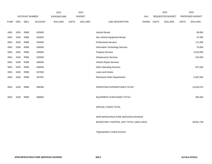|             |      |                       |                | 2013               |              | 2014           |                                         |       |              | 2015             |              | 2015            |
|-------------|------|-----------------------|----------------|--------------------|--------------|----------------|-----------------------------------------|-------|--------------|------------------|--------------|-----------------|
|             |      | <b>ACCOUNT NUMBER</b> |                | <b>EXPENDITURE</b> |              | <b>BUDGET</b>  |                                         | PAY   |              | REQUESTED BUDGET |              | PROPOSED BUDGET |
| <b>FUND</b> | ORG  | <b>SBCL</b>           | <b>ACCOUNT</b> | <b>DOLLARS</b>     | <b>UNITS</b> | <b>DOLLARS</b> | LINE DESCRIPTION                        | RANGE | <b>UNITS</b> | <b>DOLLARS</b>   | <b>UNITS</b> | <b>DOLLARS</b>  |
|             |      |                       |                |                    |              |                |                                         |       |              |                  |              |                 |
| 0001        | 5230 | R999                  | 633000         |                    |              |                | Vehicle Rental                          |       |              |                  |              | 80,000          |
| 0001        | 5230 | R999                  | 633500         |                    |              |                | Non-Vehicle Equipment Rental            |       |              |                  |              | 57,000          |
| 0001        | 5230 | R999                  | 634000         |                    |              |                | <b>Professional Services</b>            |       |              |                  |              | 171,000         |
| 0001        | 5230 | R999                  | 634500         |                    |              |                | Information Technology Services         |       |              |                  |              | 70,000          |
| 0001        | 5230 | R999                  | 635000         |                    |              |                | <b>Property Services</b>                |       |              |                  |              | 2,015,000       |
| 0001        | 5230 | R999                  | 635500         |                    |              |                | <b>Infrastructure Services</b>          |       |              |                  |              | 242,000         |
| 0001        | 5230 | R999                  | 636000         |                    |              |                | Vehicle Repair Services                 |       |              |                  |              |                 |
| 0001        | 5230 | R999                  | 636500         |                    |              |                | <b>Other Operating Services</b>         |       |              |                  |              | 207,000         |
| 0001        | 5230 | R999                  | 637000         |                    |              |                | Loans and Grants                        |       |              |                  |              |                 |
| 0001        | 5230 | R999                  | 637501         |                    |              |                | <b>Reimburse Other Departments</b>      |       |              |                  |              | 5,487,000       |
|             |      |                       |                |                    |              |                |                                         |       |              |                  |              |                 |
| 0001        | 5230 | R999                  | 006300         |                    |              |                | OPERATING EXPENDITURES TOTAL*           |       |              |                  |              | 14,633,572      |
|             |      |                       |                |                    |              |                |                                         |       |              |                  |              |                 |
| 0001        | 5230 | R999                  | 006800         |                    |              |                | EQUIPMENT PURCHASES TOTAL*              |       |              |                  |              | 382,500         |
|             |      |                       |                |                    |              |                |                                         |       |              |                  |              |                 |
|             |      |                       |                |                    |              |                | SPECIAL FUNDS TOTAL                     |       |              |                  |              |                 |
|             |      |                       |                |                    |              |                |                                         |       |              |                  |              |                 |
|             |      |                       |                |                    |              |                | DPW-INFRASTRUCTURE SERVICES DIVISION    |       |              |                  |              |                 |
|             |      |                       |                |                    |              |                | BUDGETARY CONTROL UNIT TOTAL (1BCU=4DU) |       |              |                  |              | 39,051,738      |
|             |      |                       |                |                    |              |                |                                         |       |              |                  |              |                 |
|             |      |                       |                |                    |              |                | *Appropriation Control Account          |       |              |                  |              |                 |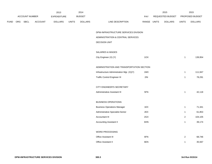|             |                       |                | 2013           |              | 2014           |                                           |             | 2015             |                | 2015            |
|-------------|-----------------------|----------------|----------------|--------------|----------------|-------------------------------------------|-------------|------------------|----------------|-----------------|
|             | <b>ACCOUNT NUMBER</b> |                | EXPENDITURE    |              | <b>BUDGET</b>  |                                           | PAY         | REQUESTED BUDGET |                | PROPOSED BUDGET |
| <b>FUND</b> | ORG SBCL              | <b>ACCOUNT</b> | <b>DOLLARS</b> | <b>UNITS</b> | <b>DOLLARS</b> | LINE DESCRIPTION                          | RANGE UNITS | <b>DOLLARS</b>   | <b>UNITS</b>   | <b>DOLLARS</b>  |
|             |                       |                |                |              |                | DPW-INFRASTRUCTURE SERVICES DIVISION      |             |                  |                |                 |
|             |                       |                |                |              |                | ADMINISTRATION & CENTRAL SERVICES         |             |                  |                |                 |
|             |                       |                |                |              |                | DECISION UNIT                             |             |                  |                |                 |
|             |                       |                |                |              |                |                                           |             |                  |                |                 |
|             |                       |                |                |              |                | SALARIES & WAGES                          |             |                  |                |                 |
|             |                       |                |                |              |                | City Engineer (X) (Y)                     | 10X         |                  | $\overline{1}$ | 139,954         |
|             |                       |                |                |              |                | ADMINISTRATION AND TRANSPORTATION SECTION |             |                  |                |                 |
|             |                       |                |                |              |                | Infrastructure Administration Mgr. (X)(Y) | 1MX         |                  | $\mathbf{1}$   | 111,947         |
|             |                       |                |                |              |                | <b>Traffic Control Engineer III</b>       | 2IN         |                  | $\mathbf{1}$   | 78,291          |
|             |                       |                |                |              |                |                                           |             |                  |                |                 |
|             |                       |                |                |              |                | CITY ENGINEER'S SECRETARY                 |             |                  |                |                 |
|             |                       |                |                |              |                | Administrative Assistant III              | 5FN         |                  | $\overline{1}$ | 42,118          |
|             |                       |                |                |              |                | <b>BUSINESS OPERATIONS</b>                |             |                  |                |                 |
|             |                       |                |                |              |                | <b>Business Operations Manager</b>        | 1EX         |                  | $\overline{1}$ | 71,341          |
|             |                       |                |                |              |                | Administrative Specialist-Senior          | 2EX         |                  | $\mathbf{1}$   | 61,853          |
|             |                       |                |                |              |                | Accountant III                            | 2GX         |                  | $\overline{2}$ | 104,105         |
|             |                       |                |                |              |                | <b>Accounting Assistant II</b>            | 6HN         |                  | $\mathbf{1}$   | 39,174          |
|             |                       |                |                |              |                | WORD PROCESSING                           |             |                  |                |                 |
|             |                       |                |                |              |                |                                           |             |                  |                |                 |
|             |                       |                |                |              |                | Office Assistant III                      | 6FN         |                  | $\overline{2}$ | 68,746          |
|             |                       |                |                |              |                | Office Assistant II                       | 6EN         |                  | $\mathbf{1}$   | 35,567          |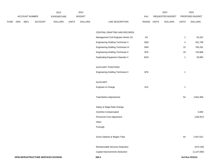|             |     |                |                                      | 2013               |              | 2014           |                                           |             | 2015             |                | 2015            |
|-------------|-----|----------------|--------------------------------------|--------------------|--------------|----------------|-------------------------------------------|-------------|------------------|----------------|-----------------|
|             |     | ACCOUNT NUMBER |                                      | <b>EXPENDITURE</b> |              | <b>BUDGET</b>  |                                           | PAY         | REQUESTED BUDGET |                | PROPOSED BUDGET |
| <b>FUND</b> | ORG | <b>SBCL</b>    | ACCOUNT                              | <b>DOLLARS</b>     | <b>UNITS</b> | <b>DOLLARS</b> | LINE DESCRIPTION                          | RANGE UNITS | <b>DOLLARS</b>   | <b>UNITS</b>   | <b>DOLLARS</b>  |
|             |     |                |                                      |                    |              |                |                                           |             |                  |                |                 |
|             |     |                |                                      |                    |              |                | CENTRAL DRAFTING AND RECORDS              |             |                  |                |                 |
|             |     |                |                                      |                    |              |                | Management Civil Engineer-Senior (X)      | 11X         |                  | $\mathbf{1}$   | 91,022          |
|             |     |                |                                      |                    |              |                | Engineering Drafting Technician V         | 3QN         |                  | 4              | 261,799         |
|             |     |                |                                      |                    |              |                | Engineering Drafting Technician IV        | 3NN         |                  | 15             | 765,291         |
|             |     |                |                                      |                    |              |                | <b>Engineering Drafting Technician II</b> | 3FN         |                  | 19             | 754,868         |
|             |     |                |                                      |                    |              |                | <b>Duplicating Equipment Operator II</b>  | 6GN         |                  | $\overline{1}$ | 35,893          |
|             |     |                |                                      |                    |              |                |                                           |             |                  |                |                 |
|             |     |                |                                      |                    |              |                | <b>AUXILIARY POSITIONS</b>                |             |                  |                |                 |
|             |     |                |                                      |                    |              |                | <b>Engineering Drafting Technician II</b> | 3FN         |                  | $\overline{1}$ |                 |
|             |     |                |                                      |                    |              |                |                                           |             |                  |                |                 |
|             |     |                |                                      |                    |              |                | AUXILIARY                                 |             |                  |                |                 |
|             |     |                |                                      |                    |              |                | Engineer-In-Charge                        | 1KX         |                  | $\mathbf{1}$   |                 |
|             |     |                |                                      |                    |              |                |                                           |             |                  |                |                 |
|             |     |                |                                      |                    |              |                | <b>Total Before Adjustments</b>           |             |                  | 54             | 2,661,969       |
|             |     |                |                                      |                    |              |                | Salary & Wage Rate Change                 |             |                  |                |                 |
|             |     |                |                                      |                    |              |                | Overtime Compensated                      |             |                  |                | 5,000           |
|             |     |                |                                      |                    |              |                | Personnel Cost Adjustment                 |             |                  |                | (109, 357)      |
|             |     |                |                                      |                    |              |                | Other                                     |             |                  |                |                 |
|             |     |                |                                      |                    |              |                | Furlough                                  |             |                  |                |                 |
|             |     |                |                                      |                    |              |                |                                           |             |                  |                |                 |
|             |     |                |                                      |                    |              |                | Gross Salaries & Wages Total              |             |                  | 54             | 2,557,612       |
|             |     |                |                                      |                    |              |                |                                           |             |                  |                |                 |
|             |     |                |                                      |                    |              |                | Reimbursable Services Deduction           |             |                  |                | (574, 135)      |
|             |     |                |                                      |                    |              |                | Capital Improvements Deduction            |             |                  |                | (1, 147, 000)   |
|             |     |                | DPW-INFRASTRUCTURE SERVICES DIVISION |                    |              |                | 300.4                                     |             |                  |                | 3rd Run 9/15/14 |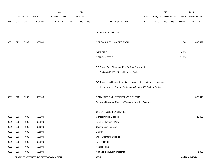|             |      |                       |                                      | 2013               |              | 2014           |                                                                           |             | 2015             |              | 2015            |
|-------------|------|-----------------------|--------------------------------------|--------------------|--------------|----------------|---------------------------------------------------------------------------|-------------|------------------|--------------|-----------------|
|             |      | <b>ACCOUNT NUMBER</b> |                                      | <b>EXPENDITURE</b> |              | <b>BUDGET</b>  |                                                                           | <b>PAY</b>  | REQUESTED BUDGET |              | PROPOSED BUDGET |
| <b>FUND</b> | ORG  | SBCL                  | <b>ACCOUNT</b>                       | <b>DOLLARS</b>     | <b>UNITS</b> | <b>DOLLARS</b> | LINE DESCRIPTION                                                          | RANGE UNITS | <b>DOLLARS</b>   | <b>UNITS</b> | <b>DOLLARS</b>  |
|             |      |                       |                                      |                    |              |                |                                                                           |             |                  |              |                 |
|             |      |                       |                                      |                    |              |                | Grants & Aids Deduction                                                   |             |                  |              |                 |
| 0001        | 5231 | R999                  | 006000                               |                    |              |                | NET SALARIES & WAGES TOTAL                                                |             |                  | 54           | 836,477         |
|             |      |                       |                                      |                    |              |                | O&M FTE'S                                                                 |             |                  | 18.95        |                 |
|             |      |                       |                                      |                    |              |                | NON-O&M FTE'S                                                             |             |                  | 33.05        |                 |
|             |      |                       |                                      |                    |              |                |                                                                           |             |                  |              |                 |
|             |      |                       |                                      |                    |              |                | (X) Private Auto Allowance May Be Paid Pursuant to                        |             |                  |              |                 |
|             |      |                       |                                      |                    |              |                | Section 350-183 of the Milwaukee Code.                                    |             |                  |              |                 |
|             |      |                       |                                      |                    |              |                | (Y) Required to file a statement of economic interests in accordance with |             |                  |              |                 |
|             |      |                       |                                      |                    |              |                | the Milwaukee Code of Ordinances Chapter 303-Code of Ethics.              |             |                  |              |                 |
| 0001        | 5231 | R999                  | 006100                               |                    |              |                | ESTIMATED EMPLOYEE FRINGE BENEFITS                                        |             |                  |              | 376,415         |
|             |      |                       |                                      |                    |              |                | (Involves Revenue Offset-No Transfers from this Account)                  |             |                  |              |                 |
|             |      |                       |                                      |                    |              |                |                                                                           |             |                  |              |                 |
|             |      |                       |                                      |                    |              |                | OPERATING EXPENDITURES                                                    |             |                  |              |                 |
| 0001        | 5231 | R999                  | 630100                               |                    |              |                | General Office Expense                                                    |             |                  |              | 20,000          |
| 0001        | 5231 | R999                  | 630500                               |                    |              |                | Tools & Machinery Parts                                                   |             |                  |              |                 |
| 0001        | 5231 | R999                  | 631000                               |                    |              |                | <b>Construction Supplies</b>                                              |             |                  |              |                 |
| 0001        | 5231 | R999                  | 631500                               |                    |              |                | Energy                                                                    |             |                  |              |                 |
| 0001        | 5231 | R999                  | 632000                               |                    |              |                | <b>Other Operating Supplies</b>                                           |             |                  |              |                 |
| 0001        | 5231 | R999                  | 632500                               |                    |              |                | <b>Facility Rental</b>                                                    |             |                  |              |                 |
| 0001        | 5231 | R999                  | 633000                               |                    |              |                | Vehicle Rental                                                            |             |                  |              |                 |
| 0001        | 5231 | R999                  | 633500                               |                    |              |                | Non-Vehicle Equipment Rental                                              |             |                  |              | 1,000           |
|             |      |                       | DPW-INFRASTRUCTURE SERVICES DIVISION |                    |              |                | 300.5                                                                     |             |                  |              | 3rd Run 9/15/14 |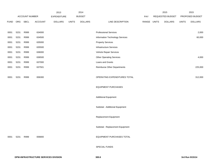|             |      |                |                | 2013               |              | 2014           |                                  |             | 2015             |              | 2015            |
|-------------|------|----------------|----------------|--------------------|--------------|----------------|----------------------------------|-------------|------------------|--------------|-----------------|
|             |      | ACCOUNT NUMBER |                | <b>EXPENDITURE</b> |              | <b>BUDGET</b>  |                                  | PAY         | REQUESTED BUDGET |              | PROPOSED BUDGET |
| <b>FUND</b> | ORG  | <b>SBCL</b>    | <b>ACCOUNT</b> | <b>DOLLARS</b>     | <b>UNITS</b> | <b>DOLLARS</b> | LINE DESCRIPTION                 | RANGE UNITS | <b>DOLLARS</b>   | <b>UNITS</b> | <b>DOLLARS</b>  |
|             |      |                |                |                    |              |                |                                  |             |                  |              |                 |
| 0001        | 5231 | R999           | 634000         |                    |              |                | <b>Professional Services</b>     |             |                  |              | 2,000           |
| 0001        | 5231 | R999           | 634500         |                    |              |                | Information Technology Services  |             |                  |              | 60,000          |
| 0001        | 5231 | R999           | 635000         |                    |              |                | <b>Property Services</b>         |             |                  |              |                 |
| 0001        | 5231 | R999           | 635500         |                    |              |                | <b>Infrastructure Services</b>   |             |                  |              |                 |
| 0001        | 5231 | R999           | 636000         |                    |              |                | Vehicle Repair Services          |             |                  |              |                 |
| 0001        | 5231 | R999           | 636500         |                    |              |                | <b>Other Operating Services</b>  |             |                  |              | 4,000           |
| 0001        | 5231 | R999           | 637000         |                    |              |                | Loans and Grants                 |             |                  |              |                 |
| 0001        | 5231 | R999           | 637501         |                    |              |                | Reimburse Other Departments      |             |                  |              | 225,000         |
|             |      |                |                |                    |              |                |                                  |             |                  |              |                 |
| 0001        | 5231 | R999           | 006300         |                    |              |                | OPERATING EXPENDITURES TOTAL     |             |                  |              | 312,000         |
|             |      |                |                |                    |              |                |                                  |             |                  |              |                 |
|             |      |                |                |                    |              |                | <b>EQUIPMENT PURCHASES</b>       |             |                  |              |                 |
|             |      |                |                |                    |              |                |                                  |             |                  |              |                 |
|             |      |                |                |                    |              |                | <b>Additional Equipment</b>      |             |                  |              |                 |
|             |      |                |                |                    |              |                |                                  |             |                  |              |                 |
|             |      |                |                |                    |              |                | Subtotal - Additional Equipment  |             |                  |              |                 |
|             |      |                |                |                    |              |                |                                  |             |                  |              |                 |
|             |      |                |                |                    |              |                | Replacement Equipment            |             |                  |              |                 |
|             |      |                |                |                    |              |                |                                  |             |                  |              |                 |
|             |      |                |                |                    |              |                | Subtotal - Replacement Equipment |             |                  |              |                 |
|             |      |                |                |                    |              |                |                                  |             |                  |              |                 |
| 0001        | 5231 | R999           | 006800         |                    |              |                | <b>EQUIPMENT PURCHASES TOTAL</b> |             |                  |              |                 |
|             |      |                |                |                    |              |                |                                  |             |                  |              |                 |
|             |      |                |                |                    |              |                | SPECIAL FUNDS                    |             |                  |              |                 |
|             |      |                |                |                    |              |                |                                  |             |                  |              |                 |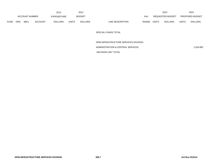|      |                                             |  |                | 2013         |                | 2014             |       |              |                | 2015             |                | 2015                   |
|------|---------------------------------------------|--|----------------|--------------|----------------|------------------|-------|--------------|----------------|------------------|----------------|------------------------|
|      | <b>ACCOUNT NUMBER</b>                       |  |                | EXPENDITURE  |                | <b>BUDGET</b>    |       | <b>PAY</b>   |                | REQUESTED BUDGET |                | <b>PROPOSED BUDGET</b> |
| FUND | <b>SBCL</b><br><b>ORG</b><br><b>ACCOUNT</b> |  | <b>DOLLARS</b> | <b>UNITS</b> | <b>DOLLARS</b> | LINE DESCRIPTION | RANGE | <b>UNITS</b> | <b>DOLLARS</b> | <b>UNITS</b>     | <b>DOLLARS</b> |                        |

SPECIAL FUNDS TOTAL

DPW-INFRASTRUCTURE SERVICES DIVISION-

ADMINISTRATION & CENTRAL SERVICES 1,524,892

DECISION UNIT TOTAL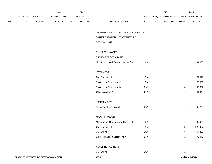|             |     |                |                | 2013               |              | 2014           |                                       |             | 2015             |              | 2015            |
|-------------|-----|----------------|----------------|--------------------|--------------|----------------|---------------------------------------|-------------|------------------|--------------|-----------------|
|             |     | ACCOUNT NUMBER |                | <b>EXPENDITURE</b> |              | <b>BUDGET</b>  |                                       | PAY         | REQUESTED BUDGET |              | PROPOSED BUDGET |
| <b>FUND</b> | ORG | <b>SBCL</b>    | <b>ACCOUNT</b> | <b>DOLLARS</b>     | <b>UNITS</b> | <b>DOLLARS</b> | LINE DESCRIPTION                      | RANGE UNITS | <b>DOLLARS</b>   | <b>UNITS</b> | <b>DOLLARS</b>  |
|             |     |                |                |                    |              |                |                                       |             |                  |              |                 |
|             |     |                |                |                    |              |                | DPW-INFRASTRUCTURE SERVICES DIVISION- |             |                  |              |                 |
|             |     |                |                |                    |              |                | TRANSPORTATION INFRASTRUCTURE         |             |                  |              |                 |
|             |     |                |                |                    |              |                | <b>DECISION UNIT</b>                  |             |                  |              |                 |
|             |     |                |                |                    |              |                | SALARIES & WAGES                      |             |                  |              |                 |
|             |     |                |                |                    |              |                | PROJECT PROGRAMMING                   |             |                  |              |                 |
|             |     |                |                |                    |              |                | Management Civil Engineer-Senior (X)  | 11X         |                  | $\mathbf{1}$ | 104,603         |
|             |     |                |                |                    |              |                |                                       |             |                  |              |                 |
|             |     |                |                |                    |              |                | <b>ESTIMATES</b>                      |             |                  |              |                 |
|             |     |                |                |                    |              |                | Civil Engineer III                    | 2IN         |                  | $\mathbf{1}$ | 71,542          |
|             |     |                |                |                    |              |                | Engineering Technician VI             | 2IN         |                  | $\mathbf{1}$ | 70,501          |
|             |     |                |                |                    |              |                | Engineering Technician IV             | 3NN         |                  | 3            | 159,837         |
|             |     |                |                |                    |              |                | Office Assistant IV                   | 6HN         |                  | 1            | 41,449          |
|             |     |                |                |                    |              |                |                                       |             |                  |              |                 |
|             |     |                |                |                    |              |                | ASSESSMENTS                           |             |                  |              |                 |
|             |     |                |                |                    |              |                | Assessment Technician II              | 3RN         |                  | $\mathbf{1}$ | 63,724          |
|             |     |                |                |                    |              |                | <b>MAJOR PROJECTS</b>                 |             |                  |              |                 |
|             |     |                |                |                    |              |                | Management Civil Engineer-Senior (X)  | 11X         |                  | $\mathbf{1}$ | 95,434          |
|             |     |                |                |                    |              |                | Civil Engineer III                    | 2IN         |                  | 3            | 228,957         |
|             |     |                |                |                    |              |                | Civil Engineer II                     | 2GN         |                  | 6            | 367,486         |
|             |     |                |                |                    |              |                | Business Support Liaison (X) (Y)      | 2HX         |                  | $\mathbf{1}$ | 76,046          |
|             |     |                |                |                    |              |                |                                       |             |                  |              |                 |
|             |     |                |                |                    |              |                | <b>AUXILIARY POSITIONS</b>            |             |                  |              |                 |
|             |     |                |                |                    |              |                | Civil Engineer II                     | 2GN         |                  | $\mathbf{1}$ |                 |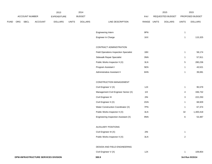|             |     |                |                | 2013               |              | 2014           |                                               |       |              | 2015             |                         | 2015            |
|-------------|-----|----------------|----------------|--------------------|--------------|----------------|-----------------------------------------------|-------|--------------|------------------|-------------------------|-----------------|
|             |     | ACCOUNT NUMBER |                | <b>EXPENDITURE</b> |              | <b>BUDGET</b>  |                                               | PAY   |              | REQUESTED BUDGET |                         | PROPOSED BUDGET |
| <b>FUND</b> | ORG | SBCL           | <b>ACCOUNT</b> | <b>DOLLARS</b>     | <b>UNITS</b> | <b>DOLLARS</b> | LINE DESCRIPTION                              | RANGE | <b>UNITS</b> | <b>DOLLARS</b>   | <b>UNITS</b>            | <b>DOLLARS</b>  |
|             |     |                |                |                    |              |                |                                               |       |              |                  |                         |                 |
|             |     |                |                |                    |              |                | Engineering Intern                            | 9PN   |              |                  | $\mathbf{1}$            |                 |
|             |     |                |                |                    |              |                | Engineer In Charge                            | 1KX   |              |                  | $\mathbf{1}$            | 115,325         |
|             |     |                |                |                    |              |                | CONTRACT ADMINISTRATION                       |       |              |                  |                         |                 |
|             |     |                |                |                    |              |                | <b>Field Operations Inspection Specialist</b> | 1BX   |              |                  | $\mathbf{1}$            | 58,174          |
|             |     |                |                |                    |              |                | Sidewalk Repair Specialist                    | 3NN   |              |                  | 1                       | 57,911          |
|             |     |                |                |                    |              |                | Public Works Inspector II (X)                 | 3LN   |              |                  | 5                       | 280,236         |
|             |     |                |                |                    |              |                | Program Assistant I                           | 5EN   |              |                  | $\mathbf{1}$            | 43,521          |
|             |     |                |                |                    |              |                | Administrative Assistant II                   | 6HN   |              |                  | $\mathbf{1}$            | 39,081          |
|             |     |                |                |                    |              |                |                                               |       |              |                  |                         |                 |
|             |     |                |                |                    |              |                | CONSTRUCTION MANAGEMENT                       |       |              |                  |                         |                 |
|             |     |                |                |                    |              |                | Civil Engineer V (X)                          | 1JX   |              |                  | $\mathbf{1}$            | 95,579          |
|             |     |                |                |                    |              |                | Management Civil Engineer Senior (X)          | 11X   |              |                  | 4                       | 336,732         |
|             |     |                |                |                    |              |                | Civil Engineer III                            | 2IN   |              |                  | 3                       | 222,250         |
|             |     |                |                |                    |              |                | Civil Engineer II (X)                         | 2GN   |              |                  | $\mathbf{1}$            | 68,929          |
|             |     |                |                |                    |              |                | Water Construction Coordinator (X)            | 7PN   |              |                  | $\mathbf{1}$            | 67,374          |
|             |     |                |                |                    |              |                | Public Works Inspector II (X)                 | 3LN   |              |                  | 32                      | 1,400,418       |
|             |     |                |                |                    |              |                | Engineering Inspection Assistant (X)          | 9NN   |              |                  | 6                       | 53,487          |
|             |     |                |                |                    |              |                |                                               |       |              |                  |                         |                 |
|             |     |                |                |                    |              |                | <b>AUXILIARY POSITIONS</b>                    |       |              |                  |                         |                 |
|             |     |                |                |                    |              |                | Civil Engineer III (X)                        | 2IN   |              |                  | $\mathbf{1}$            |                 |
|             |     |                |                |                    |              |                | Public Works Inspector II (X)                 | 3LN   |              |                  | $\overline{\mathbf{c}}$ |                 |
|             |     |                |                |                    |              |                | DESIGN AND FIELD ENGINEERING                  |       |              |                  |                         |                 |
|             |     |                |                |                    |              |                | Civil Engineer V (X)                          | 1JX   |              |                  | $\mathbf{1}$            | 109,854         |
|             |     |                |                |                    |              |                |                                               |       |              |                  |                         |                 |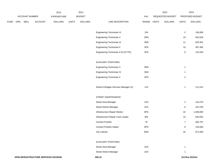|             |     |                | 2013    |                    | 2014         |                |                                       | 2015        |                  | 2015             |                 |
|-------------|-----|----------------|---------|--------------------|--------------|----------------|---------------------------------------|-------------|------------------|------------------|-----------------|
|             |     | ACCOUNT NUMBER |         | <b>EXPENDITURE</b> |              | <b>BUDGET</b>  |                                       | PAY         | REQUESTED BUDGET |                  | PROPOSED BUDGET |
| <b>FUND</b> | ORG | <b>SBCL</b>    | ACCOUNT | <b>DOLLARS</b>     | <b>UNITS</b> | <b>DOLLARS</b> | LINE DESCRIPTION                      | RANGE UNITS | <b>DOLLARS</b>   | <b>UNITS</b>     | <b>DOLLARS</b>  |
|             |     |                |         |                    |              |                |                                       |             |                  |                  |                 |
|             |     |                |         |                    |              |                | Engineering Technician VI             | 2IN         |                  | $\overline{2}$   | 136,085         |
|             |     |                |         |                    |              |                | Engineering Technician V              | 3RN         |                  | 10               | 642,626         |
|             |     |                |         |                    |              |                | Engineering Technician IV             | 3NN         |                  | 11               | 625,401         |
|             |     |                |         |                    |              |                | <b>Engineering Technician II</b>      | 3FN         |                  | 10               | 367,492         |
|             |     |                |         |                    |              |                | Engineering Technician II (0.33 FTE)  | 3FN         |                  | $\boldsymbol{9}$ | 123,434         |
|             |     |                |         |                    |              |                |                                       |             |                  |                  |                 |
|             |     |                |         |                    |              |                | <b>AUXILIARY POSITIONS</b>            |             |                  |                  |                 |
|             |     |                |         |                    |              |                | Engineering Technician V              | 3RN         |                  | $\mathbf{1}$     |                 |
|             |     |                |         |                    |              |                | Engineering Technician IV             | 3NN         |                  | $\mathbf{1}$     |                 |
|             |     |                |         |                    |              |                | <b>Engineering Technician II</b>      | 3FN         |                  | $\overline{2}$   |                 |
|             |     |                |         |                    |              |                |                                       |             |                  |                  |                 |
|             |     |                |         |                    |              |                | Street & Bridges Services Manager (X) | 1JX         |                  | $\mathbf{1}$     | 111,512         |
|             |     |                |         |                    |              |                |                                       |             |                  |                  |                 |
|             |     |                |         |                    |              |                | STREET MAINTENANCE                    |             |                  |                  |                 |
|             |     |                |         |                    |              |                | Street Area Manager                   | 1HX         |                  | $\overline{2}$   | 144,270         |
|             |     |                |         |                    |              |                | <b>Street District Manager</b>        | 1DX         |                  | $\,6\,$          | 310,784         |
|             |     |                |         |                    |              |                | Infrastructure Repair Worker          | 8FN         |                  | 42               | 1,300,000       |
|             |     |                |         |                    |              |                | Infrastructure Repair Crew Leader     | 8I          |                  | 15               | 645,052         |
|             |     |                |         |                    |              |                | <b>Cement Finisher</b>                | 7K          |                  | $\overline{7}$   | 405,787         |
|             |     |                |         |                    |              |                | Cement Finisher Helper                | 8FN         |                  | 8                | 153,600         |
|             |     |                |         |                    |              |                | City Laborer                          | 8DN         |                  | 32               | 871,000         |
|             |     |                |         |                    |              |                |                                       |             |                  |                  |                 |
|             |     |                |         |                    |              |                | <b>AUXILIARY POSITIONS</b>            |             |                  |                  |                 |
|             |     |                |         |                    |              |                | Street Area Manager                   | 1HX         |                  | $\mathbf{1}$     |                 |
|             |     |                |         |                    |              |                | <b>Street District Manager</b>        | 1DX         |                  | $\mathbf{1}$     |                 |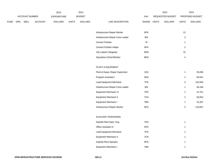|             |                |             | 2013           |                | 2014          |                |                                   | 2015          |  | 2015             |                |                 |
|-------------|----------------|-------------|----------------|----------------|---------------|----------------|-----------------------------------|---------------|--|------------------|----------------|-----------------|
|             | ACCOUNT NUMBER |             |                | EXPENDITURE    | <b>BUDGET</b> |                |                                   | <b>PAY</b>    |  | REQUESTED BUDGET |                | PROPOSED BUDGET |
| <b>FUND</b> | ORG            | <b>SBCL</b> | <b>ACCOUNT</b> | <b>DOLLARS</b> | <b>UNITS</b>  | <b>DOLLARS</b> | LINE DESCRIPTION                  | RANGE UNITS   |  | <b>DOLLARS</b>   | <b>UNITS</b>   | <b>DOLLARS</b>  |
|             |                |             |                |                |               |                |                                   |               |  |                  |                |                 |
|             |                |             |                |                |               |                | Infrastructure Repair Worker      | 8FN           |  |                  | 12             |                 |
|             |                |             |                |                |               |                | Infrastructure Repair Crew Leader | 8I            |  |                  | $\mathbf{3}$   |                 |
|             |                |             |                |                |               |                | <b>Cement Finisher</b>            | $7\mathsf{K}$ |  |                  | $\mathbf{1}$   |                 |
|             |                |             |                |                |               |                | Cement Finisher Helper            | 8FN           |  |                  | $\overline{2}$ |                 |
|             |                |             |                |                |               |                | City Laborer (Regular)            | 8DN           |  |                  | 15             |                 |
|             |                |             |                |                |               |                | <b>Operations Driver/Worker</b>   | 8KN           |  |                  | $\overline{4}$ |                 |
|             |                |             |                |                |               |                |                                   |               |  |                  |                |                 |
|             |                |             |                |                |               |                | PLANT & EQUIPMENT                 |               |  |                  |                |                 |
|             |                |             |                |                |               |                | Plant & Equip. Repair Supervisor  | 1DX           |  |                  | $\mathbf{1}$   | 59,296          |
|             |                |             |                |                |               |                | Program Assistant I               | 5EN           |  |                  | $\overline{2}$ | 85,041          |
|             |                |             |                |                |               |                | Lead Equipment Mechanic           | 7FN           |  |                  | $\mathbf 3$    | 132,593         |
|             |                |             |                |                |               |                | Infrastructure Repair Crew Leader | 8IN           |  |                  | $\mathbf{1}$   | 46,106          |
|             |                |             |                |                |               |                | <b>Equipment Mechanic IV</b>      | 7EN           |  |                  | $\mathbf{1}$   | 41,751          |
|             |                |             |                |                |               |                | Equipment Mechanic II             | 7CN           |  |                  | $\overline{2}$ | 83,054          |
|             |                |             |                |                |               |                | Equipment Mechanic I              | 7BN           |  |                  | $\mathbf{1}$   | 41,287          |
|             |                |             |                |                |               |                | Infrastructure Repair Worker      | 8FN           |  |                  | $\mathbf{3}$   | 118,847         |
|             |                |             |                |                |               |                |                                   |               |  |                  |                |                 |
|             |                |             |                |                |               |                | AUXILIARY PERSONNEL               |               |  |                  |                |                 |
|             |                |             |                |                |               |                | Asphalt Plant Oper. Eng.          | 7KN           |  |                  | $\mathbf{1}$   |                 |
|             |                |             |                |                |               |                | Office Assistant III              | 6FN           |  |                  | $\mathbf{1}$   |                 |
|             |                |             |                |                |               |                | Lead Equipment Mechanic           | 7FN           |  |                  | $\mathbf{1}$   |                 |
|             |                |             |                |                |               |                | Equipment Mechanic II             | 7CN           |  |                  | $\mathbf{1}$   |                 |
|             |                |             |                |                |               |                | Asphalt Plant Operator            | 8FN           |  |                  | $\mathbf{1}$   |                 |
|             |                |             |                |                |               |                | Equipment Mechanic I              | 7BN           |  |                  | $\mathbf{1}$   |                 |
|             |                |             |                |                |               |                |                                   |               |  |                  |                |                 |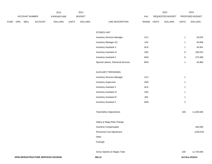|             |     |                | 2013    |                    | 2014         |                |                                      | 2015        |                  | 2015           |                 |
|-------------|-----|----------------|---------|--------------------|--------------|----------------|--------------------------------------|-------------|------------------|----------------|-----------------|
|             |     | ACCOUNT NUMBER |         | <b>EXPENDITURE</b> |              | <b>BUDGET</b>  |                                      | PAY         | REQUESTED BUDGET |                | PROPOSED BUDGET |
| <b>FUND</b> | ORG | <b>SBCL</b>    | ACCOUNT | <b>DOLLARS</b>     | <b>UNITS</b> | <b>DOLLARS</b> | LINE DESCRIPTION                     | RANGE UNITS | <b>DOLLARS</b>   | <b>UNITS</b>   | <b>DOLLARS</b>  |
|             |     |                |         |                    |              |                |                                      |             |                  |                |                 |
|             |     |                |         |                    |              |                | STORES UNIT                          |             |                  |                |                 |
|             |     |                |         |                    |              |                | <b>Inventory Services Manager</b>    | 1CX         |                  | $\mathbf{1}$   | 54,876          |
|             |     |                |         |                    |              |                | Inventory Manager (X)                | 1AX         |                  | $\mathbf{1}$   | 45,858          |
|             |     |                |         |                    |              |                | <b>Inventory Assistant V</b>         | 6LN         |                  | $\mathbf{1}$   | 44,941          |
|             |     |                |         |                    |              |                | Inventory Assistant IV               | 6JN         |                  | $\bf 8$        | 345,022         |
|             |     |                |         |                    |              |                | <b>Inventory Assistant II</b>        | 6HN         |                  | $\,6\,$        | 275,380         |
|             |     |                |         |                    |              |                | Special Laborer, Electrical Services | 8GN         |                  | $\mathbf{1}$   | 43,960          |
|             |     |                |         |                    |              |                |                                      |             |                  |                |                 |
|             |     |                |         |                    |              |                | AUXILIARY PERSONNEL                  |             |                  |                |                 |
|             |     |                |         |                    |              |                | <b>Inventory Services Manager</b>    | 1CX         |                  | $\mathbf{1}$   |                 |
|             |     |                |         |                    |              |                | <b>Inventory Supervisor</b>          | 2DN         |                  | $\mathbf{1}$   |                 |
|             |     |                |         |                    |              |                | <b>Inventory Assistant V</b>         | 6LN         |                  | $\mathbf{1}$   |                 |
|             |     |                |         |                    |              |                | Inventory Assistant IV               | 6JN         |                  | $\mathbf{1}$   |                 |
|             |     |                |         |                    |              |                | <b>Inventory Assistant III</b>       | 6IN         |                  | $\mathbf{1}$   |                 |
|             |     |                |         |                    |              |                | <b>Inventory Assistant II</b>        | 6HN         |                  | $\overline{2}$ |                 |
|             |     |                |         |                    |              |                |                                      |             |                  |                |                 |
|             |     |                |         |                    |              |                | <b>Total Before Adjustments</b>      |             |                  | 326            | 11,483,505      |
|             |     |                |         |                    |              |                |                                      |             |                  |                |                 |
|             |     |                |         |                    |              |                | Salary & Wage Rate Change            |             |                  |                |                 |
|             |     |                |         |                    |              |                | Overtime Compensated                 |             |                  |                | 450,000         |
|             |     |                |         |                    |              |                | Personnel Cost Adjustment            |             |                  |                | (229, 670)      |
|             |     |                |         |                    |              |                | Other                                |             |                  |                |                 |
|             |     |                |         |                    |              |                | Furlough                             |             |                  |                |                 |
|             |     |                |         |                    |              |                |                                      |             |                  |                |                 |
|             |     |                |         |                    |              |                | Gross Salaries & Wages Total         |             |                  | 326            | 11,703,835      |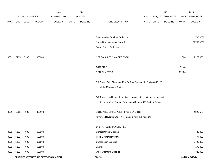|             |                                      |                       | 2013           |                | 2014         |                | 2015                                                                      |             |  | 2015             |              |                 |
|-------------|--------------------------------------|-----------------------|----------------|----------------|--------------|----------------|---------------------------------------------------------------------------|-------------|--|------------------|--------------|-----------------|
|             |                                      | <b>ACCOUNT NUMBER</b> |                | EXPENDITURE    |              | <b>BUDGET</b>  |                                                                           | <b>PAY</b>  |  | REQUESTED BUDGET |              | PROPOSED BUDGET |
| <b>FUND</b> | ORG                                  | SBCL                  | <b>ACCOUNT</b> | <b>DOLLARS</b> | <b>UNITS</b> | <b>DOLLARS</b> | LINE DESCRIPTION                                                          | RANGE UNITS |  | <b>DOLLARS</b>   | <b>UNITS</b> | <b>DOLLARS</b>  |
|             |                                      |                       |                |                |              |                |                                                                           |             |  |                  |              |                 |
|             |                                      |                       |                |                |              |                |                                                                           |             |  |                  |              |                 |
|             |                                      |                       |                |                |              |                | Reimbursable Services Deduction                                           |             |  |                  |              | (768,000)       |
|             |                                      |                       |                |                |              |                | Capital Improvements Deduction                                            |             |  |                  |              | (5,759,000)     |
|             |                                      |                       |                |                |              |                | <b>Grants &amp; Aids Deduction</b>                                        |             |  |                  |              |                 |
|             |                                      |                       |                |                |              |                |                                                                           |             |  |                  |              |                 |
| 0001        | 5235                                 | R999                  | 006000         |                |              |                | NET SALARIES & WAGES TOTAL                                                |             |  |                  | 326          | 5,176,835       |
|             |                                      |                       |                |                |              |                |                                                                           |             |  |                  |              |                 |
|             |                                      |                       |                |                |              |                | O&M FTE'S                                                                 |             |  |                  | 92.48        |                 |
|             |                                      |                       |                |                |              |                | NON-O&M FTE'S                                                             |             |  |                  | 112.64       |                 |
|             |                                      |                       |                |                |              |                |                                                                           |             |  |                  |              |                 |
|             |                                      |                       |                |                |              |                | (X) Private Auto Allowance May Be Paid Pursuant to Section 350-183        |             |  |                  |              |                 |
|             |                                      |                       |                |                |              |                | of the Milwaukee Code.                                                    |             |  |                  |              |                 |
|             |                                      |                       |                |                |              |                | (Y) Required to file a statement of economic interests in accordance with |             |  |                  |              |                 |
|             |                                      |                       |                |                |              |                | the Milwaukee Code of Ordinances Chapter 303-Code of Ethics.              |             |  |                  |              |                 |
|             |                                      |                       |                |                |              |                |                                                                           |             |  |                  |              |                 |
| 0001        | 5235                                 | R999                  | 006100         |                |              |                | ESTIMATED EMPLOYEE FRINGE BENEFITS                                        |             |  |                  |              | 2,329,576       |
|             |                                      |                       |                |                |              |                | (Involves Revenue Offset-No Transfers from this Account)                  |             |  |                  |              |                 |
|             |                                      |                       |                |                |              |                |                                                                           |             |  |                  |              |                 |
|             |                                      |                       |                |                |              |                | OPERATING EXPENDITURES                                                    |             |  |                  |              |                 |
| 0001        | 5235                                 | R999                  | 630100         |                |              |                | <b>General Office Expense</b>                                             |             |  |                  |              | 25,000          |
| 0001        | 5235                                 | R999                  | 630500         |                |              |                | Tools & Machinery Parts                                                   |             |  |                  |              | 74,000          |
| 0001        | 5235                                 | R999                  | 631000         |                |              |                | <b>Construction Supplies</b>                                              |             |  |                  |              | 1,725,000       |
| 0001        | 5235                                 | R999                  | 631500         |                |              |                | Energy                                                                    |             |  |                  |              | 170,000         |
| 0001        | 5235                                 | R999                  | 632000         |                |              |                | <b>Other Operating Supplies</b>                                           |             |  |                  |              | 325,000         |
|             | DPW-INFRASTRUCTURE SERVICES DIVISION |                       |                |                |              |                | 300.13                                                                    |             |  |                  |              | 3rd Run 9/15/14 |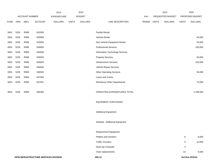|             |      |                | 2013                                 |                    | 2014         |                |                                    | 2015  |              | 2015             |              |                 |
|-------------|------|----------------|--------------------------------------|--------------------|--------------|----------------|------------------------------------|-------|--------------|------------------|--------------|-----------------|
|             |      | ACCOUNT NUMBER |                                      | <b>EXPENDITURE</b> |              | <b>BUDGET</b>  |                                    | PAY   |              | REQUESTED BUDGET |              | PROPOSED BUDGET |
| <b>FUND</b> | ORG  | <b>SBCL</b>    | <b>ACCOUNT</b>                       | <b>DOLLARS</b>     | <b>UNITS</b> | <b>DOLLARS</b> | LINE DESCRIPTION                   | RANGE | <b>UNITS</b> | <b>DOLLARS</b>   | <b>UNITS</b> | <b>DOLLARS</b>  |
|             |      |                |                                      |                    |              |                |                                    |       |              |                  |              |                 |
| 0001        | 5235 | R999           | 632500                               |                    |              |                | <b>Facility Rental</b>             |       |              |                  |              |                 |
| 0001        | 5235 | R999           | 633000                               |                    |              |                | Vehicle Rental                     |       |              |                  |              | 40,000          |
| 0001        | 5235 | R999           | 633500                               |                    |              |                | Non-Vehicle Equipment Rental       |       |              |                  |              | 25,000          |
| 0001        | 5235 | R999           | 634000                               |                    |              |                | <b>Professional Services</b>       |       |              |                  |              | 100,000         |
| 0001        | 5235 | R999           | 634500                               |                    |              |                | Information Technology Services    |       |              |                  |              |                 |
| 0001        | 5235 | R999           | 635000                               |                    |              |                | <b>Property Services</b>           |       |              |                  |              | 30,000          |
| 0001        | 5235 | R999           | 635500                               |                    |              |                | Infrastructure Services            |       |              |                  |              | 150,000         |
| 0001        | 5235 | R999           | 636000                               |                    |              |                | Vehicle Repair Services            |       |              |                  |              |                 |
| 0001        | 5235 | R999           | 636500                               |                    |              |                | <b>Other Operating Services</b>    |       |              |                  |              | 50,000          |
| 0001        | 5235 | R999           | 637000                               |                    |              |                | Loans and Grants                   |       |              |                  |              |                 |
| 0001        | 5235 | R999           | 637501                               |                    |              |                | <b>Reimburse Other Departments</b> |       |              |                  |              | 74,000          |
|             |      |                |                                      |                    |              |                |                                    |       |              |                  |              |                 |
| 0001        | 5235 | R999           | 006300                               |                    |              |                | OPERATING EXPENDITURES TOTAL       |       |              |                  |              | 2,788,000       |
|             |      |                |                                      |                    |              |                |                                    |       |              |                  |              |                 |
|             |      |                |                                      |                    |              |                | <b>EQUIPMENT PURCHASES</b>         |       |              |                  |              |                 |
|             |      |                |                                      |                    |              |                |                                    |       |              |                  |              |                 |
|             |      |                |                                      |                    |              |                | <b>Additional Equipment</b>        |       |              |                  |              |                 |
|             |      |                |                                      |                    |              |                |                                    |       |              |                  |              |                 |
|             |      |                |                                      |                    |              |                | Subtotal - Additional Equipment    |       |              |                  |              |                 |
|             |      |                |                                      |                    |              |                | Replacement Equipment              |       |              |                  |              |                 |
|             |      |                |                                      |                    |              |                | Plotters and monitors              |       |              |                  | 6            | 8,000           |
|             |      |                |                                      |                    |              |                | <b>Traffic Counters</b>            |       |              |                  |              |                 |
|             |      |                |                                      |                    |              |                |                                    |       |              |                  | $\sqrt{5}$   | 10,000          |
|             |      |                |                                      |                    |              |                | Desk top Computer                  |       |              |                  | 4            |                 |
|             |      |                |                                      |                    |              |                | Chair replacements                 |       |              |                  | 15           | 4,500           |
|             |      |                | DPW-INFRASTRUCTURE SERVICES DIVISION |                    |              |                | 300.14                             |       |              |                  |              | 3rd Run 9/15/14 |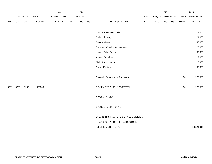|             |      |                       | 2014<br>2013   |                    |               |                |                                       | 2015        | 2015             |                |                 |
|-------------|------|-----------------------|----------------|--------------------|---------------|----------------|---------------------------------------|-------------|------------------|----------------|-----------------|
|             |      | <b>ACCOUNT NUMBER</b> |                | <b>EXPENDITURE</b> | <b>BUDGET</b> |                |                                       | PAY         | REQUESTED BUDGET |                | PROPOSED BUDGET |
| <b>FUND</b> | ORG  | SBCL                  | <b>ACCOUNT</b> | <b>DOLLARS</b>     | <b>UNITS</b>  | <b>DOLLARS</b> | LINE DESCRIPTION                      | RANGE UNITS | <b>DOLLARS</b>   | <b>UNITS</b>   | <b>DOLLARS</b>  |
|             |      |                       |                |                    |               |                |                                       |             |                  |                |                 |
|             |      |                       |                |                    |               |                | Concrete Saw with Trailer             |             |                  | $\mathbf{1}$   | 27,000          |
|             |      |                       |                |                    |               |                | Roller, Vibratory                     |             |                  | $\overline{2}$ | 24,000          |
|             |      |                       |                |                    |               |                | Sealant Melter                        |             |                  | $\overline{1}$ | 40,000          |
|             |      |                       |                |                    |               |                | <b>Pavement Grinding Accessories</b>  |             |                  | $\overline{1}$ | 25,000          |
|             |      |                       |                |                    |               |                | Asphalt Pellet Patcher                |             |                  | $\mathbf{1}$   | 30,000          |
|             |      |                       |                |                    |               |                | Asphalt Reclaimer                     |             |                  | $\mathbf{1}$   | 19,000          |
|             |      |                       |                |                    |               |                | Mini Infrared Heater                  |             |                  | $\mathbf{1}$   | 10,000          |
|             |      |                       |                |                    |               |                | Survey Equipment                      |             |                  |                | 30,000          |
|             |      |                       |                |                    |               |                |                                       |             |                  |                |                 |
|             |      |                       |                |                    |               |                | Subtotal - Replacement Equipment      |             |                  | 30             | 227,500         |
|             |      |                       |                |                    |               |                |                                       |             |                  |                |                 |
| 0001        | 5235 | R999                  | 006800         |                    |               |                | EQUIPMENT PURCHASES TOTAL             |             |                  | 30             | 227,500         |
|             |      |                       |                |                    |               |                |                                       |             |                  |                |                 |
|             |      |                       |                |                    |               |                | SPECIAL FUNDS                         |             |                  |                |                 |
|             |      |                       |                |                    |               |                |                                       |             |                  |                |                 |
|             |      |                       |                |                    |               |                | SPECIAL FUNDS TOTAL                   |             |                  |                |                 |
|             |      |                       |                |                    |               |                |                                       |             |                  |                |                 |
|             |      |                       |                |                    |               |                | DPW-INFRASTRUCTURE SERVICES DIVISION- |             |                  |                |                 |
|             |      |                       |                |                    |               |                | TRANSPORTATION INFRASTRUCTURE         |             |                  |                |                 |
|             |      |                       |                |                    |               |                | DECISION UNIT TOTAL                   |             |                  |                | 10,521,911      |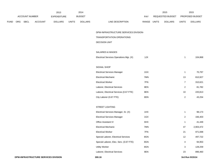|             |     |                | 2013           |                    | 2014         |                |                                         | 2015        |  | 2015             |                |                 |
|-------------|-----|----------------|----------------|--------------------|--------------|----------------|-----------------------------------------|-------------|--|------------------|----------------|-----------------|
|             |     | ACCOUNT NUMBER |                | <b>EXPENDITURE</b> |              | <b>BUDGET</b>  |                                         | PAY         |  | REQUESTED BUDGET |                | PROPOSED BUDGET |
| <b>FUND</b> | ORG | <b>SBCL</b>    | <b>ACCOUNT</b> | <b>DOLLARS</b>     | <b>UNITS</b> | <b>DOLLARS</b> | LINE DESCRIPTION                        | RANGE UNITS |  | <b>DOLLARS</b>   | <b>UNITS</b>   | <b>DOLLARS</b>  |
|             |     |                |                |                    |              |                |                                         |             |  |                  |                |                 |
|             |     |                |                |                    |              |                | DPW-INFRASTRUCTURE SERVICES DIVISION-   |             |  |                  |                |                 |
|             |     |                |                |                    |              |                | TRANSPORTATION OPERATIONS               |             |  |                  |                |                 |
|             |     |                |                |                    |              |                | <b>DECISION UNIT</b>                    |             |  |                  |                |                 |
|             |     |                |                |                    |              |                |                                         |             |  |                  |                |                 |
|             |     |                |                |                    |              |                | SALARIES & WAGES                        |             |  |                  |                |                 |
|             |     |                |                |                    |              |                | Electrical Services Operations Mgr. (X) | 1JX         |  |                  | $\mathbf{1}$   | 104,868         |
|             |     |                |                |                    |              |                |                                         |             |  |                  |                |                 |
|             |     |                |                |                    |              |                | SIGNAL SHOP                             |             |  |                  |                |                 |
|             |     |                |                |                    |              |                | <b>Electrical Services Manager</b>      | 1GX         |  |                  | $\mathbf{1}$   | 70,797          |
|             |     |                |                |                    |              |                | <b>Electrical Mechanic</b>              | 7MN         |  |                  | 13             | 810,927         |
|             |     |                |                |                    |              |                | <b>Electrical Worker</b>                | 7FN         |  |                  | $\overline{7}$ | 310,621         |
|             |     |                |                |                    |              |                | Laborer, Electrical Services            | 8EN         |  |                  | $\overline{2}$ | 81,782          |
|             |     |                |                |                    |              |                | Laborer, Electrical Services (0.67 FTE) | 8EN         |  |                  | 10             | 220,813         |
|             |     |                |                |                    |              |                | City Laborer (0.67 FTE)                 | 8DN         |  |                  | $\overline{2}$ | 43,254          |
|             |     |                |                |                    |              |                |                                         |             |  |                  |                |                 |
|             |     |                |                |                    |              |                | STREET LIGHTING                         |             |  |                  |                |                 |
|             |     |                |                |                    |              |                | Electrical Services Manager, Sr. (X)    | 1HX         |  |                  | $\mathbf{1}$   | 98,173          |
|             |     |                |                |                    |              |                | <b>Electrical Services Manager</b>      | 1GX         |  |                  | $\overline{2}$ | 166,403         |
|             |     |                |                |                    |              |                | Office Assistant IV                     | 6HX         |  |                  | $\mathbf{1}$   | 41,449          |
|             |     |                |                |                    |              |                | <b>Electrical Mechanic</b>              | 7MN         |  |                  | 47             | 2,903,472       |
|             |     |                |                |                    |              |                | <b>Electrical Worker</b>                | 7FN         |  |                  | 21             | 971,698         |
|             |     |                |                |                    |              |                | Special Laborer, Electrical Services    | 8GN         |  |                  | 12             | 497,722         |
|             |     |                |                |                    |              |                | Special Laborer, Elec. Serv. (0.67 FTE) | 8GN         |  |                  | $\overline{4}$ | 94,953          |
|             |     |                |                |                    |              |                | <b>Utility Worker</b>                   | 8GN         |  |                  | 3              | 128,259         |
|             |     |                |                |                    |              |                | Laborer, Electrical Services            | 8EN         |  |                  | 23             | 896,460         |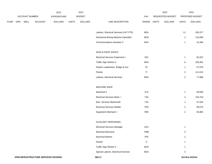|             |     |                |                | 2013               |              | 2014           |                                                        |             | 2015             |                              | 2015            |
|-------------|-----|----------------|----------------|--------------------|--------------|----------------|--------------------------------------------------------|-------------|------------------|------------------------------|-----------------|
|             |     | ACCOUNT NUMBER |                | <b>EXPENDITURE</b> |              | <b>BUDGET</b>  |                                                        | PAY         | REQUESTED BUDGET |                              | PROPOSED BUDGET |
| <b>FUND</b> | ORG | <b>SBCL</b>    | <b>ACCOUNT</b> | <b>DOLLARS</b>     | <b>UNITS</b> | <b>DOLLARS</b> | LINE DESCRIPTION                                       | RANGE UNITS | <b>DOLLARS</b>   | <b>UNITS</b>                 | <b>DOLLARS</b>  |
|             |     |                |                |                    |              |                |                                                        |             |                  |                              |                 |
|             |     |                |                |                    |              |                | Laborer, Electrical Services (0.67 FTE)                | 8EN         |                  | 11                           | 283,377         |
|             |     |                |                |                    |              |                | Directional Boring Machine Oper/Wrk                    | 8ON         |                  | $\overline{a}$               | 115,690         |
|             |     |                |                |                    |              |                | <b>Communications Assistant V</b>                      | 6KN         |                  | $\mathbf{1}$                 | 41,594          |
|             |     |                |                |                    |              |                | SIGN & PAINT SHOPS                                     |             |                  |                              |                 |
|             |     |                |                |                    |              |                | <b>Electrical Services Supervisor I</b>                | 1EX         |                  | $\mathbf{1}$                 | 81,022          |
|             |     |                |                |                    |              |                | Traffic Sign Worker II                                 | 8GN         |                  | 6                            | 255,991         |
|             |     |                |                |                    |              |                | Painter Leadworker, Bridge & Iron                      | 7K          |                  | $\mathbf{1}$                 | 57,678          |
|             |     |                |                |                    |              |                | Painter                                                | 71          |                  | $\overline{a}$               | 111,612         |
|             |     |                |                |                    |              |                | Laborer, Electrical Services                           | 8EN         |                  | $\mathbf{2}$                 | 77,866          |
|             |     |                |                |                    |              |                | MACHINE SHOP                                           |             |                  |                              |                 |
|             |     |                |                |                    |              |                | Machinist II                                           | 7LN         |                  | $\mathbf{1}$                 | 59,009          |
|             |     |                |                |                    |              |                | Electrical Services Mach. I                            | 7JN         |                  | 4                            | 220,753         |
|             |     |                |                |                    |              |                | Elec. Services Blacksmith                              | 7JN         |                  | $\mathbf{1}$                 | 57,025          |
|             |     |                |                |                    |              |                | <b>Electrical Services Welder</b>                      | 7HN         |                  | $\overline{2}$               | 96,570          |
|             |     |                |                |                    |              |                | Equipment Mechanic I                                   | 7BN         |                  | $\overline{2}$               | 83,864          |
|             |     |                |                |                    |              |                | AUXILIARY PERSONNEL                                    |             |                  |                              |                 |
|             |     |                |                |                    |              |                | <b>Electrical Services Manager</b>                     | 1GX         |                  | $\mathbf{1}$                 |                 |
|             |     |                |                |                    |              |                |                                                        | 7MM         |                  |                              |                 |
|             |     |                |                |                    |              |                | <b>Electrical Mechanic</b><br><b>Electrical Worker</b> | 7FN         |                  | 3                            |                 |
|             |     |                |                |                    |              |                | Painter                                                | 71          |                  | $\overline{2}$               |                 |
|             |     |                |                |                    |              |                | Traffic Sign Worker II                                 | 8GN         |                  | $\mathbf{1}$<br>$\mathbf{1}$ |                 |
|             |     |                |                |                    |              |                |                                                        |             |                  |                              |                 |
|             |     |                |                |                    |              |                | Special Laborer, Electrical Services                   | 8GN         |                  | $\mathbf{3}$                 |                 |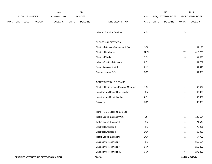|             |     |                |         | 2013               |              | 2014           |                                        |             | 2015             |                | 2015            |
|-------------|-----|----------------|---------|--------------------|--------------|----------------|----------------------------------------|-------------|------------------|----------------|-----------------|
|             |     | ACCOUNT NUMBER |         | <b>EXPENDITURE</b> |              | <b>BUDGET</b>  |                                        | PAY         | REQUESTED BUDGET |                | PROPOSED BUDGET |
| <b>FUND</b> | ORG | SBCL           | ACCOUNT | <b>DOLLARS</b>     | <b>UNITS</b> | <b>DOLLARS</b> | LINE DESCRIPTION                       | RANGE UNITS | <b>DOLLARS</b>   | <b>UNITS</b>   | <b>DOLLARS</b>  |
|             |     |                |         |                    |              |                |                                        |             |                  |                |                 |
|             |     |                |         |                    |              |                | Laborer, Electrical Services           | 8EN         |                  | $\,$ 5 $\,$    |                 |
|             |     |                |         |                    |              |                | ELECTRICAL SERVICES                    |             |                  |                |                 |
|             |     |                |         |                    |              |                | Electrical Services Supervisor II (X)  | 1GX         |                  | $\overline{a}$ | 184,178         |
|             |     |                |         |                    |              |                | <b>Electrical Mechanic</b>             | 7MN         |                  | 17             | 1,016,223       |
|             |     |                |         |                    |              |                | <b>Electrical Worker</b>               | 7FN         |                  | 3              | 134,596         |
|             |     |                |         |                    |              |                | Laborer/Electrical Services            | 8EN         |                  | $\overline{a}$ | 81,782          |
|             |     |                |         |                    |              |                | <b>Accounting Assistant II</b>         | 6HN         |                  | $\mathbf{1}$   | 41,449          |
|             |     |                |         |                    |              |                | Special Laborer E.S.                   | 8GN         |                  | $\mathbf{1}$   | 41,365          |
|             |     |                |         |                    |              |                |                                        |             |                  |                |                 |
|             |     |                |         |                    |              |                | <b>CONSTRUCTION &amp; REPAIRS</b>      |             |                  |                |                 |
|             |     |                |         |                    |              |                | Electrical Maintenance Program Manager | 1BX         |                  | $\mathbf{1}$   | 56,534          |
|             |     |                |         |                    |              |                | Infrastructure Repair Crew Leader      | 8IN         |                  | $\mathbf{1}$   | 45,926          |
|             |     |                |         |                    |              |                | Infrastructure Repair Worker           | 8FN         |                  | $\mathbf{1}$   | 45,922          |
|             |     |                |         |                    |              |                | <b>Bricklayer</b>                      | 7QN         |                  | $\mathbf{1}$   | 68,328          |
|             |     |                |         |                    |              |                |                                        |             |                  |                |                 |
|             |     |                |         |                    |              |                | TRAFFIC & LIGHTING DESIGN              |             |                  |                |                 |
|             |     |                |         |                    |              |                | Traffic Control Engineer V (X)         | 1JX         |                  | $\mathbf{1}$   | 108,124         |
|             |     |                |         |                    |              |                | <b>Traffic Control Engineer III</b>    | 2IN         |                  | $\mathbf{1}$   | 71,542          |
|             |     |                |         |                    |              |                | <b>Electrical Engineer III</b>         | 2IN         |                  | $\mathbf{1}$   | 78,291          |
|             |     |                |         |                    |              |                | <b>Electrical Engineer II</b>          | 2GN         |                  | $\mathbf{1}$   | 68,929          |
|             |     |                |         |                    |              |                | <b>Traffic Control Engineer II</b>     | 2GN         |                  | $\mathbf{1}$   | 57,795          |
|             |     |                |         |                    |              |                | Engineering Technician VI              | 2IN         |                  | 4              | 313,164         |
|             |     |                |         |                    |              |                | Engineering Technician V               | 3RN         |                  | 4              | 258,465         |
|             |     |                |         |                    |              |                | Engineering Technician IV              | 3NN         |                  | $\overline{5}$ | 275,427         |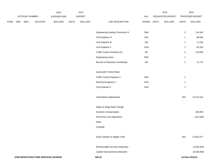|             |     |                |                                      | 2013               |              | 2014           |                                    |                | 2015             |                         | 2015            |
|-------------|-----|----------------|--------------------------------------|--------------------|--------------|----------------|------------------------------------|----------------|------------------|-------------------------|-----------------|
|             |     | ACCOUNT NUMBER |                                      | <b>EXPENDITURE</b> |              | <b>BUDGET</b>  |                                    | PAY            | REQUESTED BUDGET |                         | PROPOSED BUDGET |
| <b>FUND</b> | ORG | <b>SBCL</b>    | ACCOUNT                              | <b>DOLLARS</b>     | <b>UNITS</b> | <b>DOLLARS</b> | LINE DESCRIPTION                   | RANGE UNITS    | <b>DOLLARS</b>   | <b>UNITS</b>            | <b>DOLLARS</b>  |
|             |     |                |                                      |                    |              |                |                                    |                |                  |                         |                 |
|             |     |                |                                      |                    |              |                | Engineering Drafting Technician IV | $3\mathrm{NN}$ |                  | $\boldsymbol{2}$        | 119,182         |
|             |     |                |                                      |                    |              |                | Civil Engineer IV                  | 2KX            |                  | $\mathbf{1}$            | 88,936          |
|             |     |                |                                      |                    |              |                | Civil Engineer III                 | 2IN            |                  | $\mathbf{1}$            | 71,542          |
|             |     |                |                                      |                    |              |                | Civil Engineer II                  | 2GN            |                  | $\mathbf{1}$            | 60,316          |
|             |     |                |                                      |                    |              |                | Traffic Control Assistant (X)      | 9N             |                  | $\overline{\mathbf{4}}$ | 129,920         |
|             |     |                |                                      |                    |              |                | Engineering Intern                 | 9PN            |                  | $\overline{1}$          |                 |
|             |     |                |                                      |                    |              |                | Bicycle & Pedestrian Coordinator   | 2IN            |                  | $\overline{1}$          | 71,774          |
|             |     |                |                                      |                    |              |                |                                    |                |                  |                         |                 |
|             |     |                |                                      |                    |              |                | <b>AUXILIARY POSITIONS</b>         |                |                  |                         |                 |
|             |     |                |                                      |                    |              |                | <b>Traffic Control Engineer II</b> | 2GN            |                  | $\mathbf{1}$            |                 |
|             |     |                |                                      |                    |              |                | <b>Electrical Engineer II</b>      | 2GN            |                  | $\overline{1}$          |                 |
|             |     |                |                                      |                    |              |                | Civil Engineer II                  | 2GN            |                  | $\overline{1}$          |                 |
|             |     |                |                                      |                    |              |                | <b>Total Before Adjustments</b>    |                |                  | 264                     | 12,473,412      |
|             |     |                |                                      |                    |              |                |                                    |                |                  |                         |                 |
|             |     |                |                                      |                    |              |                | Salary & Wage Rate Change          |                |                  |                         |                 |
|             |     |                |                                      |                    |              |                | Overtime Compensated               |                |                  |                         | 400,000         |
|             |     |                |                                      |                    |              |                | Personnel Cost Adjustment          |                |                  |                         | (311, 835)      |
|             |     |                |                                      |                    |              |                | Other                              |                |                  |                         |                 |
|             |     |                |                                      |                    |              |                | Furlough                           |                |                  |                         |                 |
|             |     |                |                                      |                    |              |                | Gross Salaries & Wages Total       |                |                  | 264                     | 12,561,577      |
|             |     |                |                                      |                    |              |                |                                    |                |                  |                         |                 |
|             |     |                |                                      |                    |              |                | Reimbursable Services Deduction    |                |                  |                         | (1,656,000)     |
|             |     |                |                                      |                    |              |                | Capital Improvements Deduction     |                |                  |                         | (4,539,000)     |
|             |     |                | DPW-INFRASTRUCTURE SERVICES DIVISION |                    |              |                | 300.19                             |                |                  |                         | 3rd Run 9/15/14 |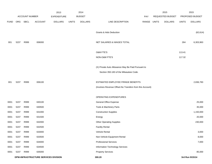|             |      |                       |                                      | 2013               |              | 2014           |                                                          |             | 2015             |              | 2015            |
|-------------|------|-----------------------|--------------------------------------|--------------------|--------------|----------------|----------------------------------------------------------|-------------|------------------|--------------|-----------------|
|             |      | <b>ACCOUNT NUMBER</b> |                                      | <b>EXPENDITURE</b> |              | <b>BUDGET</b>  |                                                          | <b>PAY</b>  | REQUESTED BUDGET |              | PROPOSED BUDGET |
| <b>FUND</b> | ORG  | SBCL                  | <b>ACCOUNT</b>                       | <b>DOLLARS</b>     | <b>UNITS</b> | <b>DOLLARS</b> | LINE DESCRIPTION                                         | RANGE UNITS | <b>DOLLARS</b>   | <b>UNITS</b> | <b>DOLLARS</b>  |
|             |      |                       |                                      |                    |              |                |                                                          |             |                  |              |                 |
|             |      |                       |                                      |                    |              |                | <b>Grants &amp; Aids Deduction</b>                       |             |                  |              | (62, 614)       |
|             |      |                       |                                      |                    |              |                |                                                          |             |                  |              |                 |
| 001         | 5237 | R999                  | 006000                               |                    |              |                | NET SALARIES & WAGES TOTAL                               |             |                  | 264          | 6,303,963       |
|             |      |                       |                                      |                    |              |                | <b>O&amp;M FTE'S</b>                                     |             |                  | 113.41       |                 |
|             |      |                       |                                      |                    |              |                | NON-O&M FTE'S                                            |             |                  | 117.32       |                 |
|             |      |                       |                                      |                    |              |                |                                                          |             |                  |              |                 |
|             |      |                       |                                      |                    |              |                | (X) Private Auto Allowance May Be Paid Pursuant to       |             |                  |              |                 |
|             |      |                       |                                      |                    |              |                | Section 350-183 of the Milwaukee Code.                   |             |                  |              |                 |
|             |      |                       |                                      |                    |              |                |                                                          |             |                  |              |                 |
| 001         | 5237 | R999                  | 006100                               |                    |              |                | ESTIMATED EMPLOYEE FRINGE BENEFITS                       |             |                  |              | 2,836,783       |
|             |      |                       |                                      |                    |              |                | (Involves Revenue Offset-No Transfers from this Account) |             |                  |              |                 |
|             |      |                       |                                      |                    |              |                |                                                          |             |                  |              |                 |
|             |      |                       |                                      |                    |              |                | OPERATING EXPENDITURES                                   |             |                  |              |                 |
| 0001        | 5237 | R999                  | 630100                               |                    |              |                | General Office Expense                                   |             |                  |              | 25,000          |
| 0001        | 5237 | R999                  | 630500                               |                    |              |                | Tools & Machinery Parts                                  |             |                  |              | 35,000          |
| 0001        | 5237 | R999                  | 631000                               |                    |              |                | <b>Construction Supplies</b>                             |             |                  |              | 1,150,000       |
| 0001        | 5237 | R999                  | 631500                               |                    |              |                | Energy                                                   |             |                  |              | 20,000          |
| 0001        | 5237 | R999                  | 632000                               |                    |              |                | <b>Other Operating Supplies</b>                          |             |                  |              | 230,000         |
| 0001        | 5237 | R999                  | 632500                               |                    |              |                | <b>Facility Rental</b>                                   |             |                  |              |                 |
| 0001        | 5237 | R999                  | 633000                               |                    |              |                | Vehicle Rental                                           |             |                  |              | 3,000           |
| 0001        | 5237 | R999                  | 633500                               |                    |              |                | Non-Vehicle Equipment Rental                             |             |                  |              | 8,000           |
| 0001        | 5237 | R999                  | 634000                               |                    |              |                | <b>Professional Services</b>                             |             |                  |              | 7,000           |
| 0001        | 5237 | R999                  | 634500                               |                    |              |                | Information Technology Services                          |             |                  |              |                 |
| 0001        | 5237 | R999                  | 635000                               |                    |              |                | <b>Property Services</b>                                 |             |                  |              | 85,000          |
|             |      |                       | DPW-INFRASTRUCTURE SERVICES DIVISION |                    |              |                | 300.20                                                   |             |                  |              | 3rd Run 9/15/14 |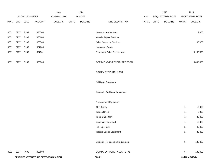|             |      |                |                                      | 2013           |              | 2014           |                                    |             | 2015             |                | 2015            |
|-------------|------|----------------|--------------------------------------|----------------|--------------|----------------|------------------------------------|-------------|------------------|----------------|-----------------|
|             |      | ACCOUNT NUMBER |                                      | EXPENDITURE    |              | <b>BUDGET</b>  |                                    | PAY         | REQUESTED BUDGET |                | PROPOSED BUDGET |
| <b>FUND</b> | ORG  | SBCL           | ACCOUNT                              | <b>DOLLARS</b> | <b>UNITS</b> | <b>DOLLARS</b> | LINE DESCRIPTION                   | RANGE UNITS | <b>DOLLARS</b>   | <b>UNITS</b>   | <b>DOLLARS</b>  |
|             |      |                |                                      |                |              |                |                                    |             |                  |                |                 |
| 0001        | 5237 | R999           | 635500                               |                |              |                | <b>Infrastructure Services</b>     |             |                  |                | 2,000           |
| 0001        | 5237 | R999           | 636000                               |                |              |                | Vehicle Repair Services            |             |                  |                |                 |
| 0001        | 5237 | R999           | 636500                               |                |              |                | <b>Other Operating Services</b>    |             |                  |                | 60,000          |
| 0001        | 5237 | R999           | 637000                               |                |              |                | Loans and Grants                   |             |                  |                |                 |
| 0001        | 5237 | R999           | 637501                               |                |              |                | <b>Reimburse Other Departments</b> |             |                  |                | 5,183,000       |
|             |      |                |                                      |                |              |                |                                    |             |                  |                |                 |
| 0001        | 5237 | R999           | 006300                               |                |              |                | OPERATING EXPENDITURES TOTAL       |             |                  |                | 6,808,000       |
|             |      |                |                                      |                |              |                |                                    |             |                  |                |                 |
|             |      |                |                                      |                |              |                | <b>EQUIPMENT PURCHASES</b>         |             |                  |                |                 |
|             |      |                |                                      |                |              |                |                                    |             |                  |                |                 |
|             |      |                |                                      |                |              |                | <b>Additional Equipment</b>        |             |                  |                |                 |
|             |      |                |                                      |                |              |                |                                    |             |                  |                |                 |
|             |      |                |                                      |                |              |                | Subtotal - Additional Equipment    |             |                  |                |                 |
|             |      |                |                                      |                |              |                |                                    |             |                  |                |                 |
|             |      |                |                                      |                |              |                | Replacement Equipment              |             |                  |                |                 |
|             |      |                |                                      |                |              |                | 10 ft Trailer                      |             |                  | $\mathbf{1}$   | 10,000          |
|             |      |                |                                      |                |              |                | <b>Trench Shield</b>               |             |                  | $\mathbf{1}$   | 8,000           |
|             |      |                |                                      |                |              |                | Triple Cable Cart                  |             |                  | $\mathbf{1}$   | 30,000          |
|             |      |                |                                      |                |              |                | Substation Duct Cart               |             |                  | $\mathbf{1}$   | 12,000          |
|             |      |                |                                      |                |              |                | Pick-Up Truck                      |             |                  | $\mathbf 2$    | 40,000          |
|             |      |                |                                      |                |              |                | <b>Trailers Boring Equipment</b>   |             |                  | $\overline{2}$ | 30,000          |
|             |      |                |                                      |                |              |                |                                    |             |                  |                |                 |
|             |      |                |                                      |                |              |                | Subtotal - Replacement Equipment   |             |                  | $\bf 8$        | 130,000         |
|             |      |                |                                      |                |              |                |                                    |             |                  |                |                 |
| 0001        | 5237 | R999           | 006800                               |                |              |                | EQUIPMENT PURCHASES TOTAL          |             |                  | 8              | 130,000         |
|             |      |                | DPW-INFRASTRUCTURE SERVICES DIVISION |                |              |                | 300.21                             |             |                  |                | 3rd Run 9/15/14 |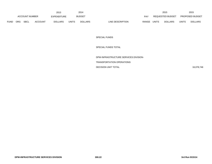|      |                                             |  |                | 2013         |                | 2014             |            |              |                  | 2015         |                        | 2015 |
|------|---------------------------------------------|--|----------------|--------------|----------------|------------------|------------|--------------|------------------|--------------|------------------------|------|
|      | <b>ACCOUNT NUMBER</b>                       |  | EXPENDITURE    |              | <b>BUDGET</b>  |                  | <b>PAY</b> |              | REQUESTED BUDGET |              | <b>PROPOSED BUDGET</b> |      |
| FUND | <b>SBCL</b><br><b>ORG</b><br><b>ACCOUNT</b> |  | <b>DOLLARS</b> | <b>UNITS</b> | <b>DOLLARS</b> | LINE DESCRIPTION | RANGE      | <b>UNITS</b> | <b>DOLLARS</b>   | <b>UNITS</b> | <b>DOLLARS</b>         |      |

SPECIAL FUNDS

SPECIAL FUNDS TOTAL

DPW-INFRASTRUCTURE SERVICES DIVISION-

TRANSPORTATION OPERATIONS

DECISION UNIT TOTAL

16,078,746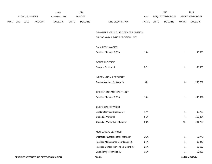|             |     |                       |         | 2013               |              | 2014           |                                           |       |              | 2015             |                | 2015            |
|-------------|-----|-----------------------|---------|--------------------|--------------|----------------|-------------------------------------------|-------|--------------|------------------|----------------|-----------------|
|             |     | <b>ACCOUNT NUMBER</b> |         | <b>EXPENDITURE</b> |              | <b>BUDGET</b>  |                                           | PAY   |              | REQUESTED BUDGET |                | PROPOSED BUDGET |
| <b>FUND</b> | ORG | <b>SBCL</b>           | ACCOUNT | <b>DOLLARS</b>     | <b>UNITS</b> | <b>DOLLARS</b> | LINE DESCRIPTION                          | RANGE | <b>UNITS</b> | <b>DOLLARS</b>   | <b>UNITS</b>   | <b>DOLLARS</b>  |
|             |     |                       |         |                    |              |                |                                           |       |              |                  |                |                 |
|             |     |                       |         |                    |              |                | DPW-INFRASTRUCTURE SERVICES DIVISION      |       |              |                  |                |                 |
|             |     |                       |         |                    |              |                | BRIDGES & BUILDINGS DECISION UNIT         |       |              |                  |                |                 |
|             |     |                       |         |                    |              |                | SALARIES & WAGES                          |       |              |                  |                |                 |
|             |     |                       |         |                    |              |                |                                           |       |              |                  |                |                 |
|             |     |                       |         |                    |              |                | Facilities Manager (X)(Y)                 | 1KX   |              |                  | $\overline{1}$ | 92,873          |
|             |     |                       |         |                    |              |                | <b>GENERAL OFFICE</b>                     |       |              |                  |                |                 |
|             |     |                       |         |                    |              |                | Program Assistant II                      | 5FN   |              |                  | $\mathbf{2}$   | 88,006          |
|             |     |                       |         |                    |              |                |                                           |       |              |                  |                |                 |
|             |     |                       |         |                    |              |                | <b>INFORMATION &amp; SECURITY</b>         |       |              |                  |                |                 |
|             |     |                       |         |                    |              |                | <b>Communications Assistant IV</b>        | 6JN   |              |                  | $\sqrt{5}$     | 203,252         |
|             |     |                       |         |                    |              |                | OPERATIONS AND MAINT. UNIT                |       |              |                  |                |                 |
|             |     |                       |         |                    |              |                |                                           |       |              |                  |                |                 |
|             |     |                       |         |                    |              |                | Facilities Manager (X)(Y)                 | 1KX   |              |                  | $\overline{1}$ | 103,392         |
|             |     |                       |         |                    |              |                | <b>CUSTODIAL SERVICES</b>                 |       |              |                  |                |                 |
|             |     |                       |         |                    |              |                | <b>Building Services Supervisor II</b>    | 1AX   |              |                  | $\mathbf{1}$   | 62,788          |
|             |     |                       |         |                    |              |                | Custodial Worker III                      | 8EN   |              |                  | 4              | 159,804         |
|             |     |                       |         |                    |              |                | Custodial Worker II/City Laborer          | 8DN   |              |                  | 12             | 441,762         |
|             |     |                       |         |                    |              |                |                                           |       |              |                  |                |                 |
|             |     |                       |         |                    |              |                | MECHANICAL SERVICES                       |       |              |                  |                |                 |
|             |     |                       |         |                    |              |                | Operations & Maintenance Manager          | 1GX   |              |                  | $\overline{1}$ | 65,777          |
|             |     |                       |         |                    |              |                | Facilities Maintenance Coordinator (X)    | 2HN   |              |                  | -1             | 62,945          |
|             |     |                       |         |                    |              |                | Facilities Construction Project Coord.(X) | 2HN   |              |                  | -1             | 65,690          |
|             |     |                       |         |                    |              |                | Engineering Technician IV                 | 3NN   |              |                  | $\mathbf 1$    | 53,067          |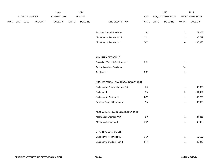|             |                |         | 2013               |              | 2014           |                                       |             | 2015             |                | 2015            |
|-------------|----------------|---------|--------------------|--------------|----------------|---------------------------------------|-------------|------------------|----------------|-----------------|
|             | ACCOUNT NUMBER |         | <b>EXPENDITURE</b> |              | <b>BUDGET</b>  |                                       | PAY         | REQUESTED BUDGET |                | PROPOSED BUDGET |
| <b>FUND</b> | ORG SBCL       | ACCOUNT | <b>DOLLARS</b>     | <b>UNITS</b> | <b>DOLLARS</b> | LINE DESCRIPTION                      | RANGE UNITS | <b>DOLLARS</b>   | <b>UNITS</b>   | <b>DOLLARS</b>  |
|             |                |         |                    |              |                |                                       |             |                  |                |                 |
|             |                |         |                    |              |                | <b>Facilities Control Specialist</b>  | 3SN         |                  | $\mathbf{1}$   | 79,083          |
|             |                |         |                    |              |                | Maintenance Technician III            | 3HN         |                  | $\overline{2}$ | 90,742          |
|             |                |         |                    |              |                | Maintenance Technician II             | 3GN         |                  | 4              | 185,373         |
|             |                |         |                    |              |                |                                       |             |                  |                |                 |
|             |                |         |                    |              |                |                                       |             |                  |                |                 |
|             |                |         |                    |              |                | AUXILIARY PERSONNEL                   |             |                  |                |                 |
|             |                |         |                    |              |                | Custodial Worker II-City Laborer      | 8DN         |                  | $\overline{1}$ |                 |
|             |                |         |                    |              |                | <b>General Auxiliary Positions</b>    |             |                  | $10$           |                 |
|             |                |         |                    |              |                | City Laborer                          | 8DN         |                  | $\overline{2}$ |                 |
|             |                |         |                    |              |                |                                       |             |                  |                |                 |
|             |                |         |                    |              |                | ARCHITECTURAL PLANNING & DESIGN UNIT  |             |                  |                |                 |
|             |                |         |                    |              |                | Architectural Project Manager (X)     | 11X         |                  | $\overline{1}$ | 93,383          |
|             |                |         |                    |              |                | Architect III                         | 2IN         |                  | $\overline{2}$ | 141,001         |
|             |                |         |                    |              |                | Architectural Designer II             | 2GN         |                  | $\mathbf{1}$   | 57,795          |
|             |                |         |                    |              |                | <b>Facilities Project Coordinator</b> | 2IN         |                  | $\mathbf{1}$   | 65,668          |
|             |                |         |                    |              |                |                                       |             |                  |                |                 |
|             |                |         |                    |              |                | MECHANICAL PLANNING & DESIGN UNIT     |             |                  |                |                 |
|             |                |         |                    |              |                | Mechanical Engineer IV (X)            | 11X         |                  | $\mathbf{1}$   | 84,811          |
|             |                |         |                    |              |                | <b>Mechanical Engineer II</b>         | 2GN         |                  | $\mathbf{1}$   | 68,929          |
|             |                |         |                    |              |                |                                       |             |                  |                |                 |
|             |                |         |                    |              |                | DRAFTING SERVICE UNIT                 |             |                  |                |                 |
|             |                |         |                    |              |                | Engineering Technician IV             | 3NN         |                  | $\mathbf{1}$   | 60,690          |
|             |                |         |                    |              |                | <b>Engineering Drafting Tech II</b>   | 3FN         |                  | $\mathbf{1}$   | 42,940          |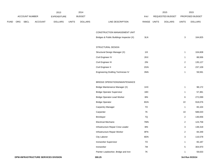|             |     |                |                | 2013           |              | 2014           |                                          |                |              | 2015             |                | 2015            |
|-------------|-----|----------------|----------------|----------------|--------------|----------------|------------------------------------------|----------------|--------------|------------------|----------------|-----------------|
|             |     | ACCOUNT NUMBER |                | EXPENDITURE    |              | <b>BUDGET</b>  |                                          | PAY            |              | REQUESTED BUDGET |                | PROPOSED BUDGET |
| <b>FUND</b> | ORG | SBCL           | <b>ACCOUNT</b> | <b>DOLLARS</b> | <b>UNITS</b> | <b>DOLLARS</b> | LINE DESCRIPTION                         | RANGE          | <b>UNITS</b> | <b>DOLLARS</b>   | <b>UNITS</b>   | <b>DOLLARS</b>  |
|             |     |                |                |                |              |                |                                          |                |              |                  |                |                 |
|             |     |                |                |                |              |                | CONSTRUCTION MANAGEMENT UNIT             |                |              |                  |                |                 |
|             |     |                |                |                |              |                | Bridges & Public Buildings Inspector (X) | 3LN            |              |                  | $\mathbf 3$    | 164,825         |
|             |     |                |                |                |              |                | STRUCTURAL DESIGN                        |                |              |                  |                |                 |
|             |     |                |                |                |              |                | Structural Design Manager (X)            | 11X            |              |                  | $\mathbf{1}$   | 104,608         |
|             |     |                |                |                |              |                | Civil Engineer IV                        | 2KX            |              |                  | $\overline{1}$ | 88,936          |
|             |     |                |                |                |              |                | Civil Engineer III                       | 2IN            |              |                  | $\sqrt{2}$     | 135,127         |
|             |     |                |                |                |              |                | Civil Engineer II                        | 2GN            |              |                  | 4              | 237,109         |
|             |     |                |                |                |              |                | Engineering Drafting Technician IV       | $3\mathrm{NN}$ |              |                  | $\overline{1}$ | 59,591          |
|             |     |                |                |                |              |                |                                          |                |              |                  |                |                 |
|             |     |                |                |                |              |                | BRIDGE OPERATIONS/MAINTENANCE            |                |              |                  |                |                 |
|             |     |                |                |                |              |                | Bridge Maintenance Manager (X)           | 1HX            |              |                  | $\mathbf{1}$   | 98,172          |
|             |     |                |                |                |              |                | <b>Bridge Operator Supervisor</b>        | 1BX            |              |                  | $\overline{1}$ | 57,381          |
|             |     |                |                |                |              |                | <b>Bridge Operator-Lead Worker</b>       | 8IN            |              |                  | 6              | 272,099         |
|             |     |                |                |                |              |                | <b>Bridge Operator</b>                   | 8GN            |              |                  | 22             | 918,076         |
|             |     |                |                |                |              |                | Carpentry Manager                        | $70\,$         |              |                  | $\mathbf{1}$   | 65,104          |
|             |     |                |                |                |              |                | Carpenter                                | <b>7K</b>      |              |                  | $10\,$         | 588,020         |
|             |     |                |                |                |              |                | <b>Bricklayer</b>                        | $7{\sf Q}$     |              |                  | $\overline{2}$ | 136,656         |
|             |     |                |                |                |              |                | <b>Electrical Mechanic</b>               | 7MN            |              |                  | $\overline{2}$ | 124,758         |
|             |     |                |                |                |              |                | Infrastructure Repair Crew Leader        | <b>8IN</b>     |              |                  | 3              | 138,318         |
|             |     |                |                |                |              |                | Infrastructure Repair Worker             | 8FN            |              |                  | $\overline{2}$ | 84,349          |
|             |     |                |                |                |              |                | City Laborer                             | 8DN            |              |                  | $\mathbf{3}$   | 116,578         |
|             |     |                |                |                |              |                | Ironworker Supervisor                    | 70             |              |                  | $\mathbf{1}$   | 65,187          |
|             |     |                |                |                |              |                | Ironworker                               | $7\mathrm{M}$  |              |                  | $\sqrt{5}$     | 304,970         |
|             |     |                |                |                |              |                | Painter Leadworker, Bridge and Iron      | $7\mathsf{K}$  |              |                  | $\mathbf{1}$   | 59,633          |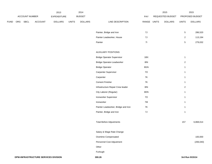|             |     |                |                                      | 2013           |              | 2014           |                                     |             | 2015             |                | 2015            |
|-------------|-----|----------------|--------------------------------------|----------------|--------------|----------------|-------------------------------------|-------------|------------------|----------------|-----------------|
|             |     | ACCOUNT NUMBER |                                      | EXPENDITURE    |              | <b>BUDGET</b>  |                                     | PAY         | REQUESTED BUDGET |                | PROPOSED BUDGET |
| <b>FUND</b> | ORG | <b>SBCL</b>    | ACCOUNT                              | <b>DOLLARS</b> | <b>UNITS</b> | <b>DOLLARS</b> | LINE DESCRIPTION                    | RANGE UNITS | <b>DOLLARS</b>   | <b>UNITS</b>   | <b>DOLLARS</b>  |
|             |     |                |                                      |                |              |                |                                     |             |                  |                |                 |
|             |     |                |                                      |                |              |                | Painter, Bridge and Iron            | 7J          |                  | $\overline{5}$ | 286,520         |
|             |     |                |                                      |                |              |                | Painter Leadworker, House           | $7J$        |                  | $\overline{2}$ | 113,194         |
|             |     |                |                                      |                |              |                | Painter                             | 71          |                  | $\sqrt{5}$     | 279,032         |
|             |     |                |                                      |                |              |                | <b>AUXILIARY POSITIONS</b>          |             |                  |                |                 |
|             |     |                |                                      |                |              |                | <b>Bridge Operator Supervisor</b>   | 1BX         |                  | $\mathbf{1}$   |                 |
|             |     |                |                                      |                |              |                | Bridge Operator-Leadworker          | 8IN         |                  | $\overline{2}$ |                 |
|             |     |                |                                      |                |              |                | <b>Bridge Operator</b>              | 8GN         |                  | $\overline{1}$ |                 |
|             |     |                |                                      |                |              |                | Carpenter Supervisor                | 70          |                  | $\overline{1}$ |                 |
|             |     |                |                                      |                |              |                | Carpenter                           | 7K          |                  | $\mathbf{1}$   |                 |
|             |     |                |                                      |                |              |                | <b>Cement Finisher</b>              | 7K          |                  | $\mathbf{1}$   |                 |
|             |     |                |                                      |                |              |                | Infrastructure Repair Crew leader   | 8IN         |                  | $\overline{2}$ |                 |
|             |     |                |                                      |                |              |                | City Laborer (Regular)              | 8DN         |                  | $\mathbf{1}$   |                 |
|             |     |                |                                      |                |              |                | Ironworker Supervisor               | 70          |                  | $\mathbf{1}$   |                 |
|             |     |                |                                      |                |              |                | Ironworker                          | 7M          |                  | $\overline{1}$ |                 |
|             |     |                |                                      |                |              |                | Painter Leadworker, Bridge and Iron | 7K          |                  | $\overline{1}$ |                 |
|             |     |                |                                      |                |              |                | Painter, Bridge and Iron            | $7J$        |                  | $\mathbf{1}$   |                 |
|             |     |                |                                      |                |              |                | <b>Total Before Adjustments</b>     |             |                  | 157            | 6,868,014       |
|             |     |                |                                      |                |              |                | Salary & Wage Rate Change           |             |                  |                |                 |
|             |     |                |                                      |                |              |                | Overtime Compensated                |             |                  |                | 100,000         |
|             |     |                |                                      |                |              |                | Personnel Cost Adjustment           |             |                  |                | (206, 040)      |
|             |     |                |                                      |                |              |                | Other                               |             |                  |                |                 |
|             |     |                |                                      |                |              |                | Furlough                            |             |                  |                |                 |
|             |     |                | DPW-INFRASTRUCTURE SERVICES DIVISION |                |              |                | 300.26                              |             |                  |                | 3rd Run 9/15/14 |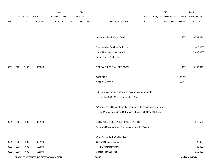|             |      |                |                                      | 2013               |              | 2014           |                                                                           |             | 2015             |              | 2015            |
|-------------|------|----------------|--------------------------------------|--------------------|--------------|----------------|---------------------------------------------------------------------------|-------------|------------------|--------------|-----------------|
|             |      | ACCOUNT NUMBER |                                      | <b>EXPENDITURE</b> |              | <b>BUDGET</b>  |                                                                           | PAY         | REQUESTED BUDGET |              | PROPOSED BUDGET |
| <b>FUND</b> | ORG  | SBCL           | <b>ACCOUNT</b>                       | <b>DOLLARS</b>     | <b>UNITS</b> | <b>DOLLARS</b> | LINE DESCRIPTION                                                          | RANGE UNITS | <b>DOLLARS</b>   | <b>UNITS</b> | <b>DOLLARS</b>  |
|             |      |                |                                      |                    |              |                |                                                                           |             |                  |              |                 |
|             |      |                |                                      |                    |              |                |                                                                           |             |                  |              |                 |
|             |      |                |                                      |                    |              |                | Gross Salaries & Wages Total                                              |             |                  | 157          | 6,761,974       |
|             |      |                |                                      |                    |              |                |                                                                           |             |                  |              |                 |
|             |      |                |                                      |                    |              |                | Reimbursable Services Deduction                                           |             |                  |              | (616,000)       |
|             |      |                |                                      |                    |              |                | Capital Improvements Deduction                                            |             |                  |              | (1,886,928)     |
|             |      |                |                                      |                    |              |                | Grants & Aids Deduction                                                   |             |                  |              |                 |
|             |      |                |                                      |                    |              |                |                                                                           |             |                  |              |                 |
| 0001        | 5239 | R999           | 006000                               |                    |              |                | NET SALARIES & WAGES TOTAL                                                |             |                  | 157          | 4,259,046       |
|             |      |                |                                      |                    |              |                |                                                                           |             |                  |              |                 |
|             |      |                |                                      |                    |              |                | O&M FTE'S                                                                 |             |                  | 87.57        |                 |
|             |      |                |                                      |                    |              |                | NON-O&M FTE'S                                                             |             |                  | 44.12        |                 |
|             |      |                |                                      |                    |              |                |                                                                           |             |                  |              |                 |
|             |      |                |                                      |                    |              |                | (X) Private Automobile allowance may be paid pursuant to                  |             |                  |              |                 |
|             |      |                |                                      |                    |              |                | section 350-183 of the Milwaukee Code.                                    |             |                  |              |                 |
|             |      |                |                                      |                    |              |                |                                                                           |             |                  |              |                 |
|             |      |                |                                      |                    |              |                | (Y) Required to file a statement of economic interests in accordance with |             |                  |              |                 |
|             |      |                |                                      |                    |              |                | the Milwaukee Code of Ordinances Chapter 303-Code of Ethics.              |             |                  |              |                 |
|             |      |                |                                      |                    |              |                | ESTIMATED EMPLOYEE FRINGE BENEFITS                                        |             |                  |              |                 |
| 0001        | 5239 | R999           | 006100                               |                    |              |                |                                                                           |             |                  |              | 1,916,571       |
|             |      |                |                                      |                    |              |                | (Involves Revenue Offset-No Transfers from this Account)                  |             |                  |              |                 |
|             |      |                |                                      |                    |              |                | OPERATING EXPENDITURES                                                    |             |                  |              |                 |
| 0001        | 5239 | R999           | 630100                               |                    |              |                | <b>General Office Expense</b>                                             |             |                  |              | 25,000          |
| 0001        | 5239 | R999           | 630500                               |                    |              |                | Tools & Machinery Parts                                                   |             |                  |              | 40,000          |
| 0001        | 5239 | R999           | 631000                               |                    |              |                | <b>Construction Supplies</b>                                              |             |                  |              | 259,000         |
|             |      |                | DPW-INFRASTRUCTURE SERVICES DIVISION |                    |              |                | 300.27                                                                    |             |                  |              | 3rd Run 9/15/14 |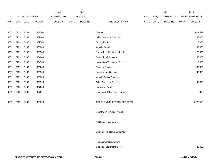|             |      |                       |                | 2013               |              | 2014           |                                 |       |              | 2015             |              | 2015            |
|-------------|------|-----------------------|----------------|--------------------|--------------|----------------|---------------------------------|-------|--------------|------------------|--------------|-----------------|
|             |      | <b>ACCOUNT NUMBER</b> |                | <b>EXPENDITURE</b> |              | <b>BUDGET</b>  |                                 | PAY   |              | REQUESTED BUDGET |              | PROPOSED BUDGET |
| <b>FUND</b> | ORG  | <b>SBCL</b>           | <b>ACCOUNT</b> | <b>DOLLARS</b>     | <b>UNITS</b> | <b>DOLLARS</b> | LINE DESCRIPTION                | RANGE | <b>UNITS</b> | <b>DOLLARS</b>   | <b>UNITS</b> | <b>DOLLARS</b>  |
|             |      |                       |                |                    |              |                |                                 |       |              |                  |              |                 |
| 0001        | 5239 | R999                  | 631500         |                    |              |                | Energy                          |       |              |                  |              | 2,019,572       |
| 0001        | 5239 | R999                  | 632000         |                    |              |                | <b>Other Operating Supplies</b> |       |              |                  |              | 155,000         |
| 0001        | 5239 | R999                  | 632500         |                    |              |                | <b>Facility Rental</b>          |       |              |                  |              | 7,000           |
| 0001        | 5239 | R999                  | 633000         |                    |              |                | Vehicle Rental                  |       |              |                  |              | 37,000          |
| 0001        | 5239 | R999                  | 633500         |                    |              |                | Non-Vehicle Equipment Rental    |       |              |                  |              | 23,000          |
| 0001        | 5239 | R999                  | 634000         |                    |              |                | <b>Professional Services</b>    |       |              |                  |              | 62,000          |
| 0001        | 5239 | R999                  | 634500         |                    |              |                | Information Technology Services |       |              |                  |              | 10,000          |
| 0001        | 5239 | R999                  | 635000         |                    |              |                | <b>Property Services</b>        |       |              |                  |              | 1,900,000       |
| 0001        | 5239 | R999                  | 635500         |                    |              |                | <b>Infrastructure Services</b>  |       |              |                  |              | 90,000          |
| 0001        | 5239 | R999                  | 636000         |                    |              |                | Vehicle Repair Services         |       |              |                  |              |                 |
| 0001        | 5239 | R999                  | 636500         |                    |              |                | <b>Other Operating Services</b> |       |              |                  |              | 93,000          |
| 0001        | 5239 | R999                  | 637000         |                    |              |                | Loans and Grants                |       |              |                  |              |                 |
| 0001        | 5239 | R999                  | 637501         |                    |              |                | Reimburse Other Departments     |       |              |                  |              | 5,000           |
|             |      |                       |                |                    |              |                |                                 |       |              |                  |              |                 |
| 0001        | 5239 | R999                  | 006300         |                    |              |                | OPERATING EXPENDITURES TOTAL    |       |              |                  |              | 4,725,572       |
|             |      |                       |                |                    |              |                |                                 |       |              |                  |              |                 |
|             |      |                       |                |                    |              |                | <b>EQUIPMENT PURCHASES</b>      |       |              |                  |              |                 |
|             |      |                       |                |                    |              |                |                                 |       |              |                  |              |                 |
|             |      |                       |                |                    |              |                | <b>Additional Equipment</b>     |       |              |                  |              |                 |
|             |      |                       |                |                    |              |                |                                 |       |              |                  |              |                 |
|             |      |                       |                |                    |              |                | Subtotal - Additional Equipment |       |              |                  |              |                 |
|             |      |                       |                |                    |              |                |                                 |       |              |                  |              |                 |
|             |      |                       |                |                    |              |                | Replacement Equipment           |       |              |                  |              |                 |
|             |      |                       |                |                    |              |                | Custodial Equipment (1 lot)     |       |              |                  |              | 25,000          |
|             |      |                       |                |                    |              |                |                                 |       |              |                  |              |                 |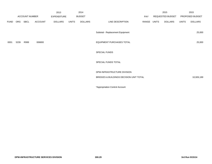|             |      |                       |                | 2013               |              | 2014           |                                         |       | 2015  |                  |              | 2015            |
|-------------|------|-----------------------|----------------|--------------------|--------------|----------------|-----------------------------------------|-------|-------|------------------|--------------|-----------------|
|             |      | <b>ACCOUNT NUMBER</b> |                | <b>EXPENDITURE</b> |              | <b>BUDGET</b>  |                                         | PAY   |       | REQUESTED BUDGET |              | PROPOSED BUDGET |
| <b>FUND</b> | ORG  | SBCL                  | <b>ACCOUNT</b> | <b>DOLLARS</b>     | <b>UNITS</b> | <b>DOLLARS</b> | LINE DESCRIPTION                        | RANGE | UNITS | DOLLARS          | <b>UNITS</b> | <b>DOLLARS</b>  |
|             |      |                       |                |                    |              |                | Subtotal - Replacement Equipment        |       |       |                  |              | 25,000          |
| 0001        | 5239 | R999                  | 006800         |                    |              |                | <b>EQUIPMENT PURCHASES TOTAL</b>        |       |       |                  |              | 25,000          |
|             |      |                       |                |                    |              |                | SPECIAL FUNDS                           |       |       |                  |              |                 |
|             |      |                       |                |                    |              |                | SPECIAL FUNDS TOTAL                     |       |       |                  |              |                 |
|             |      |                       |                |                    |              |                | DPW-INFRASTRUCTURE DIVISION             |       |       |                  |              |                 |
|             |      |                       |                |                    |              |                | BRIDGES & BUILDINGS DECISION UNIT TOTAL |       |       |                  |              | 10,926,189      |
|             |      |                       |                |                    |              |                | *Appropriation Control Account          |       |       |                  |              |                 |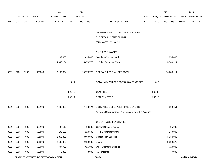|             |                                             |                |                | 2013               |              | 2014           |                                                          |             |        | 2015             |              | 2015            |
|-------------|---------------------------------------------|----------------|----------------|--------------------|--------------|----------------|----------------------------------------------------------|-------------|--------|------------------|--------------|-----------------|
|             |                                             | ACCOUNT NUMBER |                | <b>EXPENDITURE</b> |              | <b>BUDGET</b>  |                                                          | PAY         |        | REQUESTED BUDGET |              | PROPOSED BUDGET |
| <b>FUND</b> | <b>ORG</b>                                  | SBCL           | <b>ACCOUNT</b> | <b>DOLLARS</b>     | <b>UNITS</b> | <b>DOLLARS</b> | LINE DESCRIPTION                                         | RANGE UNITS |        | <b>DOLLARS</b>   | <b>UNITS</b> | <b>DOLLARS</b>  |
|             |                                             |                |                |                    |              |                |                                                          |             |        |                  |              |                 |
|             |                                             |                |                |                    |              |                | DPW-INFRASTRUCTURE SERVICES DIVISION                     |             |        |                  |              |                 |
|             |                                             |                |                |                    |              |                | BUDGETARY CONTROL UNIT                                   |             |        |                  |              |                 |
|             |                                             |                |                |                    |              |                | (SUMMARY 1BCU=6DU)                                       |             |        |                  |              |                 |
|             |                                             |                |                |                    |              |                |                                                          |             |        |                  |              |                 |
|             |                                             |                |                |                    |              |                | SALARIES & WAGES                                         |             |        |                  |              |                 |
|             |                                             |                |                | 1,189,650          |              | 695,000        | Overtime Compensated*                                    |             |        | 955,000          |              |                 |
|             |                                             |                |                | 14,946,184         |              | 15,078,773     | All Other Salaries & Wages                               |             |        | 15,733,111       |              |                 |
|             |                                             |                |                |                    |              |                |                                                          |             |        |                  |              |                 |
| 0001        | 5230                                        | R999           | 006000         | 16,135,834         |              | 15,773,773     | NET SALARIES & WAGES TOTAL*                              |             |        | 16,688,111       |              |                 |
|             |                                             |                |                |                    |              |                |                                                          |             |        |                  |              |                 |
|             |                                             |                |                |                    | 810          |                | TOTAL NUMBER OF POSITIONS AUTHORIZED                     |             | 810    |                  |              |                 |
|             |                                             |                |                |                    |              |                |                                                          |             |        |                  |              |                 |
|             |                                             |                |                |                    | 321.41       |                | O&M FTE'S                                                |             | 368.88 |                  |              |                 |
|             |                                             |                |                |                    | 307.13       |                | NON-O&M FTE'S                                            |             | 269.12 |                  |              |                 |
|             |                                             |                |                |                    |              |                |                                                          |             |        |                  |              |                 |
| 0001        | 5230                                        | R999           | 006100         | 7,436,065          |              | 7,413,674      | ESTIMATED EMPLOYEE FRINGE BENEFITS                       |             |        | 7,509,651        |              |                 |
|             |                                             |                |                |                    |              |                | (Involves Revenue Offset-No Transfers from this Account) |             |        |                  |              |                 |
|             |                                             |                |                |                    |              |                | OPERATING EXPENDITURES                                   |             |        |                  |              |                 |
| 0001        | 5230                                        | R999           | 630100         | 97,116             |              | 90,500         | <b>General Office Expense</b>                            |             |        | 95,000           |              |                 |
| 0001        | 5230                                        | R999           | 630500         | 198,157            |              | 120,500        | Tools & Machinery Parts                                  |             |        | 149,000          |              |                 |
| 0001        | 5230                                        | R999           | 631000         | 2,866,857          |              | 3,099,092      | <b>Construction Supplies</b>                             |             |        | 3,334,000        |              |                 |
| 0001        | 5230                                        | R999           | 631500         | 2,186,070          |              | 2,139,000      | Energy                                                   |             |        | 2,399,572        |              |                 |
| 0001        | 5230                                        | R999           | 632000         | 707,769            |              | 626,000        | <b>Other Operating Supplies</b>                          |             |        | 710,000          |              |                 |
| 0001        | 5230                                        | R999           | 632500         | 6,300              |              | 8,000          | <b>Facility Rental</b>                                   |             |        | 7,000            |              |                 |
|             | <b>DPW-INFRASTRUCTURE SERVICES DIVISION</b> |                |                |                    |              |                | 300.30                                                   |             |        |                  |              | 3rd Run 9/15/14 |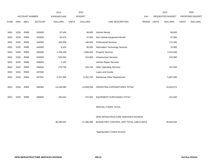|             |      |                       |                | 2013               |              | 2014           |                                         |       |              | 2015                    |              | 2015            |
|-------------|------|-----------------------|----------------|--------------------|--------------|----------------|-----------------------------------------|-------|--------------|-------------------------|--------------|-----------------|
|             |      | <b>ACCOUNT NUMBER</b> |                | <b>EXPENDITURE</b> |              | <b>BUDGET</b>  |                                         | PAY   |              | <b>REQUESTED BUDGET</b> |              | PROPOSED BUDGET |
| <b>FUND</b> | ORG  | <b>SBCL</b>           | <b>ACCOUNT</b> | <b>DOLLARS</b>     | <b>UNITS</b> | <b>DOLLARS</b> | LINE DESCRIPTION                        | RANGE | <b>UNITS</b> | <b>DOLLARS</b>          | <b>UNITS</b> | <b>DOLLARS</b>  |
|             |      |                       |                |                    |              |                |                                         |       |              |                         |              |                 |
| 0001        | 5230 | R999                  | 633000         | 97,445             |              | 49,000         | Vehicle Rental                          |       |              | 80,000                  |              |                 |
| 0001        | 5230 | R999                  | 633500         | 64,479             |              | 47,500         | Non-Vehicle Equipment Rental            |       |              | 57,000                  |              |                 |
| 0001        | 5230 | R999                  | 634000         | 429,358            |              | 146,000        | <b>Professional Services</b>            |       |              | 171,000                 |              |                 |
| 0001        | 5230 | R999                  | 634500         | 9,323              |              | 95,000         | Information Technology Services         |       |              | 70,000                  |              |                 |
| 0001        | 5230 | R999                  | 635000         | 1,799,249          |              | 1,866,000      | <b>Property Services</b>                |       |              | 2,015,000               |              |                 |
| 0001        | 5230 | R999                  | 635500         | 533,050            |              | 224,000        | <b>Infrastructure Services</b>          |       |              | 242,000                 |              |                 |
| 0001        | 5230 | R999                  | 636000         | 2,155              |              |                | Vehicle Repair Services                 |       |              |                         |              |                 |
| 0001        | 5230 | R999                  | 636500         | 275,756            |              | 165,746        | <b>Other Operating Services</b>         |       |              | 207,000                 |              |                 |
| 0001        | 5230 | R999                  | 637000         |                    |              |                | Loans and Grants                        |       |              |                         |              |                 |
| 0001        | 5230 | R999                  | 637501         | 5,157,006          |              | 5,262,700      | Reimburse Other Departments             |       |              | 5,487,000               |              |                 |
|             |      |                       |                |                    |              |                |                                         |       |              |                         |              |                 |
| 0001        | 5230 | R999                  | 006300         | 14,430,090         |              | 13,939,038     | OPERATING EXPENDITURES TOTAL*           |       |              | 15,023,572              |              |                 |
|             |      |                       |                |                    |              |                |                                         |       |              |                         |              |                 |
| 0001        | 5230 | R999                  | 006800         | 294,642            |              | 370,500        | EQUIPMENT PURCHASES TOTAL*              |       |              | 421,500                 |              |                 |
|             |      |                       |                |                    |              |                |                                         |       |              |                         |              |                 |
|             |      |                       |                |                    |              |                | SPECIAL FUNDS TOTAL                     |       |              |                         |              |                 |
|             |      |                       |                |                    |              |                |                                         |       |              |                         |              |                 |
|             |      |                       |                |                    |              |                | DPW-INFRASTRUCTURE SERVICES DIVISION    |       |              |                         |              |                 |
|             |      |                       |                | 38,296,631         |              | 37,496,985     | BUDGETARY CONTROL UNIT TOTAL (1BCU=6DU) |       |              | 39,642,834              |              |                 |
|             |      |                       |                |                    |              |                |                                         |       |              |                         |              |                 |

\*Appropriation Control Account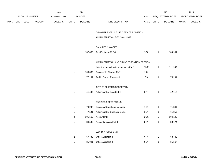|             |     |                |                | 2013               |                | 2014           |                                           |             |                | 2015             |              | 2015            |
|-------------|-----|----------------|----------------|--------------------|----------------|----------------|-------------------------------------------|-------------|----------------|------------------|--------------|-----------------|
|             |     | ACCOUNT NUMBER |                | <b>EXPENDITURE</b> |                | <b>BUDGET</b>  |                                           | PAY         |                | REQUESTED BUDGET |              | PROPOSED BUDGET |
| <b>FUND</b> | ORG | SBCL           | <b>ACCOUNT</b> | <b>DOLLARS</b>     | <b>UNITS</b>   | <b>DOLLARS</b> | LINE DESCRIPTION                          | RANGE UNITS |                | <b>DOLLARS</b>   | <b>UNITS</b> | <b>DOLLARS</b>  |
|             |     |                |                |                    |                |                | DPW-INFRASTRUCTURE SERVICES DIVISION      |             |                |                  |              |                 |
|             |     |                |                |                    |                |                | ADMINISTRATION DECISION UNIT              |             |                |                  |              |                 |
|             |     |                |                |                    |                |                | SALARIES & WAGES                          |             |                |                  |              |                 |
|             |     |                |                |                    | $\mathbf{1}$   | 137,886        | City Engineer (X) (Y)                     | 1OX         | $\mathbf{1}$   | 139,954          |              |                 |
|             |     |                |                |                    |                |                | ADMINISTRATION AND TRANSPORTATION SECTION |             |                |                  |              |                 |
|             |     |                |                |                    |                |                | Infrastructure Administration Mgr. (X)(Y) | 1MX         | $\mathbf{1}$   | 111,947          |              |                 |
|             |     |                |                |                    | $\mathbf{1}$   | 100,385        | Engineer-In-Charge (X)(Y)                 | 1KX         |                |                  |              |                 |
|             |     |                |                |                    | $\mathbf{1}$   | 77,134         | <b>Traffic Control Engineer III</b>       | 2IN         | $\mathbf{1}$   | 78,291           |              |                 |
|             |     |                |                |                    |                |                | CITY ENGINEER'S SECRETARY                 |             |                |                  |              |                 |
|             |     |                |                |                    | $\mathbf{1}$   | 41,495         | Administrative Assistant III              | 5FN         | $\mathbf{1}$   | 42,118           |              |                 |
|             |     |                |                |                    |                |                | <b>BUSINESS OPERATIONS</b>                |             |                |                  |              |                 |
|             |     |                |                |                    | $\mathbf{1}$   | 70,287         | <b>Business Operations Manager</b>        | 1EX         | $\mathbf{1}$   | 71,341           |              |                 |
|             |     |                |                |                    | $\mathbf{1}$   | 47,591         | Administrative Specialist-Senior          | 2EX         | $\mathbf{1}$   | 61,853           |              |                 |
|             |     |                |                |                    | $\sqrt{2}$     | 105,565        | Accountant III                            | 2GX         | $\overline{2}$ | 104,105          |              |                 |
|             |     |                |                |                    | $\mathbf{1}$   | 38,595         | <b>Accounting Assistant II</b>            | 6HN         | $\mathbf{1}$   | 39,174           |              |                 |
|             |     |                |                |                    |                |                | WORD PROCESSING                           |             |                |                  |              |                 |
|             |     |                |                |                    | $\overline{c}$ | 67,730         | Office Assistant III                      | 6FN         | $\overline{2}$ | 68,746           |              |                 |
|             |     |                |                |                    | $\mathbf{1}$   | 35,041         | Office Assistant II                       | 6EN         | $\mathbf{1}$   | 35,567           |              |                 |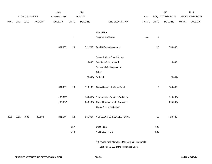|             |      |                |                | 2013               |              | 2014           |                                                                                              |             |              | 2015             |              | 2015            |
|-------------|------|----------------|----------------|--------------------|--------------|----------------|----------------------------------------------------------------------------------------------|-------------|--------------|------------------|--------------|-----------------|
|             |      | ACCOUNT NUMBER |                | <b>EXPENDITURE</b> |              | <b>BUDGET</b>  |                                                                                              | PAY         |              | REQUESTED BUDGET |              | PROPOSED BUDGET |
| <b>FUND</b> | ORG  | SBCL           | <b>ACCOUNT</b> | <b>DOLLARS</b>     | <b>UNITS</b> | <b>DOLLARS</b> | LINE DESCRIPTION                                                                             | RANGE UNITS |              | <b>DOLLARS</b>   | <b>UNITS</b> | <b>DOLLARS</b>  |
|             |      |                |                |                    |              |                |                                                                                              |             |              |                  |              |                 |
|             |      |                |                |                    |              |                | AUXILIARY                                                                                    |             |              |                  |              |                 |
|             |      |                |                |                    | $\mathbf{1}$ |                | Engineer-In-Charge                                                                           | 1KX         | $\mathbf{1}$ |                  |              |                 |
|             |      |                |                | 681,968            | 13           | 721,709        | <b>Total Before Adjustments</b>                                                              |             | 13           | 753,096          |              |                 |
|             |      |                |                |                    |              |                | Salary & Wage Rate Change                                                                    |             |              |                  |              |                 |
|             |      |                |                |                    |              | 5,000          | Overtime Compensated                                                                         |             |              | 5,000            |              |                 |
|             |      |                |                |                    |              |                | Personnel Cost Adjustment                                                                    |             |              |                  |              |                 |
|             |      |                |                |                    |              |                | Other                                                                                        |             |              |                  |              |                 |
|             |      |                |                |                    |              |                | (8,607) Furlough                                                                             |             |              | (8,661)          |              |                 |
|             |      |                |                | 681,968            | $13$         | 718,102        | Gross Salaries & Wages Total                                                                 |             | $13$         | 749,435          |              |                 |
|             |      |                |                | (105, 370)         |              | (109, 853)     | Reimbursable Services Deduction                                                              |             |              | (115,000)        |              |                 |
|             |      |                |                | (185, 054)         |              | (243, 185)     | <b>Capital Improvements Deduction</b>                                                        |             |              | (205,000)        |              |                 |
|             |      |                |                |                    |              |                | <b>Grants &amp; Aids Deduction</b>                                                           |             |              |                  |              |                 |
| 0001        | 5231 | R999           | 006000         | 391,544            | 13           | 365,064        | NET SALARIES & WAGES TOTAL                                                                   |             | $13$         | 429,435          |              |                 |
|             |      |                |                |                    | 6.57         |                | O&M FTE'S                                                                                    |             | 7.20         |                  |              |                 |
|             |      |                |                |                    | 5.43         |                | NON-O&M FTE'S                                                                                |             | 4.80         |                  |              |                 |
|             |      |                |                |                    |              |                | (X) Private Auto Allowance May Be Paid Pursuant to<br>Section 350-183 of the Milwaukee Code. |             |              |                  |              |                 |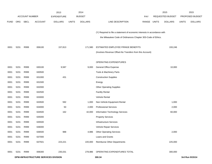|             |                                      |                       |                | 2013               |              | 2014           |                                                                           |       |              | 2015                    |              | 2015            |
|-------------|--------------------------------------|-----------------------|----------------|--------------------|--------------|----------------|---------------------------------------------------------------------------|-------|--------------|-------------------------|--------------|-----------------|
|             |                                      | <b>ACCOUNT NUMBER</b> |                | <b>EXPENDITURE</b> |              | <b>BUDGET</b>  |                                                                           | PAY   |              | <b>REQUESTED BUDGET</b> |              | PROPOSED BUDGET |
| <b>FUND</b> | <b>ORG</b>                           | SBCL                  | <b>ACCOUNT</b> | <b>DOLLARS</b>     | <b>UNITS</b> | <b>DOLLARS</b> | LINE DESCRIPTION                                                          | RANGE | <b>UNITS</b> | <b>DOLLARS</b>          | <b>UNITS</b> | <b>DOLLARS</b>  |
|             |                                      |                       |                |                    |              |                |                                                                           |       |              |                         |              |                 |
|             |                                      |                       |                |                    |              |                | (Y) Required to file a statement of economic interests in accordance with |       |              |                         |              |                 |
|             |                                      |                       |                |                    |              |                | the Milwaukee Code of Ordinances Chapter 303-Code of Ethics.              |       |              |                         |              |                 |
| 0001        | 5231                                 | R999                  | 006100         | 157,813            |              | 171,580        | ESTIMATED EMPLOYEE FRINGE BENEFITS                                        |       |              | 193,246                 |              |                 |
|             |                                      |                       |                |                    |              |                | (Involves Revenue Offset-No Transfers from this Account)                  |       |              |                         |              |                 |
|             |                                      |                       |                |                    |              |                |                                                                           |       |              |                         |              |                 |
|             |                                      |                       |                |                    |              |                | OPERATING EXPENDITURES                                                    |       |              |                         |              |                 |
| 0001        | 5231                                 | R999                  | 630100         | 9,587              |              | 9,000          | General Office Expense                                                    |       |              | 10,000                  |              |                 |
| 0001        | 5231                                 | R999                  | 630500         |                    |              |                | Tools & Machinery Parts                                                   |       |              |                         |              |                 |
| 0001        | 5231                                 | R999                  | 631000         | 431                |              |                | <b>Construction Supplies</b>                                              |       |              |                         |              |                 |
| 0001        | 5231                                 | R999                  | 631500         |                    |              |                | Energy                                                                    |       |              |                         |              |                 |
| 0001        | 5231                                 | R999                  | 632000         |                    |              |                | <b>Other Operating Supplies</b>                                           |       |              |                         |              |                 |
| 0001        | 5231                                 | R999                  | 632500         |                    |              |                | <b>Facility Rental</b>                                                    |       |              |                         |              |                 |
| 0001        | 5231                                 | R999                  | 633000         |                    |              |                | Vehicle Rental                                                            |       |              |                         |              |                 |
| 0001        | 5231                                 | R999                  | 633500         | 592                |              | 1,000          | Non-Vehicle Equipment Rental                                              |       |              | 1,000                   |              |                 |
| 0001        | 5231                                 | R999                  | 634000         | 50                 |              | 2,000          | <b>Professional Services</b>                                              |       |              | 2,000                   |              |                 |
| 0001        | 5231                                 | R999                  | 634500         | 162                |              | 42,000         | Information Technology Services                                           |       |              | 60,000                  |              |                 |
| 0001        | 5231                                 | R999                  | 635000         |                    |              |                | <b>Property Services</b>                                                  |       |              |                         |              |                 |
| 0001        | 5231                                 | R999                  | 635500         |                    |              |                | Infrastructure Services                                                   |       |              |                         |              |                 |
| 0001        | 5231                                 | R999                  | 636000         |                    |              |                | Vehicle Repair Services                                                   |       |              |                         |              |                 |
| 0001        | 5231                                 | R999                  | 636500         | 988                |              | 4,986          | <b>Other Operating Services</b>                                           |       |              | 2,000                   |              |                 |
| 0001        | 5231                                 | R999                  | 637000         |                    |              |                | Loans and Grants                                                          |       |              |                         |              |                 |
| 0001        | 5231                                 | R999                  | 637501         | 223,221            |              | 220,000        | Reimburse Other Departments                                               |       |              | 225,000                 |              |                 |
|             |                                      |                       |                |                    |              |                |                                                                           |       |              |                         |              |                 |
| 0001        | 5231                                 | R999                  | 006300         | 235,031            |              | 278,986        | OPERATING EXPENDITURES TOTAL                                              |       |              | 300,000                 |              |                 |
|             | DPW-INFRASTRUCTURE SERVICES DIVISION |                       |                |                    |              |                | 300.34                                                                    |       |              |                         |              | 3rd Run 9/15/14 |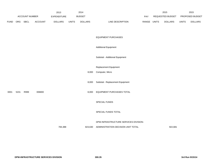|             |      |                |                | 2013           |              | 2014           |                                       |             | 2015             |              | 2015            |
|-------------|------|----------------|----------------|----------------|--------------|----------------|---------------------------------------|-------------|------------------|--------------|-----------------|
|             |      | ACCOUNT NUMBER |                | EXPENDITURE    |              | <b>BUDGET</b>  |                                       | PAY         | REQUESTED BUDGET |              | PROPOSED BUDGET |
| <b>FUND</b> |      | ORG SBCL       | <b>ACCOUNT</b> | <b>DOLLARS</b> | <b>UNITS</b> | <b>DOLLARS</b> | LINE DESCRIPTION                      | RANGE UNITS | <b>DOLLARS</b>   | <b>UNITS</b> | <b>DOLLARS</b>  |
|             |      |                |                |                |              |                |                                       |             |                  |              |                 |
|             |      |                |                |                |              |                | <b>EQUIPMENT PURCHASES</b>            |             |                  |              |                 |
|             |      |                |                |                |              |                |                                       |             |                  |              |                 |
|             |      |                |                |                |              |                | <b>Additional Equipment</b>           |             |                  |              |                 |
|             |      |                |                |                |              |                | Subtotal - Additional Equipment       |             |                  |              |                 |
|             |      |                |                |                |              |                | Replacement Equipment                 |             |                  |              |                 |
|             |      |                |                |                |              | 8,000          | Computer, Micro                       |             |                  |              |                 |
|             |      |                |                |                |              | 8,000          | Subtotal - Replacement Equipment      |             |                  |              |                 |
| 0001        | 5231 | R999           | 006800         |                |              | 8,000          | EQUIPMENT PURCHASES TOTAL             |             |                  |              |                 |
|             |      |                |                |                |              |                |                                       |             |                  |              |                 |
|             |      |                |                |                |              |                | SPECIAL FUNDS                         |             |                  |              |                 |
|             |      |                |                |                |              |                | SPECIAL FUNDS TOTAL                   |             |                  |              |                 |
|             |      |                |                |                |              |                | DPW-INFRASTRUCTURE SERVICES DIVISION- |             |                  |              |                 |
|             |      |                |                | 784,388        |              | 823,630        | ADMINISTRATION DECISION UNIT TOTAL    |             | 922,681          |              |                 |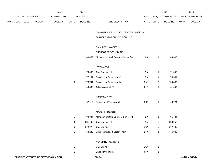|      | 2013 |                | 2014    |                    |              |                | 2015                                  |       | 2015         |                  |              |                 |
|------|------|----------------|---------|--------------------|--------------|----------------|---------------------------------------|-------|--------------|------------------|--------------|-----------------|
|      |      | ACCOUNT NUMBER |         | <b>EXPENDITURE</b> |              | <b>BUDGET</b>  |                                       | PAY   |              | REQUESTED BUDGET |              | PROPOSED BUDGET |
| FUND | ORG  | <b>SBCL</b>    | ACCOUNT | <b>DOLLARS</b>     | <b>UNITS</b> | <b>DOLLARS</b> | LINE DESCRIPTION                      | RANGE | <b>UNITS</b> | <b>DOLLARS</b>   | <b>UNITS</b> | <b>DOLLARS</b>  |
|      |      |                |         |                    |              |                | DPW-INFRASTRUCTURE SERVICES DIVISION- |       |              |                  |              |                 |
|      |      |                |         |                    |              |                | TRANSPORTATION DECISION UNIT          |       |              |                  |              |                 |
|      |      |                |         |                    |              |                | SALARIES & WAGES                      |       |              |                  |              |                 |
|      |      |                |         |                    |              |                | PROJECT PROGRAMMING                   |       |              |                  |              |                 |
|      |      |                |         |                    | $\mathbf{1}$ | 103,057        | Management Civil Engineer-Senior (X)  | 11X   | $\mathbf{1}$ | 104,603          |              |                 |
|      |      |                |         |                    |              |                | <b>ESTIMATES</b>                      |       |              |                  |              |                 |
|      |      |                |         |                    | $\mathbf{1}$ | 70,485         | Civil Engineer III                    | 2IN   | $\mathbf{1}$ | 71,542           |              |                 |
|      |      |                |         |                    | $\mathbf{1}$ | 77,134         | Engineering Technician VI             | 2IN   | 1            | 70,501           |              |                 |
|      |      |                |         |                    | 3            | 173,744        | Engineering Technician IV             | 3NN   | 3            | 159,837          |              |                 |
|      |      |                |         |                    | $\mathbf{1}$ | 40,836         | Office Assistant IV                   | 6HN   | $\mathbf{1}$ | 41,449           |              |                 |
|      |      |                |         |                    |              |                | <b>ASSESSMENTS</b>                    |       |              |                  |              |                 |
|      |      |                |         |                    | $\mathbf{1}$ | 67,910         | Assessment Technician II              | 3RN   | $\mathbf{1}$ | 63,724           |              |                 |
|      |      |                |         |                    |              |                | <b>MAJOR PROJECTS</b>                 |       |              |                  |              |                 |
|      |      |                |         |                    | $\mathbf{1}$ | 94,024         | Management Civil Engineer-Senior (X)  | 11X   | $\mathbf{1}$ | 95,434           |              |                 |
|      |      |                |         |                    | 3            | 231,402        | Civil Engineer III                    | 2IN   | 3            | 228,957          |              |                 |
|      |      |                |         |                    | 6            | 372,077        | Civil Engineer II                     | 2GN   | 6            | 367,486          |              |                 |
|      |      |                |         |                    | 1            | 64,220         | Business Support Liaison (X) (Y)      | 2HX   |              | 76,046           |              |                 |
|      |      |                |         |                    |              |                | <b>AUXILIARY POSITIONS</b>            |       |              |                  |              |                 |
|      |      |                |         |                    | $\mathbf{1}$ |                | Civil Engineer II                     | 2GN   | $\mathbf{1}$ |                  |              |                 |
|      |      |                |         |                    | $\mathbf{1}$ |                | Engineering Intern                    | 9PN   | $\mathbf{1}$ |                  |              |                 |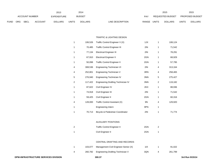|             | 2013                  |      |                |                |               | 2014           |                           | 2015                           |                        | 2015           |
|-------------|-----------------------|------|----------------|----------------|---------------|----------------|---------------------------|--------------------------------|------------------------|----------------|
|             | <b>ACCOUNT NUMBER</b> |      | EXPENDITURE    |                | <b>BUDGET</b> | PAY            | REQUESTED BUDGET          |                                | <b>PROPOSED BUDGET</b> |                |
| <b>FUND</b> | ORG                   | SBCL | <b>ACCOUNT</b> | <b>DOLLARS</b> | <b>UNITS</b>  | <b>DOLLARS</b> | RANGE<br>LINE DESCRIPTION | <b>UNITS</b><br><b>DOLLARS</b> | <b>UNITS</b>           | <b>DOLLARS</b> |

#### TRAFFIC & LIGHTING DESIGN

| 1              | 106,526 | Traffic Control Engineer V (X)           | 1JX | 1              | 108,124 |
|----------------|---------|------------------------------------------|-----|----------------|---------|
| 1              | 70,485  | <b>Traffic Control Engineer III</b>      | 2IN | 1              | 71,542  |
| 1              | 77,134  | <b>Electrical Engineer III</b>           | 2IN | 1              | 78,291  |
| 1              | 67,910  | <b>Electrical Engineer II</b>            | 2GN | 1              | 68,929  |
| 1              | 50,098  | <b>Traffic Control Engineer II</b>       | 2GN | 1              | 57,795  |
| 4              | 308,536 | Engineering Technician VI                | 2IN | 4              | 313,164 |
| 4              | 252,801 |                                          | 3RN | 4              | 258,465 |
|                |         | Engineering Technician V                 |     |                |         |
| 5              | 276,940 | Engineering Technician IV                | 3NN | 5              | 275,427 |
| 2              | 117,422 | Engineering Drafting Technician IV       | 3NN | 2              | 119,182 |
| 1              | 87,622  | Civil Engineer IV                        | 2KX | 1              | 88,936  |
| 1              | 74,918  | Civil Engineer III                       | 2IN | 1              | 71,542  |
| 1              | 59,425  | Civil Engineer II                        | 2GN | 1              | 60,316  |
| 4              | 128,000 | Traffic Control Assistant (X)            | 9N  | 4              | 129,920 |
| 1              |         | <b>Engineering Intern</b>                | 9PN | 1              |         |
| 1              | 70,713  | Bicycle & Pedestrian Coordinator         | 2IN | 1              | 71,774  |
|                |         |                                          |     |                |         |
|                |         | <b>AUXILIARY POSITIONS</b>               |     |                |         |
| $\overline{2}$ |         | <b>Traffic Control Engineer II</b>       | 2GN | $\overline{2}$ |         |
| 1              |         | Civil Engineer II                        | 2GN | 1              |         |
|                |         |                                          |     |                |         |
|                |         | CENTRAL DRAFTING AND RECORDS             |     |                |         |
| 1              | 103,077 | Management Civil Engineer-Senior (X)     | 11X | 1              | 91,022  |
| 4              | 260,782 | <b>Engineering Drafting Technician V</b> | 3QN | 4              | 261,799 |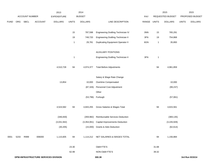|             |      |                | 2013                                        |                    | 2014         |                |                                            |             | 2015         |                  | 2015         |                 |
|-------------|------|----------------|---------------------------------------------|--------------------|--------------|----------------|--------------------------------------------|-------------|--------------|------------------|--------------|-----------------|
|             |      | ACCOUNT NUMBER |                                             | <b>EXPENDITURE</b> |              | <b>BUDGET</b>  |                                            | PAY         |              | REQUESTED BUDGET |              | PROPOSED BUDGET |
| <b>FUND</b> |      | ORG SBCL       | <b>ACCOUNT</b>                              | <b>DOLLARS</b>     | <b>UNITS</b> | <b>DOLLARS</b> | LINE DESCRIPTION                           | RANGE UNITS |              | <b>DOLLARS</b>   | <b>UNITS</b> | <b>DOLLARS</b>  |
|             |      |                |                                             |                    |              |                |                                            |             |              |                  |              |                 |
|             |      |                |                                             |                    | 15           | 787,598        | Engineering Drafting Technician IV         | 3NN         | 15           | 765,291          |              |                 |
|             |      |                |                                             |                    | 19           | 749,720        | <b>Engineering Drafting Technician II</b>  | 3FN         | 19           | 754,868          |              |                 |
|             |      |                |                                             |                    | $\mathbf{1}$ | 29,781         | <b>Duplicating Equipment Operator II</b>   | 6GN         | $\mathbf{1}$ | 35,893           |              |                 |
|             |      |                |                                             |                    |              |                |                                            |             |              |                  |              |                 |
|             |      |                |                                             |                    |              |                | <b>AUXILIARY POSITIONS</b>                 |             |              |                  |              |                 |
|             |      |                |                                             |                    | $\mathbf{1}$ |                | <b>Engineering Drafting Technician II</b>  | 3FN         | $\mathbf{1}$ |                  |              |                 |
|             |      |                |                                             |                    |              |                |                                            |             |              |                  |              |                 |
|             |      |                |                                             | 4,510,728          | 94           | 4,974,377      | <b>Total Before Adjustments</b>            |             | 94           | 4,961,859        |              |                 |
|             |      |                |                                             |                    |              |                |                                            |             |              |                  |              |                 |
|             |      |                |                                             |                    |              |                | Salary & Wage Rate Change                  |             |              |                  |              |                 |
|             |      |                |                                             | 13,854             |              | 10,000         | Overtime Compensated                       |             |              | 10,000           |              |                 |
|             |      |                |                                             |                    |              | (87, 326)      | Personnel Cost Adjustment                  |             |              | (99, 237)        |              |                 |
|             |      |                |                                             |                    |              |                | Other                                      |             |              |                  |              |                 |
|             |      |                |                                             |                    |              |                | (53,796) Furlough                          |             |              | (57,061)         |              |                 |
|             |      |                |                                             | 4,524,582          | 94           | 4,843,255      | Gross Salaries & Wages Total               |             | 94           | 4,815,561        |              |                 |
|             |      |                |                                             |                    |              |                |                                            |             |              |                  |              |                 |
|             |      |                |                                             | (346, 830)         |              | (359, 982)     | Reimbursable Services Deduction            |             |              | (369, 135)       |              |                 |
|             |      |                |                                             | (3,031,942)        |              |                | (3,354,061) Capital Improvements Deduction |             |              | (3,226,928)      |              |                 |
|             |      |                |                                             | (30, 205)          |              |                | (15,000) Grants & Aids Deduction           |             |              | (62, 614)        |              |                 |
|             |      |                |                                             |                    |              |                |                                            |             |              |                  |              |                 |
| 0001        | 5233 | R999           | 006000                                      | 1,115,605          | 94           |                | 1,114,212 NET SALARIES & WAGES TOTAL       |             | 94           | 1,156,884        |              |                 |
|             |      |                |                                             |                    |              |                |                                            |             |              |                  |              |                 |
|             |      |                |                                             |                    | 23.30        |                | O&M FTE'S                                  |             | 31.68        |                  |              |                 |
|             |      |                |                                             | 62.99              |              | NON-O&M FTE'S  |                                            | 39.32       |              |                  |              |                 |
|             |      |                | <b>DPW-INFRASTRUCTURE SERVICES DIVISION</b> |                    |              |                | 300.38                                     |             |              |                  |              | 3rd Run 9/15/14 |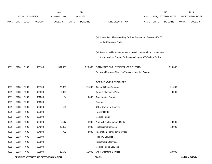|             |            |                |                                      | 2013               |              | 2014           |                                                                           |            |              | 2015             |              | 2015            |
|-------------|------------|----------------|--------------------------------------|--------------------|--------------|----------------|---------------------------------------------------------------------------|------------|--------------|------------------|--------------|-----------------|
|             |            | ACCOUNT NUMBER |                                      | <b>EXPENDITURE</b> |              | <b>BUDGET</b>  |                                                                           | <b>PAY</b> |              | REQUESTED BUDGET |              | PROPOSED BUDGET |
| <b>FUND</b> | <b>ORG</b> | <b>SBCL</b>    | <b>ACCOUNT</b>                       | <b>DOLLARS</b>     | <b>UNITS</b> | <b>DOLLARS</b> | LINE DESCRIPTION                                                          | RANGE      | <b>UNITS</b> | <b>DOLLARS</b>   | <b>UNITS</b> | <b>DOLLARS</b>  |
|             |            |                |                                      |                    |              |                |                                                                           |            |              |                  |              |                 |
|             |            |                |                                      |                    |              |                |                                                                           |            |              |                  |              |                 |
|             |            |                |                                      |                    |              |                | (X) Private Auto Allowance May Be Paid Pursuant to Section 350-183        |            |              |                  |              |                 |
|             |            |                |                                      |                    |              |                | of the Milwaukee Code.                                                    |            |              |                  |              |                 |
|             |            |                |                                      |                    |              |                |                                                                           |            |              |                  |              |                 |
|             |            |                |                                      |                    |              |                | (Y) Required to file a statement of economic interests in accordance with |            |              |                  |              |                 |
|             |            |                |                                      |                    |              |                | the Milwaukee Code of Ordinances Chapter 303-Code of Ethics.              |            |              |                  |              |                 |
|             |            |                |                                      |                    |              |                |                                                                           |            |              |                  |              |                 |
| 0001        | 5233       | R999           | 006100                               | 501,998            |              | 523,680        | ESTIMATED EMPLOYEE FRINGE BENEFITS                                        |            |              | 520,598          |              |                 |
|             |            |                |                                      |                    |              |                | (Involves Revenue Offset-No Transfers from this Account)                  |            |              |                  |              |                 |
|             |            |                |                                      |                    |              |                |                                                                           |            |              |                  |              |                 |
|             |            |                |                                      |                    |              |                | OPERATING EXPENDITURES                                                    |            |              |                  |              |                 |
| 0001        | 5233       | R999           | 630100                               | 25,353             |              | 21,000         | <b>General Office Expense</b>                                             |            |              | 21,000           |              |                 |
| 0001        | 5233       | R999           | 630500                               | 2,095              |              |                | Tools & Machinery Parts                                                   |            |              | 3,000            |              |                 |
| 0001        | 5233       | R999           | 631000                               | 64                 |              | 3,000          | <b>Construction Supplies</b>                                              |            |              |                  |              |                 |
| 0001        | 5233       | R999           | 631500                               |                    |              |                | Energy                                                                    |            |              |                  |              |                 |
| 0001        | 5233       | R999           | 632000                               | 121                |              |                | <b>Other Operating Supplies</b>                                           |            |              |                  |              |                 |
| 0001        | 5233       | R999           | 632500                               |                    |              |                | <b>Facility Rental</b>                                                    |            |              |                  |              |                 |
| 0001        | 5233       | R999           | 633000                               |                    |              |                | <b>Vehicle Rental</b>                                                     |            |              |                  |              |                 |
| 0001        | 5233       | R999           | 633500                               | 2,117              |              | 4,000          | Non-Vehicle Equipment Rental                                              |            |              | 3,000            |              |                 |
| 0001        | 5233       | R999           | 634000                               | 20,062             |              | 4,000          | <b>Professional Services</b>                                              |            |              | 10,000           |              |                 |
| 0001        | 5233       | R999           | 634500                               | 737                |              | 2,000          | Information Technology Services                                           |            |              |                  |              |                 |
| 0001        | 5233       | R999           | 635000                               |                    |              |                | <b>Property Services</b>                                                  |            |              |                  |              |                 |
| 0001        | 5233       | R999           | 635500                               |                    |              |                | Infrastructure Services                                                   |            |              |                  |              |                 |
| 0001        | 5233       | R999           | 636000                               |                    |              |                | Vehicle Repair Services                                                   |            |              |                  |              |                 |
| 0001        | 5233       | R999           | 636500                               | 29,572             |              | 11,000         | <b>Other Operating Services</b>                                           |            |              | 20,000           |              |                 |
|             |            |                | DPW-INFRASTRUCTURE SERVICES DIVISION |                    |              |                | 300.39                                                                    |            |              |                  |              | 3rd Run 9/15/14 |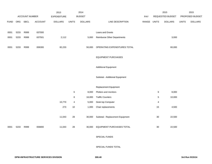|             |      |                       |                | 2013               |                | 2014           |                                    |       |              | 2015             |              | 2015            |
|-------------|------|-----------------------|----------------|--------------------|----------------|----------------|------------------------------------|-------|--------------|------------------|--------------|-----------------|
|             |      | <b>ACCOUNT NUMBER</b> |                | <b>EXPENDITURE</b> |                | <b>BUDGET</b>  |                                    | PAY   |              | REQUESTED BUDGET |              | PROPOSED BUDGET |
| <b>FUND</b> | ORG  | <b>SBCL</b>           | <b>ACCOUNT</b> | <b>DOLLARS</b>     | <b>UNITS</b>   | <b>DOLLARS</b> | LINE DESCRIPTION                   | RANGE | <b>UNITS</b> | <b>DOLLARS</b>   | <b>UNITS</b> | <b>DOLLARS</b>  |
|             |      |                       |                |                    |                |                |                                    |       |              |                  |              |                 |
| 0001        | 5233 | R999                  | 637000         |                    |                |                | Loans and Grants                   |       |              |                  |              |                 |
| 0001        | 5233 | R999                  | 637501         | 2,112              |                | 5,000          | <b>Reimburse Other Departments</b> |       |              | 3,000            |              |                 |
|             |      |                       |                |                    |                |                |                                    |       |              |                  |              |                 |
| 0001        | 5233 | R999                  | 006300         | 82,233             |                | 50,000         | OPERATING EXPENDITURES TOTAL       |       |              | 60,000           |              |                 |
|             |      |                       |                |                    |                |                |                                    |       |              |                  |              |                 |
|             |      |                       |                |                    |                |                | <b>EQUIPMENT PURCHASES</b>         |       |              |                  |              |                 |
|             |      |                       |                |                    |                |                |                                    |       |              |                  |              |                 |
|             |      |                       |                |                    |                |                | <b>Additional Equipment</b>        |       |              |                  |              |                 |
|             |      |                       |                |                    |                |                |                                    |       |              |                  |              |                 |
|             |      |                       |                |                    |                |                | Subtotal - Additional Equipment    |       |              |                  |              |                 |
|             |      |                       |                |                    |                |                |                                    |       |              |                  |              |                 |
|             |      |                       |                |                    |                |                | Replacement Equipment              |       |              |                  |              |                 |
|             |      |                       |                |                    | 6              | 8,000          | Plotters and monitors              |       | 6            | 8,000            |              |                 |
|             |      |                       |                |                    | $\bf 8$        | 16,000         | <b>Traffic Counters</b>            |       | $\,$ 5 $\,$  | 10,000           |              |                 |
|             |      |                       |                | 10,770             | $\overline{4}$ | 5,000          | Desk top Computer                  |       | 4            |                  |              |                 |
|             |      |                       |                | 273                | 10             | 1,000          | Chair replacements                 |       | 15           | 4,500            |              |                 |
|             |      |                       |                |                    |                |                |                                    |       |              |                  |              |                 |
|             |      |                       |                | 11,043             | 28             | 30,000         | Subtotal - Replacement Equipment   |       | $30\,$       | 22,500           |              |                 |
|             |      |                       |                |                    |                |                |                                    |       |              |                  |              |                 |
| 0001        | 5233 | R999                  | 006800         | 11,043             | 28             | 30,000         | EQUIPMENT PURCHASES TOTAL          |       | 30           | 22,500           |              |                 |
|             |      |                       |                |                    |                |                |                                    |       |              |                  |              |                 |
|             |      |                       |                |                    |                |                | SPECIAL FUNDS                      |       |              |                  |              |                 |

SPECIAL FUNDS TOTAL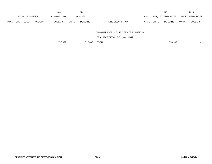|             |            |                       |                | 2013               |              | 2014           |                                  | 2015                    |                |       | 2015                   |
|-------------|------------|-----------------------|----------------|--------------------|--------------|----------------|----------------------------------|-------------------------|----------------|-------|------------------------|
|             |            | <b>ACCOUNT NUMBER</b> |                | <b>EXPENDITURE</b> |              | <b>BUDGET</b>  | PAY                              | <b>REQUESTED BUDGET</b> |                |       | <b>PROPOSED BUDGET</b> |
| <b>FUND</b> | <b>ORG</b> | <b>SBCL</b>           | <b>ACCOUNT</b> | <b>DOLLARS</b>     | <b>UNITS</b> | <b>DOLLARS</b> | <b>RANGE</b><br>LINE DESCRIPTION | <b>UNITS</b>            | <b>DOLLARS</b> | UNITS | <b>DOLLARS</b>         |

DPW-INFRASTRUCTURE SERVICES DIVISION-

TRANSPORTATION DECISION UNIT

1,710,879 1,717,892 TOTAL 1,710,879 1,759,982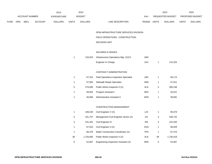|             |                |                | 2013               |              | 2014           |                                               |             |              | 2015             |              | 2015            |
|-------------|----------------|----------------|--------------------|--------------|----------------|-----------------------------------------------|-------------|--------------|------------------|--------------|-----------------|
|             | ACCOUNT NUMBER |                | <b>EXPENDITURE</b> |              | <b>BUDGET</b>  |                                               | PAY         |              | REQUESTED BUDGET |              | PROPOSED BUDGET |
| <b>FUND</b> | ORG SBCL       | <b>ACCOUNT</b> | <b>DOLLARS</b>     | <b>UNITS</b> | <b>DOLLARS</b> | LINE DESCRIPTION                              | RANGE UNITS |              | <b>DOLLARS</b>   | <b>UNITS</b> | <b>DOLLARS</b>  |
|             |                |                |                    |              |                | DPW-INFRASTRUCTURE SERVICES DIVISION-         |             |              |                  |              |                 |
|             |                |                |                    |              |                | FIELD OPERATIONS - CONSTRUCTION               |             |              |                  |              |                 |
|             |                |                |                    |              |                | <b>DECISION UNIT</b>                          |             |              |                  |              |                 |
|             |                |                |                    |              |                | SALARIES & WAGES                              |             |              |                  |              |                 |
|             |                |                |                    | $\mathbf{1}$ | 133,023        | Infrastructure Operations Mgr. (X)(Y)         | 1MX         |              |                  |              |                 |
|             |                |                |                    |              |                | Engineer In Charge                            | 1KX         | $\mathbf{1}$ | 115,325          |              |                 |
|             |                |                |                    |              |                | CONTRACT ADMINISTRATION                       |             |              |                  |              |                 |
|             |                |                |                    | $\mathbf{1}$ | 57,315         | <b>Field Operations Inspection Specialist</b> | 1BX         | $\mathbf{1}$ | 58,174           |              |                 |
|             |                |                |                    | $\mathbf{1}$ | 57,055         | Sidewalk Repair Specialist                    | 3NN         | $\mathbf{1}$ | 57,911           |              |                 |
|             |                |                |                    | 5            | 276,095        | Public Works Inspector II (X)                 | 3LN         | 5            | 280,236          |              |                 |
|             |                |                |                    | $\mathbf{1}$ | 48,502         | Program Assistant I                           | 5EN         | $\mathbf{1}$ | 43,521           |              |                 |
|             |                |                |                    | $\mathbf{1}$ | 40,836         | Administrative Assistant II                   | 6HN         | $\mathbf{1}$ | 39,081           |              |                 |
|             |                |                |                    |              |                | CONSTRUCTION MANAGEMENT                       |             |              |                  |              |                 |
|             |                |                |                    | $\mathbf{1}$ | 108,230        | Civil Engineer V (X)                          | 1JX         | $\mathbf{1}$ | 95,579           |              |                 |
|             |                |                |                    | 4            | 331,757        | Management Civil Engineer Senior (X)          | 11X         | 4            | 336,732          |              |                 |
|             |                |                |                    | 3            | 231,401        | Civil Engineer III                            | 2IN         | 3            | 222,250          |              |                 |
|             |                |                |                    | $\mathbf{1}$ | 67,910         | Civil Engineer II (X)                         | 2GN         | $\mathbf{1}$ | 68,929           |              |                 |
|             |                |                |                    | $\mathbf{1}$ | 66,379         | Water Construction Coordinator (X)            | 7PN         | $\mathbf{1}$ | 67,374           |              |                 |
|             |                |                |                    | 39           | 1,704,845      | Public Works Inspector II (X)                 | 3LN         | 39           | 1,730,418        |              |                 |
|             |                |                |                    | 6            | 52,697         | Engineering Inspection Assistant (X)          | 9NN         | 6            | 53,487           |              |                 |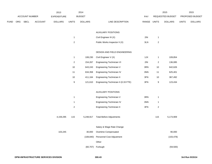|      |     |                |         | 2013               |                  | 2014           |                                      |             |                  | 2015             |              | 2015            |
|------|-----|----------------|---------|--------------------|------------------|----------------|--------------------------------------|-------------|------------------|------------------|--------------|-----------------|
|      |     | ACCOUNT NUMBER |         | <b>EXPENDITURE</b> |                  | <b>BUDGET</b>  |                                      | PAY         |                  | REQUESTED BUDGET |              | PROPOSED BUDGET |
| FUND | ORG | SBCL           | ACCOUNT | <b>DOLLARS</b>     | <b>UNITS</b>     | <b>DOLLARS</b> | LINE DESCRIPTION                     | RANGE UNITS |                  | <b>DOLLARS</b>   | <b>UNITS</b> | <b>DOLLARS</b>  |
|      |     |                |         |                    |                  |                |                                      |             |                  |                  |              |                 |
|      |     |                |         |                    |                  |                | <b>AUXILIARY POSITIONS</b>           |             |                  |                  |              |                 |
|      |     |                |         |                    | $\mathbf{1}$     |                | Civil Engineer III (X)               | 2IN         | $\mathbf{1}$     |                  |              |                 |
|      |     |                |         |                    | $\overline{c}$   |                | Public Works Inspector II (X)        | 3LN         | $\sqrt{2}$       |                  |              |                 |
|      |     |                |         |                    |                  |                |                                      |             |                  |                  |              |                 |
|      |     |                |         |                    |                  |                | DESIGN AND FIELD ENGINEERING         |             |                  |                  |              |                 |
|      |     |                |         |                    | $\mathbf{1}$     | 108,230        | Civil Engineer V (X)                 | 1JX         | $\mathbf{1}$     | 109,854          |              |                 |
|      |     |                |         |                    | $\overline{2}$   | 154,267        | Engineering Technician VI            | 2IN         | $\overline{2}$   | 136,085          |              |                 |
|      |     |                |         |                    | $10$             | 643,243        | Engineering Technician V             | 3RN         | 10               | 642,626          |              |                 |
|      |     |                |         |                    | 11               | 634,358        | <b>Engineering Technician IV</b>     | 3NN         | 11               | 625,401          |              |                 |
|      |     |                |         |                    | $10$             | 411,164        | Engineering Technician II            | 3FN         | 10               | 367,492          |              |                 |
|      |     |                |         |                    | $\boldsymbol{9}$ | 121,610        | Engineering Technician II (0.33 FTE) | 3FN         | $\boldsymbol{9}$ | 123,434          |              |                 |
|      |     |                |         |                    |                  |                |                                      |             |                  |                  |              |                 |
|      |     |                |         |                    |                  |                | <b>AUXILIARY POSITIONS</b>           |             |                  |                  |              |                 |
|      |     |                |         |                    | $\mathbf{1}$     |                | Engineering Technician V             | 3RN         | $\mathbf{1}$     |                  |              |                 |
|      |     |                |         |                    | $\mathbf{1}$     |                | Engineering Technician IV            | 3NN         | $\mathbf{1}$     |                  |              |                 |
|      |     |                |         |                    | $\overline{c}$   |                | Engineering Technician II            | 3FN         | $\sqrt{2}$       |                  |              |                 |
|      |     |                |         |                    |                  |                |                                      |             |                  |                  |              |                 |
|      |     |                |         | 4,159,295          | 115              | 5,248,917      | <b>Total Before Adjustments</b>      |             | 115              | 5,173,909        |              |                 |
|      |     |                |         |                    |                  |                |                                      |             |                  |                  |              |                 |
|      |     |                |         |                    |                  |                | Salary & Wage Rate Change            |             |                  |                  |              |                 |
|      |     |                |         | 103,245            |                  | 30,000         | Overtime Compensated                 |             |                  | 90,000           |              |                 |
|      |     |                |         |                    |                  | (108, 840)     | Personnel Cost Adjustment            |             |                  | (103, 478)       |              |                 |
|      |     |                |         |                    |                  |                | Other                                |             |                  |                  |              |                 |
|      |     |                |         |                    |                  |                | (60,707) Furlough                    |             |                  | (59, 500)        |              |                 |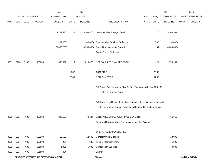|             |      |                       |                                      | 2013           |              | 2014           |                                                                           |       |              | 2015             |              | 2015            |
|-------------|------|-----------------------|--------------------------------------|----------------|--------------|----------------|---------------------------------------------------------------------------|-------|--------------|------------------|--------------|-----------------|
|             |      | <b>ACCOUNT NUMBER</b> |                                      | EXPENDITURE    |              | <b>BUDGET</b>  |                                                                           | PAY   |              | REQUESTED BUDGET |              | PROPOSED BUDGET |
| <b>FUND</b> | ORG  | <b>SBCL</b>           | <b>ACCOUNT</b>                       | <b>DOLLARS</b> | <b>UNITS</b> | <b>DOLLARS</b> | LINE DESCRIPTION                                                          | RANGE | <b>UNITS</b> | <b>DOLLARS</b>   | <b>UNITS</b> | <b>DOLLARS</b>  |
|             |      |                       |                                      |                |              |                |                                                                           |       |              |                  |              |                 |
|             |      |                       |                                      | 4,262,540      | 115          | 5,109,370      | Gross Salaries & Wages Total                                              |       | 115          | 5,100,931        |              |                 |
|             |      |                       |                                      | (107, 880)     |              | (140,000)      | Reimbursable Services Deduction                                           |       | 22.00        | (130,000)        |              |                 |
|             |      |                       |                                      | (3,458,268)    |              | (3,950,000)    | <b>Capital Improvements Deduction</b>                                     |       | 84           | (4,000,000)      |              |                 |
|             |      |                       |                                      |                |              |                | <b>Grants &amp; Aids Deduction</b>                                        |       |              |                  |              |                 |
| 0001        | 5234 | R999                  | 006000                               | 696,392        | 115          | 1,019,370      | NET SALARIES & WAGES TOTAL                                                |       | 221          | 970,931          |              |                 |
|             |      |                       |                                      |                | 18.32        |                | O&M FTE'S                                                                 |       | 22.00        |                  |              |                 |
|             |      |                       |                                      |                | 72.83        |                | NON-O&M FTE'S                                                             |       | 84.00        |                  |              |                 |
|             |      |                       |                                      |                |              |                | (X) Private Auto allowance May Be Paid Pursuant to Section 350-183        |       |              |                  |              |                 |
|             |      |                       |                                      |                |              |                | of the Milwaukee Code.                                                    |       |              |                  |              |                 |
|             |      |                       |                                      |                |              |                |                                                                           |       |              |                  |              |                 |
|             |      |                       |                                      |                |              |                | (Y) Required to file a statement of economic interests in accordance with |       |              |                  |              |                 |
|             |      |                       |                                      |                |              |                | the Milwaukee Code of Ordinances Chapter 303-Code of Ethics.              |       |              |                  |              |                 |
| 0001        | 5234 | R999                  | 006100                               | 305,130        |              | 479,104        | ESTIMATED EMPLOYEE FRINGE BENEFITS                                        |       |              | 436,919          |              |                 |
|             |      |                       |                                      |                |              |                | (Involves Revenue Offset-No Transfers from this Account)                  |       |              |                  |              |                 |
|             |      |                       |                                      |                |              |                | OPERATING EXPENDITURES                                                    |       |              |                  |              |                 |
| 0001        | 5234 | R999                  | 630100                               | 12,629         |              | 12,500         | General Office Expense                                                    |       |              | 13,000           |              |                 |
| 0001        | 5234 | R999                  | 630500                               | 994            |              | 500            | Tools & Machinery Parts                                                   |       |              | 1,000            |              |                 |
| 0001        | 5234 | R999                  | 631000                               | 1,921          |              | 5,000          | <b>Construction Supplies</b>                                              |       |              | 4,000            |              |                 |
| 0001        | 5234 | R999                  | 631500                               | 404            |              |                | Energy                                                                    |       |              |                  |              |                 |
|             |      |                       | DPW-INFRASTRUCTURE SERVICES DIVISION |                |              |                | 300.44                                                                    |       |              |                  |              | 3rd Run 9/15/14 |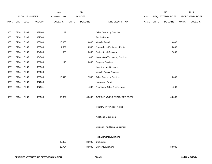|             |      |                |         | 2013               |              | 2014           |                                    |       |              | 2015             |              | 2015            |
|-------------|------|----------------|---------|--------------------|--------------|----------------|------------------------------------|-------|--------------|------------------|--------------|-----------------|
|             |      | ACCOUNT NUMBER |         | <b>EXPENDITURE</b> |              | <b>BUDGET</b>  |                                    | PAY   |              | REQUESTED BUDGET |              | PROPOSED BUDGET |
| <b>FUND</b> | ORG  | <b>SBCL</b>    | ACCOUNT | <b>DOLLARS</b>     | <b>UNITS</b> | <b>DOLLARS</b> | LINE DESCRIPTION                   | RANGE | <b>UNITS</b> | <b>DOLLARS</b>   | <b>UNITS</b> | <b>DOLLARS</b>  |
|             |      |                |         |                    |              |                |                                    |       |              |                  |              |                 |
| 0001        | 5234 | R999           | 632000  | 42                 |              |                | <b>Other Operating Supplies</b>    |       |              |                  |              |                 |
| 0001        | 5234 | R999           | 632500  |                    |              |                | <b>Facility Rental</b>             |       |              |                  |              |                 |
| 0001        | 5234 | R999           | 633000  | 18,688             |              | 9,000          | Vehicle Rental                     |       |              | 19,000           |              |                 |
| 0001        | 5234 | R999           | 633500  | 4,581              |              | 4,500          | Non-Vehicle Equipment Rental       |       |              | 5,000            |              |                 |
| 0001        | 5234 | R999           | 634000  | 505                |              | 8,000          | <b>Professional Services</b>       |       |              | 2,000            |              |                 |
| 0001        | 5234 | R999           | 634500  |                    |              | 1,000          | Information Technology Services    |       |              |                  |              |                 |
| 0001        | 5234 | R999           | 635000  | 115                |              | 6,000          | <b>Property Services</b>           |       |              |                  |              |                 |
| 0001        | 5234 | R999           | 635500  |                    |              |                | <b>Infrastructure Services</b>     |       |              |                  |              |                 |
| 0001        | 5234 | R999           | 636000  |                    |              |                | Vehicle Repair Services            |       |              |                  |              |                 |
| 0001        | 5234 | R999           | 636500  | 13,443             |              | 12,500         | <b>Other Operating Services</b>    |       |              | 15,000           |              |                 |
| 0001        | 5234 | R999           | 637000  |                    |              |                | Loans and Grants                   |       |              |                  |              |                 |
| 0001        | 5234 | R999           | 637501  |                    |              | 1,000          | <b>Reimburse Other Departments</b> |       |              | 1,000            |              |                 |
|             |      |                |         |                    |              |                |                                    |       |              |                  |              |                 |
| 0001        | 5234 | R999           | 006300  | 53,322             |              | 60,000         | OPERATING EXPENDITURES TOTAL       |       |              | 60,000           |              |                 |
|             |      |                |         |                    |              |                |                                    |       |              |                  |              |                 |
|             |      |                |         |                    |              |                | <b>EQUIPMENT PURCHASES</b>         |       |              |                  |              |                 |
|             |      |                |         |                    |              |                |                                    |       |              |                  |              |                 |
|             |      |                |         |                    |              |                | <b>Additional Equipment</b>        |       |              |                  |              |                 |
|             |      |                |         |                    |              |                |                                    |       |              |                  |              |                 |
|             |      |                |         |                    |              |                | Subtotal - Additional Equipment    |       |              |                  |              |                 |
|             |      |                |         |                    |              |                |                                    |       |              |                  |              |                 |
|             |      |                |         |                    |              |                | Replacement Equipment              |       |              |                  |              |                 |
|             |      |                |         | 25,383             |              | 30,000         | Computers                          |       |              |                  |              |                 |
|             |      |                |         | 26,734             |              | 30,000         | Survey Equipment                   |       |              | 30,000           |              |                 |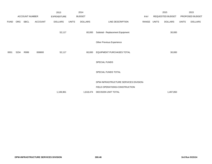|             |            |                       |                | 2013               |              | 2014           |                                       |       |       | 2015                    |              | 2015            |
|-------------|------------|-----------------------|----------------|--------------------|--------------|----------------|---------------------------------------|-------|-------|-------------------------|--------------|-----------------|
|             |            | <b>ACCOUNT NUMBER</b> |                | <b>EXPENDITURE</b> |              | <b>BUDGET</b>  |                                       | PAY   |       | <b>REQUESTED BUDGET</b> |              | PROPOSED BUDGET |
| <b>FUND</b> | <b>ORG</b> | SBCL                  | <b>ACCOUNT</b> | <b>DOLLARS</b>     | <b>UNITS</b> | <b>DOLLARS</b> | LINE DESCRIPTION                      | RANGE | UNITS | <b>DOLLARS</b>          | <b>UNITS</b> | <b>DOLLARS</b>  |
|             |            |                       |                | 52,117             |              | 60,000         | Subtotal - Replacement Equipment      |       |       | 30,000                  |              |                 |
|             |            |                       |                |                    |              |                | Other Previous Experience             |       |       |                         |              |                 |
| 0001        | 5234       | R999                  | 006800         | 52,117             |              | 60,000         | EQUIPMENT PURCHASES TOTAL             |       |       | 30,000                  |              |                 |
|             |            |                       |                |                    |              |                | SPECIAL FUNDS                         |       |       |                         |              |                 |
|             |            |                       |                |                    |              |                | SPECIAL FUNDS TOTAL                   |       |       |                         |              |                 |
|             |            |                       |                |                    |              |                | DPW-INFRASTRUCTURE SERVICES DIVISION- |       |       |                         |              |                 |
|             |            |                       |                |                    |              |                | FIELD OPERATIONS-CONSTRUCTION         |       |       |                         |              |                 |
|             |            |                       |                | 1,106,961          |              | 1,618,474      | DECISION UNIT TOTAL                   |       |       | 1,497,850               |              |                 |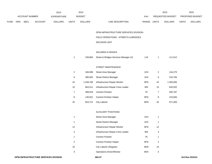|             |     |                |                | 2013               |                | 2014           |                                       |             |                | 2015             |              | 2015            |
|-------------|-----|----------------|----------------|--------------------|----------------|----------------|---------------------------------------|-------------|----------------|------------------|--------------|-----------------|
|             |     | ACCOUNT NUMBER |                | <b>EXPENDITURE</b> |                | <b>BUDGET</b>  |                                       | PAY         |                | REQUESTED BUDGET |              | PROPOSED BUDGET |
| <b>FUND</b> | ORG | SBCL           | <b>ACCOUNT</b> | <b>DOLLARS</b>     | <b>UNITS</b>   | <b>DOLLARS</b> | LINE DESCRIPTION                      | RANGE UNITS |                | <b>DOLLARS</b>   | <b>UNITS</b> | <b>DOLLARS</b>  |
|             |     |                |                |                    |                |                |                                       |             |                |                  |              |                 |
|             |     |                |                |                    |                |                | DPW-INFRASTRUCTURE SERVICES DIVISION- |             |                |                  |              |                 |
|             |     |                |                |                    |                |                | FIELD OPERATIONS - STREETS & BRIDGES  |             |                |                  |              |                 |
|             |     |                |                |                    |                |                | <b>DECISION UNIT</b>                  |             |                |                  |              |                 |
|             |     |                |                |                    |                |                |                                       |             |                |                  |              |                 |
|             |     |                |                |                    |                |                | SALARIES & WAGES                      |             |                |                  |              |                 |
|             |     |                |                |                    | $\mathbf{1}$   | 109,864        | Street & Bridges Services Manager (X) | 1JX         | $\mathbf{1}$   | 111,512          |              |                 |
|             |     |                |                |                    |                |                |                                       |             |                |                  |              |                 |
|             |     |                |                |                    |                |                | STREET MAINTENANCE                    |             |                |                  |              |                 |
|             |     |                |                |                    | $\sqrt{2}$     | 166,086        | Street Area Manager                   | 1HX         | $\overline{a}$ | 144,270          |              |                 |
|             |     |                |                |                    | $\,6\,$        | 380,655        | <b>Street District Manager</b>        | 1DX         | 6              | 310,784          |              |                 |
|             |     |                |                |                    | 42             | 1,208,766      | Infrastructure Repair Worker          | 8FN         | 42             | 1,300,000        |              |                 |
|             |     |                |                |                    | 15             | 663,511        | Infrastructure Repair Crew Leader     | 8IN         | 15             | 645,052          |              |                 |
|             |     |                |                |                    | $\overline{7}$ | 399,819        | <b>Cement Finisher</b>                | <b>7K</b>   | $\overline{7}$ | 405,787          |              |                 |
|             |     |                |                |                    | 8              | 130,821        | Cement Finisher Helper                | 8FN         | 8              | 153,600          |              |                 |
|             |     |                |                |                    | 32             | 603,721        | <b>City Laborer</b>                   | 8DN         | 32             | 871,000          |              |                 |
|             |     |                |                |                    |                |                |                                       |             |                |                  |              |                 |
|             |     |                |                |                    |                |                | <b>AUXILIARY POSITIONS</b>            |             |                |                  |              |                 |
|             |     |                |                |                    | $\mathbf{1}$   |                | Street Area Manager                   | 1HX         | $\mathbf{1}$   |                  |              |                 |
|             |     |                |                |                    | $\mathbf{1}$   |                | <b>Street District Manager</b>        | 1DX         | $\mathbf 1$    |                  |              |                 |
|             |     |                |                |                    | 12             |                | Infrastructure Repair Worker          | 8FN         | 12             |                  |              |                 |

3 Infrastructure Repair Crew Leader 8IN 3 1 Cement Finisher 7K 1 2 Cement Finisher Helper 8FN 2 15 City Laborer (Regular) 8DN 15 4 Operations Driver/Worker 8KN 4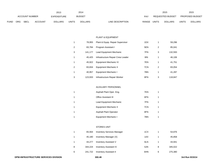|             |            |                       |                | 2013           |              | 2014           |                           | 2015                           |              | 2015                   |
|-------------|------------|-----------------------|----------------|----------------|--------------|----------------|---------------------------|--------------------------------|--------------|------------------------|
|             |            | <b>ACCOUNT NUMBER</b> |                | EXPENDITURE    |              | <b>BUDGET</b>  | <b>PAY</b>                | <b>REQUESTED BUDGET</b>        |              | <b>PROPOSED BUDGET</b> |
| <b>FUND</b> | <b>ORG</b> | SBCL                  | <b>ACCOUNT</b> | <b>DOLLARS</b> | <b>UNITS</b> | <b>DOLLARS</b> | LINE DESCRIPTION<br>RANGE | <b>UNITS</b><br><b>DOLLARS</b> | <b>UNITS</b> | <b>DOLLARS</b>         |

#### PLANT & EQUIPMENT

| 1 | 78.955  | Plant & Equip. Repair Supervisor  | 1DX | 1              | 59,296  |
|---|---------|-----------------------------------|-----|----------------|---------|
| 2 | 83.784  | Program Assistant I               | 5EN | $\overline{2}$ | 85,041  |
| 3 | 141.177 | Lead Equipment Mechanic           | 7FN | 3              | 132,593 |
| 1 | 45.425  | Infrastructure Repair Crew Leader | 8IN | 1              | 46.106  |
| 1 | 45.922  | Equipment Mechanic IV             | 7EN | 1              | 41,751  |
| 2 | 83.834  | Equipment Mechanic II             | 7CN | $\overline{2}$ | 83,054  |
| 1 | 40.957  | Equipment Mechanic I              | 7BN | 1              | 41,287  |
| 3 | 123.933 | Infrastructure Repair Worker      | 8FN | 3              | 118.847 |

# AUXILIARY PERSONNEL

| Asphalt Plant Oper. Eng.      | 7KN |   |
|-------------------------------|-----|---|
| <b>Office Assistant III</b>   | 6FN |   |
| Lead Equipment Mechanic       | 7FN | 1 |
| Equipment Mechanic II         | 7CN | 1 |
| <b>Asphalt Plant Operator</b> | 8FN | 1 |
| Equipment Mechanic I          | 7BN |   |

## STORES UNIT

| 1 | 65.564  | <b>Inventory Services Manager</b> | 1CX |   | 54,876  |
|---|---------|-----------------------------------|-----|---|---------|
| 1 | 45.180  | Inventory Manager (X)             | 1AX |   | 45,858  |
| 1 | 44.277  | <b>Inventory Assistant V</b>      | 6LN |   | 44.941  |
| 8 | 344.224 | <b>Inventory Assistant IV</b>     | 6JN | 8 | 345,022 |
| 6 | 241.722 | <b>Inventory Assistant II</b>     | 6HN | 6 | 275,380 |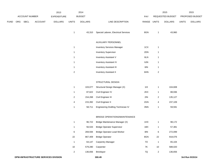|             |     |                | 2013    |                    | 2014           |                |                                      | 2015           |                         | 2015             |              |                 |
|-------------|-----|----------------|---------|--------------------|----------------|----------------|--------------------------------------|----------------|-------------------------|------------------|--------------|-----------------|
|             |     | ACCOUNT NUMBER |         | <b>EXPENDITURE</b> |                | <b>BUDGET</b>  |                                      | PAY            |                         | REQUESTED BUDGET |              | PROPOSED BUDGET |
| <b>FUND</b> | ORG | SBCL           | ACCOUNT | <b>DOLLARS</b>     | <b>UNITS</b>   | <b>DOLLARS</b> | LINE DESCRIPTION                     | RANGE UNITS    |                         | <b>DOLLARS</b>   | <b>UNITS</b> | <b>DOLLARS</b>  |
|             |     |                |         |                    | $\overline{1}$ | 43,310         | Special Laborer, Electrical Services | 8GN            | $\mathbf{1}$            | 43,960           |              |                 |
|             |     |                |         |                    |                |                | AUXILIARY PERSONNEL                  |                |                         |                  |              |                 |
|             |     |                |         |                    | $\overline{1}$ |                | <b>Inventory Services Manager</b>    | 1CX            | $\mathbf{1}$            |                  |              |                 |
|             |     |                |         |                    | $\overline{1}$ |                | <b>Inventory Supervisor</b>          | 2DN            | $\mathbf{1}$            |                  |              |                 |
|             |     |                |         |                    | $\overline{1}$ |                | Inventory Assistant V                | 6LN            | $\mathbf{1}$            |                  |              |                 |
|             |     |                |         |                    | $\overline{1}$ |                | <b>Inventory Assistant IV</b>        | 6JN            | $\mathbf{1}$            |                  |              |                 |
|             |     |                |         |                    | $\overline{1}$ |                | <b>Inventory Assistant III</b>       | 6IN            | $\mathbf{1}$            |                  |              |                 |
|             |     |                |         |                    | $\overline{c}$ |                | <b>Inventory Assistant II</b>        | 6HN            | $\overline{\mathbf{c}}$ |                  |              |                 |
|             |     |                |         |                    |                |                |                                      |                |                         |                  |              |                 |
|             |     |                |         |                    |                |                | STRUCTURAL DESIGN                    |                |                         |                  |              |                 |
|             |     |                |         |                    | $\overline{1}$ | 103,077        | Structural Design Manager (X)        | $11X$          | $\mathbf{1}$            | 104,608          |              |                 |
|             |     |                |         |                    | $\overline{1}$ | 87,622         | Civil Engineer IV                    | 2KX            | 1                       | 88,936           |              |                 |
|             |     |                |         |                    | $\overline{c}$ | 154,268        | Civil Engineer III                   | 2IN            | 2                       | 135,127          |              |                 |
|             |     |                |         |                    | 4              | 215,392        | Civil Engineer II                    | 2GN            | 4                       | 237,109          |              |                 |
|             |     |                |         |                    | $\overline{1}$ | 58,711         | Engineering Drafting Technician IV   | $3\mathrm{NN}$ | $\mathbf{1}$            | 59,591           |              |                 |
|             |     |                |         |                    |                |                |                                      |                |                         |                  |              |                 |
|             |     |                |         |                    |                |                | BRIDGE OPERATIONS/MAINTENANCE        |                |                         |                  |              |                 |
|             |     |                |         |                    | $\overline{1}$ | 96,722         | Bridge Maintenance Manager (X)       | 1HX            | $\mathbf{1}$            | 98,172           |              |                 |
|             |     |                |         |                    | $\overline{1}$ | 56,533         | <b>Bridge Operator Supervisor</b>    | 1BX            | $\mathbf{1}$            | 57,381           |              |                 |
|             |     |                |         |                    | $\,6\,$        | 269,594        | <b>Bridge Operator-Lead Worker</b>   | $8I$           | 6                       | 272,099          |              |                 |
|             |     |                |         |                    | 22             | 867,409        | <b>Bridge Operator</b>               | 8GN            | 22                      | 918,076          |              |                 |
|             |     |                |         |                    | $\overline{1}$ | 64,147         | <b>Carpentry Manager</b>             | 70             | $\mathbf{1}$            | 65,104           |              |                 |
|             |     |                |         |                    | 10             | 579,280        | Carpenter                            | <b>7K</b>      | $10\,$                  | 588,020          |              |                 |
|             |     |                |         |                    | $\overline{a}$ | 136,656        | Bricklayer                           | $7{\sf Q}$     | $\overline{a}$          | 136,656          |              |                 |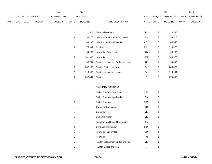|      |     |                |                | 2013                         |       | 2014           |                  |       |                  | 2015           |                        | 2015           |
|------|-----|----------------|----------------|------------------------------|-------|----------------|------------------|-------|------------------|----------------|------------------------|----------------|
|      |     | ACCOUNT NUMBER |                | <b>BUDGET</b><br>EXPENDITURE |       |                |                  | PAY   | REQUESTED BUDGET |                | <b>PROPOSED BUDGET</b> |                |
| FUND | ORG | SBCL           | <b>ACCOUNT</b> | <b>DOLLARS</b>               | UNITS | <b>DOLLARS</b> | LINE DESCRIPTION | RANGE | <b>UNITS</b>     | <b>DOLLARS</b> | <b>UNITS</b>           | <b>DOLLARS</b> |

| $\overline{2}$ | 122.928 | <b>Electrical Mechanic</b>          | 7MN | $\overline{2}$ | 124,758 |
|----------------|---------|-------------------------------------|-----|----------------|---------|
| 3              | 136.275 | Infrastructure Repair Crew Leader   | 8IN | 3              | 138,318 |
| 2              | 83,102  | Infrastructure Repair Worker        | 8FN | 2              | 84,349  |
| 3              | 73,984  | <b>City Laborer</b>                 | 8DN | 3              | 116,578 |
| 1              | 64.230  | Ironworker Supervisor               | 70  | 1              | 65,187  |
| 5              | 301.390 | Ironworker                          | 7M  | 5              | 304,970 |
| 1              | 58.781  | Painter Leadworker, Bridge and Iron | 7K  | 1              | 59,633  |
| 5              | 282.255 | Painter, Bridge and Iron            | 7J  | 5              | 286,520 |
| 2              | 116.959 | Painter Leadworker, House           | 7J  | 2              | 113,194 |
| 5              | 207,041 | Painter                             | 71  | 5              | 279,032 |

### AUXILIARY POSITIONS

| $\mathbf{1}$ | <b>Bridge Operator Supervisor</b>   | 1BX | 1 |
|--------------|-------------------------------------|-----|---|
| 1            | Bridge Operator-Leadworker          | 8IN | 2 |
| 2            | <b>Bridge Operator</b>              | 8GN | 1 |
| 1            | <b>Carpenter Supervisor</b>         | 70  | 1 |
| 1            | Carpenter                           | 7K  | 1 |
| 1            | <b>Cement Finisher</b>              | 7K  | 1 |
| 1            | Infrastructure Repair Crew leader   | 8IN | 2 |
| 2            | City Laborer (Regular)              | 8DN | 1 |
| 1            | Ironworker Supervisor               | 70  | 1 |
| 1            | Ironworker                          | 7M  | 1 |
| 1            | Painter Leadworker, Bridge and Iron | 7K  | 1 |
| 1            | Painter, Bridge and Iron            | 7J  | 1 |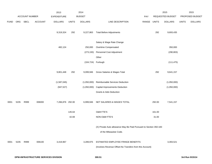|             |      |                |                                      | 2013               |              | 2014               |                                                                                                |             |        | 2015             |              | 2015            |
|-------------|------|----------------|--------------------------------------|--------------------|--------------|--------------------|------------------------------------------------------------------------------------------------|-------------|--------|------------------|--------------|-----------------|
|             |      | ACCOUNT NUMBER |                                      | <b>EXPENDITURE</b> |              | <b>BUDGET</b>      |                                                                                                | PAY         |        | REQUESTED BUDGET |              | PROPOSED BUDGET |
| <b>FUND</b> | ORG  | SBCL           | <b>ACCOUNT</b>                       | <b>DOLLARS</b>     | <b>UNITS</b> | <b>DOLLARS</b>     | LINE DESCRIPTION                                                                               | RANGE UNITS |        | <b>DOLLARS</b>   | <b>UNITS</b> | <b>DOLLARS</b>  |
|             |      |                |                                      |                    |              |                    |                                                                                                |             |        |                  |              |                 |
|             |      |                |                                      | 9,319,324          | 292          | 9,227,863          | <b>Total Before Adjustments</b>                                                                |             | 292    | 9,693,435        |              |                 |
|             |      |                |                                      |                    |              |                    |                                                                                                |             |        |                  |              |                 |
|             |      |                |                                      |                    |              |                    | Salary & Wage Rate Change                                                                      |             |        |                  |              |                 |
|             |      |                |                                      | 482,124            |              | 250,000            | Overtime Compensated                                                                           |             |        | 350,000          |              |                 |
|             |      |                |                                      |                    |              | (273, 193)         | Personnel Cost Adjustment                                                                      |             |        | (290, 803)       |              |                 |
|             |      |                |                                      |                    |              |                    | Other                                                                                          |             |        |                  |              |                 |
|             |      |                |                                      |                    |              | (104,724) Furlough |                                                                                                |             |        | (111, 475)       |              |                 |
|             |      |                |                                      |                    |              |                    |                                                                                                |             |        |                  |              |                 |
|             |      |                |                                      | 9,801,448          | 292          | 9,099,946          | Gross Salaries & Wages Total                                                                   |             | 292    | 9,641,157        |              |                 |
|             |      |                |                                      |                    |              |                    |                                                                                                |             |        |                  |              |                 |
|             |      |                |                                      | (1,587,045)        |              | (1,050,000)        | Reimbursable Services Deduction                                                                |             |        | (1,050,000)      |              |                 |
|             |      |                |                                      | (947, 527)         |              | (1,050,000)        | <b>Capital Improvements Deduction</b>                                                          |             |        | (1,050,000)      |              |                 |
|             |      |                |                                      |                    |              |                    | <b>Grants &amp; Aids Deduction</b>                                                             |             |        |                  |              |                 |
|             |      |                |                                      |                    |              |                    |                                                                                                |             |        |                  |              |                 |
| 0001        | 5235 | R999           | 006000                               | 7,266,876 292.00   |              | 6,999,946          | NET SALARIES & WAGES TOTAL                                                                     |             | 292.00 | 7,541,157        |              |                 |
|             |      |                |                                      |                    |              |                    |                                                                                                |             |        |                  |              |                 |
|             |      |                |                                      |                    | 145.64       |                    | O&M FTE'S                                                                                      |             | 161.00 |                  |              |                 |
|             |      |                |                                      |                    | 42.69        |                    | NON-O&M FTE'S                                                                                  |             | 31.00  |                  |              |                 |
|             |      |                |                                      |                    |              |                    |                                                                                                |             |        |                  |              |                 |
|             |      |                |                                      |                    |              |                    | (X) Private Auto allowance May Be Paid Pursuant to Section 350-183                             |             |        |                  |              |                 |
|             |      |                |                                      |                    |              |                    | of the Milwaukee Code.                                                                         |             |        |                  |              |                 |
|             |      |                |                                      |                    |              |                    |                                                                                                |             |        |                  |              |                 |
| 0001        | 5235 | R999           | 006100                               | 3,419,967          |              | 3,289,975          | ESTIMATED EMPLOYEE FRINGE BENEFITS<br>(Involves Revenue Offset-No Transfers from this Account) |             |        | 3,393,521        |              |                 |
|             |      |                |                                      |                    |              |                    |                                                                                                |             |        |                  |              |                 |
|             |      |                | DPW-INFRASTRUCTURE SERVICES DIVISION |                    |              |                    | 300.51                                                                                         |             |        |                  |              | 3rd Run 9/15/14 |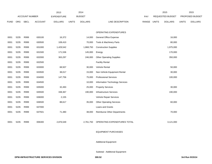|             |      |                       |                | 2013               |              | 2014           |                                    |       | 2015                    |                | 2015            |                |
|-------------|------|-----------------------|----------------|--------------------|--------------|----------------|------------------------------------|-------|-------------------------|----------------|-----------------|----------------|
|             |      | <b>ACCOUNT NUMBER</b> |                | <b>EXPENDITURE</b> |              | <b>BUDGET</b>  |                                    | PAY   | <b>REQUESTED BUDGET</b> |                | PROPOSED BUDGET |                |
| <b>FUND</b> | ORG  | SBCL                  | <b>ACCOUNT</b> | <b>DOLLARS</b>     | <b>UNITS</b> | <b>DOLLARS</b> | LINE DESCRIPTION                   | RANGE | <b>UNITS</b>            | <b>DOLLARS</b> |                 | <b>DOLLARS</b> |
|             |      |                       |                |                    |              |                |                                    |       |                         |                |                 |                |
|             |      |                       |                |                    |              |                | OPERATING EXPENDITURES             |       |                         |                |                 |                |
| 0001        | 5235 | R999                  | 630100         | 16,372             |              | 14,000         | <b>General Office Expense</b>      |       |                         | 16,000         |                 |                |
| 0001        | 5235 | R999                  | 630500         | 108,410            |              | 70,000         | Tools & Machinery Parts            |       |                         | 80,000         |                 |                |
| 0001        | 5235 | R999                  | 631000         | 1,429,542          |              | 1,868,750      | <b>Construction Supplies</b>       |       |                         | 1,975,000      |                 |                |
| 0001        | 5235 | R999                  | 631500         | 171,536            |              | 145,000        | Energy                             |       |                         | 170,000        |                 |                |
| 0001        | 5235 | R999                  | 632000         | 363,297            |              | 246,000        | <b>Other Operating Supplies</b>    |       |                         | 350,000        |                 |                |
| 0001        | 5235 | R999                  | 632500         |                    |              |                | <b>Facility Rental</b>             |       |                         |                |                 |                |
| 0001        | 5235 | R999                  | 633000         | 68,507             |              | 30,000         | Vehicle Rental                     |       |                         | 50,000         |                 |                |
| 0001        | 5235 | R999                  | 633500         | 38,017             |              | 15,000         | Non-Vehicle Equipment Rental       |       |                         | 30,000         |                 |                |
| 0001        | 5235 | R999                  | 634000         | 147,756            |              | 75,000         | <b>Professional Services</b>       |       |                         | 100,000        |                 |                |
| 0001        | 5235 | R999                  | 634500         |                    |              | 10,000         | Information Technology Services    |       |                         |                |                 |                |
| 0001        | 5235 | R999                  | 635000         | 32,493             |              | 25,000         | <b>Property Services</b>           |       |                         | 30,000         |                 |                |
| 0001        | 5235 | R999                  | 635500         | 338,367            |              | 190,000        | <b>Infrastructure Services</b>     |       |                         | 190,000        |                 |                |
| 0001        | 5235 | R999                  | 636000         | 2,155              |              |                | Vehicle Repair Services            |       |                         |                |                 |                |
| 0001        | 5235 | R999                  | 636500         | 88,617             |              | 35,000         | <b>Other Operating Services</b>    |       |                         | 60,000         |                 |                |
| 0001        | 5235 | R999                  | 637000         |                    |              |                | Loans and Grants                   |       |                         |                |                 |                |
| 0001        | 5235 | R999                  | 637501         | 71,480             |              | 38,000         | <b>Reimburse Other Departments</b> |       |                         | 70,000         |                 |                |
|             |      |                       |                |                    |              |                |                                    |       |                         |                |                 |                |
| 0001        | 5235 | R999                  | 006300         | 2,876,549          |              | 2,761,750      | OPERATING EXPENDITURES TOTAL       |       |                         | 3,121,000      |                 |                |
|             |      |                       |                |                    |              |                |                                    |       |                         |                |                 |                |

### EQUIPMENT PURCHASES

## Additional Equipment

## Subtotal - Additional Equipment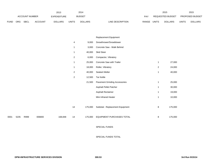|             |      |                       |                | 2013               |                | 2014           |                                      |             |              | 2015             |              | 2015            |
|-------------|------|-----------------------|----------------|--------------------|----------------|----------------|--------------------------------------|-------------|--------------|------------------|--------------|-----------------|
|             |      | <b>ACCOUNT NUMBER</b> |                | <b>EXPENDITURE</b> |                | <b>BUDGET</b>  |                                      | PAY         |              | REQUESTED BUDGET |              | PROPOSED BUDGET |
| <b>FUND</b> | ORG  | SBCL                  | <b>ACCOUNT</b> | <b>DOLLARS</b>     | <b>UNITS</b>   | <b>DOLLARS</b> | LINE DESCRIPTION                     | RANGE UNITS |              | <b>DOLLARS</b>   | <b>UNITS</b> | <b>DOLLARS</b>  |
|             |      |                       |                |                    |                |                |                                      |             |              |                  |              |                 |
|             |      |                       |                |                    |                |                |                                      |             |              |                  |              |                 |
|             |      |                       |                |                    |                |                | Replacement Equipment                |             |              |                  |              |                 |
|             |      |                       |                |                    | 4              | 9,000          | Snowthrower/Snowblower               |             |              |                  |              |                 |
|             |      |                       |                |                    | $\mathbf{1}$   | 3,000          | Concrete Saw - Walk Behind           |             |              |                  |              |                 |
|             |      |                       |                |                    | $\mathbf{1}$   | 40,000         | Skid Steer                           |             |              |                  |              |                 |
|             |      |                       |                |                    | $\overline{2}$ | 6,000          | Compactor, Vibratory                 |             |              |                  |              |                 |
|             |      |                       |                |                    | $\mathbf{1}$   | 25,000         | Concrete Saw with Trailer            |             | $\mathbf{1}$ | 27,000           |              |                 |
|             |      |                       |                |                    | $\mathbf{1}$   | 18,000         | Roller, Vibratory                    |             | $\sqrt{2}$   | 24,000           |              |                 |
|             |      |                       |                |                    | $\overline{2}$ | 40,000         | Sealant Melter                       |             | $\mathbf{1}$ | 40,000           |              |                 |
|             |      |                       |                |                    | $\overline{2}$ | 12,500         | <b>Tar Kettle</b>                    |             |              |                  |              |                 |
|             |      |                       |                |                    |                | 21,500         | <b>Pavement Grinding Accessories</b> |             | $\mathbf{1}$ | 25,000           |              |                 |
|             |      |                       |                |                    |                |                | Asphalt Pellet Patcher               |             | $\mathbf{1}$ | 30,000           |              |                 |
|             |      |                       |                |                    |                |                | Asphalt Reclaimer                    |             | $\mathbf{1}$ | 19,000           |              |                 |
|             |      |                       |                |                    |                |                | Mini Infrared Heater                 |             | $\mathbf{1}$ | 10,000           |              |                 |
|             |      |                       |                |                    |                |                |                                      |             |              |                  |              |                 |
|             |      |                       |                |                    | 14             | 175,000        | Subtotal - Replacement Equipment     |             | 8            | 175,000          |              |                 |
|             |      |                       |                |                    |                |                |                                      |             |              |                  |              |                 |
| 0001        | 5235 | R999                  | 006800         | 168,848            | 14             | 175,000        | EQUIPMENT PURCHASES TOTAL            |             | 8            | 175,000          |              |                 |
|             |      |                       |                |                    |                |                |                                      |             |              |                  |              |                 |
|             |      |                       |                |                    |                |                | SPECIAL FUNDS                        |             |              |                  |              |                 |

SPECIAL FUNDS TOTAL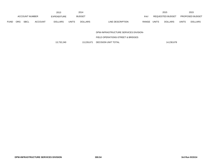|             |            |                       |                | 2013               |              | 2014           |                           | 2015                    |              | 2015                   |
|-------------|------------|-----------------------|----------------|--------------------|--------------|----------------|---------------------------|-------------------------|--------------|------------------------|
|             |            | <b>ACCOUNT NUMBER</b> |                | <b>EXPENDITURE</b> |              | <b>BUDGET</b>  | PAY                       | REQUESTED BUDGET        |              | <b>PROPOSED BUDGET</b> |
| <b>FUND</b> | <b>ORG</b> | <b>SBCL</b>           | <b>ACCOUNT</b> | <b>DOLLARS</b>     | <b>UNITS</b> | <b>DOLLARS</b> | LINE DESCRIPTION<br>RANGE | UNITS<br><b>DOLLARS</b> | <b>UNITS</b> | <b>DOLLARS</b>         |

DPW-INFRASTRUCTURE SERVICES DIVISION-

FIELD OPERATIONS-STREET & BRIDGES

13,732,240 13,226,671 DECISION UNIT TOTAL 15,732,240 14,230,678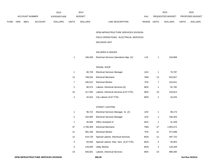|             |     |                       |                | 2013               |                         | 2014           |                                         |       |                | 2015             |              | 2015            |
|-------------|-----|-----------------------|----------------|--------------------|-------------------------|----------------|-----------------------------------------|-------|----------------|------------------|--------------|-----------------|
|             |     | <b>ACCOUNT NUMBER</b> |                | <b>EXPENDITURE</b> |                         | <b>BUDGET</b>  |                                         | PAY   |                | REQUESTED BUDGET |              | PROPOSED BUDGET |
| <b>FUND</b> | ORG | <b>SBCL</b>           | <b>ACCOUNT</b> | <b>DOLLARS</b>     | <b>UNITS</b>            | <b>DOLLARS</b> | LINE DESCRIPTION                        | RANGE | <b>UNITS</b>   | <b>DOLLARS</b>   | <b>UNITS</b> | <b>DOLLARS</b>  |
|             |     |                       |                |                    |                         |                | DPW-INFRASTRUCTURE SERVICES DIVISION-   |       |                |                  |              |                 |
|             |     |                       |                |                    |                         |                | FIELD OPERATIONS - ELECTRICAL SERVICES  |       |                |                  |              |                 |
|             |     |                       |                |                    |                         |                | DECISION UNIT                           |       |                |                  |              |                 |
|             |     |                       |                |                    |                         |                | SALARIES & WAGES                        |       |                |                  |              |                 |
|             |     |                       |                |                    | $\mathbf{1}$            | 106,028        | Electrical Services Operations Mgr. (X) | 1JX   | $\mathbf{1}$   | 104,868          |              |                 |
|             |     |                       |                |                    |                         |                | SIGNAL SHOP                             |       |                |                  |              |                 |
|             |     |                       |                |                    | $\mathbf{1}$            | 90,728         | <b>Electrical Services Manager</b>      | 1GX   | $\mathbf{1}$   | 70,797           |              |                 |
|             |     |                       |                |                    | 13                      | 799,032        | <b>Electrical Mechanic</b>              | 7MN   | 13             | 810,927          |              |                 |
|             |     |                       |                |                    | $\overline{7}$          | 330,512        | <b>Electrical Worker</b>                | 7FN   | $\overline{7}$ | 310,621          |              |                 |
|             |     |                       |                |                    | $\overline{a}$          | 80,574         | Laborer, Electrical Services (A)        | 8EN   | 2              | 81,782           |              |                 |
|             |     |                       |                |                    | 10                      | 217,550        | Laborer, Electrical Services (0.67 FTE) | 8EN   | $10$           | 220,813          |              |                 |
|             |     |                       |                |                    | $\overline{\mathbf{c}}$ | 42,615         | City Laborer (0.67 FTE)                 | 8DN   | 2              | 43,254           |              |                 |
|             |     |                       |                |                    |                         |                | STREET LIGHTING                         |       |                |                  |              |                 |
|             |     |                       |                |                    | $\mathbf{1}$            | 96,722         | Electrical Services Manager, Sr. (X)    | 1HX   | $\mathbf{1}$   | 98,173           |              |                 |
|             |     |                       |                |                    | $\overline{c}$          | 164,904        | <b>Electrical Services Manager</b>      | 1GX   | 2              | 166,403          |              |                 |
|             |     |                       |                |                    | 1                       | 40,836         | Office Assistant IV                     | 6HX   | $\mathbf{1}$   | 41,449           |              |                 |
|             |     |                       |                |                    | 47                      | 2,766,309      | <b>Electrical Mechanic</b>              | 7MN   | 47             | 2,903,472        |              |                 |
|             |     |                       |                |                    | 21                      | 991,536        | <b>Electrical Worker</b>                | 7FN   | 21             | 971,698          |              |                 |
|             |     |                       |                |                    | 12                      | 519,720        | Special Laborer, Electrical Services    | 8GN   | $12\,$         | 497,722          |              |                 |
|             |     |                       |                |                    | 4                       | 93,550         | Special Laborer, Elec. Serv. (0.67 FTE) | 8GN   | 4              | 94,953           |              |                 |
|             |     |                       |                |                    | 3                       | 129,930        | <b>Utility Worker</b>                   | 8GN   | 3              | 128,259          |              |                 |
|             |     |                       |                |                    | 23                      | 926,601        | Laborer, Electrical Services            | 8EN   | 23             | 896,460          |              |                 |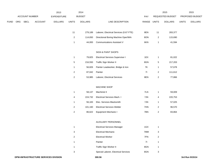|             |                |                | 2013               |                         | 2014           |                                         |             |                | 2015             |              | 2015            |
|-------------|----------------|----------------|--------------------|-------------------------|----------------|-----------------------------------------|-------------|----------------|------------------|--------------|-----------------|
|             | ACCOUNT NUMBER |                | <b>EXPENDITURE</b> |                         | <b>BUDGET</b>  |                                         | PAY         |                | REQUESTED BUDGET |              | PROPOSED BUDGET |
| <b>FUND</b> | ORG SBCL       | <b>ACCOUNT</b> | <b>DOLLARS</b>     | <b>UNITS</b>            | <b>DOLLARS</b> | LINE DESCRIPTION                        | RANGE UNITS |                | <b>DOLLARS</b>   | <b>UNITS</b> | <b>DOLLARS</b>  |
|             |                |                |                    |                         |                |                                         |             |                |                  |              |                 |
|             |                |                |                    | 11                      | 279,189        | Laborer, Electrical Services (0.67 FTE) | 8EN         | 11             | 283,377          |              |                 |
|             |                |                |                    | $\overline{2}$          | 114,650        | Directional Boring Machine Oper/Wrk     | 8ON         | $\overline{c}$ | 115,690          |              |                 |
|             |                |                |                    | $\mathbf{1}$            | 44,000         | <b>Communications Assistant V</b>       | 6KN         | $\mathbf{1}$   | 41,594           |              |                 |
|             |                |                |                    |                         |                |                                         |             |                |                  |              |                 |
|             |                |                |                    |                         |                | SIGN & PAINT SHOPS                      |             |                |                  |              |                 |
|             |                |                |                    | $\mathbf{1}$            | 79,825         | <b>Electrical Services Supervisor I</b> | 1EX         | $\mathbf{1}$   | 81,022           |              |                 |
|             |                |                |                    | $\,$ 5 $\,$             | 216,550        | Traffic Sign Worker II                  | 8GN         | $\,$ 5 $\,$    | 217,203          |              |                 |
|             |                |                |                    | $\mathbf{1}$            | 56,826         | Painter Leadworker, Bridge & Iron       | <b>7K</b>   | $\mathbf{1}$   | 57,678           |              |                 |
|             |                |                |                    | $\overline{2}$          | 87,042         | Painter                                 | 71          | $\overline{c}$ | 111,612          |              |                 |
|             |                |                |                    | $\overline{2}$          | 53,985         | Laborer, Electrical Services            | 8EN         | $\overline{2}$ | 77,866           |              |                 |
|             |                |                |                    |                         |                |                                         |             |                |                  |              |                 |
|             |                |                |                    |                         |                | MACHINE SHOP                            |             |                |                  |              |                 |
|             |                |                |                    | $\mathbf{1}$            | 58,137         | Machinist II                            | 7LN         | $\overline{1}$ | 59,009           |              |                 |
|             |                |                |                    | 4                       | 224,732        | Electrical Services Mach. I             | 7JN         | 4              | 220,753          |              |                 |
|             |                |                |                    | $\mathbf{1}$            | 56,183         | Elec. Services Blacksmith               | 7JN         | $\overline{1}$ | 57,025           |              |                 |
|             |                |                |                    | $\sqrt{2}$              | 101,160        | <b>Electrical Services Welder</b>       | 7HN         | $\overline{c}$ | 96,570           |              |                 |
|             |                |                |                    | $\overline{\mathbf{c}}$ | 86,622         | Equipment Mechanic I                    | 7BN         | $\overline{c}$ | 83,864           |              |                 |
|             |                |                |                    |                         |                |                                         |             |                |                  |              |                 |
|             |                |                |                    |                         |                | AUXILIARY PERSONNEL                     |             |                |                  |              |                 |
|             |                |                |                    | $\mathbf{1}$            |                | <b>Electrical Services Manager</b>      | 1GX         | $\mathbf{1}$   |                  |              |                 |
|             |                |                |                    | 3                       |                | <b>Electrical Mechanic</b>              | 7MM         | 3              |                  |              |                 |
|             |                |                |                    | $\overline{2}$          |                | <b>Electrical Worker</b>                | 7FN         | $\overline{2}$ |                  |              |                 |
|             |                |                |                    | $\mathbf{1}$            |                | Painter                                 | 71          | $\overline{1}$ |                  |              |                 |
|             |                |                |                    | $\mathbf{1}$            |                | Traffic Sign Worker II                  | 8GN         | $\mathbf{1}$   |                  |              |                 |
|             |                |                |                    | 3                       |                | Special Laborer, Electrical Services    | 8GN         | 3              |                  |              |                 |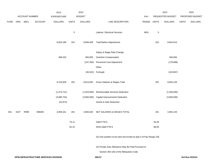|             |      |                       |                                      | 2013               |              | 2014           |                                                                     |             |             | 2015             |              | 2015            |
|-------------|------|-----------------------|--------------------------------------|--------------------|--------------|----------------|---------------------------------------------------------------------|-------------|-------------|------------------|--------------|-----------------|
|             |      | <b>ACCOUNT NUMBER</b> |                                      | <b>EXPENDITURE</b> |              | <b>BUDGET</b>  |                                                                     | PAY         |             | REQUESTED BUDGET |              | PROPOSED BUDGET |
| <b>FUND</b> | ORG  | <b>SBCL</b>           | <b>ACCOUNT</b>                       | <b>DOLLARS</b>     | <b>UNITS</b> | <b>DOLLARS</b> | LINE DESCRIPTION                                                    | RANGE UNITS |             | <b>DOLLARS</b>   | <b>UNITS</b> | <b>DOLLARS</b>  |
|             |      |                       |                                      |                    |              |                |                                                                     |             |             |                  |              |                 |
|             |      |                       |                                      |                    | $\sqrt{5}$   |                | Laborer, Electrical Services                                        | 8EN         | $\,$ 5 $\,$ |                  |              |                 |
|             |      |                       |                                      |                    |              |                |                                                                     |             |             |                  |              |                 |
|             |      |                       |                                      | 8,655,189          | 201          | 8,856,048      | <b>Total Before Adjustments</b>                                     |             | 201         | 8,944,914        |              |                 |
|             |      |                       |                                      |                    |              |                |                                                                     |             |             |                  |              |                 |
|             |      |                       |                                      |                    |              |                | Salary & Wage Rate Change                                           |             |             |                  |              |                 |
|             |      |                       |                                      | 498,420            |              | 300,000        | Overtime Compensated                                                |             |             | 400,000          |              |                 |
|             |      |                       |                                      |                    |              | (247, 493)     | Personnel Cost Adjustment                                           |             |             | (178, 898)       |              |                 |
|             |      |                       |                                      |                    |              |                | Other                                                               |             |             |                  |              |                 |
|             |      |                       |                                      |                    |              |                | (94,910) Furlough                                                   |             |             | (102, 867)       |              |                 |
|             |      |                       |                                      |                    |              |                |                                                                     |             |             |                  |              |                 |
|             |      |                       |                                      | 9,153,609          | 201          | 8,813,645      | Gross Salaries & Wages Total                                        |             | 201         | 9,063,149        |              |                 |
|             |      |                       |                                      |                    |              |                |                                                                     |             |             |                  |              |                 |
|             |      |                       |                                      | (1,474,721)        |              | (1,353,000)    | Reimbursable Services Deduction                                     |             |             | (1,450,000)      |              |                 |
|             |      |                       |                                      | (3,686,754)        |              | (3,560,000)    | <b>Capital Improvements Deduction</b>                               |             |             | (3,650,000)      |              |                 |
|             |      |                       |                                      | (32, 973)          |              |                | <b>Grants &amp; Aids Deduction</b>                                  |             |             |                  |              |                 |
|             |      |                       |                                      |                    |              |                |                                                                     |             |             |                  |              |                 |
| 001         | 5237 | R999                  | 006000                               | 3,959,161          | 201          | 3,900,645      | NET SALARIES & WAGES TOTAL                                          |             | 201         | 3,963,149        |              |                 |
|             |      |                       |                                      |                    |              |                |                                                                     |             |             |                  |              |                 |
|             |      |                       |                                      |                    | 79.11        |                | <b>O&amp;M FTE'S</b>                                                |             | 92.00       |                  |              |                 |
|             |      |                       |                                      |                    | 92.15        |                | NON-O&M FTE'S                                                       |             | 88.00       |                  |              |                 |
|             |      |                       |                                      |                    |              |                |                                                                     |             |             |                  |              |                 |
|             |      |                       |                                      |                    |              |                | (A) One position to be hard red-circled at step 5 of Pay Range 235. |             |             |                  |              |                 |
|             |      |                       |                                      |                    |              |                | (X) Private Auto Allowance May Be Paid Pursuant to                  |             |             |                  |              |                 |
|             |      |                       |                                      |                    |              |                | Section 350-183 of the Milwaukee Code.                              |             |             |                  |              |                 |
|             |      |                       | DPW-INFRASTRUCTURE SERVICES DIVISION |                    |              |                | 300.57                                                              |             |             |                  |              | 3rd Run 9/15/14 |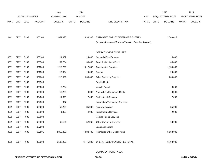|             |            |                       |                | 2013               |              | 2014           |                                                          |            |       | 2015             |              | 2015            |
|-------------|------------|-----------------------|----------------|--------------------|--------------|----------------|----------------------------------------------------------|------------|-------|------------------|--------------|-----------------|
|             |            | <b>ACCOUNT NUMBER</b> |                | <b>EXPENDITURE</b> |              | <b>BUDGET</b>  |                                                          | <b>PAY</b> |       | REQUESTED BUDGET |              | PROPOSED BUDGET |
| <b>FUND</b> | <b>ORG</b> | <b>SBCL</b>           | <b>ACCOUNT</b> | <b>DOLLARS</b>     | <b>UNITS</b> | <b>DOLLARS</b> | LINE DESCRIPTION                                         | RANGE      | UNITS | <b>DOLLARS</b>   | <b>UNITS</b> | <b>DOLLARS</b>  |
|             |            |                       |                |                    |              |                |                                                          |            |       |                  |              |                 |
|             |            |                       |                |                    |              |                |                                                          |            |       |                  |              |                 |
| 001         | 5237       | R999                  | 006100         | 1,851,990          |              | 1,833,303      | ESTIMATED EMPLOYEE FRINGE BENEFITS                       |            |       | 1,783,417        |              |                 |
|             |            |                       |                |                    |              |                | (Involves Revenue Offset-No Transfers from this Account) |            |       |                  |              |                 |
|             |            |                       |                |                    |              |                |                                                          |            |       |                  |              |                 |
|             |            |                       |                |                    |              |                | OPERATING EXPENDITURES                                   |            |       |                  |              |                 |
| 0001        | 5237       | R999                  | 630100         | 14,967             |              | 14,000         | General Office Expense                                   |            |       | 15,000           |              |                 |
| 0001        | 5237       | R999                  | 630500         | 37,784             |              | 30,000         | Tools & Machinery Parts                                  |            |       | 35,000           |              |                 |
| 0001        | 5237       | R999                  | 631000         | 1,218,730          |              | 1,017,342      | <b>Construction Supplies</b>                             |            |       | 1,150,000        |              |                 |
| 0001        | 5237       | R999                  | 631500         | 19,694             |              | 14,000         | Energy                                                   |            |       | 20,000           |              |                 |
| 0001        | 5237       | R999                  | 632000         | 218,521            |              | 230,000        | <b>Other Operating Supplies</b>                          |            |       | 230,000          |              |                 |
| 0001        | 5237       | R999                  | 632500         |                    |              |                | <b>Facility Rental</b>                                   |            |       |                  |              |                 |
| 0001        | 5237       | R999                  | 633000         | 2,734              |              |                | Vehicle Rental                                           |            |       | 3,000            |              |                 |
| 0001        | 5237       | R999                  | 633500         | 10,265             |              | 8,000          | Non-Vehicle Equipment Rental                             |            |       | 8,000            |              |                 |
| 0001        | 5237       | R999                  | 634000         | 11,879             |              | 7,000          | <b>Professional Services</b>                             |            |       | 7,000            |              |                 |
| 0001        | 5237       | R999                  | 634500         | 377                |              |                | Information Technology Services                          |            |       |                  |              |                 |
| 0001        | 5237       | R999                  | 635000         | 52,224             |              | 85,000         | <b>Property Services</b>                                 |            |       | 85,000           |              |                 |
| 0001        | 5237       | R999                  | 635500         | 1,095              |              | 4,000          | Infrastructure Services                                  |            |       | 2,000            |              |                 |
| 0001        | 5237       | R999                  | 636000         |                    |              |                | Vehicle Repair Services                                  |            |       |                  |              |                 |
| 0001        | 5237       | R999                  | 636500         | 62,131             |              | 52,260         | <b>Other Operating Services</b>                          |            |       | 60,000           |              |                 |
| 0001        | 5237       | R999                  | 637000         |                    |              |                | Loans and Grants                                         |            |       |                  |              |                 |
| 0001        | 5237       | R999                  | 637501         | 4,856,855          |              | 4,983,700      | <b>Reimburse Other Departments</b>                       |            |       | 5,183,000        |              |                 |
|             |            |                       |                |                    |              |                |                                                          |            |       |                  |              |                 |
| 0001        | 5237       | R999                  | 006300         | 6,507,256          |              | 6,445,302      | OPERATING EXPENDITURES TOTAL                             |            |       | 6,798,000        |              |                 |

# EQUIPMENT PURCHASES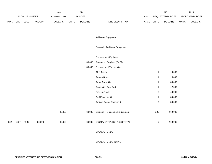|      |      |                |         | 2013           |              | 2014           |                                  |       |                         | 2015             |              | 2015            |
|------|------|----------------|---------|----------------|--------------|----------------|----------------------------------|-------|-------------------------|------------------|--------------|-----------------|
|      |      | ACCOUNT NUMBER |         | EXPENDITURE    |              | <b>BUDGET</b>  |                                  | PAY   |                         | REQUESTED BUDGET |              | PROPOSED BUDGET |
| FUND |      | ORG SBCL       | ACCOUNT | <b>DOLLARS</b> | <b>UNITS</b> | <b>DOLLARS</b> | LINE DESCRIPTION                 | RANGE | <b>UNITS</b>            | <b>DOLLARS</b>   | <b>UNITS</b> | <b>DOLLARS</b>  |
|      |      |                |         |                |              |                |                                  |       |                         |                  |              |                 |
|      |      |                |         |                |              |                | <b>Additional Equipment</b>      |       |                         |                  |              |                 |
|      |      |                |         |                |              |                |                                  |       |                         |                  |              |                 |
|      |      |                |         |                |              |                | Subtotal - Additional Equipment  |       |                         |                  |              |                 |
|      |      |                |         |                |              |                | Replacement Equipment            |       |                         |                  |              |                 |
|      |      |                |         |                |              | 30,000         | Computer, Graphics (CADD)        |       |                         |                  |              |                 |
|      |      |                |         |                |              | 30,000         | Replacement Tools - Misc.        |       |                         |                  |              |                 |
|      |      |                |         |                |              |                | 10 ft Trailer                    |       | $\mathbf{1}$            | 10,000           |              |                 |
|      |      |                |         |                |              |                | <b>Trench Shield</b>             |       | $\mathbf{1}$            | 8,000            |              |                 |
|      |      |                |         |                |              |                | Triple Cable Cart                |       | $\mathbf{1}$            | 30,000           |              |                 |
|      |      |                |         |                |              |                | Substation Duct Cart             |       | $\mathbf{1}$            | 12,000           |              |                 |
|      |      |                |         |                |              |                | Pick-Up Truck                    |       | $\overline{\mathbf{c}}$ | 40,000           |              |                 |
|      |      |                |         |                |              |                | Self Propel Airlift              |       | $\mathbf{1}$            | 39,000           |              |                 |
|      |      |                |         |                |              |                | <b>Trailers Boring Equipment</b> |       | $\overline{\mathbf{c}}$ | 30,000           |              |                 |
|      |      |                |         | 46,053         |              | 60,000         | Subtotal - Replacement Equipment |       | 9.00                    | 169,000          |              |                 |
| 0001 | 5237 | R999           | 006800  | 46,053         |              | 60,000         | EQUIPMENT PURCHASES TOTAL        |       | 9                       | 169,000          |              |                 |
|      |      |                |         |                |              |                | SPECIAL FUNDS                    |       |                         |                  |              |                 |
|      |      |                |         |                |              |                | SPECIAL FUNDS TOTAL              |       |                         |                  |              |                 |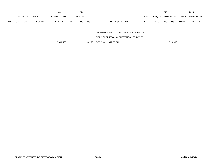|             |     |                       |                | 2013               |              | 2014           |                  |       |              | 2015             |              | 2015                   |
|-------------|-----|-----------------------|----------------|--------------------|--------------|----------------|------------------|-------|--------------|------------------|--------------|------------------------|
|             |     | <b>ACCOUNT NUMBER</b> |                | <b>EXPENDITURE</b> |              | <b>BUDGET</b>  |                  | PAY   |              | REQUESTED BUDGET |              | <b>PROPOSED BUDGET</b> |
| <b>FUND</b> | ORG | <b>SBCL</b>           | <b>ACCOUNT</b> | <b>DOLLARS</b>     | <b>UNITS</b> | <b>DOLLARS</b> | LINE DESCRIPTION | RANGE | <b>UNITS</b> | <b>DOLLARS</b>   | <b>UNITS</b> | <b>DOLLARS</b>         |

DPW-INFRASTRUCTURE SERVICES DIVISION-

FIELD OPERATIONS - ELECTRICAL SERVICES

12,364,460 12,239,250 DECISION UNIT TOTAL 12,713,566 12,713,566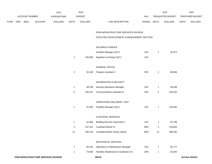|      |     |                |                | 2013               |                | 2014           |                                             |       |                | 2015             |              | 2015            |
|------|-----|----------------|----------------|--------------------|----------------|----------------|---------------------------------------------|-------|----------------|------------------|--------------|-----------------|
|      |     | ACCOUNT NUMBER |                | <b>EXPENDITURE</b> |                | <b>BUDGET</b>  |                                             | PAY   |                | REQUESTED BUDGET |              | PROPOSED BUDGET |
| FUND | ORG | <b>SBCL</b>    | <b>ACCOUNT</b> | <b>DOLLARS</b>     | <b>UNITS</b>   | <b>DOLLARS</b> | LINE DESCRIPTION                            | RANGE | <b>UNITS</b>   | <b>DOLLARS</b>   | <b>UNITS</b> | <b>DOLLARS</b>  |
|      |     |                |                |                    |                |                | DPW-INFRASTRUCTURE SERVICES DIVISION        |       |                |                  |              |                 |
|      |     |                |                |                    |                |                | FACILITIES DEVELOPMENT & MANAGEMENT SECTION |       |                |                  |              |                 |
|      |     |                |                |                    |                |                | <b>SALARIES &amp; WAGES</b>                 |       |                |                  |              |                 |
|      |     |                |                |                    |                |                | Facilities Manager (X)(Y)                   | 1KX   | $\mathbf{1}$   | 92,873           |              |                 |
|      |     |                |                |                    | $\mathbf{1}$   | 100,385        | Engineer-In-Charge (X)(Y)                   | 1KX   |                |                  |              |                 |
|      |     |                |                |                    |                |                | <b>GENERAL OFFICE</b>                       |       |                |                  |              |                 |
|      |     |                |                |                    | $\overline{a}$ | 92,185         | Program Assistant II                        | 5FN   | $\overline{a}$ | 88,006           |              |                 |
|      |     |                |                |                    |                |                | <b>INFORMATION &amp; SECURITY</b>           |       |                |                  |              |                 |
|      |     |                |                |                    | $\mathbf{1}$   | 58,796         | <b>Security Operations Manager</b>          | 1EX   | $\mathbf{1}$   | 69,459           |              |                 |
|      |     |                |                |                    | $\,$ 5 $\,$    | 200,247        | <b>Communications Assistant IV</b>          | 6JN   | 5              | 203,252          |              |                 |
|      |     |                |                |                    |                |                | OPERATIONS AND MAINT. UNIT                  |       |                |                  |              |                 |
|      |     |                |                |                    | $\mathbf{1}$   | 91,500         | Facilities Manager (X)(Y)                   | 1KX   | $\mathbf{1}$   | 103,392          |              |                 |
|      |     |                |                |                    |                |                | <b>CUSTODIAL SERVICES</b>                   |       |                |                  |              |                 |
|      |     |                |                |                    | $\mathbf{1}$   | 61,860         | <b>Building Services Supervisor II</b>      | 1AX   | $\mathbf{1}$   | 62,788           |              |                 |
|      |     |                |                |                    | 4              | 157,442        | <b>Custodial Worker III</b>                 | 8EN   | 4              | 159,804          |              |                 |
|      |     |                |                |                    | 13             |                | 490,120 Custodial Worker II/City Laborer    | 8DN   | 13             | 489,362          |              |                 |
|      |     |                |                |                    |                |                | MECHANICAL SERVICES                         |       |                |                  |              |                 |
|      |     |                |                |                    | $\mathbf{1}$   | 82,223         | Operations & Maintenance Manager            | 1GX   | $\mathbf{1}$   | 65,777           |              |                 |
|      |     |                |                |                    | $\mathbf{1}$   | 73,926         | Facilities Maintenance Coordinator (X)      | 2HN   | $\mathbf{1}$   | 62,945           |              |                 |
|      |     |                |                |                    |                |                |                                             |       |                |                  |              |                 |

**DPW-INFRASTRUCTURE SERVICES DIVISION 300.61 3rd Run 9/15/14**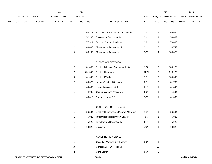|             |                |                | 2013               |                | 2014           |                                           |       |                | 2015             |              | 2015            |
|-------------|----------------|----------------|--------------------|----------------|----------------|-------------------------------------------|-------|----------------|------------------|--------------|-----------------|
|             | ACCOUNT NUMBER |                | <b>EXPENDITURE</b> |                | <b>BUDGET</b>  |                                           | PAY   |                | REQUESTED BUDGET |              | PROPOSED BUDGET |
| <b>FUND</b> | ORG SBCL       | <b>ACCOUNT</b> | <b>DOLLARS</b>     | <b>UNITS</b>   | <b>DOLLARS</b> | LINE DESCRIPTION                          | RANGE | <b>UNITS</b>   | <b>DOLLARS</b>   | <b>UNITS</b> | <b>DOLLARS</b>  |
|             |                |                |                    |                |                |                                           |       |                |                  |              |                 |
|             |                |                |                    | $\mathbf{1}$   | 64,719         | Facilities Construction Project Coord.(X) | 2HN   | $\mathbf{1}$   | 65,690           |              |                 |
|             |                |                |                    | $\mathbf{1}$   | 52,283         | Engineering Technician IV                 | 3NN   | $\mathbf{1}$   | 53,067           |              |                 |
|             |                |                |                    | $\mathbf{1}$   | 77,914         | <b>Facilities Control Specialist</b>      | 3SN   | $\mathbf{1}$   | 79,083           |              |                 |
|             |                |                |                    | $\overline{2}$ | 88,008         | Maintenance Technician III                | 3HN   | $\overline{a}$ | 90,742           |              |                 |
|             |                |                |                    | $\pmb{4}$      | 188,190        | Maintenance Technician II                 | 3GN   | $\overline{4}$ | 185,373          |              |                 |
|             |                |                |                    |                |                |                                           |       |                |                  |              |                 |
|             |                |                |                    |                |                | ELECTRICAL SERVICES                       |       |                |                  |              |                 |
|             |                |                |                    | $\mathbf{2}$   | 181,456        | Electrical Services Supervisor II (X)     | 1GX   | $\overline{c}$ | 184,178          |              |                 |
|             |                |                |                    | $17$           | 1,051,592      | <b>Electrical Mechanic</b>                | 7MN   | 17             | 1,016,223        |              |                 |
|             |                |                |                    | $\mathbf{3}$   | 141,648        | <b>Electrical Worker</b>                  | 7FN   | $\mathbf{3}$   | 134,596          |              |                 |
|             |                |                |                    | $\overline{2}$ | 80,573         | Laborer/Electrical Services               | 8EN   | $\overline{a}$ | 81,782           |              |                 |
|             |                |                |                    | $\mathbf{1}$   | 40,836         | <b>Accounting Assistant II</b>            | 6HN   | $\mathbf{1}$   | 41,449           |              |                 |
|             |                |                |                    | $\mathbf{1}$   | 44,000         | Communications Assistant V                | 6KN   | $\mathbf{1}$   | 41,594           |              |                 |
|             |                |                |                    | $\mathbf{1}$   | 43,310         | Special Laborer E.S.                      | 8GN   | $\mathbf{1}$   | 41,365           |              |                 |
|             |                |                |                    |                |                |                                           |       |                |                  |              |                 |
|             |                |                |                    |                |                | <b>CONSTRUCTION &amp; REPAIRS</b>         |       |                |                  |              |                 |
|             |                |                |                    | $\mathbf{1}$   | 56,534         | Electrical Maintenance Program Manager    | 1BX   | $\mathbf{1}$   | 56,534           |              |                 |
|             |                |                |                    | $\mathbf{1}$   | 45,926         | Infrastructure Repair Crew Leader         | 8IN   | $\mathbf{1}$   | 45,926           |              |                 |
|             |                |                |                    | $\mathbf{1}$   | 45,922         | Infrastructure Repair Worker              | 8FN   | $\mathbf{1}$   | 45,922           |              |                 |
|             |                |                |                    | $\mathbf{1}$   | 68,328         | <b>Bricklayer</b>                         | 7QN   | $\mathbf{1}$   | 68,328           |              |                 |
|             |                |                |                    |                |                |                                           |       |                |                  |              |                 |
|             |                |                |                    |                |                | AUXILIARY PERSONNEL                       |       |                |                  |              |                 |
|             |                |                |                    | $\mathbf{1}$   |                | Custodial Worker II-City Laborer          | 8DN   | $\mathbf{1}$   |                  |              |                 |
|             |                |                |                    | 10             |                | <b>General Auxiliary Positions</b>        |       | 10             |                  |              |                 |

2 City Laborer 8DN 2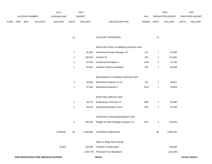|      |     |                       |                | 2013           |              | 2014           |                  |            |              | 2015             |              | 2015                   |
|------|-----|-----------------------|----------------|----------------|--------------|----------------|------------------|------------|--------------|------------------|--------------|------------------------|
|      |     | <b>ACCOUNT NUMBER</b> |                | EXPENDITURE    |              | <b>BUDGET</b>  |                  | <b>PAY</b> |              | REQUESTED BUDGET |              | <b>PROPOSED BUDGET</b> |
| FUND | ORG | SBCL                  | <b>ACCOUNT</b> | <b>DOLLARS</b> | <b>UNITS</b> | <b>DOLLARS</b> | LINE DESCRIPTION | RANGE      | <b>UNITS</b> | <b>DOLLARS</b>   | <b>UNITS</b> | <b>DOLLARS</b>         |

| 13 | AUXILIARY PERSONNEL |  |
|----|---------------------|--|
|----|---------------------|--|

## ARCHITECTURAL PLANNING & DESIGN UNIT

| 1 | 92.003  | Architectural Project Manager (X)     | 11X | 93,383  |
|---|---------|---------------------------------------|-----|---------|
| 2 | 140.970 | Architect III                         | 2IN | 141.001 |
| 1 | 67.910  | Architectural Designer II             | 2GN | 57,795  |
|   | 64.697  | <b>Facilities Project Coordinator</b> | 2IN | 65,668  |

#### MECHANICAL PLANNING & DESIGN UNIT

|           | 1  | 83,558    | Mechanical Engineer IV (X)               | 11X | 1  | 84,811    |
|-----------|----|-----------|------------------------------------------|-----|----|-----------|
|           | 1  | 67,910    | <b>Mechanical Engineer II</b>            | 2GN | 1  | 68,929    |
|           |    |           |                                          |     |    |           |
|           |    |           | DRAFTING SERVICE UNIT                    |     |    |           |
|           | 1  | 58,710    | <b>Engineering Technician IV</b>         | 3NN | 1  | 60,690    |
|           | 1  | 46,013    | <b>Engineering Drafting Tech II</b>      | 3FN | 1  | 42,940    |
|           |    |           |                                          |     |    |           |
|           |    |           | <b>CONSTRUCTION MANAGEMENT UNIT</b>      |     |    |           |
|           | 3  | 162,391   | Bridges & Public Buildings Inspector (X) | 3LN | 3  | 164,825   |
|           |    |           |                                          |     |    |           |
| 4,059,501 | 95 | 4,464,085 | <b>Total Before Adjustments</b>          |     | 95 | 4,409,552 |
|           |    |           |                                          |     |    |           |
|           |    |           | Salary & Wage Rate Change                |     |    |           |
|           |    |           |                                          |     |    |           |

| 92,007 | 100,000   | Overtime Compensated      | 100,000    |
|--------|-----------|---------------------------|------------|
|        | (163.775) | Personnel Cost Adiustment | (132, 287) |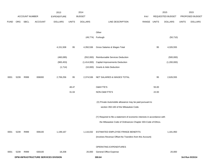|             |      |                |                                      | 2013               |              | 2014           |                                                                           |             |       | 2015             |              | 2015            |
|-------------|------|----------------|--------------------------------------|--------------------|--------------|----------------|---------------------------------------------------------------------------|-------------|-------|------------------|--------------|-----------------|
|             |      | ACCOUNT NUMBER |                                      | <b>EXPENDITURE</b> |              | <b>BUDGET</b>  |                                                                           | PAY         |       | REQUESTED BUDGET |              | PROPOSED BUDGET |
| <b>FUND</b> | ORG  | <b>SBCL</b>    | <b>ACCOUNT</b>                       | <b>DOLLARS</b>     | <b>UNITS</b> | <b>DOLLARS</b> | LINE DESCRIPTION                                                          | RANGE UNITS |       | <b>DOLLARS</b>   | <b>UNITS</b> | <b>DOLLARS</b>  |
|             |      |                |                                      |                    |              |                |                                                                           |             |       |                  |              |                 |
|             |      |                |                                      |                    |              |                | Other                                                                     |             |       |                  |              |                 |
|             |      |                |                                      |                    |              | (49, 774)      | Furlough                                                                  |             |       | (50, 710)        |              |                 |
|             |      |                |                                      | 4,151,508          | 95           | 4,350,536      | Gross Salaries & Wages Total                                              |             | 95    | 4,326,555        |              |                 |
|             |      |                |                                      | (460, 085)         |              | (552,000)      | Reimbursable Services Deduction                                           |             |       | (500,000)        |              |                 |
|             |      |                |                                      | (983, 453)         |              | (1,414,000)    | <b>Capital Improvements Deduction</b>                                     |             |       | (1,200,000)      |              |                 |
|             |      |                |                                      | (1,714)            |              | (10,000)       | <b>Grants &amp; Aids Deduction</b>                                        |             |       |                  |              |                 |
| 0001        | 5239 | R999           | 006000                               | 2,706,256          | 95           | 2,374,536      | NET SALARIES & WAGES TOTAL                                                |             | 95    | 2,626,555        |              |                 |
|             |      |                |                                      |                    | 48.47        |                | <b>O&amp;M FTE'S</b>                                                      |             | 55.00 |                  |              |                 |
|             |      |                |                                      |                    | 31.04        |                | NON-O&M FTE'S                                                             |             | 22.00 |                  |              |                 |
|             |      |                |                                      |                    |              |                | (X) Private Automobile allowance may be paid pursuant to                  |             |       |                  |              |                 |
|             |      |                |                                      |                    |              |                | section 350-183 of the Milwaukee Code.                                    |             |       |                  |              |                 |
|             |      |                |                                      |                    |              |                | (Y) Required to file a statement of economic interests in accordance with |             |       |                  |              |                 |
|             |      |                |                                      |                    |              |                | the Milwaukee Code of Ordinances Chapter 303-Code of Ethics.              |             |       |                  |              |                 |
| 0001        | 5239 | R999           | 006100                               | 1,199,167          |              | 1,116,032      | ESTIMATED EMPLOYEE FRINGE BENEFITS                                        |             |       | 1,181,950        |              |                 |
|             |      |                |                                      |                    |              |                | (Involves Revenue Offset-No Transfers from this Account)                  |             |       |                  |              |                 |
|             |      |                |                                      |                    |              |                | OPERATING EXPENDITURES                                                    |             |       |                  |              |                 |
| 0001        | 5239 | R999           | 630100                               | 18,208             |              | 20,000         | General Office Expense                                                    |             |       | 20,000           |              |                 |
|             |      |                | DPW-INFRASTRUCTURE SERVICES DIVISION |                    |              |                | 300.64                                                                    |             |       |                  |              | 3rd Run 9/15/14 |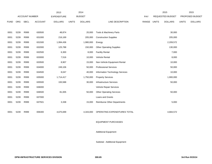|             |      |                       |                | 2013               |              | 2014           |                                    |       |              | 2015                    |              | 2015            |
|-------------|------|-----------------------|----------------|--------------------|--------------|----------------|------------------------------------|-------|--------------|-------------------------|--------------|-----------------|
|             |      | <b>ACCOUNT NUMBER</b> |                | <b>EXPENDITURE</b> |              | <b>BUDGET</b>  |                                    | PAY   |              | <b>REQUESTED BUDGET</b> |              | PROPOSED BUDGET |
| <b>FUND</b> | ORG  | <b>SBCL</b>           | <b>ACCOUNT</b> | <b>DOLLARS</b>     | <b>UNITS</b> | <b>DOLLARS</b> | LINE DESCRIPTION                   | RANGE | <b>UNITS</b> | <b>DOLLARS</b>          | <b>UNITS</b> | <b>DOLLARS</b>  |
|             |      |                       |                |                    |              |                |                                    |       |              |                         |              |                 |
| 0001        | 5239 | R999                  | 630500         | 48,874             |              | 20,000         | Tools & Machinery Parts            |       |              | 30,000                  |              |                 |
| 0001        | 5239 | R999                  | 631000         | 216,169            |              | 205,000        | <b>Construction Supplies</b>       |       |              | 205,000                 |              |                 |
| 0001        | 5239 | R999                  | 631500         | 1,994,436          |              | 1,980,000      | Energy                             |       |              | 2,209,572               |              |                 |
| 0001        | 5239 | R999                  | 632000         | 125,788            |              | 150,000        | <b>Other Operating Supplies</b>    |       |              | 130,000                 |              |                 |
| 0001        | 5239 | R999                  | 632500         | 6,300              |              | 8,000          | <b>Facility Rental</b>             |       |              | 7,000                   |              |                 |
| 0001        | 5239 | R999                  | 633000         | 7,516              |              | 10,000         | Vehicle Rental                     |       |              | 8,000                   |              |                 |
| 0001        | 5239 | R999                  | 633500         | 8,907              |              | 15,000         | Non-Vehicle Equipment Rental       |       |              | 10,000                  |              |                 |
| 0001        | 5239 | R999                  | 634000         | 249,106            |              | 50,000         | <b>Professional Services</b>       |       |              | 50,000                  |              |                 |
| 0001        | 5239 | R999                  | 634500         | 8,047              |              | 40,000         | Information Technology Services    |       |              | 10,000                  |              |                 |
| 0001        | 5239 | R999                  | 635000         | 1,714,417          |              | 1,750,000      | <b>Property Services</b>           |       |              | 1,900,000               |              |                 |
| 0001        | 5239 | R999                  | 635500         | 193,588            |              | 30,000         | <b>Infrastructure Services</b>     |       |              | 50,000                  |              |                 |
| 0001        | 5239 | R999                  | 636000         |                    |              |                | Vehicle Repair Services            |       |              |                         |              |                 |
| 0001        | 5239 | R999                  | 636500         | 81,005             |              | 50,000         | <b>Other Operating Services</b>    |       |              | 50,000                  |              |                 |
| 0001        | 5239 | R999                  | 637000         |                    |              |                | Loans and Grants                   |       |              |                         |              |                 |
| 0001        | 5239 | R999                  | 637501         | 3,338              |              | 15,000         | <b>Reimburse Other Departments</b> |       |              | 5,000                   |              |                 |
|             |      |                       |                |                    |              |                |                                    |       |              |                         |              |                 |
| 0001        | 5239 | R999                  | 006300         | 4,675,699          |              | 4,343,000      | OPERATING EXPENDITURES TOTAL       |       |              | 4,684,572               |              |                 |
|             |      |                       |                |                    |              |                |                                    |       |              |                         |              |                 |
|             |      |                       |                |                    |              |                | <b>EQUIPMENT PURCHASES</b>         |       |              |                         |              |                 |

Additional Equipment

Subtotal - Additional Equipment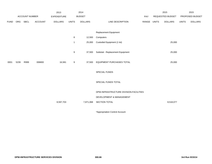|             |      |                       |                | 2013               |              | 2014           |                                        |             | 2015             |              | 2015            |
|-------------|------|-----------------------|----------------|--------------------|--------------|----------------|----------------------------------------|-------------|------------------|--------------|-----------------|
|             |      | <b>ACCOUNT NUMBER</b> |                | <b>EXPENDITURE</b> |              | <b>BUDGET</b>  |                                        | PAY         | REQUESTED BUDGET |              | PROPOSED BUDGET |
| <b>FUND</b> | ORG  | SBCL                  | <b>ACCOUNT</b> | <b>DOLLARS</b>     | <b>UNITS</b> | <b>DOLLARS</b> | LINE DESCRIPTION                       | RANGE UNITS | <b>DOLLARS</b>   | <b>UNITS</b> | <b>DOLLARS</b>  |
|             |      |                       |                |                    |              |                |                                        |             |                  |              |                 |
|             |      |                       |                |                    |              |                | Replacement Equipment                  |             |                  |              |                 |
|             |      |                       |                |                    | 8            | 12,500         | Computers                              |             |                  |              |                 |
|             |      |                       |                |                    | -1           | 25,000         | Custodial Equipment (1 lot)            |             | 25,000           |              |                 |
|             |      |                       |                |                    | 9            | 37,500         | Subtotal - Replacement Equipment       |             | 25,000           |              |                 |
| 0001        | 5239 | R999                  | 006800         | 16,581             | 9            | 37,500         | EQUIPMENT PURCHASES TOTAL              |             | 25,000           |              |                 |
|             |      |                       |                |                    |              |                | SPECIAL FUNDS                          |             |                  |              |                 |
|             |      |                       |                |                    |              |                | SPECIAL FUNDS TOTAL                    |             |                  |              |                 |
|             |      |                       |                |                    |              |                | DPW-INFRASTRUCTURE DIVISION-FACILITIES |             |                  |              |                 |
|             |      |                       |                |                    |              |                | DEVELOPMENT & MANAGEMENT               |             |                  |              |                 |
|             |      |                       |                | 8,597,703          |              | 7,871,068      | SECTION TOTAL                          |             | 8,518,077        |              |                 |
|             |      |                       |                |                    |              |                |                                        |             |                  |              |                 |

\*Appropriation Control Account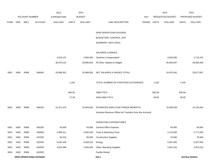|             |      |                       |                                | 2013               |              | 2014           |                                                          |       |        | 2015             |              | 2015            |
|-------------|------|-----------------------|--------------------------------|--------------------|--------------|----------------|----------------------------------------------------------|-------|--------|------------------|--------------|-----------------|
|             |      | <b>ACCOUNT NUMBER</b> |                                | <b>EXPENDITURE</b> |              | <b>BUDGET</b>  |                                                          | PAY   |        | REQUESTED BUDGET |              | PROPOSED BUDGET |
| <b>FUND</b> | ORG  | SBCL                  | <b>ACCOUNT</b>                 | <b>DOLLARS</b>     | <b>UNITS</b> | <b>DOLLARS</b> | LINE DESCRIPTION                                         | RANGE | UNITS  | <b>DOLLARS</b>   | <b>UNITS</b> | <b>DOLLARS</b>  |
|             |      |                       |                                |                    |              |                |                                                          |       |        |                  |              |                 |
|             |      |                       |                                |                    |              |                | DPW-OPERATIONS DIVISION                                  |       |        |                  |              |                 |
|             |      |                       |                                |                    |              |                | BUDGETARY CONTROL UNIT                                   |       |        |                  |              |                 |
|             |      |                       |                                |                    |              |                | (SUMMARY 1BCU=5DU)                                       |       |        |                  |              |                 |
|             |      |                       |                                |                    |              |                | SALARIES & WAGES                                         |       |        |                  |              |                 |
|             |      |                       |                                | 3,019,137          |              | 2,993,400      | Overtime Compensated*                                    |       |        | 3,026,595        |              | 2,719,152       |
|             |      |                       |                                | 30,670,215         |              | 29,995,603     | All Other Salaries & Wages                               |       |        | 30,949,047       |              | 30,958,455      |
| 0001        | 5450 | R999                  | 006000                         | 33,689,352         |              | 32,989,003     | NET SALARIES & WAGES TOTAL*                              |       |        | 33,975,642       |              | 33,677,607      |
|             |      |                       |                                |                    | 1,433        |                | TOTAL NUMBER OF POSITIONS AUTHORIZED                     |       | 1,433  |                  | 1,426        |                 |
|             |      |                       |                                |                    | 660.05       |                | O&M FTE'S                                                |       | 663.59 |                  | 656.59       |                 |
|             |      |                       |                                |                    | 72.29        |                | NON-O&M FTE'S                                            |       | 58.05  |                  | 58.05        |                 |
| 0001        | 5450 | R999                  | 006100                         | 15,371,475         |              | 15,504,832     | ESTIMATED EMPLOYEE FRINGE BENEFITS                       |       |        | 15,289,039       |              | 15,154,924      |
|             |      |                       |                                |                    |              |                | (Involves Revenue Offset-No Transfers from this Account) |       |        |                  |              |                 |
|             |      |                       |                                |                    |              |                | OPERATING EXPENDITURES                                   |       |        |                  |              |                 |
| 0001        | 5450 | R999                  | 630100                         | 55,669             |              | 64,000         | General Office Expense                                   |       |        | 64,000           |              | 56,000          |
| 0001        | 5450 | R999                  | 630500                         | 3,995,411          |              | 3,650,440      | Tools & Machinery Parts                                  |       |        | 4,176,000        |              | 3,771,000       |
| 0001        | 5450 | R999                  | 631000                         | 93,316             |              | 85,000         | <b>Construction Supplies</b>                             |       |        | 70,000           |              | 70,000          |
| 0001        | 5450 | R999                  | 631500                         | 5,643,446          |              | 5,450,510      | Energy                                                   |       |        | 5,607,000        |              | 5,307,000       |
| 0001        | 5450 | R999                  | 632000                         | 4,552,499          |              | 2,626,260      | <b>Other Operating Supplies</b>                          |       |        | 2,841,010        |              | 3,201,010       |
| 0001        | 5450 | R999                  | 632500                         |                    |              |                | <b>Facility Rental</b>                                   |       |        |                  |              |                 |
|             |      |                       | <b>DPW-OPERATIONS DIVISION</b> |                    |              |                | 310.1                                                    |       |        |                  |              | 3rd Run 9/15/14 |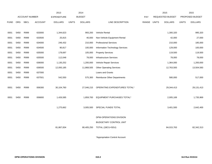|             |            |                       |                | 2013               |              | 2014           |                                    |             | 2015             |              | 2015            |
|-------------|------------|-----------------------|----------------|--------------------|--------------|----------------|------------------------------------|-------------|------------------|--------------|-----------------|
|             |            | <b>ACCOUNT NUMBER</b> |                | <b>EXPENDITURE</b> |              | <b>BUDGET</b>  |                                    | PAY         | REQUESTED BUDGET |              | PROPOSED BUDGET |
| <b>FUND</b> | <b>ORG</b> | SBCL                  | <b>ACCOUNT</b> | <b>DOLLARS</b>     | <b>UNITS</b> | <b>DOLLARS</b> | LINE DESCRIPTION                   | RANGE UNITS | <b>DOLLARS</b>   | <b>UNITS</b> | <b>DOLLARS</b>  |
|             |            |                       |                |                    |              |                |                                    |             |                  |              |                 |
| 0001        | 5450       | R999                  | 633000         | 1,344,623          |              | 993,200        | Vehicle Rental                     |             | 1,300,320        |              | 995,320         |
| 0001        | 5450       | R999                  | 633500         | 25,815             |              | 40,000         | Non-Vehicle Equipment Rental       |             | 42,000           |              | 27,000          |
| 0001        | 5450       | R999                  | 634000         | 246,432            |              | 210,000        | <b>Professional Services</b>       |             | 210,000          |              | 185,000         |
| 0001        | 5450       | R999                  | 634500         | 90,817             |              | 100,000        | Information Technology Services    |             | 129,000          |              | 100,000         |
| 0001        | 5450       | R999                  | 635000         | 178,697            |              | 105,000        | <b>Property Services</b>           |             | 119,500          |              | 119,500         |
| 0001        | 5450       | R999                  | 635500         | 112,048            |              | 78,000         | <b>Infrastructure Services</b>     |             | 78,000           |              | 78,000          |
| 0001        | 5450       | R999                  | 636000         | 1,130,252          |              | 1,200,000      | Vehicle Repair Services            |             | 1,364,000        |              | 1,200,000       |
| 0001        | 5450       | R999                  | 636500         | 12,093,185         |              | 11,868,505     | <b>Other Operating Services</b>    |             | 12,763,583       |              | 13,504,583      |
| 0001        | 5450       | R999                  | 637000         |                    |              |                | Loans and Grants                   |             |                  |              |                 |
| 0001        | 5450       | R999                  | 637501         | 542,550            |              | 575,300        | <b>Reimburse Other Departments</b> |             | 580,000          |              | 517,000         |
|             |            |                       |                |                    |              |                |                                    |             |                  |              |                 |
| 0001        | 5450       | R999                  | 006300         | 30,104,760         |              | 27,046,215     | OPERATING EXPENDITURES TOTAL*      |             | 29,344,413       |              | 29,131,413      |
|             |            |                       |                |                    |              |                |                                    |             |                  |              |                 |
| 0001        | 5450       | R999                  | 006800         | 1,426,585          |              | 1,859,700      | EQUIPMENT PURCHASES TOTAL*         |             | 2,005,169        |              | 1,735,969       |
|             |            |                       |                |                    |              |                |                                    |             |                  |              |                 |
|             |            |                       |                | 1,275,662          |              | 3,005,500      | SPECIAL FUNDS TOTAL                |             | 3,401,500        |              | 2,642,400       |
|             |            |                       |                |                    |              |                |                                    |             |                  |              |                 |
|             |            |                       |                |                    |              |                | DPW-OPERATIONS DIVISION            |             |                  |              |                 |
|             |            |                       |                |                    |              |                | BUDGETARY CONTROL UNIT             |             |                  |              |                 |
|             |            |                       |                | 81,867,834         |              | 80,405,250     | TOTAL (1BCU=5DU)                   |             | 84,015,763       |              | 82,342,313      |
|             |            |                       |                |                    |              |                |                                    |             |                  |              |                 |

\*Appropriation Control Account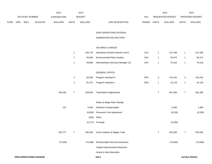|             |                                |                | 2013               |                  | 2014           |                                     |             |                | 2015             |                | 2015            |
|-------------|--------------------------------|----------------|--------------------|------------------|----------------|-------------------------------------|-------------|----------------|------------------|----------------|-----------------|
|             | ACCOUNT NUMBER                 |                | <b>EXPENDITURE</b> |                  | <b>BUDGET</b>  |                                     | PAY         |                | REQUESTED BUDGET |                | PROPOSED BUDGET |
| <b>FUND</b> | ORG SBCL                       | <b>ACCOUNT</b> | <b>DOLLARS</b>     | <b>UNITS</b>     | <b>DOLLARS</b> | LINE DESCRIPTION                    | RANGE UNITS |                | <b>DOLLARS</b>   | <b>UNITS</b>   | <b>DOLLARS</b>  |
|             |                                |                |                    |                  |                | DPW-OPERATIONS DIVISION             |             |                |                  |                |                 |
|             |                                |                |                    |                  |                | ADMINISTRATION SECTION              |             |                |                  |                |                 |
|             |                                |                |                    |                  |                | SALARIES & WAGES                    |             |                |                  |                |                 |
|             |                                |                |                    | $\mathbf{1}$     | 146,776        | Operations Division Director (X)(Y) | 1OX         | $\mathbf{1}$   | 147,336          | $\mathbf{1}$   | 147,336         |
|             |                                |                |                    | $\mathbf{1}$     | 58,495         | <b>Environmental Policy Analyst</b> | 2GX         | $\mathbf{1}$   | 59,372           | $\overline{1}$ | 59,372          |
|             |                                |                |                    | $\mathbf{1}$     | 69,090         | Administrative Services Manager (X) | 1HX         | $\mathbf{1}$   | 70,126           | $\mathbf{1}$   | 70,126          |
|             |                                |                |                    |                  |                | <b>GENERAL OFFICE</b>               |             |                |                  |                |                 |
|             |                                |                |                    | $\overline{2}$   | 93,593         | Program Assistant II                | 5FN         | $\sqrt{3}$     | 142,432          | $\sqrt{3}$     | 142,432         |
|             |                                |                |                    | $\overline{c}$   | 81,672         | Program Assistant I                 | 5EN         | $\mathbf{1}$   | 42,118           | $\mathbf{1}$   | 42,118          |
|             |                                |                | 420,546            | $\boldsymbol{7}$ | 449,626        | <b>Total Before Adjustments</b>     |             | $\overline{7}$ | 461,384          | $\bf 7$        | 461,384         |
|             |                                |                |                    |                  |                | Salary & Wage Rate Change           |             |                |                  |                |                 |
|             |                                |                | 231                |                  | 5,400          | Overtime Compensated                |             |                | 5,400            |                | 1,400           |
|             |                                |                |                    |                  | (8,993)        | Personnel Cost Adjustment           |             |                | (9,228)          |                | (9, 228)        |
|             |                                |                |                    |                  | (500)          | Other                               |             |                |                  |                |                 |
|             |                                |                |                    |                  |                | (5,171) Furlough                    |             |                | (5,306)          |                |                 |
|             |                                |                | 420,777            | $\overline{7}$   | 440,362        | Gross Salaries & Wages Total        |             | $\overline{7}$ | 452,250          | $\overline{7}$ | 453,556         |
|             |                                |                | (74, 394)          |                  | (73, 388)      | Reimbursable Services Deduction     |             |                | (73, 668)        |                | (73, 668)       |
|             |                                |                |                    |                  |                | Capital Improvements Deduction      |             |                |                  |                |                 |
|             |                                |                |                    |                  |                | <b>Grants &amp; Aids Deduction</b>  |             |                |                  |                |                 |
|             | <b>DPW-OPERATIONS DIVISION</b> |                |                    |                  |                | 310.3                               |             |                |                  |                | 3rd Run 9/15/14 |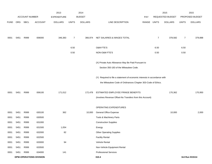|             |      |                       |                                | 2013               |                | 2014           |                                                                           |       |                | 2015             |                | 2015            |
|-------------|------|-----------------------|--------------------------------|--------------------|----------------|----------------|---------------------------------------------------------------------------|-------|----------------|------------------|----------------|-----------------|
|             |      | <b>ACCOUNT NUMBER</b> |                                | <b>EXPENDITURE</b> |                | <b>BUDGET</b>  |                                                                           | PAY   |                | REQUESTED BUDGET |                | PROPOSED BUDGET |
| <b>FUND</b> | ORG  | <b>SBCL</b>           | <b>ACCOUNT</b>                 | <b>DOLLARS</b>     | <b>UNITS</b>   | <b>DOLLARS</b> | LINE DESCRIPTION                                                          | RANGE | <b>UNITS</b>   | <b>DOLLARS</b>   | <b>UNITS</b>   | <b>DOLLARS</b>  |
|             |      |                       |                                |                    |                |                |                                                                           |       |                |                  |                |                 |
| 0001        | 5451 | R999                  | 006000                         | 346,383            | $\overline{7}$ | 366,974        | NET SALARIES & WAGES TOTAL                                                |       | $\overline{7}$ | 378,582          | $\overline{7}$ | 379,888         |
|             |      |                       |                                |                    | 6.50           |                | O&M FTE'S                                                                 |       | 6.50           |                  | 6.50           |                 |
|             |      |                       |                                |                    | 0.50           |                | NON-O&M FTE'S                                                             |       | 0.50           |                  | 0.50           |                 |
|             |      |                       |                                |                    |                |                | (X) Private Auto Allowance May Be Paid Pursuant to                        |       |                |                  |                |                 |
|             |      |                       |                                |                    |                |                | Section 350-183 of the Milwaukee Code.                                    |       |                |                  |                |                 |
|             |      |                       |                                |                    |                |                | (Y) Required to file a statement of economic interests in accordance with |       |                |                  |                |                 |
|             |      |                       |                                |                    |                |                | the Milwaukee Code of Ordinances Chapter 303-Code of Ethics.              |       |                |                  |                |                 |
| 0001        | 5451 | R999                  | 006100                         | 171,012            |                | 172,478        | ESTIMATED EMPLOYEE FRINGE BENEFITS                                        |       |                | 170,362          |                | 170,950         |
|             |      |                       |                                |                    |                |                | (Involves Revenue Offset-No Transfers from this Account)                  |       |                |                  |                |                 |
|             |      |                       |                                |                    |                |                | OPERATING EXPENDITURES                                                    |       |                |                  |                |                 |
| 0001        | 5451 | R999                  | 630100                         | 362                |                | 10,000         | General Office Expense                                                    |       |                | 10,000           |                | 2,000           |
| 0001        | 5451 | R999                  | 630500                         |                    |                |                | Tools & Machinery Parts                                                   |       |                |                  |                |                 |
| 0001        | 5451 | R999                  | 631000                         |                    |                |                | <b>Construction Supplies</b>                                              |       |                |                  |                |                 |
| 0001        | 5451 | R999                  | 631500                         | 1,054              |                |                | Energy                                                                    |       |                |                  |                |                 |
| 0001        | 5451 | R999                  | 632000                         | 82                 |                |                | <b>Other Operating Supplies</b>                                           |       |                |                  |                |                 |
| 0001        | 5451 | R999                  | 632500                         |                    |                |                | <b>Facility Rental</b>                                                    |       |                |                  |                |                 |
| 0001        | 5451 | R999                  | 633000                         | 94                 |                |                | Vehicle Rental                                                            |       |                |                  |                |                 |
| 0001        | 5451 | R999                  | 633500                         |                    |                |                | Non-Vehicle Equipment Rental                                              |       |                |                  |                |                 |
| 0001        | 5451 | R999                  | 634000                         | 141                |                |                | <b>Professional Services</b>                                              |       |                |                  |                |                 |
|             |      |                       | <b>DPW-OPERATIONS DIVISION</b> |                    |                |                | 310.4                                                                     |       |                |                  |                | 3rd Run 9/15/14 |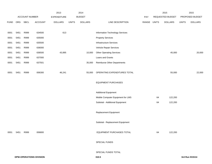|             |      |                |                                | 2013               |              | 2014           |                                    |       |              | 2015             |              | 2015            |
|-------------|------|----------------|--------------------------------|--------------------|--------------|----------------|------------------------------------|-------|--------------|------------------|--------------|-----------------|
|             |      | ACCOUNT NUMBER |                                | <b>EXPENDITURE</b> |              | <b>BUDGET</b>  |                                    | PAY   |              | REQUESTED BUDGET |              | PROPOSED BUDGET |
| <b>FUND</b> | ORG  | SBCL           | ACCOUNT                        | <b>DOLLARS</b>     | <b>UNITS</b> | <b>DOLLARS</b> | LINE DESCRIPTION                   | RANGE | <b>UNITS</b> | <b>DOLLARS</b>   | <b>UNITS</b> | <b>DOLLARS</b>  |
|             |      |                |                                |                    |              |                |                                    |       |              |                  |              |                 |
| 0001        | 5451 | R999           | 634500                         | 613                |              |                | Information Technology Services    |       |              |                  |              |                 |
| 0001        | 5451 | R999           | 635000                         |                    |              |                | <b>Property Services</b>           |       |              |                  |              |                 |
| 0001        | 5451 | R999           | 635500                         |                    |              |                | Infrastructure Services            |       |              |                  |              |                 |
| 0001        | 5451 | R999           | 636000                         |                    |              |                | Vehicle Repair Services            |       |              |                  |              |                 |
| 0001        | 5451 | R999           | 636500                         | 43,895             |              | 10,000         | <b>Other Operating Services</b>    |       |              | 45,000           |              | 20,000          |
| 0001        | 5451 | R999           | 637000                         |                    |              |                | Loans and Grants                   |       |              |                  |              |                 |
| 0001        | 5451 | R999           | 637501                         |                    |              | 35,000         | <b>Reimburse Other Departments</b> |       |              |                  |              |                 |
|             |      |                |                                |                    |              |                |                                    |       |              |                  |              |                 |
| 0001        | 5451 | R999           | 006300                         | 46,241             |              | 55,000         | OPERATING EXPENDITURES TOTAL       |       |              | 55,000           |              | 22,000          |
|             |      |                |                                |                    |              |                |                                    |       |              |                  |              |                 |
|             |      |                |                                |                    |              |                | <b>EQUIPMENT PURCHASES</b>         |       |              |                  |              |                 |
|             |      |                |                                |                    |              |                |                                    |       |              |                  |              |                 |
|             |      |                |                                |                    |              |                | <b>Additional Equipment</b>        |       |              |                  |              |                 |
|             |      |                |                                |                    |              |                | Mobile Computer Equipment for LMS  |       | 64           | 122,200          |              |                 |
|             |      |                |                                |                    |              |                | Subtotal - Additional Equipment    |       | 64           | 122,200          |              |                 |
|             |      |                |                                |                    |              |                |                                    |       |              |                  |              |                 |
|             |      |                |                                |                    |              |                | Replacement Equipment              |       |              |                  |              |                 |
|             |      |                |                                |                    |              |                |                                    |       |              |                  |              |                 |
|             |      |                |                                |                    |              |                | Subtotal - Replacement Equipment   |       |              |                  |              |                 |
|             |      |                |                                |                    |              |                |                                    |       |              |                  |              |                 |
| 0001        | 5451 | R999           | 006800                         |                    |              |                | EQUIPMENT PURCHASES TOTAL          |       | 64           | 122,200          |              |                 |
|             |      |                |                                |                    |              |                |                                    |       |              |                  |              |                 |
|             |      |                |                                |                    |              |                | SPECIAL FUNDS                      |       |              |                  |              |                 |
|             |      |                |                                |                    |              |                |                                    |       |              |                  |              |                 |
|             |      |                |                                |                    |              |                | SPECIAL FUNDS TOTAL                |       |              |                  |              |                 |
|             |      |                | <b>DPW-OPERATIONS DIVISION</b> |                    |              |                | 310.5                              |       |              |                  |              | 3rd Run 9/15/14 |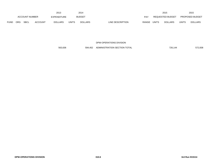|             |            |                       |                | 2013               |              | 2014           |                                  |              | 2015             |       | 2015                   |
|-------------|------------|-----------------------|----------------|--------------------|--------------|----------------|----------------------------------|--------------|------------------|-------|------------------------|
|             |            | <b>ACCOUNT NUMBER</b> |                | <b>EXPENDITURE</b> |              | <b>BUDGET</b>  | PAY                              |              | REQUESTED BUDGET |       | <b>PROPOSED BUDGET</b> |
| <b>FUND</b> | <b>ORG</b> | <b>SBCL</b>           | <b>ACCOUNT</b> | <b>DOLLARS</b>     | <b>UNITS</b> | <b>DOLLARS</b> | LINE DESCRIPTION<br><b>RANGE</b> | <b>UNITS</b> | <b>DOLLARS</b>   | UNITS | <b>DOLLARS</b>         |

563,636 594,452 ADMINISTRATION SECTION TOTAL 726,144 572,838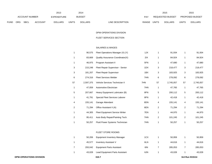|                       | 2013 |                    |                |                |              | 2014           |                                  |              | 2015                   |       | 2015           |
|-----------------------|------|--------------------|----------------|----------------|--------------|----------------|----------------------------------|--------------|------------------------|-------|----------------|
| <b>ACCOUNT NUMBER</b> |      | <b>EXPENDITURE</b> |                | <b>BUDGET</b>  | PAY          |                | <b>REQUESTED BUDGET</b>          |              | <b>PROPOSED BUDGET</b> |       |                |
| <b>FUND</b>           | ORG  | <b>SBCL</b>        | <b>ACCOUNT</b> | <b>DOLLARS</b> | <b>UNITS</b> | <b>DOLLARS</b> | LINE DESCRIPTION<br><b>RANGE</b> | <b>UNITS</b> | <b>DOLLARS</b>         | UNITS | <b>DOLLARS</b> |

### FLEET SERVICES SECTION

# SALARIES & WAGES

|                | 90,575    | Fleet Operations Manager (X) (Y) | 1JX |                | 91,934    | -1                      | 91,934    |
|----------------|-----------|----------------------------------|-----|----------------|-----------|-------------------------|-----------|
|                | 83,669    | Quality Assurance Coordinator(X) | 2IX |                | 84,924    | $\overline{\mathbf{1}}$ | 84,924    |
|                | 46,975    | Program Assistant II             | 5FN | 1              | 47,680    | $\mathbf{1}$            | 47,680    |
| 3              | 215,248   | Fleet Repair Supervisor - Senior | 1DX | 3              | 218,477   | 3                       | 218,477   |
| 3              | 181,207   | <b>Fleet Repair Supervisor</b>   | 1BX | 3              | 183,925   | 3                       | 183,925   |
| 6              | 274,316   | <b>Fleet Services Welder</b>     | 7HN | 6              | 278,092   | 6                       | 278,092   |
| 57             | 2,597,375 | Vehicle Services Technician II   | 7HN | 57             | 2,745,057 | 57                      | 2,745,057 |
|                | 47,059    | Automotive Electrician           | 7HN |                | 47,765    | $\overline{\mathbf{1}}$ | 47,765    |
| 5              | 207,667   | Heavy Equipment Lubricator (B)   | 8FN | $\,$ 5 $\,$    | 200,112   | 5                       | 200,112   |
|                | 41,791    | Special Fleet Services Laborer   | 8FN | 1              | 42,418    | $\mathbf{1}$            | 42,418    |
| 4              | 155,141   | Garage Attendant                 | 8DN | 4              | 155,141   | 4                       | 155,141   |
| $\overline{2}$ | 71,294    | Office Assistant II (A)          | 6EN | $\overline{c}$ | 71,294    | $\overline{2}$          | 71,294    |
|                | 44,305    | Fleet Equipment Service Writer   | 7EN |                | 44,970    | $\overline{\mathbf{1}}$ | 44,970    |
| $\overline{2}$ | 95,411    | Auto Body Repair/Painting Tech.  | 7HN | 2              | 101,245   | $\overline{2}$          | 101,245   |
|                | 50,257    | Fluid Power Systems Technician   | 7HN |                | 50,257    |                         | 50,257    |

#### FLEET STORE ROOMS

| 50.206  | <b>Equipment Inventory Manager</b> | 1CX | 50.959  | 50,959  |
|---------|------------------------------------|-----|---------|---------|
| 45.577  | <b>Inventory Assistant V</b>       | 6LN | 44.616  | 44,616  |
| 293,042 | <b>Equipment Parts Assistant</b>   | 6IN | 285.053 | 285,053 |
| 43.028  | Lead Equipment Parts Assistant     | 6JN | 43.028  | 43,028  |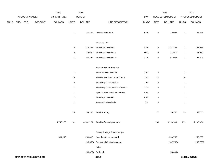|             |     |                |                                | 2013           |                           | 2014           |                                  |             |                           | 2015             |                           | 2015            |
|-------------|-----|----------------|--------------------------------|----------------|---------------------------|----------------|----------------------------------|-------------|---------------------------|------------------|---------------------------|-----------------|
|             |     | ACCOUNT NUMBER |                                | EXPENDITURE    |                           | <b>BUDGET</b>  |                                  | PAY         |                           | REQUESTED BUDGET |                           | PROPOSED BUDGET |
| <b>FUND</b> | ORG | <b>SBCL</b>    | ACCOUNT                        | <b>DOLLARS</b> | <b>UNITS</b>              | <b>DOLLARS</b> | LINE DESCRIPTION                 | RANGE UNITS |                           | <b>DOLLARS</b>   | <b>UNITS</b>              | <b>DOLLARS</b>  |
|             |     |                |                                |                | $\mathbf{1}$              | 37,464         | Office Assistant III             | 6FN         | $\mathbf{1}$              | 38,026           | $\mathbf{1}$              | 38,026          |
|             |     |                |                                |                |                           |                | <b>TIRE SHOP</b>                 |             |                           |                  |                           |                 |
|             |     |                |                                |                | $\ensuremath{\mathsf{3}}$ | 119,493        | Tire Repair Worker I             | 8FN         | $\ensuremath{\mathsf{3}}$ | 121,285          | $\ensuremath{\mathsf{3}}$ | 121,285         |
|             |     |                |                                |                | $\boldsymbol{2}$          | 86,620         | Tire Repair Worker II            | 8GN         | $\overline{\mathbf{c}}$   | 87,919           | $\sqrt{2}$                | 87,919          |
|             |     |                |                                |                | $\mathbf{1}$              | 50,254         | Tire Repair Worker III           | 8LN         | $\mathbf{1}$              | 51,007           | $\mathbf{1}$              | 51,007          |
|             |     |                |                                |                |                           |                | <b>AUXILIARY POSITIONS</b>       |             |                           |                  |                           |                 |
|             |     |                |                                |                | $\mathbf{1}$              |                | Fleet Services Welder            | 7HN         | $\mathbf{1}$              |                  | $\overline{1}$            |                 |
|             |     |                |                                |                | 16                        |                | Vehicle Services Technician II   | 7HN         | 16                        |                  | 16                        |                 |
|             |     |                |                                |                | $\overline{4}$            |                | <b>Fleet Repair Supervisor</b>   | 1BX         | 4                         |                  | $\overline{4}$            |                 |
|             |     |                |                                |                | $\mathbf{1}$              |                | Fleet Repair Supervisor - Senior | 1DX         | $\mathbf{1}$              |                  | $\mathbf{1}$              |                 |
|             |     |                |                                |                | $\mathbf{1}$              |                | Special Fleet Services Laborer   | 8FN         | $\mathbf{1}$              |                  | $\mathbf{1}$              |                 |
|             |     |                |                                |                | $\mathbf{1}$              |                | Tire Repair Worker I             | 8FN         | $\mathbf{1}$              |                  | $\mathbf{1}$              |                 |
|             |     |                |                                |                | $\mathbf{1}$              |                | Automotive Machinist             | 7IN         | $\mathbf{1}$              |                  | $\mathbf{1}$              |                 |
|             |     |                |                                |                | 25                        | 53,200         | <b>Total Auxiliary</b>           |             | 25                        | 53,200           | 25                        | 53,200          |
|             |     |                |                                | 4,748,188      | 131                       | 4,981,174      | <b>Total Before Adjustments</b>  |             | 131                       | 5,138,384        | 131                       | 5,138,384       |
|             |     |                |                                |                |                           |                | Salary & Wage Rate Change        |             |                           |                  |                           |                 |
|             |     |                |                                | 361,113        |                           | 250,000        | Overtime Compensated             |             |                           | 253,750          |                           | 253,750         |
|             |     |                |                                |                |                           | (98, 560)      | Personnel Cost Adjustment        |             |                           | (102, 768)       |                           | (102, 768)      |
|             |     |                |                                |                |                           |                | Other                            |             |                           |                  |                           |                 |
|             |     |                |                                |                |                           | (56, 672)      | Furlough                         |             |                           | (59,091)         |                           |                 |
|             |     |                | <b>DPW-OPERATIONS DIVISION</b> |                |                           |                | 310.8                            |             |                           |                  |                           | 3rd Run 9/15/14 |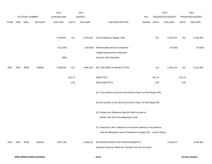|             |      |                       |                                | 2013           |              | 2014           |                                                                      |             |        | 2015             |              | 2015            |
|-------------|------|-----------------------|--------------------------------|----------------|--------------|----------------|----------------------------------------------------------------------|-------------|--------|------------------|--------------|-----------------|
|             |      | <b>ACCOUNT NUMBER</b> |                                | EXPENDITURE    |              | <b>BUDGET</b>  |                                                                      | <b>PAY</b>  |        | REQUESTED BUDGET |              | PROPOSED BUDGET |
| <b>FUND</b> | ORG  | SBCL                  | <b>ACCOUNT</b>                 | <b>DOLLARS</b> | <b>UNITS</b> | <b>DOLLARS</b> | LINE DESCRIPTION                                                     | RANGE UNITS |        | <b>DOLLARS</b>   | <b>UNITS</b> | <b>DOLLARS</b>  |
|             |      |                       |                                |                |              |                |                                                                      |             |        |                  |              |                 |
|             |      |                       |                                | 5,109,301      | 131          | 5,075,942      | Gross Salaries & Wages Total                                         |             | 131    | 5,230,275        | 131          | 5,289,366       |
|             |      |                       |                                | (512, 354)     |              | (184,000)      | Reimbursable Services Deduction                                      |             |        | (75,000)         |              | (75,000)        |
|             |      |                       |                                |                |              |                | Capital Improvements Deduction                                       |             |        |                  |              |                 |
|             |      |                       |                                | (883)          |              |                | <b>Grants &amp; Aids Deduction</b>                                   |             |        |                  |              |                 |
| 0001        | 5452 | R999                  | 006000                         | 4,596,064      | 131          | 4,891,942      | NET SALARIES & WAGES TOTAL                                           |             | 131    | 5,155,275        | 131          | 5,214,366       |
|             |      |                       |                                |                | 102.70       |                | O&M FTE'S                                                            |             | 102.70 |                  | 102.70       |                 |
|             |      |                       |                                |                | 3.30         |                | NON-O&M FTE'S                                                        |             | 2.00   |                  | 2.00         |                 |
|             |      |                       |                                |                |              |                | (A) One position to be hard red-circled at Step 4 of Pay Range 6HN.  |             |        |                  |              |                 |
|             |      |                       |                                |                |              |                | (B) One position to be hard red-circled at Step 5 of Pay Range 6IN.  |             |        |                  |              |                 |
|             |      |                       |                                |                |              |                | (X) Private Auto Allowance May Be Paid Pursuant to                   |             |        |                  |              |                 |
|             |      |                       |                                |                |              |                | Section 350-183 of the Milwaukee Code.                               |             |        |                  |              |                 |
|             |      |                       |                                |                |              |                | (Y) Required to file a statement of economic interests in accordance |             |        |                  |              |                 |
|             |      |                       |                                |                |              |                | with the Milwaukee code of Ordinances Chapter 303 - Code of Ethics.  |             |        |                  |              |                 |
| 0001        | 5452 | R999                  | 006100                         | 2,097,148      |              | 2,299,213      | ESTIMATED EMPLOYEE FRINGE BENEFITS                                   |             |        | 2,319,874        |              | 2,346,465       |
|             |      |                       |                                |                |              |                | (Involves Revenue Offset-No Transfers from this Account)             |             |        |                  |              |                 |
|             |      |                       | <b>DPW-OPERATIONS DIVISION</b> |                |              |                | 310.9                                                                |             |        |                  |              | 3rd Run 9/15/14 |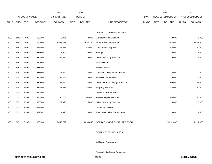|             |            |                       |                | 2013               |              | 2014           |                                    |       |       | 2015                    |              | 2015            |
|-------------|------------|-----------------------|----------------|--------------------|--------------|----------------|------------------------------------|-------|-------|-------------------------|--------------|-----------------|
|             |            | <b>ACCOUNT NUMBER</b> |                | <b>EXPENDITURE</b> |              | <b>BUDGET</b>  |                                    | PAY   |       | <b>REQUESTED BUDGET</b> |              | PROPOSED BUDGET |
| <b>FUND</b> | <b>ORG</b> | <b>SBCL</b>           | <b>ACCOUNT</b> | <b>DOLLARS</b>     | <b>UNITS</b> | <b>DOLLARS</b> | LINE DESCRIPTION                   | RANGE | UNITS | <b>DOLLARS</b>          | <b>UNITS</b> | <b>DOLLARS</b>  |
|             |            |                       |                |                    |              |                |                                    |       |       |                         |              |                 |
|             |            |                       |                |                    |              |                | <b>OPERATING EXPENDITURES</b>      |       |       |                         |              |                 |
| 0001        | 5452       | R999                  | 630100         | 8,945              |              | 8,000          | General Office Expense             |       |       | 8,000                   |              | 8,000           |
| 0001        | 5452       | R999                  | 630500         | 3,885,765          |              | 3,520,440      | Tools & Machinery Parts            |       |       | 4,066,000               |              | 3,666,000       |
| 0001        | 5452       | R999                  | 631000         | 73,658             |              | 50,000         | <b>Construction Supplies</b>       |       |       | 50,000                  |              | 50,000          |
| 0001        | 5452       | R999                  | 631500         | 5,991              |              | 25,000         | Energy                             |       |       | 25,000                  |              | 5,000           |
| 0001        | 5452       | R999                  | 632000         | 84,222             |              | 75,000         | <b>Other Operating Supplies</b>    |       |       | 75,000                  |              | 75,000          |
| 0001        | 5452       | R999                  | 632500         |                    |              |                | <b>Facility Rental</b>             |       |       |                         |              |                 |
| 0001        | 5452       | R999                  | 633000         |                    |              |                | Vehicle Rental                     |       |       |                         |              |                 |
| 0001        | 5452       | R999                  | 633500         | 11,390             |              | 10,000         | Non-Vehicle Equipment Rental       |       |       | 10,000                  |              | 10,000          |
| 0001        | 5452       | R999                  | 634000         | 34,246             |              | 15,000         | <b>Professional Services</b>       |       |       | 15,000                  |              | 15,000          |
| 0001        | 5452       | R999                  | 634500         | 85,360             |              | 80,000         | Information Technology Services    |       |       | 109,000                 |              | 85,000          |
| 0001        | 5452       | R999                  | 635000         | 101,379            |              | 80,000         | <b>Property Services</b>           |       |       | 80,000                  |              | 80,000          |
| 0001        | 5452       | R999                  | 635500         |                    |              |                | <b>Infrastructure Services</b>     |       |       |                         |              |                 |
| 0001        | 5452       | R999                  | 636000         | 1,130,203          |              | 1,200,000      | Vehicle Repair Services            |       |       | 1,364,000               |              | 1,200,000       |
| 0001        | 5452       | R999                  | 636500         | 22,820             |              | 25,000         | <b>Other Operating Services</b>    |       |       | 25,000                  |              | 25,000          |
| 0001        | 5452       | R999                  | 637000         |                    |              |                | Loans and Grants                   |       |       |                         |              |                 |
| 0001        | 5452       | R999                  | 637501         | 1,820              |              | 5,000          | <b>Reimburse Other Departments</b> |       |       | 5,000                   |              | 2,000           |
|             |            |                       |                |                    |              |                |                                    |       |       |                         |              |                 |
| 0001        | 5452       | R999                  | 006300         | 5,445,799          |              | 5,093,440      | OPERATING EXPENDITURES TOTAL       |       |       | 5,832,000               |              | 5,221,000       |

## EQUIPMENT PURCHASES

Additional Equipment

Subtotal - Additional Equipment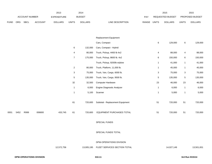|      | 2013           |      |                |                | 2014          |                |                  |              | 2015                    |                | 2015                   |                |
|------|----------------|------|----------------|----------------|---------------|----------------|------------------|--------------|-------------------------|----------------|------------------------|----------------|
|      | ACCOUNT NUMBER |      | EXPENDITURE    |                | <b>BUDGET</b> |                | <b>PAY</b>       |              | <b>REQUESTED BUDGET</b> |                | <b>PROPOSED BUDGET</b> |                |
| FUND | <b>ORG</b>     | SBCL | <b>ACCOUNT</b> | <b>DOLLARS</b> | <b>UNITS</b>  | <b>DOLLARS</b> | LINE DESCRIPTION | <b>RANGE</b> | <b>UNITS</b>            | <b>DOLLARS</b> | <b>UNITS</b>           | <b>DOLLARS</b> |

|      |      |      |        |            |                           |            | Replacement Equipment            |                |            |              |            |
|------|------|------|--------|------------|---------------------------|------------|----------------------------------|----------------|------------|--------------|------------|
|      |      |      |        |            |                           |            | Cars, Compact                    | $\,6\,$        | 129,000    | 6            | 129,000    |
|      |      |      |        |            | 6                         | 132,000    | Cars, Compact - Hybrid           |                |            |              |            |
|      |      |      |        |            | 4                         | 80,000     | Truck, Pickup, 4400 lb 4x2       | $\overline{4}$ | 88,000     | 4            | 88,000     |
|      |      |      |        |            | $\overline{7}$            | 175,000    | Truck, Pickup, 8600 lb. 4x2      | 6              | 150,000    | 6            | 150,000    |
|      |      |      |        |            |                           |            | Truck, Pickup, 9200lb w/plow     | $\mathbf{1}$   | 41,000     | $\mathbf{1}$ | 41,000     |
|      |      |      |        |            | $\overline{a}$            | 80,000     | Truck, Platform, 11,000 lb.      | $\mathbf{1}$   | 45,000     | $\mathbf{1}$ | 45,000     |
|      |      |      |        |            | $\ensuremath{\mathsf{3}}$ | 75,000     | Truck, Van, Cargo, 6000 lb.      | 3              | 75,000     | 3            | 75,000     |
|      |      |      |        |            | $\mathbf 5$               | 135,000    | Truck, Van, Cargo, 9500 lb.      | $\,$ 5 $\,$    | 135,000    | 5            | 135,000    |
|      |      |      |        |            | 32                        | 32,500     | <b>Computer Hardware</b>         | 23             | 46,000     | 23           | 46,000     |
|      |      |      |        |            | $\mathbf 1$               | 6,000      | Engine Diagnostic Analyzer       | $\mathbf{1}$   | 6,000      | $\mathbf{1}$ | 6,000      |
|      |      |      |        |            | $\mathbf{1}$              | 5,100      | Scanner                          | $\mathbf{1}$   | 5,000      | $\mathbf{1}$ | 5,000      |
|      |      |      |        |            | 61                        | 720,600    | Subtotal - Replacement Equipment | 51             | 720,000    | 51           | 720,000    |
| 0001 | 5452 | R999 | 006800 | 433,745    | 61                        | 720,600    | EQUIPMENT PURCHASES TOTAL        | 51             | 720,000    | 51           | 720,000    |
|      |      |      |        |            |                           |            | SPECIAL FUNDS                    |                |            |              |            |
|      |      |      |        |            |                           |            | SPECIAL FUNDS TOTAL              |                |            |              |            |
|      |      |      |        |            |                           |            | DPW-OPERATIONS DIVISION          |                |            |              |            |
|      |      |      |        | 12,572,756 |                           | 13,005,195 | FLEET SERVICES SECTION TOTAL     |                | 14,027,149 |              | 13,501,831 |
|      |      |      |        |            |                           |            |                                  |                |            |              |            |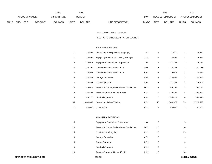|                | 2013       |                    |                |                |       | 2014             |                                  | 2015                           |              | 2015           |
|----------------|------------|--------------------|----------------|----------------|-------|------------------|----------------------------------|--------------------------------|--------------|----------------|
| ACCOUNT NUMBER |            | <b>EXPENDITURE</b> |                | <b>BUDGET</b>  | PAY   | REQUESTED BUDGET |                                  | <b>PROPOSED BUDGET</b>         |              |                |
| <b>FUND</b>    | <b>ORG</b> | <b>SBCL</b>        | <b>ACCOUNT</b> | <b>DOLLARS</b> | UNITS | <b>DOLLARS</b>   | <b>RANGE</b><br>LINE DESCRIPTION | <b>UNITS</b><br><b>DOLLARS</b> | <b>UNITS</b> | <b>DOLLARS</b> |

## FLEET OPERATIONS/DISPATCH SECTION

# SALARIES & WAGES

|                | 70,552    | Operations & Dispatch Manager (X)           | 1FX |                | 71,610    | -1                      | 71,610    |
|----------------|-----------|---------------------------------------------|-----|----------------|-----------|-------------------------|-----------|
|                | 73,669    | Equip. Operations & Training Manager        | 1CX |                | 73,669    | -1                      | 73,669    |
| $\overline{2}$ | 116,017   | Equipment Operations Supervisor I           | 1AX | $\overline{2}$ | 117,757   | $\overline{2}$          | 117,757   |
| 3              | 128,850   | <b>Communications Assistant IV</b>          | 6JN | 3              | 130,783   | 3                       | 130,783   |
| 2              | 73,903    | <b>Communications Assistant III</b>         | 6HN | $\overline{2}$ | 75,012    | $\overline{2}$          | 75,012    |
| 3              | 122,802   | Garage Custodian                            | 8FN | 3              | 124,644   | 3                       | 124,644   |
| 3              | 174,588   | <b>Crane Operator</b>                       | 8PN | 3              | 177,207   | 3                       | 177,207   |
| 13             | 745,019   | Tractor, Bulldozer, Endloader or Grad Oper. | 8ON | 13             | 756,194   | 13                      | 756,194   |
| 5 <sup>5</sup> | 330,497   | Tractor Operator (Under 40HP)               | 8NN | 5              | 335,454   | 5                       | 335,454   |
| 6              | 349,176   | <b>Grad All Operator</b>                    | 8PN | 6              | 354,414   | 6                       | 354,414   |
| 55             | 2,660,663 | <b>Operations Driver/Worker</b>             | 8KN | 55             | 2,700,573 | 55                      | 2,724,573 |
|                | 40,000    | <b>City Laborer</b>                         | 8DN |                | 40,000    | $\overline{\mathbf{1}}$ | 40,000    |
|                |           |                                             |     |                |           |                         |           |

# AUXILIARY POSITIONS

| 5  | <b>Equipment Operations Supervisor I</b>     | 1AX | 5  | 5  |
|----|----------------------------------------------|-----|----|----|
| 10 | Tractor, Bulldozer, Endloader, or Grad Oper. | 8ON | 10 | 10 |
| 25 | City Laborer (Regular)                       | 8DN | 25 | 25 |
| 3  | Garage Custodian                             | 8FN | 3  | 3  |
| 3  | Crane Operator                               | 8PN | 3  | 3  |
| 3  | Grad All Operator                            | 8PN | 3  | 3  |
| 10 | Tractor Operator (Under 40 HP)               | 8NN | 10 | 10 |
|    |                                              |     |    |    |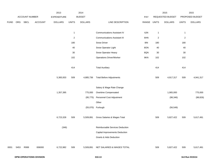|             |      |                |                | 2013           |                | 2014           |                                     |             |              | 2015             |                | 2015            |
|-------------|------|----------------|----------------|----------------|----------------|----------------|-------------------------------------|-------------|--------------|------------------|----------------|-----------------|
|             |      | ACCOUNT NUMBER |                | EXPENDITURE    |                | <b>BUDGET</b>  |                                     | PAY         |              | REQUESTED BUDGET |                | PROPOSED BUDGET |
| <b>FUND</b> | ORG  | SBCL           | <b>ACCOUNT</b> | <b>DOLLARS</b> | <b>UNITS</b>   | <b>DOLLARS</b> | LINE DESCRIPTION                    | RANGE UNITS |              | <b>DOLLARS</b>   | <b>UNITS</b>   | <b>DOLLARS</b>  |
|             |      |                |                |                |                |                |                                     |             |              |                  |                |                 |
|             |      |                |                |                | $\overline{1}$ |                | <b>Communications Assistant IV</b>  | 6JN         | $\mathbf{1}$ |                  | $\mathbf{1}$   |                 |
|             |      |                |                |                | $\sqrt{2}$     |                | <b>Communications Assistant III</b> | 6HN         | $\sqrt{2}$   |                  | $\overline{2}$ |                 |
|             |      |                |                |                | 180            |                | Snow Driver                         | <b>8IN</b>  | 180          |                  | 180            |                 |
|             |      |                |                |                | 40             |                | Snow Operator Light                 | 8ON         | 40           |                  | 40             |                 |
|             |      |                |                |                | $30\,$         |                | Snow Operator Heavy                 | 8QN         | 30           |                  | $30\,$         |                 |
|             |      |                |                |                | 102            |                | <b>Operations Driver/Worker</b>     | 8KN         | 102          |                  | 102            |                 |
|             |      |                |                |                |                |                |                                     |             |              |                  |                |                 |
|             |      |                |                |                | 414            |                | <b>Total Auxiliary</b>              |             | 414          |                  | 414            |                 |
|             |      |                |                |                |                |                |                                     |             |              |                  |                |                 |
|             |      |                |                | 5,365,933      | 509            | 4,885,736      | <b>Total Before Adjustments</b>     |             | 509          | 4,917,317        | 509            | 4,941,317       |
|             |      |                |                |                |                |                |                                     |             |              |                  |                |                 |
|             |      |                |                |                |                |                | Salary & Wage Rate Change           |             |              |                  |                |                 |
|             |      |                |                | 1,357,395      |                | 775,000        | Overtime Compensated                |             |              | 1,065,000        |                | 775,000         |
|             |      |                |                |                |                | (95, 775)      | Personnel Cost Adjustment           |             |              | (98, 346)        |                | (98, 826)       |
|             |      |                |                |                |                |                | Other                               |             |              |                  |                |                 |
|             |      |                |                |                |                |                | (55,070) Furlough                   |             |              | (56, 549)        |                |                 |
|             |      |                |                |                |                |                |                                     |             |              |                  |                |                 |
|             |      |                |                | 6,723,328      | 509            | 5,509,891      | Gross Salaries & Wages Total        |             | 509          | 5,827,422        | 509            | 5,617,491       |
|             |      |                |                |                |                |                |                                     |             |              |                  |                |                 |
|             |      |                |                | (346)          |                |                | Reimbursable Services Deduction     |             |              |                  |                |                 |
|             |      |                |                |                |                |                | Capital Improvements Deduction      |             |              |                  |                |                 |
|             |      |                |                |                |                |                | <b>Grants &amp; Aids Deduction</b>  |             |              |                  |                |                 |
|             |      |                |                |                |                |                |                                     |             |              |                  |                |                 |
| 0001        | 5453 | R999           | 006000         | 6,722,982      | 509            | 5,509,891      | NET SALARIES & WAGES TOTAL          |             | 509          | 5,827,422        | 509            | 5,617,491       |
|             |      |                |                |                |                |                |                                     |             |              |                  |                |                 |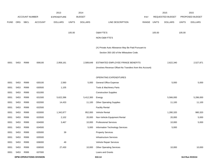|             |            |                       |                                | 2013               |              | 2014           |                                                          |       |              | 2015             |              | 2015            |
|-------------|------------|-----------------------|--------------------------------|--------------------|--------------|----------------|----------------------------------------------------------|-------|--------------|------------------|--------------|-----------------|
|             |            | <b>ACCOUNT NUMBER</b> |                                | <b>EXPENDITURE</b> |              | <b>BUDGET</b>  |                                                          | PAY   |              | REQUESTED BUDGET |              | PROPOSED BUDGET |
| <b>FUND</b> | <b>ORG</b> | <b>SBCL</b>           | <b>ACCOUNT</b>                 | <b>DOLLARS</b>     | <b>UNITS</b> | <b>DOLLARS</b> | LINE DESCRIPTION                                         | RANGE | <b>UNITS</b> | <b>DOLLARS</b>   | <b>UNITS</b> | <b>DOLLARS</b>  |
|             |            |                       |                                |                    |              |                |                                                          |       |              |                  |              |                 |
|             |            |                       |                                |                    | 105.00       |                | O&M FTE'S                                                |       | 105.00       |                  | 105.00       |                 |
|             |            |                       |                                |                    |              |                | NON-O&M FTE'S                                            |       |              |                  |              |                 |
|             |            |                       |                                |                    |              |                | (X) Private Auto Allowance May Be Paid Pursuant to       |       |              |                  |              |                 |
|             |            |                       |                                |                    |              |                | Section 350-183 of the Milwaukee Code.                   |       |              |                  |              |                 |
|             |            |                       |                                |                    |              |                |                                                          |       |              |                  |              |                 |
| 0001        | 5453       | R999                  | 006100                         | 2,958,161          |              | 2,589,649      | ESTIMATED EMPLOYEE FRINGE BENEFITS                       |       |              | 2,622,340        |              | 2,527,871       |
|             |            |                       |                                |                    |              |                | (Involves Revenue Offset-No Transfers from this Account) |       |              |                  |              |                 |
|             |            |                       |                                |                    |              |                | OPERATING EXPENDITURES                                   |       |              |                  |              |                 |
| 0001        | 5453       | R999                  | 630100                         | 2,560              |              | 5,000          | <b>General Office Expense</b>                            |       |              | 5,000            |              | 5,000           |
| 0001        | 5453       | R999                  | 630500                         | 1,105              |              |                | Tools & Machinery Parts                                  |       |              |                  |              |                 |
| 0001        | 5453       | R999                  | 631000                         |                    |              |                | <b>Construction Supplies</b>                             |       |              |                  |              |                 |
| 0001        | 5453       | R999                  | 631500                         | 5,622,396          |              | 5,412,300      | Energy                                                   |       |              | 5,566,000        |              | 5,286,000       |
| 0001        | 5453       | R999                  | 632000                         | 14,433             |              | 11,100         | <b>Other Operating Supplies</b>                          |       |              | 11,100           |              | 11,100          |
| 0001        | 5453       | R999                  | 632500                         |                    |              |                | <b>Facility Rental</b>                                   |       |              |                  |              |                 |
| 0001        | 5453       | R999                  | 633000                         | 1,342,877          |              | 952,000        | Vehicle Rental                                           |       |              | 1,280,320        |              | 980,320         |
| 0001        | 5453       | R999                  | 633500                         | 2,102              |              | 20,000         | Non-Vehicle Equipment Rental                             |       |              | 20,000           |              | 5,000           |
| 0001        | 5453       | R999                  | 634000                         | 3,467              |              | 10,000         | <b>Professional Services</b>                             |       |              | 10,000           |              | 5,000           |
| 0001        | 5453       | R999                  | 634500                         |                    |              | 5,000          | Information Technology Services                          |       |              | 5,000            |              |                 |
| 0001        | 5453       | R999                  | 635000                         | 39                 |              |                | <b>Property Services</b>                                 |       |              |                  |              |                 |
| 0001        | 5453       | R999                  | 635500                         |                    |              |                | <b>Infrastructure Services</b>                           |       |              |                  |              |                 |
| 0001        | 5453       | R999                  | 636000                         | 49                 |              |                | Vehicle Repair Services                                  |       |              |                  |              |                 |
| 0001        | 5453       | R999                  | 636500                         | 27,430             |              | 10,000         | <b>Other Operating Services</b>                          |       |              | 10,000           |              | 10,000          |
| 0001        | 5453       | R999                  | 637000                         |                    |              |                | Loans and Grants                                         |       |              |                  |              |                 |
|             |            |                       | <b>DPW-OPERATIONS DIVISION</b> |                    |              |                | 310.14                                                   |       |              |                  |              | 3rd Run 9/15/14 |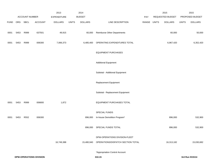|             |      | ACCOUNT NUMBER |                                | 2013<br><b>EXPENDITURE</b> |              | 2014<br><b>BUDGET</b> |                                    |                    | 2015<br>REQUESTED BUDGET |              | 2015<br>PROPOSED BUDGET |
|-------------|------|----------------|--------------------------------|----------------------------|--------------|-----------------------|------------------------------------|--------------------|--------------------------|--------------|-------------------------|
| <b>FUND</b> | ORG  | SBCL           | <b>ACCOUNT</b>                 | <b>DOLLARS</b>             | <b>UNITS</b> | <b>DOLLARS</b>        | LINE DESCRIPTION                   | PAY<br>RANGE UNITS | <b>DOLLARS</b>           | <b>UNITS</b> | <b>DOLLARS</b>          |
| 0001        | 5453 | R999           | 637501                         | 49,915                     |              |                       | 60,000 Reimburse Other Departments |                    | 60,000                   |              | 50,000                  |
| 0001        | 5453 | R999           | 006300                         | 7,066,373                  |              | 6,485,400             | OPERATING EXPENDITURES TOTAL       |                    | 6,967,420                |              | 6,352,420               |
|             |      |                |                                |                            |              |                       | <b>EQUIPMENT PURCHASES</b>         |                    |                          |              |                         |
|             |      |                |                                |                            |              |                       | <b>Additional Equipment</b>        |                    |                          |              |                         |
|             |      |                |                                |                            |              |                       | Subtotal - Additional Equipment    |                    |                          |              |                         |
|             |      |                |                                |                            |              |                       | Replacement Equipment              |                    |                          |              |                         |
|             |      |                |                                |                            |              |                       | Subtotal - Replacement Equipment   |                    |                          |              |                         |
| 0001        | 5453 | R999           | 006800                         | 1,872                      |              |                       | EQUIPMENT PURCHASES TOTAL          |                    |                          |              |                         |
|             |      |                |                                |                            |              |                       | SPECIAL FUNDS                      |                    |                          |              |                         |
| 0001        | 5453 | R552           | 006300                         |                            |              | 896,000               | In-house Demolition Program*       |                    | 896,000                  |              | 532,900                 |
|             |      |                |                                |                            |              | 896,000               | SPECIAL FUNDS TOTAL                |                    | 896,000                  |              | 532,900                 |
|             |      |                |                                |                            |              |                       | DPW-OPERATIONS DIVISION-FLEET      |                    |                          |              |                         |
|             |      |                |                                | 16,749,388                 |              | 15,480,940            | OPERATIONS/DISPATCH SECTION TOTAL  |                    | 16,313,182               |              | 15,030,682              |
|             |      |                |                                |                            |              |                       | *Appropriation Control Account     |                    |                          |              |                         |
|             |      |                | <b>DPW-OPERATIONS DIVISION</b> |                            |              |                       | 310.15                             |                    |                          |              | 3rd Run 9/15/14         |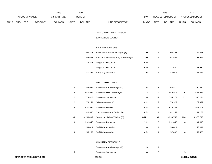|             |                       |             |                    | 2013           |               | 2014           |                                  |                  | 2015           |                        | 2015           |
|-------------|-----------------------|-------------|--------------------|----------------|---------------|----------------|----------------------------------|------------------|----------------|------------------------|----------------|
|             | <b>ACCOUNT NUMBER</b> |             | <b>EXPENDITURE</b> |                | <b>BUDGET</b> | PAY            |                                  | REQUESTED BUDGET |                | <b>PROPOSED BUDGET</b> |                |
| <b>FUND</b> | <b>ORG</b>            | <b>SBCL</b> | ACCOUNT            | <b>DOLLARS</b> | <b>UNITS</b>  | <b>DOLLARS</b> | <b>RANGE</b><br>LINE DESCRIPTION | <b>UNITS</b>     | <b>DOLLARS</b> | <b>UNITS</b>           | <b>DOLLARS</b> |

### SANITATION SECTION

# SALARIES & WAGES

| 1 | 103.318 | Sanitation Services Manager (X) (Y) | 1JX | 104.868 | 104,868 |
|---|---------|-------------------------------------|-----|---------|---------|
| 1 | 66.548  | Resource Recovery Program Manager   | 2JX | 67.546  | 67,546  |
| 1 | 44.277  | Program Assistant I                 | 5EN |         |         |
|   |         | Program Assistant II                | 5FN | 47.680  | 47,680  |
|   | 41,395  | <b>Recycling Assistant</b>          | 2AN | 42.016  | 42,016  |

### FIELD OPERATIONS

| 3   | 256.956   | Sanitation Area Manager (X)        | 1HX | 3   | 260,810   | 3              | 260,810   |
|-----|-----------|------------------------------------|-----|-----|-----------|----------------|-----------|
| 6   | 442.934   | <b>Sanitation District Manager</b> | 1DX | 6   | 449,578   | 6              | 449,578   |
| 22  | 1,378,828 | <b>Sanitation Supervisor</b>       | 1AX | 22  | 1,395,274 | 22             | 1,395,274 |
| 2   | 78.154    | <b>Office Assistant IV</b>         | 6HN | 2   | 79,327    | $\overline{2}$ | 79,327    |
| 23  | 931,935   | <b>Sanitation Worker</b>           | 8EN | 23  | 929,209   | 23             | 929,209   |
| 1   | 40.545    | Cart Maintenance Technician        | 8EN | 1   | 41,153    | 1              | 41,153    |
| 194 | 9.156.402 | Operations Driver Worker (D)       | 8KN | 194 | 9,293,748 | 194            | 9,376,748 |
| 8   | 291.640   | Sanitation Inspector               | 3BN | 8   | 291,640   | 8              | 291,640   |
|     | 58.011    | Self Help Supervisor               | 1AX | 1   | 58,011    | 1              | 58,011    |
| 4   | 155,153   | Self Help Attendant                | 8FN | 4   | 157,480   | 4              | 157,480   |

#### AUXILIARY PERSONNEL

|   | Sanitation Area Manager (X)  | ∣HX |  |
|---|------------------------------|-----|--|
| 5 | <b>Sanitation Supervisor</b> | 'AX |  |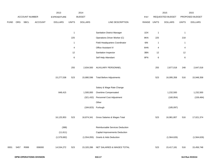|             |      |                |         | 2013               |              | 2014           |                                    |             |              | 2015             |              | 2015            |
|-------------|------|----------------|---------|--------------------|--------------|----------------|------------------------------------|-------------|--------------|------------------|--------------|-----------------|
|             |      | ACCOUNT NUMBER |         | <b>EXPENDITURE</b> |              | <b>BUDGET</b>  |                                    | PAY         |              | REQUESTED BUDGET |              | PROPOSED BUDGET |
| <b>FUND</b> | ORG  | <b>SBCL</b>    | ACCOUNT | <b>DOLLARS</b>     | <b>UNITS</b> | <b>DOLLARS</b> | LINE DESCRIPTION                   | RANGE UNITS |              | <b>DOLLARS</b>   | <b>UNITS</b> | <b>DOLLARS</b>  |
|             |      |                |         |                    |              |                |                                    |             |              |                  |              |                 |
|             |      |                |         |                    | $\mathbf{1}$ |                | <b>Sanitation District Manager</b> | 1DX         | $\mathbf{1}$ |                  | $\mathbf{1}$ |                 |
|             |      |                |         |                    | 225          |                | Operations Driver Worker (C)       | 8KN         | 225          |                  | 218          |                 |
|             |      |                |         |                    | $\mathbf{1}$ |                | Field Headquarters Coordinator     | 6IN         | $\mathbf{1}$ |                  | $\mathbf{1}$ |                 |
|             |      |                |         |                    | 4            |                | Office Assistant IV                | 6HN         | 4            |                  | 4            |                 |
|             |      |                |         |                    | 12           |                | Sanitation Inspector               | 3BN         | $12$         |                  | 12           |                 |
|             |      |                |         |                    | 6            |                | Self Help Attendant                | 8FN         | $\,6$        |                  | $\,6$        |                 |
|             |      |                |         |                    |              |                |                                    |             |              |                  |              |                 |
|             |      |                |         |                    | 255          | 2,834,500      | AUXILIARY PERSONNEL                |             | 255          | 2,877,018        | 248          | 2,647,018       |
|             |      |                |         |                    |              |                |                                    |             |              |                  |              |                 |
|             |      |                |         | 15,277,538         | 523          | 15,880,596     | <b>Total Before Adjustments</b>    |             | 523          | 16,095,358       | 516          | 15,948,358      |
|             |      |                |         |                    |              |                |                                    |             |              |                  |              |                 |
|             |      |                |         |                    |              |                | Salary & Wage Rate Change          |             |              |                  |              |                 |
|             |      |                |         | 848,415            |              | 1,500,000      | Overtime Compensated               |             |              | 1,232,500        |              | 1,232,500       |
|             |      |                |         |                    |              | (321, 432)     | Personnel Cost Adjustment          |             |              | (160, 954)       |              | (159, 484)      |
|             |      |                |         |                    |              |                | Other                              |             |              |                  |              |                 |
|             |      |                |         |                    |              | (184, 823)     | Furlough                           |             |              | (185,097)        |              |                 |
|             |      |                |         |                    |              |                |                                    |             |              |                  |              |                 |
|             |      |                |         | 16,125,953         | 523          | 16,874,341     | Gross Salaries & Wages Total       |             | 523          | 16,981,807       | 516          | 17,021,374      |
|             |      |                |         |                    |              |                |                                    |             |              |                  |              |                 |
|             |      |                |         | (388)              |              |                | Reimbursable Services Deduction    |             |              |                  |              |                 |
|             |      |                |         | (11, 611)          |              |                | Capital Improvements Deduction     |             |              |                  |              |                 |
|             |      |                |         | (1,579,682)        |              | (1,554,055)    | <b>Grants &amp; Aids Deduction</b> |             |              | (1,564,626)      |              | (1,564,626)     |
|             |      |                |         |                    |              |                |                                    |             |              |                  |              |                 |
| 0001        | 5457 | R999           | 006000  | 14,534,272         | 523          | 15,320,286     | NET SALARIES & WAGES TOTAL         |             | 523          | 15,417,181       | 516          | 15,456,748      |
|             |      |                |         |                    |              |                |                                    |             |              |                  |              |                 |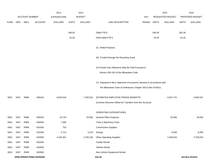|              |              |                       |                                | 2013               |              | 2014           |                                                                           |       |              | 2015             |              | 2015            |
|--------------|--------------|-----------------------|--------------------------------|--------------------|--------------|----------------|---------------------------------------------------------------------------|-------|--------------|------------------|--------------|-----------------|
|              |              | <b>ACCOUNT NUMBER</b> |                                | <b>EXPENDITURE</b> |              | <b>BUDGET</b>  |                                                                           | PAY   |              | REQUESTED BUDGET |              | PROPOSED BUDGET |
| <b>FUND</b>  | <b>ORG</b>   | SBCL                  | <b>ACCOUNT</b>                 | <b>DOLLARS</b>     | <b>UNITS</b> | <b>DOLLARS</b> | LINE DESCRIPTION                                                          | RANGE | <b>UNITS</b> | <b>DOLLARS</b>   | <b>UNITS</b> | <b>DOLLARS</b>  |
|              |              |                       |                                |                    |              |                |                                                                           |       |              |                  |              |                 |
|              |              |                       |                                |                    | 299.92       |                | O&M FTE'S                                                                 |       | 299.39       |                  | 292.39       |                 |
|              |              |                       |                                |                    | 32.92        |                | NON-O&M FTE'S                                                             |       | 33.45        |                  | 33.45        |                 |
|              |              |                       |                                |                    |              |                |                                                                           |       |              |                  |              |                 |
|              |              |                       |                                |                    |              |                | (C) Relief Positions.                                                     |       |              |                  |              |                 |
|              |              |                       |                                |                    |              |                | (D) Funded through the Recycling Grant.                                   |       |              |                  |              |                 |
|              |              |                       |                                |                    |              |                |                                                                           |       |              |                  |              |                 |
|              |              |                       |                                |                    |              |                | (X) Private Auto Allowance May Be Paid Pursuant to                        |       |              |                  |              |                 |
|              |              |                       |                                |                    |              |                | Section 350-183 of the Milwaukee Code.                                    |       |              |                  |              |                 |
|              |              |                       |                                |                    |              |                |                                                                           |       |              |                  |              |                 |
|              |              |                       |                                |                    |              |                | (Y) Required to file a statement of economic interests in accordance with |       |              |                  |              |                 |
|              |              |                       |                                |                    |              |                | the Milwaukee Code of Ordinances Chapter 303-Code of Ethics.              |       |              |                  |              |                 |
| 0001         | 5457         | R999                  | 006100                         | 6,625,018          |              | 7,200,534      | ESTIMATED EMPLOYEE FRINGE BENEFITS                                        |       |              | 6,937,731        |              | 6,955,537       |
|              |              |                       |                                |                    |              |                | (Involves Revenue Offset-No Transfers from this Account)                  |       |              |                  |              |                 |
|              |              |                       |                                |                    |              |                |                                                                           |       |              |                  |              |                 |
|              |              |                       |                                |                    |              |                | OPERATING EXPENDITURES                                                    |       |              |                  |              |                 |
| 0001         | 5457         | R999                  | 630100                         | 24,720             |              | 20,000         | General Office Expense                                                    |       |              | 20,000           |              | 20,000          |
| 0001         | 5457         | R999                  | 630500                         | 7,068              |              |                | Tools & Machinery Parts                                                   |       |              |                  |              |                 |
| 0001<br>0001 | 5457<br>5457 | R999<br>R999          | 631000<br>631500               | 753<br>5,714       |              | 3,210          | <b>Construction Supplies</b><br>Energy                                    |       |              | 6,000            |              | 6,000           |
| 0001         | 5457         | R999                  | 632000                         | 4,102,301          |              | 2,195,160      | Other Operating Supplies                                                  |       |              | 2,409,910        |              | 2,769,910       |
| 0001         | 5457         | R999                  | 632500                         |                    |              |                | <b>Facility Rental</b>                                                    |       |              |                  |              |                 |
| 0001         | 5457         | R999                  | 633000                         |                    |              |                | Vehicle Rental                                                            |       |              |                  |              |                 |
| 0001         | 5457         | R999                  | 633500                         |                    |              |                | Non-Vehicle Equipment Rental                                              |       |              |                  |              |                 |
|              |              |                       | <b>DPW-OPERATIONS DIVISION</b> |                    |              |                | 310.18                                                                    |       |              |                  |              | 3rd Run 9/15/14 |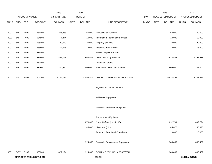|             |      |                       |                                | 2013           |              | 2014           |                                  |       |              | 2015             |              | 2015            |
|-------------|------|-----------------------|--------------------------------|----------------|--------------|----------------|----------------------------------|-------|--------------|------------------|--------------|-----------------|
|             |      | <b>ACCOUNT NUMBER</b> |                                | EXPENDITURE    |              | <b>BUDGET</b>  |                                  | PAY   |              | REQUESTED BUDGET |              | PROPOSED BUDGET |
| <b>FUND</b> | ORG  | <b>SBCL</b>           | <b>ACCOUNT</b>                 | <b>DOLLARS</b> | <b>UNITS</b> | <b>DOLLARS</b> | LINE DESCRIPTION                 | RANGE | <b>UNITS</b> | <b>DOLLARS</b>   | <b>UNITS</b> | <b>DOLLARS</b>  |
|             |      |                       |                                |                |              |                |                                  |       |              |                  |              |                 |
| 0001        | 5457 | R999                  | 634000                         | 205,933        |              | 160,000        | <b>Professional Services</b>     |       |              | 160,000          |              | 160,000         |
| 0001        | 5457 | R999                  | 634500                         | 4,844          |              | 10,000         | Information Technology Services  |       |              | 10,000           |              | 10,000          |
| 0001        | 5457 | R999                  | 635000                         | 39,640         |              | 20,000         | <b>Property Services</b>         |       |              | 20,000           |              | 20,000          |
| 0001        | 5457 | R999                  | 635500                         | 112,048        |              | 78,000         | Infrastructure Services          |       |              | 78,000           |              | 78,000          |
| 0001        | 5457 | R999                  | 636000                         |                |              |                | Vehicle Repair Services          |       |              |                  |              |                 |
| 0001        | 5457 | R999                  | 636500                         | 11,842,193     |              | 11,663,505     | <b>Other Operating Services</b>  |       |              | 12,523,583       |              | 12,752,583      |
| 0001        | 5457 | R999                  | 637000                         |                |              |                | Loans and Grants                 |       |              |                  |              |                 |
| 0001        | 5457 | R999                  | 637501                         | 379,562        |              | 405,000        | Reimburse Other Departments      |       |              | 405,000          |              | 385,000         |
|             |      |                       |                                |                |              |                |                                  |       |              |                  |              |                 |
| 0001        | 5457 | R999                  | 006300                         | 16,724,776     |              | 14,554,875     | OPERATING EXPENDITURES TOTAL     |       |              | 15,632,493       |              | 16,201,493      |
|             |      |                       |                                |                |              |                |                                  |       |              |                  |              |                 |
|             |      |                       |                                |                |              |                | <b>EQUIPMENT PURCHASES</b>       |       |              |                  |              |                 |
|             |      |                       |                                |                |              |                |                                  |       |              |                  |              |                 |
|             |      |                       |                                |                |              |                | <b>Additional Equipment</b>      |       |              |                  |              |                 |
|             |      |                       |                                |                |              |                |                                  |       |              |                  |              |                 |
|             |      |                       |                                |                |              |                | Subtotal - Additional Equipment  |       |              |                  |              |                 |
|             |      |                       |                                |                |              |                |                                  |       |              |                  |              |                 |
|             |      |                       |                                |                |              |                | <b>Replacement Equipment</b>     |       |              |                  |              |                 |
|             |      |                       |                                |                |              | 879,600        | Carts, Refuse (Lot of 100)       |       |              | 892,794          |              | 832,794         |
|             |      |                       |                                |                |              | 45,000         | Littercans (1 lot)               |       |              | 45,675           |              | 45,675          |
|             |      |                       |                                |                |              |                | Front and Rear Load Containers   |       |              | 10,000           |              | 10,000          |
|             |      |                       |                                |                |              |                |                                  |       |              |                  |              |                 |
|             |      |                       |                                |                |              | 924,600        | Subtotal - Replacement Equipment |       |              | 948,469          |              | 888,469         |
|             |      |                       |                                |                |              |                |                                  |       |              |                  |              |                 |
| 0001        | 5457 | R999                  | 006800                         | 827,124        |              | 924,600        | EQUIPMENT PURCHASES TOTAL        |       |              | 948,469          |              | 888,469         |
|             |      |                       | <b>DPW-OPERATIONS DIVISION</b> |                |              |                | 310.19                           |       |              |                  |              | 3rd Run 9/15/14 |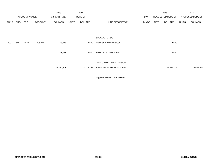|             |      |                       |                | 2013               |              | 2014           |                          |             | 2015             |              | 2015            |
|-------------|------|-----------------------|----------------|--------------------|--------------|----------------|--------------------------|-------------|------------------|--------------|-----------------|
|             |      | <b>ACCOUNT NUMBER</b> |                | <b>EXPENDITURE</b> |              | <b>BUDGET</b>  |                          | PAY         | REQUESTED BUDGET |              | PROPOSED BUDGET |
| <b>FUND</b> | ORG  | SBCL                  | <b>ACCOUNT</b> | <b>DOLLARS</b>     | <b>UNITS</b> | <b>DOLLARS</b> | LINE DESCRIPTION         | RANGE UNITS | <b>DOLLARS</b>   | <b>UNITS</b> | <b>DOLLARS</b>  |
|             |      |                       |                |                    |              |                |                          |             |                  |              |                 |
|             |      |                       |                |                    |              |                | <b>SPECIAL FUNDS</b>     |             |                  |              |                 |
| 0001        | 5457 | R <sub>551</sub>      | 006300         | 118,018            |              | 172,500        | Vacant Lot Maintenance*  |             | 172,500          |              |                 |
|             |      |                       |                | 118,018            |              | 172,500        | SPECIAL FUNDS TOTAL      |             | 172,500          |              |                 |
|             |      |                       |                |                    |              |                | DPW-OPERATIONS DIVISION  |             |                  |              |                 |
|             |      |                       |                | 38,829,208         |              | 38,172,795     | SANITATION SECTION TOTAL |             | 39,108,374       |              | 39,502,247      |

\*Appropriation Control Account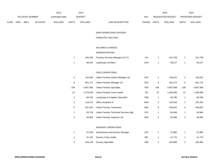|      |     |                |                | 2013               |                | 2014           |                                        |            |                | 2015             |                | 2015            |
|------|-----|----------------|----------------|--------------------|----------------|----------------|----------------------------------------|------------|----------------|------------------|----------------|-----------------|
|      |     | ACCOUNT NUMBER |                | <b>EXPENDITURE</b> |                | <b>BUDGET</b>  |                                        | <b>PAY</b> |                | REQUESTED BUDGET |                | PROPOSED BUDGET |
| FUND | ORG | SBCL           | <b>ACCOUNT</b> | <b>DOLLARS</b>     | <b>UNITS</b>   | <b>DOLLARS</b> | LINE DESCRIPTION                       | RANGE      | <b>UNITS</b>   | <b>DOLLARS</b>   | <b>UNITS</b>   | <b>DOLLARS</b>  |
|      |     |                |                |                    |                |                | DPW-OPERATIONS DIVISION                |            |                |                  |                |                 |
|      |     |                |                |                    |                |                | FORESTRY SECTION                       |            |                |                  |                |                 |
|      |     |                |                |                    |                |                | <b>SALARIES &amp; WAGES</b>            |            |                |                  |                |                 |
|      |     |                |                |                    |                |                | ADMINISTRATION                         |            |                |                  |                |                 |
|      |     |                |                |                    | $\mathbf{1}$   | 100,206        | Forestry Services Manager (X) (Y)      | 1JX        | $\overline{1}$ | 101,709          | $\mathbf{1}$   | 101,709         |
|      |     |                |                |                    | $\mathbf{1}$   | 58,342         | Landscape Architect                    | 2GN        | $\overline{1}$ | 59,217           | $\mathbf{1}$   | 59,217          |
|      |     |                |                |                    |                |                | FIELD OPERATIONS                       |            |                |                  |                |                 |
|      |     |                |                |                    | $\overline{2}$ | 144,090        | Urban Forestry District Manager (X)    | 1HX        | $\sqrt{2}$     | 146,251          | $\overline{2}$ | 146,251         |
|      |     |                |                |                    | 9              | 601,172        | Urban Forestry Manager (X)             | 1DX        | 9              | 601,172          | 9              | 601,172         |
|      |     |                |                |                    | 109            | 4,907,568      | <b>Urban Forestry Specialist</b>       | 7EN        | 109            | 4,907,568        | 109            | 4,867,568       |
|      |     |                |                |                    | 22             | 1,170,539      | Urban Forestry Crew Leader             | 7IN        | 22             | 1,180,008        | 22             | 1,180,008       |
|      |     |                |                |                    | $\mathbf{1}$   | 68,765         | Landscape & Irrigation Specialist      | 7QN        | $\mathbf{1}$   | 69,796           | $\mathbf{1}$   | 69,796          |
|      |     |                |                |                    | 3              | 118,575        | Office Assistant IV                    | 6HN        | 3              | 120,353          | 3              | 120,353         |
|      |     |                |                |                    | 8              | 407,342        | Urban Forestry Technician              | 3NN        | 8              | 446,652          | $\bf8$         | 446,652         |
|      |     |                |                |                    | $\mathbf{1}$   | 63,728         | Urban Forestry Technical Services Mgr. | 1FX        | $\overline{1}$ | 64,684           | $\mathbf{1}$   | 64,684          |
|      |     |                |                |                    | $\overline{2}$ | 93,950         | Urban Forestry Inspector (X)           | 3GN        | $\overline{2}$ | 93,950           | $\overline{2}$ | 93,950          |
|      |     |                |                |                    |                |                | NURSERY OPERATIONS                     |            |                |                  |                |                 |
|      |     |                |                |                    | $\mathbf{1}$   | 57,028         | Greenhouse and Nursery Manager         | 1EX        | $\mathbf{1}$   | 57,884           | $\mathbf{1}$   | 57,884          |
|      |     |                |                |                    | $\mathbf{1}$   | 41,153         | Nursery Crew Leader                    | 8IN        | $\mathbf{1}$   | 41,770           | $\mathbf{1}$   | 41,770          |
|      |     |                |                |                    | 4              | 164,159        | <b>Nursery Specialist</b>              | 7BN        | 4              | 165,995          | 4              | 165,995         |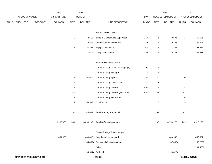|             |     |                |                                | 2013           |                | 2014           |                                     |       |              | 2015             |                           | 2015            |
|-------------|-----|----------------|--------------------------------|----------------|----------------|----------------|-------------------------------------|-------|--------------|------------------|---------------------------|-----------------|
|             |     | ACCOUNT NUMBER |                                | EXPENDITURE    |                | <b>BUDGET</b>  |                                     | PAY   |              | REQUESTED BUDGET |                           | PROPOSED BUDGET |
| <b>FUND</b> | ORG | SBCL           | <b>ACCOUNT</b>                 | <b>DOLLARS</b> | <b>UNITS</b>   | <b>DOLLARS</b> | LINE DESCRIPTION                    | RANGE | <b>UNITS</b> | <b>DOLLARS</b>   | <b>UNITS</b>              | <b>DOLLARS</b>  |
|             |     |                |                                |                |                |                |                                     |       |              |                  |                           |                 |
|             |     |                |                                |                |                |                | SHOP OPERATIONS                     |       |              |                  |                           |                 |
|             |     |                |                                |                | $\mathbf{1}$   | 78,518         | Shop & Maintenance Supervisor       | 1DX   | $\mathbf{1}$ | 79,696           | $\mathbf{1}$              | 79,696          |
|             |     |                |                                |                | $\mathbf{1}$   | 42,853         | Lead Equipment Mechanic             | 7FN   | $\mathbf{1}$ | 43,496           | $\mathbf{1}$              | 43,496          |
|             |     |                |                                |                | 3              | 127,831        | Equip. Mechanic III                 | 7CN   | 3            | 127,831          | $\ensuremath{\mathsf{3}}$ | 127,831         |
|             |     |                |                                |                | $\mathbf{1}$   | 41,614         | <b>Utility Crew Worker</b>          | 8FN   | $\mathbf{1}$ | 42,238           | $\mathbf{1}$              | 42,238          |
|             |     |                |                                |                |                |                |                                     |       |              |                  |                           |                 |
|             |     |                |                                |                |                |                | AUXILIARY PERSONNEL                 |       |              |                  |                           |                 |
|             |     |                |                                |                | $\mathbf{1}$   |                | Urban Forestry District Manager (X) | 1HX   | $\mathbf{1}$ |                  | $\mathbf{1}$              |                 |
|             |     |                |                                |                | $\overline{1}$ |                | <b>Urban Forestry Manager</b>       | 1DX   | $\mathbf{1}$ |                  | $\mathbf{1}$              |                 |
|             |     |                |                                |                | 20             | 91,676         | <b>Urban Forestry Specialist</b>    | 7EN   | 20           |                  | 20                        |                 |
|             |     |                |                                |                | 3              |                | Urban Forestry Crew Leader          | 7IN   | 3            |                  | 3                         |                 |
|             |     |                |                                |                | 4              |                | Urban Forestry Laborer              | 8EN   | 4            |                  | 4                         |                 |
|             |     |                |                                |                | 42             |                | Urban Forestry Laborer (Seasonal)   | 8EN   | 42           |                  | 42                        |                 |
|             |     |                |                                |                | $\,6\,$        |                | Urban Forestry Technician           | 3NN   | $\,6\,$      |                  | $\,6\,$                   |                 |
|             |     |                |                                |                | 15             | 253,993        | <b>City Laborer</b>                 |       | 15           |                  | 15                        |                 |
|             |     |                |                                |                |                |                |                                     |       |              |                  |                           |                 |
|             |     |                |                                |                | 92             | 345,669        | <b>Total Auxiliary Personnel</b>    |       | 92           |                  | 92                        |                 |
|             |     |                |                                | 8,163,865      | 263            | 8,633,102      | <b>Total Before Adjustments</b>     |       | 263          | 8,350,270        | 263                       | 8,310,270       |
|             |     |                |                                |                |                |                | Salary & Wage Rate Change           |       |              |                  |                           |                 |
|             |     |                |                                | 451,983        |                | 463,000        | Overtime Compensated                |       |              | 469,945          |                           | 456,502         |
|             |     |                |                                |                |                | (164, 489)     | Personnel Cost Adjustment           |       |              | (167,005)        |                           | (166, 205)      |
|             |     |                |                                |                |                |                | Other                               |       |              |                  |                           | (231, 453)      |
|             |     |                |                                |                |                |                | (94,581) Furlough                   |       |              | (96, 028)        |                           |                 |
|             |     |                | <b>DPW-OPERATIONS DIVISION</b> |                |                |                | 310.22                              |       |              |                  |                           | 3rd Run 9/15/14 |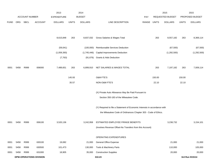|             |            |                       |                                | 2013               |              | 2014           |                                                                           |            |              | 2015             |              | 2015            |
|-------------|------------|-----------------------|--------------------------------|--------------------|--------------|----------------|---------------------------------------------------------------------------|------------|--------------|------------------|--------------|-----------------|
|             |            | <b>ACCOUNT NUMBER</b> |                                | <b>EXPENDITURE</b> |              | <b>BUDGET</b>  |                                                                           | <b>PAY</b> |              | REQUESTED BUDGET |              | PROPOSED BUDGET |
| <b>FUND</b> | <b>ORG</b> | SBCL                  | <b>ACCOUNT</b>                 | <b>DOLLARS</b>     | <b>UNITS</b> | <b>DOLLARS</b> | LINE DESCRIPTION                                                          | RANGE      | <b>UNITS</b> | <b>DOLLARS</b>   | <b>UNITS</b> | <b>DOLLARS</b>  |
|             |            |                       |                                |                    |              |                |                                                                           |            |              |                  |              |                 |
|             |            |                       |                                |                    |              |                |                                                                           |            |              |                  |              |                 |
|             |            |                       |                                | 8,615,848          | 263          | 8,837,032      | Gross Salaries & Wages Total                                              |            | 263          | 8,557,182        | 263          | 8,369,114       |
|             |            |                       |                                | (59,041)           |              | (100,000)      | Reimbursable Services Deduction                                           |            |              | (67, 500)        |              | (67, 500)       |
|             |            |                       |                                | (1,059,393)        |              | (1,745,446)    | <b>Capital Improvements Deduction</b>                                     |            |              | (1,292,500)      |              | (1, 292, 500)   |
|             |            |                       |                                | (7, 763)           |              | (91, 676)      | Grants & Aids Deduction                                                   |            |              |                  |              |                 |
|             |            |                       |                                |                    |              |                |                                                                           |            |              |                  |              |                 |
| 0001        | 5458       | R999                  | 006000                         | 7,489,651          | 263          | 6,899,910      | NET SALARIES & WAGES TOTAL                                                |            | 263          | 7,197,182        | 263          | 7,009,114       |
|             |            |                       |                                |                    |              |                |                                                                           |            |              |                  |              |                 |
|             |            |                       |                                |                    | 145.93       |                | <b>O&amp;M FTE'S</b>                                                      |            | 150.00       |                  | 150.00       |                 |
|             |            |                       |                                |                    | 35.57        |                | NON-O&M FTE'S                                                             |            | 22.10        |                  | 22.10        |                 |
|             |            |                       |                                |                    |              |                |                                                                           |            |              |                  |              |                 |
|             |            |                       |                                |                    |              |                | (X) Private Auto Allowance May Be Paid Pursuant to                        |            |              |                  |              |                 |
|             |            |                       |                                |                    |              |                | Section 350-183 of the Milwaukee Code.                                    |            |              |                  |              |                 |
|             |            |                       |                                |                    |              |                |                                                                           |            |              |                  |              |                 |
|             |            |                       |                                |                    |              |                | (Y) Required to file a Statement of Economic Interests in accordance with |            |              |                  |              |                 |
|             |            |                       |                                |                    |              |                | the Milwaukee Code of Ordinances Chapter 303 - Code of Ethics.            |            |              |                  |              |                 |
| 0001        | 5458       | R999                  | 006100                         | 3,520,136          |              | 3,242,958      | ESTIMATED EMPLOYEE FRINGE BENEFITS                                        |            |              | 3,238,732        |              | 3,154,101       |
|             |            |                       |                                |                    |              |                | (Involves Revenue Offset-No Transfers from this Account)                  |            |              |                  |              |                 |
|             |            |                       |                                |                    |              |                |                                                                           |            |              |                  |              |                 |
|             |            |                       |                                |                    |              |                | OPERATING EXPENDITURES                                                    |            |              |                  |              |                 |
| 0001        | 5458       | R999                  | 630100                         | 19,082             |              | 21,000         | General Office Expense                                                    |            |              | 21,000           |              | 21,000          |
| 0001        | 5458       | R999                  | 630500                         | 101,473            |              | 130,000        | Tools & Machinery Parts                                                   |            |              | 110,000          |              | 105,000         |
| 0001        | 5458       | R999                  | 631000                         | 18,905             |              | 35,000         | <b>Construction Supplies</b>                                              |            |              | 20,000           |              | 20,000          |
|             |            |                       | <b>DPW-OPERATIONS DIVISION</b> |                    |              |                | 310.23                                                                    |            |              |                  |              | 3rd Run 9/15/14 |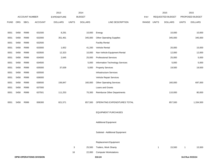|             |      |                       |                                | 2013               |              | 2014           |                                    |       |              | 2015             |              | 2015            |
|-------------|------|-----------------------|--------------------------------|--------------------|--------------|----------------|------------------------------------|-------|--------------|------------------|--------------|-----------------|
|             |      | <b>ACCOUNT NUMBER</b> |                                | <b>EXPENDITURE</b> |              | <b>BUDGET</b>  |                                    | PAY   |              | REQUESTED BUDGET |              | PROPOSED BUDGET |
| <b>FUND</b> | ORG  | <b>SBCL</b>           | <b>ACCOUNT</b>                 | <b>DOLLARS</b>     | <b>UNITS</b> | <b>DOLLARS</b> | LINE DESCRIPTION                   | RANGE | <b>UNITS</b> | <b>DOLLARS</b>   | <b>UNITS</b> | <b>DOLLARS</b>  |
|             |      |                       |                                |                    |              |                |                                    |       |              |                  |              |                 |
| 0001        | 5458 | R999                  | 631500                         | 8,291              |              | 10,000         | Energy                             |       |              | 10,000           |              | 10,000          |
| 0001        | 5458 | R999                  | 632000                         | 351,461            |              | 345,000        | <b>Other Operating Supplies</b>    |       |              | 345,000          |              | 345,000         |
| 0001        | 5458 | R999                  | 632500                         |                    |              |                | <b>Facility Rental</b>             |       |              |                  |              |                 |
| 0001        | 5458 | R999                  | 633000                         | 1,652              |              | 41,200         | Vehicle Rental                     |       |              | 20,000           |              | 15,000          |
| 0001        | 5458 | R999                  | 633500                         | 12,323             |              | 10,000         | Non-Vehicle Equipment Rental       |       |              | 12,000           |              | 12,000          |
| 0001        | 5458 | R999                  | 634000                         | 2,645              |              | 25,000         | <b>Professional Services</b>       |       |              | 25,000           |              | 5,000           |
| 0001        | 5458 | R999                  | 634500                         |                    |              | 5,000          | Information Technology Services    |       |              | 5,000            |              | 5,000           |
| 0001        | 5458 | R999                  | 635000                         | 37,639             |              | 5,000          | <b>Property Services</b>           |       |              | 19,500           |              | 19,500          |
| 0001        | 5458 | R999                  | 635500                         |                    |              |                | <b>Infrastructure Services</b>     |       |              |                  |              |                 |
| 0001        | 5458 | R999                  | 636000                         |                    |              |                | Vehicle Repair Services            |       |              |                  |              |                 |
| 0001        | 5458 | R999                  | 636500                         | 156,847            |              | 160,000        | <b>Other Operating Services</b>    |       |              | 160,000          |              | 697,000         |
| 0001        | 5458 | R999                  | 637000                         |                    |              |                | Loans and Grants                   |       |              |                  |              |                 |
| 0001        | 5458 | R999                  | 637501                         | 111,253            |              | 70,300         | <b>Reimburse Other Departments</b> |       |              | 110,000          |              | 80,000          |
|             |      |                       |                                |                    |              |                |                                    |       |              |                  |              |                 |
| 0001        | 5458 | R999                  | 006300                         | 821,571            |              | 857,500        | OPERATING EXPENDITURES TOTAL       |       |              | 857,500          |              | 1,334,500       |
|             |      |                       |                                |                    |              |                |                                    |       |              |                  |              |                 |
|             |      |                       |                                |                    |              |                | <b>EQUIPMENT PURCHASES</b>         |       |              |                  |              |                 |
|             |      |                       |                                |                    |              |                |                                    |       |              |                  |              |                 |
|             |      |                       |                                |                    |              |                | <b>Additional Equipment</b>        |       |              |                  |              |                 |
|             |      |                       |                                |                    |              |                |                                    |       |              |                  |              |                 |
|             |      |                       |                                |                    |              |                | Subtotal - Additional Equipment    |       |              |                  |              |                 |
|             |      |                       |                                |                    |              |                |                                    |       |              |                  |              |                 |
|             |      |                       |                                |                    |              |                | Replacement Equipment              |       |              |                  |              |                 |
|             |      |                       |                                |                    | $\mathbf{3}$ | 25,500         | Trailers, Work Shanty              |       | $\mathbf{1}$ | 15,500           | $\mathbf{1}$ | 15,500          |
|             |      |                       |                                |                    | 16           | 22,000         | <b>Computer Workstations</b>       |       |              |                  |              |                 |
|             |      |                       | <b>DPW-OPERATIONS DIVISION</b> |                    |              |                | 310.24                             |       |              |                  |              | 3rd Run 9/15/14 |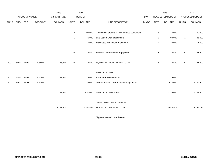|             |      |                       |                | 2013               |              | 2014           |                                             |       |                | 2015             |                | 2015            |
|-------------|------|-----------------------|----------------|--------------------|--------------|----------------|---------------------------------------------|-------|----------------|------------------|----------------|-----------------|
|             |      | <b>ACCOUNT NUMBER</b> |                | <b>EXPENDITURE</b> |              | <b>BUDGET</b>  |                                             | PAY   |                | REQUESTED BUDGET |                | PROPOSED BUDGET |
| <b>FUND</b> | ORG  | SBCL                  | <b>ACCOUNT</b> | <b>DOLLARS</b>     | <b>UNITS</b> | <b>DOLLARS</b> | LINE DESCRIPTION                            | RANGE | <b>UNITS</b>   | <b>DOLLARS</b>   | <b>UNITS</b>   | <b>DOLLARS</b>  |
|             |      |                       |                |                    |              |                |                                             |       |                |                  |                |                 |
|             |      |                       |                |                    | 3            | 105,000        | Commercial grade turf maintenance equipment |       | 3              | 75,000           | $\overline{2}$ | 50,000          |
|             |      |                       |                |                    | $\mathbf{1}$ | 45,000         | Skid Loader with attachments                |       | $\overline{2}$ | 90,000           | $\mathbf{1}$   | 45,000          |
|             |      |                       |                |                    | $\mathbf{1}$ | 17,000         | Articulated tree loader attachment          |       | $\mathbf{2}$   | 34,000           | $\mathbf{1}$   | 17,000          |
|             |      |                       |                |                    |              |                |                                             |       |                |                  |                |                 |
|             |      |                       |                |                    | 24           | 214,500        | Subtotal - Replacement Equipment            |       | 8              | 214,500          | 5              | 127,500         |
|             |      |                       |                |                    |              |                |                                             |       |                |                  |                |                 |
| 0001        | 5458 | R999                  | 006800         | 163,844            | 24           | 214,500        | EQUIPMENT PURCHASES TOTAL                   |       | 8              | 214,500          | 5              | 127,500         |
|             |      |                       |                |                    |              |                |                                             |       |                |                  |                |                 |
|             |      |                       |                |                    |              |                | SPECIAL FUNDS                               |       |                |                  |                |                 |
| 0001        | 5458 | R551                  | 006300         | 1,157,644          |              | 715,000        | Vacant Lot Maintenance*                     |       |                | 715,000          |                |                 |
| 0001        | 5458 | R553                  | 006300         |                    |              | 1,222,000      | In Rem/Vacant Lot Property Management*      |       |                | 1,618,000        |                | 2,109,500       |
|             |      |                       |                |                    |              |                |                                             |       |                |                  |                |                 |
|             |      |                       |                | 1,157,644          |              | 1,937,000      | SPECIAL FUNDS TOTAL                         |       |                | 2,333,000        |                | 2,109,500       |
|             |      |                       |                |                    |              |                |                                             |       |                |                  |                |                 |
|             |      |                       |                |                    |              |                | DPW-OPERATIONS DIVISION                     |       |                |                  |                |                 |
|             |      |                       |                | 13,152,846         |              | 13,151,868     | FORESTRY SECTION TOTAL                      |       |                | 13,840,914       |                | 13,734,715      |
|             |      |                       |                |                    |              |                |                                             |       |                |                  |                |                 |

\*Appropriation Control Account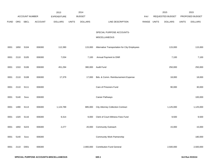|             |      |                |                | 2013               |              | 2014           |                                               |       |              | 2015             |              | 2015            |
|-------------|------|----------------|----------------|--------------------|--------------|----------------|-----------------------------------------------|-------|--------------|------------------|--------------|-----------------|
|             |      | ACCOUNT NUMBER |                | <b>EXPENDITURE</b> |              | <b>BUDGET</b>  |                                               | PAY   |              | REQUESTED BUDGET |              | PROPOSED BUDGET |
| <b>FUND</b> | ORG  | <b>SBCL</b>    | <b>ACCOUNT</b> | <b>DOLLARS</b>     | <b>UNITS</b> | <b>DOLLARS</b> | LINE DESCRIPTION                              | RANGE | <b>UNITS</b> | <b>DOLLARS</b>   | <b>UNITS</b> | <b>DOLLARS</b>  |
|             |      |                |                |                    |              |                | SPECIAL PURPOSE ACCOUNTS-                     |       |              |                  |              |                 |
|             |      |                |                |                    |              |                | MISCELLANEOUS                                 |       |              |                  |              |                 |
| 0001        | 1650 | S104           | 006300         | 112,390            |              | 115,000        | Alternative Transportation for City Employees |       |              | 115,000          |              | 115,000         |
| 0001        | 2110 | S105           | 006300         | 7,034              |              | 7,100          | Annual Payment to DNR                         |       |              | 7,100            |              | 7,100           |
| 0001        | 1310 | S106           | 006300         | 451,294            |              | 380,000        | <b>Audit Fund</b>                             |       |              | 250,000          |              | 250,000         |
| 0001        | 2110 | S108           | 006300         | 17,379             |              | 17,000         | Bds. & Comm. Reimbursement Expense            |       |              | 18,000           |              | 18,000          |
| 0001        | 2110 | S111           | 006300         |                    |              |                | Care of Prisoners Fund                        |       |              | 90,000           |              | 30,000          |
| 0001        | 5140 | Sxxx           | 006300         |                    |              |                | Career Pathways                               |       |              |                  |              | 100,000         |
| 0001        | 1490 | S113           | 006300         | 1,124,789          |              | 885,000        | <b>City Attorney Collection Contract</b>      |       |              | 1,125,000        |              | 1,125,000       |
| 0001        | 1320 | S116           | 006300         | 9,314              |              | 9,000          | Clerk of Court-Witness Fees Fund              |       |              | 9,500            |              | 9,500           |
| 0001        | 1650 | S223           | 006300         | 2,277              |              | 20,000         | <b>Community Outreach</b>                     |       |              | 15,000           |              | 15,000          |
| 0001        | 5140 | Sxxx           | 006300         |                    |              |                | <b>Community Work Partnership</b>             |       |              |                  |              | 180,000         |
| 0001        | 2110 | D001           | 006300         |                    |              | 2,900,000      | <b>Contribution Fund General</b>              |       |              | 2,500,000        |              | 2,500,000       |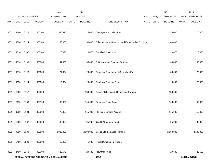|             |      |                  |                | 2013                                   |              | 2014           |                                                    |            |              | 2015             |              | 2015            |
|-------------|------|------------------|----------------|----------------------------------------|--------------|----------------|----------------------------------------------------|------------|--------------|------------------|--------------|-----------------|
|             |      | ACCOUNT NUMBER   |                | <b>EXPENDITURE</b>                     |              | <b>BUDGET</b>  |                                                    | <b>PAY</b> |              | REQUESTED BUDGET |              | PROPOSED BUDGET |
| <b>FUND</b> | ORG  | SBCL             | <b>ACCOUNT</b> | <b>DOLLARS</b>                         | <b>UNITS</b> | <b>DOLLARS</b> | LINE DESCRIPTION                                   | RANGE      | <b>UNITS</b> | <b>DOLLARS</b>   | <b>UNITS</b> | <b>DOLLARS</b>  |
| 0001        | 1490 | S118             | 006300         | 1,340,810                              |              | 1,225,000      | Damages and Claims Fund                            |            |              | 1,225,000        |              | 1,225,000       |
| 0001        | 1320 | S214             | 006300         | 50,000                                 |              | 50,000         | Drivers License Recovery and Employability Program |            |              | 100,000          |              |                 |
| 0001        | 1510 | S207             | 006300         | 26,675                                 |              | 26,675         | E-Civis Grants Locator                             |            |              | 26,675           |              | 26,675          |
| 0001        | 1510 | S199             | 006300         | 44,959                                 |              | 65,000         | E-Government Payment Systems                       |            |              | 60,000           |              | 60,000          |
| 0001        | 1310 | S <sub>123</sub> | 006300         | 21,054                                 |              | 20,000         | Economic Development Committee Fund                |            |              | 30,000           |              | 20,000          |
| 0001        | 1650 | S124             | 006300         | 19,654                                 |              | 20,000         | <b>Employee Training Fund</b>                      |            |              | 20,000           |              | 20,000          |
| 0001        | 3600 | S147             | 006300         |                                        |              | 130,000        | Essential Services & Compliance Program            |            |              | 130,000          |              |                 |
| 0001        | 2110 | S133             | 006100         | 132,632                                |              | 145,000        | Firemen's Relief Fund                              |            |              | 140,000          |              | 140,000         |
| 0001        | 1650 | S134             | 006300         | 76,863                                 |              | 115,000        | <b>Flexible Spending Account</b>                   |            |              | 115,000          |              | 115,000         |
| 0001        | 3600 | S137             | 006300         | 145,320                                |              | 95,000         | Graffiti Abatement Fund                            |            |              | 95,000           |              | 95,000          |
| 0001        | 4500 | S139             | 006100         | 2,926,036                              |              | 2,190,000      | Group Life Insurance Premium                       |            |              | 2,190,000        |              | 2,190,000       |
| 0001        | 5450 | S220             | 006300         | 15,000                                 |              | 5,000          | <b>Illegal Dumping Tip Hotline</b>                 |            |              |                  |              |                 |
| 0001        | 1490 | S143             | 006300         | 420,670                                |              | 429,689        | Insurance Fund                                     |            |              | 429,689          |              | 429,689         |
|             |      |                  |                | SPECIAL PURPOSE ACCOUNTS-MISCELLANEOUS |              |                | 320.2                                              |            |              |                  |              | 3rd Run 9/15/14 |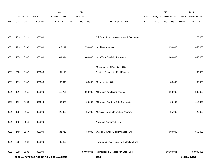|             |                                        | <b>ACCOUNT NUMBER</b> |                | 2013<br><b>EXPENDITURE</b> |              | 2014<br><b>BUDGET</b> |                                            | <b>PAY</b> |              | 2015<br>REQUESTED BUDGET |              | 2015<br>PROPOSED BUDGET |
|-------------|----------------------------------------|-----------------------|----------------|----------------------------|--------------|-----------------------|--------------------------------------------|------------|--------------|--------------------------|--------------|-------------------------|
|             |                                        | <b>SBCL</b>           | <b>ACCOUNT</b> | <b>DOLLARS</b>             | <b>UNITS</b> | <b>DOLLARS</b>        | LINE DESCRIPTION                           |            |              |                          |              | <b>DOLLARS</b>          |
| <b>FUND</b> | ORG                                    |                       |                |                            |              |                       |                                            | RANGE      | <b>UNITS</b> | <b>DOLLARS</b>           | <b>UNITS</b> |                         |
| 0001        | 1510                                   | <b>Sxxx</b>           | 006300         |                            |              |                       | Job Scan, Industry Assessment & Evaluation |            |              |                          |              | 75,000                  |
|             |                                        |                       |                |                            |              |                       |                                            |            |              |                          |              |                         |
| 0001        | 1910                                   | S209                  | 006300         | 812,117                    |              | 550,000               | <b>Land Management</b>                     |            |              | 650,000                  |              | 650,000                 |
| 0001        | 1650                                   | S145                  | 006100         | 804,844                    |              | 640,000               | Long Term Disability Insurance             |            |              | 640,000                  |              | 640,000                 |
|             |                                        |                       |                |                            |              |                       | Maintenance of Essential Utility           |            |              |                          |              |                         |
| 0001        | 3600                                   | S147                  | 006300         | 31,113                     |              |                       | Services-Residential Real Property         |            |              |                          |              | 65,000                  |
| 0001        | 1310                                   | S148                  | 006300         | 83,649                     |              | 88,000                | Memberships, City                          |            |              | 88,000                   |              | 88,000                  |
| 0001        | 1910                                   | S151                  | 006300         | 113,791                    |              | 200,000               | Milwaukee Arts Board Projects              |            |              | 200,000                  |              | 200,000                 |
| 0001        | 1910                                   | S150                  | 006300         | 93,073                     |              | 95,000                | Milwaukee Fourth of July Commission        |            |              | 95,000                   |              | 110,000                 |
| 0001        | 1320                                   | S155                  | 006300         | 425,000                    |              | 425,000               | Municipal Court Intervention Program       |            |              | 425,000                  |              | 425,000                 |
| 0001        | 1490                                   | S218                  | 006300         |                            |              |                       | Nuisance Abatement Fund                    |            |              |                          |              |                         |
| 0001        | 1490                                   | S157                  | 006300         | 531,718                    |              | 430,000               | Outside Counsel/Expert Witness Fund        |            |              | 600,000                  |              | 850,000                 |
| 0001        | 3600                                   | S162                  | 006300         | 85,496                     |              |                       | Razing and Vacant Building Protection Fund |            |              |                          |              |                         |
| 0001        | 9990                                   | S183                  | 006300         |                            |              | 50,000,001            | Reimbursable Services Advance Fund         |            |              | 50,000,001               |              | 50,000,001              |
|             | SPECIAL PURPOSE ACCOUNTS-MISCELLANEOUS |                       |                |                            |              |                       | 320.3                                      |            |              |                          |              | 3rd Run 9/15/14         |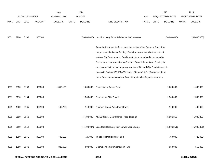|             |      | <b>ACCOUNT NUMBER</b> |                | 2013<br><b>EXPENDITURE</b> |              | 2014<br><b>BUDGET</b> |                                                                                                                                                      | <b>PAY</b> |              | 2015<br>REQUESTED BUDGET |              | 2015<br>PROPOSED BUDGET |
|-------------|------|-----------------------|----------------|----------------------------|--------------|-----------------------|------------------------------------------------------------------------------------------------------------------------------------------------------|------------|--------------|--------------------------|--------------|-------------------------|
| <b>FUND</b> | ORG  | SBCL                  | <b>ACCOUNT</b> | <b>DOLLARS</b>             | <b>UNITS</b> | <b>DOLLARS</b>        | LINE DESCRIPTION                                                                                                                                     | RANGE      | <b>UNITS</b> | <b>DOLLARS</b>           | <b>UNITS</b> | <b>DOLLARS</b>          |
|             |      |                       |                |                            |              |                       |                                                                                                                                                      |            |              |                          |              |                         |
| 0001        | 9990 | S <sub>183</sub>      | 006300         |                            |              |                       | (50,000,000) Less Recovery From Reimbursable Operations                                                                                              |            |              | (50,000,000)             |              | (50,000,000)            |
|             |      |                       |                |                            |              |                       | To authorize a specific fund under the control of the Common Council for                                                                             |            |              |                          |              |                         |
|             |      |                       |                |                            |              |                       | the purpose of advance funding of reimbursable materials & services of                                                                               |            |              |                          |              |                         |
|             |      |                       |                |                            |              |                       | various City Departments. Funds are to be appropriated to various City                                                                               |            |              |                          |              |                         |
|             |      |                       |                |                            |              |                       | Departments and Agencies by Common Council Resolution. Funding for                                                                                   |            |              |                          |              |                         |
|             |      |                       |                |                            |              |                       | this account is to be by temporary transfer of General City Funds in accord-<br>ance with Section 925-130A Wisconsin Statutes 1919. (Repayment to be |            |              |                          |              |                         |
|             |      |                       |                |                            |              |                       |                                                                                                                                                      |            |              |                          |              |                         |
|             |      |                       |                |                            |              |                       | made from revenues received from billings to other City departments.)                                                                                |            |              |                          |              |                         |
| 0001        | 9990 | S <sub>163</sub>      | 006300         | 1,855,159                  |              | 1,600,000             | Remission of Taxes Fund                                                                                                                              |            |              | 1,600,000                |              | 1,600,000               |
| 0001        | 2110 | S164                  | 006000         |                            |              | 1,500,000             | Reserve for 27th Payroll                                                                                                                             |            |              | 1,500,000                |              | 1,500,000               |
| 0001        | 4500 | S <sub>165</sub>      | 006100         | 109,779                    |              | 118,000               | Retirees Benefit Adjustment Fund                                                                                                                     |            |              | 110,000                  |              | 100,000                 |
| 0001        | 2110 | S <sub>152</sub>      | 006300         |                            |              | 44,790,095            | MMSD-Sewer User Charge- Pass Through                                                                                                                 |            |              | 45,006,352               |              | 45,006,352              |
| 0001        | 2110 | S <sub>152</sub>      | 006300         |                            |              | (44,790,094)          | Less Cost Recovery from Sewer User Charge                                                                                                            |            |              | (45,006,351)             |              | (45,006,351)            |
| 0001        | 1650 | S171                  | 006300         | 736,196                    |              | 725,000               | <b>Tuition Reimbursement Fund</b>                                                                                                                    |            |              | 750,000                  |              | 725,000                 |
| 0001        | 1650 | S172                  | 006100         | 826,690                    |              | 903,000               | Unemployment Compensation Fund                                                                                                                       |            |              | 850,000                  |              | 550,000                 |
|             |      |                       |                |                            |              |                       |                                                                                                                                                      |            |              |                          |              |                         |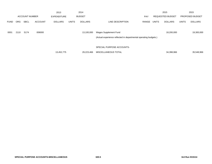|             |      |                       |                | 2013           |              | 2014           |                                                                  |       |              | 2015                    |              | 2015            |
|-------------|------|-----------------------|----------------|----------------|--------------|----------------|------------------------------------------------------------------|-------|--------------|-------------------------|--------------|-----------------|
|             |      | <b>ACCOUNT NUMBER</b> |                | EXPENDITURE    |              | <b>BUDGET</b>  |                                                                  | PAY   |              | <b>REQUESTED BUDGET</b> |              | PROPOSED BUDGET |
| <b>FUND</b> | ORG  | <b>SBCL</b>           | <b>ACCOUNT</b> | <b>DOLLARS</b> | <b>UNITS</b> | <b>DOLLARS</b> | LINE DESCRIPTION                                                 | RANGE | <b>UNITS</b> | <b>DOLLARS</b>          | <b>UNITS</b> | <b>DOLLARS</b>  |
|             |      |                       |                |                |              |                |                                                                  |       |              |                         |              |                 |
| 0001        | 2110 | S174                  | 006000         |                |              | 13,100,000     | <b>Wages Supplement Fund</b>                                     |       |              | 18,200,000              |              | 19,300,000      |
|             |      |                       |                |                |              |                | (Actual experience reflected in departmental operating budgets.) |       |              |                         |              |                 |
|             |      |                       |                |                |              |                |                                                                  |       |              |                         |              |                 |
|             |      |                       |                |                |              |                | SPECIAL PURPOSE ACCOUNTS-                                        |       |              |                         |              |                 |
|             |      |                       |                |                |              |                |                                                                  |       |              |                         |              |                 |
|             |      |                       |                | 13,452,775     |              | 29,223,466     | MISCELLANEOUS TOTAL                                              |       |              | 34,398,966              |              | 35,548,966      |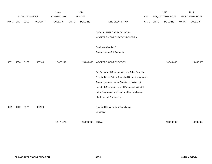|             |      |                |                | 2013               |              | 2014           |                                                     |            |              | 2015                    |              | 2015            |
|-------------|------|----------------|----------------|--------------------|--------------|----------------|-----------------------------------------------------|------------|--------------|-------------------------|--------------|-----------------|
|             |      | ACCOUNT NUMBER |                | <b>EXPENDITURE</b> |              | <b>BUDGET</b>  |                                                     | <b>PAY</b> |              | <b>REQUESTED BUDGET</b> |              | PROPOSED BUDGET |
| <b>FUND</b> | ORG  | SBCL           | <b>ACCOUNT</b> | <b>DOLLARS</b>     | <b>UNITS</b> | <b>DOLLARS</b> | LINE DESCRIPTION                                    | RANGE      | <b>UNITS</b> | <b>DOLLARS</b>          | <b>UNITS</b> | <b>DOLLARS</b>  |
|             |      |                |                |                    |              |                |                                                     |            |              |                         |              |                 |
|             |      |                |                |                    |              |                | SPECIAL PURPOSE ACCOUNTS -                          |            |              |                         |              |                 |
|             |      |                |                |                    |              |                | <b>WORKERS' COMPENSATION BENEFITS</b>               |            |              |                         |              |                 |
|             |      |                |                |                    |              |                |                                                     |            |              |                         |              |                 |
|             |      |                |                |                    |              |                | Employees Workers'                                  |            |              |                         |              |                 |
|             |      |                |                |                    |              |                | <b>Compensation Sub Accounts</b>                    |            |              |                         |              |                 |
|             |      |                |                |                    |              |                |                                                     |            |              |                         |              |                 |
| 0001        | 1650 | S176           | 006100         | 12,476,141         |              | 15,000,000     | <b>WORKERS' COMPENSATION</b>                        |            |              | 13,500,000              |              | 13,000,000      |
|             |      |                |                |                    |              |                |                                                     |            |              |                         |              |                 |
|             |      |                |                |                    |              |                | For Payment of Compensation and Other Benefits      |            |              |                         |              |                 |
|             |      |                |                |                    |              |                | Required to be Paid or Furnished Under the Worker's |            |              |                         |              |                 |
|             |      |                |                |                    |              |                | Compensation Act or by Directions of Wisconsin      |            |              |                         |              |                 |
|             |      |                |                |                    |              |                | Industrial Commission and of Expenses Incidental    |            |              |                         |              |                 |
|             |      |                |                |                    |              |                | to the Preparation and Hearing of Matters Before    |            |              |                         |              |                 |
|             |      |                |                |                    |              |                | the Industrial Commission.                          |            |              |                         |              |                 |
|             |      |                |                |                    |              |                |                                                     |            |              |                         |              |                 |
| 0001        | 1650 | S177           | 006100         |                    |              |                | Required Employer Law Compliance                    |            |              |                         |              |                 |
|             |      |                |                |                    |              |                | Expenses                                            |            |              |                         |              |                 |
|             |      |                |                |                    |              |                |                                                     |            |              |                         |              |                 |
|             |      |                |                | 12,476,141         |              | 15,000,000     | <b>TOTAL</b>                                        |            |              | 13,500,000              |              | 13,000,000      |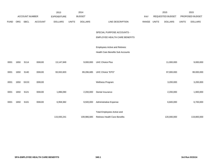|             |            |                  |                | 2013               |              | 2014           |                                          |       |              | 2015             |              | 2015            |
|-------------|------------|------------------|----------------|--------------------|--------------|----------------|------------------------------------------|-------|--------------|------------------|--------------|-----------------|
|             |            | ACCOUNT NUMBER   |                | <b>EXPENDITURE</b> |              | <b>BUDGET</b>  |                                          | PAY   |              | REQUESTED BUDGET |              | PROPOSED BUDGET |
| <b>FUND</b> | <b>ORG</b> | SBCL             | <b>ACCOUNT</b> | <b>DOLLARS</b>     | <b>UNITS</b> | <b>DOLLARS</b> | LINE DESCRIPTION                         | RANGE | <b>UNITS</b> | <b>DOLLARS</b>   | <b>UNITS</b> | <b>DOLLARS</b>  |
|             |            |                  |                |                    |              |                |                                          |       |              |                  |              |                 |
|             |            |                  |                |                    |              |                | SPECIAL PURPOSE ACCOUNTS -               |       |              |                  |              |                 |
|             |            |                  |                |                    |              |                | EMPLOYEE HEALTH CARE BENEFITS            |       |              |                  |              |                 |
|             |            |                  |                |                    |              |                |                                          |       |              |                  |              |                 |
|             |            |                  |                |                    |              |                | <b>Employees Active and Retirees</b>     |       |              |                  |              |                 |
|             |            |                  |                |                    |              |                | <b>Health Care Benefits Sub Accounts</b> |       |              |                  |              |                 |
|             |            |                  |                |                    |              |                |                                          |       |              |                  |              |                 |
| 0001        | 1650       | S114             | 006100         | 13,147,949         |              | 9,000,000      | <b>UHC Choice Plus</b>                   |       |              | 11,000,000       |              | 9,000,000       |
|             |            |                  |                |                    |              |                |                                          |       |              |                  |              |                 |
| 0001        | 1650       | S140             | 006100         | 93,932,820         |              | 89,286,685     | UHC Choice "EPO"                         |       |              | 97,000,000       |              | 99,000,000      |
|             |            |                  |                |                    |              |                |                                          |       |              |                  |              |                 |
| 0001        | 1650       | <b>SXXX</b>      | 006100         |                    |              |                | Wellness Program                         |       |              | 3,200,000        |              | 3,200,000       |
|             |            |                  |                |                    |              |                |                                          |       |              |                  |              |                 |
| 0001        | 1650       | S121             | 006100         | 1,896,090          |              | 2,200,000      | Dental Insurance                         |       |              | 2,200,000        |              | 1,900,000       |
|             |            |                  |                |                    |              |                |                                          |       |              |                  |              |                 |
| 0001        | 1650       | S <sub>101</sub> | 006100         | 6,958,382          |              | 9,500,000      | Administrative Expense                   |       |              | 6,600,000        |              | 6,700,000       |
|             |            |                  |                |                    |              |                |                                          |       |              |                  |              |                 |
|             |            |                  |                |                    |              |                | Total Employees Active and               |       |              |                  |              |                 |
|             |            |                  |                | 115,935,241        |              | 109,986,685    | <b>Retirees Health Care Benefits</b>     |       |              | 120,000,000      |              | 119,800,000     |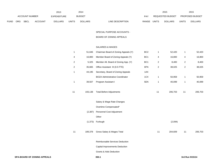|             |                       |             |                    | 2013           |               | 2014           |                           | 2015                    |                        | 2015           |
|-------------|-----------------------|-------------|--------------------|----------------|---------------|----------------|---------------------------|-------------------------|------------------------|----------------|
|             | <b>ACCOUNT NUMBER</b> |             | <b>EXPENDITURE</b> |                | <b>BUDGET</b> | PAY            | <b>REQUESTED BUDGET</b>   |                         | <b>PROPOSED BUDGET</b> |                |
| <b>FUND</b> | ORG                   | <b>SBCL</b> | ACCOUNT            | <b>DOLLARS</b> | <b>UNITS</b>  | <b>DOLLARS</b> | RANGE<br>LINE DESCRIPTION | UNITS<br><b>DOLLARS</b> | UNITS                  | <b>DOLLARS</b> |

SPECIAL PURPOSE ACCOUNTS -

### BOARD OF ZONING APPEALS

## SALARIES & WAGES

| 1            | 51,646   | Chairman Board of Zoning Appeals (Y)   | BC <sub>2</sub> | 1              | 52,420  | 1              | 52,420  |
|--------------|----------|----------------------------------------|-----------------|----------------|---------|----------------|---------|
| 4            | 16,800   | Member Board of Zoning Appeals (Y)     | BC <sub>1</sub> | 4              | 16,800  | 4              | 16,800  |
| $\sqrt{2}$   | 5,325    | Member Alt. Board of Zoning App. (Y)   | BC <sub>1</sub> | 2              | 8,400   | $\overline{c}$ | 8,400   |
| 2            | 35,665   | Office Assistant III (0.5 FTE)         | 6FN             | $\overline{c}$ | 38,025  | $\overline{c}$ | 38,025  |
| $\mathbf{1}$ | 44,195   | Secretary, Board of Zoning Appeals     | 1AX             |                |         |                |         |
|              |          | <b>BOZA Administrative Coordinator</b> | 1CX             | 1              | 50,959  | 1              | 50,959  |
| 1            | 39,507   | Program Assistant I                    | 5EN             | 1              | 40,099  | $\mathbf{1}$   | 40,099  |
|              |          |                                        |                 |                |         |                |         |
| 11           | 193,138  | <b>Total Before Adjustments</b>        |                 | 11             | 206,703 | 11             | 206,703 |
|              |          |                                        |                 |                |         |                |         |
|              |          | Salary & Wage Rate Changes             |                 |                |         |                |         |
|              |          | Overtime Compensated*                  |                 |                |         |                |         |
|              | (2, 387) | Personnel Cost Adjustment              |                 |                |         |                |         |
|              |          | Other                                  |                 |                |         |                |         |
|              | (1, 373) | Furlough                               |                 |                | (2,094) |                |         |
|              |          |                                        |                 |                |         |                |         |
| 11           | 189,378  | Gross Salary & Wages Total             |                 | 11             | 204,609 | 11             | 206,703 |
|              |          |                                        |                 |                |         |                |         |
|              |          | Reimbursable Services Deduction        |                 |                |         |                |         |
|              |          | Capital Improvements Deduction         |                 |                |         |                |         |
|              |          | <b>Grants &amp; Aids Deduction</b>     |                 |                |         |                |         |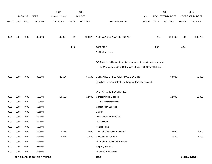|             |      |                       |                             | 2013               |              | 2014           |                                                                           |             |      | 2015             |              | 2015            |
|-------------|------|-----------------------|-----------------------------|--------------------|--------------|----------------|---------------------------------------------------------------------------|-------------|------|------------------|--------------|-----------------|
|             |      | <b>ACCOUNT NUMBER</b> |                             | <b>EXPENDITURE</b> |              | <b>BUDGET</b>  |                                                                           | PAY         |      | REQUESTED BUDGET |              | PROPOSED BUDGET |
| <b>FUND</b> | ORG  | SBCL                  | <b>ACCOUNT</b>              | <b>DOLLARS</b>     | <b>UNITS</b> | <b>DOLLARS</b> | LINE DESCRIPTION                                                          | RANGE UNITS |      | <b>DOLLARS</b>   | <b>UNITS</b> | <b>DOLLARS</b>  |
|             |      |                       |                             |                    |              |                |                                                                           |             |      |                  |              |                 |
| 0001        | 0960 | R999                  | 006000                      | 189,999            | 11           | 189,378        | NET SALARIES & WAGES TOTAL*                                               |             | 11   | 204,609          | 11           | 206,703         |
|             |      |                       |                             |                    |              |                |                                                                           |             |      |                  |              |                 |
|             |      |                       |                             |                    | 4.00         |                | O&M FTE'S                                                                 |             | 4.00 |                  | 4.00         |                 |
|             |      |                       |                             |                    |              |                | NON-O&M FTE'S                                                             |             |      |                  |              |                 |
|             |      |                       |                             |                    |              |                | (Y) Required to file a statement of economic interests in accordance with |             |      |                  |              |                 |
|             |      |                       |                             |                    |              |                | the Milwaukee Code of Ordinances Chapter 303-Code of Ethics.              |             |      |                  |              |                 |
|             |      |                       |                             |                    |              |                |                                                                           |             |      |                  |              |                 |
| 0001        | 0960 | R999                  | 006100                      | 20,534             |              | 56,103         | ESTIMATED EMPLOYEE FRINGE BENEFITS                                        |             |      | 58,089           |              | 58,089          |
|             |      |                       |                             |                    |              |                | (Involves Revenue Offset - No Transfer from this Account)                 |             |      |                  |              |                 |
|             |      |                       |                             |                    |              |                |                                                                           |             |      |                  |              |                 |
|             |      |                       |                             |                    |              |                | OPERATING EXPENDITURES                                                    |             |      |                  |              |                 |
| 0001        | 0960 | R999                  | 630100                      | 14,507             |              | 12,000         | General Office Expense                                                    |             |      | 12,000           |              | 12,000          |
| 0001        | 0960 | R999                  | 630500                      |                    |              |                | Tools & Machinery Parts                                                   |             |      |                  |              |                 |
| 0001        | 0960 | R999                  | 631000                      |                    |              |                | <b>Construction Supplies</b>                                              |             |      |                  |              |                 |
| 0001        | 0960 | R999                  | 631500                      |                    |              |                | Energy                                                                    |             |      |                  |              |                 |
| 0001        | 0960 | R999                  | 632000                      |                    |              |                | <b>Other Operating Supplies</b>                                           |             |      |                  |              |                 |
| 0001        | 0960 | R999                  | 632500                      |                    |              |                | <b>Facility Rental</b>                                                    |             |      |                  |              |                 |
| 0001        | 0960 | R999                  | 633000                      |                    |              |                | Vehicle Rental                                                            |             |      |                  |              |                 |
| 0001        | 0960 | R999                  | 633500                      | 4,714              |              | 4,920          | Non-Vehicle Equipment Rental                                              |             |      | 4,920            |              | 4,920           |
| 0001        | 0960 | R999                  | 634000                      | 5,444              |              | 11,500         | <b>Professional Services</b>                                              |             |      | 11,500           |              | 11,500          |
| 0001        | 0960 | R999                  | 634500                      |                    |              |                | Information Technology Services                                           |             |      |                  |              |                 |
| 0001        | 0960 | R999                  | 635000                      |                    |              |                | <b>Property Services</b>                                                  |             |      |                  |              |                 |
| 0001        | 0960 | R999                  | 635500                      |                    |              |                | Infrastructure Services                                                   |             |      |                  |              |                 |
|             |      |                       | SPA-BOARD OF ZONING APPEALS |                    |              |                | 350.2                                                                     |             |      |                  |              | 3rd Run 9/15/14 |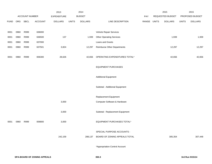|             |      |                |         | 2013               |              | 2014           |                                    |             | 2015             |              | 2015            |
|-------------|------|----------------|---------|--------------------|--------------|----------------|------------------------------------|-------------|------------------|--------------|-----------------|
|             |      | ACCOUNT NUMBER |         | <b>EXPENDITURE</b> |              | <b>BUDGET</b>  |                                    | PAY         | REQUESTED BUDGET |              | PROPOSED BUDGET |
| <b>FUND</b> |      | ORG SBCL       | ACCOUNT | <b>DOLLARS</b>     | <b>UNITS</b> | <b>DOLLARS</b> | LINE DESCRIPTION                   | RANGE UNITS | <b>DOLLARS</b>   | <b>UNITS</b> | <b>DOLLARS</b>  |
|             |      |                |         |                    |              |                |                                    |             |                  |              |                 |
| 0001        | 0960 | R999           | 636000  |                    |              |                | Vehicle Repair Services            |             |                  |              |                 |
| 0001        | 0960 | R999           | 636500  | 137                |              | 1,939          | <b>Other Operating Services</b>    |             | 1,939            |              | 1,939           |
| 0001        | 0960 | R999           | 637000  |                    |              |                | Loans and Grants                   |             |                  |              |                 |
| 0001        | 0960 | R999           | 637501  | 3,824              |              | 12,297         | <b>Reimburse Other Departments</b> |             | 12,297           |              | 12,297          |
|             |      |                |         |                    |              |                |                                    |             |                  |              |                 |
| 0001        | 0960 | R999           | 006300  | 28,626             |              | 42,656         | OPERATING EXPENDITURES TOTAL*      |             | 42,656           |              | 42,656          |
|             |      |                |         |                    |              |                |                                    |             |                  |              |                 |
|             |      |                |         |                    |              |                | <b>EQUIPMENT PURCHASES</b>         |             |                  |              |                 |
|             |      |                |         |                    |              |                |                                    |             |                  |              |                 |
|             |      |                |         |                    |              |                | <b>Additional Equipment</b>        |             |                  |              |                 |
|             |      |                |         |                    |              |                | Subtotal - Additional Equipment    |             |                  |              |                 |
|             |      |                |         |                    |              |                |                                    |             |                  |              |                 |
|             |      |                |         |                    |              |                | Replacement Equipment              |             |                  |              |                 |
|             |      |                |         | 3,000              |              |                | Computer Software & Hardware       |             |                  |              |                 |
|             |      |                |         |                    |              |                |                                    |             |                  |              |                 |
|             |      |                |         | 3,000              |              |                | Subtotal - Replacement Equipment   |             |                  |              |                 |
|             |      |                |         |                    |              |                |                                    |             |                  |              |                 |
| 0001        | 0960 | R999           | 006800  | 3,000              |              |                | EQUIPMENT PURCHASES TOTAL*         |             |                  |              |                 |
|             |      |                |         |                    |              |                |                                    |             |                  |              |                 |
|             |      |                |         |                    |              |                | SPECIAL PURPOSE ACCOUNTS -         |             |                  |              |                 |
|             |      |                |         | 242,159            |              | 288,137        | BOARD OF ZONING APPEALS TOTAL      |             | 305,354          |              | 307,448         |
|             |      |                |         |                    |              |                |                                    |             |                  |              |                 |
|             |      |                |         |                    |              |                | *Appropriation Control Account     |             |                  |              |                 |
|             |      |                |         |                    |              |                |                                    |             |                  |              |                 |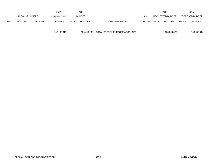|             |            |                       |                | 2013           |              | 2014          |                  |            |              | 2015                    |              | 2015            |
|-------------|------------|-----------------------|----------------|----------------|--------------|---------------|------------------|------------|--------------|-------------------------|--------------|-----------------|
|             |            | <b>ACCOUNT NUMBER</b> |                | EXPENDITURE    |              | <b>BUDGET</b> |                  | <b>PAY</b> |              | <b>REQUESTED BUDGET</b> |              | PROPOSED BUDGET |
| <b>FUND</b> | <b>ORG</b> | SBCL                  | <b>ACCOUNT</b> | <b>DOLLARS</b> | <b>UNITS</b> | DOLLARS       | LINE DESCRIPTION | RANGE      | <b>UNITS</b> | <b>DOLLARS</b>          | <b>UNITS</b> | <b>DOLLARS</b>  |

142,106,316 154,498,288 TOTAL SPECIAL PURPOSE ACCOUNTS 168,204,320 168,656,414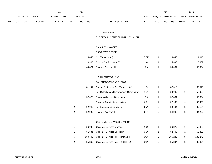|             |                       |             |                    | 2013           |               | 2014           |                           |                  | 2015           |                        | 2015           |
|-------------|-----------------------|-------------|--------------------|----------------|---------------|----------------|---------------------------|------------------|----------------|------------------------|----------------|
|             | <b>ACCOUNT NUMBER</b> |             | <b>EXPENDITURE</b> |                | <b>BUDGET</b> | PAY            |                           | REQUESTED BUDGET |                | <b>PROPOSED BUDGET</b> |                |
| <b>FUND</b> | <b>ORG</b>            | <b>SBCL</b> | <b>ACCOUNT</b>     | <b>DOLLARS</b> | <b>UNITS</b>  | <b>DOLLARS</b> | RANGE<br>LINE DESCRIPTION | UNITS            | <b>DOLLARS</b> | <b>UNITS</b>           | <b>DOLLARS</b> |

#### CITY TREASURER

BUDGETARY CONTROL UNIT (1BCU=1DU)

## SALARIES & WAGES

# EXECUTIVE OFFICE

| 114.040 | City Treasurer (Y)        | EOE | 114.040 | 114.040 |
|---------|---------------------------|-----|---------|---------|
| 113.983 | Deputy City Treasurer (Y) | 1KX | 115.692 | 115.692 |
| 49,324  | Program Assistant III     | 5IN | 50,064  | 50,064  |

## ADMINISTRATION AND

#### TAX ENFORCEMENT DIVISION

|                | 81.291 | Special Asst. to the City Treasurer (Y)    | 1FX |   | 82.510 |   | 82,510 |
|----------------|--------|--------------------------------------------|-----|---|--------|---|--------|
|                |        | Tax Collection and Enforcement Coordinator | 1EX |   | 58,039 | 1 | 58,039 |
| 1              | 57.028 | <b>Business Systems Coordinator</b>        | 2IX |   | 57,884 |   | 57,884 |
|                |        | Network Coordinator-Associate              | 2EX |   | 57,688 | 1 | 57,688 |
| 2              | 92,042 | <b>Tax Enforcement Specialist</b>          | 6NN | 2 | 89,134 | 2 | 89,134 |
| $\overline{2}$ | 82,990 | Program Assistant II                       | 5FN | 2 | 84,236 | 2 | 84,236 |
|                |        |                                            |     |   |        |   |        |
|                |        | <b>CUSTOMER SERVICES DIVISION</b>          |     |   |        |   |        |
|                |        |                                            |     |   |        |   |        |

|   | 56.038  | <b>Customer Services Manager</b>    | 1DX | 56.879  |   | 56.879  |
|---|---------|-------------------------------------|-----|---------|---|---------|
|   | 51.631  | <b>Customer Services Specialist</b> | 1BX | 52.405  |   | 52.405  |
| 5 | 180.700 | Customer Service Representative II  | 6GN | 186.245 | 5 | 186,245 |
| 2 | 35.362  | Customer Service Rep. II (0.53 FTE) | 6GN | 35.894  |   | 35.894  |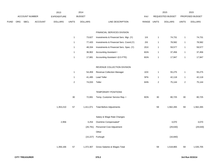|      |     |                |         | 2013               |                | 2014           |                                         |             |                | 2015             |                | 2015            |
|------|-----|----------------|---------|--------------------|----------------|----------------|-----------------------------------------|-------------|----------------|------------------|----------------|-----------------|
|      |     | ACCOUNT NUMBER |         | <b>EXPENDITURE</b> |                | <b>BUDGET</b>  |                                         | PAY         |                | REQUESTED BUDGET |                | PROPOSED BUDGET |
| FUND | ORG | SBCL           | ACCOUNT | <b>DOLLARS</b>     | <b>UNITS</b>   | <b>DOLLARS</b> | LINE DESCRIPTION                        | RANGE UNITS |                | <b>DOLLARS</b>   | <b>UNITS</b>   | <b>DOLLARS</b>  |
|      |     |                |         |                    |                |                |                                         |             |                |                  |                |                 |
|      |     |                |         |                    |                |                | FINANCIAL SERVICES DIVISION             |             |                |                  |                |                 |
|      |     |                |         |                    | $\mathbf{1}$   | 73,627         | Investments & Financial Serv. Mgr. (Y)  | 11X         | $\mathbf{1}$   | 74,731           | $\mathbf{1}$   | 74,731          |
|      |     |                |         |                    | $\mathbf{1}$   | 77,420         | Investments & Financial Serv. Coord.(Y) | 2IX         | $\overline{1}$ | 78,582           | $\mathbf{1}$   | 78,582          |
|      |     |                |         |                    | $\mathbf{1}$   | 48,334         | Investments & Financial Serv. Spec. (Y) | 2GX         | $\overline{1}$ | 59,577           | $\mathbf{1}$   | 59,577          |
|      |     |                |         |                    | $\mathbf{1}$   | 36,902         | <b>Accounting Assistant I</b>           | 6GN         | $\overline{1}$ | 37,456           | $\mathbf{1}$   | 37,456          |
|      |     |                |         |                    | $\mathbf{1}$   | 17,681         | Accounting Assistant I (0.5 FTE)        | 6GN         | $\mathbf{1}$   | 17,947           | $\mathbf{1}$   | 17,947          |
|      |     |                |         |                    |                |                | REVENUE COLLECTION DIVISION             |             |                |                  |                |                 |
|      |     |                |         |                    | $\mathbf{1}$   | 54,459         | Revenue Collection Manager              | 1DX         | $\overline{1}$ | 55,275           | $\mathbf{1}$   | 55,275          |
|      |     |                |         |                    | $\mathbf{1}$   | 41,495         | <b>Lead Teller</b>                      | 5FN         | $\mathbf{1}$   | 42,118           | $\mathbf{1}$   | 42,118          |
|      |     |                |         |                    |                |                |                                         |             |                |                  |                |                 |
|      |     |                |         |                    | $\overline{2}$ | 74,033         | Teller                                  | 6HN         | $\sqrt{2}$     | 75,144           | $\overline{2}$ | 75,144          |
|      |     |                |         |                    |                |                | TEMPORARY POSITIONS                     |             |                |                  |                |                 |
|      |     |                |         |                    | 30             | 72,691         | Temp. Customer Service Rep. I           | 9ON         | $30\,$         | 80,725           | 30             | 80,725          |
|      |     |                |         | 1,353,210          | 57             | 1,411,071      | <b>Total Before Adjustments</b>         |             | 59             | 1,562,265        | 59             | 1,562,265       |
|      |     |                |         |                    |                |                |                                         |             |                |                  |                |                 |
|      |     |                |         |                    |                |                | Salary & Wage Rate Changes              |             |                |                  |                |                 |
|      |     |                |         | 2,956              |                | 3,254          | Overtime Compensated*                   |             |                | 3,070            |                | 3,070           |
|      |     |                |         |                    |                | (26, 791)      | Personnel Cost Adjustment               |             |                | (29, 630)        |                | (29, 630)       |
|      |     |                |         |                    |                |                | Other                                   |             |                |                  |                |                 |
|      |     |                |         |                    |                | (15, 227)      | Furlough                                |             |                | (16, 840)        |                |                 |
|      |     |                |         | 1,356,166          | 57             | 1,372,307      | Gross Salaries & Wages Total            |             | 59             | 1,518,865        | 59             | 1,535,705       |
|      |     |                |         |                    |                |                |                                         |             |                |                  |                |                 |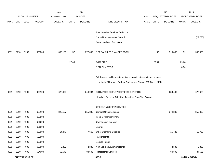|             |      |                       |                | 2013               |              | 2014           |                                                                      |            |              | 2015             |              | 2015            |
|-------------|------|-----------------------|----------------|--------------------|--------------|----------------|----------------------------------------------------------------------|------------|--------------|------------------|--------------|-----------------|
|             |      | <b>ACCOUNT NUMBER</b> |                | <b>EXPENDITURE</b> |              | <b>BUDGET</b>  |                                                                      | <b>PAY</b> |              | REQUESTED BUDGET |              | PROPOSED BUDGET |
| <b>FUND</b> | ORG  | SBCL                  | <b>ACCOUNT</b> | <b>DOLLARS</b>     | <b>UNITS</b> | <b>DOLLARS</b> | LINE DESCRIPTION                                                     | RANGE      | <b>UNITS</b> | <b>DOLLARS</b>   | <b>UNITS</b> | <b>DOLLARS</b>  |
|             |      |                       |                |                    |              |                |                                                                      |            |              |                  |              |                 |
|             |      |                       |                |                    |              |                | Reimbursable Services Deduction                                      |            |              |                  |              |                 |
|             |      |                       |                |                    |              |                | Capital Improvements Deduction                                       |            |              |                  |              | (29, 730)       |
|             |      |                       |                |                    |              |                | Grants and Aids Deduction                                            |            |              |                  |              |                 |
| 0001        | 2210 | R999                  | 006000         | 1,356,166          | 57           | 1,372,307      | NET SALARIES & WAGES TOTAL*                                          |            | 59           | 1,518,865        | 59           | 1,505,975       |
|             |      |                       |                |                    |              |                |                                                                      |            |              |                  |              |                 |
|             |      |                       |                |                    | 27.45        |                | <b>O&amp;M FTE'S</b>                                                 |            | 29.64        |                  | 29.68        |                 |
|             |      |                       |                |                    |              |                | NON-O&M FTE'S                                                        |            |              |                  | 0.30         |                 |
|             |      |                       |                |                    |              |                | (Y) Required to file a statement of economic interests in accordance |            |              |                  |              |                 |
|             |      |                       |                |                    |              |                | with the Milwaukee Code of Ordinances Chapter 303-Code of Ethics.    |            |              |                  |              |                 |
|             |      |                       |                |                    |              |                |                                                                      |            |              |                  |              |                 |
| 0001        | 2210 | R999                  | 006100         | 628,422            |              | 644,984        | ESTIMATED EMPLOYEE FRINGE BENEFITS                                   |            |              | 683,490          |              | 677,689         |
|             |      |                       |                |                    |              |                | (Involves Revenue Offset-No Transfers From This Account)             |            |              |                  |              |                 |
|             |      |                       |                |                    |              |                |                                                                      |            |              |                  |              |                 |
|             |      |                       |                |                    |              |                | OPERATING EXPENDITURES                                               |            |              |                  |              |                 |
| 0001        | 2210 | R999                  | 630100         | 323,157            |              | 355,880        | General Office Expense                                               |            |              | 374,230          |              | 359,830         |
| 0001        | 2210 | R999                  | 630500         |                    |              |                | Tools & Machinery Parts                                              |            |              |                  |              |                 |
| 0001        | 2210 | R999                  | 631000         |                    |              |                | <b>Construction Supplies</b>                                         |            |              |                  |              |                 |
| 0001        | 2210 | R999                  | 631500         |                    |              |                | Energy                                                               |            |              |                  |              |                 |
| 0001        | 2210 | R999                  | 632000         | 14,479             |              | 7,663          | <b>Other Operating Supplies</b>                                      |            |              | 15,720           |              | 15,720          |
| 0001        | 2210 | R999                  | 632500         |                    |              |                | <b>Facility Rental</b>                                               |            |              |                  |              |                 |
| 0001        | 2210 | R999                  | 633000         |                    |              |                | Vehicle Rental                                                       |            |              |                  |              |                 |
| 0001        | 2210 | R999                  | 633500         | 2,397              |              | 2,380          | Non-Vehicle Equipment Rental                                         |            |              | 2,380            |              | 2,380           |
| 0001        | 2210 | R999                  | 634000         | 68,648             |              | 84,505         | <b>Professional Services</b>                                         |            |              | 84,505           |              | 84,505          |
|             |      | <b>CITY TREASURER</b> |                |                    |              |                | 370.3                                                                |            |              |                  |              | 3rd Run 9/15/14 |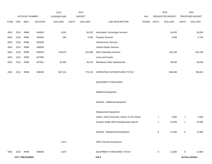|             |      |                       |                | 2013               |              | 2014           |                                                |       |                | 2015             |                  | 2015            |
|-------------|------|-----------------------|----------------|--------------------|--------------|----------------|------------------------------------------------|-------|----------------|------------------|------------------|-----------------|
|             |      | ACCOUNT NUMBER        |                | <b>EXPENDITURE</b> |              | <b>BUDGET</b>  |                                                | PAY   |                | REQUESTED BUDGET |                  | PROPOSED BUDGET |
| <b>FUND</b> | ORG  | <b>SBCL</b>           | <b>ACCOUNT</b> | <b>DOLLARS</b>     | <b>UNITS</b> | <b>DOLLARS</b> | LINE DESCRIPTION                               | RANGE | <b>UNITS</b>   | <b>DOLLARS</b>   | <b>UNITS</b>     | <b>DOLLARS</b>  |
|             |      |                       |                |                    |              |                |                                                |       |                |                  |                  |                 |
| 0001        | 2210 | R999                  | 634500         | 4,291              |              | 40,225         | <b>Information Technology Services</b>         |       |                | 54,325           |                  | 45,000          |
| 0001        | 2210 | R999                  | 635000         | 539                |              | 4,300          | <b>Property Services</b>                       |       |                | 4,300            |                  | 2,150           |
| 0001        | 2210 | R999                  | 635500         |                    |              |                | <b>Infrastructure Services</b>                 |       |                |                  |                  |                 |
| 0001        | 2210 | R999                  | 636000         |                    |              |                | Vehicle Repair Services                        |       |                |                  |                  |                 |
| 0001        | 2210 | R999                  | 636500         | 218,670            |              | 241,895        | <b>Other Operating Services</b>                |       |                | 235,195          |                  | 235,195         |
| 0001        | 2210 | R999                  | 637000         |                    |              |                | Loans and Grants                               |       |                |                  |                  |                 |
| 0001        | 2210 | R999                  | 637501         | 35,050             |              | 36,270         | <b>Reimburse Other Departments</b>             |       |                | 36,035           |                  | 36,035          |
|             |      |                       |                |                    |              |                |                                                |       |                |                  |                  |                 |
| 0001        | 2210 | R999                  | 006300         | 667,231            |              | 773,118        | OPERATING EXPENDITURES TOTAL*                  |       |                | 806,690          |                  | 780,815         |
|             |      |                       |                |                    |              |                |                                                |       |                |                  |                  |                 |
|             |      |                       |                |                    |              |                | <b>EQUIPMENT PURCHASES</b>                     |       |                |                  |                  |                 |
|             |      |                       |                |                    |              |                |                                                |       |                |                  |                  |                 |
|             |      |                       |                |                    |              |                | <b>Additional Equipment</b>                    |       |                |                  |                  |                 |
|             |      |                       |                |                    |              |                |                                                |       |                |                  |                  |                 |
|             |      |                       |                |                    |              |                | Subtotal - Additional Equipment                |       |                |                  |                  |                 |
|             |      |                       |                |                    |              |                |                                                |       |                |                  |                  |                 |
|             |      |                       |                |                    |              |                | Replacement Equipment                          |       |                |                  |                  |                 |
|             |      |                       |                |                    |              |                | Chairs, Junior Executive, Swivel, w/ Arm Rests |       | $\overline{7}$ | 2,660            | $\boldsymbol{7}$ | 2,660           |
|             |      |                       |                |                    |              |                | Omation Model 206 Envelope/Letter Opener       |       | 1              | 10,000           | $\mathbf{1}$     | 10,000          |
|             |      |                       |                |                    |              |                |                                                |       |                |                  |                  |                 |
|             |      |                       |                |                    |              |                | Subtotal - Replacement Equipment               |       | 8              | 12,660           | 8                | 12,660          |
|             |      |                       |                |                    |              |                |                                                |       |                |                  |                  |                 |
|             |      |                       |                | 1,873              |              |                | Other Previous Experience                      |       |                |                  |                  |                 |
|             |      |                       |                |                    |              |                |                                                |       |                |                  |                  |                 |
| 0001        | 2210 | R999                  | 006800         | 1,873              |              |                | EQUIPMENT PURCHASES TOTAL*                     |       | 8              | 12,660           | 8                | 12,660          |
|             |      | <b>CITY TREASURER</b> |                |                    |              |                | 370.4                                          |       |                |                  |                  | 3rd Run 9/15/14 |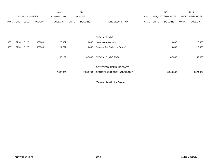|             |            |                       |                | 2013               |              | 2014           |                                |       |       | 2015             |              | 2015            |
|-------------|------------|-----------------------|----------------|--------------------|--------------|----------------|--------------------------------|-------|-------|------------------|--------------|-----------------|
|             |            | <b>ACCOUNT NUMBER</b> |                | <b>EXPENDITURE</b> |              | <b>BUDGET</b>  |                                | PAY   |       | REQUESTED BUDGET |              | PROPOSED BUDGET |
| <b>FUND</b> | <b>ORG</b> | <b>SBCL</b>           | <b>ACCOUNT</b> | <b>DOLLARS</b>     | <b>UNITS</b> | <b>DOLLARS</b> | LINE DESCRIPTION               | RANGE | UNITS | <b>DOLLARS</b>   | <b>UNITS</b> | <b>DOLLARS</b>  |
|             |            |                       |                |                    |              |                |                                |       |       |                  |              |                 |
|             |            |                       |                |                    |              |                |                                |       |       |                  |              |                 |
|             |            |                       |                |                    |              |                | SPECIAL FUNDS                  |       |       |                  |              |                 |
| 0001        | 2210       | R222                  | 006800         | 23,382             |              | 28,435         | Information Systems*           |       |       | 28,435           |              | 28,435          |
| 0001        | 2210       | R223                  | 006300         | 11,777             |              | 19,400         | Property Tax Collection Forms* |       |       | 19,400           |              | 19,400          |
|             |            |                       |                |                    |              |                |                                |       |       |                  |              |                 |
|             |            |                       |                | 35,159             |              | 47,835         | SPECIAL FUNDS TOTAL            |       |       | 47,835           |              | 47,835          |
|             |            |                       |                |                    |              |                |                                |       |       |                  |              |                 |
|             |            |                       |                |                    |              |                | CITY TREASURER BUDGETARY       |       |       |                  |              |                 |
|             |            |                       |                | 2,688,851          |              | 2,838,244      | CONTROL UNIT TOTAL (1BCU=1DU)  |       |       | 3,069,540        |              | 3,024,974       |
|             |            |                       |                |                    |              |                |                                |       |       |                  |              |                 |

\*Appropriation Control Account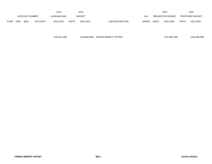|             |                                      |             |                | 2013           |              | 2014                    |                           | 2015                           |              | 2015           |
|-------------|--------------------------------------|-------------|----------------|----------------|--------------|-------------------------|---------------------------|--------------------------------|--------------|----------------|
|             | <b>ACCOUNT NUMBER</b><br>EXPENDITURE |             |                | <b>BUDGET</b>  | PAY          | <b>REQUESTED BUDGET</b> |                           | <b>PROPOSED BUDGET</b>         |              |                |
| <b>FUND</b> | <b>ORG</b>                           | <b>SBCL</b> | <b>ACCOUNT</b> | <b>DOLLARS</b> | <b>UNITS</b> | <b>DOLLARS</b>          | LINE DESCRIPTION<br>RANGE | <b>UNITS</b><br><b>DOLLARS</b> | <b>UNITS</b> | <b>DOLLARS</b> |

(145,641,206) (149,862,066) FRINGE BENEFIT OFFSET (147,906,189) (146,286,058)

**FRINGE BENEFIT OFFSET 380.1 3rd Run 9/15/14**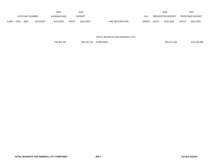|             |            |                       |                | 2013           |              | 2014           |                           | 2015                           |              | 2015            |
|-------------|------------|-----------------------|----------------|----------------|--------------|----------------|---------------------------|--------------------------------|--------------|-----------------|
|             |            | <b>ACCOUNT NUMBER</b> |                | EXPENDITURE    |              | <b>BUDGET</b>  | PAY                       | <b>REQUESTED BUDGET</b>        |              | PROPOSED BUDGET |
| <b>FUND</b> | <b>ORG</b> | <b>SBCL</b>           | <b>ACCOUNT</b> | <b>DOLLARS</b> | <b>UNITS</b> | <b>DOLLARS</b> | LINE DESCRIPTION<br>RANGE | <b>UNITS</b><br><b>DOLLARS</b> | <b>UNITS</b> | <b>DOLLARS</b>  |

### TOTAL BUDGETS FOR GENERAL CITY

578,467,331 590,701,755 PURPOSES 623,417,203 613,234,089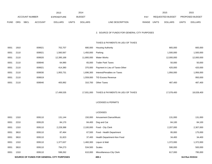|             |      |                                           | 2013               | 2014                           |                                              |            |              | 2015             |              | 2015            |
|-------------|------|-------------------------------------------|--------------------|--------------------------------|----------------------------------------------|------------|--------------|------------------|--------------|-----------------|
|             |      | <b>ACCOUNT NUMBER</b>                     | <b>EXPENDITURE</b> | <b>BUDGET</b>                  |                                              | <b>PAY</b> |              | REQUESTED BUDGET |              | PROPOSED BUDGET |
| <b>FUND</b> | ORG  | <b>SBCL</b><br><b>ACCOUNT</b>             | <b>DOLLARS</b>     | <b>DOLLARS</b><br><b>UNITS</b> | LINE DESCRIPTION                             | RANGE      | <b>UNITS</b> | <b>DOLLARS</b>   | <b>UNITS</b> | <b>DOLLARS</b>  |
|             |      |                                           |                    |                                |                                              |            |              |                  |              |                 |
|             |      |                                           |                    |                                | 2. SOURCE OF FUNDS FOR GENERAL CITY PURPOSES |            |              |                  |              |                 |
|             |      |                                           |                    |                                | TAXES & PAYMENTS IN LIEU OF TAXES            |            |              |                  |              |                 |
| 0001        | 1910 | 009021                                    | 702,707            | 680,000                        | <b>Housing Authority</b>                     |            |              | 665,000          |              | 665,000         |
| 0001        | 2110 | 009021                                    | 1,560,567          | 1,450,000                      | Parking                                      |            |              | 1,500,000        |              | 1,500,000       |
| 0001        | 2110 | 009020                                    | 12,395,168         | 11,800,000                     | <b>Water Works</b>                           |            |              | 12,000,000       |              | 12,000,000      |
| 0001        | 2110 | 009040                                    | 64,990             | 65,000                         | <b>Trailer Park Taxes</b>                    |            |              | 50,000           |              | 50,000          |
| 0001        | 2110 | 009021                                    | 414,380            | 370,000                        | Payment in Lieu of Taxes-Other               |            |              | 420,000          |              | 420,000         |
| 0001        | 2110 | 009030                                    | 1,955,731          | 1,696,300                      | Interest/Penalties on Taxes                  |            |              | 1,956,000        |              | 1,956,000       |
| 0001        | 2110 | 009019                                    |                    | 1,559,000                      | <b>TID Excess Revenue</b>                    |            |              |                  |              | 950,000         |
| 0001        | 2110 | 009040                                    | 405,992            | 310,700                        | <b>Other Taxes</b>                           |            |              | 487,400          |              | 487,400         |
|             |      |                                           |                    |                                |                                              |            |              |                  |              |                 |
|             |      |                                           | 17,499,535         | 17,931,000                     | TAXES & PAYMENTS IN LIEU OF TAXES            |            |              | 17,078,400       |              | 18,028,400      |
|             |      |                                           |                    |                                |                                              |            |              |                  |              |                 |
|             |      |                                           |                    |                                | <b>LICENSES &amp; PERMITS</b>                |            |              |                  |              |                 |
|             |      |                                           |                    |                                |                                              |            |              |                  |              |                 |
|             |      |                                           |                    |                                | <b>LICENSES</b>                              |            |              |                  |              |                 |
| 0001        | 1310 | 009110                                    | 131,144            | 150,000                        | Amusement Dance/Music                        |            |              | 131,000          |              | 131,000         |
| 0001        | 2210 | 009120                                    | 84,170             | 84,400                         | Dog and Cat                                  |            |              | 84,100           |              | 84,100          |
| 0001        | 1310 | 009110                                    | 2,228,388          | 2,100,000                      | Food - City Clerk                            |            |              | 2,207,000        |              | 2,307,000       |
| 0001        | 3810 | 009110                                    | 87,464             | 67,500                         | Food - Health Department                     |            |              | 95,000           |              | 175,000         |
| 0001        | 3810 | 009110                                    | 31,823             | 37,400                         | Health Department-Non Food                   |            |              | 34,400           |              | 34,400          |
| 0001        | 1310 | 009110                                    | 1,377,637          | 1,460,300                      | Liquor & Malt                                |            |              | 1,372,000        |              | 1,372,000       |
| 0001        | 3810 | 009110                                    | 794,273            | 534,500                        | Scales                                       |            |              | 590,000          |              | 500,000         |
| 0001        | 1310 | 009110                                    | 598,262            | 610,000                        | Miscellaneous-City Clerk                     |            |              | 617,000          |              | 795,000         |
|             |      | SOURCE OF FUNDS FOR GENERAL CITY PURPOSES |                    |                                | 400.1                                        |            |              |                  |              | 3rd Run 9/15/14 |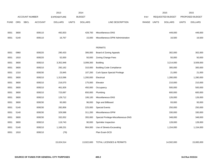|             |            |                               | 2013               | 2014          |                |                                     |       |              | 2015                    |              | 2015            |
|-------------|------------|-------------------------------|--------------------|---------------|----------------|-------------------------------------|-------|--------------|-------------------------|--------------|-----------------|
|             |            | ACCOUNT NUMBER                | <b>EXPENDITURE</b> | <b>BUDGET</b> |                |                                     | PAY   |              | <b>REQUESTED BUDGET</b> |              | PROPOSED BUDGET |
| <b>FUND</b> | <b>ORG</b> | <b>SBCL</b><br><b>ACCOUNT</b> | <b>DOLLARS</b>     | <b>UNITS</b>  | <b>DOLLARS</b> | LINE DESCRIPTION                    | RANGE | <b>UNITS</b> | <b>DOLLARS</b>          | <b>UNITS</b> | <b>DOLLARS</b>  |
|             |            |                               |                    |               |                |                                     |       |              |                         |              |                 |
| 0001        | 3600       | 009110                        | 492,833            |               | 428,700        | Miscellaneous-DNS                   |       |              | 449,000                 |              | 449,000         |
| 0001        | 5140       | 009110                        | 16,767             |               | 15,000         | Miscellaneous-DPW Administration    |       |              | 16,500                  |              | 16,500          |
|             |            |                               |                    |               |                |                                     |       |              |                         |              |                 |
|             |            |                               |                    |               |                | <b>PERMITS</b>                      |       |              |                         |              |                 |
| 0001        | 0960       | 009220                        | 290,433            |               | 306,000        | Board of Zoning Appeals             |       |              | 302,000                 |              | 302,000         |
| 0001        | 1910       | 009220                        | 52,000             |               | 50,000         | Zoning Change Fees                  |       |              | 50,000                  |              | 50,000          |
| 0001        | 3600       | 009210                        | 3,352,948          |               | 3,099,300      | <b>Building</b>                     |       |              | 3,214,000               |              | 3,509,000       |
| 0001        | 3600       | 009210                        | 292,162            |               | 310,000        | <b>Building Code Compliance</b>     |       |              | 300,000                 |              | 300,000         |
| 0001        | 1310       | 009230                        | 23,845             |               | 107,200        | <b>Curb Space Special Privilege</b> |       |              | 21,000                  |              | 21,000          |
| 0001        | 3600       | 009210                        | 1,313,596          |               | 1,200,000      | Electrical                          |       |              | 1,280,000               |              | 1,280,000       |
| 0001        | 3600       | 009210                        | 216,570            |               | 175,000        | Elevator                            |       |              | 210,000                 |              | 210,000         |
| 0001        | 3600       | 009210                        | 461,926            |               | 450,000        | Occupancy                           |       |              | 500,000                 |              | 500,000         |
| 0001        | 3600       | 009210                        | 723,087            |               | 650,000        | Plumbing                            |       |              | 600,000                 |              | 600,000         |
| 0001        | 3600       | 009210                        | 129,712            |               | 106,100        | Miscellaneous-DNS                   |       |              | 126,000                 |              | 126,000         |
| 0001        | 3600       | 009230                        | 93,083             |               | 96,000         | Sign and Billboard                  |       |              | 93,000                  |              | 93,000          |
| 0001        | 5140       | 009230                        | 282,856            |               | 225,000        | <b>Special Events</b>               |       |              | 250,000                 |              | 250,000         |
| 0001        | 5140       | 009230                        | 329,588            |               | 311,200        | Miscellaneous-DPW                   |       |              | 330,000                 |              | 330,000         |
| 0001        | 3600       | 009230                        | 332,052            |               | 355,000        | Special Privilege-Miscellaneous-DNS |       |              | 348,000                 |              | 348,000         |
| 0001        | 3600       | 009210                        | 119,743            |               | 90,000         | Sprinkler Inspection                |       |              | 128,000                 |              | 128,000         |
| 0001        | 5140       | 009210                        | 1,168,231          |               | 904,000        | Use of Streets-Excavating           |       |              | 1,154,000               |              | 1,154,000       |
| 0001        | 1910       | 009210                        | (79)               |               |                | Plan Exam-DCD                       |       |              |                         |              |                 |
|             |            |                               |                    |               |                |                                     |       |              |                         |              |                 |
|             |            |                               | 15,024,514         |               | 13,922,600     | <b>TOTAL LICENSES &amp; PERMITS</b> |       |              | 14,502,000              |              | 15,065,000      |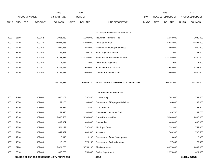|             |            |                       |                | 2013                                      |              | 2014           |                                  |       |              | 2015                    |              | 2015            |
|-------------|------------|-----------------------|----------------|-------------------------------------------|--------------|----------------|----------------------------------|-------|--------------|-------------------------|--------------|-----------------|
|             |            | <b>ACCOUNT NUMBER</b> |                | <b>EXPENDITURE</b>                        |              | <b>BUDGET</b>  |                                  | PAY   |              | <b>REQUESTED BUDGET</b> |              | PROPOSED BUDGET |
| <b>FUND</b> | <b>ORG</b> | <b>SBCL</b>           | <b>ACCOUNT</b> | <b>DOLLARS</b>                            | <b>UNITS</b> | <b>DOLLARS</b> | LINE DESCRIPTION                 | RANGE | <b>UNITS</b> | <b>DOLLARS</b>          | <b>UNITS</b> | <b>DOLLARS</b>  |
|             |            |                       |                |                                           |              |                |                                  |       |              |                         |              |                 |
|             |            |                       |                |                                           |              |                | INTERGOVERNMENTAL REVENUE        |       |              |                         |              |                 |
| 0001        | 3600       |                       | 009352         | 1,061,053                                 |              | 1,100,000      | Insurance Premium - Fire         |       |              | 1,080,000               |              | 1,080,000       |
| 0001        | 2110       |                       | 009370         | 24,941,965                                |              | 25,092,000     | <b>Local Street Aids</b>         |       |              | 25,885,000              |              | 25,885,000      |
| 0001        | 2110       |                       | 009365         | 1,922,338                                 |              | 1,850,000      | Payment for Municipal Services   |       |              | 1,900,000               |              | 1,900,000       |
| 0001        | 3310       |                       | 009360         | 746,563                                   |              | 702,700        | State Payments-Police            |       |              | 747,000                 |              | 747,000         |
| 0001        | 2110       |                       | 009350         | 218,788,833                               |              | 218,752,000    | State Shared Revenue (General)   |       |              | 218,790,000             |              | 218,880,000     |
| 0001        | 2110       |                       | 009360         | 7,034                                     |              | 7,000          | Other State Payments             |       |              | 7,000                   |              | 7,000           |
| 0001        | 2110       |                       | 009351         | 8,475,356                                 |              | 8,552,000      | <b>Expenditure Restraint Aid</b> |       |              | 8,552,000               |              | 8,827,000       |
| 0001        | 2110       |                       | 009360         | 3,792,273                                 |              | 3,900,000      | <b>Computer Exemption Aid</b>    |       |              | 3,800,000               |              | 4,500,000       |
|             |            |                       |                |                                           |              |                |                                  |       |              |                         |              |                 |
|             |            |                       |                | 259,735,415                               |              | 259,955,700    | TOTAL INTERGOVERNMENTAL REVENUES |       |              | 260,761,000             |              | 261,826,000     |
|             |            |                       |                |                                           |              |                |                                  |       |              |                         |              |                 |
|             |            |                       |                |                                           |              |                | <b>CHARGES FOR SERVICES</b>      |       |              |                         |              |                 |
| 0001        | 1490       |                       | 009400         | 1,006,107                                 |              | 797,400        | <b>City Attorney</b>             |       |              | 761,000                 |              | 761,000         |
| 0001        | 1650       |                       | 009400         | 159,155                                   |              | 169,000        | Department of Employee Relations |       |              | 163,000                 |              | 163,000         |
| 0001        | 2210       |                       | 009400         | 159,927                                   |              | 112,800        | <b>City Treasurer</b>            |       |              | 117,900                 |              | 162,900         |
| 0001        | 1310       |                       | 009400         | 151,890                                   |              | 160,000        | Common Council-City Clerk        |       |              | 149,700                 |              | 149,700         |
| 0001        | 1310       |                       | 009400         | 5,000,553                                 |              | 5,300,000      | Cable Franchise Fee              |       |              | 5,000,000               |              | 4,800,000       |
| 0001        | 2110       |                       | 009400         | 499,882                                   |              | 480,000        | Comptroller                      |       |              | 480,000                 |              | 480,000         |
| 0001        | 1320       |                       | 009400         | 1,524,122                                 |              | 1,797,800      | <b>Municipal Court</b>           |       |              | 1,752,000               |              | 1,752,000       |
| 0001        | 2300       |                       | 009400         | 647,332                                   |              | 600,500        | Assessor                         |       |              | 700,500                 |              | 700,500         |
| 0001        | 1910       |                       | 009400         | 8,610                                     |              | 10,100         | Department of City Development   |       |              | 8,000                   |              | 8,000           |
| 0001        | 1510       |                       | 009400         | 110,106                                   |              | 773,100        | Department of Administration     |       |              | 77,000                  |              | 77,000          |
| 0001        | 3280       |                       | 009400         | 5,824,785                                 |              | 5,753,200      | <b>Fire Department</b>           |       |              | 6,670,000               |              | 6,687,000       |
| 0001        | 3310       |                       | 009400         | 603,780                                   |              | 558,800        | <b>Police Department</b>         |       |              | 2,978,000               |              | 624,000         |
|             |            |                       |                | SOURCE OF FUNDS FOR GENERAL CITY PURPOSES |              |                | 400.3                            |       |              |                         |              | 3rd Run 9/15/14 |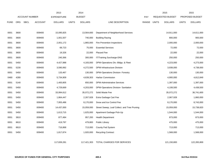|             |            |                       |                | 2013               |              | 2014           |                                              |       |       | 2015                    |              | 2015            |
|-------------|------------|-----------------------|----------------|--------------------|--------------|----------------|----------------------------------------------|-------|-------|-------------------------|--------------|-----------------|
|             |            | <b>ACCOUNT NUMBER</b> |                | <b>EXPENDITURE</b> |              | <b>BUDGET</b>  |                                              | PAY   |       | <b>REQUESTED BUDGET</b> |              | PROPOSED BUDGET |
| <b>FUND</b> | <b>ORG</b> | <b>SBCL</b>           | <b>ACCOUNT</b> | <b>DOLLARS</b>     | <b>UNITS</b> | <b>DOLLARS</b> | LINE DESCRIPTION                             | RANGE | UNITS | <b>DOLLARS</b>          | <b>UNITS</b> | <b>DOLLARS</b>  |
|             |            |                       |                |                    |              |                |                                              |       |       |                         |              |                 |
| 0001        | 3600       |                       | 009400         | 15,095,825         |              | 13,564,600     | Department of Neighborhood Services          |       |       | 14,911,000              |              | 14,611,000      |
| 0001        | 3600       |                       | 009400         | 1,001,507          |              | 740,000        | <b>Building Razing</b>                       |       |       | 800,000                 |              | 900,000         |
| 0001        | 3600       |                       | 009400         | 2,001,172          |              | 1,865,000      | Fire Prevention Inspections                  |       |       | 2,000,000               |              | 2,000,000       |
| 0001        | 3600       |                       | 009400         | 69,723             |              | 75,000         | <b>Essential Services</b>                    |       |       | 72,000                  |              | 72,000          |
| 0001        | 3600       |                       | 009400         | 19,326             |              | 22,000         | Placard Fee                                  |       |       | 22,000                  |              | 22,000          |
| 0001        | 3600       |                       | 009400         | 240,366            |              | 300,000        | IT/Training Surcharge-DNS                    |       |       | 250,000                 |              | 250,000         |
| 0001        | 5450       |                       | 009400         | 4,427,988          |              | 4,183,000      | DPW-Operations Div.-Bldgs. & Fleet           |       |       | 4,223,000               |              | 4,273,000       |
| 0001        | 5230       |                       | 009400         | 3,590,992          |              | 4,272,500      | DPW-Infrastructure Division                  |       |       | 3,938,000               |              | 4,738,000       |
| 0001        | 5450       |                       | 009400         | 133,467            |              | 130,000        | DPW-Operations Division- Forestry            |       |       | 130,000                 |              | 130,000         |
| 0480        | 4280       |                       | 009400         | 5,734,909          |              | 4,639,303      | <b>Harbor Commission</b>                     |       |       | 4,900,000               |              | 4,812,849       |
| 0001        | 5140       |                       | 009400         | 1,400,805          |              | 650,000        | <b>DPW-Administrative Services</b>           |       |       | 1,397,000               |              | 1,397,000       |
| 0001        | 5450       |                       | 009400         | 4,729,669          |              | 4,203,000      | DPW-Operations Division-Sanitation           |       |       | 4,108,500               |              | 4,438,500       |
| 0001        | 5450       |                       | 009400         | 33,994,612         |              | 35,072,272     | Solid Waste Fee                              |       |       | 35,072,272              |              | 36,741,600      |
| 0001        | 5450       |                       | 009400         | 1,864,447          |              | 2,267,928      | Extra Garbage Cart Fee                       |       |       | 2,067,928               |              | 1,860,000       |
| 0001        | 5450       |                       | 009400         | 7,955,486          |              | 8,170,000      | Snow and Ice Control Fee                     |       |       | 8,170,000               |              | 8,743,000       |
| 0001        | 5450       |                       | 009400         | 14,437,000         |              | 15,059,000     | Street Sweep, Leaf Collect. and Tree Pruning |       |       | 15,059,000              |              | 15,738,820      |
| 0001        | 5450       |                       | 009400         | 1,613,715          |              | 1,625,000      | Apartment Garbage Pick-Up                    |       |       | 1,544,000               |              | 1,544,000       |
| 0001        | 3810       |                       | 009400         | 877,484            |              | 957,200        | <b>Health Department</b>                     |       |       | 873,000                 |              | 873,000         |
| 0001        | 8610       |                       | 009400         | 419,797            |              | 479,800        | <b>Public Library</b>                        |       |       | 475,000                 |              | 475,000         |
| 0001        | 8610       |                       | 009400         | 716,868            |              | 713,000        | County Fed System                            |       |       | 713,000                 |              | 713,000         |
| 0001        | 5450       |                       | 009400         | 1,817,874          |              | 1,920,000      | <b>Recycling Contract</b>                    |       |       | 1,568,000               |              | 1,568,000       |
|             |            |                       |                |                    |              |                |                                              |       |       |                         |              |                 |
|             |            |                       |                | 117,839,281        |              | 117,421,303    | TOTAL CHARGES FOR SERVICES                   |       |       | 121,150,800             |              | 122,265,869     |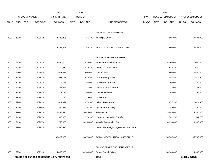|             |            |                                           | 2013               | 2014                           |                                       |              |              | 2015             |              | 2015            |
|-------------|------------|-------------------------------------------|--------------------|--------------------------------|---------------------------------------|--------------|--------------|------------------|--------------|-----------------|
|             |            | <b>ACCOUNT NUMBER</b>                     | <b>EXPENDITURE</b> | <b>BUDGET</b>                  |                                       | PAY          |              | REQUESTED BUDGET |              | PROPOSED BUDGET |
| <b>FUND</b> | <b>ORG</b> | <b>SBCL</b><br><b>ACCOUNT</b>             | <b>DOLLARS</b>     | <b>UNITS</b><br><b>DOLLARS</b> | LINE DESCRIPTION                      | <b>RANGE</b> | <b>UNITS</b> | <b>DOLLARS</b>   | <b>UNITS</b> | <b>DOLLARS</b>  |
|             |            |                                           |                    |                                |                                       |              |              |                  |              |                 |
|             |            |                                           |                    |                                | FINES AND FORFEITURES                 |              |              |                  |              |                 |
| 0001        | 1320       | 009612                                    | 4,483,325          | 4,755,400                      | <b>Municipal Court</b>                |              |              | 4,506,000        |              | 4,506,000       |
|             |            |                                           |                    |                                |                                       |              |              |                  |              |                 |
|             |            |                                           | 4,483,325          | 4,755,400                      | TOTAL FINES AND FORFEITURES           |              |              | 4,506,000        |              | 4,506,000       |
|             |            |                                           |                    |                                | MISCELLANEOUS REVENUES                |              |              |                  |              |                 |
| 0001        | 2110       | 009930                                    | 18,550,000         | 17,425,000                     | Transfer from other funds             |              |              | 16,000,000       |              | 17,000,000      |
| 0001        | 2210       | 009810                                    | 210,472            | 832,200                        | Interest on Investment                |              |              | 630,100          |              | 630,100         |
| 0001        | 9990       | 009850                                    | 1,673,815          | 2,900,000                      | Contributions                         |              |              | 2,500,000        |              | 2,500,000       |
| 0001        | 1510       | 009830                                    | 532,789            | 424,500                        | <b>DOA Property Sales</b>             |              |              | 552,500          |              | 575,500         |
| 0001        | 1910       | 009830                                    | 4,725              | 350,000                        | <b>DCD Property Sales</b>             |              |              | 100,000          |              | 100,000         |
| 0001        | 5230       | 009820                                    |                    | 177,000                        | DPW-ISD Facilities-Rent               |              |              |                  |              | 222,000         |
|             |            |                                           | 222,896            |                                |                                       |              |              | 222,000          |              |                 |
| 0001        | 2110       | 009820                                    | 172,795            | 164,000                        | Comptroller-Rent                      |              |              | 164,000          |              | 164,000         |
| 0001        | 1910       | 009820                                    | 176                | 3,000                          | <b>DCD Rent</b>                       |              |              |                  |              |                 |
| 0001        | 9990       | 009870                                    | 1,811,922          | 970,500                        | Other Miscellaneous                   |              |              | 977,300          |              | 1,014,300       |
| 0001        | 1650       | 009860                                    | 350,518            | 351,900                        | Insurance Recovery                    |              |              | 346,000          |              | 346,000         |
| 0001        | 9990       | 009870                                    | 5,444,526          | 5,444,000                      | Potawatomi                            |              |              | 5,444,000        |              | 5,300,000       |
| 0001        | 2110       | 009870                                    | 1,360,000          | 1,378,300                      | <b>Harbor Commission Transfer</b>     |              |              | 1,581,700        |              | 1,581,700       |
| 0001        | 2110       | 009870                                    | 750,000            | 6,250,000                      | Vehicle Registration Fee              |              |              | 6,250,000        |              | 6,300,000       |
| 0001        | 9990       | 009870                                    | 6,338,316          |                                | Greendale Intergov. Agreement Payment |              |              |                  |              |                 |
|             |            |                                           | 37,422,950         | 36.670.400                     | TOTAL MISCELLANEOUS REVENUE           |              |              | 34,767,600       |              | 35,733,600      |
|             |            |                                           |                    |                                |                                       |              |              |                  |              |                 |
|             |            |                                           |                    |                                | FRINGE BENEFIT REIMBURSEMENT          |              |              |                  |              |                 |
| 0001        | 9990       | 009990                                    | 24,466,050         | 24,300,000                     | <b>Fringe Benefit Offset</b>          |              |              | 24,300,000       |              | 24,300,000      |
|             |            | SOURCE OF FUNDS FOR GENERAL CITY PURPOSES |                    |                                | 400.5                                 |              |              |                  |              | 3rd Run 9/15/14 |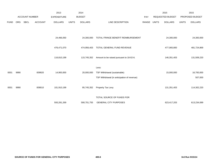|             |            |                       |                | 2013               |              | 2014           |                                             |       |              | 2015                    |              | 2015            |
|-------------|------------|-----------------------|----------------|--------------------|--------------|----------------|---------------------------------------------|-------|--------------|-------------------------|--------------|-----------------|
|             |            | <b>ACCOUNT NUMBER</b> |                | <b>EXPENDITURE</b> |              | <b>BUDGET</b>  |                                             | PAY   |              | <b>REQUESTED BUDGET</b> |              | PROPOSED BUDGET |
| <b>FUND</b> | <b>ORG</b> | <b>SBCL</b>           | <b>ACCOUNT</b> | <b>DOLLARS</b>     | <b>UNITS</b> | <b>DOLLARS</b> | LINE DESCRIPTION                            | RANGE | <b>UNITS</b> | <b>DOLLARS</b>          | <b>UNITS</b> | <b>DOLLARS</b>  |
|             |            |                       |                |                    |              |                |                                             |       |              |                         |              |                 |
|             |            |                       |                |                    |              |                |                                             |       |              |                         |              |                 |
|             |            |                       |                | 24,466,050         |              | 24,300,000     | TOTAL FRINGE BENEFIT REIMBURSEMENT          |       |              | 24,300,000              |              | 24,300,000      |
|             |            |                       |                |                    |              |                |                                             |       |              |                         |              |                 |
|             |            |                       |                | 476,471,070        |              | 474,956,403    | TOTAL GENERAL FUND REVENUE                  |       |              | 477,065,800             |              | 481,724,869     |
|             |            |                       |                |                    |              |                |                                             |       |              |                         |              |                 |
|             |            |                       |                | 116,810,199        |              | 115,745,352    | Amount to be raised pursuant to 18-02-6.    |       |              | 146,351,403             |              | 131,509,220     |
|             |            |                       |                |                    |              |                |                                             |       |              |                         |              |                 |
|             |            |                       |                |                    |              |                | Less:                                       |       |              |                         |              |                 |
| 0001        | 9990       |                       | 009920         | 14,900,000         |              | 20,000,000     | TSF Withdrawal (sustainable)                |       |              | 15,000,000              |              | 16,700,000      |
|             |            |                       |                |                    |              |                | TSF Withdrawal (in anticipation of revenue) |       |              |                         |              | 507,000         |
|             |            |                       |                |                    |              |                |                                             |       |              |                         |              |                 |
| 0001        | 9990       |                       | 009010         | 101,910,199        |              | 95,745,352     | Property Tax Levy                           |       |              | 131,351,403             |              | 114,302,220     |
|             |            |                       |                |                    |              |                |                                             |       |              |                         |              |                 |
|             |            |                       |                |                    |              |                | TOTAL SOURCE OF FUNDS FOR                   |       |              |                         |              |                 |
|             |            |                       |                | 593,281,269        |              | 590,701,755    | <b>GENERAL CITY PURPOSES</b>                |       |              | 623,417,203             |              | 613,234,089     |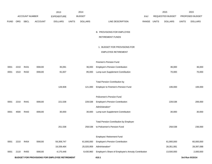|             |            |                       |                | 2013                                          |              | 2014           |                                                     |             | 2015             |              | 2015            |
|-------------|------------|-----------------------|----------------|-----------------------------------------------|--------------|----------------|-----------------------------------------------------|-------------|------------------|--------------|-----------------|
|             |            | <b>ACCOUNT NUMBER</b> |                | <b>EXPENDITURE</b>                            |              | <b>BUDGET</b>  |                                                     | <b>PAY</b>  | REQUESTED BUDGET |              | PROPOSED BUDGET |
| <b>FUND</b> | <b>ORG</b> | <b>SBCL</b>           | <b>ACCOUNT</b> | <b>DOLLARS</b>                                | <b>UNITS</b> | <b>DOLLARS</b> | LINE DESCRIPTION                                    | RANGE UNITS | <b>DOLLARS</b>   | <b>UNITS</b> | <b>DOLLARS</b>  |
|             |            |                       |                |                                               |              |                |                                                     |             |                  |              |                 |
|             |            |                       |                |                                               |              |                | <b>B. PROVISIONS FOR EMPLOYEE</b>                   |             |                  |              |                 |
|             |            |                       |                |                                               |              |                | <b>RETIREMENT FUNDS</b>                             |             |                  |              |                 |
|             |            |                       |                |                                               |              |                |                                                     |             |                  |              |                 |
|             |            |                       |                |                                               |              |                | 1. BUDGET FOR PROVISIONS FOR                        |             |                  |              |                 |
|             |            |                       |                |                                               |              |                | <b>EMPLOYEE RETIREMENT</b>                          |             |                  |              |                 |
|             |            |                       |                |                                               |              |                | Firemen's Pension Fund                              |             |                  |              |                 |
| 0001        | 2210       | R431                  | 006100         | 35,091                                        |              | 36,000         | <b>Employer's Pension Contribution</b>              |             | 36,000           |              | 36,000          |
| 0001        | 1510       | R432                  | 006100         | 91,837                                        |              | 85,000         | Lump-sum Supplement Contribution                    |             | 70,000           |              | 70,000          |
|             |            |                       |                |                                               |              |                |                                                     |             |                  |              |                 |
|             |            |                       |                |                                               |              |                | <b>Total Pension Contribution by</b>                |             |                  |              |                 |
|             |            |                       |                | 126,928                                       |              | 121,000        | Employer to Firemen's Pension Fund                  |             | 106,000          |              | 106,000         |
|             |            |                       |                |                                               |              |                |                                                     |             |                  |              |                 |
|             |            |                       |                |                                               |              |                | Policemen's Pension Fund                            |             |                  |              |                 |
| 0001        | 2210       | R441                  | 006100         | 221,538                                       |              | 228,538        | <b>Employer's Pension Contribution</b>              |             | 228,538          |              | 206,000         |
|             |            |                       |                |                                               |              |                | Administration*                                     |             |                  |              |                 |
| 0001        | 4500       | R443                  | 006100         | 30,000                                        |              | 30,000         | Lump-sum Supplement Contribution                    |             | 30,000           |              | 30,000          |
|             |            |                       |                |                                               |              |                |                                                     |             |                  |              |                 |
|             |            |                       |                |                                               |              |                | Total Pension Contribution by Employer              |             |                  |              |                 |
|             |            |                       |                | 251,538                                       |              | 258,538        | to Policemen's Pension Fund                         |             | 258,538          |              | 236,000         |
|             |            |                       |                |                                               |              |                | Employes' Retirement Fund                           |             |                  |              |                 |
| 0001        | 2210       | R454                  | 006100         | 59,308,747                                    |              | 61,600,000     | <b>Employer's Pension Contribution</b>              |             | 61,900,000       |              | 60,000,000      |
|             |            |                       |                | 19,339,464                                    |              | 25,020,959     | Administration*                                     |             | 28,351,081       |              | 28,397,088      |
| 0001        | 2110       | R455                  | 006100         | 4,175,448                                     |              | 8,430,960      | Employer's Share of Employee's Annuity Contribution |             | 13,500,000       |              | 2,000,000       |
|             |            |                       |                | BUDGET FOR PROVISIONS FOR EMPLOYEE RETIREMENT |              |                | 410.1                                               |             |                  |              | 3rd Run 9/15/14 |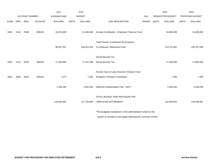|             |            |                |                | 2013               |              | 2014           |                                                                 |       |              | 2015             |              | 2015            |
|-------------|------------|----------------|----------------|--------------------|--------------|----------------|-----------------------------------------------------------------|-------|--------------|------------------|--------------|-----------------|
|             |            | ACCOUNT NUMBER |                | <b>EXPENDITURE</b> |              | <b>BUDGET</b>  |                                                                 | PAY   |              | REQUESTED BUDGET |              | PROPOSED BUDGET |
| <b>FUND</b> | <b>ORG</b> | <b>SBCL</b>    | <b>ACCOUNT</b> | <b>DOLLARS</b>     | <b>UNITS</b> | <b>DOLLARS</b> | LINE DESCRIPTION                                                | RANGE | <b>UNITS</b> | <b>DOLLARS</b>   | <b>UNITS</b> | <b>DOLLARS</b>  |
| 0001        | 2110       | R460           | 006100         | 16,233,608         |              | 13,400,000     | Annuity Contribution - Employers' Reserve Fund                  |       |              | 10,000,000       |              | 10,400,000      |
|             |            |                |                |                    |              |                | <b>Total Pension Contribution By Employer</b>                   |       |              |                  |              |                 |
|             |            |                |                | 99,057,267         |              | 108,451,919    | To Employes' Retirement Fund                                    |       |              | 113,751,081      |              | 100,797,088     |
|             |            |                |                |                    |              |                |                                                                 |       |              |                  |              |                 |
|             |            |                |                |                    |              |                | Social Security Tax                                             |       |              |                  |              |                 |
| 0001        | 2110       | R453           | 006100         | 17,293,668         |              | 17,257,298     | Social Security Tax                                             |       |              | 17,300,000       |              | 17,800,000      |
|             |            |                |                |                    |              |                |                                                                 |       |              |                  |              |                 |
|             |            |                |                |                    |              |                | Former Town of Lake Firemen's Pension Fund                      |       |              |                  |              |                 |
| 0001        | 4500       | R452           | 006100         | 7,273              |              | 7,300          | <b>Employer's Pension Contribution</b>                          |       |              | 7,300            |              | 7,300           |
|             |            |                |                |                    |              |                |                                                                 |       |              |                  |              |                 |
|             |            |                |                | 1,300,186          |              | 1,632,435      | Deferred Compensation Plan - Adm.*                              |       |              | 1,546,935        |              | 1,549,299       |
|             |            |                |                |                    |              |                |                                                                 |       |              |                  |              |                 |
|             |            |                |                |                    |              |                | TOTAL BUDGET FOR PROVISION FOR                                  |       |              |                  |              |                 |
|             |            |                |                | 118,036,860        |              | 127,728,490    | <b>EMPLOYEE RETIREMENT</b>                                      |       |              | 132,969,854      |              | 120,495,687     |
|             |            |                |                |                    |              |                |                                                                 |       |              |                  |              |                 |
|             |            |                |                |                    |              |                | *The budgetary breakdown of the administration funds for this   |       |              |                  |              |                 |
|             |            |                |                |                    |              |                | system is included on the pages following this summary section. |       |              |                  |              |                 |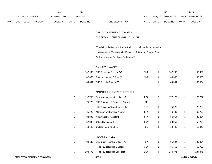|             |                |             |                | 2013           |               | 2014           |                           | 2015                           |                        | 2015           |
|-------------|----------------|-------------|----------------|----------------|---------------|----------------|---------------------------|--------------------------------|------------------------|----------------|
|             | ACCOUNT NUMBER |             | EXPENDITURE    |                | <b>BUDGET</b> | PAY            | REQUESTED BUDGET          |                                | <b>PROPOSED BUDGET</b> |                |
| <b>FUND</b> | <b>ORG</b>     | <b>SBCL</b> | <b>ACCOUNT</b> | <b>DOLLARS</b> | UNITS         | <b>DOLLARS</b> | RANGE<br>LINE DESCRIPTION | <b>UNITS</b><br><b>DOLLARS</b> | <b>UNITS</b>           | <b>DOLLARS</b> |

### EMPLOYES' RETIREMENT SYSTEM

# BUDGETARY CONTROL UNIT (1BCU=1DU)

(Funds for this System's Administration are included in the preceding

section entitled "Provisions for Employee Retirement Funds - Budgets

for Provisions for Employee Retirement")

# SALARIES & WAGES

| 1 | 147,902 | ERS Executive Director (Y)                 | 1MX | 1 | 147,902 | 1            | 147,902 |
|---|---------|--------------------------------------------|-----|---|---------|--------------|---------|
| 1 | 142,360 | Chief Investment Officer (Y)               | 1MX | 1 | 133,556 | 1            | 133,556 |
|   | 89,504  | ERS Deputy Director (Y)                    | 1LX | 1 | 89,504  |              | 89,504  |
|   |         |                                            |     |   |         |              |         |
|   |         | <b>MANAGEMENT SUPPORT SERVICES</b>         |     |   |         |              |         |
| 2 | 197,758 | Pension Investment Analyst - Sr.           | 2OX | 2 | 177,277 | 2            | 177,277 |
| 1 | 75,272  | <b>ERS Database &amp; Research Analyst</b> | 2JX |   |         |              |         |
|   |         | <b>ERS Business Operations Analyst</b>     | 1EX | 1 | 75,272  | 1            | 75,272  |
| 1 | 65,723  | <b>Management Services Analyst</b>         | 2HX | 1 | 66,709  |              | 66,709  |
| 1 | 38,896  | Administrative Assistant II                | 6HN | 1 | 36,854  | $\mathbf{1}$ | 36,854  |
| 1 | 57,398  | <b>Office Supervisor II</b>                | 2CN | 1 | 58,259  | 1            | 58,259  |
|   | 10,440  | College Intern (0.5 FTE)                   | 9IN |   | 10,440  |              | 10,440  |

### FISCAL SERVICES

|   | 84,132 ERS Chief Financial Officer (Y) | 1 I X | 85.394  |   | 85,394  |
|---|----------------------------------------|-------|---------|---|---------|
|   | <b>Pension Accounting Manager</b>      | 1EX   | 65.752  |   | 65,752  |
| 5 | 294,476 Pension Accounting Specialist  | 2GX   | 234.371 | 4 | 234,371 |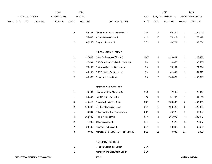|             |  |                       |                |                    |                           | 2014           |                                            |                 |                | 2015             |                         | 2015            |
|-------------|--|-----------------------|----------------|--------------------|---------------------------|----------------|--------------------------------------------|-----------------|----------------|------------------|-------------------------|-----------------|
|             |  | <b>ACCOUNT NUMBER</b> |                | <b>EXPENDITURE</b> |                           | <b>BUDGET</b>  |                                            | PAY             |                | REQUESTED BUDGET |                         | PROPOSED BUDGET |
| <b>FUND</b> |  | ORG SBCL              | <b>ACCOUNT</b> | <b>DOLLARS</b>     | <b>UNITS</b>              | <b>DOLLARS</b> | LINE DESCRIPTION                           | RANGE UNITS     |                | <b>DOLLARS</b>   | <b>UNITS</b>            | <b>DOLLARS</b>  |
|             |  |                       |                |                    | $\ensuremath{\mathsf{3}}$ | 163,799        | Management Accountant-Senior               | 2EX             | $\mathbf{3}$   | 166,255          | 3                       | 166,255         |
|             |  |                       |                |                    | $\overline{c}$            | 75,869         | <b>Accounting Assistant II</b>             | 6HN             | $\overline{2}$ | 76,919           | $\overline{2}$          | 76,919          |
|             |  |                       |                |                    | 1                         | 47,156         | Program Assistant II                       | 5FN             | $\mathbf{1}$   | 39,724           | $\mathbf{1}$            | 39,724          |
|             |  |                       |                |                    |                           |                | <b>INFORMATION SYSTEMS</b>                 |                 |                |                  |                         |                 |
|             |  |                       |                |                    | $\mathbf{1}$              | 127,489        | Chief Technology Officer (Y)               | 1MX             | $\mathbf{1}$   | 129,401          | $\mathbf{1}$            | 129,401         |
|             |  |                       |                |                    | $\mathbf{1}$              | 97,094         | <b>ERS Functional Applications Manager</b> | $11X$           | $\mathbf{1}$   | 98,550           | 1                       | 98,550          |
|             |  |                       |                |                    | 1                         | 73,107         | <b>Business Systems Coordinator</b>        | 2IX             | $\mathbf{1}$   | 74,204           | 1                       | 74,204          |
|             |  |                       |                |                    | $\mathbf{1}$              | 80,143         | ERS Systems Administrator                  | 2IX             | $\mathbf{1}$   | 81,346           | 1                       | 81,346          |
|             |  |                       |                |                    | $\boldsymbol{2}$          | 143,667        | Network Administrator                      | 2IX             | $\sqrt{2}$     | 145,823          | $\overline{\mathbf{c}}$ | 145,823         |
|             |  |                       |                |                    |                           |                | MEMBERSHIP SERVICES                        |                 |                |                  |                         |                 |
|             |  |                       |                |                    | $\mathbf{1}$              | 76,794         | Retirement Plan Manager (Y)                | 1GX             | $\mathbf{1}$   | 77,946           | 1                       | 77,946          |
|             |  |                       |                |                    | $\mathbf{1}$              | 50,399         | <b>Lead Pension Specialist</b>             | 1CX             | $\mathbf{1}$   | 51,155           | 1                       | 51,155          |
|             |  |                       |                |                    | 3                         | 145,318        | Pension Specialist - Senior                | 2DN             | 3              | 150,880          | 3                       | 150,880         |
|             |  |                       |                |                    | $\boldsymbol{2}$          | 118,643        | <b>Disability Specialist Senior</b>        | 2EX             | $\sqrt{2}$     | 120,422          | $\overline{\mathbf{c}}$ | 120,422         |
|             |  |                       |                |                    | $\mathbf{1}$              | 46,281         | Administrative Services Specialist         | 2BN             | $\mathbf{1}$   | 46,976           | 1                       | 46,976          |
|             |  |                       |                |                    | 4                         | 182,336        | Program Assistant II                       | 5FN             | 4              | 185,072          | 4                       | 185,072         |
|             |  |                       |                |                    | $\overline{c}$            | 71,603         | Office Assistant III                       | 6FN             | $\overline{2}$ | 72,677           | $\overline{\mathbf{c}}$ | 72,677          |
|             |  |                       |                |                    | $\boldsymbol{2}$          | 59,788         | Records Technician II                      | 6EN             | $\overline{2}$ | 60,686           | $\boldsymbol{2}$        | 60,686          |
|             |  |                       |                |                    | 8                         | 9,033          | Member, ERS Annuity & Pension Bd. (Y)      | BC <sub>1</sub> | 11             | 9,033            | 11                      | 9,033           |
|             |  |                       |                |                    |                           |                | <b>AUXILIARY POSITIONS</b>                 |                 |                |                  |                         |                 |
|             |  |                       |                |                    | $\mathbf{1}$              |                | Pension Specialist - Senior                | 2DN             |                |                  |                         |                 |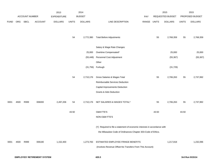|             |      |                |                                    | 2013               |              | 2014           |                                                                           |       | 2015             |                | 2015         |                 |  |
|-------------|------|----------------|------------------------------------|--------------------|--------------|----------------|---------------------------------------------------------------------------|-------|------------------|----------------|--------------|-----------------|--|
|             |      | ACCOUNT NUMBER |                                    | <b>EXPENDITURE</b> |              | <b>BUDGET</b>  |                                                                           | PAY   | REQUESTED BUDGET |                |              | PROPOSED BUDGET |  |
| <b>FUND</b> | ORG  | SBCL           | <b>ACCOUNT</b>                     | <b>DOLLARS</b>     | <b>UNITS</b> | <b>DOLLARS</b> | LINE DESCRIPTION                                                          | RANGE | <b>UNITS</b>     | <b>DOLLARS</b> | <b>UNITS</b> | <b>DOLLARS</b>  |  |
|             |      |                |                                    |                    |              |                |                                                                           |       |                  |                |              |                 |  |
|             |      |                |                                    |                    |              |                |                                                                           |       |                  |                |              |                 |  |
|             |      |                |                                    |                    | 54           | 2,772,380      | <b>Total Before Adjustments</b>                                           |       | 55               | 2,768,359      | 55           | 2,768,359       |  |
|             |      |                |                                    |                    |              |                | Salary & Wage Rate Changes                                                |       |                  |                |              |                 |  |
|             |      |                |                                    |                    |              | 25,000         | Overtime Compensated*                                                     |       |                  | 25,000         |              | 25,000          |  |
|             |      |                |                                    |                    |              | (55, 448)      | Personnel Cost Adjustment                                                 |       |                  | (55, 367)      |              | (55, 367)       |  |
|             |      |                |                                    |                    |              |                | Other                                                                     |       |                  |                |              |                 |  |
|             |      |                |                                    |                    |              |                |                                                                           |       |                  |                |              |                 |  |
|             |      |                |                                    |                    |              | (31, 756)      | Furlough                                                                  |       |                  | (31, 729)      |              |                 |  |
|             |      |                |                                    |                    | 54           | 2,710,176      | Gross Salaries & Wages Total                                              |       | 55               | 2,706,263      | 55           | 2,737,992       |  |
|             |      |                |                                    |                    |              |                | Reimbursable Services Deduction                                           |       |                  |                |              |                 |  |
|             |      |                |                                    |                    |              |                | Capital Improvements Deduction                                            |       |                  |                |              |                 |  |
|             |      |                |                                    |                    |              |                | <b>Grants &amp; Aids Deduction</b>                                        |       |                  |                |              |                 |  |
|             |      |                |                                    |                    |              |                |                                                                           |       |                  |                |              |                 |  |
| 0001        | 4500 | R999           | 006000                             | 2,497,206          | 54           | 2,710,176      | NET SALARIES & WAGES TOTAL*                                               |       | 55               | 2,706,263      | 55           | 2,737,992       |  |
|             |      |                |                                    |                    |              |                |                                                                           |       |                  |                |              |                 |  |
|             |      |                |                                    |                    | 43.50        |                | O&M FTE'S                                                                 |       | 43.50            |                | 43.50        |                 |  |
|             |      |                |                                    |                    |              |                | NON-O&M FTE'S                                                             |       |                  |                |              |                 |  |
|             |      |                |                                    |                    |              |                |                                                                           |       |                  |                |              |                 |  |
|             |      |                |                                    |                    |              |                | (Y) Required to file a statement of economic interests in accordance with |       |                  |                |              |                 |  |
|             |      |                |                                    |                    |              |                | the Milwaukee Code of Ordinances Chapter 303-Code of Ethics.              |       |                  |                |              |                 |  |
| 0001        | 4500 | R999           | 006180                             | 1,152,400          |              | 1,273,783      | ESTIMATED EMPLOYEE FRINGE BENEFITS                                        |       |                  | 1,217,818      |              | 1,232,096       |  |
|             |      |                |                                    |                    |              |                | (Involves Revenue Offset-No Transfers From This Account)                  |       |                  |                |              |                 |  |
|             |      |                |                                    |                    |              |                |                                                                           |       |                  |                |              |                 |  |
|             |      |                | <b>EMPLOYES' RETIREMENT SYSTEM</b> |                    |              |                | 420.3                                                                     |       |                  |                |              | 3rd Run 9/15/14 |  |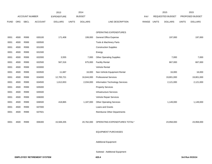|             |            |                       |                | 2013           |              | 2014           |                                    |       | 2015                    |                |              | 2015            |
|-------------|------------|-----------------------|----------------|----------------|--------------|----------------|------------------------------------|-------|-------------------------|----------------|--------------|-----------------|
|             |            | <b>ACCOUNT NUMBER</b> |                | EXPENDITURE    |              | <b>BUDGET</b>  |                                    | PAY   | <b>REQUESTED BUDGET</b> |                |              | PROPOSED BUDGET |
| <b>FUND</b> | <b>ORG</b> | <b>SBCL</b>           | <b>ACCOUNT</b> | <b>DOLLARS</b> | <b>UNITS</b> | <b>DOLLARS</b> | LINE DESCRIPTION                   | RANGE | <b>UNITS</b>            | <b>DOLLARS</b> | <b>UNITS</b> | <b>DOLLARS</b>  |
|             |            |                       |                |                |              |                |                                    |       |                         |                |              |                 |
|             |            |                       |                |                |              |                | OPERATING EXPENDITURES             |       |                         |                |              |                 |
| 0001        | 4500       | R999                  | 630100         | 171,408        |              | 199,000        | <b>General Office Expense</b>      |       |                         | 197,000        |              | 197,000         |
| 0001        | 4500       | R999                  | 630500         |                |              |                | Tools & Machinery Parts            |       |                         |                |              |                 |
| 0001        | 4500       | R999                  | 631000         |                |              |                | <b>Construction Supplies</b>       |       |                         |                |              |                 |
| 0001        | 4500       | R999                  | 631500         |                |              |                | Energy                             |       |                         |                |              |                 |
| 0001        | 4500       | R999                  | 632000         | 3,555          |              | 7,000          | <b>Other Operating Supplies</b>    |       |                         | 7,000          |              | 7,000           |
| 0001        | 4500       | R999                  | 632500         | 567,316        |              | 675,000        | <b>Facility Rental</b>             |       |                         | 667,000        |              | 667,000         |
| 0001        | 4500       | R999                  | 633000         |                |              |                | Vehicle Rental                     |       |                         |                |              |                 |
| 0001        | 4500       | R999                  | 633500         | 11,687         |              | 16,000         | Non-Vehicle Equipment Rental       |       |                         | 16,000         |              | 16,000          |
| 0001        | 4500       | R999                  | 634000         | 12,783,721     |              | 16,644,000     | <b>Professional Services</b>       |       |                         | 19,801,000     |              | 19,801,000      |
| 0001        | 4500       | R999                  | 634500         | 1,612,653      |              | 2,034,000      | Information Technology Services    |       |                         | 2,121,000      |              | 2,121,000       |
| 0001        | 4500       | R999                  | 635000         |                |              |                | <b>Property Services</b>           |       |                         |                |              |                 |
| 0001        | 4500       | R999                  | 635500         |                |              |                | <b>Infrastructure Services</b>     |       |                         |                |              |                 |
| 0001        | 4500       | R999                  | 636000         |                |              |                | Vehicle Repair Services            |       |                         |                |              |                 |
| 0001        | 4500       | R999                  | 636500         | 418,865        |              | 1,187,000      | <b>Other Operating Services</b>    |       |                         | 1,149,000      |              | 1,149,000       |
| 0001        | 4500       | R999                  | 637000         |                |              |                | Loans and Grants                   |       |                         |                |              |                 |
| 0001        | 4500       | R999                  | 637501         |                |              |                | <b>Reimburse Other Departments</b> |       |                         |                |              |                 |
|             |            |                       |                |                |              |                |                                    |       |                         |                |              |                 |
| 0001        | 4500       | R999                  | 006300         | 15,569,205     |              | 20,762,000     | OPERATING EXPENDITURES TOTAL*      |       |                         | 23,958,000     |              | 23,958,000      |
|             |            |                       |                |                |              |                |                                    |       |                         |                |              |                 |
|             |            |                       |                |                |              |                | <b>EQUIPMENT PURCHASES</b>         |       |                         |                |              |                 |
|             |            |                       |                |                |              |                |                                    |       |                         |                |              |                 |
|             |            |                       |                |                |              |                | <b>Additional Equipment</b>        |       |                         |                |              |                 |
|             |            |                       |                |                |              |                |                                    |       |                         |                |              |                 |
|             |            |                       |                |                |              |                |                                    |       |                         |                |              |                 |

Subtotal - Additional Equipment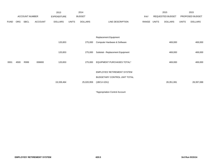|             |            |                |                | 2013               |              | 2014           |                                    |       | 2015             |                |                 | 2015           |
|-------------|------------|----------------|----------------|--------------------|--------------|----------------|------------------------------------|-------|------------------|----------------|-----------------|----------------|
|             |            | ACCOUNT NUMBER |                | <b>EXPENDITURE</b> |              | <b>BUDGET</b>  |                                    |       | REQUESTED BUDGET |                | PROPOSED BUDGET |                |
| <b>FUND</b> | <b>ORG</b> | SBCL           | <b>ACCOUNT</b> | <b>DOLLARS</b>     | <b>UNITS</b> | <b>DOLLARS</b> | LINE DESCRIPTION                   | RANGE | <b>UNITS</b>     | <b>DOLLARS</b> | <b>UNITS</b>    | <b>DOLLARS</b> |
|             |            |                |                |                    |              |                |                                    |       |                  |                |                 |                |
|             |            |                |                |                    |              |                |                                    |       |                  |                |                 |                |
|             |            |                |                |                    |              |                | Replacement Equipment              |       |                  |                |                 |                |
|             |            |                |                | 120,653            |              | 275,000        | Computer Hardware & Software       |       |                  | 469,000        |                 | 469,000        |
|             |            |                |                |                    |              |                |                                    |       |                  |                |                 |                |
|             |            |                |                | 120,653            |              | 275,000        | Subtotal - Replacement Equipment   |       |                  | 469,000        |                 | 469,000        |
|             |            |                |                |                    |              |                |                                    |       |                  |                |                 |                |
| 0001        | 4500       | R999           | 006800         | 120,653            |              | 275,000        | EQUIPMENT PURCHASES TOTAL*         |       |                  | 469,000        |                 | 469,000        |
|             |            |                |                |                    |              |                |                                    |       |                  |                |                 |                |
|             |            |                |                |                    |              |                | <b>EMPLOYES' RETIREMENT SYSTEM</b> |       |                  |                |                 |                |
|             |            |                |                |                    |              |                | BUDGETARY CONTROL UNIT TOTAL       |       |                  |                |                 |                |
|             |            |                |                | 19,339,464         |              | 25,020,959     | $(1BCU=1DU)$                       |       |                  | 28,351,081     |                 | 28,397,088     |
|             |            |                |                |                    |              |                |                                    |       |                  |                |                 |                |

\*Appropriation Control Account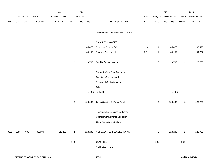|             |     |                |         | 2013               |                | 2014           |                                     |             | 2015             |                | 2015           |                 |
|-------------|-----|----------------|---------|--------------------|----------------|----------------|-------------------------------------|-------------|------------------|----------------|----------------|-----------------|
|             |     | ACCOUNT NUMBER |         | <b>EXPENDITURE</b> |                | <b>BUDGET</b>  |                                     | PAY         | REQUESTED BUDGET |                |                | PROPOSED BUDGET |
| <b>FUND</b> | ORG | <b>SBCL</b>    | ACCOUNT | <b>DOLLARS</b>     | <b>UNITS</b>   | <b>DOLLARS</b> | LINE DESCRIPTION                    | RANGE UNITS |                  | <b>DOLLARS</b> | <b>UNITS</b>   | <b>DOLLARS</b>  |
|             |     |                |         |                    |                |                | DEFERRED COMPENSATION PLAN          |             |                  |                |                |                 |
|             |     |                |         |                    |                |                | SALARIES & WAGES                    |             |                  |                |                |                 |
|             |     |                |         |                    | 1              | 85,476         | Executive Director (Y)              | 1HX         | $\mathbf{1}$     | 85,476         | $\mathbf{1}$   | 85,476          |
|             |     |                |         |                    | $\mathbf{1}$   | 44,257         | Program Assistant II                | 5FN         | $\mathbf{1}$     | 44,257         | $\mathbf{1}$   | 44,257          |
|             |     |                |         |                    | $\overline{2}$ | 129,733        | <b>Total Before Adjustments</b>     |             | $\sqrt{2}$       | 129,733        | $\overline{a}$ | 129,733         |
|             |     |                |         |                    |                |                | Salary & Wage Rate Changes          |             |                  |                |                |                 |
|             |     |                |         |                    |                |                | Overtime Compensated*               |             |                  |                |                |                 |
|             |     |                |         |                    |                |                | Personnel Cost Adjustment           |             |                  |                |                |                 |
|             |     |                |         |                    |                |                | Other                               |             |                  |                |                |                 |
|             |     |                |         |                    |                |                | $(1,498)$ Furlough                  |             |                  | (1, 498)       |                |                 |
|             |     |                |         |                    | $\overline{2}$ | 128,235        | Gross Salaries & Wages Total        |             | $\overline{c}$   | 128,235        | $\overline{2}$ | 129,733         |
|             |     |                |         |                    |                |                | Reimbursable Services Deduction     |             |                  |                |                |                 |
|             |     |                |         |                    |                |                | Capital Improvements Deduction      |             |                  |                |                |                 |
|             |     |                |         |                    |                |                | <b>Grant and Aids Deduction</b>     |             |                  |                |                |                 |
| 0001 0950   |     | R999           | 006000  | 129,283            | $\overline{2}$ |                | 128,235 NET SALARIES & WAGES TOTAL* |             | $\overline{a}$   | 128,235        | $\overline{2}$ | 129,733         |
|             |     |                |         |                    | 2.00           |                | <b>O&amp;M FTE'S</b>                |             | 2.00             |                | 2.00           |                 |
|             |     |                |         |                    |                |                | NON-O&M FTE'S                       |             |                  |                |                |                 |
|             |     |                |         |                    |                |                |                                     |             |                  |                |                |                 |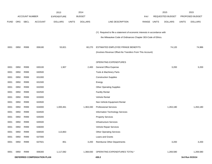|             |                            |                       |                | 2013               |              | 2014           |                                                                           |            |                  | 2015           |              | 2015            |
|-------------|----------------------------|-----------------------|----------------|--------------------|--------------|----------------|---------------------------------------------------------------------------|------------|------------------|----------------|--------------|-----------------|
|             |                            | <b>ACCOUNT NUMBER</b> |                | <b>EXPENDITURE</b> |              | <b>BUDGET</b>  |                                                                           | <b>PAY</b> | REQUESTED BUDGET |                |              | PROPOSED BUDGET |
| <b>FUND</b> | ORG                        | SBCL                  | <b>ACCOUNT</b> | <b>DOLLARS</b>     | <b>UNITS</b> | <b>DOLLARS</b> | LINE DESCRIPTION                                                          | RANGE      | <b>UNITS</b>     | <b>DOLLARS</b> | <b>UNITS</b> | <b>DOLLARS</b>  |
|             |                            |                       |                |                    |              |                |                                                                           |            |                  |                |              |                 |
|             |                            |                       |                |                    |              |                | (Y) Required to file a statement of economic interests in accordance with |            |                  |                |              |                 |
|             |                            |                       |                |                    |              |                | the Milwaukee Code of Ordinances Chapter 303-Code of Ethics.              |            |                  |                |              |                 |
|             |                            |                       |                |                    |              |                |                                                                           |            |                  |                |              |                 |
| 0001        | 0950                       | R999                  | 006180         | 53,821             |              | 60,270         | ESTIMATED EMPLOYEE FRINGE BENEFITS                                        |            |                  | 74,120         |              | 74,986          |
|             |                            |                       |                |                    |              |                | (Involves Revenue Offset-No Transfers From This Account)                  |            |                  |                |              |                 |
|             |                            |                       |                |                    |              |                | OPERATING EXPENDITURES                                                    |            |                  |                |              |                 |
| 0001        | 0950                       | R999                  | 630100         | 1,907              |              | 2,400          | General Office Expense                                                    |            |                  | 3,200          |              | 3,200           |
| 0001        | 0950                       | R999                  | 630500         |                    |              |                | Tools & Machinery Parts                                                   |            |                  |                |              |                 |
| 0001        | 0950                       | R999                  | 631000         |                    |              |                | <b>Construction Supplies</b>                                              |            |                  |                |              |                 |
| 0001        | 0950                       | R999                  | 631500         |                    |              |                | Energy                                                                    |            |                  |                |              |                 |
| 0001        | 0950                       | R999                  | 632000         |                    |              |                | <b>Other Operating Supplies</b>                                           |            |                  |                |              |                 |
| 0001        | 0950                       | R999                  | 632500         |                    |              |                | <b>Facility Rental</b>                                                    |            |                  |                |              |                 |
| 0001        | 0950                       | R999                  | 633000         |                    |              |                | Vehicle Rental                                                            |            |                  |                |              |                 |
| 0001        | 0950                       | R999                  | 633500         |                    |              |                | Non-Vehicle Equipment Rental                                              |            |                  |                |              |                 |
| 0001        | 0950                       | R999                  | 634000         | 1,000,461          |              | 1,363,330      | <b>Professional Services</b>                                              |            |                  | 1,263,180      |              | 1,263,180       |
| 0001        | 0950                       | R999                  | 634500         |                    |              |                | Information Technology Services                                           |            |                  |                |              |                 |
| 0001        | 0950                       | R999                  | 635000         |                    |              |                | <b>Property Services</b>                                                  |            |                  |                |              |                 |
| 0001        | 0950                       | R999                  | 635500         |                    |              |                | <b>Infrastructure Services</b>                                            |            |                  |                |              |                 |
| 0001        | 0950                       | R999                  | 636000         |                    |              |                | Vehicle Repair Services                                                   |            |                  |                |              |                 |
| 0001        | 0950                       | R999                  | 636500         | 113,863            |              |                | <b>Other Operating Services</b>                                           |            |                  |                |              |                 |
| 0001        | 0950                       | R999                  | 637000         |                    |              |                | Loans and Grants                                                          |            |                  |                |              |                 |
| 0001        | 0950                       | R999                  | 637501         | 851                |              | 3,200          | Reimburse Other Departments                                               |            |                  | 3,200          |              | 3,200           |
| 0001        | 0950                       | R999                  | 006300         | 1,117,082          |              | 1,368,930      | OPERATING EXPENDITURES TOTAL*                                             |            |                  | 1,269,580      |              | 1,269,580       |
|             |                            |                       |                |                    |              |                |                                                                           |            |                  |                |              |                 |
|             | DEFERRED COMPENSATION PLAN |                       |                |                    |              |                | 430.2                                                                     |            |                  |                |              | 3rd Run 9/15/14 |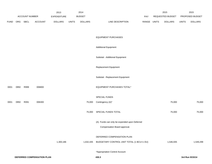|             |      | ACCOUNT NUMBER |                            | 2013<br><b>EXPENDITURE</b> |              | 2014<br><b>BUDGET</b> |                                                                              | PAY   |              | 2015<br>REQUESTED BUDGET |              | 2015<br>PROPOSED BUDGET |
|-------------|------|----------------|----------------------------|----------------------------|--------------|-----------------------|------------------------------------------------------------------------------|-------|--------------|--------------------------|--------------|-------------------------|
| <b>FUND</b> | ORG  | SBCL           | ACCOUNT                    | <b>DOLLARS</b>             | <b>UNITS</b> | <b>DOLLARS</b>        | LINE DESCRIPTION                                                             | RANGE | <b>UNITS</b> | <b>DOLLARS</b>           | <b>UNITS</b> | <b>DOLLARS</b>          |
|             |      |                |                            |                            |              |                       |                                                                              |       |              |                          |              |                         |
|             |      |                |                            |                            |              |                       | <b>EQUIPMENT PURCHASES</b>                                                   |       |              |                          |              |                         |
|             |      |                |                            |                            |              |                       | <b>Additional Equipment</b>                                                  |       |              |                          |              |                         |
|             |      |                |                            |                            |              |                       | Subtotal - Additional Equipment                                              |       |              |                          |              |                         |
|             |      |                |                            |                            |              |                       | Replacement Equipment                                                        |       |              |                          |              |                         |
|             |      |                |                            |                            |              |                       | Subtotal - Replacement Equipment                                             |       |              |                          |              |                         |
| 0001        | 0950 | R999           | 006800                     |                            |              |                       | EQUIPMENT PURCHASES TOTAL*                                                   |       |              |                          |              |                         |
|             |      |                |                            |                            |              |                       | SPECIAL FUNDS                                                                |       |              |                          |              |                         |
| 0001        | 0950 | R091           | 006300                     |                            |              | 75,000                | Contingency (A)*                                                             |       |              | 75,000                   |              | 75,000                  |
|             |      |                |                            |                            |              | 75,000                | SPECIAL FUNDS TOTAL                                                          |       |              | 75,000                   |              | 75,000                  |
|             |      |                |                            |                            |              |                       | (A) Funds can only be expended upon Deferred<br>Compensation Board approval. |       |              |                          |              |                         |
|             |      |                |                            |                            |              |                       | DEFERRED COMPENSATION PLAN                                                   |       |              |                          |              |                         |
|             |      |                |                            | 1,300,186                  |              | 1,632,435             | BUDGETARY CONTROL UNIT TOTAL (1 BCU=1 DU)                                    |       |              | 1,546,935                |              | 1,549,299               |
|             |      |                |                            |                            |              |                       | *Appropriation Control Account                                               |       |              |                          |              |                         |
|             |      |                | DEFERRED COMPENSATION PLAN |                            |              |                       | 430.3                                                                        |       |              |                          |              | 3rd Run 9/15/14         |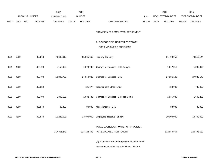|             |            |                       |                | 2013               |              | 2014           |                                                 |       |              | 2015                    |              | 2015            |
|-------------|------------|-----------------------|----------------|--------------------|--------------|----------------|-------------------------------------------------|-------|--------------|-------------------------|--------------|-----------------|
|             |            | <b>ACCOUNT NUMBER</b> |                | <b>EXPENDITURE</b> |              | <b>BUDGET</b>  |                                                 | PAY   |              | <b>REQUESTED BUDGET</b> |              | PROPOSED BUDGET |
| <b>FUND</b> | <b>ORG</b> | SBCL                  | <b>ACCOUNT</b> | <b>DOLLARS</b>     | <b>UNITS</b> | <b>DOLLARS</b> | LINE DESCRIPTION                                | RANGE | <b>UNITS</b> | <b>DOLLARS</b>          | <b>UNITS</b> | <b>DOLLARS</b>  |
|             |            |                       |                |                    |              |                |                                                 |       |              |                         |              |                 |
|             |            |                       |                |                    |              |                | PROVISION FOR EMPLOYES' RETIREMENT              |       |              |                         |              |                 |
|             |            |                       |                |                    |              |                | 2. SOURCE OF FUNDS FOR PROVISION                |       |              |                         |              |                 |
|             |            |                       |                |                    |              |                | FOR EMPLOYES' RETIREMENT                        |       |              |                         |              |                 |
|             |            |                       |                |                    |              |                |                                                 |       |              |                         |              |                 |
| 0001        | 9990       |                       | 009013         | 79,698,013         |              | 85,965,660     | Property Tax Levy                               |       |              | 91,400,953              |              | 78,510,144      |
| 0001        | 4500       |                       | 009400         | 1,152,400          |              | 1,273,783      | Charges for Services - ERS Fringes              |       |              | 1,217,818               |              | 1,232,096       |
|             |            |                       |                |                    |              |                |                                                 |       |              |                         |              |                 |
| 0001        | 4500       |                       | 009400         | 18,896,766         |              | 24,644,935     | Charges for Services - ERS                      |       |              | 27,986,148              |              | 27,986,148      |
|             |            |                       |                |                    |              |                |                                                 |       |              |                         |              |                 |
| 0001        | 2210       |                       | 009930         |                    |              | 721,677        | <b>Transfer from Other Funds</b>                |       |              | 730,000                 |              | 730,000         |
| 0001        | 0950       |                       | 009400         | 1,300,186          |              | 1,632,435      | Charges for Services - Deferred Comp.           |       |              | 1,546,935               |              | 1,549,299       |
|             |            |                       |                |                    |              |                |                                                 |       |              |                         |              |                 |
| 0001        | 4500       |                       | 009870         | 80,300             |              | 90,000         | Miscellaneous - ERS                             |       |              | 88,000                  |              | 88,000          |
| 0001        | 4500       |                       | 009870         | 16,233,608         |              | 13,400,000     | Employers' Reserve Fund (A)                     |       |              | 10,000,000              |              | 10,400,000      |
|             |            |                       |                |                    |              |                |                                                 |       |              |                         |              |                 |
|             |            |                       |                |                    |              |                | TOTAL SOURCE OF FUNDS FOR PROVISION             |       |              |                         |              |                 |
|             |            |                       |                | 117,361,273        |              |                | 127,728,490 FOR EMPLOYES' RETIREMENT            |       |              | 132,969,854             |              | 120,495,687     |
|             |            |                       |                |                    |              |                | (A) Withdrawal from the Employers' Reserve Fund |       |              |                         |              |                 |
|             |            |                       |                |                    |              |                | in accordance with Charter Ordinance 36-08-8.   |       |              |                         |              |                 |
|             |            |                       |                |                    |              |                |                                                 |       |              |                         |              |                 |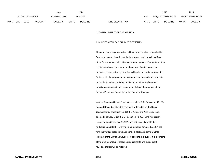|      |                |      |                | 2013           |               | 2014           |                           |                         | 2015           |                        | 2015           |
|------|----------------|------|----------------|----------------|---------------|----------------|---------------------------|-------------------------|----------------|------------------------|----------------|
|      | ACCOUNT NUMBER |      | EXPENDITURE    |                | <b>BUDGET</b> | <b>PAY</b>     |                           | <b>REQUESTED BUDGET</b> |                | <b>PROPOSED BUDGET</b> |                |
| FUND | <b>ORG</b>     | SBCL | <b>ACCOUNT</b> | <b>DOLLARS</b> | <b>UNITS</b>  | <b>DOLLARS</b> | RANGE<br>LINE DESCRIPTION | <b>UNITS</b>            | <b>DOLLARS</b> | <b>UNITS</b>           | <b>DOLLARS</b> |

## C. CAPITAL IMPROVEMENTS FUNDS

## 1. BUDGETS FOR CAPITAL IMPROVEMENTS

These accounts may be credited with amounts received or receivable from assessments levied, contributions, grants, and loans in aid from other Governmental Units. Sales of remnant parcels of property or other receipts which are considered an abatement of project costs and amounts so received or receivable shall be deemed to be appropriated for the particular purpose of the project account to which said amounts are credited and are available for disbursement for said purposes, providing such receipts and disbursements have the approval of the Finance-Personnel Committee of the Common Council.

Various Common Council Resolutions such as C.C. Resolution 88-1664adopted December 20, 1988 commonly referred to as the Capital Guidelines; CC Resolution 66-1893-E, (Grant and Aids Guidelines) adopted February 5, 1982, CC Resolution 72-982 (Land Acquisition Policy) adopted February 23, 1973 and CC Resolution 73-1365 (Industrial Land Bank Revolving Fund) adopted January 15, 1974 set forth the various procedures and controls applicable to the Capital Program of the City of Milwaukee. In adopting this budget it is the Intent of the Common Council that such requirements and subsequent revisions thereto will be followed.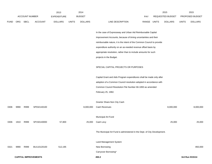|             |      |                       |                             | 2013               |              | 2014           |                                                                          |             | 2015             |              | 2015            |
|-------------|------|-----------------------|-----------------------------|--------------------|--------------|----------------|--------------------------------------------------------------------------|-------------|------------------|--------------|-----------------|
|             |      | <b>ACCOUNT NUMBER</b> |                             | <b>EXPENDITURE</b> |              | <b>BUDGET</b>  |                                                                          | <b>PAY</b>  | REQUESTED BUDGET |              | PROPOSED BUDGET |
| <b>FUND</b> | ORG  | <b>SBCL</b>           | <b>ACCOUNT</b>              | <b>DOLLARS</b>     | <b>UNITS</b> | <b>DOLLARS</b> | LINE DESCRIPTION                                                         | RANGE UNITS | <b>DOLLARS</b>   | <b>UNITS</b> | <b>DOLLARS</b>  |
|             |      |                       |                             |                    |              |                |                                                                          |             |                  |              |                 |
|             |      |                       |                             |                    |              |                | In the case of Expressway and Urban Aid Reimbursable Capital             |             |                  |              |                 |
|             |      |                       |                             |                    |              |                | Improvement Accounts, because of timing uncertainties and their          |             |                  |              |                 |
|             |      |                       |                             |                    |              |                | reimbursable nature, it is the intent of the Common Council to provide   |             |                  |              |                 |
|             |      |                       |                             |                    |              |                | expenditure authority on an as-needed revenue offset basis by            |             |                  |              |                 |
|             |      |                       |                             |                    |              |                | appropriate resolution, rather than to include amounts for such          |             |                  |              |                 |
|             |      |                       |                             |                    |              |                | projects in the Budget.                                                  |             |                  |              |                 |
|             |      |                       |                             |                    |              |                |                                                                          |             |                  |              |                 |
|             |      |                       |                             |                    |              |                | SPECIAL CAPITAL PROJECTS OR PURPOSES                                     |             |                  |              |                 |
|             |      |                       |                             |                    |              |                |                                                                          |             |                  |              |                 |
|             |      |                       |                             |                    |              |                | Capital Grant and Aids Program expenditures shall be made only after     |             |                  |              |                 |
|             |      |                       |                             |                    |              |                | adoption of a Common Council resolution adopted in accordance with       |             |                  |              |                 |
|             |      |                       |                             |                    |              |                | Common Council Resolution File Number 66-1893 as amended                 |             |                  |              |                 |
|             |      |                       |                             |                    |              |                | February 25, 1982.                                                       |             |                  |              |                 |
|             |      |                       |                             |                    |              |                |                                                                          |             |                  |              |                 |
|             |      |                       |                             |                    |              |                | Grantor Share-Non City Cash                                              |             |                  |              |                 |
| 0306        | 9990 | R999                  | SP032140100                 |                    |              | 8,000,000      | Cash Revenues                                                            |             | 8,000,000        |              | 8,000,000       |
|             |      |                       |                             |                    |              |                |                                                                          |             |                  |              |                 |
|             |      |                       |                             |                    |              |                | Municipal Art Fund                                                       |             |                  |              |                 |
| 0306        | 1910 | R999                  | SP150140000                 | 57,800             |              | 25,000         | Cash Levy                                                                |             | 25,000           |              | 25,000          |
|             |      |                       |                             |                    |              |                |                                                                          |             |                  |              |                 |
|             |      |                       |                             |                    |              |                | The Municipal Art Fund is administered in the Dept. of City Development. |             |                  |              |                 |
|             |      |                       |                             |                    |              |                |                                                                          |             |                  |              |                 |
|             |      |                       |                             |                    |              |                | Land Management System                                                   |             |                  |              |                 |
| 0321        | 9990 | R999                  | BU110120100                 | 512,195            |              |                | New Borrowing                                                            |             |                  |              | 850,000         |
|             |      |                       |                             |                    |              |                | Carryover Borrowing*                                                     |             |                  |              |                 |
|             |      |                       | <b>CAPITAL IMPROVEMENTS</b> |                    |              |                | 450.2                                                                    |             |                  |              | 3rd Run 9/15/14 |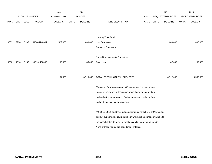|             |      |                       |                | 2013               |              | 2014           |                                                                         |             | 2015                    |              | 2015            |
|-------------|------|-----------------------|----------------|--------------------|--------------|----------------|-------------------------------------------------------------------------|-------------|-------------------------|--------------|-----------------|
|             |      | <b>ACCOUNT NUMBER</b> |                | <b>EXPENDITURE</b> |              | <b>BUDGET</b>  |                                                                         | PAY         | <b>REQUESTED BUDGET</b> |              | PROPOSED BUDGET |
| <b>FUND</b> | ORG  | SBCL                  | <b>ACCOUNT</b> | <b>DOLLARS</b>     | <b>UNITS</b> | <b>DOLLARS</b> | LINE DESCRIPTION                                                        | RANGE UNITS | <b>DOLLARS</b>          | <b>UNITS</b> | <b>DOLLARS</b>  |
|             |      |                       |                |                    |              |                |                                                                         |             |                         |              |                 |
|             |      |                       |                |                    |              |                |                                                                         |             |                         |              |                 |
|             |      |                       |                |                    |              |                | Housing Trust Fund                                                      |             |                         |              |                 |
| 0339        | 9990 | R999                  | UR04414000A    | 529,005            |              | 600,000        | New Borrowing                                                           |             | 600,000                 |              | 600,000         |
|             |      |                       |                |                    |              |                | Carryover Borrowing*                                                    |             |                         |              |                 |
|             |      |                       |                |                    |              |                |                                                                         |             |                         |              |                 |
|             |      |                       |                |                    |              |                | Capital Improvements Committee                                          |             |                         |              |                 |
| 0306        | 1310 | R999                  | SP151130000    | 85,055             |              | 85,000         | Cash Levy                                                               |             | 87,000                  |              | 87,000          |
|             |      |                       |                |                    |              |                |                                                                         |             |                         |              |                 |
|             |      |                       |                |                    |              |                |                                                                         |             |                         |              |                 |
|             |      |                       |                | 1,184,055          |              | 8,710,000      | TOTAL SPECIAL CAPITAL PROJECTS                                          |             | 8,712,000               |              | 9,562,000       |
|             |      |                       |                |                    |              |                |                                                                         |             |                         |              |                 |
|             |      |                       |                |                    |              |                | *Carryover Borrowing Amounts (Restatement of a prior year's             |             |                         |              |                 |
|             |      |                       |                |                    |              |                | unutilized borrowing authorization are included for information         |             |                         |              |                 |
|             |      |                       |                |                    |              |                | and authorization purposes. Such amounts are excluded from              |             |                         |              |                 |
|             |      |                       |                |                    |              |                | budget totals to avoid duplication.)                                    |             |                         |              |                 |
|             |      |                       |                |                    |              |                |                                                                         |             |                         |              |                 |
|             |      |                       |                |                    |              |                | (A) 2011, 2012, and 2013 budgeted amounts reflect City of Milwaukee,    |             |                         |              |                 |
|             |      |                       |                |                    |              |                | tax levy-supported borrowing authority which is being made available to |             |                         |              |                 |
|             |      |                       |                |                    |              |                | the school district to assist in meeting capital improvement needs.     |             |                         |              |                 |
|             |      |                       |                |                    |              |                | None of these figures are added into city totals.                       |             |                         |              |                 |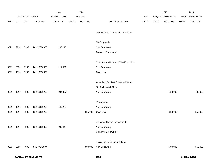|             |      |                       |                | 2013               |              | 2014           |                                         |       |       | 2015             |              | 2015            |
|-------------|------|-----------------------|----------------|--------------------|--------------|----------------|-----------------------------------------|-------|-------|------------------|--------------|-----------------|
|             |      | <b>ACCOUNT NUMBER</b> |                | <b>EXPENDITURE</b> |              | <b>BUDGET</b>  |                                         | PAY   |       | REQUESTED BUDGET |              | PROPOSED BUDGET |
| <b>FUND</b> | ORG  | SBCL                  | <b>ACCOUNT</b> | <b>DOLLARS</b>     | <b>UNITS</b> | <b>DOLLARS</b> | LINE DESCRIPTION                        | RANGE | UNITS | <b>DOLLARS</b>   | <b>UNITS</b> | <b>DOLLARS</b>  |
|             |      |                       |                |                    |              |                |                                         |       |       |                  |              |                 |
|             |      |                       |                |                    |              |                | DEPARTMENT OF ADMINISTRATION            |       |       |                  |              |                 |
|             |      |                       |                |                    |              |                |                                         |       |       |                  |              |                 |
|             |      |                       |                |                    |              |                | FMIS Upgrade                            |       |       |                  |              |                 |
| 0321        | 9990 | R999                  | BU110090300    | 166,113            |              |                | New Borrowing                           |       |       |                  |              |                 |
|             |      |                       |                |                    |              |                | Carryover Borrowing*                    |       |       |                  |              |                 |
|             |      |                       |                |                    |              |                |                                         |       |       |                  |              |                 |
|             |      |                       |                |                    |              |                | Storage Area Network (SAN) Expansion    |       |       |                  |              |                 |
| 0321        | 9990 | R999                  | BU110090600    | 111,561            |              |                | New Borrowing                           |       |       |                  |              |                 |
| 0321        | 1510 | R999                  | BU110090600    |                    |              |                | Cash Levy                               |       |       |                  |              |                 |
|             |      |                       |                |                    |              |                |                                         |       |       |                  |              |                 |
|             |      |                       |                |                    |              |                | Workplace Safety & Efficiency Project - |       |       |                  |              |                 |
|             |      |                       |                |                    |              |                | 809 Building 4th Floor                  |       |       |                  |              |                 |
| 0321        | 1510 | R999                  | BU110130200    | 284,327            |              |                | New Borrowing                           |       |       | 750,000          |              | 400,000         |
|             |      |                       |                |                    |              |                |                                         |       |       |                  |              |                 |
|             |      |                       |                |                    |              |                | <b>IT Upgrades</b>                      |       |       |                  |              |                 |
| 0321        | 1510 | R999                  | BU110120200    | 149,280            |              |                | New Borrowing                           |       |       |                  |              |                 |
| 0321        | 1510 | R999                  | BU110120200    |                    |              | 285,000        | Cash Levy                               |       |       | 280,000          |              | 250,000         |
|             |      |                       |                |                    |              |                |                                         |       |       |                  |              |                 |
|             |      |                       |                |                    |              |                | Exchange Server Replacement             |       |       |                  |              |                 |
| 0321        | 1510 | R999                  | BU110120300    | 209,445            |              |                | New Borrowing                           |       |       |                  |              |                 |
|             |      |                       |                |                    |              |                | Carryover Borrowing*                    |       |       |                  |              |                 |
|             |      |                       |                |                    |              |                |                                         |       |       |                  |              |                 |
|             |      |                       |                |                    |              |                | <b>Public Facility Communications</b>   |       |       |                  |              |                 |
| 0333        | 9990 | R999                  | ST27014000A    |                    |              | 500,000        | New Borrowing                           |       |       | 700,000          |              | 550,000         |
|             |      |                       |                |                    |              |                |                                         |       |       |                  |              |                 |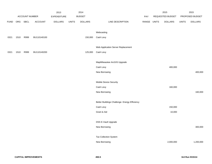|             |      |                |             | 2013           |              | 2014           |                                               |             | 2015             |              | 2015            |
|-------------|------|----------------|-------------|----------------|--------------|----------------|-----------------------------------------------|-------------|------------------|--------------|-----------------|
|             |      | ACCOUNT NUMBER |             | EXPENDITURE    |              | <b>BUDGET</b>  |                                               | PAY         | REQUESTED BUDGET |              | PROPOSED BUDGET |
| <b>FUND</b> | ORG  | <b>SBCL</b>    | ACCOUNT     | <b>DOLLARS</b> | <b>UNITS</b> | <b>DOLLARS</b> | LINE DESCRIPTION                              | RANGE UNITS | <b>DOLLARS</b>   | <b>UNITS</b> | <b>DOLLARS</b>  |
|             |      |                |             |                |              |                |                                               |             |                  |              |                 |
|             |      |                |             |                |              |                | Webcasting                                    |             |                  |              |                 |
| 0321        | 1510 | R999           | BU110140100 |                |              | 150,000        | Cash Levy                                     |             |                  |              |                 |
|             |      |                |             |                |              |                |                                               |             |                  |              |                 |
|             |      |                |             |                |              |                | Web Application Server Replacement            |             |                  |              |                 |
| 0321        | 1510 | R999           | BU110140200 |                |              | 125,000        | Cash Levy                                     |             |                  |              |                 |
|             |      |                |             |                |              |                |                                               |             |                  |              |                 |
|             |      |                |             |                |              |                | MapMilwaukee ArcGIS Upgrade                   |             |                  |              |                 |
|             |      |                |             |                |              |                | Cash Levy                                     |             | 400,000          |              |                 |
|             |      |                |             |                |              |                | New Borrowing                                 |             |                  |              | 400,000         |
|             |      |                |             |                |              |                |                                               |             |                  |              |                 |
|             |      |                |             |                |              |                | Mobile Device Security                        |             |                  |              |                 |
|             |      |                |             |                |              |                | Cash Levy                                     |             | 160,000          |              |                 |
|             |      |                |             |                |              |                | New Borrowing                                 |             |                  |              | 160,000         |
|             |      |                |             |                |              |                |                                               |             |                  |              |                 |
|             |      |                |             |                |              |                | Better Buildings Challenge- Energy Efficiency |             |                  |              |                 |
|             |      |                |             |                |              |                | Cash Levy                                     |             | 150,000          |              |                 |
|             |      |                |             |                |              |                | Grant & Aid                                   |             | 10,000           |              |                 |
|             |      |                |             |                |              |                |                                               |             |                  |              |                 |
|             |      |                |             |                |              |                | DSS E-Vault Upgrade                           |             |                  |              |                 |
|             |      |                |             |                |              |                | New Borrowing                                 |             |                  |              | 300,000         |
|             |      |                |             |                |              |                |                                               |             |                  |              |                 |
|             |      |                |             |                |              |                | <b>Tax Collection System</b>                  |             |                  |              |                 |
|             |      |                |             |                |              |                | New Borrowing                                 |             | 2,000,000        |              | 1,200,000       |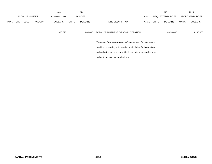|             |            |                       |                | 2013               |                                                             | 2014                                                            |                                      |            |       | 2015                    |              | 2015                   |
|-------------|------------|-----------------------|----------------|--------------------|-------------------------------------------------------------|-----------------------------------------------------------------|--------------------------------------|------------|-------|-------------------------|--------------|------------------------|
|             |            | <b>ACCOUNT NUMBER</b> |                | <b>EXPENDITURE</b> |                                                             | <b>BUDGET</b>                                                   |                                      | <b>PAY</b> |       | <b>REQUESTED BUDGET</b> |              | <b>PROPOSED BUDGET</b> |
| <b>FUND</b> | <b>ORG</b> | <b>SBCL</b>           | <b>ACCOUNT</b> | <b>DOLLARS</b>     | <b>UNITS</b>                                                | <b>DOLLARS</b>                                                  | LINE DESCRIPTION                     | RANGE      | UNITS | <b>DOLLARS</b>          | <b>UNITS</b> | <b>DOLLARS</b>         |
|             |            |                       |                |                    |                                                             |                                                                 |                                      |            |       |                         |              |                        |
|             |            |                       |                | 920,726            |                                                             | 1,060,000                                                       | TOTAL DEPARTMENT OF ADMINISTRATION   |            |       | 4,450,000               |              | 3,260,000              |
|             |            |                       |                |                    |                                                             |                                                                 |                                      |            |       |                         |              |                        |
|             |            |                       |                |                    | *Carryover Borrowing Amounts (Restatement of a prior year's |                                                                 |                                      |            |       |                         |              |                        |
|             |            |                       |                |                    |                                                             | unutilized borrowing authorization are included for information |                                      |            |       |                         |              |                        |
|             |            |                       |                |                    |                                                             | and authorization purposes. Such amounts are excluded from      |                                      |            |       |                         |              |                        |
|             |            |                       |                |                    |                                                             |                                                                 | budget totals to avoid duplication.) |            |       |                         |              |                        |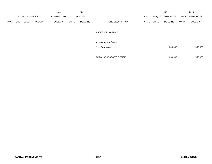|             |            |                       |                | 2013               |              | 2014           |                            |            |       | 2015                    |              | 2015            |
|-------------|------------|-----------------------|----------------|--------------------|--------------|----------------|----------------------------|------------|-------|-------------------------|--------------|-----------------|
|             |            | <b>ACCOUNT NUMBER</b> |                | <b>EXPENDITURE</b> |              | <b>BUDGET</b>  |                            | <b>PAY</b> |       | <b>REQUESTED BUDGET</b> |              | PROPOSED BUDGET |
| <b>FUND</b> | <b>ORG</b> | <b>SBCL</b>           | <b>ACCOUNT</b> | <b>DOLLARS</b>     | <b>UNITS</b> | <b>DOLLARS</b> | LINE DESCRIPTION           | RANGE      | UNITS | <b>DOLLARS</b>          | <b>UNITS</b> | <b>DOLLARS</b>  |
|             |            |                       |                |                    |              |                |                            |            |       |                         |              |                 |
|             |            |                       |                |                    |              |                | <b>ASSESSOR'S OFFICE</b>   |            |       |                         |              |                 |
|             |            |                       |                |                    |              |                | <b>Assessment Software</b> |            |       |                         |              |                 |
|             |            |                       |                |                    |              |                | New Borrowing              |            |       | 833,500                 |              | 555,000         |
|             |            |                       |                |                    |              |                |                            |            |       |                         |              |                 |
|             |            |                       |                |                    |              |                | TOTAL ASSESSOR'S OFFICE    |            |       | 833,500                 |              | 555,000         |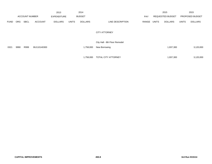|             |            |                       |                | 2013               |              | 2014           |                               |            |       | 2015                    |              | 2015            |
|-------------|------------|-----------------------|----------------|--------------------|--------------|----------------|-------------------------------|------------|-------|-------------------------|--------------|-----------------|
|             |            | <b>ACCOUNT NUMBER</b> |                | <b>EXPENDITURE</b> |              | <b>BUDGET</b>  |                               | <b>PAY</b> |       | <b>REQUESTED BUDGET</b> |              | PROPOSED BUDGET |
| <b>FUND</b> | <b>ORG</b> | <b>SBCL</b>           | <b>ACCOUNT</b> | <b>DOLLARS</b>     | <b>UNITS</b> | <b>DOLLARS</b> | LINE DESCRIPTION              | RANGE      | UNITS | <b>DOLLARS</b>          | <b>UNITS</b> | <b>DOLLARS</b>  |
|             |            |                       |                |                    |              |                | <b>CITY ATTORNEY</b>          |            |       |                         |              |                 |
|             |            |                       |                |                    |              |                | City Hall - 8th Floor Remodel |            |       |                         |              |                 |
| 0321        | 9990       | R999                  | BU110140300    |                    |              | 1,758,000      | New Borrowing                 |            |       | 1,937,300               |              | 3,120,000       |
|             |            |                       |                |                    |              |                |                               |            |       |                         |              |                 |
|             |            |                       |                |                    |              | 1,758,000      | <b>TOTAL CITY ATTORNEY</b>    |            |       | 1,937,300               |              | 3,120,000       |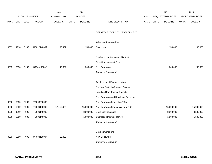|             |      |                       |                | 2013               |              | 2014           |                                      |       |              | 2015             |              | 2015            |
|-------------|------|-----------------------|----------------|--------------------|--------------|----------------|--------------------------------------|-------|--------------|------------------|--------------|-----------------|
|             |      | <b>ACCOUNT NUMBER</b> |                | <b>EXPENDITURE</b> |              | <b>BUDGET</b>  |                                      | PAY   |              | REQUESTED BUDGET |              | PROPOSED BUDGET |
| <b>FUND</b> | ORG  | <b>SBCL</b>           | <b>ACCOUNT</b> | <b>DOLLARS</b>     | <b>UNITS</b> | <b>DOLLARS</b> | LINE DESCRIPTION                     | RANGE | <b>UNITS</b> | <b>DOLLARS</b>   | <b>UNITS</b> | <b>DOLLARS</b>  |
|             |      |                       |                |                    |              |                |                                      |       |              |                  |              |                 |
|             |      |                       |                |                    |              |                | DEPARTMENT OF CITY DEVELOPMENT       |       |              |                  |              |                 |
|             |      |                       |                |                    |              |                |                                      |       |              |                  |              |                 |
|             |      |                       |                |                    |              |                | Advanced Planning Fund               |       |              |                  |              |                 |
| 0339        | 1910 | R999                  | UR01214000A    | 136,427            |              | 150,000        | Cash Levy                            |       |              | 150,000          |              | 100,000         |
|             |      |                       |                |                    |              |                | Neighborhood Commercial District     |       |              |                  |              |                 |
|             |      |                       |                |                    |              |                |                                      |       |              |                  |              |                 |
|             |      |                       |                |                    |              |                | Street Improvement Fund              |       |              |                  |              |                 |
| 0333        | 9990 | R999                  | ST04014000A    | 45,322             |              | 300,000        | New Borrowing                        |       |              | 600,000          |              | 200,000         |
|             |      |                       |                |                    |              |                | Carryover Borrowing*                 |       |              |                  |              |                 |
|             |      |                       |                |                    |              |                |                                      |       |              |                  |              |                 |
|             |      |                       |                |                    |              |                | Tax Increment Financed Urban         |       |              |                  |              |                 |
|             |      |                       |                |                    |              |                | Renewal Projects (Purpose Account)   |       |              |                  |              |                 |
|             |      |                       |                |                    |              |                | Including Grant Funded Projects      |       |              |                  |              |                 |
|             |      |                       |                |                    |              |                | New Borrowing and Developer Revenues |       |              |                  |              |                 |
| 0336        | 9990 | R999                  | TD000080000    |                    |              |                | New Borrowing for existing TIDs      |       |              |                  |              |                 |
| 0336        | 9990 | R999                  | TD000140000    | 17,419,069         |              | 15,000,000     | New Borrowing for potential new TIDs |       |              | 15,000,000       |              | 15,000,000      |
| 0336        | 1910 | R999                  | TD000140003    |                    |              | 3,500,000      | Developer Revenues                   |       |              | 3,500,000        |              | 3,500,000       |
| 0336        | 9990 | R999                  | TD000140000    |                    |              | 1,000,000      | Capitalized Interest - Borrow        |       |              | 1,500,000        |              | 1,500,000       |
|             |      |                       |                |                    |              |                | Carryover Borrowing*                 |       |              |                  |              |                 |
|             |      |                       |                |                    |              |                |                                      |       |              |                  |              |                 |
|             |      |                       |                |                    |              |                | Development Fund                     |       |              |                  |              |                 |
| 0339        | 9990 | R999                  | UR03311000A    | 715,403            |              |                | New Borrowing                        |       |              |                  |              |                 |
|             |      |                       |                |                    |              |                | Carryover Borrowing*                 |       |              |                  |              |                 |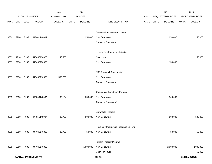|             |      |                       |                             | 2013               |              | 2014           |                                          |       |              | 2015             |              | 2015            |
|-------------|------|-----------------------|-----------------------------|--------------------|--------------|----------------|------------------------------------------|-------|--------------|------------------|--------------|-----------------|
|             |      | <b>ACCOUNT NUMBER</b> |                             | <b>EXPENDITURE</b> |              | <b>BUDGET</b>  |                                          | PAY   |              | REQUESTED BUDGET |              | PROPOSED BUDGET |
| <b>FUND</b> | ORG  | SBCL                  | <b>ACCOUNT</b>              | <b>DOLLARS</b>     | <b>UNITS</b> | <b>DOLLARS</b> | LINE DESCRIPTION                         | RANGE | <b>UNITS</b> | <b>DOLLARS</b>   | <b>UNITS</b> | <b>DOLLARS</b>  |
|             |      |                       |                             |                    |              |                |                                          |       |              |                  |              |                 |
|             |      |                       |                             |                    |              |                | <b>Business Improvement Districts</b>    |       |              |                  |              |                 |
| 0339        | 9990 | R999                  | UR04114000A                 |                    |              | 250,000        | New Borrowing                            |       |              | 250,000          |              | 250,000         |
|             |      |                       |                             |                    |              |                | Carryover Borrowing*                     |       |              |                  |              |                 |
|             |      |                       |                             |                    |              |                |                                          |       |              |                  |              |                 |
|             |      |                       |                             |                    |              |                | Healthy Neighborhoods Initiative         |       |              |                  |              |                 |
| 0339        | 1910 | R999                  | UR046130000                 | 146,583            |              |                | Cash Levy                                |       |              |                  |              | 150,000         |
| 0339        | 9990 | R999                  | UR046130000                 |                    |              |                | New Borrowing                            |       |              | 150,000          |              |                 |
|             |      |                       |                             |                    |              |                | <b>ADA Riverwalk Construction</b>        |       |              |                  |              |                 |
| 0339        | 9990 | R999                  | UR047110000                 | 580,796            |              |                | New Borrowing                            |       |              |                  |              |                 |
|             |      |                       |                             |                    |              |                | Carryover Borrowing*                     |       |              |                  |              |                 |
|             |      |                       |                             |                    |              |                |                                          |       |              |                  |              |                 |
|             |      |                       |                             |                    |              |                | Commercial Investment Program            |       |              |                  |              |                 |
| 0339        | 9990 | R999                  | UR05014000A                 | 163,134            |              | 250,000        | New Borrowing                            |       |              | 500,000          |              |                 |
|             |      |                       |                             |                    |              |                | Carryover Borrowing*                     |       |              |                  |              |                 |
|             |      |                       |                             |                    |              |                |                                          |       |              |                  |              |                 |
|             |      |                       |                             |                    |              |                | <b>Brownfield Program</b>                |       |              |                  |              |                 |
| 0339        | 9990 | R999                  | UR05114000A                 | 429,756            |              | 500,000        | New Borrowing                            |       |              | 500,000          |              | 500,000         |
|             |      |                       |                             |                    |              |                |                                          |       |              |                  |              |                 |
|             |      |                       |                             |                    |              |                | Housing Infrastructure Preservation Fund |       |              |                  |              |                 |
| 0339        | 9990 | R999                  | UR048140000                 | 480,705            |              | 450,000        | New Borrowing                            |       |              | 450,000          |              | 450,000         |
|             |      |                       |                             |                    |              |                | In Rem Property Program                  |       |              |                  |              |                 |
| 0339        | 9990 | R999                  | UR049140000                 |                    |              | 1,900,000      | New Borrowing                            |       |              | 2,000,000        |              | 2,000,000       |
|             |      |                       |                             |                    |              |                | Cash Revenues                            |       |              |                  |              | 750,000         |
|             |      |                       | <b>CAPITAL IMPROVEMENTS</b> |                    |              |                | 450.10                                   |       |              |                  |              | 3rd Run 9/15/14 |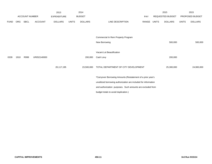|             |            |                |                | 2013               |              | 2014           |                                                                 |            |              | 2015             |              | 2015            |
|-------------|------------|----------------|----------------|--------------------|--------------|----------------|-----------------------------------------------------------------|------------|--------------|------------------|--------------|-----------------|
|             |            | ACCOUNT NUMBER |                | <b>EXPENDITURE</b> |              | <b>BUDGET</b>  |                                                                 | <b>PAY</b> |              | REQUESTED BUDGET |              | PROPOSED BUDGET |
| <b>FUND</b> | <b>ORG</b> | <b>SBCL</b>    | <b>ACCOUNT</b> | <b>DOLLARS</b>     | <b>UNITS</b> | <b>DOLLARS</b> | LINE DESCRIPTION                                                | RANGE      | <b>UNITS</b> | <b>DOLLARS</b>   | <b>UNITS</b> | <b>DOLLARS</b>  |
|             |            |                |                |                    |              |                |                                                                 |            |              |                  |              |                 |
|             |            |                |                |                    |              |                |                                                                 |            |              |                  |              |                 |
|             |            |                |                |                    |              |                | Commercial In Rem Property Program                              |            |              |                  |              |                 |
|             |            |                |                |                    |              |                | New Borrowing                                                   |            |              | 500,000          |              | 500,000         |
|             |            |                |                |                    |              |                |                                                                 |            |              |                  |              |                 |
|             |            |                |                |                    |              |                | Vacant Lot Beautification                                       |            |              |                  |              |                 |
| 0339        | 1910       | R999           | UR052140000    |                    |              | 200,000        | Cash Levy                                                       |            |              | 200,000          |              |                 |
|             |            |                |                |                    |              |                |                                                                 |            |              |                  |              |                 |
|             |            |                |                | 20,117,195         |              | 23,500,000     | TOTAL DEPARTMENT OF CITY DEVELOPMENT                            |            |              | 25,300,000       |              | 24,900,000      |
|             |            |                |                |                    |              |                |                                                                 |            |              |                  |              |                 |
|             |            |                |                |                    |              |                | *Carryover Borrowing Amounts (Restatement of a prior year's     |            |              |                  |              |                 |
|             |            |                |                |                    |              |                | unutilized borrowing authorization are included for information |            |              |                  |              |                 |
|             |            |                |                |                    |              |                | and authorization purposes. Such amounts are excluded from      |            |              |                  |              |                 |
|             |            |                |                |                    |              |                | budget totals to avoid duplication.)                            |            |              |                  |              |                 |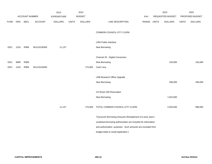|             |      |                       |             | 2013               |              | 2014           |                                                                 |       |              | 2015             |              | 2015            |
|-------------|------|-----------------------|-------------|--------------------|--------------|----------------|-----------------------------------------------------------------|-------|--------------|------------------|--------------|-----------------|
|             |      | <b>ACCOUNT NUMBER</b> |             | <b>EXPENDITURE</b> |              | <b>BUDGET</b>  |                                                                 | PAY   |              | REQUESTED BUDGET |              | PROPOSED BUDGET |
| <b>FUND</b> | ORG  | <b>SBCL</b>           | ACCOUNT     | <b>DOLLARS</b>     | <b>UNITS</b> | <b>DOLLARS</b> | LINE DESCRIPTION                                                | RANGE | <b>UNITS</b> | <b>DOLLARS</b>   | <b>UNITS</b> | <b>DOLLARS</b>  |
|             |      |                       |             |                    |              |                |                                                                 |       |              |                  |              |                 |
|             |      |                       |             |                    |              |                | COMMON COUNCIL-CITY CLERK                                       |       |              |                  |              |                 |
|             |      |                       |             |                    |              |                |                                                                 |       |              |                  |              |                 |
|             |      |                       |             |                    |              |                | <b>LIRA Public Interface</b>                                    |       |              |                  |              |                 |
| 0321        | 1310 | R999                  | BU110130300 | 11,137             |              |                | New Borrowing                                                   |       |              |                  |              |                 |
|             |      |                       |             |                    |              |                |                                                                 |       |              |                  |              |                 |
|             |      |                       |             |                    |              |                | Channel 25 - Digital Conversion                                 |       |              |                  |              |                 |
| 0321        | 9990 | R999                  |             |                    |              |                | New Borrowing                                                   |       |              | 150,000          |              | 150,000         |
| 0321        | 1310 | R999                  | BU110140400 |                    |              | 175,000        | Cash Levy                                                       |       |              |                  |              |                 |
|             |      |                       |             |                    |              |                |                                                                 |       |              |                  |              |                 |
|             |      |                       |             |                    |              |                | LRB Research Office Upgrade                                     |       |              |                  |              |                 |
|             |      |                       |             |                    |              |                | New Borrowing                                                   |       |              | 438,000          |              | 438,000         |
|             |      |                       |             |                    |              |                |                                                                 |       |              |                  |              |                 |
|             |      |                       |             |                    |              |                | CH Room 205 Renovation                                          |       |              |                  |              |                 |
|             |      |                       |             |                    |              |                | New Borrowing                                                   |       |              | 1,915,000        |              |                 |
|             |      |                       |             |                    |              |                |                                                                 |       |              |                  |              |                 |
|             |      |                       |             | 11,137             |              | 175,000        | TOTAL COMMON COUNCIL-CITY CLERK                                 |       |              | 2,503,000        |              | 588,000         |
|             |      |                       |             |                    |              |                |                                                                 |       |              |                  |              |                 |
|             |      |                       |             |                    |              |                | *Carryover Borrowing Amounts (Restatement of a prior year's     |       |              |                  |              |                 |
|             |      |                       |             |                    |              |                | unutilized borrowing authorization are included for information |       |              |                  |              |                 |
|             |      |                       |             |                    |              |                | and authorization purposes. Such amounts are excluded from      |       |              |                  |              |                 |
|             |      |                       |             |                    |              |                | budget totals to avoid duplication.)                            |       |              |                  |              |                 |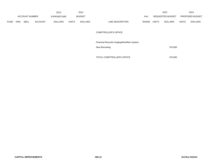|             |            |                       |                | 2013           |              | 2014          |                  |       |              | 2015             |              | 2015                   |
|-------------|------------|-----------------------|----------------|----------------|--------------|---------------|------------------|-------|--------------|------------------|--------------|------------------------|
|             |            | <b>ACCOUNT NUMBER</b> |                | EXPENDITURE    |              | <b>BUDGET</b> |                  | PAY   |              | REQUESTED BUDGET |              | <b>PROPOSED BUDGET</b> |
| <b>FUND</b> | <b>ORG</b> | <b>SBCL</b>           | <b>ACCOUNT</b> | <b>DOLLARS</b> | <b>UNITS</b> | DOLLARS       | LINE DESCRIPTION | RANGE | <b>UNITS</b> | <b>DOLLARS</b>   | <b>UNITS</b> | <b>DOLLARS</b>         |

## COMPTROLLER'S OFFICE

|  | Financial Records Imaging/Workflow System |  |
|--|-------------------------------------------|--|
|  |                                           |  |

| New Borrowing | 370,000 |
|---------------|---------|
|               |         |

TOTAL COMPTROLLER'S OFFICE 370,000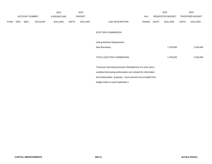|             |     |                |                | 2013               |              | 2014           |                                                                 |       |              | 2015             |              | 2015            |
|-------------|-----|----------------|----------------|--------------------|--------------|----------------|-----------------------------------------------------------------|-------|--------------|------------------|--------------|-----------------|
|             |     | ACCOUNT NUMBER |                | <b>EXPENDITURE</b> |              | <b>BUDGET</b>  |                                                                 | PAY   |              | REQUESTED BUDGET |              | PROPOSED BUDGET |
| <b>FUND</b> | ORG | SBCL           | <b>ACCOUNT</b> | <b>DOLLARS</b>     | <b>UNITS</b> | <b>DOLLARS</b> | LINE DESCRIPTION                                                | RANGE | <b>UNITS</b> | <b>DOLLARS</b>   | <b>UNITS</b> | <b>DOLLARS</b>  |
|             |     |                |                |                    |              |                | ELECTION COMMISSION                                             |       |              |                  |              |                 |
|             |     |                |                |                    |              |                | Voting Machine Replacement                                      |       |              |                  |              |                 |
|             |     |                |                |                    |              |                | New Borrowing                                                   |       |              | 1,700,000        |              | 1,530,000       |
|             |     |                |                |                    |              |                | TOTAL ELECTION COMMISSION                                       |       |              | 1,700,000        |              | 1,530,000       |
|             |     |                |                |                    |              |                | *Carryover Borrowing Amounts (Restatement of a prior year's     |       |              |                  |              |                 |
|             |     |                |                |                    |              |                | unutilized borrowing authorization are included for information |       |              |                  |              |                 |
|             |     |                |                |                    |              |                | and authorization purposes. Such amounts are excluded from      |       |              |                  |              |                 |
|             |     |                |                |                    |              |                | budget totals to avoid duplication.)                            |       |              |                  |              |                 |
|             |     |                |                |                    |              |                |                                                                 |       |              |                  |              |                 |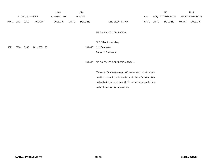|             |      |                       |                | 2013               |              | 2014           |                                                                 |             | 2015             |              | 2015            |
|-------------|------|-----------------------|----------------|--------------------|--------------|----------------|-----------------------------------------------------------------|-------------|------------------|--------------|-----------------|
|             |      | <b>ACCOUNT NUMBER</b> |                | <b>EXPENDITURE</b> |              | <b>BUDGET</b>  |                                                                 | PAY         | REQUESTED BUDGET |              | PROPOSED BUDGET |
| <b>FUND</b> | ORG  | SBCL                  | <b>ACCOUNT</b> | <b>DOLLARS</b>     | <b>UNITS</b> | <b>DOLLARS</b> | LINE DESCRIPTION                                                | RANGE UNITS | <b>DOLLARS</b>   | <b>UNITS</b> | <b>DOLLARS</b>  |
|             |      |                       |                |                    |              |                | FIRE & POLICE COMMISSION                                        |             |                  |              |                 |
|             |      |                       |                |                    |              |                | FPC Office Remodeling                                           |             |                  |              |                 |
| 0321        | 9990 | R999                  | BU110091100    |                    |              | 150,000        | New Borrowing                                                   |             |                  |              |                 |
|             |      |                       |                |                    |              |                | Carryover Borrowing*                                            |             |                  |              |                 |
|             |      |                       |                |                    |              | 150,000        | FIRE & POLICE COMMISSION TOTAL                                  |             |                  |              |                 |
|             |      |                       |                |                    |              |                | *Carryover Borrowing Amounts (Restatement of a prior year's     |             |                  |              |                 |
|             |      |                       |                |                    |              |                | unutilized borrowing authorization are included for information |             |                  |              |                 |
|             |      |                       |                |                    |              |                | and authorization purposes. Such amounts are excluded from      |             |                  |              |                 |
|             |      |                       |                |                    |              |                | budget totals to avoid duplication.)                            |             |                  |              |                 |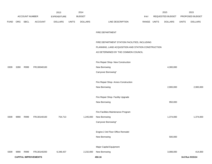|             |      |                       |                             | 2013               |              | 2014           |                                                     |             | 2015             |              | 2015            |
|-------------|------|-----------------------|-----------------------------|--------------------|--------------|----------------|-----------------------------------------------------|-------------|------------------|--------------|-----------------|
|             |      | <b>ACCOUNT NUMBER</b> |                             | <b>EXPENDITURE</b> |              | <b>BUDGET</b>  |                                                     | PAY         | REQUESTED BUDGET |              | PROPOSED BUDGET |
| <b>FUND</b> | ORG  | SBCL                  | <b>ACCOUNT</b>              | <b>DOLLARS</b>     | <b>UNITS</b> | <b>DOLLARS</b> | LINE DESCRIPTION                                    | RANGE UNITS | <b>DOLLARS</b>   | <b>UNITS</b> | <b>DOLLARS</b>  |
|             |      |                       |                             |                    |              |                |                                                     |             |                  |              |                 |
|             |      |                       |                             |                    |              |                | FIRE DEPARTMENT                                     |             |                  |              |                 |
|             |      |                       |                             |                    |              |                |                                                     |             |                  |              |                 |
|             |      |                       |                             |                    |              |                | FIRE DEPARTMENT STATION FACILITIES, INCLUDING       |             |                  |              |                 |
|             |      |                       |                             |                    |              |                | PLANNING, LAND ACQUISITION AND STATION CONSTRUCTION |             |                  |              |                 |
|             |      |                       |                             |                    |              |                | AS DETERMINED BY THE COMMON COUNCIL                 |             |                  |              |                 |
|             |      |                       |                             |                    |              |                |                                                     |             |                  |              |                 |
|             |      |                       |                             |                    |              |                | Fire Repair Shop- New Construction                  |             |                  |              |                 |
| 0309        | 3280 | R999                  | FR130040100                 |                    |              |                | New Borrowing                                       |             | 4,300,000        |              |                 |
|             |      |                       |                             |                    |              |                | Carryover Borrowing*                                |             |                  |              |                 |
|             |      |                       |                             |                    |              |                |                                                     |             |                  |              |                 |
|             |      |                       |                             |                    |              |                | Fire Repair Shop- Annex Construction                |             |                  |              |                 |
|             |      |                       |                             |                    |              |                | New Borrowing                                       |             | 2,900,000        |              | 2,900,000       |
|             |      |                       |                             |                    |              |                |                                                     |             |                  |              |                 |
|             |      |                       |                             |                    |              |                | Fire Repair Shop- Facility Upgrade                  |             |                  |              |                 |
|             |      |                       |                             |                    |              |                | New Borrowing                                       |             | 950,000          |              |                 |
|             |      |                       |                             |                    |              |                |                                                     |             |                  |              |                 |
|             |      |                       |                             |                    |              |                | Fire Facilities Maintenance Program                 |             |                  |              |                 |
| 0309        | 9990 | R999                  | FR130140100                 | 754,713            |              | 1,245,000      | New Borrowing                                       |             | 1,374,000        |              | 1,374,000       |
|             |      |                       |                             |                    |              |                | Carryover Borrowing*                                |             |                  |              |                 |
|             |      |                       |                             |                    |              |                |                                                     |             |                  |              |                 |
|             |      |                       |                             |                    |              |                | Engine 2 3rd Floor Office Remodel                   |             |                  |              |                 |
|             |      |                       |                             |                    |              |                | New Borrowing                                       |             | 500,000          |              |                 |
|             |      |                       |                             |                    |              |                |                                                     |             |                  |              |                 |
|             |      |                       |                             |                    |              |                | Major Capital Equipment                             |             |                  |              |                 |
| 0309        | 9990 | R999                  | FR130140200                 | 6,348,437          |              | 2,232,000      | New Borrowing                                       |             | 3,088,000        |              | 414,000         |
|             |      |                       | <b>CAPITAL IMPROVEMENTS</b> |                    |              |                | 450.16                                              |             |                  |              | 3rd Run 9/15/14 |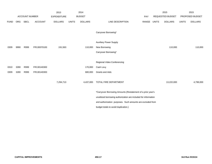|             |            |                       |                | 2013               |              | 2014           |                                                                 |       |              | 2015                    |              | 2015            |
|-------------|------------|-----------------------|----------------|--------------------|--------------|----------------|-----------------------------------------------------------------|-------|--------------|-------------------------|--------------|-----------------|
|             |            | <b>ACCOUNT NUMBER</b> |                | <b>EXPENDITURE</b> |              | <b>BUDGET</b>  |                                                                 | PAY   |              | <b>REQUESTED BUDGET</b> |              | PROPOSED BUDGET |
| <b>FUND</b> | <b>ORG</b> | SBCL                  | <b>ACCOUNT</b> | <b>DOLLARS</b>     | <b>UNITS</b> | <b>DOLLARS</b> | LINE DESCRIPTION                                                | RANGE | <b>UNITS</b> | <b>DOLLARS</b>          | <b>UNITS</b> | <b>DOLLARS</b>  |
|             |            |                       |                |                    |              |                | Carryover Borrowing*                                            |       |              |                         |              |                 |
|             |            |                       |                |                    |              |                | <b>Auxiliary Power Supply</b>                                   |       |              |                         |              |                 |
| 0309        | 9990       | R999                  | FR130070100    | 191,563            |              | 110,000        | New Borrowing                                                   |       |              | 110,000                 |              | 110,000         |
|             |            |                       |                |                    |              |                | Carryover Borrowing*                                            |       |              |                         |              |                 |
|             |            |                       |                |                    |              |                |                                                                 |       |              |                         |              |                 |
|             |            |                       |                |                    |              |                | Regional Video Conferencing                                     |       |              |                         |              |                 |
| 0310        | 3280       | R999                  | FR130140300    |                    |              | 170,000        | Cash Levy                                                       |       |              |                         |              |                 |
| 0309        | 3280       | R999                  | FR130140300    |                    |              | 680,000        | <b>Grants and Aids</b>                                          |       |              |                         |              |                 |
|             |            |                       |                | 7,294,713          |              | 4,437,000      | TOTAL FIRE DEPARTMENT                                           |       |              | 13,222,000              |              | 4,798,000       |
|             |            |                       |                |                    |              |                | *Carryover Borrowing Amounts (Restatement of a prior year's     |       |              |                         |              |                 |
|             |            |                       |                |                    |              |                | unutilized borrowing authorization are included for information |       |              |                         |              |                 |
|             |            |                       |                |                    |              |                | and authorization purposes. Such amounts are excluded from      |       |              |                         |              |                 |
|             |            |                       |                |                    |              |                | budget totals to avoid duplication.)                            |       |              |                         |              |                 |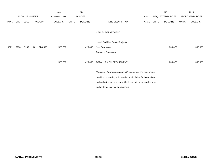|             |            |                       |                | 2013               |              | 2014           |                                                                 |       |              | 2015             |              | 2015            |
|-------------|------------|-----------------------|----------------|--------------------|--------------|----------------|-----------------------------------------------------------------|-------|--------------|------------------|--------------|-----------------|
|             |            | <b>ACCOUNT NUMBER</b> |                | <b>EXPENDITURE</b> |              | <b>BUDGET</b>  |                                                                 | PAY   |              | REQUESTED BUDGET |              | PROPOSED BUDGET |
| <b>FUND</b> | <b>ORG</b> | SBCL                  | <b>ACCOUNT</b> | <b>DOLLARS</b>     | <b>UNITS</b> | <b>DOLLARS</b> | LINE DESCRIPTION                                                | RANGE | <b>UNITS</b> | <b>DOLLARS</b>   | <b>UNITS</b> | <b>DOLLARS</b>  |
|             |            |                       |                |                    |              |                | HEALTH DEPARTMENT                                               |       |              |                  |              |                 |
|             |            |                       |                |                    |              |                | Health Facilities Capital Projects                              |       |              |                  |              |                 |
| 0321        | 9990       | R999                  | BU110140500    | 523,709            |              | 425,000        | New Borrowing                                                   |       |              | 833,675          |              | 366,000         |
|             |            |                       |                |                    |              |                | Carryover Borrowing*                                            |       |              |                  |              |                 |
|             |            |                       |                | 523,709            |              | 425,000        | TOTAL HEALTH DEPARTMENT                                         |       |              | 833,675          |              | 366,000         |
|             |            |                       |                |                    |              |                | *Carryover Borrowing Amounts (Restatement of a prior year's     |       |              |                  |              |                 |
|             |            |                       |                |                    |              |                | unutilized borrowing authorization are included for information |       |              |                  |              |                 |
|             |            |                       |                |                    |              |                | and authorization purposes. Such amounts are excluded from      |       |              |                  |              |                 |
|             |            |                       |                |                    |              |                | budget totals to avoid duplication.)                            |       |              |                  |              |                 |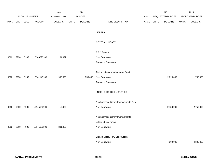|             |            |                |                | 2013           |              | 2014           |                                        |            |              | 2015             |              | 2015            |
|-------------|------------|----------------|----------------|----------------|--------------|----------------|----------------------------------------|------------|--------------|------------------|--------------|-----------------|
|             |            | ACCOUNT NUMBER |                | EXPENDITURE    |              | <b>BUDGET</b>  |                                        | <b>PAY</b> |              | REQUESTED BUDGET |              | PROPOSED BUDGET |
| <b>FUND</b> | <b>ORG</b> | <b>SBCL</b>    | <b>ACCOUNT</b> | <b>DOLLARS</b> | <b>UNITS</b> | <b>DOLLARS</b> | LINE DESCRIPTION                       | RANGE      | <b>UNITS</b> | <b>DOLLARS</b>   | <b>UNITS</b> | <b>DOLLARS</b>  |
|             |            |                |                |                |              |                |                                        |            |              |                  |              |                 |
|             |            |                |                |                |              |                | LIBRARY                                |            |              |                  |              |                 |
|             |            |                |                |                |              |                |                                        |            |              |                  |              |                 |
|             |            |                |                |                |              |                | CENTRAL LIBRARY                        |            |              |                  |              |                 |
|             |            |                |                |                |              |                |                                        |            |              |                  |              |                 |
|             |            |                |                |                |              |                | RFID System                            |            |              |                  |              |                 |
| 0312        | 9990       | R999           | LB140090100    | 164,992        |              |                | New Borrowing                          |            |              |                  |              |                 |
|             |            |                |                |                |              |                | Carryover Borrowing*                   |            |              |                  |              |                 |
|             |            |                |                |                |              |                |                                        |            |              |                  |              |                 |
|             |            |                |                |                |              |                | Central Library Improvements Fund      |            |              |                  |              |                 |
| 0312        | 9990       | R999           | LB141140100    | 990,590        |              | 1,558,000      | New Borrowing                          |            |              | 2,025,000        |              | 1,700,000       |
|             |            |                |                |                |              |                | Carryover Borrowing*                   |            |              |                  |              |                 |
|             |            |                |                |                |              |                |                                        |            |              |                  |              |                 |
|             |            |                |                |                |              |                | NEIGHBORHOOD LIBRARIES                 |            |              |                  |              |                 |
|             |            |                |                |                |              |                | Neighborhood Library Improvements Fund |            |              |                  |              |                 |
| 0312        | 9990       | R999           | LB145130100    | 17,030         |              |                | New Borrowing                          |            |              | 2,750,000        |              | 2,750,000       |
|             |            |                |                |                |              |                |                                        |            |              |                  |              |                 |
|             |            |                |                |                |              |                | Neighborhood Library Improvements      |            |              |                  |              |                 |
|             |            |                |                |                |              |                | Villard Library Project                |            |              |                  |              |                 |
| 0312        | 8610       | R999           | LB145090100    | 381,006        |              |                | New Borrowing                          |            |              |                  |              |                 |
|             |            |                |                |                |              |                |                                        |            |              |                  |              |                 |
|             |            |                |                |                |              |                | <b>Branch Library New Construction</b> |            |              |                  |              |                 |
|             |            |                |                |                |              |                | New Borrowing                          |            |              | 4,300,000        |              | 4,300,000       |
|             |            |                |                |                |              |                |                                        |            |              |                  |              |                 |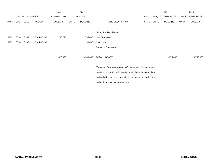|             |      |                       |                | 2013               |              | 2014           |                                                                                                                               |            |       | 2015             |              | 2015            |
|-------------|------|-----------------------|----------------|--------------------|--------------|----------------|-------------------------------------------------------------------------------------------------------------------------------|------------|-------|------------------|--------------|-----------------|
|             |      | <b>ACCOUNT NUMBER</b> |                | <b>EXPENDITURE</b> |              | <b>BUDGET</b>  |                                                                                                                               | <b>PAY</b> |       | REQUESTED BUDGET |              | PROPOSED BUDGET |
| <b>FUND</b> | ORG  | SBCL                  | <b>ACCOUNT</b> | <b>DOLLARS</b>     | <b>UNITS</b> | <b>DOLLARS</b> | LINE DESCRIPTION                                                                                                              | RANGE      | UNITS | <b>DOLLARS</b>   | <b>UNITS</b> | <b>DOLLARS</b>  |
|             |      |                       |                |                    |              |                | <b>Library Facility Initiatives</b>                                                                                           |            |       |                  |              |                 |
| 0312        | 8610 | R999                  | LB145140100    | 66,710             |              | 1,735,000      | New Borrowing                                                                                                                 |            |       |                  |              |                 |
| 0313        | 8610 | R999                  | LB145140100    |                    |              | 90,000         | Cash Levy                                                                                                                     |            |       |                  |              |                 |
|             |      |                       |                |                    |              |                | Carryover Borrowing*                                                                                                          |            |       |                  |              |                 |
|             |      |                       |                | 1,620,328          |              | 3,383,000      | <b>TOTAL LIBRARY</b>                                                                                                          |            |       | 9,075,000        |              | 8,750,000       |
|             |      |                       |                |                    |              |                | *Carryover Borrowing Amounts (Restatement of a prior year's                                                                   |            |       |                  |              |                 |
|             |      |                       |                |                    |              |                | unutilized borrowing authorization are included for information<br>and authorization purposes. Such amounts are excluded from |            |       |                  |              |                 |
|             |      |                       |                |                    |              |                |                                                                                                                               |            |       |                  |              |                 |

budget totals to avoid duplication.)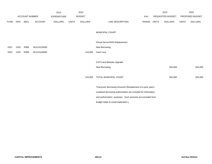|             |            |                       |                | 2013               |              | 2014           |                                                                 |       |              | 2015                    |              | 2015            |
|-------------|------------|-----------------------|----------------|--------------------|--------------|----------------|-----------------------------------------------------------------|-------|--------------|-------------------------|--------------|-----------------|
|             |            | <b>ACCOUNT NUMBER</b> |                | <b>EXPENDITURE</b> |              | <b>BUDGET</b>  |                                                                 | PAY   |              | <b>REQUESTED BUDGET</b> |              | PROPOSED BUDGET |
| <b>FUND</b> | <b>ORG</b> | <b>SBCL</b>           | <b>ACCOUNT</b> | <b>DOLLARS</b>     | <b>UNITS</b> | <b>DOLLARS</b> | LINE DESCRIPTION                                                | RANGE | <b>UNITS</b> | <b>DOLLARS</b>          | <b>UNITS</b> | <b>DOLLARS</b>  |
|             |            |                       |                |                    |              |                | MUNICIPAL COURT                                                 |       |              |                         |              |                 |
|             |            |                       |                |                    |              |                | Virtual Server/SAN Replacement                                  |       |              |                         |              |                 |
| 0321        | 1320       | R999                  | BU110120000    |                    |              |                | New Borrowing                                                   |       |              |                         |              |                 |
| 0322        | 1320       | R999                  | BU110140600    |                    |              | 144,000        | Cash Levy                                                       |       |              |                         |              |                 |
|             |            |                       |                |                    |              |                |                                                                 |       |              |                         |              |                 |
|             |            |                       |                |                    |              |                | CATS and Website Upgrade                                        |       |              |                         |              |                 |
|             |            |                       |                |                    |              |                | New Borrowing                                                   |       |              | 504,000                 |              | 504,000         |
|             |            |                       |                |                    |              | 144,000        | TOTAL MUNICIPAL COURT                                           |       |              | 504,000                 |              | 504,000         |
|             |            |                       |                |                    |              |                | *Carryover Borrowing Amounts (Restatement of a prior year's     |       |              |                         |              |                 |
|             |            |                       |                |                    |              |                | unutilized borrowing authorization are included for information |       |              |                         |              |                 |
|             |            |                       |                |                    |              |                | and authorization purposes. Such amounts are excluded from      |       |              |                         |              |                 |
|             |            |                       |                |                    |              |                | budget totals to avoid duplication.)                            |       |              |                         |              |                 |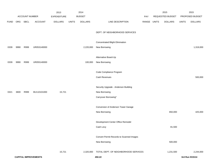|             |      |                       |                             | 2013               |              | 2014           |                                          |             | 2015             |              | 2015            |
|-------------|------|-----------------------|-----------------------------|--------------------|--------------|----------------|------------------------------------------|-------------|------------------|--------------|-----------------|
|             |      | <b>ACCOUNT NUMBER</b> |                             | <b>EXPENDITURE</b> |              | <b>BUDGET</b>  |                                          | PAY         | REQUESTED BUDGET |              | PROPOSED BUDGET |
| <b>FUND</b> | ORG  | SBCL                  | <b>ACCOUNT</b>              | <b>DOLLARS</b>     | <b>UNITS</b> | <b>DOLLARS</b> | LINE DESCRIPTION                         | RANGE UNITS | <b>DOLLARS</b>   | <b>UNITS</b> | <b>DOLLARS</b>  |
|             |      |                       |                             |                    |              |                |                                          |             |                  |              |                 |
|             |      |                       |                             |                    |              |                | DEPT. OF NEIGHBORHOOD SERVICES           |             |                  |              |                 |
|             |      |                       |                             |                    |              |                |                                          |             |                  |              |                 |
|             |      |                       |                             |                    |              |                | Concentrated Blight Elimination          |             |                  |              |                 |
| 0339        | 9990 | R999                  | UR053140000                 |                    |              | 2,220,000      | New Borrowing                            |             |                  |              | 1,319,000       |
|             |      |                       |                             |                    |              |                |                                          |             |                  |              |                 |
|             |      |                       |                             |                    |              |                | Alternative Board-Up                     |             |                  |              |                 |
| 0339        | 9990 | R999                  | UR055140000                 |                    |              | 100,000        | New Borrowing                            |             |                  |              |                 |
|             |      |                       |                             |                    |              |                |                                          |             |                  |              |                 |
|             |      |                       |                             |                    |              |                | Code Compliance Program                  |             |                  |              |                 |
|             |      |                       |                             |                    |              |                | Cash Revenues                            |             |                  |              | 500,000         |
|             |      |                       |                             |                    |              |                |                                          |             |                  |              |                 |
|             |      |                       |                             |                    |              |                | Security Upgrade - Anderson Building     |             |                  |              |                 |
| 0321        | 3600 | R999                  | BU110101000                 | 15,721             |              |                | New Borrowing                            |             |                  |              |                 |
|             |      |                       |                             |                    |              |                | Carryover Borrowing*                     |             |                  |              |                 |
|             |      |                       |                             |                    |              |                |                                          |             |                  |              |                 |
|             |      |                       |                             |                    |              |                | Conversion of Anderson Tower Garage      |             |                  |              |                 |
|             |      |                       |                             |                    |              |                | New Borrowing                            |             | 650,000          |              | 425,000         |
|             |      |                       |                             |                    |              |                | Development Center Office Remodel        |             |                  |              |                 |
|             |      |                       |                             |                    |              |                | Cash Levy                                |             | 81,500           |              |                 |
|             |      |                       |                             |                    |              |                |                                          |             |                  |              |                 |
|             |      |                       |                             |                    |              |                | Convert Permit Records to Scanned Images |             |                  |              |                 |
|             |      |                       |                             |                    |              |                | New Borrowing                            |             | 500,000          |              |                 |
|             |      |                       |                             |                    |              |                |                                          |             |                  |              |                 |
|             |      |                       |                             | 15,721             |              | 2,320,000      | TOTAL DEPT. OF NEIGHBORHOOD SERVICES     |             | 1,231,500        |              | 2,244,000       |
|             |      |                       | <b>CAPITAL IMPROVEMENTS</b> |                    |              |                | 450.22                                   |             |                  |              | 3rd Run 9/15/14 |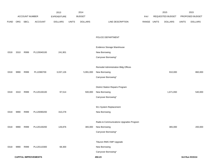|             |      |                       |                             | 2013               |              | 2014           |                                         |       |              | 2015             |              | 2015            |
|-------------|------|-----------------------|-----------------------------|--------------------|--------------|----------------|-----------------------------------------|-------|--------------|------------------|--------------|-----------------|
|             |      | <b>ACCOUNT NUMBER</b> |                             | <b>EXPENDITURE</b> |              | <b>BUDGET</b>  |                                         | PAY   |              | REQUESTED BUDGET |              | PROPOSED BUDGET |
| <b>FUND</b> | ORG  | SBCL                  | <b>ACCOUNT</b>              | <b>DOLLARS</b>     | <b>UNITS</b> | <b>DOLLARS</b> | LINE DESCRIPTION                        | RANGE | <b>UNITS</b> | <b>DOLLARS</b>   | <b>UNITS</b> | <b>DOLLARS</b>  |
|             |      |                       |                             |                    |              |                |                                         |       |              |                  |              |                 |
|             |      |                       |                             |                    |              |                |                                         |       |              |                  |              |                 |
|             |      |                       |                             |                    |              |                | POLICE DEPARTMENT                       |       |              |                  |              |                 |
|             |      |                       |                             |                    |              |                | Evidence Storage Warehouse              |       |              |                  |              |                 |
| 0318        | 3310 | R999                  | PL120040100                 | 241,901            |              |                | New Borrowing                           |       |              |                  |              |                 |
|             |      |                       |                             |                    |              |                | Carryover Borrowing*                    |       |              |                  |              |                 |
|             |      |                       |                             |                    |              |                |                                         |       |              |                  |              |                 |
|             |      |                       |                             |                    |              |                | Remodel Administration Bldg Offices     |       |              |                  |              |                 |
| 0318        | 9990 | R999                  | PL12080700                  | 3,037,126          |              | 5,991,000      | New Borrowing                           |       |              | 910,000          |              | 860,000         |
|             |      |                       |                             |                    |              |                | Carryover Borrowing*                    |       |              |                  |              |                 |
|             |      |                       |                             |                    |              |                |                                         |       |              |                  |              |                 |
|             |      |                       |                             |                    |              |                | <b>District Station Repairs Program</b> |       |              |                  |              |                 |
| 0318        | 3310 | R999                  | PL120130100                 | 97,514             |              | 500,000        | New Borrowing                           |       |              | 1,671,650        |              | 540,000         |
|             |      |                       |                             |                    |              |                | Carryover Borrowing*                    |       |              |                  |              |                 |
|             |      |                       |                             |                    |              |                | 911 System Replacement                  |       |              |                  |              |                 |
| 0318        | 9990 | R999                  | PL120090200                 | 310,278            |              |                | New Borrowing                           |       |              |                  |              |                 |
|             |      |                       |                             |                    |              |                |                                         |       |              |                  |              |                 |
|             |      |                       |                             |                    |              |                | Radio & Communications Upgrades Program |       |              |                  |              |                 |
| 0318        | 9990 | R999                  | PL120130200                 | 126,876            |              | 365,000        | New Borrowing                           |       |              | 365,000          |              | 200,000         |
|             |      |                       |                             |                    |              |                | Carryover Borrowing*                    |       |              |                  |              |                 |
|             |      |                       |                             |                    |              |                |                                         |       |              |                  |              |                 |
|             |      |                       |                             |                    |              |                | Tiburon RMS VMP Upgrade                 |       |              |                  |              |                 |
| 0318        | 9990 | R999                  | PL120110300                 | 68,300             |              |                | New Borrowing                           |       |              |                  |              |                 |
|             |      |                       |                             |                    |              |                | Carryover Borrowing*                    |       |              |                  |              |                 |
|             |      |                       | <b>CAPITAL IMPROVEMENTS</b> |                    |              |                | 450.23                                  |       |              |                  |              | 3rd Run 9/15/14 |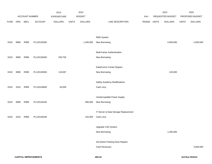|             |      |                |                | 2013               |              | 2014           |                                      |             | 2015             |              | 2015            |
|-------------|------|----------------|----------------|--------------------|--------------|----------------|--------------------------------------|-------------|------------------|--------------|-----------------|
|             |      | ACCOUNT NUMBER |                | <b>EXPENDITURE</b> |              | <b>BUDGET</b>  |                                      | PAY         | REQUESTED BUDGET |              | PROPOSED BUDGET |
| <b>FUND</b> | ORG  | SBCL           | <b>ACCOUNT</b> | <b>DOLLARS</b>     | <b>UNITS</b> | <b>DOLLARS</b> | LINE DESCRIPTION                     | RANGE UNITS | <b>DOLLARS</b>   | <b>UNITS</b> | <b>DOLLARS</b>  |
|             |      |                |                |                    |              |                |                                      |             |                  |              |                 |
|             |      |                |                |                    |              |                |                                      |             |                  |              |                 |
|             |      |                |                |                    |              |                | RMS System                           |             |                  |              |                 |
| 0318        | 9990 | R999           | PL120130300    |                    |              | 1,400,000      | New Borrowing                        |             | 4,000,000        |              | 2,000,000       |
|             |      |                |                |                    |              |                |                                      |             |                  |              |                 |
|             |      |                |                |                    |              |                | Multi-Factor Authentication          |             |                  |              |                 |
| 0318        | 9990 | R999           | PL120130400    | 293,755            |              |                | New Borrowing                        |             |                  |              |                 |
|             |      |                |                |                    |              |                | Data/Comm Center Repairs             |             |                  |              |                 |
| 0318        | 9990 | R999           | PL120130500    | 119,087            |              |                | New Borrowing                        |             | 135,000          |              |                 |
|             |      |                |                |                    |              |                |                                      |             |                  |              |                 |
|             |      |                |                |                    |              |                | Safety Academy Modifications         |             |                  |              |                 |
| 0318        | 3310 | R999           | PL120130600    | 40,000             |              |                | Cash Levy                            |             |                  |              |                 |
|             |      |                |                |                    |              |                |                                      |             |                  |              |                 |
|             |      |                |                |                    |              |                | Uninterruptable Power Supply         |             |                  |              |                 |
| 0318        | 9990 | R999           | PL120140100    |                    |              | 696,000        | New Borrowing                        |             |                  |              |                 |
|             |      |                |                |                    |              |                |                                      |             |                  |              |                 |
|             |      |                |                |                    |              |                | IT Server & Data Storage Replacement |             |                  |              |                 |
| 0318        | 3310 | R999           | PL120140200    |                    |              | 225,000        | Cash Levy                            |             |                  |              |                 |
|             |      |                |                |                    |              |                | Upgrade CAD System                   |             |                  |              |                 |
|             |      |                |                |                    |              |                | New Borrowing                        |             | 1,300,000        |              |                 |
|             |      |                |                |                    |              |                |                                      |             |                  |              |                 |
|             |      |                |                |                    |              |                | 3rd District Parking Deck Repairs    |             |                  |              |                 |
|             |      |                |                |                    |              |                | Cash Revenues                        |             |                  |              | 3,600,000       |
|             |      |                |                |                    |              |                |                                      |             |                  |              |                 |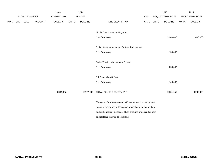|             |                | 2013           |              |                    |                                      |                               |                                             | 2015                                                                                                                                                                                                        |                  | 2015            |
|-------------|----------------|----------------|--------------|--------------------|--------------------------------------|-------------------------------|---------------------------------------------|-------------------------------------------------------------------------------------------------------------------------------------------------------------------------------------------------------------|------------------|-----------------|
|             |                |                |              |                    |                                      | PAY                           |                                             |                                                                                                                                                                                                             |                  | PROPOSED BUDGET |
| <b>SBCL</b> | <b>ACCOUNT</b> | <b>DOLLARS</b> | <b>UNITS</b> | <b>DOLLARS</b>     | LINE DESCRIPTION                     |                               |                                             | <b>DOLLARS</b>                                                                                                                                                                                              | <b>UNITS</b>     | <b>DOLLARS</b>  |
|             |                |                |              |                    |                                      |                               |                                             |                                                                                                                                                                                                             |                  |                 |
|             |                |                |              |                    |                                      |                               |                                             |                                                                                                                                                                                                             |                  |                 |
|             |                |                |              |                    | New Borrowing                        |                               |                                             | 1,000,000                                                                                                                                                                                                   |                  | 1,000,000       |
|             |                |                |              |                    |                                      |                               |                                             |                                                                                                                                                                                                             |                  |                 |
|             |                |                |              |                    |                                      |                               |                                             |                                                                                                                                                                                                             |                  |                 |
|             |                |                |              |                    | New Borrowing                        |                               |                                             | 150,000                                                                                                                                                                                                     |                  |                 |
|             |                |                |              |                    |                                      |                               |                                             |                                                                                                                                                                                                             |                  |                 |
|             |                |                |              |                    | Police Training Management System    |                               |                                             |                                                                                                                                                                                                             |                  |                 |
|             |                |                |              |                    | New Borrowing                        |                               |                                             | 250,000                                                                                                                                                                                                     |                  |                 |
|             |                |                |              |                    |                                      |                               |                                             |                                                                                                                                                                                                             |                  |                 |
|             |                |                |              |                    | Job Scheduling Software              |                               |                                             |                                                                                                                                                                                                             |                  |                 |
|             |                |                |              |                    | New Borrowing                        |                               |                                             | 100,000                                                                                                                                                                                                     |                  |                 |
|             |                |                |              |                    |                                      |                               |                                             |                                                                                                                                                                                                             |                  |                 |
|             |                | 4,334,837      |              | 9,177,000          | TOTAL POLICE DEPARTMENT              |                               |                                             | 9,881,650                                                                                                                                                                                                   |                  | 8,200,000       |
|             |                |                |              |                    |                                      |                               |                                             |                                                                                                                                                                                                             |                  |                 |
|             |                |                |              |                    |                                      |                               |                                             |                                                                                                                                                                                                             |                  |                 |
|             |                |                |              |                    |                                      |                               |                                             |                                                                                                                                                                                                             |                  |                 |
|             |                |                |              |                    |                                      |                               |                                             |                                                                                                                                                                                                             |                  |                 |
|             |                |                |              |                    | budget totals to avoid duplication.) |                               |                                             |                                                                                                                                                                                                             |                  |                 |
|             | ORG            | ACCOUNT NUMBER |              | <b>EXPENDITURE</b> | 2014<br><b>BUDGET</b>                | Mobile Data Computer Upgrades | Digital Asset Management System Replacement | RANGE UNITS<br>*Carryover Borrowing Amounts (Restatement of a prior year's<br>unutilized borrowing authorization are included for information<br>and authorization purposes. Such amounts are excluded from | REQUESTED BUDGET |                 |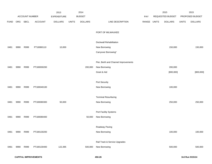|             |      |                |                | 2013           |              | 2014           |                                      |             | 2015             |              | 2015            |
|-------------|------|----------------|----------------|----------------|--------------|----------------|--------------------------------------|-------------|------------------|--------------|-----------------|
|             |      | ACCOUNT NUMBER |                | EXPENDITURE    |              | <b>BUDGET</b>  |                                      | PAY         | REQUESTED BUDGET |              | PROPOSED BUDGET |
| <b>FUND</b> | ORG  | SBCL           | <b>ACCOUNT</b> | <b>DOLLARS</b> | <b>UNITS</b> | <b>DOLLARS</b> | LINE DESCRIPTION                     | RANGE UNITS | <b>DOLLARS</b>   | <b>UNITS</b> | <b>DOLLARS</b>  |
|             |      |                |                |                |              |                | PORT OF MILWAUKEE                    |             |                  |              |                 |
|             |      |                |                |                |              |                | Dockwall Rehabilitation              |             |                  |              |                 |
| 0481        | 9990 | R999           | PT18080110     | 10,000         |              |                | New Borrowing                        |             | 150,000          |              | 150,000         |
|             |      |                |                |                |              |                | Carryover Borrowing*                 |             |                  |              |                 |
|             |      |                |                |                |              |                | Pier, Berth and Channel Improvements |             |                  |              |                 |
| 0481        | 9990 | R999           | PT180000200    |                |              | 200,000        | New Borrowing                        |             | 200,000          |              |                 |
|             |      |                |                |                |              |                | Grant & Aid                          |             | [800,000]        |              | [800,000]       |
|             |      |                |                |                |              |                | Port Security                        |             |                  |              |                 |
| 0481        | 9990 | R999           | PT180040100    |                |              |                | New Borrowing                        |             | 100,000          |              |                 |
|             |      |                |                |                |              |                | <b>Terminal Resurfacing</b>          |             |                  |              |                 |
| 0481        | 9990 | R999           | PT180080300    | 50,000         |              |                | New Borrowing                        |             | 250,000          |              | 250,000         |
|             |      |                |                |                |              |                |                                      |             |                  |              |                 |
|             |      |                |                |                |              |                | Port Facility Systems                |             |                  |              |                 |
| 0481        | 9990 | R999           | PT180080400    |                |              | 50,000         | New Borrowing                        |             |                  |              |                 |
|             |      |                |                |                |              |                |                                      |             |                  |              |                 |
|             |      |                |                |                |              |                | Roadway Paving                       |             |                  |              |                 |
| 0481        | 9990 | R999           | PT180130200    |                |              |                | New Borrowing                        |             | 100,000          |              | 100,000         |
|             |      |                |                |                |              |                |                                      |             |                  |              |                 |
|             |      |                |                |                |              |                | Rail Track & Service Upgrades        |             |                  |              |                 |
| 0481        | 9990 | R999           | PT180130400    | 122,395        |              | 500,000        | New Borrowing                        |             | 500,000          |              | 500,000         |
|             |      |                |                |                |              |                |                                      |             |                  |              |                 |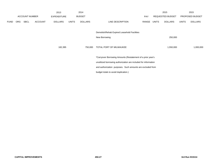|             |            |                       |                | 2013                                                        |              | 2014           |                                                                 |       |       | 2015                    |              | 2015            |
|-------------|------------|-----------------------|----------------|-------------------------------------------------------------|--------------|----------------|-----------------------------------------------------------------|-------|-------|-------------------------|--------------|-----------------|
|             |            | <b>ACCOUNT NUMBER</b> |                | <b>EXPENDITURE</b>                                          |              | <b>BUDGET</b>  |                                                                 | PAY   |       | <b>REQUESTED BUDGET</b> |              | PROPOSED BUDGET |
| <b>FUND</b> | <b>ORG</b> | <b>SBCL</b>           | <b>ACCOUNT</b> | <b>DOLLARS</b>                                              | <b>UNITS</b> | <b>DOLLARS</b> | LINE DESCRIPTION                                                | RANGE | UNITS | <b>DOLLARS</b>          | <b>UNITS</b> | <b>DOLLARS</b>  |
|             |            |                       |                |                                                             |              |                |                                                                 |       |       |                         |              |                 |
|             |            |                       |                |                                                             |              |                | Demolish/Rehab Expired Leasehold Facilities                     |       |       |                         |              |                 |
|             |            |                       |                |                                                             |              |                | New Borrowing                                                   |       |       | 250,000                 |              |                 |
|             |            |                       |                |                                                             |              |                |                                                                 |       |       |                         |              |                 |
|             |            |                       |                | 182,395                                                     |              | 750,000        | TOTAL PORT OF MILWAUKEE                                         |       |       | 1,550,000               |              | 1,000,000       |
|             |            |                       |                |                                                             |              |                |                                                                 |       |       |                         |              |                 |
|             |            |                       |                | *Carryover Borrowing Amounts (Restatement of a prior year's |              |                |                                                                 |       |       |                         |              |                 |
|             |            |                       |                |                                                             |              |                | unutilized borrowing authorization are included for information |       |       |                         |              |                 |
|             |            |                       |                |                                                             |              |                | and authorization purposes. Such amounts are excluded from      |       |       |                         |              |                 |
|             |            |                       |                |                                                             |              |                | budget totals to avoid duplication.)                            |       |       |                         |              |                 |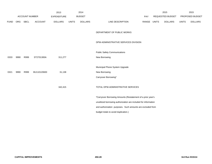|             |      |                       |                | 2013               |              | 2014           |                                                                 |             | 2015                    |              | 2015            |
|-------------|------|-----------------------|----------------|--------------------|--------------|----------------|-----------------------------------------------------------------|-------------|-------------------------|--------------|-----------------|
|             |      | <b>ACCOUNT NUMBER</b> |                | <b>EXPENDITURE</b> |              | <b>BUDGET</b>  |                                                                 | PAY         | <b>REQUESTED BUDGET</b> |              | PROPOSED BUDGET |
| <b>FUND</b> |      | ORG SBCL              | <b>ACCOUNT</b> | <b>DOLLARS</b>     | <b>UNITS</b> | <b>DOLLARS</b> | LINE DESCRIPTION                                                | RANGE UNITS | <b>DOLLARS</b>          | <b>UNITS</b> | <b>DOLLARS</b>  |
|             |      |                       |                |                    |              |                | DEPARTMENT OF PUBLIC WORKS                                      |             |                         |              |                 |
|             |      |                       |                |                    |              |                | DPW-ADMINISTRATIVE SERVICES DIVISION                            |             |                         |              |                 |
|             |      |                       |                |                    |              |                | <b>Public Safety Communications</b>                             |             |                         |              |                 |
| 0333        | 9990 | R999                  | ST2701300A     | 311,277            |              |                | New Borrowing                                                   |             |                         |              |                 |
|             |      |                       |                |                    |              |                | Municipal Phone System Upgrade                                  |             |                         |              |                 |
| 0321        | 9990 | R999                  | BU110120600    | 31,138             |              |                | New Borrowing                                                   |             |                         |              |                 |
|             |      |                       |                |                    |              |                | Carryover Borrowing*                                            |             |                         |              |                 |
|             |      |                       |                | 342,415            |              |                | TOTAL DPW-ADMINISTRATIVE SERVICES                               |             |                         |              |                 |
|             |      |                       |                |                    |              |                | *Carryover Borrowing Amounts (Restatement of a prior year's     |             |                         |              |                 |
|             |      |                       |                |                    |              |                | unutilized borrowing authorization are included for information |             |                         |              |                 |
|             |      |                       |                |                    |              |                | and authorization purposes. Such amounts are excluded from      |             |                         |              |                 |
|             |      |                       |                |                    |              |                | budget totals to avoid duplication.)                            |             |                         |              |                 |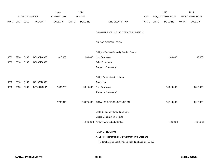|             |      |                |                | 2013               |              | 2014           |                                                          |             | 2015             |              | 2015            |
|-------------|------|----------------|----------------|--------------------|--------------|----------------|----------------------------------------------------------|-------------|------------------|--------------|-----------------|
|             |      | ACCOUNT NUMBER |                | <b>EXPENDITURE</b> |              | <b>BUDGET</b>  |                                                          | <b>PAY</b>  | REQUESTED BUDGET |              | PROPOSED BUDGET |
| <b>FUND</b> | ORG  | SBCL           | <b>ACCOUNT</b> | <b>DOLLARS</b>     | <b>UNITS</b> | <b>DOLLARS</b> | LINE DESCRIPTION                                         | RANGE UNITS | <b>DOLLARS</b>   | <b>UNITS</b> | <b>DOLLARS</b>  |
|             |      |                |                |                    |              |                | DPW-INFRASTRUCTURE SERVICES DIVISION                     |             |                  |              |                 |
|             |      |                |                |                    |              |                | <b>BRIDGE CONSTRUCTION</b>                               |             |                  |              |                 |
|             |      |                |                |                    |              |                | Bridge - State & Federally Funded Grants                 |             |                  |              |                 |
| 0303        | 9990 | R999           | BR300140000    | 613,050            |              | 260,000        | New Borrowing                                            |             | 100,000          |              | 100,000         |
| 0303        | 5010 | R999           | BR300100000    |                    |              |                | Other Revenues                                           |             |                  |              |                 |
|             |      |                |                |                    |              |                | Carryover Borrowing*                                     |             |                  |              |                 |
|             |      |                |                |                    |              |                | <b>Bridge Reconstruction - Local</b>                     |             |                  |              |                 |
| 0303        | 5010 | R999           | BR100020000    |                    |              |                | Cash Levy                                                |             |                  |              |                 |
| 0303        | 9990 | R999           | BR10014000A    | 7,089,769          |              | 9,815,000      | New Borrowing                                            |             | 10,010,000       |              | 8,810,000       |
|             |      |                |                |                    |              |                | Carryover Borrowing*                                     |             |                  |              |                 |
|             |      |                |                | 7,702,819          |              | 10,075,000     | TOTAL BRIDGE CONSTRUCTION                                |             | 10,110,000       |              | 8,910,000       |
|             |      |                |                |                    |              |                | State & Federally funded portion of                      |             |                  |              |                 |
|             |      |                |                |                    |              |                | <b>Bridge Construction projects</b>                      |             |                  |              |                 |
|             |      |                |                |                    |              | [1,040,000]    | (not included in budget totals)                          |             | [400,000]        |              | [400,000]       |
|             |      |                |                |                    |              |                | PAVING PROGRAM                                           |             |                  |              |                 |
|             |      |                |                |                    |              |                | A. Street Reconstruction-City Contribution to State and  |             |                  |              |                 |
|             |      |                |                |                    |              |                | Federally Aided Grant Projects-Including Land for R.O.W. |             |                  |              |                 |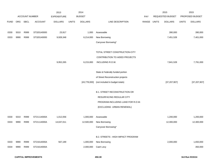|             |      |                |                | 2013               |              | 2014           |                                      |            |              | 2015             |              | 2015            |
|-------------|------|----------------|----------------|--------------------|--------------|----------------|--------------------------------------|------------|--------------|------------------|--------------|-----------------|
|             |      | ACCOUNT NUMBER |                | <b>EXPENDITURE</b> |              | <b>BUDGET</b>  |                                      | <b>PAY</b> |              | REQUESTED BUDGET |              | PROPOSED BUDGET |
| <b>FUND</b> | ORG  | SBCL           | <b>ACCOUNT</b> | <b>DOLLARS</b>     | <b>UNITS</b> | <b>DOLLARS</b> | LINE DESCRIPTION                     | RANGE      | <b>UNITS</b> | <b>DOLLARS</b>   | <b>UNITS</b> | <b>DOLLARS</b>  |
|             |      |                |                |                    |              |                |                                      |            |              |                  |              |                 |
| 0330        | 5010 | R999           | ST320140000    | 23,917             |              | 1,000          | Assessable                           |            |              | 390,000          |              | 390,000         |
| 0333        | 9990 | R999           | ST320140000    | 9,928,348          |              | 6,214,000      | New Borrowing                        |            |              | 7,451,528        |              | 7,401,000       |
|             |      |                |                |                    |              |                | Carryover Borrowing*                 |            |              |                  |              |                 |
|             |      |                |                |                    |              |                |                                      |            |              |                  |              |                 |
|             |      |                |                |                    |              |                | TOTAL STREET CONSTRUCTION-CITY       |            |              |                  |              |                 |
|             |      |                |                |                    |              |                | CONTRIBUTION TO AIDED PROJECTS       |            |              |                  |              |                 |
|             |      |                |                | 9,952,265          |              | 6,215,000      | INCLUDING R.O.W.                     |            |              | 7,841,528        |              | 7,791,000       |
|             |      |                |                |                    |              |                |                                      |            |              |                  |              |                 |
|             |      |                |                |                    |              |                | State & Federally funded portion     |            |              |                  |              |                 |
|             |      |                |                |                    |              |                | of Street Reconstruction projects    |            |              |                  |              |                 |
|             |      |                |                |                    |              | [43,778,000]   | (not included in budget totals)      |            |              | [37, 207, 907]   |              | [37, 207, 907]  |
|             |      |                |                |                    |              |                |                                      |            |              |                  |              |                 |
|             |      |                |                |                    |              |                | <b>B.1. STREET RECONSTRUCTION OR</b> |            |              |                  |              |                 |
|             |      |                |                |                    |              |                | RESURFACING REGULAR CITY             |            |              |                  |              |                 |
|             |      |                |                |                    |              |                | PROGRAM-INCLUDING LAND FOR R.O.W.    |            |              |                  |              |                 |
|             |      |                |                |                    |              |                | (EXCLUDING URBAN RENEWAL)            |            |              |                  |              |                 |
|             |      |                |                |                    |              |                |                                      |            |              |                  |              |                 |
| 0330        | 5010 | R999           | ST21114000A    | 1,012,056          |              | 1,000,000      | Assessable                           |            |              | 1,200,000        |              | 1,200,000       |
| 0333        | 9990 | R999           | ST21114000A    | 14,637,011         |              | 12,500,000     | New Borrowing                        |            |              | 12,300,000       |              | 12,300,000      |
|             |      |                |                |                    |              |                | Carryover Borrowing*                 |            |              |                  |              |                 |
|             |      |                |                |                    |              |                | B.2. STREETS - HIGH IMPACT PROGRAM   |            |              |                  |              |                 |
| 0333        | 9990 | R999           | ST21614000A    | 567,189            |              | 1,000,000      | New Borrowing                        |            |              | 2,000,000        |              | 1,650,000       |
| 0334        | 9990 | R999           | ST21614000A    |                    |              | 2,000,000      | Cash Levy                            |            |              |                  |              | 350,000         |
|             |      |                |                |                    |              |                |                                      |            |              |                  |              |                 |
|             |      |                |                |                    |              |                |                                      |            |              |                  |              |                 |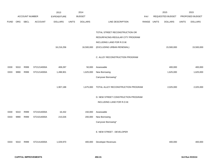|              |      |                       |                | 2013               |              | 2014           |                                    |             | 2015             |              | 2015            |
|--------------|------|-----------------------|----------------|--------------------|--------------|----------------|------------------------------------|-------------|------------------|--------------|-----------------|
|              |      | <b>ACCOUNT NUMBER</b> |                | <b>EXPENDITURE</b> |              | <b>BUDGET</b>  |                                    | PAY         | REQUESTED BUDGET |              | PROPOSED BUDGET |
| <b>FUND</b>  | ORG  | SBCL                  | <b>ACCOUNT</b> | <b>DOLLARS</b>     | <b>UNITS</b> | <b>DOLLARS</b> | LINE DESCRIPTION                   | RANGE UNITS | <b>DOLLARS</b>   | <b>UNITS</b> | <b>DOLLARS</b>  |
|              |      |                       |                |                    |              |                |                                    |             |                  |              |                 |
|              |      |                       |                |                    |              |                | TOTAL STREET RECONSTRUCTION OR     |             |                  |              |                 |
|              |      |                       |                |                    |              |                | RESURFACING-REGULAR CITY PROGRAM   |             |                  |              |                 |
|              |      |                       |                |                    |              |                | INCLUDING LAND FOR R.O.W.          |             |                  |              |                 |
|              |      |                       |                | 16,216,256         |              | 16,500,000     | (EXCLUDING URBAN RENEWAL)          |             | 15,500,000       |              | 15,500,000      |
|              |      |                       |                |                    |              |                |                                    |             |                  |              |                 |
|              |      |                       |                |                    |              |                | C. ALLEY RECONSTRUCTION PROGRAM    |             |                  |              |                 |
|              |      |                       |                |                    |              |                |                                    |             |                  |              |                 |
| 0330         | 5010 | R999                  | ST21214000A    | 408,287            |              | 50,000         | Assessable                         |             | 400,000          |              | 400,000         |
| 0333         | 9990 | R999                  | ST21214000A    | 1,498,901          |              | 1,625,000      | New Borrowing                      |             | 1,625,000        |              | 1,625,000       |
|              |      |                       |                |                    |              |                | Carryover Borrowing*               |             |                  |              |                 |
|              |      |                       |                |                    |              |                |                                    |             |                  |              |                 |
|              |      |                       |                | 1,907,188          |              | 1,675,000      | TOTAL ALLEY RECONSTRUCTION PROGRAM |             | 2,025,000        |              | 2,025,000       |
|              |      |                       |                |                    |              |                |                                    |             |                  |              |                 |
|              |      |                       |                |                    |              |                | D. NEW STREET CONSTRUCTION PROGRAM |             |                  |              |                 |
|              |      |                       |                |                    |              |                | INCLUDING LAND FOR R.O.W.          |             |                  |              |                 |
|              | 5010 | R999                  | ST21014000A    |                    |              | 150,000        | Assessable                         |             |                  |              |                 |
| 0330<br>0333 | 9990 | R999                  |                | 16,432<br>215,026  |              |                | New Borrowing                      |             |                  |              |                 |
|              |      |                       | ST21014000A    |                    |              | 200,000        | Carryover Borrowing*               |             |                  |              |                 |
|              |      |                       |                |                    |              |                |                                    |             |                  |              |                 |
|              |      |                       |                |                    |              |                | E. NEW STREET - DEVELOPER          |             |                  |              |                 |
|              |      |                       |                |                    |              |                |                                    |             |                  |              |                 |
| 0333         | 5010 | R999                  | ST21414000A    | 1,029,970          |              | 400,000        | Developer Revenues                 |             | 400,000          |              | 400,000         |
|              |      |                       |                |                    |              |                |                                    |             |                  |              |                 |
|              |      |                       |                |                    |              |                |                                    |             |                  |              |                 |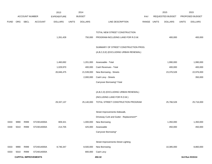|             |      |                       |                             | 2013               |              | 2014           |                                          |       |              | 2015             |              | 2015            |
|-------------|------|-----------------------|-----------------------------|--------------------|--------------|----------------|------------------------------------------|-------|--------------|------------------|--------------|-----------------|
|             |      | <b>ACCOUNT NUMBER</b> |                             | <b>EXPENDITURE</b> |              | <b>BUDGET</b>  |                                          | PAY   |              | REQUESTED BUDGET |              | PROPOSED BUDGET |
| <b>FUND</b> | ORG  | SBCL                  | <b>ACCOUNT</b>              | <b>DOLLARS</b>     | <b>UNITS</b> | <b>DOLLARS</b> | LINE DESCRIPTION                         | RANGE | <b>UNITS</b> | <b>DOLLARS</b>   | <b>UNITS</b> | <b>DOLLARS</b>  |
|             |      |                       |                             |                    |              |                |                                          |       |              |                  |              |                 |
|             |      |                       |                             |                    |              |                | TOTAL NEW STREET CONSTRUCTION            |       |              |                  |              |                 |
|             |      |                       |                             | 1,261,428          |              | 750,000        | PROGRAM-INCLUDING LAND FOR R.O.W.        |       |              | 400,000          |              | 400,000         |
|             |      |                       |                             |                    |              |                |                                          |       |              |                  |              |                 |
|             |      |                       |                             |                    |              |                | SUMMARY OF STREET CONSTRUCTION PROG.     |       |              |                  |              |                 |
|             |      |                       |                             |                    |              |                | (A,B,C,D,E) (EXCLUDING URBAN RENEWAL)    |       |              |                  |              |                 |
|             |      |                       |                             |                    |              |                |                                          |       |              |                  |              |                 |
|             |      |                       |                             | 1,460,692          |              | 1,201,000      | Assessable - Total                       |       |              | 1,990,000        |              | 1,990,000       |
|             |      |                       |                             | 1,029,970          |              | 400,000        | Cash Revenues - Total                    |       |              | 400,000          |              | 400,000         |
|             |      |                       |                             | 26,846,475         |              | 21,539,000     | New Borrowing - Streets                  |       |              | 23,376,528       |              | 22,976,000      |
|             |      |                       |                             |                    |              | 2,000,000      | Cash Levy - Streets                      |       |              |                  |              | 350,000         |
|             |      |                       |                             |                    |              |                | Carryover Borrowing*-Total               |       |              |                  |              |                 |
|             |      |                       |                             |                    |              |                |                                          |       |              |                  |              |                 |
|             |      |                       |                             |                    |              |                | (A,B,C,D) (EXCLUDING URBAN RENEWAL)      |       |              |                  |              |                 |
|             |      |                       |                             |                    |              |                | (INCLUDING LAND FOR R.O.W.)              |       |              |                  |              |                 |
|             |      |                       |                             | 29,337,137         |              | 25,140,000     | TOTAL STREET CONSTRUCTION PROGRAM        |       |              | 25,766,528       |              | 25,716,000      |
|             |      |                       |                             |                    |              |                | Street Improvements-Sidewalk,            |       |              |                  |              |                 |
|             |      |                       |                             |                    |              |                |                                          |       |              |                  |              |                 |
|             |      |                       |                             |                    |              |                | Driveway Curb and Gutter - Replacement** |       |              |                  |              |                 |
| 0333        | 9990 | R999                  | ST23014000A                 | 809,321            |              | 1,000,000      | New Borrowing                            |       |              | 1,350,000        |              | 1,350,000       |
| 0330        | 5010 | R999                  | ST23014000A                 | 214,705            |              | 425,000        | Assessable                               |       |              | 450,000          |              | 450,000         |
|             |      |                       |                             |                    |              |                | Carryover Borrowing*                     |       |              |                  |              |                 |
|             |      |                       |                             |                    |              |                | Street Improvements-Street Lighting      |       |              |                  |              |                 |
| 0333        | 9990 | R999                  | ST24014000A                 | 8,746,347          |              | 8,500,000      | New Borrowing                            |       |              | 10,385,000       |              | 8,860,000       |
| 0333        | 5010 | R999                  | ST24014000A                 |                    |              | 800,000        | Cash Levy                                |       |              |                  |              |                 |
|             |      |                       | <b>CAPITAL IMPROVEMENTS</b> |                    |              |                | 450.32                                   |       |              |                  |              | 3rd Run 9/15/14 |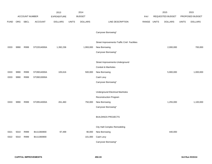|             |      |                       | 2013           |                    | 2014          |                |                                              | 2015       |                  | 2015           |                 |                |
|-------------|------|-----------------------|----------------|--------------------|---------------|----------------|----------------------------------------------|------------|------------------|----------------|-----------------|----------------|
|             |      | <b>ACCOUNT NUMBER</b> |                | <b>EXPENDITURE</b> | <b>BUDGET</b> |                |                                              | <b>PAY</b> | REQUESTED BUDGET |                | PROPOSED BUDGET |                |
| <b>FUND</b> | ORG  | <b>SBCL</b>           | <b>ACCOUNT</b> | <b>DOLLARS</b>     | <b>UNITS</b>  | <b>DOLLARS</b> | LINE DESCRIPTION                             | RANGE      | <b>UNITS</b>     | <b>DOLLARS</b> | <b>UNITS</b>    | <b>DOLLARS</b> |
|             |      |                       |                |                    |               |                |                                              |            |                  |                |                 |                |
|             |      |                       |                |                    |               |                | Carryover Borrowing*                         |            |                  |                |                 |                |
|             |      |                       |                |                    |               |                |                                              |            |                  |                |                 |                |
|             |      |                       |                |                    |               |                | Street Improvements-Traffic Cntrl Facilities |            |                  |                |                 |                |
| 0333        | 9990 | R999                  | ST22014000A    | 1,392,236          |               | 1,993,000      | New Borrowing                                |            |                  | 2,000,000      |                 | 700,000        |
|             |      |                       |                |                    |               |                | Carryover Borrowing*                         |            |                  |                |                 |                |
|             |      |                       |                |                    |               |                |                                              |            |                  |                |                 |                |
|             |      |                       |                |                    |               |                | Street Improvements-Underground              |            |                  |                |                 |                |
|             |      |                       |                |                    |               |                | Conduit & Manholes                           |            |                  |                |                 |                |
| 0333        | 9990 | R999                  | ST28014000A    | 105,616            |               | 500,000        | New Borrowing                                |            |                  | 5,900,000      |                 | 1,000,000      |
| 0333        | 9990 | R999                  | ST28013000A    |                    |               |                | Cash Levy                                    |            |                  |                |                 |                |
|             |      |                       |                |                    |               |                | Carryover Borrowing*                         |            |                  |                |                 |                |
|             |      |                       |                |                    |               |                |                                              |            |                  |                |                 |                |
|             |      |                       |                |                    |               |                | <b>Underground Electrical Manholes</b>       |            |                  |                |                 |                |
|             |      |                       |                |                    |               |                | Reconstruction Program                       |            |                  |                |                 |                |
| 0333        | 9990 | R999                  | ST28514000A    | 261,460            |               | 750,000        | New Borrowing                                |            |                  | 1,255,000      |                 | 1,100,000      |
|             |      |                       |                |                    |               |                | Carryover Borrowing*                         |            |                  |                |                 |                |
|             |      |                       |                |                    |               |                |                                              |            |                  |                |                 |                |
|             |      |                       |                |                    |               |                | <b>BUILDINGS PROJECTS</b>                    |            |                  |                |                 |                |
|             |      |                       |                |                    |               |                | City Hall Complex Remodeling                 |            |                  |                |                 |                |
| 0321        | 5010 | R999                  | BU11083900     | 97,499             |               | 90,000         | New Borrowing                                |            |                  | 440,000        |                 |                |
| 0322        | 5010 | R999                  | BU11083900     |                    |               | 101,000        | Cash Levy                                    |            |                  |                |                 |                |
|             |      |                       |                |                    |               |                | Carryover Borrowing*                         |            |                  |                |                 |                |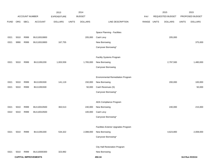|             |                       |      |                             | 2013           | 2014         |                |                                          |       | 2015             |                | 2015            |                 |  |
|-------------|-----------------------|------|-----------------------------|----------------|--------------|----------------|------------------------------------------|-------|------------------|----------------|-----------------|-----------------|--|
|             | <b>ACCOUNT NUMBER</b> |      | <b>EXPENDITURE</b>          | <b>BUDGET</b>  |              |                | <b>PAY</b>                               |       | REQUESTED BUDGET |                | PROPOSED BUDGET |                 |  |
| <b>FUND</b> | ORG                   | SBCL | <b>ACCOUNT</b>              | <b>DOLLARS</b> | <b>UNITS</b> | <b>DOLLARS</b> | LINE DESCRIPTION                         | RANGE | <b>UNITS</b>     | <b>DOLLARS</b> | <b>UNITS</b>    | <b>DOLLARS</b>  |  |
|             |                       |      |                             |                |              |                |                                          |       |                  |                |                 |                 |  |
|             |                       |      |                             |                |              |                | Space Planning - Facilities              |       |                  |                |                 |                 |  |
| 0321        | 5010                  | R999 | BU110010800                 |                |              | 205,000        | Cash Levy                                |       |                  | 205,000        |                 |                 |  |
| 0321        | 9990                  | R999 | BU110010800                 | 167,755        |              |                | New Borrowing                            |       |                  |                |                 | 375,000         |  |
|             |                       |      |                             |                |              |                | Carryover Borrowing*                     |       |                  |                |                 |                 |  |
|             |                       |      |                             |                |              |                |                                          |       |                  |                |                 |                 |  |
|             |                       |      |                             |                |              |                | Facility Systems Program                 |       |                  |                |                 |                 |  |
| 0321        | 5010                  | R999 | BU11091200                  | 1,003,559      |              | 1,765,000      | New Borrowing                            |       |                  | 2,797,500      |                 | 1,480,000       |  |
|             |                       |      |                             |                |              |                | Carryover Borrowing                      |       |                  |                |                 |                 |  |
|             |                       |      |                             |                |              |                |                                          |       |                  |                |                 |                 |  |
|             |                       |      |                             |                |              |                | <b>Environmental Remediation Program</b> |       |                  |                |                 |                 |  |
| 0321        | 5010                  | R999 | BU11091500                  | 141,119        |              | 150,000        | New Borrowing                            |       |                  | 200,000        |                 | 100,000         |  |
| 0321        | 5010                  | R999 | BU11091500                  |                |              | 50,000         | Cash Revenues (S)                        |       |                  |                |                 | 50,000          |  |
|             |                       |      |                             |                |              |                | Carryover Borrowing*                     |       |                  |                |                 |                 |  |
|             |                       |      |                             |                |              |                |                                          |       |                  |                |                 |                 |  |
|             |                       |      |                             |                |              |                | ADA Compliance Program                   |       |                  |                |                 |                 |  |
| 0321        | 5010                  | R999 | BU110010500                 | 363,513        |              | 240,000        | New Borrowing                            |       |                  | 240,000        |                 | 215,000         |  |
| 0322        | 5010                  | R999 | BU110010500                 |                |              | 100,000        | Cash Levy                                |       |                  |                |                 |                 |  |
|             |                       |      |                             |                |              |                | Carryover Borrowing*                     |       |                  |                |                 |                 |  |
|             |                       |      |                             |                |              |                |                                          |       |                  |                |                 |                 |  |
|             |                       |      |                             |                |              |                | Facilities Exterior Upgrades Program     |       |                  |                |                 |                 |  |
| 0321        | 5010                  | R999 | BU11091300                  | 534,322        |              | 2,088,000      | New Borrowing                            |       |                  | 4,623,800      |                 | 2,008,000       |  |
|             |                       |      |                             |                |              |                | Carryover Borrowing*                     |       |                  |                |                 |                 |  |
|             |                       |      |                             |                |              |                | City Hall Restoration Program            |       |                  |                |                 |                 |  |
| 0321        | 5010                  | R999 | BU110000300                 | 323,992        |              |                | New Borrowing                            |       |                  |                |                 |                 |  |
|             |                       |      | <b>CAPITAL IMPROVEMENTS</b> |                |              |                | 450.34                                   |       |                  |                |                 | 3rd Run 9/15/14 |  |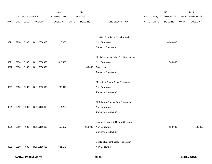|             |      |                |                | 2013               |              | 2014           |                                             |       |              | 2015             |              | 2015            |
|-------------|------|----------------|----------------|--------------------|--------------|----------------|---------------------------------------------|-------|--------------|------------------|--------------|-----------------|
|             |      | ACCOUNT NUMBER |                | <b>EXPENDITURE</b> |              | <b>BUDGET</b>  |                                             | PAY   |              | REQUESTED BUDGET |              | PROPOSED BUDGET |
| <b>FUND</b> | ORG  | <b>SBCL</b>    | <b>ACCOUNT</b> | <b>DOLLARS</b>     | <b>UNITS</b> | <b>DOLLARS</b> | LINE DESCRIPTION                            | RANGE | <b>UNITS</b> | <b>DOLLARS</b>   | <b>UNITS</b> | <b>DOLLARS</b>  |
|             |      |                |                |                    |              |                |                                             |       |              |                  |              |                 |
|             |      |                |                |                    |              |                | City Hall Foundation & Hollow Walk          |       |              |                  |              |                 |
| 0321        | 9990 | R999           | BU110080800    | 218,056            |              |                | New Borrowing                               |       |              | 10,000,000       |              |                 |
|             |      |                |                |                    |              |                | Carryover Borrowing*                        |       |              |                  |              |                 |
|             |      |                |                |                    |              |                |                                             |       |              |                  |              |                 |
|             |      |                |                |                    |              |                | Muni Garages/Outlying Fac. Remodeling       |       |              |                  |              |                 |
| 0321        | 9990 | R999           | BU110030300    | 618,480            |              |                | New Borrowing                               |       |              | 500,000          |              |                 |
| 0322        | 9990 | R999           | BU110030300    |                    |              | 86,000         | Cash Levy                                   |       |              |                  |              |                 |
|             |      |                |                |                    |              |                | Carryover Borrowing*                        |       |              |                  |              |                 |
|             |      |                |                |                    |              |                |                                             |       |              |                  |              |                 |
|             |      |                |                |                    |              |                | MacArthur Square Plaza Restoration          |       |              |                  |              |                 |
| 0321        | 9990 | R999           | BU110080900    | 280,018            |              |                | New Borrowing                               |       |              |                  |              |                 |
|             |      |                |                |                    |              |                | Carryover Borrowing*                        |       |              |                  |              |                 |
|             |      |                |                |                    |              |                |                                             |       |              |                  |              |                 |
|             |      |                |                |                    |              |                | ZMB Lower Parking Floor Restoration         |       |              |                  |              |                 |
| 0321        | 5010 | R999           | BU110100900    | 4,782              |              |                | New Borrowing                               |       |              |                  |              |                 |
|             |      |                |                |                    |              |                | Carryover Borrowing*                        |       |              |                  |              |                 |
|             |      |                |                |                    |              |                |                                             |       |              |                  |              |                 |
|             |      |                |                |                    |              |                | Energy Efficiency & Renewable Energy        |       |              |                  |              |                 |
| 0321        | 5010 | R999           | BU110110600    | 150,687            |              | 150,000        | New Borrowing                               |       |              | 150,000          |              | 100,000         |
|             |      |                |                |                    |              |                | Carryover Borrowing*                        |       |              |                  |              |                 |
|             |      |                |                |                    |              |                |                                             |       |              |                  |              |                 |
|             |      |                |                |                    |              |                | <b>Building Exterior Façade Restoration</b> |       |              |                  |              |                 |
| 0321        | 5010 | R999           | BU110110700    | 681,175            |              |                | New Borrowing                               |       |              |                  |              |                 |
|             |      |                |                |                    |              |                |                                             |       |              |                  |              |                 |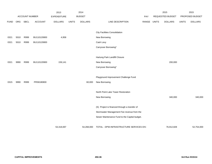|             |      |                |                | 2013               |              | 2014           |                                               |       |              | 2015             |              | 2015            |
|-------------|------|----------------|----------------|--------------------|--------------|----------------|-----------------------------------------------|-------|--------------|------------------|--------------|-----------------|
|             |      | ACCOUNT NUMBER |                | <b>EXPENDITURE</b> |              | <b>BUDGET</b>  |                                               | PAY   |              | REQUESTED BUDGET |              | PROPOSED BUDGET |
| <b>FUND</b> | ORG  | SBCL           | <b>ACCOUNT</b> | <b>DOLLARS</b>     | <b>UNITS</b> | <b>DOLLARS</b> | LINE DESCRIPTION                              | RANGE | <b>UNITS</b> | <b>DOLLARS</b>   | <b>UNITS</b> | <b>DOLLARS</b>  |
|             |      |                |                |                    |              |                |                                               |       |              |                  |              |                 |
|             |      |                |                |                    |              |                | <b>City Facilities Consolidation</b>          |       |              |                  |              |                 |
| 0321        | 5010 | R999           | BU110120800    | 4,958              |              |                | New Borrowing                                 |       |              |                  |              |                 |
| 0321        | 5010 | R999           | BU110120800    |                    |              |                | Cash Levy                                     |       |              |                  |              |                 |
|             |      |                |                |                    |              |                | Carryover Borrowing*                          |       |              |                  |              |                 |
|             |      |                |                |                    |              |                |                                               |       |              |                  |              |                 |
|             |      |                |                |                    |              |                | Hartung Park Landfill Closure                 |       |              |                  |              |                 |
| 0321        | 9990 | R999           | BU110120900    | 159,141            |              |                | New Borrowing                                 |       |              | 200,000          |              |                 |
|             |      |                |                |                    |              |                | Carryover Borrowing*                          |       |              |                  |              |                 |
|             |      |                |                |                    |              |                |                                               |       |              |                  |              |                 |
|             |      |                |                |                    |              |                | Playground Improvement Challenge Fund         |       |              |                  |              |                 |
| 0315        | 9990 | R999           | PR58180800     |                    |              | 60,000         | New Borrowing                                 |       |              |                  |              |                 |
|             |      |                |                |                    |              |                | North Point Lake Tower Restoration            |       |              |                  |              |                 |
|             |      |                |                |                    |              |                |                                               |       |              |                  |              |                 |
|             |      |                |                |                    |              |                | New Borrowing                                 |       |              | 340,000          |              | 340,000         |
|             |      |                |                |                    |              |                | (S) Project is financed through a transfer of |       |              |                  |              |                 |
|             |      |                |                |                    |              |                | Stormwater Management Fee revenue from the    |       |              |                  |              |                 |
|             |      |                |                |                    |              |                | Sewer Maintenance Fund to the Capital budget. |       |              |                  |              |                 |
|             |      |                |                |                    |              |                |                                               |       |              |                  |              |                 |
|             |      |                |                | 53,318,697         |              | 54,268,000     | TOTAL - DPW-INFRASTRUCTURE SERVICES DIV.      |       |              | 76,912,828       |              | 52,754,000      |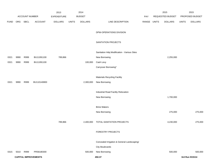|             |      |                       |                             | 2013               |              | 2014           |                                             |       |              | 2015             |              | 2015            |
|-------------|------|-----------------------|-----------------------------|--------------------|--------------|----------------|---------------------------------------------|-------|--------------|------------------|--------------|-----------------|
|             |      | <b>ACCOUNT NUMBER</b> |                             | <b>EXPENDITURE</b> |              | <b>BUDGET</b>  |                                             | PAY   |              | REQUESTED BUDGET |              | PROPOSED BUDGET |
| <b>FUND</b> | ORG  | SBCL                  | <b>ACCOUNT</b>              | <b>DOLLARS</b>     | <b>UNITS</b> | <b>DOLLARS</b> | LINE DESCRIPTION                            | RANGE | <b>UNITS</b> | <b>DOLLARS</b>   | <b>UNITS</b> | <b>DOLLARS</b>  |
|             |      |                       |                             |                    |              |                |                                             |       |              |                  |              |                 |
|             |      |                       |                             |                    |              |                | DPW-OPERATIONS DIVISION                     |       |              |                  |              |                 |
|             |      |                       |                             |                    |              |                |                                             |       |              |                  |              |                 |
|             |      |                       |                             |                    |              |                | SANITATION PROJECTS                         |       |              |                  |              |                 |
|             |      |                       |                             |                    |              |                | Sanitation Hdq Modification - Various Sites |       |              |                  |              |                 |
| 0321        | 9990 | R999                  | BU11091100                  | 789,866            |              |                | New Borrowing                               |       |              | 2,255,000        |              |                 |
| 0321        | 9990 | R999                  | BU11091100                  |                    |              | 100,000        | Cash Levy                                   |       |              |                  |              |                 |
|             |      |                       |                             |                    |              |                | Carryover Borrowing*                        |       |              |                  |              |                 |
|             |      |                       |                             |                    |              |                |                                             |       |              |                  |              |                 |
|             |      |                       |                             |                    |              |                | <b>Materials Recycling Facility</b>         |       |              |                  |              |                 |
| 0321        | 9990 | R999                  | BU110140800                 |                    |              | 2,300,000      | New Borrowing                               |       |              |                  |              |                 |
|             |      |                       |                             |                    |              |                |                                             |       |              |                  |              |                 |
|             |      |                       |                             |                    |              |                | Industrial Road Facility Relocation         |       |              |                  |              |                 |
|             |      |                       |                             |                    |              |                | New Borrowing                               |       |              | 1,700,000        |              |                 |
|             |      |                       |                             |                    |              |                | <b>Brine Makers</b>                         |       |              |                  |              |                 |
|             |      |                       |                             |                    |              |                |                                             |       |              | 275,000          |              | 275,000         |
|             |      |                       |                             |                    |              |                | New Borrowing                               |       |              |                  |              |                 |
|             |      |                       |                             | 789,866            |              | 2,400,000      | TOTAL-SANITATION PROJECTS                   |       |              | 4,230,000        |              | 275,000         |
|             |      |                       |                             |                    |              |                |                                             |       |              |                  |              |                 |
|             |      |                       |                             |                    |              |                | FORESTRY PROJECTS                           |       |              |                  |              |                 |
|             |      |                       |                             |                    |              |                |                                             |       |              |                  |              |                 |
|             |      |                       |                             |                    |              |                | Concealed Irrigation & General Landscaping/ |       |              |                  |              |                 |
|             |      |                       |                             |                    |              |                | <b>City Boulevards</b>                      |       |              |                  |              |                 |
| 0315        | 5010 | R999                  | PR58180300                  |                    |              | 500,000        | New Borrowing                               |       |              | 500,000          |              | 500,000         |
|             |      |                       | <b>CAPITAL IMPROVEMENTS</b> |                    |              |                | 450.37                                      |       |              |                  |              | 3rd Run 9/15/14 |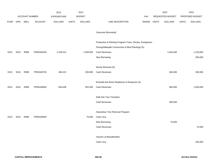|             |      |                |                | 2013               |              | 2014           |                                                           |            |              | 2015             |              | 2015            |
|-------------|------|----------------|----------------|--------------------|--------------|----------------|-----------------------------------------------------------|------------|--------------|------------------|--------------|-----------------|
|             |      | ACCOUNT NUMBER |                | <b>EXPENDITURE</b> |              | <b>BUDGET</b>  |                                                           | <b>PAY</b> |              | REQUESTED BUDGET |              | PROPOSED BUDGET |
| <b>FUND</b> | ORG  | SBCL           | <b>ACCOUNT</b> | <b>DOLLARS</b>     | <b>UNITS</b> | <b>DOLLARS</b> | LINE DESCRIPTION                                          | RANGE      | <b>UNITS</b> | <b>DOLLARS</b>   | <b>UNITS</b> | <b>DOLLARS</b>  |
|             |      |                |                |                    |              |                |                                                           |            |              |                  |              |                 |
|             |      |                |                |                    |              |                | Carryover Borrowing*                                      |            |              |                  |              |                 |
|             |      |                |                |                    |              |                |                                                           |            |              |                  |              |                 |
|             |      |                |                |                    |              |                | Production & Planting Program-Trees, Shrubs, Evergreens - |            |              |                  |              |                 |
|             |      |                |                |                    |              |                | Paving/Sidewalk Construction & Blvd Plantings (S)         |            |              |                  |              |                 |
| 0315        | 5010 | R999           | PR58180100     | 1,229,313          |              | 1,483,000      | Cash Revenues                                             |            |              | 1,694,000        |              | 1,220,000       |
|             |      |                |                |                    |              |                | New Borrowing                                             |            |              |                  |              | 300,000         |
|             |      |                |                |                    |              |                |                                                           |            |              |                  |              |                 |
|             |      |                |                |                    |              |                | Stump Removal (S)                                         |            |              |                  |              |                 |
| 0315        | 5010 | R999           | PR58180700     | 400,415            |              | 200,000        | Cash Revenues                                             |            |              | 360,000          |              | 360,000         |
|             |      |                |                |                    |              |                |                                                           |            |              |                  |              |                 |
|             |      |                |                |                    |              |                | Emerald Ash Borer Readiness & Response (S)                |            |              |                  |              |                 |
| 0315        | 5010 | R999           | PR58180600     | 845,638            |              | 952,000        | Cash Revenues                                             |            |              | 984,000          |              | 1,000,000       |
|             |      |                |                |                    |              |                | <b>EAB Ash Tree Transition</b>                            |            |              |                  |              |                 |
|             |      |                |                |                    |              |                | Cash Revenues                                             |            |              | 900,000          |              |                 |
|             |      |                |                |                    |              |                |                                                           |            |              |                  |              |                 |
|             |      |                |                |                    |              |                | Hazardous Tree Removal Program                            |            |              |                  |              |                 |
| 0315        | 5010 | R999           | PR58180900     |                    |              | 75,000         | Cash Levy                                                 |            |              |                  |              |                 |
|             |      |                |                |                    |              |                | New Borrowing                                             |            |              | 75,000           |              |                 |
|             |      |                |                |                    |              |                | Cash Revenues                                             |            |              |                  |              | 75,000          |
|             |      |                |                |                    |              |                |                                                           |            |              |                  |              |                 |
|             |      |                |                |                    |              |                | Vacant Lot Beautification                                 |            |              |                  |              |                 |
|             |      |                |                |                    |              |                | Cash Levy                                                 |            |              |                  |              | 200,000         |
|             |      |                |                |                    |              |                |                                                           |            |              |                  |              |                 |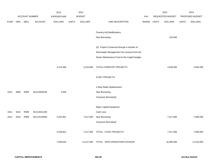|             |            |                |                | 2013               |              | 2014           |                                               |       |              | 2015             |              | 2015            |
|-------------|------------|----------------|----------------|--------------------|--------------|----------------|-----------------------------------------------|-------|--------------|------------------|--------------|-----------------|
|             |            | ACCOUNT NUMBER |                | <b>EXPENDITURE</b> |              | <b>BUDGET</b>  |                                               | PAY   |              | REQUESTED BUDGET |              | PROPOSED BUDGET |
| <b>FUND</b> | <b>ORG</b> | SBCL           | <b>ACCOUNT</b> | <b>DOLLARS</b>     | <b>UNITS</b> | <b>DOLLARS</b> | LINE DESCRIPTION                              | RANGE | <b>UNITS</b> | <b>DOLLARS</b>   | <b>UNITS</b> | <b>DOLLARS</b>  |
|             |            |                |                |                    |              |                |                                               |       |              |                  |              |                 |
|             |            |                |                |                    |              |                | Forestry HQ Modifications                     |       |              |                  |              |                 |
|             |            |                |                |                    |              |                | New Borrowing                                 |       |              | 125,000          |              |                 |
|             |            |                |                |                    |              |                |                                               |       |              |                  |              |                 |
|             |            |                |                |                    |              |                | (S) Project is financed through a transfer of |       |              |                  |              |                 |
|             |            |                |                |                    |              |                | Stormwater Management Fee revenue from the    |       |              |                  |              |                 |
|             |            |                |                |                    |              |                | Sewer Maintenance Fund to the Capital budget. |       |              |                  |              |                 |
|             |            |                |                |                    |              |                |                                               |       |              |                  |              |                 |
|             |            |                |                | 2,475,366          |              | 3,210,000      | TOTAL-FORESTRY PROJECTS                       |       |              | 4,638,000        |              | 3,655,000       |
|             |            |                |                |                    |              |                | FLEET PROJECTS                                |       |              |                  |              |                 |
|             |            |                |                |                    |              |                |                                               |       |              |                  |              |                 |
|             |            |                |                |                    |              |                | 2-Way Radio Replacement                       |       |              |                  |              |                 |
| 0321        | 9990       | R999           | BU110050200    | 2,000              |              |                | New Borrowing                                 |       |              |                  |              |                 |
|             |            |                |                |                    |              |                | Carryover Borrowing*                          |       |              |                  |              |                 |
|             |            |                |                |                    |              |                |                                               |       |              |                  |              |                 |
|             |            |                |                |                    |              |                | Major Capital Equipment                       |       |              |                  |              |                 |
| 0321        | 5010       | R999           | BU110021200    |                    |              |                | Cash Levy                                     |       |              |                  |              |                 |
| 0321        | 5010       | R999           | BU110140900    | 4,291,801          |              | 7,517,000      | New Borrowing                                 |       |              | 7,517,000        |              | 7,080,000       |
|             |            |                |                |                    |              |                | Carryover Borrowing*                          |       |              |                  |              |                 |
|             |            |                |                |                    |              |                |                                               |       |              |                  |              |                 |
|             |            |                |                | 4,293,801          |              | 7,517,000      | TOTAL - FLEET PROJECTS                        |       |              | 7,517,000        |              | 7,080,000       |
|             |            |                |                | 7,559,033          |              | 13,127,000     | TOTAL - DPW OPERATIONS DIVISION               |       |              | 16,385,000       |              | 11,010,000      |
|             |            |                |                |                    |              |                |                                               |       |              |                  |              |                 |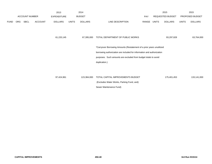|             |     |                       |                | 2013               |              | 2014           |                                                                        |       |              | 2015             |              | 2015            |
|-------------|-----|-----------------------|----------------|--------------------|--------------|----------------|------------------------------------------------------------------------|-------|--------------|------------------|--------------|-----------------|
|             |     | <b>ACCOUNT NUMBER</b> |                | <b>EXPENDITURE</b> |              | <b>BUDGET</b>  |                                                                        | PAY   |              | REQUESTED BUDGET |              | PROPOSED BUDGET |
| <b>FUND</b> | ORG | SBCL                  | <b>ACCOUNT</b> | <b>DOLLARS</b>     | <b>UNITS</b> | <b>DOLLARS</b> | LINE DESCRIPTION                                                       | RANGE | <b>UNITS</b> | <b>DOLLARS</b>   | <b>UNITS</b> | <b>DOLLARS</b>  |
|             |     |                       |                |                    |              |                |                                                                        |       |              |                  |              |                 |
|             |     |                       |                |                    |              |                |                                                                        |       |              |                  |              |                 |
|             |     |                       |                | 61,220,145         |              | 67,395,000     | TOTAL DEPARTMENT OF PUBLIC WORKS                                       |       |              | 93,297,828       |              | 63,764,000      |
|             |     |                       |                |                    |              |                |                                                                        |       |              |                  |              |                 |
|             |     |                       |                |                    |              |                | *Carryover Borrowing Amounts (Restatement of a prior years unutilized  |       |              |                  |              |                 |
|             |     |                       |                |                    |              |                | borrowing authorization are included for information and authorization |       |              |                  |              |                 |
|             |     |                       |                |                    |              |                | purposes. Such amounts are excluded from budget totals to avoid        |       |              |                  |              |                 |
|             |     |                       |                |                    |              |                | duplication.)                                                          |       |              |                  |              |                 |
|             |     |                       |                |                    |              |                |                                                                        |       |              |                  |              |                 |
|             |     |                       |                |                    |              |                |                                                                        |       |              |                  |              |                 |
|             |     |                       |                | 97,424,961         |              | 123,384,000    | TOTAL CAPITAL IMPROVEMENTS BUDGET                                      |       |              | 175,401,453      |              | 133,141,000     |
|             |     |                       |                |                    |              |                | (Excludes Water Works, Parking Fund, and)                              |       |              |                  |              |                 |
|             |     |                       |                |                    |              |                | Sewer Maintenance Fund)                                                |       |              |                  |              |                 |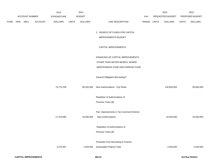|             |     |                |                | 2013           |              | 2014           |                                              |             | 2015             |              | 2015            |
|-------------|-----|----------------|----------------|----------------|--------------|----------------|----------------------------------------------|-------------|------------------|--------------|-----------------|
|             |     | ACCOUNT NUMBER |                | EXPENDITURE    |              | <b>BUDGET</b>  |                                              | PAY         | REQUESTED BUDGET |              | PROPOSED BUDGET |
| <b>FUND</b> | ORG | SBCL           | <b>ACCOUNT</b> | <b>DOLLARS</b> | <b>UNITS</b> | <b>DOLLARS</b> | LINE DESCRIPTION                             | RANGE UNITS | <b>DOLLARS</b>   | <b>UNITS</b> | <b>DOLLARS</b>  |
|             |     |                |                |                |              |                | 2. SOURCE OF FUNDS FOR CAPITAL               |             |                  |              |                 |
|             |     |                |                |                |              |                | <b>IMPROVEMENTS BUDGET</b>                   |             |                  |              |                 |
|             |     |                |                |                |              |                | CAPITAL IMPROVEMENTS                         |             |                  |              |                 |
|             |     |                |                |                |              |                | FINANCING OF CAPITAL IMPROVEMENTS            |             |                  |              |                 |
|             |     |                |                |                |              |                | OTHER THAN WATER WORKS, SEWER                |             |                  |              |                 |
|             |     |                |                |                |              |                | MAINTENANCE FUND AND PARKING FUND            |             |                  |              |                 |
|             |     |                |                |                |              |                | General Obligation Borrowings**              |             |                  |              |                 |
|             |     |                |                | 73,775,159     |              | 85,202,000     | New Authorizations - City Share              |             | 140,829,953      |              | 93,584,000      |
|             |     |                |                |                |              |                | Repetition of Authorizations of              |             |                  |              |                 |
|             |     |                |                |                |              |                | Previous Years (B)                           |             |                  |              |                 |
|             |     |                |                |                |              |                | Pub. Improvements in Tax Increment Districts |             |                  |              |                 |
|             |     |                |                | 17,419,069     |              | 16,000,000     | New Authorizations                           |             | 16,500,000       |              | 16,500,000      |
|             |     |                |                |                |              |                | Repetition of Authorizations of              |             |                  |              |                 |
|             |     |                |                |                |              |                | Previous Years (B)                           |             |                  |              |                 |
|             |     |                |                |                |              |                | Proceeds From Borrowing to Finance           |             |                  |              |                 |
|             |     |                |                | 1,675,397      |              | 1,626,000      | Assessable Projects-Total                    |             | 2,440,000        |              | 2,440,000       |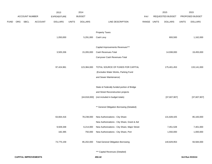|             |     |                       |                | 2013               |              | 2014           |                                               |       |              | 2015                    |              | 2015            |
|-------------|-----|-----------------------|----------------|--------------------|--------------|----------------|-----------------------------------------------|-------|--------------|-------------------------|--------------|-----------------|
|             |     | <b>ACCOUNT NUMBER</b> |                | <b>EXPENDITURE</b> |              | <b>BUDGET</b>  |                                               | PAY   |              | <b>REQUESTED BUDGET</b> |              | PROPOSED BUDGET |
| <b>FUND</b> | ORG | SBCL                  | <b>ACCOUNT</b> | <b>DOLLARS</b>     | <b>UNITS</b> | <b>DOLLARS</b> | LINE DESCRIPTION                              | RANGE | <b>UNITS</b> | <b>DOLLARS</b>          | <b>UNITS</b> | <b>DOLLARS</b>  |
|             |     |                       |                |                    |              |                |                                               |       |              |                         |              |                 |
|             |     |                       |                |                    |              |                | <b>Property Taxes</b>                         |       |              |                         |              |                 |
|             |     |                       |                | 1,050,000          |              | 5,291,000      | Cash Levy                                     |       |              | 693,500                 |              | 1,162,000       |
|             |     |                       |                |                    |              |                |                                               |       |              |                         |              |                 |
|             |     |                       |                |                    |              |                | Capital Improvements Revenues***              |       |              |                         |              |                 |
|             |     |                       |                | 3,505,336          |              | 15,265,000     | Cash Revenues-Total                           |       |              | 14,938,000              |              | 19,455,000      |
|             |     |                       |                |                    |              |                | Carryover Cash Revenues-Total                 |       |              |                         |              |                 |
|             |     |                       |                |                    |              |                |                                               |       |              |                         |              |                 |
|             |     |                       |                | 97,424,961         |              | 123,384,000    | TOTAL SOURCE OF FUNDS FOR CAPITAL             |       |              | 175,401,453             |              | 133,141,000     |
|             |     |                       |                |                    |              |                | (Excludes Water Works, Parking Fund           |       |              |                         |              |                 |
|             |     |                       |                |                    |              |                | and Sewer Maintenance)                        |       |              |                         |              |                 |
|             |     |                       |                |                    |              |                |                                               |       |              |                         |              |                 |
|             |     |                       |                |                    |              |                | State & Federally funded portion of Bridge    |       |              |                         |              |                 |
|             |     |                       |                |                    |              |                | and Street Reconstruction projects            |       |              |                         |              |                 |
|             |     |                       |                |                    |              | [44,818,000]   | (not included in budget totals)               |       |              | [37,607,907]            |              | [37,607,907]    |
|             |     |                       |                |                    |              |                |                                               |       |              |                         |              |                 |
|             |     |                       |                |                    |              |                | ** General Obligation Borrowing (Detailed)    |       |              |                         |              |                 |
|             |     |                       |                | 63,664,416         |              | 78,238,000     | New Authorizations - City Share               |       |              | 131,828,425             |              | 85,183,000      |
|             |     |                       |                |                    |              |                | New Authorizations - City Share, Grant & Aid  |       |              |                         |              |                 |
|             |     |                       |                | 9,928,348          |              | 6,214,000      | New Authorizations - City Share, Major Street |       |              | 7,451,528               |              | 7,401,000       |
|             |     |                       |                | 182,395            |              | 750,000        | New Authorizations - City Share, Port         |       |              | 1,550,000               |              | 1,000,000       |
|             |     |                       |                |                    |              |                |                                               |       |              |                         |              |                 |
|             |     |                       |                | 73,775,159         |              | 85,202,000     | <b>Total General Obligation Borrowing</b>     |       |              | 140,829,953             |              | 93,584,000      |
|             |     |                       |                |                    |              |                |                                               |       |              |                         |              |                 |

\*\*\* Capital Revenues (Detailed)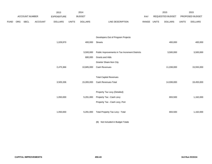|      |     |                |                | 2013               |              | 2014           |                                                |             | 2015             |              | 2015            |
|------|-----|----------------|----------------|--------------------|--------------|----------------|------------------------------------------------|-------------|------------------|--------------|-----------------|
|      |     | ACCOUNT NUMBER |                | <b>EXPENDITURE</b> |              | <b>BUDGET</b>  |                                                | PAY         | REQUESTED BUDGET |              | PROPOSED BUDGET |
| FUND | ORG | SBCL           | <b>ACCOUNT</b> | <b>DOLLARS</b>     | <b>UNITS</b> | <b>DOLLARS</b> | LINE DESCRIPTION                               | RANGE UNITS | <b>DOLLARS</b>   | <b>UNITS</b> | <b>DOLLARS</b>  |
|      |     |                |                |                    |              |                |                                                |             |                  |              |                 |
|      |     |                |                |                    |              |                |                                                |             |                  |              |                 |
|      |     |                |                |                    |              |                | Developers Out of Program Projects             |             |                  |              |                 |
|      |     |                |                | 1,029,970          |              | 400,000        | <b>Streets</b>                                 |             | 400,000          |              | 400,000         |
|      |     |                |                |                    |              |                |                                                |             |                  |              |                 |
|      |     |                |                |                    |              | 3,500,000      | Public Improvements in Tax Increment Districts |             | 3,500,000        |              | 3,500,000       |
|      |     |                |                |                    |              | 680,000        | Grants and Aids                                |             |                  |              |                 |
|      |     |                |                |                    |              |                | Grantor Share-Non City                         |             |                  |              |                 |
|      |     |                |                | 2,475,366          |              | 10,685,000     | Cash Revenues                                  |             | 11,038,000       |              | 15,555,000      |
|      |     |                |                |                    |              |                |                                                |             |                  |              |                 |
|      |     |                |                |                    |              |                | <b>Total Capital Revenues</b>                  |             |                  |              |                 |
|      |     |                |                | 3,505,336          |              | 15,265,000     | Cash Revenues-Total                            |             | 14,938,000       |              | 19,455,000      |
|      |     |                |                |                    |              |                |                                                |             |                  |              |                 |
|      |     |                |                |                    |              |                | Property Tax Levy (Detailed)                   |             |                  |              |                 |
|      |     |                |                | 1,050,000          |              | 5,291,000      | Property Tax - Cash Levy                       |             | 693,500          |              | 1,162,000       |
|      |     |                |                |                    |              |                | Property Tax - Cash Levy, Port                 |             |                  |              |                 |
|      |     |                |                |                    |              |                |                                                |             |                  |              |                 |
|      |     |                |                | 1,050,000          |              | 5,291,000      | <b>Total Property Tax Levy - Total</b>         |             | 693,500          |              | 1,162,000       |
|      |     |                |                |                    |              |                |                                                |             |                  |              |                 |

(B) Not Included in Budget Totals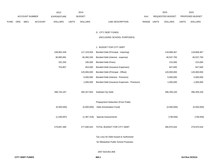|      |            |                |                | 2013           |              | 2014           |                                  |       | 2015             |              | 2015                   |
|------|------------|----------------|----------------|----------------|--------------|----------------|----------------------------------|-------|------------------|--------------|------------------------|
|      |            | ACCOUNT NUMBER |                | EXPENDITURE    |              | <b>BUDGET</b>  | PAY                              |       | REQUESTED BUDGET |              | <b>PROPOSED BUDGET</b> |
| FUND | <b>ORG</b> | SBCL           | <b>ACCOUNT</b> | <b>DOLLARS</b> | <b>UNITS</b> | <b>DOLLARS</b> | <b>RANGE</b><br>LINE DESCRIPTION | UNITS | <b>DOLLARS</b>   | <b>UNITS</b> | <b>DOLLARS</b>         |

### D. CITY DEBT FUNDS

## (INCLUDING SCHOOL PURPOSES)

### 1. BUDGET FOR CITY DEBT

| 248,902,449 | 117,219,504   | Bonded Debt (Principal - maturing)        | 118,808,467 | 118,808,467 |
|-------------|---------------|-------------------------------------------|-------------|-------------|
| 36,895,681  | 40,460,340    | Bonded Debt (Interest - expense)          | 40,537,793  | 40,537,793  |
| 191,250     | 195,000       | Bonded Debt (Fees)                        | 215,000     | 215,000     |
| 754,807     | 453,000       | Bonded Debt (Issuance Expenses)           | 647,840     | 647,840     |
|             | 120,000,000   | Bonded Debt (Principal - Offset)          | 120,000,000 | 120,000,000 |
|             | 5,000,000     | Bonded Debt (Interest - Premium)          | 5,000,000   | 5,000,000   |
|             | 1,000,000     | Bonded Debt (Issuance Expenses - Premium) | 1,000,000   | 1,000,000   |
| 286,744,187 | 284,327,844   | <b>Subtotal City Debt</b>                 | 286,209,100 | 286,209,100 |
|             |               | Prepayment Deduction (From Public         |             |             |
| (5,500,000) | (5,000,000)   | Debt Amortization Fund)                   | (4,500,000) | (5,500,000) |
|             |               |                                           |             |             |
| (1,546,697) | (1, 397, 319) | <b>Special Assessments</b>                | (738, 556)  | (738, 556)  |
|             |               |                                           |             |             |
| 279,697,490 | 277,930,525   | TOTAL BUDGET FOR CITY DEBT                | 280,970,544 | 279,970,544 |
|             |               |                                           |             |             |
|             |               | Tax Levy for Debt Issued or Authorized    |             |             |
|             |               | for Milwaukee Public School Purposes      |             |             |

## 2007 \$19,652,958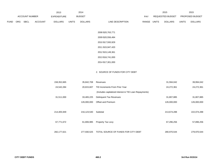|             |                       |             |                | 2013           |               | 2014           |                   |       |                         | 2015           |                 | 2015           |
|-------------|-----------------------|-------------|----------------|----------------|---------------|----------------|-------------------|-------|-------------------------|----------------|-----------------|----------------|
|             | <b>ACCOUNT NUMBER</b> |             | EXPENDITURE    |                | <b>BUDGET</b> |                | <b>PAY</b>        |       | <b>REQUESTED BUDGET</b> |                | PROPOSED BUDGET |                |
| <b>FUND</b> | ORG                   | <b>SBCL</b> | <b>ACCOUNT</b> | <b>DOLLARS</b> | <b>UNITS</b>  | <b>DOLLARS</b> | LINE DESCRIPTION  | RANGE | <b>UNITS</b>            | <b>DOLLARS</b> | <b>UNITS</b>    | <b>DOLLARS</b> |
|             |                       |             |                |                |               |                |                   |       |                         |                |                 |                |
|             |                       |             |                |                |               |                | 2008 \$20,763,771 |       |                         |                |                 |                |
|             |                       |             |                |                |               |                | 2009 \$20,556,484 |       |                         |                |                 |                |
|             |                       |             |                |                |               |                | 2010 \$17,593,929 |       |                         |                |                 |                |

2011 \$15,947,420

2012 \$15,149,361

2013 \$16,741,000

2014 \$17,301,000

## 2. SOURCE OF FUNDS FOR CITY DEBT

| 158,352,665 | 35,842,708  | Revenues                                              | 31,594,042  | 39,994,042  |
|-------------|-------------|-------------------------------------------------------|-------------|-------------|
| 24,542,284  | 20,815,607  | <b>TID Increments From Prior Year</b>                 | 24,272,361  | 24,272,361  |
|             |             | (Includes capitalized interest & TID Loan Repayments) |             |             |
| 31,511,000  | 33,465,225  | <b>Delinguent Tax Revenues</b>                        | 31,807,885  | 31,807,885  |
|             | 126,000,000 | Offset and Premium                                    | 126,000,000 | 126,000,000 |
|             |             |                                                       |             |             |
| 214,405,949 | 216,123,540 | Subtotal                                              | 213,674,288 | 222,074,288 |
|             |             |                                                       |             |             |
| 67,771,672  | 61,806,985  | Property Tax Levy                                     | 67,296,256  | 57,896,256  |
|             |             |                                                       |             |             |
| 282,177,621 | 277,930,525 | TOTAL SOURCE OF FUNDS FOR CITY DEBT                   | 280,970,544 | 279,970,544 |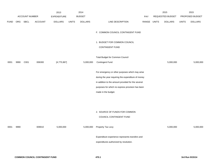|             |      |                |                | 2013           |              | 2014           |                                                                                                                                                                                                                                        |             | 2015             |              | 2015            |
|-------------|------|----------------|----------------|----------------|--------------|----------------|----------------------------------------------------------------------------------------------------------------------------------------------------------------------------------------------------------------------------------------|-------------|------------------|--------------|-----------------|
|             |      | ACCOUNT NUMBER |                | EXPENDITURE    |              | <b>BUDGET</b>  |                                                                                                                                                                                                                                        | PAY         | REQUESTED BUDGET |              | PROPOSED BUDGET |
| <b>FUND</b> | ORG  | <b>SBCL</b>    | <b>ACCOUNT</b> | <b>DOLLARS</b> | <b>UNITS</b> | <b>DOLLARS</b> | LINE DESCRIPTION                                                                                                                                                                                                                       | RANGE UNITS | <b>DOLLARS</b>   | <b>UNITS</b> | <b>DOLLARS</b>  |
|             |      |                |                |                |              |                | F. COMMON COUNCIL CONTINGENT FUND                                                                                                                                                                                                      |             |                  |              |                 |
|             |      |                |                |                |              |                | 1. BUDGET FOR COMMON COUNCIL<br><b>CONTINGENT FUND</b>                                                                                                                                                                                 |             |                  |              |                 |
| 0001        | 9990 | C001           | 006300         | [4,775,967]    |              | 5,000,000      | Total Budget for Common Council<br><b>Contingent Fund</b>                                                                                                                                                                              |             | 5,000,000        |              | 5,000,000       |
|             |      |                |                |                |              |                | For emergency or other purposes which may arise<br>during the year requiring the expenditure of money<br>in addition to the amount provided for the several<br>purposes for which no express provision has been<br>made in the budget. |             |                  |              |                 |
| 0001        | 9990 |                | 009010         | 5,000,000      |              | 5,000,000      | 2. SOURCE OF FUNDS FOR COMMON<br>COUNCIL CONTINGENT FUND<br>Property Tax Levy<br>Expenditure experience represents transfers and<br>expenditures authorized by resolution.                                                             |             | 5,000,000        |              | 5,000,000       |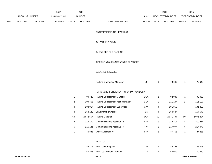|             |     |                     |         | 2013               |                | 2014           |                                      |       |                | 2015             |                | 2015            |
|-------------|-----|---------------------|---------|--------------------|----------------|----------------|--------------------------------------|-------|----------------|------------------|----------------|-----------------|
|             |     | ACCOUNT NUMBER      |         | <b>EXPENDITURE</b> |                | <b>BUDGET</b>  |                                      | PAY   |                | REQUESTED BUDGET |                | PROPOSED BUDGET |
| <b>FUND</b> | ORG | SBCL                | ACCOUNT | <b>DOLLARS</b>     | <b>UNITS</b>   | <b>DOLLARS</b> | LINE DESCRIPTION                     | RANGE | <b>UNITS</b>   | <b>DOLLARS</b>   | <b>UNITS</b>   | <b>DOLLARS</b>  |
|             |     |                     |         |                    |                |                | ENTERPRISE FUND - PARKING            |       |                |                  |                |                 |
|             |     |                     |         |                    |                |                | G. PARKING FUND                      |       |                |                  |                |                 |
|             |     |                     |         |                    |                |                | 1. BUDGET FOR PARKING                |       |                |                  |                |                 |
|             |     |                     |         |                    |                |                | OPERATING & MAINTENANCE EXPENSES     |       |                |                  |                |                 |
|             |     |                     |         |                    |                |                | SALARIES & WAGES                     |       |                |                  |                |                 |
|             |     |                     |         |                    |                |                | Parking Operations Manager           | 1JX   | $\mathbf{1}$   | 79,646           | $\mathbf{1}$   | 79,646          |
|             |     |                     |         |                    |                |                | PARKING ENFORCEMENT/INFORMATION DESK |       |                |                  |                |                 |
|             |     |                     |         |                    | $\mathbf{1}$   | 90,728         | Parking Enforcement Manager          | 1GX   | $\mathbf{1}$   | 92,089           | $\mathbf{1}$   | 92,089          |
|             |     |                     |         |                    | $\overline{c}$ | 109,465        | Parking Enforcement Asst. Manager    | 1CX   | $\overline{2}$ | 111,107          | $\overline{a}$ | 111,107         |
|             |     |                     |         |                    | 4              | 203,017        | Parking Enforcement Supervisor       | 1AX   | 4              | 191,855          | $\overline{4}$ | 191,855         |
|             |     |                     |         |                    | 4              | 154,142        | Lead Parking Checker                 | 6IN   | 4              | 154,547          | 4              | 154,547         |
|             |     |                     |         |                    | 60             | 2,042,557      | Parking Checker                      | 6GN   | 60             | 2,071,494        | 60             | 2,071,494       |
|             |     |                     |         |                    | 8              | 319,172        | <b>Communications Assistant III</b>  | 6HN   | 8              | 319,314          | 8              | 319,314         |
|             |     |                     |         |                    | 5              | 215,141        | <b>Communications Assistant IV</b>   | 6JN   | 5              | 217,077          | 5              | 217,077         |
|             |     |                     |         |                    | $\mathbf{1}$   | 40,836         | Office Assistant IV                  | 6HN   | $\mathbf{1}$   | 37,456           | 1              | 37,456          |
|             |     |                     |         |                    |                |                | <b>TOW LOT</b>                       |       |                |                  |                |                 |
|             |     |                     |         |                    | $\mathbf{1}$   | 85,116         | Tow Lot Manager (Y)                  | 1FX   | $\mathbf{1}$   | 86,393           | $\mathbf{1}$   | 86,393          |
|             |     |                     |         |                    | $\mathbf{1}$   | 50,206         | Tow Lot Assistant Manager            | 1CX   | $\mathbf{1}$   | 50,959           | $\mathbf{1}$   | 50,959          |
|             |     | <b>PARKING FUND</b> |         |                    |                |                | 480.1                                |       |                |                  |                | 3rd Run 9/15/14 |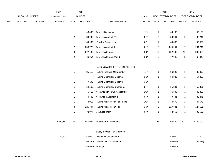|      |     |                |                | 2013               |                | 2014           |                                  |       |                  | 2015             |                         | 2015            |
|------|-----|----------------|----------------|--------------------|----------------|----------------|----------------------------------|-------|------------------|------------------|-------------------------|-----------------|
|      |     | ACCOUNT NUMBER |                | <b>EXPENDITURE</b> |                | <b>BUDGET</b>  |                                  | PAY   |                  | REQUESTED BUDGET |                         | PROPOSED BUDGET |
| FUND | ORG | SBCL           | <b>ACCOUNT</b> | <b>DOLLARS</b>     | <b>UNITS</b>   | <b>DOLLARS</b> | LINE DESCRIPTION                 | RANGE | <b>UNITS</b>     | <b>DOLLARS</b>   | <b>UNITS</b>            | <b>DOLLARS</b>  |
|      |     |                |                |                    |                |                |                                  |       |                  |                  |                         |                 |
|      |     |                |                |                    | $\mathbf{1}$   | 48,435         | Tow Lot Supervisor               | 1AX   | $\mathbf{1}$     | 49,162           | $\mathbf{1}$            | 49,162          |
|      |     |                |                |                    | $\overline{c}$ | 89,937         | Tow Lot Assistant IV             | 5EN   | $\overline{c}$   | 88,241           | $\overline{\mathbf{c}}$ | 88,241          |
|      |     |                |                |                    | $\mathbf{1}$   | 39,983         | Tow Lot Crew Leader              | 8FN   | $\mathbf{1}$     | 40,582           | $\mathbf{1}$            | 40,582          |
|      |     |                |                |                    | $\overline{7}$ | 258,723        | Tow Lot Assistant III            | 6HN   | $\overline{7}$   | 264,241          | $\overline{7}$          | 264,241         |
|      |     |                |                |                    | 10             | 377,445        | Tow Lot Attendant                | 8DN   | 10               | 382,636          | $10$                    | 382,636         |
|      |     |                |                |                    | $\overline{c}$ | 66,054         | Tow Lot Attendant (Aux.)         | 8DN   | $\boldsymbol{2}$ | 67,045           | $\sqrt{2}$              | 67,045          |
|      |     |                |                |                    |                |                |                                  |       |                  |                  |                         |                 |
|      |     |                |                |                    |                |                | PARKING ADMINISTRATION/ METERS   |       |                  |                  |                         |                 |
|      |     |                |                |                    | $\mathbf{1}$   | 85,116         | Parking Financial Manager (Y)    | 1FX   | $\mathbf{1}$     | 86,393           | 1                       | 86,393          |
|      |     |                |                |                    |                |                | Parking Operations Supervisor    | 1DX   | $\mathbf{1}$     | 54,322           | $\mathbf{1}$            | 54,322          |
|      |     |                |                |                    | $\mathbf{1}$   | 47,109         | Parking Operations Supervisor    | 1BX   |                  |                  |                         |                 |
|      |     |                |                |                    | $\mathbf{1}$   | 54,563         | Parking Operations Coordinator   | 2FN   | $\mathbf{1}$     | 55,381           | $\mathbf{1}$            | 55,381          |
|      |     |                |                |                    | $\mathbf{1}$   | 45,613         | Accounting Program Assistant III | 5GN   | $\mathbf{1}$     | 46,303           | 1                       | 46,303          |
|      |     |                |                |                    | $\mathbf{1}$   | 40,749         | <b>Accounting Assistant II</b>   | 6HN   | $\mathbf{1}$     | 39,441           | 1                       | 39,441          |
|      |     |                |                |                    | $\mathbf{1}$   | 44,019         | Parking Meter Technician - Lead  | 3GN   | $\mathbf{1}$     | 44,679           | 1                       | 44,679          |
|      |     |                |                |                    | 3              | 125,794        | Parking Meter Technician         | 3DN   | 3                | 127,681          | 3                       | 127,681         |
|      |     |                |                |                    | $\mathbf{1}$   | 32,074         | Graduate Intern                  | 9PN   | $\mathbf{1}$     | 32,555           | $\mathbf{1}$            | 32,555          |
|      |     |                |                |                    |                |                |                                  |       |                  |                  |                         |                 |
|      |     |                |                | 4,280,312          | 120            | 4,665,994      | <b>Total Before Adjustments</b>  |       | 121              | 4,790,599        | 121                     | 4,790,599       |
|      |     |                |                |                    |                |                |                                  |       |                  |                  |                         |                 |
|      |     |                |                |                    |                |                | Salary & Wage Rate Changes       |       |                  |                  |                         |                 |
|      |     |                |                | 103,799            |                | 150,000        | Overtime Compensated*            |       |                  | 150,000          |                         | 150,000         |
|      |     |                |                |                    |                | (93, 320)      | Personnel Cost Adjustment        |       |                  | (94, 064)        |                         | (94, 064)       |
|      |     |                |                |                    |                |                | (55,992) Furlough                |       |                  | (56,000)         |                         |                 |
|      |     |                |                |                    |                |                |                                  |       |                  |                  |                         |                 |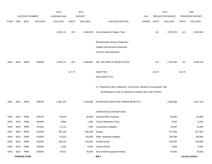|             |      |                       |                | 2013               |              | 2014           |                                                                           |             |        | 2015             |              | 2015            |
|-------------|------|-----------------------|----------------|--------------------|--------------|----------------|---------------------------------------------------------------------------|-------------|--------|------------------|--------------|-----------------|
|             |      | <b>ACCOUNT NUMBER</b> |                | <b>EXPENDITURE</b> |              | <b>BUDGET</b>  |                                                                           | PAY         |        | REQUESTED BUDGET |              | PROPOSED BUDGET |
| <b>FUND</b> | ORG  | SBCL                  | <b>ACCOUNT</b> | <b>DOLLARS</b>     | <b>UNITS</b> | <b>DOLLARS</b> | LINE DESCRIPTION                                                          | RANGE UNITS |        | <b>DOLLARS</b>   | <b>UNITS</b> | <b>DOLLARS</b>  |
|             |      |                       |                | 4,384,111          | 120          | 4,666,682      | Gross Salaries & Wages Total                                              |             | 121    | 4,790,535        | 121          | 4,846,535       |
|             |      |                       |                |                    |              |                | Reimbursable Services Deduction                                           |             |        |                  |              |                 |
|             |      |                       |                |                    |              |                | Capital Improvements Deduction                                            |             |        |                  |              |                 |
|             |      |                       |                |                    |              |                | Grants & Aids Deduction                                                   |             |        |                  |              |                 |
| 0450        | 6610 | R999                  | 006000         | 4,384,111          | 120          | 4,666,682      | NET SALARIES & WAGES TOTAL*                                               |             | 121    | 4,790,535        | 121          | 4,846,535       |
|             |      |                       |                |                    | 117.75       |                | <b>O&amp;M FTE'S</b>                                                      |             | 118.75 |                  | 118.75       |                 |
|             |      |                       |                |                    |              |                | NON-O&M FTE'S                                                             |             |        |                  |              |                 |
|             |      |                       |                |                    |              |                | (Y) Required to file a statement of economic interests in accordance with |             |        |                  |              |                 |
|             |      |                       |                |                    |              |                | the Milwaukee Code of Ordinances Chapter 303-Code of Ethics.              |             |        |                  |              |                 |
| 0450        | 6610 | R999                  | 006180         | 2,367,420          |              | 2,520,008      | ESTIMATED EMPLOYEE FRINGE BENEFITS                                        |             |        | 2,586,889        |              | 2,617,129       |
|             |      |                       |                |                    |              |                | OPERATING EXPENDITURES                                                    |             |        |                  |              |                 |
| 0450        | 6610 | R999                  | 630100         | 36,979             |              | 66,000         | <b>General Office Expense</b>                                             |             |        | 50,000           |              | 50,000          |
| 0450        | 6610 | R999                  | 630500         | 6,858              |              | 1,000          | Tools & Machinery Parts                                                   |             |        | 8,000            |              | 8,000           |
| 0450        | 6610 | R999                  | 631000         | 17,113             |              | 7,000          | <b>Construction Supplies</b>                                              |             |        | 18,000           |              | 18,000          |
| 0450        | 6610 | R999                  | 631500         | 791,156            |              | 836,300        | Energy                                                                    |             |        | 877,000          |              | 877,000         |
| 0450        | 6610 | R999                  | 632000         | 97,814             |              | 120,000        | <b>Other Operating Supplies</b>                                           |             |        | 105,000          |              | 105,000         |
| 0450        | 6610 | R999                  | 632500         | 108,153            |              | 148,000        | <b>Facility Rental</b>                                                    |             |        | 150,000          |              | 150,000         |
| 0450        | 6610 | R999                  | 633000         | 1,550              |              | 5,000          | Vehicle Rental                                                            |             |        | 5,000            |              | 5,000           |
| 0450        | 6610 | R999                  | 633500         | 34,412             |              | 40,000         | Non-Vehicle Equipment Rental                                              |             |        | 40,000           |              | 40,000          |
|             |      | <b>PARKING FUND</b>   |                |                    |              |                | 480.3                                                                     |             |        |                  |              | 3rd Run 9/15/14 |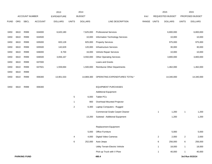|             |      |                       |                | 2013               |                | 2014           |                                        |       |                | 2015             |                | 2015            |
|-------------|------|-----------------------|----------------|--------------------|----------------|----------------|----------------------------------------|-------|----------------|------------------|----------------|-----------------|
|             |      | <b>ACCOUNT NUMBER</b> |                | <b>EXPENDITURE</b> |                | <b>BUDGET</b>  |                                        | PAY   |                | REQUESTED BUDGET |                | PROPOSED BUDGET |
| <b>FUND</b> | ORG  | <b>SBCL</b>           | <b>ACCOUNT</b> | <b>DOLLARS</b>     | <b>UNITS</b>   | <b>DOLLARS</b> | LINE DESCRIPTION                       | RANGE | <b>UNITS</b>   | <b>DOLLARS</b>   | <b>UNITS</b>   | <b>DOLLARS</b>  |
|             |      |                       |                |                    |                |                |                                        |       |                |                  |                |                 |
| 0450        | 6610 | R999                  | 634000         | 6,620,180          |                | 7,625,000      | <b>Professional Services</b>           |       |                | 6,800,000        |                | 6,800,000       |
| 0450        | 6610 | R999                  | 634500         |                    |                | 10,000         | Information Technology Services        |       |                | 10,000           |                | 10,000          |
| 0450        | 6610 | R999                  | 635000         | 820,128            |                | 825,000        | <b>Property Services</b>               |       |                | 975,000          |                | 975,000         |
| 0450        | 6610 | R999                  | 635500         | 142,629            |                | 120,000        | Infrastructure Services                |       |                | 30,000           |                | 30,000          |
| 0450        | 6610 | R999                  | 636000         | 8,700              |                | 16,000         | Vehicle Repair Services                |       |                | 10,000           |                | 10,000          |
| 0450        | 6610 | R999                  | 636500         | 3,656,167          |                | 3,550,000      | <b>Other Operating Services</b>        |       |                | 3,800,000        |                | 3,800,000       |
| 0450        | 6610 | R999                  | 637000         |                    |                |                | Loans and Grants                       |       |                |                  |                |                 |
| 0450        | 6610 | R999                  | 637501         | 1,559,694          |                | 1,500,000      | <b>Reimburse Other Departments</b>     |       |                | 1,462,000        |                | 1,462,000       |
| 0450        | 6610 | R999                  |                |                    |                |                |                                        |       |                |                  |                |                 |
| 0450        | 6610 | R999                  | 006300         | 13,901,533         |                | 14,869,300     | OPERATING EXPENDITURES TOTAL*          |       |                | 14,340,000       |                | 14,340,000      |
|             |      |                       |                |                    |                |                |                                        |       |                |                  |                |                 |
| 0450        | 6610 | R999                  | 006300         |                    |                |                | <b>EQUIPMENT PURCHASES</b>             |       |                |                  |                |                 |
|             |      |                       |                |                    |                |                | <b>Additional Equipment</b>            |       |                |                  |                |                 |
|             |      |                       |                |                    | $\sqrt{5}$     | 6,000          | <b>Tablet PCs</b>                      |       |                |                  |                |                 |
|             |      |                       |                |                    | $\mathbf{1}$   | 900            | Overhead Mounted Projector             |       |                |                  |                |                 |
|             |      |                       |                |                    | $\overline{a}$ | 6,300          | Laptop Computers - Rugged              |       |                |                  |                |                 |
|             |      |                       |                |                    |                |                | <b>Commercial Grade Carpet Cleaner</b> |       | $\mathbf{1}$   | 1,200            | 1              | 1,200           |
|             |      |                       |                |                    |                | 13,200         | Subtotal - Additional Equipment        |       |                | 1,200            |                | 1,200           |
|             |      |                       |                |                    |                |                |                                        |       |                |                  |                |                 |
|             |      |                       |                |                    |                |                | <b>Replacement Equipment</b>           |       |                |                  |                |                 |
|             |      |                       |                |                    |                | 5,000          | Office Furniture                       |       |                | 5,000            |                | 5,000           |
|             |      |                       |                |                    | 4              | 4,000          | Digital Video Cameras                  |       | $\overline{2}$ | 2,000            | $\overline{a}$ | 2,000           |
|             |      |                       |                |                    | 6              | 252,000        | Auto-Jeeps                             |       | 6              | 256,000          | 6              | 256,000         |
|             |      |                       |                |                    |                |                | Utility Terrain Electric Vehicle       |       | $\mathbf{1}$   | 18,000           | $\mathbf{1}$   | 18,000          |
|             |      |                       |                |                    |                |                | Pick-up Truck with V Plow              |       | $\overline{1}$ | 40,000           | $\mathbf{1}$   | 40,000          |
|             |      | <b>PARKING FUND</b>   |                |                    |                |                | 480.4                                  |       |                |                  |                | 3rd Run 9/15/14 |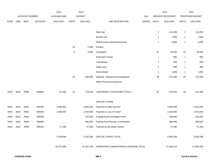|             |      |                |                | 2013           |              | 2014           |                                                  |       |                | 2015             |              | 2015            |
|-------------|------|----------------|----------------|----------------|--------------|----------------|--------------------------------------------------|-------|----------------|------------------|--------------|-----------------|
|             |      | ACCOUNT NUMBER |                | EXPENDITURE    |              | <b>BUDGET</b>  |                                                  | PAY   |                | REQUESTED BUDGET |              | PROPOSED BUDGET |
| <b>FUND</b> | ORG  | SBCL           | <b>ACCOUNT</b> | <b>DOLLARS</b> | <b>UNITS</b> | <b>DOLLARS</b> | LINE DESCRIPTION                                 | RANGE | <b>UNITS</b>   | <b>DOLLARS</b>   | <b>UNITS</b> | <b>DOLLARS</b>  |
|             |      |                |                |                |              |                |                                                  |       |                |                  |              |                 |
|             |      |                |                |                |              |                | Step Van                                         |       | $\mathbf{1}$   | 110,000          | $\mathbf{1}$ | 110,000         |
|             |      |                |                |                |              |                | Electric cart                                    |       | $\mathbf{1}$   | 7,000            | $\mathbf{1}$ | 7,000           |
|             |      |                |                |                |              |                | Multi-function printer/fax/scanner               |       | $\mathbf{1}$   | 3,000            | $\mathbf{1}$ | 3,000           |
|             |      |                |                |                | $10$         | 2,000          | Printers                                         |       |                |                  |              |                 |
|             |      |                |                |                | 3            | 3,000          | Computers                                        |       | 32             | 30,000           | 32           | 30,000          |
|             |      |                |                |                |              |                | Push lawn mower                                  |       | $\mathbf{1}$   | 800              | $\mathbf{1}$ | 800             |
|             |      |                |                |                |              |                | Yard blower                                      |       | $\mathbf{1}$   | 500              | $\mathbf{1}$ | 500             |
|             |      |                |                |                |              |                | Pallet truck                                     |       | $\mathbf{1}$   | 900              | $\mathbf{1}$ | 900             |
|             |      |                |                |                |              |                | Snow blower                                      |       | $\overline{1}$ | 1,000            | $\mathbf{1}$ | 1,000           |
|             |      |                |                |                | 23           | 266,000        | Subtotal - Replacement Equipment                 |       | 49             | 474,200          | 49           | 474,200         |
|             |      |                |                |                |              |                | Other Previous Experience                        |       |                |                  |              |                 |
|             |      |                |                |                | 23           |                |                                                  |       |                |                  |              |                 |
| 0450        | 6610 | R999           | 006800         | 67,668         |              | 279,200        | EQUIPMENT PURCHASES TOTAL*                       |       | 49             | 475,400          | 49           | 475,400         |
|             |      |                |                |                |              |                | SPECIAL FUNDS                                    |       |                |                  |              |                 |
| 0450        | 6610 | R661           | 006300         | 2,668,981      |              | 2,800,000      | Payment to Debt Service*                         |       |                | 3,300,000        |              | 3,300,000       |
| 0450        | 6610 | R663           | 006300         | 1,560,567      |              | 1,550,000      | Payment in Lieu of Taxes*                        |       |                | 1,553,000        |              | 1,553,000       |
| 0450        | 6610 | R664           | 006300         |                |              | 425,000        | Parking Fund Contingent Fund*                    |       |                | 425,000          |              | 425,000         |
| 0450        | 6610 | R665           | 006900         |                |              | 360,000        | Parking Fund Pension Contribution*               |       |                | 360,000          |              | 360,000         |
| 0450        | 6610 | R666           | 006300         | 27,286         |              | 27,286         | Payment to the Water Works*                      |       |                | 27,286           |              | 27,286          |
|             |      |                |                |                |              |                |                                                  |       |                |                  |              |                 |
|             |      |                |                | 4,256,834      |              |                | 5,162,286 SPECIAL FUNDS TOTAL                    |       |                | 5,665,286        |              | 5,665,286       |
|             |      |                |                | 24,977,566     |              |                | 27,497,476 OPERATING & MAINTENANCE EXPENSE TOTAL |       |                | 27,858,110       |              | 27,944,350      |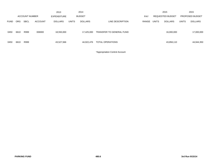|             |                       |             |                | 2013               |              | 2014           |                          |       |              | 2015             |              | 2015                   |
|-------------|-----------------------|-------------|----------------|--------------------|--------------|----------------|--------------------------|-------|--------------|------------------|--------------|------------------------|
|             | <b>ACCOUNT NUMBER</b> |             |                | <b>EXPENDITURE</b> |              | <b>BUDGET</b>  |                          | PAY   |              | REQUESTED BUDGET |              | <b>PROPOSED BUDGET</b> |
| <b>FUND</b> | ORG.                  | <b>SBCL</b> | <b>ACCOUNT</b> | <b>DOLLARS</b>     | <b>UNITS</b> | <b>DOLLARS</b> | LINE DESCRIPTION         | RANGE | <b>UNITS</b> | <b>DOLLARS</b>   | <b>UNITS</b> | <b>DOLLARS</b>         |
| 0450        | 6610                  | R999        | 006900         | 18,550,000         |              | 17,425,000     | TRANSFER TO GENERAL FUND |       |              | 16,000,000       |              | 17,000,000             |
| 0450        | 6610                  | R999        |                | 43,527,566         |              | 44,922,476     | TOTAL OPERATIONS         |       |              | 43,858,110       |              | 44,944,350             |

\*Appropriation Control Account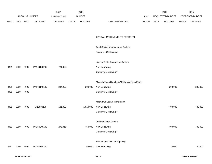|             |      |                |                | 2013               |              | 2014           |                                                 |             | 2015             |              | 2015            |
|-------------|------|----------------|----------------|--------------------|--------------|----------------|-------------------------------------------------|-------------|------------------|--------------|-----------------|
|             |      | ACCOUNT NUMBER |                | <b>EXPENDITURE</b> |              | <b>BUDGET</b>  |                                                 | PAY         | REQUESTED BUDGET |              | PROPOSED BUDGET |
| <b>FUND</b> | ORG  | SBCL           | <b>ACCOUNT</b> | <b>DOLLARS</b>     | <b>UNITS</b> | <b>DOLLARS</b> | LINE DESCRIPTION                                | RANGE UNITS | <b>DOLLARS</b>   | <b>UNITS</b> | <b>DOLLARS</b>  |
|             |      |                |                |                    |              |                |                                                 |             |                  |              |                 |
|             |      |                |                |                    |              |                |                                                 |             |                  |              |                 |
|             |      |                |                |                    |              |                | CAPITAL IMPROVEMENTS PROGRAM                    |             |                  |              |                 |
|             |      |                |                |                    |              |                |                                                 |             |                  |              |                 |
|             |      |                |                |                    |              |                | <b>Total Capital Improvements-Parking</b>       |             |                  |              |                 |
|             |      |                |                |                    |              |                | Program - Unallocated                           |             |                  |              |                 |
|             |      |                |                |                    |              |                |                                                 |             |                  |              |                 |
|             |      |                |                |                    |              |                | License Plate Recognition System                |             |                  |              |                 |
| 0451        | 9990 | R999           | PA160130200    | 721,000            |              |                | New Borrowing                                   |             |                  |              |                 |
|             |      |                |                |                    |              |                | Carryover Borrowing**                           |             |                  |              |                 |
|             |      |                |                |                    |              |                |                                                 |             |                  |              |                 |
|             |      |                |                |                    |              |                | Miscellaneous Structural/Mechanical/Elec Maint. |             |                  |              |                 |
| 0451        | 9990 | R999           | PA160140100    | 244,255            |              | 200,000        | New Borrowing                                   |             | 200,000          |              | 200,000         |
| 0451        | 9990 | R999           |                |                    |              |                | Carryover Borrowing**                           |             |                  |              |                 |
|             |      |                |                |                    |              |                |                                                 |             |                  |              |                 |
|             |      |                |                |                    |              |                | MacArthur Square Renovation                     |             |                  |              |                 |
| 0451        | 9990 | R999           | PA16080170     | 181,953            |              | 1,010,000      | New Borrowing                                   |             | 400,000          |              | 400,000         |
|             |      |                |                |                    |              |                | Carryover Borrowing**                           |             |                  |              |                 |
|             |      |                |                |                    |              |                |                                                 |             |                  |              |                 |
|             |      |                |                |                    |              |                | 2nd/Plankinton Repairs                          |             |                  |              |                 |
| 0451        | 9990 | R999           | PA160040100    | 275,916            |              | 450,000        | New Borrowing                                   |             | 400,000          |              | 400,000         |
|             |      |                |                |                    |              |                | Carryover Borrowing**                           |             |                  |              |                 |
|             |      |                |                |                    |              |                |                                                 |             |                  |              |                 |
|             |      |                |                |                    |              |                | Surface and Tow Lot Repaving                    |             |                  |              |                 |
| 0451        | 9990 | R999           | PA160140200    |                    |              | 55,000         | New Borrowing                                   |             | 40,000           |              | 40,000          |
|             |      |                |                |                    |              |                |                                                 |             |                  |              |                 |

**PARKING FUND 480.7 3rd Run 9/15/14**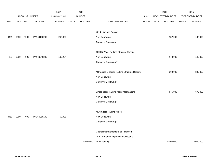|             |      |                       |                | 2013               |              | 2014           |                                              |            |              | 2015                    |              | 2015            |
|-------------|------|-----------------------|----------------|--------------------|--------------|----------------|----------------------------------------------|------------|--------------|-------------------------|--------------|-----------------|
|             |      | <b>ACCOUNT NUMBER</b> |                | <b>EXPENDITURE</b> |              | <b>BUDGET</b>  |                                              | <b>PAY</b> |              | <b>REQUESTED BUDGET</b> |              | PROPOSED BUDGET |
| <b>FUND</b> | ORG  | <b>SBCL</b>           | <b>ACCOUNT</b> | <b>DOLLARS</b>     | <b>UNITS</b> | <b>DOLLARS</b> | LINE DESCRIPTION                             | RANGE      | <b>UNITS</b> | <b>DOLLARS</b>          | <b>UNITS</b> | <b>DOLLARS</b>  |
|             |      |                       |                |                    |              |                |                                              |            |              |                         |              |                 |
|             |      |                       |                |                    |              |                | 4th & Highland Repairs                       |            |              |                         |              |                 |
| 0451        | 9990 | R999                  | PA160100200    | 263,866            |              |                | New Borrowing                                |            |              | 137,000                 |              | 137,000         |
|             |      |                       |                |                    |              |                | Carryover Borrowing                          |            |              |                         |              |                 |
|             |      |                       |                |                    |              |                |                                              |            |              |                         |              |                 |
|             |      |                       |                |                    |              |                | 1000 N Water Parking Structure Repairs       |            |              |                         |              |                 |
| 451         | 9990 | R999                  | PA160040200    | 102,264            |              |                | New Borrowing                                |            |              | 140,000                 |              | 140,000         |
|             |      |                       |                |                    |              |                | Carryover Borrowing**                        |            |              |                         |              |                 |
|             |      |                       |                |                    |              |                |                                              |            |              |                         |              |                 |
|             |      |                       |                |                    |              |                | Milwaukee Michigan Parking Structure Repairs |            |              | 300,000                 |              | 300,000         |
|             |      |                       |                |                    |              |                | New Borrowing                                |            |              |                         |              |                 |
|             |      |                       |                |                    |              |                | Carryover Borrowing**                        |            |              |                         |              |                 |
|             |      |                       |                |                    |              |                |                                              |            |              |                         |              |                 |
|             |      |                       |                |                    |              |                | Single-space Parking Meter Mechanisms        |            |              | 675,000                 |              | 675,000         |
|             |      |                       |                |                    |              |                | New Borrowing                                |            |              |                         |              |                 |
|             |      |                       |                |                    |              |                | Carryover Borrowing**                        |            |              |                         |              |                 |
|             |      |                       |                |                    |              |                | Multi-Space Parking Meters                   |            |              |                         |              |                 |
| 0451        | 9990 | R999                  | PA160060100    | 59,908             |              |                | New Borrowing                                |            |              |                         |              |                 |
|             |      |                       |                |                    |              |                | Carryover Borrowing**                        |            |              |                         |              |                 |
|             |      |                       |                |                    |              |                |                                              |            |              |                         |              |                 |
|             |      |                       |                |                    |              |                | Capital Improvements to be Financed          |            |              |                         |              |                 |
|             |      |                       |                |                    |              |                | from Permanent Improvement Reserve           |            |              |                         |              |                 |
|             |      |                       |                |                    |              | 5,000,000      | Fund-Parking                                 |            |              | 5,000,000               |              | 5,000,000       |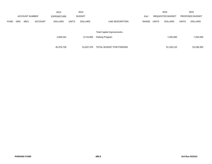|             |                       |             |                | 2013               | 2014         |                |                              |       |              | 2015                    |              | 2015                   |
|-------------|-----------------------|-------------|----------------|--------------------|--------------|----------------|------------------------------|-------|--------------|-------------------------|--------------|------------------------|
|             | <b>ACCOUNT NUMBER</b> |             |                | <b>EXPENDITURE</b> |              | <b>BUDGET</b>  |                              | PAY   |              | <b>REQUESTED BUDGET</b> |              | <b>PROPOSED BUDGET</b> |
| <b>FUND</b> | <b>ORG</b>            | <b>SBCL</b> | <b>ACCOUNT</b> | <b>DOLLARS</b>     | <b>UNITS</b> | <b>DOLLARS</b> | LINE DESCRIPTION             | RANGE | <b>UNITS</b> | <b>DOLLARS</b>          | <b>UNITS</b> | <b>DOLLARS</b>         |
|             |                       |             |                |                    |              |                |                              |       |              |                         |              |                        |
|             |                       |             |                |                    |              |                | Total Capital Improvements - |       |              |                         |              |                        |
|             |                       |             |                | 1,849,162          |              | 6,715,000      | Parking Program              |       |              | 7,292,000               |              | 7,292,000              |
|             |                       |             |                |                    |              |                |                              |       |              |                         |              |                        |
|             |                       |             |                | 45,376,728         |              | 51.637.476     | TOTAL BUDGET FOR PARKING     |       |              | 51,150,110              |              | 52,236,350             |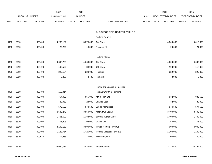|             |      |                       |                | 2013               |              | 2014           |                                 |       |              | 2015             |              | 2015            |
|-------------|------|-----------------------|----------------|--------------------|--------------|----------------|---------------------------------|-------|--------------|------------------|--------------|-----------------|
|             |      | <b>ACCOUNT NUMBER</b> |                | <b>EXPENDITURE</b> |              | <b>BUDGET</b>  |                                 | PAY   |              | REQUESTED BUDGET |              | PROPOSED BUDGET |
| <b>FUND</b> | ORG  | SBCL                  | <b>ACCOUNT</b> | <b>DOLLARS</b>     | <b>UNITS</b> | <b>DOLLARS</b> | LINE DESCRIPTION                | RANGE | <b>UNITS</b> | <b>DOLLARS</b>   | <b>UNITS</b> | <b>DOLLARS</b>  |
|             |      |                       |                |                    |              |                |                                 |       |              |                  |              |                 |
|             |      |                       |                |                    |              |                | 2. SOURCE OF FUNDS FOR PARKING  |       |              |                  |              |                 |
|             |      |                       |                |                    |              |                | <b>Parking Permits</b>          |       |              |                  |              |                 |
| 0450        | 6610 |                       | 009400         | 4,263,162          |              | 3,875,000      | On-Street                       |       |              | 4,000,000        |              | 4,010,000       |
| 0450        | 6610 |                       | 009400         | 20,276             |              | 16,000         | Residential                     |       |              | 20,000           |              | 21,300          |
|             |      |                       |                |                    |              |                |                                 |       |              |                  |              |                 |
|             |      |                       |                |                    |              |                | <b>Parking Meters</b>           |       |              |                  |              |                 |
| 0450        | 6610 |                       | 009400         | 4,648,769          |              | 4,660,000      | On-Street                       |       |              | 4,600,000        |              | 4,600,000       |
| 0450        | 6610 |                       | 009400         | 100,506            |              | 84,000         | Off-Street                      |       |              | 100,000          |              | 118,000         |
| 0450        | 6610 |                       | 009400         | 229,134            |              | 228,000        | Hooding                         |       |              | 229,000          |              | 229,000         |
| 0450        | 6610 |                       | 009400         | 3,858              |              | 2,400          | Removal                         |       |              | 3,000            |              | 3,000           |
|             |      |                       |                |                    |              |                |                                 |       |              |                  |              |                 |
|             |      |                       |                |                    |              |                | Rental and Leases of Facilities |       |              |                  |              |                 |
| 0450        | 6610 |                       | 009400         | 152,914            |              |                | Restaurant 4th & Highland       |       |              |                  |              |                 |
| 0450        | 6610 |                       | 009400         | 754,089            |              | 855,000        | 4th & Highland                  |       |              | 832,000          |              | 835,500         |
| 0450        | 6610 |                       | 009400         | 30,959             |              | 23,000         | Leased Lots                     |       |              | 32,000           |              | 32,000          |
| 0450        | 6610 |                       | 009400         | 572,500            |              | 574,500        | 535 N. Milwaukee                |       |              | 574,500          |              | 574,500         |
| 0450        | 6610 |                       | 009400         | 3,542,270          |              | 3,550,000      | MacArthur Square                |       |              | 3,400,000        |              | 3,400,000       |
| 0450        | 6610 |                       | 009400         | 1,401,692          |              | 1,383,000      | 1000 N. Water Street            |       |              | 1,400,000        |              | 1,400,000       |
| 0450        | 6610 |                       | 009400         | 751,826            |              | 708,000        | 742 N. 2nd                      |       |              | 750,000          |              | 771,000         |
| 0450        | 6610 |                       | 009400         | 4,199,150          |              | 3,900,000      | <b>Towed Vehicle Revenue</b>    |       |              | 4,000,000        |              | 4,000,000       |
| 0450        | 6610 |                       | 009400         | 1,183,764          |              | 1,425,000      | Vehicle Disposal Revenue        |       |              | 1,100,000        |              | 1,100,000       |
| 0450        | 6610 |                       | 009870         | 1,114,865          |              | 740,000        | Miscellaneous                   |       |              | 1,100,000        |              | 1,100,000       |
|             |      |                       |                |                    |              |                |                                 |       |              |                  |              |                 |
| 0450        | 6610 |                       |                | 22,969,734         |              | 22,023,900     | <b>Total Revenue</b>            |       |              | 22,140,500       |              | 22,194,300      |
|             |      |                       |                |                    |              |                |                                 |       |              |                  |              |                 |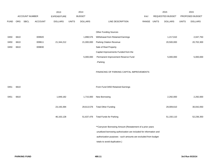|             |            |                       |                | 2013               |              | 2014           |                                                                     |            |              | 2015                    |              | 2015            |
|-------------|------------|-----------------------|----------------|--------------------|--------------|----------------|---------------------------------------------------------------------|------------|--------------|-------------------------|--------------|-----------------|
|             |            | <b>ACCOUNT NUMBER</b> |                | <b>EXPENDITURE</b> |              | <b>BUDGET</b>  |                                                                     | <b>PAY</b> |              | <b>REQUESTED BUDGET</b> |              | PROPOSED BUDGET |
| <b>FUND</b> | <b>ORG</b> | <b>SBCL</b>           | <b>ACCOUNT</b> | <b>DOLLARS</b>     | <b>UNITS</b> | <b>DOLLARS</b> | LINE DESCRIPTION                                                    | RANGE      | <b>UNITS</b> | <b>DOLLARS</b>          | <b>UNITS</b> | <b>DOLLARS</b>  |
|             |            |                       |                |                    |              |                |                                                                     |            |              |                         |              |                 |
|             |            |                       |                |                    |              |                | <b>Other Funding Sources</b>                                        |            |              |                         |              |                 |
| 0450        | 6610       |                       | 009920         |                    |              | 1,898,576      | Withdrawal from Retained Earnings                                   |            |              | 1,217,610               |              | 2,047,750       |
| 0450        | 6610       |                       | 009611         | 21,344,212         |              | 21,000,000     | <b>Parking Citation Revenue</b>                                     |            |              | 20,500,000              |              | 20,702,300      |
| 0450        | 6610       |                       | 009830         |                    |              |                | Sale of Real Property                                               |            |              |                         |              |                 |
|             |            |                       |                |                    |              |                | Capital Improvements Funded from the                                |            |              |                         |              |                 |
|             |            |                       |                |                    |              | 5,000,000      | Permanent Improvement Reserve Fund                                  |            |              | 5,000,000               |              | 5,000,000       |
|             |            |                       |                |                    |              |                | -Parking                                                            |            |              |                         |              |                 |
|             |            |                       |                |                    |              |                |                                                                     |            |              |                         |              |                 |
|             |            |                       |                |                    |              |                | FINANCING OF PARKING CAPITAL IMPROVEMENTS                           |            |              |                         |              |                 |
|             |            |                       |                |                    |              |                |                                                                     |            |              |                         |              |                 |
|             |            |                       |                |                    |              |                |                                                                     |            |              |                         |              |                 |
| 0451        | 6610       |                       |                |                    |              |                | From Fund 0450 Retained Earnings                                    |            |              |                         |              |                 |
|             |            |                       |                |                    |              |                |                                                                     |            |              |                         |              |                 |
| 0451        | 6610       |                       |                | 1,849,182          |              | 1,715,000      | New Borrowing                                                       |            |              | 2,292,000               |              | 2,292,000       |
|             |            |                       |                |                    |              |                |                                                                     |            |              |                         |              |                 |
|             |            |                       |                | 23,193,394         |              | 29,613,576     | <b>Total Other Funding</b>                                          |            |              | 29,009,610              |              | 30,042,050      |
|             |            |                       |                |                    |              |                |                                                                     |            |              |                         |              |                 |
|             |            |                       |                | 46, 163, 128       |              | 51,637,476     | <b>Total Funds for Parking</b>                                      |            |              | 51,150,110              |              | 52,236,350      |
|             |            |                       |                |                    |              |                |                                                                     |            |              |                         |              |                 |
|             |            |                       |                |                    |              |                | ** Carryover Borrowing Amount (Restatement of a prior years         |            |              |                         |              |                 |
|             |            |                       |                |                    |              |                | unutilized borrowing authorization are included for information and |            |              |                         |              |                 |
|             |            |                       |                |                    |              |                | authorization purposes - such amounts are excluded from budget      |            |              |                         |              |                 |
|             |            |                       |                |                    |              |                | totals to avoid duplication.)                                       |            |              |                         |              |                 |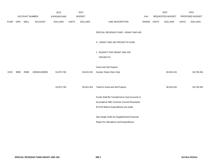|             |      |                       |                | 2013               |              | 2014           |                                               |             | 2015             |              | 2015            |
|-------------|------|-----------------------|----------------|--------------------|--------------|----------------|-----------------------------------------------|-------------|------------------|--------------|-----------------|
|             |      | <b>ACCOUNT NUMBER</b> |                | <b>EXPENDITURE</b> |              | <b>BUDGET</b>  |                                               | PAY         | REQUESTED BUDGET |              | PROPOSED BUDGET |
| <b>FUND</b> | ORG  | <b>SBCL</b>           | <b>ACCOUNT</b> | <b>DOLLARS</b>     | <b>UNITS</b> | <b>DOLLARS</b> | LINE DESCRIPTION                              | RANGE UNITS | <b>DOLLARS</b>   | <b>UNITS</b> | <b>DOLLARS</b>  |
|             |      |                       |                |                    |              |                |                                               |             |                  |              |                 |
|             |      |                       |                |                    |              |                | SPECIAL REVENUE FUND - GRANT AND AID          |             |                  |              |                 |
|             |      |                       |                |                    |              |                | H. GRANT AND AID PROJECTS FUND                |             |                  |              |                 |
|             |      |                       |                |                    |              |                | 1. BUDGET FOR GRANT AND AID                   |             |                  |              |                 |
|             |      |                       |                |                    |              |                | <b>PROJECTS</b>                               |             |                  |              |                 |
|             |      |                       |                |                    |              |                | <b>Grant and Aid Projects</b>                 |             |                  |              |                 |
| 0150        | 9990 | R999                  | GR0001400000   | 53,875,794         |              | 50,622,451     | Grantor Share (Non-City)                      |             | 46,919,181       |              | 49,759,391      |
|             |      |                       |                |                    |              |                |                                               |             |                  |              |                 |
|             |      |                       |                | 53,875,794         |              | 50,622,451     | <b>Total for Grant and Aid Projects</b>       |             | 46,919,181       |              | 49,759,391      |
|             |      |                       |                |                    |              |                |                                               |             |                  |              |                 |
|             |      |                       |                |                    |              |                | Funds Shall Be Transferred to Sub Accounts in |             |                  |              |                 |
|             |      |                       |                |                    |              |                | Accordance With Common Council Resolution     |             |                  |              |                 |
|             |      |                       |                |                    |              |                | 872120 Before Expenditures are made.          |             |                  |              |                 |
|             |      |                       |                |                    |              |                | See Single Audit Act Supplemental Financial   |             |                  |              |                 |
|             |      |                       |                |                    |              |                | Report for Allocations and Expenditures.      |             |                  |              |                 |
|             |      |                       |                |                    |              |                |                                               |             |                  |              |                 |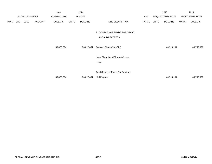|             |     |                       |                | 2013               |              | 2014           |                                     |       |       | 2015             |              | 2015            |
|-------------|-----|-----------------------|----------------|--------------------|--------------|----------------|-------------------------------------|-------|-------|------------------|--------------|-----------------|
|             |     | <b>ACCOUNT NUMBER</b> |                | <b>EXPENDITURE</b> |              | <b>BUDGET</b>  |                                     | PAY   |       | REQUESTED BUDGET |              | PROPOSED BUDGET |
| <b>FUND</b> | ORG | <b>SBCL</b>           | <b>ACCOUNT</b> | <b>DOLLARS</b>     | <b>UNITS</b> | <b>DOLLARS</b> | LINE DESCRIPTION                    | RANGE | UNITS | <b>DOLLARS</b>   | <b>UNITS</b> | <b>DOLLARS</b>  |
|             |     |                       |                |                    |              |                |                                     |       |       |                  |              |                 |
|             |     |                       |                |                    |              |                | 2. SOURCES OF FUNDS FOR GRANT       |       |       |                  |              |                 |
|             |     |                       |                |                    |              |                | AND AID PROJECTS                    |       |       |                  |              |                 |
|             |     |                       |                |                    |              |                |                                     |       |       |                  |              |                 |
|             |     |                       |                | 53,875,794         |              | 50,622,451     | Grantors Share (Non-City)           |       |       | 46,919,181       |              | 49,759,391      |
|             |     |                       |                |                    |              |                |                                     |       |       |                  |              |                 |
|             |     |                       |                |                    |              |                | Local Share Out-Of Pocket Current   |       |       |                  |              |                 |
|             |     |                       |                |                    |              |                | Levy                                |       |       |                  |              |                 |
|             |     |                       |                |                    |              |                |                                     |       |       |                  |              |                 |
|             |     |                       |                |                    |              |                | Total Source of Funds For Grant and |       |       |                  |              |                 |
|             |     |                       |                | 53,875,794         |              | 50,622,451     | Aid Projects                        |       |       | 46,919,181       |              | 49,759,391      |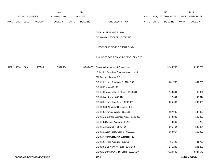|             |      |                       |                                  | 2013               |              | 2014           |                                               |             | 2015             |         |              | 2015            |
|-------------|------|-----------------------|----------------------------------|--------------------|--------------|----------------|-----------------------------------------------|-------------|------------------|---------|--------------|-----------------|
|             |      | <b>ACCOUNT NUMBER</b> |                                  | <b>EXPENDITURE</b> |              | <b>BUDGET</b>  |                                               | <b>PAY</b>  | REQUESTED BUDGET |         |              | PROPOSED BUDGET |
| <b>FUND</b> | ORG  | SBCL                  | <b>ACCOUNT</b>                   | <b>DOLLARS</b>     | <b>UNITS</b> | <b>DOLLARS</b> | LINE DESCRIPTION                              | RANGE UNITS | <b>DOLLARS</b>   |         | <b>UNITS</b> | <b>DOLLARS</b>  |
|             |      |                       |                                  |                    |              |                |                                               |             |                  |         |              |                 |
|             |      |                       |                                  |                    |              |                | SPECIAL REVENUE FUND -                        |             |                  |         |              |                 |
|             |      |                       |                                  |                    |              |                | ECONOMIC DEVELOPMENT FUND                     |             |                  |         |              |                 |
|             |      |                       |                                  |                    |              |                | I. ECONOMIC DEVELOPMENT FUND                  |             |                  |         |              |                 |
|             |      |                       |                                  |                    |              |                | 1. BUDGET FOR ECONOMIC DEVELOPMENT            |             |                  |         |              |                 |
| 0190        | 1910 | S001                  | 006300                           | 7,504,054          |              | 8,505,477      | Business Improvement Districts (A)            |             | 9,100,755        |         |              | 9,100,755       |
|             |      |                       |                                  |                    |              |                | Estimated Based on Projected Assessment:      |             |                  |         |              |                 |
|             |      |                       |                                  |                    |              |                | (A) For the following BID's;                  |             |                  |         |              |                 |
|             |      |                       |                                  |                    |              |                | BID #2 (Historic Third Ward) - \$631,766      |             |                  | 631,766 |              | 631,766         |
|             |      |                       |                                  |                    |              |                | BID #3 (Riverwalk) - \$0                      |             |                  |         |              |                 |
|             |      |                       |                                  |                    |              |                | BID #4 (Greater Mitchell Street) - \$148,301  |             |                  | 148,301 |              | 148,301         |
|             |      |                       |                                  |                    |              |                | BID #5 (Westown) - \$97,644                   |             |                  | 97,644  |              | 97,644          |
|             |      |                       |                                  |                    |              |                | BID #8 (Historic King Drive) - \$205,689      |             |                  | 205,689 |              | 205,689         |
|             |      |                       |                                  |                    |              |                | BID #9 (735 N. Water-Riverwalk) - \$0         |             |                  |         |              |                 |
|             |      |                       |                                  |                    |              |                | BID #10 (Avenues West) - \$137,085            |             |                  | 137,085 |              | 137,085         |
|             |      |                       |                                  |                    |              |                | BID #11 (Brady Str Business Area) - \$142,320 |             |                  | 142,320 |              | 142,320         |
|             |      |                       |                                  |                    |              |                | BID #13 (Oakland Avenue) - \$8,269            |             |                  | 8,269   |              | 8,269           |
|             |      |                       |                                  |                    |              |                | BID #15 (Riverwalk) - \$505,464               |             |                  | 505,464 |              | 505,464         |
|             |      |                       |                                  |                    |              |                | BID #16 (West North Avenue) - \$160,067       |             |                  | 160,067 |              | 160,067         |
|             |      |                       |                                  |                    |              |                | BID #17 (Northwest Area Business) - \$0       |             |                  |         |              |                 |
|             |      |                       |                                  |                    |              |                | BID #19 (Villard Avenue) - \$81,722           |             |                  | 81,722  |              | 81,722          |
|             |      |                       |                                  |                    |              |                | BID #20 (East North Avenue) - \$241,233       |             |                  | 241,233 |              | 241,233         |
|             |      |                       |                                  |                    |              |                | BID #21 (Downtown Mgmt Distr) - \$3,324,546   |             | 3,324,546        |         |              | 3,324,546       |
|             |      |                       | <b>ECONOMIC DEVELOPMENT FUND</b> |                    |              |                | 500.1                                         |             |                  |         |              | 3rd Run 9/15/14 |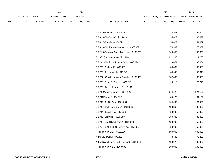|             |                       |                | 2013               |              | 2014           |                                                   |             | 2015             |              | 2015            |
|-------------|-----------------------|----------------|--------------------|--------------|----------------|---------------------------------------------------|-------------|------------------|--------------|-----------------|
|             | <b>ACCOUNT NUMBER</b> |                | <b>EXPENDITURE</b> |              | <b>BUDGET</b>  |                                                   | PAY         | REQUESTED BUDGET |              | PROPOSED BUDGET |
| <b>FUND</b> | ORG SBCL              | <b>ACCOUNT</b> | <b>DOLLARS</b>     | <b>UNITS</b> | <b>DOLLARS</b> | LINE DESCRIPTION                                  | RANGE UNITS | <b>DOLLARS</b>   | <b>UNITS</b> | <b>DOLLARS</b>  |
|             |                       |                |                    |              |                |                                                   |             |                  |              |                 |
|             |                       |                |                    |              |                | BID #25 (Riverworks) - \$234,901                  |             | 234,901          |              | 234,901         |
|             |                       |                |                    |              |                | BID #26 (The Valley) - \$135,629                  |             | 135,629          |              | 135,629         |
|             |                       |                |                    |              |                | BID #27 (Burleigh) - \$54,622                     |             | 54,622           |              | 54,622          |
|             |                       |                |                    |              |                | BID #28 (North Ave Gateway Distr) - \$76,939      |             | 76,939           |              | 76,939          |
|             |                       |                |                    |              |                | BID #29 (Teutonia, Capitol, Atkinson) - \$100,659 |             | 100,659          |              | 100,659         |
|             |                       |                |                    |              |                | Bid #31 (Havenwoods) - \$211,288                  |             | 211,288          |              | 211,288         |
|             |                       |                |                    |              |                | BID #32 (North Ave Market Place) - \$99,874       |             | 99,874           |              | 99,874          |
|             |                       |                |                    |              |                | BID#35 (Becher/KK) - \$35,480                     |             | 35,480           |              | 35,480          |
|             |                       |                |                    |              |                | BID#36 (Riverworks II) - \$45,648                 |             | 45,648           |              | 45,648          |
|             |                       |                |                    |              |                | BID#37 (30th St. Industrial Corridor) - \$182,403 |             | 182,403          |              | 182,403         |
|             |                       |                |                    |              |                | BID#38 (Cesar E. Chavez) - \$29,216               |             | 29,216           |              | 29,216          |
|             |                       |                |                    |              |                | BID#39 ( Center St Market Place) - \$0            |             |                  |              |                 |
|             |                       |                |                    |              |                | BID#40(Airport Gateway) - \$374,126               |             | 374,126          |              | 374,126         |
|             |                       |                |                    |              |                | BID#41(Downer) - \$84,122                         |             | 84,122           |              | 84,122          |
|             |                       |                |                    |              |                | BID#42 (Schlitz Park) - \$124,583                 |             | 124,583          |              | 124,583         |
|             |                       |                |                    |              |                | BID#43 (South 27th Street) - \$133,366            |             | 133,366          |              | 133,366         |
|             |                       |                |                    |              |                | BID#44 (Kinnickinnic) - \$53,996                  |             | 53,996           |              | 53,996          |
|             |                       |                |                    |              |                | BID#48 (Granville) - \$380,389                    |             | 380,389          |              | 380,389         |
|             |                       |                |                    |              |                | BID#49 (Reed Street Yards) - \$150,000            |             | 150,000          |              | 150,000         |
|             |                       |                |                    |              |                | BID#50 (S. 13th St.-Oklahoma Av.) - \$50,000      |             | 50,000           |              | 50,000          |
|             |                       |                |                    |              |                | Potential New BIDs - \$500,000                    |             | 500,000          |              | 500,000         |
|             |                       |                |                    |              |                | NID #1 (Brewery) - \$78,432                       |             | 78,432           |              | 78,432          |
|             |                       |                |                    |              |                | NID #3 (Washington Park Partners) - \$180,976     |             | 180,976          |              | 180,976         |
|             |                       |                |                    |              |                | Potential New NIDS - \$100,000                    |             | 100,000          |              | 100,000         |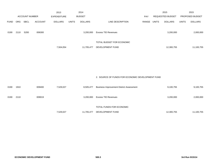|             |      |                       |                | 2013               |              | 2014           |                           |            |              | 2015             |              | 2015                   |
|-------------|------|-----------------------|----------------|--------------------|--------------|----------------|---------------------------|------------|--------------|------------------|--------------|------------------------|
|             |      | <b>ACCOUNT NUMBER</b> |                | <b>EXPENDITURE</b> |              | <b>BUDGET</b>  |                           | <b>PAY</b> |              | REQUESTED BUDGET |              | <b>PROPOSED BUDGET</b> |
| <b>FUND</b> | ORG  | <b>SBCL</b>           | <b>ACCOUNT</b> | <b>DOLLARS</b>     | <b>UNITS</b> | <b>DOLLARS</b> | LINE DESCRIPTION          | RANGE      | <b>UNITS</b> | <b>DOLLARS</b>   | <b>UNITS</b> | <b>DOLLARS</b>         |
| 0190        | 2110 | S200                  | 006300         |                    |              | 3,200,000      | Excess TID Revenues       |            |              | 3,200,000        |              | 2,000,000              |
|             |      |                       |                |                    |              |                | TOTAL BUDGET FOR ECONOMIC |            |              |                  |              |                        |
|             |      |                       |                | 7,504,054          |              | 11,705,477     | DEVELOPMENT FUND          |            |              | 12,300,755       |              | 11,100,755             |

2. SOURCE OF FUNDS FOR ECONOMIC DEVELOPMENT FUND

| 0190 | 1910 | 009400 | 7,529,027 | 8,505,477  | <b>Business Improvement District Assessment</b> | 9,100,755  | 9,100,755  |
|------|------|--------|-----------|------------|-------------------------------------------------|------------|------------|
| 0190 | 2110 | 009019 |           | 3,200,000  | <b>Excess TID Revenues</b>                      | 3,200,000  | 2,000,000  |
|      |      |        |           |            | TOTAL FUNDS FOR ECONOMIC                        |            |            |
|      |      |        | 7,529,027 | 11,705,477 | DEVELOPMENT FUND                                | 12,300,755 | 11,100,755 |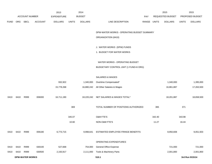|             |      |                        |         | 2013               |              | 2014           |                                            |             |        | 2015             |              | 2015            |
|-------------|------|------------------------|---------|--------------------|--------------|----------------|--------------------------------------------|-------------|--------|------------------|--------------|-----------------|
|             |      | ACCOUNT NUMBER         |         | <b>EXPENDITURE</b> |              | <b>BUDGET</b>  |                                            | PAY         |        | REQUESTED BUDGET |              | PROPOSED BUDGET |
| <b>FUND</b> | ORG  | SBCL                   | ACCOUNT | <b>DOLLARS</b>     | <b>UNITS</b> | <b>DOLLARS</b> | LINE DESCRIPTION                           | RANGE UNITS |        | <b>DOLLARS</b>   | <b>UNITS</b> | <b>DOLLARS</b>  |
|             |      |                        |         |                    |              |                |                                            |             |        |                  |              |                 |
|             |      |                        |         |                    |              |                | DPW-WATER WORKS - OPERATING BUDGET SUMMARY |             |        |                  |              |                 |
|             |      |                        |         |                    |              |                | ORGANIZATION (6410)                        |             |        |                  |              |                 |
|             |      |                        |         |                    |              |                |                                            |             |        |                  |              |                 |
|             |      |                        |         |                    |              |                | J. WATER WORKS (DPW) FUNDS                 |             |        |                  |              |                 |
|             |      |                        |         |                    |              |                | 1. BUDGET FOR WATER WORKS                  |             |        |                  |              |                 |
|             |      |                        |         |                    |              |                |                                            |             |        |                  |              |                 |
|             |      |                        |         |                    |              |                | WATER WORKS - OPERATING BUDGET             |             |        |                  |              |                 |
|             |      |                        |         |                    |              |                | BUDGETARY CONTROL UNIT (1 FUND=6 ORG)      |             |        |                  |              |                 |
|             |      |                        |         |                    |              |                | SALARIES & WAGES                           |             |        |                  |              |                 |
|             |      |                        |         | 932,922            |              | 1,340,000      | Overtime Compensated*                      |             |        | 1,340,000        |              | 1,395,000       |
|             |      |                        |         | 15,778,268         |              | 16,880,242     | All Other Salaries & Wages                 |             |        | 16,861,887       |              | 17,263,500      |
|             |      |                        |         |                    |              |                |                                            |             |        |                  |              |                 |
| 0410        | 6410 | R999                   | 006000  | 16,711,190         |              |                | 18,220,242 NET SALARIES & WAGES TOTAL*     |             |        | 18,201,887       |              | 18,658,500      |
|             |      |                        |         |                    |              |                |                                            |             |        |                  |              |                 |
|             |      |                        |         |                    | 369          |                | TOTAL NUMBER OF POSITIONS AUTHORIZED       |             | 365    |                  | 371          |                 |
|             |      |                        |         |                    |              |                |                                            |             |        |                  |              |                 |
|             |      |                        |         |                    | 345.07       |                | O&M FTE'S                                  |             | 342.40 |                  | 343.98       |                 |
|             |      |                        |         |                    | 10.60        |                | NON-O&M FTE'S                              |             | 11.27  |                  | 16.44        |                 |
| 0410        | 6410 | R999                   | 006180  | 6,773,715          |              | 9,998,641      | ESTIMATED EMPLOYEE FRINGE BENEFITS         |             |        | 8,950,608        |              | 9,051,503       |
|             |      |                        |         |                    |              |                |                                            |             |        |                  |              |                 |
|             |      |                        |         |                    |              |                | OPERATING EXPENDITURES                     |             |        |                  |              |                 |
| 0410        | 6410 | R999                   | 630100  | 527,668            |              | 754,000        | General Office Expense                     |             |        | 721,000          |              | 721,000         |
| 0410        | 6410 | R999                   | 630500  | 2,150,917          |              | 2,111,000      | Tools & Machinery Parts                    |             |        | 2,001,800        |              | 2,001,800       |
|             |      | <b>DPW-WATER WORKS</b> |         |                    |              |                | 510.1                                      |             |        |                  |              | 3rd Run 9/15/14 |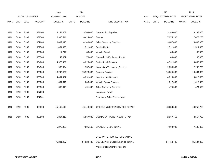|             |            |                       |                | 2013               |              | 2014           |                                    |       |              | 2015             |              | 2015            |
|-------------|------------|-----------------------|----------------|--------------------|--------------|----------------|------------------------------------|-------|--------------|------------------|--------------|-----------------|
|             |            | <b>ACCOUNT NUMBER</b> |                | <b>EXPENDITURE</b> |              | <b>BUDGET</b>  |                                    | PAY   |              | REQUESTED BUDGET |              | PROPOSED BUDGET |
| <b>FUND</b> | <b>ORG</b> | <b>SBCL</b>           | <b>ACCOUNT</b> | <b>DOLLARS</b>     | <b>UNITS</b> | <b>DOLLARS</b> | LINE DESCRIPTION                   | RANGE | <b>UNITS</b> | <b>DOLLARS</b>   | <b>UNITS</b> | <b>DOLLARS</b>  |
|             |            |                       |                |                    |              |                |                                    |       |              |                  |              |                 |
| 0410        | 6410       | R999                  | 631000         | 3,144,607          |              | 3,508,000      | <b>Construction Supplies</b>       |       |              | 3,183,000        |              | 3,183,000       |
| 0410        | 6410       | R999                  | 631500         | 6,396,541          |              | 6,424,000      | Energy                             |       |              | 7,075,200        |              | 7,075,200       |
| 0410        | 6410       | R999                  | 632000         | 3,087,615          |              | 4,146,000      | <b>Other Operating Supplies</b>    |       |              | 3,607,000        |              | 3,607,000       |
| 0410        | 6410       | R999                  | 632500         | 1,454,996          |              | 1,511,000      | <b>Facility Rental</b>             |       |              | 1,511,000        |              | 1,511,000       |
| 0410        | 6410       | R999                  | 633000         | 11,742             |              | 86,000         | Vehicle Rental                     |       |              | 86,000           |              | 86,000          |
| 0410        | 6410       | R999                  | 633500         | 49,302             |              | 78,000         | Non-Vehicle Equipment Rental       |       |              | 88,000           |              | 88,000          |
| 0410        | 6410       | R999                  | 634000         | 4,973,459          |              | 4,225,000      | <b>Professional Services</b>       |       |              | 4,791,500        |              | 4,866,500       |
| 0410        | 6410       | R999                  | 634500         | 960,074            |              | 1,952,000      | Information Technology Services    |       |              | 2,058,500        |              | 2,206,700       |
| 0410        | 6410       | R999                  | 635000         | 16,249,502         |              | 15,923,000     | <b>Property Services</b>           |       |              | 16,604,000       |              | 16,604,000      |
| 0410        | 6410       | R999                  | 635500         | 4,491,427          |              | 4,391,000      | <b>Infrastructure Services</b>     |       |              | 4,815,000        |              | 4,815,000       |
| 0410        | 6410       | R999                  | 636000         | 1,001,641          |              | 848,000        | Vehicle Repair Services            |       |              | 1,017,000        |              | 1,017,000       |
| 0410        | 6410       | R999                  | 636500         | 662,619            |              | 491,000        | <b>Other Operating Services</b>    |       |              | 474,500          |              | 474,500         |
| 0410        | 6410       | R999                  | 637000         |                    |              |                | Loans and Grants                   |       |              |                  |              |                 |
| 0410        | 6410       | R999                  | 637501         |                    |              |                | <b>Reimburse Other Departments</b> |       |              |                  |              |                 |
|             |            |                       |                |                    |              |                |                                    |       |              |                  |              |                 |
| 0410        | 6410       | R999                  | 006300         | 45,162,110         |              | 46,448,000     | OPERATING EXPENDITURES TOTAL*      |       |              | 48,033,500       |              | 48,256,700      |
|             |            |                       |                |                    |              |                |                                    |       |              |                  |              |                 |
| 0410        | 6410       | R999                  | 006800         | 1,364,319          |              | 1,967,000      | EQUIPMENT PURCHASES TOTAL*         |       |              | 2,167,450        |              | 2,517,700       |
|             |            |                       |                |                    |              |                |                                    |       |              |                  |              |                 |
|             |            |                       |                | 5,279,963          |              | 7,895,560      | SPECIAL FUNDS TOTAL                |       |              | 7,100,000        |              | 7,100,000       |
|             |            |                       |                |                    |              |                |                                    |       |              |                  |              |                 |
|             |            |                       |                |                    |              |                | DPW-WATER WORKS OPERATING          |       |              |                  |              |                 |
|             |            |                       |                | 75,291,297         |              | 84,529,443     | BUDGETARY CONTROL UNIT TOTAL       |       |              | 84,453,445       |              | 85,584,403      |
|             |            |                       |                |                    |              |                | *Appropriation Control Account     |       |              |                  |              |                 |
|             |            |                       |                |                    |              |                |                                    |       |              |                  |              |                 |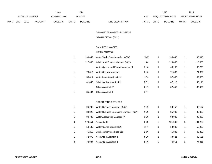|             |            |                       |                | 2013               |              | 2014           |                                  |       | 2015             |              | 2015                   |
|-------------|------------|-----------------------|----------------|--------------------|--------------|----------------|----------------------------------|-------|------------------|--------------|------------------------|
|             |            | <b>ACCOUNT NUMBER</b> |                | <b>EXPENDITURE</b> |              | <b>BUDGET</b>  | PAY                              |       | REQUESTED BUDGET |              | <b>PROPOSED BUDGET</b> |
| <b>FUND</b> | <b>ORG</b> | <b>SBCL</b>           | <b>ACCOUNT</b> | <b>DOLLARS</b>     | <b>UNITS</b> | <b>DOLLARS</b> | <b>RANGE</b><br>LINE DESCRIPTION | UNITS | <b>DOLLARS</b>   | <b>UNITS</b> | <b>DOLLARS</b>         |

DPW-WATER WORKS - BUSINESS

## ORGANIZATION (6411)

## SALARIES & WAGES

# ADMINISTRATION

| 133.049 | Water Works Superintendent (X)(Y)    | 1MX | 135.045 | 135,045 |
|---------|--------------------------------------|-----|---------|---------|
| 117.096 | Admin. and Projects Manager (X)(Y)   | 1KX | 118.853 | 118,853 |
|         | Water System and Project Manager (X) | 2HX | 66,208  | 66,208  |
| 70.819  | <b>Water Security Manager</b>        | 2HX | 71.882  | 71,882  |
| 56.811  | <b>Water Marketing Specialist</b>    | 2FX | 57.663  | 57,663  |
| 41.495  | Administrative Assistant III         | 5FN | 42.118  | 42,118  |
|         | <b>Office Assistant IV</b>           | 6HN | 37.456  | 37,456  |
| 35.404  | <b>Office Assistant III</b>          | 6FN |         |         |

#### ACCOUNTING SERVICES

|   | 96.706  | Water Business Manager (X) (Y)            | 1HX |   | 98,157  |   | 98,157  |
|---|---------|-------------------------------------------|-----|---|---------|---|---------|
|   | 83.828  | Water Business Operations Manager (X) (Y) | 1GX |   | 85.086  |   | 85,086  |
|   | 90.728  | Water Accounting Manager (Y)              | 1GX |   | 92,089  |   | 92,089  |
| 3 | 178.551 | Accountant III                            | 2GX | 3 | 181.230 | 3 | 181,230 |
|   | 53.182  | Water Claims Specialist (X)               | 2FX |   | 53,980  |   | 53,980  |
|   | 45.210  | <b>Business Services Specialist</b>       | 2DN |   | 45.889  |   | 45,889  |
| 1 | 42.878  | <b>Accounting Assistant III</b>           | 5EN |   | 43.521  |   | 43,521  |
| 2 | 74.924  | <b>Accounting Assistant II</b>            | 6HN | 2 | 74.911  | 2 | 74,911  |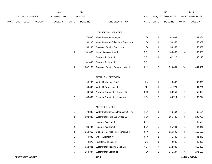|             |                       |             |                | 2013           |               | 2014           |                           |                         | 2015           | 2015                   |                |
|-------------|-----------------------|-------------|----------------|----------------|---------------|----------------|---------------------------|-------------------------|----------------|------------------------|----------------|
|             | <b>ACCOUNT NUMBER</b> |             | EXPENDITURE    |                | <b>BUDGET</b> | PAY            |                           | <b>REQUESTED BUDGET</b> |                | <b>PROPOSED BUDGET</b> |                |
| <b>FUND</b> | <b>ORG</b>            | <b>SBCL</b> | <b>ACCOUNT</b> | <b>DOLLARS</b> | UNITS         | <b>DOLLARS</b> | RANGE<br>LINE DESCRIPTION | <b>UNITS</b>            | <b>DOLLARS</b> | <b>UNITS</b>           | <b>DOLLARS</b> |

### COMMERCIAL SERVICES

| 1  | 79.836  | Water Revenue Manager                      | 1EX |    | 81.034  |    | 81,034  |
|----|---------|--------------------------------------------|-----|----|---------|----|---------|
| 1  | 50.206  | Water Revenue Collections Supervisor       | 1CX |    | 50.959  |    | 50,959  |
| 1  | 50.206  | <b>Customer Service Supervisor</b>         | 1CX |    | 50.959  |    | 50,959  |
| 3  | 131.432 | <b>Accounting Assistant III</b>            | 5EN | 3  | 130.089 | 3  | 130,089 |
|    |         | Program Assistant II                       | 5FN |    | 42.118  |    | 42,118  |
| 1  | 41,495  | Program Assistant I                        | 5EN |    |         |    |         |
| 10 | 387.185 | <b>Customer Service Representative III</b> | 6HN | 10 | 394.431 | 10 | 394,431 |

### TECHNICAL SERVICES

|   | 95.265 | Water IT Manager (X) (Y)        | 1 I X | 96.693 | 96,693 |
|---|--------|---------------------------------|-------|--------|--------|
|   | 60.809 | Water IT Supervisor (X)         | 2JX   | 61.721 | 61,721 |
|   | 60.251 | Network Coordinator- Senior (X) | 2GX   | 50.959 | 50,959 |
| 2 | 88.389 | Network Coordinator-Associate   | 2EX   | 89.714 | 89,714 |

### METER SERVICES

|   | 79,836  | Water Meter Services Manager (X) (Y)       | 1EX |   | 66.164  |   | 66,164  |
|---|---------|--------------------------------------------|-----|---|---------|---|---------|
| 3 | 183.845 | Water Meter Field Supervisor (X)           | 1BX | 5 | 295,780 | 5 | 295,780 |
|   |         | Program Assistant II                       | 5FN |   |         |   | 42,526  |
| 2 | 83.784  | Program Assistant I                        | 5EN | 2 | 85.041  |   | 44,941  |
| 3 | 114.869 | <b>Customer Service Representative III</b> | 6HN | 3 | 116,592 | 3 | 116,592 |
|   | 40.836  | <b>Office Assistant IV</b>                 | 6HN |   | 41.449  |   | 41,449  |
| 1 | 42.272  | <b>Inventory Assistant III</b>             | 6IN | 1 | 42.906  |   | 42,906  |
| 7 | 312.831 | Water Meter Reading Specialist             | 6LN | 7 | 312.339 | 7 | 312,339 |
| 6 | 268.347 | <b>Water Meter Specialist</b>              | 7EN | 6 | 271,187 | 6 | 271,187 |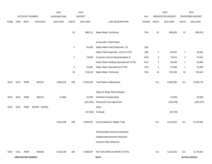|             |      |                        |                 | 2013               |                | 2014           |                                          |       | 2015             |                | 2015            |                 |
|-------------|------|------------------------|-----------------|--------------------|----------------|----------------|------------------------------------------|-------|------------------|----------------|-----------------|-----------------|
|             |      | ACCOUNT NUMBER         |                 | <b>EXPENDITURE</b> |                | <b>BUDGET</b>  |                                          | PAY   | REQUESTED BUDGET |                | PROPOSED BUDGET |                 |
| <b>FUND</b> | ORG  | SBCL                   | ACCOUNT         | <b>DOLLARS</b>     | <b>UNITS</b>   | <b>DOLLARS</b> | LINE DESCRIPTION                         | RANGE | <b>UNITS</b>     | <b>DOLLARS</b> | <b>UNITS</b>    | <b>DOLLARS</b>  |
|             |      |                        |                 |                    | 22             | 896,211        | Water Meter Technician                   | 7DN   | 22               | 899,620        | 22              | 899,620         |
|             |      |                        |                 |                    |                |                | <b>AUXILIARY POSITIONS</b>               |       |                  |                |                 |                 |
|             |      |                        |                 |                    | $\overline{2}$ | 94,805         | Water Meter Field Supervisor (X)         | 1BX   |                  |                |                 |                 |
|             |      |                        |                 |                    |                |                | Water Field Supervisor (X) (0.5 FTE)     | 1BX   | $\mathbf{1}$     | 28,041         | $\overline{1}$  | 28,041          |
|             |      |                        |                 |                    | $\overline{a}$ | 76,045         | Customer Service Representative III      | 6HN   | $\overline{c}$   | 74,911         | $\overline{2}$  | 74,911          |
|             |      |                        |                 |                    |                |                | Water Meter Reading Specialist (0.5 FTE) | 6LN   | $\mathbf{1}$     | 20,846         | $\overline{1}$  | 20,846          |
|             |      |                        |                 |                    | $\mathbf{1}$   | 22,961         | Water Meter Specialist (0.5 FTE)         | 7EN   | $\mathbf{1}$     | 23,305         | $\mathbf{1}$    | 23,305          |
|             |      |                        |                 |                    | 18             | 710,143        | Water Meter Technician                   | 7DN   | 18               | 735,344        | 18              | 735,344         |
| 0410        | 6411 | R999                   | 600101          | 4,604,205          | 108            | 5,092,540      | <b>Total Before Adjustments</b>          |       | 111              | 5,266,290      | 111             | 5,268,716       |
|             |      |                        |                 |                    |                |                | Salary & Wage Rate Changes               |       |                  |                |                 |                 |
| 0410        | 6411 | R999                   | 602101          | 11,964             |                | 15,000         | Overtime Compensated                     |       |                  | 15,000         |                 | 15,000          |
|             |      |                        |                 |                    |                | (101, 851)     | Personnel Cost Adjustment                |       |                  | (105, 326)     |                 | (105, 374)      |
| 0410        | 6411 | R999                   | 602201 - 602601 |                    |                |                | Other                                    |       |                  |                |                 |                 |
|             |      |                        |                 |                    |                | (57, 382)      | Furlough                                 |       |                  | (59, 732)      |                 |                 |
|             |      |                        |                 | 4,616,169          | 108            | 4,948,307      | Gross Salaries & Wages Total             |       | 111              | 5,116,232      | 111             | 5,178,342       |
|             |      |                        |                 |                    |                |                | Reimbursable Services Deduction          |       |                  |                |                 |                 |
|             |      |                        |                 |                    |                |                | Capital Improvements Deduction           |       |                  |                |                 |                 |
|             |      |                        |                 |                    |                |                | Grants & Aids Deduction                  |       |                  |                |                 |                 |
| 0410        | 6411 | R999                   | 006000          | 4,616,169          | 108            | 4,948,307      | NET SALARIES & WAGES TOTAL               |       | 111              | 5,116,232      | 111             | 5,178,342       |
|             |      | <b>DPW-WATER WORKS</b> |                 |                    |                |                | 510.5                                    |       |                  |                |                 | 3rd Run 9/15/14 |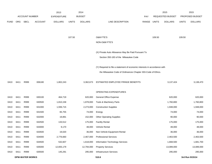|             |      |                       |                | 2013               |              | 2014           |                                                                           |             |        | 2015             |              | 2015            |
|-------------|------|-----------------------|----------------|--------------------|--------------|----------------|---------------------------------------------------------------------------|-------------|--------|------------------|--------------|-----------------|
|             |      | <b>ACCOUNT NUMBER</b> |                | <b>EXPENDITURE</b> |              | <b>BUDGET</b>  |                                                                           | PAY         |        | REQUESTED BUDGET |              | PROPOSED BUDGET |
| <b>FUND</b> | ORG  | <b>SBCL</b>           | <b>ACCOUNT</b> | <b>DOLLARS</b>     | <b>UNITS</b> | <b>DOLLARS</b> | LINE DESCRIPTION                                                          | RANGE UNITS |        | <b>DOLLARS</b>   | <b>UNITS</b> | <b>DOLLARS</b>  |
|             |      |                       |                |                    |              |                |                                                                           |             |        |                  |              |                 |
|             |      |                       |                |                    |              |                |                                                                           |             |        |                  |              |                 |
|             |      |                       |                |                    | 107.50       |                | <b>O&amp;M FTE'S</b>                                                      |             | 109.50 |                  | 109.50       |                 |
|             |      |                       |                |                    |              |                | NON-O&M FTE'S                                                             |             |        |                  |              |                 |
|             |      |                       |                |                    |              |                |                                                                           |             |        |                  |              |                 |
|             |      |                       |                |                    |              |                | (X) Private Auto Allowance May Be Paid Pursuant To                        |             |        |                  |              |                 |
|             |      |                       |                |                    |              |                | Section 350-183 of the Milwaukee Code                                     |             |        |                  |              |                 |
|             |      |                       |                |                    |              |                |                                                                           |             |        |                  |              |                 |
|             |      |                       |                |                    |              |                | (Y) Required to file a statement of economic interests in accordance with |             |        |                  |              |                 |
|             |      |                       |                |                    |              |                | the Milwaukee Code of Ordinances Chapter 303-Code of Ethics.              |             |        |                  |              |                 |
|             |      |                       |                |                    |              |                |                                                                           |             |        |                  |              |                 |
| 0410        | 6411 | R999                  | 006180         | 1,802,243          |              | 3,362,673      | ESTIMATED EMPLOYEE FRINGE BENEFITS                                        |             |        | 3,137,424        |              | 3,138,470       |
|             |      |                       |                |                    |              |                |                                                                           |             |        |                  |              |                 |
|             |      |                       |                |                    |              |                | OPERATING EXPENDITURES                                                    |             |        |                  |              |                 |
| 0410        | 6411 | R999                  | 630100         | 464,719            |              | 620,000        | <b>General Office Expense</b>                                             |             |        | 620,000          |              | 620,000         |
| 0410        | 6411 | R999                  | 630500         | 1,810,158          |              | 1,878,000      | Tools & Machinery Parts                                                   |             |        | 1,760,800        |              | 1,760,800       |
| 0410        | 6411 | R999                  | 631000         | 1,936,715          |              | 2,273,000      | <b>Construction Supplies</b>                                              |             |        | 1,948,000        |              | 1,948,000       |
| 0410        | 6411 | R999                  | 631500         | 65,755             |              | 74,000         | Energy                                                                    |             |        | 74,000           |              | 74,000          |
| 0410        | 6411 | R999                  | 632000         | 19,891             |              | 152,000        | <b>Other Operating Supplies</b>                                           |             |        | 90,000           |              | 90,000          |
| 0410        | 6411 | R999                  | 632500         | 133,512            |              | 175,000        | <b>Facility Rental</b>                                                    |             |        | 175,000          |              | 175,000         |
| 0410        | 6411 | R999                  | 633000         | 9,170              |              | 48,000         | <b>Vehicle Rental</b>                                                     |             |        | 48,000           |              | 48,000          |
| 0410        | 6411 | R999                  | 633500         | 19,020             |              | 36,000         | Non-Vehicle Equipment Rental                                              |             |        | 36,000           |              | 36,000          |
| 0410        | 6411 | R999                  | 634000         | 2,776,660          |              | 2,467,000      | <b>Professional Services</b>                                              |             |        | 2,463,500        |              | 2,463,500       |
| 0410        | 6411 | R999                  | 634500         | 532,607            |              | 1,618,000      | Information Technology Services                                           |             |        | 1,668,500        |              | 1,681,700       |
| 0410        | 6411 | R999                  | 635000         | 12,655,179         |              | 12,794,000     | <b>Property Services</b>                                                  |             |        | 13,089,000       |              | 13,089,000      |
| 0410        | 6411 | R999                  | 635500         | 145,291            |              | 295,000        | Infrastructure Services                                                   |             |        | 295,000          |              | 295,000         |
|             |      |                       |                |                    |              |                |                                                                           |             |        |                  |              |                 |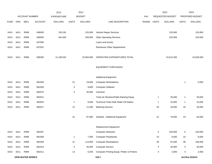|             |      |                       |                | 2013               |              | 2014           |                                             |       |                  | 2015           |                 | 2015           |
|-------------|------|-----------------------|----------------|--------------------|--------------|----------------|---------------------------------------------|-------|------------------|----------------|-----------------|----------------|
|             |      | <b>ACCOUNT NUMBER</b> |                | <b>EXPENDITURE</b> |              | <b>BUDGET</b>  |                                             | PAY   | REQUESTED BUDGET |                | PROPOSED BUDGET |                |
| <b>FUND</b> | ORG  | <b>SBCL</b>           | <b>ACCOUNT</b> | <b>DOLLARS</b>     | <b>UNITS</b> | <b>DOLLARS</b> | LINE DESCRIPTION                            | RANGE | <b>UNITS</b>     | <b>DOLLARS</b> | <b>UNITS</b>    | <b>DOLLARS</b> |
|             |      |                       |                |                    |              |                |                                             |       |                  |                |                 |                |
| 0410        | 6411 | R999                  | 636000         | 150,191            |              | 125,000        | Vehicle Repair Services                     |       |                  | 125,000        |                 | 125,000        |
| 0410        | 6411 | R999                  | 636500         | 461,664            |              | 248,000        | <b>Other Operating Services</b>             |       |                  | 220,500        |                 | 220,500        |
| 0410        | 6411 | R999                  | 637000         |                    |              |                | Loans and Grants                            |       |                  |                |                 |                |
| 0410        | 6411 | R999                  | 637501         |                    |              |                | <b>Reimburse Other Departments</b>          |       |                  |                |                 |                |
|             |      |                       |                |                    |              |                |                                             |       |                  |                |                 |                |
| 0410        | 6411 | R999                  | 006300         | 21,180,532         |              | 22,803,000     | OPERATING EXPENDITURES TOTAL                |       |                  | 22,613,300     |                 | 22,626,500     |
|             |      |                       |                |                    |              |                |                                             |       |                  |                |                 |                |
|             |      |                       |                |                    |              |                | <b>EQUIPMENT PURCHASES</b>                  |       |                  |                |                 |                |
|             |      |                       |                |                    |              |                |                                             |       |                  |                |                 |                |
|             |      |                       |                |                    |              |                | <b>Additional Equipment</b>                 |       |                  |                |                 |                |
| 0410        | 6411 | R999                  | 681009         |                    | 21           | 19,000         | <b>Computer Workstations</b>                |       |                  |                | 1               | 5,000          |
| 0410        | 6411 | R999                  | 681050         |                    | 3            | 9,600          | <b>Computer Software</b>                    |       |                  |                |                 |                |
| 0410        | 6411 | R999                  | 682075         |                    | 4            | 40,000         | Cameras                                     |       |                  |                |                 |                |
| 0410        | 6411 | R999                  | 683521         |                    |              |                | Tools-Air Monitors/Pallet Racking Equip.    |       | 1                | 35,000         | $\mathbf{1}$    | 35,000         |
| 0410        | 6411 | R999                  | 683525         |                    | $\mathbf{1}$ | 8,000          | Technical Tools/ Bulk Water Fill Station    |       | $\mathbf{1}$     | 10,000         | $\mathbf{1}$    | 10,000         |
| 0410        | 6411 | R999                  | 684017         |                    | 12           | 11,000         | <b>Metering Devices</b>                     |       | 20               | 33,000         | 20              | 33,000         |
|             |      |                       |                |                    |              |                |                                             |       |                  |                |                 |                |
|             |      |                       |                |                    | 41           | 87,600         | Subtotal - Additional Equipment             |       | 22               | 78,000         | 23              | 83,000         |
|             |      |                       |                |                    |              |                | <b>Replacement Equipment</b>                |       |                  |                |                 |                |
| 0410        | 6411 | R999                  | 681007         |                    |              |                | <b>Computer Networks</b>                    |       | 6                | 220,000        | 6               | 220,000        |
| 0410        | 6411 | R999                  | 681008         |                    | $\mathbf{1}$ | 7,000          | <b>Computer Peripherals</b>                 |       | 10               | 8,000          | 10              | 8,000          |
| 0410        | 6411 | R999                  | 681009         |                    | 37           | 113,000        | <b>Computer Workstations</b>                |       | 36               | 97,000         | 38              | 106,000        |
| 0410        | 6411 | R999                  | 681010         |                    | 4            | 40,000         | <b>Computer Servers</b>                     |       | 4                | 40,000         | 4               | 40,000         |
| 0410        | 6411 | R999                  | 681011         |                    | 14           | 9,200          | Computer Printing Equip.-Plotter & Printers |       | 4                | 2,000          | 4               | 2,000          |
|             |      |                       |                |                    |              |                |                                             |       |                  |                |                 |                |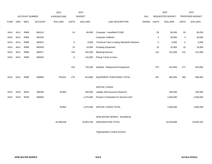|             |      |                       |                | 2013               |              | 2014           |                                             |             |     | 2015                    |              | 2015            |
|-------------|------|-----------------------|----------------|--------------------|--------------|----------------|---------------------------------------------|-------------|-----|-------------------------|--------------|-----------------|
|             |      | <b>ACCOUNT NUMBER</b> |                | <b>EXPENDITURE</b> |              | <b>BUDGET</b>  |                                             | PAY         |     | <b>REQUESTED BUDGET</b> |              | PROPOSED BUDGET |
| <b>FUND</b> | ORG  | <b>SBCL</b>           | <b>ACCOUNT</b> | <b>DOLLARS</b>     | <b>UNITS</b> | <b>DOLLARS</b> | LINE DESCRIPTION                            | RANGE UNITS |     | <b>DOLLARS</b>          | <b>UNITS</b> | <b>DOLLARS</b>  |
|             |      |                       |                |                    |              |                |                                             |             |     |                         |              |                 |
| 0410        | 6411 | R999                  | 681012         |                    | 10           | 65,000         | Computer - Handheld FC300                   |             | 55  | 90,250                  | 55           | 90,250          |
| 0410        | 6411 | R999                  | 681050         |                    |              |                | <b>Computer Software</b>                    |             | 3   | 30,600                  | 3            | 30,600          |
| 0410        | 6411 | R999                  | 683521         |                    | 9            | 8,000          | Technical Tools-Locating Wands/Air Monitors |             | 5   | 5,000                   | 5            | 5,000           |
| 0410        | 6411 | R999                  | 683530         |                    | 10           | 10,000         | <b>Pumping Equipment</b>                    |             | 10  | 10,000                  | 10           | 10,000          |
| 0410        | 6411 | R999                  | 684017         |                    | 143          | 342,000        | <b>Metering Devices</b>                     |             | 142 | 312,000                 | 142          | 312,000         |
| 0410        | 6411 | R999                  | 685550         |                    | 6            | 132,000        | Pickup Trucks & Vans                        |             |     |                         |              |                 |
|             |      |                       |                |                    |              |                |                                             |             |     |                         |              |                 |
|             |      |                       |                |                    | 234          | 726,200        | Subtotal - Replacement Equipment            |             | 275 | 814,850                 | 277          | 823,850         |
|             |      |                       |                |                    |              |                |                                             |             |     |                         |              |                 |
| 0410        | 6411 | R999                  | 006800         | 759,641            | 275          | 813,800        | EQUIPMENT PURCHASES TOTAL                   |             | 297 | 892,850                 | 300          | 906,850         |
|             |      |                       |                |                    |              |                |                                             |             |     |                         |              |                 |
|             |      |                       |                |                    |              |                | SPECIAL FUNDS                               |             |     |                         |              |                 |
| 0410        | 6410 | R643                  | 006300         | 29,963             |              | 200,000        | Liability Self-Insurance Reserve*           |             |     | 200,000                 |              | 200,000         |
| 0410        | 6410 | R648                  | 006900         |                    |              | 1,475,560      | Pension Contribution for Normal Cost*       |             |     | 1,600,000               |              | 1,600,000       |
|             |      |                       |                |                    |              |                |                                             |             |     |                         |              |                 |
|             |      |                       |                | 29,963             |              | 1,675,560      | SPECIAL FUNDS TOTAL                         |             |     | 1,800,000               |              | 1,800,000       |
|             |      |                       |                |                    |              |                |                                             |             |     |                         |              |                 |
|             |      |                       |                |                    |              |                | DPW-WATER WORKS - BUSINESS                  |             |     |                         |              |                 |
|             |      |                       |                | 28,388,548         |              | 33,603,340     | ORGANIZATION TOTAL                          |             |     | 33,559,806              |              | 33,650,162      |
|             |      |                       |                |                    |              |                |                                             |             |     |                         |              |                 |

\*Appropriation Control Account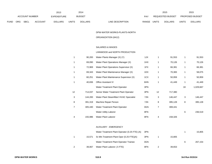|      |     |                |                | 2013               |              | 2014           |                           | 2015             |                | 2015                           |
|------|-----|----------------|----------------|--------------------|--------------|----------------|---------------------------|------------------|----------------|--------------------------------|
|      |     | ACCOUNT NUMBER |                | <b>EXPENDITURE</b> |              | <b>BUDGET</b>  | PAY                       | REQUESTED BUDGET |                | <b>PROPOSED BUDGET</b>         |
| FUND | ORG | SBCL           | <b>ACCOUNT</b> | <b>DOLLARS</b>     | <b>UNITS</b> | <b>DOLLARS</b> | RANGE<br>LINE DESCRIPTION | UNITS            | <b>DOLLARS</b> | <b>UNITS</b><br><b>DOLLARS</b> |

#### DPW-WATER WORKS-PLANTS-NORTH

# ORGANIZATION (6412)

## SALARIES & WAGES

# LINNWOOD and NORTH PRODUCTION

|                | 90,200  | Water Plants Manager (X) (Y)             | 1JX | 1  | 91,553  | 1  | 91,553    |
|----------------|---------|------------------------------------------|-----|----|---------|----|-----------|
| 1              | 69,090  | Water Plant Operations Manager (X)       | 1HX | 1  | 70,126  | 1  | 70,126    |
| 1              | 72,969  | Water Plant Operations Supervisor (X)    | 1FX | 1  | 66,381  | 1  | 66,381    |
| 1              | 69,343  | Water Plant Maintenance Manager (X)      | 1DX | 1  | 70,383  | 1  | 58,075    |
| 1              | 60,251  | Water Plant Maintenance Supervisor (X)   | 1CX | 1  | 50,959  | 1  | 50,959    |
| 1              | 40,836  | <b>Office Assistant IV</b>               | 6HN | 1  | 41,449  | 1  | 41,449    |
|                |         | Water Treatment Plant Operator           | 3PN |    |         | 18 | 1,029,667 |
| 12             | 714.037 | Senior Water Treatment Plant Operator    | 3PN | 12 | 717,380 |    |           |
| 3              | 144,283 | Water Plant Steamfitter/ HVAC Specialist | 7JN | 3  | 146,447 | 3  | 146,447   |
| 8              | 391,319 | Machine Repair Person                    | 7JN | 8  | 395,128 | 8  | 395,128   |
| $\overline{7}$ | 305,440 | Water Treatment Plant Operator           | 3GN | 7  | 308,441 |    |           |
|                |         | <b>Water Utility Laborer</b>             | 8FN |    |         | 6  | 236,519   |
| 4              | 155,986 | Water Plant Laborer                      | 8FN | 4  | 158,326 |    |           |

### AUXILIARY - EMERGENCY

|   |        | Water Treatment Plant Operator (0.25 FTE) (A) | 3PN |        |   | 15.805  |
|---|--------|-----------------------------------------------|-----|--------|---|---------|
|   | 15.571 | Sr. Wtr. Treatment Plant Oper (0.25 FTE)(A)   | 3PN | 15.805 |   |         |
|   |        | Water Treatment Plant Operator Trainee        | 3GN |        | 6 | 267.154 |
| 2 | 39.067 | Water Plant Laborer (.5 FTE)                  | 8FN | 39.653 |   |         |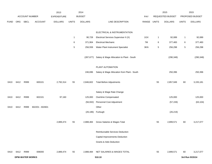|             |      |                        |                 | 2013               |              | 2014           |                                             |             |    | 2015             |              | 2015            |
|-------------|------|------------------------|-----------------|--------------------|--------------|----------------|---------------------------------------------|-------------|----|------------------|--------------|-----------------|
|             |      | ACCOUNT NUMBER         |                 | <b>EXPENDITURE</b> |              | <b>BUDGET</b>  |                                             | PAY         |    | REQUESTED BUDGET |              | PROPOSED BUDGET |
| <b>FUND</b> |      | ORG SBCL               | <b>ACCOUNT</b>  | <b>DOLLARS</b>     | <b>UNITS</b> | <b>DOLLARS</b> | LINE DESCRIPTION                            | RANGE UNITS |    | <b>DOLLARS</b>   | <b>UNITS</b> | <b>DOLLARS</b>  |
|             |      |                        |                 |                    |              |                |                                             |             |    |                  |              |                 |
|             |      |                        |                 |                    |              |                | ELECTRICAL & INSTRUMENTATION                |             |    |                  |              |                 |
|             |      |                        |                 |                    | $\mathbf{1}$ | 90,728         | Electrical Services Supervisor II (X)       | 1GX         | 1  | 92,089           | $\mathbf{1}$ | 92,089          |
|             |      |                        |                 |                    | 6            | 371,904        | <b>Electrical Mechanic</b>                  | 7M          | 6  | 377,483          | 6            | 377,483         |
|             |      |                        |                 |                    | 5            | 256,559        | Water Plant Instrument Specialist           | 3KN         | 5  | 256,298          | 5            | 256,298         |
|             |      |                        |                 |                    |              | (287, 677)     | Salary & Wage Allocation to Plant - South   |             |    | (290, 348)       |              | (290, 348)      |
|             |      |                        |                 |                    |              |                | PLANT AUTOMATION                            |             |    |                  |              |                 |
|             |      |                        |                 |                    |              | 246,696        | Salary & Wage Allocation from Plant - South |             |    | 250,396          |              | 250,396         |
| 0410        | 6412 | R999                   | 600101          | 2,792,314          | 55           | 2,846,602      | <b>Total Before Adjustments</b>             |             | 55 | 2,857,949        | 60           | 3,155,181       |
|             |      |                        |                 |                    |              |                | Salary & Wage Rate Change                   |             |    |                  |              |                 |
| 0410        | 6412 | R999                   | 602101          | 97,160             |              | 125,000        | Overtime Compensated                        |             |    | 125,000          |              | 125,000         |
|             |      |                        |                 |                    |              | (56, 932)      | Personnel Cost Adjustment                   |             |    | (57, 159)        |              | (63, 104)       |
| 0410        | 6412 | R999                   | 602201 - 602601 |                    |              |                | Other                                       |             |    |                  |              |                 |
|             |      |                        |                 |                    |              |                | (26,186) Furlough                           |             |    | (26, 219)        |              |                 |
|             |      |                        |                 | 2,889,474          | 55           | 2,888,484      | Gross Salaries & Wages Total                |             | 55 | 2,899,571        | 60           | 3,217,077       |
|             |      |                        |                 |                    |              |                | Reimbursable Services Deduction             |             |    |                  |              |                 |
|             |      |                        |                 |                    |              |                | Capital Improvements Deduction              |             |    |                  |              |                 |
|             |      |                        |                 |                    |              |                | <b>Grants &amp; Aids Deduction</b>          |             |    |                  |              |                 |
| 0410        | 6412 | R999                   | 006000          | 2,889,474          | 55           | 2,888,484      | NET SALARIES & WAGES TOTAL                  |             | 55 | 2,899,571        | 60           | 3,217,077       |
|             |      | <b>DPW-WATER WORKS</b> |                 |                    |              |                | 510.10                                      |             |    |                  |              | 3rd Run 9/15/14 |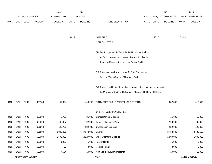|             |      |                        |                | 2013               |              | 2014           |                                                                           |             |       | 2015             |              | 2015            |
|-------------|------|------------------------|----------------|--------------------|--------------|----------------|---------------------------------------------------------------------------|-------------|-------|------------------|--------------|-----------------|
|             |      | <b>ACCOUNT NUMBER</b>  |                | <b>EXPENDITURE</b> |              | <b>BUDGET</b>  |                                                                           | PAY         |       | REQUESTED BUDGET |              | PROPOSED BUDGET |
| <b>FUND</b> | ORG  | SBCL                   | <b>ACCOUNT</b> | <b>DOLLARS</b>     | <b>UNITS</b> | <b>DOLLARS</b> | LINE DESCRIPTION                                                          | RANGE UNITS |       | <b>DOLLARS</b>   | <b>UNITS</b> | <b>DOLLARS</b>  |
|             |      |                        |                |                    |              |                |                                                                           |             |       |                  |              |                 |
|             |      |                        |                |                    |              |                |                                                                           |             |       |                  |              |                 |
|             |      |                        |                |                    | 53.25        |                | O&M FTE'S                                                                 |             | 53.25 |                  | 59.25        |                 |
|             |      |                        |                |                    |              |                | NON-O&M FTE'S                                                             |             |       |                  |              |                 |
|             |      |                        |                |                    |              |                | (A) For Assignment As Relief To 24-Hour Duty Stations                     |             |       |                  |              |                 |
|             |      |                        |                |                    |              |                | At Both Linnwood and Howard Avenue Purification                           |             |       |                  |              |                 |
|             |      |                        |                |                    |              |                | Plants to Minimize the Need for Double Shifting.                          |             |       |                  |              |                 |
|             |      |                        |                |                    |              |                |                                                                           |             |       |                  |              |                 |
|             |      |                        |                |                    |              |                | (X) Private Auto Allowance May Be Paid Pursuant to                        |             |       |                  |              |                 |
|             |      |                        |                |                    |              |                | Section 350-183 of the Milwaukee Code.                                    |             |       |                  |              |                 |
|             |      |                        |                |                    |              |                |                                                                           |             |       |                  |              |                 |
|             |      |                        |                |                    |              |                | (Y) Required to file a statement of economic interests in accordance with |             |       |                  |              |                 |
|             |      |                        |                |                    |              |                | the Milwaukee Code of Ordinances Chapter 303-Code of Ethics.              |             |       |                  |              |                 |
| 0410        | 6412 | R999                   | 006180         | 1,157,824          |              | 1,444,242      | ESTIMATED EMPLOYEE FRINGE BENEFITS                                        |             |       | 1,287,348        |              | 1,415,515       |
|             |      |                        |                |                    |              |                |                                                                           |             |       |                  |              |                 |
|             |      |                        |                |                    |              |                | OPERATING EXPENDITURES                                                    |             |       |                  |              |                 |
| 0410        | 6412 | R999                   | 630100         | 8,732              |              | 31,000         | General Office Expense                                                    |             |       | 15,000           |              | 15,000          |
| 0410        | 6412 | R999                   | 630500         | 138,877            |              | 92,000         | Tools & Machinery Parts                                                   |             |       | 100,000          |              | 100,000         |
| 0410        | 6412 | R999                   | 631000         | 125,751            |              | 122,000        | <b>Construction Supplies</b>                                              |             |       | 122,000          |              | 122,000         |
| 0410        | 6412 | R999                   | 631500         | 3,398,491          |              | 3,372,000      | Energy                                                                    |             |       | 3,738,500        |              | 3,738,500       |
| 0410        | 6412 | R999                   | 632000         | 1,579,903          |              | 2,127,000      | <b>Other Operating Supplies</b>                                           |             |       | 1,800,000        |              | 1,800,000       |
| 0410        | 6412 | R999                   | 632500         | 1,980              |              | 5,000          | <b>Facility Rental</b>                                                    |             |       | 5,000            |              | 5,000           |
| 0410        | 6412 | R999                   | 633000         | 27                 |              | 3,000          | Vehicle Rental                                                            |             |       | 3,000            |              | 3,000           |
| 0410        | 6412 | R999                   | 633500         | 7,634              |              | 10,000         | Non-Vehicle Equipment Rental                                              |             |       | 10,000           |              | 10,000          |
|             |      | <b>DPW-WATER WORKS</b> |                |                    |              |                | 510.11                                                                    |             |       |                  |              | 3rd Run 9/15/14 |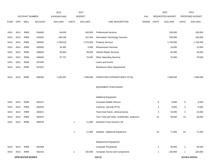|             |      |                        |                | 2013               |              | 2014           |                                               |       |                | 2015             |              | 2015            |
|-------------|------|------------------------|----------------|--------------------|--------------|----------------|-----------------------------------------------|-------|----------------|------------------|--------------|-----------------|
|             |      | <b>ACCOUNT NUMBER</b>  |                | <b>EXPENDITURE</b> |              | <b>BUDGET</b>  |                                               | PAY   |                | REQUESTED BUDGET |              | PROPOSED BUDGET |
| <b>FUND</b> | ORG  | SBCL                   | <b>ACCOUNT</b> | <b>DOLLARS</b>     | <b>UNITS</b> | <b>DOLLARS</b> | LINE DESCRIPTION                              | RANGE | <b>UNITS</b>   | <b>DOLLARS</b>   | <b>UNITS</b> | <b>DOLLARS</b>  |
|             |      |                        |                |                    |              |                |                                               |       |                |                  |              |                 |
| 0410        | 6412 | R999                   | 634000         | 64,630             |              | 100,000        | <b>Professional Services</b>                  |       |                | 100,000          |              | 100,000         |
| 0410        | 6412 | R999                   | 634500         | 189,160            |              | 151,000        | Information Technology Services               |       |                | 190,000          |              | 190,000         |
| 0410        | 6412 | R999                   | 635000         | 1,783,019          |              | 1,475,000      | <b>Property Services</b>                      |       |                | 1,700,000        |              | 1,700,000       |
| 0410        | 6412 | R999                   | 635500         | 24,382             |              | 5,000          | <b>Infrastructure Services</b>                |       |                | 10,000           |              | 10,000          |
| 0410        | 6412 | R999                   | 636000         | 50,064             |              | 36,000         | Vehicle Repair Services                       |       |                | 45,000           |              | 45,000          |
| 0410        | 6412 | R999                   | 636500         | 57,737             |              | 70,000         | <b>Other Operating Services</b>               |       |                | 70,000           |              | 70,000          |
| 0410        | 6412 | R999                   | 637000         |                    |              |                | Loans and Grants                              |       |                |                  |              |                 |
| 0410        | 6412 | R999                   | 637501         |                    |              |                | Reimburse Other Departments                   |       |                |                  |              |                 |
|             |      |                        |                |                    |              |                |                                               |       |                |                  |              |                 |
| 0410        | 6412 | R999                   | 006300         | 7,430,387          |              | 7,599,000      | OPERATING EXPENDITURES TOTAL                  |       |                | 7,908,500        |              | 7,908,500       |
|             |      |                        |                |                    |              |                |                                               |       |                |                  |              |                 |
|             |      |                        |                |                    |              |                | <b>EQUIPMENT PURCHASES</b>                    |       |                |                  |              |                 |
|             |      |                        |                |                    |              |                |                                               |       |                |                  |              |                 |
|             |      |                        |                |                    |              |                | <b>Additional Equipment</b>                   |       |                |                  |              |                 |
| 0410        | 6412 | R999                   | 681012         |                    |              |                | <b>Computer Mobile Devices</b>                |       | 8              | 8,000            | 8            | 8,000           |
| 0410        | 6412 | R999                   | 682050         |                    |              |                | Cameras- Security (PTZ)                       |       | 3              | 9,000            | 3            | 9,000           |
| 0410        | 6412 | R999                   | 683521         |                    |              |                | Tools-hoist frame, retrieval device           |       | 3              | 16,000           | 3            | 16,000          |
| 0410        | 6412 | R999                   | 683525         |                    |              |                | Tech. Tools-pH meter, turbidimeter, analyzers |       | 10             | 38,000           | 10           | 38,000          |
| 0410        | 6412 | R999                   | 685529         |                    | 1            | 11,000         | Industrial Truck-Scissors Lift                |       |                |                  |              |                 |
|             |      |                        |                |                    |              |                |                                               |       |                |                  |              |                 |
|             |      |                        |                |                    | $\mathbf{1}$ | 11,000         | Subtotal - Additional Equipment               |       | 24             | 71,000           | 24           | 71,000          |
|             |      |                        |                |                    |              |                |                                               |       |                |                  |              |                 |
|             |      |                        |                |                    |              |                | Replacement Equipment                         |       |                |                  |              |                 |
| 0410        | 6412 | R999                   | 681008         |                    |              |                | <b>Computer Peripherals</b>                   |       | $\overline{a}$ | 40,000           | $\mathbf{2}$ | 40,000          |
| 0410        | 6412 | R999                   | 681010         |                    | $\mathbf{1}$ | 100,000        | <b>Computer Server and Components</b>         |       | $\mathbf{1}$   | 100,000          | 1            | 100,000         |
|             |      | <b>DPW-WATER WORKS</b> |                |                    |              |                | 510.12                                        |       |                |                  |              | 3rd Run 9/15/14 |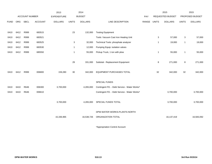|             |      |                |                | 2013               |              | 2014           |                                              |       |                | 2015             |              | 2015            |
|-------------|------|----------------|----------------|--------------------|--------------|----------------|----------------------------------------------|-------|----------------|------------------|--------------|-----------------|
|             |      | ACCOUNT NUMBER |                | <b>EXPENDITURE</b> |              | <b>BUDGET</b>  |                                              | PAY   |                | REQUESTED BUDGET |              | PROPOSED BUDGET |
| <b>FUND</b> | ORG  | <b>SBCL</b>    | <b>ACCOUNT</b> | <b>DOLLARS</b>     | <b>UNITS</b> | <b>DOLLARS</b> | LINE DESCRIPTION                             | RANGE | <b>UNITS</b>   | <b>DOLLARS</b>   | <b>UNITS</b> | <b>DOLLARS</b>  |
|             |      |                |                |                    |              |                |                                              |       |                |                  |              |                 |
| 0410        | 6412 | R999           | 683515         |                    | 23           | 132,000        | <b>Testing Equipment</b>                     |       |                |                  |              |                 |
| 0410        | 6412 | R999           | 683521         |                    |              |                | Tools: Vacuum Cast Iron Heating Unit         |       | 3              | 57,000           | 3            | 57,000          |
| 0410        | 6412 | R999           | 683525         |                    | 3            | 32,000         | Technical Tools: phosphate analyzer          |       | $\overline{1}$ | 19,000           | $\mathbf{1}$ | 19,000          |
| 0410        | 6412 | R999           | 683530         |                    | $\mathbf{1}$ | 12,000         | Pumping Equip: isolation valves              |       |                |                  |              |                 |
| 0410        | 6412 | R999           | 685550         |                    | $\mathbf{1}$ | 55,000         | Pickup Truck, 1 ton with plow                |       | $\mathbf{1}$   | 55,000           | $\mathbf{1}$ | 55,000          |
|             |      |                |                |                    |              |                |                                              |       |                |                  |              |                 |
|             |      |                |                |                    | 29           | 331,000        | Subtotal - Replacement Equipment             |       | 8              | 271,000          | 8            | 271,000         |
|             |      |                |                |                    |              |                |                                              |       |                |                  |              |                 |
| 0410        | 6412 | R999           | 006800         | 159,280            | 30           | 342,000        | <b>EQUIPMENT PURCHASES TOTAL</b>             |       | 32             | 342,000          | 32           | 342,000         |
|             |      |                |                |                    |              |                |                                              |       |                |                  |              |                 |
|             |      |                |                |                    |              |                | SPECIAL FUNDS                                |       |                |                  |              |                 |
| 0410        | 6410 | R646           | 006300         | 3,700,000          |              | 4,265,000      | Contingent FD. - Debt Service - Water Works* |       |                |                  |              |                 |
| 0410        | 6410 | R646           | 006610         |                    |              |                | Contingent FD. - Debt Service - Water Works* |       |                | 3,700,000        |              | 3,700,000       |
|             |      |                |                |                    |              |                |                                              |       |                |                  |              |                 |
|             |      |                |                | 3,700,000          |              | 4,265,000      | SPECIAL FUNDS TOTAL                          |       |                | 3,700,000        |              | 3,700,000       |
|             |      |                |                |                    |              |                |                                              |       |                |                  |              |                 |
|             |      |                |                |                    |              |                | DPW-WATER WORKS-PLANTS-NORTH                 |       |                |                  |              |                 |
|             |      |                |                | 15,336,965         |              | 16,538,726     | ORGANIZATION TOTAL                           |       |                | 16,137,419       |              | 16,583,092      |
|             |      |                |                |                    |              |                |                                              |       |                |                  |              |                 |

\*Appropriation Control Account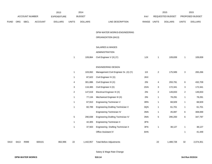|             |      |                       |                | 2013           |                 | 2014           |                                       |             |                         | 2015             |              | 2015            |
|-------------|------|-----------------------|----------------|----------------|-----------------|----------------|---------------------------------------|-------------|-------------------------|------------------|--------------|-----------------|
|             |      | <b>ACCOUNT NUMBER</b> |                | EXPENDITURE    |                 | <b>BUDGET</b>  |                                       | PAY         |                         | REQUESTED BUDGET |              | PROPOSED BUDGET |
| <b>FUND</b> | ORG  | <b>SBCL</b>           | <b>ACCOUNT</b> | <b>DOLLARS</b> | <b>UNITS</b>    | <b>DOLLARS</b> | LINE DESCRIPTION                      | RANGE UNITS |                         | <b>DOLLARS</b>   | <b>UNITS</b> | <b>DOLLARS</b>  |
|             |      |                       |                |                |                 |                |                                       |             |                         |                  |              |                 |
|             |      |                       |                |                |                 |                | DPW-WATER WORKS-ENGINEERING           |             |                         |                  |              |                 |
|             |      |                       |                |                |                 |                | ORGANIZATION (6413)                   |             |                         |                  |              |                 |
|             |      |                       |                |                |                 |                | SALARIES & WAGES                      |             |                         |                  |              |                 |
|             |      |                       |                |                |                 |                | <b>ADMINISTRATION</b>                 |             |                         |                  |              |                 |
|             |      |                       |                |                | $\mathbf{1}$    | 109,864        | Civil Engineer V (X) (Y)              | 1JX         | $\mathbf{1}$            | 109,839          | $\mathbf{1}$ | 109,839         |
|             |      |                       |                |                |                 |                |                                       |             |                         |                  |              |                 |
|             |      |                       |                |                |                 |                | <b>ENGINEERING DESIGN</b>             |             |                         |                  |              |                 |
|             |      |                       |                |                | $\mathbf{1}$    | 103,062        | Management Civil Engineer Sr. (X) (Y) | 11X         | $\overline{a}$          | 175,589          | $\mathbf{3}$ | 265,266         |
|             |      |                       |                |                | $\mathbf{1}$    | 87,622         | Civil Engineer IV (X)                 | 2KX         |                         |                  |              |                 |
|             |      |                       |                |                | 4               | 301,886        | Civil Engineer III (X)                | 2IN         | 4                       | 293,791          | 6            | 432,709         |
|             |      |                       |                |                | $\mathbf{3}$    | 116,365        | Civil Engineer II (X)                 | 2GN         | 3                       | 172,341          | $\mathbf{3}$ | 172,341         |
|             |      |                       |                |                | $\overline{c}$  | 147,619        | Electrical Engineer III (X)           | 2IN         | $\overline{\mathbf{c}}$ | 149,833          | $\mathbf{2}$ | 149,833         |
|             |      |                       |                |                | $\mathbf{1}$    | 77,134         | Mechanical Engineer III (X)           | 2IN         | 1                       | 78,291           | $\mathbf{1}$ | 78,291          |
|             |      |                       |                |                | $\mathbf{1}$    | 67,910         | Engineering Technician V              | 3RN         | $\mathbf{1}$            | 68,929           | $\mathbf{1}$ | 68,929          |
|             |      |                       |                |                | $\mathbf{1}$    | 60,789         | Engineering Drafting Technician V     | 3QN         | 1                       | 61,701           | $\mathbf{1}$ | 61,701          |
|             |      |                       |                |                |                 |                | Engineering Technician IV             | 3NN         | 1                       | 45,087           | 6            | 308,069         |
|             |      |                       |                |                | $5\phantom{.0}$ | 290,838        | Engineering Drafting Technician IV    | 3NN         | 5                       | 295,200          | 6            | 347,797         |
|             |      |                       |                |                | $\mathbf{1}$    | 42,305         | <b>Engineering Technician II</b>      | 3FN         |                         |                  |              |                 |
|             |      |                       |                |                | $\mathbf{1}$    | 37,563         | Engineering Drafting Technician II    | 3FN         | 1                       | 38,127           | $\mathbf{1}$ | 38,127          |
|             |      |                       |                |                |                 |                | Office Assistant IV                   | 6HN         |                         |                  | -1           | 41,449          |
| 0410        | 6413 | R999                  | 600101         | 862,996        | 22              | 1,442,957      | <b>Total Before Adjustments</b>       |             | 22                      | 1,488,728        | 32           | 2,074,351       |
|             |      |                       |                |                |                 |                |                                       |             |                         |                  |              |                 |

Salary & Wage Rate Change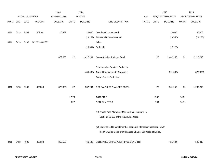| <b>BUDGET</b><br><b>ACCOUNT NUMBER</b><br><b>EXPENDITURE</b><br>REQUESTED BUDGET<br>PROPOSED BUDGET<br><b>PAY</b><br>SBCL<br><b>ACCOUNT</b><br><b>DOLLARS</b><br>RANGE<br><b>DOLLARS</b><br>ORG<br><b>DOLLARS</b><br><b>UNITS</b><br>LINE DESCRIPTION<br><b>UNITS</b><br><b>DOLLARS</b><br><b>UNITS</b><br><b>FUND</b><br>16,339<br>Overtime Compensated<br>10,000<br>R999<br>602101<br>10,000<br>0410<br>6413<br>Personnel Cost Adjustment<br>(19, 159)<br>(19, 355)<br>Other<br>6413<br>R999<br>602201 - 602601<br>0410<br>(16,594) Furlough<br>(17, 120)<br>879,335<br>22<br>1,417,204<br>Gross Salaries & Wages Total<br>22<br>1,462,253<br>32<br>2,115,213<br>Reimbursable Services Deduction<br><b>Capital Improvements Deduction</b><br>(521,000)<br>(485,000)<br><b>Grants &amp; Aids Deduction</b><br>R999<br>006000<br>879,335<br>22<br>NET SALARIES & WAGES TOTAL<br>22<br>941,253<br>32<br>1,289,213<br>6413<br>932,204<br>0410<br>12.73<br><b>O&amp;M FTE'S</b><br>13.06<br>16.89<br>8.27<br>14.11<br>NON-O&M FTE'S<br>8.94<br>(X) Private Auto Allowance May Be Paid Pursuant To | 65,000<br>(24, 138) |
|------------------------------------------------------------------------------------------------------------------------------------------------------------------------------------------------------------------------------------------------------------------------------------------------------------------------------------------------------------------------------------------------------------------------------------------------------------------------------------------------------------------------------------------------------------------------------------------------------------------------------------------------------------------------------------------------------------------------------------------------------------------------------------------------------------------------------------------------------------------------------------------------------------------------------------------------------------------------------------------------------------------------------------------------------------------------------------------------|---------------------|
|                                                                                                                                                                                                                                                                                                                                                                                                                                                                                                                                                                                                                                                                                                                                                                                                                                                                                                                                                                                                                                                                                                |                     |
|                                                                                                                                                                                                                                                                                                                                                                                                                                                                                                                                                                                                                                                                                                                                                                                                                                                                                                                                                                                                                                                                                                |                     |
|                                                                                                                                                                                                                                                                                                                                                                                                                                                                                                                                                                                                                                                                                                                                                                                                                                                                                                                                                                                                                                                                                                |                     |
|                                                                                                                                                                                                                                                                                                                                                                                                                                                                                                                                                                                                                                                                                                                                                                                                                                                                                                                                                                                                                                                                                                |                     |
|                                                                                                                                                                                                                                                                                                                                                                                                                                                                                                                                                                                                                                                                                                                                                                                                                                                                                                                                                                                                                                                                                                |                     |
|                                                                                                                                                                                                                                                                                                                                                                                                                                                                                                                                                                                                                                                                                                                                                                                                                                                                                                                                                                                                                                                                                                |                     |
|                                                                                                                                                                                                                                                                                                                                                                                                                                                                                                                                                                                                                                                                                                                                                                                                                                                                                                                                                                                                                                                                                                |                     |
|                                                                                                                                                                                                                                                                                                                                                                                                                                                                                                                                                                                                                                                                                                                                                                                                                                                                                                                                                                                                                                                                                                |                     |
|                                                                                                                                                                                                                                                                                                                                                                                                                                                                                                                                                                                                                                                                                                                                                                                                                                                                                                                                                                                                                                                                                                |                     |
|                                                                                                                                                                                                                                                                                                                                                                                                                                                                                                                                                                                                                                                                                                                                                                                                                                                                                                                                                                                                                                                                                                |                     |
|                                                                                                                                                                                                                                                                                                                                                                                                                                                                                                                                                                                                                                                                                                                                                                                                                                                                                                                                                                                                                                                                                                |                     |
|                                                                                                                                                                                                                                                                                                                                                                                                                                                                                                                                                                                                                                                                                                                                                                                                                                                                                                                                                                                                                                                                                                | (826,000)           |
|                                                                                                                                                                                                                                                                                                                                                                                                                                                                                                                                                                                                                                                                                                                                                                                                                                                                                                                                                                                                                                                                                                |                     |
|                                                                                                                                                                                                                                                                                                                                                                                                                                                                                                                                                                                                                                                                                                                                                                                                                                                                                                                                                                                                                                                                                                |                     |
|                                                                                                                                                                                                                                                                                                                                                                                                                                                                                                                                                                                                                                                                                                                                                                                                                                                                                                                                                                                                                                                                                                |                     |
|                                                                                                                                                                                                                                                                                                                                                                                                                                                                                                                                                                                                                                                                                                                                                                                                                                                                                                                                                                                                                                                                                                |                     |
|                                                                                                                                                                                                                                                                                                                                                                                                                                                                                                                                                                                                                                                                                                                                                                                                                                                                                                                                                                                                                                                                                                |                     |
|                                                                                                                                                                                                                                                                                                                                                                                                                                                                                                                                                                                                                                                                                                                                                                                                                                                                                                                                                                                                                                                                                                |                     |
|                                                                                                                                                                                                                                                                                                                                                                                                                                                                                                                                                                                                                                                                                                                                                                                                                                                                                                                                                                                                                                                                                                |                     |
| Section 350-183 of the Milwaukee Code                                                                                                                                                                                                                                                                                                                                                                                                                                                                                                                                                                                                                                                                                                                                                                                                                                                                                                                                                                                                                                                          |                     |
|                                                                                                                                                                                                                                                                                                                                                                                                                                                                                                                                                                                                                                                                                                                                                                                                                                                                                                                                                                                                                                                                                                |                     |
| (Y) Required to file a statement of economic interests in accordance with                                                                                                                                                                                                                                                                                                                                                                                                                                                                                                                                                                                                                                                                                                                                                                                                                                                                                                                                                                                                                      |                     |
| the Milwaukee Code of Ordinances Chapter 303-Code of Ethics.                                                                                                                                                                                                                                                                                                                                                                                                                                                                                                                                                                                                                                                                                                                                                                                                                                                                                                                                                                                                                                   |                     |
|                                                                                                                                                                                                                                                                                                                                                                                                                                                                                                                                                                                                                                                                                                                                                                                                                                                                                                                                                                                                                                                                                                |                     |
| 6413<br>R999<br>006180<br>353,535<br>ESTIMATED EMPLOYEE FRINGE BENEFITS<br>421,684<br>0410<br>466,102                                                                                                                                                                                                                                                                                                                                                                                                                                                                                                                                                                                                                                                                                                                                                                                                                                                                                                                                                                                          | 549,015             |
|                                                                                                                                                                                                                                                                                                                                                                                                                                                                                                                                                                                                                                                                                                                                                                                                                                                                                                                                                                                                                                                                                                |                     |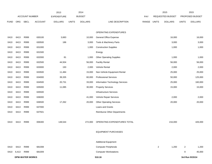|             |       |                        |                | 2013               |              | 2014           |                                    |       |                | 2015             |                | 2015            |
|-------------|-------|------------------------|----------------|--------------------|--------------|----------------|------------------------------------|-------|----------------|------------------|----------------|-----------------|
|             |       | <b>ACCOUNT NUMBER</b>  |                | <b>EXPENDITURE</b> |              | <b>BUDGET</b>  |                                    | PAY   |                | REQUESTED BUDGET |                | PROPOSED BUDGET |
| <b>FUND</b> | ORG   | SBCL                   | <b>ACCOUNT</b> | <b>DOLLARS</b>     | <b>UNITS</b> | <b>DOLLARS</b> | LINE DESCRIPTION                   | RANGE | <b>UNITS</b>   | <b>DOLLARS</b>   | <b>UNITS</b>   | <b>DOLLARS</b>  |
|             |       |                        |                |                    |              |                |                                    |       |                |                  |                |                 |
|             |       |                        |                |                    |              |                | OPERATING EXPENDITURES             |       |                |                  |                |                 |
| 0410        | 6413  | R999                   | 630100         | 3,683              |              | 10,000         | <b>General Office Expense</b>      |       |                | 16,000           |                | 16,000          |
| 0410        | 6413  | R999                   | 630500         | 186                |              | 3,000          | Tools & Machinery Parts            |       |                | 3,000            |                | 3,000           |
| 0410        | 6413  | R999                   | 631000         |                    |              | 1,000          | <b>Construction Supplies</b>       |       |                | 1,000            |                | 1,000           |
| 0410        | 6413  | R999                   | 631500         |                    |              |                | Energy                             |       |                |                  |                |                 |
| 0410        | 6413  | R999                   | 632000         | 81                 |              | 1,000          | <b>Other Operating Supplies</b>    |       |                | 1,000            |                | 1,000           |
| 0410        | 6413  | R999                   | 632500         | 44,504             |              | 56,000         | <b>Facility Rental</b>             |       |                | 56,000           |                | 56,000          |
| 0410        | 6413  | R999                   | 633000         | 193                |              | 2,000          | Vehicle Rental                     |       |                | 2,000            |                | 2,000           |
| 0410        | 6413  | R999                   | 633500         | 11,484             |              | 15,000         | Non-Vehicle Equipment Rental       |       |                | 25,000           |                | 25,000          |
| 0410        | 6413  | R999                   | 634000         | 39,335             |              | 60,000         | <b>Professional Services</b>       |       |                | 50,000           |                | 125,000         |
| 0410        | 6413  | R999                   | 634500         | 20,731             |              | 33,000         | Information Technology Services    |       |                | 25,000           |                | 160,000         |
| 0410        | 6413  | R999                   | 635000         | 11,085             |              | 30,000         | <b>Property Services</b>           |       |                | 15,000           |                | 15,000          |
| 0410        | 6413  | R999                   | 635500         |                    |              |                | Infrastructure Services            |       |                |                  |                |                 |
| 0410        | 6413  | R999                   | 636000         |                    |              | 41,000         | Vehicle Repair Services            |       |                | 2,000            |                | 2,000           |
| 0410        | 6413  | R999                   | 636500         | 17,262             |              | 20,000         | <b>Other Operating Services</b>    |       |                | 20,000           |                | 20,000          |
| 0410        | 6413  | R999                   | 637000         |                    |              |                | Loans and Grants                   |       |                |                  |                |                 |
| 0410        | 6413  | R999                   | 637501         |                    |              |                | <b>Reimburse Other Departments</b> |       |                |                  |                |                 |
|             |       |                        |                |                    |              |                |                                    |       |                |                  |                |                 |
| 0410        | 6413  | R999                   | 006300         | 148,544            |              | 272,000        | OPERATING EXPENDITURES TOTAL       |       |                | 216,000          |                | 426,000         |
|             |       |                        |                |                    |              |                |                                    |       |                |                  |                |                 |
|             |       |                        |                |                    |              |                | <b>EQUIPMENT PURCHASES</b>         |       |                |                  |                |                 |
|             |       |                        |                |                    |              |                |                                    |       |                |                  |                |                 |
|             |       |                        |                |                    |              |                | <b>Additional Equipment</b>        |       |                |                  |                |                 |
| 0410        | 6413  | R999                   | 681008         |                    |              |                | <b>Computer Peripherals</b>        |       | $\overline{2}$ | 1,200            | $\overline{2}$ | 1,200           |
| 0410        | 6,413 | R999                   | 681009         |                    |              |                | <b>Computer Workstations</b>       |       |                |                  | 9              | 45,000          |
|             |       | <b>DPW-WATER WORKS</b> |                |                    |              |                | 510.16                             |       |                |                  |                | 3rd Run 9/15/14 |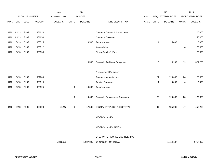|             |       |             |                | 2013               |              | 2014           |                                          |             |                          | 2015             |                | 2015            |
|-------------|-------|-------------|----------------|--------------------|--------------|----------------|------------------------------------------|-------------|--------------------------|------------------|----------------|-----------------|
|             |       |             | ACCOUNT NUMBER | <b>EXPENDITURE</b> |              | <b>BUDGET</b>  |                                          | PAY         |                          | REQUESTED BUDGET |                | PROPOSED BUDGET |
| <b>FUND</b> | ORG   | <b>SBCL</b> | <b>ACCOUNT</b> | <b>DOLLARS</b>     | <b>UNITS</b> | <b>DOLLARS</b> | LINE DESCRIPTION                         | RANGE UNITS |                          | <b>DOLLARS</b>   | <b>UNITS</b>   | <b>DOLLARS</b>  |
|             |       |             |                |                    |              |                |                                          |             |                          |                  |                |                 |
| 0410        | 6,413 | R999        | 681010         |                    |              |                | <b>Computer Servers &amp; Components</b> |             |                          |                  | $\mathbf{1}$   | 20,000          |
| 0410        | 6,413 | R999        | 681050         |                    |              |                | <b>Computer Software</b>                 |             |                          |                  | $\overline{1}$ | 155,000         |
| 0410        | 6413  | R999        | 683525         |                    | $\mathbf{1}$ | 3,500          | <b>Technical tools</b>                   |             | $\mathbf{1}$             | 5,000            | $\mathbf{1}$   | 5,000           |
| 0410        | 6413  | R999        | 685512         |                    |              |                | Automobiles                              |             |                          |                  | $\overline{4}$ | 73,000          |
| 0410        | 6413  | R999        | 685550         |                    |              |                | Pickup Trucks & Vans                     |             |                          |                  | $\overline{1}$ | 25,000          |
|             |       |             |                |                    |              |                |                                          |             |                          |                  |                |                 |
|             |       |             |                |                    | $\mathbf{1}$ | 3,500          | Subtotal - Additional Equipment          |             | $\sqrt{3}$               | 6,200            | 19             | 324,200         |
|             |       |             |                |                    |              |                |                                          |             |                          |                  |                |                 |
|             |       |             |                |                    |              |                | Replacement Equipment                    |             |                          |                  |                |                 |
| 0410        | 6413  | R999        | 681009         |                    |              |                | <b>Computer Workstations</b>             |             | 24                       | 120,000          | 24             | 120,000         |
| 0410        | 6413  | R999        | 683515         |                    |              |                | <b>Testing Apparatus</b>                 |             | $\overline{\mathcal{A}}$ | 9,000            | 4              | 9,000           |
| 0410        | 6413  | R999        | 683525         |                    | 3            | 14,000         | <b>Technical tools</b>                   |             |                          |                  |                |                 |
|             |       |             |                |                    |              |                |                                          |             |                          |                  |                |                 |
|             |       |             |                |                    | $\mathbf{3}$ | 14,000         | Subtotal - Replacement Equipment         |             | 28                       | 129,000          | 28             | 129,000         |
|             |       |             |                |                    |              |                |                                          |             |                          |                  |                |                 |
| 0410        | 6413  | R999        | 006800         | 10,247             | 4            | 17,500         | EQUIPMENT PURCHASES TOTAL                |             | 31                       | 135,200          | 47             | 453,200         |
|             |       |             |                |                    |              |                |                                          |             |                          |                  |                |                 |
|             |       |             |                |                    |              |                | SPECIAL FUNDS                            |             |                          |                  |                |                 |
|             |       |             |                |                    |              |                | SPECIAL FUNDS TOTAL                      |             |                          |                  |                |                 |
|             |       |             |                |                    |              |                |                                          |             |                          |                  |                |                 |
|             |       |             |                |                    |              |                | DPW-WATER WORKS-ENGINEERING              |             |                          |                  |                |                 |
|             |       |             |                | 1,391,661          |              | 1,687,806      | ORGANIZATION TOTAL                       |             |                          | 1,714,137        |                | 2,717,428       |
|             |       |             |                |                    |              |                |                                          |             |                          |                  |                |                 |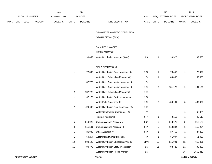|      |     |                |                | 2013               |                         | 2014           |                                         |             |                         | 2015             |                | 2015            |
|------|-----|----------------|----------------|--------------------|-------------------------|----------------|-----------------------------------------|-------------|-------------------------|------------------|----------------|-----------------|
|      |     | ACCOUNT NUMBER |                | <b>EXPENDITURE</b> |                         | <b>BUDGET</b>  |                                         | PAY         |                         | REQUESTED BUDGET |                | PROPOSED BUDGET |
| FUND | ORG | <b>SBCL</b>    | <b>ACCOUNT</b> | <b>DOLLARS</b>     | <b>UNITS</b>            | <b>DOLLARS</b> | LINE DESCRIPTION                        | RANGE UNITS |                         | <b>DOLLARS</b>   | <b>UNITS</b>   | <b>DOLLARS</b>  |
|      |     |                |                |                    |                         |                | DPW-WATER WORKS-DISTRIBUTION            |             |                         |                  |                |                 |
|      |     |                |                |                    |                         |                | ORGANIZATION (6414)                     |             |                         |                  |                |                 |
|      |     |                |                |                    |                         |                |                                         |             |                         |                  |                |                 |
|      |     |                |                |                    |                         |                | SALARIES & WAGES                        |             |                         |                  |                |                 |
|      |     |                |                |                    |                         |                | ADMINISTRATION                          |             |                         |                  |                |                 |
|      |     |                |                |                    | $\mathbf{1}$            | 98,052         | Water Distribution Manager (X) (Y)      | 11X         | $\mathbf{1}$            | 99,523           | $\overline{1}$ | 99,523          |
|      |     |                |                |                    |                         |                |                                         |             |                         |                  |                |                 |
|      |     |                |                |                    |                         |                | FIELD OPERATIONS                        |             |                         |                  |                |                 |
|      |     |                |                |                    | $\mathbf{1}$            | 72,366         | Water Distribution Oper. Manager (X)    | 1GX         | $\mathbf{1}$            | 73,452           | $\overline{1}$ | 73,452          |
|      |     |                |                |                    |                         |                | Water Distr. Scheduling Manager (X)     | 1FX         | $\mathbf{1}$            | 89,036           | $\overline{1}$ | 89,036          |
|      |     |                |                |                    | $\mathbf{1}$            | 87,720         | Water Distr. Construction Manager (X)   | 1FX         |                         |                  |                |                 |
|      |     |                |                |                    |                         |                | Water Distr. Construction Manager (X)   | 1EX         | $\overline{\mathbf{c}}$ | 131,176          | $\overline{2}$ | 131,176         |
|      |     |                |                |                    | $\overline{\mathbf{c}}$ | 137,728        | Water Distr. Scheduling Manager (X)     | 1EX         |                         |                  |                |                 |
|      |     |                |                |                    | $\mathbf{1}$            | 62,123         | Water Distribution Systems Manager      | 1CX         |                         |                  |                |                 |
|      |     |                |                |                    |                         |                | Water Field Supervisor (X)              | 1BX         | $\boldsymbol{7}$        | 430,131          | 8              | 489,462         |
|      |     |                |                |                    | $\boldsymbol{7}$        | 420,647        | Water Distribution Field Supervisor (X) | 1BX         |                         |                  |                |                 |
|      |     |                |                |                    |                         |                | Water Construction Coordinator (X)      | 7PN         |                         |                  | $\overline{1}$ | 67,374          |
|      |     |                |                |                    |                         |                | Program Assistant II                    | 5FN         | $\mathbf{1}$            | 42,118           | $\overline{1}$ | 42,118          |
|      |     |                |                |                    | 5                       | 210,025        | <b>Communications Assistant V</b>       | 6KN         | 5                       | 213,176          | 5              | 213,176         |
|      |     |                |                |                    | 3                       | 111,531        | <b>Communications Assistant III</b>     | 6HN         | 3                       | 113,204          | 3              | 113,204         |
|      |     |                |                |                    | $\mathbf{1}$            | 36,902         | Office Assistant IV                     | 6HN         | $\mathbf{1}$            | 37,456           | $\mathbf{1}$   | 37,456          |
|      |     |                |                |                    | $\mathbf{1}$            | 50,254         | Water Department Blacksmith             | 7HN         | $\mathbf{1}$            | 51,007           | $\mathbf{1}$   | 51,007          |
|      |     |                |                |                    | 12                      | 608,122        | Water Distribution Chief Repair Worker  | 8MN         | 12                      | 615,091          | 12             | 615,091         |
|      |     |                |                |                    | 11                      | 490,772        | Water Distribution Utility Investigator | 8IN         | 11                      | 493,420          | 11             | 498,809         |
|      |     |                |                |                    |                         |                | Water Distribution Repair Worker        | 8IN         |                         |                  | 36             | 1,562,312       |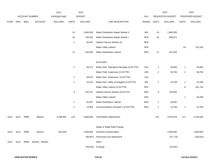|             |      |                       |                 | 2013               |                | 2014           |                                              |            |              | 2015             |              | 2015            |
|-------------|------|-----------------------|-----------------|--------------------|----------------|----------------|----------------------------------------------|------------|--------------|------------------|--------------|-----------------|
|             |      | <b>ACCOUNT NUMBER</b> |                 | <b>EXPENDITURE</b> |                | <b>BUDGET</b>  |                                              | <b>PAY</b> |              | REQUESTED BUDGET |              | PROPOSED BUDGET |
| <b>FUND</b> | ORG  | SBCL                  | <b>ACCOUNT</b>  | <b>DOLLARS</b>     | <b>UNITS</b>   | <b>DOLLARS</b> | LINE DESCRIPTION                             | RANGE      | <b>UNITS</b> | <b>DOLLARS</b>   | <b>UNITS</b> | <b>DOLLARS</b>  |
|             |      |                       |                 |                    |                |                |                                              |            |              |                  |              |                 |
|             |      |                       |                 |                    | 24             | 1,060,928      | Water Distribution Repair Worker II          | 8IN        | 24           | 1,060,505        |              |                 |
|             |      |                       |                 |                    | $20\,$         | 794,632        | Water Distribution Repair Worker I           | 8FN        | 20           | 808,971          |              |                 |
|             |      |                       |                 |                    | $\overline{1}$ | 40,287         | Hydrant Service Worker (X)                   | 8EN        |              |                  |              |                 |
|             |      |                       |                 |                    |                |                | Water Utility Laborer                        | 8FN        |              |                  | 19           | 752,182         |
|             |      |                       |                 |                    | 11             | 416,592        | <b>Water Distribution Laborer</b>            | 8EN        | 11           | 422,493          |              |                 |
|             |      |                       |                 |                    |                |                |                                              |            |              |                  |              |                 |
|             |      |                       |                 |                    |                |                | AUXILIARY                                    |            |              |                  |              |                 |
|             |      |                       |                 |                    | $\overline{1}$ | 26,271         | Water Distr. Operations Manager (0.33 FTE)   | 1GX        | $\mathbf{1}$ | 26,665           | $\mathbf{1}$ | 26,665          |
|             |      |                       |                 |                    |                |                | Water Field Supervisor (0.33 FTE)            | 1BX        | 2            | 38,793           | $\sqrt{2}$   | 38,793          |
|             |      |                       |                 |                    | $\sqrt{2}$     | 34,675         | Water Distr. Supervisor I (0.33 FTE)         | 1AX        |              |                  |              |                 |
|             |      |                       |                 |                    | $\overline{1}$ | 15,013         | Water Distr. Utility Investigator (0.33 FTE) | 8IN        | $\mathbf{1}$ | 15,238           | $\mathbf{1}$ | 15,238          |
|             |      |                       |                 |                    |                |                | Water Utility Laborer (0.50 FTE)             | 8FN        |              |                  | 8            | 161,754         |
|             |      |                       |                 |                    | $\bf 8$        | 161,147        | Hydrant Service Worker (0.50 FTE)            | 8EN        | 8            | 163,564          |              |                 |
|             |      |                       |                 |                    |                |                | Water Utility Laborer                        | 8FN        |              |                  | $\mathbf{1}$ | 40,438          |
|             |      |                       |                 |                    | $\overline{1}$ | 40,287         | Water Distribution Laborer                   | 8EN        | $\mathbf{1}$ | 40,891           |              |                 |
|             |      |                       |                 |                    | $\overline{1}$ | 13,566         | Communications Assistant V (0.33 FTE)        | 6KN        | 1            | 13,769           | $\mathbf{1}$ | 13,769          |
|             |      |                       |                 |                    |                |                |                                              |            |              |                  |              |                 |
| 0410        | 6414 | R999                  | 600101          | 4,289,455          | 116            | 4,989,640      | <b>Total Before Adjustments</b>              |            | 115          | 4,979,679        | 117          | 5,132,035       |
|             |      |                       |                 |                    |                |                |                                              |            |              |                  |              |                 |
|             |      |                       |                 |                    |                |                | Salary & Wage Rate Change                    |            |              |                  |              |                 |
| 0410        | 6414 | R999                  | 602101          | 651,609            |                | 1,000,000      | Overtime Compensated                         |            |              | 1,000,000        |              | 1,000,000       |
|             |      |                       |                 |                    |                | (98,097)       | Personnel Cost Adjustment                    |            |              | (97, 774)        |              | (100, 821)      |
| 0410        | 6414 | R999                  | 602201 - 602601 |                    |                |                | Other                                        |            |              |                  |              |                 |
|             |      |                       |                 |                    |                | (53,042)       | Furlough                                     |            |              | (52, 857)        |              |                 |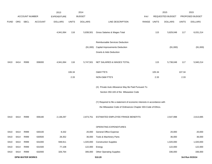|             |                        |                       |                | 2013               |              | 2014           |                                                                                             |             |        | 2015             |              | 2015            |
|-------------|------------------------|-----------------------|----------------|--------------------|--------------|----------------|---------------------------------------------------------------------------------------------|-------------|--------|------------------|--------------|-----------------|
|             |                        | <b>ACCOUNT NUMBER</b> |                | <b>EXPENDITURE</b> |              | <b>BUDGET</b>  |                                                                                             | <b>PAY</b>  |        | REQUESTED BUDGET |              | PROPOSED BUDGET |
| <b>FUND</b> | ORG                    | <b>SBCL</b>           | <b>ACCOUNT</b> | <b>DOLLARS</b>     | <b>UNITS</b> | <b>DOLLARS</b> | LINE DESCRIPTION                                                                            | RANGE UNITS |        | <b>DOLLARS</b>   | <b>UNITS</b> | <b>DOLLARS</b>  |
|             |                        |                       |                | 4,941,064          | 116          | 5,838,501      | Gross Salaries & Wages Total                                                                |             | 115    | 5,829,048        | 117          | 6,031,214       |
|             |                        |                       |                |                    |              |                | Reimbursable Services Deduction                                                             |             |        |                  |              |                 |
|             |                        |                       |                |                    |              | (91,000)       | <b>Capital Improvements Deduction</b>                                                       |             |        | (91,000)         |              | (91,000)        |
|             |                        |                       |                |                    |              |                | Grants & Aids Deduction                                                                     |             |        |                  |              |                 |
| 0410        | 6414                   | R999                  | 006000         | 4,941,064          | 116          | 5,747,501      | NET SALARIES & WAGES TOTAL                                                                  |             | 115    | 5,738,048        | 117          | 5,940,214       |
|             |                        |                       |                |                    | 106.34       |                | O&M FTE'S                                                                                   |             | 105.34 |                  | 107.34       |                 |
|             |                        |                       |                |                    | 2.33         |                | NON-O&M FTE'S                                                                               |             | 2.33   |                  | 2.33         |                 |
|             |                        |                       |                |                    |              |                | (X) Private Auto Allowance May Be Paid Pursuant To<br>Section 350-183 of the Milwaukee Code |             |        |                  |              |                 |
|             |                        |                       |                |                    |              |                | (Y) Required to file a statement of economic interests in accordance with                   |             |        |                  |              |                 |
|             |                        |                       |                |                    |              |                | the Milwaukee Code of Ordinances Chapter 303-Code of Ethics.                                |             |        |                  |              |                 |
| 0410        | 6414                   | R999                  | 006180         | 2,138,297          |              | 2,873,751      | ESTIMATED EMPLOYEE FRINGE BENEFITS                                                          |             |        | 2,547,998        |              | 2,613,695       |
|             |                        |                       |                |                    |              |                | OPERATING EXPENDITURES                                                                      |             |        |                  |              |                 |
| 0410        | 6414                   | R999                  | 630100         | 8,332              |              | 20,000         | General Office Expense                                                                      |             |        | 20,000           |              | 20,000          |
| 0410        | 6414                   | R999                  | 630500         | 28,352             |              | 36,000         | Tools & Machinery Parts                                                                     |             |        | 36,000           |              | 36,000          |
| 0410        | 6414                   | R999                  | 631000         | 948,911            |              | 1,020,000      | <b>Construction Supplies</b>                                                                |             |        | 1,020,000        |              | 1,020,000       |
| 0410        | 6414                   | R999                  | 631500         | 77,108             |              | 122,000        | Energy                                                                                      |             |        | 122,000          |              | 122,000         |
| 0410        | 6414                   | R999                  | 632000         | 326,764            |              | 306,000        | <b>Other Operating Supplies</b>                                                             |             |        | 336,000          |              | 336,000         |
|             | <b>DPW-WATER WORKS</b> |                       |                |                    |              |                | 510.20                                                                                      |             |        |                  |              | 3rd Run 9/15/14 |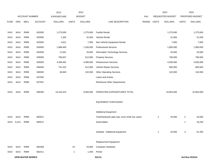|             |                        |                       |                | 2013               |              | 2014           |                                                |       |                | 2015             |                | 2015            |
|-------------|------------------------|-----------------------|----------------|--------------------|--------------|----------------|------------------------------------------------|-------|----------------|------------------|----------------|-----------------|
|             |                        | <b>ACCOUNT NUMBER</b> |                | <b>EXPENDITURE</b> |              | <b>BUDGET</b>  |                                                | PAY   |                | REQUESTED BUDGET |                | PROPOSED BUDGET |
| <b>FUND</b> | ORG                    | <b>SBCL</b>           | <b>ACCOUNT</b> | <b>DOLLARS</b>     | <b>UNITS</b> | <b>DOLLARS</b> | LINE DESCRIPTION                               | RANGE | <b>UNITS</b>   | <b>DOLLARS</b>   | <b>UNITS</b>   | <b>DOLLARS</b>  |
|             |                        |                       |                |                    |              |                |                                                |       |                |                  |                |                 |
| 0410        | 6414                   | R999                  | 632500         | 1,275,000          |              | 1,275,000      | <b>Facility Rental</b>                         |       |                | 1,275,000        |                | 1,275,000       |
| 0410        | 6414                   | R999                  | 633000         | 1,355              |              | 31,000         | Vehicle Rental                                 |       |                | 31,000           |                | 31,000          |
| 0410        | 6414                   | R999                  | 633500         | 4,621              |              | 7,000          | Non-Vehicle Equipment Rental                   |       |                | 7,000            |                | 7,000           |
| 0410        | 6414                   | R999                  | 634000         | 1,888,409          |              | 1,326,000      | <b>Professional Services</b>                   |       |                | 1,900,000        |                | 1,900,000       |
| 0410        | 6414                   | R999                  | 634500         | 11,931             |              | 25,000         | Information Technology Services                |       |                | 25,000           |                | 25,000          |
| 0410        | 6414                   | R999                  | 635000         | 766,007            |              | 612,000        | <b>Property Services</b>                       |       |                | 780,000          |                | 780,000         |
| 0410        | 6414                   | R999                  | 635500         | 4,308,462          |              | 4,090,000      | <b>Infrastructure Services</b>                 |       |                | 4,500,000        |                | 4,500,000       |
| 0410        | 6414                   | R999                  | 636000         | 751,322            |              | 612,000        | Vehicle Repair Services                        |       |                | 800,000          |                | 800,000         |
| 0410        | 6414                   | R999                  | 636500         | 46,849             |              | 102,000        | <b>Other Operating Services</b>                |       |                | 102,000          |                | 102,000         |
| 0410        | 6414                   | R999                  | 637000         |                    |              |                | Loans and Grants                               |       |                |                  |                |                 |
| 0410        | 6414                   | R999                  | 637501         |                    |              |                | Reimburse Other Departments                    |       |                |                  |                |                 |
|             |                        |                       |                |                    |              |                |                                                |       |                |                  |                |                 |
| 0410        | 6414                   | R999                  | 006300         | 10,443,423         |              | 9,584,000      | OPERATING EXPENDITURES TOTAL                   |       |                | 10,954,000       |                | 10,954,000      |
|             |                        |                       |                |                    |              |                |                                                |       |                |                  |                |                 |
|             |                        |                       |                |                    |              |                | <b>EQUIPMENT PURCHASES</b>                     |       |                |                  |                |                 |
|             |                        |                       |                |                    |              |                |                                                |       |                |                  |                |                 |
|             |                        |                       |                |                    |              |                | <b>Additional Equipment</b>                    |       |                |                  |                |                 |
| 0410        | 6414                   | R999                  | 683521         |                    |              |                | Tools/Hydraulic pipe saw, truck mntd Vac systm |       | $\overline{2}$ | 43,000           | $\overline{2}$ | 43,000          |
| 0410        | 6,414                  | R999                  | 685512         |                    |              |                | Automobiles                                    |       |                |                  | 1              | 18,250          |
|             |                        |                       |                |                    |              |                |                                                |       |                |                  |                |                 |
|             |                        |                       |                |                    |              |                | Subtotal - Additional Equipment                |       | $\overline{c}$ | 43,000           | 3              | 61,250          |
|             |                        |                       |                |                    |              |                |                                                |       |                |                  |                |                 |
|             |                        |                       |                |                    |              |                | Replacement Equipment                          |       |                |                  |                |                 |
| 0410        | 6414                   | R999                  | 681008         |                    | 10           | 25,600         | Computer Hardware                              |       |                |                  |                |                 |
| 0410        | 6414                   | R999                  | 681011         |                    | $\mathbf{1}$ | 1,400          | Printer                                        |       |                |                  |                |                 |
|             | <b>DPW-WATER WORKS</b> |                       |                |                    |              |                | 510.21                                         |       |                |                  |                | 3rd Run 9/15/14 |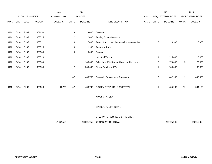|             |      |                       |                | 2013               |                | 2014           |                                                    |       |                | 2015                    |                  | 2015            |
|-------------|------|-----------------------|----------------|--------------------|----------------|----------------|----------------------------------------------------|-------|----------------|-------------------------|------------------|-----------------|
|             |      | <b>ACCOUNT NUMBER</b> |                | <b>EXPENDITURE</b> |                | <b>BUDGET</b>  |                                                    | PAY   |                | <b>REQUESTED BUDGET</b> |                  | PROPOSED BUDGET |
| <b>FUND</b> | ORG  | <b>SBCL</b>           | <b>ACCOUNT</b> | <b>DOLLARS</b>     | <b>UNITS</b>   | <b>DOLLARS</b> | LINE DESCRIPTION                                   | RANGE | <b>UNITS</b>   | <b>DOLLARS</b>          | <b>UNITS</b>     | <b>DOLLARS</b>  |
|             |      |                       |                |                    |                |                |                                                    |       |                |                         |                  |                 |
| 0410        | 6414 | R999                  | 681050         |                    | 3              | 3,000          | Software                                           |       |                |                         |                  |                 |
| 0410        | 6414 | R999                  | 683515         |                    | $\overline{2}$ | 12,000         | Testing Eq - Air Monitors                          |       |                |                         |                  |                 |
| 0410        | 6414 | R999                  | 683521         |                    | 9              | 7,800          | Tools, Branch machine, Chlorine Injection Sys.     |       | $\overline{2}$ | 13,900                  | $\mathbf{2}$     | 13,900          |
| 0410        | 6414 | R999                  | 683525         |                    | 9              | 11,900         | <b>Technical Tools</b>                             |       |                |                         |                  |                 |
| 0410        | 6414 | R999                  | 683530         |                    | $10$           | 10,000         | Pumps                                              |       |                |                         |                  |                 |
| 0410        | 6414 | R999                  | 685529         |                    |                |                | <b>Industrial Trucks</b>                           |       | $\mathbf{1}$   | 115,000                 | $\mathbf{1}$     | 115,000         |
| 0410        | 6414 | R999                  | 685539         |                    | $\overline{1}$ | 185,000        | Other Indstrl Vehicles-drill rig, refurbish bk hoe |       | $\mathbf 5$    | 179,000                 | 5                | 179,000         |
| 0410        | 6414 | R999                  | 685550         |                    | $\overline{2}$ | 230,000        | Pickup Trucks and Vans                             |       | $\mathbf{1}$   | 135,000                 | $\mathbf{1}$     | 135,000         |
|             |      |                       |                |                    |                |                |                                                    |       |                |                         |                  |                 |
|             |      |                       |                |                    | 47             | 486,700        | Subtotal - Replacement Equipment                   |       | 9              | 442,900                 | $\boldsymbol{9}$ | 442,900         |
|             |      |                       |                |                    |                |                |                                                    |       |                |                         |                  |                 |
| 0410        | 6414 | R999                  | 006800         | 141,790            | 47             | 486,700        | EQUIPMENT PURCHASES TOTAL                          |       | 11             | 485,900                 | 12               | 504,150         |
|             |      |                       |                |                    |                |                |                                                    |       |                |                         |                  |                 |
|             |      |                       |                |                    |                |                | SPECIAL FUNDS                                      |       |                |                         |                  |                 |
|             |      |                       |                |                    |                |                |                                                    |       |                |                         |                  |                 |
|             |      |                       |                |                    |                |                | SPECIAL FUNDS TOTAL                                |       |                |                         |                  |                 |
|             |      |                       |                |                    |                |                |                                                    |       |                |                         |                  |                 |
|             |      |                       |                |                    |                |                | DPW-WATER WORKS-DISTRIBUTION                       |       |                |                         |                  |                 |
|             |      |                       |                | 17,664,574         |                | 18,691,952     | ORGANIZATION TOTAL                                 |       |                | 19,725,946              |                  | 20,012,059      |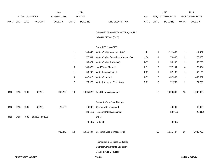|             |      |      |                 | 2013               |                | 2014           |                                        |       |                | 2015             |                  | 2015            |
|-------------|------|------|-----------------|--------------------|----------------|----------------|----------------------------------------|-------|----------------|------------------|------------------|-----------------|
|             |      |      | ACCOUNT NUMBER  | <b>EXPENDITURE</b> |                | <b>BUDGET</b>  |                                        | PAY   |                | REQUESTED BUDGET |                  | PROPOSED BUDGET |
| <b>FUND</b> | ORG  | SBCL | <b>ACCOUNT</b>  | <b>DOLLARS</b>     | <b>UNITS</b>   | <b>DOLLARS</b> | LINE DESCRIPTION                       | RANGE | <b>UNITS</b>   | <b>DOLLARS</b>   | <b>UNITS</b>     | <b>DOLLARS</b>  |
|             |      |      |                 |                    |                |                | DPW-WATER WORKS-WATER QUALITY          |       |                |                  |                  |                 |
|             |      |      |                 |                    |                |                | ORGANIZATION (6415)                    |       |                |                  |                  |                 |
|             |      |      |                 |                    |                |                | SALARIES & WAGES                       |       |                |                  |                  |                 |
|             |      |      |                 |                    | $\mathbf{1}$   | 109,840        | Water Quality Manager (X) (Y)          | 1JX   | $\mathbf{1}$   | 111,487          | $\mathbf{1}$     | 111,487         |
|             |      |      |                 |                    | $\mathbf{1}$   | 77,501         | Water Quality Operations Manager (X)   | 1FX   | $\mathbf{1}$   | 78,663           | $\mathbf{1}$     | 78,663          |
|             |      |      |                 |                    | $\mathbf{1}$   | 55,374         | Water Quality Analyst (X)              | 2GN   | $\mathbf{1}$   | 56,205           | $\mathbf{1}$     | 56,205          |
|             |      |      |                 |                    | 3              | 185,526        | Lead Water Chemist                     | 2EN   | 3              | 172,994          | $\boldsymbol{3}$ | 172,994         |
|             |      |      |                 |                    | $\mathbf{1}$   | 56,292         | Water Microbiologist II                | 2DN   | $\mathbf{1}$   | 57,136           | $\mathbf{1}$     | 57,136          |
|             |      |      |                 |                    | 9              | 447,312        | Water Chemist II                       | 2CN   | 9              | 452,537          | 9                | 452,537         |
|             |      |      |                 |                    | $\overline{c}$ | 73,975         | Water Laboratory Technician            | 5DN   | $\overline{2}$ | 71,786           | $\overline{2}$   | 71,786          |
| 0410        | 6415 | R999 | 600101          | 960,274            | 18             | 1,005,820      | <b>Total Before Adjustments</b>        |       | 18             | 1,000,808        | 18               | 1,000,808       |
|             |      |      |                 |                    |                |                | Salary & Wage Rate Change              |       |                |                  |                  |                 |
| 0410        | 6415 | R999 | 602101          | 25,169             |                | 40,000         | Overtime Compensated                   |       |                | 40,000           |                  | 40,000          |
|             |      |      |                 |                    |                | (20, 116)      | Personnel Cost Adjustment              |       |                | (20, 016)        |                  | (20, 016)       |
| 0410        | 6415 | R999 | 602201 - 602601 |                    |                |                | Other                                  |       |                |                  |                  |                 |
|             |      |      |                 |                    |                |                | (9,100) Furlough                       |       |                | (9,005)          |                  |                 |
|             |      |      |                 | 985,443            | 18             |                | 1,016,604 Gross Salaries & Wages Total |       | 18             | 1,011,787        | 18               | 1,020,792       |
|             |      |      |                 |                    |                |                | Reimbursable Services Deduction        |       |                |                  |                  |                 |
|             |      |      |                 |                    |                |                | Capital Improvements Deduction         |       |                |                  |                  |                 |
|             |      |      |                 |                    |                |                | <b>Grants &amp; Aids Deduction</b>     |       |                |                  |                  |                 |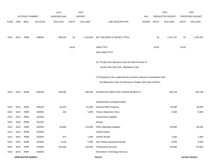|             |      |                        |                       | 2013               |              | 2014           |                                                                           |             |       | 2015             |              | 2015            |
|-------------|------|------------------------|-----------------------|--------------------|--------------|----------------|---------------------------------------------------------------------------|-------------|-------|------------------|--------------|-----------------|
|             |      |                        | <b>ACCOUNT NUMBER</b> | <b>EXPENDITURE</b> |              | <b>BUDGET</b>  |                                                                           | <b>PAY</b>  |       | REQUESTED BUDGET |              | PROPOSED BUDGET |
| <b>FUND</b> | ORG  | SBCL                   | <b>ACCOUNT</b>        | <b>DOLLARS</b>     | <b>UNITS</b> | <b>DOLLARS</b> | LINE DESCRIPTION                                                          | RANGE UNITS |       | <b>DOLLARS</b>   | <b>UNITS</b> | <b>DOLLARS</b>  |
|             |      |                        |                       |                    |              |                |                                                                           |             |       |                  |              |                 |
| 0410        | 6415 | R999                   | 006000                | 985,443            | 18           | 1,016,604      | NET SALARIES & WAGES TOTAL                                                |             | 18    | 1,011,787        | 18           | 1,020,792       |
|             |      |                        |                       |                    |              |                |                                                                           |             |       |                  |              |                 |
|             |      |                        |                       |                    | 18.00        |                | <b>O&amp;M FTE'S</b>                                                      |             | 18.00 |                  | 18.00        |                 |
|             |      |                        |                       |                    |              |                | NON-O&M FTE'S                                                             |             |       |                  |              |                 |
|             |      |                        |                       |                    |              |                | (X) Private Auto Allowance May Be Paid Pursuant To                        |             |       |                  |              |                 |
|             |      |                        |                       |                    |              |                | Section 350-183 of the Milwaukee Code                                     |             |       |                  |              |                 |
|             |      |                        |                       |                    |              |                |                                                                           |             |       |                  |              |                 |
|             |      |                        |                       |                    |              |                | (Y) Required to file a statement of economic interests in accordance with |             |       |                  |              |                 |
|             |      |                        |                       |                    |              |                | the Milwaukee Code of Ordinances Chapter 303-Code of Ethics.              |             |       |                  |              |                 |
| 0410        | 6415 | R999                   | 006180                | 403,646            |              | 508,302        | ESTIMATED EMPLOYEE FRINGE BENEFITS                                        |             |       | 449,148          |              | 449,148         |
|             |      |                        |                       |                    |              |                |                                                                           |             |       |                  |              |                 |
|             |      |                        |                       |                    |              |                | OPERATING EXPENDITURES                                                    |             |       |                  |              |                 |
| 0410        | 6415 | R999                   | 630100                | 26,324             |              | 61,000         | <b>General Office Expense</b>                                             |             |       | 40,000           |              | 40,000          |
| 0410        | 6415 | R999                   | 630500                | 164                |              | 5,000          | Tools & Machinery Parts                                                   |             |       | 5,000            |              | 5,000           |
| 0410        | 6415 | R999                   | 631000                |                    |              |                | <b>Construction Supplies</b>                                              |             |       |                  |              |                 |
| 0410        | 6415 | R999                   | 631500                |                    |              |                | Energy                                                                    |             |       |                  |              |                 |
| 0410        | 6415 | R999                   | 632000                | 64,980             |              | 110,000        | <b>Other Operating Supplies</b>                                           |             |       | 80,000           |              | 80,000          |
| 0410        | 6415 | R999                   | 632500                |                    |              |                | <b>Facility Rental</b>                                                    |             |       |                  |              |                 |
| 0410        | 6415 | R999                   | 633000                | 674                |              | 1,000          | Vehicle Rental                                                            |             |       | 1,000            |              | 1,000           |
| 0410        | 6415 | R999                   | 633500                | 2,333              |              | 5,000          | Non-Vehicle Equipment Rental                                              |             |       | 5,000            |              | 5,000           |
| 0410        | 6415 | R999                   | 634000                | 155,369            |              | 132,000        | <b>Professional Services</b>                                              |             |       | 178,000          |              | 178,000         |
| 0410        | 6415 | R999                   | 634500                |                    |              |                | Information Technology Services                                           |             |       |                  |              |                 |
|             |      | <b>DPW-WATER WORKS</b> |                       |                    |              |                | 510.24                                                                    |             |       |                  |              | 3rd Run 9/15/14 |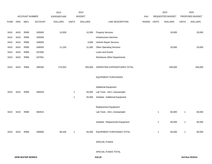|             |           |                |                | 2013               |              | 2014           |                                    |       |              | 2015             |              | 2015            |
|-------------|-----------|----------------|----------------|--------------------|--------------|----------------|------------------------------------|-------|--------------|------------------|--------------|-----------------|
|             |           | ACCOUNT NUMBER |                | <b>EXPENDITURE</b> |              | <b>BUDGET</b>  |                                    | PAY   |              | REQUESTED BUDGET |              | PROPOSED BUDGET |
| <b>FUND</b> | ORG       | <b>SBCL</b>    | <b>ACCOUNT</b> | <b>DOLLARS</b>     | <b>UNITS</b> | <b>DOLLARS</b> | LINE DESCRIPTION                   | RANGE | <b>UNITS</b> | <b>DOLLARS</b>   | <b>UNITS</b> | <b>DOLLARS</b>  |
|             |           |                |                |                    |              |                |                                    |       |              |                  |              |                 |
| 0410        | 6415      | R999           | 635000         | 14,509             |              | 12,000         | <b>Property Services</b>           |       |              | 20,000           |              | 20,000          |
| 0410        | 6415      | R999           | 635500         |                    |              |                | <b>Infrastructure Services</b>     |       |              |                  |              |                 |
| 0410        | 6415      | R999           | 636000         |                    |              | 3,000          | Vehicle Repair Services            |       |              |                  |              |                 |
| 0410        | 6415      | R999           | 636500         | 11,150             |              | 21,000         | <b>Other Operating Services</b>    |       |              | 20,000           |              | 20,000          |
| 0410        | 6415      | R999           | 637000         |                    |              |                | Loans and Grants                   |       |              |                  |              |                 |
| 0410        | 6415      | R999           | 637501         |                    |              |                | <b>Reimburse Other Departments</b> |       |              |                  |              |                 |
|             |           |                |                |                    |              |                |                                    |       |              |                  |              |                 |
| 0410        | 6415      | R999           | 006300         | 275,503            |              | 350,000        | OPERATING EXPENDITURES TOTAL       |       |              | 349,000          |              | 349,000         |
|             |           |                |                |                    |              |                |                                    |       |              |                  |              |                 |
|             |           |                |                |                    |              |                | <b>EQUIPMENT PURCHASES</b>         |       |              |                  |              |                 |
|             |           |                |                |                    |              |                |                                    |       |              |                  |              |                 |
|             |           |                |                |                    |              |                | <b>Additional Equipment</b>        |       |              |                  |              |                 |
| 0410        | 6415      | R999           | 684029         |                    | $\mathbf{1}$ | 55,000         | Lab Tools - ASI-L Autosampler      |       |              |                  |              |                 |
|             |           |                |                |                    | $\mathbf{1}$ | 55,000         | Subtotal - Additional Equipment    |       |              |                  |              |                 |
|             |           |                |                |                    |              |                |                                    |       |              |                  |              |                 |
|             |           |                |                |                    |              |                | Replacement Equipment              |       |              |                  |              |                 |
| 0410        | 6415      | R999           | 683515         |                    |              |                | Lab Tools - ASI-L Autosampler      |       | 1            | 60,000           | $\mathbf{1}$ | 60,000          |
|             |           |                |                |                    |              |                |                                    |       |              |                  |              |                 |
|             |           |                |                |                    |              |                | Subtotal - Replacement Equipment   |       | 1            | 60,000           | $\mathbf{1}$ | 60,000          |
|             |           |                |                |                    |              |                |                                    |       |              |                  |              |                 |
|             | 0410 6415 | R999           | 006800         | 68,435             | $\mathbf{1}$ |                | 55,000 EQUIPMENT PURCHASES TOTAL   |       | $\mathbf{1}$ | 60,000           | $\mathbf{1}$ | 60,000          |
|             |           |                |                |                    |              |                |                                    |       |              |                  |              |                 |
|             |           |                |                |                    |              |                | SPECIAL FUNDS                      |       |              |                  |              |                 |
|             |           |                |                |                    |              |                |                                    |       |              |                  |              |                 |
|             |           |                |                |                    |              |                | SPECIAL FUNDS TOTAL                |       |              |                  |              |                 |
|             |           |                |                |                    |              |                |                                    |       |              |                  |              |                 |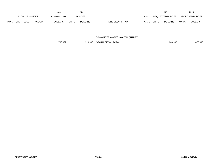|             | 2013                                        |  |                    |              |                | 2014             |            |              |                  | 2015         |                        | 2015 |
|-------------|---------------------------------------------|--|--------------------|--------------|----------------|------------------|------------|--------------|------------------|--------------|------------------------|------|
|             | ACCOUNT NUMBER                              |  | <b>EXPENDITURE</b> |              | <b>BUDGET</b>  |                  | <b>PAY</b> |              | REQUESTED BUDGET |              | <b>PROPOSED BUDGET</b> |      |
| <b>FUND</b> | <b>SBCL</b><br><b>ACCOUNT</b><br><b>ORG</b> |  | <b>DOLLARS</b>     | <b>UNITS</b> | <b>DOLLARS</b> | LINE DESCRIPTION | RANGE      | <b>UNITS</b> | <b>DOLLARS</b>   | <b>UNITS</b> | <b>DOLLARS</b>         |      |

DPW-WATER WORKS - WATER QUALITY

1,733,027 1,929,906 ORGANIZATION TOTAL 1,733,027 1,869,935 1,878,940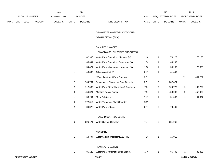|      | 2013           |             |                |                |               | 2014           |                                  | 2015                           |                        | 2015           |
|------|----------------|-------------|----------------|----------------|---------------|----------------|----------------------------------|--------------------------------|------------------------|----------------|
|      | ACCOUNT NUMBER |             | EXPENDITURE    |                | <b>BUDGET</b> | PAY            | <b>REQUESTED BUDGET</b>          |                                | <b>PROPOSED BUDGET</b> |                |
| FUND | <b>ORG</b>     | <b>SBCL</b> | <b>ACCOUNT</b> | <b>DOLLARS</b> | UNITS         | <b>DOLLARS</b> | <b>RANGE</b><br>LINE DESCRIPTION | <b>UNITS</b><br><b>DOLLARS</b> | <b>UNITS</b>           | <b>DOLLARS</b> |

DPW-WATER WORKS-PLANTS-SOUTH

# ORGANIZATION (6416)

## SALARIES & WAGES

# HOWARD & SOUTH WATER PRODUCTION

| <b>DPW-WATER WORKS</b> |                |         | 510.27                                   |     |                |         | 3rd Run 9/15/14  |         |
|------------------------|----------------|---------|------------------------------------------|-----|----------------|---------|------------------|---------|
|                        | $\overline{1}$ | 85,129  | Water Plant Automation Manager (X)       | 1FX | $\mathbf{1}$   | 86,406  | $\mathbf{1}$     | 86,406  |
|                        |                |         | PLANT AUTOMATION                         |     |                |         |                  |         |
|                        |                |         |                                          |     |                |         |                  |         |
|                        | $\overline{1}$ | 14,794  | Water System Operator (0.25 FTE)         | 7LN | $\mathbf{1}$   | 15,016  |                  |         |
|                        |                |         | <b>AUXILIARY</b>                         |     |                |         |                  |         |
|                        | 6              | 326,171 | Water System Operator                    | 7LN | 6              | 331,063 |                  |         |
|                        |                |         | HOWARD CONTROL CENTER                    |     |                |         |                  |         |
|                        |                |         |                                          |     |                |         |                  |         |
|                        | $\overline{2}$ | 80,378  | Water Plant Laborer                      | 8FN | $\overline{a}$ | 78,409  |                  |         |
|                        | 6              | 172,819 | Water Treatment Plant Operator           | 3GN |                |         |                  |         |
|                        | $\mathbf{1}$   | 50,254  | <b>Metal Fabricator</b>                  | 7HN | $\mathbf{1}$   | 51,007  | $\mathbf{1}$     | 51,007  |
|                        | 9              | 456,821 | Machine Repair Person                    | 7JN | 9              | 458,032 | $\boldsymbol{9}$ | 458,032 |
|                        | $\overline{c}$ | 112,583 | Water Plant Steamfitter/ HVAC Specialist | 7JN | $\overline{2}$ | 109,772 | $\overline{c}$   | 109,772 |
|                        | 12             | 704,704 | Senior Water Treatment Plant Operator    | 3PN | 12             | 682,474 |                  |         |
|                        |                |         | Water Treatment Plant Operator           | 3PN |                |         | 12               | 684,282 |
|                        | $\overline{1}$ | 40,836  | Office Assistant IV                      | 6HN | $\mathbf{1}$   | 41,449  |                  |         |
|                        | $\overline{1}$ | 54,471  | Water Plant Maintenance Manager (X)      | 1DX | $\mathbf{1}$   | 55,288  | $\mathbf{1}$     | 70,383  |
|                        | $\mathbf{1}$   | 63,341  | Water Plant Operations Supervisor (X)    | 1FX | $\mathbf{1}$   | 64,292  |                  |         |
|                        | -1             | 82,906  | Water Plant Operations Manager (X)       | 1HX | $\mathbf{1}$   | 70,126  | $\mathbf{1}$     | 70,126  |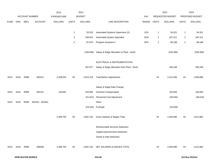|             |      |                |                 | 2013           |              | 2014           |                                             |            |                  | 2015             |              | 2015            |
|-------------|------|----------------|-----------------|----------------|--------------|----------------|---------------------------------------------|------------|------------------|------------------|--------------|-----------------|
|             |      | ACCOUNT NUMBER |                 | EXPENDITURE    |              | <b>BUDGET</b>  |                                             | <b>PAY</b> |                  | REQUESTED BUDGET |              | PROPOSED BUDGET |
| <b>FUND</b> | ORG  | SBCL           | <b>ACCOUNT</b>  | <b>DOLLARS</b> | <b>UNITS</b> | <b>DOLLARS</b> | LINE DESCRIPTION                            | RANGE      | <b>UNITS</b>     | <b>DOLLARS</b>   | <b>UNITS</b> | <b>DOLLARS</b>  |
|             |      |                |                 |                |              |                |                                             |            |                  |                  |              |                 |
|             |      |                |                 |                | $\mathbf{1}$ | 53,519         | Automated Systems Supervisor (X)            | 1DX        | 1                | 54,321           | $\mathbf{1}$ | 54,321          |
|             |      |                |                 |                | 3            | 184,641        | <b>Automated System Specialist</b>          | 2GN        | 3                | 187,411          | 3            | 187,411         |
|             |      |                |                 |                | $\sqrt{2}$   | 87,870         | Program Assistant II                        | 5FN        | $\boldsymbol{2}$ | 89,188           | $\sqrt{2}$   | 89,188          |
|             |      |                |                 |                |              | (246, 696)     | Salary & Wage Allocation to Plant - North   |            |                  | (250, 396)       |              | (250, 396)      |
|             |      |                |                 |                |              |                |                                             |            |                  |                  |              |                 |
|             |      |                |                 |                |              |                | ELECTRICAL & INSTRUMENTATION                |            |                  |                  |              |                 |
|             |      |                |                 |                |              | 287,677        | Salary & Wage Allocation from Plant - North |            |                  | 290,348          |              | 290,348         |
|             |      |                |                 |                |              |                |                                             |            |                  |                  |              |                 |
| 0410        | 6416 | R999           | 600101          | 2,269,024      | 50           | 2,612,218      | <b>Total Before Adjustments</b>             |            | 44               | 2,414,206        | 33           | 1,900,880       |
|             |      |                |                 |                |              |                | Salary & Wage Rate Change                   |            |                  |                  |              |                 |
| 0410        | 6416 | R999           | 602101          | 130,681        |              | 150,000        | Overtime Compensated                        |            |                  | 150,000          |              | 150,000         |
|             |      |                |                 |                |              | (51, 912)      | Personnel Cost Adjustment                   |            |                  | (48, 284)        |              | (38,018)        |
| 0410        | 6416 | R999           | 602201 - 602601 |                |              |                | Other                                       |            |                  |                  |              |                 |
|             |      |                |                 |                |              | (23, 164)      | Furlough                                    |            |                  | (20, 926)        |              |                 |
|             |      |                |                 |                |              |                |                                             |            |                  |                  |              |                 |
|             |      |                |                 | 2,399,705      | 50           | 2,687,142      | Gross Salaries & Wages Total                |            | 44               | 2,494,996        | 33           | 2,012,862       |
|             |      |                |                 |                |              |                |                                             |            |                  |                  |              |                 |
|             |      |                |                 |                |              |                | Reimbursable Services Deduction             |            |                  |                  |              |                 |
|             |      |                |                 |                |              |                | Capital Improvements Deduction              |            |                  |                  |              |                 |
|             |      |                |                 |                |              |                | <b>Grants &amp; Aids Deduction</b>          |            |                  |                  |              |                 |
| 0410        | 6416 | R999           | 006000          | 2,399,705      | 50           | 2,687,142      | NET SALARIES & WAGES TOTAL                  |            | 44               | 2,494,996        | 33           | 2,012,862       |
|             |      |                |                 |                |              |                |                                             |            |                  |                  |              |                 |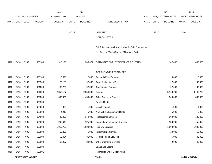|             |      |                        |                | 2013               |              | 2014           |                                                    |       |              | 2015             |              | 2015            |
|-------------|------|------------------------|----------------|--------------------|--------------|----------------|----------------------------------------------------|-------|--------------|------------------|--------------|-----------------|
|             |      | <b>ACCOUNT NUMBER</b>  |                | <b>EXPENDITURE</b> |              | <b>BUDGET</b>  |                                                    | PAY   |              | REQUESTED BUDGET |              | PROPOSED BUDGET |
| <b>FUND</b> | ORG  | <b>SBCL</b>            | <b>ACCOUNT</b> | <b>DOLLARS</b>     | <b>UNITS</b> | <b>DOLLARS</b> | LINE DESCRIPTION                                   | RANGE | <b>UNITS</b> | <b>DOLLARS</b>   | <b>UNITS</b> | <b>DOLLARS</b>  |
|             |      |                        |                |                    |              |                |                                                    |       |              |                  |              |                 |
|             |      |                        |                |                    | 47.25        |                | O&M FTE'S                                          |       | 43.25        |                  | 33.00        |                 |
|             |      |                        |                |                    |              |                | NON-O&M FTE'S                                      |       |              |                  |              |                 |
|             |      |                        |                |                    |              |                | (X) Private Auto Allowance May Be Paid Pursuant to |       |              |                  |              |                 |
|             |      |                        |                |                    |              |                | Section 350-183 of the Milwaukee Code.             |       |              |                  |              |                 |
|             |      |                        |                |                    |              |                |                                                    |       |              |                  |              |                 |
| 0410        | 6416 | R999                   | 006180         | 918,170            |              | 1,343,571      | ESTIMATED EMPLOYEE FRINGE BENEFITS                 |       |              | 1,107,006        |              | 885,660         |
|             |      |                        |                |                    |              |                |                                                    |       |              |                  |              |                 |
|             |      |                        |                |                    |              |                | OPERATING EXPENDITURES                             |       |              |                  |              |                 |
| 0410        | 6416 | R999                   | 630100         | 15,878             |              | 12,000         | <b>General Office Expense</b>                      |       |              | 10,000           |              | 10,000          |
| 0410        | 6416 | R999                   | 630500         | 173,180            |              | 97,000         | Tools & Machinery Parts                            |       |              | 97,000           |              | 97,000          |
| 0410        | 6416 | R999                   | 631000         | 133,230            |              | 92,000         | <b>Construction Supplies</b>                       |       |              | 92,000           |              | 92,000          |
| 0410        | 6416 | R999                   | 631500         | 2,855,187          |              | 2,856,000      | Energy                                             |       |              | 3,140,700        |              | 3,140,700       |
| 0410        | 6416 | R999                   | 632000         | 1,095,996          |              | 1,450,000      | <b>Other Operating Supplies</b>                    |       |              | 1,300,000        |              | 1,300,000       |
| 0410        | 6416 | R999                   | 632500         |                    |              |                | <b>Facility Rental</b>                             |       |              |                  |              |                 |
| 0410        | 6416 | R999                   | 633000         | 323                |              | 1,000          | Vehicle Rental                                     |       |              | 1,000            |              | 1,000           |
| 0410        | 6416 | R999                   | 633500         | 4,210              |              | 5,000          | Non-Vehicle Equipment Rental                       |       |              | 5,000            |              | 5,000           |
| 0410        | 6416 | R999                   | 634000         | 49,056             |              | 140,000        | <b>Professional Services</b>                       |       |              | 100,000          |              | 100,000         |
| 0410        | 6416 | R999                   | 634500         | 205,645            |              | 125,000        | Information Technology Services                    |       |              | 150,000          |              | 150,000         |
| 0410        | 6416 | R999                   | 635000         | 1,019,703          |              | 1,000,000      | <b>Property Services</b>                           |       |              | 1,000,000        |              | 1,000,000       |
| 0410        | 6416 | R999                   | 635500         | 13,292             |              | 1,000          | <b>Infrastructure Services</b>                     |       |              | 10,000           |              | 10,000          |
| 0410        | 6416 | R999                   | 636000         | 50,064             |              | 31,000         | Vehicle Repair Services                            |       |              | 45,000           |              | 45,000          |
| 0410        | 6416 | R999                   | 636500         | 67,957             |              | 30,000         | <b>Other Operating Services</b>                    |       |              | 42,000           |              | 42,000          |
| 0410        | 6416 | R999                   | 637000         |                    |              |                | Loans and Grants                                   |       |              |                  |              |                 |
| 0410        | 6416 | R999                   | 637501         |                    |              |                | Reimburse Other Departments                        |       |              |                  |              |                 |
|             |      | <b>DPW-WATER WORKS</b> |                |                    |              |                | 510.29                                             |       |              |                  |              | 3rd Run 9/15/14 |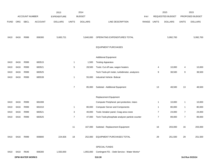|             |      |                        |                | 2013               |                | 2014           |                                                  |       |                | 2015             |                | 2015            |
|-------------|------|------------------------|----------------|--------------------|----------------|----------------|--------------------------------------------------|-------|----------------|------------------|----------------|-----------------|
|             |      | <b>ACCOUNT NUMBER</b>  |                | <b>EXPENDITURE</b> |                | <b>BUDGET</b>  |                                                  | PAY   |                | REQUESTED BUDGET |                | PROPOSED BUDGET |
| <b>FUND</b> | ORG  | <b>SBCL</b>            | <b>ACCOUNT</b> | <b>DOLLARS</b>     | <b>UNITS</b>   | <b>DOLLARS</b> | LINE DESCRIPTION                                 | RANGE | <b>UNITS</b>   | <b>DOLLARS</b>   | <b>UNITS</b>   | <b>DOLLARS</b>  |
|             |      |                        |                |                    |                |                |                                                  |       |                |                  |                |                 |
| 0410        | 6416 | R999                   | 006300         | 5,683,721          |                | 5,840,000      | OPERATING EXPENDITURES TOTAL                     |       |                | 5,992,700        |                | 5,992,700       |
|             |      |                        |                |                    |                |                | <b>EQUIPMENT PURCHASES</b>                       |       |                |                  |                |                 |
|             |      |                        |                |                    |                |                | <b>Additional Equipment</b>                      |       |                |                  |                |                 |
| 0410        | 6416 | R999                   | 683515         |                    | $\mathbf{1}$   | 1,500          | <b>Testing Apparatus</b>                         |       |                |                  |                |                 |
| 0410        | 6416 | R999                   | 683521         |                    | 5              | 28,500         | Tools: Cut off saw, wagon heaters                |       | 4              | 10,000           | 4              | 10,000          |
| 0410        | 6416 | R999                   | 683525         |                    |                |                | Tech. Tools-pH meter, turbidimeter, analyzers    |       | 9              | 38,500           | 9              | 38,500          |
| 0410        | 6416 | R999                   | 685539         |                    | $\mathbf{1}$   | 55,000         | Industrial Vehicle- Bobcat                       |       |                |                  |                |                 |
|             |      |                        |                |                    | $\overline{7}$ | 85,000         | Subtotal - Additional Equipment                  |       | 13             | 48,500           | 13             | 48,500          |
|             |      |                        |                |                    |                |                | <b>Replacement Equipment</b>                     |       |                |                  |                |                 |
| 0410        | 6416 | R999                   | 681008         |                    |                |                | Computer Peripheral: peri.protection, Istars     |       | $\mathbf{1}$   | 10,000           | $\mathbf{1}$   | 10,000          |
| 0410        | 6416 | R999                   | 681010         |                    | $\mathbf{1}$   | 80,000         | <b>Computer Server and Components</b>            |       | $\overline{1}$ | 80,000           | $\mathbf{1}$   | 80,000          |
| 0410        | 6416 | R999                   | 683521         |                    | 3              | 40,000         | Tools: breaker panel, Coag area crane            |       | $\overline{7}$ | 24,000           | $\overline{7}$ | 24,000          |
| 0410        | 6416 | R999                   | 683525         |                    | $\overline{7}$ | 47,000         | Tech. Tools: phosphate analyzer particle counter |       | $\overline{7}$ | 89,000           | $\overline{7}$ | 89,000          |
|             |      |                        |                |                    | 11             | 167,000        | Subtotal - Replacement Equipment                 |       | 16             | 203,000          | 16             | 203,000         |
| 0410        | 6416 | R999                   | 006800         | 224,926            | 18             | 252,000        | <b>EQUIPMENT PURCHASES TOTAL</b>                 |       | 29             | 251,500          | 29             | 251,500         |
|             |      |                        |                |                    |                |                | SPECIAL FUNDS                                    |       |                |                  |                |                 |
| 0410        | 6410 | R646                   | 006300         | 1,550,000          |                | 1,955,000      | Contingent FD. - Debt Service - Water Works*     |       |                |                  |                |                 |
|             |      | <b>DPW-WATER WORKS</b> |                |                    |                |                | 510.30                                           |       |                |                  |                | 3rd Run 9/15/14 |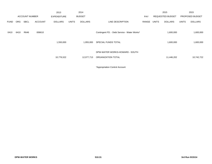|             |      |                       |                | 2013               |              | 2014           |                                                      |       |       | 2015                    |              | 2015            |
|-------------|------|-----------------------|----------------|--------------------|--------------|----------------|------------------------------------------------------|-------|-------|-------------------------|--------------|-----------------|
|             |      | <b>ACCOUNT NUMBER</b> |                | <b>EXPENDITURE</b> |              | <b>BUDGET</b>  |                                                      | PAY   |       | <b>REQUESTED BUDGET</b> |              | PROPOSED BUDGET |
| <b>FUND</b> | ORG  | <b>SBCL</b>           | <b>ACCOUNT</b> | <b>DOLLARS</b>     | <b>UNITS</b> | <b>DOLLARS</b> | LINE DESCRIPTION                                     | RANGE | UNITS | <b>DOLLARS</b>          | <b>UNITS</b> | <b>DOLLARS</b>  |
| 0410        | 6410 | R646                  | 006610         |                    |              |                | Contingent FD. - Debt Service - Water Works*         |       |       | 1,600,000               |              | 1,600,000       |
|             |      |                       |                | 1,550,000          |              | 1,955,000      | SPECIAL FUNDS TOTAL                                  |       |       | 1,600,000               |              | 1,600,000       |
|             |      |                       |                | 10,776,522         |              | 12,077,713     | DPW-WATER WORKS-HOWARD - SOUTH<br>ORGANIZATION TOTAL |       |       | 11,446,202              |              | 10,742,722      |
|             |      |                       |                |                    |              |                |                                                      |       |       |                         |              |                 |

\*Appropriation Control Account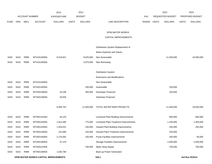|             |      |                       |                                      | 2013               |              | 2014           |                                        |            |              | 2015             |              | 2015            |
|-------------|------|-----------------------|--------------------------------------|--------------------|--------------|----------------|----------------------------------------|------------|--------------|------------------|--------------|-----------------|
|             |      | <b>ACCOUNT NUMBER</b> |                                      | <b>EXPENDITURE</b> |              | <b>BUDGET</b>  |                                        | <b>PAY</b> |              | REQUESTED BUDGET |              | PROPOSED BUDGET |
| <b>FUND</b> | ORG  | <b>SBCL</b>           | <b>ACCOUNT</b>                       | <b>DOLLARS</b>     | <b>UNITS</b> | <b>DOLLARS</b> | LINE DESCRIPTION                       | RANGE      | <b>UNITS</b> | <b>DOLLARS</b>   | <b>UNITS</b> | <b>DOLLARS</b>  |
|             |      |                       |                                      |                    |              |                |                                        |            |              |                  |              |                 |
|             |      |                       |                                      |                    |              |                | DPW-WATER WORKS                        |            |              |                  |              |                 |
|             |      |                       |                                      |                    |              |                | CAPITAL IMPROVEMENTS                   |            |              |                  |              |                 |
|             |      |                       |                                      |                    |              |                | Distribution System Replacement of     |            |              |                  |              |                 |
|             |      |                       |                                      |                    |              |                | Mains Hydrants and Valves              |            |              |                  |              |                 |
| 0420        | 6410 | R999                  | WT41014000A                          | 8,319,621          |              | 8,025,000      | Non-Assessable                         |            |              | 11,200,000       |              | 19,500,000      |
| 0420        | 6410 | R999                  | WT41014000A                          |                    |              | 3,075,000      | New Borrowing                          |            |              |                  |              |                 |
|             |      |                       |                                      |                    |              |                |                                        |            |              |                  |              |                 |
|             |      |                       |                                      |                    |              |                | <b>Distribution System</b>             |            |              |                  |              |                 |
|             |      |                       |                                      |                    |              |                | <b>Extensions and Modifications</b>    |            |              |                  |              |                 |
| 0420        | 6410 | R999                  | WT41014000A                          |                    |              |                | Non-Assessable                         |            |              |                  |              |                 |
| 0420        | 6410 | R999                  | WT42014000A                          |                    |              | 100,000        | Assessable                             |            |              | 100,000          |              |                 |
| 0420        | 6410 | R999                  | WT43014000A                          | 16,196             |              | 300,000        | Developer Financed                     |            |              | 150,000          |              |                 |
| 0420        | 6410 | R999                  | WT44014000A                          | 29,935             |              |                | Suburban Financed                      |            |              |                  |              |                 |
|             |      |                       |                                      |                    |              |                |                                        |            |              |                  |              |                 |
|             |      |                       |                                      | 8,365,752          |              | 11,500,000     | TOTAL WATER MAIN PROJECTS              |            |              | 11,450,000       |              | 19,500,000      |
|             |      |                       |                                      |                    |              |                |                                        |            |              |                  |              |                 |
| 0420        | 6410 | R999                  | WT45014100A                          | 44,133             |              |                | Linnwood Plant Building Improvements   |            |              | 600,000          |              | 600,000         |
| 0420        | 6410 | R999                  | WT45014200A                          | 1,814,385          |              | 775,000        | Linnwood Plant Treatment Improvements  |            |              | 1,100,000        |              | 1,350,000       |
| 0420        | 6410 | R999                  | WT45014300A                          | 1,029,431          |              | 100,000        | Howard Plant Building Improvements     |            |              | 250,000          |              | 250,000         |
| 0420        | 6410 | R999                  | WT45014400A                          | 101,090            |              | 150,000        | Howard Plant Treatment Improvements    |            |              | 150,000          |              |                 |
| 0420        | 6410 | R999                  | WT45014500A                          | 2,179,381          |              | 100,000        | <b>Pump Facilities Improvements</b>    |            |              | 250,000          |              | 50,000          |
| 0420        | 6410 | R999                  | WT45014600A                          | 47,276             |              |                | <b>Storage Facilities Improvements</b> |            |              | 2,500,000        |              | 2,500,000       |
| 0420        | 6410 | R999                  | WT45014700A                          |                    |              | 700,000        | Meter Shop Repair                      |            |              | 700,000          |              | 700,000         |
| 0420        | 6410 | R999                  | WT45014800A                          | 1,635,780          |              |                | Back-up Power Generation               |            |              |                  |              |                 |
|             |      |                       | DPW-WATER WORKS-CAPITAL IMPROVEMENTS |                    |              |                | 520.1                                  |            |              |                  |              | 3rd Run 9/15/14 |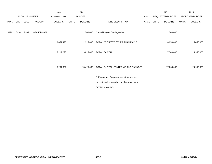|             |      |                       |                | 2013               |              | 2014           |                                           |       |              | 2015             |              | 2015            |
|-------------|------|-----------------------|----------------|--------------------|--------------|----------------|-------------------------------------------|-------|--------------|------------------|--------------|-----------------|
|             |      | <b>ACCOUNT NUMBER</b> |                | <b>EXPENDITURE</b> |              | <b>BUDGET</b>  |                                           | PAY   |              | REQUESTED BUDGET |              | PROPOSED BUDGET |
| <b>FUND</b> | ORG  | SBCL                  | <b>ACCOUNT</b> | <b>DOLLARS</b>     | <b>UNITS</b> | <b>DOLLARS</b> | LINE DESCRIPTION                          | RANGE | <b>UNITS</b> | <b>DOLLARS</b>   | <b>UNITS</b> | <b>DOLLARS</b>  |
| 0420        | 6410 | R999                  | WT45014900A    |                    |              | 500,000        | <b>Capital Project Contingencies</b>      |       |              | 500,000          |              |                 |
|             |      |                       |                | 6,851,476          |              | 2,325,000      | TOTAL PROJECTS OTHER THAN MAINS           |       |              | 6,050,000        |              | 5,450,000       |
|             |      |                       |                | 15,217,228         |              | 13,825,000     | <b>TOTAL CAPITAL**</b>                    |       |              | 17,500,000       |              | 24,950,000      |
|             |      |                       |                | 15,201,032         |              | 13,425,000     | TOTAL CAPITAL - WATER WORKS FINANCED      |       |              | 17,250,000       |              | 24,950,000      |
|             |      |                       |                |                    |              |                | ** Project and Purpose account numbers to |       |              |                  |              |                 |
|             |      |                       |                |                    |              |                | be assigned upon adoption of a subsequent |       |              |                  |              |                 |
|             |      |                       |                |                    |              |                | funding resolution.                       |       |              |                  |              |                 |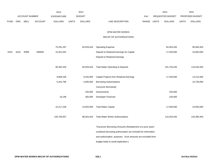|             |            |                |                | 2013               |              | 2014           |                                                                 |             | 2015             |              | 2015            |
|-------------|------------|----------------|----------------|--------------------|--------------|----------------|-----------------------------------------------------------------|-------------|------------------|--------------|-----------------|
|             |            | ACCOUNT NUMBER |                | <b>EXPENDITURE</b> |              | <b>BUDGET</b>  |                                                                 | PAY         | REQUESTED BUDGET |              | PROPOSED BUDGET |
| <b>FUND</b> | <b>ORG</b> | <b>SBCL</b>    | <b>ACCOUNT</b> | <b>DOLLARS</b>     | <b>UNITS</b> | <b>DOLLARS</b> | LINE DESCRIPTION                                                | RANGE UNITS | <b>DOLLARS</b>   | <b>UNITS</b> | <b>DOLLARS</b>  |
|             |            |                |                |                    |              |                |                                                                 |             |                  |              |                 |
|             |            |                |                |                    |              |                | DPW-WATER WORKS                                                 |             |                  |              |                 |
|             |            |                |                |                    |              |                | RECAP OF AUTHORIZATIONS                                         |             |                  |              |                 |
|             |            |                |                |                    |              |                |                                                                 |             |                  |              |                 |
|             |            |                |                | 75,291,297         |              | 84,529,443     | <b>Operating Expense</b>                                        |             | 84,453,445       |              | 85,584,403      |
| 0410        | 6410       | R999           | 006900         | 15,201,032         |              |                | Deposit to Retained Earnings for Capital                        |             | 17,250,000       |              | 24,950,000      |
|             |            |                |                |                    |              |                | Deposit to Retained Earnings                                    |             |                  |              |                 |
|             |            |                |                |                    |              |                |                                                                 |             |                  |              |                 |
|             |            |                |                | 90,492,329         |              |                | 84,529,443 Total Water Operating & Deposits                     |             | 101,703,445      |              | 110,534,403     |
|             |            |                |                |                    |              |                |                                                                 |             |                  |              |                 |
|             |            |                |                | 9,858,236          |              | 9,425,000      | Capital Projects from Retained Earnings                         |             | 17,250,000       |              | 14,214,000      |
|             |            |                |                | 5,342,796          |              | 4,000,000      | <b>Borrowing Authorizations</b>                                 |             |                  |              | 10,736,000      |
|             |            |                |                |                    |              |                | Carryover Borrowing*                                            |             |                  |              |                 |
|             |            |                |                |                    |              | 100,000        | Assessments                                                     |             | 100,000          |              |                 |
|             |            |                |                | 16,196             |              | 300,000        | Developer Financed                                              |             | 150,000          |              |                 |
|             |            |                |                |                    |              |                |                                                                 |             |                  |              |                 |
|             |            |                |                | 15,217,228         |              |                | 13,825,000 Total Water Capital                                  |             | 17,500,000       |              | 24,950,000      |
|             |            |                |                |                    |              |                |                                                                 |             |                  |              |                 |
|             |            |                |                | 105,709,557        |              | 98,354,443     | <b>Total Water Works Authorizations</b>                         |             | 119,203,445      |              | 135,484,403     |
|             |            |                |                |                    |              |                | *Carryover Borrowing Amounts (Restatement of a prior years'     |             |                  |              |                 |
|             |            |                |                |                    |              |                | unutilized borrowing authorization are included for information |             |                  |              |                 |
|             |            |                |                |                    |              |                | and authorization purposes. Such amounts are excluded from      |             |                  |              |                 |
|             |            |                |                |                    |              |                | budget totals to avoid duplication.)                            |             |                  |              |                 |
|             |            |                |                |                    |              |                |                                                                 |             |                  |              |                 |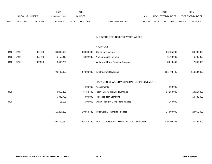|             |            |                       |                | 2013               |              | 2014           |                                               |             | 2015                    |              | 2015            |
|-------------|------------|-----------------------|----------------|--------------------|--------------|----------------|-----------------------------------------------|-------------|-------------------------|--------------|-----------------|
|             |            | <b>ACCOUNT NUMBER</b> |                | <b>EXPENDITURE</b> |              | <b>BUDGET</b>  |                                               | PAY         | <b>REQUESTED BUDGET</b> |              | PROPOSED BUDGET |
| <b>FUND</b> | <b>ORG</b> | <b>SBCL</b>           | <b>ACCOUNT</b> | <b>DOLLARS</b>     | <b>UNITS</b> | <b>DOLLARS</b> | LINE DESCRIPTION                              | RANGE UNITS | <b>DOLLARS</b>          | <b>UNITS</b> | <b>DOLLARS</b>  |
|             |            |                       |                |                    |              |                |                                               |             |                         |              |                 |
|             |            |                       |                |                    |              |                | 2. SOURCE OF FUNDS FOR WATER WORKS            |             |                         |              |                 |
|             |            |                       |                |                    |              |                | <b>REVENUES</b>                               |             |                         |              |                 |
| 0410        | 6410       |                       | 009400         | 80,380,624         |              | 80,808,000     | <b>Operating Revenue</b>                      |             | 86,785,000              |              | 86,785,000      |
| 0410        | 6410       |                       | 009400         | 6,450,919          |              | 6,692,000      | Non-Operating Revenue                         |             | 6,700,000               |              | 6,700,000       |
| 0410        | 6410       |                       | 009920         | 3,660,786          |              |                | Withdrawal From Retained Earnings             |             | 8,218,445               |              | 17,049,403      |
|             |            |                       |                | 90,492,329         |              | 87,500,000     | <b>Total Current Revenues</b>                 |             | 101,703,445             |              | 110,534,403     |
|             |            |                       |                |                    |              |                |                                               |             |                         |              |                 |
|             |            |                       |                |                    |              |                | FINANCING OF WATER WORKS CAPITAL IMPROVEMENTS |             |                         |              |                 |
|             |            |                       |                |                    |              | 100,000        | Assessments                                   |             | 100,000                 |              |                 |
| 0420        |            |                       |                | 9,858,236          |              | 6,454,443      | From Fund 41 Retained Earnings                |             | 17,250,000              |              | 14,214,000      |
|             |            |                       |                | 5,342,796          |              | 4,000,000      | Proceeds from Borrowing                       |             |                         |              | 10,736,000      |
| 0420        |            |                       |                | 16,196             |              | 300,000        | Out Of Program-Developer Financed             |             | 150,000                 |              |                 |
|             |            |                       |                | 15,217,228         |              | 10,854,443     | <b>Total Capital Financing Required</b>       |             | 17,500,000              |              | 24,950,000      |
|             |            |                       |                | 105,709,557        |              | 98,354,443     | TOTAL SOURCE OF FUNDS FOR WATER WORKS         |             | 119,203,445             |              | 135,484,403     |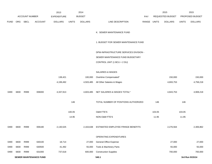|             |      |                       |         | 2013               |              | 2014           |                                        |             |        | 2015             |              | 2015            |
|-------------|------|-----------------------|---------|--------------------|--------------|----------------|----------------------------------------|-------------|--------|------------------|--------------|-----------------|
|             |      | <b>ACCOUNT NUMBER</b> |         | <b>EXPENDITURE</b> |              | <b>BUDGET</b>  |                                        | PAY         |        | REQUESTED BUDGET |              | PROPOSED BUDGET |
| <b>FUND</b> | ORG  | <b>SBCL</b>           | ACCOUNT | <b>DOLLARS</b>     | <b>UNITS</b> | <b>DOLLARS</b> | LINE DESCRIPTION                       | RANGE UNITS |        | <b>DOLLARS</b>   | <b>UNITS</b> | <b>DOLLARS</b>  |
|             |      |                       |         |                    |              |                |                                        |             |        |                  |              |                 |
|             |      |                       |         |                    |              |                | K. SEWER MAINTENANCE FUND              |             |        |                  |              |                 |
|             |      |                       |         |                    |              |                |                                        |             |        |                  |              |                 |
|             |      |                       |         |                    |              |                | 1. BUDGET FOR SEWER MAINTENANCE FUND   |             |        |                  |              |                 |
|             |      |                       |         |                    |              |                |                                        |             |        |                  |              |                 |
|             |      |                       |         |                    |              |                | DPW-INFRASTRUCTURE SERVICES DIVISION - |             |        |                  |              |                 |
|             |      |                       |         |                    |              |                | SEWER MAINTENANCE FUND BUDGETARY       |             |        |                  |              |                 |
|             |      |                       |         |                    |              |                | CONTROL UNIT (1 BCU = 2 DU)            |             |        |                  |              |                 |
|             |      |                       |         |                    |              |                |                                        |             |        |                  |              |                 |
|             |      |                       |         |                    |              |                | SALARIES & WAGES                       |             |        |                  |              |                 |
|             |      |                       |         | 138,421            |              | 100,000        | Overtime Compensated*                  |             |        | 150,000          |              | 150,000         |
|             |      |                       |         | 4,199,492          |              | 4,503,485      | All Other Salaries & Wages             |             |        | 4,693,753        |              | 4,758,218       |
|             |      |                       |         |                    |              |                |                                        |             |        |                  |              |                 |
| 0490        | 6830 | R999                  | 006000  | 4,337,913          |              | 4,603,485      | NET SALARIES & WAGES TOTAL*            |             |        | 4,843,753        |              | 4,908,218       |
|             |      |                       |         |                    | 146          |                | TOTAL NUMBER OF POSITIONS AUTHORIZED   |             | 146    |                  | 146          |                 |
|             |      |                       |         |                    |              |                |                                        |             |        |                  |              |                 |
|             |      |                       |         |                    | 100.05       |                | <b>O&amp;M FTE'S</b>                   |             | 103.05 |                  | 103.05       |                 |
|             |      |                       |         |                    | 14.95        |                | NON-O&M FTE'S                          |             | 11.95  |                  | 11.95        |                 |
|             |      |                       |         |                    |              |                |                                        |             |        |                  |              |                 |

|      |      |      | <b>SEWER MAINTENANCE FUND</b> |           |           | 540.1                              |           | 3rd Run 9/15/14 |
|------|------|------|-------------------------------|-----------|-----------|------------------------------------|-----------|-----------------|
| 0490 | 6830 | R999 | 631000                        | 737,618   | 600,000   | <b>Construction Supplies</b>       | 700,000   | 700,000         |
| 0490 | 6830 | R999 | 630500                        | 41,492    | 55,000    | Tools & Machinery Parts            | 55,000    | 55,000          |
| 0490 | 6830 | R999 | 630100                        | 18,714    | 27.000    | General Office Expense             | 27,000    | 27,000          |
|      |      |      |                               |           |           | <b>OPERATING EXPENDITURES</b>      |           |                 |
| 0490 | 6830 | R999 | 006180                        | 2,130,525 | 2,163,638 | ESTIMATED EMPLOYEE FRINGE BENEFITS | 2,276,564 | 2,306,862       |
|      |      |      |                               |           |           |                                    |           |                 |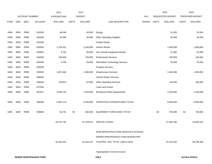|             |      |                       |                | 2013               |              | 2014           |                                       |       |              | 2015             |              | 2015            |
|-------------|------|-----------------------|----------------|--------------------|--------------|----------------|---------------------------------------|-------|--------------|------------------|--------------|-----------------|
|             |      | <b>ACCOUNT NUMBER</b> |                | <b>EXPENDITURE</b> |              | <b>BUDGET</b>  |                                       | PAY   |              | REQUESTED BUDGET |              | PROPOSED BUDGET |
| <b>FUND</b> | ORG  | <b>SBCL</b>           | <b>ACCOUNT</b> | <b>DOLLARS</b>     | <b>UNITS</b> | <b>DOLLARS</b> | LINE DESCRIPTION                      | RANGE | <b>UNITS</b> | <b>DOLLARS</b>   | <b>UNITS</b> | <b>DOLLARS</b>  |
|             |      |                       |                |                    |              |                |                                       |       |              |                  |              |                 |
| 0490        | 6830 | R999                  | 631500         | 48,046             |              | 45,000         | Energy                                |       |              | 51,000           |              | 51,000          |
| 0490        | 6830 | R999                  | 632000         | 25,580             |              | 35,000         | <b>Other Operating Supplies</b>       |       |              | 35,000           |              | 35,000          |
| 0490        | 6830 | R999                  | 632500         |                    |              |                | <b>Facility Rental</b>                |       |              |                  |              |                 |
| 0490        | 6830 | R999                  | 633000         | 1,703,431          |              | 2,106,000      | Vehicle Rental                        |       |              | 1,900,000        |              | 1,900,000       |
| 0490        | 6830 | R999                  | 633500         | 8,732              |              | 50,000         | Non-Vehicle Equipment Rental          |       |              | 51,000           |              | 51,000          |
| 0490        | 6830 | R999                  | 634000         | 190,829            |              | 135,000        | <b>Professional Services</b>          |       |              | 240,000          |              | 240,000         |
| 0490        | 6830 | R999                  | 634500         | 4,769              |              | 25,000         | Information Technology Services       |       |              | 25,000           |              | 25,000          |
| 0490        | 6830 | R999                  | 635000         |                    |              |                | <b>Property Services</b>              |       |              |                  |              |                 |
| 0490        | 6830 | R999                  | 635500         | 1,057,484          |              | 1,360,000      | Infrastructure Services               |       |              | 1,360,000        |              | 1,360,000       |
| 0490        | 6830 | R999                  | 636000         |                    |              |                | Vehicle Repair Services               |       |              |                  |              |                 |
| 0490        | 6830 | R999                  | 636500         | 129,813            |              | 82,000         | <b>Other Operating Services</b>       |       |              | 130,000          |              | 130,000         |
| 0490        | 6830 | R999                  | 637000         |                    |              |                | Loans and Grants                      |       |              |                  |              |                 |
| 0490        | 6830 | R999                  | 637501         | 3,030,762          |              | 1,910,000      | Reimburse Other Departments           |       |              | 2,330,000        |              | 2,330,000       |
|             |      |                       |                |                    |              |                |                                       |       |              |                  |              |                 |
| 0490        | 6830 | R999                  | 006300         | 6,997,270          |              | 6,430,000      | OPERATING EXPENDITURES TOTAL*         |       |              | 6,904,000        |              | 6,904,000       |
|             |      |                       |                |                    |              |                |                                       |       |              |                  |              |                 |
| 0490        | 6830 | R999                  | 006800         | 63,791             | 50           | 460,000        | EQUIPMENT PURCHASES TOTAL*            |       | 64           | 735,000          | 64           | 730,000         |
|             |      |                       |                |                    |              |                |                                       |       |              |                  |              |                 |
|             |      |                       |                | 29,762,792         |              | 41,759,074     | SPECIAL FUNDS                         |       |              | 47,483,185       |              | 44,936,410      |
|             |      |                       |                |                    |              |                |                                       |       |              |                  |              |                 |
|             |      |                       |                |                    |              |                | DPW-INFRASTRUCTURE SERVICES DIVISION- |       |              |                  |              |                 |
|             |      |                       |                |                    |              |                | SEWER MAINTENANCE FUND BUDGETARY      |       |              |                  |              |                 |
|             |      |                       |                | 43,292,291         |              | 55,416,197     | CONTROL UNIT TOTAL (1BCU=2DU)         |       |              | 62,242,502       |              | 59,785,490      |
|             |      |                       |                |                    |              |                |                                       |       |              |                  |              |                 |
|             |      |                       |                |                    |              |                | *Appropriation Control Account        |       |              |                  |              |                 |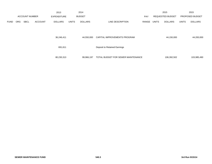|             |            |                       |                | 2013               |              | 2014           |                                    |       |       | 2015                    |              | 2015            |
|-------------|------------|-----------------------|----------------|--------------------|--------------|----------------|------------------------------------|-------|-------|-------------------------|--------------|-----------------|
|             |            | <b>ACCOUNT NUMBER</b> |                | <b>EXPENDITURE</b> |              | <b>BUDGET</b>  |                                    | PAY   |       | <b>REQUESTED BUDGET</b> |              | PROPOSED BUDGET |
| <b>FUND</b> | <b>ORG</b> | <b>SBCL</b>           | <b>ACCOUNT</b> | <b>DOLLARS</b>     | <b>UNITS</b> | <b>DOLLARS</b> | LINE DESCRIPTION                   | RANGE | UNITS | <b>DOLLARS</b>          | <b>UNITS</b> | <b>DOLLARS</b>  |
|             |            |                       |                |                    |              |                |                                    |       |       |                         |              |                 |
|             |            |                       |                |                    |              |                |                                    |       |       |                         |              |                 |
|             |            |                       |                | 36,246,411         |              | 44,550,000     | CAPITAL IMPROVEMENTS PROGRAM       |       |       | 44,150,000              |              | 44,200,000      |
|             |            |                       |                |                    |              |                |                                    |       |       |                         |              |                 |
|             |            |                       |                | 691,611            |              |                | Deposit to Retained Earnings       |       |       |                         |              |                 |
|             |            |                       |                |                    |              |                |                                    |       |       |                         |              |                 |
|             |            |                       |                |                    |              |                |                                    |       |       |                         |              |                 |
|             |            |                       |                | 80,230,313         |              | 99,966,197     | TOTAL BUDGET FOR SEWER MAINTENANCE |       |       | 106,392,502             |              | 103,985,490     |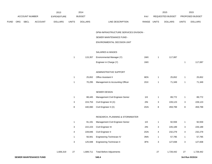|      |     |                |                               | 2013           |                           | 2014           |                                        |       |                           | 2015             |              | 2015            |
|------|-----|----------------|-------------------------------|----------------|---------------------------|----------------|----------------------------------------|-------|---------------------------|------------------|--------------|-----------------|
|      |     | ACCOUNT NUMBER |                               | EXPENDITURE    |                           | <b>BUDGET</b>  |                                        | PAY   |                           | REQUESTED BUDGET |              | PROPOSED BUDGET |
| FUND | ORG | <b>SBCL</b>    | <b>ACCOUNT</b>                | <b>DOLLARS</b> | <b>UNITS</b>              | <b>DOLLARS</b> | LINE DESCRIPTION                       | RANGE | <b>UNITS</b>              | <b>DOLLARS</b>   | <b>UNITS</b> | <b>DOLLARS</b>  |
|      |     |                |                               |                |                           |                | DPW-INFRASTRUCTURE SERVICES DIVISION - |       |                           |                  |              |                 |
|      |     |                |                               |                |                           |                | SEWER MAINTENANCE FUND -               |       |                           |                  |              |                 |
|      |     |                |                               |                |                           |                | ENVIRONMENTAL DECISION UNIT            |       |                           |                  |              |                 |
|      |     |                |                               |                |                           |                | SALARIES & WAGES                       |       |                           |                  |              |                 |
|      |     |                |                               |                | $\mathbf{1}$              | 115,357        | Environmental Manager (Y)              | 1MX   | $\overline{1}$            | 117,087          |              |                 |
|      |     |                |                               |                |                           |                | Engineer in Charge (Y)                 | 1MX   |                           |                  | $\mathbf{1}$ | 117,087         |
|      |     |                |                               |                |                           |                | ADMINISTRATIVE SUPPORT                 |       |                           |                  |              |                 |
|      |     |                |                               |                | $\mathbf{1}$              | 25,652         | Office Assistant II                    | 6EN   | $\mathbf{1}$              | 25,652           | $\mathbf{1}$ | 25,652          |
|      |     |                |                               |                | $\overline{1}$            | 70,295         | Management & Accounting Officer        | 2GX   | $\overline{1}$            | 71,349           | $\mathbf{1}$ | 71,349          |
|      |     |                |                               |                |                           |                | SEWER DESIGN                           |       |                           |                  |              |                 |
|      |     |                |                               |                | $\mathbf{1}$              | 88,445         | Management Civil Engineer-Senior       | 11X   | $\mathbf{1}$              | 89,772           | $\mathbf{1}$ | 89,772          |
|      |     |                |                               |                | 3                         | 224,753        | Civil Engineer III (X)                 | 2IN   | 3                         | 228,123          | 3            | 228,123         |
|      |     |                |                               |                | 8                         | 440,060        | Civil Engineer II (X)                  | 2GN   | 8                         | 459,799          | 8            | 459,799         |
|      |     |                |                               |                |                           |                | RESEARCH, PLANNING & STORMWATER        |       |                           |                  |              |                 |
|      |     |                |                               |                | $\overline{1}$            | 91,191         | Management Civil Engineer-Senior       | 11X   | $\mathbf{1}$              | 92,559           | $\mathbf{1}$ | 92,559          |
|      |     |                |                               |                | 3                         | 222,223        | Civil Engineer III                     | 2IN   | 3                         | 226,189          | 3            | 226,189         |
|      |     |                |                               |                | 4                         | 228,846        | Civil Engineer II                      | 2GN   | 4                         | 232,279          | 4            | 232,279         |
|      |     |                |                               |                | $\mathbf{1}$              | 56,941         | Engineering Technician IV              | 3NN   | $\mathbf{1}$              | 57,795           | 1            | 57,795          |
|      |     |                |                               |                | $\ensuremath{\mathsf{3}}$ | 125,948        | <b>Engineering Technician II</b>       | 3FN   | $\ensuremath{\mathsf{3}}$ | 127,838          | $\mathbf{3}$ | 127,838         |
|      |     |                |                               | 1,606,319      | 27                        | 1,689,711      | <b>Total Before Adjustments</b>        |       | $27\,$                    | 1,728,442        | $27\,$       | 1,728,442       |
|      |     |                | <b>SEWER MAINTENANCE FUND</b> |                |                           |                | 540.4                                  |       |                           |                  |              | 3rd Run 9/15/14 |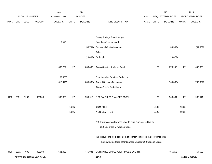|             |          |                       |                               | 2013               |              | 2014           |                                                                           |       |              | 2015             |              | 2015            |
|-------------|----------|-----------------------|-------------------------------|--------------------|--------------|----------------|---------------------------------------------------------------------------|-------|--------------|------------------|--------------|-----------------|
|             |          | <b>ACCOUNT NUMBER</b> |                               | <b>EXPENDITURE</b> |              | <b>BUDGET</b>  |                                                                           | PAY   |              | REQUESTED BUDGET |              | PROPOSED BUDGET |
| <b>FUND</b> | ORG SBCL |                       | <b>ACCOUNT</b>                | <b>DOLLARS</b>     | <b>UNITS</b> | <b>DOLLARS</b> | LINE DESCRIPTION                                                          | RANGE | <b>UNITS</b> | <b>DOLLARS</b>   | <b>UNITS</b> | <b>DOLLARS</b>  |
|             |          |                       |                               |                    |              |                |                                                                           |       |              |                  |              |                 |
|             |          |                       |                               |                    |              |                |                                                                           |       |              |                  |              |                 |
|             |          |                       |                               |                    |              |                | Salary & Wage Rate Change                                                 |       |              |                  |              |                 |
|             |          |                       |                               | 2,943              |              |                | Overtime Compensated                                                      |       |              |                  |              |                 |
|             |          |                       |                               |                    |              | (33, 794)      | Personnel Cost Adjustment                                                 |       |              | (34, 569)        |              | (34, 569)       |
|             |          |                       |                               |                    |              |                | Other                                                                     |       |              |                  |              |                 |
|             |          |                       |                               |                    |              | (19, 432)      | Furlough                                                                  |       |              | (19, 877)        |              |                 |
|             |          |                       |                               |                    |              |                |                                                                           |       |              |                  |              |                 |
|             |          |                       |                               | 1,609,262          | 27           | 1,636,485      | Gross Salaries & Wages Total                                              |       | 27           | 1,673,996        | 27           | 1,693,873       |
|             |          |                       |                               |                    |              |                |                                                                           |       |              |                  |              |                 |
|             |          |                       |                               | (2,933)            |              |                | Reimbursable Services Deduction                                           |       |              |                  |              |                 |
|             |          |                       |                               | (615, 446)         |              | (685, 568)     | <b>Capital Services Deduction</b>                                         |       |              | (705, 362)       |              | (705, 362)      |
|             |          |                       |                               |                    |              |                | <b>Grants &amp; Aids Deductions</b>                                       |       |              |                  |              |                 |
|             |          |                       |                               |                    |              |                |                                                                           |       |              |                  |              |                 |
| 0490        | 6831     | R999                  | 006000                        | 990,883            | 27           | 950,917        | NET SALARIES & WAGES TOTAL                                                |       | 27           | 968,634          | 27           | 988,511         |
|             |          |                       |                               |                    |              |                |                                                                           |       |              |                  |              |                 |
|             |          |                       |                               |                    | 16.05        |                | O&M FTE'S                                                                 |       | 16.05        |                  | 16.05        |                 |
|             |          |                       |                               |                    | 10.95        |                | NON-O&M FTE'S                                                             |       | 10.95        |                  | 10.95        |                 |
|             |          |                       |                               |                    |              |                |                                                                           |       |              |                  |              |                 |
|             |          |                       |                               |                    |              |                | (X) Private Auto Allowance May Be Paid Pursuant to Section                |       |              |                  |              |                 |
|             |          |                       |                               |                    |              |                | 350-183 of the Milwaukee Code.                                            |       |              |                  |              |                 |
|             |          |                       |                               |                    |              |                | (Y) Required to file a statement of economic interests in accordance with |       |              |                  |              |                 |
|             |          |                       |                               |                    |              |                | the Milwaukee Code of Ordinances Chapter 303-Code of Ethics.              |       |              |                  |              |                 |
|             |          |                       |                               |                    |              |                |                                                                           |       |              |                  |              |                 |
| 0490        | 6831     | R999                  | 006180                        | 601,059            |              | 446,931        | ESTIMATED EMPLOYEE FRINGE BENEFITS                                        |       |              | 455,258          |              | 464,600         |
|             |          |                       | <b>SEWER MAINTENANCE FUND</b> |                    |              |                | 540.5                                                                     |       |              |                  |              | 3rd Run 9/15/14 |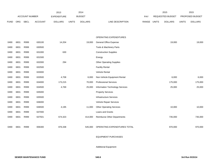|             |      |                       |                | 2013               |              | 2014           |                                    |       |              | 2015             |              | 2015            |
|-------------|------|-----------------------|----------------|--------------------|--------------|----------------|------------------------------------|-------|--------------|------------------|--------------|-----------------|
|             |      | <b>ACCOUNT NUMBER</b> |                | <b>EXPENDITURE</b> |              | <b>BUDGET</b>  |                                    | PAY   |              | REQUESTED BUDGET |              | PROPOSED BUDGET |
| <b>FUND</b> | ORG  | SBCL                  | <b>ACCOUNT</b> | <b>DOLLARS</b>     | <b>UNITS</b> | <b>DOLLARS</b> | LINE DESCRIPTION                   | RANGE | <b>UNITS</b> | <b>DOLLARS</b>   | <b>UNITS</b> | <b>DOLLARS</b>  |
|             |      |                       |                |                    |              |                |                                    |       |              |                  |              |                 |
|             |      |                       |                |                    |              |                |                                    |       |              |                  |              |                 |
|             |      |                       |                |                    |              |                | <b>OPERATING EXPENDITURES</b>      |       |              |                  |              |                 |
| 0490        | 6831 | R999                  | 630100         | 14,204             |              | 19,000         | General Office Expense             |       |              | 19,000           |              | 19,000          |
| 0490        | 6831 | R999                  | 630500         |                    |              |                | Tools & Machinery Parts            |       |              |                  |              |                 |
| 0490        | 6831 | R999                  | 631000         | 630                |              |                | <b>Construction Supplies</b>       |       |              |                  |              |                 |
| 0490        | 6831 | R999                  | 631500         |                    |              |                | Energy                             |       |              |                  |              |                 |
| 0490        | 6831 | R999                  | 632000         | 294                |              |                | <b>Other Operating Supplies</b>    |       |              |                  |              |                 |
| 0490        | 6831 | R999                  | 632500         |                    |              |                | <b>Facility Rental</b>             |       |              |                  |              |                 |
| 0490        | 6831 | R999                  | 633000         |                    |              |                | Vehicle Rental                     |       |              |                  |              |                 |
| 0490        | 6831 | R999                  | 633500         | 4,708              |              | 6,000          | Non-Vehicle Equipment Rental       |       |              | 6,000            |              | 6,000           |
| 0490        | 6831 | R999                  | 634000         | 173,215            |              | 70,000         | <b>Professional Services</b>       |       |              | 175,000          |              | 175,000         |
| 0490        | 6831 | R999                  | 634500         | 4,769              |              | 25,000         | Information Technology Services    |       |              | 25,000           |              | 25,000          |
| 0490        | 6831 | R999                  | 635000         |                    |              |                | <b>Property Services</b>           |       |              |                  |              |                 |
| 0490        | 6831 | R999                  | 635500         |                    |              |                | <b>Infrastructure Services</b>     |       |              |                  |              |                 |
| 0490        | 6831 | R999                  | 636000         |                    |              |                | Vehicle Repair Services            |       |              |                  |              |                 |
| 0490        | 6831 | R999                  | 636500         | 4,195              |              | 11,000         | <b>Other Operating Services</b>    |       |              | 10,000           |              | 10,000          |
| 0490        | 6831 | R999                  | 637000         |                    |              |                | Loans and Grants                   |       |              |                  |              |                 |
| 0490        | 6831 | R999                  | 637501         | 674,323            |              | 414,000        | <b>Reimburse Other Departments</b> |       |              | 735,000          |              | 735,000         |
|             |      |                       |                |                    |              |                |                                    |       |              |                  |              |                 |
| 0490        | 6831 | R999                  | 006300         | 876,338            |              | 545,000        | OPERATING EXPENDITURES TOTAL       |       |              | 970,000          |              | 970,000         |

EQUIPMENT PURCHASES

Additional Equipment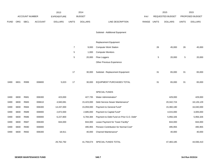|             |                       |             |                    | 2013           |                | 2014           |                                          |             |                         | 2015           |                 | 2015           |
|-------------|-----------------------|-------------|--------------------|----------------|----------------|----------------|------------------------------------------|-------------|-------------------------|----------------|-----------------|----------------|
|             | <b>ACCOUNT NUMBER</b> |             | <b>EXPENDITURE</b> |                | <b>BUDGET</b>  |                | PAY                                      |             | <b>REQUESTED BUDGET</b> |                | PROPOSED BUDGET |                |
| <b>FUND</b> | <b>ORG</b>            | <b>SBCL</b> | <b>ACCOUNT</b>     | <b>DOLLARS</b> | <b>UNITS</b>   | <b>DOLLARS</b> | LINE DESCRIPTION                         | RANGE UNITS |                         | <b>DOLLARS</b> | <b>UNITS</b>    | <b>DOLLARS</b> |
|             |                       |             |                    |                |                |                |                                          |             |                         |                |                 |                |
|             |                       |             |                    |                |                |                | Subtotal - Additional Equipment          |             |                         |                |                 |                |
|             |                       |             |                    |                |                |                | <b>Replacement Equipment</b>             |             |                         |                |                 |                |
|             |                       |             |                    |                |                |                |                                          |             | 26                      |                | 26              |                |
|             |                       |             |                    |                | $\overline{7}$ | 9,000          | <b>Computer Work Station</b>             |             |                         | 45,000         |                 | 45,000         |
|             |                       |             |                    |                | 5              | 1,000          | <b>Computer Monitors</b>                 |             |                         |                |                 |                |
|             |                       |             |                    |                | 5              | 20,000         | Flow Loggers                             |             | 5                       | 20,000         | 5               | 20,000         |
|             |                       |             |                    |                |                |                | Other Previous Experience                |             |                         |                |                 |                |
|             |                       |             |                    |                |                |                |                                          |             |                         |                |                 |                |
|             |                       |             |                    |                | 17             | 30,000         | Subtotal - Replacement Equipment         |             | 31                      | 65,000         | 31              | 65,000         |
| 0490        | 6831                  | R999        |                    | 5,023          | 17             | 30,000         | EQUIPMENT PURCHASES TOTAL                |             | 31                      | 65,000         | 31              | 65,000         |
|             |                       |             | 006800             |                |                |                |                                          |             |                         |                |                 |                |
|             |                       |             |                    |                |                |                | SPECIAL FUNDS                            |             |                         |                |                 |                |
| 0490        | 6830                  | R681        | 006300             | 423,000        |                | 427,735        | Water Administration*                    |             |                         | 429,000        |                 | 429,000        |
| 0490        | 6830                  | R683        | 006610             | 4,940,081      |                | 15,423,000     | Debt Service-Sewer Maintenance*          |             |                         | 20,342,724     |                 | 18,126,129     |
| 0490        | 6830                  | R684        | 006300             | 14,437,000     |                | 15,059,000     | Payment to General Fund*                 |             |                         | 15,360,180     |                 | 16,040,000     |
| 0490        | 6830                  | R689        | 006900             | 2,872,000      |                | 2,685,000      | Payment to Capital Fund*                 |             |                         | 4,015,000      |                 | 3,005,000      |
| 0490        | 6830                  | R686        | 006900             | 6,227,800      |                | 6,784,384      | Payment to Debt Fund on Prior G.O. Debt* |             |                         | 5,956,326      |                 | 5,956,326      |
| 0490        | 6830                  | R687        | 006300             | 844,000        |                | 844,000        | Lease Payment for Tower Facility*        |             |                         | 844,000        |                 | 844,000        |
| 0490        | 6830                  | R690        | 006900             |                |                | 495,955        | Pension Contribution for Normal Cost*    |             |                         | 495,955        |                 | 495,955        |
| 0490        | 6830                  | R692        | 006300             | 18,911         |                | 40,000         | Channel Maintenance*                     |             |                         | 40,000         |                 | 40,000         |
|             |                       |             |                    |                |                |                |                                          |             |                         |                |                 |                |
|             |                       |             |                    | 29,762,792     |                | 41,759,074     | SPECIAL FUNDS TOTAL                      |             |                         | 47,483,185     |                 | 44,936,410     |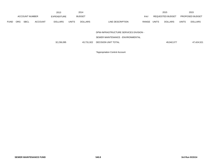|                       |             |                | 2013           |              | 2014           |                     |                  |                                                                             | 2015            |              | 2015       |
|-----------------------|-------------|----------------|----------------|--------------|----------------|---------------------|------------------|-----------------------------------------------------------------------------|-----------------|--------------|------------|
| <b>ACCOUNT NUMBER</b> |             | EXPENDITURE    |                |              |                | <b>PAY</b>          | REQUESTED BUDGET |                                                                             | PROPOSED BUDGET |              |            |
| <b>ORG</b>            | <b>SBCL</b> | <b>ACCOUNT</b> | <b>DOLLARS</b> | <b>UNITS</b> | <b>DOLLARS</b> | LINE DESCRIPTION    | RANGE            | <b>UNITS</b>                                                                | <b>DOLLARS</b>  | <b>UNITS</b> | DOLLARS    |
|                       |             |                |                |              |                |                     |                  |                                                                             |                 |              |            |
|                       |             |                |                |              |                |                     |                  |                                                                             |                 |              |            |
|                       |             |                |                |              |                |                     |                  |                                                                             |                 |              |            |
|                       |             |                | 32,236,095     |              | 43,731,922     | DECISION UNIT TOTAL |                  |                                                                             | 49,942,077      |              | 47,424,521 |
|                       |             |                |                |              |                | <b>BUDGET</b>       |                  | DPW-INFRASTRUCTURE SERVICES DIVISION -<br>SEWER MAINTENANCE - ENVIRONMENTAL |                 |              |            |

\*Appropriation Control Account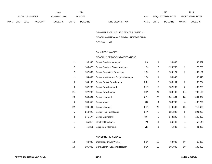|      |                |             |                              | 2013           |       | 2014           |                                  | 2015                           |                        | 2015           |
|------|----------------|-------------|------------------------------|----------------|-------|----------------|----------------------------------|--------------------------------|------------------------|----------------|
|      | ACCOUNT NUMBER |             | <b>BUDGET</b><br>EXPENDITURE |                |       | PAY            | <b>REQUESTED BUDGET</b>          |                                | <b>PROPOSED BUDGET</b> |                |
| FUND | <b>ORG</b>     | <b>SBCL</b> | <b>ACCOUNT</b>               | <b>DOLLARS</b> | UNITS | <b>DOLLARS</b> | <b>RANGE</b><br>LINE DESCRIPTION | <b>UNITS</b><br><b>DOLLARS</b> | <b>UNITS</b>           | <b>DOLLARS</b> |

# DPW-INFRASTRUCTURE SERVICES DIVISION -

### SEWER MAINTENANCE FUND - UNDERGROUND

# DECISION UNIT

## SALARIES & WAGES

#### SEWER UNDERGROUND OPERATIONS

| $\mathbf{1}$   | 96,943  | Sewer Services Manager            | 11X | 1  | 98,397    |                | 98,397    |
|----------------|---------|-----------------------------------|-----|----|-----------|----------------|-----------|
| 2              | 140,876 | Sewer Services District Manager   | 1FX | 2  | 125,765   | 2              | 125,765   |
| 2              | 107,509 | Sewer Operations Supervisor       | 1BX | 2  | 109,121   | $\overline{c}$ | 109,121   |
| $\mathbf{1}$   | 54,887  | Sewer Maintenance Program Manager | 1BX | 1  | 56,546    | 1              | 56,546    |
| 5              | 134,198 | Sewer Repair Crew Leader          | 8KN | 5  | 138,254   | 5              | 138,254   |
| 3              | 132,285 | Sewer Crew Leader II              | 8HN | 3  | 132,285   | 3              | 132,285   |
| 21             | 727,287 | Sewer Crew Leader I               | 8GN | 21 | 738,196   | 21             | 738,196   |
| 28             | 986,881 | Sewer Laborer II                  | 8FN | 28 | 1,001,684 | 28             | 1,001,684 |
| $\overline{4}$ | 136,656 | Sewer Mason                       | 7Q  | 4  | 138,706   | 4              | 138,706   |
| 22             | 700,131 | Sewer Laborer I                   | 8EN | 22 | 710,633   | 22             | 710,633   |
| 5              | 218,022 | Sewer Field Investigator          | 8HN | 5  | 221,292   | 5              | 221,292   |
| 3              | 141,177 | Sewer Examiner II                 | 8JN | 3  | 143,295   | 3              | 143,295   |
| $\mathbf{1}$   | 55,318  | <b>Electrical Mechanic</b>        | 7M  | 1  | 56,148    | 1              | 56,148    |
| 1              | 41,311  | Equipment Mechanic I              | 7B  |    | 41,930    | 1              | 41,930    |

## AUXILIARY PERSONNEL

| - 10 | 60,000 Operations Driver/Worker          | 8KN |    | 60.000  | 60,000  |
|------|------------------------------------------|-----|----|---------|---------|
| - 10 | 105,000 City Laborer, (Seasonal/Regular) | 8CN | 10 | 105.000 | 105,000 |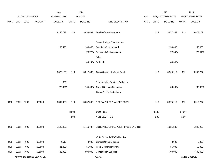|             |                               |                |                | 2013               |              | 2014           |                                     |       |              | 2015             |                 | 2015            |
|-------------|-------------------------------|----------------|----------------|--------------------|--------------|----------------|-------------------------------------|-------|--------------|------------------|-----------------|-----------------|
|             |                               | ACCOUNT NUMBER |                | <b>EXPENDITURE</b> |              | <b>BUDGET</b>  |                                     | PAY   |              | REQUESTED BUDGET |                 | PROPOSED BUDGET |
| <b>FUND</b> | ORG                           | SBCL           | <b>ACCOUNT</b> | <b>DOLLARS</b>     | <b>UNITS</b> | <b>DOLLARS</b> | LINE DESCRIPTION                    | RANGE | <b>UNITS</b> | <b>DOLLARS</b>   | <b>UNITS</b>    | <b>DOLLARS</b>  |
|             |                               |                |                | 3,240,717          | 119          | 3,838,481      | <b>Total Before Adjustments</b>     |       | 119          | 3,877,252        | 119             | 3,877,252       |
|             |                               |                |                |                    |              |                | Salary & Wage Rate Change           |       |              |                  |                 |                 |
|             |                               |                |                | 135,478            |              | 100,000        | Overtime Compensated                |       |              | 150,000          |                 | 150,000         |
|             |                               |                |                |                    |              | (76, 770)      | Personnel Cost Adjustment           |       |              | (77, 545)        |                 | (77, 545)       |
|             |                               |                |                |                    |              |                | Other                               |       |              |                  |                 |                 |
|             |                               |                |                |                    |              |                | (44,143) Furlough                   |       |              | (44, 588)        |                 |                 |
|             |                               |                |                | 3,376,195          | 119          | 3,817,568      | Gross Salaries & Wages Total        |       | 119          | 3,905,119        | 119             | 3,949,707       |
|             |                               |                |                | 806                |              |                | Reimbursable Services Deduction     |       |              |                  |                 |                 |
|             |                               |                |                | (29, 971)          |              | (165,000)      | <b>Capital Services Deduction</b>   |       |              | (30,000)         |                 | (30,000)        |
|             |                               |                |                |                    |              |                | <b>Grants &amp; Aids Deductions</b> |       |              |                  |                 |                 |
| 0490        | 6832                          | R999           | 006000         | 3,347,030          | 119          | 3,652,568      | NET SALARIES & WAGES TOTAL          |       | 119          | 3,875,119        | 119             | 3,919,707       |
|             |                               |                |                |                    | 84.00        |                | <b>O&amp;M FTE'S</b>                |       | 87.00        |                  | 87.00           |                 |
|             |                               |                |                |                    | 4.00         |                | NON-O&M FTE'S                       |       | 1.00         |                  | 1.00            |                 |
| 0490        | 6832                          | R999           | 006180         | 1,529,466          |              | 1,716,707      | ESTIMATED EMPLOYEE FRINGE BENEFITS  |       |              | 1,821,306        |                 | 1,842,262       |
|             |                               |                |                |                    |              |                | OPERATING EXPENDITURES              |       |              |                  |                 |                 |
| 0490        | 6832                          | R999           | 630100         | 4,510              |              | 8,000          | <b>General Office Expense</b>       |       |              | 8,000            |                 | 8,000           |
| 0490        | 6832                          | R999           | 630500         | 41,492             |              | 55,000         | Tools & Machinery Parts             |       |              | 55,000           |                 | 55,000          |
| 0490        | 6832                          | R999           | 631000         | 736,988            |              | 600,000        | <b>Construction Supplies</b>        |       |              | 700,000          |                 | 700,000         |
|             | <b>SEWER MAINTENANCE FUND</b> |                |                |                    |              | 540.10         |                                     |       |              |                  | 3rd Run 9/15/14 |                 |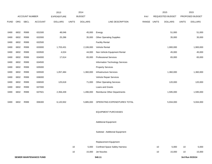|             |      |                |                | 2013               |              | 2014           |                                      |       |              | 2015             |              | 2015            |
|-------------|------|----------------|----------------|--------------------|--------------|----------------|--------------------------------------|-------|--------------|------------------|--------------|-----------------|
|             |      | ACCOUNT NUMBER |                | <b>EXPENDITURE</b> |              | <b>BUDGET</b>  |                                      | PAY   |              | REQUESTED BUDGET |              | PROPOSED BUDGET |
| <b>FUND</b> | ORG  | <b>SBCL</b>    | <b>ACCOUNT</b> | <b>DOLLARS</b>     | <b>UNITS</b> | <b>DOLLARS</b> | LINE DESCRIPTION                     | RANGE | <b>UNITS</b> | <b>DOLLARS</b>   | <b>UNITS</b> | <b>DOLLARS</b>  |
|             |      |                |                |                    |              |                |                                      |       |              |                  |              |                 |
| 0490        | 6832 | R999           | 631500         | 48,046             |              | 45,000         | Energy                               |       |              | 51,000           |              | 51,000          |
| 0490        | 6832 | R999           | 632000         | 25,286             |              | 35,000         | <b>Other Operating Supplies</b>      |       |              | 35,000           |              | 35,000          |
| 0490        | 6832 | R999           | 632500         |                    |              |                | <b>Facility Rental</b>               |       |              |                  |              |                 |
| 0490        | 6832 | R999           | 633000         | 1,703,431          |              | 2,106,000      | Vehicle Rental                       |       |              | 1,900,000        |              | 1,900,000       |
| 0490        | 6832 | R999           | 633500         | 4,024              |              | 44,000         | Non-Vehicle Equipment Rental         |       |              | 45,000           |              | 45,000          |
| 0490        | 6832 | R999           | 634000         | 17,614             |              | 65,000         | <b>Professional Services</b>         |       |              | 65,000           |              | 65,000          |
| 0490        | 6832 | R999           | 634500         |                    |              |                | Information Technology Services      |       |              |                  |              |                 |
| 0490        | 6832 | R999           | 635000         |                    |              |                | <b>Property Services</b>             |       |              |                  |              |                 |
| 0490        | 6832 | R999           | 635500         | 1,057,484          |              | 1,360,000      | <b>Infrastructure Services</b>       |       |              | 1,360,000        |              | 1,360,000       |
| 0490        | 6832 | R999           | 636000         |                    |              |                | Vehicle Repair Services              |       |              |                  |              |                 |
| 0490        | 6832 | R999           | 636500         | 125,618            |              | 71,000         | <b>Other Operating Services</b>      |       |              | 120,000          |              | 120,000         |
| 0490        | 6832 | R999           | 637000         |                    |              |                | Loans and Grants                     |       |              |                  |              |                 |
| 0490        | 6832 | R999           | 637501         | 2,356,439          |              | 1,496,000      | <b>Reimburse Other Departments</b>   |       |              | 1,595,000        |              | 1,595,000       |
|             |      |                |                |                    |              |                |                                      |       |              |                  |              |                 |
| 0490        | 6832 | R999           | 006300         | 6,120,932          |              | 5,885,000      | OPERATING EXPENDITURES TOTAL         |       |              | 5,934,000        |              | 5,934,000       |
|             |      |                |                |                    |              |                |                                      |       |              |                  |              |                 |
|             |      |                |                |                    |              |                | <b>EQUIPMENT PURCHASES</b>           |       |              |                  |              |                 |
|             |      |                |                |                    |              |                |                                      |       |              |                  |              |                 |
|             |      |                |                |                    |              |                | <b>Additional Equipment</b>          |       |              |                  |              |                 |
|             |      |                |                |                    |              |                |                                      |       |              |                  |              |                 |
|             |      |                |                |                    |              |                | Subtotal - Additional Equipment      |       |              |                  |              |                 |
|             |      |                |                |                    |              |                |                                      |       |              |                  |              |                 |
|             |      |                |                |                    |              |                | Replacement Equipment                |       |              |                  |              |                 |
|             |      |                |                |                    | $10\,$       | 5,000          | <b>Confined Space Safety Harness</b> |       | 10           | 5,000            | 10           | 5,000           |
|             |      |                |                |                    | 10           | 15,000         | Jet Nozzles                          |       | 10           | 15,000           | 10           | 15,000          |
|             |      |                |                |                    |              |                |                                      |       |              |                  |              |                 |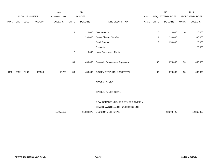|             |      |                       |                    | 2013           |                | 2014           |                                      |       |              | 2015                    |                 | 2015           |
|-------------|------|-----------------------|--------------------|----------------|----------------|----------------|--------------------------------------|-------|--------------|-------------------------|-----------------|----------------|
|             |      | <b>ACCOUNT NUMBER</b> | <b>EXPENDITURE</b> |                |                | <b>BUDGET</b>  |                                      | PAY   |              | <b>REQUESTED BUDGET</b> | PROPOSED BUDGET |                |
| <b>FUND</b> | ORG  | <b>SBCL</b>           | <b>ACCOUNT</b>     | <b>DOLLARS</b> | <b>UNITS</b>   | <b>DOLLARS</b> | LINE DESCRIPTION                     | RANGE | <b>UNITS</b> | <b>DOLLARS</b>          | <b>UNITS</b>    | <b>DOLLARS</b> |
|             |      |                       |                    |                |                |                |                                      |       |              |                         |                 |                |
|             |      |                       |                    |                | $10$           | 10,000         | <b>Gas Monitors</b>                  |       | 10           | 10,000                  | 10              | 10,000         |
|             |      |                       |                    |                | $\overline{1}$ | 390,000        | Sewer Cleaner, Vac-Jet               |       | $\mathbf{1}$ | 390,000                 | $\mathbf{1}$    | 390,000        |
|             |      |                       |                    |                |                |                | Small Dumps                          |       | $\sqrt{2}$   | 250,000                 | $\mathbf{1}$    | 125,000        |
|             |      |                       |                    |                |                |                | Excavator                            |       |              |                         | $\mathbf{1}$    | 120,000        |
|             |      |                       |                    |                | $\overline{2}$ | 10,000         | <b>Local Government Radio</b>        |       |              |                         |                 |                |
|             |      |                       |                    |                |                |                |                                      |       |              |                         |                 |                |
|             |      |                       |                    |                | 33             | 430,000        | Subtotal - Replacement Equipment     |       | 33           | 670,000                 | 33              | 665,000        |
|             |      |                       |                    |                |                |                |                                      |       |              |                         |                 |                |
| 0490        | 6832 | R999                  | 006800             | 58,768         | 33             | 430,000        | EQUIPMENT PURCHASES TOTAL            |       | 33           | 670,000                 | 33              | 665,000        |
|             |      |                       |                    |                |                |                |                                      |       |              |                         |                 |                |
|             |      |                       |                    |                |                |                | SPECIAL FUNDS                        |       |              |                         |                 |                |
|             |      |                       |                    |                |                |                |                                      |       |              |                         |                 |                |
|             |      |                       |                    |                |                |                | SPECIAL FUNDS TOTAL                  |       |              |                         |                 |                |
|             |      |                       |                    |                |                |                | DPW-INFRASTRUCTURE SERVICES DIVISION |       |              |                         |                 |                |
|             |      |                       |                    |                |                |                | SEWER MAINTENANCE - UNDERGROUND      |       |              |                         |                 |                |
|             |      |                       |                    |                |                |                |                                      |       |              |                         |                 |                |
|             |      |                       |                    | 11,056,196     |                | 11,684,275     | DECISION UNIT TOTAL                  |       |              | 12,300,425              |                 | 12,360,969     |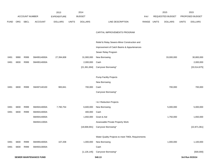|             |      |                               |                | 2013               |              | 2014           |                                                  |            | 2015         |                  | 2015         |                 |
|-------------|------|-------------------------------|----------------|--------------------|--------------|----------------|--------------------------------------------------|------------|--------------|------------------|--------------|-----------------|
|             |      | <b>ACCOUNT NUMBER</b>         |                | <b>EXPENDITURE</b> |              | <b>BUDGET</b>  |                                                  | <b>PAY</b> |              | REQUESTED BUDGET |              | PROPOSED BUDGET |
| <b>FUND</b> | ORG  | <b>SBCL</b>                   | <b>ACCOUNT</b> | <b>DOLLARS</b>     | <b>UNITS</b> | <b>DOLLARS</b> | LINE DESCRIPTION                                 | RANGE      | <b>UNITS</b> | <b>DOLLARS</b>   | <b>UNITS</b> | <b>DOLLARS</b>  |
|             |      |                               |                |                    |              |                |                                                  |            |              |                  |              |                 |
|             |      |                               |                |                    |              |                | CAPITAL IMPROVEMENTS PROGRAM                     |            |              |                  |              |                 |
|             |      |                               |                |                    |              |                |                                                  |            |              |                  |              |                 |
|             |      |                               |                |                    |              |                | Relief & Relay Sewers-Minor Construction and     |            |              |                  |              |                 |
|             |      |                               |                |                    |              |                | Improvement of Catch Basins & Appurtenances      |            |              |                  |              |                 |
|             |      |                               |                |                    |              |                | Sewer Relay Program                              |            |              |                  |              |                 |
| 0491        | 9990 | R999                          | SM49514000A    | 27,394,608         |              | 31,900,000     | New Borrowing                                    |            |              | 33,000,000       |              | 30,800,000      |
| 0491        | 6830 | R999                          | SM49514000A    |                    |              | 2,000,000      | Cash                                             |            |              |                  |              | 2,000,000       |
|             |      |                               |                |                    |              | [21, 361, 694] | Carryover Borrowing*                             |            |              |                  |              | [33,514,875]    |
|             |      |                               |                |                    |              |                |                                                  |            |              |                  |              |                 |
|             |      |                               |                |                    |              |                | <b>Pump Facility Projects</b>                    |            |              |                  |              |                 |
|             |      |                               |                |                    |              |                | New Borrowing                                    |            |              |                  |              |                 |
| 0491        | 6830 | R999                          | SM497140100    | 983,841            |              | 700,000        | Cash                                             |            |              | 700,000          |              | 700,000         |
|             |      |                               |                |                    |              |                | Carryover Borrowing*                             |            |              |                  |              |                 |
|             |      |                               |                |                    |              |                |                                                  |            |              |                  |              |                 |
|             |      |                               |                |                    |              |                | I & I Reduction Projects                         |            |              |                  |              |                 |
| 0491        | 6830 | R999                          | SM49414000A    | 7,760,754          |              | 6,600,000      | New Borrowing                                    |            |              | 5,000,000        |              | 5,000,000       |
| 0491        | 6830 | R999                          | SM49414000A    |                    |              | 400,000        | Cash                                             |            |              |                  |              |                 |
|             |      |                               | SM49414000A    |                    |              | 1,650,000      | Grant & Aid                                      |            |              | 1,750,000        |              | 1,650,000       |
|             |      |                               | SM49411000A    |                    |              |                | Assessable Private Property Work                 |            |              |                  |              |                 |
|             |      |                               |                |                    |              | [18,668,691]   | Carryover Borrowing*                             |            |              |                  |              | [22, 871, 061]  |
|             |      |                               |                |                    |              |                |                                                  |            |              |                  |              |                 |
|             |      |                               |                |                    |              |                | Water Quality Projects to meet TMDL Requirements |            |              |                  |              |                 |
| 0491        | 6830 | R999                          | SM49914000A    | 107,208            |              | 1,000,000      | New Borrowing                                    |            |              | 1,000,000        |              | 1,100,000       |
| 0491        | 6830 | R999                          | SM49313000A    |                    |              |                | Cash                                             |            |              |                  |              |                 |
|             |      |                               |                |                    |              | [1, 126, 145]  | Carryover Borrowing*                             |            |              |                  |              | [500,000]       |
|             |      | <b>SEWER MAINTENANCE FUND</b> |                |                    |              |                | 540.13                                           |            |              |                  |              | 3rd Run 9/15/14 |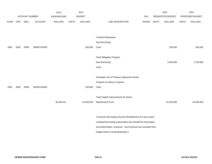|             |      |                |                | 2013           |              | 2014           |                                                                 |       |              | 2015             |              | 2015            |
|-------------|------|----------------|----------------|----------------|--------------|----------------|-----------------------------------------------------------------|-------|--------------|------------------|--------------|-----------------|
|             |      | ACCOUNT NUMBER |                | EXPENDITURE    |              | <b>BUDGET</b>  |                                                                 | PAY   |              | REQUESTED BUDGET |              | PROPOSED BUDGET |
| <b>FUND</b> | ORG  | <b>SBCL</b>    | <b>ACCOUNT</b> | <b>DOLLARS</b> | <b>UNITS</b> | <b>DOLLARS</b> | LINE DESCRIPTION                                                | RANGE | <b>UNITS</b> | <b>DOLLARS</b>   | <b>UNITS</b> | <b>DOLLARS</b>  |
|             |      |                |                |                |              |                |                                                                 |       |              |                  |              |                 |
|             |      |                |                |                |              |                |                                                                 |       |              |                  |              |                 |
|             |      |                |                |                |              |                | <b>Channel Restoration</b>                                      |       |              |                  |              |                 |
|             |      |                |                |                |              |                | New Borrowing                                                   |       |              |                  |              |                 |
| 0491        | 6830 | R999           | SM497140200    |                |              | 200,000        | Cash                                                            |       |              | 200,000          |              | 200,000         |
|             |      |                |                |                |              |                |                                                                 |       |              |                  |              |                 |
|             |      |                |                |                |              |                | Flood Mitigation Program                                        |       |              |                  |              |                 |
|             |      |                |                |                |              |                | New Borrowing                                                   |       |              | 2,500,000        |              | 2,750,000       |
|             |      |                |                |                |              |                | Cash                                                            |       |              |                  |              |                 |
|             |      |                |                |                |              |                |                                                                 |       |              |                  |              |                 |
|             |      |                |                |                |              |                | Developer Out of Program Agreement Sewer                        |       |              |                  |              |                 |
|             |      |                |                |                |              |                | Program at Various Locations                                    |       |              |                  |              |                 |
| 0491        | 6830 | R999           | SM49214000A    |                |              | 100,000        | Cash                                                            |       |              |                  |              |                 |
|             |      |                |                |                |              |                |                                                                 |       |              |                  |              |                 |
|             |      |                |                |                |              |                | <b>Total Capital Improvements for Sewer</b>                     |       |              |                  |              |                 |
|             |      |                |                | 36,246,411     |              | 44,550,000     | Maintenance Fund                                                |       |              | 44,150,000       |              | 44,200,000      |
|             |      |                |                |                |              |                |                                                                 |       |              |                  |              |                 |
|             |      |                |                |                |              |                |                                                                 |       |              |                  |              |                 |
|             |      |                |                |                |              |                | *Carryover Borrowing Amounts (Restatement of a prior years'     |       |              |                  |              |                 |
|             |      |                |                |                |              |                | unutilized borrowing authorization are included for information |       |              |                  |              |                 |
|             |      |                |                |                |              |                | and authorization purposes. Such amounts are excluded from      |       |              |                  |              |                 |
|             |      |                |                |                |              |                | budget totals to avoid duplication.)                            |       |              |                  |              |                 |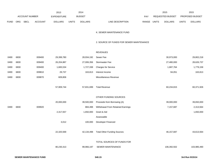|             |            |                       |                | 2013               |              | 2014           |                                          |            |              | 2015             |              | 2015            |
|-------------|------------|-----------------------|----------------|--------------------|--------------|----------------|------------------------------------------|------------|--------------|------------------|--------------|-----------------|
|             |            | <b>ACCOUNT NUMBER</b> |                | <b>EXPENDITURE</b> |              | <b>BUDGET</b>  |                                          | <b>PAY</b> |              | REQUESTED BUDGET |              | PROPOSED BUDGET |
| <b>FUND</b> | <b>ORG</b> | SBCL                  | <b>ACCOUNT</b> | <b>DOLLARS</b>     | <b>UNITS</b> | <b>DOLLARS</b> | LINE DESCRIPTION                         | RANGE      | <b>UNITS</b> | <b>DOLLARS</b>   | <b>UNITS</b> | <b>DOLLARS</b>  |
|             |            |                       |                |                    |              |                |                                          |            |              |                  |              |                 |
|             |            |                       |                |                    |              |                | K. SEWER MAINTENANCE FUND                |            |              |                  |              |                 |
|             |            |                       |                |                    |              |                | 2. SOURCE OF FUNDS FOR SEWER MAINTENANCE |            |              |                  |              |                 |
|             |            |                       |                |                    |              |                |                                          |            |              |                  |              |                 |
|             |            |                       |                |                    |              |                | <b>REVENUES</b>                          |            |              |                  |              |                 |
| 0490        | 6830       |                       | 009400         | 29,399,780         |              | 28,934,192     | Sewer Fee                                |            |              | 30,973,000       |              | 29,802,218      |
| 0490        | 6830       |                       | 009400         | 26,204,887         |              | 27,006,356     | Stormwater Fee                           |            |              | 27,480,000       |              | 28,626,737      |
| 0490        | 6830       |                       | 009400         | 1,665,534          |              | 1,727,338      | Charges for Service                      |            |              | 1,687,764        |              | 1,779,158       |
| 0490        | 6830       |                       | 009810         | 29,737             |              | 163,813        | Interest Income                          |            |              | 94,051           |              | 163,813         |
| 0490        | 6830       |                       | 009870         | 609,806            |              |                | Miscellaneous Revenue                    |            |              |                  |              |                 |
|             |            |                       |                |                    |              |                |                                          |            |              |                  |              |                 |
|             |            |                       |                | 57,909,744         |              | 57,831,699     | <b>Total Revenue</b>                     |            |              | 60,234,815       |              | 60,371,926      |
|             |            |                       |                |                    |              |                |                                          |            |              |                  |              |                 |
|             |            |                       |                |                    |              |                | OTHER FUNDING SOURCES                    |            |              |                  |              |                 |
|             |            |                       |                | 20,000,000         |              | 39,500,000     | Proceeds from Borrowing (A)              |            |              | 39,000,000       |              | 39,650,000      |
| 0490        | 6830       |                       | 009920         |                    |              | 884,498        | Withdrawal From Retained Earnings        |            |              | 7,157,687        |              | 2,313,564       |
|             |            |                       |                | 2,317,557          |              | 1,650,000      | Grant & Aid                              |            |              |                  |              | 1,650,000       |
|             |            |                       |                |                    |              |                | Assessable                               |            |              |                  |              |                 |
|             |            |                       |                | 3,012              |              | 100,000        | Developer Financed                       |            |              |                  |              |                 |
|             |            |                       |                | 22,320,569         |              | 42,134,498     | <b>Total Other Funding Sources</b>       |            |              | 46, 157, 687     |              | 43,613,564      |
|             |            |                       |                |                    |              |                |                                          |            |              |                  |              |                 |
|             |            |                       |                |                    |              |                | TOTAL SOURCES OF FUNDS FOR               |            |              |                  |              |                 |
|             |            |                       |                | 80,230,313         |              | 99,966,197     | <b>SEWER MAINTENANCE</b>                 |            |              | 106,392,502      |              | 103,985,490     |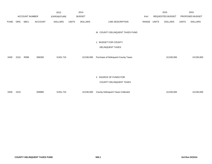|             |            |                       |                | 2013               |              | 2014           |                                                   |       |                  | 2015           |                 | 2015           |
|-------------|------------|-----------------------|----------------|--------------------|--------------|----------------|---------------------------------------------------|-------|------------------|----------------|-----------------|----------------|
|             |            | <b>ACCOUNT NUMBER</b> |                | <b>EXPENDITURE</b> |              | <b>BUDGET</b>  |                                                   | PAY   | REQUESTED BUDGET |                | PROPOSED BUDGET |                |
| <b>FUND</b> | <b>ORG</b> | SBCL                  | <b>ACCOUNT</b> | <b>DOLLARS</b>     | <b>UNITS</b> | <b>DOLLARS</b> | LINE DESCRIPTION                                  | RANGE | <b>UNITS</b>     | <b>DOLLARS</b> | <b>UNITS</b>    | <b>DOLLARS</b> |
|             |            |                       |                |                    |              |                | M. COUNTY DELINQUENT TAXES FUND                   |       |                  |                |                 |                |
|             |            |                       |                |                    |              |                | 1. BUDGET FOR COUNTY                              |       |                  |                |                 |                |
|             |            |                       |                |                    |              |                | DELINQUENT TAXES                                  |       |                  |                |                 |                |
| 0430        | 2210       | R999                  | 006300         | 9,931,715          |              | 10,530,000     | Purchase of Delinquent County Taxes               |       |                  | 10,530,000     |                 | 10,530,000     |
|             |            |                       |                |                    |              |                | 2. SOURCE OF FUNDS FOR<br>COUNTY DELINQUENT TAXES |       |                  |                |                 |                |
| 0430        | 2210       |                       | 009980         | 9,931,715          |              | 10,530,000     | <b>County Delinquent Taxes Collected</b>          |       |                  | 10,530,000     |                 | 10,530,000     |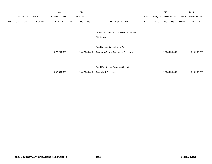|             |                       |      |                | 2013               |              | 2014           |                                           |       |       | 2015             |              | 2015            |
|-------------|-----------------------|------|----------------|--------------------|--------------|----------------|-------------------------------------------|-------|-------|------------------|--------------|-----------------|
|             | <b>ACCOUNT NUMBER</b> |      |                | <b>EXPENDITURE</b> |              | <b>BUDGET</b>  |                                           | PAY   |       | REQUESTED BUDGET |              | PROPOSED BUDGET |
| <b>FUND</b> | <b>ORG</b>            | SBCL | <b>ACCOUNT</b> | <b>DOLLARS</b>     | <b>UNITS</b> | <b>DOLLARS</b> | LINE DESCRIPTION                          | RANGE | UNITS | <b>DOLLARS</b>   | <b>UNITS</b> | <b>DOLLARS</b>  |
|             |                       |      |                |                    |              |                |                                           |       |       |                  |              |                 |
|             |                       |      |                |                    |              |                | TOTAL BUDGET AUTHORIZATIONS AND           |       |       |                  |              |                 |
|             |                       |      |                |                    |              |                | <b>FUNDING</b>                            |       |       |                  |              |                 |
|             |                       |      |                |                    |              |                |                                           |       |       |                  |              |                 |
|             |                       |      |                |                    |              |                | <b>Total Budget Authorization for</b>     |       |       |                  |              |                 |
|             |                       |      |                | 1,376,254,803      |              | 1,447,560,814  | <b>Common Council Controlled Purposes</b> |       |       | 1,564,255,047    |              | 1,514,937,709   |
|             |                       |      |                |                    |              |                |                                           |       |       |                  |              |                 |
|             |                       |      |                |                    |              |                |                                           |       |       |                  |              |                 |
|             |                       |      |                |                    |              |                | <b>Total Funding for Common Council</b>   |       |       |                  |              |                 |
|             |                       |      |                | 1,398,684,658      |              | 1,447,560,814  | <b>Controlled Purposes</b>                |       |       | 1,564,255,047    |              | 1,514,937,709   |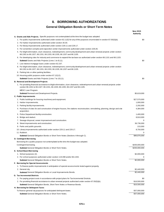## **II. BORROWING AUTHORIZATIONS**

### **General Obligation Bonds or Short Term Notes**

|                                                                                                                                                                                                            | New 2015<br><b>Authortiy</b> |
|------------------------------------------------------------------------------------------------------------------------------------------------------------------------------------------------------------|------------------------------|
| <b>A. Grants and Aids Projects.</b> Specific purposes not contemplated at the time the budget was adopted.                                                                                                 |                              |
| 1. For public improvements authorized under section 62.11(5) for any of the purposes enumerated in section 67.05(5)(b).                                                                                    | \$0                          |
| 2. For harbor improvements authorized under section 30.30.                                                                                                                                                 |                              |
| 3. For library improvements authorized under section 229.11 and 229.17.                                                                                                                                    |                              |
| 4. For convention complex and exposition center improvements authorized under section 229.26.                                                                                                              |                              |
| 5. For blight elimination, slum clearance, redevelopment, community development and urban renewal projects under section<br>66.1301 to 66.1327, 66.1331, 66.1333, 66.1335, 66.1337 and 66.1105.            |                              |
| 6. For developing sites for industry and commerce to expand the tax base as authorized under section 66.1101 and 66.1103.                                                                                  |                              |
| <b>Subtotal</b> Grants and Aids Projects (Lines 1 to 6) (1).                                                                                                                                               | \$0                          |
| 7. Low interest mortgage loans under section 62.237.                                                                                                                                                       |                              |
| 8. For blight elimination, slum clearance, redevelopment, community development and urban renewal projects under section<br>66.1301 to 66.1327, 66.1331, 66.1333, 66.1335, 66.1337 and 66.1105.            |                              |
| 9. Parking lots or other parking facilities.                                                                                                                                                               |                              |
| 10. Housing public purpose under section 67.12(12).                                                                                                                                                        |                              |
| <b>Subtotal</b> Grants and Aids Projects (Lines 7 to 10) (1).                                                                                                                                              | \$0                          |
| <b>B. Renewal and Development Projects</b>                                                                                                                                                                 |                              |
| 1. For providing financial assistance to blight elimination, slum clearance, redevelopment and urban renewal projects under<br>section 66.1301 to 66.1327, 66.1331, 66.1333, 66.1335, 66.1337 and 66.1105. |                              |
| MEDC Loan Program.                                                                                                                                                                                         |                              |
| <b>Subtotal Renewal and Development Projects.</b>                                                                                                                                                          | \$5,619,000                  |
| C. Public Improvements                                                                                                                                                                                     |                              |
| 1. Public buildings for housing machinery and equipment.                                                                                                                                                   | \$27,570,000                 |
| 2. Harbor improvements.                                                                                                                                                                                    | 1,000,000                    |
| 3. Parking facility improvements.                                                                                                                                                                          | 2,292,000                    |
| 4. Purchase of sites for and construction of engine houses, fire stations reconstruction, remodeling, planning, design and site<br>acquisition.                                                            | 4,384,000                    |
| 5. Police Department facility construction.                                                                                                                                                                | 1,400,000                    |
| 6. Bridge and viaduct.                                                                                                                                                                                     | 8,910,000                    |
| 7. Sewage disposal, sewer improvement and construction.                                                                                                                                                    | 0                            |
| 8. Street improvements and construction.                                                                                                                                                                   | 36,736,000                   |
| 9. Parks and public grounds.                                                                                                                                                                               | 215,000                      |
| 10. Library improvements authorized under section 229.11 and 229.17.                                                                                                                                       | 8,750,000                    |
| 11. Rubbish.                                                                                                                                                                                               | 0                            |
| <b>Subtotal</b> General Obligation Bonds or Short Term Notes (Sections Athrough C).                                                                                                                        | \$96,876,000                 |
| D. Contingent Borrowing                                                                                                                                                                                    |                              |
| Borrowing for a public purpose not contemplated at the time the budget was adopted.                                                                                                                        |                              |
| Contingent borrowing.                                                                                                                                                                                      | \$200,000,000                |
| <b>Subtotal</b> General Obligation Bonds or Short Term Notes.                                                                                                                                              | \$200,000,000                |
| E. School Board Borrowing                                                                                                                                                                                  |                              |
| 1. School purposes (2).                                                                                                                                                                                    | \$2,000,000                  |
| 2. For school purposes authorized under section 119.498 and/or 66.1333.                                                                                                                                    |                              |
| Subtotal General Obligation Bonds or Short Term Notes.                                                                                                                                                     | \$2,000,000                  |
| F. Borrowing for Special Assessments                                                                                                                                                                       |                              |
| 1. To finance public improvements in anticipation of special assessments levied against property.                                                                                                          |                              |
| 2. General city.                                                                                                                                                                                           | \$2,440,000                  |
| Subtotal General Obligation Bonds or Local Improvements Bonds.                                                                                                                                             | \$2,440,000                  |
| <b>G. Tax Incremental Districts</b>                                                                                                                                                                        |                              |
| 1. For paying project costs in accordance with project plans for Tax Incremental Districts.                                                                                                                | \$0                          |
| 2. For providing financial assistance to urban renewal projects authorized under section 67.05(5)(b).                                                                                                      | \$16,500,000                 |
| Subtotal General Obligation Bonds, Short Term Notes or Revenue Bonds.                                                                                                                                      | \$16,500,000                 |
| H. Borrowing for Delinquent Taxes                                                                                                                                                                          |                              |
| To finance general city purposes for anticipated delinquent taxes.                                                                                                                                         | \$37,000,000                 |
| Subtotal General Obligation Bonds or Short Term Notes.                                                                                                                                                     | \$37,000,000                 |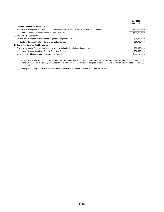|                                                                                                        | <b>New 2015</b><br>Authortiy |
|--------------------------------------------------------------------------------------------------------|------------------------------|
| I. Revenue Anticipation Borrowing                                                                      |                              |
| To borrow in anticipation of revenue in accordance with section 67.12 of the Wisconsin State Statutes. | \$400,000,000                |
| <b>Subtotal General Obligation Bonds or Short Term Notes.</b>                                          | \$400,000,000                |
| J. Water Works Borrowing                                                                               |                              |
| Water Works mortgage revenue bonds or general obligation bonds.                                        | \$10,736,000                 |
| <b>Subtotal Revenue Bonds or General Obligation Bonds.</b>                                             | \$10.736.000                 |
| K. Sewer Maintenance Fund Borrowing                                                                    |                              |
| Sewer Maintenance Fund revenue bonds or general obligation bonds including prior years.                | \$39,650,000                 |
| <b>Subtotal Revenue Bonds or General Obligation Bonds.</b>                                             | \$39.650.000                 |
| <b>Total General Obligation Bonds or Short Term Notes</b>                                              | \$805,202,000                |

(1) The purpose of this borrowing is to provide funds in connection with projects undertaken by the city with federal or other financial assistance. Expenditures shall be made only after adoption of a Common Council resolution adopted in accordance with Common Council Resolution File 66- 1893 as amended.

(2) Design plans for any alteration to building exteriors and interiors shall be reviewed and approved by the city.